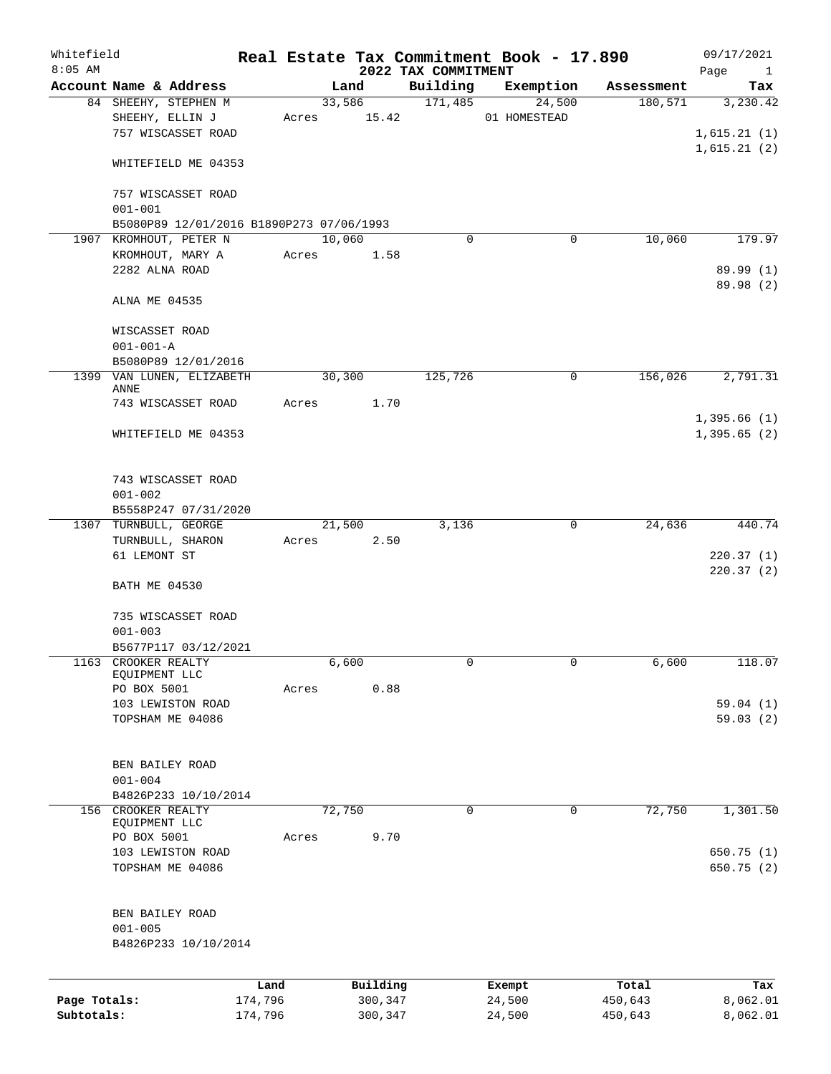| Whitefield<br>$8:05$ AM    |                                                        |                    |       |                    | 2022 TAX COMMITMENT | Real Estate Tax Commitment Book - 17.890 |                    | 09/17/2021<br>Page<br>$\mathbf{1}$ |
|----------------------------|--------------------------------------------------------|--------------------|-------|--------------------|---------------------|------------------------------------------|--------------------|------------------------------------|
|                            | Account Name & Address                                 |                    |       | Land               | Building            | Exemption                                | Assessment         | Tax                                |
|                            | 84 SHEEHY, STEPHEN M                                   |                    |       | 33,586             | 171,485             | 24,500                                   | 180,571            | 3,230.42                           |
|                            | SHEEHY, ELLIN J<br>757 WISCASSET ROAD                  |                    | Acres | 15.42              |                     | 01 HOMESTEAD                             |                    | 1,615.21(1)                        |
|                            | WHITEFIELD ME 04353                                    |                    |       |                    |                     |                                          |                    | 1,615.21(2)                        |
|                            | 757 WISCASSET ROAD<br>$001 - 001$                      |                    |       |                    |                     |                                          |                    |                                    |
|                            | B5080P89 12/01/2016 B1890P273 07/06/1993               |                    |       |                    |                     |                                          |                    |                                    |
| 1907                       | KROMHOUT, PETER N                                      |                    |       | 10,060             | 0                   | 0                                        | 10,060             | 179.97                             |
|                            | KROMHOUT, MARY A                                       |                    | Acres | 1.58               |                     |                                          |                    |                                    |
|                            | 2282 ALNA ROAD                                         |                    |       |                    |                     |                                          |                    | 89.99 (1)                          |
|                            | ALNA ME 04535                                          |                    |       |                    |                     |                                          |                    | 89.98 (2)                          |
|                            | WISCASSET ROAD                                         |                    |       |                    |                     |                                          |                    |                                    |
|                            | $001 - 001 - A$<br>B5080P89 12/01/2016                 |                    |       |                    |                     |                                          |                    |                                    |
|                            | 1399 VAN LUNEN, ELIZABETH                              |                    |       | 30,300             | 125,726             | 0                                        | 156,026            | 2,791.31                           |
|                            | ANNE<br>743 WISCASSET ROAD                             |                    | Acres | 1.70               |                     |                                          |                    |                                    |
|                            |                                                        |                    |       |                    |                     |                                          |                    | 1,395.66(1)                        |
|                            | WHITEFIELD ME 04353                                    |                    |       |                    |                     |                                          |                    | 1,395.65(2)                        |
|                            | 743 WISCASSET ROAD<br>$001 - 002$                      |                    |       |                    |                     |                                          |                    |                                    |
|                            | B5558P247 07/31/2020                                   |                    |       |                    |                     |                                          |                    |                                    |
| 1307                       | TURNBULL, GEORGE                                       |                    |       | 21,500             | 3,136               | 0                                        | 24,636             | 440.74                             |
|                            | TURNBULL, SHARON                                       |                    | Acres | 2.50               |                     |                                          |                    |                                    |
|                            | 61 LEMONT ST                                           |                    |       |                    |                     |                                          |                    | 220.37(1)<br>220.37(2)             |
|                            | <b>BATH ME 04530</b>                                   |                    |       |                    |                     |                                          |                    |                                    |
|                            | 735 WISCASSET ROAD<br>$001 - 003$                      |                    |       |                    |                     |                                          |                    |                                    |
|                            | B5677P117 03/12/2021                                   |                    |       |                    |                     |                                          |                    |                                    |
| 1163                       | CROOKER REALTY                                         |                    |       | 6,600              | 0                   | $\mathsf{O}$                             | 6,600              | 118.07                             |
|                            | EQUIPMENT LLC                                          |                    |       |                    |                     |                                          |                    |                                    |
|                            | PO BOX 5001                                            |                    | Acres | 0.88               |                     |                                          |                    |                                    |
|                            | 103 LEWISTON ROAD<br>TOPSHAM ME 04086                  |                    |       |                    |                     |                                          |                    | 59.04(1)<br>59.03(2)               |
|                            | BEN BAILEY ROAD<br>$001 - 004$                         |                    |       |                    |                     |                                          |                    |                                    |
|                            | B4826P233 10/10/2014                                   |                    |       |                    |                     |                                          |                    |                                    |
| 156                        | CROOKER REALTY                                         |                    |       | 72,750             | $\mathbf 0$         | 0                                        | 72,750             | 1,301.50                           |
|                            | EQUIPMENT LLC                                          |                    |       |                    |                     |                                          |                    |                                    |
|                            | PO BOX 5001                                            |                    | Acres | 9.70               |                     |                                          |                    |                                    |
|                            | 103 LEWISTON ROAD<br>TOPSHAM ME 04086                  |                    |       |                    |                     |                                          |                    | 650.75 (1)<br>650.75 (2)           |
|                            | BEN BAILEY ROAD<br>$001 - 005$<br>B4826P233 10/10/2014 |                    |       |                    |                     |                                          |                    |                                    |
|                            |                                                        | Land               |       | Building           |                     | Exempt                                   | Total              | Tax                                |
| Page Totals:<br>Subtotals: |                                                        | 174,796<br>174,796 |       | 300,347<br>300,347 |                     | 24,500<br>24,500                         | 450,643<br>450,643 | 8,062.01<br>8,062.01               |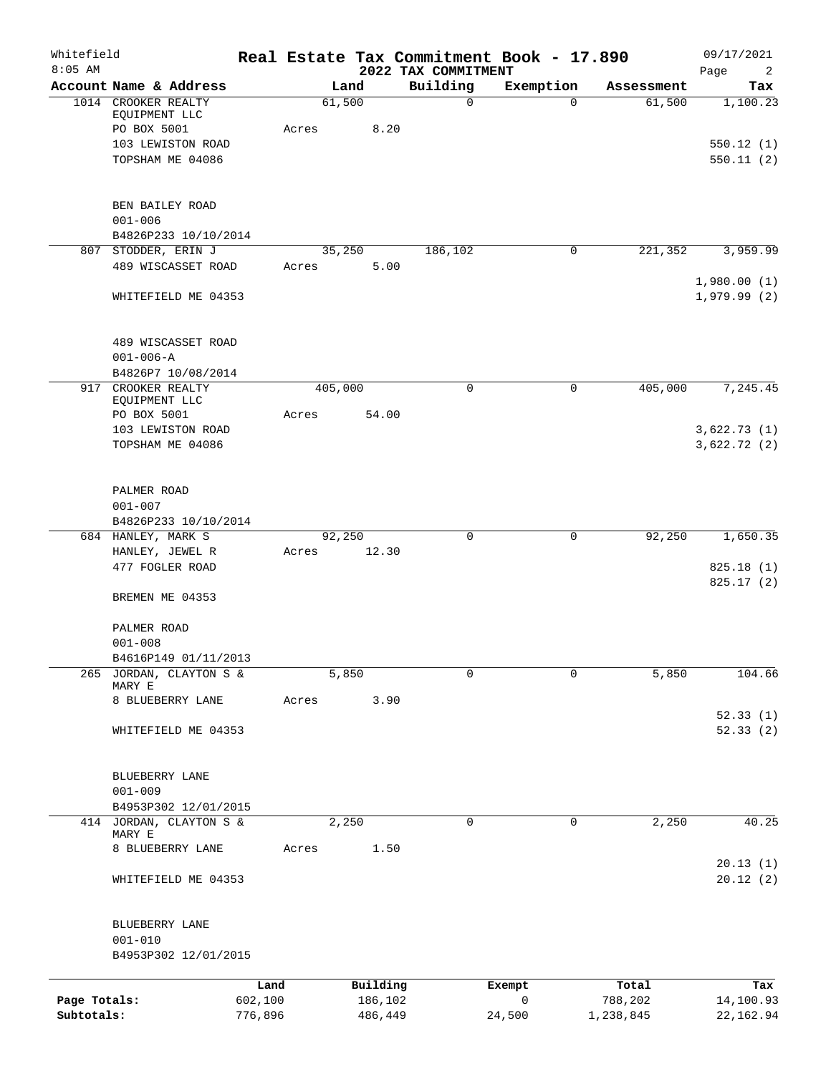| Whitefield<br>$8:05$ AM |                                                     |                 |                | 2022 TAX COMMITMENT | Real Estate Tax Commitment Book - 17.890 |            | 09/17/2021<br>Page<br>2    |
|-------------------------|-----------------------------------------------------|-----------------|----------------|---------------------|------------------------------------------|------------|----------------------------|
|                         | Account Name & Address                              |                 | Land           | Building            | Exemption                                | Assessment | Tax                        |
|                         | 1014 CROOKER REALTY<br>EQUIPMENT LLC<br>PO BOX 5001 | Acres           | 61,500<br>8.20 | $\mathsf{O}$        | $\Omega$                                 | 61,500     | 1,100.23                   |
|                         | 103 LEWISTON ROAD<br>TOPSHAM ME 04086               |                 |                |                     |                                          |            | 550.12(1)<br>550.11(2)     |
|                         |                                                     |                 |                |                     |                                          |            |                            |
|                         | BEN BAILEY ROAD<br>$001 - 006$                      |                 |                |                     |                                          |            |                            |
|                         | B4826P233 10/10/2014                                |                 |                |                     |                                          |            |                            |
|                         | 807 STODDER, ERIN J                                 |                 | 35,250         | 186,102             | 0                                        | 221,352    | 3,959.99                   |
|                         | 489 WISCASSET ROAD                                  | Acres           | 5.00           |                     |                                          |            | 1,980.00(1)                |
|                         | WHITEFIELD ME 04353                                 |                 |                |                     |                                          |            | 1,979.99(2)                |
|                         | 489 WISCASSET ROAD<br>$001 - 006 - A$               |                 |                |                     |                                          |            |                            |
|                         | B4826P7 10/08/2014                                  |                 |                |                     |                                          |            |                            |
|                         | 917 CROOKER REALTY<br>EQUIPMENT LLC                 |                 | 405,000        | 0                   | 0                                        | 405,000    | 7,245.45                   |
|                         | PO BOX 5001                                         | Acres           | 54.00          |                     |                                          |            |                            |
|                         | 103 LEWISTON ROAD<br>TOPSHAM ME 04086               |                 |                |                     |                                          |            | 3,622.73(1)<br>3,622.72(2) |
|                         | PALMER ROAD<br>$001 - 007$                          |                 |                |                     |                                          |            |                            |
|                         | B4826P233 10/10/2014<br>684 HANLEY, MARK S          |                 | 92,250         | 0                   | 0                                        | 92,250     | 1,650.35                   |
|                         | HANLEY, JEWEL R<br>477 FOGLER ROAD                  | Acres           | 12.30          |                     |                                          |            | 825.18(1)                  |
|                         | BREMEN ME 04353                                     |                 |                |                     |                                          |            | 825.17(2)                  |
|                         | PALMER ROAD<br>$001 - 008$                          |                 |                |                     |                                          |            |                            |
|                         | B4616P149 01/11/2013                                |                 |                |                     |                                          |            |                            |
|                         | 265 JORDAN, CLAYTON S &<br>MARY E                   |                 | 5,850          | 0                   | $\Omega$                                 | 5,850      | 104.66                     |
|                         | 8 BLUEBERRY LANE                                    | Acres           | 3.90           |                     |                                          |            | 52.33(1)                   |
|                         | WHITEFIELD ME 04353                                 |                 |                |                     |                                          |            | 52.33(2)                   |
|                         | BLUEBERRY LANE                                      |                 |                |                     |                                          |            |                            |
|                         | $001 - 009$<br>B4953P302 12/01/2015                 |                 |                |                     |                                          |            |                            |
|                         | 414 JORDAN, CLAYTON S &<br>MARY E                   |                 | 2,250          | 0                   | 0                                        | 2,250      | 40.25                      |
|                         | 8 BLUEBERRY LANE                                    | Acres           | 1.50           |                     |                                          |            | 20.13(1)                   |
|                         | WHITEFIELD ME 04353                                 |                 |                |                     |                                          |            | 20.12(2)                   |
|                         | BLUEBERRY LANE                                      |                 |                |                     |                                          |            |                            |
|                         | $001 - 010$<br>B4953P302 12/01/2015                 |                 |                |                     |                                          |            |                            |
|                         |                                                     |                 | Building       |                     |                                          | Total      | Tax                        |
| Page Totals:            |                                                     | Land<br>602,100 | 186,102        |                     | Exempt<br>0                              | 788,202    | 14,100.93                  |
| Subtotals:              |                                                     | 776,896         | 486,449        |                     | 24,500                                   | 1,238,845  | 22,162.94                  |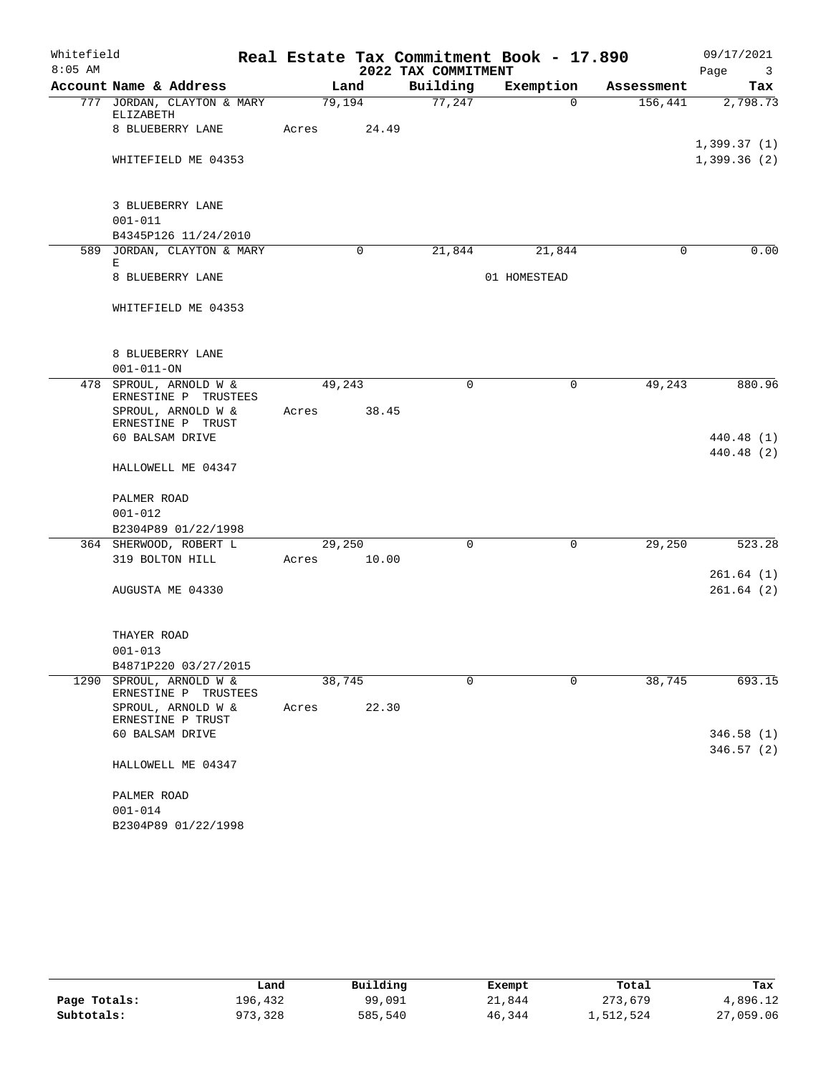| Whitefield |                                                    |       | Real Estate Tax Commitment Book - 17.890 |                     |              |            |                                 |
|------------|----------------------------------------------------|-------|------------------------------------------|---------------------|--------------|------------|---------------------------------|
| $8:05$ AM  |                                                    |       |                                          | 2022 TAX COMMITMENT |              |            | Page<br>$\overline{\mathbf{3}}$ |
|            | Account Name & Address                             |       | Land                                     | Building            | Exemption    | Assessment | Tax                             |
|            | 777 JORDAN, CLAYTON & MARY                         |       | 79,194                                   | 77,247              | $\Omega$     | 156,441    | 2,798.73                        |
|            | ELIZABETH<br>8 BLUEBERRY LANE                      | Acres | 24.49                                    |                     |              |            |                                 |
|            |                                                    |       |                                          |                     |              |            | 1,399.37(1)                     |
|            | WHITEFIELD ME 04353                                |       |                                          |                     |              |            | 1,399.36(2)                     |
|            |                                                    |       |                                          |                     |              |            |                                 |
|            |                                                    |       |                                          |                     |              |            |                                 |
|            | 3 BLUEBERRY LANE                                   |       |                                          |                     |              |            |                                 |
|            | $001 - 011$                                        |       |                                          |                     |              |            |                                 |
|            | B4345P126 11/24/2010<br>589 JORDAN, CLAYTON & MARY |       | $\Omega$                                 | 21,844              | 21,844       | $\Omega$   | 0.00                            |
|            | Е                                                  |       |                                          |                     |              |            |                                 |
|            | 8 BLUEBERRY LANE                                   |       |                                          |                     | 01 HOMESTEAD |            |                                 |
|            |                                                    |       |                                          |                     |              |            |                                 |
|            | WHITEFIELD ME 04353                                |       |                                          |                     |              |            |                                 |
|            |                                                    |       |                                          |                     |              |            |                                 |
|            | 8 BLUEBERRY LANE                                   |       |                                          |                     |              |            |                                 |
|            | $001 - 011 - ON$                                   |       |                                          |                     |              |            |                                 |
|            | 478 SPROUL, ARNOLD W &                             |       | 49,243                                   | $\Omega$            | 0            | 49,243     | 880.96                          |
|            | ERNESTINE P TRUSTEES                               |       |                                          |                     |              |            |                                 |
|            | SPROUL, ARNOLD W &                                 | Acres | 38.45                                    |                     |              |            |                                 |
|            | ERNESTINE P TRUST                                  |       |                                          |                     |              |            |                                 |
|            | 60 BALSAM DRIVE                                    |       |                                          |                     |              |            | 440.48 (1)<br>440.48 (2)        |
|            | HALLOWELL ME 04347                                 |       |                                          |                     |              |            |                                 |
|            |                                                    |       |                                          |                     |              |            |                                 |
|            | PALMER ROAD                                        |       |                                          |                     |              |            |                                 |
|            | $001 - 012$                                        |       |                                          |                     |              |            |                                 |
|            | B2304P89 01/22/1998                                |       |                                          |                     |              |            |                                 |
|            | 364 SHERWOOD, ROBERT L                             |       | 29,250                                   | $\Omega$            | $\mathbf 0$  | 29,250     | 523.28                          |
|            | 319 BOLTON HILL                                    | Acres | 10.00                                    |                     |              |            |                                 |
|            |                                                    |       |                                          |                     |              |            | 261.64(1)                       |
|            | AUGUSTA ME 04330                                   |       |                                          |                     |              |            | 261.64(2)                       |
|            |                                                    |       |                                          |                     |              |            |                                 |
|            | THAYER ROAD                                        |       |                                          |                     |              |            |                                 |
|            | $001 - 013$                                        |       |                                          |                     |              |            |                                 |
|            | B4871P220 03/27/2015                               |       |                                          |                     |              |            |                                 |
|            | 1290 SPROUL, ARNOLD W &                            |       | 38,745                                   | $\Omega$            | $\Omega$     | 38,745     | 693.15                          |
|            | ERNESTINE P TRUSTEES                               |       |                                          |                     |              |            |                                 |
|            | SPROUL, ARNOLD W &<br>ERNESTINE P TRUST            | Acres | 22.30                                    |                     |              |            |                                 |
|            | 60 BALSAM DRIVE                                    |       |                                          |                     |              |            | 346.58(1)                       |
|            |                                                    |       |                                          |                     |              |            | 346.57(2)                       |
|            | HALLOWELL ME 04347                                 |       |                                          |                     |              |            |                                 |
|            |                                                    |       |                                          |                     |              |            |                                 |
|            | PALMER ROAD<br>$001 - 014$                         |       |                                          |                     |              |            |                                 |
|            | B2304P89 01/22/1998                                |       |                                          |                     |              |            |                                 |
|            |                                                    |       |                                          |                     |              |            |                                 |

|              | Land    | Building | Exempt | Total     | Tax       |
|--------------|---------|----------|--------|-----------|-----------|
| Page Totals: | 196,432 | 99,091   | 21,844 | 273,679   | 4,896.12  |
| Subtotals:   | 973,328 | 585,540  | 46,344 | 1,512,524 | 27,059.06 |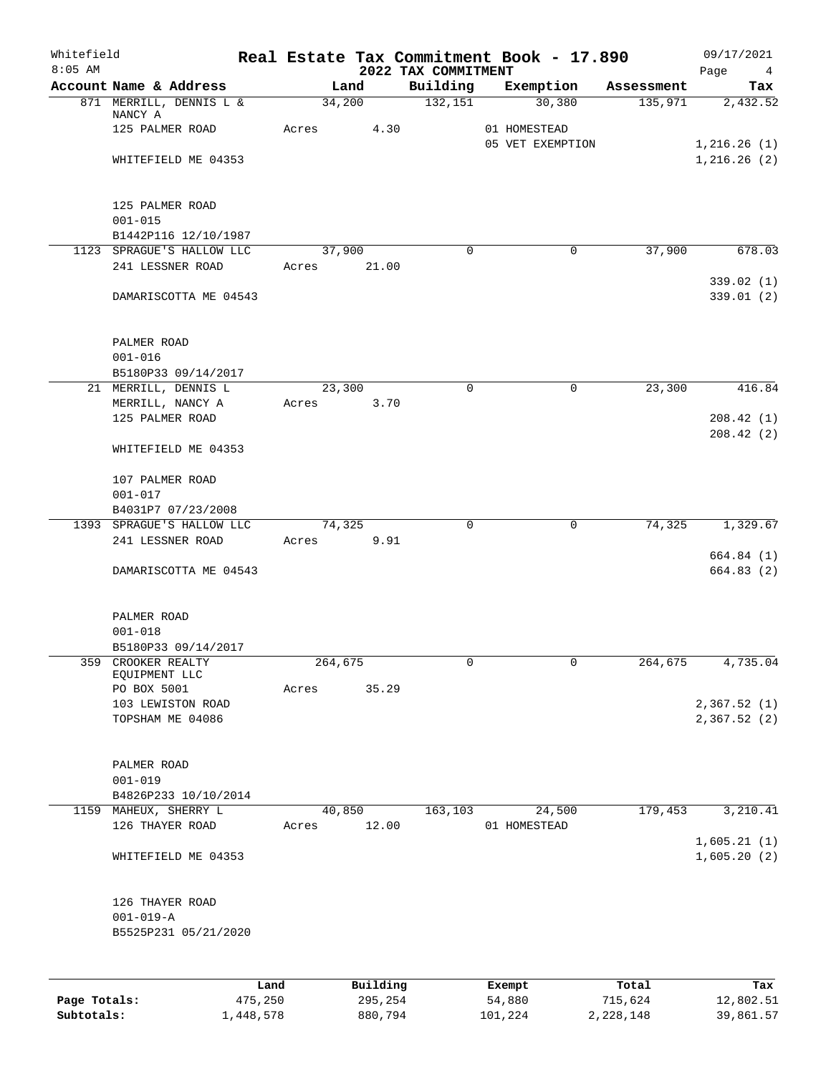| Whitefield<br>$8:05$ AM |                                     | Real Estate Tax Commitment Book - 17.890 |                 | 2022 TAX COMMITMENT |        |                                  |            | 09/17/2021<br>Page<br>$\overline{4}$ |
|-------------------------|-------------------------------------|------------------------------------------|-----------------|---------------------|--------|----------------------------------|------------|--------------------------------------|
|                         | Account Name & Address              |                                          | Land            | Building            |        | Exemption                        | Assessment | Tax                                  |
|                         | 871 MERRILL, DENNIS L &             |                                          | 34,200          | 132,151             |        | 30,380                           | 135,971    | 2,432.52                             |
|                         | NANCY A<br>125 PALMER ROAD          | Acres                                    | 4.30            |                     |        |                                  |            |                                      |
|                         |                                     |                                          |                 |                     |        | 01 HOMESTEAD<br>05 VET EXEMPTION |            | 1,216.26(1)                          |
|                         | WHITEFIELD ME 04353                 |                                          |                 |                     |        |                                  |            | 1,216.26(2)                          |
|                         |                                     |                                          |                 |                     |        |                                  |            |                                      |
|                         |                                     |                                          |                 |                     |        |                                  |            |                                      |
|                         | 125 PALMER ROAD                     |                                          |                 |                     |        |                                  |            |                                      |
|                         | $001 - 015$                         |                                          |                 |                     |        |                                  |            |                                      |
|                         | B1442P116 12/10/1987                |                                          |                 |                     |        |                                  |            |                                      |
|                         | 1123 SPRAGUE'S HALLOW LLC           |                                          | 37,900<br>21.00 | $\Omega$            |        | 0                                | 37,900     | 678.03                               |
|                         | 241 LESSNER ROAD                    | Acres                                    |                 |                     |        |                                  |            | 339.02(1)                            |
|                         | DAMARISCOTTA ME 04543               |                                          |                 |                     |        |                                  |            | 339.01 (2)                           |
|                         |                                     |                                          |                 |                     |        |                                  |            |                                      |
|                         |                                     |                                          |                 |                     |        |                                  |            |                                      |
|                         | PALMER ROAD                         |                                          |                 |                     |        |                                  |            |                                      |
|                         | $001 - 016$<br>B5180P33 09/14/2017  |                                          |                 |                     |        |                                  |            |                                      |
|                         | 21 MERRILL, DENNIS L                |                                          | 23,300          | $\mathbf 0$         |        | 0                                | 23,300     | 416.84                               |
|                         | MERRILL, NANCY A                    | Acres                                    | 3.70            |                     |        |                                  |            |                                      |
|                         | 125 PALMER ROAD                     |                                          |                 |                     |        |                                  |            | 208.42(1)                            |
|                         |                                     |                                          |                 |                     |        |                                  |            | 208.42(2)                            |
|                         | WHITEFIELD ME 04353                 |                                          |                 |                     |        |                                  |            |                                      |
|                         | 107 PALMER ROAD                     |                                          |                 |                     |        |                                  |            |                                      |
|                         | $001 - 017$                         |                                          |                 |                     |        |                                  |            |                                      |
|                         | B4031P7 07/23/2008                  |                                          |                 |                     |        |                                  |            |                                      |
|                         | 1393 SPRAGUE'S HALLOW LLC           |                                          | 74,325          | $\mathbf 0$         |        | $\mathbf 0$                      | 74,325     | 1,329.67                             |
|                         | 241 LESSNER ROAD                    | Acres                                    | 9.91            |                     |        |                                  |            |                                      |
|                         |                                     |                                          |                 |                     |        |                                  |            | 664.84 (1)                           |
|                         | DAMARISCOTTA ME 04543               |                                          |                 |                     |        |                                  |            | 664.83(2)                            |
|                         |                                     |                                          |                 |                     |        |                                  |            |                                      |
|                         | PALMER ROAD                         |                                          |                 |                     |        |                                  |            |                                      |
|                         | $001 - 018$                         |                                          |                 |                     |        |                                  |            |                                      |
|                         | B5180P33 09/14/2017                 |                                          |                 |                     |        |                                  |            |                                      |
| 359                     | CROOKER REALTY                      |                                          | 264,675         | 0                   |        | 0                                | 264,675    | 4,735.04                             |
|                         | EQUIPMENT LLC<br>PO BOX 5001        | Acres                                    | 35.29           |                     |        |                                  |            |                                      |
|                         | 103 LEWISTON ROAD                   |                                          |                 |                     |        |                                  |            | 2,367.52 (1)                         |
|                         | TOPSHAM ME 04086                    |                                          |                 |                     |        |                                  |            | 2,367.52(2)                          |
|                         |                                     |                                          |                 |                     |        |                                  |            |                                      |
|                         |                                     |                                          |                 |                     |        |                                  |            |                                      |
|                         | PALMER ROAD                         |                                          |                 |                     |        |                                  |            |                                      |
|                         | $001 - 019$<br>B4826P233 10/10/2014 |                                          |                 |                     |        |                                  |            |                                      |
|                         | 1159 MAHEUX, SHERRY L               |                                          | 40,850          | 163,103             |        | 24,500                           | 179,453    | 3,210.41                             |
|                         | 126 THAYER ROAD                     | Acres                                    | 12.00           |                     |        | 01 HOMESTEAD                     |            |                                      |
|                         |                                     |                                          |                 |                     |        |                                  |            | 1,605.21(1)                          |
|                         | WHITEFIELD ME 04353                 |                                          |                 |                     |        |                                  |            | 1,605.20(2)                          |
|                         |                                     |                                          |                 |                     |        |                                  |            |                                      |
|                         | 126 THAYER ROAD                     |                                          |                 |                     |        |                                  |            |                                      |
|                         | $001 - 019 - A$                     |                                          |                 |                     |        |                                  |            |                                      |
|                         | B5525P231 05/21/2020                |                                          |                 |                     |        |                                  |            |                                      |
|                         |                                     |                                          |                 |                     |        |                                  |            |                                      |
|                         |                                     |                                          |                 |                     |        |                                  |            |                                      |
|                         |                                     | Land                                     | Building        |                     | Exempt |                                  | Total      | Tax                                  |

|              | Lanu      | <b>BUILQING</b> | Lxempt  | TOLAT     | 1ax.      |
|--------------|-----------|-----------------|---------|-----------|-----------|
| Page Totals: | 475,250   | 295,254         | 54,880  | 715,624   | 12,802.51 |
| Subtotals:   | 1,448,578 | 880,794         | 101,224 | 2,228,148 | 39,861.57 |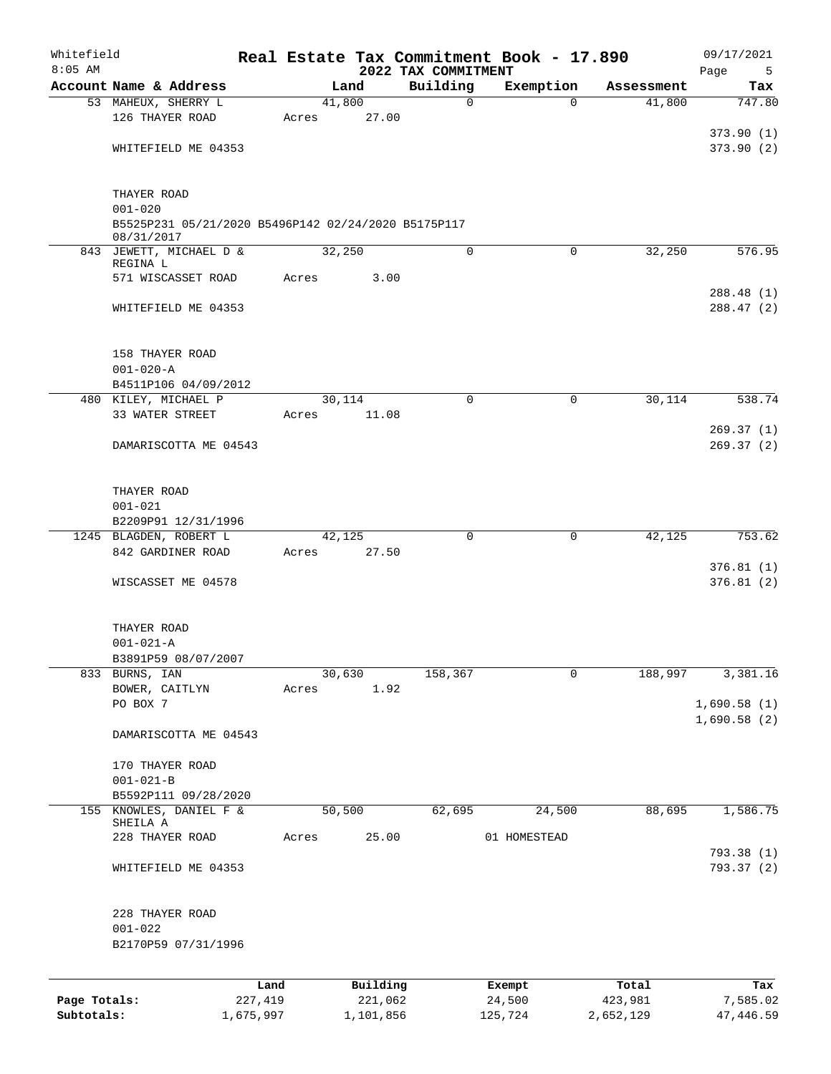| Whitefield<br>$8:05$ AM |                                                                   |                 |       |                     |                                 | Real Estate Tax Commitment Book - 17.890 |                  | 09/17/2021             |
|-------------------------|-------------------------------------------------------------------|-----------------|-------|---------------------|---------------------------------|------------------------------------------|------------------|------------------------|
|                         | Account Name & Address                                            |                 |       | Land                | 2022 TAX COMMITMENT<br>Building | Exemption                                | Assessment       | Page<br>5<br>Tax       |
|                         | 53 MAHEUX, SHERRY L                                               |                 |       | 41,800              | $\mathbf 0$                     | $\Omega$                                 | 41,800           | 747.80                 |
|                         | 126 THAYER ROAD                                                   |                 | Acres | 27.00               |                                 |                                          |                  |                        |
|                         |                                                                   |                 |       |                     |                                 |                                          |                  | 373.90(1)              |
|                         | WHITEFIELD ME 04353                                               |                 |       |                     |                                 |                                          |                  | 373.90(2)              |
|                         |                                                                   |                 |       |                     |                                 |                                          |                  |                        |
|                         | THAYER ROAD                                                       |                 |       |                     |                                 |                                          |                  |                        |
|                         | $001 - 020$                                                       |                 |       |                     |                                 |                                          |                  |                        |
|                         | B5525P231 05/21/2020 B5496P142 02/24/2020 B5175P117<br>08/31/2017 |                 |       |                     |                                 |                                          |                  |                        |
|                         | 843 JEWETT, MICHAEL D &                                           |                 |       | 32,250              | $\mathbf 0$                     | $\Omega$                                 | 32,250           | 576.95                 |
|                         | REGINA L<br>571 WISCASSET ROAD                                    |                 | Acres | 3.00                |                                 |                                          |                  |                        |
|                         |                                                                   |                 |       |                     |                                 |                                          |                  | 288.48 (1)             |
|                         | WHITEFIELD ME 04353                                               |                 |       |                     |                                 |                                          |                  | 288.47 (2)             |
|                         | 158 THAYER ROAD                                                   |                 |       |                     |                                 |                                          |                  |                        |
|                         | $001 - 020 - A$                                                   |                 |       |                     |                                 |                                          |                  |                        |
|                         | B4511P106 04/09/2012                                              |                 |       |                     |                                 |                                          |                  |                        |
|                         | 480 KILEY, MICHAEL P                                              |                 |       | 30,114              | $\Omega$                        | $\Omega$                                 | 30,114           | 538.74                 |
|                         | 33 WATER STREET                                                   |                 | Acres | 11.08               |                                 |                                          |                  |                        |
|                         | DAMARISCOTTA ME 04543                                             |                 |       |                     |                                 |                                          |                  | 269.37(1)<br>269.37(2) |
|                         |                                                                   |                 |       |                     |                                 |                                          |                  |                        |
|                         | THAYER ROAD<br>$001 - 021$                                        |                 |       |                     |                                 |                                          |                  |                        |
|                         | B2209P91 12/31/1996                                               |                 |       |                     |                                 |                                          |                  |                        |
|                         | 1245 BLAGDEN, ROBERT L                                            |                 |       | 42,125              | $\mathbf 0$                     | 0                                        | 42,125           | 753.62                 |
|                         | 842 GARDINER ROAD                                                 |                 | Acres | 27.50               |                                 |                                          |                  |                        |
|                         | WISCASSET ME 04578                                                |                 |       |                     |                                 |                                          |                  | 376.81(1)<br>376.81(2) |
|                         |                                                                   |                 |       |                     |                                 |                                          |                  |                        |
|                         | THAYER ROAD<br>$001 - 021 - A$                                    |                 |       |                     |                                 |                                          |                  |                        |
|                         | B3891P59 08/07/2007                                               |                 |       |                     |                                 |                                          |                  |                        |
|                         | 833 BURNS, IAN                                                    |                 |       | 30,630              | 158,367                         | 0                                        | 188,997          | 3,381.16               |
|                         | BOWER, CAITLYN                                                    |                 | Acres | 1.92                |                                 |                                          |                  |                        |
|                         | PO BOX 7                                                          |                 |       |                     |                                 |                                          |                  | 1,690.58(1)            |
|                         | DAMARISCOTTA ME 04543                                             |                 |       |                     |                                 |                                          |                  | 1,690.58(2)            |
|                         | 170 THAYER ROAD                                                   |                 |       |                     |                                 |                                          |                  |                        |
|                         | $001 - 021 - B$                                                   |                 |       |                     |                                 |                                          |                  |                        |
|                         | B5592P111 09/28/2020                                              |                 |       |                     |                                 |                                          |                  |                        |
| 155                     | KNOWLES, DANIEL F &                                               |                 |       | 50,500              | 62,695                          | 24,500                                   | 88,695           | 1,586.75               |
|                         | SHEILA A<br>228 THAYER ROAD                                       |                 | Acres | 25.00               |                                 | 01 HOMESTEAD                             |                  |                        |
|                         |                                                                   |                 |       |                     |                                 |                                          |                  | 793.38 (1)             |
|                         | WHITEFIELD ME 04353                                               |                 |       |                     |                                 |                                          |                  | 793.37 (2)             |
|                         |                                                                   |                 |       |                     |                                 |                                          |                  |                        |
|                         | 228 THAYER ROAD<br>$001 - 022$                                    |                 |       |                     |                                 |                                          |                  |                        |
|                         | B2170P59 07/31/1996                                               |                 |       |                     |                                 |                                          |                  |                        |
|                         |                                                                   |                 |       |                     |                                 |                                          |                  |                        |
| Page Totals:            |                                                                   | Land<br>227,419 |       | Building<br>221,062 |                                 | Exempt<br>24,500                         | Total<br>423,981 | Tax<br>7,585.02        |
| Subtotals:              |                                                                   | 1,675,997       |       | 1,101,856           |                                 | 125,724                                  | 2,652,129        | 47, 446.59             |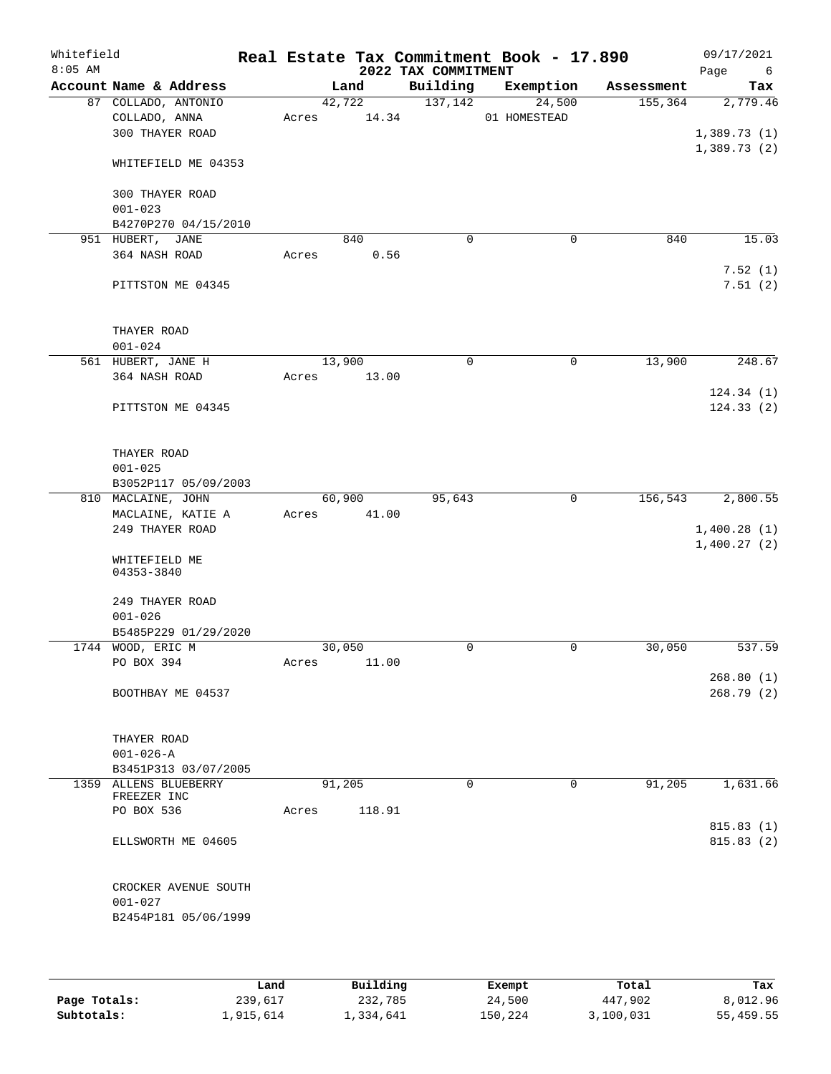| Whitefield<br>$8:05$ AM |                             |                       |       |        | 2022 TAX COMMITMENT | Real Estate Tax Commitment Book - 17.890 |            | 09/17/2021<br>Page<br>6 |
|-------------------------|-----------------------------|-----------------------|-------|--------|---------------------|------------------------------------------|------------|-------------------------|
| Account Name & Address  |                             |                       |       | Land   | Building            | Exemption                                | Assessment | Tax                     |
|                         |                             | 87 COLLADO, ANTONIO   |       | 42,722 | 137,142             | 24,500                                   | 155,364    | 2,779.46                |
|                         | COLLADO, ANNA               |                       | Acres | 14.34  |                     | 01 HOMESTEAD                             |            |                         |
|                         | 300 THAYER ROAD             |                       |       |        |                     |                                          |            | 1,389.73(1)             |
|                         |                             | WHITEFIELD ME 04353   |       |        |                     |                                          |            | 1,389.73(2)             |
|                         | 300 THAYER ROAD             |                       |       |        |                     |                                          |            |                         |
|                         | $001 - 023$                 |                       |       |        |                     |                                          |            |                         |
|                         |                             | B4270P270 04/15/2010  |       |        |                     |                                          |            |                         |
|                         | 951 HUBERT, JANE            |                       |       | 840    | $\mathbf 0$         | 0                                        | 840        | 15.03                   |
|                         | 364 NASH ROAD               |                       | Acres | 0.56   |                     |                                          |            | 7.52(1)                 |
|                         |                             | PITTSTON ME 04345     |       |        |                     |                                          |            | 7.51(2)                 |
|                         | THAYER ROAD                 |                       |       |        |                     |                                          |            |                         |
|                         | $001 - 024$                 |                       |       |        |                     |                                          |            |                         |
|                         | 561 HUBERT, JANE H          |                       |       | 13,900 | $\mathbf 0$         | 0                                        | 13,900     | 248.67                  |
|                         | 364 NASH ROAD               |                       | Acres | 13.00  |                     |                                          |            |                         |
|                         |                             |                       |       |        |                     |                                          |            | 124.34(1)               |
|                         |                             | PITTSTON ME 04345     |       |        |                     |                                          |            | 124.33(2)               |
|                         | THAYER ROAD                 |                       |       |        |                     |                                          |            |                         |
|                         | $001 - 025$                 |                       |       |        |                     |                                          |            |                         |
|                         |                             | B3052P117 05/09/2003  |       |        |                     |                                          |            |                         |
|                         | 810 MACLAINE, JOHN          |                       |       | 60,900 | 95,643              | 0                                        | 156,543    | 2,800.55                |
|                         |                             | MACLAINE, KATIE A     | Acres | 41.00  |                     |                                          |            |                         |
|                         | 249 THAYER ROAD             |                       |       |        |                     |                                          |            | 1,400.28(1)             |
|                         | WHITEFIELD ME<br>04353-3840 |                       |       |        |                     |                                          |            | 1,400.27(2)             |
|                         | 249 THAYER ROAD             |                       |       |        |                     |                                          |            |                         |
|                         | $001 - 026$                 |                       |       |        |                     |                                          |            |                         |
|                         |                             | B5485P229 01/29/2020  |       |        |                     |                                          |            |                         |
|                         | 1744 WOOD, ERIC M           |                       |       | 30,050 | 0                   | 0                                        | 30,050     | 537.59                  |
|                         | PO BOX 394                  |                       | Acres | 11.00  |                     |                                          |            |                         |
|                         |                             | BOOTHBAY ME 04537     |       |        |                     |                                          |            | 268.80(1)<br>268.79(2)  |
|                         | THAYER ROAD                 |                       |       |        |                     |                                          |            |                         |
|                         | $001 - 026 - A$             |                       |       |        |                     |                                          |            |                         |
|                         |                             | B3451P313 03/07/2005  |       |        |                     |                                          |            |                         |
|                         |                             | 1359 ALLENS BLUEBERRY |       | 91,205 | $\Omega$            | 0                                        | 91,205     | 1,631.66                |
|                         | FREEZER INC                 |                       |       |        |                     |                                          |            |                         |
|                         | PO BOX 536                  |                       | Acres | 118.91 |                     |                                          |            |                         |
|                         |                             | ELLSWORTH ME 04605    |       |        |                     |                                          |            | 815.83(1)<br>815.83(2)  |
|                         |                             |                       |       |        |                     |                                          |            |                         |
|                         |                             | CROCKER AVENUE SOUTH  |       |        |                     |                                          |            |                         |
|                         | $001 - 027$                 |                       |       |        |                     |                                          |            |                         |
|                         |                             | B2454P181 05/06/1999  |       |        |                     |                                          |            |                         |
|                         |                             |                       |       |        |                     |                                          |            |                         |

|              | Land      | Building  | Exempt  | Total     | Tax       |
|--------------|-----------|-----------|---------|-----------|-----------|
| Page Totals: | 239,617   | 232,785   | 24,500  | 447,902   | 8,012.96  |
| Subtotals:   | 1,915,614 | 1,334,641 | 150.224 | 3,100,031 | 55,459.55 |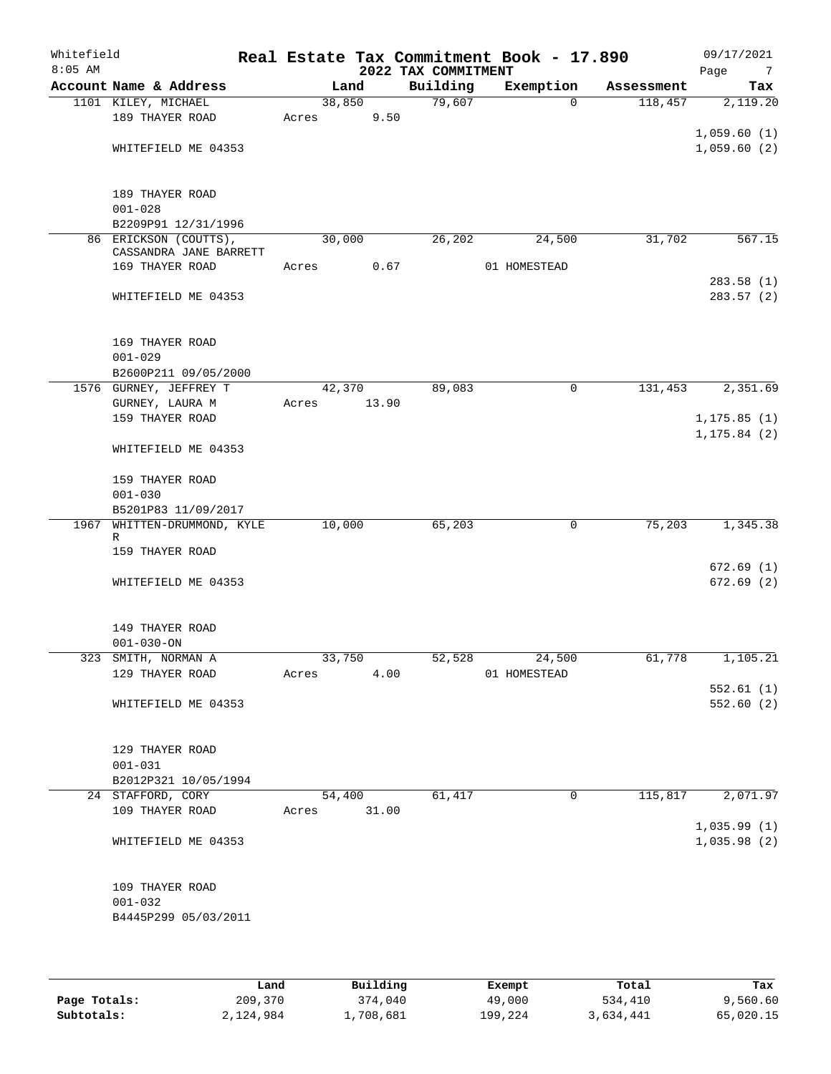| Whitefield<br>$8:05$ AM |                                              |             |        | 2022 TAX COMMITMENT | Real Estate Tax Commitment Book - 17.890 |            | 09/17/2021<br>Page<br>$\overline{7}$ |
|-------------------------|----------------------------------------------|-------------|--------|---------------------|------------------------------------------|------------|--------------------------------------|
|                         | Account Name & Address                       |             | Land   | Building            | Exemption                                | Assessment | Tax                                  |
|                         | 1101 KILEY, MICHAEL                          |             | 38,850 | 79,607              | $\Omega$                                 | 118,457    | 2,119.20                             |
|                         | 189 THAYER ROAD                              | Acres       | 9.50   |                     |                                          |            |                                      |
|                         |                                              |             |        |                     |                                          |            | 1,059.60(1)                          |
|                         | WHITEFIELD ME 04353                          |             |        |                     |                                          |            | 1,059.60(2)                          |
|                         |                                              |             |        |                     |                                          |            |                                      |
|                         | 189 THAYER ROAD                              |             |        |                     |                                          |            |                                      |
|                         | $001 - 028$                                  |             |        |                     |                                          |            |                                      |
|                         | B2209P91 12/31/1996<br>86 ERICKSON (COUTTS), |             | 30,000 | 26,202              | 24,500                                   | 31,702     | 567.15                               |
|                         | CASSANDRA JANE BARRETT                       |             |        |                     |                                          |            |                                      |
|                         | 169 THAYER ROAD                              | Acres       | 0.67   |                     | 01 HOMESTEAD                             |            |                                      |
|                         |                                              |             |        |                     |                                          |            | 283.58(1)                            |
|                         | WHITEFIELD ME 04353                          |             |        |                     |                                          |            | 283.57(2)                            |
|                         | 169 THAYER ROAD                              |             |        |                     |                                          |            |                                      |
|                         | $001 - 029$                                  |             |        |                     |                                          |            |                                      |
|                         | B2600P211 09/05/2000                         |             |        |                     |                                          |            |                                      |
|                         | 1576 GURNEY, JEFFREY T                       |             | 42,370 | 89,083              | 0                                        | 131,453    | 2,351.69                             |
|                         | GURNEY, LAURA M                              | Acres       | 13.90  |                     |                                          |            |                                      |
|                         | 159 THAYER ROAD                              |             |        |                     |                                          |            | 1, 175.85(1)                         |
|                         | WHITEFIELD ME 04353                          |             |        |                     |                                          |            | 1, 175.84 (2)                        |
|                         | 159 THAYER ROAD                              |             |        |                     |                                          |            |                                      |
|                         | $001 - 030$                                  |             |        |                     |                                          |            |                                      |
|                         | B5201P83 11/09/2017                          |             |        |                     |                                          |            |                                      |
| 1967                    | WHITTEN-DRUMMOND, KYLE                       |             | 10,000 | 65,203              | 0                                        | 75,203     | 1,345.38                             |
|                         | R<br>159 THAYER ROAD                         |             |        |                     |                                          |            |                                      |
|                         |                                              |             |        |                     |                                          |            | 672.69(1)                            |
|                         | WHITEFIELD ME 04353                          |             |        |                     |                                          |            | 672.69(2)                            |
|                         |                                              |             |        |                     |                                          |            |                                      |
|                         | 149 THAYER ROAD                              |             |        |                     |                                          |            |                                      |
|                         | $001 - 030 - ON$                             |             |        |                     |                                          |            |                                      |
|                         | 323 SMITH, NORMAN A                          | 33,750      |        |                     | 52,528 24,500                            | 61,778     | 1,105.21                             |
|                         | 129 THAYER ROAD                              | Acres       | 4.00   |                     | 01 HOMESTEAD                             |            |                                      |
|                         |                                              |             |        |                     |                                          |            | 552.61(1)                            |
|                         | WHITEFIELD ME 04353                          |             |        |                     |                                          |            | 552.60(2)                            |
|                         |                                              |             |        |                     |                                          |            |                                      |
|                         | 129 THAYER ROAD<br>$001 - 031$               |             |        |                     |                                          |            |                                      |
|                         | B2012P321 10/05/1994                         |             |        |                     |                                          |            |                                      |
|                         | 24 STAFFORD, CORY                            |             | 54,400 | 61,417              | $\Omega$                                 | 115,817    | 2,071.97                             |
|                         | 109 THAYER ROAD                              | Acres 31.00 |        |                     |                                          |            |                                      |
|                         |                                              |             |        |                     |                                          |            | 1,035.99(1)                          |
|                         | WHITEFIELD ME 04353                          |             |        |                     |                                          |            | 1,035.98(2)                          |
|                         | 109 THAYER ROAD                              |             |        |                     |                                          |            |                                      |
|                         | $001 - 032$                                  |             |        |                     |                                          |            |                                      |
|                         | B4445P299 05/03/2011                         |             |        |                     |                                          |            |                                      |
|                         |                                              |             |        |                     |                                          |            |                                      |
|                         |                                              |             |        |                     |                                          |            |                                      |

|              | Land      | Building  | Exempt  | Total     | Tax       |
|--------------|-----------|-----------|---------|-----------|-----------|
| Page Totals: | 209,370   | 374,040   | 49,000  | 534,410   | 9,560.60  |
| Subtotals:   | 2,124,984 | 1,708,681 | 199,224 | 3,634,441 | 65,020.15 |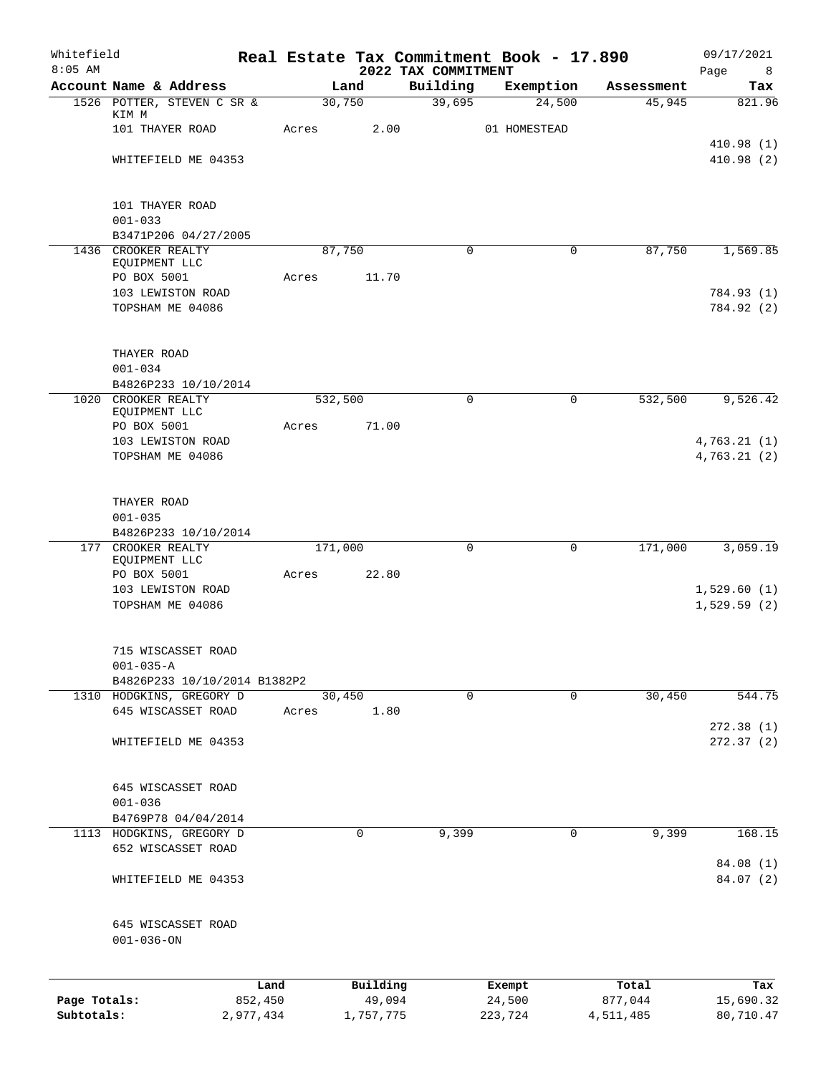| Whitefield<br>$8:05$ AM    |                                                |                      |         |                     | 2022 TAX COMMITMENT | Real Estate Tax Commitment Book - 17.890 |                      | 09/17/2021<br>Page<br>8 |
|----------------------------|------------------------------------------------|----------------------|---------|---------------------|---------------------|------------------------------------------|----------------------|-------------------------|
|                            | Account Name & Address                         |                      |         | Land                | Building            | Exemption                                | Assessment           | Tax                     |
|                            | 1526 POTTER, STEVEN C SR &                     |                      |         | 30,750              | 39,695              | 24,500                                   | 45,945               | 821.96                  |
|                            | KIM M<br>101 THAYER ROAD                       |                      | Acres   | 2.00                |                     | 01 HOMESTEAD                             |                      |                         |
|                            |                                                |                      |         |                     |                     |                                          |                      | 410.98(1)               |
|                            | WHITEFIELD ME 04353                            |                      |         |                     |                     |                                          |                      | 410.98 (2)              |
|                            | 101 THAYER ROAD                                |                      |         |                     |                     |                                          |                      |                         |
|                            | $001 - 033$                                    |                      |         |                     |                     |                                          |                      |                         |
|                            | B3471P206 04/27/2005                           |                      |         |                     |                     |                                          |                      |                         |
|                            | 1436 CROOKER REALTY<br>EQUIPMENT LLC           |                      |         | 87,750              | $\mathbf 0$         | $\mathbf 0$                              | 87,750               | 1,569.85                |
|                            | PO BOX 5001                                    |                      | Acres   | 11.70               |                     |                                          |                      |                         |
|                            | 103 LEWISTON ROAD                              |                      |         |                     |                     |                                          |                      | 784.93 (1)              |
|                            | TOPSHAM ME 04086                               |                      |         |                     |                     |                                          |                      | 784.92 (2)              |
|                            | THAYER ROAD                                    |                      |         |                     |                     |                                          |                      |                         |
|                            | $001 - 034$                                    |                      |         |                     |                     |                                          |                      |                         |
|                            | B4826P233 10/10/2014                           |                      |         |                     |                     |                                          |                      |                         |
|                            | 1020 CROOKER REALTY<br>EQUIPMENT LLC           |                      |         | 532,500             | $\Omega$            | $\Omega$                                 | 532,500              | 9,526.42                |
|                            | PO BOX 5001                                    |                      | Acres   | 71.00               |                     |                                          |                      |                         |
|                            | 103 LEWISTON ROAD                              |                      |         |                     |                     |                                          |                      | 4,763.21(1)             |
|                            | TOPSHAM ME 04086                               |                      |         |                     |                     |                                          |                      | 4,763.21(2)             |
|                            | THAYER ROAD                                    |                      |         |                     |                     |                                          |                      |                         |
|                            | $001 - 035$                                    |                      |         |                     |                     |                                          |                      |                         |
|                            | B4826P233 10/10/2014                           |                      |         |                     |                     |                                          |                      |                         |
|                            | 177 CROOKER REALTY<br>EQUIPMENT LLC            |                      | 171,000 |                     | 0                   | $\mathbf 0$                              | 171,000              | 3,059.19                |
|                            | PO BOX 5001                                    |                      | Acres   | 22.80               |                     |                                          |                      |                         |
|                            | 103 LEWISTON ROAD                              |                      |         |                     |                     |                                          |                      | 1,529.60(1)             |
|                            | TOPSHAM ME 04086                               |                      |         |                     |                     |                                          |                      | 1,529.59(2)             |
|                            | 715 WISCASSET ROAD                             |                      |         |                     |                     |                                          |                      |                         |
|                            | $001 - 035 - A$                                |                      |         |                     |                     |                                          |                      |                         |
|                            | B4826P233 10/10/2014 B1382P2                   |                      |         |                     |                     |                                          |                      |                         |
|                            | 1310 HODGKINS, GREGORY D<br>645 WISCASSET ROAD |                      | Acres   | 30,450<br>1.80      | 0                   | $\mathbf 0$                              | 30,450               | 544.75                  |
|                            |                                                |                      |         |                     |                     |                                          |                      | 272.38(1)               |
|                            | WHITEFIELD ME 04353                            |                      |         |                     |                     |                                          |                      | 272.37(2)               |
|                            | 645 WISCASSET ROAD                             |                      |         |                     |                     |                                          |                      |                         |
|                            | $001 - 036$                                    |                      |         |                     |                     |                                          |                      |                         |
|                            | B4769P78 04/04/2014                            |                      |         |                     |                     |                                          |                      |                         |
|                            | 1113 HODGKINS, GREGORY D                       |                      |         | 0                   | 9,399               | 0                                        | 9,399                | 168.15                  |
|                            | 652 WISCASSET ROAD                             |                      |         |                     |                     |                                          |                      | 84.08 (1)               |
|                            | WHITEFIELD ME 04353                            |                      |         |                     |                     |                                          |                      | 84.07 (2)               |
|                            | 645 WISCASSET ROAD                             |                      |         |                     |                     |                                          |                      |                         |
|                            | $001 - 036 - ON$                               |                      |         |                     |                     |                                          |                      |                         |
|                            |                                                | Land                 |         | Building            |                     | Exempt                                   | Total                | Tax                     |
| Page Totals:<br>Subtotals: |                                                | 852,450<br>2,977,434 |         | 49,094<br>1,757,775 |                     | 24,500<br>223,724                        | 877,044<br>4,511,485 | 15,690.32<br>80,710.47  |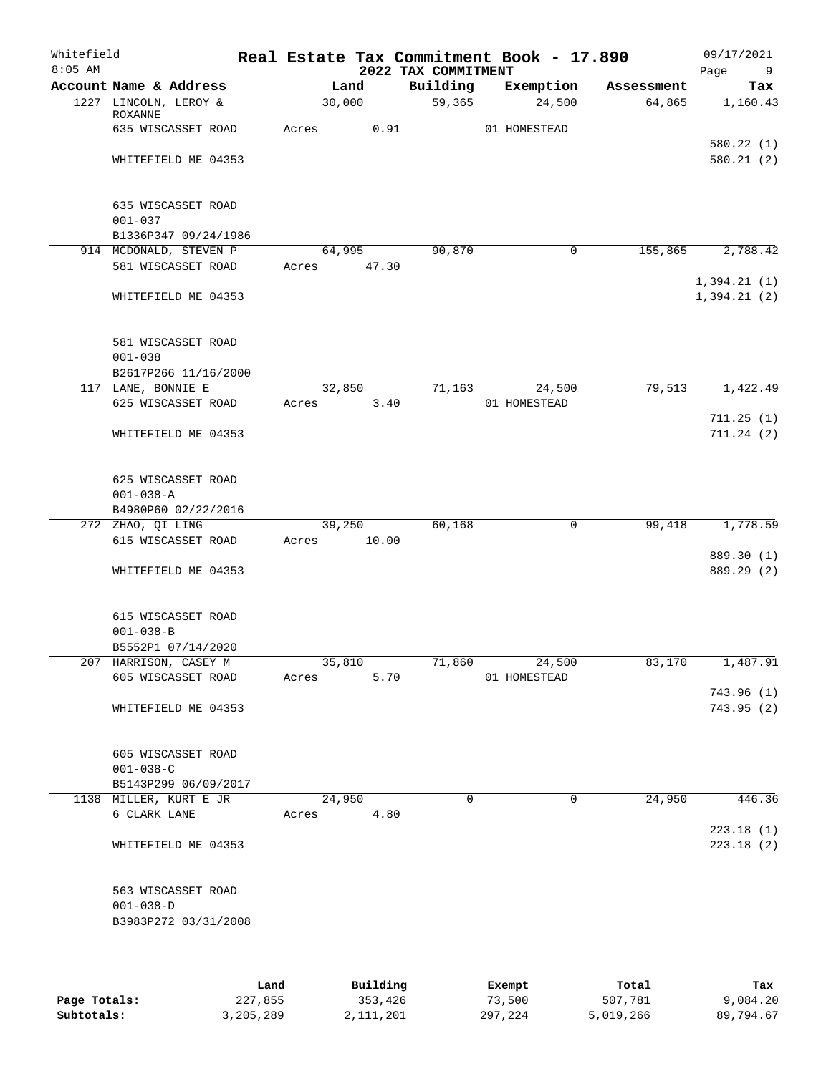| Whitefield<br>$8:05$ AM |                                                               |                 |       | 2022 TAX COMMITMENT | Real Estate Tax Commitment Book - 17.890 |            | 09/17/2021<br>Page<br>9    |
|-------------------------|---------------------------------------------------------------|-----------------|-------|---------------------|------------------------------------------|------------|----------------------------|
|                         | Account Name & Address                                        |                 | Land  | Building            | Exemption                                | Assessment | Tax                        |
|                         | 1227 LINCOLN, LEROY &<br><b>ROXANNE</b>                       | 30,000          |       | 59,365              | 24,500                                   | 64,865     | 1,160.43                   |
|                         | 635 WISCASSET ROAD                                            | Acres           | 0.91  |                     | 01 HOMESTEAD                             |            | 580.22(1)                  |
|                         | WHITEFIELD ME 04353                                           |                 |       |                     |                                          |            | 580.21 (2)                 |
|                         | 635 WISCASSET ROAD<br>$001 - 037$                             |                 |       |                     |                                          |            |                            |
|                         | B1336P347 09/24/1986                                          | 64,995          |       | 90,870              | 0                                        | 155,865    | 2,788.42                   |
|                         | 914 MCDONALD, STEVEN P<br>581 WISCASSET ROAD                  | Acres           | 47.30 |                     |                                          |            |                            |
|                         | WHITEFIELD ME 04353                                           |                 |       |                     |                                          |            | 1,394.21(1)<br>1,394.21(2) |
|                         | 581 WISCASSET ROAD<br>$001 - 038$                             |                 |       |                     |                                          |            |                            |
|                         | B2617P266 11/16/2000                                          |                 |       |                     |                                          |            |                            |
|                         | 117 LANE, BONNIE E<br>625 WISCASSET ROAD                      | 32,850<br>Acres | 3.40  | 71,163              | 24,500<br>01 HOMESTEAD                   | 79,513     | 1,422.49                   |
|                         |                                                               |                 |       |                     |                                          |            | 711.25(1)                  |
|                         | WHITEFIELD ME 04353                                           |                 |       |                     |                                          |            | 711.24(2)                  |
|                         | 625 WISCASSET ROAD<br>$001 - 038 - A$                         |                 |       |                     |                                          |            |                            |
|                         | B4980P60 02/22/2016                                           |                 |       |                     |                                          |            |                            |
|                         | 272 ZHAO, QI LING<br>615 WISCASSET ROAD                       | 39,250<br>Acres | 10.00 | 60,168              | 0                                        | 99,418     | 1,778.59                   |
|                         | WHITEFIELD ME 04353                                           |                 |       |                     |                                          |            | 889.30 (1)<br>889.29 (2)   |
|                         | 615 WISCASSET ROAD<br>$001 - 038 - B$<br>B5552P1 07/14/2020   |                 |       |                     |                                          |            |                            |
|                         | 207 HARRISON, CASEY M                                         | 35,810          |       | 71,860              | 24,500                                   | 83,170     | 1,487.91                   |
|                         | 605 WISCASSET ROAD                                            | Acres           | 5.70  |                     | 01 HOMESTEAD                             |            | 743.96 (1)                 |
|                         | WHITEFIELD ME 04353                                           |                 |       |                     |                                          |            | 743.95(2)                  |
|                         | 605 WISCASSET ROAD<br>$001 - 038 - C$<br>B5143P299 06/09/2017 |                 |       |                     |                                          |            |                            |
|                         | 1138 MILLER, KURT E JR                                        | 24,950          |       | $\Omega$            | 0                                        | 24,950     | 446.36                     |
|                         | 6 CLARK LANE                                                  | Acres           | 4.80  |                     |                                          |            | 223.18(1)                  |
|                         | WHITEFIELD ME 04353                                           |                 |       |                     |                                          |            | 223.18(2)                  |
|                         | 563 WISCASSET ROAD<br>$001 - 038 - D$<br>B3983P272 03/31/2008 |                 |       |                     |                                          |            |                            |
|                         |                                                               |                 |       |                     |                                          |            |                            |

|              | Land      | Building  | Exempt  | Total     | Tax       |
|--------------|-----------|-----------|---------|-----------|-----------|
| Page Totals: | 227,855   | 353,426   | 73,500  | 507,781   | 9,084.20  |
| Subtotals:   | 3,205,289 | 2,111,201 | 297,224 | 5,019,266 | 89,794.67 |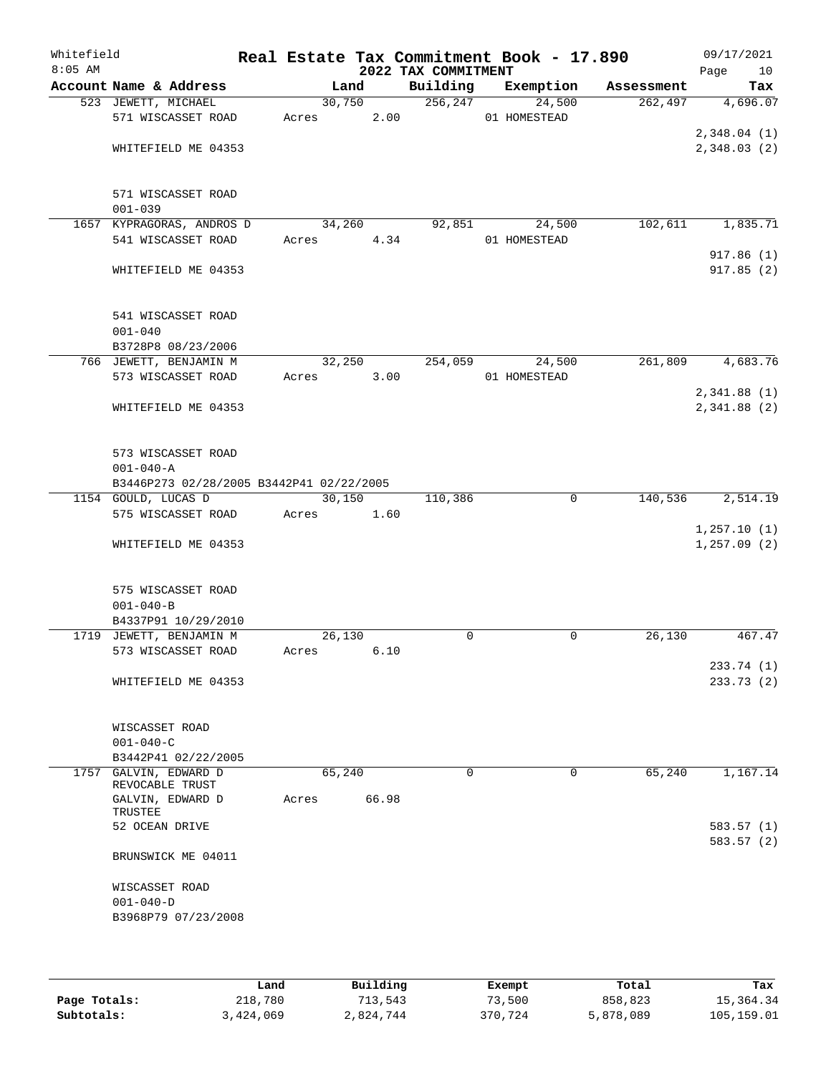| Whitefield<br>$8:05$ AM |                                           |       |        |       | 2022 TAX COMMITMENT | Real Estate Tax Commitment Book - 17.890 |            | 09/17/2021<br>Page<br>10   |
|-------------------------|-------------------------------------------|-------|--------|-------|---------------------|------------------------------------------|------------|----------------------------|
|                         | Account Name & Address                    |       | Land   |       | Building            | Exemption                                | Assessment | Tax                        |
|                         | 523 JEWETT, MICHAEL                       |       | 30,750 |       | 256, 247            | 24,500                                   | 262,497    | 4,696.07                   |
|                         | 571 WISCASSET ROAD                        | Acres |        | 2.00  |                     | 01 HOMESTEAD                             |            |                            |
|                         | WHITEFIELD ME 04353                       |       |        |       |                     |                                          |            | 2,348.04(1)<br>2,348.03(2) |
|                         |                                           |       |        |       |                     |                                          |            |                            |
|                         | 571 WISCASSET ROAD                        |       |        |       |                     |                                          |            |                            |
|                         | $001 - 039$                               |       |        |       |                     |                                          |            |                            |
|                         | 1657 KYPRAGORAS, ANDROS D                 |       | 34,260 |       | 92,851              | 24,500                                   | 102,611    | 1,835.71                   |
|                         | 541 WISCASSET ROAD                        | Acres |        | 4.34  |                     | 01 HOMESTEAD                             |            |                            |
|                         |                                           |       |        |       |                     |                                          |            | 917.86(1)                  |
|                         | WHITEFIELD ME 04353                       |       |        |       |                     |                                          |            | 917.85(2)                  |
|                         | 541 WISCASSET ROAD                        |       |        |       |                     |                                          |            |                            |
|                         | $001 - 040$                               |       |        |       |                     |                                          |            |                            |
|                         | B3728P8 08/23/2006                        |       |        |       |                     |                                          |            |                            |
|                         | 766 JEWETT, BENJAMIN M                    |       | 32,250 |       | 254,059             | 24,500                                   | 261,809    | 4,683.76                   |
|                         | 573 WISCASSET ROAD                        | Acres |        | 3.00  |                     | 01 HOMESTEAD                             |            |                            |
|                         |                                           |       |        |       |                     |                                          |            | 2,341.88(1)                |
|                         | WHITEFIELD ME 04353                       |       |        |       |                     |                                          |            | 2,341.88(2)                |
|                         |                                           |       |        |       |                     |                                          |            |                            |
|                         |                                           |       |        |       |                     |                                          |            |                            |
|                         | 573 WISCASSET ROAD                        |       |        |       |                     |                                          |            |                            |
|                         | $001 - 040 - A$                           |       |        |       |                     |                                          |            |                            |
|                         | B3446P273 02/28/2005 B3442P41 02/22/2005  |       |        |       |                     |                                          |            |                            |
|                         | 1154 GOULD, LUCAS D<br>575 WISCASSET ROAD |       | 30,150 | 1.60  | 110,386             | 0                                        | 140,536    | 2,514.19                   |
|                         |                                           | Acres |        |       |                     |                                          |            | 1, 257.10(1)               |
|                         | WHITEFIELD ME 04353                       |       |        |       |                     |                                          |            | 1, 257.09(2)               |
|                         |                                           |       |        |       |                     |                                          |            |                            |
|                         | 575 WISCASSET ROAD                        |       |        |       |                     |                                          |            |                            |
|                         | $001 - 040 - B$                           |       |        |       |                     |                                          |            |                            |
|                         | B4337P91 10/29/2010                       |       |        |       |                     |                                          |            |                            |
|                         | 1719 JEWETT, BENJAMIN M                   |       | 26,130 |       | $\mathbf 0$         | $\mathbf 0$                              | 26,130     | 467.47                     |
|                         | 573 WISCASSET ROAD                        | Acres |        | 6.10  |                     |                                          |            |                            |
|                         |                                           |       |        |       |                     |                                          |            | 233.74 (1)                 |
|                         | WHITEFIELD ME 04353                       |       |        |       |                     |                                          |            | 233.73(2)                  |
|                         |                                           |       |        |       |                     |                                          |            |                            |
|                         |                                           |       |        |       |                     |                                          |            |                            |
|                         | WISCASSET ROAD<br>$001 - 040 - C$         |       |        |       |                     |                                          |            |                            |
|                         | B3442P41 02/22/2005                       |       |        |       |                     |                                          |            |                            |
|                         | 1757 GALVIN, EDWARD D                     |       | 65,240 |       | $\mathbf 0$         | 0                                        | 65,240     | 1,167.14                   |
|                         | REVOCABLE TRUST                           |       |        |       |                     |                                          |            |                            |
|                         | GALVIN, EDWARD D                          | Acres |        | 66.98 |                     |                                          |            |                            |
|                         | TRUSTEE                                   |       |        |       |                     |                                          |            |                            |
|                         | 52 OCEAN DRIVE                            |       |        |       |                     |                                          |            | 583.57 (1)<br>583.57 (2)   |
|                         | BRUNSWICK ME 04011                        |       |        |       |                     |                                          |            |                            |
|                         |                                           |       |        |       |                     |                                          |            |                            |
|                         | WISCASSET ROAD                            |       |        |       |                     |                                          |            |                            |
|                         | $001 - 040 - D$<br>B3968P79 07/23/2008    |       |        |       |                     |                                          |            |                            |
|                         |                                           |       |        |       |                     |                                          |            |                            |
|                         |                                           |       |        |       |                     |                                          |            |                            |
|                         |                                           |       |        |       |                     |                                          |            |                            |

|              | Land      | Building  | Exempt  | Total     | Tax        |
|--------------|-----------|-----------|---------|-----------|------------|
| Page Totals: | 218,780   | 713,543   | 73,500  | 858,823   | 15,364.34  |
| Subtotals:   | 3,424,069 | 2,824,744 | 370,724 | 5,878,089 | 105,159.01 |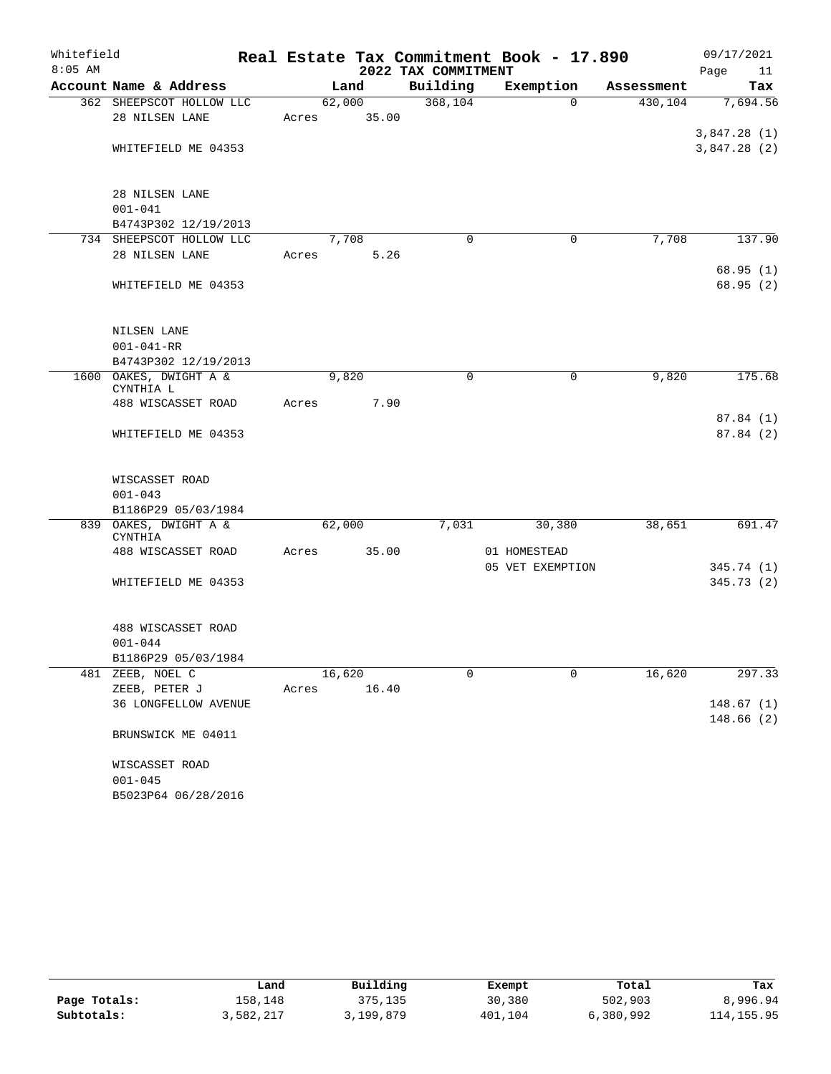| Whitefield<br>$8:05$ AM |                                     |       |        |       |                                 | Real Estate Tax Commitment Book - 17.890 |                        | 09/17/2021            |    |
|-------------------------|-------------------------------------|-------|--------|-------|---------------------------------|------------------------------------------|------------------------|-----------------------|----|
|                         | Account Name & Address              |       | Land   |       | 2022 TAX COMMITMENT<br>Building | Exemption                                |                        | Page                  | 11 |
|                         | 362 SHEEPSCOT HOLLOW LLC            |       | 62,000 |       | 368,104                         | $\Omega$                                 | Assessment<br>430, 104 | Tax<br>7,694.56       |    |
|                         | 28 NILSEN LANE                      | Acres |        | 35.00 |                                 |                                          |                        |                       |    |
|                         |                                     |       |        |       |                                 |                                          |                        | 3,847.28(1)           |    |
|                         | WHITEFIELD ME 04353                 |       |        |       |                                 |                                          |                        | 3,847.28(2)           |    |
|                         | 28 NILSEN LANE                      |       |        |       |                                 |                                          |                        |                       |    |
|                         | $001 - 041$                         |       |        |       |                                 |                                          |                        |                       |    |
|                         | B4743P302 12/19/2013                |       |        |       |                                 |                                          |                        |                       |    |
|                         | 734 SHEEPSCOT HOLLOW LLC            |       | 7,708  |       | $\Omega$                        | 0                                        | 7,708                  | 137.90                |    |
|                         | 28 NILSEN LANE                      | Acres |        | 5.26  |                                 |                                          |                        |                       |    |
|                         | WHITEFIELD ME 04353                 |       |        |       |                                 |                                          |                        | 68.95(1)<br>68.95 (2) |    |
|                         |                                     |       |        |       |                                 |                                          |                        |                       |    |
|                         | <b>NILSEN LANE</b>                  |       |        |       |                                 |                                          |                        |                       |    |
|                         | $001 - 041 - RR$                    |       |        |       |                                 |                                          |                        |                       |    |
|                         | B4743P302 12/19/2013                |       |        |       |                                 |                                          |                        |                       |    |
|                         | 1600 OAKES, DWIGHT A &<br>CYNTHIA L |       | 9,820  |       | 0                               | 0                                        | 9,820                  | 175.68                |    |
|                         | 488 WISCASSET ROAD                  | Acres |        | 7.90  |                                 |                                          |                        | 87.84(1)              |    |
|                         | WHITEFIELD ME 04353                 |       |        |       |                                 |                                          |                        | 87.84 (2)             |    |
|                         | WISCASSET ROAD                      |       |        |       |                                 |                                          |                        |                       |    |
|                         | $001 - 043$                         |       |        |       |                                 |                                          |                        |                       |    |
|                         | B1186P29 05/03/1984                 |       |        |       |                                 |                                          |                        |                       |    |
|                         | 839 OAKES, DWIGHT A &<br>CYNTHIA    |       | 62,000 |       | 7,031                           | 30,380                                   | 38,651                 | 691.47                |    |
|                         | 488 WISCASSET ROAD                  | Acres |        | 35.00 |                                 | 01 HOMESTEAD                             |                        |                       |    |
|                         |                                     |       |        |       |                                 | 05 VET EXEMPTION                         |                        | 345.74 (1)            |    |
|                         | WHITEFIELD ME 04353                 |       |        |       |                                 |                                          |                        | 345.73 (2)            |    |
|                         | 488 WISCASSET ROAD                  |       |        |       |                                 |                                          |                        |                       |    |
|                         | $001 - 044$                         |       |        |       |                                 |                                          |                        |                       |    |
|                         | B1186P29 05/03/1984                 |       |        |       |                                 |                                          |                        |                       |    |
|                         | 481 ZEEB, NOEL C                    |       | 16,620 |       | 0                               | 0                                        | 16,620                 | 297.33                |    |
|                         | ZEEB, PETER J                       | Acres |        | 16.40 |                                 |                                          |                        |                       |    |
|                         | 36 LONGFELLOW AVENUE                |       |        |       |                                 |                                          |                        | 148.67(1)             |    |
|                         | BRUNSWICK ME 04011                  |       |        |       |                                 |                                          |                        | 148.66(2)             |    |
|                         | WISCASSET ROAD                      |       |        |       |                                 |                                          |                        |                       |    |
|                         | $001 - 045$                         |       |        |       |                                 |                                          |                        |                       |    |
|                         | B5023P64 06/28/2016                 |       |        |       |                                 |                                          |                        |                       |    |

|              | Land      | Building  | Exempt  | Total     | Tax        |
|--------------|-----------|-----------|---------|-----------|------------|
| Page Totals: | 158.148   | 375,135   | 30,380  | 502,903   | 8,996.94   |
| Subtotals:   | 3,582,217 | 3,199,879 | 401,104 | 6,380,992 | 114,155.95 |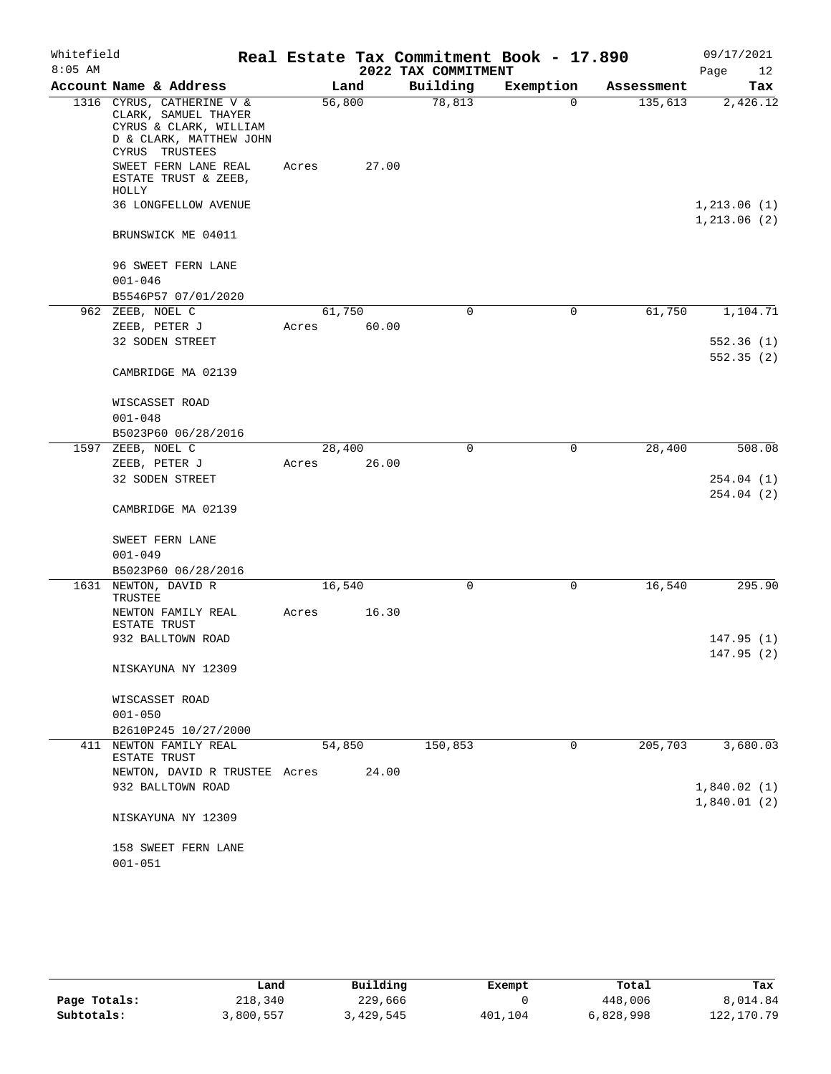| Whitefield |                                                                                                                          |        |       |                     | Real Estate Tax Commitment Book - 17.890 |            | 09/17/2021                  |
|------------|--------------------------------------------------------------------------------------------------------------------------|--------|-------|---------------------|------------------------------------------|------------|-----------------------------|
| $8:05$ AM  |                                                                                                                          |        |       | 2022 TAX COMMITMENT |                                          |            | Page<br>12                  |
|            | Account Name & Address                                                                                                   |        | Land  | Building            | Exemption                                | Assessment | Tax                         |
|            | 1316 CYRUS, CATHERINE V &<br>CLARK, SAMUEL THAYER<br>CYRUS & CLARK, WILLIAM<br>D & CLARK, MATTHEW JOHN<br>CYRUS TRUSTEES | 56,800 |       | 78,813              | $\Omega$                                 | 135,613    | 2,426.12                    |
|            | SWEET FERN LANE REAL<br>ESTATE TRUST & ZEEB,<br>HOLLY                                                                    | Acres  | 27.00 |                     |                                          |            |                             |
|            | 36 LONGFELLOW AVENUE                                                                                                     |        |       |                     |                                          |            | 1,213.06(1)<br>1, 213.06(2) |
|            | BRUNSWICK ME 04011                                                                                                       |        |       |                     |                                          |            |                             |
|            | 96 SWEET FERN LANE                                                                                                       |        |       |                     |                                          |            |                             |
|            | $001 - 046$                                                                                                              |        |       |                     |                                          |            |                             |
|            | B5546P57 07/01/2020                                                                                                      |        |       |                     |                                          |            |                             |
|            | 962 ZEEB, NOEL C                                                                                                         | 61,750 | 60.00 | 0                   | 0                                        | 61,750     | 1,104.71                    |
|            | ZEEB, PETER J<br>32 SODEN STREET                                                                                         | Acres  |       |                     |                                          |            | 552.36(1)                   |
|            |                                                                                                                          |        |       |                     |                                          |            | 552.35(2)                   |
|            | CAMBRIDGE MA 02139                                                                                                       |        |       |                     |                                          |            |                             |
|            | WISCASSET ROAD                                                                                                           |        |       |                     |                                          |            |                             |
|            | $001 - 048$                                                                                                              |        |       |                     |                                          |            |                             |
|            | B5023P60 06/28/2016<br>1597 ZEEB, NOEL C                                                                                 | 28,400 |       | $\mathbf 0$         | $\mathbf 0$                              | 28,400     | 508.08                      |
|            | ZEEB, PETER J                                                                                                            | Acres  | 26.00 |                     |                                          |            |                             |
|            | 32 SODEN STREET                                                                                                          |        |       |                     |                                          |            | 254.04(1)<br>254.04(2)      |
|            | CAMBRIDGE MA 02139                                                                                                       |        |       |                     |                                          |            |                             |
|            | SWEET FERN LANE                                                                                                          |        |       |                     |                                          |            |                             |
|            | $001 - 049$                                                                                                              |        |       |                     |                                          |            |                             |
|            | B5023P60 06/28/2016                                                                                                      |        |       |                     |                                          |            |                             |
|            | 1631 NEWTON, DAVID R<br>TRUSTEE                                                                                          | 16,540 |       | 0                   | 0                                        | 16,540     | 295.90                      |
|            | NEWTON FAMILY REAL<br>ESTATE TRUST                                                                                       | Acres  | 16.30 |                     |                                          |            |                             |
|            | 932 BALLTOWN ROAD                                                                                                        |        |       |                     |                                          |            | 147.95(1)<br>147.95(2)      |
|            | NISKAYUNA NY 12309                                                                                                       |        |       |                     |                                          |            |                             |
|            | WISCASSET ROAD                                                                                                           |        |       |                     |                                          |            |                             |
|            | $001 - 050$                                                                                                              |        |       |                     |                                          |            |                             |
| 411        | B2610P245 10/27/2000<br>NEWTON FAMILY REAL                                                                               |        |       |                     | 0                                        | 205,703    | 3,680.03                    |
|            | ESTATE TRUST<br>NEWTON, DAVID R TRUSTEE Acres                                                                            | 54,850 | 24.00 | 150,853             |                                          |            |                             |
|            | 932 BALLTOWN ROAD                                                                                                        |        |       |                     |                                          |            | 1,840.02(1)                 |
|            |                                                                                                                          |        |       |                     |                                          |            | 1,840.01(2)                 |
|            | NISKAYUNA NY 12309                                                                                                       |        |       |                     |                                          |            |                             |
|            | 158 SWEET FERN LANE                                                                                                      |        |       |                     |                                          |            |                             |
|            | $001 - 051$                                                                                                              |        |       |                     |                                          |            |                             |

|              | Land      | Building  | Exempt  | Total     | Tax          |
|--------------|-----------|-----------|---------|-----------|--------------|
| Page Totals: | 218,340   | 229,666   |         | 448,006   | 8,014.84     |
| Subtotals:   | 3,800,557 | 3,429,545 | 401,104 | 6,828,998 | 122, 170. 79 |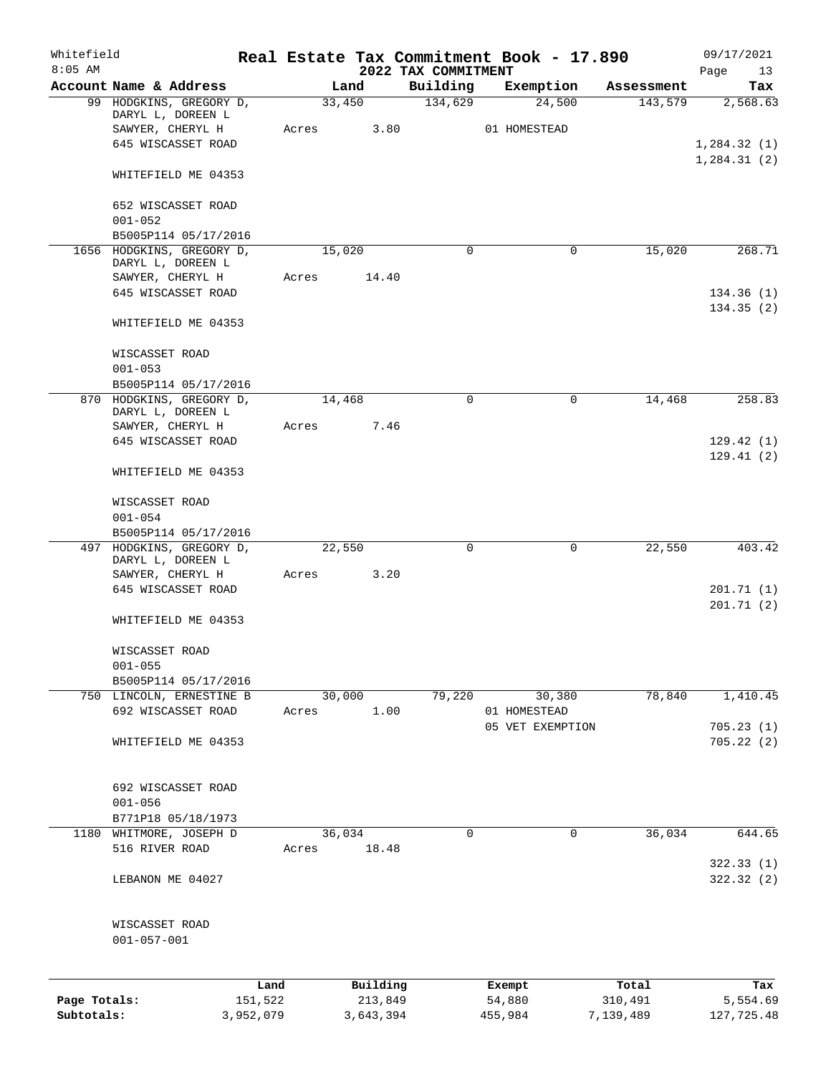| Whitefield<br>$8:05$ AM    |                                                |       |                      | 2022 TAX COMMITMENT | Real Estate Tax Commitment Book - 17.890 |                      | 09/17/2021<br>Page<br>13    |
|----------------------------|------------------------------------------------|-------|----------------------|---------------------|------------------------------------------|----------------------|-----------------------------|
|                            | Account Name & Address                         |       | Land                 | Building            | Exemption                                | Assessment           | Tax                         |
|                            | 99 HODGKINS, GREGORY D,<br>DARYL L, DOREEN L   |       | 33,450               | 134,629             | 24,500                                   | 143,579              | 2,568.63                    |
|                            | SAWYER, CHERYL H                               | Acres | 3.80                 |                     | 01 HOMESTEAD                             |                      |                             |
|                            | 645 WISCASSET ROAD                             |       |                      |                     |                                          |                      | 1,284.32(1)<br>1, 284.31(2) |
|                            | WHITEFIELD ME 04353                            |       |                      |                     |                                          |                      |                             |
|                            | 652 WISCASSET ROAD<br>$001 - 052$              |       |                      |                     |                                          |                      |                             |
|                            | B5005P114 05/17/2016                           |       |                      |                     |                                          |                      |                             |
|                            | 1656 HODGKINS, GREGORY D,<br>DARYL L, DOREEN L |       | 15,020               | $\Omega$            | 0                                        | 15,020               | 268.71                      |
|                            | SAWYER, CHERYL H                               | Acres | 14.40                |                     |                                          |                      |                             |
|                            | 645 WISCASSET ROAD                             |       |                      |                     |                                          |                      | 134.36(1)<br>134.35(2)      |
|                            | WHITEFIELD ME 04353                            |       |                      |                     |                                          |                      |                             |
|                            | WISCASSET ROAD                                 |       |                      |                     |                                          |                      |                             |
|                            | $001 - 053$                                    |       |                      |                     |                                          |                      |                             |
|                            | B5005P114 05/17/2016                           |       |                      |                     |                                          |                      |                             |
|                            | 870 HODGKINS, GREGORY D,<br>DARYL L, DOREEN L  |       | 14,468               | $\mathbf 0$         | 0                                        | 14,468               | 258.83                      |
|                            | SAWYER, CHERYL H                               | Acres | 7.46                 |                     |                                          |                      |                             |
|                            | 645 WISCASSET ROAD                             |       |                      |                     |                                          |                      | 129.42(1)<br>129.41(2)      |
|                            | WHITEFIELD ME 04353                            |       |                      |                     |                                          |                      |                             |
|                            | WISCASSET ROAD                                 |       |                      |                     |                                          |                      |                             |
|                            | $001 - 054$                                    |       |                      |                     |                                          |                      |                             |
|                            | B5005P114 05/17/2016                           |       |                      |                     |                                          |                      |                             |
|                            | 497 HODGKINS, GREGORY D,<br>DARYL L, DOREEN L  |       | 22,550               | $\mathbf 0$         | 0                                        | 22,550               | 403.42                      |
|                            | SAWYER, CHERYL H                               | Acres | 3.20                 |                     |                                          |                      |                             |
|                            | 645 WISCASSET ROAD                             |       |                      |                     |                                          |                      | 201.71(1)<br>201.71(2)      |
|                            | WHITEFIELD ME 04353                            |       |                      |                     |                                          |                      |                             |
|                            | WISCASSET ROAD                                 |       |                      |                     |                                          |                      |                             |
|                            | $001 - 055$<br>B5005P114 05/17/2016            |       |                      |                     |                                          |                      |                             |
|                            | 750 LINCOLN, ERNESTINE B                       |       | 30,000               | 79,220              | 30,380                                   | 78,840               | 1,410.45                    |
|                            | 692 WISCASSET ROAD                             | Acres | 1.00                 |                     | 01 HOMESTEAD                             |                      |                             |
|                            |                                                |       |                      |                     | 05 VET EXEMPTION                         |                      | 705.23(1)                   |
|                            | WHITEFIELD ME 04353                            |       |                      |                     |                                          |                      | 705.22(2)                   |
|                            |                                                |       |                      |                     |                                          |                      |                             |
|                            | 692 WISCASSET ROAD<br>$001 - 056$              |       |                      |                     |                                          |                      |                             |
|                            | B771P18 05/18/1973                             |       |                      |                     |                                          |                      |                             |
| 1180                       | WHITMORE, JOSEPH D                             |       | 36,034               | 0                   | 0                                        | 36,034               | 644.65                      |
|                            | 516 RIVER ROAD                                 | Acres | 18.48                |                     |                                          |                      |                             |
|                            | LEBANON ME 04027                               |       |                      |                     |                                          |                      | 322.33 (1)<br>322.32 (2)    |
|                            |                                                |       |                      |                     |                                          |                      |                             |
|                            | WISCASSET ROAD<br>$001 - 057 - 001$            |       |                      |                     |                                          |                      |                             |
|                            |                                                |       |                      |                     |                                          |                      |                             |
|                            |                                                | Land  | Building             |                     | Exempt                                   | Total                | Tax                         |
| Page Totals:<br>Subtotals: | 151,522<br>3,952,079                           |       | 213,849<br>3,643,394 |                     | 54,880<br>455,984                        | 310,491<br>7,139,489 | 5,554.69<br>127,725.48      |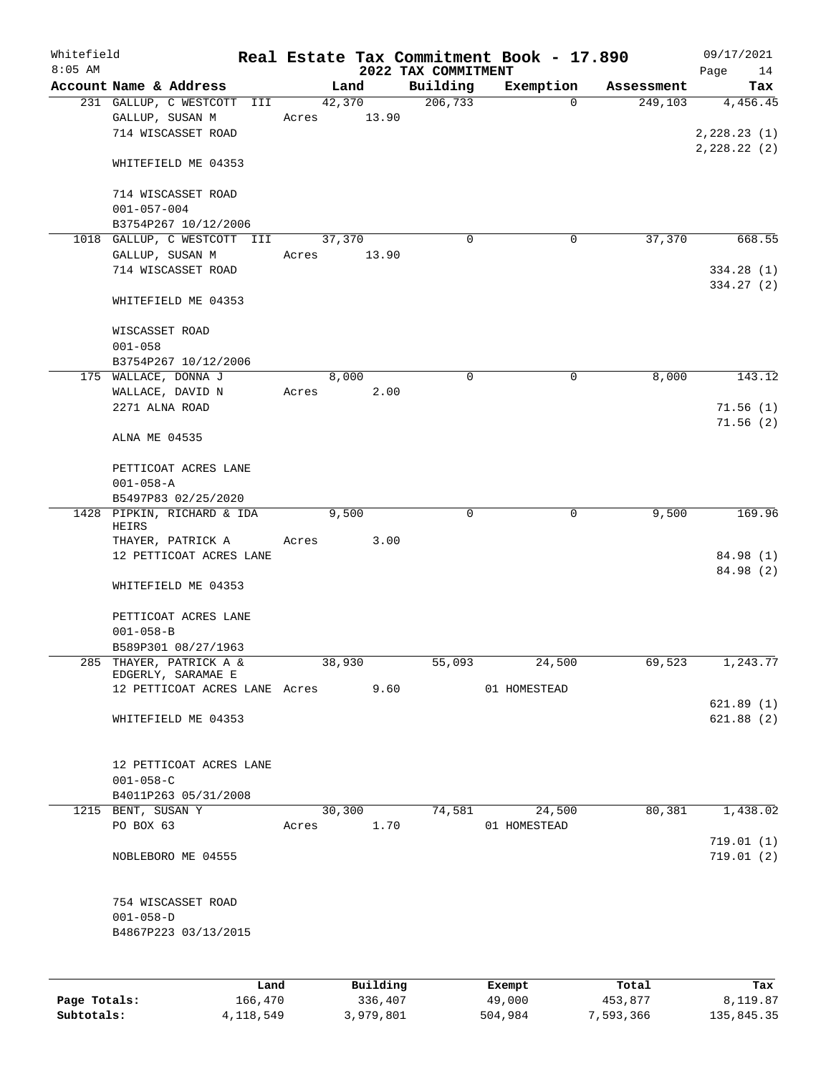| Whitefield<br>$8:05$ AM |                                     |       |        |          |                                 | Real Estate Tax Commitment Book - 17.890 |            | 09/17/2021             |
|-------------------------|-------------------------------------|-------|--------|----------|---------------------------------|------------------------------------------|------------|------------------------|
|                         | Account Name & Address              |       | Land   |          | 2022 TAX COMMITMENT<br>Building | Exemption                                | Assessment | Page<br>14<br>Tax      |
|                         | 231 GALLUP, C WESTCOTT III          |       | 42,370 |          | 206, 733                        | $\mathbf 0$                              | 249,103    | 4,456.45               |
|                         | GALLUP, SUSAN M                     | Acres |        | 13.90    |                                 |                                          |            |                        |
|                         | 714 WISCASSET ROAD                  |       |        |          |                                 |                                          |            | 2, 228.23(1)           |
|                         |                                     |       |        |          |                                 |                                          |            | 2, 228.22 (2)          |
|                         | WHITEFIELD ME 04353                 |       |        |          |                                 |                                          |            |                        |
|                         | 714 WISCASSET ROAD                  |       |        |          |                                 |                                          |            |                        |
|                         | $001 - 057 - 004$                   |       |        |          |                                 |                                          |            |                        |
|                         | B3754P267 10/12/2006                |       |        |          |                                 |                                          |            |                        |
|                         | 1018 GALLUP, C WESTCOTT III         |       | 37,370 |          | $\Omega$                        | 0                                        | 37,370     | 668.55                 |
|                         | GALLUP, SUSAN M                     | Acres |        | 13.90    |                                 |                                          |            |                        |
|                         | 714 WISCASSET ROAD                  |       |        |          |                                 |                                          |            | 334.28(1)              |
|                         |                                     |       |        |          |                                 |                                          |            | 334.27(2)              |
|                         | WHITEFIELD ME 04353                 |       |        |          |                                 |                                          |            |                        |
|                         | WISCASSET ROAD                      |       |        |          |                                 |                                          |            |                        |
|                         | $001 - 058$                         |       |        |          |                                 |                                          |            |                        |
|                         | B3754P267 10/12/2006                |       |        |          |                                 |                                          |            |                        |
|                         | 175 WALLACE, DONNA J                |       | 8,000  |          | $\mathbf 0$                     | $\mathbf 0$                              | 8,000      | 143.12                 |
|                         |                                     |       |        |          |                                 |                                          |            |                        |
|                         | WALLACE, DAVID N                    | Acres |        | 2.00     |                                 |                                          |            |                        |
|                         | 2271 ALNA ROAD                      |       |        |          |                                 |                                          |            | 71.56(1)               |
|                         | ALNA ME 04535                       |       |        |          |                                 |                                          |            | 71.56(2)               |
|                         | PETTICOAT ACRES LANE                |       |        |          |                                 |                                          |            |                        |
|                         |                                     |       |        |          |                                 |                                          |            |                        |
|                         | $001 - 058 - A$                     |       |        |          |                                 |                                          |            |                        |
|                         | B5497P83 02/25/2020                 |       |        |          |                                 |                                          |            |                        |
|                         | 1428 PIPKIN, RICHARD & IDA<br>HEIRS |       | 9,500  |          | $\mathbf 0$                     | $\mathbf 0$                              | 9,500      | 169.96                 |
|                         | THAYER, PATRICK A                   | Acres |        | 3.00     |                                 |                                          |            |                        |
|                         | 12 PETTICOAT ACRES LANE             |       |        |          |                                 |                                          |            | 84.98 (1)<br>84.98 (2) |
|                         | WHITEFIELD ME 04353                 |       |        |          |                                 |                                          |            |                        |
|                         | PETTICOAT ACRES LANE                |       |        |          |                                 |                                          |            |                        |
|                         | $001 - 058 - B$                     |       |        |          |                                 |                                          |            |                        |
|                         | B589P301 08/27/1963                 |       |        |          |                                 |                                          |            |                        |
| 285                     | THAYER, PATRICK A &                 |       | 38,930 |          | 55,093                          | 24,500                                   | 69,523     | 1,243.77               |
|                         | EDGERLY, SARAMAE E                  |       |        |          |                                 |                                          |            |                        |
|                         | 12 PETTICOAT ACRES LANE Acres       |       |        | 9.60     |                                 | 01 HOMESTEAD                             |            |                        |
|                         |                                     |       |        |          |                                 |                                          |            | 621.89(1)              |
|                         | WHITEFIELD ME 04353                 |       |        |          |                                 |                                          |            | 621.88(2)              |
|                         |                                     |       |        |          |                                 |                                          |            |                        |
|                         | 12 PETTICOAT ACRES LANE             |       |        |          |                                 |                                          |            |                        |
|                         | $001 - 058 - C$                     |       |        |          |                                 |                                          |            |                        |
|                         | B4011P263 05/31/2008                |       |        |          |                                 |                                          |            |                        |
|                         | 1215 BENT, SUSAN Y                  |       | 30,300 |          | 74,581                          | 24,500                                   | 80,381     | 1,438.02               |
|                         | PO BOX 63                           | Acres |        | 1.70     |                                 | 01 HOMESTEAD                             |            |                        |
|                         | NOBLEBORO ME 04555                  |       |        |          |                                 |                                          |            | 719.01(1)<br>719.01(2) |
|                         |                                     |       |        |          |                                 |                                          |            |                        |
|                         | 754 WISCASSET ROAD                  |       |        |          |                                 |                                          |            |                        |
|                         | $001 - 058 - D$                     |       |        |          |                                 |                                          |            |                        |
|                         | B4867P223 03/13/2015                |       |        |          |                                 |                                          |            |                        |
|                         |                                     |       |        |          |                                 |                                          |            |                        |
|                         | Land                                |       |        | Building |                                 |                                          | Total      | Tax                    |
| Page Totals:            | 166,470                             |       |        | 336,407  |                                 | Exempt<br>49,000                         | 453,877    | 8,119.87               |

**Subtotals:** 4,118,549 3,979,801 504,984 7,593,366 135,845.35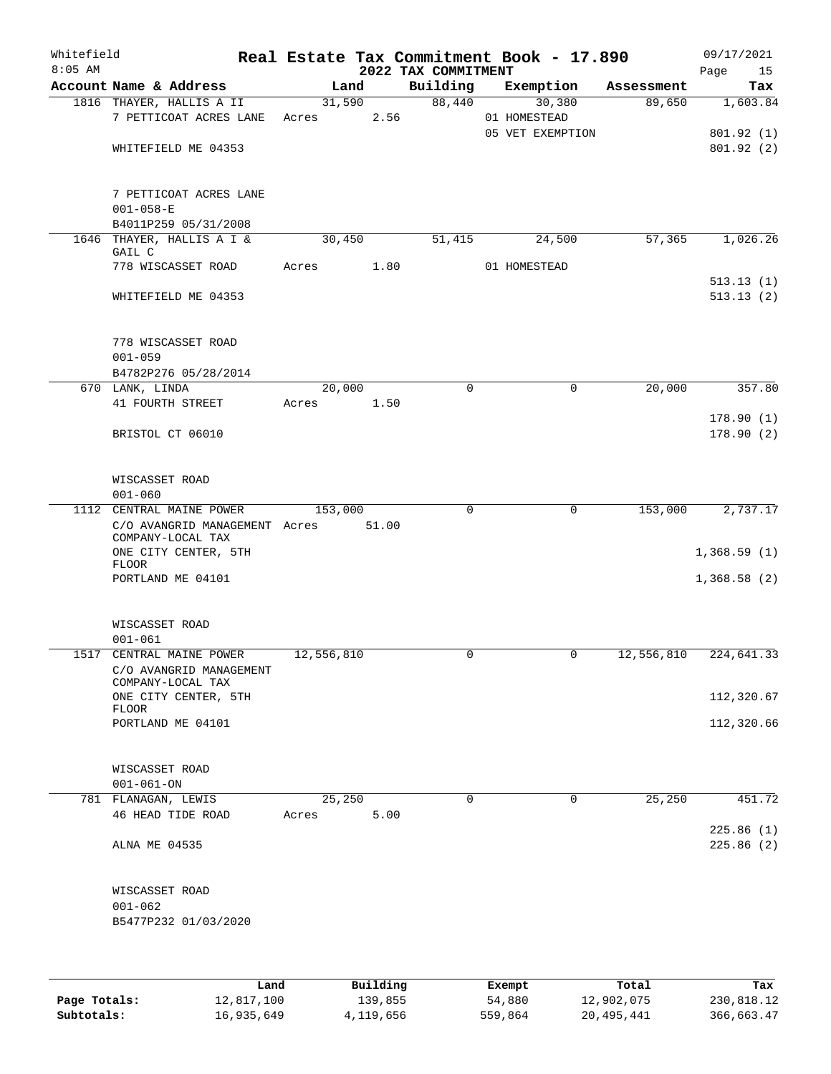| Whitefield<br>$8:05$ AM |                                                                           |            |                      | 2022 TAX COMMITMENT | Real Estate Tax Commitment Book - 17.890   |                               | 09/17/2021<br>Page<br>15           |
|-------------------------|---------------------------------------------------------------------------|------------|----------------------|---------------------|--------------------------------------------|-------------------------------|------------------------------------|
|                         | Account Name & Address                                                    |            | Land                 |                     |                                            | Building Exemption Assessment | Tax                                |
|                         | 1816 THAYER, HALLIS A II<br>7 PETTICOAT ACRES LANE<br>WHITEFIELD ME 04353 | Acres      | 31,590<br>2.56       | 88,440              | 30,380<br>01 HOMESTEAD<br>05 VET EXEMPTION | 89,650                        | 1,603.84<br>801.92(1)<br>801.92(2) |
|                         | 7 PETTICOAT ACRES LANE<br>$001 - 058 - E$<br>B4011P259 05/31/2008         |            |                      |                     |                                            |                               |                                    |
|                         | 1646 THAYER, HALLIS A I &                                                 |            | 30,450               | 51,415              | 24,500                                     | 57, 365                       | 1,026.26                           |
|                         | GAIL C                                                                    |            |                      |                     |                                            |                               |                                    |
|                         | 778 WISCASSET ROAD                                                        |            | Acres 1.80           |                     | 01 HOMESTEAD                               |                               |                                    |
|                         | WHITEFIELD ME 04353                                                       |            |                      |                     |                                            |                               | 513.13(1)<br>513.13(2)             |
|                         | 778 WISCASSET ROAD<br>$001 - 059$                                         |            |                      |                     |                                            |                               |                                    |
|                         | B4782P276 05/28/2014                                                      |            |                      |                     |                                            |                               |                                    |
|                         | 670 LANK, LINDA<br>41 FOURTH STREET                                       |            | 20,000<br>Acres 1.50 | $\mathbf 0$         | 0                                          | 20,000                        | 357.80                             |
|                         | BRISTOL CT 06010                                                          |            |                      |                     |                                            |                               | 178.90(1)<br>178.90(2)             |
|                         | WISCASSET ROAD<br>$001 - 060$                                             |            |                      |                     |                                            |                               |                                    |
|                         | 1112 CENTRAL MAINE POWER                                                  |            | 153,000              | $\Omega$            | 0                                          | 153,000                       | 2,737.17                           |
|                         | C/O AVANGRID MANAGEMENT Acres<br>COMPANY-LOCAL TAX                        |            | 51.00                |                     |                                            |                               |                                    |
|                         | ONE CITY CENTER, 5TH<br><b>FLOOR</b>                                      |            |                      |                     |                                            |                               | 1,368.59(1)                        |
|                         | PORTLAND ME 04101                                                         |            |                      |                     |                                            |                               | 1,368.58(2)                        |
|                         | WISCASSET ROAD<br>$001 - 061$                                             |            |                      |                     |                                            |                               |                                    |
|                         | 1517 CENTRAL MAINE POWER<br>C/O AVANGRID MANAGEMENT                       | 12,556,810 |                      | 0                   | 0                                          | 12,556,810                    | 224,641.33                         |
|                         | COMPANY-LOCAL TAX<br>ONE CITY CENTER, 5TH                                 |            |                      |                     |                                            |                               | 112,320.67                         |
|                         | FLOOR<br>PORTLAND ME 04101                                                |            |                      |                     |                                            |                               | 112,320.66                         |
|                         | WISCASSET ROAD<br>$001 - 061 - ON$                                        |            |                      |                     |                                            |                               |                                    |
|                         | 781 FLANAGAN, LEWIS                                                       |            | 25,250               | $\Omega$            | $\mathbf{0}$                               | 25,250                        | 451.72                             |
|                         | 46 HEAD TIDE ROAD                                                         | Acres      | 5.00                 |                     |                                            |                               | 225.86(1)                          |
|                         | ALNA ME 04535                                                             |            |                      |                     |                                            |                               | 225.86 (2)                         |
|                         | WISCASSET ROAD                                                            |            |                      |                     |                                            |                               |                                    |
|                         | $001 - 062$                                                               |            |                      |                     |                                            |                               |                                    |
|                         | B5477P232 01/03/2020                                                      |            |                      |                     |                                            |                               |                                    |
|                         | Land                                                                      |            | Building             |                     | Exempt                                     | Total                         | Tax                                |

|              | nana       | <u>DULLULUM</u> | <b>BY CITING</b> | ----       | $-0.0$     |
|--------------|------------|-----------------|------------------|------------|------------|
| Page Totals: | 12,817,100 | 139,855         | 54,880           | 12,902,075 | 230,818.12 |
| Subtotals:   | 16,935,649 | 4,119,656       | 559,864          | 20,495,441 | 366,663.47 |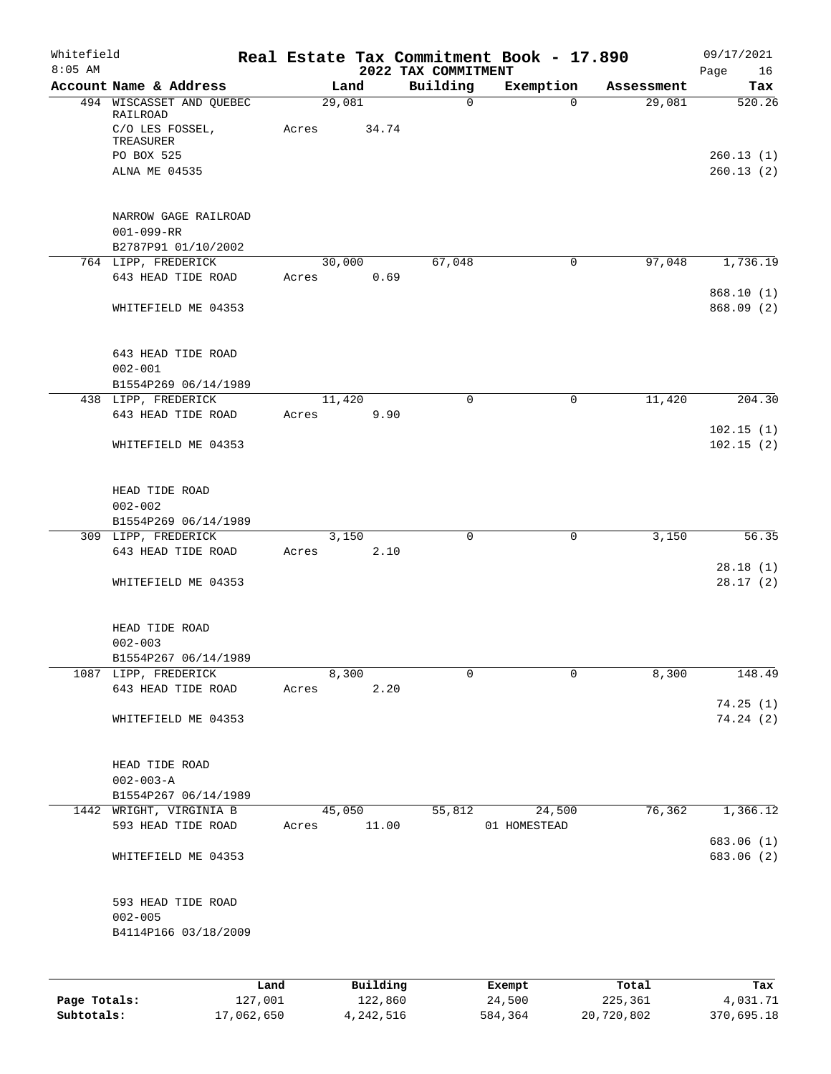| Whitefield<br>$8:05$ AM |                                                                                                     |       |                 | 2022 TAX COMMITMENT | Real Estate Tax Commitment Book - 17.890 |            | 09/17/2021<br>Page<br>16         |
|-------------------------|-----------------------------------------------------------------------------------------------------|-------|-----------------|---------------------|------------------------------------------|------------|----------------------------------|
|                         | Account Name & Address                                                                              |       | Land            | Building            | Exemption                                | Assessment | Tax                              |
|                         | 494 WISCASSET AND QUEBEC<br>RAILROAD<br>C/O LES FOSSEL,<br>TREASURER<br>PO BOX 525<br>ALNA ME 04535 | Acres | 29,081<br>34.74 | $\mathbf 0$         | $\Omega$                                 | 29,081     | 520.26<br>260.13(1)<br>260.13(2) |
|                         | NARROW GAGE RAILROAD<br>$001 - 099 - RR$<br>B2787P91 01/10/2002                                     |       |                 |                     |                                          |            |                                  |
|                         | 764 LIPP, FREDERICK<br>643 HEAD TIDE ROAD                                                           | Acres | 30,000<br>0.69  | 67,048              | $\mathbf 0$                              | 97,048     | 1,736.19                         |
|                         | WHITEFIELD ME 04353                                                                                 |       |                 |                     |                                          |            | 868.10(1)<br>868.09 (2)          |
|                         | 643 HEAD TIDE ROAD<br>$002 - 001$<br>B1554P269 06/14/1989                                           |       |                 |                     |                                          |            |                                  |
|                         | 438 LIPP, FREDERICK                                                                                 |       | 11,420          | $\mathbf 0$         | 0                                        | 11,420     | 204.30                           |
|                         | 643 HEAD TIDE ROAD                                                                                  | Acres | 9.90            |                     |                                          |            |                                  |
|                         | WHITEFIELD ME 04353                                                                                 |       |                 |                     |                                          |            | 102.15(1)<br>102.15(2)           |
|                         | HEAD TIDE ROAD<br>$002 - 002$                                                                       |       |                 |                     |                                          |            |                                  |
|                         | B1554P269 06/14/1989<br>309 LIPP, FREDERICK                                                         |       | 3,150           | 0                   | $\mathbf 0$                              | 3,150      | 56.35                            |
|                         | 643 HEAD TIDE ROAD                                                                                  | Acres | 2.10            |                     |                                          |            |                                  |
|                         | WHITEFIELD ME 04353                                                                                 |       |                 |                     |                                          |            | 28.18(1)<br>28.17(2)             |
|                         | HEAD TIDE ROAD<br>$002 - 003$<br>B1554P267 06/14/1989                                               |       |                 |                     |                                          |            |                                  |
|                         | 1087 LIPP, FREDERICK                                                                                |       | 8,300           | 0                   | 0                                        | 8,300      | 148.49                           |
|                         | 643 HEAD TIDE ROAD                                                                                  | Acres | 2.20            |                     |                                          |            |                                  |
|                         | WHITEFIELD ME 04353                                                                                 |       |                 |                     |                                          |            | 74.25(1)<br>74.24(2)             |
|                         | HEAD TIDE ROAD<br>$002 - 003 - A$<br>B1554P267 06/14/1989                                           |       |                 |                     |                                          |            |                                  |
|                         | 1442 WRIGHT, VIRGINIA B                                                                             |       | 45,050          | 55,812              | 24,500                                   | 76,362     | 1,366.12                         |
|                         | 593 HEAD TIDE ROAD                                                                                  | Acres | 11.00           |                     | 01 HOMESTEAD                             |            |                                  |
|                         | WHITEFIELD ME 04353                                                                                 |       |                 |                     |                                          |            | 683.06 (1)<br>683.06 (2)         |
|                         | 593 HEAD TIDE ROAD<br>$002 - 005$<br>B4114P166 03/18/2009                                           |       |                 |                     |                                          |            |                                  |
|                         |                                                                                                     | Land  | Building        |                     | Exempt                                   | Total      | Tax                              |

|              | ------     | --------- | -------- | -----      | ----       |
|--------------|------------|-----------|----------|------------|------------|
| Page Totals: | 127,001    | 122,860   | 24,500   | 225,361    | 4,031.71   |
| Subtotals:   | 17,062,650 | 4,242,516 | 584,364  | 20,720,802 | 370,695.18 |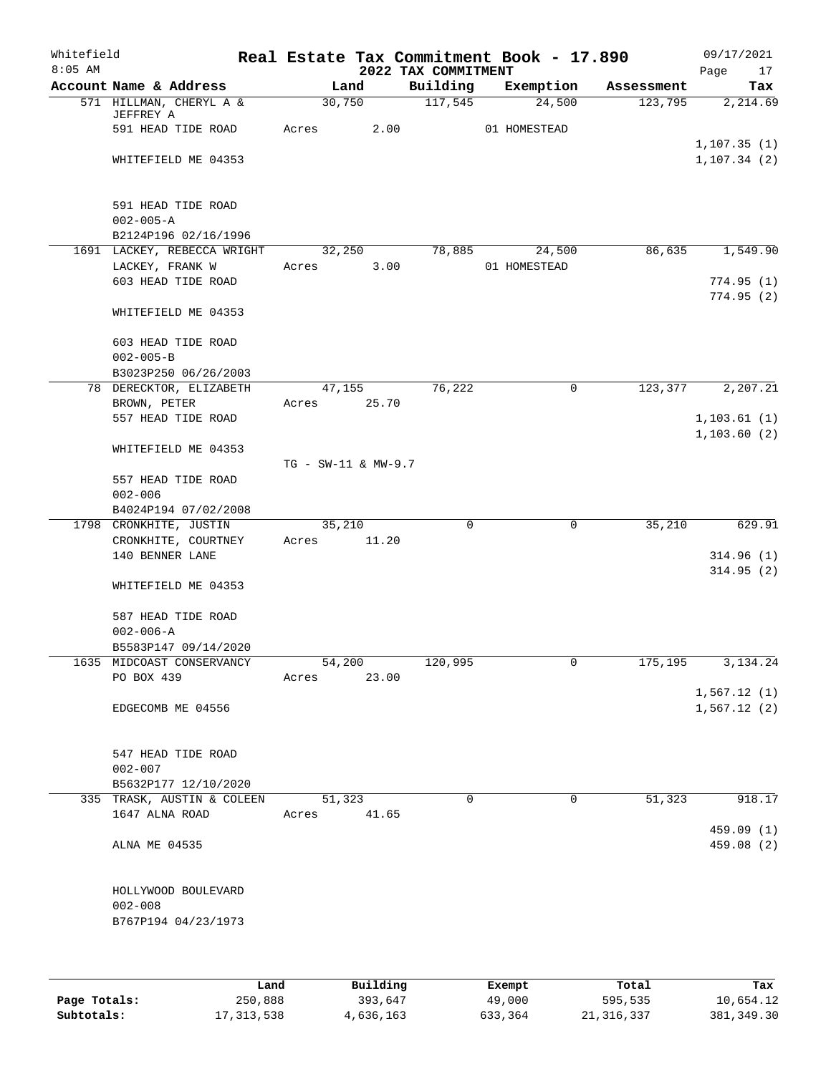| Whitefield<br>$8:05$ AM |                                                |       |                     | 2022 TAX COMMITMENT | Real Estate Tax Commitment Book - 17.890 |            | 09/17/2021<br>Page<br>17 |
|-------------------------|------------------------------------------------|-------|---------------------|---------------------|------------------------------------------|------------|--------------------------|
|                         | Account Name & Address                         |       | Land                | Building            | Exemption                                | Assessment | Tax                      |
|                         | 571 HILLMAN, CHERYL A &                        |       | 30,750              | 117,545             | 24,500                                   | 123,795    | 2,214.69                 |
|                         | JEFFREY A                                      |       |                     |                     |                                          |            |                          |
|                         | 591 HEAD TIDE ROAD                             | Acres | 2.00                |                     | 01 HOMESTEAD                             |            | 1, 107.35(1)             |
|                         | WHITEFIELD ME 04353                            |       |                     |                     |                                          |            | 1, 107.34(2)             |
|                         |                                                |       |                     |                     |                                          |            |                          |
|                         |                                                |       |                     |                     |                                          |            |                          |
|                         | 591 HEAD TIDE ROAD                             |       |                     |                     |                                          |            |                          |
|                         | $002 - 005 - A$                                |       |                     |                     |                                          |            |                          |
|                         | B2124P196 02/16/1996                           |       |                     |                     |                                          |            |                          |
|                         | 1691 LACKEY, REBECCA WRIGHT<br>LACKEY, FRANK W |       | 32,250<br>3.00      | 78,885              | 24,500<br>01 HOMESTEAD                   | 86,635     | 1,549.90                 |
|                         | 603 HEAD TIDE ROAD                             | Acres |                     |                     |                                          |            | 774.95(1)                |
|                         |                                                |       |                     |                     |                                          |            | 774.95(2)                |
|                         | WHITEFIELD ME 04353                            |       |                     |                     |                                          |            |                          |
|                         | 603 HEAD TIDE ROAD                             |       |                     |                     |                                          |            |                          |
|                         | $002 - 005 - B$                                |       |                     |                     |                                          |            |                          |
|                         | B3023P250 06/26/2003                           |       |                     |                     |                                          |            |                          |
|                         | 78 DERECKTOR, ELIZABETH                        |       | 47,155              | 76,222              | 0                                        | 123,377    | 2, 207.21                |
|                         | BROWN, PETER                                   | Acres | 25.70               |                     |                                          |            |                          |
|                         | 557 HEAD TIDE ROAD                             |       |                     |                     |                                          |            | 1, 103.61(1)             |
|                         |                                                |       |                     |                     |                                          |            | 1, 103.60(2)             |
|                         | WHITEFIELD ME 04353                            |       |                     |                     |                                          |            |                          |
|                         |                                                |       | TG - SW-11 & MW-9.7 |                     |                                          |            |                          |
|                         | 557 HEAD TIDE ROAD<br>$002 - 006$              |       |                     |                     |                                          |            |                          |
|                         | B4024P194 07/02/2008                           |       |                     |                     |                                          |            |                          |
|                         | 1798 CRONKHITE, JUSTIN                         |       | 35,210              | $\mathbf 0$         | $\mathbf 0$                              | 35,210     | 629.91                   |
|                         | CRONKHITE, COURTNEY                            | Acres | 11.20               |                     |                                          |            |                          |
|                         | 140 BENNER LANE                                |       |                     |                     |                                          |            | 314.96(1)                |
|                         |                                                |       |                     |                     |                                          |            | 314.95(2)                |
|                         | WHITEFIELD ME 04353                            |       |                     |                     |                                          |            |                          |
|                         | 587 HEAD TIDE ROAD                             |       |                     |                     |                                          |            |                          |
|                         | $002 - 006 - A$                                |       |                     |                     |                                          |            |                          |
|                         | B5583P147 09/14/2020                           |       |                     |                     |                                          |            |                          |
|                         | 1635 MIDCOAST CONSERVANCY                      |       | 54,200              | 120,995             | 0                                        | 175,195    | 3,134.24                 |
|                         | PO BOX 439                                     | Acres | 23.00               |                     |                                          |            |                          |
|                         |                                                |       |                     |                     |                                          |            | 1,567.12(1)              |
|                         | EDGECOMB ME 04556                              |       |                     |                     |                                          |            | 1,567.12(2)              |
|                         |                                                |       |                     |                     |                                          |            |                          |
|                         |                                                |       |                     |                     |                                          |            |                          |
|                         | 547 HEAD TIDE ROAD<br>$002 - 007$              |       |                     |                     |                                          |            |                          |
|                         | B5632P177 12/10/2020                           |       |                     |                     |                                          |            |                          |
|                         | 335 TRASK, AUSTIN & COLEEN                     |       | 51,323              | $\Omega$            | $\mathbf 0$                              | 51,323     | 918.17                   |
|                         | 1647 ALNA ROAD                                 | Acres | 41.65               |                     |                                          |            |                          |
|                         |                                                |       |                     |                     |                                          |            | 459.09 (1)               |
|                         | ALNA ME 04535                                  |       |                     |                     |                                          |            | 459.08 (2)               |
|                         |                                                |       |                     |                     |                                          |            |                          |
|                         | HOLLYWOOD BOULEVARD                            |       |                     |                     |                                          |            |                          |
|                         | $002 - 008$                                    |       |                     |                     |                                          |            |                          |
|                         | B767P194 04/23/1973                            |       |                     |                     |                                          |            |                          |
|                         |                                                |       |                     |                     |                                          |            |                          |
|                         |                                                |       |                     |                     |                                          |            |                          |
|                         |                                                |       |                     |                     |                                          |            |                          |

|              | Land         | Building  | Exempt  | Total        | Tax         |
|--------------|--------------|-----------|---------|--------------|-------------|
| Page Totals: | 250,888      | 393,647   | 49,000  | 595,535      | 10,654.12   |
| Subtotals:   | 17, 313, 538 | 4,636,163 | 633,364 | 21, 316, 337 | 381, 349.30 |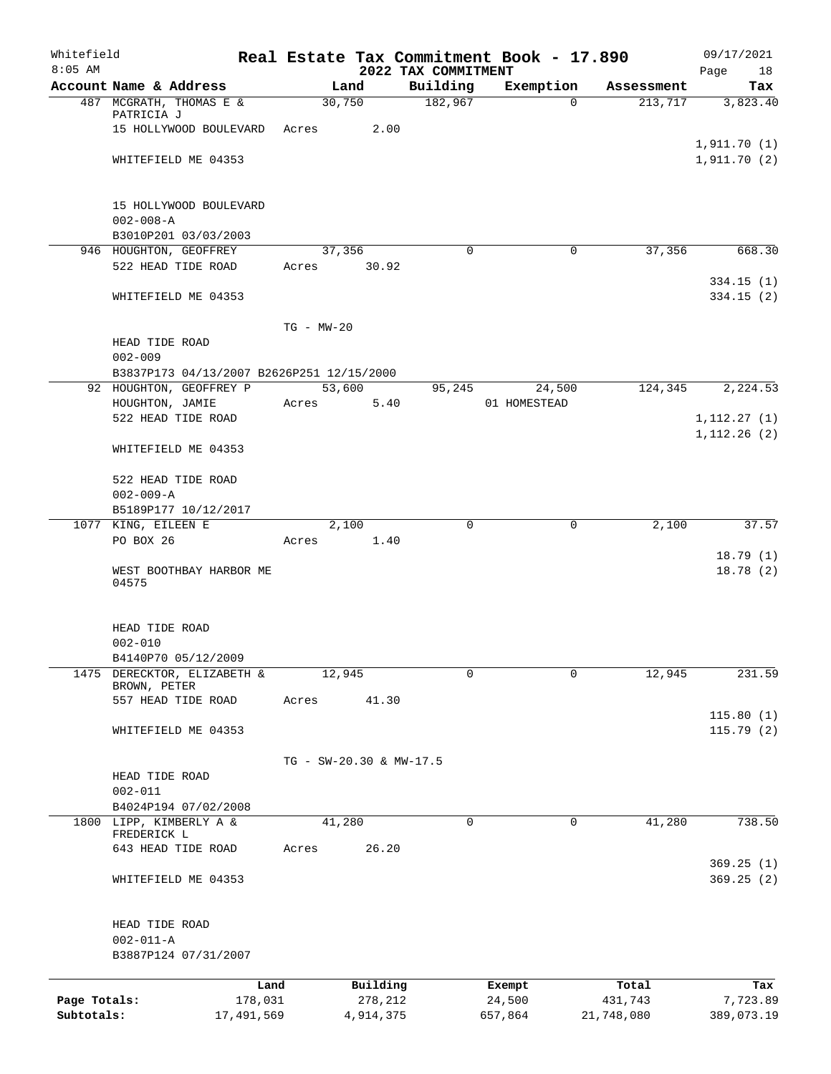| Whitefield<br>$8:05$ AM |                                           |                |                         | 2022 TAX COMMITMENT | Real Estate Tax Commitment Book - 17.890 |            | 09/17/2021<br>Page<br>18 |
|-------------------------|-------------------------------------------|----------------|-------------------------|---------------------|------------------------------------------|------------|--------------------------|
|                         | Account Name & Address                    |                | Land                    | Building            | Exemption                                | Assessment | Tax                      |
|                         | 487 MCGRATH, THOMAS E &                   |                | 30,750                  | 182,967             | $\Omega$                                 | 213,717    | 3,823.40                 |
|                         | PATRICIA J                                |                |                         |                     |                                          |            |                          |
|                         | 15 HOLLYWOOD BOULEVARD                    | Acres          | 2.00                    |                     |                                          |            |                          |
|                         |                                           |                |                         |                     |                                          |            | 1,911.70(1)              |
|                         | WHITEFIELD ME 04353                       |                |                         |                     |                                          |            | 1,911.70(2)              |
|                         |                                           |                |                         |                     |                                          |            |                          |
|                         | 15 HOLLYWOOD BOULEVARD                    |                |                         |                     |                                          |            |                          |
|                         | $002 - 008 - A$                           |                |                         |                     |                                          |            |                          |
|                         | B3010P201 03/03/2003                      |                |                         |                     |                                          |            |                          |
|                         | 946 HOUGHTON, GEOFFREY                    |                | 37,356                  | $\Omega$            | 0                                        | 37,356     | 668.30                   |
|                         | 522 HEAD TIDE ROAD                        | Acres          | 30.92                   |                     |                                          |            |                          |
|                         |                                           |                |                         |                     |                                          |            | 334.15(1)                |
|                         | WHITEFIELD ME 04353                       |                |                         |                     |                                          |            | 334.15(2)                |
|                         |                                           |                |                         |                     |                                          |            |                          |
|                         | HEAD TIDE ROAD                            | $TG - MW - 20$ |                         |                     |                                          |            |                          |
|                         | $002 - 009$                               |                |                         |                     |                                          |            |                          |
|                         | B3837P173 04/13/2007 B2626P251 12/15/2000 |                |                         |                     |                                          |            |                          |
|                         | 92 HOUGHTON, GEOFFREY P                   |                | 53,600                  | 95,245              | 24,500                                   | 124,345    | 2,224.53                 |
|                         | HOUGHTON, JAMIE                           | Acres          | 5.40                    |                     | 01 HOMESTEAD                             |            |                          |
|                         | 522 HEAD TIDE ROAD                        |                |                         |                     |                                          |            | 1, 112.27(1)             |
|                         |                                           |                |                         |                     |                                          |            | 1, 112.26(2)             |
|                         | WHITEFIELD ME 04353                       |                |                         |                     |                                          |            |                          |
|                         |                                           |                |                         |                     |                                          |            |                          |
|                         | 522 HEAD TIDE ROAD                        |                |                         |                     |                                          |            |                          |
|                         | $002 - 009 - A$                           |                |                         |                     |                                          |            |                          |
|                         | B5189P177 10/12/2017                      |                |                         | 0                   | 0                                        | 2,100      | 37.57                    |
|                         | 1077 KING, EILEEN E<br>PO BOX 26          | Acres          | 2,100<br>1.40           |                     |                                          |            |                          |
|                         |                                           |                |                         |                     |                                          |            | 18.79(1)                 |
|                         | WEST BOOTHBAY HARBOR ME                   |                |                         |                     |                                          |            | 18.78(2)                 |
|                         | 04575                                     |                |                         |                     |                                          |            |                          |
|                         |                                           |                |                         |                     |                                          |            |                          |
|                         |                                           |                |                         |                     |                                          |            |                          |
|                         | HEAD TIDE ROAD<br>$002 - 010$             |                |                         |                     |                                          |            |                          |
|                         | B4140P70 05/12/2009                       |                |                         |                     |                                          |            |                          |
| 1475                    | DERECKTOR, ELIZABETH &                    |                | 12,945                  | 0                   | $\Omega$                                 | 12,945     | 231.59                   |
|                         | BROWN, PETER                              |                |                         |                     |                                          |            |                          |
|                         | 557 HEAD TIDE ROAD                        | Acres          | 41.30                   |                     |                                          |            |                          |
|                         |                                           |                |                         |                     |                                          |            | 115.80(1)                |
|                         | WHITEFIELD ME 04353                       |                |                         |                     |                                          |            | 115.79(2)                |
|                         |                                           |                |                         |                     |                                          |            |                          |
|                         | HEAD TIDE ROAD                            |                | TG - SW-20.30 & MW-17.5 |                     |                                          |            |                          |
|                         | $002 - 011$                               |                |                         |                     |                                          |            |                          |
|                         | B4024P194 07/02/2008                      |                |                         |                     |                                          |            |                          |
|                         | 1800 LIPP, KIMBERLY A &                   |                | 41,280                  | 0                   | 0                                        | 41,280     | 738.50                   |
|                         | FREDERICK L                               |                |                         |                     |                                          |            |                          |
|                         | 643 HEAD TIDE ROAD                        | Acres          | 26.20                   |                     |                                          |            |                          |
|                         |                                           |                |                         |                     |                                          |            | 369.25(1)                |
|                         | WHITEFIELD ME 04353                       |                |                         |                     |                                          |            | 369.25(2)                |
|                         |                                           |                |                         |                     |                                          |            |                          |
|                         | HEAD TIDE ROAD                            |                |                         |                     |                                          |            |                          |
|                         | $002 - 011 - A$                           |                |                         |                     |                                          |            |                          |
|                         | B3887P124 07/31/2007                      |                |                         |                     |                                          |            |                          |
|                         |                                           |                |                         |                     |                                          |            |                          |
|                         | Land                                      |                | Building                |                     | Exempt                                   | Total      | Tax                      |
| Page Totals:            | 178,031                                   |                | 278,212                 |                     | 24,500                                   | 431,743    | 7,723.89                 |
| Subtotals:              | 17,491,569                                |                | 4,914,375               |                     | 657,864                                  | 21,748,080 | 389,073.19               |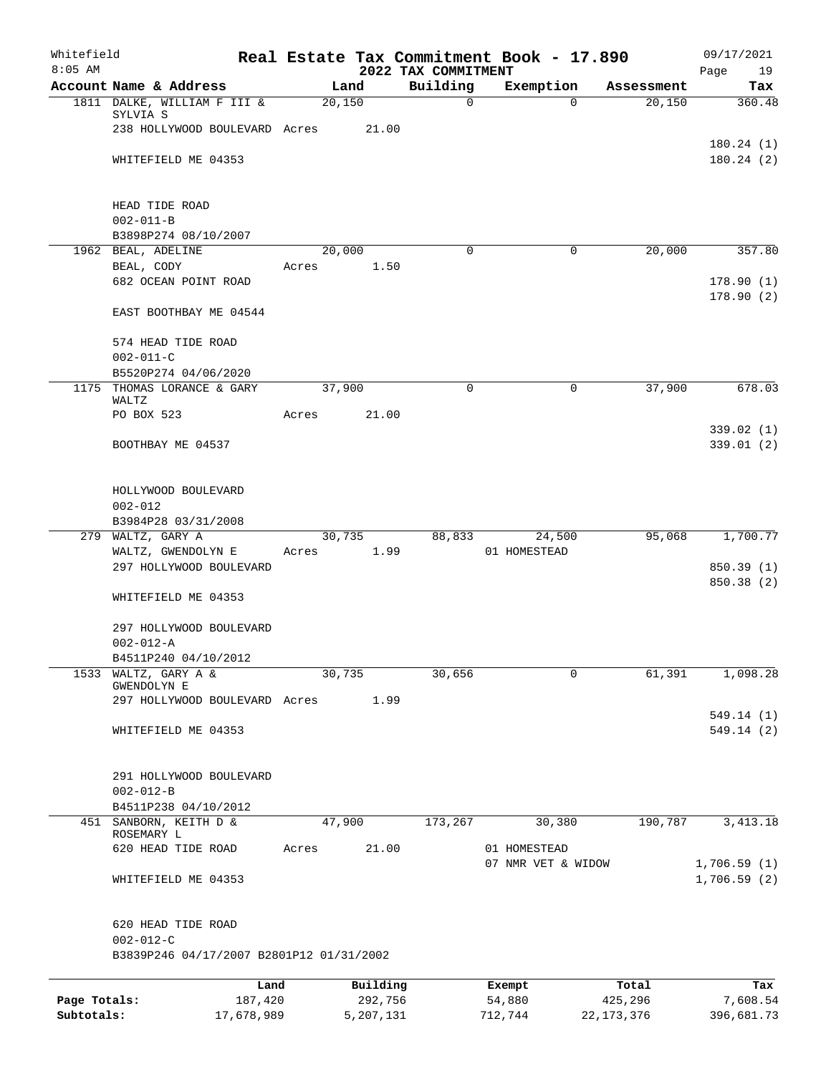| Whitefield<br>$8:05$ AM |                                            |        |           |                                 | Real Estate Tax Commitment Book - 17.890 |              | 09/17/2021              |
|-------------------------|--------------------------------------------|--------|-----------|---------------------------------|------------------------------------------|--------------|-------------------------|
|                         | Account Name & Address                     |        | Land      | 2022 TAX COMMITMENT<br>Building | Exemption                                | Assessment   | Page<br>19<br>Tax       |
|                         | 1811 DALKE, WILLIAM F III &                | 20,150 |           | 0                               | $\Omega$                                 | 20,150       | 360.48                  |
|                         | SYLVIA S                                   |        |           |                                 |                                          |              |                         |
|                         | 238 HOLLYWOOD BOULEVARD Acres              |        | 21.00     |                                 |                                          |              |                         |
|                         | WHITEFIELD ME 04353                        |        |           |                                 |                                          |              | 180.24(1)<br>180.24(2)  |
|                         |                                            |        |           |                                 |                                          |              |                         |
|                         | HEAD TIDE ROAD                             |        |           |                                 |                                          |              |                         |
|                         | $002 - 011 - B$                            |        |           |                                 |                                          |              |                         |
|                         | B3898P274 08/10/2007                       |        |           |                                 |                                          |              |                         |
|                         | 1962 BEAL, ADELINE                         |        | 20,000    | 0                               | 0                                        | 20,000       | 357.80                  |
|                         | BEAL, CODY                                 | Acres  | 1.50      |                                 |                                          |              |                         |
|                         | 682 OCEAN POINT ROAD                       |        |           |                                 |                                          |              | 178.90(1)<br>178.90(2)  |
|                         | EAST BOOTHBAY ME 04544                     |        |           |                                 |                                          |              |                         |
|                         | 574 HEAD TIDE ROAD                         |        |           |                                 |                                          |              |                         |
|                         | $002 - 011 - C$                            |        |           |                                 |                                          |              |                         |
|                         | B5520P274 04/06/2020                       |        |           |                                 |                                          |              |                         |
| 1175                    | THOMAS LORANCE & GARY                      | 37,900 |           | $\mathbf 0$                     | 0                                        | 37,900       | 678.03                  |
|                         | WALTZ<br>PO BOX 523                        | Acres  | 21.00     |                                 |                                          |              |                         |
|                         |                                            |        |           |                                 |                                          |              | 339.02 (1)              |
|                         | BOOTHBAY ME 04537                          |        |           |                                 |                                          |              | 339.01(2)               |
|                         | HOLLYWOOD BOULEVARD                        |        |           |                                 |                                          |              |                         |
|                         | $002 - 012$                                |        |           |                                 |                                          |              |                         |
|                         | B3984P28 03/31/2008                        |        |           |                                 |                                          |              |                         |
|                         | 279 WALTZ, GARY A                          |        | 30,735    | 88,833                          | 24,500                                   | 95,068       | 1,700.77                |
|                         | WALTZ, GWENDOLYN E                         | Acres  | 1.99      |                                 | 01 HOMESTEAD                             |              |                         |
|                         | 297 HOLLYWOOD BOULEVARD                    |        |           |                                 |                                          |              | 850.39(1)<br>850.38 (2) |
|                         | WHITEFIELD ME 04353                        |        |           |                                 |                                          |              |                         |
|                         | 297 HOLLYWOOD BOULEVARD                    |        |           |                                 |                                          |              |                         |
|                         | $002 - 012 - A$                            |        |           |                                 |                                          |              |                         |
|                         | B4511P240 04/10/2012                       |        |           |                                 |                                          |              |                         |
| 1533                    | WALTZ, GARY A &<br><b>GWENDOLYN E</b>      | 30,735 |           | 30,656                          | 0                                        | 61,391       | 1,098.28                |
|                         | 297 HOLLYWOOD BOULEVARD Acres              |        | 1.99      |                                 |                                          |              |                         |
|                         |                                            |        |           |                                 |                                          |              | 549.14 (1)              |
|                         | WHITEFIELD ME 04353                        |        |           |                                 |                                          |              | 549.14(2)               |
|                         |                                            |        |           |                                 |                                          |              |                         |
|                         | 291 HOLLYWOOD BOULEVARD<br>$002 - 012 - B$ |        |           |                                 |                                          |              |                         |
|                         | B4511P238 04/10/2012                       |        |           |                                 |                                          |              |                         |
|                         | 451 SANBORN, KEITH D &                     | 47,900 |           | 173,267                         | 30,380                                   | 190,787      | 3, 413.18               |
|                         | ROSEMARY L<br>620 HEAD TIDE ROAD           | Acres  | 21.00     |                                 | 01 HOMESTEAD                             |              |                         |
|                         |                                            |        |           |                                 | 07 NMR VET & WIDOW                       |              | 1,706.59(1)             |
|                         | WHITEFIELD ME 04353                        |        |           |                                 |                                          |              | 1,706.59(2)             |
|                         | 620 HEAD TIDE ROAD                         |        |           |                                 |                                          |              |                         |
|                         | $002 - 012 - C$                            |        |           |                                 |                                          |              |                         |
|                         | B3839P246 04/17/2007 B2801P12 01/31/2002   |        |           |                                 |                                          |              |                         |
|                         | Land                                       |        | Building  |                                 | Exempt                                   | Total        | Tax                     |
| Page Totals:            | 187,420                                    |        | 292,756   |                                 | 54,880                                   | 425,296      | 7,608.54                |
| Subtotals:              | 17,678,989                                 |        | 5,207,131 |                                 | 712,744                                  | 22, 173, 376 | 396,681.73              |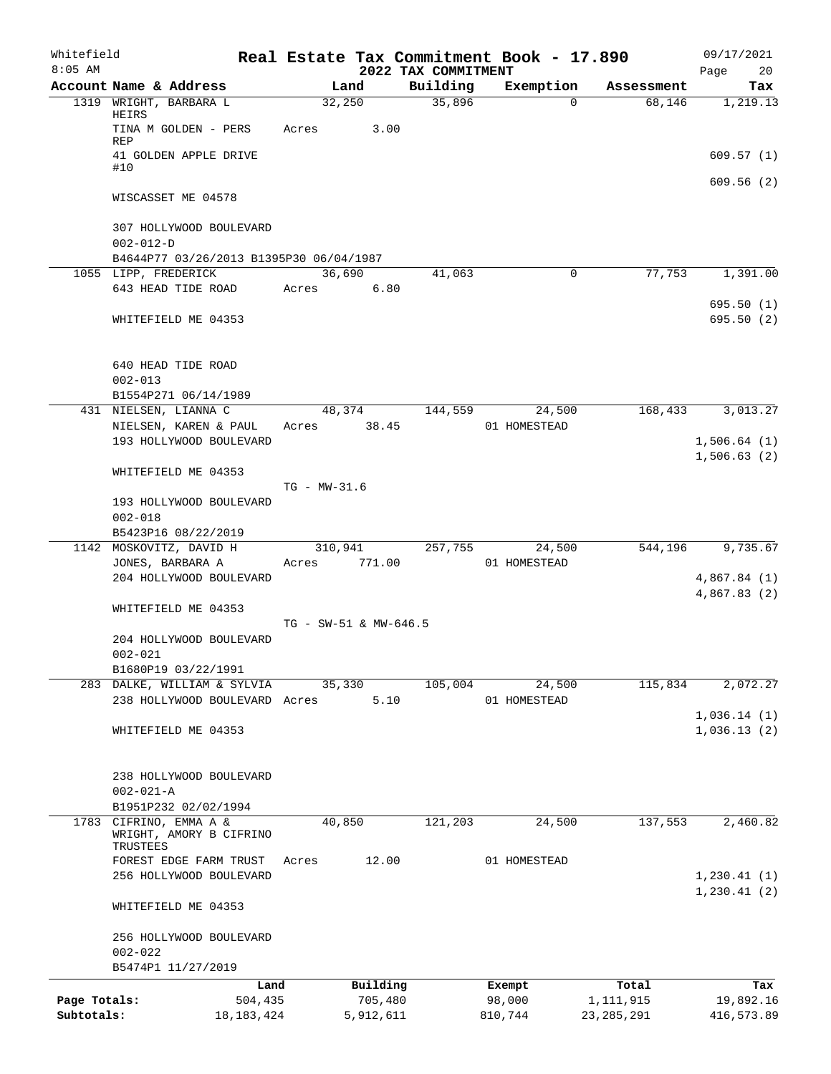| Whitefield<br>$8:05$ AM |                                                               |                  |                       | 2022 TAX COMMITMENT | Real Estate Tax Commitment Book - 17.890 |              | 09/17/2021<br>Page<br>20   |
|-------------------------|---------------------------------------------------------------|------------------|-----------------------|---------------------|------------------------------------------|--------------|----------------------------|
|                         | Account Name & Address                                        |                  | Land                  | Building            | Exemption                                | Assessment   | Tax                        |
|                         | 1319 WRIGHT, BARBARA L<br>HEIRS                               | 32,250           |                       | 35,896              | $\Omega$                                 | 68,146       | 1,219.13                   |
|                         | TINA M GOLDEN - PERS<br><b>REP</b>                            | Acres            | 3.00                  |                     |                                          |              |                            |
|                         | 41 GOLDEN APPLE DRIVE<br>#10                                  |                  |                       |                     |                                          |              | 609.57(1)                  |
|                         | WISCASSET ME 04578                                            |                  |                       |                     |                                          |              | 609.56(2)                  |
|                         | 307 HOLLYWOOD BOULEVARD                                       |                  |                       |                     |                                          |              |                            |
|                         | $002 - 012 - D$                                               |                  |                       |                     |                                          |              |                            |
|                         | B4644P77 03/26/2013 B1395P30 06/04/1987                       | 36,690           |                       |                     | 0                                        | 77,753       | 1,391.00                   |
|                         | 1055 LIPP, FREDERICK<br>643 HEAD TIDE ROAD                    | Acres            | 6.80                  | 41,063              |                                          |              |                            |
|                         |                                                               |                  |                       |                     |                                          |              | 695.50 (1)                 |
|                         | WHITEFIELD ME 04353                                           |                  |                       |                     |                                          |              | 695.50(2)                  |
|                         | 640 HEAD TIDE ROAD<br>$002 - 013$                             |                  |                       |                     |                                          |              |                            |
|                         | B1554P271 06/14/1989                                          |                  |                       |                     |                                          |              |                            |
|                         | 431 NIELSEN, LIANNA C                                         |                  | 48,374                | 144,559             | 24,500                                   | 168,433      | 3,013.27                   |
|                         | NIELSEN, KAREN & PAUL                                         | Acres            | 38.45                 |                     | 01 HOMESTEAD                             |              |                            |
|                         | 193 HOLLYWOOD BOULEVARD                                       |                  |                       |                     |                                          |              | 1,506.64(1)                |
|                         |                                                               |                  |                       |                     |                                          |              | 1,506.63(2)                |
|                         | WHITEFIELD ME 04353                                           | $TG - MW - 31.6$ |                       |                     |                                          |              |                            |
|                         | 193 HOLLYWOOD BOULEVARD                                       |                  |                       |                     |                                          |              |                            |
|                         | $002 - 018$                                                   |                  |                       |                     |                                          |              |                            |
|                         | B5423P16 08/22/2019                                           |                  |                       |                     |                                          |              |                            |
|                         | 1142 MOSKOVITZ, DAVID H                                       | 310,941          |                       | 257,755             | 24,500                                   | 544,196      | 9,735.67                   |
|                         | JONES, BARBARA A                                              | Acres            | 771.00                |                     | 01 HOMESTEAD                             |              |                            |
|                         | 204 HOLLYWOOD BOULEVARD                                       |                  |                       |                     |                                          |              | 4,867.84(1)                |
|                         |                                                               |                  |                       |                     |                                          |              | 4,867.83 (2)               |
|                         | WHITEFIELD ME 04353                                           |                  |                       |                     |                                          |              |                            |
|                         |                                                               |                  | TG - SW-51 & MW-646.5 |                     |                                          |              |                            |
|                         | 204 HOLLYWOOD BOULEVARD<br>$002 - 021$                        |                  |                       |                     |                                          |              |                            |
|                         | B1680P19 03/22/1991                                           |                  |                       |                     |                                          |              |                            |
|                         | 283 DALKE, WILLIAM & SYLVIA                                   |                  | 35,330                | 105,004             | 24,500                                   | 115,834      | 2,072.27                   |
|                         | 238 HOLLYWOOD BOULEVARD Acres                                 |                  | 5.10                  |                     | 01 HOMESTEAD                             |              |                            |
|                         | WHITEFIELD ME 04353                                           |                  |                       |                     |                                          |              | 1,036.14(1)<br>1,036.13(2) |
|                         | 238 HOLLYWOOD BOULEVARD<br>$002 - 021 - A$                    |                  |                       |                     |                                          |              |                            |
|                         | B1951P232 02/02/1994                                          |                  |                       |                     |                                          |              |                            |
|                         | 1783 CIFRINO, EMMA A &<br>WRIGHT, AMORY B CIFRINO<br>TRUSTEES | 40,850           |                       | 121,203             | 24,500                                   | 137,553      | 2,460.82                   |
|                         | FOREST EDGE FARM TRUST                                        | Acres            | 12.00                 |                     | 01 HOMESTEAD                             |              |                            |
|                         | 256 HOLLYWOOD BOULEVARD                                       |                  |                       |                     |                                          |              | 1,230.41(1)                |
|                         | WHITEFIELD ME 04353                                           |                  |                       |                     |                                          |              | 1, 230.41(2)               |
|                         | 256 HOLLYWOOD BOULEVARD                                       |                  |                       |                     |                                          |              |                            |
|                         | $002 - 022$                                                   |                  |                       |                     |                                          |              |                            |
|                         | B5474P1 11/27/2019                                            |                  |                       |                     |                                          |              |                            |
|                         | Land                                                          |                  | Building              |                     | Exempt                                   | Total        | Tax                        |
| Page Totals:            | 504,435                                                       |                  | 705,480               |                     | 98,000                                   | 1,111,915    | 19,892.16                  |
| Subtotals:              | 18, 183, 424                                                  |                  | 5,912,611             |                     | 810,744                                  | 23, 285, 291 | 416,573.89                 |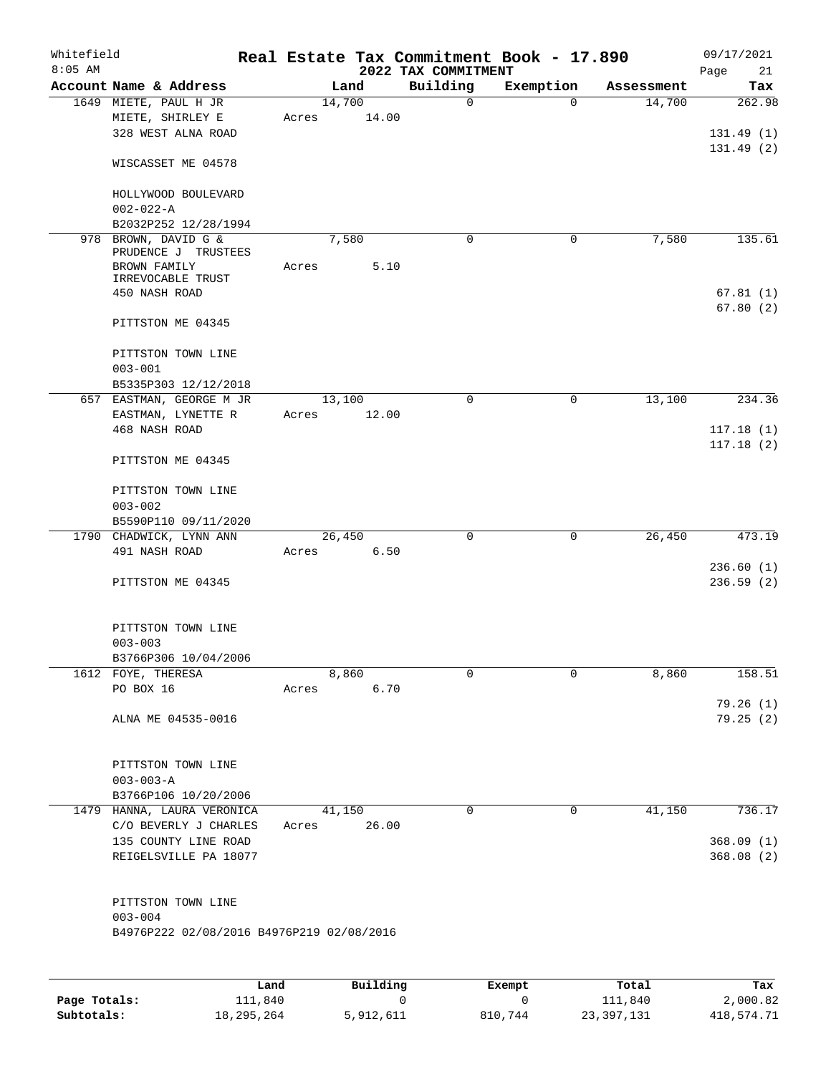| Whitefield<br>$8:05$ AM |                                                                 |                 |       | 2022 TAX COMMITMENT | Real Estate Tax Commitment Book - 17.890 |            | 09/17/2021<br>Page<br>21 |
|-------------------------|-----------------------------------------------------------------|-----------------|-------|---------------------|------------------------------------------|------------|--------------------------|
|                         | Account Name & Address                                          |                 | Land  | Building            | Exemption                                | Assessment | Tax                      |
|                         | 1649 MIETE, PAUL H JR<br>MIETE, SHIRLEY E<br>328 WEST ALNA ROAD | 14,700<br>Acres | 14.00 | $\mathbf 0$         | $\Omega$                                 | 14,700     | 262.98<br>131.49(1)      |
|                         | WISCASSET ME 04578                                              |                 |       |                     |                                          |            | 131.49(2)                |
|                         | HOLLYWOOD BOULEVARD<br>$002 - 022 - A$                          |                 |       |                     |                                          |            |                          |
|                         | B2032P252 12/28/1994<br>978 BROWN, DAVID G &                    | 7,580           |       | $\mathbf 0$         | 0                                        | 7,580      | 135.61                   |
|                         | PRUDENCE J TRUSTEES<br>BROWN FAMILY                             | Acres           | 5.10  |                     |                                          |            |                          |
|                         | IRREVOCABLE TRUST<br>450 NASH ROAD                              |                 |       |                     |                                          |            | 67.81(1)                 |
|                         | PITTSTON ME 04345                                               |                 |       |                     |                                          |            | 67.80(2)                 |
|                         | PITTSTON TOWN LINE<br>$003 - 001$                               |                 |       |                     |                                          |            |                          |
|                         | B5335P303 12/12/2018                                            |                 |       |                     |                                          |            |                          |
|                         | 657 EASTMAN, GEORGE M JR<br>EASTMAN, LYNETTE R                  | 13,100<br>Acres | 12.00 | $\Omega$            | $\mathbf 0$                              | 13,100     | 234.36                   |
|                         | 468 NASH ROAD                                                   |                 |       |                     |                                          |            | 117.18(1)<br>117.18(2)   |
|                         | PITTSTON ME 04345                                               |                 |       |                     |                                          |            |                          |
|                         | PITTSTON TOWN LINE<br>$003 - 002$                               |                 |       |                     |                                          |            |                          |
|                         | B5590P110 09/11/2020                                            |                 |       |                     |                                          |            |                          |
|                         | 1790 CHADWICK, LYNN ANN                                         | 26,450          |       | $\mathbf 0$         | $\mathbf 0$                              | 26,450     | 473.19                   |
|                         | 491 NASH ROAD                                                   | Acres           | 6.50  |                     |                                          |            |                          |
|                         | PITTSTON ME 04345                                               |                 |       |                     |                                          |            | 236.60(1)<br>236.59(2)   |
|                         | PITTSTON TOWN LINE<br>$003 - 003$                               |                 |       |                     |                                          |            |                          |
|                         | B3766P306 10/04/2006                                            |                 |       |                     |                                          |            |                          |
|                         | 1612 FOYE, THERESA                                              | 8,860           |       | 0                   | 0                                        | 8,860      | 158.51                   |
|                         | PO BOX 16                                                       | Acres           | 6.70  |                     |                                          |            | 79.26(1)                 |
|                         | ALNA ME 04535-0016                                              |                 |       |                     |                                          |            | 79.25(2)                 |
|                         | PITTSTON TOWN LINE                                              |                 |       |                     |                                          |            |                          |
|                         | $003 - 003 - A$<br>B3766P106 10/20/2006                         |                 |       |                     |                                          |            |                          |
|                         | 1479 HANNA, LAURA VERONICA                                      | 41,150          |       | $\mathbf 0$         | $\mathbf 0$                              | 41,150     | 736.17                   |
|                         | C/O BEVERLY J CHARLES                                           | Acres           | 26.00 |                     |                                          |            |                          |
|                         | 135 COUNTY LINE ROAD<br>REIGELSVILLE PA 18077                   |                 |       |                     |                                          |            | 368.09(1)<br>368.08(2)   |
|                         | PITTSTON TOWN LINE<br>$003 - 004$                               |                 |       |                     |                                          |            |                          |
|                         | B4976P222 02/08/2016 B4976P219 02/08/2016                       |                 |       |                     |                                          |            |                          |
|                         |                                                                 |                 |       |                     |                                          |            |                          |

|              | Land       | Building  | Exempt  | Total      | Tax        |
|--------------|------------|-----------|---------|------------|------------|
| Page Totals: | 111,840    |           |         | 111,840    | 2,000.82   |
| Subtotals:   | 18,295,264 | 5,912,611 | 810,744 | 23,397,131 | 418,574.71 |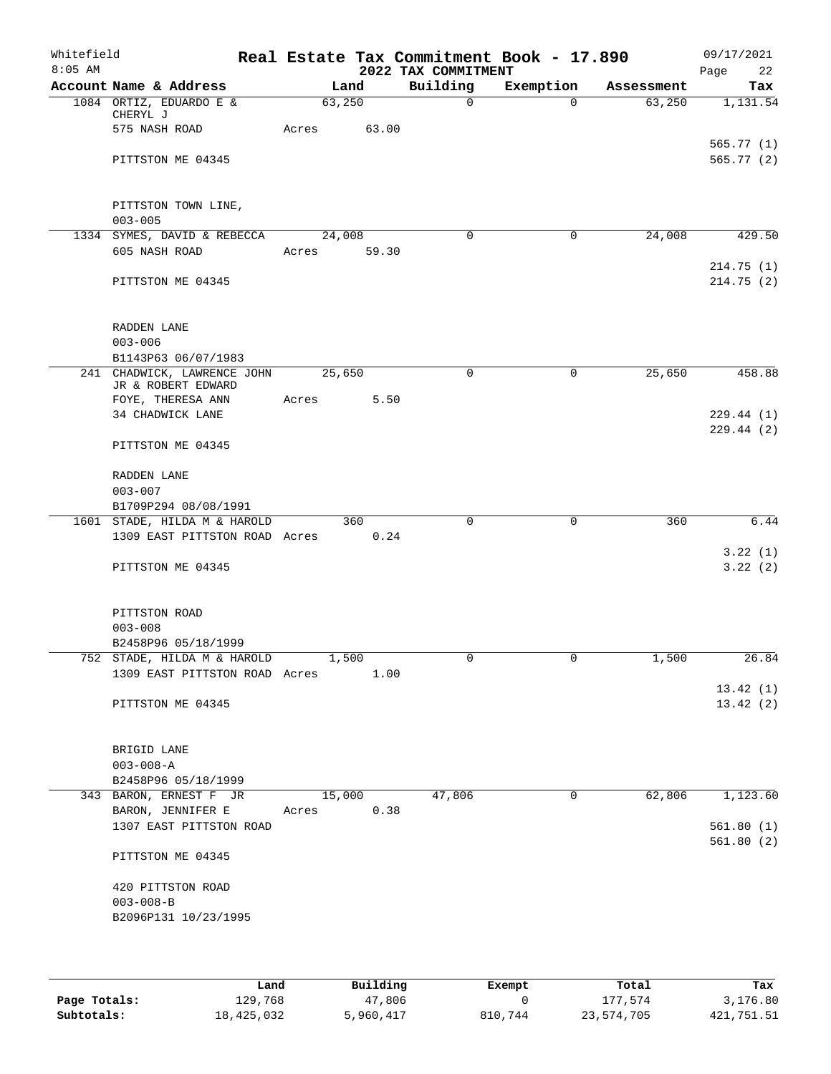| Whitefield<br>$8:05$ AM |                                                              |             |       | 2022 TAX COMMITMENT | Real Estate Tax Commitment Book - 17.890 |            | 09/17/2021<br>Page<br>22 |
|-------------------------|--------------------------------------------------------------|-------------|-------|---------------------|------------------------------------------|------------|--------------------------|
|                         | Account Name & Address                                       |             | Land  | Building            | Exemption                                | Assessment | Tax                      |
|                         | 1084 ORTIZ, EDUARDO E &<br>CHERYL J                          | 63,250      |       | $\mathsf{O}$        | $\Omega$                                 | 63,250     | 1,131.54                 |
|                         | 575 NASH ROAD                                                | Acres       | 63.00 |                     |                                          |            |                          |
|                         | PITTSTON ME 04345                                            |             |       |                     |                                          |            | 565.77(1)<br>565.77(2)   |
|                         | PITTSTON TOWN LINE,<br>$003 - 005$                           |             |       |                     |                                          |            |                          |
|                         | 1334 SYMES, DAVID & REBECCA                                  | 24,008      |       | $\Omega$            | $\mathbf{0}$                             | 24,008     | 429.50                   |
|                         | 605 NASH ROAD                                                | Acres 59.30 |       |                     |                                          |            | 214.75(1)                |
|                         | PITTSTON ME 04345                                            |             |       |                     |                                          |            | 214.75(2)                |
|                         | RADDEN LANE<br>$003 - 006$                                   |             |       |                     |                                          |            |                          |
|                         | B1143P63 06/07/1983                                          |             |       |                     |                                          |            |                          |
|                         | 241 CHADWICK, LAWRENCE JOHN<br>JR & ROBERT EDWARD            | 25,650      |       | $\mathbf 0$         | 0                                        | 25,650     | 458.88                   |
|                         | FOYE, THERESA ANN<br>34 CHADWICK LANE                        | Acres       | 5.50  |                     |                                          |            | 229.44(1)                |
|                         | PITTSTON ME 04345                                            |             |       |                     |                                          |            | 229.44(2)                |
|                         | RADDEN LANE<br>$003 - 007$                                   |             |       |                     |                                          |            |                          |
|                         | B1709P294 08/08/1991                                         |             |       |                     |                                          |            |                          |
|                         | 1601 STADE, HILDA M & HAROLD                                 |             | 360   | $\mathbf 0$         | $\mathbf 0$                              | 360        | 6.44                     |
|                         | 1309 EAST PITTSTON ROAD Acres                                |             | 0.24  |                     |                                          |            | 3.22(1)                  |
|                         | PITTSTON ME 04345                                            |             |       |                     |                                          |            | 3.22(2)                  |
|                         | PITTSTON ROAD<br>$003 - 008$                                 |             |       |                     |                                          |            |                          |
|                         | B2458P96 05/18/1999                                          |             |       |                     |                                          |            |                          |
|                         | 752 STADE, HILDA M & HAROLD<br>1309 EAST PITTSTON ROAD Acres | 1,500       | 1.00  | 0                   |                                          | 1,500      | 26.84                    |
|                         |                                                              |             |       |                     |                                          |            | 13.42(1)                 |
|                         | PITTSTON ME 04345                                            |             |       |                     |                                          |            | 13.42(2)                 |
|                         | BRIGID LANE                                                  |             |       |                     |                                          |            |                          |
|                         | $003 - 008 - A$<br>B2458P96 05/18/1999                       |             |       |                     |                                          |            |                          |
|                         | 343 BARON, ERNEST F JR                                       | 15,000      |       | 47,806              | 0                                        | 62,806     | 1,123.60                 |
|                         | BARON, JENNIFER E                                            | Acres       | 0.38  |                     |                                          |            |                          |
|                         | 1307 EAST PITTSTON ROAD                                      |             |       |                     |                                          |            | 561.80(1)                |
|                         | PITTSTON ME 04345                                            |             |       |                     |                                          |            | 561.80(2)                |
|                         | 420 PITTSTON ROAD                                            |             |       |                     |                                          |            |                          |
|                         | $003 - 008 - B$<br>B2096P131 10/23/1995                      |             |       |                     |                                          |            |                          |
|                         |                                                              |             |       |                     |                                          |            |                          |

|              | Land       | Building  | Exempt  | Total      | Tax        |
|--------------|------------|-----------|---------|------------|------------|
| Page Totals: | 129,768    | 47,806    |         | 177.574    | 3,176.80   |
| Subtotals:   | 18,425,032 | 5,960,417 | 810,744 | 23,574,705 | 421,751.51 |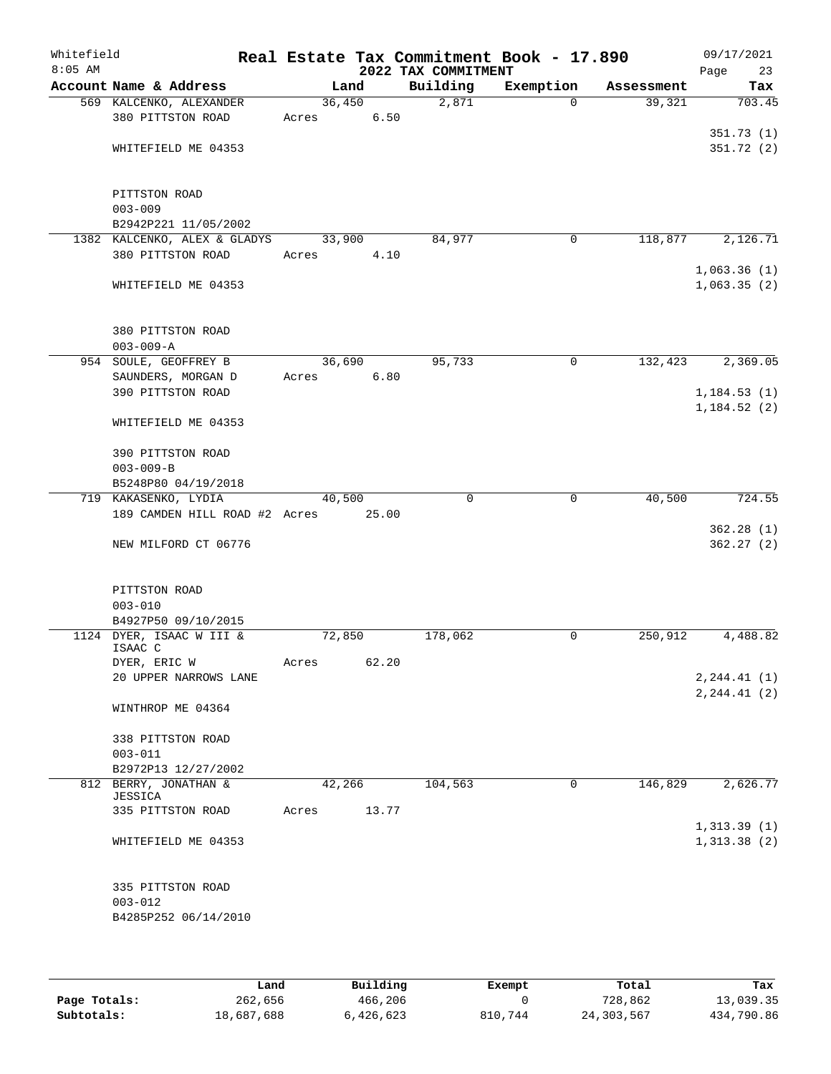| Whitefield<br>$8:05$ AM |                                          |        |       | 2022 TAX COMMITMENT | Real Estate Tax Commitment Book - 17.890 |            | 09/17/2021<br>Page<br>23 |
|-------------------------|------------------------------------------|--------|-------|---------------------|------------------------------------------|------------|--------------------------|
|                         | Account Name & Address                   | Land   |       | Building            | Exemption                                | Assessment | Tax                      |
|                         | 569 KALCENKO, ALEXANDER                  | 36,450 |       | 2,871               | $\Omega$                                 | 39,321     | 703.45                   |
|                         | 380 PITTSTON ROAD                        | Acres  | 6.50  |                     |                                          |            |                          |
|                         |                                          |        |       |                     |                                          |            | 351.73 (1)               |
|                         | WHITEFIELD ME 04353                      |        |       |                     |                                          |            | 351.72(2)                |
|                         |                                          |        |       |                     |                                          |            |                          |
|                         | PITTSTON ROAD                            |        |       |                     |                                          |            |                          |
|                         | $003 - 009$                              |        |       |                     |                                          |            |                          |
|                         | B2942P221 11/05/2002                     |        |       |                     |                                          |            |                          |
|                         | 1382 KALCENKO, ALEX & GLADYS             | 33,900 |       | 84,977              | $\mathbf 0$                              | 118,877    | 2,126.71                 |
|                         | 380 PITTSTON ROAD                        | Acres  | 4.10  |                     |                                          |            |                          |
|                         |                                          |        |       |                     |                                          |            | 1,063.36(1)              |
|                         | WHITEFIELD ME 04353                      |        |       |                     |                                          |            | 1,063.35(2)              |
|                         |                                          |        |       |                     |                                          |            |                          |
|                         |                                          |        |       |                     |                                          |            |                          |
|                         | 380 PITTSTON ROAD                        |        |       |                     |                                          |            |                          |
|                         | $003 - 009 - A$<br>954 SOULE, GEOFFREY B | 36,690 |       | 95,733              | $\mathbf 0$                              | 132,423    | 2,369.05                 |
|                         | SAUNDERS, MORGAN D                       | Acres  | 6.80  |                     |                                          |            |                          |
|                         | 390 PITTSTON ROAD                        |        |       |                     |                                          |            | 1, 184.53(1)             |
|                         |                                          |        |       |                     |                                          |            | 1, 184.52(2)             |
|                         | WHITEFIELD ME 04353                      |        |       |                     |                                          |            |                          |
|                         | 390 PITTSTON ROAD                        |        |       |                     |                                          |            |                          |
|                         | $003 - 009 - B$                          |        |       |                     |                                          |            |                          |
|                         | B5248P80 04/19/2018                      |        |       |                     |                                          |            |                          |
|                         | 719 KAKASENKO, LYDIA                     | 40,500 |       | $\Omega$            | 0                                        | 40,500     | 724.55                   |
|                         | 189 CAMDEN HILL ROAD #2 Acres            |        | 25.00 |                     |                                          |            |                          |
|                         |                                          |        |       |                     |                                          |            | 362.28(1)                |
|                         | NEW MILFORD CT 06776                     |        |       |                     |                                          |            | 362.27 (2)               |
|                         |                                          |        |       |                     |                                          |            |                          |
|                         | PITTSTON ROAD                            |        |       |                     |                                          |            |                          |
|                         | $003 - 010$                              |        |       |                     |                                          |            |                          |
|                         | B4927P50 09/10/2015                      |        |       |                     |                                          |            |                          |
|                         | 1124 DYER, ISAAC W III &<br>ISAAC C      | 72,850 |       | 178,062             | 0                                        | 250,912    | 4,488.82                 |
|                         | DYER, ERIC W                             | Acres  | 62.20 |                     |                                          |            |                          |
|                         | 20 UPPER NARROWS LANE                    |        |       |                     |                                          |            | 2, 244.41 (1)            |
|                         |                                          |        |       |                     |                                          |            | 2, 244.41 (2)            |
|                         | WINTHROP ME 04364                        |        |       |                     |                                          |            |                          |
|                         | 338 PITTSTON ROAD                        |        |       |                     |                                          |            |                          |
|                         | $003 - 011$                              |        |       |                     |                                          |            |                          |
|                         | B2972P13 12/27/2002                      |        |       |                     |                                          |            |                          |
|                         | 812 BERRY, JONATHAN &                    | 42,266 |       | 104,563             | 0                                        | 146,829    | 2,626.77                 |
|                         | JESSICA<br>335 PITTSTON ROAD             | Acres  | 13.77 |                     |                                          |            |                          |
|                         |                                          |        |       |                     |                                          |            | 1, 313.39(1)             |
|                         | WHITEFIELD ME 04353                      |        |       |                     |                                          |            | 1,313.38(2)              |
|                         |                                          |        |       |                     |                                          |            |                          |
|                         | 335 PITTSTON ROAD                        |        |       |                     |                                          |            |                          |
|                         | $003 - 012$                              |        |       |                     |                                          |            |                          |
|                         | B4285P252 06/14/2010                     |        |       |                     |                                          |            |                          |
|                         |                                          |        |       |                     |                                          |            |                          |

|              | Land       | Building  | Exempt  | Total      | Tax        |
|--------------|------------|-----------|---------|------------|------------|
| Page Totals: | 262,656    | 466,206   |         | 728,862    | 13,039.35  |
| Subtotals:   | 18,687,688 | 6,426,623 | 810,744 | 24,303,567 | 434,790.86 |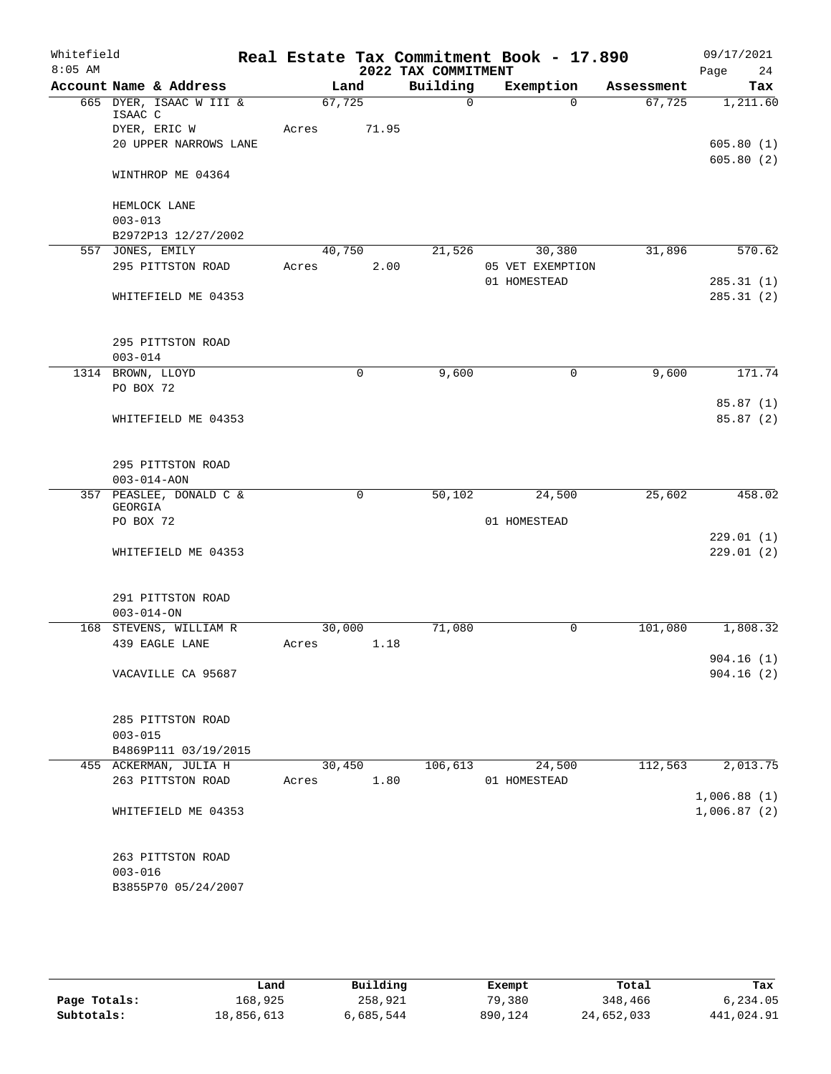| Whitefield<br>$8:05$ AM |                      |                                          |       |             |       | 2022 TAX COMMITMENT | Real Estate Tax Commitment Book - 17.890 |            | 09/17/2021<br>Page<br>24 |
|-------------------------|----------------------|------------------------------------------|-------|-------------|-------|---------------------|------------------------------------------|------------|--------------------------|
|                         |                      | Account Name & Address                   |       | Land        |       | Building            | Exemption                                | Assessment | Tax                      |
|                         | ISAAC C              | 665 DYER, ISAAC W III &                  |       | 67,725      |       | $\mathbf 0$         | $\Omega$                                 | 67,725     | 1,211.60                 |
|                         |                      | DYER, ERIC W<br>20 UPPER NARROWS LANE    | Acres |             | 71.95 |                     |                                          |            | 605.80(1)                |
|                         |                      | WINTHROP ME 04364                        |       |             |       |                     |                                          |            | 605.80(2)                |
|                         | $003 - 013$          | HEMLOCK LANE                             |       |             |       |                     |                                          |            |                          |
|                         |                      | B2972P13 12/27/2002                      |       |             |       |                     |                                          |            |                          |
|                         |                      | 557 JONES, EMILY                         |       | 40,750      |       | 21,526              | 30,380                                   | 31,896     | 570.62                   |
|                         |                      | 295 PITTSTON ROAD                        | Acres |             | 2.00  |                     | 05 VET EXEMPTION                         |            |                          |
|                         |                      | WHITEFIELD ME 04353                      |       |             |       |                     | 01 HOMESTEAD                             |            | 285.31(1)<br>285.31(2)   |
|                         | $003 - 014$          | 295 PITTSTON ROAD                        |       |             |       |                     |                                          |            |                          |
|                         |                      | 1314 BROWN, LLOYD                        |       | $\mathbf 0$ |       | 9,600               | $\mathbf 0$                              | 9,600      | 171.74                   |
|                         | PO BOX 72            |                                          |       |             |       |                     |                                          |            |                          |
|                         |                      | WHITEFIELD ME 04353                      |       |             |       |                     |                                          |            | 85.87(1)<br>85.87(2)     |
|                         |                      | 295 PITTSTON ROAD<br>$003 - 014 - AON$   |       |             |       |                     |                                          |            |                          |
|                         |                      | 357 PEASLEE, DONALD C &                  |       | $\mathbf 0$ |       | 50,102              | 24,500                                   | 25,602     | 458.02                   |
|                         | GEORGIA<br>PO BOX 72 |                                          |       |             |       |                     | 01 HOMESTEAD                             |            |                          |
|                         |                      |                                          |       |             |       |                     |                                          |            | 229.01(1)                |
|                         |                      | WHITEFIELD ME 04353                      |       |             |       |                     |                                          |            | 229.01(2)                |
|                         | $003 - 014 - ON$     | 291 PITTSTON ROAD                        |       |             |       |                     |                                          |            |                          |
|                         |                      | 168 STEVENS, WILLIAM R                   |       | 30,000      |       | 71,080              | $\mathbf 0$                              | 101,080    | 1,808.32                 |
|                         |                      | 439 EAGLE LANE                           | Acres |             | 1.18  |                     |                                          |            |                          |
|                         |                      | VACAVILLE CA 95687                       |       |             |       |                     |                                          |            | 904.16(1)<br>904.16(2)   |
|                         | $003 - 015$          | 285 PITTSTON ROAD                        |       |             |       |                     |                                          |            |                          |
|                         |                      | B4869P111 03/19/2015                     |       |             |       |                     |                                          |            |                          |
|                         |                      | 455 ACKERMAN, JULIA H                    |       | 30,450      |       | 106,613             | 24,500                                   | 112,563    | 2,013.75                 |
|                         |                      | 263 PITTSTON ROAD                        | Acres |             | 1.80  |                     | 01 HOMESTEAD                             |            | 1,006.88(1)              |
|                         |                      | WHITEFIELD ME 04353                      |       |             |       |                     |                                          |            | 1,006.87(2)              |
|                         | $003 - 016$          | 263 PITTSTON ROAD<br>B3855P70 05/24/2007 |       |             |       |                     |                                          |            |                          |

|              | Land       | Building  | Exempt  | Total      | Tax        |
|--------------|------------|-----------|---------|------------|------------|
| Page Totals: | 168,925    | 258,921   | 79,380  | 348,466    | 6.234.05   |
| Subtotals:   | 18,856,613 | 6,685,544 | 890,124 | 24,652,033 | 441,024.91 |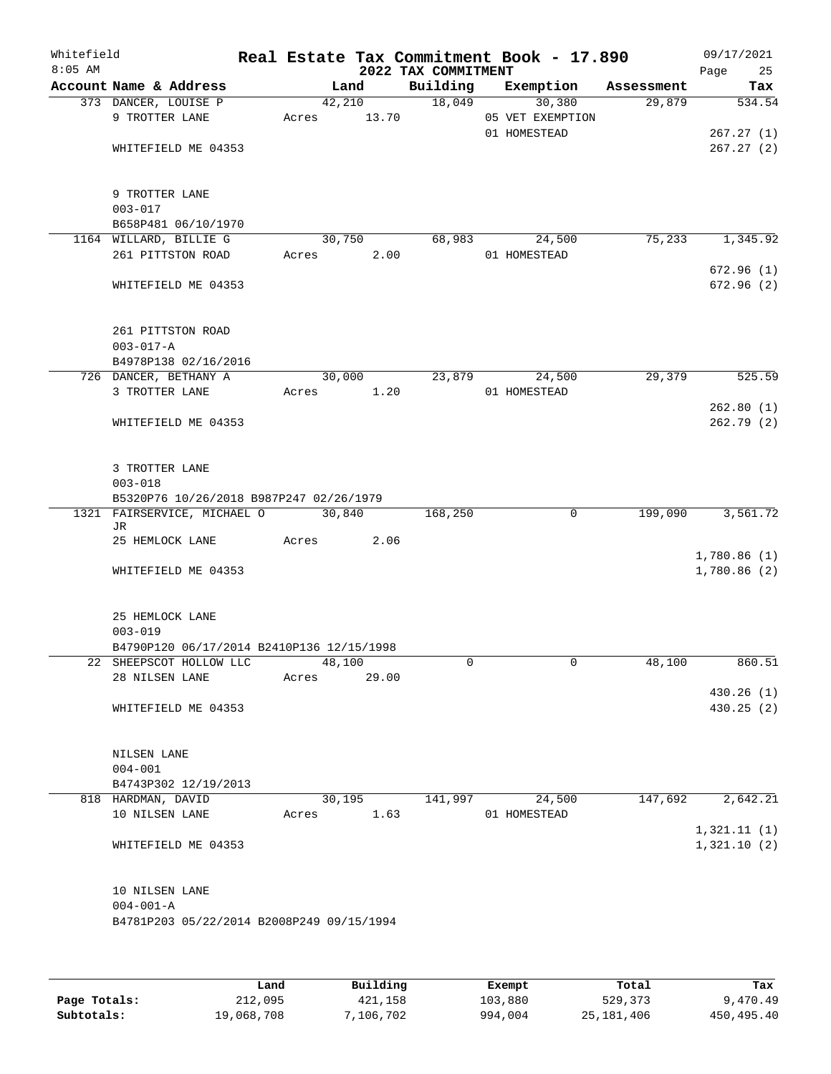| Whitefield<br>$8:05$ AM |                                                                        |                 |                 | 2022 TAX COMMITMENT | Real Estate Tax Commitment Book - 17.890   |            | 09/17/2021<br>Page<br>25 |
|-------------------------|------------------------------------------------------------------------|-----------------|-----------------|---------------------|--------------------------------------------|------------|--------------------------|
|                         | Account Name & Address                                                 |                 | Land            | Building            | Exemption                                  | Assessment | Tax                      |
|                         | 373 DANCER, LOUISE P<br>9 TROTTER LANE                                 | Acres           | 42,210<br>13.70 | 18,049              | 30,380<br>05 VET EXEMPTION<br>01 HOMESTEAD | 29,879     | 534.54<br>267.27(1)      |
|                         | WHITEFIELD ME 04353                                                    |                 |                 |                     |                                            |            | 267.27(2)                |
|                         | 9 TROTTER LANE<br>$003 - 017$                                          |                 |                 |                     |                                            |            |                          |
|                         | B658P481 06/10/1970<br>1164 WILLARD, BILLIE G                          |                 | 30,750          | 68,983              | 24,500                                     | 75,233     | 1,345.92                 |
|                         | 261 PITTSTON ROAD                                                      | Acres           | 2.00            |                     | 01 HOMESTEAD                               |            |                          |
|                         | WHITEFIELD ME 04353                                                    |                 |                 |                     |                                            |            | 672.96(1)<br>672.96 (2)  |
|                         | 261 PITTSTON ROAD<br>$003 - 017 - A$                                   |                 |                 |                     |                                            |            |                          |
|                         | B4978P138 02/16/2016<br>726 DANCER, BETHANY A                          |                 | 30,000          | 23,879              | 24,500                                     | 29,379     | 525.59                   |
|                         | 3 TROTTER LANE                                                         | Acres           | 1.20            |                     | 01 HOMESTEAD                               |            |                          |
|                         | WHITEFIELD ME 04353                                                    |                 |                 |                     |                                            |            | 262.80(1)<br>262.79(2)   |
|                         | 3 TROTTER LANE<br>$003 - 018$                                          |                 |                 |                     |                                            |            |                          |
|                         | B5320P76 10/26/2018 B987P247 02/26/1979<br>1321 FAIRSERVICE, MICHAEL O | 30,840          |                 | 168,250             | $\mathbf 0$                                | 199,090    | 3,561.72                 |
|                         | JR.                                                                    |                 |                 |                     |                                            |            |                          |
|                         | 25 HEMLOCK LANE                                                        | Acres           | 2.06            |                     |                                            |            | 1,780.86(1)              |
|                         | WHITEFIELD ME 04353                                                    |                 |                 |                     |                                            |            | 1,780.86(2)              |
|                         | 25 HEMLOCK LANE<br>$003 - 019$                                         |                 |                 |                     |                                            |            |                          |
|                         | B4790P120 06/17/2014 B2410P136 12/15/1998                              |                 |                 |                     |                                            |            |                          |
|                         | 22 SHEEPSCOT HOLLOW LLC<br>28 NILSEN LANE                              | 48,100<br>Acres | 29.00           | 0                   | 0                                          | 48,100     | 860.51                   |
|                         |                                                                        |                 |                 |                     |                                            |            | 430.26 (1)               |
|                         | WHITEFIELD ME 04353                                                    |                 |                 |                     |                                            |            | 430.25(2)                |
|                         | NILSEN LANE<br>$004 - 001$                                             |                 |                 |                     |                                            |            |                          |
|                         | B4743P302 12/19/2013                                                   |                 |                 |                     |                                            |            |                          |
|                         | 818 HARDMAN, DAVID                                                     |                 | 30,195          | 141,997             | 24,500                                     | 147,692    | 2,642.21                 |
|                         | 10 NILSEN LANE                                                         | Acres           | 1.63            |                     | 01 HOMESTEAD                               |            | 1,321.11(1)              |
|                         | WHITEFIELD ME 04353                                                    |                 |                 |                     |                                            |            | 1,321.10(2)              |
|                         | 10 NILSEN LANE<br>$004 - 001 - A$                                      |                 |                 |                     |                                            |            |                          |
|                         | B4781P203 05/22/2014 B2008P249 09/15/1994                              |                 |                 |                     |                                            |            |                          |

|              | Land       | Building  | Exempt  | Total      | Tax        |
|--------------|------------|-----------|---------|------------|------------|
| Page Totals: | 212,095    | 421,158   | 103,880 | 529,373    | 9,470.49   |
| Subtotals:   | 19,068,708 | 7,106,702 | 994,004 | 25,181,406 | 450,495.40 |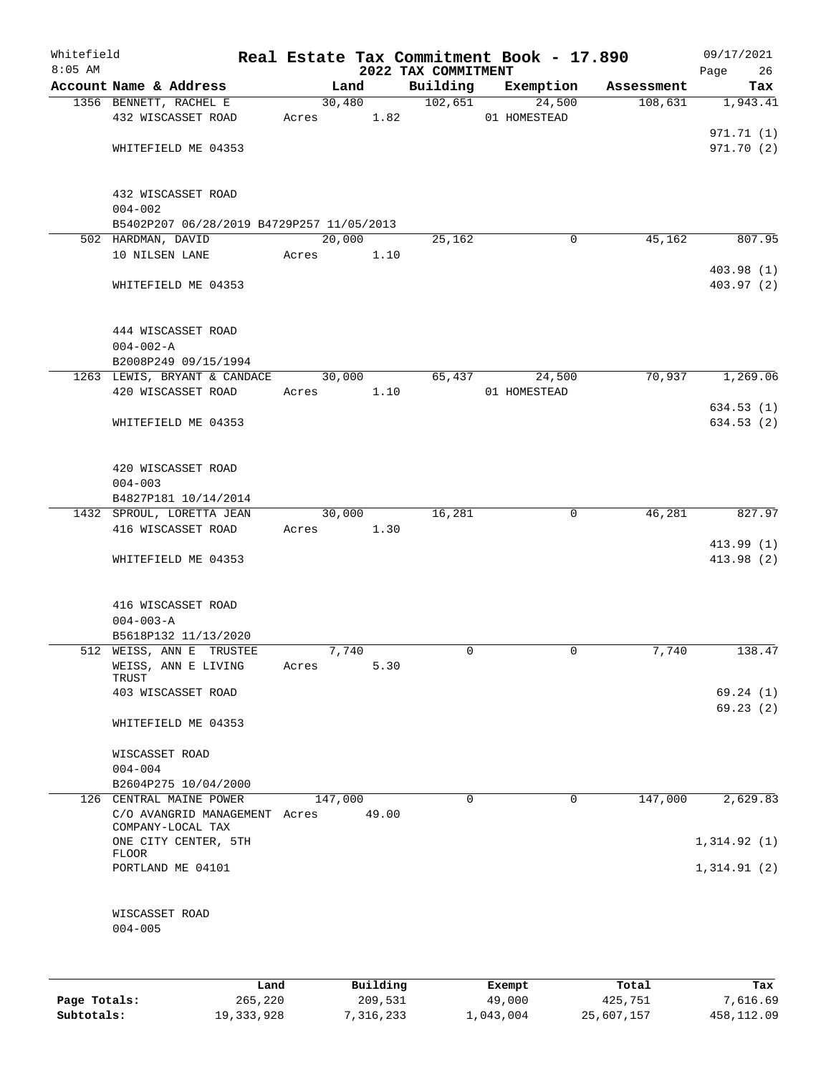| Whitefield<br>$8:05$ AM |                                                          |       |            |          | 2022 TAX COMMITMENT | Real Estate Tax Commitment Book - 17.890 |            | 09/17/2021        |
|-------------------------|----------------------------------------------------------|-------|------------|----------|---------------------|------------------------------------------|------------|-------------------|
|                         | Account Name & Address                                   |       | Land       |          | Building            | Exemption                                | Assessment | Page<br>26<br>Tax |
|                         | 1356 BENNETT, RACHEL E                                   |       | 30,480     |          | 102,651             | 24,500                                   | 108,631    | 1,943.41          |
|                         | 432 WISCASSET ROAD                                       |       | Acres 1.82 |          |                     | 01 HOMESTEAD                             |            |                   |
|                         |                                                          |       |            |          |                     |                                          |            | 971.71 (1)        |
|                         | WHITEFIELD ME 04353                                      |       |            |          |                     |                                          |            | 971.70(2)         |
|                         |                                                          |       |            |          |                     |                                          |            |                   |
|                         | 432 WISCASSET ROAD                                       |       |            |          |                     |                                          |            |                   |
|                         | $004 - 002$<br>B5402P207 06/28/2019 B4729P257 11/05/2013 |       |            |          |                     |                                          |            |                   |
|                         | 502 HARDMAN, DAVID                                       |       | 20,000     |          | 25,162              | 0                                        | 45,162     | 807.95            |
|                         | 10 NILSEN LANE                                           | Acres |            | 1.10     |                     |                                          |            |                   |
|                         |                                                          |       |            |          |                     |                                          |            | 403.98(1)         |
|                         | WHITEFIELD ME 04353                                      |       |            |          |                     |                                          |            | 403.97(2)         |
|                         | 444 WISCASSET ROAD                                       |       |            |          |                     |                                          |            |                   |
|                         | $004 - 002 - A$                                          |       |            |          |                     |                                          |            |                   |
|                         | B2008P249 09/15/1994                                     |       |            |          |                     |                                          |            |                   |
|                         | 1263 LEWIS, BRYANT & CANDACE                             |       | 30,000     |          | 65,437              | 24,500                                   | 70,937     | 1,269.06          |
|                         | 420 WISCASSET ROAD                                       | Acres |            | 1.10     |                     | 01 HOMESTEAD                             |            |                   |
|                         |                                                          |       |            |          |                     |                                          |            | 634.53(1)         |
|                         | WHITEFIELD ME 04353                                      |       |            |          |                     |                                          |            | 634.53(2)         |
|                         |                                                          |       |            |          |                     |                                          |            |                   |
|                         | 420 WISCASSET ROAD                                       |       |            |          |                     |                                          |            |                   |
|                         | $004 - 003$                                              |       |            |          |                     |                                          |            |                   |
|                         | B4827P181 10/14/2014                                     |       |            |          |                     |                                          |            |                   |
|                         | 1432 SPROUL, LORETTA JEAN                                |       | 30,000     |          | 16,281              | $\mathbf 0$                              | 46,281     | 827.97            |
|                         | 416 WISCASSET ROAD                                       | Acres |            | 1.30     |                     |                                          |            |                   |
|                         |                                                          |       |            |          |                     |                                          |            | 413.99(1)         |
|                         | WHITEFIELD ME 04353                                      |       |            |          |                     |                                          |            | 413.98 (2)        |
|                         | 416 WISCASSET ROAD                                       |       |            |          |                     |                                          |            |                   |
|                         | $004 - 003 - A$                                          |       |            |          |                     |                                          |            |                   |
|                         | B5618P132 11/13/2020                                     |       |            |          |                     |                                          |            |                   |
|                         | 512 WEISS, ANN E TRUSTEE                                 |       | 7,740      |          | 0                   | 0                                        | 7,740      | 138.47            |
|                         | WEISS, ANN E LIVING                                      | Acres |            | 5.30     |                     |                                          |            |                   |
|                         | TRUST                                                    |       |            |          |                     |                                          |            |                   |
|                         | 403 WISCASSET ROAD                                       |       |            |          |                     |                                          |            | 69.24(1)          |
|                         | WHITEFIELD ME 04353                                      |       |            |          |                     |                                          |            | 69.23(2)          |
|                         | WISCASSET ROAD                                           |       |            |          |                     |                                          |            |                   |
|                         | $004 - 004$                                              |       |            |          |                     |                                          |            |                   |
|                         | B2604P275 10/04/2000                                     |       |            |          |                     |                                          |            |                   |
|                         | 126 CENTRAL MAINE POWER                                  |       | 147,000    |          | $\Omega$            | 0                                        | 147,000    | 2,629.83          |
|                         | C/O AVANGRID MANAGEMENT Acres<br>COMPANY-LOCAL TAX       |       |            | 49.00    |                     |                                          |            |                   |
|                         | ONE CITY CENTER, 5TH                                     |       |            |          |                     |                                          |            | 1,314.92(1)       |
|                         | <b>FLOOR</b>                                             |       |            |          |                     |                                          |            |                   |
|                         | PORTLAND ME 04101                                        |       |            |          |                     |                                          |            | 1,314.91(2)       |
|                         | WISCASSET ROAD                                           |       |            |          |                     |                                          |            |                   |
|                         | $004 - 005$                                              |       |            |          |                     |                                          |            |                   |
|                         |                                                          |       |            |          |                     |                                          |            |                   |
|                         |                                                          |       |            |          |                     |                                          |            |                   |
|                         |                                                          | Land  |            | Building |                     | Exempt                                   | Total      | Tax               |

|              | ------     | --------- | --------- | -----      | ----       |
|--------------|------------|-----------|-----------|------------|------------|
| Page Totals: | 265,220    | 209,531   | 49,000    | 425,751    | 7,616.69   |
| Subtotals:   | 19,333,928 | 7,316,233 | 1,043,004 | 25,607,157 | 458,112.09 |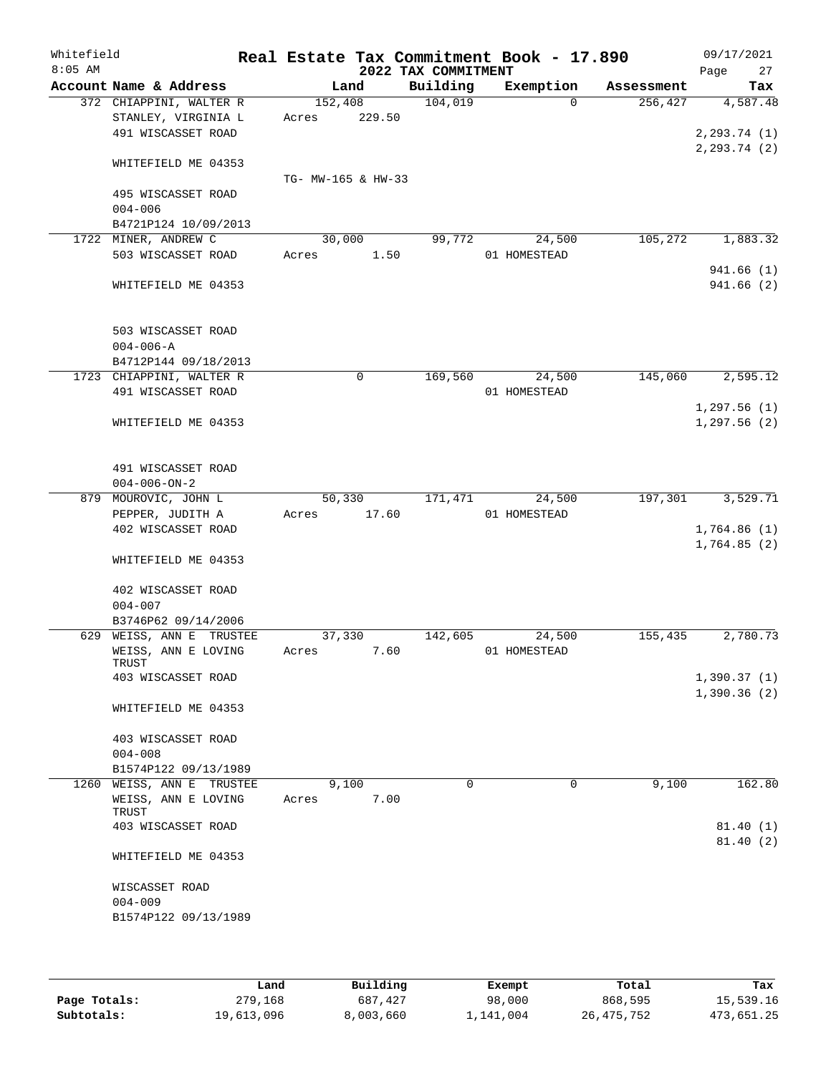| Whitefield<br>$8:05$ AM |                              |                    |        | 2022 TAX COMMITMENT | Real Estate Tax Commitment Book - 17.890 |            | 09/17/2021<br>27<br>Page |
|-------------------------|------------------------------|--------------------|--------|---------------------|------------------------------------------|------------|--------------------------|
|                         | Account Name & Address       |                    | Land   | Building            | Exemption                                | Assessment | Tax                      |
|                         | 372 CHIAPPINI, WALTER R      | 152,408            |        | 104,019             | $\Omega$                                 | 256,427    | 4,587.48                 |
|                         | STANLEY, VIRGINIA L          | Acres              | 229.50 |                     |                                          |            |                          |
|                         | 491 WISCASSET ROAD           |                    |        |                     |                                          |            | 2, 293.74 (1)            |
|                         |                              |                    |        |                     |                                          |            | 2, 293.74 (2)            |
|                         | WHITEFIELD ME 04353          |                    |        |                     |                                          |            |                          |
|                         |                              | TG- MW-165 & HW-33 |        |                     |                                          |            |                          |
|                         | 495 WISCASSET ROAD           |                    |        |                     |                                          |            |                          |
|                         | $004 - 006$                  |                    |        |                     |                                          |            |                          |
|                         | B4721P124 10/09/2013         |                    |        |                     |                                          |            |                          |
|                         | 1722 MINER, ANDREW C         | 30,000             |        | 99,772              | 24,500                                   | 105,272    | 1,883.32                 |
|                         | 503 WISCASSET ROAD           | Acres              | 1.50   |                     | 01 HOMESTEAD                             |            |                          |
|                         |                              |                    |        |                     |                                          |            | 941.66(1)<br>941.66(2)   |
|                         | WHITEFIELD ME 04353          |                    |        |                     |                                          |            |                          |
|                         |                              |                    |        |                     |                                          |            |                          |
|                         | 503 WISCASSET ROAD           |                    |        |                     |                                          |            |                          |
|                         | $004 - 006 - A$              |                    |        |                     |                                          |            |                          |
|                         | B4712P144 09/18/2013         |                    |        |                     |                                          |            |                          |
|                         | 1723 CHIAPPINI, WALTER R     |                    | 0      | 169,560             | 24,500                                   | 145,060    | 2,595.12                 |
|                         | 491 WISCASSET ROAD           |                    |        |                     | 01 HOMESTEAD                             |            |                          |
|                         |                              |                    |        |                     |                                          |            | 1,297.56(1)              |
|                         | WHITEFIELD ME 04353          |                    |        |                     |                                          |            | 1,297.56(2)              |
|                         |                              |                    |        |                     |                                          |            |                          |
|                         |                              |                    |        |                     |                                          |            |                          |
|                         | 491 WISCASSET ROAD           |                    |        |                     |                                          |            |                          |
|                         | $004 - 006 - ON - 2$         |                    |        |                     |                                          |            |                          |
|                         | 879 MOUROVIC, JOHN L         | 50,330             |        | 171,471             | 24,500                                   | 197,301    | 3,529.71                 |
|                         | PEPPER, JUDITH A             | Acres              | 17.60  |                     | 01 HOMESTEAD                             |            |                          |
|                         | 402 WISCASSET ROAD           |                    |        |                     |                                          |            | 1,764.86(1)              |
|                         |                              |                    |        |                     |                                          |            | 1,764.85(2)              |
|                         | WHITEFIELD ME 04353          |                    |        |                     |                                          |            |                          |
|                         |                              |                    |        |                     |                                          |            |                          |
|                         | 402 WISCASSET ROAD           |                    |        |                     |                                          |            |                          |
|                         | $004 - 007$                  |                    |        |                     |                                          |            |                          |
|                         | B3746P62 09/14/2006          |                    |        |                     |                                          |            |                          |
|                         | 629 WEISS, ANN E TRUSTEE     | 37,330             |        | 142,605             | 24,500                                   | 155,435    | 2,780.73                 |
|                         | WEISS, ANN E LOVING<br>TRUST | Acres              | 7.60   |                     | 01 HOMESTEAD                             |            |                          |
|                         | 403 WISCASSET ROAD           |                    |        |                     |                                          |            | 1,390.37(1)              |
|                         |                              |                    |        |                     |                                          |            | 1,390.36(2)              |
|                         | WHITEFIELD ME 04353          |                    |        |                     |                                          |            |                          |
|                         |                              |                    |        |                     |                                          |            |                          |
|                         | 403 WISCASSET ROAD           |                    |        |                     |                                          |            |                          |
|                         | $004 - 008$                  |                    |        |                     |                                          |            |                          |
|                         | B1574P122 09/13/1989         |                    |        |                     |                                          |            |                          |
| 1260                    | WEISS, ANN E TRUSTEE         | 9,100              |        | 0                   | 0                                        | 9,100      | 162.80                   |
|                         | WEISS, ANN E LOVING          | Acres              | 7.00   |                     |                                          |            |                          |
|                         | TRUST                        |                    |        |                     |                                          |            |                          |
|                         | 403 WISCASSET ROAD           |                    |        |                     |                                          |            | 81.40(1)                 |
|                         |                              |                    |        |                     |                                          |            | 81.40(2)                 |
|                         | WHITEFIELD ME 04353          |                    |        |                     |                                          |            |                          |
|                         | WISCASSET ROAD               |                    |        |                     |                                          |            |                          |
|                         | $004 - 009$                  |                    |        |                     |                                          |            |                          |
|                         | B1574P122 09/13/1989         |                    |        |                     |                                          |            |                          |
|                         |                              |                    |        |                     |                                          |            |                          |
|                         |                              |                    |        |                     |                                          |            |                          |

|              | Land       | Building  | Exempt    | Total      | Tax        |
|--------------|------------|-----------|-----------|------------|------------|
| Page Totals: | 279,168    | 687,427   | 98,000    | 868,595    | 15,539.16  |
| Subtotals:   | 19,613,096 | 8,003,660 | 1,141,004 | 26,475,752 | 473,651.25 |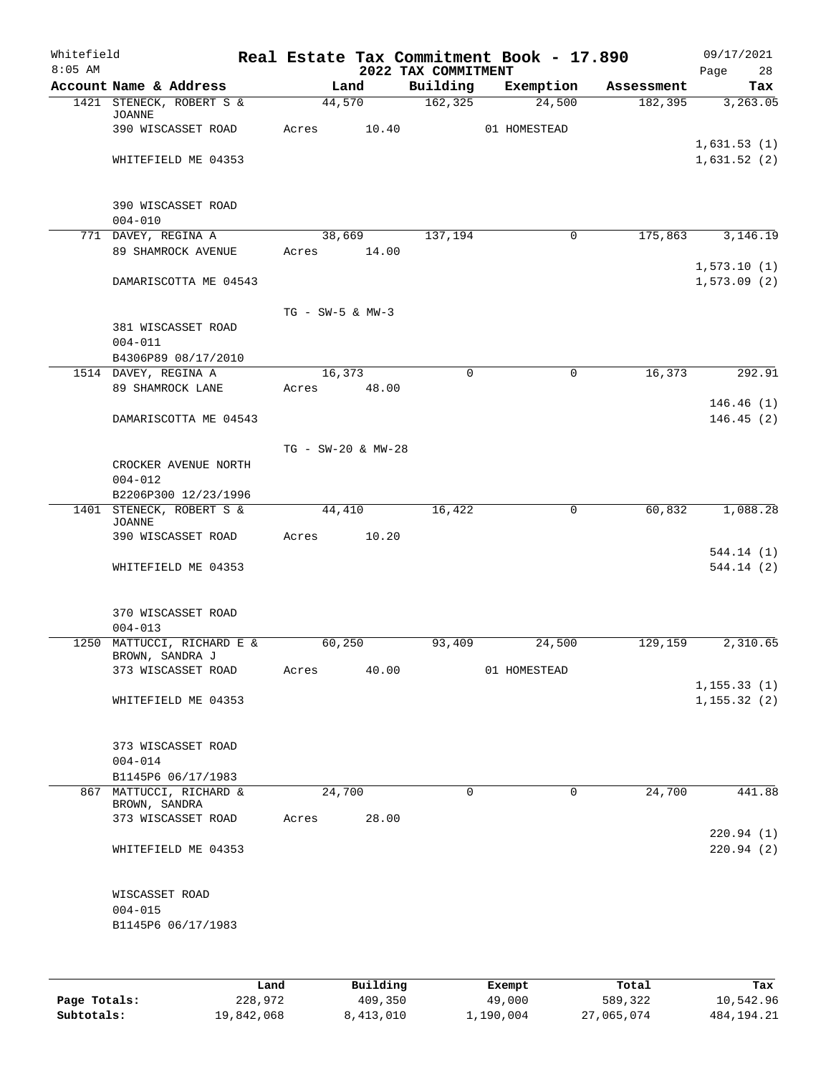| Whitefield<br>$8:05$ AM |                                               |                    |                    | 2022 TAX COMMITMENT | Real Estate Tax Commitment Book - 17.890 |            | 09/17/2021<br>28<br>Page   |
|-------------------------|-----------------------------------------------|--------------------|--------------------|---------------------|------------------------------------------|------------|----------------------------|
|                         | Account Name & Address                        |                    | Land               | Building            | Exemption                                | Assessment | Tax                        |
|                         | 1421 STENECK, ROBERT S &<br>JOANNE            |                    | 44,570             | 162, 325            | 24,500                                   | 182,395    | 3,263.05                   |
|                         | 390 WISCASSET ROAD                            | Acres              | 10.40              |                     | 01 HOMESTEAD                             |            |                            |
|                         |                                               |                    |                    |                     |                                          |            | 1,631.53(1)                |
|                         | WHITEFIELD ME 04353                           |                    |                    |                     |                                          |            | 1,631.52(2)                |
|                         | 390 WISCASSET ROAD                            |                    |                    |                     |                                          |            |                            |
|                         | $004 - 010$                                   |                    | 38,669             | 137,194             | 0                                        | 175,863    |                            |
|                         | 771 DAVEY, REGINA A<br>89 SHAMROCK AVENUE     | Acres              | 14.00              |                     |                                          |            | 3,146.19                   |
|                         | DAMARISCOTTA ME 04543                         |                    |                    |                     |                                          |            | 1,573.10(1)<br>1,573.09(2) |
|                         |                                               | $TG - SW-5 & MW-3$ |                    |                     |                                          |            |                            |
|                         | 381 WISCASSET ROAD<br>$004 - 011$             |                    |                    |                     |                                          |            |                            |
|                         | B4306P89 08/17/2010                           |                    |                    |                     |                                          |            |                            |
|                         | 1514 DAVEY, REGINA A                          |                    | 16,373             | $\mathbf 0$         | $\mathbf 0$                              | 16,373     | 292.91                     |
|                         | 89 SHAMROCK LANE                              | Acres              | 48.00              |                     |                                          |            |                            |
|                         |                                               |                    |                    |                     |                                          |            | 146.46(1)                  |
|                         | DAMARISCOTTA ME 04543                         |                    |                    |                     |                                          |            | 146.45(2)                  |
|                         |                                               |                    | TG - SW-20 & MW-28 |                     |                                          |            |                            |
|                         | CROCKER AVENUE NORTH                          |                    |                    |                     |                                          |            |                            |
|                         | $004 - 012$<br>B2206P300 12/23/1996           |                    |                    |                     |                                          |            |                            |
|                         | 1401 STENECK, ROBERT S &                      |                    | 44,410             | 16,422              | 0                                        | 60,832     | 1,088.28                   |
|                         | <b>JOANNE</b>                                 |                    |                    |                     |                                          |            |                            |
|                         | 390 WISCASSET ROAD                            | Acres              | 10.20              |                     |                                          |            |                            |
|                         | WHITEFIELD ME 04353                           |                    |                    |                     |                                          |            | 544.14(1)<br>544.14 (2)    |
|                         | 370 WISCASSET ROAD                            |                    |                    |                     |                                          |            |                            |
|                         | $004 - 013$                                   |                    |                    |                     |                                          |            |                            |
|                         | 1250 MATTUCCI, RICHARD E &                    |                    | 60,250             | 93,409              | 24,500                                   | 129,159    | 2,310.65                   |
|                         | BROWN, SANDRA J<br>373 WISCASSET ROAD         |                    | 40.00              |                     |                                          |            |                            |
|                         |                                               | Acres              |                    |                     | 01 HOMESTEAD                             |            | 1, 155.33(1)               |
|                         | WHITEFIELD ME 04353                           |                    |                    |                     |                                          |            | 1, 155.32(2)               |
|                         | 373 WISCASSET ROAD                            |                    |                    |                     |                                          |            |                            |
|                         | $004 - 014$                                   |                    |                    |                     |                                          |            |                            |
|                         | B1145P6 06/17/1983<br>867 MATTUCCI, RICHARD & |                    | 24,700             | $\mathbf 0$         | 0                                        | 24,700     | 441.88                     |
|                         | BROWN, SANDRA                                 |                    |                    |                     |                                          |            |                            |
|                         | 373 WISCASSET ROAD                            | Acres              | 28.00              |                     |                                          |            | 220.94(1)                  |
|                         | WHITEFIELD ME 04353                           |                    |                    |                     |                                          |            | 220.94(2)                  |
|                         | WISCASSET ROAD                                |                    |                    |                     |                                          |            |                            |
|                         | $004 - 015$<br>B1145P6 06/17/1983             |                    |                    |                     |                                          |            |                            |
|                         |                                               |                    |                    |                     |                                          |            |                            |
|                         |                                               |                    |                    |                     |                                          |            |                            |
|                         |                                               |                    |                    |                     |                                          |            |                            |

|              | Land       | Building  | Exempt    | Total      | Tax          |
|--------------|------------|-----------|-----------|------------|--------------|
| Page Totals: | 228,972    | 409,350   | 49,000    | 589,322    | 10,542.96    |
| Subtotals:   | 19,842,068 | 8,413,010 | 1,190,004 | 27,065,074 | 484, 194. 21 |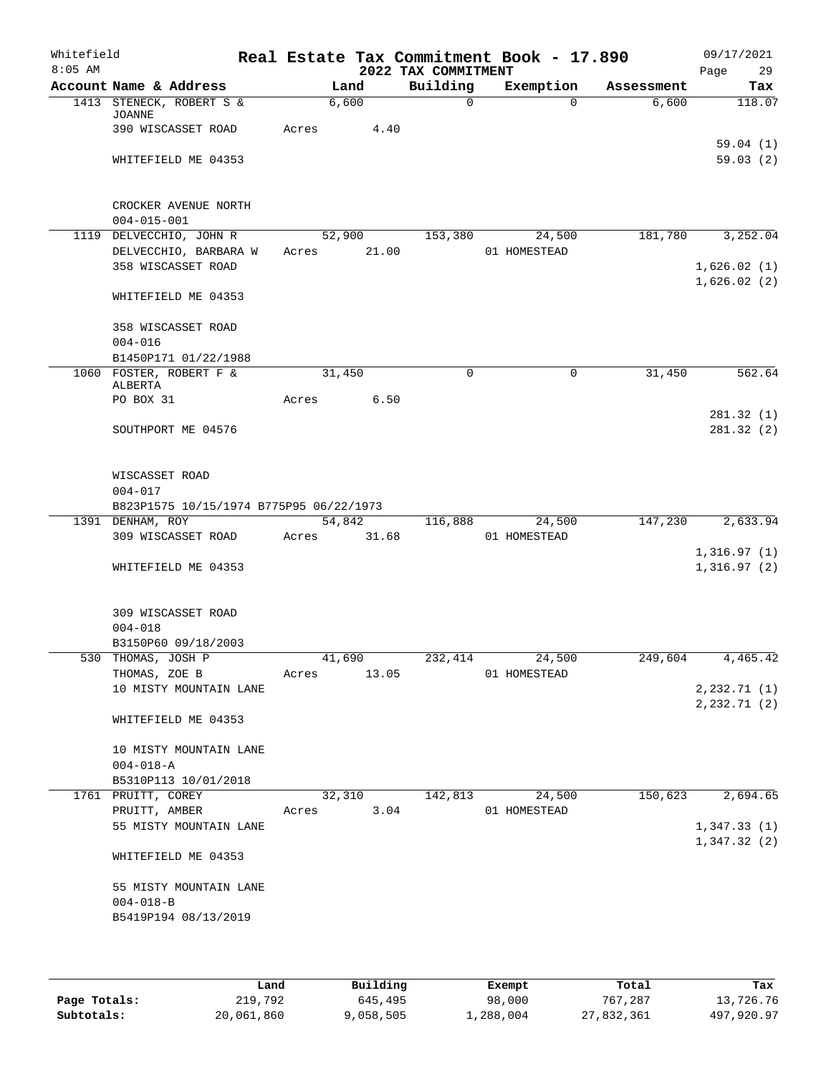| Whitefield<br>$8:05$ AM |                                                                          | Real Estate Tax Commitment Book - 17.890 | 2022 TAX COMMITMENT |                |            | 09/17/2021<br>29<br>Page   |
|-------------------------|--------------------------------------------------------------------------|------------------------------------------|---------------------|----------------|------------|----------------------------|
|                         | Account Name & Address                                                   | Land                                     | Building            | Exemption      | Assessment | Tax                        |
|                         | 1413 STENECK, ROBERT S &<br>JOANNE                                       | 6,600                                    | $\Omega$            | $\Omega$       | 6,600      | 118.07                     |
|                         | 390 WISCASSET ROAD                                                       | 4.40<br>Acres                            |                     |                |            |                            |
|                         |                                                                          |                                          |                     |                |            | 59.04(1)                   |
|                         | WHITEFIELD ME 04353                                                      |                                          |                     |                |            | 59.03(2)                   |
|                         | CROCKER AVENUE NORTH                                                     |                                          |                     |                |            |                            |
|                         | $004 - 015 - 001$                                                        |                                          |                     |                |            |                            |
|                         | 1119 DELVECCHIO, JOHN R                                                  | 52,900                                   | 153,380             | 24,500         | 181,780    | 3,252.04                   |
|                         | DELVECCHIO, BARBARA W                                                    | 21.00<br>Acres                           |                     | 01 HOMESTEAD   |            |                            |
|                         | 358 WISCASSET ROAD                                                       |                                          |                     |                |            | 1,626.02(1)<br>1,626.02(2) |
|                         | WHITEFIELD ME 04353                                                      |                                          |                     |                |            |                            |
|                         | 358 WISCASSET ROAD                                                       |                                          |                     |                |            |                            |
|                         | $004 - 016$                                                              |                                          |                     |                |            |                            |
|                         | B1450P171 01/22/1988                                                     |                                          |                     |                |            |                            |
|                         | 1060 FOSTER, ROBERT F &<br>ALBERTA                                       | 31,450                                   | $\mathbf 0$         | $\mathbf 0$    | 31,450     | 562.64                     |
|                         | PO BOX 31                                                                | 6.50<br>Acres                            |                     |                |            |                            |
|                         | SOUTHPORT ME 04576                                                       |                                          |                     |                |            | 281.32(1)<br>281.32(2)     |
|                         | WISCASSET ROAD<br>$004 - 017$<br>B823P1575 10/15/1974 B775P95 06/22/1973 |                                          |                     |                |            |                            |
|                         | 1391 DENHAM, ROY                                                         | 54,842                                   | 116,888             | 24,500         | 147,230    | 2,633.94                   |
|                         | 309 WISCASSET ROAD                                                       | 31.68<br>Acres                           |                     | 01 HOMESTEAD   |            |                            |
|                         |                                                                          |                                          |                     |                |            | 1,316.97(1)                |
|                         | WHITEFIELD ME 04353                                                      |                                          |                     |                |            | 1,316.97(2)                |
|                         | 309 WISCASSET ROAD                                                       |                                          |                     |                |            |                            |
|                         | $004 - 018$                                                              |                                          |                     |                |            |                            |
|                         | B3150P60 09/18/2003<br>530 THOMAS, JOSH P                                | 41,690                                   |                     | 232,414 24,500 |            | $249,604$ 4,465.42         |
|                         | THOMAS, ZOE B                                                            | 13.05<br>Acres                           |                     | 01 HOMESTEAD   |            |                            |
|                         | 10 MISTY MOUNTAIN LANE                                                   |                                          |                     |                |            | 2, 232.71(1)               |
|                         |                                                                          |                                          |                     |                |            | 2, 232.71 (2)              |
|                         | WHITEFIELD ME 04353                                                      |                                          |                     |                |            |                            |
|                         | 10 MISTY MOUNTAIN LANE                                                   |                                          |                     |                |            |                            |
|                         | $004 - 018 - A$                                                          |                                          |                     |                |            |                            |
|                         | B5310P113 10/01/2018                                                     |                                          |                     |                |            |                            |
|                         | 1761 PRUITT, COREY                                                       | 32,310                                   | 142,813             | 24,500         | 150,623    | 2,694.65                   |
|                         | PRUITT, AMBER<br>55 MISTY MOUNTAIN LANE                                  | Acres 3.04                               |                     | 01 HOMESTEAD   |            | 1,347.33(1)                |
|                         |                                                                          |                                          |                     |                |            | 1,347.32(2)                |
|                         | WHITEFIELD ME 04353                                                      |                                          |                     |                |            |                            |
|                         | 55 MISTY MOUNTAIN LANE                                                   |                                          |                     |                |            |                            |
|                         | $004 - 018 - B$                                                          |                                          |                     |                |            |                            |
|                         | B5419P194 08/13/2019                                                     |                                          |                     |                |            |                            |
|                         |                                                                          |                                          |                     |                |            |                            |

|              | Land       | Building  | Exempt    | Total      | Tax        |
|--------------|------------|-----------|-----------|------------|------------|
| Page Totals: | 219,792    | 645,495   | 98,000    | 767,287    | 13,726.76  |
| Subtotals:   | 20,061,860 | 9,058,505 | 1,288,004 | 27,832,361 | 497,920.97 |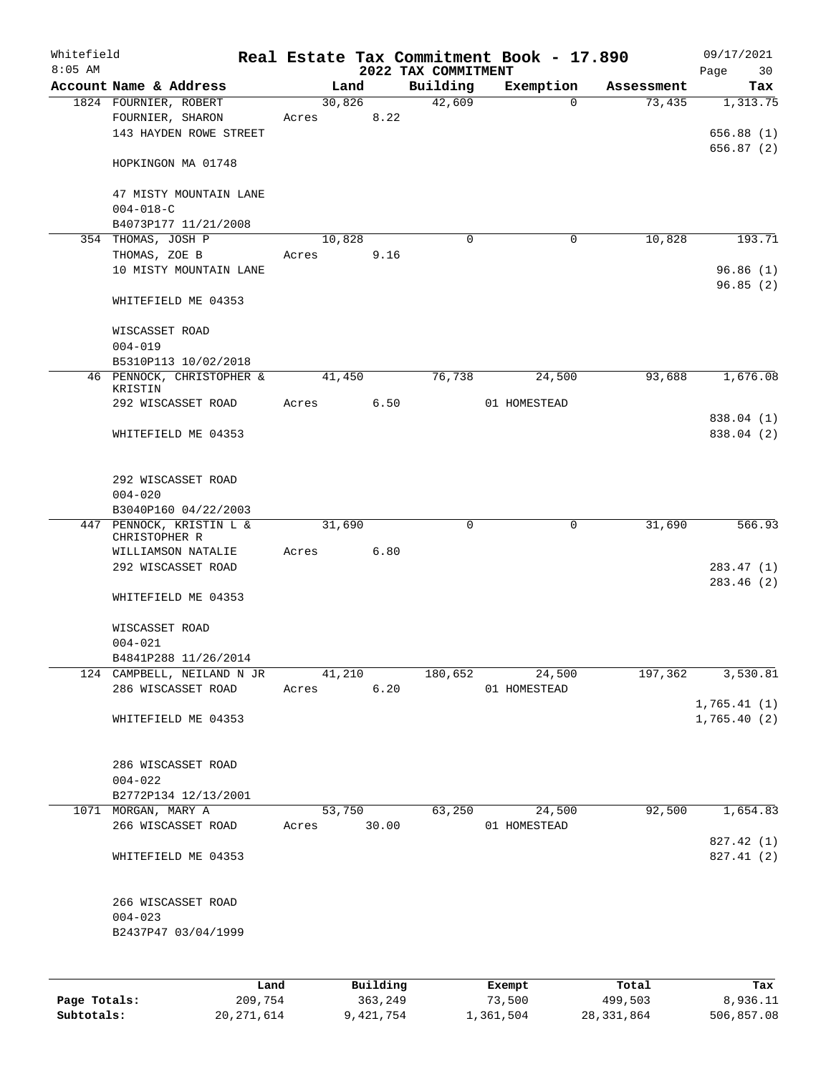| Whitefield<br>$8:05$ AM |                                           |       |        |          | 2022 TAX COMMITMENT | Real Estate Tax Commitment Book - 17.890 |            | 09/17/2021<br>Page<br>30 |
|-------------------------|-------------------------------------------|-------|--------|----------|---------------------|------------------------------------------|------------|--------------------------|
|                         | Account Name & Address                    |       | Land   |          | Building            | Exemption                                | Assessment | Tax                      |
|                         | 1824 FOURNIER, ROBERT                     |       | 30,826 |          | 42,609              | $\mathbf{0}$                             | 73,435     | 1,313.75                 |
|                         | FOURNIER, SHARON                          | Acres |        | 8.22     |                     |                                          |            |                          |
|                         | 143 HAYDEN ROWE STREET                    |       |        |          |                     |                                          |            | 656.88(1)                |
|                         |                                           |       |        |          |                     |                                          |            | 656.87(2)                |
|                         | HOPKINGON MA 01748                        |       |        |          |                     |                                          |            |                          |
|                         | 47 MISTY MOUNTAIN LANE                    |       |        |          |                     |                                          |            |                          |
|                         | $004 - 018 - C$                           |       |        |          |                     |                                          |            |                          |
|                         | B4073P177 11/21/2008                      |       |        |          |                     |                                          |            |                          |
|                         | 354 THOMAS, JOSH P                        |       | 10,828 |          | $\Omega$            | 0                                        | 10,828     | 193.71                   |
|                         | THOMAS, ZOE B                             | Acres |        | 9.16     |                     |                                          |            |                          |
|                         | 10 MISTY MOUNTAIN LANE                    |       |        |          |                     |                                          |            | 96.86(1)                 |
|                         |                                           |       |        |          |                     |                                          |            | 96.85(2)                 |
|                         | WHITEFIELD ME 04353                       |       |        |          |                     |                                          |            |                          |
|                         | WISCASSET ROAD                            |       |        |          |                     |                                          |            |                          |
|                         | $004 - 019$                               |       |        |          |                     |                                          |            |                          |
|                         | B5310P113 10/02/2018                      |       |        |          |                     |                                          |            |                          |
|                         | 46 PENNOCK, CHRISTOPHER &                 |       | 41,450 |          | 76,738              | 24,500                                   | 93,688     | 1,676.08                 |
|                         | KRISTIN                                   |       |        |          |                     |                                          |            |                          |
|                         | 292 WISCASSET ROAD                        | Acres |        | 6.50     |                     | 01 HOMESTEAD                             |            |                          |
|                         |                                           |       |        |          |                     |                                          |            | 838.04 (1)               |
|                         | WHITEFIELD ME 04353                       |       |        |          |                     |                                          |            | 838.04 (2)               |
|                         | 292 WISCASSET ROAD                        |       |        |          |                     |                                          |            |                          |
|                         | $004 - 020$                               |       |        |          |                     |                                          |            |                          |
|                         | B3040P160 04/22/2003                      |       |        |          |                     |                                          |            |                          |
|                         | 447 PENNOCK, KRISTIN L &<br>CHRISTOPHER R |       | 31,690 |          | $\mathbf 0$         | $\mathbf 0$                              | 31,690     | 566.93                   |
|                         | WILLIAMSON NATALIE                        | Acres |        | 6.80     |                     |                                          |            |                          |
|                         | 292 WISCASSET ROAD                        |       |        |          |                     |                                          |            | 283.47(1)                |
|                         |                                           |       |        |          |                     |                                          |            | 283.46(2)                |
|                         | WHITEFIELD ME 04353                       |       |        |          |                     |                                          |            |                          |
|                         |                                           |       |        |          |                     |                                          |            |                          |
|                         | WISCASSET ROAD<br>$004 - 021$             |       |        |          |                     |                                          |            |                          |
|                         | B4841P288 11/26/2014                      |       |        |          |                     |                                          |            |                          |
|                         | 124 CAMPBELL, NEILAND N JR                |       | 41,210 |          | 180,652             | 24,500                                   | 197,362    | 3,530.81                 |
|                         | 286 WISCASSET ROAD                        | Acres |        | 6.20     |                     | 01 HOMESTEAD                             |            |                          |
|                         |                                           |       |        |          |                     |                                          |            | 1,765.41(1)              |
|                         | WHITEFIELD ME 04353                       |       |        |          |                     |                                          |            | 1,765.40(2)              |
|                         |                                           |       |        |          |                     |                                          |            |                          |
|                         | 286 WISCASSET ROAD                        |       |        |          |                     |                                          |            |                          |
|                         | $004 - 022$                               |       |        |          |                     |                                          |            |                          |
|                         | B2772P134 12/13/2001                      |       |        |          |                     |                                          |            |                          |
|                         | 1071 MORGAN, MARY A                       |       | 53,750 |          | 63,250              | 24,500                                   | 92,500     | 1,654.83                 |
|                         | 266 WISCASSET ROAD                        | Acres |        | 30.00    |                     | 01 HOMESTEAD                             |            |                          |
|                         |                                           |       |        |          |                     |                                          |            | 827.42 (1)               |
|                         | WHITEFIELD ME 04353                       |       |        |          |                     |                                          |            | 827.41 (2)               |
|                         |                                           |       |        |          |                     |                                          |            |                          |
|                         | 266 WISCASSET ROAD                        |       |        |          |                     |                                          |            |                          |
|                         | $004 - 023$                               |       |        |          |                     |                                          |            |                          |
|                         | B2437P47 03/04/1999                       |       |        |          |                     |                                          |            |                          |
|                         |                                           |       |        |          |                     |                                          |            |                          |
|                         | Land                                      |       |        | Building |                     | Exempt                                   | Total      | Tax                      |

|              | ------     | --------- | --------- | -----      | ----       |
|--------------|------------|-----------|-----------|------------|------------|
| Page Totals: | 209,754    | 363,249   | 73,500    | 499,503    | 8,936.11   |
| Subtotals:   | 20,271,614 | 9,421,754 | 1,361,504 | 28,331,864 | 506,857.08 |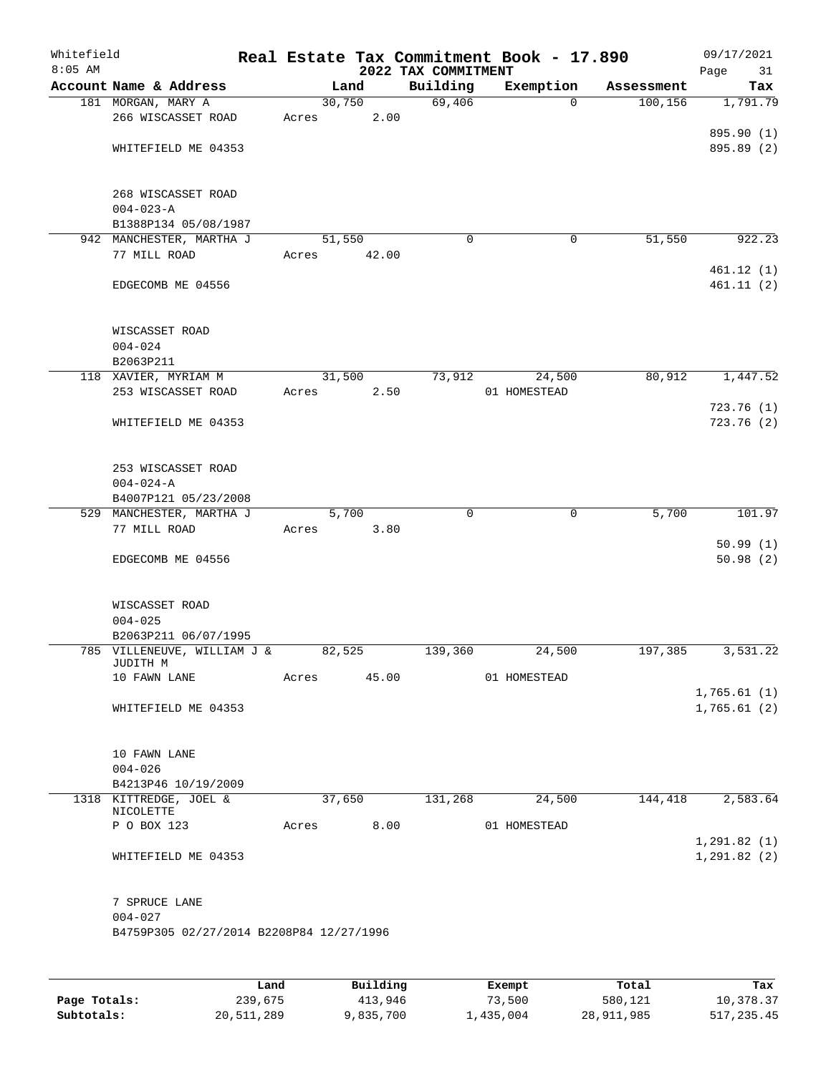| Whitefield<br>$8:05$ AM |                                          |       |        | 2022 TAX COMMITMENT | Real Estate Tax Commitment Book - 17.890 |            | 09/17/2021<br>Page<br>31 |
|-------------------------|------------------------------------------|-------|--------|---------------------|------------------------------------------|------------|--------------------------|
|                         | Account Name & Address                   |       | Land   | Building            | Exemption                                | Assessment | Tax                      |
|                         | 181 MORGAN, MARY A                       |       | 30,750 | 69,406              | $\Omega$                                 | 100, 156   | 1,791.79                 |
|                         | 266 WISCASSET ROAD                       | Acres | 2.00   |                     |                                          |            |                          |
|                         |                                          |       |        |                     |                                          |            | 895.90 (1)               |
|                         | WHITEFIELD ME 04353                      |       |        |                     |                                          |            | 895.89 (2)               |
|                         |                                          |       |        |                     |                                          |            |                          |
|                         | 268 WISCASSET ROAD                       |       |        |                     |                                          |            |                          |
|                         | $004 - 023 - A$                          |       |        |                     |                                          |            |                          |
|                         | B1388P134 05/08/1987                     |       |        |                     |                                          |            |                          |
|                         | 942 MANCHESTER, MARTHA J                 |       | 51,550 | $\Omega$            | 0                                        | 51,550     | 922.23                   |
|                         | 77 MILL ROAD                             | Acres | 42.00  |                     |                                          |            |                          |
|                         |                                          |       |        |                     |                                          |            | 461.12(1)                |
|                         | EDGECOMB ME 04556                        |       |        |                     |                                          |            | 461.11(2)                |
|                         |                                          |       |        |                     |                                          |            |                          |
|                         | WISCASSET ROAD                           |       |        |                     |                                          |            |                          |
|                         | $004 - 024$                              |       |        |                     |                                          |            |                          |
|                         | B2063P211                                |       |        |                     |                                          |            |                          |
|                         | 118 XAVIER, MYRIAM M                     |       | 31,500 | 73,912              | 24,500                                   | 80,912     | 1,447.52                 |
|                         | 253 WISCASSET ROAD                       | Acres | 2.50   |                     | 01 HOMESTEAD                             |            |                          |
|                         |                                          |       |        |                     |                                          |            | 723.76 (1)               |
|                         | WHITEFIELD ME 04353                      |       |        |                     |                                          |            | 723.76(2)                |
|                         |                                          |       |        |                     |                                          |            |                          |
|                         | 253 WISCASSET ROAD                       |       |        |                     |                                          |            |                          |
|                         | $004 - 024 - A$                          |       |        |                     |                                          |            |                          |
|                         | B4007P121 05/23/2008                     |       |        |                     |                                          |            |                          |
|                         | 529 MANCHESTER, MARTHA J                 |       | 5,700  | $\mathbf{0}$        | $\mathbf 0$                              | 5,700      | 101.97                   |
|                         | 77 MILL ROAD                             | Acres | 3.80   |                     |                                          |            |                          |
|                         |                                          |       |        |                     |                                          |            | 50.99(1)                 |
|                         | EDGECOMB ME 04556                        |       |        |                     |                                          |            | 50.98(2)                 |
|                         |                                          |       |        |                     |                                          |            |                          |
|                         | WISCASSET ROAD                           |       |        |                     |                                          |            |                          |
|                         | $004 - 025$                              |       |        |                     |                                          |            |                          |
|                         | B2063P211 06/07/1995                     |       |        |                     |                                          |            |                          |
|                         | 785 VILLENEUVE, WILLIAM J &              |       | 82,525 | 139,360             | 24,500                                   | 197,385    | 3,531.22                 |
|                         | JUDITH M                                 |       |        |                     | 01 HOMESTEAD                             |            |                          |
|                         | 10 FAWN LANE                             | Acres | 45.00  |                     |                                          |            | 1,765.61(1)              |
|                         | WHITEFIELD ME 04353                      |       |        |                     |                                          |            | 1,765.61(2)              |
|                         |                                          |       |        |                     |                                          |            |                          |
|                         |                                          |       |        |                     |                                          |            |                          |
|                         | 10 FAWN LANE                             |       |        |                     |                                          |            |                          |
|                         | $004 - 026$                              |       |        |                     |                                          |            |                          |
|                         | B4213P46 10/19/2009                      |       |        |                     |                                          |            |                          |
|                         | 1318 KITTREDGE, JOEL &<br>NICOLETTE      |       | 37,650 | 131,268             | 24,500                                   | 144,418    | 2,583.64                 |
|                         | P O BOX 123                              | Acres | 8.00   |                     | 01 HOMESTEAD                             |            |                          |
|                         |                                          |       |        |                     |                                          |            | 1, 291.82(1)             |
|                         | WHITEFIELD ME 04353                      |       |        |                     |                                          |            | 1, 291.82(2)             |
|                         |                                          |       |        |                     |                                          |            |                          |
|                         |                                          |       |        |                     |                                          |            |                          |
|                         | 7 SPRUCE LANE<br>$004 - 027$             |       |        |                     |                                          |            |                          |
|                         | B4759P305 02/27/2014 B2208P84 12/27/1996 |       |        |                     |                                          |            |                          |
|                         |                                          |       |        |                     |                                          |            |                          |
|                         |                                          |       |        |                     |                                          |            |                          |
|                         |                                          |       |        |                     |                                          |            |                          |

|              | Land       | Building  | Exempt    | Total      | Tax        |
|--------------|------------|-----------|-----------|------------|------------|
| Page Totals: | 239,675    | 413,946   | 73,500    | 580,121    | 10,378.37  |
| Subtotals:   | 20,511,289 | 9,835,700 | 1,435,004 | 28,911,985 | 517,235.45 |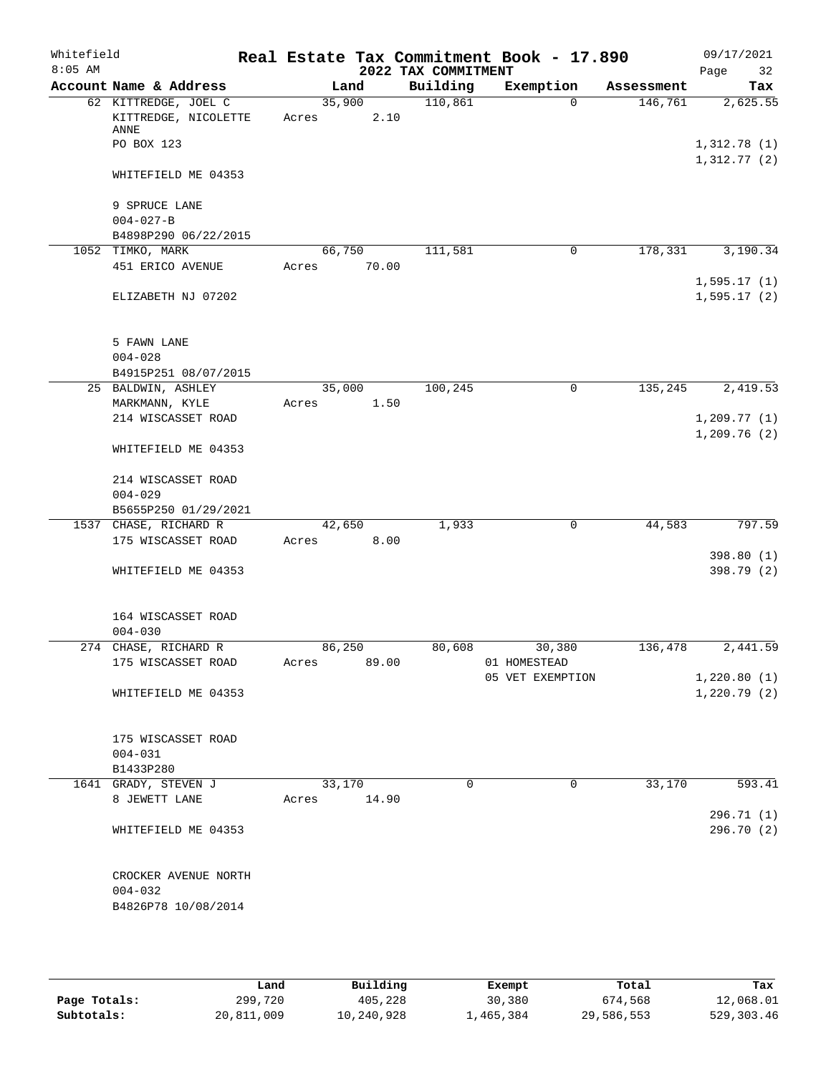| Whitefield<br>$8:05$ AM |                                                                    |                 |       | 2022 TAX COMMITMENT | Real Estate Tax Commitment Book - 17.890 |            | 09/17/2021<br>32<br>Page |
|-------------------------|--------------------------------------------------------------------|-----------------|-------|---------------------|------------------------------------------|------------|--------------------------|
|                         | Account Name & Address                                             |                 | Land  | Building            | Exemption                                | Assessment | Tax                      |
|                         | 62 KITTREDGE, JOEL C<br>KITTREDGE, NICOLETTE<br>ANNE<br>PO BOX 123 | 35,900<br>Acres | 2.10  | 110,861             | $\Omega$                                 | 146,761    | 2,625.55<br>1,312.78(1)  |
|                         | WHITEFIELD ME 04353                                                |                 |       |                     |                                          |            | 1,312.77(2)              |
|                         | 9 SPRUCE LANE<br>$004 - 027 - B$                                   |                 |       |                     |                                          |            |                          |
|                         | B4898P290 06/22/2015<br>1052 TIMKO, MARK                           | 66,750          |       | 111,581             | $\mathbf 0$                              | 178,331    | 3,190.34                 |
|                         | 451 ERICO AVENUE                                                   | Acres           | 70.00 |                     |                                          |            | 1,595.17(1)              |
|                         | ELIZABETH NJ 07202                                                 |                 |       |                     |                                          |            | 1,595.17(2)              |
|                         | 5 FAWN LANE<br>$004 - 028$<br>B4915P251 08/07/2015                 |                 |       |                     |                                          |            |                          |
|                         | 25 BALDWIN, ASHLEY                                                 | 35,000          |       | 100,245             | $\mathsf{O}$                             | 135,245    | 2,419.53                 |
|                         | MARKMANN, KYLE<br>214 WISCASSET ROAD                               | Acres           | 1.50  |                     |                                          |            | 1, 209.77(1)             |
|                         | WHITEFIELD ME 04353                                                |                 |       |                     |                                          |            | 1,209.76(2)              |
|                         | 214 WISCASSET ROAD<br>$004 - 029$                                  |                 |       |                     |                                          |            |                          |
|                         | B5655P250 01/29/2021                                               |                 |       |                     |                                          |            |                          |
|                         | 1537 CHASE, RICHARD R                                              | 42,650          |       | 1,933               | $\mathbf 0$                              | 44,583     | 797.59                   |
|                         | 175 WISCASSET ROAD                                                 | Acres           | 8.00  |                     |                                          |            |                          |
|                         | WHITEFIELD ME 04353                                                |                 |       |                     |                                          |            | 398.80 (1)<br>398.79 (2) |
|                         | 164 WISCASSET ROAD<br>$004 - 030$                                  |                 |       |                     |                                          |            |                          |
|                         | 274 CHASE, RICHARD R                                               | 86,250          |       | 80,608              | 30,380                                   | 136,478    | 2,441.59                 |
|                         | 175 WISCASSET ROAD                                                 | Acres           | 89.00 |                     | 01 HOMESTEAD<br>05 VET EXEMPTION         |            | 1,220.80(1)              |
|                         | WHITEFIELD ME 04353                                                |                 |       |                     |                                          |            | 1,220.79(2)              |
|                         | 175 WISCASSET ROAD<br>$004 - 031$                                  |                 |       |                     |                                          |            |                          |
|                         | B1433P280                                                          |                 |       |                     |                                          |            |                          |
|                         | 1641 GRADY, STEVEN J<br>8 JEWETT LANE                              | 33,170<br>Acres | 14.90 | 0                   | 0                                        | 33,170     | 593.41<br>296.71 (1)     |
|                         | WHITEFIELD ME 04353                                                |                 |       |                     |                                          |            | 296.70 (2)               |
|                         | CROCKER AVENUE NORTH<br>$004 - 032$<br>B4826P78 10/08/2014         |                 |       |                     |                                          |            |                          |

|              | Land       | Building   | Exempt    | Total      | Tax          |
|--------------|------------|------------|-----------|------------|--------------|
| Page Totals: | 299,720    | 405,228    | 30,380    | 674,568    | 12,068.01    |
| Subtotals:   | 20,811,009 | 10,240,928 | 1,465,384 | 29,586,553 | 529, 303. 46 |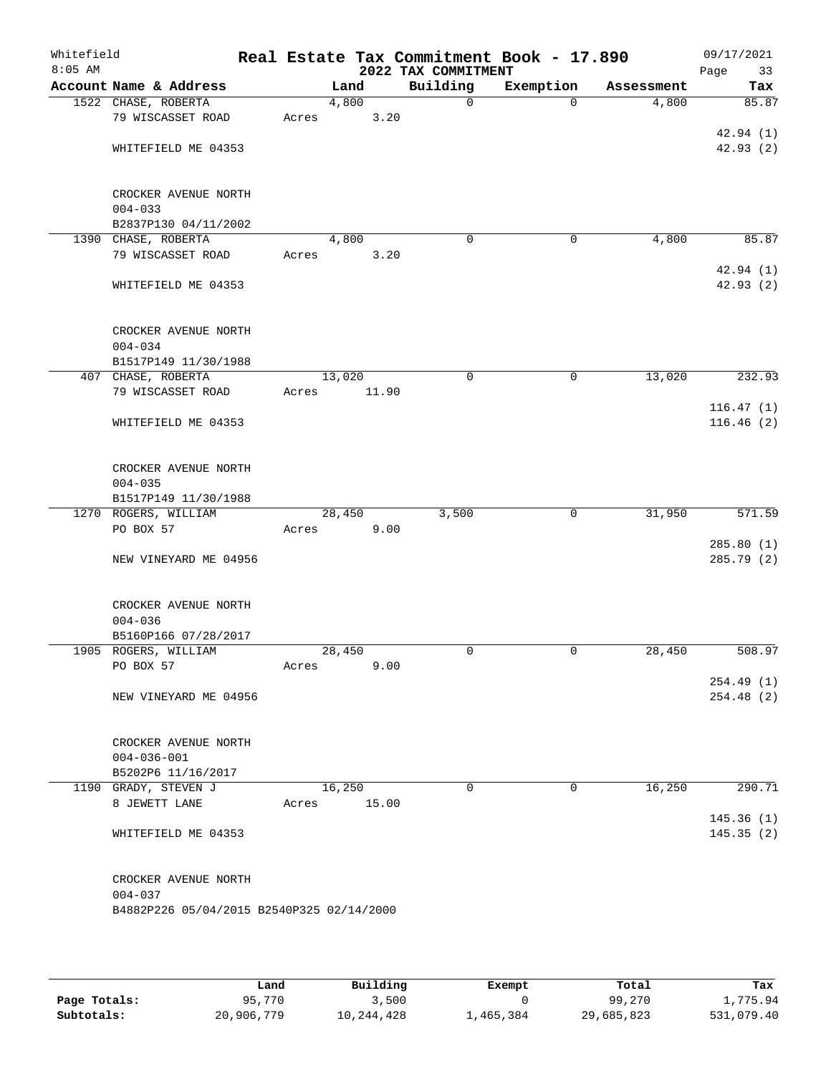| Whitefield<br>$8:05$ AM |                                           |       |        |       | 2022 TAX COMMITMENT | Real Estate Tax Commitment Book - 17.890 |            | 09/17/2021<br>Page<br>33 |
|-------------------------|-------------------------------------------|-------|--------|-------|---------------------|------------------------------------------|------------|--------------------------|
|                         | Account Name & Address                    |       | Land   |       | Building            | Exemption                                | Assessment | Tax                      |
|                         | 1522 CHASE, ROBERTA                       |       | 4,800  |       | $\mathsf{O}$        | $\Omega$                                 | 4,800      | 85.87                    |
|                         | 79 WISCASSET ROAD                         | Acres |        | 3.20  |                     |                                          |            |                          |
|                         |                                           |       |        |       |                     |                                          |            | 42.94(1)                 |
|                         | WHITEFIELD ME 04353                       |       |        |       |                     |                                          |            | 42.93(2)                 |
|                         |                                           |       |        |       |                     |                                          |            |                          |
|                         | CROCKER AVENUE NORTH                      |       |        |       |                     |                                          |            |                          |
|                         | $004 - 033$<br>B2837P130 04/11/2002       |       |        |       |                     |                                          |            |                          |
|                         | 1390 CHASE, ROBERTA                       |       | 4,800  |       | $\mathbf 0$         | $\mathbf 0$                              | 4,800      | 85.87                    |
|                         | 79 WISCASSET ROAD                         | Acres |        | 3.20  |                     |                                          |            |                          |
|                         |                                           |       |        |       |                     |                                          |            | 42.94 (1)                |
|                         | WHITEFIELD ME 04353                       |       |        |       |                     |                                          |            | 42.93 (2)                |
|                         | CROCKER AVENUE NORTH                      |       |        |       |                     |                                          |            |                          |
|                         | $004 - 034$                               |       |        |       |                     |                                          |            |                          |
|                         | B1517P149 11/30/1988                      |       |        |       |                     |                                          |            |                          |
|                         | 407 CHASE, ROBERTA                        |       | 13,020 |       | 0                   | 0                                        | 13,020     | 232.93                   |
|                         | 79 WISCASSET ROAD                         | Acres |        | 11.90 |                     |                                          |            |                          |
|                         |                                           |       |        |       |                     |                                          |            | 116.47(1)                |
|                         | WHITEFIELD ME 04353                       |       |        |       |                     |                                          |            | 116.46(2)                |
|                         | CROCKER AVENUE NORTH                      |       |        |       |                     |                                          |            |                          |
|                         | $004 - 035$                               |       |        |       |                     |                                          |            |                          |
|                         | B1517P149 11/30/1988                      |       |        |       |                     |                                          |            |                          |
|                         | 1270 ROGERS, WILLIAM                      |       | 28,450 |       | 3,500               | $\mathbf 0$                              | 31,950     | 571.59                   |
|                         | PO BOX 57                                 | Acres |        | 9.00  |                     |                                          |            |                          |
|                         |                                           |       |        |       |                     |                                          |            | 285.80(1)                |
|                         | NEW VINEYARD ME 04956                     |       |        |       |                     |                                          |            | 285.79 (2)               |
|                         | CROCKER AVENUE NORTH                      |       |        |       |                     |                                          |            |                          |
|                         | $004 - 036$                               |       |        |       |                     |                                          |            |                          |
|                         | B5160P166 07/28/2017                      |       |        |       |                     |                                          |            |                          |
|                         | 1905 ROGERS, WILLIAM                      |       | 28,450 |       | $\mathbf 0$         | 0                                        | 28,450     | 508.97                   |
|                         | PO BOX 57                                 | Acres |        | 9.00  |                     |                                          |            |                          |
|                         |                                           |       |        |       |                     |                                          |            | 254.49(1)                |
|                         | NEW VINEYARD ME 04956                     |       |        |       |                     |                                          |            | 254.48(2)                |
|                         | CROCKER AVENUE NORTH                      |       |        |       |                     |                                          |            |                          |
|                         | $004 - 036 - 001$                         |       |        |       |                     |                                          |            |                          |
|                         | B5202P6 11/16/2017                        |       |        |       |                     |                                          |            |                          |
|                         | 1190 GRADY, STEVEN J                      |       | 16,250 |       | $\Omega$            | 0                                        | 16,250     | 290.71                   |
|                         | 8 JEWETT LANE                             | Acres |        | 15.00 |                     |                                          |            |                          |
|                         |                                           |       |        |       |                     |                                          |            | 145.36(1)                |
|                         | WHITEFIELD ME 04353                       |       |        |       |                     |                                          |            | 145.35(2)                |
|                         | CROCKER AVENUE NORTH                      |       |        |       |                     |                                          |            |                          |
|                         | $004 - 037$                               |       |        |       |                     |                                          |            |                          |
|                         | B4882P226 05/04/2015 B2540P325 02/14/2000 |       |        |       |                     |                                          |            |                          |
|                         |                                           |       |        |       |                     |                                          |            |                          |

|              | Land       | Building   | Exempt    | Total      | Tax        |
|--------------|------------|------------|-----------|------------|------------|
| Page Totals: | 95,770     | 3,500      |           | 99,270     | 1,775.94   |
| Subtotals:   | 20,906,779 | 10,244,428 | ⊥,465,384 | 29,685,823 | 531,079.40 |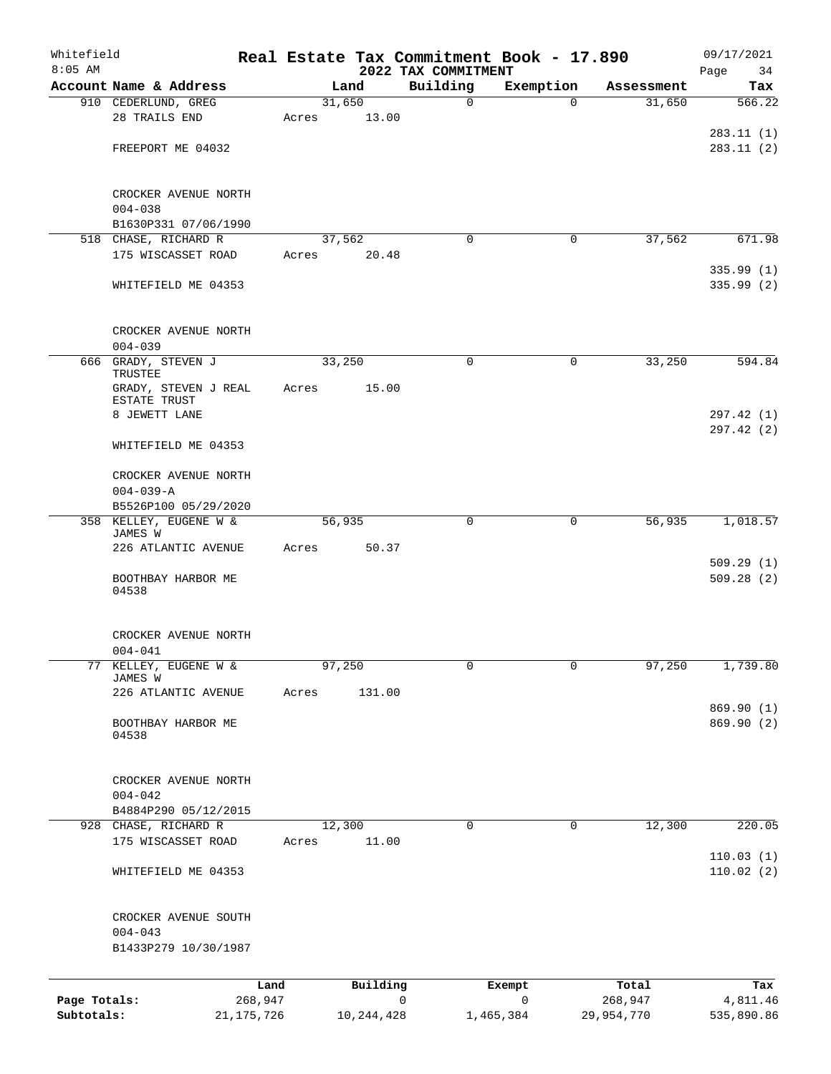| Whitefield<br>$8:05$ AM    |                                              |                         |       |              |                                 | Real Estate Tax Commitment Book - 17.890 |                       | 09/17/2021               |
|----------------------------|----------------------------------------------|-------------------------|-------|--------------|---------------------------------|------------------------------------------|-----------------------|--------------------------|
|                            | Account Name & Address                       |                         |       | Land         | 2022 TAX COMMITMENT<br>Building | Exemption                                | Assessment            | Page<br>34<br>Tax        |
|                            | 910 CEDERLUND, GREG                          |                         |       | 31,650       | $\mathbf 0$                     | $\Omega$                                 | 31,650                | 566.22                   |
|                            | 28 TRAILS END                                |                         | Acres | 13.00        |                                 |                                          |                       |                          |
|                            |                                              |                         |       |              |                                 |                                          |                       | 283.11(1)                |
|                            | FREEPORT ME 04032                            |                         |       |              |                                 |                                          |                       | 283.11(2)                |
|                            | CROCKER AVENUE NORTH                         |                         |       |              |                                 |                                          |                       |                          |
|                            | $004 - 038$                                  |                         |       |              |                                 |                                          |                       |                          |
|                            | B1630P331 07/06/1990<br>518 CHASE, RICHARD R |                         |       | 37,562       | $\Omega$                        | 0                                        | 37,562                | 671.98                   |
|                            | 175 WISCASSET ROAD                           |                         | Acres | 20.48        |                                 |                                          |                       |                          |
|                            |                                              |                         |       |              |                                 |                                          |                       | 335.99(1)                |
|                            | WHITEFIELD ME 04353                          |                         |       |              |                                 |                                          |                       | 335.99 (2)               |
|                            | CROCKER AVENUE NORTH                         |                         |       |              |                                 |                                          |                       |                          |
|                            | $004 - 039$                                  |                         |       |              |                                 |                                          |                       |                          |
|                            | 666 GRADY, STEVEN J<br>TRUSTEE               |                         |       | 33,250       | $\mathbf 0$                     | 0                                        | 33,250                | 594.84                   |
|                            | GRADY, STEVEN J REAL<br>ESTATE TRUST         |                         | Acres | 15.00        |                                 |                                          |                       |                          |
|                            | 8 JEWETT LANE                                |                         |       |              |                                 |                                          |                       | 297.42 (1)<br>297.42 (2) |
|                            | WHITEFIELD ME 04353                          |                         |       |              |                                 |                                          |                       |                          |
|                            | CROCKER AVENUE NORTH                         |                         |       |              |                                 |                                          |                       |                          |
|                            | $004 - 039 - A$                              |                         |       |              |                                 |                                          |                       |                          |
|                            | B5526P100 05/29/2020                         |                         |       |              |                                 |                                          |                       |                          |
|                            | 358 KELLEY, EUGENE W &<br>JAMES W            |                         |       | 56,935       | $\mathbf 0$                     | 0                                        | 56,935                | 1,018.57                 |
|                            | 226 ATLANTIC AVENUE                          |                         | Acres | 50.37        |                                 |                                          |                       | 509.29(1)                |
|                            | BOOTHBAY HARBOR ME<br>04538                  |                         |       |              |                                 |                                          |                       | 509.28(2)                |
|                            | CROCKER AVENUE NORTH                         |                         |       |              |                                 |                                          |                       |                          |
|                            | $004 - 041$                                  |                         |       |              |                                 |                                          |                       |                          |
|                            | 77 KELLEY, EUGENE W &<br>JAMES W             |                         |       | 97,250       | 0                               | 0                                        | 97,250                | 1,739.80                 |
|                            | 226 ATLANTIC AVENUE                          |                         | Acres | 131.00       |                                 |                                          |                       |                          |
|                            |                                              |                         |       |              |                                 |                                          |                       | 869.90 (1)               |
|                            | BOOTHBAY HARBOR ME<br>04538                  |                         |       |              |                                 |                                          |                       | 869.90 (2)               |
|                            | CROCKER AVENUE NORTH                         |                         |       |              |                                 |                                          |                       |                          |
|                            | $004 - 042$                                  |                         |       |              |                                 |                                          |                       |                          |
|                            | B4884P290 05/12/2015                         |                         |       |              |                                 |                                          |                       |                          |
|                            | 928 CHASE, RICHARD R                         |                         |       | 12,300       | 0                               | 0                                        | 12,300                | 220.05                   |
|                            | 175 WISCASSET ROAD                           |                         | Acres | 11.00        |                                 |                                          |                       | 110.03(1)                |
|                            | WHITEFIELD ME 04353                          |                         |       |              |                                 |                                          |                       | 110.02(2)                |
|                            | CROCKER AVENUE SOUTH                         |                         |       |              |                                 |                                          |                       |                          |
|                            | $004 - 043$                                  |                         |       |              |                                 |                                          |                       |                          |
|                            | B1433P279 10/30/1987                         |                         |       |              |                                 |                                          |                       |                          |
|                            |                                              | Land                    |       | Building     |                                 | Exempt                                   | Total                 | Tax                      |
| Page Totals:<br>Subtotals: |                                              | 268,947<br>21, 175, 726 |       | 10, 244, 428 | 0                               | 0<br>1,465,384                           | 268,947<br>29,954,770 | 4,811.46<br>535,890.86   |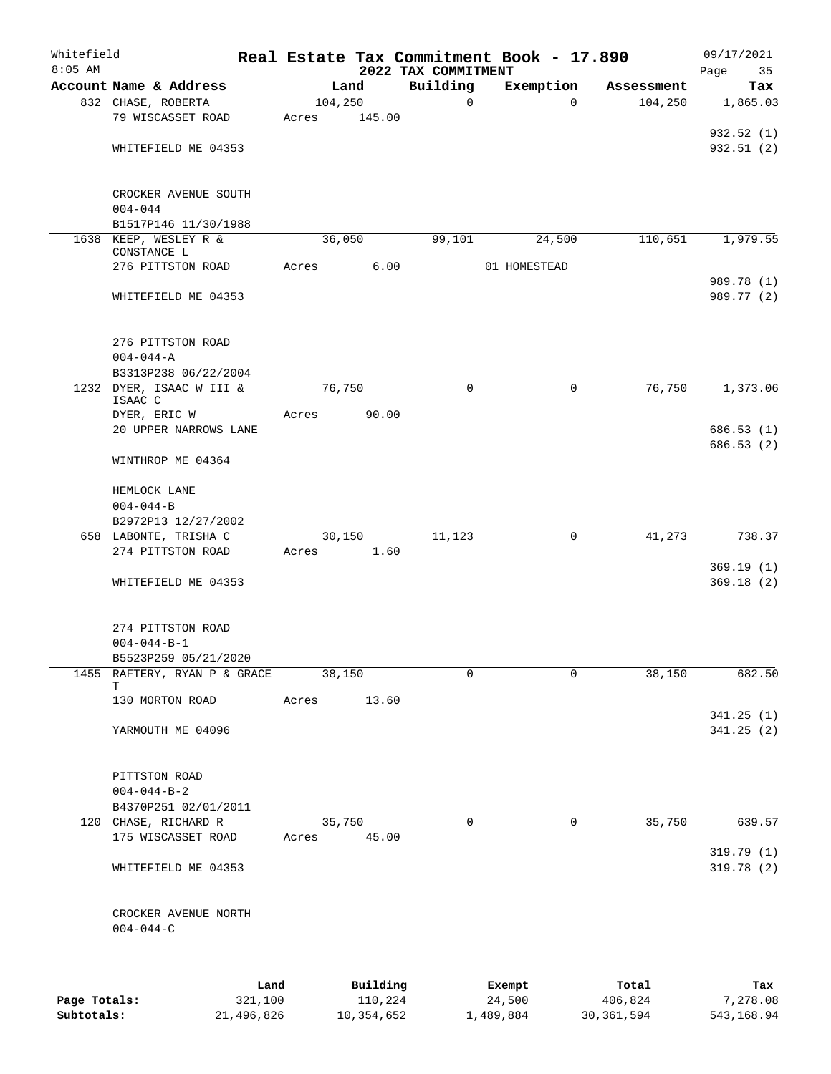| Whitefield<br>$8:05$ AM |                                      |         |       |          |          | 2022 TAX COMMITMENT | Real Estate Tax Commitment Book - 17.890 |            | 09/17/2021<br>Page<br>35 |
|-------------------------|--------------------------------------|---------|-------|----------|----------|---------------------|------------------------------------------|------------|--------------------------|
|                         | Account Name & Address               |         |       | Land     |          | Building            | Exemption                                | Assessment | Tax                      |
|                         | 832 CHASE, ROBERTA                   |         |       | 104, 250 |          | $\mathbf 0$         | $\Omega$                                 | 104,250    | 1,865.03                 |
|                         | 79 WISCASSET ROAD                    |         | Acres |          | 145.00   |                     |                                          |            |                          |
|                         |                                      |         |       |          |          |                     |                                          |            | 932.52(1)                |
|                         | WHITEFIELD ME 04353                  |         |       |          |          |                     |                                          |            | 932.51(2)                |
|                         |                                      |         |       |          |          |                     |                                          |            |                          |
|                         |                                      |         |       |          |          |                     |                                          |            |                          |
|                         | CROCKER AVENUE SOUTH                 |         |       |          |          |                     |                                          |            |                          |
|                         | $004 - 044$                          |         |       |          |          |                     |                                          |            |                          |
|                         | B1517P146 11/30/1988                 |         |       |          |          |                     |                                          |            |                          |
|                         | 1638 KEEP, WESLEY R &<br>CONSTANCE L |         |       | 36,050   |          | 99,101              | 24,500                                   | 110,651    | 1,979.55                 |
|                         | 276 PITTSTON ROAD                    |         | Acres |          | 6.00     |                     | 01 HOMESTEAD                             |            |                          |
|                         |                                      |         |       |          |          |                     |                                          |            | 989.78 (1)               |
|                         | WHITEFIELD ME 04353                  |         |       |          |          |                     |                                          |            | 989.77 (2)               |
|                         |                                      |         |       |          |          |                     |                                          |            |                          |
|                         |                                      |         |       |          |          |                     |                                          |            |                          |
|                         | 276 PITTSTON ROAD                    |         |       |          |          |                     |                                          |            |                          |
|                         | $004 - 044 - A$                      |         |       |          |          |                     |                                          |            |                          |
|                         | B3313P238 06/22/2004                 |         |       |          |          |                     |                                          |            |                          |
| 1232                    | DYER, ISAAC W III &                  |         |       | 76,750   |          | $\mathbf 0$         | $\mathbf 0$                              | 76,750     | 1,373.06                 |
|                         | ISAAC C                              |         |       |          |          |                     |                                          |            |                          |
|                         | DYER, ERIC W                         |         | Acres |          | 90.00    |                     |                                          |            |                          |
|                         | 20 UPPER NARROWS LANE                |         |       |          |          |                     |                                          |            | 686.53(1)                |
|                         |                                      |         |       |          |          |                     |                                          |            | 686.53(2)                |
|                         | WINTHROP ME 04364                    |         |       |          |          |                     |                                          |            |                          |
|                         |                                      |         |       |          |          |                     |                                          |            |                          |
|                         | HEMLOCK LANE                         |         |       |          |          |                     |                                          |            |                          |
|                         | $004 - 044 - B$                      |         |       |          |          |                     |                                          |            |                          |
|                         | B2972P13 12/27/2002                  |         |       |          |          |                     |                                          |            |                          |
|                         | 658 LABONTE, TRISHA C                |         |       | 30,150   |          | 11,123              | 0                                        | 41,273     | 738.37                   |
|                         | 274 PITTSTON ROAD                    |         | Acres |          | 1.60     |                     |                                          |            |                          |
|                         | WHITEFIELD ME 04353                  |         |       |          |          |                     |                                          |            | 369.19(1)<br>369.18(2)   |
|                         |                                      |         |       |          |          |                     |                                          |            |                          |
|                         |                                      |         |       |          |          |                     |                                          |            |                          |
|                         | 274 PITTSTON ROAD                    |         |       |          |          |                     |                                          |            |                          |
|                         | $004 - 044 - B - 1$                  |         |       |          |          |                     |                                          |            |                          |
|                         | B5523P259 05/21/2020                 |         |       |          |          |                     |                                          |            |                          |
|                         | 1455 RAFTERY, RYAN P & GRACE         |         |       | 38,150   |          | 0                   | 0                                        | 38,150     | 682.50                   |
|                         | т                                    |         |       |          |          |                     |                                          |            |                          |
|                         | 130 MORTON ROAD                      |         | Acres |          | 13.60    |                     |                                          |            |                          |
|                         |                                      |         |       |          |          |                     |                                          |            | 341.25(1)                |
|                         | YARMOUTH ME 04096                    |         |       |          |          |                     |                                          |            | 341.25(2)                |
|                         |                                      |         |       |          |          |                     |                                          |            |                          |
|                         |                                      |         |       |          |          |                     |                                          |            |                          |
|                         | PITTSTON ROAD                        |         |       |          |          |                     |                                          |            |                          |
|                         | $004 - 044 - B - 2$                  |         |       |          |          |                     |                                          |            |                          |
|                         | B4370P251 02/01/2011                 |         |       |          |          |                     |                                          |            |                          |
|                         | 120 CHASE, RICHARD R                 |         |       | 35,750   |          | 0                   | 0                                        | 35,750     | 639.57                   |
|                         | 175 WISCASSET ROAD                   |         | Acres |          | 45.00    |                     |                                          |            |                          |
|                         |                                      |         |       |          |          |                     |                                          |            | 319.79(1)                |
|                         | WHITEFIELD ME 04353                  |         |       |          |          |                     |                                          |            | 319.78(2)                |
|                         |                                      |         |       |          |          |                     |                                          |            |                          |
|                         |                                      |         |       |          |          |                     |                                          |            |                          |
|                         | CROCKER AVENUE NORTH                 |         |       |          |          |                     |                                          |            |                          |
|                         | $004 - 044 - C$                      |         |       |          |          |                     |                                          |            |                          |
|                         |                                      |         |       |          |          |                     |                                          |            |                          |
|                         |                                      |         |       |          |          |                     |                                          |            |                          |
|                         |                                      | Land    |       |          | Building |                     | Exempt                                   | Total      | Tax                      |
| Page Totals:            |                                      | 321,100 |       |          | 110,224  |                     | 24,500                                   | 406,824    | 7,278.08                 |

**Subtotals:** 21,496,826 10,354,652 1,489,884 30,361,594 543,168.94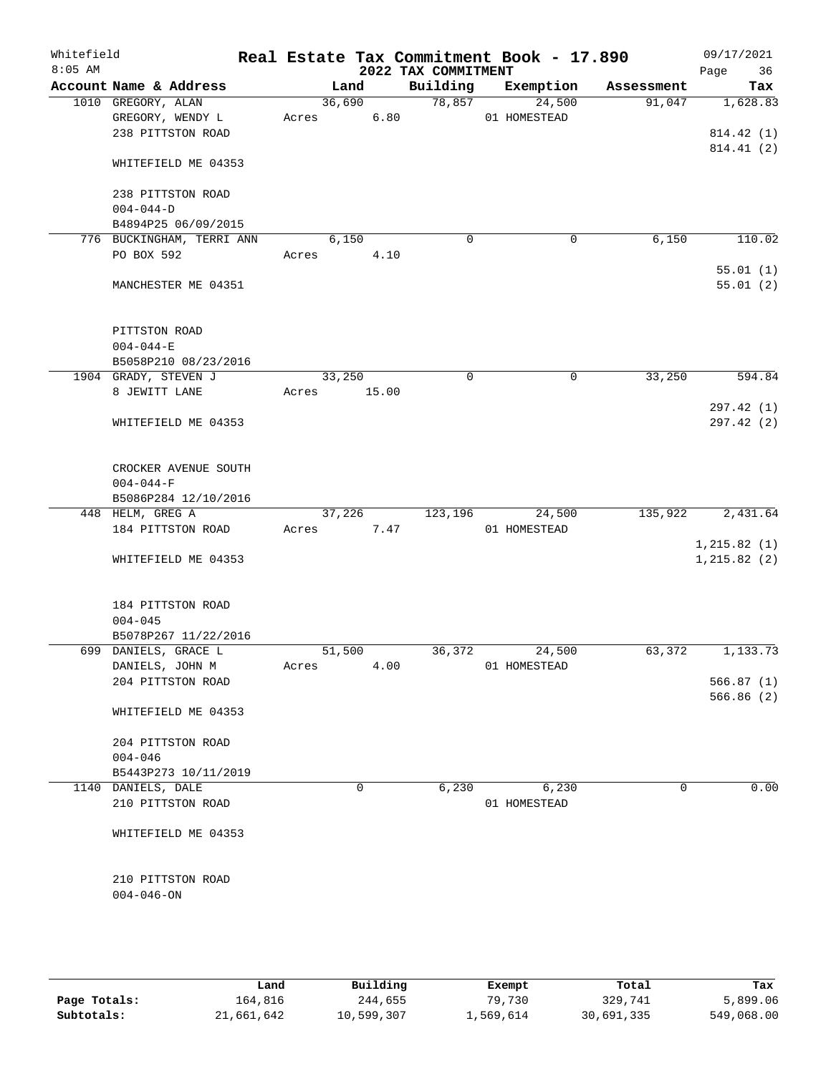| Whitefield<br>$8:05$ AM |                                                                 |             |        |      | 2022 TAX COMMITMENT | Real Estate Tax Commitment Book - 17.890 |             |             | 09/17/2021<br>Page<br>36 |
|-------------------------|-----------------------------------------------------------------|-------------|--------|------|---------------------|------------------------------------------|-------------|-------------|--------------------------|
|                         | Account Name & Address                                          |             | Land   |      | Building            | Exemption                                |             | Assessment  | Tax                      |
|                         | 1010 GREGORY, ALAN                                              |             | 36,690 |      | 78,857              | 24,500                                   |             | 91,047      | 1,628.83                 |
|                         | GREGORY, WENDY L                                                | Acres       |        | 6.80 |                     | 01 HOMESTEAD                             |             |             |                          |
|                         | 238 PITTSTON ROAD                                               |             |        |      |                     |                                          |             |             | 814.42 (1)               |
|                         | WHITEFIELD ME 04353                                             |             |        |      |                     |                                          |             |             | 814.41 (2)               |
|                         | 238 PITTSTON ROAD                                               |             |        |      |                     |                                          |             |             |                          |
|                         | $004 - 044 - D$                                                 |             |        |      |                     |                                          |             |             |                          |
|                         | B4894P25 06/09/2015                                             |             |        |      |                     |                                          |             |             |                          |
|                         | 776 BUCKINGHAM, TERRI ANN                                       |             | 6,150  |      | $\mathbf 0$         |                                          | $\mathbf 0$ | 6,150       | 110.02                   |
|                         | PO BOX 592                                                      | Acres       |        | 4.10 |                     |                                          |             |             |                          |
|                         |                                                                 |             |        |      |                     |                                          |             |             | 55.01(1)                 |
|                         | MANCHESTER ME 04351                                             |             |        |      |                     |                                          |             |             | 55.01(2)                 |
|                         | PITTSTON ROAD                                                   |             |        |      |                     |                                          |             |             |                          |
|                         | $004 - 044 - E$                                                 |             |        |      |                     |                                          |             |             |                          |
|                         | B5058P210 08/23/2016                                            |             |        |      |                     |                                          |             |             |                          |
|                         | 1904 GRADY, STEVEN J                                            |             | 33,250 |      | 0                   |                                          | $\mathbf 0$ | 33,250      | 594.84                   |
|                         | 8 JEWITT LANE                                                   | Acres 15.00 |        |      |                     |                                          |             |             |                          |
|                         | WHITEFIELD ME 04353                                             |             |        |      |                     |                                          |             |             | 297.42 (1)<br>297.42(2)  |
|                         | CROCKER AVENUE SOUTH<br>$004 - 044 - F$<br>B5086P284 12/10/2016 |             |        |      |                     |                                          |             |             |                          |
|                         | 448 HELM, GREG A                                                |             | 37,226 |      | 123,196             | 24,500                                   |             | 135,922     | 2,431.64                 |
|                         | 184 PITTSTON ROAD                                               | Acres       |        | 7.47 |                     | 01 HOMESTEAD                             |             |             |                          |
|                         |                                                                 |             |        |      |                     |                                          |             |             | 1, 215.82(1)             |
|                         | WHITEFIELD ME 04353                                             |             |        |      |                     |                                          |             |             | 1, 215.82(2)             |
|                         | 184 PITTSTON ROAD<br>$004 - 045$                                |             |        |      |                     |                                          |             |             |                          |
|                         | B5078P267 11/22/2016                                            |             |        |      |                     |                                          |             |             |                          |
|                         | 699 DANIELS, GRACE L                                            |             | 51,500 |      | 36,372              | 24,500                                   |             | 63,372      | 1, 133.73                |
|                         | DANIELS, JOHN M                                                 | Acres       |        | 4.00 |                     | 01 HOMESTEAD                             |             |             |                          |
|                         | 204 PITTSTON ROAD                                               |             |        |      |                     |                                          |             |             | 566.87(1)                |
|                         | WHITEFIELD ME 04353                                             |             |        |      |                     |                                          |             |             | 566.86(2)                |
|                         | 204 PITTSTON ROAD                                               |             |        |      |                     |                                          |             |             |                          |
|                         | $004 - 046$                                                     |             |        |      |                     |                                          |             |             |                          |
|                         | B5443P273 10/11/2019                                            |             |        |      |                     |                                          |             |             |                          |
|                         | 1140 DANIELS, DALE                                              |             | 0      |      | 6,230               | 6,230                                    |             | $\mathbf 0$ | 0.00                     |
|                         | 210 PITTSTON ROAD                                               |             |        |      |                     | 01 HOMESTEAD                             |             |             |                          |
|                         |                                                                 |             |        |      |                     |                                          |             |             |                          |
|                         | WHITEFIELD ME 04353                                             |             |        |      |                     |                                          |             |             |                          |
|                         | 210 PITTSTON ROAD<br>$004 - 046 - ON$                           |             |        |      |                     |                                          |             |             |                          |
|                         |                                                                 |             |        |      |                     |                                          |             |             |                          |
|                         |                                                                 |             |        |      |                     |                                          |             |             |                          |

|              | Land       | Building   | Exempt    | Total      | Tax        |
|--------------|------------|------------|-----------|------------|------------|
| Page Totals: | 164,816    | 244,655    | 79,730    | 329,741    | 5,899.06   |
| Subtotals:   | 21,661,642 | 10,599,307 | 1,569,614 | 30,691,335 | 549,068.00 |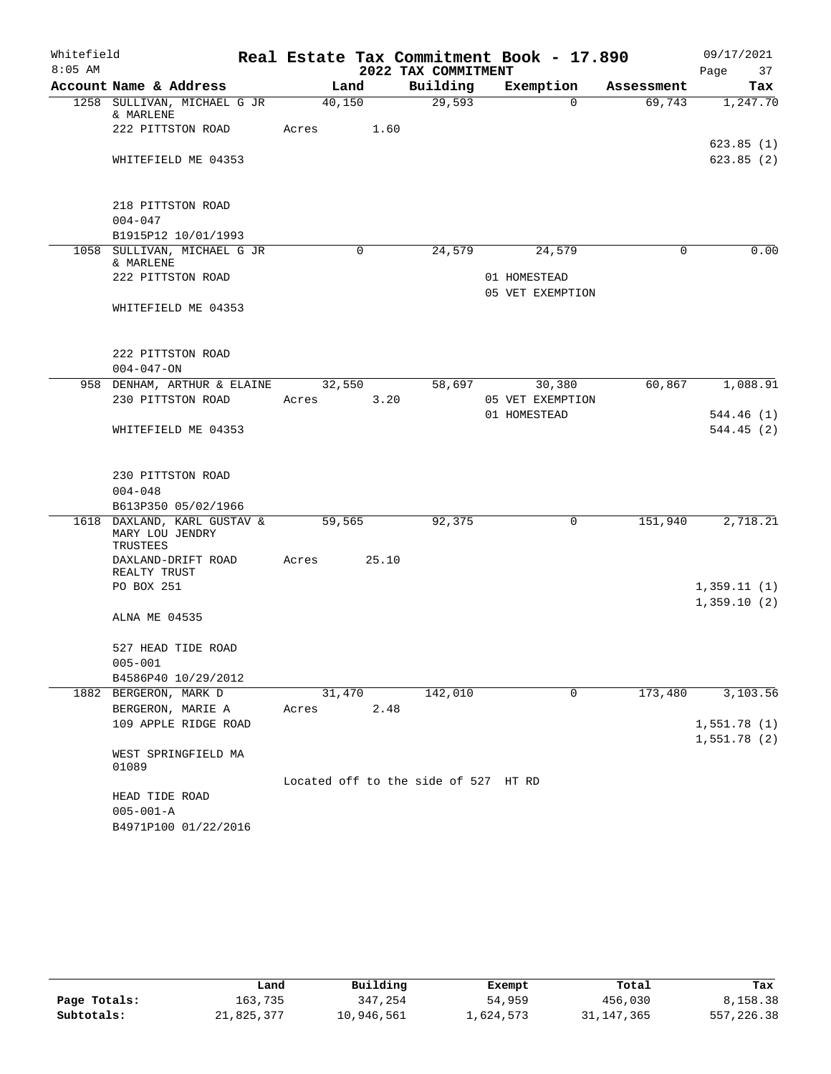| Whitefield |                                                            |        |       |                                      | Real Estate Tax Commitment Book - 17.890 |            | 09/17/2021             |
|------------|------------------------------------------------------------|--------|-------|--------------------------------------|------------------------------------------|------------|------------------------|
| $8:05$ AM  |                                                            |        |       | 2022 TAX COMMITMENT                  |                                          |            | 37<br>Page             |
|            | Account Name & Address                                     | Land   |       | Building                             | Exemption                                | Assessment | Tax                    |
|            | 1258 SULLIVAN, MICHAEL G JR<br>& MARLENE                   | 40,150 |       | 29,593                               | $\Omega$                                 | 69,743     | 1,247.70               |
|            | 222 PITTSTON ROAD                                          | Acres  | 1.60  |                                      |                                          |            |                        |
|            | WHITEFIELD ME 04353                                        |        |       |                                      |                                          |            | 623.85(1)<br>623.85(2) |
|            |                                                            |        |       |                                      |                                          |            |                        |
|            | 218 PITTSTON ROAD                                          |        |       |                                      |                                          |            |                        |
|            | $004 - 047$                                                |        |       |                                      |                                          |            |                        |
|            | B1915P12 10/01/1993                                        |        |       |                                      |                                          |            |                        |
|            | 1058 SULLIVAN, MICHAEL G JR<br>& MARLENE                   |        | 0     | 24,579                               | 24,579                                   | $\Omega$   | 0.00                   |
|            | 222 PITTSTON ROAD                                          |        |       |                                      | 01 HOMESTEAD                             |            |                        |
|            |                                                            |        |       |                                      | 05 VET EXEMPTION                         |            |                        |
|            | WHITEFIELD ME 04353                                        |        |       |                                      |                                          |            |                        |
|            |                                                            |        |       |                                      |                                          |            |                        |
|            | 222 PITTSTON ROAD<br>$004 - 047 - ON$                      |        |       |                                      |                                          |            |                        |
|            | 958 DENHAM, ARTHUR & ELAINE                                | 32,550 |       | 58,697                               | 30,380                                   | 60,867     | 1,088.91               |
|            | 230 PITTSTON ROAD                                          | Acres  | 3.20  |                                      | 05 VET EXEMPTION                         |            |                        |
|            |                                                            |        |       |                                      | 01 HOMESTEAD                             |            | 544.46 (1)             |
|            | WHITEFIELD ME 04353                                        |        |       |                                      |                                          |            | 544.45(2)              |
|            |                                                            |        |       |                                      |                                          |            |                        |
|            |                                                            |        |       |                                      |                                          |            |                        |
|            | 230 PITTSTON ROAD                                          |        |       |                                      |                                          |            |                        |
|            | $004 - 048$                                                |        |       |                                      |                                          |            |                        |
|            | B613P350 05/02/1966                                        |        |       |                                      |                                          |            |                        |
|            | 1618 DAXLAND, KARL GUSTAV &<br>MARY LOU JENDRY<br>TRUSTEES | 59,565 |       | 92,375                               | 0                                        | 151,940    | 2,718.21               |
|            | DAXLAND-DRIFT ROAD                                         | Acres  | 25.10 |                                      |                                          |            |                        |
|            | REALTY TRUST                                               |        |       |                                      |                                          |            |                        |
|            | PO BOX 251                                                 |        |       |                                      |                                          |            | 1,359.11(1)            |
|            |                                                            |        |       |                                      |                                          |            | 1,359.10(2)            |
|            | ALNA ME 04535                                              |        |       |                                      |                                          |            |                        |
|            | 527 HEAD TIDE ROAD                                         |        |       |                                      |                                          |            |                        |
|            | $005 - 001$                                                |        |       |                                      |                                          |            |                        |
|            | B4586P40 10/29/2012                                        |        |       |                                      |                                          |            |                        |
|            | 1882 BERGERON, MARK D                                      | 31,470 |       | 142,010                              | 0                                        | 173,480    | 3,103.56               |
|            | BERGERON, MARIE A                                          | Acres  | 2.48  |                                      |                                          |            |                        |
|            | 109 APPLE RIDGE ROAD                                       |        |       |                                      |                                          |            | 1,551.78(1)            |
|            |                                                            |        |       |                                      |                                          |            | 1,551.78(2)            |
|            | WEST SPRINGFIELD MA                                        |        |       |                                      |                                          |            |                        |
|            | 01089                                                      |        |       |                                      |                                          |            |                        |
|            |                                                            |        |       | Located off to the side of 527 HT RD |                                          |            |                        |
|            | HEAD TIDE ROAD                                             |        |       |                                      |                                          |            |                        |
|            | $005 - 001 - A$                                            |        |       |                                      |                                          |            |                        |
|            | B4971P100 01/22/2016                                       |        |       |                                      |                                          |            |                        |

|              | Land       | Building   | Exempt    | Total        | Tax        |
|--------------|------------|------------|-----------|--------------|------------|
| Page Totals: | 163,735    | 347,254    | 54,959    | 456,030      | 8,158.38   |
| Subtotals:   | 21,825,377 | 10,946,561 | 1,624,573 | 31, 147, 365 | 557,226.38 |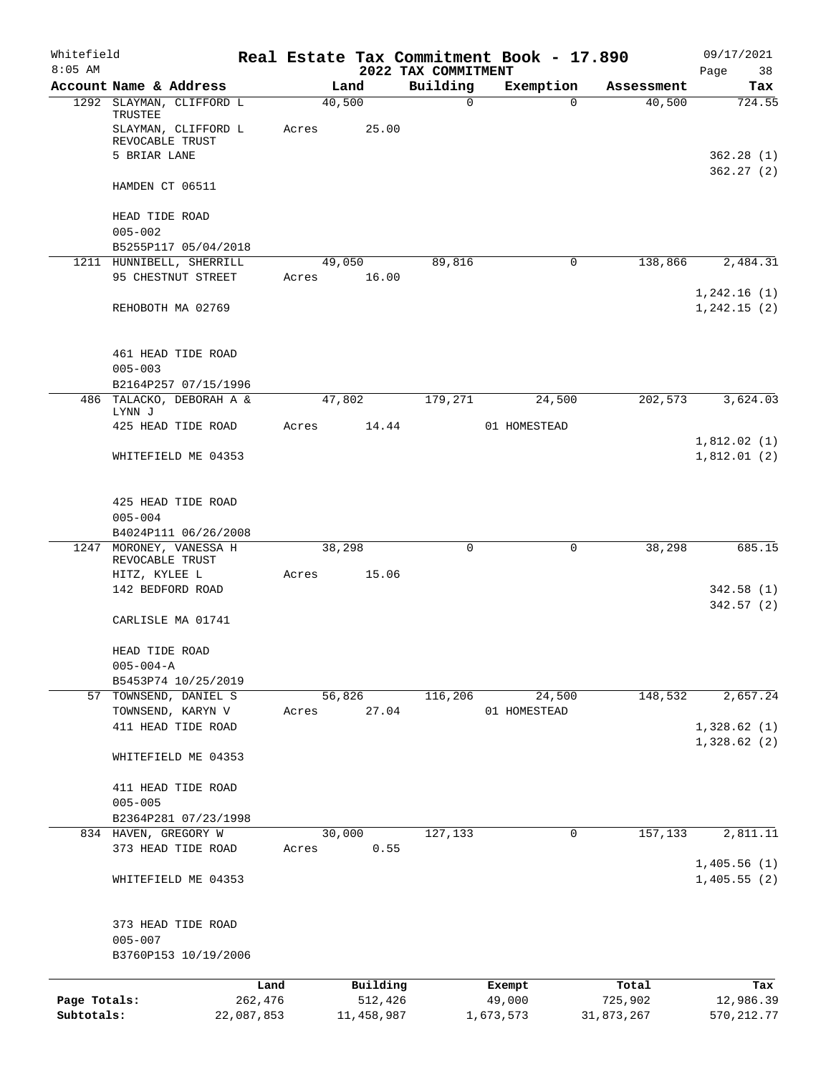| Whitefield<br>$8:05$ AM    |                                                                   |                       |       |                       | 2022 TAX COMMITMENT | Real Estate Tax Commitment Book - 17.890 |                       | 09/17/2021<br>Page         |
|----------------------------|-------------------------------------------------------------------|-----------------------|-------|-----------------------|---------------------|------------------------------------------|-----------------------|----------------------------|
|                            | Account Name & Address                                            |                       |       | Land                  | Building            | Exemption                                | Assessment            | 38<br>Tax                  |
|                            | 1292 SLAYMAN, CLIFFORD L                                          |                       |       | 40,500                | $\mathbf 0$         | $\Omega$                                 | 40,500                | 724.55                     |
|                            | TRUSTEE<br>SLAYMAN, CLIFFORD L<br>REVOCABLE TRUST<br>5 BRIAR LANE |                       | Acres | 25.00                 |                     |                                          |                       | 362.28(1)                  |
|                            | HAMDEN CT 06511                                                   |                       |       |                       |                     |                                          |                       | 362.27(2)                  |
|                            |                                                                   |                       |       |                       |                     |                                          |                       |                            |
|                            | HEAD TIDE ROAD<br>$005 - 002$<br>B5255P117 05/04/2018             |                       |       |                       |                     |                                          |                       |                            |
|                            | 1211 HUNNIBELL, SHERRILL                                          |                       |       | 49,050                | 89,816              | 0                                        | 138,866               | 2,484.31                   |
|                            | 95 CHESTNUT STREET                                                |                       | Acres | 16.00                 |                     |                                          |                       | 1,242.16(1)                |
|                            | REHOBOTH MA 02769                                                 |                       |       |                       |                     |                                          |                       | 1, 242.15(2)               |
|                            | 461 HEAD TIDE ROAD<br>$005 - 003$                                 |                       |       |                       |                     |                                          |                       |                            |
|                            | B2164P257 07/15/1996                                              |                       |       |                       |                     |                                          |                       |                            |
|                            | 486 TALACKO, DEBORAH A &<br>LYNN J                                |                       |       | 47,802                | 179,271             | 24,500                                   | 202,573               | 3,624.03                   |
|                            | 425 HEAD TIDE ROAD                                                |                       | Acres | 14.44                 |                     | 01 HOMESTEAD                             |                       |                            |
|                            | WHITEFIELD ME 04353                                               |                       |       |                       |                     |                                          |                       | 1,812.02(1)<br>1,812.01(2) |
|                            | 425 HEAD TIDE ROAD<br>$005 - 004$                                 |                       |       |                       |                     |                                          |                       |                            |
|                            | B4024P111 06/26/2008                                              |                       |       |                       |                     |                                          |                       |                            |
|                            | 1247 MORONEY, VANESSA H<br>REVOCABLE TRUST                        |                       |       | 38,298                | $\mathbf 0$         | 0                                        | 38,298                | 685.15                     |
|                            | HITZ, KYLEE L<br>142 BEDFORD ROAD                                 |                       | Acres | 15.06                 |                     |                                          |                       | 342.58(1)                  |
|                            | CARLISLE MA 01741                                                 |                       |       |                       |                     |                                          |                       | 342.57 (2)                 |
|                            | HEAD TIDE ROAD<br>$005 - 004 - A$                                 |                       |       |                       |                     |                                          |                       |                            |
|                            | B5453P74 10/25/2019                                               |                       |       |                       |                     |                                          |                       |                            |
|                            | 57 TOWNSEND, DANIEL S<br>TOWNSEND, KARYN V                        |                       | Acres | 56,826<br>27.04       | 116,206             | 24,500<br>01 HOMESTEAD                   | 148,532               | 2,657.24                   |
|                            | 411 HEAD TIDE ROAD                                                |                       |       |                       |                     |                                          |                       | 1,328.62(1)                |
|                            | WHITEFIELD ME 04353                                               |                       |       |                       |                     |                                          |                       | 1,328.62(2)                |
|                            | 411 HEAD TIDE ROAD                                                |                       |       |                       |                     |                                          |                       |                            |
|                            | $005 - 005$                                                       |                       |       |                       |                     |                                          |                       |                            |
|                            | B2364P281 07/23/1998                                              |                       |       |                       |                     |                                          |                       |                            |
|                            | 834 HAVEN, GREGORY W                                              |                       |       | 30,000                | 127,133             | 0                                        | 157,133               | 2,811.11                   |
|                            | 373 HEAD TIDE ROAD                                                |                       | Acres | 0.55                  |                     |                                          |                       | 1,405.56(1)                |
|                            | WHITEFIELD ME 04353                                               |                       |       |                       |                     |                                          |                       | 1,405.55(2)                |
|                            | 373 HEAD TIDE ROAD<br>$005 - 007$                                 |                       |       |                       |                     |                                          |                       |                            |
|                            | B3760P153 10/19/2006                                              |                       |       |                       |                     |                                          |                       |                            |
|                            |                                                                   | Land                  |       | Building              |                     | Exempt                                   | Total                 | Tax                        |
| Page Totals:<br>Subtotals: |                                                                   | 262,476<br>22,087,853 |       | 512,426<br>11,458,987 |                     | 49,000<br>1,673,573                      | 725,902<br>31,873,267 | 12,986.39<br>570, 212.77   |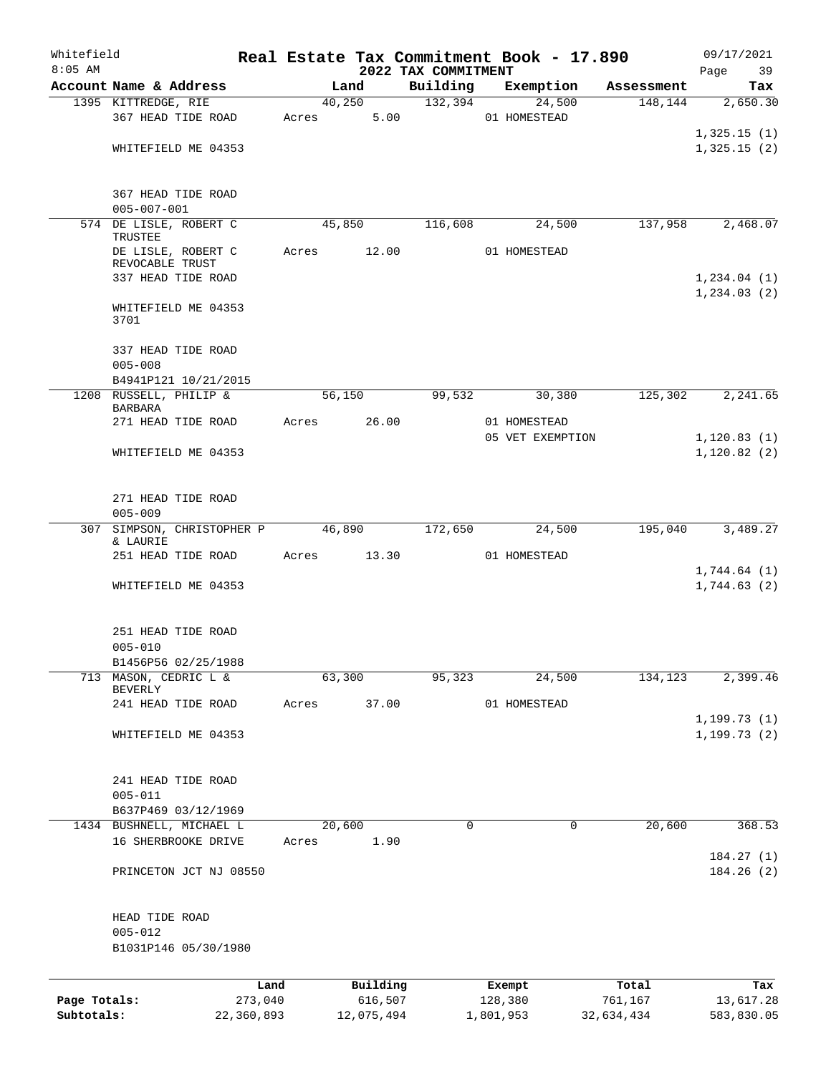| Whitefield   |                                                |            |       |            | Real Estate Tax Commitment Book - 17.890 |                  |            |            | 09/17/2021                   |
|--------------|------------------------------------------------|------------|-------|------------|------------------------------------------|------------------|------------|------------|------------------------------|
| $8:05$ AM    | Account Name & Address                         |            |       | Land       | 2022 TAX COMMITMENT<br>Building          | Exemption        |            | Assessment | 39<br>Page<br>Tax            |
|              | 1395 KITTREDGE, RIE                            |            |       | 40,250     | 132,394                                  |                  | 24,500     | 148, 144   | 2,650.30                     |
|              | 367 HEAD TIDE ROAD                             |            | Acres | 5.00       |                                          | 01 HOMESTEAD     |            |            |                              |
|              |                                                |            |       |            |                                          |                  |            |            | 1,325.15(1)                  |
|              | WHITEFIELD ME 04353                            |            |       |            |                                          |                  |            |            | 1,325.15(2)                  |
|              | 367 HEAD TIDE ROAD                             |            |       |            |                                          |                  |            |            |                              |
|              | $005 - 007 - 001$                              |            |       |            |                                          |                  |            |            |                              |
|              | 574 DE LISLE, ROBERT C<br>TRUSTEE              |            |       | 45,850     | 116,608                                  |                  | 24,500     | 137,958    | 2,468.07                     |
|              | DE LISLE, ROBERT C<br>REVOCABLE TRUST          |            | Acres | 12.00      |                                          | 01 HOMESTEAD     |            |            |                              |
|              | 337 HEAD TIDE ROAD                             |            |       |            |                                          |                  |            |            | 1,234.04(1)                  |
|              | WHITEFIELD ME 04353<br>3701                    |            |       |            |                                          |                  |            |            | 1, 234.03(2)                 |
|              | 337 HEAD TIDE ROAD                             |            |       |            |                                          |                  |            |            |                              |
|              | $005 - 008$                                    |            |       |            |                                          |                  |            |            |                              |
|              | B4941P121 10/21/2015<br>1208 RUSSELL, PHILIP & |            |       | 56,150     | 99,532                                   |                  | 30,380     | 125,302    | 2,241.65                     |
|              | BARBARA                                        |            |       |            |                                          |                  |            |            |                              |
|              | 271 HEAD TIDE ROAD                             |            | Acres | 26.00      |                                          | 01 HOMESTEAD     |            |            |                              |
|              | WHITEFIELD ME 04353                            |            |       |            |                                          | 05 VET EXEMPTION |            |            | 1, 120.83(1)<br>1, 120.82(2) |
|              | 271 HEAD TIDE ROAD                             |            |       |            |                                          |                  |            |            |                              |
|              | $005 - 009$                                    |            |       |            |                                          |                  |            |            |                              |
|              | 307 SIMPSON, CHRISTOPHER P                     |            |       | 46,890     | 172,650                                  |                  | 24,500     | 195,040    | 3,489.27                     |
|              | & LAURIE                                       |            |       |            |                                          |                  |            |            |                              |
|              | 251 HEAD TIDE ROAD                             |            | Acres | 13.30      |                                          | 01 HOMESTEAD     |            |            | 1,744.64(1)                  |
|              | WHITEFIELD ME 04353                            |            |       |            |                                          |                  |            |            | 1,744.63(2)                  |
|              | 251 HEAD TIDE ROAD                             |            |       |            |                                          |                  |            |            |                              |
|              | $005 - 010$                                    |            |       |            |                                          |                  |            |            |                              |
|              | B1456P56 02/25/1988                            |            |       |            |                                          |                  |            |            |                              |
|              | 713 MASON, CEDRIC L &<br>BEVERLY               |            |       | 63,300     | 95,323                                   |                  | 24,500     | 134,123    | 2,399.46                     |
|              | 241 HEAD TIDE ROAD                             |            | Acres | 37.00      |                                          | 01 HOMESTEAD     |            |            |                              |
|              |                                                |            |       |            |                                          |                  |            |            | 1, 199.73(1)                 |
|              | WHITEFIELD ME 04353                            |            |       |            |                                          |                  |            |            | 1, 199.73(2)                 |
|              | 241 HEAD TIDE ROAD<br>$005 - 011$              |            |       |            |                                          |                  |            |            |                              |
|              | B637P469 03/12/1969                            |            |       |            |                                          |                  |            |            |                              |
|              | 1434 BUSHNELL, MICHAEL L                       |            |       | 20,600     | 0                                        |                  | 0          | 20,600     | 368.53                       |
|              | 16 SHERBROOKE DRIVE                            |            | Acres | 1.90       |                                          |                  |            |            |                              |
|              | PRINCETON JCT NJ 08550                         |            |       |            |                                          |                  |            |            | 184.27(1)<br>184.26(2)       |
|              |                                                |            |       |            |                                          |                  |            |            |                              |
|              | HEAD TIDE ROAD<br>$005 - 012$                  |            |       |            |                                          |                  |            |            |                              |
|              | B1031P146 05/30/1980                           |            |       |            |                                          |                  |            |            |                              |
|              |                                                | Land       |       | Building   |                                          | Exempt           |            | Total      | Tax                          |
| Page Totals: |                                                | 273,040    |       | 616,507    |                                          | 128,380          | 761,167    |            | 13,617.28                    |
| Subtotals:   |                                                | 22,360,893 |       | 12,075,494 |                                          | 1,801,953        | 32,634,434 |            | 583,830.05                   |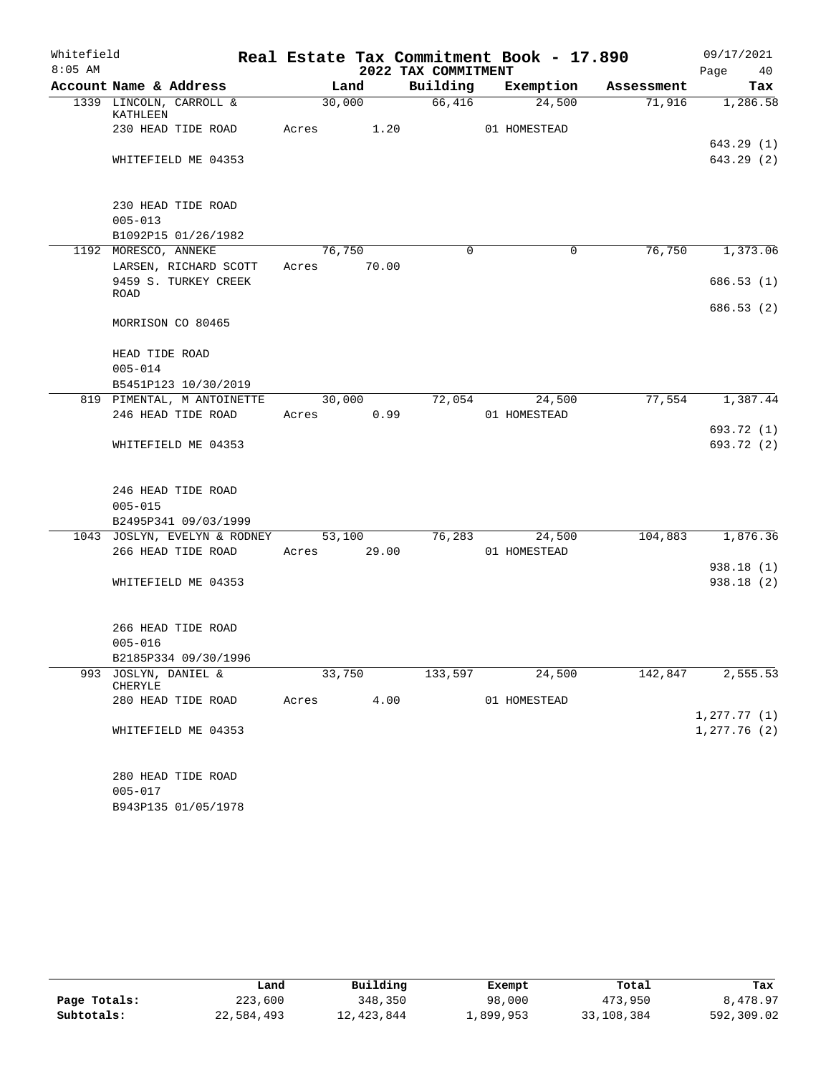| Whitefield |                                     |       |        |                         | Real Estate Tax Commitment Book - 17.890 |            | 09/17/2021   |
|------------|-------------------------------------|-------|--------|-------------------------|------------------------------------------|------------|--------------|
| $8:05$ AM  |                                     |       |        | 2022 TAX COMMITMENT     |                                          |            | Page<br>40   |
|            | Account Name & Address              |       | Land   | Building                | Exemption                                | Assessment | Tax          |
|            | 1339 LINCOLN, CARROLL &<br>KATHLEEN |       | 30,000 | 66,416                  | 24,500                                   | 71,916     | 1,286.58     |
|            | 230 HEAD TIDE ROAD                  | Acres | 1.20   |                         | 01 HOMESTEAD                             |            |              |
|            |                                     |       |        |                         |                                          |            | 643.29 (1)   |
|            | WHITEFIELD ME 04353                 |       |        |                         |                                          |            | 643.29(2)    |
|            | 230 HEAD TIDE ROAD<br>$005 - 013$   |       |        |                         |                                          |            |              |
|            | B1092P15 01/26/1982                 |       |        |                         |                                          |            |              |
|            | 1192 MORESCO, ANNEKE                |       | 76,750 | $\Omega$                | $\mathbf 0$                              | 76,750     | 1,373.06     |
|            | LARSEN, RICHARD SCOTT               | Acres | 70.00  |                         |                                          |            |              |
|            | 9459 S. TURKEY CREEK                |       |        |                         |                                          |            | 686.53(1)    |
|            | ROAD                                |       |        |                         |                                          |            |              |
|            | MORRISON CO 80465                   |       |        |                         |                                          |            | 686.53 (2)   |
|            | HEAD TIDE ROAD                      |       |        |                         |                                          |            |              |
|            | $005 - 014$                         |       |        |                         |                                          |            |              |
|            | B5451P123 10/30/2019                |       |        |                         |                                          |            |              |
|            | 819 PIMENTAL, M ANTOINETTE          |       | 30,000 | 72,054                  | 24,500                                   | 77,554     | 1,387.44     |
|            | 246 HEAD TIDE ROAD                  | Acres | 0.99   |                         | 01 HOMESTEAD                             |            |              |
|            |                                     |       |        |                         |                                          |            | 693.72 (1)   |
|            | WHITEFIELD ME 04353                 |       |        |                         |                                          |            | 693.72 (2)   |
|            | 246 HEAD TIDE ROAD                  |       |        |                         |                                          |            |              |
|            | $005 - 015$                         |       |        |                         |                                          |            |              |
|            | B2495P341 09/03/1999                |       |        |                         |                                          |            |              |
|            | 1043 JOSLYN, EVELYN & RODNEY        |       | 53,100 | 76,283                  | 24,500                                   | 104,883    | 1,876.36     |
|            | 266 HEAD TIDE ROAD                  | Acres | 29.00  |                         | 01 HOMESTEAD                             |            |              |
|            |                                     |       |        |                         |                                          |            | 938.18(1)    |
|            | WHITEFIELD ME 04353                 |       |        |                         |                                          |            | 938.18(2)    |
|            | 266 HEAD TIDE ROAD                  |       |        |                         |                                          |            |              |
|            | $005 - 016$                         |       |        |                         |                                          |            |              |
|            | B2185P334 09/30/1996                |       |        |                         |                                          |            |              |
|            | 993 JOSLYN, DANIEL &<br>CHERYLE     |       | 33,750 | 133,597                 | 24,500                                   | 142,847    | 2,555.53     |
|            | 280 HEAD TIDE ROAD                  |       |        | Acres 4.00 01 HOMESTEAD |                                          |            |              |
|            |                                     |       |        |                         |                                          |            | 1, 277.77(1) |
|            | WHITEFIELD ME 04353                 |       |        |                         |                                          |            | 1,277.76(2)  |
|            | 280 HEAD TIDE ROAD                  |       |        |                         |                                          |            |              |
|            | $005 - 017$                         |       |        |                         |                                          |            |              |
|            | B943P135 01/05/1978                 |       |        |                         |                                          |            |              |

|              | Land       | Building   | Exempt    | Total      | Tax        |
|--------------|------------|------------|-----------|------------|------------|
| Page Totals: | 223,600    | 348,350    | 98,000    | 473,950    | 8,478.97   |
| Subtotals:   | 22,584,493 | 12,423,844 | ⊥,899,953 | 33,108,384 | 592,309.02 |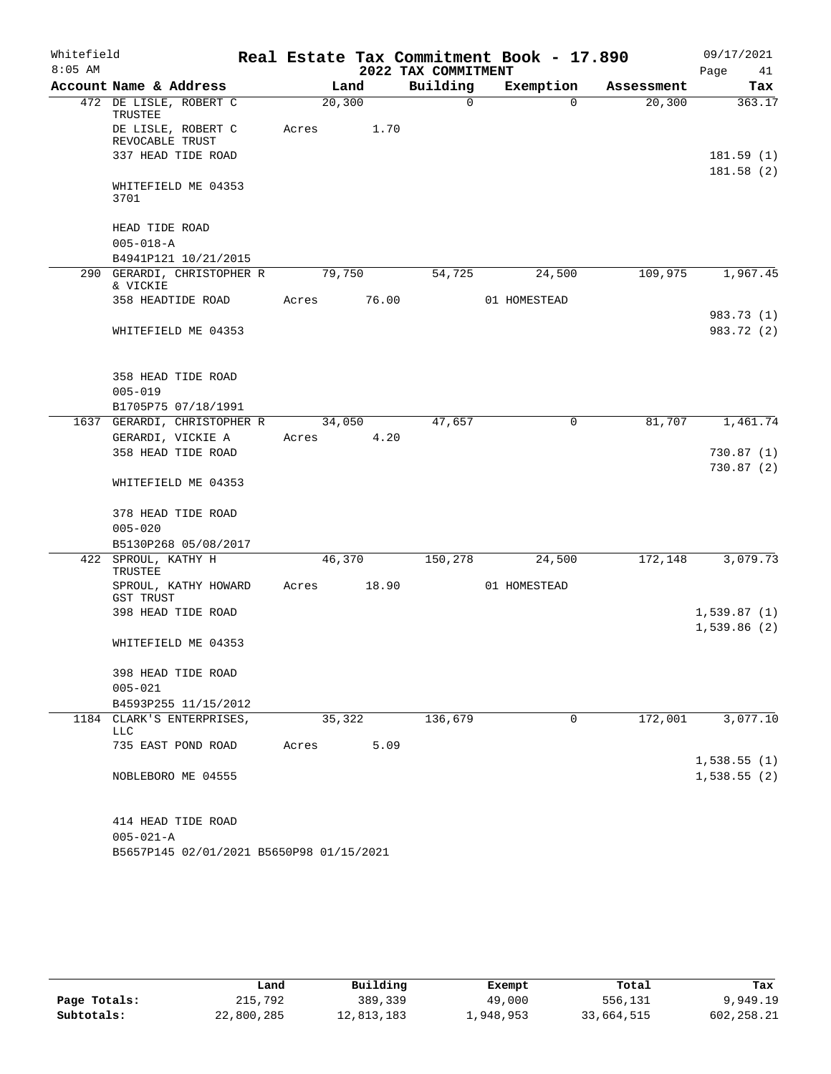| Whitefield |                                                    |       |         |                     | Real Estate Tax Commitment Book - 17.890 |            | 09/17/2021                 |
|------------|----------------------------------------------------|-------|---------|---------------------|------------------------------------------|------------|----------------------------|
| $8:05$ AM  |                                                    |       |         | 2022 TAX COMMITMENT |                                          |            | Page<br>41                 |
|            | Account Name & Address                             |       | Land    | Building            | Exemption                                | Assessment | Tax                        |
|            | 472 DE LISLE, ROBERT C<br>TRUSTEE                  |       | 20, 300 | $\mathbf 0$         | $\Omega$                                 | 20, 300    | 363.17                     |
|            | DE LISLE, ROBERT C<br>REVOCABLE TRUST              | Acres | 1.70    |                     |                                          |            |                            |
|            | 337 HEAD TIDE ROAD                                 |       |         |                     |                                          |            | 181.59(1)                  |
|            |                                                    |       |         |                     |                                          |            | 181.58(2)                  |
|            | WHITEFIELD ME 04353<br>3701                        |       |         |                     |                                          |            |                            |
|            | HEAD TIDE ROAD                                     |       |         |                     |                                          |            |                            |
|            | $005 - 018 - A$                                    |       |         |                     |                                          |            |                            |
|            | B4941P121 10/21/2015                               |       |         |                     |                                          |            |                            |
| 290        | GERARDI, CHRISTOPHER R<br>& VICKIE                 |       | 79,750  | 54,725              | 24,500                                   | 109,975    | 1,967.45                   |
|            | 358 HEADTIDE ROAD                                  | Acres | 76.00   |                     | 01 HOMESTEAD                             |            |                            |
|            |                                                    |       |         |                     |                                          |            | 983.73 (1)                 |
|            | WHITEFIELD ME 04353                                |       |         |                     |                                          |            | 983.72 (2)                 |
|            | 358 HEAD TIDE ROAD                                 |       |         |                     |                                          |            |                            |
|            | $005 - 019$                                        |       |         |                     |                                          |            |                            |
|            | B1705P75 07/18/1991<br>1637 GERARDI, CHRISTOPHER R |       | 34,050  | 47,657              | 0                                        | 81,707     | 1,461.74                   |
|            | GERARDI, VICKIE A                                  | Acres | 4.20    |                     |                                          |            |                            |
|            | 358 HEAD TIDE ROAD                                 |       |         |                     |                                          |            | 730.87(1)                  |
|            |                                                    |       |         |                     |                                          |            | 730.87(2)                  |
|            | WHITEFIELD ME 04353                                |       |         |                     |                                          |            |                            |
|            | 378 HEAD TIDE ROAD                                 |       |         |                     |                                          |            |                            |
|            | $005 - 020$                                        |       |         |                     |                                          |            |                            |
|            | B5130P268 05/08/2017                               |       |         |                     |                                          |            |                            |
| 422        | SPROUL, KATHY H<br>TRUSTEE                         |       | 46,370  | 150,278             | 24,500                                   | 172,148    | 3,079.73                   |
|            | SPROUL, KATHY HOWARD<br>GST TRUST                  | Acres | 18.90   |                     | 01 HOMESTEAD                             |            |                            |
|            | 398 HEAD TIDE ROAD                                 |       |         |                     |                                          |            | 1,539.87(1)                |
|            | WHITEFIELD ME 04353                                |       |         |                     |                                          |            | 1,539.86(2)                |
|            | 398 HEAD TIDE ROAD                                 |       |         |                     |                                          |            |                            |
|            | $005 - 021$                                        |       |         |                     |                                          |            |                            |
|            | B4593P255 11/15/2012                               |       |         |                     |                                          |            |                            |
|            | 1184 CLARK'S ENTERPRISES,<br>LLC                   |       | 35,322  | 136,679             | 0                                        | 172,001    | 3,077.10                   |
|            | 735 EAST POND ROAD                                 | Acres | 5.09    |                     |                                          |            |                            |
|            | NOBLEBORO ME 04555                                 |       |         |                     |                                          |            | 1,538.55(1)<br>1,538.55(2) |
|            |                                                    |       |         |                     |                                          |            |                            |
|            | 414 HEAD TIDE ROAD                                 |       |         |                     |                                          |            |                            |
|            | $005 - 021 - A$                                    |       |         |                     |                                          |            |                            |
|            | B5657P145 02/01/2021 B5650P98 01/15/2021           |       |         |                     |                                          |            |                            |

|              | Land       | Building   | Exempt    | Total      | Tax        |
|--------------|------------|------------|-----------|------------|------------|
| Page Totals: | 215,792    | 389,339    | 49,000    | 556,131    | 9,949.19   |
| Subtotals:   | 22,800,285 | 12,813,183 | .,948,953 | 33,664,515 | 602,258.21 |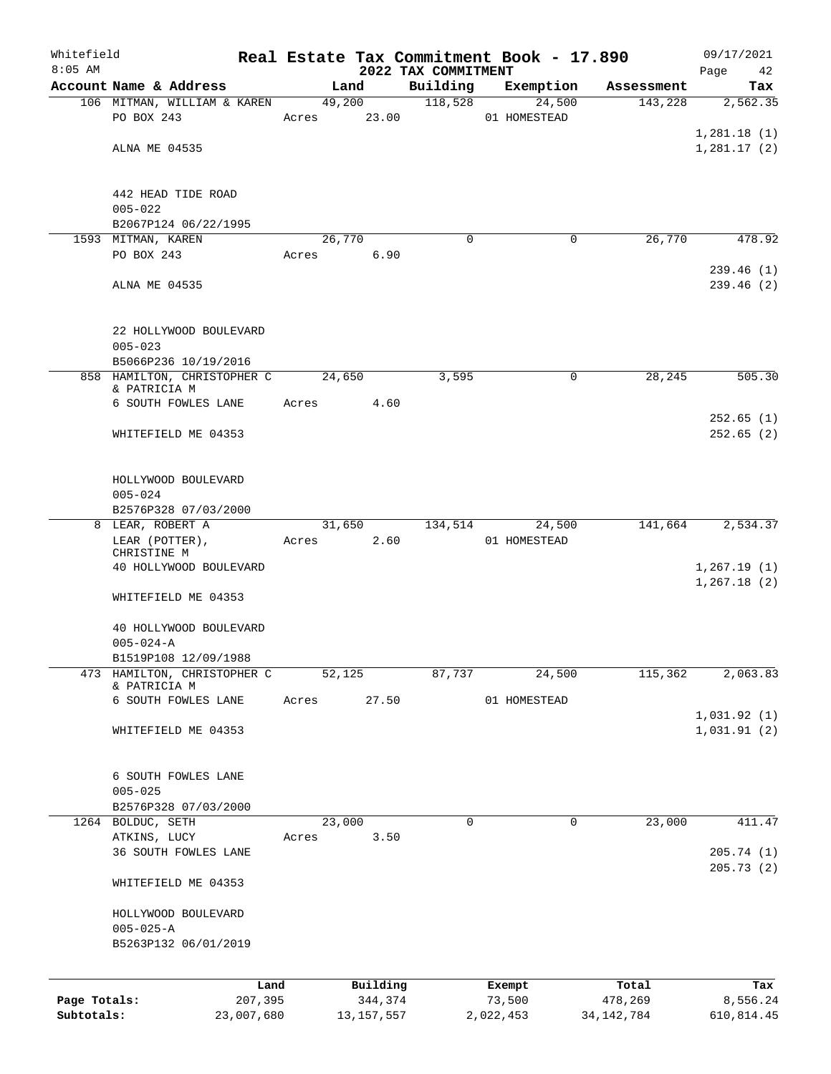| Whitefield<br>$8:05$ AM |                                             |       |              | 2022 TAX COMMITMENT | Real Estate Tax Commitment Book - 17.890 |              | 09/17/2021<br>Page<br>42 |
|-------------------------|---------------------------------------------|-------|--------------|---------------------|------------------------------------------|--------------|--------------------------|
|                         | Account Name & Address                      |       | Land         | Building            | Exemption                                | Assessment   | Tax                      |
|                         | 106 MITMAN, WILLIAM & KAREN                 |       | 49,200       | 118,528             | 24,500                                   | 143,228      | 2,562.35                 |
|                         | PO BOX 243                                  | Acres | 23.00        |                     | 01 HOMESTEAD                             |              |                          |
|                         |                                             |       |              |                     |                                          |              | 1,281.18(1)              |
|                         | ALNA ME 04535                               |       |              |                     |                                          |              | 1,281.17(2)              |
|                         |                                             |       |              |                     |                                          |              |                          |
|                         |                                             |       |              |                     |                                          |              |                          |
|                         | 442 HEAD TIDE ROAD                          |       |              |                     |                                          |              |                          |
|                         | $005 - 022$                                 |       |              |                     |                                          |              |                          |
|                         | B2067P124 06/22/1995                        |       |              |                     |                                          |              |                          |
|                         | 1593 MITMAN, KAREN                          |       | 26,770       | $\Omega$            | 0                                        | 26,770       | 478.92                   |
|                         | PO BOX 243                                  | Acres | 6.90         |                     |                                          |              |                          |
|                         |                                             |       |              |                     |                                          |              | 239.46(1)                |
|                         | ALNA ME 04535                               |       |              |                     |                                          |              | 239.46(2)                |
|                         |                                             |       |              |                     |                                          |              |                          |
|                         |                                             |       |              |                     |                                          |              |                          |
|                         | 22 HOLLYWOOD BOULEVARD                      |       |              |                     |                                          |              |                          |
|                         | $005 - 023$                                 |       |              |                     |                                          |              |                          |
|                         | B5066P236 10/19/2016                        |       |              |                     |                                          |              |                          |
|                         | 858 HAMILTON, CHRISTOPHER C<br>& PATRICIA M |       | 24,650       | 3,595               | 0                                        | 28,245       | 505.30                   |
|                         | 6 SOUTH FOWLES LANE                         | Acres | 4.60         |                     |                                          |              |                          |
|                         |                                             |       |              |                     |                                          |              | 252.65(1)                |
|                         | WHITEFIELD ME 04353                         |       |              |                     |                                          |              | 252.65(2)                |
|                         |                                             |       |              |                     |                                          |              |                          |
|                         |                                             |       |              |                     |                                          |              |                          |
|                         | HOLLYWOOD BOULEVARD                         |       |              |                     |                                          |              |                          |
|                         | $005 - 024$                                 |       |              |                     |                                          |              |                          |
|                         | B2576P328 07/03/2000                        |       |              |                     |                                          |              |                          |
|                         | 8 LEAR, ROBERT A                            |       | 31,650       | 134,514             | 24,500                                   | 141,664      | 2,534.37                 |
|                         | LEAR (POTTER),                              | Acres | 2.60         |                     | 01 HOMESTEAD                             |              |                          |
|                         | CHRISTINE M                                 |       |              |                     |                                          |              |                          |
|                         | 40 HOLLYWOOD BOULEVARD                      |       |              |                     |                                          |              | 1, 267.19(1)             |
|                         |                                             |       |              |                     |                                          |              | 1, 267.18(2)             |
|                         | WHITEFIELD ME 04353                         |       |              |                     |                                          |              |                          |
|                         | 40 HOLLYWOOD BOULEVARD                      |       |              |                     |                                          |              |                          |
|                         | $005 - 024 - A$                             |       |              |                     |                                          |              |                          |
|                         | B1519P108 12/09/1988                        |       |              |                     |                                          |              |                          |
| 473                     | HAMILTON, CHRISTOPHER C                     |       | 52,125       | 87,737              | 24,500                                   | 115,362      | 2,063.83                 |
|                         | & PATRICIA M                                |       |              |                     |                                          |              |                          |
|                         | 6 SOUTH FOWLES LANE                         | Acres | 27.50        |                     | 01 HOMESTEAD                             |              |                          |
|                         |                                             |       |              |                     |                                          |              | 1,031.92(1)              |
|                         | WHITEFIELD ME 04353                         |       |              |                     |                                          |              | 1,031.91(2)              |
|                         |                                             |       |              |                     |                                          |              |                          |
|                         |                                             |       |              |                     |                                          |              |                          |
|                         | 6 SOUTH FOWLES LANE                         |       |              |                     |                                          |              |                          |
|                         | $005 - 025$                                 |       |              |                     |                                          |              |                          |
|                         | B2576P328 07/03/2000                        |       |              |                     |                                          |              |                          |
|                         | 1264 BOLDUC, SETH                           |       | 23,000       | 0                   | 0                                        | 23,000       | 411.47                   |
|                         | ATKINS, LUCY                                | Acres | 3.50         |                     |                                          |              |                          |
|                         | 36 SOUTH FOWLES LANE                        |       |              |                     |                                          |              | 205.74(1)                |
|                         |                                             |       |              |                     |                                          |              | 205.73 (2)               |
|                         | WHITEFIELD ME 04353                         |       |              |                     |                                          |              |                          |
|                         |                                             |       |              |                     |                                          |              |                          |
|                         | HOLLYWOOD BOULEVARD<br>$005 - 025 - A$      |       |              |                     |                                          |              |                          |
|                         | B5263P132 06/01/2019                        |       |              |                     |                                          |              |                          |
|                         |                                             |       |              |                     |                                          |              |                          |
|                         |                                             |       |              |                     |                                          |              |                          |
|                         | Land                                        |       | Building     |                     | Exempt                                   | Total        | Tax                      |
| Page Totals:            | 207,395                                     |       | 344,374      |                     | 73,500                                   | 478,269      | 8,556.24                 |
| Subtotals:              | 23,007,680                                  |       | 13, 157, 557 |                     | 2,022,453                                | 34, 142, 784 | 610,814.45               |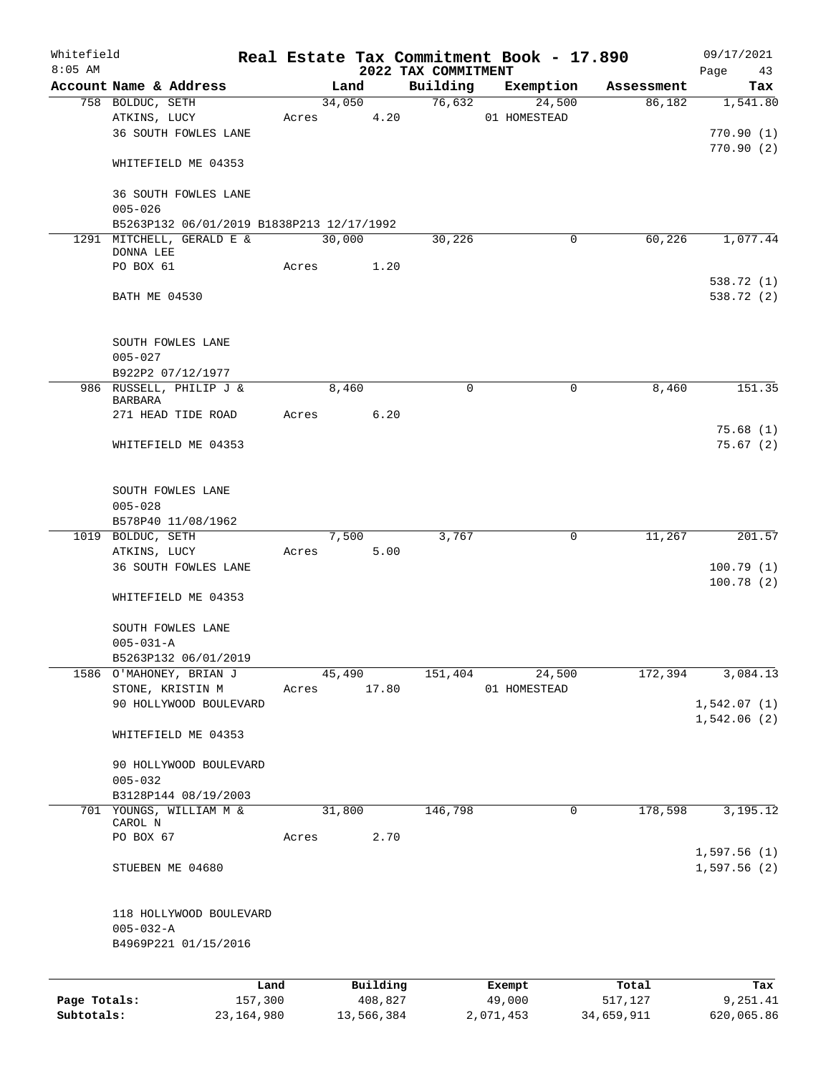| Whitefield   |                                           |              |       |        |            |                                 | Real Estate Tax Commitment Book - 17.890 |                      | 09/17/2021             |
|--------------|-------------------------------------------|--------------|-------|--------|------------|---------------------------------|------------------------------------------|----------------------|------------------------|
| $8:05$ AM    | Account Name & Address                    |              |       | Land   |            | 2022 TAX COMMITMENT<br>Building |                                          |                      | Page<br>43             |
|              | 758 BOLDUC, SETH                          |              |       | 34,050 |            | 76,632                          | Exemption<br>24,500                      | Assessment<br>86,182 | Tax<br>1,541.80        |
|              | ATKINS, LUCY                              |              | Acres |        | 4.20       |                                 | 01 HOMESTEAD                             |                      |                        |
|              | 36 SOUTH FOWLES LANE                      |              |       |        |            |                                 |                                          |                      | 770.90(1)              |
|              |                                           |              |       |        |            |                                 |                                          |                      | 770.90(2)              |
|              | WHITEFIELD ME 04353                       |              |       |        |            |                                 |                                          |                      |                        |
|              | 36 SOUTH FOWLES LANE<br>$005 - 026$       |              |       |        |            |                                 |                                          |                      |                        |
|              | B5263P132 06/01/2019 B1838P213 12/17/1992 |              |       |        |            |                                 |                                          |                      |                        |
|              | 1291 MITCHELL, GERALD E &                 |              |       | 30,000 |            | 30,226                          | $\mathbf 0$                              | 60,226               | 1,077.44               |
|              | DONNA LEE                                 |              |       |        |            |                                 |                                          |                      |                        |
|              | PO BOX 61                                 |              | Acres |        | 1.20       |                                 |                                          |                      |                        |
|              |                                           |              |       |        |            |                                 |                                          |                      | 538.72 (1)             |
|              | BATH ME 04530                             |              |       |        |            |                                 |                                          |                      | 538.72 (2)             |
|              | SOUTH FOWLES LANE                         |              |       |        |            |                                 |                                          |                      |                        |
|              | $005 - 027$                               |              |       |        |            |                                 |                                          |                      |                        |
|              | B922P2 07/12/1977                         |              |       |        |            |                                 |                                          |                      |                        |
|              | 986 RUSSELL, PHILIP J &                   |              |       | 8,460  |            | $\mathbf 0$                     | 0                                        | 8,460                | 151.35                 |
|              | <b>BARBARA</b>                            |              |       |        |            |                                 |                                          |                      |                        |
|              | 271 HEAD TIDE ROAD                        |              | Acres |        | 6.20       |                                 |                                          |                      |                        |
|              |                                           |              |       |        |            |                                 |                                          |                      | 75.68(1)               |
|              | WHITEFIELD ME 04353                       |              |       |        |            |                                 |                                          |                      | 75.67(2)               |
|              | SOUTH FOWLES LANE                         |              |       |        |            |                                 |                                          |                      |                        |
|              | $005 - 028$                               |              |       |        |            |                                 |                                          |                      |                        |
|              | B578P40 11/08/1962                        |              |       |        |            |                                 |                                          |                      |                        |
|              | 1019 BOLDUC, SETH                         |              |       | 7,500  |            | 3,767                           | 0                                        | 11,267               | 201.57                 |
|              | ATKINS, LUCY                              |              | Acres |        | 5.00       |                                 |                                          |                      |                        |
|              | 36 SOUTH FOWLES LANE                      |              |       |        |            |                                 |                                          |                      | 100.79(1)<br>100.78(2) |
|              | WHITEFIELD ME 04353                       |              |       |        |            |                                 |                                          |                      |                        |
|              | SOUTH FOWLES LANE                         |              |       |        |            |                                 |                                          |                      |                        |
|              | $005 - 031 - A$                           |              |       |        |            |                                 |                                          |                      |                        |
|              | B5263P132 06/01/2019                      |              |       |        |            |                                 |                                          |                      |                        |
|              | 1586 O'MAHONEY, BRIAN J                   |              |       | 45,490 |            | 151,404                         | 24,500                                   | 172,394              | 3,084.13               |
|              | STONE, KRISTIN M                          |              | Acres |        | 17.80      |                                 | 01 HOMESTEAD                             |                      |                        |
|              | 90 HOLLYWOOD BOULEVARD                    |              |       |        |            |                                 |                                          |                      | 1,542.07(1)            |
|              | WHITEFIELD ME 04353                       |              |       |        |            |                                 |                                          |                      | 1,542.06(2)            |
|              | 90 HOLLYWOOD BOULEVARD                    |              |       |        |            |                                 |                                          |                      |                        |
|              | $005 - 032$                               |              |       |        |            |                                 |                                          |                      |                        |
|              | B3128P144 08/19/2003                      |              |       |        |            |                                 |                                          |                      |                        |
|              | 701 YOUNGS, WILLIAM M &                   |              |       | 31,800 |            | 146,798                         | 0                                        | 178,598              | 3,195.12               |
|              | CAROL N                                   |              |       |        | 2.70       |                                 |                                          |                      |                        |
|              | PO BOX 67                                 |              | Acres |        |            |                                 |                                          |                      | 1,597.56(1)            |
|              | STUEBEN ME 04680                          |              |       |        |            |                                 |                                          |                      | 1,597.56(2)            |
|              |                                           |              |       |        |            |                                 |                                          |                      |                        |
|              | 118 HOLLYWOOD BOULEVARD                   |              |       |        |            |                                 |                                          |                      |                        |
|              | $005 - 032 - A$                           |              |       |        |            |                                 |                                          |                      |                        |
|              | B4969P221 01/15/2016                      |              |       |        |            |                                 |                                          |                      |                        |
|              |                                           | Land         |       |        | Building   |                                 | Exempt                                   | Total                | Tax                    |
| Page Totals: |                                           | 157,300      |       |        | 408,827    |                                 | 49,000                                   | 517,127              | 9,251.41               |
| Subtotals:   |                                           | 23, 164, 980 |       |        | 13,566,384 |                                 | 2,071,453                                | 34,659,911           | 620,065.86             |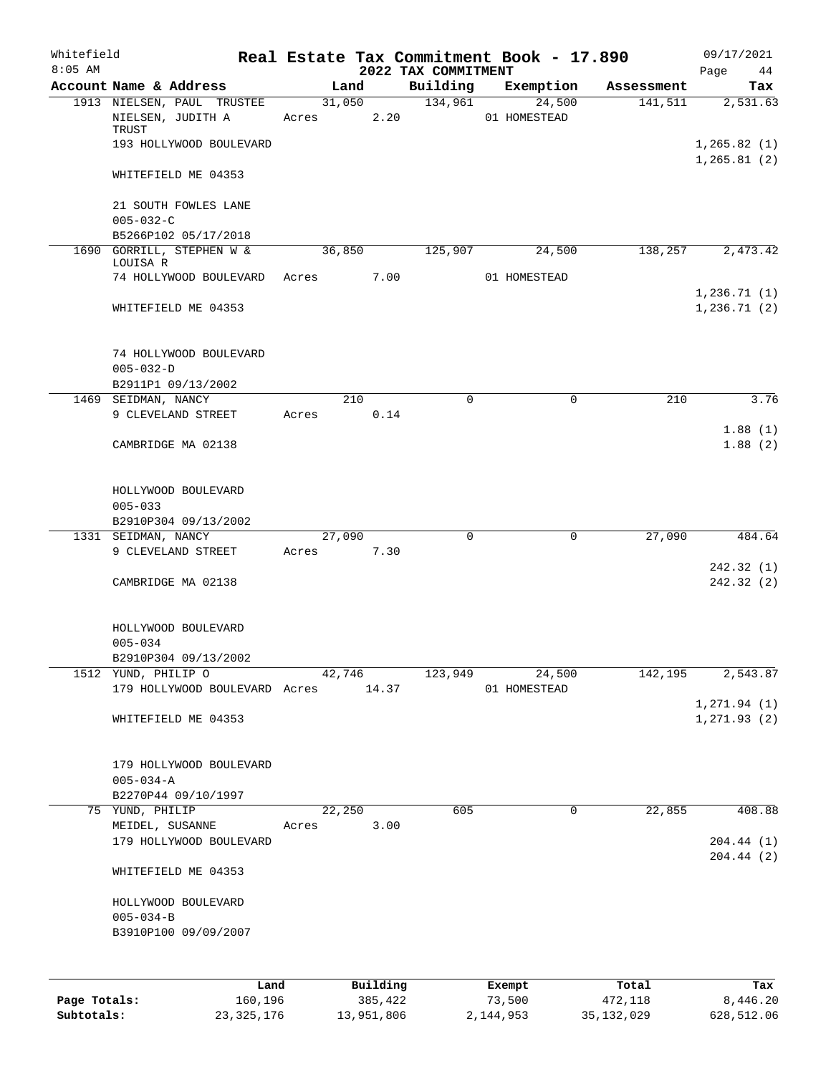| Whitefield<br>$8:05$ AM |                                                 |       |                | 2022 TAX COMMITMENT | Real Estate Tax Commitment Book - 17.890 |            | 09/17/2021<br>Page<br>44      |
|-------------------------|-------------------------------------------------|-------|----------------|---------------------|------------------------------------------|------------|-------------------------------|
|                         | Account Name & Address                          |       | Land           | Building            | Exemption                                | Assessment | Tax                           |
|                         | 1913 NIELSEN, PAUL TRUSTEE<br>NIELSEN, JUDITH A | Acres | 31,050<br>2.20 | 134,961             | 24,500<br>01 HOMESTEAD                   | 141,511    | 2,531.63                      |
|                         | TRUST<br>193 HOLLYWOOD BOULEVARD                |       |                |                     |                                          |            | 1, 265.82(1)                  |
|                         | WHITEFIELD ME 04353                             |       |                |                     |                                          |            | 1, 265.81(2)                  |
|                         | 21 SOUTH FOWLES LANE                            |       |                |                     |                                          |            |                               |
|                         | $005 - 032 - C$<br>B5266P102 05/17/2018         |       |                |                     |                                          |            |                               |
|                         | 1690 GORRILL, STEPHEN W &                       |       | 36,850         | 125,907             | 24,500                                   | 138,257    | 2,473.42                      |
|                         | LOUISA R                                        |       |                |                     |                                          |            |                               |
|                         | 74 HOLLYWOOD BOULEVARD                          | Acres | 7.00           |                     | 01 HOMESTEAD                             |            | 1, 236.71(1)                  |
|                         | WHITEFIELD ME 04353                             |       |                |                     |                                          |            | 1, 236.71(2)                  |
|                         | 74 HOLLYWOOD BOULEVARD<br>$005 - 032 - D$       |       |                |                     |                                          |            |                               |
|                         | B2911P1 09/13/2002                              |       |                |                     |                                          |            |                               |
|                         | 1469 SEIDMAN, NANCY                             |       | 210            | $\Omega$            | 0                                        | 210        | 3.76                          |
|                         | 9 CLEVELAND STREET                              | Acres | 0.14           |                     |                                          |            |                               |
|                         | CAMBRIDGE MA 02138                              |       |                |                     |                                          |            | 1.88(1)<br>1.88(2)            |
|                         | HOLLYWOOD BOULEVARD<br>$005 - 033$              |       |                |                     |                                          |            |                               |
|                         | B2910P304 09/13/2002                            |       |                |                     |                                          |            |                               |
|                         | 1331 SEIDMAN, NANCY                             |       | 27,090         | $\mathbf 0$         | $\mathbf 0$                              | 27,090     | 484.64                        |
|                         | 9 CLEVELAND STREET                              | Acres | 7.30           |                     |                                          |            |                               |
|                         | CAMBRIDGE MA 02138                              |       |                |                     |                                          |            | 242.32 (1)<br>242.32 (2)      |
|                         | HOLLYWOOD BOULEVARD<br>$005 - 034$              |       |                |                     |                                          |            |                               |
|                         | B2910P304 09/13/2002                            |       |                |                     |                                          |            |                               |
|                         | 1512 YUND, PHILIP O                             |       | 42,746         | 123,949             | 24,500                                   | 142,195    | 2,543.87                      |
|                         | 179 HOLLYWOOD BOULEVARD Acres                   |       | 14.37          |                     | 01 HOMESTEAD                             |            |                               |
|                         | WHITEFIELD ME 04353                             |       |                |                     |                                          |            | 1, 271.94 (1)<br>1, 271.93(2) |
|                         | 179 HOLLYWOOD BOULEVARD                         |       |                |                     |                                          |            |                               |
|                         | $005 - 034 - A$                                 |       |                |                     |                                          |            |                               |
|                         | B2270P44 09/10/1997                             |       |                |                     |                                          |            |                               |
|                         | 75 YUND, PHILIP                                 |       | 22,250         | 605                 | $\mathbf 0$                              | 22,855     | 408.88                        |
|                         | MEIDEL, SUSANNE<br>179 HOLLYWOOD BOULEVARD      | Acres | 3.00           |                     |                                          |            | 204.44 (1)                    |
|                         | WHITEFIELD ME 04353                             |       |                |                     |                                          |            | 204.44(2)                     |
|                         | HOLLYWOOD BOULEVARD<br>$005 - 034 - B$          |       |                |                     |                                          |            |                               |
|                         | B3910P100 09/09/2007                            |       |                |                     |                                          |            |                               |
|                         |                                                 |       |                |                     |                                          |            |                               |
|                         | Land                                            |       | Building       |                     | Exempt                                   | Total      | Tax                           |
| Page Totals:            | 160,196                                         |       | 385,422        |                     | 73,500                                   | 472,118    | 8,446.20                      |

**Subtotals:** 23,325,176 13,951,806 2,144,953 35,132,029 628,512.06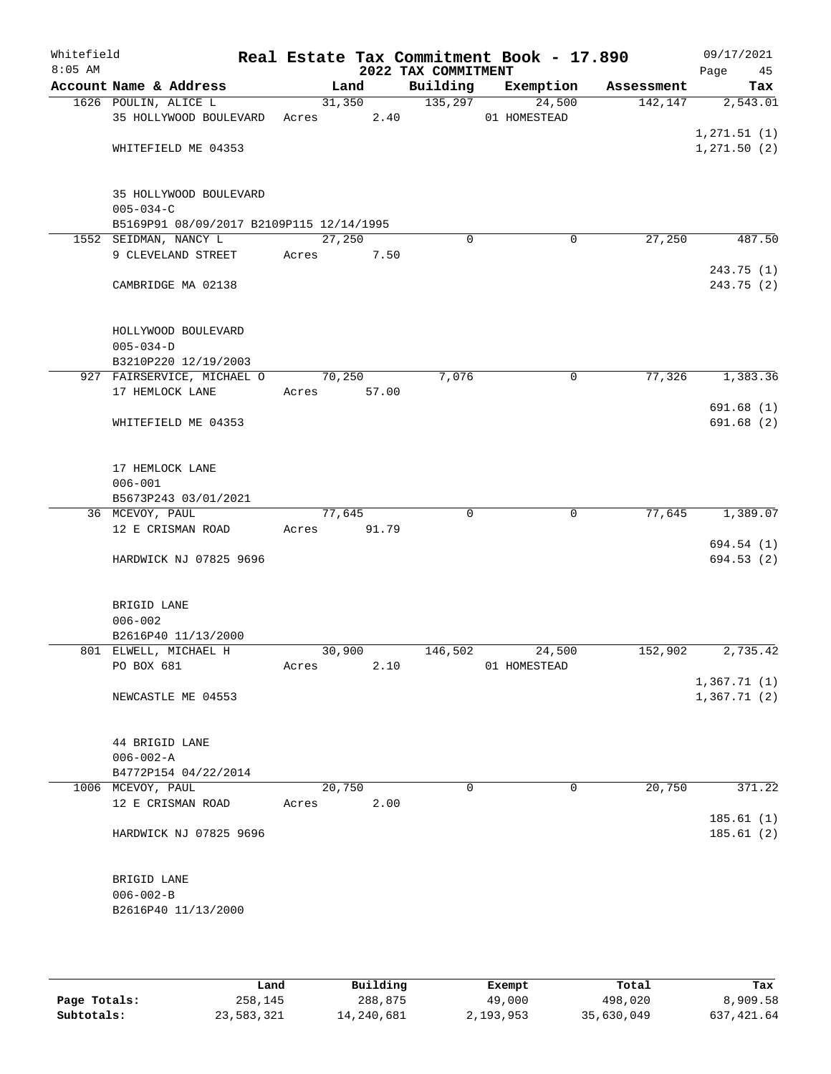| Whitefield<br>$8:05$ AM |                                                                                       |             |                | 2022 TAX COMMITMENT | Real Estate Tax Commitment Book - 17.890 |            | 09/17/2021<br>Page<br>45      |
|-------------------------|---------------------------------------------------------------------------------------|-------------|----------------|---------------------|------------------------------------------|------------|-------------------------------|
|                         | Account Name & Address                                                                | Land        |                | Building            | Exemption                                | Assessment | Tax                           |
|                         | 1626 POULIN, ALICE L<br>35 HOLLYWOOD BOULEVARD                                        | Acres       | 31,350<br>2.40 | 135,297             | 24,500<br>01 HOMESTEAD                   | 142,147    | 2,543.01                      |
|                         | WHITEFIELD ME 04353                                                                   |             |                |                     |                                          |            | 1, 271.51 (1)<br>1, 271.50(2) |
|                         | 35 HOLLYWOOD BOULEVARD<br>$005 - 034 - C$<br>B5169P91 08/09/2017 B2109P115 12/14/1995 |             |                |                     |                                          |            |                               |
|                         | 1552 SEIDMAN, NANCY L                                                                 | 27,250      |                | $\Omega$            | 0                                        | 27,250     | 487.50                        |
|                         | 9 CLEVELAND STREET                                                                    | Acres       | 7.50           |                     |                                          |            | 243.75 (1)                    |
|                         | CAMBRIDGE MA 02138                                                                    |             |                |                     |                                          |            | 243.75 (2)                    |
|                         | HOLLYWOOD BOULEVARD<br>$005 - 034 - D$                                                |             |                |                     |                                          |            |                               |
|                         | B3210P220 12/19/2003<br>927 FAIRSERVICE, MICHAEL O                                    | 70,250      |                | 7,076               | $\mathbf 0$                              | 77,326     | 1,383.36                      |
|                         | 17 HEMLOCK LANE                                                                       | Acres       | 57.00          |                     |                                          |            |                               |
|                         |                                                                                       |             |                |                     |                                          |            | 691.68(1)                     |
|                         | WHITEFIELD ME 04353                                                                   |             |                |                     |                                          |            | 691.68(2)                     |
|                         | 17 HEMLOCK LANE<br>$006 - 001$                                                        |             |                |                     |                                          |            |                               |
|                         | B5673P243 03/01/2021                                                                  |             |                |                     |                                          |            |                               |
|                         | 36 MCEVOY, PAUL                                                                       | 77,645      |                | $\Omega$            | $\overline{0}$                           | 77,645     | 1,389.07                      |
|                         | 12 E CRISMAN ROAD                                                                     | Acres 91.79 |                |                     |                                          |            |                               |
|                         | HARDWICK NJ 07825 9696                                                                |             |                |                     |                                          |            | 694.54 (1)<br>694.53 (2)      |
|                         | BRIGID LANE<br>$006 - 002$<br>B2616P40 11/13/2000                                     |             |                |                     |                                          |            |                               |
|                         | 801 ELWELL, MICHAEL H                                                                 | 30,900      |                | 146,502             | 24,500                                   | 152,902    | 2,735.42                      |
|                         | PO BOX 681                                                                            | Acres       | 2.10           |                     | 01 HOMESTEAD                             |            |                               |
|                         | NEWCASTLE ME 04553                                                                    |             |                |                     |                                          |            | 1,367.71(1)<br>1,367.71(2)    |
|                         | 44 BRIGID LANE<br>$006 - 002 - A$                                                     |             |                |                     |                                          |            |                               |
|                         | B4772P154 04/22/2014                                                                  |             |                |                     |                                          |            |                               |
|                         | 1006 MCEVOY, PAUL                                                                     | 20,750      |                | 0                   | 0                                        | 20,750     | 371.22                        |
|                         | 12 E CRISMAN ROAD                                                                     | Acres       | 2.00           |                     |                                          |            |                               |
|                         | HARDWICK NJ 07825 9696                                                                |             |                |                     |                                          |            | 185.61(1)<br>185.61(2)        |
|                         | BRIGID LANE<br>$006 - 002 - B$<br>B2616P40 11/13/2000                                 |             |                |                     |                                          |            |                               |

|              | Land       | Building   | Exempt    | Total      | Tax          |
|--------------|------------|------------|-----------|------------|--------------|
| Page Totals: | 258,145    | 288,875    | 49,000    | 498,020    | 8,909.58     |
| Subtotals:   | 23,583,321 | 14,240,681 | 2,193,953 | 35,630,049 | 637, 421, 64 |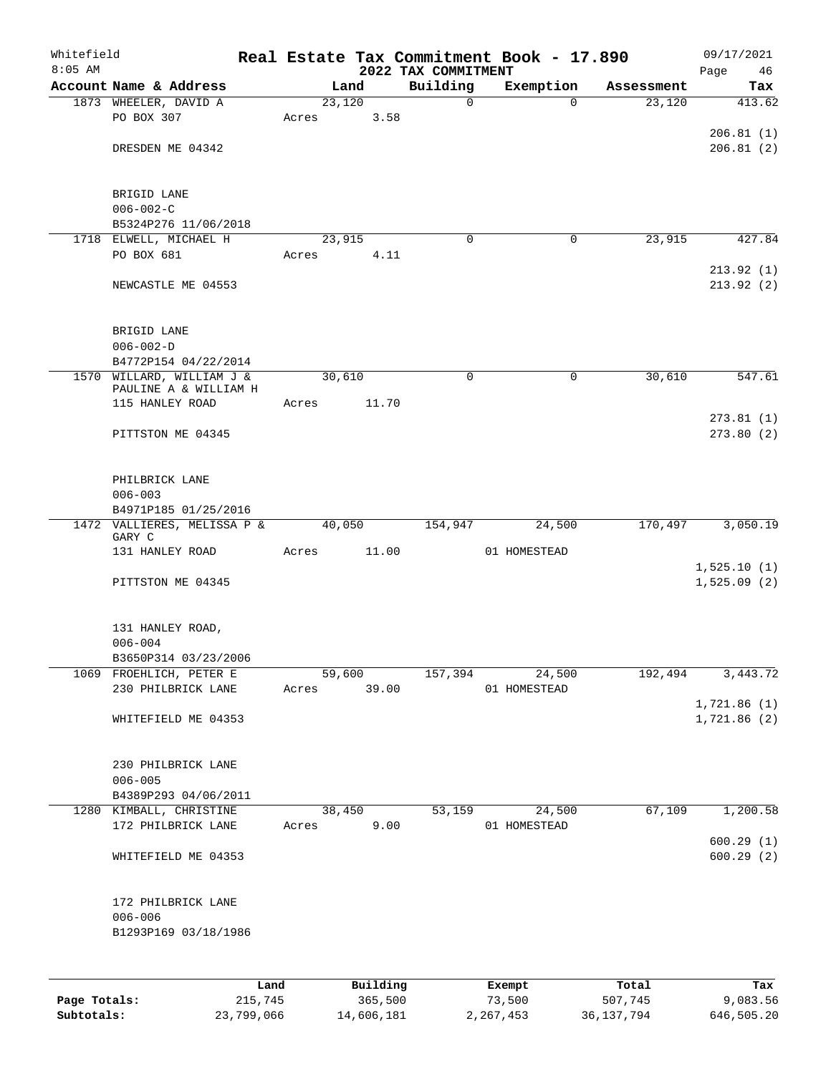| $8:05$ AM | Whitefield                            |       |        |                | 2022 TAX COMMITMENT | Real Estate Tax Commitment Book - 17.890 |            | 09/17/2021<br>Page<br>46 |
|-----------|---------------------------------------|-------|--------|----------------|---------------------|------------------------------------------|------------|--------------------------|
|           | Account Name & Address                |       | Land   |                | Building            | Exemption                                | Assessment | Tax                      |
|           | 1873 WHEELER, DAVID A                 |       | 23,120 |                | $\mathbf 0$         | $\Omega$                                 | 23,120     | 413.62                   |
|           | PO BOX 307                            | Acres |        | 3.58           |                     |                                          |            |                          |
|           |                                       |       |        |                |                     |                                          |            | 206.81(1)                |
|           | DRESDEN ME 04342                      |       |        |                |                     |                                          |            | 206.81(2)                |
|           | BRIGID LANE                           |       |        |                |                     |                                          |            |                          |
|           | $006 - 002 - C$                       |       |        |                |                     |                                          |            |                          |
|           | B5324P276 11/06/2018                  |       |        |                |                     |                                          |            |                          |
|           | 1718 ELWELL, MICHAEL H                |       | 23,915 |                | 0                   | 0                                        | 23,915     | 427.84                   |
|           | PO BOX 681                            | Acres |        | 4.11           |                     |                                          |            |                          |
|           |                                       |       |        |                |                     |                                          |            | 213.92(1)                |
|           | NEWCASTLE ME 04553                    |       |        |                |                     |                                          |            | 213.92(2)                |
|           | BRIGID LANE                           |       |        |                |                     |                                          |            |                          |
|           | $006 - 002 - D$                       |       |        |                |                     |                                          |            |                          |
|           | B4772P154 04/22/2014                  |       |        |                |                     |                                          |            |                          |
|           | 1570 WILLARD, WILLIAM J &             |       | 30,610 |                | $\mathbf 0$         | $\mathbf 0$                              | 30,610     | 547.61                   |
|           | PAULINE A & WILLIAM H                 |       |        |                |                     |                                          |            |                          |
|           | 115 HANLEY ROAD                       | Acres |        | 11.70          |                     |                                          |            |                          |
|           | PITTSTON ME 04345                     |       |        |                |                     |                                          |            | 273.81(1)<br>273.80(2)   |
|           | PHILBRICK LANE                        |       |        |                |                     |                                          |            |                          |
|           | $006 - 003$                           |       |        |                |                     |                                          |            |                          |
|           | B4971P185 01/25/2016                  |       |        |                |                     |                                          |            |                          |
|           | 1472 VALLIERES, MELISSA P &<br>GARY C |       | 40,050 |                | 154,947             | 24,500                                   | 170,497    | 3,050.19                 |
|           | 131 HANLEY ROAD                       | Acres |        | 11.00          |                     | 01 HOMESTEAD                             |            |                          |
|           |                                       |       |        |                |                     |                                          |            | 1,525.10(1)              |
|           | PITTSTON ME 04345                     |       |        |                |                     |                                          |            | 1,525.09(2)              |
|           | 131 HANLEY ROAD,                      |       |        |                |                     |                                          |            |                          |
|           | $006 - 004$                           |       |        |                |                     |                                          |            |                          |
|           | B3650P314 03/23/2006                  |       |        |                |                     |                                          |            |                          |
|           | 1069 FROEHLICH, PETER E               |       | 59,600 |                | 157,394             | 24,500                                   | 192,494    | 3,443.72                 |
|           | 230 PHILBRICK LANE                    |       |        | Acres 39.00    |                     | 01 HOMESTEAD                             |            |                          |
|           |                                       |       |        |                |                     |                                          |            | 1,721.86(1)              |
|           | WHITEFIELD ME 04353                   |       |        |                |                     |                                          |            | 1,721.86 (2)             |
|           | 230 PHILBRICK LANE                    |       |        |                |                     |                                          |            |                          |
|           | $006 - 005$                           |       |        |                |                     |                                          |            |                          |
|           | B4389P293 04/06/2011                  |       |        |                |                     |                                          |            |                          |
|           | 1280 KIMBALL, CHRISTINE               |       |        | 38,450<br>9.00 |                     | 53,159<br>24,500                         | 67,109     | 1,200.58                 |
|           | 172 PHILBRICK LANE                    |       | Acres  |                |                     | 01 HOMESTEAD                             |            | 600.29(1)                |
|           | WHITEFIELD ME 04353                   |       |        |                |                     |                                          |            | 600.29(2)                |
|           | 172 PHILBRICK LANE                    |       |        |                |                     |                                          |            |                          |
|           | $006 - 006$                           |       |        |                |                     |                                          |            |                          |
|           | B1293P169 03/18/1986                  |       |        |                |                     |                                          |            |                          |
|           |                                       | Land  |        | Building       |                     | Exempt                                   | Total      | Tax                      |

|              | uanu       | <b>DULLULLY</b> | <b>EACHIPL</b> | TOLAT      | 1 an       |
|--------------|------------|-----------------|----------------|------------|------------|
| Page Totals: | 215,745    | 365,500         | 73,500         | 507,745    | 9,083.56   |
| Subtotals:   | 23,799,066 | 14,606,181      | 2,267,453      | 36,137,794 | 646,505.20 |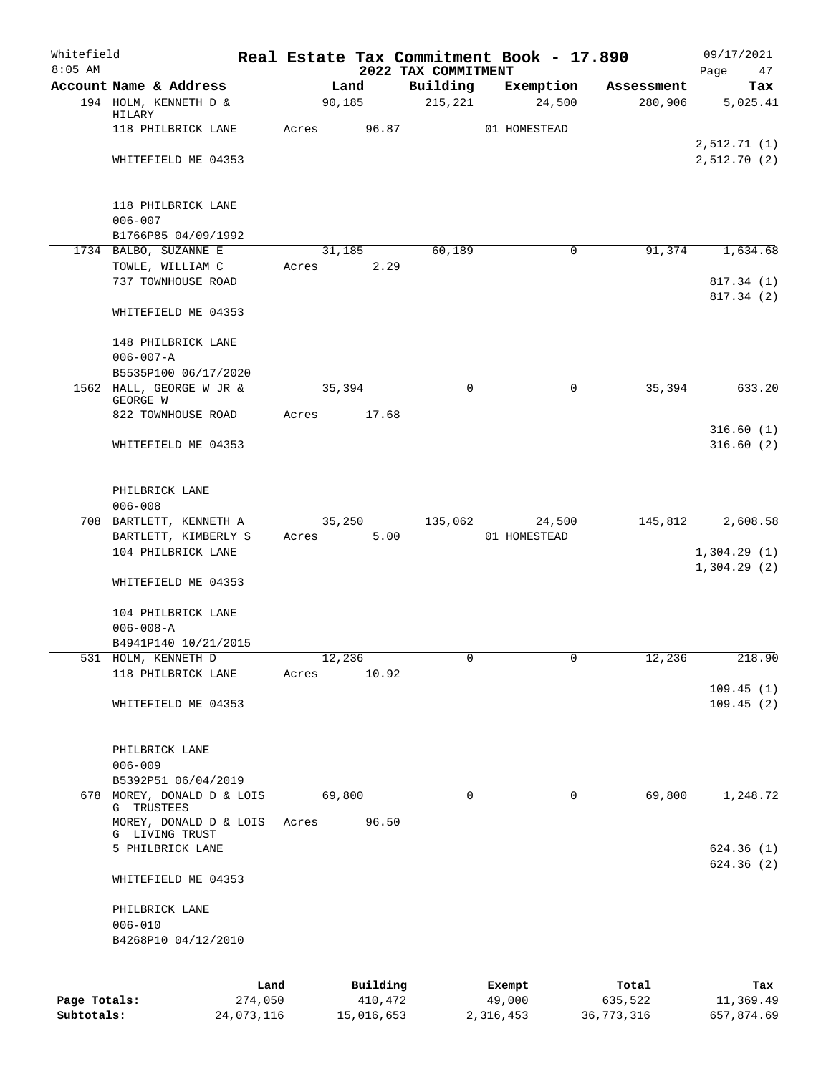| Whitefield<br>$8:05$ AM |                                           |       |                 |                                 | Real Estate Tax Commitment Book - 17.890 |            | 09/17/2021                 |
|-------------------------|-------------------------------------------|-------|-----------------|---------------------------------|------------------------------------------|------------|----------------------------|
|                         | Account Name & Address                    |       | Land            | 2022 TAX COMMITMENT<br>Building | Exemption                                | Assessment | Page<br>47<br>Tax          |
|                         | 194 HOLM, KENNETH D &                     |       | 90, 185         | 215,221                         | 24,500                                   | 280,906    | 5,025.41                   |
|                         | HILARY<br>118 PHILBRICK LANE              | Acres | 96.87           |                                 | 01 HOMESTEAD                             |            |                            |
|                         |                                           |       |                 |                                 |                                          |            | 2,512.71(1)                |
|                         | WHITEFIELD ME 04353                       |       |                 |                                 |                                          |            | 2,512.70 (2)               |
|                         |                                           |       |                 |                                 |                                          |            |                            |
|                         | 118 PHILBRICK LANE<br>$006 - 007$         |       |                 |                                 |                                          |            |                            |
|                         | B1766P85 04/09/1992                       |       |                 |                                 |                                          |            |                            |
|                         | 1734 BALBO, SUZANNE E                     |       | 31,185          | 60,189                          | 0                                        | 91,374     | 1,634.68                   |
|                         | TOWLE, WILLIAM C                          | Acres | 2.29            |                                 |                                          |            |                            |
|                         | 737 TOWNHOUSE ROAD                        |       |                 |                                 |                                          |            | 817.34 (1)                 |
|                         | WHITEFIELD ME 04353                       |       |                 |                                 |                                          |            | 817.34 (2)                 |
|                         | 148 PHILBRICK LANE                        |       |                 |                                 |                                          |            |                            |
|                         | $006 - 007 - A$<br>B5535P100 06/17/2020   |       |                 |                                 |                                          |            |                            |
|                         | 1562 HALL, GEORGE W JR &                  |       | 35,394          | 0                               | 0                                        | 35,394     | 633.20                     |
|                         | GEORGE W                                  |       |                 |                                 |                                          |            |                            |
|                         | 822 TOWNHOUSE ROAD                        | Acres | 17.68           |                                 |                                          |            | 316.60(1)                  |
|                         | WHITEFIELD ME 04353                       |       |                 |                                 |                                          |            | 316.60(2)                  |
|                         | PHILBRICK LANE                            |       |                 |                                 |                                          |            |                            |
|                         | $006 - 008$                               |       |                 |                                 |                                          |            |                            |
|                         | 708 BARTLETT, KENNETH A                   |       | 35,250          | 135,062                         | 24,500                                   | 145,812    | 2,608.58                   |
|                         | BARTLETT, KIMBERLY S                      | Acres | 5.00            |                                 | 01 HOMESTEAD                             |            |                            |
|                         | 104 PHILBRICK LANE                        |       |                 |                                 |                                          |            | 1,304.29(1)<br>1,304.29(2) |
|                         | WHITEFIELD ME 04353                       |       |                 |                                 |                                          |            |                            |
|                         | 104 PHILBRICK LANE                        |       |                 |                                 |                                          |            |                            |
|                         | $006 - 008 - A$                           |       |                 |                                 |                                          |            |                            |
|                         | B4941P140 10/21/2015                      |       |                 |                                 |                                          |            |                            |
|                         | 531 HOLM, KENNETH D<br>118 PHILBRICK LANE | Acres | 12,236<br>10.92 |                                 |                                          | 12,236     | 218.90                     |
|                         |                                           |       |                 |                                 |                                          |            | 109.45(1)                  |
|                         | WHITEFIELD ME 04353                       |       |                 |                                 |                                          |            | 109.45(2)                  |
|                         | PHILBRICK LANE                            |       |                 |                                 |                                          |            |                            |
|                         | $006 - 009$                               |       |                 |                                 |                                          |            |                            |
|                         | B5392P51 06/04/2019                       |       |                 |                                 |                                          |            |                            |
|                         | 678 MOREY, DONALD D & LOIS<br>G TRUSTEES  |       | 69,800          | $\mathbf 0$                     | $\Omega$                                 | 69,800     | 1,248.72                   |
|                         | MOREY, DONALD D & LOIS<br>G LIVING TRUST  | Acres | 96.50           |                                 |                                          |            |                            |
|                         | 5 PHILBRICK LANE                          |       |                 |                                 |                                          |            | 624.36(1)                  |
|                         | WHITEFIELD ME 04353                       |       |                 |                                 |                                          |            | 624.36(2)                  |
|                         | PHILBRICK LANE<br>$006 - 010$             |       |                 |                                 |                                          |            |                            |
|                         | B4268P10 04/12/2010                       |       |                 |                                 |                                          |            |                            |
|                         |                                           |       |                 |                                 |                                          |            |                            |
|                         | Land                                      |       | Building        |                                 | Exempt                                   | Total      | Tax                        |
| Page Totals:            | 274,050                                   |       | 410,472         |                                 | 49,000                                   | 635,522    | 11,369.49                  |

**Subtotals:** 24,073,116 15,016,653 2,316,453 36,773,316 657,874.69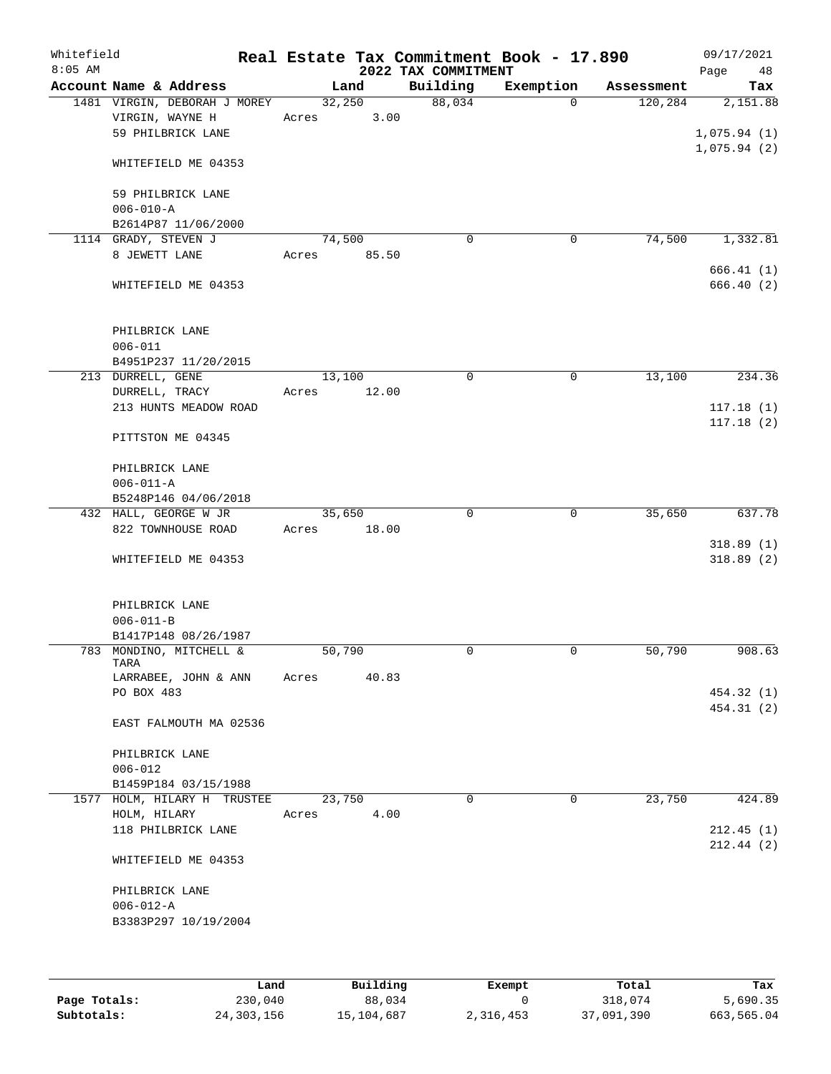| Whitefield<br>$8:05$ AM |                                                                      | Real Estate Tax Commitment Book - 17.890 | 2022 TAX COMMITMENT |             |            | 09/17/2021<br>48<br>Page |
|-------------------------|----------------------------------------------------------------------|------------------------------------------|---------------------|-------------|------------|--------------------------|
|                         | Account Name & Address                                               | Land                                     | Building            | Exemption   | Assessment | Tax                      |
|                         | 1481 VIRGIN, DEBORAH J MOREY<br>VIRGIN, WAYNE H<br>59 PHILBRICK LANE | 32,250<br>3.00<br>Acres                  | 88,034              | $\Omega$    | 120,284    | 2,151.88<br>1,075.94(1)  |
|                         | WHITEFIELD ME 04353                                                  |                                          |                     |             |            | 1,075.94(2)              |
|                         | 59 PHILBRICK LANE<br>$006 - 010 - A$                                 |                                          |                     |             |            |                          |
|                         | B2614P87 11/06/2000                                                  |                                          |                     |             |            |                          |
|                         | 1114 GRADY, STEVEN J<br>8 JEWETT LANE                                | 74,500<br>85.50<br>Acres                 | $\mathbf 0$         | 0           | 74,500     | 1,332.81<br>666.41(1)    |
|                         | WHITEFIELD ME 04353                                                  |                                          |                     |             |            | 666.40(2)                |
|                         | PHILBRICK LANE<br>$006 - 011$<br>B4951P237 11/20/2015                |                                          |                     |             |            |                          |
|                         | 213 DURRELL, GENE                                                    | 13,100                                   | $\mathbf 0$         | $\mathbf 0$ | 13,100     | 234.36                   |
|                         | DURRELL, TRACY<br>213 HUNTS MEADOW ROAD                              | 12.00<br>Acres                           |                     |             |            | 117.18(1)                |
|                         | PITTSTON ME 04345                                                    |                                          |                     |             |            | 117.18(2)                |
|                         | PHILBRICK LANE<br>$006 - 011 - A$                                    |                                          |                     |             |            |                          |
|                         | B5248P146 04/06/2018                                                 |                                          |                     |             |            |                          |
|                         | 432 HALL, GEORGE W JR                                                | 35,650                                   | $\mathbf 0$         | $\mathbf 0$ | 35,650     | 637.78                   |
|                         | 822 TOWNHOUSE ROAD                                                   | 18.00<br>Acres                           |                     |             |            | 318.89(1)                |
|                         | WHITEFIELD ME 04353                                                  |                                          |                     |             |            | 318.89(2)                |
|                         | PHILBRICK LANE<br>$006 - 011 - B$                                    |                                          |                     |             |            |                          |
|                         | B1417P148 08/26/1987                                                 |                                          |                     |             |            |                          |
|                         | 783 MONDINO, MITCHELL &<br>TARA                                      | 50,790                                   | $\mathbf 0$         | $\mathbf 0$ | 50,790     | 908.63                   |
|                         | LARRABEE, JOHN & ANN<br>PO BOX 483                                   | 40.83<br>Acres                           |                     |             |            | 454.32 (1)<br>454.31 (2) |
|                         | EAST FALMOUTH MA 02536                                               |                                          |                     |             |            |                          |
|                         | PHILBRICK LANE                                                       |                                          |                     |             |            |                          |
|                         | $006 - 012$                                                          |                                          |                     |             |            |                          |
|                         | B1459P184 03/15/1988<br>1577 HOLM, HILARY H TRUSTEE                  | 23,750                                   | $\Omega$            | 0           | 23,750     | 424.89                   |
|                         | HOLM, HILARY                                                         | 4.00<br>Acres                            |                     |             |            |                          |
|                         | 118 PHILBRICK LANE                                                   |                                          |                     |             |            | 212.45(1)<br>212.44(2)   |
|                         | WHITEFIELD ME 04353                                                  |                                          |                     |             |            |                          |
|                         | PHILBRICK LANE                                                       |                                          |                     |             |            |                          |
|                         | $006 - 012 - A$<br>B3383P297 10/19/2004                              |                                          |                     |             |            |                          |
|                         |                                                                      |                                          |                     |             |            |                          |

|              | Land       | Building   | Exempt    | Total      | Tax        |
|--------------|------------|------------|-----------|------------|------------|
| Page Totals: | 230,040    | 88,034     |           | 318,074    | 5,690.35   |
| Subtotals:   | 24,303,156 | 15,104,687 | 2,316,453 | 37,091,390 | 663,565.04 |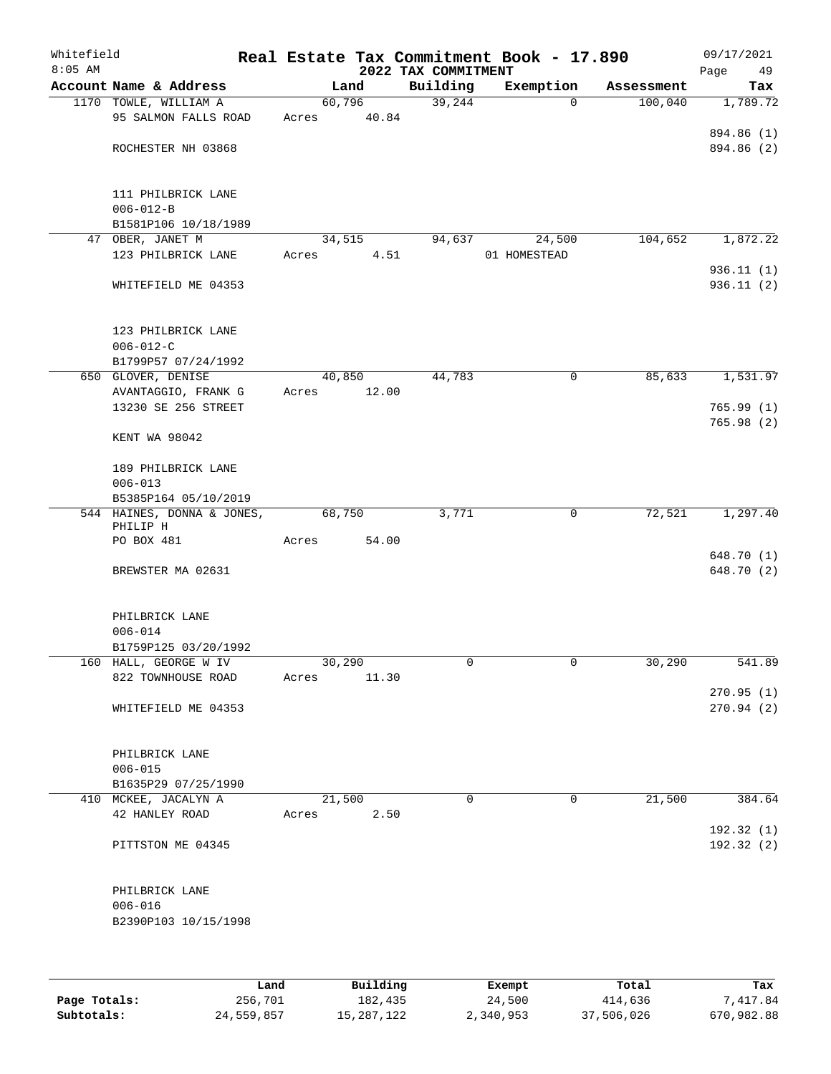| Whitefield<br>$8:05$ AM |                                           |       |                 | 2022 TAX COMMITMENT | Real Estate Tax Commitment Book - 17.890 |            | 09/17/2021        |
|-------------------------|-------------------------------------------|-------|-----------------|---------------------|------------------------------------------|------------|-------------------|
|                         | Account Name & Address                    |       | Land            | Building            | Exemption                                | Assessment | Page<br>49<br>Tax |
|                         | 1170 TOWLE, WILLIAM A                     |       | 60,796          | 39,244              | 0                                        | 100,040    | 1,789.72          |
|                         | 95 SALMON FALLS ROAD                      | Acres | 40.84           |                     |                                          |            |                   |
|                         |                                           |       |                 |                     |                                          |            | 894.86 (1)        |
|                         | ROCHESTER NH 03868                        |       |                 |                     |                                          |            | 894.86 (2)        |
|                         |                                           |       |                 |                     |                                          |            |                   |
|                         |                                           |       |                 |                     |                                          |            |                   |
|                         | 111 PHILBRICK LANE                        |       |                 |                     |                                          |            |                   |
|                         | $006 - 012 - B$                           |       |                 |                     |                                          |            |                   |
|                         | B1581P106 10/18/1989<br>47 OBER, JANET M  |       | 34,515          | 94,637              | 24,500                                   | 104,652    | 1,872.22          |
|                         | 123 PHILBRICK LANE                        | Acres | 4.51            |                     | 01 HOMESTEAD                             |            |                   |
|                         |                                           |       |                 |                     |                                          |            | 936.11(1)         |
|                         | WHITEFIELD ME 04353                       |       |                 |                     |                                          |            | 936.11(2)         |
|                         |                                           |       |                 |                     |                                          |            |                   |
|                         |                                           |       |                 |                     |                                          |            |                   |
|                         | 123 PHILBRICK LANE                        |       |                 |                     |                                          |            |                   |
|                         | $006 - 012 - C$                           |       |                 |                     |                                          |            |                   |
|                         | B1799P57 07/24/1992                       |       |                 |                     |                                          |            |                   |
|                         | 650 GLOVER, DENISE<br>AVANTAGGIO, FRANK G | Acres | 40,850<br>12.00 | 44,783              | 0                                        | 85,633     | 1,531.97          |
|                         | 13230 SE 256 STREET                       |       |                 |                     |                                          |            | 765.99(1)         |
|                         |                                           |       |                 |                     |                                          |            | 765.98(2)         |
|                         | KENT WA 98042                             |       |                 |                     |                                          |            |                   |
|                         |                                           |       |                 |                     |                                          |            |                   |
|                         | 189 PHILBRICK LANE                        |       |                 |                     |                                          |            |                   |
|                         | $006 - 013$                               |       |                 |                     |                                          |            |                   |
|                         | B5385P164 05/10/2019                      |       |                 |                     |                                          |            |                   |
|                         | 544 HAINES, DONNA & JONES,<br>PHILIP H    |       | 68,750          | 3,771               | $\mathbf 0$                              | 72,521     | 1,297.40          |
|                         | PO BOX 481                                | Acres | 54.00           |                     |                                          |            |                   |
|                         |                                           |       |                 |                     |                                          |            | 648.70 (1)        |
|                         | BREWSTER MA 02631                         |       |                 |                     |                                          |            | 648.70 (2)        |
|                         | PHILBRICK LANE                            |       |                 |                     |                                          |            |                   |
|                         | $006 - 014$                               |       |                 |                     |                                          |            |                   |
|                         | B1759P125 03/20/1992                      |       |                 |                     |                                          |            |                   |
|                         | 160 HALL, GEORGE W IV                     |       | 30,290          | 0                   | 0                                        | 30,290     | 541.89            |
|                         | 822 TOWNHOUSE ROAD                        | Acres | 11.30           |                     |                                          |            |                   |
|                         |                                           |       |                 |                     |                                          |            | 270.95(1)         |
|                         | WHITEFIELD ME 04353                       |       |                 |                     |                                          |            | 270.94(2)         |
|                         |                                           |       |                 |                     |                                          |            |                   |
|                         | PHILBRICK LANE<br>$006 - 015$             |       |                 |                     |                                          |            |                   |
|                         | B1635P29 07/25/1990                       |       |                 |                     |                                          |            |                   |
|                         | 410 MCKEE, JACALYN A                      |       | 21,500          | $\Omega$            | $\mathbf 0$                              | 21,500     | 384.64            |
|                         | 42 HANLEY ROAD                            | Acres | 2.50            |                     |                                          |            |                   |
|                         |                                           |       |                 |                     |                                          |            | 192.32 (1)        |
|                         | PITTSTON ME 04345                         |       |                 |                     |                                          |            | 192.32(2)         |
|                         | PHILBRICK LANE                            |       |                 |                     |                                          |            |                   |
|                         | $006 - 016$                               |       |                 |                     |                                          |            |                   |
|                         | B2390P103 10/15/1998                      |       |                 |                     |                                          |            |                   |
|                         |                                           |       |                 |                     |                                          |            |                   |
|                         |                                           |       |                 |                     |                                          |            |                   |
|                         | Land.                                     |       | Building        |                     | $F$ vomnt                                | $T$ ctal   |                   |

|              | Land       | Building   | Exempt    | Total      | Tax        |
|--------------|------------|------------|-----------|------------|------------|
| Page Totals: | 256,701    | 182,435    | 24,500    | 414,636    | 7,417.84   |
| Subtotals:   | 24,559,857 | 15,287,122 | 2,340,953 | 37,506,026 | 670,982.88 |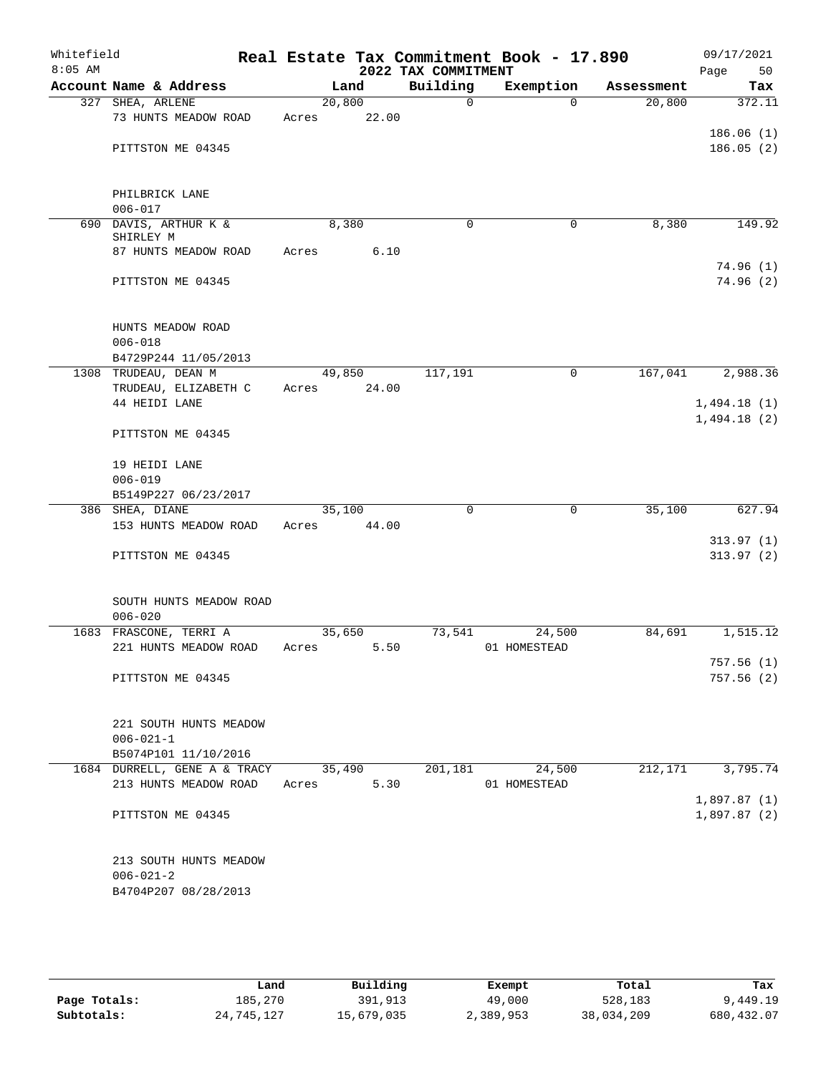| Whitefield<br>$8:05$ AM |                                              |       |                 | 2022 TAX COMMITMENT | Real Estate Tax Commitment Book - 17.890 |            | 09/17/2021<br>50<br>Page |
|-------------------------|----------------------------------------------|-------|-----------------|---------------------|------------------------------------------|------------|--------------------------|
|                         | Account Name & Address                       |       | Land            | Building            | Exemption                                | Assessment | Tax                      |
|                         | 327 SHEA, ARLENE                             |       | 20,800          | $\mathsf{O}$        | $\Omega$                                 | 20,800     | 372.11                   |
|                         | 73 HUNTS MEADOW ROAD                         | Acres | 22.00           |                     |                                          |            |                          |
|                         |                                              |       |                 |                     |                                          |            | 186.06(1)                |
|                         | PITTSTON ME 04345                            |       |                 |                     |                                          |            | 186.05(2)                |
|                         |                                              |       |                 |                     |                                          |            |                          |
|                         | PHILBRICK LANE                               |       |                 |                     |                                          |            |                          |
|                         | $006 - 017$                                  |       |                 |                     |                                          |            |                          |
| 690                     | DAVIS, ARTHUR K &                            |       | 8,380           | $\mathbf 0$         | $\mathbf 0$                              | 8,380      | 149.92                   |
|                         | SHIRLEY M                                    |       |                 |                     |                                          |            |                          |
|                         | 87 HUNTS MEADOW ROAD                         | Acres | 6.10            |                     |                                          |            |                          |
|                         |                                              |       |                 |                     |                                          |            | 74.96(1)                 |
|                         | PITTSTON ME 04345                            |       |                 |                     |                                          |            | 74.96(2)                 |
|                         |                                              |       |                 |                     |                                          |            |                          |
|                         | HUNTS MEADOW ROAD                            |       |                 |                     |                                          |            |                          |
|                         | $006 - 018$                                  |       |                 |                     |                                          |            |                          |
|                         | B4729P244 11/05/2013                         |       |                 |                     | $\mathbf 0$                              |            |                          |
|                         | 1308 TRUDEAU, DEAN M<br>TRUDEAU, ELIZABETH C | Acres | 49,850<br>24.00 | 117,191             |                                          | 167,041    | 2,988.36                 |
|                         | 44 HEIDI LANE                                |       |                 |                     |                                          |            | 1,494.18(1)              |
|                         |                                              |       |                 |                     |                                          |            | 1,494.18(2)              |
|                         | PITTSTON ME 04345                            |       |                 |                     |                                          |            |                          |
|                         | 19 HEIDI LANE                                |       |                 |                     |                                          |            |                          |
|                         | $006 - 019$                                  |       |                 |                     |                                          |            |                          |
|                         | B5149P227 06/23/2017                         |       |                 |                     |                                          |            |                          |
|                         | 386 SHEA, DIANE                              |       | 35,100          | $\Omega$            | $\Omega$                                 | 35,100     | 627.94                   |
|                         | 153 HUNTS MEADOW ROAD                        | Acres | 44.00           |                     |                                          |            |                          |
|                         | PITTSTON ME 04345                            |       |                 |                     |                                          |            | 313.97(1)<br>313.97(2)   |
|                         |                                              |       |                 |                     |                                          |            |                          |
|                         | SOUTH HUNTS MEADOW ROAD                      |       |                 |                     |                                          |            |                          |
|                         | $006 - 020$                                  |       |                 |                     |                                          |            |                          |
|                         | 1683 FRASCONE, TERRI A                       |       | 35,650          | 73,541              | 24,500                                   | 84,691     | 1,515.12                 |
|                         | 221 HUNTS MEADOW ROAD                        | Acres | 5.50            |                     | 01 HOMESTEAD                             |            |                          |
|                         |                                              |       |                 |                     |                                          |            | 757.56 (1)               |
|                         | PITTSTON ME 04345                            |       |                 |                     |                                          |            | 757.56(2)                |
|                         |                                              |       |                 |                     |                                          |            |                          |
|                         |                                              |       |                 |                     |                                          |            |                          |
|                         | 221 SOUTH HUNTS MEADOW                       |       |                 |                     |                                          |            |                          |
|                         | $006 - 021 - 1$<br>B5074P101 11/10/2016      |       |                 |                     |                                          |            |                          |
|                         | 1684 DURRELL, GENE A & TRACY                 |       | 35,490          | 201,181             | 24,500                                   | 212,171    | 3,795.74                 |
|                         | 213 HUNTS MEADOW ROAD                        | Acres | 5.30            |                     | 01 HOMESTEAD                             |            |                          |
|                         |                                              |       |                 |                     |                                          |            | 1,897.87(1)              |
|                         | PITTSTON ME 04345                            |       |                 |                     |                                          |            | 1,897.87(2)              |
|                         |                                              |       |                 |                     |                                          |            |                          |
|                         | 213 SOUTH HUNTS MEADOW                       |       |                 |                     |                                          |            |                          |
|                         | $006 - 021 - 2$                              |       |                 |                     |                                          |            |                          |
|                         | B4704P207 08/28/2013                         |       |                 |                     |                                          |            |                          |
|                         |                                              |       |                 |                     |                                          |            |                          |

|              | Land       | Building   | Exempt    | Total      | Tax         |
|--------------|------------|------------|-----------|------------|-------------|
| Page Totals: | 185,270    | 391,913    | 49,000    | 528,183    | 9,449.19    |
| Subtotals:   | 24,745,127 | 15,679,035 | 2,389,953 | 38,034,209 | 680, 432.07 |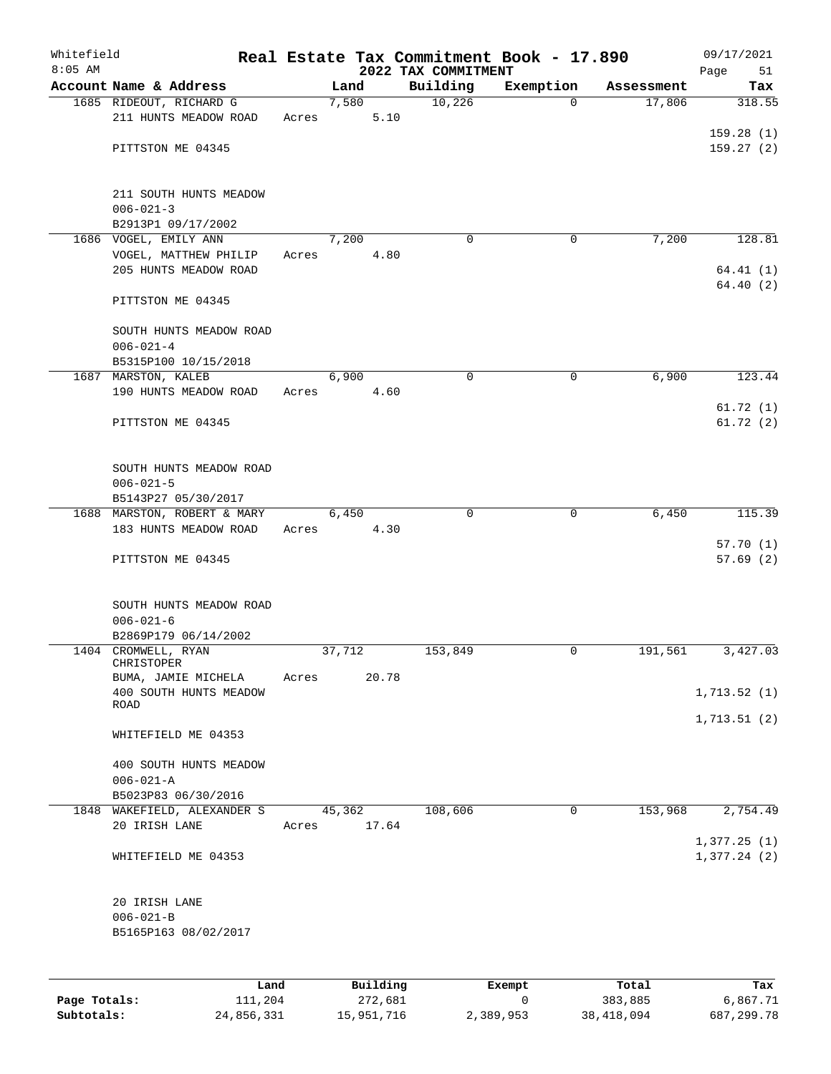| Whitefield<br>$8:05$ AM |                                            |      |       |        |          | 2022 TAX COMMITMENT | Real Estate Tax Commitment Book - 17.890 |            | 09/17/2021<br>Page<br>51 |
|-------------------------|--------------------------------------------|------|-------|--------|----------|---------------------|------------------------------------------|------------|--------------------------|
|                         | Account Name & Address                     |      |       | Land   |          | Building            | Exemption                                | Assessment | Tax                      |
|                         | 1685 RIDEOUT, RICHARD G                    |      |       | 7,580  |          | 10,226              | $\Omega$                                 | 17,806     | 318.55                   |
|                         | 211 HUNTS MEADOW ROAD                      |      | Acres |        | 5.10     |                     |                                          |            |                          |
|                         |                                            |      |       |        |          |                     |                                          |            | 159.28(1)                |
|                         | PITTSTON ME 04345                          |      |       |        |          |                     |                                          |            | 159.27(2)                |
|                         |                                            |      |       |        |          |                     |                                          |            |                          |
|                         | 211 SOUTH HUNTS MEADOW                     |      |       |        |          |                     |                                          |            |                          |
|                         | $006 - 021 - 3$                            |      |       |        |          |                     |                                          |            |                          |
|                         | B2913P1 09/17/2002                         |      |       |        |          |                     |                                          |            |                          |
|                         | 1686 VOGEL, EMILY ANN                      |      |       | 7,200  |          | $\Omega$            | 0                                        | 7,200      | 128.81                   |
|                         | VOGEL, MATTHEW PHILIP                      |      | Acres |        | 4.80     |                     |                                          |            |                          |
|                         | 205 HUNTS MEADOW ROAD                      |      |       |        |          |                     |                                          |            | 64.41(1)                 |
|                         |                                            |      |       |        |          |                     |                                          |            | 64.40(2)                 |
|                         | PITTSTON ME 04345                          |      |       |        |          |                     |                                          |            |                          |
|                         | SOUTH HUNTS MEADOW ROAD                    |      |       |        |          |                     |                                          |            |                          |
|                         | $006 - 021 - 4$                            |      |       |        |          |                     |                                          |            |                          |
|                         | B5315P100 10/15/2018                       |      |       |        |          |                     |                                          |            |                          |
|                         | 1687 MARSTON, KALEB                        |      |       | 6,900  |          | $\mathbf 0$         | $\mathbf 0$                              | 6,900      | 123.44                   |
|                         | 190 HUNTS MEADOW ROAD                      |      | Acres |        | 4.60     |                     |                                          |            |                          |
|                         |                                            |      |       |        |          |                     |                                          |            | 61.72(1)                 |
|                         | PITTSTON ME 04345                          |      |       |        |          |                     |                                          |            | 61.72(2)                 |
|                         |                                            |      |       |        |          |                     |                                          |            |                          |
|                         |                                            |      |       |        |          |                     |                                          |            |                          |
|                         | SOUTH HUNTS MEADOW ROAD<br>$006 - 021 - 5$ |      |       |        |          |                     |                                          |            |                          |
|                         | B5143P27 05/30/2017                        |      |       |        |          |                     |                                          |            |                          |
|                         | 1688 MARSTON, ROBERT & MARY                |      |       | 6,450  |          | 0                   | $\mathbf 0$                              | 6,450      | 115.39                   |
|                         | 183 HUNTS MEADOW ROAD                      |      | Acres |        | 4.30     |                     |                                          |            |                          |
|                         |                                            |      |       |        |          |                     |                                          |            | 57.70(1)                 |
|                         | PITTSTON ME 04345                          |      |       |        |          |                     |                                          |            | 57.69(2)                 |
|                         |                                            |      |       |        |          |                     |                                          |            |                          |
|                         |                                            |      |       |        |          |                     |                                          |            |                          |
|                         | SOUTH HUNTS MEADOW ROAD                    |      |       |        |          |                     |                                          |            |                          |
|                         | $006 - 021 - 6$<br>B2869P179 06/14/2002    |      |       |        |          |                     |                                          |            |                          |
|                         | 1404 CROMWELL, RYAN                        |      |       | 37,712 |          | 153,849             | 0                                        | 191,561    | 3,427.03                 |
|                         | CHRISTOPER                                 |      |       |        |          |                     |                                          |            |                          |
|                         | BUMA, JAMIE MICHELA                        |      | Acres |        | 20.78    |                     |                                          |            |                          |
|                         | 400 SOUTH HUNTS MEADOW                     |      |       |        |          |                     |                                          |            | 1,713.52(1)              |
|                         | ROAD                                       |      |       |        |          |                     |                                          |            |                          |
|                         | WHITEFIELD ME 04353                        |      |       |        |          |                     |                                          |            | 1,713.51(2)              |
|                         |                                            |      |       |        |          |                     |                                          |            |                          |
|                         | 400 SOUTH HUNTS MEADOW                     |      |       |        |          |                     |                                          |            |                          |
|                         | $006 - 021 - A$                            |      |       |        |          |                     |                                          |            |                          |
|                         | B5023P83 06/30/2016                        |      |       |        |          |                     |                                          |            |                          |
|                         | 1848 WAKEFIELD, ALEXANDER S                |      |       | 45,362 |          | 108,606             | 0                                        | 153,968    | 2,754.49                 |
|                         | 20 IRISH LANE                              |      | Acres |        | 17.64    |                     |                                          |            |                          |
|                         |                                            |      |       |        |          |                     |                                          |            | 1,377.25(1)              |
|                         | WHITEFIELD ME 04353                        |      |       |        |          |                     |                                          |            | 1,377.24(2)              |
|                         |                                            |      |       |        |          |                     |                                          |            |                          |
|                         | 20 IRISH LANE                              |      |       |        |          |                     |                                          |            |                          |
|                         | $006 - 021 - B$                            |      |       |        |          |                     |                                          |            |                          |
|                         | B5165P163 08/02/2017                       |      |       |        |          |                     |                                          |            |                          |
|                         |                                            |      |       |        |          |                     |                                          |            |                          |
|                         |                                            |      |       |        |          |                     |                                          |            |                          |
|                         |                                            | Land |       |        | Building |                     | Exempt                                   | Total      | Tax                      |
| Page Totals:            | 111,204                                    |      |       |        | 272,681  |                     | 0                                        | 383,885    | 6,867.71                 |

**Subtotals:** 24,856,331 15,951,716 2,389,953 38,418,094 687,299.78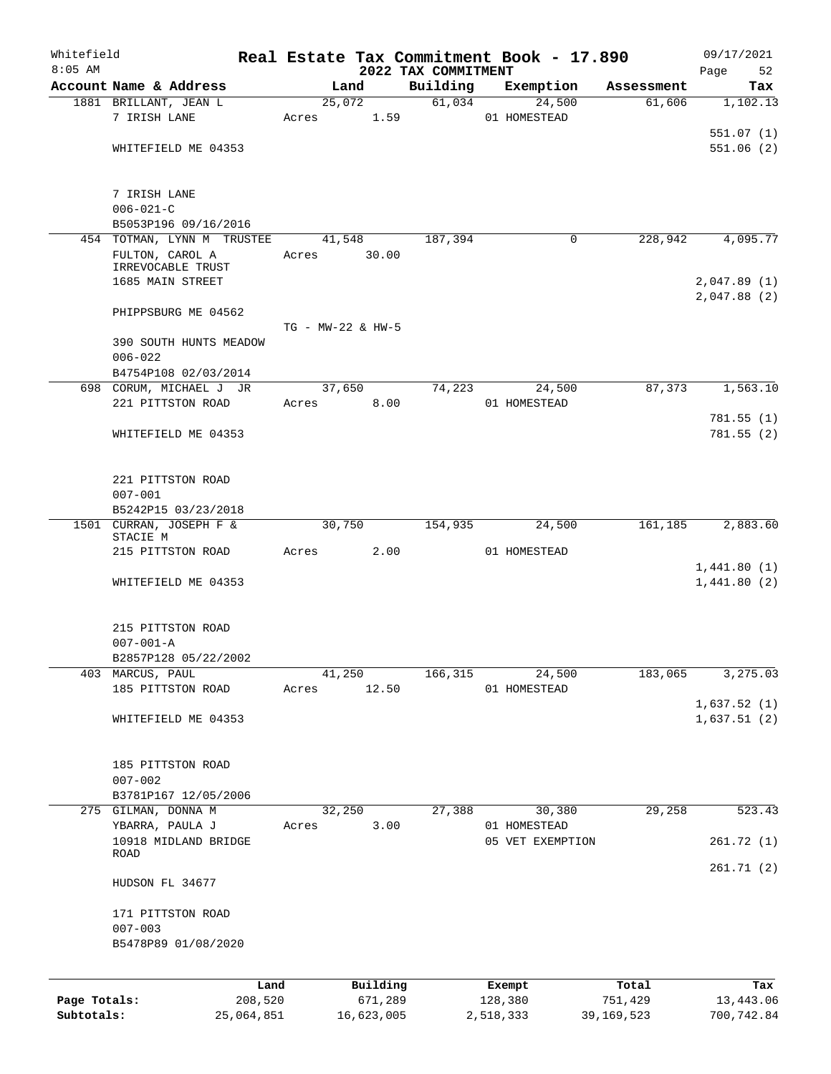| Whitefield<br>$8:05$ AM |                                       |       |                   |                                 | Real Estate Tax Commitment Book - 17.890 |              | 09/17/2021        |
|-------------------------|---------------------------------------|-------|-------------------|---------------------------------|------------------------------------------|--------------|-------------------|
|                         | Account Name & Address                |       | Land              | 2022 TAX COMMITMENT<br>Building | Exemption                                | Assessment   | Page<br>52<br>Tax |
|                         |                                       |       | 25,072            | 61,034                          | 24,500                                   | 61,606       | 1,102.13          |
|                         | 1881 BRILLANT, JEAN L<br>7 IRISH LANE |       |                   |                                 |                                          |              |                   |
|                         |                                       | Acres | 1.59              |                                 | 01 HOMESTEAD                             |              |                   |
|                         |                                       |       |                   |                                 |                                          |              | 551.07(1)         |
|                         | WHITEFIELD ME 04353                   |       |                   |                                 |                                          |              | 551.06(2)         |
|                         | 7 IRISH LANE                          |       |                   |                                 |                                          |              |                   |
|                         | $006 - 021 - C$                       |       |                   |                                 |                                          |              |                   |
|                         | B5053P196 09/16/2016                  |       |                   |                                 |                                          |              |                   |
|                         | 454 TOTMAN, LYNN M TRUSTEE            |       | 41,548            | 187,394                         | 0                                        | 228,942      | 4,095.77          |
|                         | FULTON, CAROL A<br>IRREVOCABLE TRUST  | Acres | 30.00             |                                 |                                          |              |                   |
|                         | 1685 MAIN STREET                      |       |                   |                                 |                                          |              | 2,047.89(1)       |
|                         |                                       |       |                   |                                 |                                          |              | 2,047.88 (2)      |
|                         | PHIPPSBURG ME 04562                   |       |                   |                                 |                                          |              |                   |
|                         |                                       |       | TG - MW-22 & HW-5 |                                 |                                          |              |                   |
|                         | 390 SOUTH HUNTS MEADOW                |       |                   |                                 |                                          |              |                   |
|                         | $006 - 022$                           |       |                   |                                 |                                          |              |                   |
|                         | B4754P108 02/03/2014                  |       |                   |                                 |                                          |              |                   |
|                         | 698 CORUM, MICHAEL J JR               |       | 37,650            | 74,223                          | 24,500                                   | 87,373       | 1,563.10          |
|                         | 221 PITTSTON ROAD                     | Acres | 8.00              |                                 | 01 HOMESTEAD                             |              |                   |
|                         |                                       |       |                   |                                 |                                          |              | 781.55(1)         |
|                         | WHITEFIELD ME 04353                   |       |                   |                                 |                                          |              | 781.55(2)         |
|                         |                                       |       |                   |                                 |                                          |              |                   |
|                         |                                       |       |                   |                                 |                                          |              |                   |
|                         | 221 PITTSTON ROAD                     |       |                   |                                 |                                          |              |                   |
|                         | $007 - 001$                           |       |                   |                                 |                                          |              |                   |
|                         | B5242P15 03/23/2018                   |       |                   |                                 |                                          |              |                   |
|                         | 1501 CURRAN, JOSEPH F &               |       | 30,750            | 154,935                         | 24,500                                   | 161,185      | 2,883.60          |
|                         | STACIE M                              |       |                   |                                 |                                          |              |                   |
|                         | 215 PITTSTON ROAD                     | Acres | 2.00              |                                 | 01 HOMESTEAD                             |              |                   |
|                         |                                       |       |                   |                                 |                                          |              | 1,441.80(1)       |
|                         | WHITEFIELD ME 04353                   |       |                   |                                 |                                          |              | 1,441.80(2)       |
|                         | 215 PITTSTON ROAD                     |       |                   |                                 |                                          |              |                   |
|                         | $007 - 001 - A$                       |       |                   |                                 |                                          |              |                   |
|                         | B2857P128 05/22/2002                  |       |                   |                                 |                                          |              |                   |
| 403                     | MARCUS, PAUL                          |       | 41,250            | 166,315                         | 24,500                                   | 183,065      | 3,275.03          |
|                         | 185 PITTSTON ROAD                     | Acres | 12.50             |                                 | 01 HOMESTEAD                             |              |                   |
|                         |                                       |       |                   |                                 |                                          |              | 1,637.52(1)       |
|                         | WHITEFIELD ME 04353                   |       |                   |                                 |                                          |              | 1,637.51(2)       |
|                         |                                       |       |                   |                                 |                                          |              |                   |
|                         |                                       |       |                   |                                 |                                          |              |                   |
|                         | 185 PITTSTON ROAD                     |       |                   |                                 |                                          |              |                   |
|                         | $007 - 002$                           |       |                   |                                 |                                          |              |                   |
|                         | B3781P167 12/05/2006                  |       |                   |                                 |                                          |              |                   |
|                         | 275 GILMAN, DONNA M                   |       | 32,250            | 27,388                          | 30,380                                   | 29,258       | 523.43            |
|                         | YBARRA, PAULA J                       | Acres | 3.00              |                                 | 01 HOMESTEAD                             |              |                   |
|                         | 10918 MIDLAND BRIDGE                  |       |                   |                                 | 05 VET EXEMPTION                         |              | 261.72(1)         |
|                         | ROAD                                  |       |                   |                                 |                                          |              |                   |
|                         | HUDSON FL 34677                       |       |                   |                                 |                                          |              | 261.71(2)         |
|                         |                                       |       |                   |                                 |                                          |              |                   |
|                         | 171 PITTSTON ROAD                     |       |                   |                                 |                                          |              |                   |
|                         | $007 - 003$                           |       |                   |                                 |                                          |              |                   |
|                         | B5478P89 01/08/2020                   |       |                   |                                 |                                          |              |                   |
|                         |                                       |       |                   |                                 |                                          |              |                   |
|                         | Land                                  |       | Building          |                                 | Exempt                                   | Total        | Tax               |
| Page Totals:            | 208,520                               |       | 671,289           |                                 | 128,380                                  | 751,429      | 13,443.06         |
| Subtotals:              | 25,064,851                            |       | 16,623,005        |                                 | 2,518,333                                | 39, 169, 523 | 700,742.84        |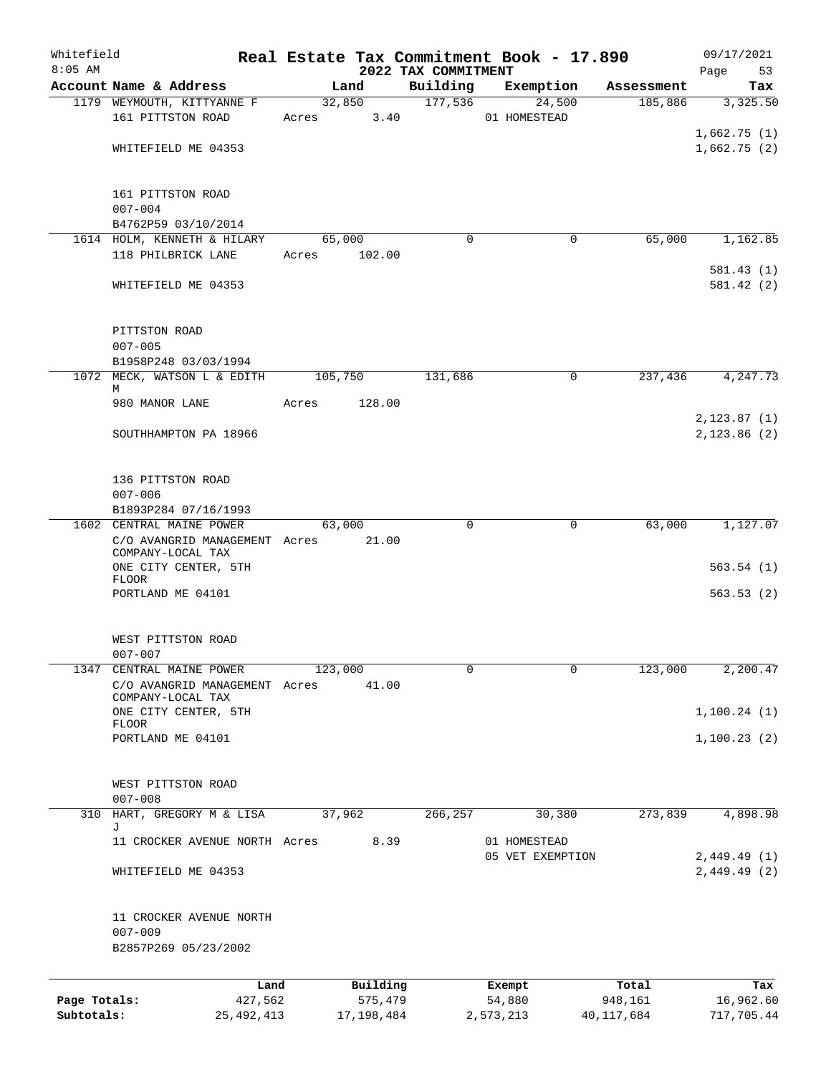| Whitefield<br>$8:05$ AM |                                                   |       |                  | 2022 TAX COMMITMENT | Real Estate Tax Commitment Book - 17.890 |            | 09/17/2021<br>Page<br>53 |
|-------------------------|---------------------------------------------------|-------|------------------|---------------------|------------------------------------------|------------|--------------------------|
|                         | Account Name & Address                            |       | Land             | Building            | Exemption                                | Assessment | Tax                      |
|                         | 1179 WEYMOUTH, KITTYANNE F                        |       | 32,850           | 177,536             | 24,500                                   | 185,886    | 3,325.50                 |
|                         | 161 PITTSTON ROAD                                 | Acres | 3.40             |                     | 01 HOMESTEAD                             |            |                          |
|                         |                                                   |       |                  |                     |                                          |            | 1,662.75(1)              |
|                         | WHITEFIELD ME 04353                               |       |                  |                     |                                          |            | 1,662.75(2)              |
|                         |                                                   |       |                  |                     |                                          |            |                          |
|                         |                                                   |       |                  |                     |                                          |            |                          |
|                         | 161 PITTSTON ROAD                                 |       |                  |                     |                                          |            |                          |
|                         | $007 - 004$                                       |       |                  |                     |                                          |            |                          |
|                         | B4762P59 03/10/2014                               |       |                  |                     |                                          |            |                          |
|                         | 1614 HOLM, KENNETH & HILARY<br>118 PHILBRICK LANE | Acres | 65,000<br>102.00 | $\Omega$            | $\mathbf 0$                              | 65,000     | 1,162.85                 |
|                         |                                                   |       |                  |                     |                                          |            | 581.43(1)                |
|                         | WHITEFIELD ME 04353                               |       |                  |                     |                                          |            | 581.42(2)                |
|                         |                                                   |       |                  |                     |                                          |            |                          |
|                         |                                                   |       |                  |                     |                                          |            |                          |
|                         | PITTSTON ROAD                                     |       |                  |                     |                                          |            |                          |
|                         | $007 - 005$                                       |       |                  |                     |                                          |            |                          |
|                         | B1958P248 03/03/1994                              |       |                  |                     |                                          |            |                          |
|                         | 1072 MECK, WATSON L & EDITH                       |       | 105,750          | 131,686             | 0                                        | 237,436    | 4,247.73                 |
|                         | М                                                 |       |                  |                     |                                          |            |                          |
|                         | 980 MANOR LANE                                    | Acres | 128.00           |                     |                                          |            |                          |
|                         |                                                   |       |                  |                     |                                          |            | 2, 123.87(1)             |
|                         | SOUTHHAMPTON PA 18966                             |       |                  |                     |                                          |            | 2,123.86(2)              |
|                         |                                                   |       |                  |                     |                                          |            |                          |
|                         | 136 PITTSTON ROAD                                 |       |                  |                     |                                          |            |                          |
|                         | $007 - 006$                                       |       |                  |                     |                                          |            |                          |
|                         | B1893P284 07/16/1993                              |       |                  |                     |                                          |            |                          |
|                         | 1602 CENTRAL MAINE POWER                          |       | 63,000           | $\Omega$            | $\mathbf 0$                              | 63,000     | 1,127.07                 |
|                         | C/O AVANGRID MANAGEMENT Acres                     |       | 21.00            |                     |                                          |            |                          |
|                         | COMPANY-LOCAL TAX                                 |       |                  |                     |                                          |            |                          |
|                         | ONE CITY CENTER, 5TH                              |       |                  |                     |                                          |            | 563.54(1)                |
|                         | <b>FLOOR</b>                                      |       |                  |                     |                                          |            |                          |
|                         | PORTLAND ME 04101                                 |       |                  |                     |                                          |            | 563.53(2)                |
|                         |                                                   |       |                  |                     |                                          |            |                          |
|                         | WEST PITTSTON ROAD                                |       |                  |                     |                                          |            |                          |
|                         | $007 - 007$                                       |       |                  |                     |                                          |            |                          |
| 1347                    | CENTRAL MAINE POWER                               |       | 123,000          | 0                   | $\mathbf 0$                              | 123,000    | 2,200.47                 |
|                         | C/O AVANGRID MANAGEMENT Acres                     |       | 41.00            |                     |                                          |            |                          |
|                         | COMPANY-LOCAL TAX                                 |       |                  |                     |                                          |            |                          |
|                         | ONE CITY CENTER, 5TH<br><b>FLOOR</b>              |       |                  |                     |                                          |            | 1,100.24(1)              |
|                         | PORTLAND ME 04101                                 |       |                  |                     |                                          |            | 1,100.23(2)              |
|                         |                                                   |       |                  |                     |                                          |            |                          |
|                         |                                                   |       |                  |                     |                                          |            |                          |
|                         | WEST PITTSTON ROAD                                |       |                  |                     |                                          |            |                          |
|                         | $007 - 008$                                       |       |                  |                     |                                          |            |                          |
| 310                     | HART, GREGORY M & LISA                            |       | 37,962           | 266,257             | 30,380                                   | 273,839    | 4,898.98                 |
|                         | J<br>11 CROCKER AVENUE NORTH Acres                |       | 8.39             |                     | 01 HOMESTEAD                             |            |                          |
|                         |                                                   |       |                  |                     | 05 VET EXEMPTION                         |            | 2,449.49(1)              |
|                         | WHITEFIELD ME 04353                               |       |                  |                     |                                          |            | 2,449.49(2)              |
|                         |                                                   |       |                  |                     |                                          |            |                          |
|                         |                                                   |       |                  |                     |                                          |            |                          |
|                         | 11 CROCKER AVENUE NORTH                           |       |                  |                     |                                          |            |                          |
|                         | $007 - 009$                                       |       |                  |                     |                                          |            |                          |
|                         | B2857P269 05/23/2002                              |       |                  |                     |                                          |            |                          |
|                         |                                                   |       |                  |                     |                                          |            |                          |
|                         | Land                                              |       | Building         |                     | Exempt                                   | Total      | Tax                      |
| Page Totals:            | 427,562                                           |       | 575,479          |                     | 54,880                                   | 948,161    | 16,962.60                |
| Subtotals:              | 25, 492, 413                                      |       | 17,198,484       |                     | 2,573,213                                | 40,117,684 | 717,705.44               |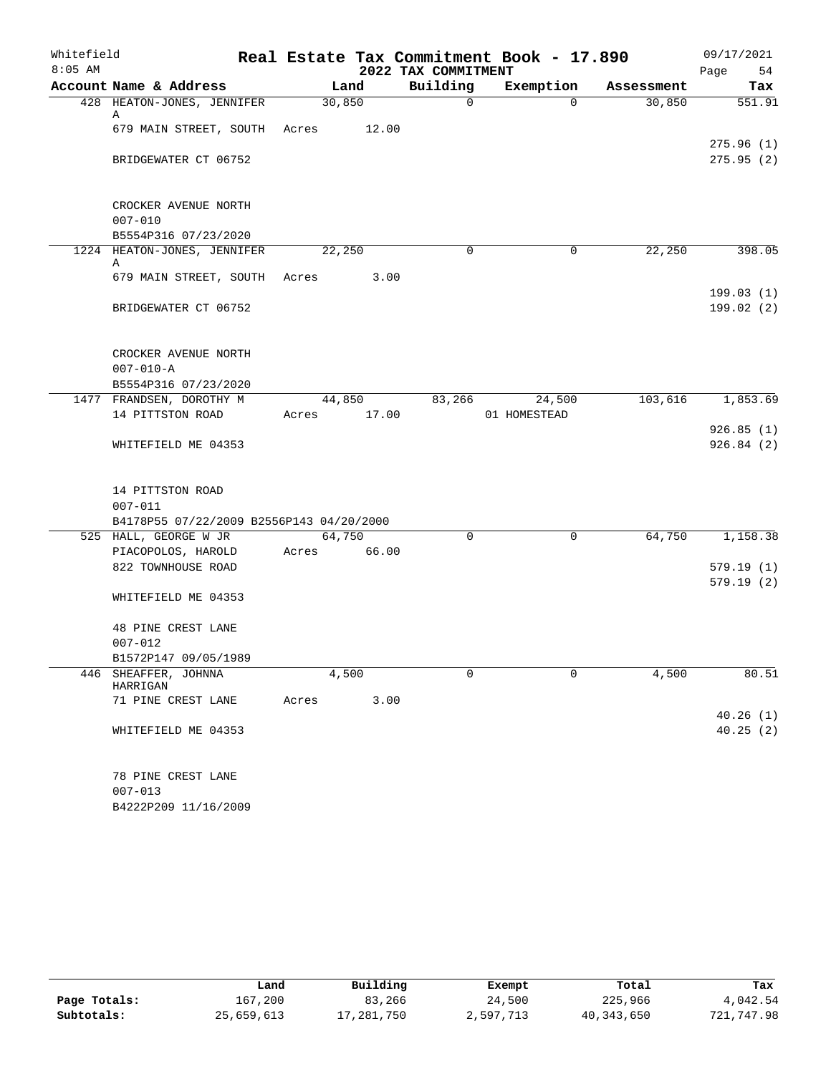| Whitefield |                                          | Real Estate Tax Commitment Book - 17.890 | 09/17/2021 |             |              |            |                        |
|------------|------------------------------------------|------------------------------------------|------------|-------------|--------------|------------|------------------------|
| $8:05$ AM  |                                          |                                          | Page<br>54 |             |              |            |                        |
|            | Account Name & Address                   |                                          | Land       | Building    | Exemption    | Assessment | Tax                    |
|            | 428 HEATON-JONES, JENNIFER<br>А          | 30,850                                   |            | $\mathbf 0$ | $\Omega$     | 30,850     | 551.91                 |
|            | 679 MAIN STREET, SOUTH Acres 12.00       |                                          |            |             |              |            |                        |
|            | BRIDGEWATER CT 06752                     |                                          |            |             |              |            | 275.96(1)<br>275.95(2) |
|            |                                          |                                          |            |             |              |            |                        |
|            | CROCKER AVENUE NORTH<br>$007 - 010$      |                                          |            |             |              |            |                        |
|            | B5554P316 07/23/2020                     |                                          |            |             |              |            |                        |
|            | 1224 HEATON-JONES, JENNIFER<br>Α         | 22,250                                   |            | $\Omega$    | 0            | 22,250     | 398.05                 |
|            | 679 MAIN STREET, SOUTH Acres             |                                          | 3.00       |             |              |            |                        |
|            |                                          |                                          |            |             |              |            | 199.03(1)              |
|            | BRIDGEWATER CT 06752                     |                                          |            |             |              |            | 199.02(2)              |
|            | CROCKER AVENUE NORTH                     |                                          |            |             |              |            |                        |
|            | $007 - 010 - A$                          |                                          |            |             |              |            |                        |
|            | B5554P316 07/23/2020                     |                                          |            |             |              |            |                        |
|            | 1477 FRANDSEN, DOROTHY M                 |                                          | 44,850     | 83,266      | 24,500       | 103,616    | 1,853.69               |
|            | 14 PITTSTON ROAD                         | Acres                                    | 17.00      |             | 01 HOMESTEAD |            |                        |
|            |                                          |                                          |            |             |              |            | 926.85(1)              |
|            | WHITEFIELD ME 04353                      |                                          |            |             |              |            | 926.84(2)              |
|            | 14 PITTSTON ROAD                         |                                          |            |             |              |            |                        |
|            | $007 - 011$                              |                                          |            |             |              |            |                        |
|            | B4178P55 07/22/2009 B2556P143 04/20/2000 |                                          |            |             |              |            |                        |
|            | 525 HALL, GEORGE W JR                    | 64,750                                   |            | $\Omega$    | $\mathbf 0$  | 64,750     | 1,158.38               |
|            | PIACOPOLOS, HAROLD                       | Acres 66.00                              |            |             |              |            |                        |
|            | 822 TOWNHOUSE ROAD                       |                                          |            |             |              |            | 579.19(1)              |
|            | WHITEFIELD ME 04353                      |                                          |            |             |              |            | 579.19(2)              |
|            | 48 PINE CREST LANE                       |                                          |            |             |              |            |                        |
|            | $007 - 012$                              |                                          |            |             |              |            |                        |
|            | B1572P147 09/05/1989                     |                                          |            |             |              |            |                        |
|            | 446 SHEAFFER, JOHNNA<br>HARRIGAN         |                                          | 4,500      | 0           | 0            | 4,500      | 80.51                  |
|            | 71 PINE CREST LANE                       | Acres                                    | 3.00       |             |              |            |                        |
|            | WHITEFIELD ME 04353                      |                                          |            |             |              |            | 40.26(1)<br>40.25(2)   |
|            | 78 PINE CREST LANE                       |                                          |            |             |              |            |                        |
|            | $007 - 013$                              |                                          |            |             |              |            |                        |
|            | B4222P209 11/16/2009                     |                                          |            |             |              |            |                        |

|              | Land       | Building | Exempt    | Total      | Tax        |
|--------------|------------|----------|-----------|------------|------------|
| Page Totals: | 167,200    | 83,266   | 24,500    | 225,966    | 4,042.54   |
| Subtotals:   | 25,659,613 | ,281,750 | 2,597,713 | 40,343,650 | 721,747.98 |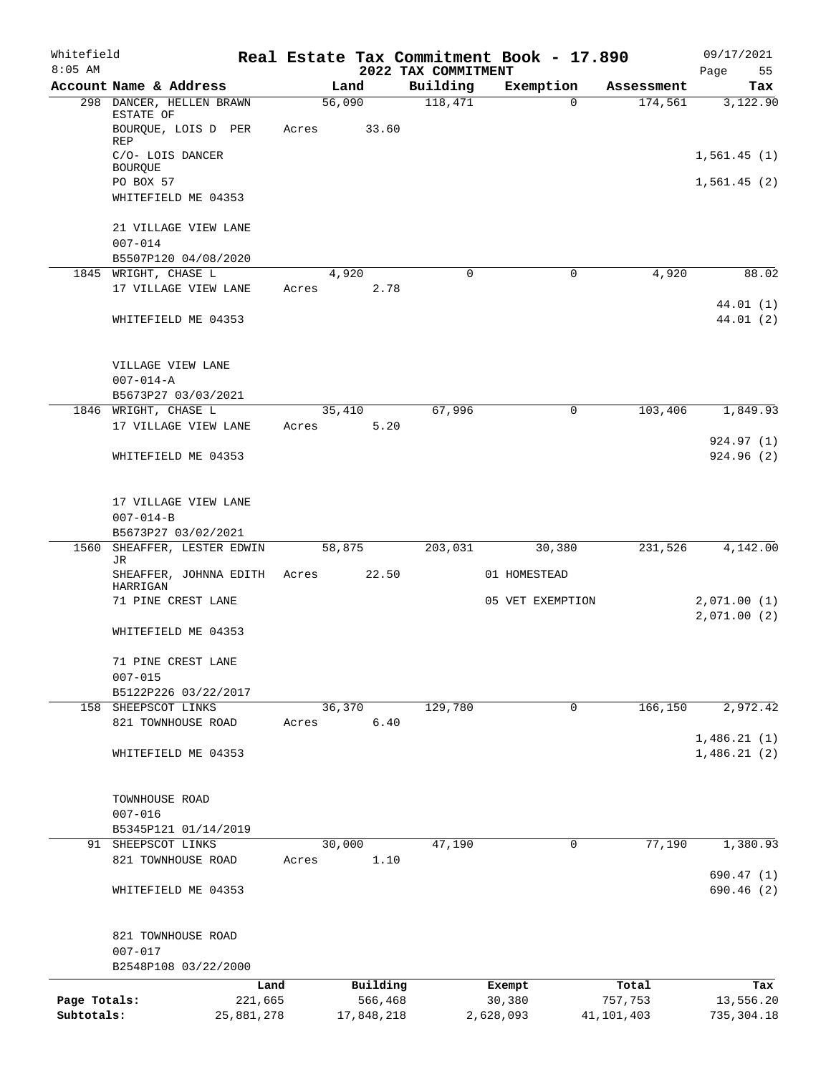| Whitefield<br>$8:05$ AM |                                              |       |               | 2022 TAX COMMITMENT | Real Estate Tax Commitment Book - 17.890 |              | 09/17/2021<br>55<br>Page |
|-------------------------|----------------------------------------------|-------|---------------|---------------------|------------------------------------------|--------------|--------------------------|
|                         | Account Name & Address                       |       | Land          | Building            | Exemption                                | Assessment   | Tax                      |
|                         | 298 DANCER, HELLEN BRAWN<br>ESTATE OF        |       | 56,090        | 118,471             | $\Omega$                                 | 174,561      | 3,122.90                 |
|                         | BOURQUE, LOIS D PER<br><b>REP</b>            | Acres | 33.60         |                     |                                          |              |                          |
|                         | C/O- LOIS DANCER<br>BOURQUE                  |       |               |                     |                                          |              | 1,561.45(1)              |
|                         | PO BOX 57<br>WHITEFIELD ME 04353             |       |               |                     |                                          |              | 1,561.45(2)              |
|                         | 21 VILLAGE VIEW LANE<br>$007 - 014$          |       |               |                     |                                          |              |                          |
|                         | B5507P120 04/08/2020                         |       |               |                     |                                          |              |                          |
|                         | 1845 WRIGHT, CHASE L<br>17 VILLAGE VIEW LANE | Acres | 4,920<br>2.78 | 0                   | $\mathbf 0$                              | 4,920        | 88.02                    |
|                         | WHITEFIELD ME 04353                          |       |               |                     |                                          |              | 44.01 (1)<br>44.01 (2)   |
|                         | VILLAGE VIEW LANE<br>$007 - 014 - A$         |       |               |                     |                                          |              |                          |
|                         | B5673P27 03/03/2021                          |       |               |                     |                                          |              |                          |
|                         | 1846 WRIGHT, CHASE L                         |       | 35,410        | 67,996              | 0                                        | 103,406      | 1,849.93                 |
|                         | 17 VILLAGE VIEW LANE                         | Acres | 5.20          |                     |                                          |              | 924.97(1)                |
|                         | WHITEFIELD ME 04353                          |       |               |                     |                                          |              | 924.96(2)                |
|                         |                                              |       |               |                     |                                          |              |                          |
|                         | 17 VILLAGE VIEW LANE<br>$007 - 014 - B$      |       |               |                     |                                          |              |                          |
|                         | B5673P27 03/02/2021                          |       |               |                     |                                          |              |                          |
| 1560                    | SHEAFFER, LESTER EDWIN                       |       | 58,875        | 203,031             | 30,380                                   | 231,526      | 4,142.00                 |
|                         | JR<br>SHEAFFER, JOHNNA EDITH<br>HARRIGAN     | Acres | 22.50         |                     | 01 HOMESTEAD                             |              |                          |
|                         | 71 PINE CREST LANE                           |       |               |                     | 05 VET EXEMPTION                         |              | 2,071.00(1)              |
|                         | WHITEFIELD ME 04353                          |       |               |                     |                                          |              | 2,071.00(2)              |
|                         | 71 PINE CREST LANE<br>$007 - 015$            |       |               |                     |                                          |              |                          |
|                         | B5122P226 03/22/2017                         |       |               |                     |                                          |              |                          |
|                         | 158 SHEEPSCOT LINKS                          |       | 36,370        | 129,780             | 0                                        | 166,150      | 2,972.42                 |
|                         | 821 TOWNHOUSE ROAD                           | Acres | 6.40          |                     |                                          |              | 1,486.21(1)              |
|                         | WHITEFIELD ME 04353                          |       |               |                     |                                          |              | 1,486.21(2)              |
|                         | TOWNHOUSE ROAD                               |       |               |                     |                                          |              |                          |
|                         | $007 - 016$                                  |       |               |                     |                                          |              |                          |
|                         | B5345P121 01/14/2019<br>91 SHEEPSCOT LINKS   |       | 30,000        | 47,190              | 0                                        | 77,190       | 1,380.93                 |
|                         | 821 TOWNHOUSE ROAD                           | Acres | 1.10          |                     |                                          |              |                          |
|                         | WHITEFIELD ME 04353                          |       |               |                     |                                          |              | 690.47 (1)<br>690.46 (2) |
|                         |                                              |       |               |                     |                                          |              |                          |
|                         | 821 TOWNHOUSE ROAD<br>$007 - 017$            |       |               |                     |                                          |              |                          |
|                         | B2548P108 03/22/2000                         |       |               |                     |                                          |              |                          |
|                         | Land                                         |       | Building      |                     | Exempt                                   | Total        | Tax                      |
| Page Totals:            | 221,665                                      |       | 566,468       |                     | 30,380                                   | 757,753      | 13,556.20                |
| Subtotals:              | 25,881,278                                   |       | 17,848,218    |                     | 2,628,093                                | 41, 101, 403 | 735, 304.18              |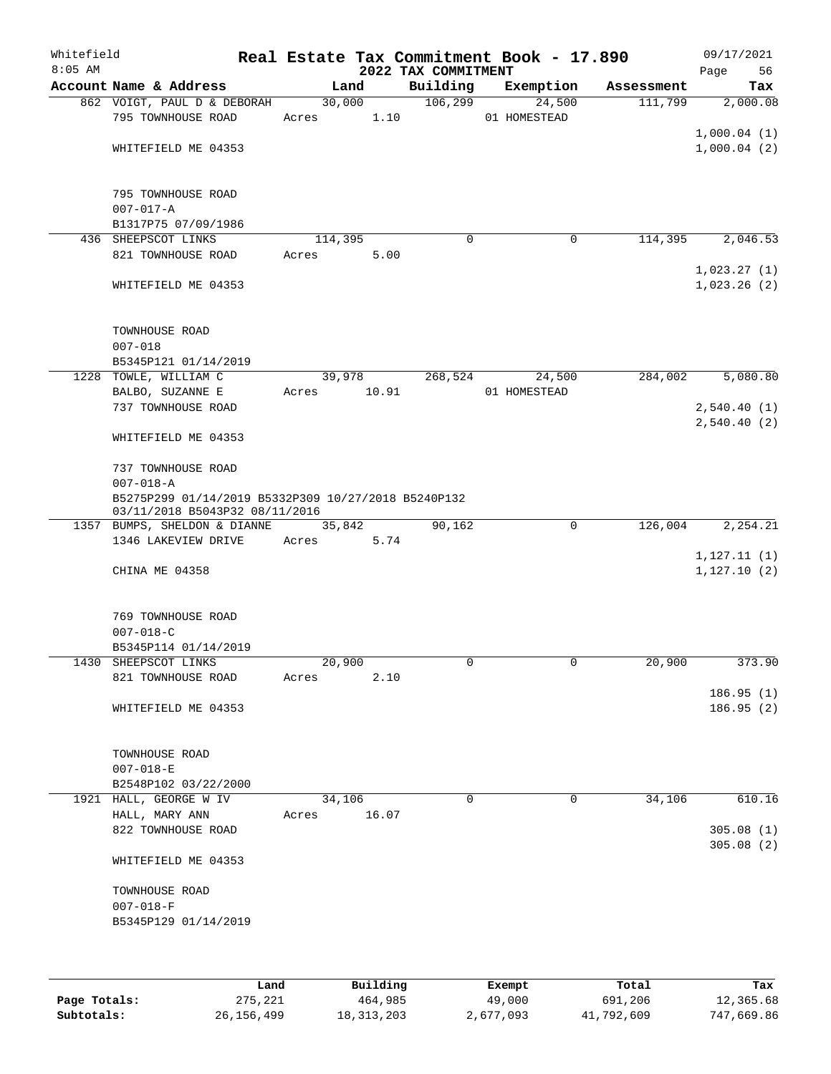| Whitefield<br>$8:05$ AM |                                                                                       |       |                | 2022 TAX COMMITMENT | Real Estate Tax Commitment Book - 17.890 |            | 09/17/2021<br>56<br>Page    |
|-------------------------|---------------------------------------------------------------------------------------|-------|----------------|---------------------|------------------------------------------|------------|-----------------------------|
|                         | Account Name & Address                                                                |       | Land           | Building            | Exemption                                | Assessment | Tax                         |
|                         | 862 VOIGT, PAUL D & DEBORAH<br>795 TOWNHOUSE ROAD                                     | Acres | 30,000<br>1.10 | 106, 299            | 24,500<br>01 HOMESTEAD                   | 111,799    | 2,000.08                    |
|                         | WHITEFIELD ME 04353                                                                   |       |                |                     |                                          |            | 1,000.04(1)<br>1,000.04(2)  |
|                         | 795 TOWNHOUSE ROAD<br>$007 - 017 - A$                                                 |       |                |                     |                                          |            |                             |
|                         | B1317P75 07/09/1986                                                                   |       |                |                     |                                          |            |                             |
|                         | 436 SHEEPSCOT LINKS                                                                   |       | 114,395        | 0                   | 0                                        | 114,395    | 2,046.53                    |
|                         | 821 TOWNHOUSE ROAD                                                                    | Acres | 5.00           |                     |                                          |            |                             |
|                         | WHITEFIELD ME 04353                                                                   |       |                |                     |                                          |            | 1,023.27(1)<br>1,023.26(2)  |
|                         | TOWNHOUSE ROAD<br>$007 - 018$                                                         |       |                |                     |                                          |            |                             |
|                         | B5345P121 01/14/2019                                                                  |       |                |                     |                                          |            |                             |
|                         | 1228 TOWLE, WILLIAM C                                                                 |       | 39,978         | 268,524             | 24,500                                   | 284,002    | 5,080.80                    |
|                         | BALBO, SUZANNE E                                                                      | Acres | 10.91          |                     | 01 HOMESTEAD                             |            |                             |
|                         | 737 TOWNHOUSE ROAD                                                                    |       |                |                     |                                          |            | 2,540.40(1)                 |
|                         | WHITEFIELD ME 04353                                                                   |       |                |                     |                                          |            | 2,540.40(2)                 |
|                         | 737 TOWNHOUSE ROAD<br>$007 - 018 - A$                                                 |       |                |                     |                                          |            |                             |
|                         | B5275P299 01/14/2019 B5332P309 10/27/2018 B5240P132<br>03/11/2018 B5043P32 08/11/2016 |       |                |                     |                                          |            |                             |
|                         | 1357 BUMPS, SHELDON & DIANNE                                                          |       | 35,842         | 90,162              | $\mathbf 0$                              | 126,004    | 2,254.21                    |
|                         | 1346 LAKEVIEW DRIVE                                                                   | Acres | 5.74           |                     |                                          |            |                             |
|                         | CHINA ME 04358                                                                        |       |                |                     |                                          |            | 1,127.11(1)<br>1, 127.10(2) |
|                         | 769 TOWNHOUSE ROAD<br>$007 - 018 - C$                                                 |       |                |                     |                                          |            |                             |
|                         | B5345P114 01/14/2019                                                                  |       |                |                     |                                          |            |                             |
|                         | 1430 SHEEPSCOT LINKS                                                                  |       | 20,900         | 0                   | 0                                        | 20,900     | 373.90                      |
|                         | 821 TOWNHOUSE ROAD                                                                    | Acres | 2.10           |                     |                                          |            |                             |
|                         | WHITEFIELD ME 04353                                                                   |       |                |                     |                                          |            | 186.95(1)<br>186.95(2)      |
|                         | TOWNHOUSE ROAD<br>$007 - 018 - E$                                                     |       |                |                     |                                          |            |                             |
|                         | B2548P102 03/22/2000                                                                  |       |                |                     |                                          |            |                             |
|                         | 1921 HALL, GEORGE W IV                                                                |       | 34,106         | $\Omega$            | 0                                        | 34,106     | 610.16                      |
|                         | HALL, MARY ANN                                                                        | Acres | 16.07          |                     |                                          |            |                             |
|                         | 822 TOWNHOUSE ROAD                                                                    |       |                |                     |                                          |            | 305.08(1)<br>305.08(2)      |
|                         | WHITEFIELD ME 04353                                                                   |       |                |                     |                                          |            |                             |
|                         | TOWNHOUSE ROAD<br>$007 - 018 - F$                                                     |       |                |                     |                                          |            |                             |
|                         | B5345P129 01/14/2019                                                                  |       |                |                     |                                          |            |                             |
|                         |                                                                                       |       |                |                     |                                          |            |                             |
|                         |                                                                                       |       |                |                     |                                          |            |                             |

|              | Land         | Building     | Exempt    | Total      | Tax        |
|--------------|--------------|--------------|-----------|------------|------------|
| Page Totals: | 275,221      | 464,985      | 49,000    | 691,206    | 12,365.68  |
| Subtotals:   | 26, 156, 499 | 18, 313, 203 | 2,677,093 | 41,792,609 | 747,669.86 |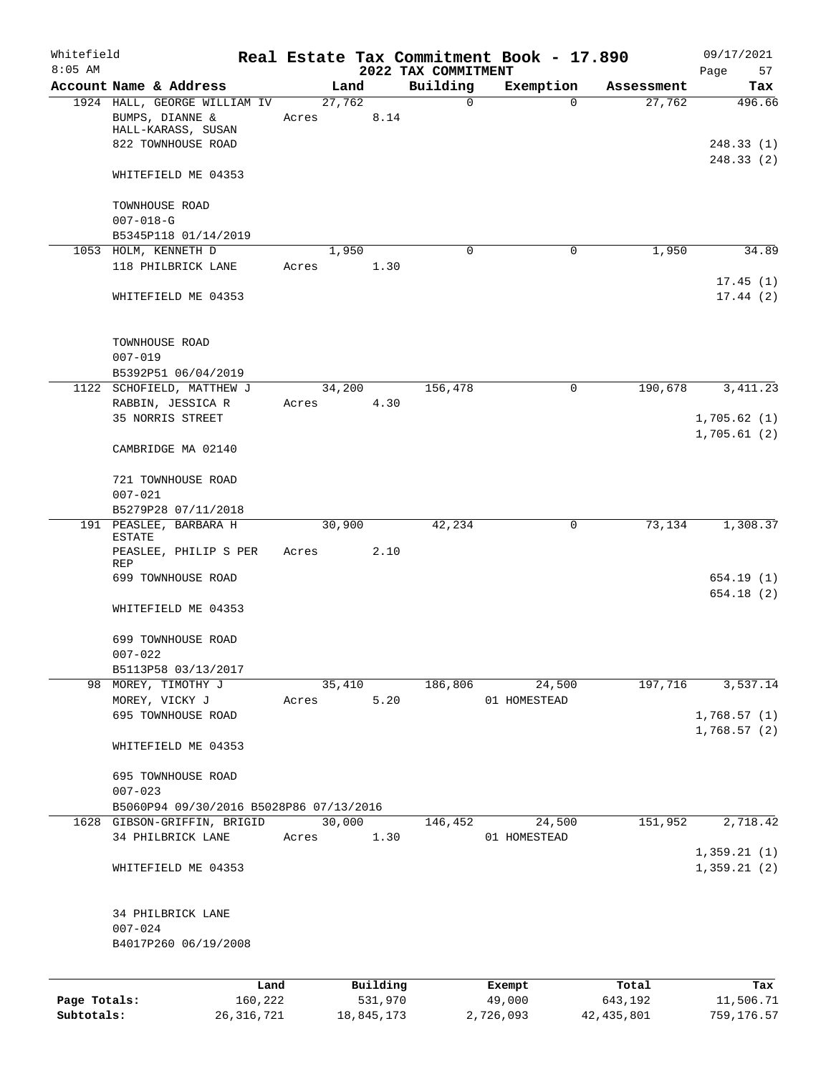| Whitefield<br>$8:05$ AM |                                                                       |         |       |        |          | 2022 TAX COMMITMENT | Real Estate Tax Commitment Book - 17.890 |                      | 09/17/2021<br>Page<br>57   |
|-------------------------|-----------------------------------------------------------------------|---------|-------|--------|----------|---------------------|------------------------------------------|----------------------|----------------------------|
|                         | Account Name & Address                                                |         |       | Land   |          | Building            | Exemption                                | Assessment           | Tax                        |
|                         | 1924 HALL, GEORGE WILLIAM IV<br>BUMPS, DIANNE &<br>HALL-KARASS, SUSAN |         | Acres | 27,762 | 8.14     | 0                   | $\Omega$                                 | 27,762               | 496.66                     |
|                         | 822 TOWNHOUSE ROAD                                                    |         |       |        |          |                     |                                          |                      | 248.33(1)<br>248.33(2)     |
|                         | WHITEFIELD ME 04353                                                   |         |       |        |          |                     |                                          |                      |                            |
|                         | TOWNHOUSE ROAD<br>$007 - 018 - G$                                     |         |       |        |          |                     |                                          |                      |                            |
|                         | B5345P118 01/14/2019<br>1053 HOLM, KENNETH D                          |         |       | 1,950  |          | 0                   | 0                                        | 1,950                | 34.89                      |
|                         | 118 PHILBRICK LANE                                                    |         | Acres |        | 1.30     |                     |                                          |                      | 17.45(1)                   |
|                         | WHITEFIELD ME 04353                                                   |         |       |        |          |                     |                                          |                      | 17.44(2)                   |
|                         | TOWNHOUSE ROAD<br>$007 - 019$                                         |         |       |        |          |                     |                                          |                      |                            |
|                         | B5392P51 06/04/2019                                                   |         |       |        |          |                     |                                          |                      |                            |
|                         | 1122 SCHOFIELD, MATTHEW J<br>RABBIN, JESSICA R                        |         | Acres | 34,200 | 4.30     | 156,478             | $\mathsf{O}$                             | 190,678              | 3, 411.23                  |
|                         | 35 NORRIS STREET                                                      |         |       |        |          |                     |                                          |                      | 1,705.62(1)<br>1,705.61(2) |
|                         | CAMBRIDGE MA 02140                                                    |         |       |        |          |                     |                                          |                      |                            |
|                         | 721 TOWNHOUSE ROAD<br>$007 - 021$                                     |         |       |        |          |                     |                                          |                      |                            |
|                         | B5279P28 07/11/2018                                                   |         |       |        |          |                     |                                          |                      |                            |
|                         | 191 PEASLEE, BARBARA H<br><b>ESTATE</b>                               |         |       | 30,900 |          | 42,234              | 0                                        | 73,134               | 1,308.37                   |
|                         | PEASLEE, PHILIP S PER<br>REP                                          |         | Acres |        | 2.10     |                     |                                          |                      |                            |
|                         | 699 TOWNHOUSE ROAD                                                    |         |       |        |          |                     |                                          |                      | 654.19 (1)<br>654.18(2)    |
|                         | WHITEFIELD ME 04353                                                   |         |       |        |          |                     |                                          |                      |                            |
|                         | 699 TOWNHOUSE ROAD<br>$007 - 022$                                     |         |       |        |          |                     |                                          |                      |                            |
|                         | B5113P58 03/13/2017                                                   |         |       |        |          |                     |                                          |                      |                            |
|                         | 98 MOREY, TIMOTHY J                                                   |         |       | 35,410 |          | 186,806             | 24,500                                   | 197,716              | 3,537.14                   |
|                         | MOREY, VICKY J<br>695 TOWNHOUSE ROAD                                  |         | Acres |        | 5.20     |                     | 01 HOMESTEAD                             |                      | 1,768.57(1)                |
|                         | WHITEFIELD ME 04353                                                   |         |       |        |          |                     |                                          |                      | 1,768.57(2)                |
|                         |                                                                       |         |       |        |          |                     |                                          |                      |                            |
|                         | 695 TOWNHOUSE ROAD<br>$007 - 023$                                     |         |       |        |          |                     |                                          |                      |                            |
|                         | B5060P94 09/30/2016 B5028P86 07/13/2016                               |         |       |        |          |                     |                                          |                      |                            |
|                         | 1628 GIBSON-GRIFFIN, BRIGID<br>34 PHILBRICK LANE                      |         | Acres | 30,000 | 1.30     | 146,452             | 24,500<br>01 HOMESTEAD                   | $1\overline{51,952}$ | 2,718.42                   |
|                         | WHITEFIELD ME 04353                                                   |         |       |        |          |                     |                                          |                      | 1,359.21(1)<br>1,359.21(2) |
|                         | 34 PHILBRICK LANE<br>$007 - 024$                                      |         |       |        |          |                     |                                          |                      |                            |
|                         | B4017P260 06/19/2008                                                  |         |       |        |          |                     |                                          |                      |                            |
|                         |                                                                       | Land    |       |        | Building |                     | Exempt                                   | Total                | Tax                        |
| Page Totals:            |                                                                       | 160,222 |       |        | 531,970  |                     | 49,000                                   | 643,192              | 11,506.71                  |

**Subtotals:** 26,316,721 18,845,173 2,726,093 42,435,801 759,176.57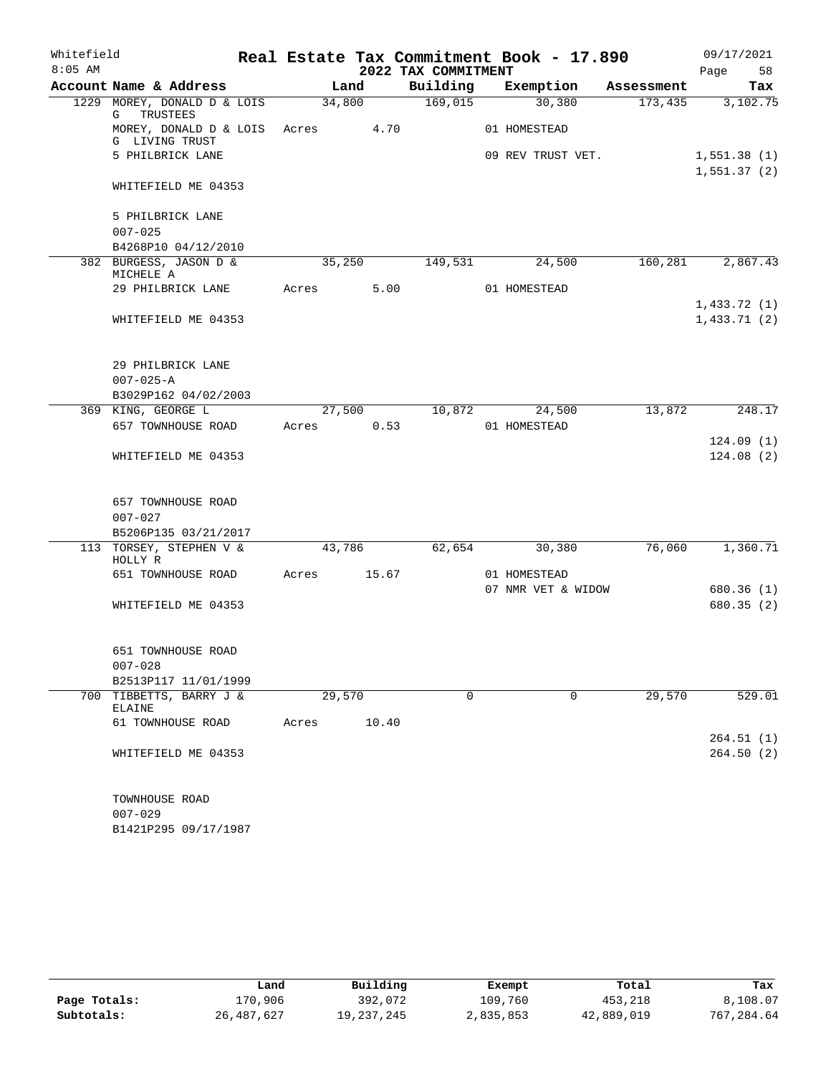| Whitefield |                                              |        |       |                     | Real Estate Tax Commitment Book - 17.890 |            | 09/17/2021                 |
|------------|----------------------------------------------|--------|-------|---------------------|------------------------------------------|------------|----------------------------|
| $8:05$ AM  |                                              |        |       | 2022 TAX COMMITMENT |                                          |            | 58<br>Page                 |
|            | Account Name & Address                       |        | Land  | Building            | Exemption                                | Assessment | Tax                        |
|            | 1229 MOREY, DONALD D & LOIS<br>TRUSTEES<br>G | 34,800 |       | 169,015             | 30,380                                   | 173,435    | 3,102.75                   |
|            | MOREY, DONALD D & LOIS<br>G LIVING TRUST     | Acres  | 4.70  |                     | 01 HOMESTEAD                             |            |                            |
|            | 5 PHILBRICK LANE                             |        |       |                     | 09 REV TRUST VET.                        |            | 1,551.38(1)<br>1,551.37(2) |
|            | WHITEFIELD ME 04353                          |        |       |                     |                                          |            |                            |
|            | 5 PHILBRICK LANE                             |        |       |                     |                                          |            |                            |
|            | $007 - 025$                                  |        |       |                     |                                          |            |                            |
|            | B4268P10 04/12/2010                          |        |       |                     |                                          |            |                            |
|            | 382 BURGESS, JASON D &<br>MICHELE A          | 35,250 |       | 149,531             | 24,500                                   | 160,281    | 2,867.43                   |
|            | 29 PHILBRICK LANE                            | Acres  | 5.00  |                     | 01 HOMESTEAD                             |            |                            |
|            |                                              |        |       |                     |                                          |            | 1,433.72(1)                |
|            | WHITEFIELD ME 04353                          |        |       |                     |                                          |            | 1,433.71(2)                |
|            | 29 PHILBRICK LANE                            |        |       |                     |                                          |            |                            |
|            | $007 - 025 - A$                              |        |       |                     |                                          |            |                            |
|            | B3029P162 04/02/2003                         |        |       |                     |                                          |            |                            |
|            | 369 KING, GEORGE L                           | 27,500 |       | 10,872              | 24,500                                   | 13,872     | 248.17                     |
|            | 657 TOWNHOUSE ROAD                           | Acres  | 0.53  |                     | 01 HOMESTEAD                             |            |                            |
|            |                                              |        |       |                     |                                          |            | 124.09(1)                  |
|            | WHITEFIELD ME 04353                          |        |       |                     |                                          |            | 124.08(2)                  |
|            | 657 TOWNHOUSE ROAD                           |        |       |                     |                                          |            |                            |
|            | $007 - 027$                                  |        |       |                     |                                          |            |                            |
|            | B5206P135 03/21/2017                         |        |       |                     |                                          |            |                            |
|            | 113 TORSEY, STEPHEN V &<br>HOLLY R           | 43,786 |       | 62,654              | 30,380                                   | 76,060     | 1,360.71                   |
|            | 651 TOWNHOUSE ROAD                           | Acres  | 15.67 |                     | 01 HOMESTEAD                             |            |                            |
|            |                                              |        |       |                     | 07 NMR VET & WIDOW                       |            | 680.36(1)                  |
|            | WHITEFIELD ME 04353                          |        |       |                     |                                          |            | 680.35(2)                  |
|            | 651 TOWNHOUSE ROAD                           |        |       |                     |                                          |            |                            |
|            | $007 - 028$                                  |        |       |                     |                                          |            |                            |
|            | B2513P117 11/01/1999                         | 29,570 |       |                     |                                          |            |                            |
| 700        | TIBBETTS, BARRY J &<br><b>ELAINE</b>         |        |       | $\mathbf 0$         | $\mathbf 0$                              | 29,570     | 529.01                     |
|            | 61 TOWNHOUSE ROAD                            | Acres  | 10.40 |                     |                                          |            |                            |
|            | WHITEFIELD ME 04353                          |        |       |                     |                                          |            | 264.51(1)<br>264.50(2)     |
|            | TOWNHOUSE ROAD                               |        |       |                     |                                          |            |                            |
|            | $007 - 029$                                  |        |       |                     |                                          |            |                            |

B1421P295 09/17/1987

|              | Land       | Building   | Exempt    | Total      | Tax        |
|--------------|------------|------------|-----------|------------|------------|
| Page Totals: | 170,906    | 392,072    | 109,760   | 453,218    | 8,108.07   |
| Subtotals:   | 26,487,627 | 19,237,245 | 2,835,853 | 42,889,019 | 767,284.64 |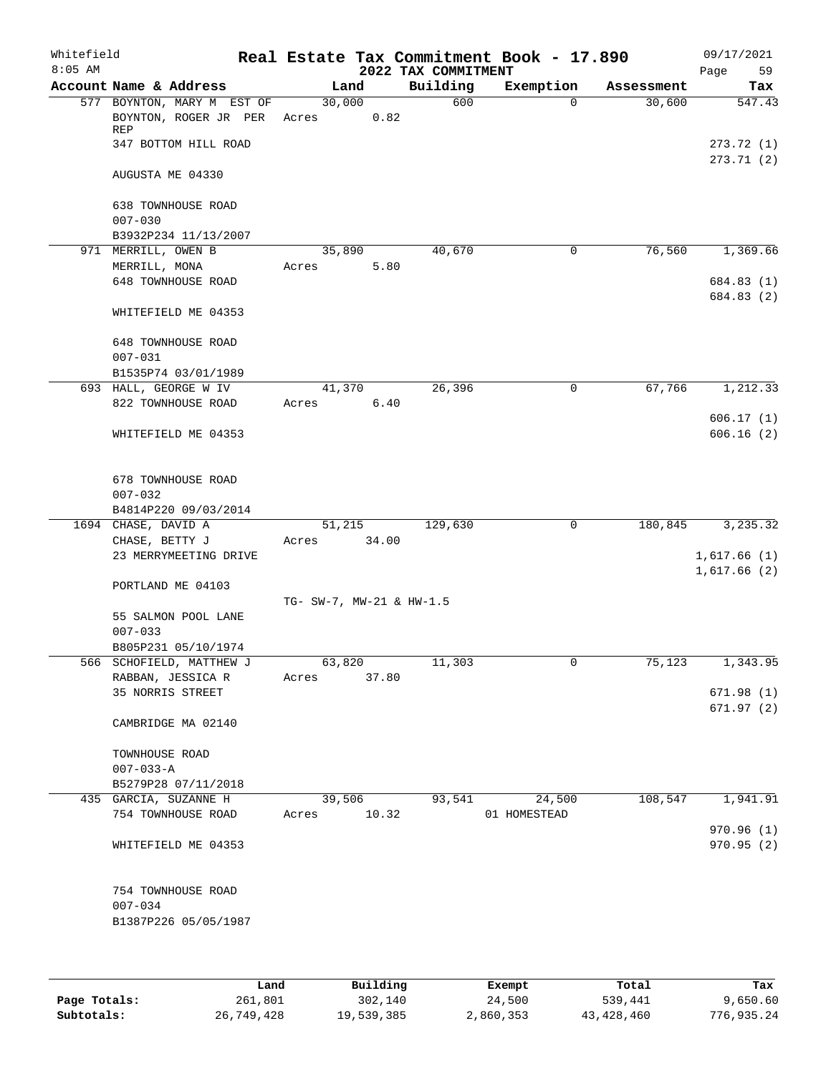| Whitefield<br>$8:05$ AM |                     |                                                                             |                          |         |      | 2022 TAX COMMITMENT | Real Estate Tax Commitment Book - 17.890 |             |            | Page | 09/17/2021<br>59            |
|-------------------------|---------------------|-----------------------------------------------------------------------------|--------------------------|---------|------|---------------------|------------------------------------------|-------------|------------|------|-----------------------------|
|                         |                     | Account Name & Address                                                      |                          | Land    |      | Building            | Exemption                                |             | Assessment |      | Tax                         |
|                         | REP                 | 577 BOYNTON, MARY M EST OF<br>BOYNTON, ROGER JR PER<br>347 BOTTOM HILL ROAD | Acres                    | 30,000  | 0.82 | 600                 |                                          | $\Omega$    | 30,600     |      | 547.43<br>273.72(1)         |
|                         |                     | AUGUSTA ME 04330                                                            |                          |         |      |                     |                                          |             |            |      | 273.71(2)                   |
|                         | $007 - 030$         | 638 TOWNHOUSE ROAD                                                          |                          |         |      |                     |                                          |             |            |      |                             |
|                         |                     | B3932P234 11/13/2007                                                        |                          |         |      |                     |                                          |             |            |      |                             |
|                         | 971 MERRILL, OWEN B |                                                                             |                          | 35,890  |      | 40,670              |                                          | 0           | 76,560     |      | 1,369.66                    |
|                         | MERRILL, MONA       |                                                                             | Acres                    |         | 5.80 |                     |                                          |             |            |      |                             |
|                         |                     | 648 TOWNHOUSE ROAD                                                          |                          |         |      |                     |                                          |             |            |      | 684.83 (1)                  |
|                         |                     | WHITEFIELD ME 04353                                                         |                          |         |      |                     |                                          |             |            |      | 684.83 (2)                  |
|                         | $007 - 031$         | 648 TOWNHOUSE ROAD                                                          |                          |         |      |                     |                                          |             |            |      |                             |
|                         |                     | B1535P74 03/01/1989                                                         |                          |         |      |                     |                                          |             |            |      |                             |
|                         |                     | 693 HALL, GEORGE W IV<br>822 TOWNHOUSE ROAD                                 | Acres                    | 41,370  | 6.40 | 26,396              |                                          | 0           | 67,766     |      | 1,212.33                    |
|                         |                     |                                                                             |                          |         |      |                     |                                          |             |            |      | 606.17(1)                   |
|                         |                     | WHITEFIELD ME 04353                                                         |                          |         |      |                     |                                          |             |            |      | 606.16(2)                   |
|                         | $007 - 032$         | 678 TOWNHOUSE ROAD                                                          |                          |         |      |                     |                                          |             |            |      |                             |
|                         |                     | B4814P220 09/03/2014                                                        |                          |         |      |                     |                                          |             |            |      |                             |
|                         | 1694 CHASE, DAVID A |                                                                             |                          | 51,215  |      | 129,630             |                                          | $\mathbf 0$ | 180,845    |      | 3,235.32                    |
|                         | CHASE, BETTY J      |                                                                             | Acres                    | 34.00   |      |                     |                                          |             |            |      |                             |
|                         |                     | 23 MERRYMEETING DRIVE                                                       |                          |         |      |                     |                                          |             |            |      | 1,617.66(1)<br>1,617.66 (2) |
|                         |                     | PORTLAND ME 04103                                                           | TG- SW-7, MW-21 & HW-1.5 |         |      |                     |                                          |             |            |      |                             |
|                         |                     | 55 SALMON POOL LANE                                                         |                          |         |      |                     |                                          |             |            |      |                             |
|                         | $007 - 033$         |                                                                             |                          |         |      |                     |                                          |             |            |      |                             |
|                         |                     | B805P231 05/10/1974                                                         |                          |         |      |                     |                                          |             |            |      |                             |
|                         |                     | 566 SCHOFIELD, MATTHEW J                                                    |                          | 63, 820 |      | 11,303              |                                          | 0           | 75,123     |      | $1,343.\overline{95}$       |
|                         |                     | RABBAN, JESSICA R                                                           | Acres                    | 37.80   |      |                     |                                          |             |            |      |                             |
|                         |                     | 35 NORRIS STREET                                                            |                          |         |      |                     |                                          |             |            |      | 671.98(1)<br>671.97(2)      |
|                         |                     | CAMBRIDGE MA 02140                                                          |                          |         |      |                     |                                          |             |            |      |                             |
|                         | TOWNHOUSE ROAD      |                                                                             |                          |         |      |                     |                                          |             |            |      |                             |
|                         | $007 - 033 - A$     |                                                                             |                          |         |      |                     |                                          |             |            |      |                             |
|                         |                     | B5279P28 07/11/2018                                                         |                          |         |      |                     |                                          |             |            |      |                             |
|                         |                     | 435 GARCIA, SUZANNE H                                                       |                          | 39,506  |      | 93,541              |                                          | 24,500      | 108,547    |      | 1,941.91                    |
|                         |                     | 754 TOWNHOUSE ROAD                                                          | Acres                    | 10.32   |      |                     | 01 HOMESTEAD                             |             |            |      | 970.96(1)                   |
|                         |                     | WHITEFIELD ME 04353                                                         |                          |         |      |                     |                                          |             |            |      | 970.95(2)                   |
|                         | $007 - 034$         | 754 TOWNHOUSE ROAD<br>B1387P226 05/05/1987                                  |                          |         |      |                     |                                          |             |            |      |                             |
|                         |                     |                                                                             |                          |         |      |                     |                                          |             |            |      |                             |

|              | Land       | Building   | Exempt    | Total      | Tax        |
|--------------|------------|------------|-----------|------------|------------|
| Page Totals: | 261,801    | 302,140    | 24,500    | 539,441    | 9.650.60   |
| Subtotals:   | 26,749,428 | 19,539,385 | 2,860,353 | 43,428,460 | 776,935.24 |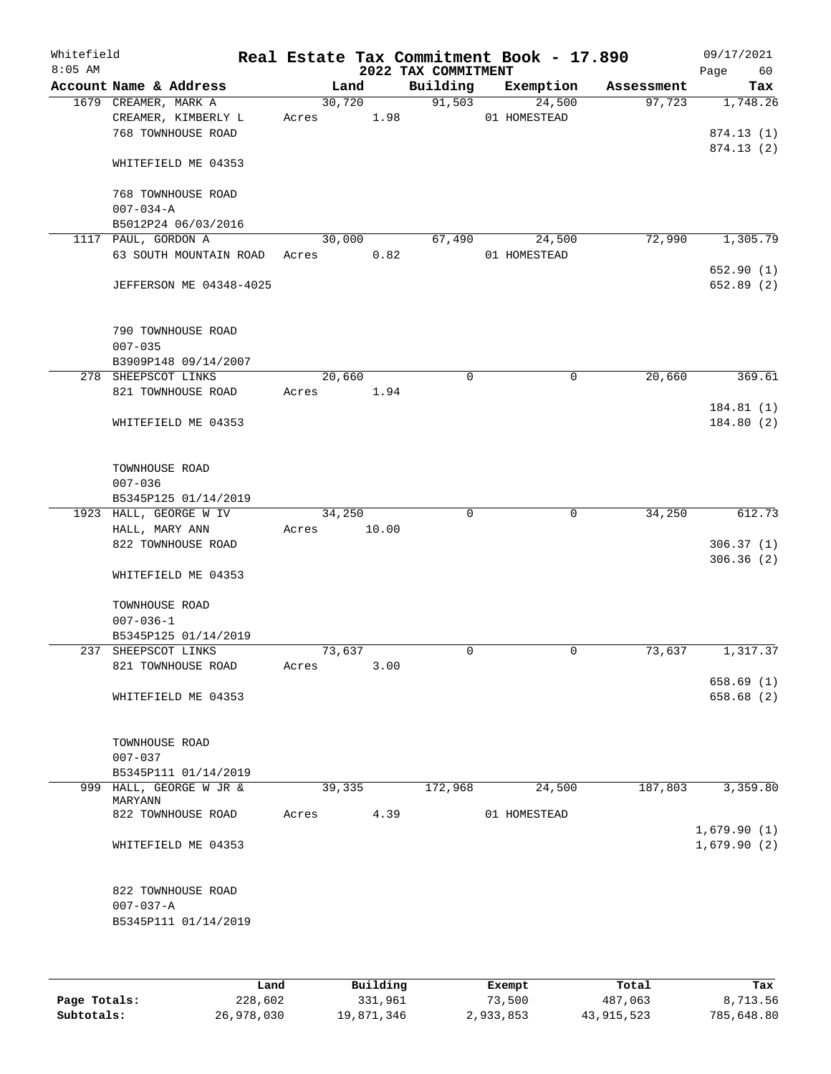| Whitefield<br>$8:05$ AM |                                             |                 |       | 2022 TAX COMMITMENT | Real Estate Tax Commitment Book - 17.890 |            | 09/17/2021<br>60<br>Page |
|-------------------------|---------------------------------------------|-----------------|-------|---------------------|------------------------------------------|------------|--------------------------|
|                         | Account Name & Address                      | Land            |       | Building            | Exemption                                | Assessment | Tax                      |
|                         | 1679 CREAMER, MARK A<br>CREAMER, KIMBERLY L | 30,720<br>Acres | 1.98  | 91,503              | 24,500<br>01 HOMESTEAD                   | 97,723     | 1,748.26                 |
|                         | 768 TOWNHOUSE ROAD                          |                 |       |                     |                                          |            | 874.13 (1)               |
|                         |                                             |                 |       |                     |                                          |            | 874.13(2)                |
|                         | WHITEFIELD ME 04353                         |                 |       |                     |                                          |            |                          |
|                         | 768 TOWNHOUSE ROAD                          |                 |       |                     |                                          |            |                          |
|                         | $007 - 034 - A$                             |                 |       |                     |                                          |            |                          |
|                         | B5012P24 06/03/2016                         |                 |       |                     |                                          |            |                          |
|                         | 1117 PAUL, GORDON A                         | 30,000          |       | 67,490              | 24,500                                   | 72,990     | 1,305.79                 |
|                         | 63 SOUTH MOUNTAIN ROAD                      | Acres           | 0.82  |                     | 01 HOMESTEAD                             |            |                          |
|                         | JEFFERSON ME 04348-4025                     |                 |       |                     |                                          |            | 652.90(1)<br>652.89 (2)  |
|                         |                                             |                 |       |                     |                                          |            |                          |
|                         | 790 TOWNHOUSE ROAD                          |                 |       |                     |                                          |            |                          |
|                         | $007 - 035$                                 |                 |       |                     |                                          |            |                          |
|                         | B3909P148 09/14/2007                        |                 |       |                     |                                          |            |                          |
|                         | 278 SHEEPSCOT LINKS                         | 20,660          |       | 0                   | 0                                        | 20,660     | 369.61                   |
|                         | 821 TOWNHOUSE ROAD                          | Acres           | 1.94  |                     |                                          |            |                          |
|                         | WHITEFIELD ME 04353                         |                 |       |                     |                                          |            | 184.81(1)<br>184.80(2)   |
|                         | TOWNHOUSE ROAD                              |                 |       |                     |                                          |            |                          |
|                         | $007 - 036$                                 |                 |       |                     |                                          |            |                          |
|                         | B5345P125 01/14/2019                        |                 |       |                     |                                          |            |                          |
|                         | 1923 HALL, GEORGE W IV                      | 34,250          |       | 0                   | $\mathbf 0$                              | 34,250     | 612.73                   |
|                         | HALL, MARY ANN                              | Acres           | 10.00 |                     |                                          |            |                          |
|                         | 822 TOWNHOUSE ROAD                          |                 |       |                     |                                          |            | 306.37(1)                |
|                         | WHITEFIELD ME 04353                         |                 |       |                     |                                          |            | 306.36(2)                |
|                         |                                             |                 |       |                     |                                          |            |                          |
|                         | TOWNHOUSE ROAD                              |                 |       |                     |                                          |            |                          |
|                         | $007 - 036 - 1$<br>B5345P125 01/14/2019     |                 |       |                     |                                          |            |                          |
|                         | 237 SHEEPSCOT LINKS                         | 73,637          |       | 0                   | $\mathbf 0$                              | 73,637     | 1,317.37                 |
|                         | 821 TOWNHOUSE ROAD                          | Acres           | 3.00  |                     |                                          |            |                          |
|                         |                                             |                 |       |                     |                                          |            | 658.69(1)                |
|                         | WHITEFIELD ME 04353                         |                 |       |                     |                                          |            | 658.68 (2)               |
|                         |                                             |                 |       |                     |                                          |            |                          |
|                         | TOWNHOUSE ROAD                              |                 |       |                     |                                          |            |                          |
|                         | $007 - 037$                                 |                 |       |                     |                                          |            |                          |
|                         | B5345P111 01/14/2019                        |                 |       |                     |                                          |            |                          |
|                         | 999 HALL, GEORGE W JR &<br>MARYANN          | 39,335          |       | 172,968             | 24,500                                   | 187,803    | 3,359.80                 |
|                         | 822 TOWNHOUSE ROAD                          | Acres           | 4.39  |                     | 01 HOMESTEAD                             |            |                          |
|                         |                                             |                 |       |                     |                                          |            | 1,679.90(1)              |
|                         | WHITEFIELD ME 04353                         |                 |       |                     |                                          |            | 1,679.90(2)              |
|                         | 822 TOWNHOUSE ROAD                          |                 |       |                     |                                          |            |                          |
|                         | $007 - 037 - A$                             |                 |       |                     |                                          |            |                          |
|                         | B5345P111 01/14/2019                        |                 |       |                     |                                          |            |                          |
|                         |                                             |                 |       |                     |                                          |            |                          |
|                         |                                             |                 |       |                     |                                          |            |                          |

|              | Land       | Building   | Exempt    | Total      | Tax        |
|--------------|------------|------------|-----------|------------|------------|
| Page Totals: | 228,602    | 331,961    | 73,500    | 487,063    | 8,713.56   |
| Subtotals:   | 26,978,030 | 19,871,346 | 2,933,853 | 43,915,523 | 785,648.80 |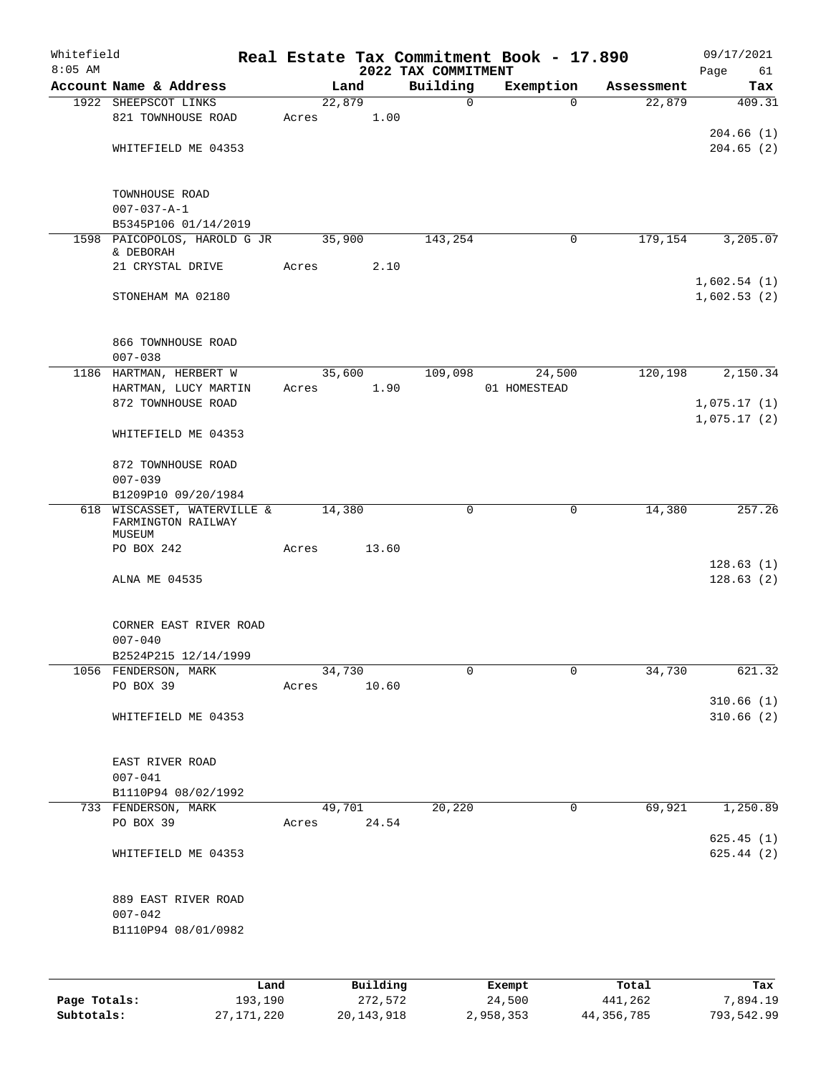| Whitefield |                                                             |       |                |          |                     | Real Estate Tax Commitment Book - 17.890 |                      | 09/17/2021    |
|------------|-------------------------------------------------------------|-------|----------------|----------|---------------------|------------------------------------------|----------------------|---------------|
| $8:05$ AM  |                                                             |       |                |          | 2022 TAX COMMITMENT |                                          |                      | Page<br>61    |
|            | Account Name & Address                                      |       | Land<br>22,879 |          | Building<br>0       | Exemption<br>$\mathbf 0$                 | Assessment<br>22,879 | Tax<br>409.31 |
|            | 1922 SHEEPSCOT LINKS<br>821 TOWNHOUSE ROAD                  | Acres |                | 1.00     |                     |                                          |                      |               |
|            |                                                             |       |                |          |                     |                                          |                      | 204.66(1)     |
|            | WHITEFIELD ME 04353                                         |       |                |          |                     |                                          |                      | 204.65(2)     |
|            |                                                             |       |                |          |                     |                                          |                      |               |
|            | TOWNHOUSE ROAD                                              |       |                |          |                     |                                          |                      |               |
|            | $007 - 037 - A - 1$                                         |       |                |          |                     |                                          |                      |               |
|            | B5345P106 01/14/2019                                        |       |                |          |                     |                                          |                      |               |
|            | 1598 PAICOPOLOS, HAROLD G JR                                |       | 35,900         |          | 143,254             | 0                                        | 179,154              | 3,205.07      |
|            | & DEBORAH<br>21 CRYSTAL DRIVE                               | Acres |                | 2.10     |                     |                                          |                      |               |
|            |                                                             |       |                |          |                     |                                          |                      | 1,602.54(1)   |
|            | STONEHAM MA 02180                                           |       |                |          |                     |                                          |                      | 1,602.53(2)   |
|            |                                                             |       |                |          |                     |                                          |                      |               |
|            | 866 TOWNHOUSE ROAD                                          |       |                |          |                     |                                          |                      |               |
|            | $007 - 038$                                                 |       |                |          |                     |                                          |                      |               |
|            | 1186 HARTMAN, HERBERT W                                     |       | 35,600         |          | 109,098             | 24,500<br>01 HOMESTEAD                   | 120,198              | 2,150.34      |
|            | HARTMAN, LUCY MARTIN<br>872 TOWNHOUSE ROAD                  | Acres |                | 1.90     |                     |                                          |                      | 1,075.17(1)   |
|            |                                                             |       |                |          |                     |                                          |                      | 1,075.17(2)   |
|            | WHITEFIELD ME 04353                                         |       |                |          |                     |                                          |                      |               |
|            | 872 TOWNHOUSE ROAD                                          |       |                |          |                     |                                          |                      |               |
|            | $007 - 039$                                                 |       |                |          |                     |                                          |                      |               |
|            | B1209P10 09/20/1984                                         |       |                |          |                     |                                          |                      |               |
|            | 618 WISCASSET, WATERVILLE &<br>FARMINGTON RAILWAY<br>MUSEUM |       | 14,380         |          | 0                   | 0                                        | 14,380               | 257.26        |
|            | PO BOX 242                                                  | Acres |                | 13.60    |                     |                                          |                      |               |
|            |                                                             |       |                |          |                     |                                          |                      | 128.63(1)     |
|            | ALNA ME 04535                                               |       |                |          |                     |                                          |                      | 128.63(2)     |
|            | CORNER EAST RIVER ROAD                                      |       |                |          |                     |                                          |                      |               |
|            | $007 - 040$                                                 |       |                |          |                     |                                          |                      |               |
|            | B2524P215 12/14/1999                                        |       |                |          |                     |                                          |                      |               |
|            | 1056 FENDERSON, MARK                                        |       | 34,730         |          | 0                   | 0                                        | 34,730               | 621.32        |
|            | PO BOX 39                                                   | Acres |                | 10.60    |                     |                                          |                      |               |
|            |                                                             |       |                |          |                     |                                          |                      | 310.66(1)     |
|            | WHITEFIELD ME 04353                                         |       |                |          |                     |                                          |                      | 310.66(2)     |
|            | EAST RIVER ROAD                                             |       |                |          |                     |                                          |                      |               |
|            | $007 - 041$                                                 |       |                |          |                     |                                          |                      |               |
|            | B1110P94 08/02/1992                                         |       |                |          |                     |                                          |                      |               |
|            | 733 FENDERSON, MARK                                         |       | 49,701         |          | 20,220              | 0                                        | 69,921               | 1,250.89      |
|            | PO BOX 39                                                   | Acres |                | 24.54    |                     |                                          |                      |               |
|            |                                                             |       |                |          |                     |                                          |                      | 625.45(1)     |
|            | WHITEFIELD ME 04353                                         |       |                |          |                     |                                          |                      | 625.44(2)     |
|            | 889 EAST RIVER ROAD                                         |       |                |          |                     |                                          |                      |               |
|            | $007 - 042$                                                 |       |                |          |                     |                                          |                      |               |
|            | B1110P94 08/01/0982                                         |       |                |          |                     |                                          |                      |               |
|            |                                                             |       |                |          |                     |                                          |                      |               |
|            |                                                             | Land  |                | Building |                     | Exempt                                   | Total                | Tax           |

|              | Land       | Building   | Exempt    | Total      | Tax        |
|--------------|------------|------------|-----------|------------|------------|
| Page Totals: | 193,190    | 272,572    | 24,500    | 441,262    | 7,894.19   |
| Subtotals:   | 27,171,220 | 20,143,918 | 2,958,353 | 44,356,785 | 793,542.99 |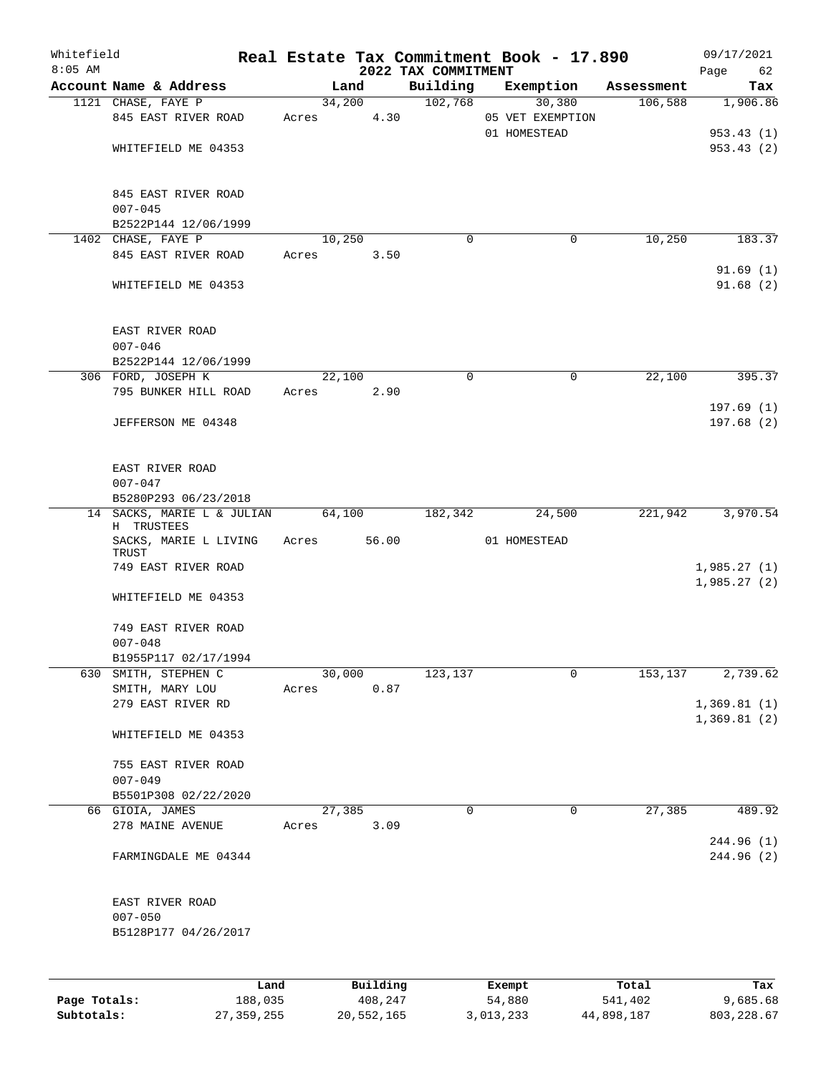| Whitefield<br>$8:05$ AM |                                     |       |        |          | 2022 TAX COMMITMENT | Real Estate Tax Commitment Book - 17.890 |            | 09/17/2021<br>62<br>Page   |
|-------------------------|-------------------------------------|-------|--------|----------|---------------------|------------------------------------------|------------|----------------------------|
|                         | Account Name & Address              |       | Land   |          | Building            | Exemption                                | Assessment | Tax                        |
|                         | 1121 CHASE, FAYE P                  |       | 34,200 |          | 102,768             | 30,380                                   | 106,588    | 1,906.86                   |
|                         | 845 EAST RIVER ROAD                 | Acres |        | 4.30     |                     | 05 VET EXEMPTION                         |            |                            |
|                         |                                     |       |        |          |                     | 01 HOMESTEAD                             |            | 953.43(1)                  |
|                         | WHITEFIELD ME 04353                 |       |        |          |                     |                                          |            | 953.43(2)                  |
|                         |                                     |       |        |          |                     |                                          |            |                            |
|                         | 845 EAST RIVER ROAD                 |       |        |          |                     |                                          |            |                            |
|                         | $007 - 045$                         |       |        |          |                     |                                          |            |                            |
|                         | B2522P144 12/06/1999                |       |        |          |                     |                                          |            |                            |
|                         | 1402 CHASE, FAYE P                  |       | 10,250 |          | $\Omega$            | 0                                        | 10,250     | 183.37                     |
|                         | 845 EAST RIVER ROAD                 | Acres |        | 3.50     |                     |                                          |            |                            |
|                         |                                     |       |        |          |                     |                                          |            | 91.69(1)                   |
|                         | WHITEFIELD ME 04353                 |       |        |          |                     |                                          |            | 91.68(2)                   |
|                         | EAST RIVER ROAD                     |       |        |          |                     |                                          |            |                            |
|                         | $007 - 046$                         |       |        |          |                     |                                          |            |                            |
|                         | B2522P144 12/06/1999                |       |        |          |                     |                                          |            |                            |
| 306 FORD, JOSEPH K      |                                     |       | 22,100 |          | $\mathbf 0$         | $\mathbf 0$                              | 22,100     | 395.37                     |
|                         | 795 BUNKER HILL ROAD                | Acres |        |          |                     |                                          |            |                            |
|                         |                                     |       |        | 2.90     |                     |                                          |            |                            |
|                         |                                     |       |        |          |                     |                                          |            | 197.69(1)                  |
|                         | JEFFERSON ME 04348                  |       |        |          |                     |                                          |            | 197.68(2)                  |
|                         | EAST RIVER ROAD                     |       |        |          |                     |                                          |            |                            |
|                         | $007 - 047$                         |       |        |          |                     |                                          |            |                            |
|                         | B5280P293 06/23/2018                |       |        |          |                     |                                          |            |                            |
|                         | 14 SACKS, MARIE L & JULIAN          |       | 64,100 |          | 182,342             | 24,500                                   | 221,942    | 3,970.54                   |
|                         | H TRUSTEES<br>SACKS, MARIE L LIVING | Acres |        | 56.00    |                     | 01 HOMESTEAD                             |            |                            |
|                         | TRUST                               |       |        |          |                     |                                          |            |                            |
|                         | 749 EAST RIVER ROAD                 |       |        |          |                     |                                          |            | 1,985.27(1)<br>1,985.27(2) |
|                         | WHITEFIELD ME 04353                 |       |        |          |                     |                                          |            |                            |
|                         | 749 EAST RIVER ROAD                 |       |        |          |                     |                                          |            |                            |
|                         | $007 - 048$                         |       |        |          |                     |                                          |            |                            |
|                         | B1955P117 02/17/1994                |       |        |          |                     |                                          |            |                            |
|                         | 630 SMITH, STEPHEN C                |       | 30,000 |          | 123,137             | 0                                        | 153,137    | 2,739.62                   |
|                         | SMITH, MARY LOU                     | Acres |        | 0.87     |                     |                                          |            |                            |
|                         | 279 EAST RIVER RD                   |       |        |          |                     |                                          |            | 1,369.81(1)                |
|                         |                                     |       |        |          |                     |                                          |            | 1,369.81(2)                |
|                         | WHITEFIELD ME 04353                 |       |        |          |                     |                                          |            |                            |
|                         | 755 EAST RIVER ROAD                 |       |        |          |                     |                                          |            |                            |
|                         | $007 - 049$                         |       |        |          |                     |                                          |            |                            |
|                         | B5501P308 02/22/2020                |       |        |          |                     |                                          |            |                            |
|                         | 66 GIOIA, JAMES                     |       | 27,385 |          | 0                   | $\mathsf{O}$                             | 27,385     | 489.92                     |
|                         | 278 MAINE AVENUE                    | Acres |        | 3.09     |                     |                                          |            |                            |
|                         |                                     |       |        |          |                     |                                          |            | 244.96 (1)                 |
|                         | FARMINGDALE ME 04344                |       |        |          |                     |                                          |            | 244.96 (2)                 |
|                         |                                     |       |        |          |                     |                                          |            |                            |
|                         | EAST RIVER ROAD                     |       |        |          |                     |                                          |            |                            |
|                         | $007 - 050$                         |       |        |          |                     |                                          |            |                            |
|                         | B5128P177 04/26/2017                |       |        |          |                     |                                          |            |                            |
|                         |                                     |       |        |          |                     |                                          |            |                            |
|                         | Land                                |       |        | Building |                     | Exempt                                   | Total      | Tax                        |

| Page Totals: | 188,035      | 408,247    | 54,880    | 541,402    | 9,685.68   |
|--------------|--------------|------------|-----------|------------|------------|
| Subtotals:   | 27, 359, 255 | 20,552,165 | 3,013,233 | 44,898,187 | 803,228.67 |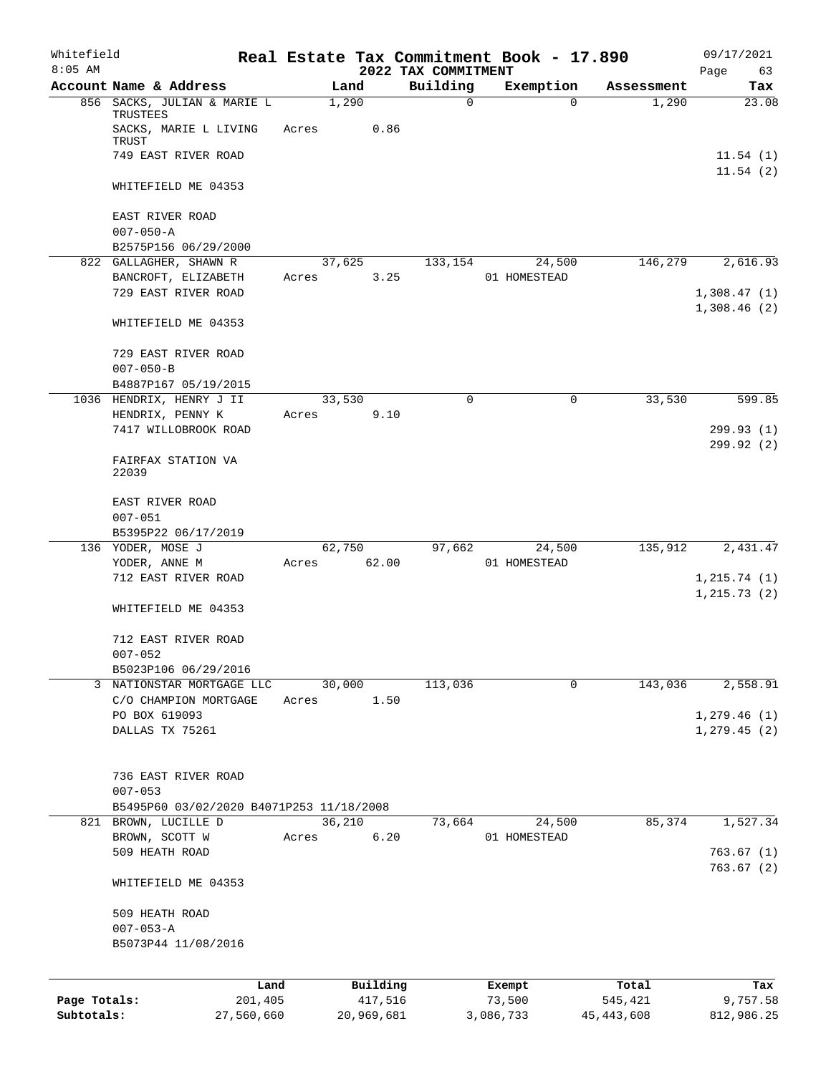| Whitefield<br>$8:05$ AM |                                          |       |                     | 2022 TAX COMMITMENT | Real Estate Tax Commitment Book - 17.890 |                  | 09/17/2021<br>Page<br>63 |
|-------------------------|------------------------------------------|-------|---------------------|---------------------|------------------------------------------|------------------|--------------------------|
|                         | Account Name & Address                   |       | Land                | Building            | Exemption                                | Assessment       | Tax                      |
|                         | 856 SACKS, JULIAN & MARIE L<br>TRUSTEES  |       | 1,290               | $\mathbf 0$         | $\Omega$                                 | 1,290            | 23.08                    |
|                         | SACKS, MARIE L LIVING<br>TRUST           | Acres | 0.86                |                     |                                          |                  |                          |
|                         | 749 EAST RIVER ROAD                      |       |                     |                     |                                          |                  | 11.54(1)<br>11.54(2)     |
|                         | WHITEFIELD ME 04353                      |       |                     |                     |                                          |                  |                          |
|                         | EAST RIVER ROAD                          |       |                     |                     |                                          |                  |                          |
|                         | $007 - 050 - A$<br>B2575P156 06/29/2000  |       |                     |                     |                                          |                  |                          |
|                         | 822 GALLAGHER, SHAWN R                   |       | 37,625              | 133,154             | 24,500                                   | 146,279          | 2,616.93                 |
|                         | BANCROFT, ELIZABETH                      | Acres | 3.25                |                     | 01 HOMESTEAD                             |                  |                          |
|                         | 729 EAST RIVER ROAD                      |       |                     |                     |                                          |                  | 1,308.47(1)              |
|                         | WHITEFIELD ME 04353                      |       |                     |                     |                                          |                  | 1,308.46(2)              |
|                         | 729 EAST RIVER ROAD                      |       |                     |                     |                                          |                  |                          |
|                         | $007 - 050 - B$                          |       |                     |                     |                                          |                  |                          |
|                         | B4887P167 05/19/2015                     |       |                     |                     |                                          |                  |                          |
|                         | 1036 HENDRIX, HENRY J II                 |       | 33,530              | 0                   | 0                                        | 33,530           | 599.85                   |
|                         | HENDRIX, PENNY K                         | Acres | 9.10                |                     |                                          |                  |                          |
|                         | 7417 WILLOBROOK ROAD                     |       |                     |                     |                                          |                  | 299.93(1)<br>299.92 (2)  |
|                         | FAIRFAX STATION VA<br>22039              |       |                     |                     |                                          |                  |                          |
|                         | EAST RIVER ROAD                          |       |                     |                     |                                          |                  |                          |
|                         | $007 - 051$                              |       |                     |                     |                                          |                  |                          |
|                         | B5395P22 06/17/2019<br>136 YODER, MOSE J |       | 62,750              | 97,662              | 24,500                                   | 135,912          | 2,431.47                 |
|                         | YODER, ANNE M                            | Acres | 62.00               |                     | 01 HOMESTEAD                             |                  |                          |
|                         | 712 EAST RIVER ROAD                      |       |                     |                     |                                          |                  | 1, 215.74(1)             |
|                         |                                          |       |                     |                     |                                          |                  | 1, 215.73(2)             |
|                         | WHITEFIELD ME 04353                      |       |                     |                     |                                          |                  |                          |
|                         | 712 EAST RIVER ROAD                      |       |                     |                     |                                          |                  |                          |
|                         | $007 - 052$                              |       |                     |                     |                                          |                  |                          |
|                         | B5023P106 06/29/2016                     |       |                     |                     |                                          |                  |                          |
|                         | 3 NATIONSTAR MORTGAGE LLC                |       | 30,000              | 113,036             | 0                                        | 143,036          | 2,558.91                 |
|                         | C/O CHAMPION MORTGAGE<br>PO BOX 619093   | Acres | 1.50                |                     |                                          |                  | 1,279.46(1)              |
|                         | DALLAS TX 75261                          |       |                     |                     |                                          |                  | 1, 279.45(2)             |
|                         |                                          |       |                     |                     |                                          |                  |                          |
|                         | 736 EAST RIVER ROAD                      |       |                     |                     |                                          |                  |                          |
|                         | $007 - 053$                              |       |                     |                     |                                          |                  |                          |
|                         | B5495P60 03/02/2020 B4071P253 11/18/2008 |       |                     |                     |                                          |                  |                          |
|                         | 821 BROWN, LUCILLE D                     |       | 36,210              | 73,664              | 24,500                                   | 85,374           | 1,527.34                 |
|                         | BROWN, SCOTT W                           | Acres | 6.20                |                     | 01 HOMESTEAD                             |                  |                          |
|                         | 509 HEATH ROAD                           |       |                     |                     |                                          |                  | 763.67(1)<br>763.67(2)   |
|                         | WHITEFIELD ME 04353                      |       |                     |                     |                                          |                  |                          |
|                         | 509 HEATH ROAD                           |       |                     |                     |                                          |                  |                          |
|                         | $007 - 053 - A$                          |       |                     |                     |                                          |                  |                          |
|                         | B5073P44 11/08/2016                      |       |                     |                     |                                          |                  |                          |
|                         |                                          |       |                     |                     |                                          |                  |                          |
| Page Totals:            | Land<br>201,405                          |       | Building<br>417,516 |                     | Exempt<br>73,500                         | Total<br>545,421 | Tax<br>9,757.58          |
| Subtotals:              | 27,560,660                               |       | 20,969,681          |                     | 3,086,733                                | 45, 443, 608     | 812,986.25               |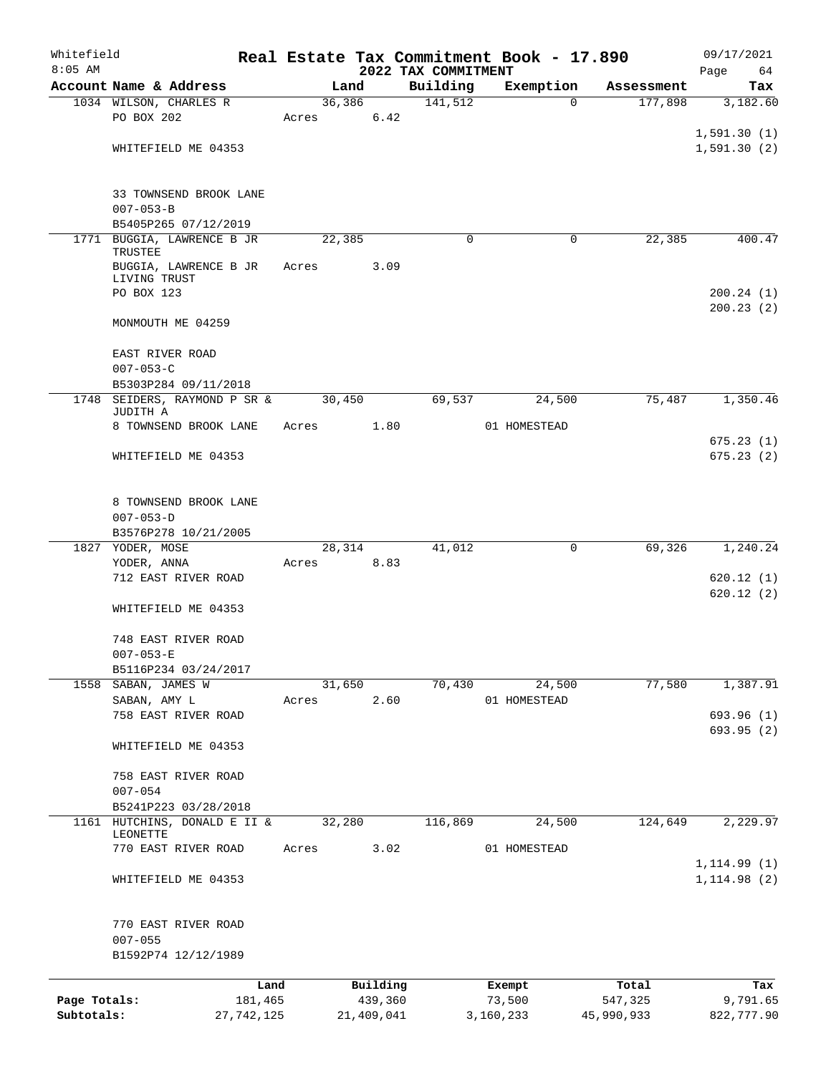| Whitefield   |                                                 |            |       |        |            |                                 | Real Estate Tax Commitment Book - 17.890 |            | 09/17/2021             |
|--------------|-------------------------------------------------|------------|-------|--------|------------|---------------------------------|------------------------------------------|------------|------------------------|
| $8:05$ AM    | Account Name & Address                          |            |       | Land   |            | 2022 TAX COMMITMENT<br>Building | Exemption                                | Assessment | 64<br>Page<br>Tax      |
|              | 1034 WILSON, CHARLES R                          |            |       | 36,386 |            | 141,512                         | $\Omega$                                 | 177,898    | 3,182.60               |
|              | PO BOX 202                                      |            | Acres |        | 6.42       |                                 |                                          |            |                        |
|              |                                                 |            |       |        |            |                                 |                                          |            | 1,591.30(1)            |
|              | WHITEFIELD ME 04353                             |            |       |        |            |                                 |                                          |            | 1,591.30(2)            |
|              | 33 TOWNSEND BROOK LANE                          |            |       |        |            |                                 |                                          |            |                        |
|              | $007 - 053 - B$<br>B5405P265 07/12/2019         |            |       |        |            |                                 |                                          |            |                        |
|              | 1771 BUGGIA, LAWRENCE B JR                      |            |       | 22,385 |            | $\Omega$                        | 0                                        | 22,385     | 400.47                 |
|              | TRUSTEE                                         |            |       |        |            |                                 |                                          |            |                        |
|              | BUGGIA, LAWRENCE B JR                           |            | Acres |        | 3.09       |                                 |                                          |            |                        |
|              | LIVING TRUST<br>PO BOX 123                      |            |       |        |            |                                 |                                          |            | 200.24(1)              |
|              |                                                 |            |       |        |            |                                 |                                          |            | 200.23(2)              |
|              | MONMOUTH ME 04259                               |            |       |        |            |                                 |                                          |            |                        |
|              | EAST RIVER ROAD                                 |            |       |        |            |                                 |                                          |            |                        |
|              | $007 - 053 - C$                                 |            |       |        |            |                                 |                                          |            |                        |
|              | B5303P284 09/11/2018                            |            |       |        |            |                                 |                                          |            |                        |
|              | 1748 SEIDERS, RAYMOND P SR &<br>JUDITH A        |            |       | 30,450 |            | 69,537                          | 24,500                                   | 75,487     | 1,350.46               |
|              | 8 TOWNSEND BROOK LANE                           |            | Acres |        | 1.80       |                                 | 01 HOMESTEAD                             |            |                        |
|              | WHITEFIELD ME 04353                             |            |       |        |            |                                 |                                          |            | 675.23(1)<br>675.23(2) |
|              |                                                 |            |       |        |            |                                 |                                          |            |                        |
|              | 8 TOWNSEND BROOK LANE                           |            |       |        |            |                                 |                                          |            |                        |
|              | $007 - 053 - D$                                 |            |       |        |            |                                 |                                          |            |                        |
|              | B3576P278 10/21/2005                            |            |       |        |            |                                 |                                          |            |                        |
|              | 1827 YODER, MOSE                                |            |       | 28,314 |            | 41,012                          | 0                                        | 69,326     | 1,240.24               |
|              | YODER, ANNA<br>712 EAST RIVER ROAD              |            | Acres |        | 8.83       |                                 |                                          |            | 620.12(1)              |
|              |                                                 |            |       |        |            |                                 |                                          |            | 620.12(2)              |
|              | WHITEFIELD ME 04353                             |            |       |        |            |                                 |                                          |            |                        |
|              | 748 EAST RIVER ROAD                             |            |       |        |            |                                 |                                          |            |                        |
|              | $007 - 053 - E$                                 |            |       |        |            |                                 |                                          |            |                        |
|              | B5116P234 03/24/2017                            |            |       |        |            |                                 |                                          |            |                        |
|              | 1558 SABAN, JAMES W                             |            |       | 31,650 |            | 70,430                          | 24,500                                   | 77,580     | 1,387.91               |
|              | SABAN, AMY L<br>758 EAST RIVER ROAD             |            | Acres |        | 2.60       |                                 | 01 HOMESTEAD                             |            | 693.96(1)              |
|              |                                                 |            |       |        |            |                                 |                                          |            | 693.95(2)              |
|              | WHITEFIELD ME 04353                             |            |       |        |            |                                 |                                          |            |                        |
|              | 758 EAST RIVER ROAD                             |            |       |        |            |                                 |                                          |            |                        |
|              | $007 - 054$                                     |            |       |        |            |                                 |                                          |            |                        |
|              | B5241P223 03/28/2018                            |            |       |        |            |                                 |                                          |            |                        |
|              | 1161 HUTCHINS, DONALD E II &<br><b>LEONETTE</b> |            |       | 32,280 |            | 116,869                         | 24,500                                   | 124,649    | 2,229.97               |
|              | 770 EAST RIVER ROAD                             |            | Acres |        | 3.02       |                                 | 01 HOMESTEAD                             |            |                        |
|              |                                                 |            |       |        |            |                                 |                                          |            | 1, 114.99(1)           |
|              | WHITEFIELD ME 04353                             |            |       |        |            |                                 |                                          |            | 1, 114.98(2)           |
|              | 770 EAST RIVER ROAD                             |            |       |        |            |                                 |                                          |            |                        |
|              | $007 - 055$                                     |            |       |        |            |                                 |                                          |            |                        |
|              | B1592P74 12/12/1989                             |            |       |        |            |                                 |                                          |            |                        |
|              |                                                 | Land       |       |        | Building   |                                 | Exempt                                   | Total      | Tax                    |
| Page Totals: |                                                 | 181,465    |       |        | 439,360    |                                 | 73,500                                   | 547,325    | 9,791.65               |
| Subtotals:   |                                                 | 27,742,125 |       |        | 21,409,041 |                                 | 3,160,233                                | 45,990,933 | 822,777.90             |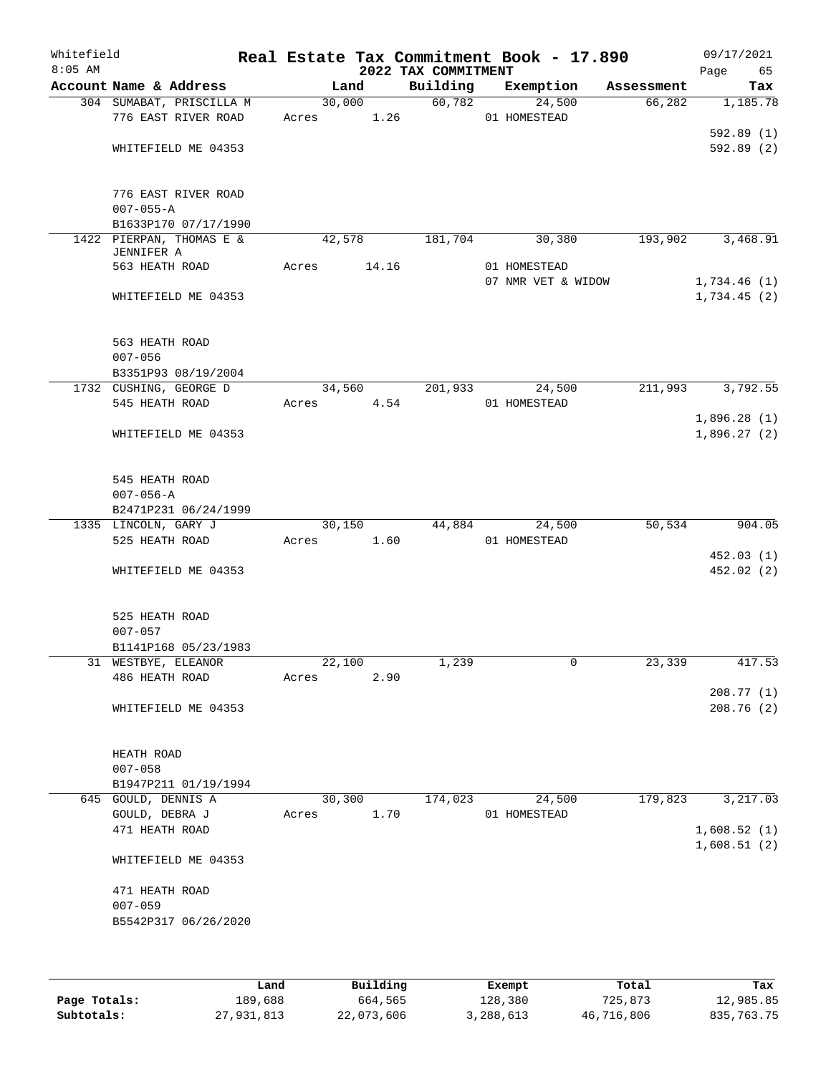| Whitefield<br>$8:05$ AM |                                                 |                 |       | 2022 TAX COMMITMENT | Real Estate Tax Commitment Book - 17.890 |            | 09/17/2021<br>Page<br>65   |
|-------------------------|-------------------------------------------------|-----------------|-------|---------------------|------------------------------------------|------------|----------------------------|
|                         | Account Name & Address                          |                 | Land  | Building            | Exemption                                | Assessment | Tax                        |
|                         | 304 SUMABAT, PRISCILLA M<br>776 EAST RIVER ROAD | 30,000<br>Acres | 1.26  | 60,782              | 24,500<br>01 HOMESTEAD                   | 66,282     | 1,185.78                   |
|                         | WHITEFIELD ME 04353                             |                 |       |                     |                                          |            | 592.89(1)<br>592.89(2)     |
|                         | 776 EAST RIVER ROAD<br>$007 - 055 - A$          |                 |       |                     |                                          |            |                            |
|                         | B1633P170 07/17/1990                            |                 |       |                     |                                          |            |                            |
|                         | 1422 PIERPAN, THOMAS E &<br>JENNIFER A          | 42,578          |       | 181,704             | 30,380                                   | 193,902    | 3,468.91                   |
|                         | 563 HEATH ROAD                                  | Acres           | 14.16 |                     | 01 HOMESTEAD                             |            |                            |
|                         | WHITEFIELD ME 04353                             |                 |       |                     | 07 NMR VET & WIDOW                       |            | 1,734.46(1)<br>1,734.45(2) |
|                         | 563 HEATH ROAD<br>$007 - 056$                   |                 |       |                     |                                          |            |                            |
|                         | B3351P93 08/19/2004                             | 34,560          |       | 201,933             | 24,500                                   | 211,993    | 3,792.55                   |
|                         | 1732 CUSHING, GEORGE D<br>545 HEATH ROAD        | Acres           | 4.54  |                     | 01 HOMESTEAD                             |            |                            |
|                         | WHITEFIELD ME 04353                             |                 |       |                     |                                          |            | 1,896.28(1)<br>1,896.27(2) |
|                         | 545 HEATH ROAD<br>$007 - 056 - A$               |                 |       |                     |                                          |            |                            |
|                         | B2471P231 06/24/1999                            |                 |       |                     |                                          |            |                            |
|                         | 1335 LINCOLN, GARY J<br>525 HEATH ROAD          | 30,150<br>Acres | 1.60  | 44,884              | 24,500<br>01 HOMESTEAD                   | 50,534     | 904.05                     |
|                         |                                                 |                 |       |                     |                                          |            | 452.03(1)                  |
|                         | WHITEFIELD ME 04353                             |                 |       |                     |                                          |            | 452.02 (2)                 |
|                         | 525 HEATH ROAD<br>$007 - 057$                   |                 |       |                     |                                          |            |                            |
|                         | B1141P168 05/23/1983                            |                 |       |                     |                                          |            |                            |
|                         | 31 WESTBYE, ELEANOR                             | 22,100          |       | 1,239               | 0                                        | 23,339     | 417.53                     |
|                         | 486 HEATH ROAD                                  | Acres           | 2.90  |                     |                                          |            | 208.77(1)                  |
|                         | WHITEFIELD ME 04353                             |                 |       |                     |                                          |            | 208.76(2)                  |
|                         | HEATH ROAD                                      |                 |       |                     |                                          |            |                            |
|                         | $007 - 058$                                     |                 |       |                     |                                          |            |                            |
|                         | B1947P211 01/19/1994                            |                 |       |                     |                                          |            |                            |
|                         | 645 GOULD, DENNIS A                             | 30,300          |       | 174,023             | 24,500                                   | 179,823    | 3,217.03                   |
|                         | GOULD, DEBRA J<br>471 HEATH ROAD                | Acres           | 1.70  |                     | 01 HOMESTEAD                             |            | 1,608.52(1)                |
|                         |                                                 |                 |       |                     |                                          |            | 1,608.51(2)                |
|                         | WHITEFIELD ME 04353                             |                 |       |                     |                                          |            |                            |
|                         | 471 HEATH ROAD                                  |                 |       |                     |                                          |            |                            |
|                         | $007 - 059$<br>B5542P317 06/26/2020             |                 |       |                     |                                          |            |                            |
|                         |                                                 |                 |       |                     |                                          |            |                            |

|              | Land       | Building   | Exempt    | Total      | Tax        |
|--------------|------------|------------|-----------|------------|------------|
| Page Totals: | 189,688    | 664,565    | 128,380   | 725,873    | 12,985.85  |
| Subtotals:   | 27,931,813 | 22,073,606 | 3,288,613 | 46,716,806 | 835,763.75 |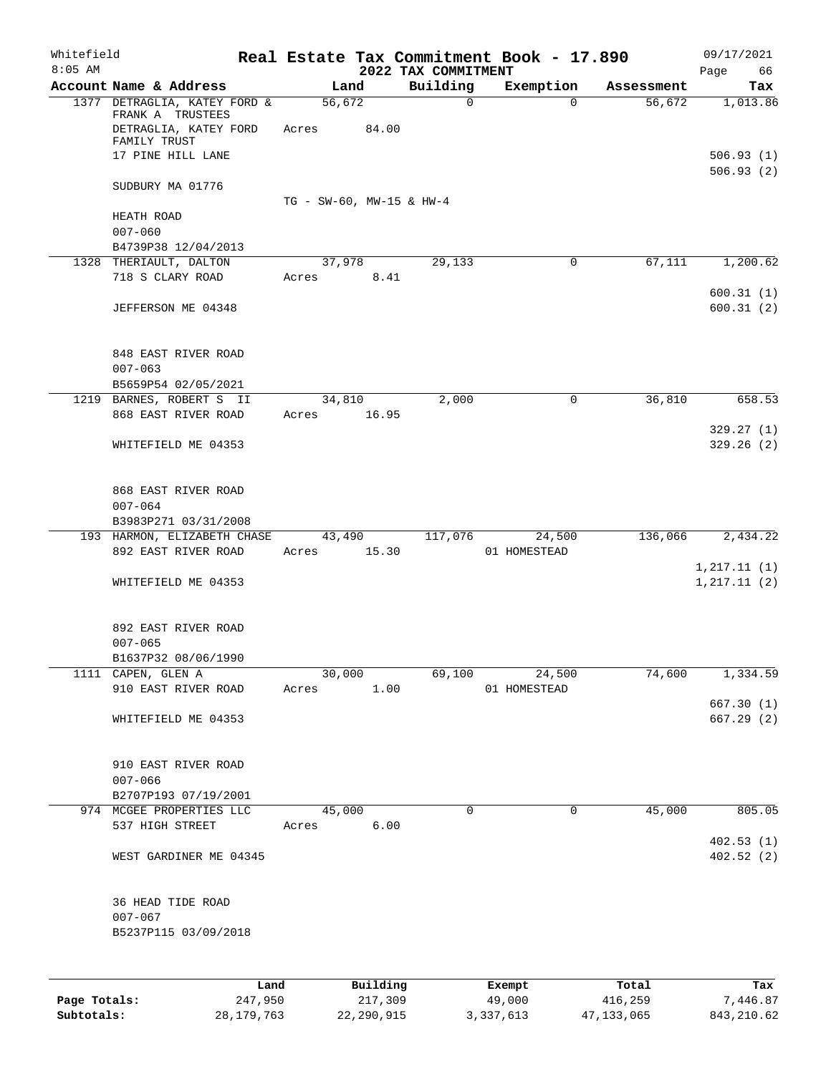| Whitefield   |                                                           |                          |          |                                 | Real Estate Tax Commitment Book - 17.890 |                      | 09/17/2021             |
|--------------|-----------------------------------------------------------|--------------------------|----------|---------------------------------|------------------------------------------|----------------------|------------------------|
| $8:05$ AM    | Account Name & Address                                    |                          |          | 2022 TAX COMMITMENT<br>Building |                                          |                      | Page<br>66             |
|              | 1377 DETRAGLIA, KATEY FORD &                              | 56,672                   | Land     | $\mathbf 0$                     | Exemption<br>$\Omega$                    | Assessment<br>56,672 | Tax<br>1,013.86        |
|              | FRANK A TRUSTEES<br>DETRAGLIA, KATEY FORD<br>FAMILY TRUST | Acres                    | 84.00    |                                 |                                          |                      |                        |
|              | 17 PINE HILL LANE                                         |                          |          |                                 |                                          |                      | 506.93(1)<br>506.93(2) |
|              | SUDBURY MA 01776                                          | TG - SW-60, MW-15 & HW-4 |          |                                 |                                          |                      |                        |
|              | HEATH ROAD<br>$007 - 060$                                 |                          |          |                                 |                                          |                      |                        |
|              | B4739P38 12/04/2013                                       |                          |          |                                 |                                          |                      |                        |
|              | 1328 THERIAULT, DALTON                                    | 37,978                   |          | 29,133                          | $\mathbf 0$                              | 67,111               | 1,200.62               |
|              | 718 S CLARY ROAD                                          | Acres                    | 8.41     |                                 |                                          |                      | 600.31(1)              |
|              | JEFFERSON ME 04348                                        |                          |          |                                 |                                          |                      | 600.31(2)              |
|              | 848 EAST RIVER ROAD                                       |                          |          |                                 |                                          |                      |                        |
|              | $007 - 063$<br>B5659P54 02/05/2021                        |                          |          |                                 |                                          |                      |                        |
|              | 1219 BARNES, ROBERT S II                                  | 34,810                   |          | 2,000                           | 0                                        | 36,810               | 658.53                 |
|              | 868 EAST RIVER ROAD                                       | Acres                    | 16.95    |                                 |                                          |                      |                        |
|              |                                                           |                          |          |                                 |                                          |                      | 329.27(1)              |
|              | WHITEFIELD ME 04353                                       |                          |          |                                 |                                          |                      | 329.26(2)              |
|              | 868 EAST RIVER ROAD                                       |                          |          |                                 |                                          |                      |                        |
|              | $007 - 064$                                               |                          |          |                                 |                                          |                      |                        |
|              | B3983P271 03/31/2008                                      |                          |          |                                 |                                          |                      |                        |
|              | 193 HARMON, ELIZABETH CHASE                               | 43,490                   |          | 117,076                         | 24,500                                   | 136,066              | 2,434.22               |
|              | 892 EAST RIVER ROAD                                       | Acres                    | 15.30    |                                 | 01 HOMESTEAD                             |                      | 1, 217.11(1)           |
|              | WHITEFIELD ME 04353                                       |                          |          |                                 |                                          |                      | 1, 217.11(2)           |
|              | 892 EAST RIVER ROAD                                       |                          |          |                                 |                                          |                      |                        |
|              | $007 - 065$                                               |                          |          |                                 |                                          |                      |                        |
|              | B1637P32 08/06/1990                                       |                          |          |                                 |                                          |                      |                        |
|              | 1111 CAPEN, GLEN A                                        | 30,000                   |          | 69,100                          | 24,500                                   | 74,600               | 1,334.59               |
|              | 910 EAST RIVER ROAD                                       | Acres                    | 1.00     |                                 | 01 HOMESTEAD                             |                      | 667.30(1)              |
|              | WHITEFIELD ME 04353                                       |                          |          |                                 |                                          |                      | 667.29 (2)             |
|              | 910 EAST RIVER ROAD                                       |                          |          |                                 |                                          |                      |                        |
|              | $007 - 066$                                               |                          |          |                                 |                                          |                      |                        |
|              | B2707P193 07/19/2001                                      |                          |          |                                 |                                          |                      |                        |
|              | 974 MCGEE PROPERTIES LLC<br>537 HIGH STREET               | 45,000<br>Acres          | 6.00     | $\mathbf 0$                     | $\mathbf 0$                              | 45,000               | 805.05                 |
|              | WEST GARDINER ME 04345                                    |                          |          |                                 |                                          |                      | 402.53(1)<br>402.52(2) |
|              | 36 HEAD TIDE ROAD<br>$007 - 067$                          |                          |          |                                 |                                          |                      |                        |
|              | B5237P115 03/09/2018                                      |                          |          |                                 |                                          |                      |                        |
|              |                                                           |                          |          |                                 |                                          |                      |                        |
|              | Land                                                      |                          | Building |                                 | Exempt                                   | Total                | Tax                    |
| Page Totals: | 247,950                                                   |                          | 217,309  |                                 | 49,000                                   | 416,259              | 7,446.87               |

**Subtotals:** 28,179,763 22,290,915 3,337,613 47,133,065 843,210.62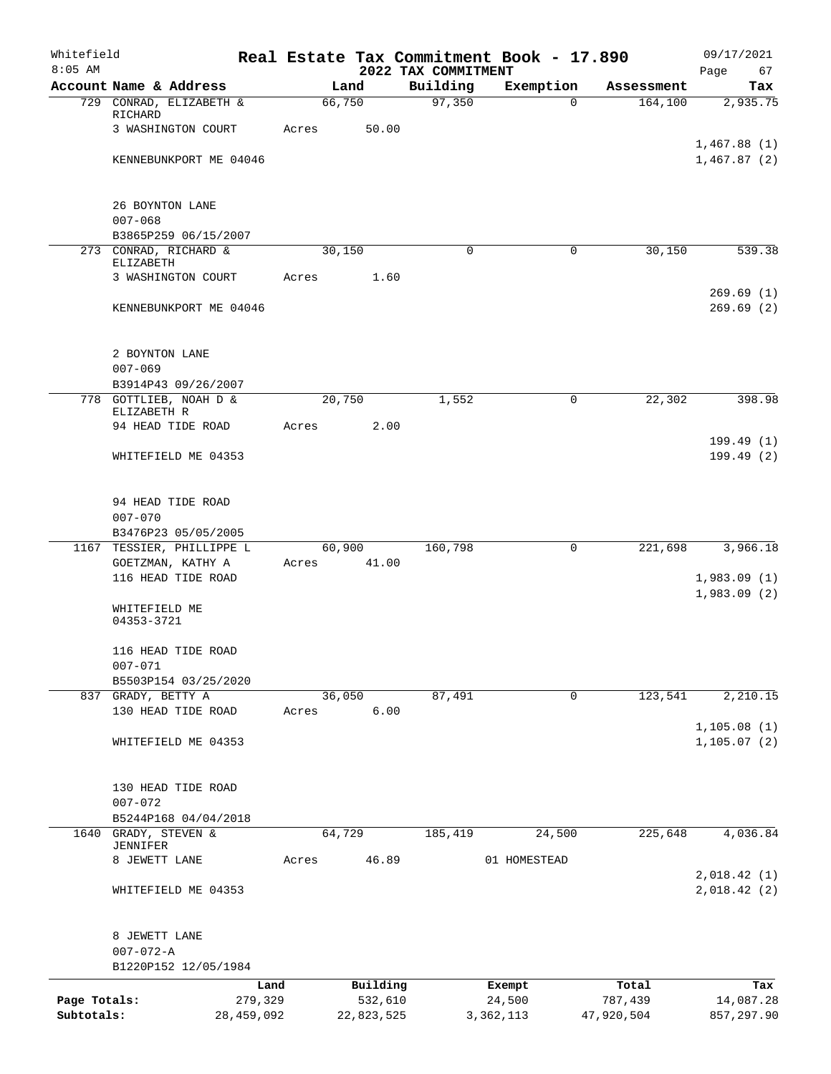| Whitefield                 |                                    |                         |       |        |                       |                                 | Real Estate Tax Commitment Book - 17.890 |                        | 09/17/2021                 |
|----------------------------|------------------------------------|-------------------------|-------|--------|-----------------------|---------------------------------|------------------------------------------|------------------------|----------------------------|
| $8:05$ AM                  | Account Name & Address             |                         |       | Land   |                       | 2022 TAX COMMITMENT<br>Building | Exemption                                | Assessment             | 67<br>Page<br>Tax          |
|                            | 729 CONRAD, ELIZABETH &            |                         |       | 66,750 |                       | 97,350                          |                                          | 164, 100<br>$\Omega$   | 2,935.75                   |
|                            | RICHARD                            |                         |       |        |                       |                                 |                                          |                        |                            |
|                            | 3 WASHINGTON COURT                 |                         | Acres |        | 50.00                 |                                 |                                          |                        |                            |
|                            | KENNEBUNKPORT ME 04046             |                         |       |        |                       |                                 |                                          |                        | 1,467.88(1)<br>1,467.87(2) |
|                            |                                    |                         |       |        |                       |                                 |                                          |                        |                            |
|                            | 26 BOYNTON LANE                    |                         |       |        |                       |                                 |                                          |                        |                            |
|                            | $007 - 068$                        |                         |       |        |                       |                                 |                                          |                        |                            |
|                            | B3865P259 06/15/2007               |                         |       |        |                       |                                 |                                          |                        |                            |
|                            | 273 CONRAD, RICHARD &              |                         |       | 30,150 |                       | 0                               |                                          | $\mathbf 0$<br>30,150  | 539.38                     |
|                            | ELIZABETH<br>3 WASHINGTON COURT    |                         | Acres |        | 1.60                  |                                 |                                          |                        |                            |
|                            |                                    |                         |       |        |                       |                                 |                                          |                        | 269.69(1)                  |
|                            | KENNEBUNKPORT ME 04046             |                         |       |        |                       |                                 |                                          |                        | 269.69(2)                  |
|                            |                                    |                         |       |        |                       |                                 |                                          |                        |                            |
|                            | 2 BOYNTON LANE                     |                         |       |        |                       |                                 |                                          |                        |                            |
|                            | $007 - 069$                        |                         |       |        |                       |                                 |                                          |                        |                            |
|                            | B3914P43 09/26/2007                |                         |       |        |                       |                                 |                                          |                        |                            |
|                            | 778 GOTTLIEB, NOAH D &             |                         |       | 20,750 |                       | 1,552                           |                                          | 22,302<br>0            | 398.98                     |
|                            | ELIZABETH R<br>94 HEAD TIDE ROAD   |                         | Acres |        | 2.00                  |                                 |                                          |                        |                            |
|                            |                                    |                         |       |        |                       |                                 |                                          |                        | 199.49(1)                  |
|                            | WHITEFIELD ME 04353                |                         |       |        |                       |                                 |                                          |                        | 199.49(2)                  |
|                            |                                    |                         |       |        |                       |                                 |                                          |                        |                            |
|                            |                                    |                         |       |        |                       |                                 |                                          |                        |                            |
|                            | 94 HEAD TIDE ROAD<br>$007 - 070$   |                         |       |        |                       |                                 |                                          |                        |                            |
|                            | B3476P23 05/05/2005                |                         |       |        |                       |                                 |                                          |                        |                            |
|                            | 1167 TESSIER, PHILLIPPE L          |                         |       | 60,900 |                       | 160,798                         |                                          | $\mathbf 0$<br>221,698 | 3,966.18                   |
|                            | GOETZMAN, KATHY A                  |                         | Acres |        | 41.00                 |                                 |                                          |                        |                            |
|                            | 116 HEAD TIDE ROAD                 |                         |       |        |                       |                                 |                                          |                        | 1,983.09(1)                |
|                            | WHITEFIELD ME                      |                         |       |        |                       |                                 |                                          |                        | 1,983.09(2)                |
|                            | 04353-3721                         |                         |       |        |                       |                                 |                                          |                        |                            |
|                            |                                    |                         |       |        |                       |                                 |                                          |                        |                            |
|                            | 116 HEAD TIDE ROAD<br>$007 - 071$  |                         |       |        |                       |                                 |                                          |                        |                            |
|                            | B5503P154 03/25/2020               |                         |       |        |                       |                                 |                                          |                        |                            |
|                            | 837 GRADY, BETTY A                 |                         |       | 36,050 |                       | 87,491                          |                                          | $\mathbf 0$<br>123,541 | 2,210.15                   |
|                            | 130 HEAD TIDE ROAD                 |                         | Acres |        | 6.00                  |                                 |                                          |                        |                            |
|                            |                                    |                         |       |        |                       |                                 |                                          |                        | 1,105.08(1)                |
|                            | WHITEFIELD ME 04353                |                         |       |        |                       |                                 |                                          |                        | 1, 105.07(2)               |
|                            |                                    |                         |       |        |                       |                                 |                                          |                        |                            |
|                            | 130 HEAD TIDE ROAD                 |                         |       |        |                       |                                 |                                          |                        |                            |
|                            | $007 - 072$                        |                         |       |        |                       |                                 |                                          |                        |                            |
|                            | B5244P168 04/04/2018               |                         |       |        |                       |                                 |                                          |                        |                            |
| 1640                       | GRADY, STEVEN &<br><b>JENNIFER</b> |                         |       | 64,729 |                       | 185,419                         | 24,500                                   | 225,648                | 4,036.84                   |
|                            | 8 JEWETT LANE                      |                         | Acres |        | 46.89                 |                                 | 01 HOMESTEAD                             |                        |                            |
|                            |                                    |                         |       |        |                       |                                 |                                          |                        | 2,018.42(1)                |
|                            | WHITEFIELD ME 04353                |                         |       |        |                       |                                 |                                          |                        | 2,018.42(2)                |
|                            |                                    |                         |       |        |                       |                                 |                                          |                        |                            |
|                            | 8 JEWETT LANE                      |                         |       |        |                       |                                 |                                          |                        |                            |
|                            | $007 - 072 - A$                    |                         |       |        |                       |                                 |                                          |                        |                            |
|                            | B1220P152 12/05/1984               |                         |       |        |                       |                                 |                                          |                        |                            |
|                            |                                    | Land                    |       |        | Building              |                                 | Exempt                                   | Total                  | Tax                        |
| Page Totals:<br>Subtotals: |                                    | 279,329<br>28, 459, 092 |       |        | 532,610<br>22,823,525 |                                 | 24,500<br>3, 362, 113                    | 787,439<br>47,920,504  | 14,087.28<br>857,297.90    |
|                            |                                    |                         |       |        |                       |                                 |                                          |                        |                            |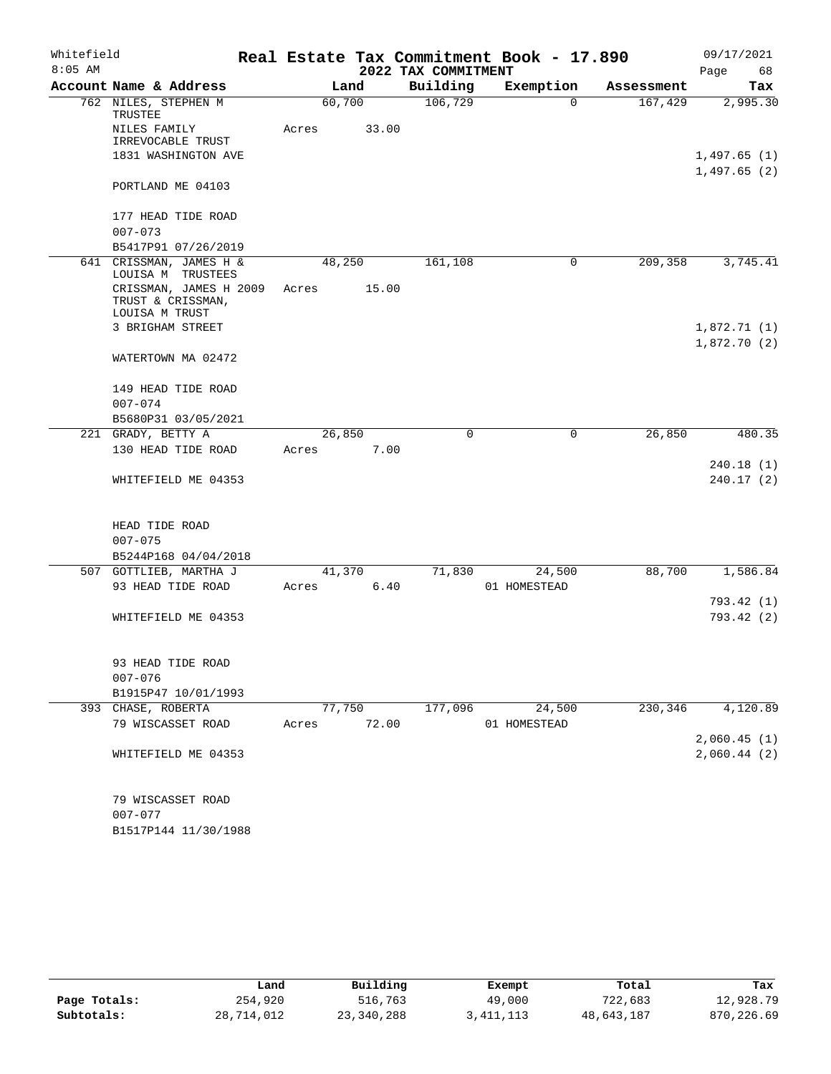| Whitefield |                                                               |        | 09/17/2021<br>Real Estate Tax Commitment Book - 17.890 |                     |              |            |             |  |  |
|------------|---------------------------------------------------------------|--------|--------------------------------------------------------|---------------------|--------------|------------|-------------|--|--|
| $8:05$ AM  |                                                               |        |                                                        | 2022 TAX COMMITMENT |              |            | Page<br>68  |  |  |
|            | Account Name & Address                                        |        | Land                                                   | Building            | Exemption    | Assessment | Tax         |  |  |
|            | 762 NILES, STEPHEN M<br>TRUSTEE                               | 60,700 |                                                        | 106,729             | $\Omega$     | 167,429    | 2,995.30    |  |  |
|            | NILES FAMILY                                                  | Acres  | 33.00                                                  |                     |              |            |             |  |  |
|            | IRREVOCABLE TRUST                                             |        |                                                        |                     |              |            |             |  |  |
|            | 1831 WASHINGTON AVE                                           |        |                                                        |                     |              |            | 1,497.65(1) |  |  |
|            |                                                               |        |                                                        |                     |              |            | 1,497.65(2) |  |  |
|            | PORTLAND ME 04103                                             |        |                                                        |                     |              |            |             |  |  |
|            | 177 HEAD TIDE ROAD                                            |        |                                                        |                     |              |            |             |  |  |
|            | $007 - 073$                                                   |        |                                                        |                     |              |            |             |  |  |
|            | B5417P91 07/26/2019                                           |        |                                                        |                     |              |            |             |  |  |
|            | 641 CRISSMAN, JAMES H &<br>LOUISA M TRUSTEES                  | 48,250 |                                                        | 161,108             | 0            | 209,358    | 3,745.41    |  |  |
|            | CRISSMAN, JAMES H 2009<br>TRUST & CRISSMAN,<br>LOUISA M TRUST | Acres  | 15.00                                                  |                     |              |            |             |  |  |
|            | 3 BRIGHAM STREET                                              |        |                                                        |                     |              |            | 1,872.71(1) |  |  |
|            |                                                               |        |                                                        |                     |              |            | 1,872.70(2) |  |  |
|            | WATERTOWN MA 02472                                            |        |                                                        |                     |              |            |             |  |  |
|            | 149 HEAD TIDE ROAD                                            |        |                                                        |                     |              |            |             |  |  |
|            | $007 - 074$                                                   |        |                                                        |                     |              |            |             |  |  |
|            | B5680P31 03/05/2021                                           |        |                                                        |                     |              |            |             |  |  |
|            | 221 GRADY, BETTY A                                            | 26,850 |                                                        | $\Omega$            | 0            | 26,850     | 480.35      |  |  |
|            | 130 HEAD TIDE ROAD                                            | Acres  | 7.00                                                   |                     |              |            |             |  |  |
|            |                                                               |        |                                                        |                     |              |            | 240.18(1)   |  |  |
|            | WHITEFIELD ME 04353                                           |        |                                                        |                     |              |            | 240.17 (2)  |  |  |
|            | HEAD TIDE ROAD                                                |        |                                                        |                     |              |            |             |  |  |
|            | $007 - 075$                                                   |        |                                                        |                     |              |            |             |  |  |
|            | B5244P168 04/04/2018                                          |        |                                                        |                     |              |            |             |  |  |
|            | 507 GOTTLIEB, MARTHA J                                        |        | 41,370                                                 | 71,830              | 24,500       | 88,700     | 1,586.84    |  |  |
|            | 93 HEAD TIDE ROAD                                             | Acres  | 6.40                                                   |                     | 01 HOMESTEAD |            |             |  |  |
|            |                                                               |        |                                                        |                     |              |            | 793.42(1)   |  |  |
|            | WHITEFIELD ME 04353                                           |        |                                                        |                     |              |            | 793.42 (2)  |  |  |
|            | 93 HEAD TIDE ROAD                                             |        |                                                        |                     |              |            |             |  |  |
|            | $007 - 076$                                                   |        |                                                        |                     |              |            |             |  |  |
|            | B1915P47 10/01/1993                                           |        |                                                        |                     |              |            |             |  |  |
|            | 393 CHASE, ROBERTA                                            |        | 77,750                                                 | 177,096             | 24,500       | 230,346    | 4,120.89    |  |  |
|            | 79 WISCASSET ROAD                                             | Acres  | 72.00                                                  |                     | 01 HOMESTEAD |            |             |  |  |
|            |                                                               |        |                                                        |                     |              |            | 2,060.45(1) |  |  |
|            | WHITEFIELD ME 04353                                           |        |                                                        |                     |              |            | 2,060.44(2) |  |  |
|            | 79 WISCASSET ROAD                                             |        |                                                        |                     |              |            |             |  |  |
|            | $007 - 077$                                                   |        |                                                        |                     |              |            |             |  |  |
|            | B1517P144 11/30/1988                                          |        |                                                        |                     |              |            |             |  |  |

|              | Land       | Building   | Exempt    | Total      | Tax         |
|--------------|------------|------------|-----------|------------|-------------|
| Page Totals: | 254,920    | 516,763    | 49,000    | 722,683    | 12,928.79   |
| Subtotals:   | 28,714,012 | 23,340,288 | 3,411,113 | 48,643,187 | 870, 226.69 |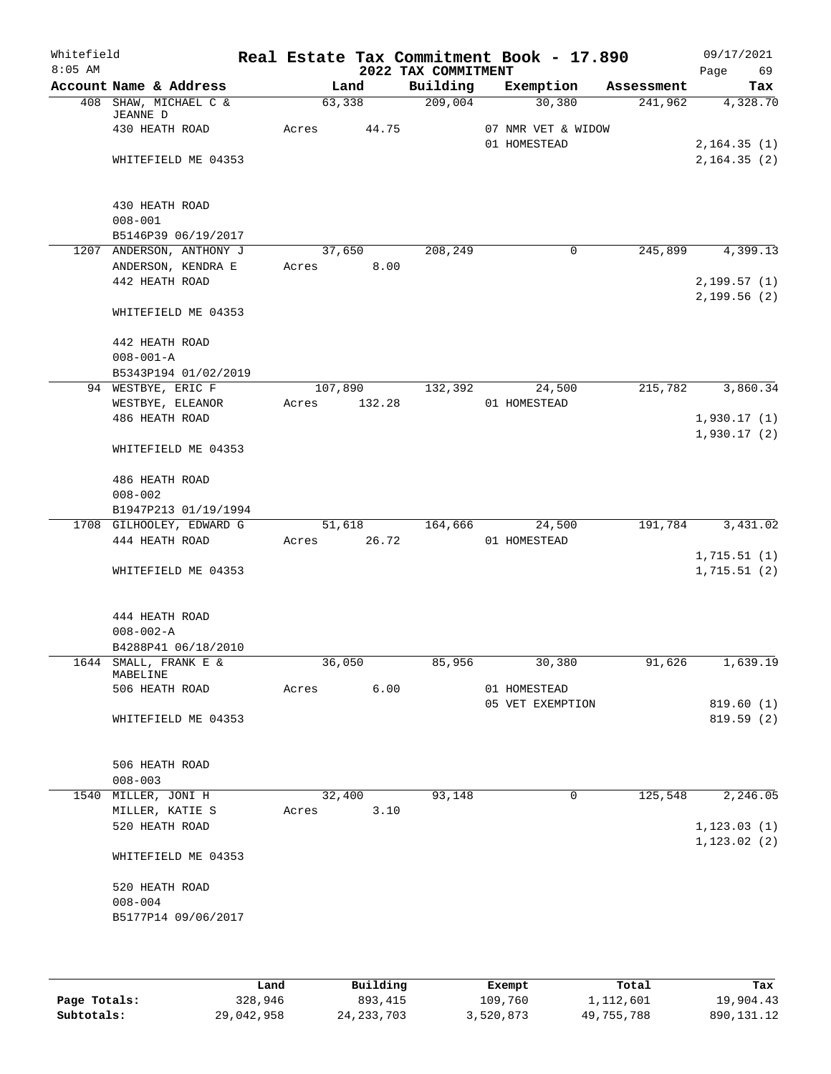| Whitefield<br>$8:05$ AM |                          |       |         | 2022 TAX COMMITMENT | Real Estate Tax Commitment Book - 17.890 |            | 09/17/2021<br>Page | 69        |
|-------------------------|--------------------------|-------|---------|---------------------|------------------------------------------|------------|--------------------|-----------|
|                         | Account Name & Address   |       | Land    | Building            | Exemption                                | Assessment |                    | Tax       |
|                         | 408 SHAW, MICHAEL C &    |       | 63,338  | 209,004             | 30,380                                   | 241,962    |                    | 4,328.70  |
|                         | JEANNE D                 |       |         |                     |                                          |            |                    |           |
|                         | 430 HEATH ROAD           | Acres | 44.75   |                     | 07 NMR VET & WIDOW<br>01 HOMESTEAD       |            | 2, 164.35(1)       |           |
|                         | WHITEFIELD ME 04353      |       |         |                     |                                          |            | 2, 164.35(2)       |           |
|                         |                          |       |         |                     |                                          |            |                    |           |
|                         |                          |       |         |                     |                                          |            |                    |           |
|                         | 430 HEATH ROAD           |       |         |                     |                                          |            |                    |           |
|                         | $008 - 001$              |       |         |                     |                                          |            |                    |           |
|                         | B5146P39 06/19/2017      |       |         |                     |                                          |            |                    |           |
|                         | 1207 ANDERSON, ANTHONY J |       | 37,650  | 208,249             | 0                                        | 245,899    |                    | 4,399.13  |
|                         | ANDERSON, KENDRA E       | Acres | 8.00    |                     |                                          |            |                    |           |
|                         | 442 HEATH ROAD           |       |         |                     |                                          |            | 2,199.57(1)        |           |
|                         | WHITEFIELD ME 04353      |       |         |                     |                                          |            | 2,199.56(2)        |           |
|                         |                          |       |         |                     |                                          |            |                    |           |
|                         | 442 HEATH ROAD           |       |         |                     |                                          |            |                    |           |
|                         | $008 - 001 - A$          |       |         |                     |                                          |            |                    |           |
|                         | B5343P194 01/02/2019     |       |         |                     |                                          |            |                    |           |
|                         | 94 WESTBYE, ERIC F       |       | 107,890 | 132,392             | 24,500                                   | 215,782    |                    | 3,860.34  |
|                         | WESTBYE, ELEANOR         | Acres | 132.28  |                     | 01 HOMESTEAD                             |            |                    |           |
|                         | 486 HEATH ROAD           |       |         |                     |                                          |            | 1,930.17(1)        |           |
|                         |                          |       |         |                     |                                          |            | 1,930.17(2)        |           |
|                         | WHITEFIELD ME 04353      |       |         |                     |                                          |            |                    |           |
|                         | 486 HEATH ROAD           |       |         |                     |                                          |            |                    |           |
|                         | $008 - 002$              |       |         |                     |                                          |            |                    |           |
|                         | B1947P213 01/19/1994     |       |         |                     |                                          |            |                    |           |
|                         | 1708 GILHOOLEY, EDWARD G |       | 51,618  | 164,666             | 24,500                                   | 191,784    |                    | 3,431.02  |
|                         | 444 HEATH ROAD           | Acres | 26.72   |                     | 01 HOMESTEAD                             |            |                    |           |
|                         |                          |       |         |                     |                                          |            | 1,715.51(1)        |           |
|                         | WHITEFIELD ME 04353      |       |         |                     |                                          |            | 1,715.51(2)        |           |
|                         |                          |       |         |                     |                                          |            |                    |           |
|                         | 444 HEATH ROAD           |       |         |                     |                                          |            |                    |           |
|                         | $008 - 002 - A$          |       |         |                     |                                          |            |                    |           |
|                         | B4288P41 06/18/2010      |       |         |                     |                                          |            |                    |           |
| 1644                    | SMALL, FRANK E &         |       | 36,050  | 85,956              | 30,380                                   | 91,626     |                    | 1,639.19  |
|                         | MABELINE                 |       |         |                     |                                          |            |                    |           |
|                         | 506 HEATH ROAD           | Acres | 6.00    |                     | 01 HOMESTEAD                             |            |                    |           |
|                         |                          |       |         |                     | 05 VET EXEMPTION                         |            |                    | 819.60(1) |
|                         | WHITEFIELD ME 04353      |       |         |                     |                                          |            |                    | 819.59(2) |
|                         |                          |       |         |                     |                                          |            |                    |           |
|                         | 506 HEATH ROAD           |       |         |                     |                                          |            |                    |           |
|                         | $008 - 003$              |       |         |                     |                                          |            |                    |           |
|                         | 1540 MILLER, JONI H      |       | 32,400  | 93,148              | 0                                        | 125,548    |                    | 2,246.05  |
|                         | MILLER, KATIE S          | Acres | 3.10    |                     |                                          |            |                    |           |
|                         | 520 HEATH ROAD           |       |         |                     |                                          |            | 1, 123.03(1)       |           |
|                         |                          |       |         |                     |                                          |            | 1, 123.02(2)       |           |
|                         | WHITEFIELD ME 04353      |       |         |                     |                                          |            |                    |           |
|                         | 520 HEATH ROAD           |       |         |                     |                                          |            |                    |           |
|                         | $008 - 004$              |       |         |                     |                                          |            |                    |           |
|                         | B5177P14 09/06/2017      |       |         |                     |                                          |            |                    |           |
|                         |                          |       |         |                     |                                          |            |                    |           |
|                         |                          |       |         |                     |                                          |            |                    |           |

|              | Land       | Building     | Exempt    | Total      | Tax          |
|--------------|------------|--------------|-----------|------------|--------------|
| Page Totals: | 328,946    | 893,415      | 109,760   | 1,112,601  | 19,904.43    |
| Subtotals:   | 29,042,958 | 24, 233, 703 | 3,520,873 | 49,755,788 | 890, 131, 12 |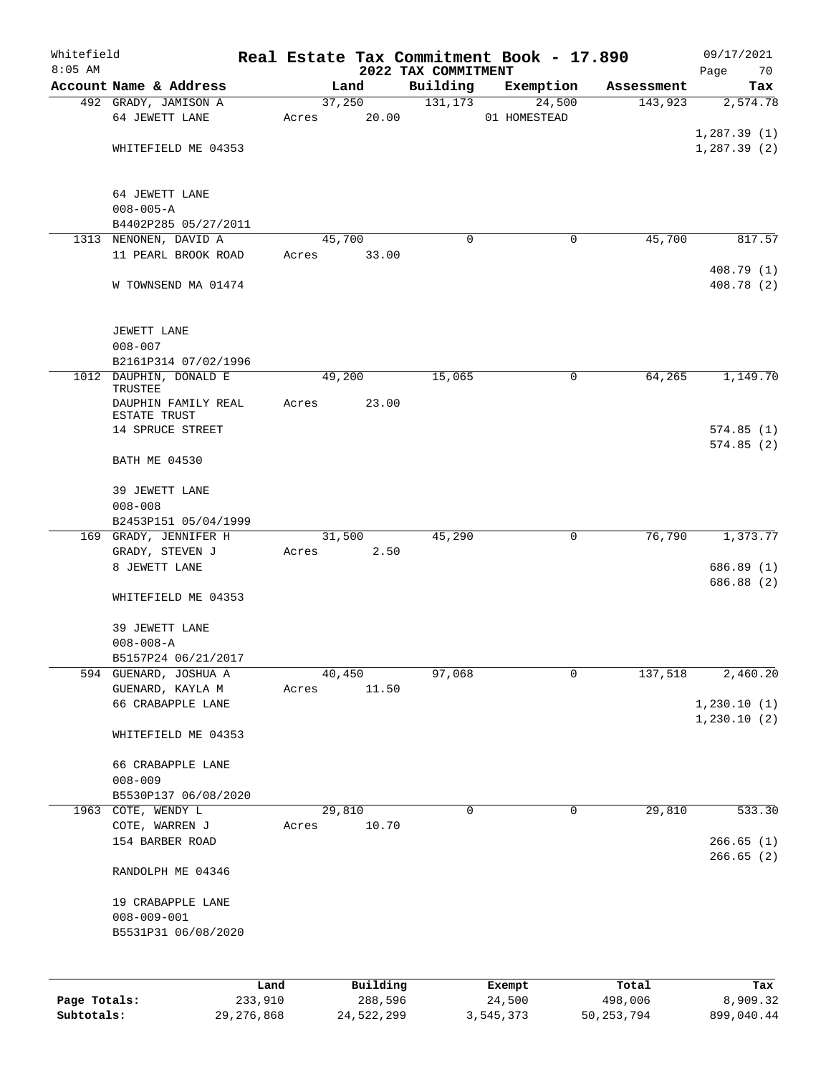| Whitefield   |                                     |         |       |        |          |                                 | Real Estate Tax Commitment Book - 17.890 |            | 09/17/2021             |
|--------------|-------------------------------------|---------|-------|--------|----------|---------------------------------|------------------------------------------|------------|------------------------|
| $8:05$ AM    | Account Name & Address              |         |       | Land   |          | 2022 TAX COMMITMENT<br>Building | Exemption                                | Assessment | 70<br>Page<br>Tax      |
|              | 492 GRADY, JAMISON A                |         |       | 37,250 |          | 131, 173                        | 24,500                                   | 143,923    | 2,574.78               |
|              | 64 JEWETT LANE                      |         | Acres |        | 20.00    |                                 | 01 HOMESTEAD                             |            |                        |
|              |                                     |         |       |        |          |                                 |                                          |            | 1,287.39(1)            |
|              | WHITEFIELD ME 04353                 |         |       |        |          |                                 |                                          |            | 1, 287.39(2)           |
|              |                                     |         |       |        |          |                                 |                                          |            |                        |
|              |                                     |         |       |        |          |                                 |                                          |            |                        |
|              | 64 JEWETT LANE                      |         |       |        |          |                                 |                                          |            |                        |
|              | $008 - 005 - A$                     |         |       |        |          |                                 |                                          |            |                        |
|              | B4402P285 05/27/2011                |         |       |        |          |                                 |                                          |            |                        |
|              | 1313 NENONEN, DAVID A               |         |       | 45,700 |          | $\Omega$                        | 0                                        | 45,700     | 817.57                 |
|              | 11 PEARL BROOK ROAD                 |         | Acres |        | 33.00    |                                 |                                          |            |                        |
|              |                                     |         |       |        |          |                                 |                                          |            | 408.79 (1)             |
|              | W TOWNSEND MA 01474                 |         |       |        |          |                                 |                                          |            | 408.78 (2)             |
|              |                                     |         |       |        |          |                                 |                                          |            |                        |
|              |                                     |         |       |        |          |                                 |                                          |            |                        |
|              | JEWETT LANE<br>$008 - 007$          |         |       |        |          |                                 |                                          |            |                        |
|              | B2161P314 07/02/1996                |         |       |        |          |                                 |                                          |            |                        |
|              | 1012 DAUPHIN, DONALD E              |         |       | 49,200 |          | 15,065                          | 0                                        | 64,265     | 1,149.70               |
|              | TRUSTEE                             |         |       |        |          |                                 |                                          |            |                        |
|              | DAUPHIN FAMILY REAL                 |         | Acres |        | 23.00    |                                 |                                          |            |                        |
|              | ESTATE TRUST                        |         |       |        |          |                                 |                                          |            |                        |
|              | 14 SPRUCE STREET                    |         |       |        |          |                                 |                                          |            | 574.85(1)              |
|              |                                     |         |       |        |          |                                 |                                          |            | 574.85(2)              |
|              | <b>BATH ME 04530</b>                |         |       |        |          |                                 |                                          |            |                        |
|              | 39 JEWETT LANE                      |         |       |        |          |                                 |                                          |            |                        |
|              |                                     |         |       |        |          |                                 |                                          |            |                        |
|              | $008 - 008$<br>B2453P151 05/04/1999 |         |       |        |          |                                 |                                          |            |                        |
|              | 169 GRADY, JENNIFER H               |         |       | 31,500 |          | 45,290                          | 0                                        | 76,790     | 1,373.77               |
|              | GRADY, STEVEN J                     |         | Acres |        | 2.50     |                                 |                                          |            |                        |
|              | 8 JEWETT LANE                       |         |       |        |          |                                 |                                          |            | 686.89(1)              |
|              |                                     |         |       |        |          |                                 |                                          |            | 686.88 (2)             |
|              | WHITEFIELD ME 04353                 |         |       |        |          |                                 |                                          |            |                        |
|              |                                     |         |       |        |          |                                 |                                          |            |                        |
|              | 39 JEWETT LANE                      |         |       |        |          |                                 |                                          |            |                        |
|              | $008 - 008 - A$                     |         |       |        |          |                                 |                                          |            |                        |
|              | B5157P24 06/21/2017                 |         |       |        |          |                                 |                                          |            |                        |
| 594          | GUENARD, JOSHUA A                   |         |       | 40,450 |          | 97,068                          | 0                                        | 137,518    | 2,460.20               |
|              | GUENARD, KAYLA M                    |         | Acres |        | 11.50    |                                 |                                          |            |                        |
|              | 66 CRABAPPLE LANE                   |         |       |        |          |                                 |                                          |            | 1,230.10(1)            |
|              |                                     |         |       |        |          |                                 |                                          |            | 1,230.10(2)            |
|              | WHITEFIELD ME 04353                 |         |       |        |          |                                 |                                          |            |                        |
|              |                                     |         |       |        |          |                                 |                                          |            |                        |
|              | 66 CRABAPPLE LANE                   |         |       |        |          |                                 |                                          |            |                        |
|              | $008 - 009$                         |         |       |        |          |                                 |                                          |            |                        |
|              | B5530P137 06/08/2020                |         |       |        |          |                                 |                                          |            |                        |
|              | 1963 COTE, WENDY L                  |         |       | 29,810 |          | 0                               | 0                                        | 29,810     | 533.30                 |
|              | COTE, WARREN J                      |         | Acres |        | 10.70    |                                 |                                          |            |                        |
|              | 154 BARBER ROAD                     |         |       |        |          |                                 |                                          |            | 266.65(1)<br>266.65(2) |
|              | RANDOLPH ME 04346                   |         |       |        |          |                                 |                                          |            |                        |
|              |                                     |         |       |        |          |                                 |                                          |            |                        |
|              | 19 CRABAPPLE LANE                   |         |       |        |          |                                 |                                          |            |                        |
|              | $008 - 009 - 001$                   |         |       |        |          |                                 |                                          |            |                        |
|              | B5531P31 06/08/2020                 |         |       |        |          |                                 |                                          |            |                        |
|              |                                     |         |       |        |          |                                 |                                          |            |                        |
|              |                                     |         |       |        |          |                                 |                                          |            |                        |
|              |                                     | Land    |       |        | Building |                                 | Exempt                                   | Total      | Tax                    |
| Page Totals: |                                     | 233,910 |       |        | 288,596  |                                 | 24,500                                   | 498,006    | 8,909.32               |

**Subtotals:** 29,276,868 24,522,299 3,545,373 50,253,794 899,040.44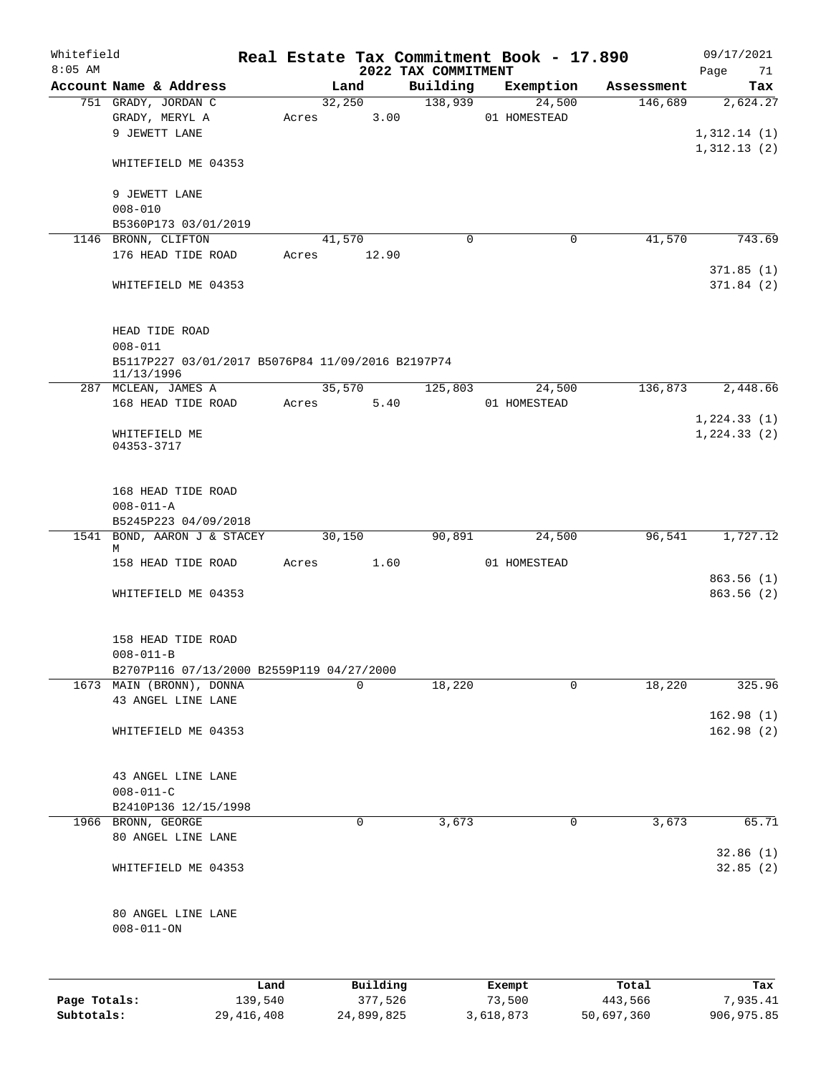| Whitefield<br>$8:05$ AM |                                                                                    |       |                     | 2022 TAX COMMITMENT | Real Estate Tax Commitment Book - 17.890 |                  | 09/17/2021<br>71<br>Page               |
|-------------------------|------------------------------------------------------------------------------------|-------|---------------------|---------------------|------------------------------------------|------------------|----------------------------------------|
|                         | Account Name & Address                                                             |       | Land                | Building            | Exemption                                | Assessment       | Tax                                    |
|                         | 751 GRADY, JORDAN C<br>GRADY, MERYL A<br>9 JEWETT LANE                             | Acres | 32,250<br>3.00      | 138,939             | 24,500<br>01 HOMESTEAD                   | 146,689          | 2,624.27<br>1,312.14(1)<br>1,312.13(2) |
|                         | WHITEFIELD ME 04353<br>9 JEWETT LANE<br>$008 - 010$                                |       |                     |                     |                                          |                  |                                        |
|                         | B5360P173 03/01/2019                                                               |       |                     |                     |                                          |                  |                                        |
|                         | 1146 BRONN, CLIFTON                                                                |       | 41,570              | $\mathbf 0$         | 0                                        | 41,570           | 743.69                                 |
|                         | 176 HEAD TIDE ROAD                                                                 | Acres | 12.90               |                     |                                          |                  | 371.85(1)                              |
|                         | WHITEFIELD ME 04353                                                                |       |                     |                     |                                          |                  | 371.84(2)                              |
|                         | HEAD TIDE ROAD<br>$008 - 011$                                                      |       |                     |                     |                                          |                  |                                        |
|                         | B5117P227 03/01/2017 B5076P84 11/09/2016 B2197P74<br>11/13/1996                    |       |                     |                     |                                          |                  |                                        |
|                         | 287 MCLEAN, JAMES A                                                                |       | 35,570              | 125,803             | 24,500                                   | 136,873          | 2,448.66                               |
|                         | 168 HEAD TIDE ROAD                                                                 | Acres | 5.40                |                     | 01 HOMESTEAD                             |                  | 1, 224.33(1)                           |
|                         | WHITEFIELD ME<br>04353-3717                                                        |       |                     |                     |                                          |                  | 1, 224.33(2)                           |
|                         | 168 HEAD TIDE ROAD<br>$008 - 011 - A$<br>B5245P223 04/09/2018                      |       |                     |                     |                                          |                  |                                        |
|                         | 1541 BOND, AARON J & STACEY                                                        |       | 30,150              | 90,891              | 24,500                                   | 96,541           | 1,727.12                               |
|                         | М<br>158 HEAD TIDE ROAD                                                            | Acres | 1.60                |                     | 01 HOMESTEAD                             |                  |                                        |
|                         | WHITEFIELD ME 04353                                                                |       |                     |                     |                                          |                  | 863.56(1)<br>863.56(2)                 |
|                         | 158 HEAD TIDE ROAD<br>$008 - 011 - B$<br>B2707P116 07/13/2000 B2559P119 04/27/2000 |       |                     |                     |                                          |                  |                                        |
|                         | 1673 MAIN (BRONN), DONNA                                                           |       | $\Omega$            | 18,220              | $\Omega$                                 | 18,220           | 325.96                                 |
|                         | 43 ANGEL LINE LANE                                                                 |       |                     |                     |                                          |                  |                                        |
|                         | WHITEFIELD ME 04353                                                                |       |                     |                     |                                          |                  | 162.98(1)<br>162.98(2)                 |
|                         | 43 ANGEL LINE LANE<br>$008 - 011 - C$                                              |       |                     |                     |                                          |                  |                                        |
|                         | B2410P136 12/15/1998                                                               |       |                     |                     |                                          |                  |                                        |
|                         | 1966 BRONN, GEORGE<br>80 ANGEL LINE LANE                                           |       | 0                   | 3,673               | 0                                        | 3,673            | 65.71                                  |
|                         | WHITEFIELD ME 04353                                                                |       |                     |                     |                                          |                  | 32.86(1)<br>32.85(2)                   |
|                         | 80 ANGEL LINE LANE<br>$008 - 011 - ON$                                             |       |                     |                     |                                          |                  |                                        |
|                         |                                                                                    |       |                     |                     |                                          |                  |                                        |
| Page Totals:            | 139,540                                                                            | Land  | Building<br>377,526 |                     | Exempt<br>73,500                         | Total<br>443,566 | Tax<br>7,935.41                        |

**Subtotals:** 29,416,408 24,899,825 3,618,873 50,697,360 906,975.85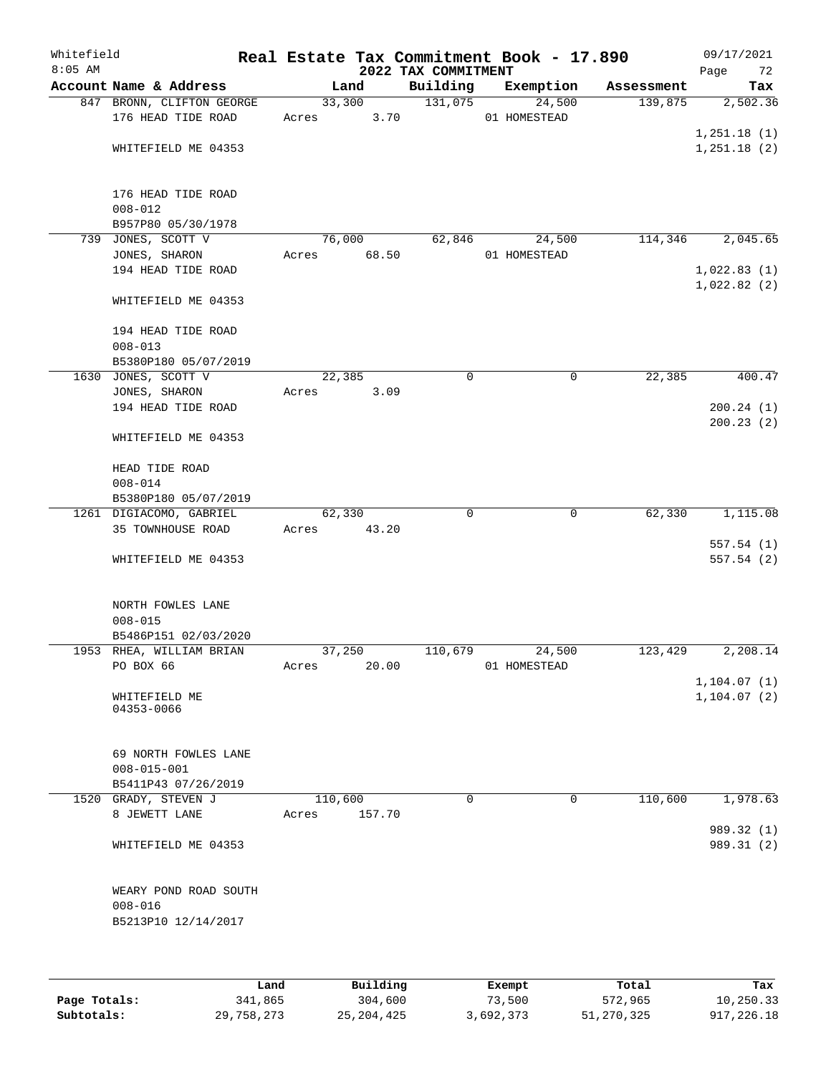| Whitefield<br>$8:05$ AM |                                                 | Real Estate Tax Commitment Book - 17.890 | 2022 TAX COMMITMENT |                        |            | 09/17/2021<br>Page<br>72     |
|-------------------------|-------------------------------------------------|------------------------------------------|---------------------|------------------------|------------|------------------------------|
|                         | Account Name & Address                          | Land                                     | Building            | Exemption              | Assessment | Tax                          |
|                         | 847 BRONN, CLIFTON GEORGE<br>176 HEAD TIDE ROAD | 33,300<br>3.70<br>Acres                  | 131,075             | 24,500<br>01 HOMESTEAD | 139,875    | 2,502.36                     |
|                         |                                                 |                                          |                     |                        |            | 1,251.18(1)                  |
|                         | WHITEFIELD ME 04353                             |                                          |                     |                        |            | 1,251.18(2)                  |
|                         | 176 HEAD TIDE ROAD<br>$008 - 012$               |                                          |                     |                        |            |                              |
|                         | B957P80 05/30/1978                              |                                          |                     |                        |            |                              |
|                         | 739 JONES, SCOTT V                              | 76,000                                   | 62,846              | 24,500                 | 114,346    | 2,045.65                     |
|                         | JONES, SHARON                                   | 68.50<br>Acres                           |                     | 01 HOMESTEAD           |            |                              |
|                         | 194 HEAD TIDE ROAD                              |                                          |                     |                        |            | 1,022.83(1)<br>1,022.82(2)   |
|                         | WHITEFIELD ME 04353                             |                                          |                     |                        |            |                              |
|                         | 194 HEAD TIDE ROAD                              |                                          |                     |                        |            |                              |
|                         | $008 - 013$                                     |                                          |                     |                        |            |                              |
|                         | B5380P180 05/07/2019                            |                                          |                     |                        |            |                              |
|                         | 1630 JONES, SCOTT V                             | 22,385                                   | 0                   | 0                      | 22,385     | 400.47                       |
|                         | JONES, SHARON                                   | 3.09<br>Acres                            |                     |                        |            |                              |
|                         | 194 HEAD TIDE ROAD                              |                                          |                     |                        |            | 200.24(1)<br>200.23(2)       |
|                         | WHITEFIELD ME 04353                             |                                          |                     |                        |            |                              |
|                         | HEAD TIDE ROAD                                  |                                          |                     |                        |            |                              |
|                         | $008 - 014$                                     |                                          |                     |                        |            |                              |
|                         | B5380P180 05/07/2019                            |                                          |                     |                        |            |                              |
|                         | 1261 DIGIACOMO, GABRIEL                         | 62,330                                   | $\Omega$            | 0                      | 62,330     | 1,115.08                     |
|                         | 35 TOWNHOUSE ROAD                               | 43.20<br>Acres                           |                     |                        |            |                              |
|                         | WHITEFIELD ME 04353                             |                                          |                     |                        |            | 557.54(1)<br>557.54(2)       |
|                         |                                                 |                                          |                     |                        |            |                              |
|                         | NORTH FOWLES LANE                               |                                          |                     |                        |            |                              |
|                         | $008 - 015$                                     |                                          |                     |                        |            |                              |
|                         | B5486P151 02/03/2020                            |                                          |                     |                        |            |                              |
|                         | 1953 RHEA, WILLIAM BRIAN                        | 37,250                                   | 110,679             | 24,500                 | 123,429    | 2,208.14                     |
|                         | PO BOX 66                                       | 20.00<br>Acres                           |                     | 01 HOMESTEAD           |            |                              |
|                         |                                                 |                                          |                     |                        |            | 1, 104.07(1)<br>1, 104.07(2) |
|                         | WHITEFIELD ME<br>04353-0066                     |                                          |                     |                        |            |                              |
|                         |                                                 |                                          |                     |                        |            |                              |
|                         | 69 NORTH FOWLES LANE<br>$008 - 015 - 001$       |                                          |                     |                        |            |                              |
|                         | B5411P43 07/26/2019                             |                                          |                     |                        |            |                              |
|                         | 1520 GRADY, STEVEN J                            | 110,600                                  | $\Omega$            | 0                      | 110,600    | 1,978.63                     |
|                         | 8 JEWETT LANE                                   | 157.70<br>Acres                          |                     |                        |            |                              |
|                         |                                                 |                                          |                     |                        |            | 989.32 (1)                   |
|                         | WHITEFIELD ME 04353                             |                                          |                     |                        |            | 989.31 (2)                   |
|                         | WEARY POND ROAD SOUTH                           |                                          |                     |                        |            |                              |
|                         | $008 - 016$                                     |                                          |                     |                        |            |                              |
|                         | B5213P10 12/14/2017                             |                                          |                     |                        |            |                              |
|                         |                                                 |                                          |                     |                        |            |                              |
|                         |                                                 |                                          |                     |                        |            |                              |

|              | Land       | Building     | Exempt    | Total      | Tax        |
|--------------|------------|--------------|-----------|------------|------------|
| Page Totals: | 341,865    | 304,600      | 73,500    | 572,965    | 10,250.33  |
| Subtotals:   | 29,758,273 | 25, 204, 425 | 3,692,373 | 51,270,325 | 917,226.18 |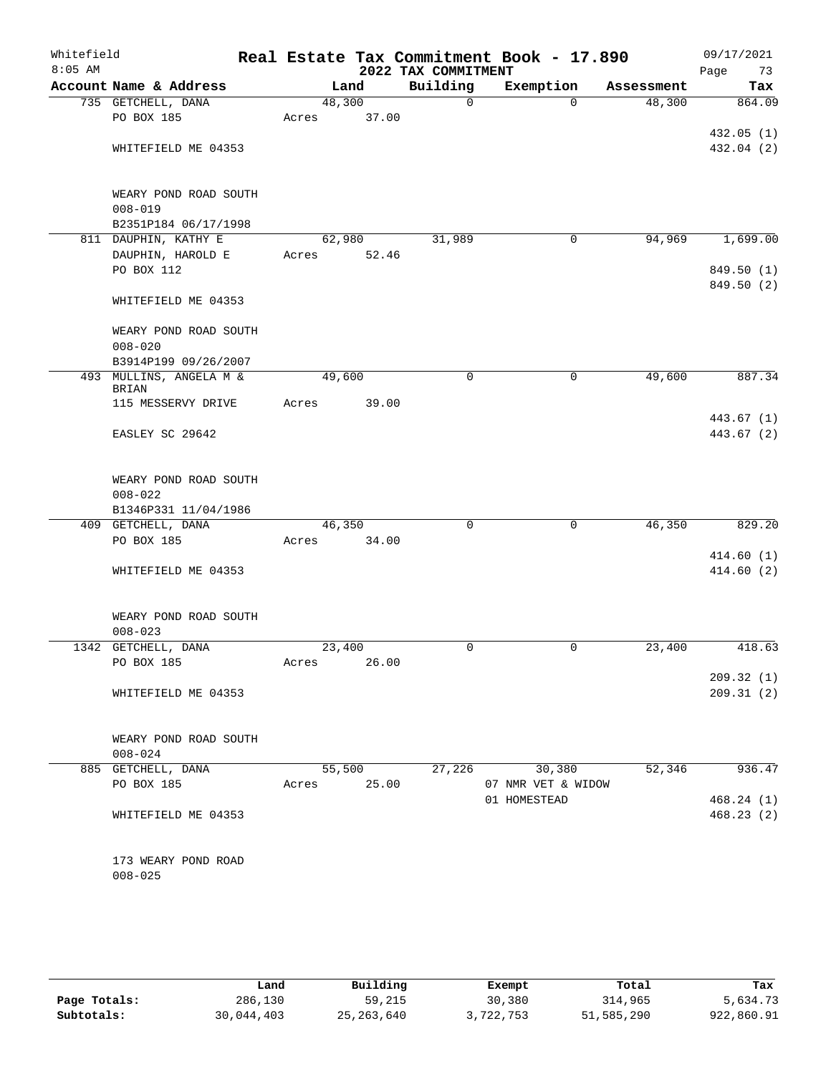| Whitefield<br>$8:05$ AM |                                                 |             |        | 2022 TAX COMMITMENT | Real Estate Tax Commitment Book - 17.890 |            | 09/17/2021<br>Page<br>73 |
|-------------------------|-------------------------------------------------|-------------|--------|---------------------|------------------------------------------|------------|--------------------------|
|                         | Account Name & Address                          |             | Land   | Building            | Exemption                                | Assessment | Tax                      |
|                         | 735 GETCHELL, DANA                              | 48,300      |        | 0                   | $\Omega$                                 | 48,300     | 864.09                   |
|                         | PO BOX 185                                      | Acres       | 37.00  |                     |                                          |            |                          |
|                         |                                                 |             |        |                     |                                          |            | 432.05(1)                |
|                         | WHITEFIELD ME 04353                             |             |        |                     |                                          |            | 432.04 (2)               |
|                         | WEARY POND ROAD SOUTH<br>$008 - 019$            |             |        |                     |                                          |            |                          |
|                         | B2351P184 06/17/1998                            |             |        |                     |                                          |            |                          |
|                         | 811 DAUPHIN, KATHY E                            |             | 62,980 | 31,989              | 0                                        | 94,969     | 1,699.00                 |
|                         | DAUPHIN, HAROLD E                               | Acres       | 52.46  |                     |                                          |            |                          |
|                         | PO BOX 112                                      |             |        |                     |                                          |            | 849.50 (1)               |
|                         | WHITEFIELD ME 04353                             |             |        |                     |                                          |            | 849.50 (2)               |
|                         | WEARY POND ROAD SOUTH                           |             |        |                     |                                          |            |                          |
|                         | $008 - 020$                                     |             |        |                     |                                          |            |                          |
|                         | B3914P199 09/26/2007<br>493 MULLINS, ANGELA M & | 49,600      |        | 0                   | $\mathsf{O}$                             | 49,600     | 887.34                   |
|                         | BRIAN                                           |             |        |                     |                                          |            |                          |
|                         | 115 MESSERVY DRIVE                              | Acres       | 39.00  |                     |                                          |            |                          |
|                         |                                                 |             |        |                     |                                          |            | 443.67 (1)               |
|                         | EASLEY SC 29642                                 |             |        |                     |                                          |            | 443.67 (2)               |
|                         | WEARY POND ROAD SOUTH                           |             |        |                     |                                          |            |                          |
|                         | $008 - 022$                                     |             |        |                     |                                          |            |                          |
|                         | B1346P331 11/04/1986                            |             |        |                     |                                          |            |                          |
|                         | 409 GETCHELL, DANA                              |             | 46,350 | 0                   | 0                                        | 46,350     | 829.20                   |
|                         | PO BOX 185                                      | Acres       | 34.00  |                     |                                          |            |                          |
|                         |                                                 |             |        |                     |                                          |            | 414.60(1)                |
|                         | WHITEFIELD ME 04353                             |             |        |                     |                                          |            | 414.60(2)                |
|                         | WEARY POND ROAD SOUTH                           |             |        |                     |                                          |            |                          |
|                         | $008 - 023$                                     |             |        |                     |                                          |            |                          |
|                         | 1342 GETCHELL, DANA                             | 23,400      |        | 0                   | 0                                        | 23,400     | 418.63                   |
|                         | PO BOX 185                                      | Acres       | 26.00  |                     |                                          |            |                          |
|                         |                                                 |             |        |                     |                                          |            | 209.32(1)                |
|                         | WHITEFIELD ME 04353                             |             |        |                     |                                          |            | 209.31(2)                |
|                         | WEARY POND ROAD SOUTH                           |             |        |                     |                                          |            |                          |
|                         | $008 - 024$                                     |             |        |                     |                                          |            |                          |
|                         | 885 GETCHELL, DANA                              |             | 55,500 | 27,226              | 30,380                                   | 52,346     | 936.47                   |
|                         | PO BOX 185                                      | Acres 25.00 |        |                     | 07 NMR VET & WIDOW                       |            |                          |
|                         |                                                 |             |        |                     | 01 HOMESTEAD                             |            | 468.24(1)                |
|                         | WHITEFIELD ME 04353                             |             |        |                     |                                          |            | 468.23(2)                |
|                         | 173 WEARY POND ROAD                             |             |        |                     |                                          |            |                          |
|                         | $008 - 025$                                     |             |        |                     |                                          |            |                          |
|                         |                                                 |             |        |                     |                                          |            |                          |

|              | Land       | Building     | Exempt    | Total      | Tax        |
|--------------|------------|--------------|-----------|------------|------------|
| Page Totals: | 286,130    | 59,215       | 30,380    | 314,965    | 5,634.73   |
| Subtotals:   | 30,044,403 | 25, 263, 640 | 3,722,753 | 51,585,290 | 922,860.91 |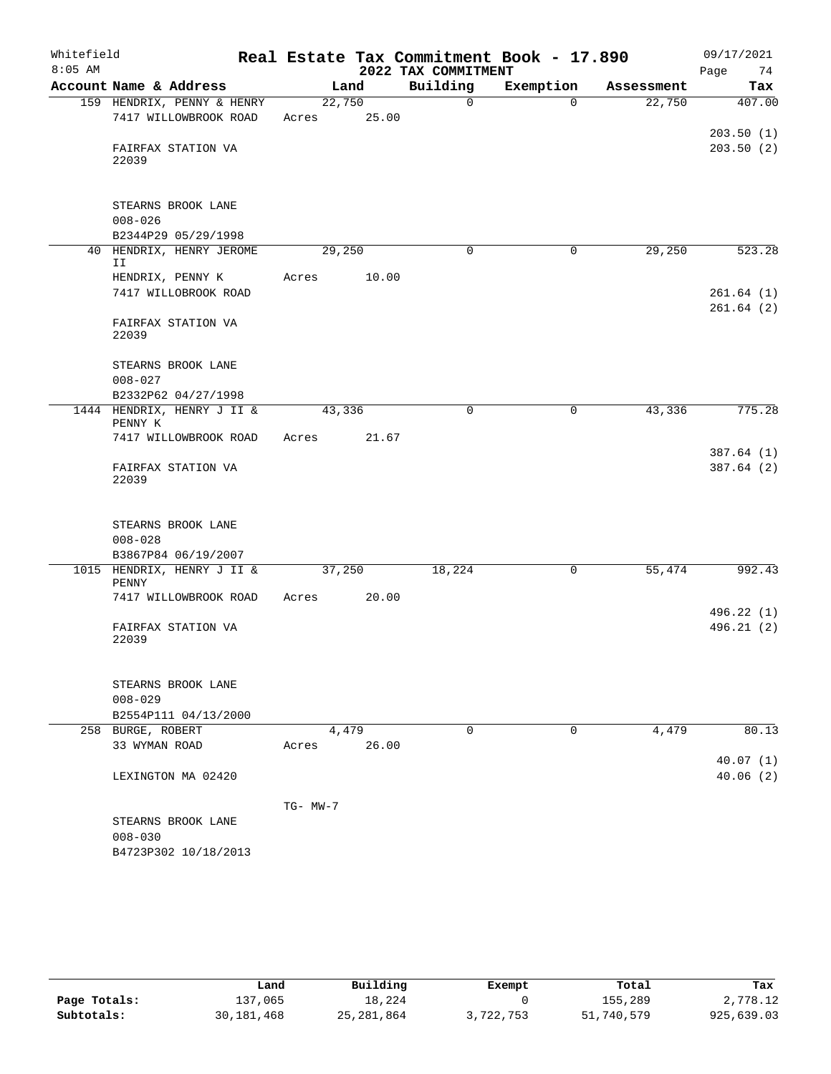| Whitefield |                   |                            |          |       |                     | Real Estate Tax Commitment Book - 17.890 |            | 09/17/2021 |
|------------|-------------------|----------------------------|----------|-------|---------------------|------------------------------------------|------------|------------|
| $8:05$ AM  |                   |                            |          |       | 2022 TAX COMMITMENT |                                          |            | 74<br>Page |
|            |                   | Account Name & Address     |          | Land  | Building            | Exemption                                | Assessment | Tax        |
|            |                   | 159 HENDRIX, PENNY & HENRY | 22,750   |       | $\Omega$            | $\Omega$                                 | 22,750     | 407.00     |
|            |                   | 7417 WILLOWBROOK ROAD      | Acres    | 25.00 |                     |                                          |            |            |
|            |                   | FAIRFAX STATION VA         |          |       |                     |                                          |            | 203.50(1)  |
|            | 22039             |                            |          |       |                     |                                          |            | 203.50(2)  |
|            |                   |                            |          |       |                     |                                          |            |            |
|            |                   |                            |          |       |                     |                                          |            |            |
|            |                   | STEARNS BROOK LANE         |          |       |                     |                                          |            |            |
|            | $008 - 026$       | B2344P29 05/29/1998        |          |       |                     |                                          |            |            |
|            |                   | 40 HENDRIX, HENRY JEROME   | 29,250   |       | 0                   | $\mathbf 0$                              | 29,250     | 523.28     |
|            | II                |                            |          |       |                     |                                          |            |            |
|            |                   | HENDRIX, PENNY K           | Acres    | 10.00 |                     |                                          |            |            |
|            |                   | 7417 WILLOBROOK ROAD       |          |       |                     |                                          |            | 261.64(1)  |
|            |                   |                            |          |       |                     |                                          |            | 261.64(2)  |
|            | 22039             | FAIRFAX STATION VA         |          |       |                     |                                          |            |            |
|            |                   |                            |          |       |                     |                                          |            |            |
|            |                   | STEARNS BROOK LANE         |          |       |                     |                                          |            |            |
|            | $008 - 027$       |                            |          |       |                     |                                          |            |            |
|            |                   | B2332P62 04/27/1998        |          |       |                     |                                          |            |            |
|            | PENNY K           | 1444 HENDRIX, HENRY J II & | 43,336   |       | $\mathbf 0$         | $\mathbf 0$                              | 43,336     | 775.28     |
|            |                   | 7417 WILLOWBROOK ROAD      | Acres    | 21.67 |                     |                                          |            |            |
|            |                   |                            |          |       |                     |                                          |            | 387.64(1)  |
|            |                   | FAIRFAX STATION VA         |          |       |                     |                                          |            | 387.64(2)  |
|            | 22039             |                            |          |       |                     |                                          |            |            |
|            |                   |                            |          |       |                     |                                          |            |            |
|            |                   | STEARNS BROOK LANE         |          |       |                     |                                          |            |            |
|            | $008 - 028$       |                            |          |       |                     |                                          |            |            |
|            |                   | B3867P84 06/19/2007        |          |       |                     |                                          |            |            |
|            |                   | 1015 HENDRIX, HENRY J II & | 37,250   |       | 18,224              | 0                                        | 55,474     | 992.43     |
|            | PENNY             | 7417 WILLOWBROOK ROAD      | Acres    | 20.00 |                     |                                          |            |            |
|            |                   |                            |          |       |                     |                                          |            | 496.22 (1) |
|            |                   | FAIRFAX STATION VA         |          |       |                     |                                          |            | 496.21(2)  |
|            | 22039             |                            |          |       |                     |                                          |            |            |
|            |                   |                            |          |       |                     |                                          |            |            |
|            |                   | STEARNS BROOK LANE         |          |       |                     |                                          |            |            |
|            | $008 - 029$       |                            |          |       |                     |                                          |            |            |
|            |                   | B2554P111 04/13/2000       |          |       |                     |                                          |            |            |
|            | 258 BURGE, ROBERT |                            |          | 4,479 | $\Omega$            | 0                                        | 4,479      | 80.13      |
|            | 33 WYMAN ROAD     |                            | Acres    | 26.00 |                     |                                          |            |            |
|            |                   |                            |          |       |                     |                                          |            | 40.07(1)   |
|            |                   | LEXINGTON MA 02420         |          |       |                     |                                          |            | 40.06(2)   |
|            |                   |                            | TG- MW-7 |       |                     |                                          |            |            |
|            |                   | STEARNS BROOK LANE         |          |       |                     |                                          |            |            |
|            | $008 - 030$       |                            |          |       |                     |                                          |            |            |
|            |                   | B4723P302 10/18/2013       |          |       |                     |                                          |            |            |

|              | Land       | Building     | Exempt    | Total      | Tax        |
|--------------|------------|--------------|-----------|------------|------------|
| Page Totals: | 137,065    | 18,224       |           | 155,289    | 2,778.12   |
| Subtotals:   | 30,181,468 | 25, 281, 864 | 3,722,753 | 51,740,579 | 925,639.03 |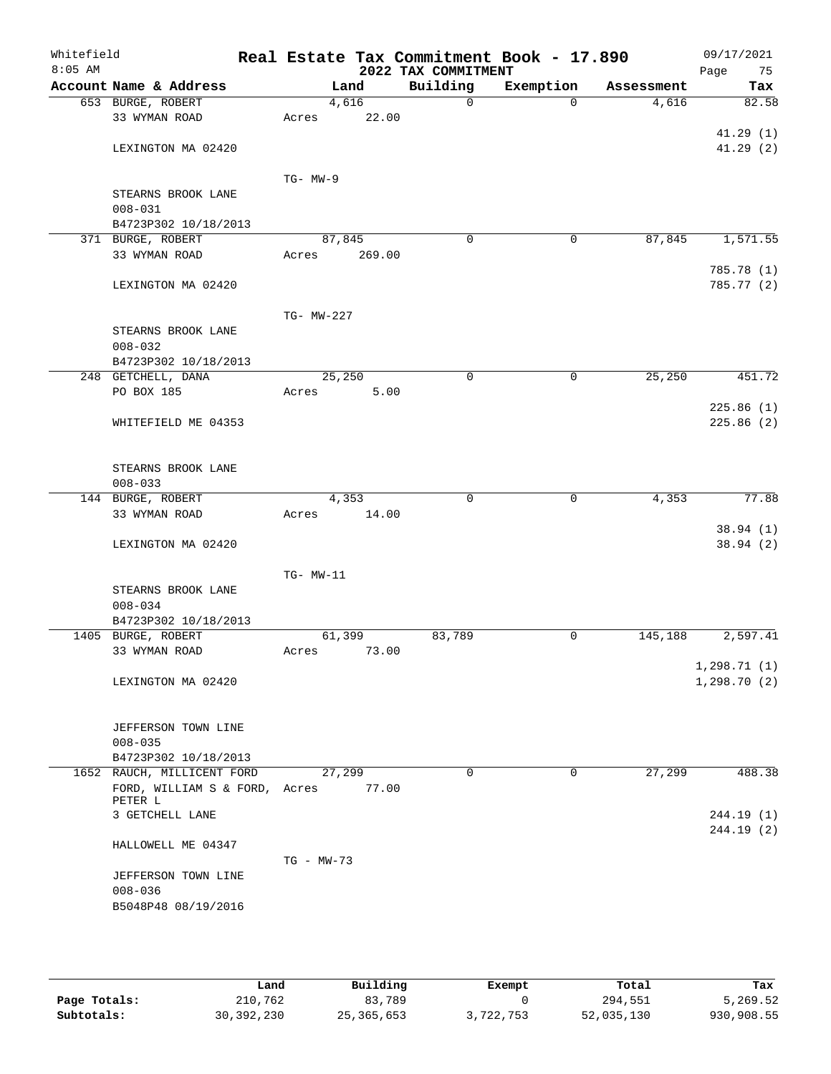| Whitefield<br>$8:05$ AM |                                     |              |        | 2022 TAX COMMITMENT | Real Estate Tax Commitment Book - 17.890 |            | 09/17/2021<br>Page<br>75 |
|-------------------------|-------------------------------------|--------------|--------|---------------------|------------------------------------------|------------|--------------------------|
|                         | Account Name & Address              |              | Land   | Building            | Exemption                                | Assessment | Tax                      |
|                         | 653 BURGE, ROBERT                   |              | 4,616  | 0                   | $\Omega$                                 | 4,616      | 82.58                    |
|                         | 33 WYMAN ROAD                       | Acres        | 22.00  |                     |                                          |            |                          |
|                         |                                     |              |        |                     |                                          |            | 41.29(1)                 |
|                         | LEXINGTON MA 02420                  |              |        |                     |                                          |            | 41.29(2)                 |
|                         |                                     |              |        |                     |                                          |            |                          |
|                         |                                     | $TG-MW-9$    |        |                     |                                          |            |                          |
|                         | STEARNS BROOK LANE<br>$008 - 031$   |              |        |                     |                                          |            |                          |
|                         | B4723P302 10/18/2013                |              |        |                     |                                          |            |                          |
|                         | 371 BURGE, ROBERT                   | 87,845       |        | $\mathbf 0$         | 0                                        | 87,845     | 1,571.55                 |
|                         | 33 WYMAN ROAD                       | Acres        | 269.00 |                     |                                          |            |                          |
|                         |                                     |              |        |                     |                                          |            | 785.78 (1)               |
|                         | LEXINGTON MA 02420                  |              |        |                     |                                          |            | 785.77 (2)               |
|                         |                                     |              |        |                     |                                          |            |                          |
|                         |                                     | TG- MW-227   |        |                     |                                          |            |                          |
|                         | STEARNS BROOK LANE                  |              |        |                     |                                          |            |                          |
|                         | $008 - 032$                         |              |        |                     |                                          |            |                          |
|                         | B4723P302 10/18/2013                |              |        |                     |                                          |            |                          |
|                         | 248 GETCHELL, DANA                  | 25,250       |        | $\mathbf 0$         | 0                                        | 25, 250    | 451.72                   |
|                         | PO BOX 185                          | Acres        | 5.00   |                     |                                          |            |                          |
|                         | WHITEFIELD ME 04353                 |              |        |                     |                                          |            | 225.86(1)<br>225.86(2)   |
|                         |                                     |              |        |                     |                                          |            |                          |
|                         |                                     |              |        |                     |                                          |            |                          |
|                         | STEARNS BROOK LANE                  |              |        |                     |                                          |            |                          |
|                         | $008 - 033$                         |              |        |                     |                                          |            |                          |
|                         | 144 BURGE, ROBERT                   |              | 4,353  | $\mathbf 0$         | 0                                        | 4,353      | 77.88                    |
|                         | 33 WYMAN ROAD                       | Acres        | 14.00  |                     |                                          |            |                          |
|                         |                                     |              |        |                     |                                          |            | 38.94(1)                 |
|                         | LEXINGTON MA 02420                  |              |        |                     |                                          |            | 38.94(2)                 |
|                         |                                     | TG- MW-11    |        |                     |                                          |            |                          |
|                         | STEARNS BROOK LANE                  |              |        |                     |                                          |            |                          |
|                         | $008 - 034$                         |              |        |                     |                                          |            |                          |
|                         | B4723P302 10/18/2013                |              |        |                     |                                          |            |                          |
|                         | 1405 BURGE, ROBERT                  | 61,399       |        | 83,789              | 0                                        | 145,188    | 2,597.41                 |
|                         | 33 WYMAN ROAD                       | Acres        | 73.00  |                     |                                          |            |                          |
|                         |                                     |              |        |                     |                                          |            | 1,298.71(1)              |
|                         | LEXINGTON MA 02420                  |              |        |                     |                                          |            | 1, 298.70(2)             |
|                         |                                     |              |        |                     |                                          |            |                          |
|                         |                                     |              |        |                     |                                          |            |                          |
|                         | JEFFERSON TOWN LINE                 |              |        |                     |                                          |            |                          |
|                         | $008 - 035$<br>B4723P302 10/18/2013 |              |        |                     |                                          |            |                          |
|                         | 1652 RAUCH, MILLICENT FORD          | 27,299       |        | 0                   | $\mathbf 0$                              | 27,299     | 488.38                   |
|                         | FORD, WILLIAM S & FORD, Acres       |              | 77.00  |                     |                                          |            |                          |
|                         | PETER L                             |              |        |                     |                                          |            |                          |
|                         | 3 GETCHELL LANE                     |              |        |                     |                                          |            | 244.19(1)                |
|                         |                                     |              |        |                     |                                          |            | 244.19(2)                |
|                         | HALLOWELL ME 04347                  |              |        |                     |                                          |            |                          |
|                         |                                     | $TG - MW-73$ |        |                     |                                          |            |                          |
|                         | JEFFERSON TOWN LINE                 |              |        |                     |                                          |            |                          |
|                         | $008 - 036$<br>B5048P48 08/19/2016  |              |        |                     |                                          |            |                          |
|                         |                                     |              |        |                     |                                          |            |                          |
|                         |                                     |              |        |                     |                                          |            |                          |

|              | Land         | Building     | Exempt    | Total      | Tax        |
|--------------|--------------|--------------|-----------|------------|------------|
| Page Totals: | 210,762      | 83,789       |           | 294,551    | 5,269.52   |
| Subtotals:   | 30, 392, 230 | 25, 365, 653 | 3,722,753 | 52,035,130 | 930,908.55 |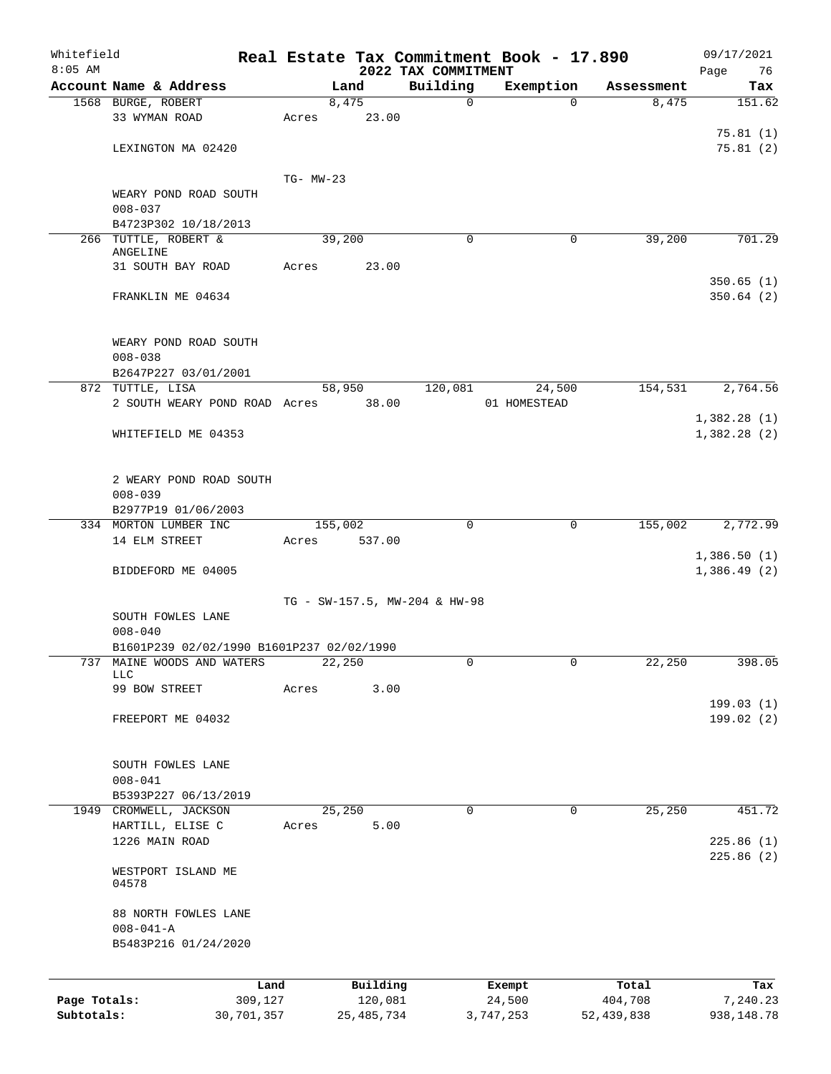| Whitefield<br>$8:05$ AM |                                                          |            |           |              |                                 | Real Estate Tax Commitment Book - 17.890 |            | 09/17/2021                 |
|-------------------------|----------------------------------------------------------|------------|-----------|--------------|---------------------------------|------------------------------------------|------------|----------------------------|
|                         | Account Name & Address                                   |            |           | Land         | 2022 TAX COMMITMENT<br>Building | Exemption                                | Assessment | Page<br>76<br>Tax          |
|                         | 1568 BURGE, ROBERT                                       |            |           | 8,475        | 0                               | $\Omega$                                 | 8,475      | 151.62                     |
|                         | 33 WYMAN ROAD                                            |            | Acres     | 23.00        |                                 |                                          |            | 75.81(1)                   |
|                         | LEXINGTON MA 02420                                       |            |           |              |                                 |                                          |            | 75.81(2)                   |
|                         |                                                          |            | TG- MW-23 |              |                                 |                                          |            |                            |
|                         | WEARY POND ROAD SOUTH<br>$008 - 037$                     |            |           |              |                                 |                                          |            |                            |
|                         | B4723P302 10/18/2013                                     |            |           |              |                                 |                                          |            |                            |
|                         | 266 TUTTLE, ROBERT &<br>ANGELINE                         |            | 39,200    |              | 0                               | 0                                        | 39,200     | 701.29                     |
|                         | 31 SOUTH BAY ROAD                                        |            | Acres     | 23.00        |                                 |                                          |            | 350.65(1)                  |
|                         | FRANKLIN ME 04634                                        |            |           |              |                                 |                                          |            | 350.64(2)                  |
|                         | WEARY POND ROAD SOUTH<br>$008 - 038$                     |            |           |              |                                 |                                          |            |                            |
|                         | B2647P227 03/01/2001                                     |            |           |              |                                 |                                          |            |                            |
|                         | 872 TUTTLE, LISA                                         |            |           | 58,950       | 120,081                         | 24,500                                   | 154,531    | 2,764.56                   |
|                         | 2 SOUTH WEARY POND ROAD Acres                            |            |           | 38.00        |                                 | 01 HOMESTEAD                             |            |                            |
|                         |                                                          |            |           |              |                                 |                                          |            | 1,382.28(1)                |
|                         | WHITEFIELD ME 04353                                      |            |           |              |                                 |                                          |            | 1,382.28(2)                |
|                         | 2 WEARY POND ROAD SOUTH<br>$008 - 039$                   |            |           |              |                                 |                                          |            |                            |
|                         | B2977P19 01/06/2003                                      |            |           |              |                                 |                                          |            |                            |
|                         | 334 MORTON LUMBER INC                                    |            | 155,002   |              | 0                               | 0                                        | 155,002    | 2,772.99                   |
|                         | 14 ELM STREET<br>BIDDEFORD ME 04005                      |            | Acres     | 537.00       |                                 |                                          |            | 1,386.50(1)<br>1,386.49(2) |
|                         |                                                          |            |           |              |                                 |                                          |            |                            |
|                         |                                                          |            |           |              | TG - SW-157.5, MW-204 & HW-98   |                                          |            |                            |
|                         | SOUTH FOWLES LANE                                        |            |           |              |                                 |                                          |            |                            |
|                         | $008 - 040$<br>B1601P239 02/02/1990 B1601P237 02/02/1990 |            |           |              |                                 |                                          |            |                            |
| 737                     | MAINE WOODS AND WATERS                                   |            |           | 22,250       | 0                               | $\mathbf{0}$                             | 22,250     | 398.05                     |
|                         | <b>LLC</b>                                               |            |           |              |                                 |                                          |            |                            |
|                         | 99 BOW STREET                                            |            | Acres     | 3.00         |                                 |                                          |            | 199.03 (1)                 |
|                         | FREEPORT ME 04032                                        |            |           |              |                                 |                                          |            | 199.02 (2)                 |
|                         | SOUTH FOWLES LANE                                        |            |           |              |                                 |                                          |            |                            |
|                         | $008 - 041$                                              |            |           |              |                                 |                                          |            |                            |
|                         | B5393P227 06/13/2019                                     |            |           |              |                                 |                                          |            |                            |
|                         | 1949 CROMWELL, JACKSON                                   |            |           | 25,250       | $\mathbf 0$                     | $\mathbf 0$                              | 25,250     | 451.72                     |
|                         | HARTILL, ELISE C                                         |            | Acres     | 5.00         |                                 |                                          |            |                            |
|                         | 1226 MAIN ROAD                                           |            |           |              |                                 |                                          |            | 225.86(1)<br>225.86(2)     |
|                         | WESTPORT ISLAND ME<br>04578                              |            |           |              |                                 |                                          |            |                            |
|                         | 88 NORTH FOWLES LANE<br>$008 - 041 - A$                  |            |           |              |                                 |                                          |            |                            |
|                         | B5483P216 01/24/2020                                     |            |           |              |                                 |                                          |            |                            |
|                         |                                                          | Land       |           | Building     |                                 | Exempt                                   | Total      | Tax                        |
| Page Totals:            |                                                          | 309,127    |           | 120,081      |                                 | 24,500                                   | 404,708    | 7,240.23                   |
| Subtotals:              |                                                          | 30,701,357 |           | 25, 485, 734 |                                 | 3,747,253                                | 52,439,838 | 938,148.78                 |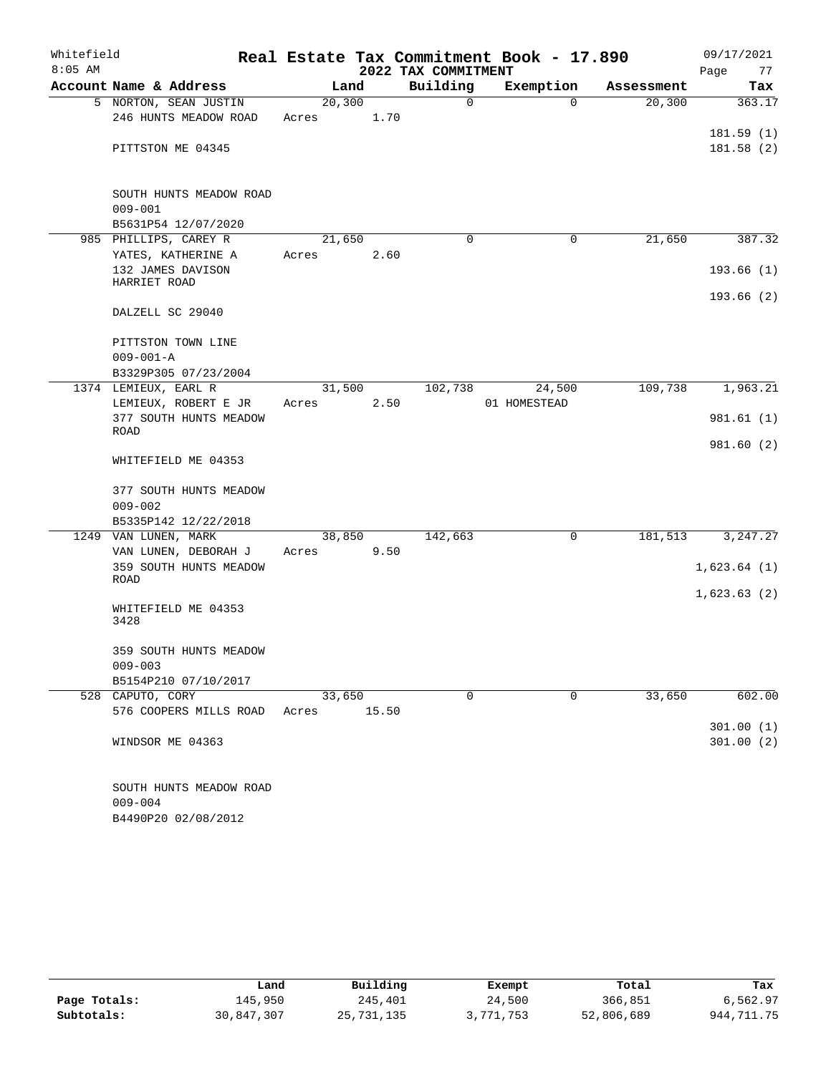| Whitefield |                             |         |        |                     | Real Estate Tax Commitment Book - 17.890 |            | 09/17/2021  |
|------------|-----------------------------|---------|--------|---------------------|------------------------------------------|------------|-------------|
| $8:05$ AM  |                             |         |        | 2022 TAX COMMITMENT |                                          |            | Page<br>77  |
|            | Account Name & Address      |         | Land   | Building            | Exemption                                | Assessment | Tax         |
|            | 5 NORTON, SEAN JUSTIN       | 20, 300 |        | $\mathbf 0$         | $\Omega$                                 | 20, 300    | 363.17      |
|            | 246 HUNTS MEADOW ROAD       | Acres   | 1.70   |                     |                                          |            |             |
|            |                             |         |        |                     |                                          |            | 181.59(1)   |
|            | PITTSTON ME 04345           |         |        |                     |                                          |            | 181.58(2)   |
|            |                             |         |        |                     |                                          |            |             |
|            | SOUTH HUNTS MEADOW ROAD     |         |        |                     |                                          |            |             |
|            | $009 - 001$                 |         |        |                     |                                          |            |             |
|            | B5631P54 12/07/2020         |         |        |                     |                                          |            |             |
|            | 985 PHILLIPS, CAREY R       | 21,650  |        | $\Omega$            | 0                                        | 21,650     | 387.32      |
|            | YATES, KATHERINE A          | Acres   | 2.60   |                     |                                          |            |             |
|            | 132 JAMES DAVISON           |         |        |                     |                                          |            | 193.66(1)   |
|            | HARRIET ROAD                |         |        |                     |                                          |            |             |
|            | DALZELL SC 29040            |         |        |                     |                                          |            | 193.66(2)   |
|            |                             |         |        |                     |                                          |            |             |
|            | PITTSTON TOWN LINE          |         |        |                     |                                          |            |             |
|            | $009 - 001 - A$             |         |        |                     |                                          |            |             |
|            | B3329P305 07/23/2004        |         |        |                     |                                          |            |             |
|            | 1374 LEMIEUX, EARL R        | 31,500  |        | 102,738             | 24,500                                   | 109,738    | 1,963.21    |
|            | LEMIEUX, ROBERT E JR        | Acres   | 2.50   |                     | 01 HOMESTEAD                             |            |             |
|            | 377 SOUTH HUNTS MEADOW      |         |        |                     |                                          |            | 981.61 (1)  |
|            | ROAD                        |         |        |                     |                                          |            |             |
|            |                             |         |        |                     |                                          |            | 981.60 (2)  |
|            | WHITEFIELD ME 04353         |         |        |                     |                                          |            |             |
|            | 377 SOUTH HUNTS MEADOW      |         |        |                     |                                          |            |             |
|            | $009 - 002$                 |         |        |                     |                                          |            |             |
|            | B5335P142 12/22/2018        |         |        |                     |                                          |            |             |
|            | 1249 VAN LUNEN, MARK        |         | 38,850 | 142,663             | 0                                        | 181,513    | 3, 247.27   |
|            | VAN LUNEN, DEBORAH J        | Acres   | 9.50   |                     |                                          |            |             |
|            | 359 SOUTH HUNTS MEADOW      |         |        |                     |                                          |            | 1,623.64(1) |
|            | ROAD                        |         |        |                     |                                          |            |             |
|            |                             |         |        |                     |                                          |            | 1,623.63(2) |
|            | WHITEFIELD ME 04353<br>3428 |         |        |                     |                                          |            |             |
|            |                             |         |        |                     |                                          |            |             |
|            | 359 SOUTH HUNTS MEADOW      |         |        |                     |                                          |            |             |
|            | $009 - 003$                 |         |        |                     |                                          |            |             |
|            | B5154P210 07/10/2017        |         |        |                     |                                          |            |             |
|            | 528 CAPUTO, CORY            | 33,650  |        | 0                   | 0                                        | 33,650     | 602.00      |
|            | 576 COOPERS MILLS ROAD      | Acres   | 15.50  |                     |                                          |            | 301.00(1)   |
|            | WINDSOR ME 04363            |         |        |                     |                                          |            | 301.00(2)   |
|            |                             |         |        |                     |                                          |            |             |
|            |                             |         |        |                     |                                          |            |             |
|            | SOUTH HUNTS MEADOW ROAD     |         |        |                     |                                          |            |             |
|            | $009 - 004$                 |         |        |                     |                                          |            |             |

B4490P20 02/08/2012

|              | Land       | Building     | Exempt    | Total      | Tax        |
|--------------|------------|--------------|-----------|------------|------------|
| Page Totals: | 145,950    | 245,401      | 24,500    | 366,851    | 6,562.97   |
| Subtotals:   | 30,847,307 | 25, 731, 135 | 3,771,753 | 52,806,689 | 944,711.75 |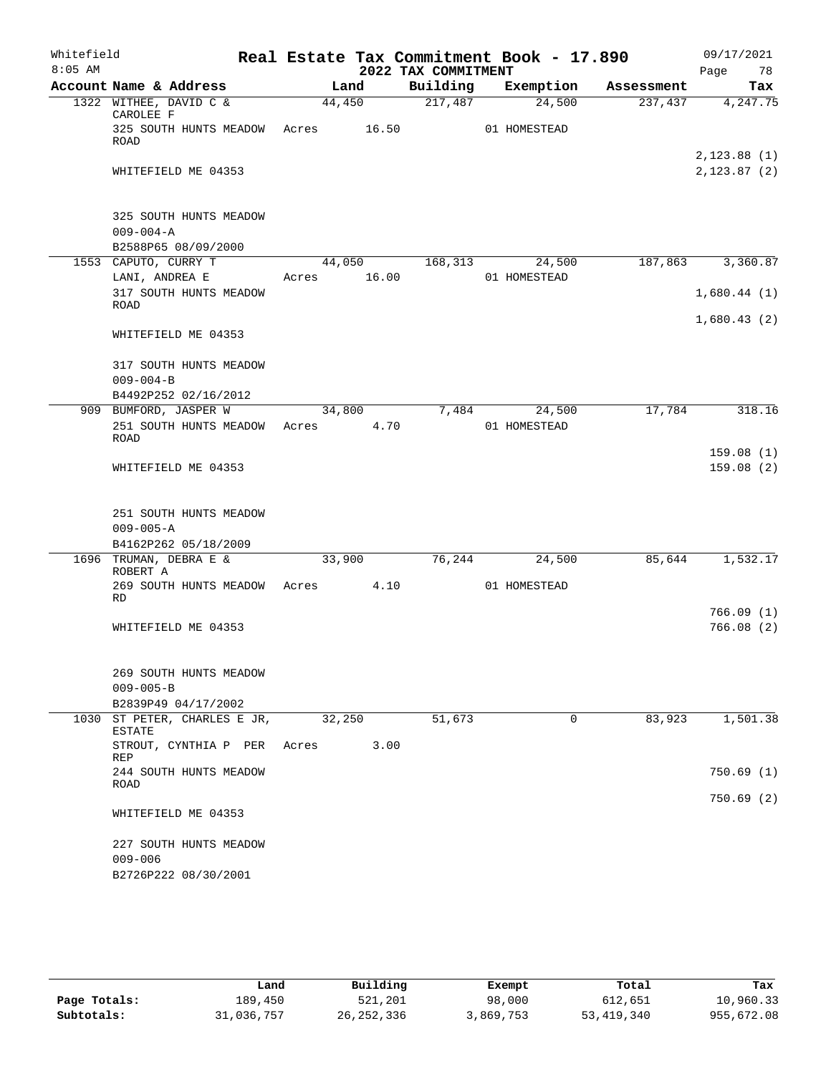| Whitefield |                                                         |                 |        |                     | Real Estate Tax Commitment Book - 17.890 |            | 09/17/2021    |
|------------|---------------------------------------------------------|-----------------|--------|---------------------|------------------------------------------|------------|---------------|
| $8:05$ AM  |                                                         |                 |        | 2022 TAX COMMITMENT |                                          |            | Page<br>78    |
|            | Account Name & Address                                  |                 | Land   | Building            | Exemption                                | Assessment | Tax           |
|            | 1322 WITHEE, DAVID C &<br>CAROLEE F                     | 44,450          |        | 217,487             | 24,500                                   | 237,437    | 4, 247.75     |
|            | 325 SOUTH HUNTS MEADOW Acres 16.50<br>ROAD              |                 |        |                     | 01 HOMESTEAD                             |            |               |
|            |                                                         |                 |        |                     |                                          |            | 2, 123.88(1)  |
|            | WHITEFIELD ME 04353                                     |                 |        |                     |                                          |            | 2, 123.87 (2) |
|            | 325 SOUTH HUNTS MEADOW                                  |                 |        |                     |                                          |            |               |
|            | $009 - 004 - A$                                         |                 |        |                     |                                          |            |               |
|            | B2588P65 08/09/2000<br>1553 CAPUTO, CURRY T             |                 | 44,050 | 168,313             | 24,500                                   | 187,863    | 3,360.87      |
|            | LANI, ANDREA E                                          | Acres           | 16.00  |                     | 01 HOMESTEAD                             |            |               |
|            | 317 SOUTH HUNTS MEADOW<br>ROAD                          |                 |        |                     |                                          |            | 1,680.44(1)   |
|            | WHITEFIELD ME 04353                                     |                 |        |                     |                                          |            | 1,680.43(2)   |
|            |                                                         |                 |        |                     |                                          |            |               |
|            | 317 SOUTH HUNTS MEADOW                                  |                 |        |                     |                                          |            |               |
|            | $009 - 004 - B$                                         |                 |        |                     |                                          |            |               |
|            | B4492P252 02/16/2012                                    |                 |        |                     |                                          |            |               |
|            | 909 BUMFORD, JASPER W<br>251 SOUTH HUNTS MEADOW<br>ROAD | 34,800<br>Acres | 4.70   | 7,484               | 24,500<br>01 HOMESTEAD                   | 17,784     | 318.16        |
|            |                                                         |                 |        |                     |                                          |            | 159.08(1)     |
|            | WHITEFIELD ME 04353                                     |                 |        |                     |                                          |            | 159.08(2)     |
|            | 251 SOUTH HUNTS MEADOW                                  |                 |        |                     |                                          |            |               |
|            | $009 - 005 - A$                                         |                 |        |                     |                                          |            |               |
|            | B4162P262 05/18/2009                                    |                 |        |                     |                                          |            |               |
|            | 1696 TRUMAN, DEBRA E &<br>ROBERT A                      | 33,900          |        | 76,244              | 24,500                                   | 85,644     | 1,532.17      |
|            | 269 SOUTH HUNTS MEADOW<br>RD                            | Acres           | 4.10   |                     | 01 HOMESTEAD                             |            |               |
|            |                                                         |                 |        |                     |                                          |            | 766.09(1)     |
|            | WHITEFIELD ME 04353                                     |                 |        |                     |                                          |            | 766.08(2)     |
|            | 269 SOUTH HUNTS MEADOW                                  |                 |        |                     |                                          |            |               |
|            | $009 - 005 - B$<br>B2839P49 04/17/2002                  |                 |        |                     |                                          |            |               |
|            | 1030 ST PETER, CHARLES E JR,<br><b>ESTATE</b>           | 32,250          |        | 51,673              | $\Omega$                                 | 83,923     | 1,501.38      |
|            | STROUT, CYNTHIA P PER<br>REP                            | Acres           | 3.00   |                     |                                          |            |               |
|            | 244 SOUTH HUNTS MEADOW<br>ROAD                          |                 |        |                     |                                          |            | 750.69(1)     |
|            | WHITEFIELD ME 04353                                     |                 |        |                     |                                          |            | 750.69(2)     |
|            | 227 SOUTH HUNTS MEADOW                                  |                 |        |                     |                                          |            |               |
|            | $009 - 006$                                             |                 |        |                     |                                          |            |               |
|            | B2726P222 08/30/2001                                    |                 |        |                     |                                          |            |               |

|              | Land       | Building     | Exempt    | Total        | Tax        |
|--------------|------------|--------------|-----------|--------------|------------|
|              |            |              |           |              |            |
| Page Totals: | 189.450    | 521,201      | 98,000    | 612,651      | 10,960.33  |
| Subtotals:   | 31,036,757 | 26, 252, 336 | 3,869,753 | 53, 419, 340 | 955,672.08 |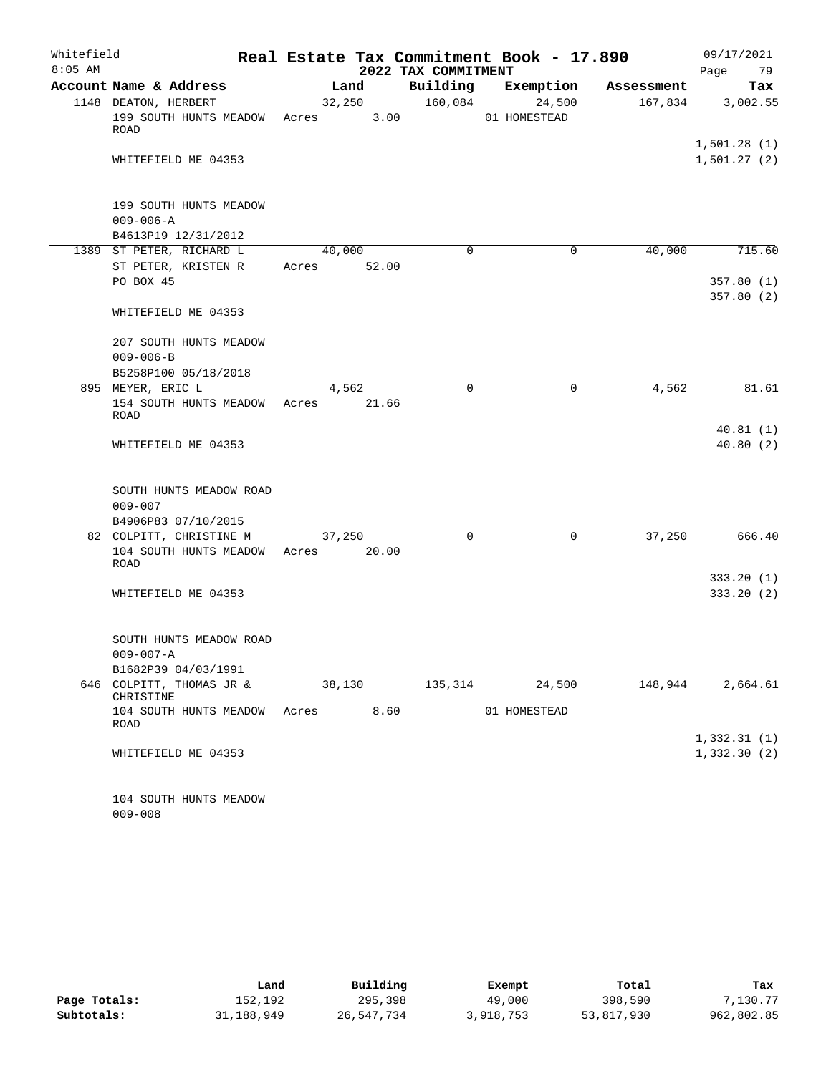| Whitefield |                                                                  | Real Estate Tax Commitment Book - 17.890 |                | 09/17/2021          |                        |            |                            |
|------------|------------------------------------------------------------------|------------------------------------------|----------------|---------------------|------------------------|------------|----------------------------|
| $8:05$ AM  |                                                                  |                                          |                | 2022 TAX COMMITMENT |                        |            | Page<br>79                 |
|            | Account Name & Address                                           |                                          | Land           | Building            | Exemption              | Assessment | Tax                        |
|            | 1148 DEATON, HERBERT<br>199 SOUTH HUNTS MEADOW<br>ROAD           | Acres                                    | 32,250<br>3.00 | 160,084             | 24,500<br>01 HOMESTEAD | 167,834    | 3,002.55                   |
|            | WHITEFIELD ME 04353                                              |                                          |                |                     |                        |            | 1,501.28(1)<br>1,501.27(2) |
|            | 199 SOUTH HUNTS MEADOW<br>$009 - 006 - A$<br>B4613P19 12/31/2012 |                                          |                |                     |                        |            |                            |
|            | 1389 ST PETER, RICHARD L                                         | 40,000                                   |                | $\Omega$            | $\mathbf 0$            | 40,000     | 715.60                     |
|            | ST PETER, KRISTEN R                                              | Acres                                    | 52.00          |                     |                        |            |                            |
|            | PO BOX 45                                                        |                                          |                |                     |                        |            | 357.80(1)<br>357.80(2)     |
|            | WHITEFIELD ME 04353                                              |                                          |                |                     |                        |            |                            |
|            | 207 SOUTH HUNTS MEADOW                                           |                                          |                |                     |                        |            |                            |
|            | $009 - 006 - B$                                                  |                                          |                |                     |                        |            |                            |
|            | B5258P100 05/18/2018                                             |                                          |                |                     |                        |            |                            |
|            | 895 MEYER, ERIC L                                                |                                          | 4,562          | $\mathbf 0$         | $\mathbf 0$            | 4,562      | 81.61                      |
|            | 154 SOUTH HUNTS MEADOW<br><b>ROAD</b>                            | Acres                                    | 21.66          |                     |                        |            |                            |
|            | WHITEFIELD ME 04353                                              |                                          |                |                     |                        |            | 40.81(1)<br>40.80(2)       |
|            | SOUTH HUNTS MEADOW ROAD<br>$009 - 007$                           |                                          |                |                     |                        |            |                            |
|            | B4906P83 07/10/2015                                              |                                          |                |                     |                        |            |                            |
|            | 82 COLPITT, CHRISTINE M<br>104 SOUTH HUNTS MEADOW<br>ROAD        | 37,250<br>Acres 20.00                    |                | 0                   | 0                      | 37,250     | 666.40                     |
|            |                                                                  |                                          |                |                     |                        |            | 333.20(1)                  |
|            | WHITEFIELD ME 04353                                              |                                          |                |                     |                        |            | 333.20(2)                  |
|            | SOUTH HUNTS MEADOW ROAD<br>$009 - 007 - A$                       |                                          |                |                     |                        |            |                            |
|            | B1682P39 04/03/1991                                              |                                          |                |                     |                        |            |                            |
|            | 646 COLPITT, THOMAS JR &<br>CHRISTINE                            |                                          | 38,130         | 135,314             | 24,500                 | 148,944    | 2,664.61                   |
|            | 104 SOUTH HUNTS MEADOW<br>ROAD                                   | Acres                                    | 8.60           |                     | 01 HOMESTEAD           |            |                            |
|            |                                                                  |                                          |                |                     |                        |            | 1,332.31(1)                |
|            | WHITEFIELD ME 04353                                              |                                          |                |                     |                        |            | 1,332.30(2)                |
|            | 104 SOUTH HUNTS MEADOW                                           |                                          |                |                     |                        |            |                            |

009-008

|              | Land       | Building   | Exempt    | Total      | Tax        |
|--------------|------------|------------|-----------|------------|------------|
| Page Totals: | 152,192    | 295,398    | 49,000    | 398,590    | 7,130.77   |
| Subtotals:   | 31,188,949 | 26,547,734 | 3,918,753 | 53,817,930 | 962,802.85 |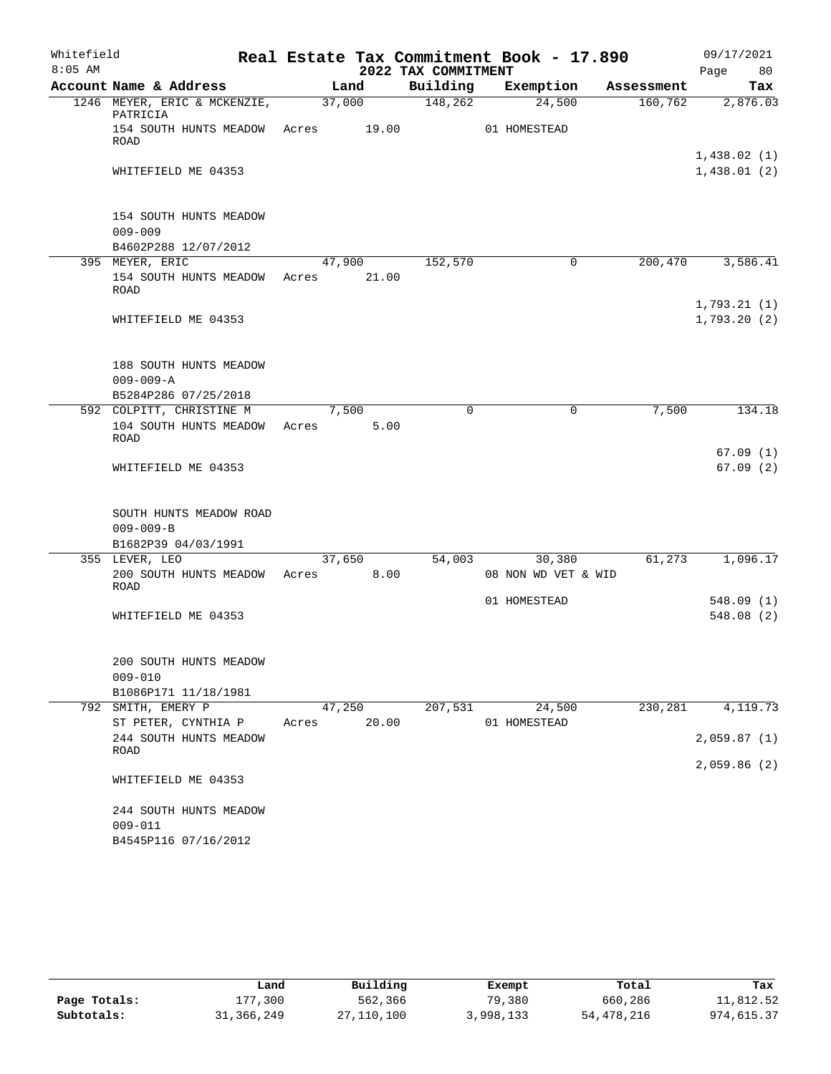| Whitefield |                                                                   |       |        |                     | Real Estate Tax Commitment Book - 17.890 |            | 09/17/2021                 |
|------------|-------------------------------------------------------------------|-------|--------|---------------------|------------------------------------------|------------|----------------------------|
| $8:05$ AM  |                                                                   |       |        | 2022 TAX COMMITMENT |                                          |            | Page<br>80                 |
|            | Account Name & Address                                            |       | Land   | Building            | Exemption                                | Assessment | Tax                        |
|            | 1246 MEYER, ERIC & MCKENZIE,<br>PATRICIA                          |       | 37,000 | 148,262             | 24,500                                   | 160,762    | 2,876.03                   |
|            | 154 SOUTH HUNTS MEADOW Acres 19.00<br><b>ROAD</b>                 |       |        |                     | 01 HOMESTEAD                             |            |                            |
|            | WHITEFIELD ME 04353                                               |       |        |                     |                                          |            | 1,438.02(1)<br>1,438.01(2) |
|            | 154 SOUTH HUNTS MEADOW<br>$009 - 009$<br>B4602P288 12/07/2012     |       |        |                     |                                          |            |                            |
|            | 395 MEYER, ERIC                                                   |       | 47,900 | 152,570             | 0                                        | 200,470    | 3,586.41                   |
|            | 154 SOUTH HUNTS MEADOW<br>ROAD                                    | Acres | 21.00  |                     |                                          |            |                            |
|            | WHITEFIELD ME 04353                                               |       |        |                     |                                          |            | 1,793.21(1)<br>1,793.20(2) |
|            | 188 SOUTH HUNTS MEADOW<br>$009 - 009 - A$<br>B5284P286 07/25/2018 |       |        |                     |                                          |            |                            |
|            | 592 COLPITT, CHRISTINE M                                          |       | 7,500  | $\Omega$            | $\mathbf 0$                              | 7,500      | 134.18                     |
|            | 104 SOUTH HUNTS MEADOW<br>ROAD                                    | Acres | 5.00   |                     |                                          |            |                            |
|            | WHITEFIELD ME 04353                                               |       |        |                     |                                          |            | 67.09(1)<br>67.09(2)       |
|            | SOUTH HUNTS MEADOW ROAD<br>$009 - 009 - B$<br>B1682P39 04/03/1991 |       |        |                     |                                          |            |                            |
|            | 355 LEVER, LEO                                                    |       | 37,650 | 54,003              | 30,380                                   | 61,273     | 1,096.17                   |
|            | 200 SOUTH HUNTS MEADOW<br>ROAD                                    | Acres | 8.00   |                     | 08 NON WD VET & WID                      |            |                            |
|            | WHITEFIELD ME 04353                                               |       |        |                     | 01 HOMESTEAD                             |            | 548.09(1)<br>548.08(2)     |
|            | 200 SOUTH HUNTS MEADOW<br>$009 - 010$<br>B1086P171 11/18/1981     |       |        |                     |                                          |            |                            |
|            | 792 SMITH, EMERY P                                                |       | 47,250 | 207,531             | 24,500                                   | 230,281    | 4,119.73                   |
|            | ST PETER, CYNTHIA P                                               | Acres | 20.00  |                     | 01 HOMESTEAD                             |            |                            |
|            | 244 SOUTH HUNTS MEADOW<br>ROAD                                    |       |        |                     |                                          |            | 2,059.87(1)                |
|            | WHITEFIELD ME 04353                                               |       |        |                     |                                          |            | 2,059.86(2)                |
|            | 244 SOUTH HUNTS MEADOW<br>$009 - 011$<br>B4545P116 07/16/2012     |       |        |                     |                                          |            |                            |

|              | Land       | Building   | Exempt    | Total      | Tax        |  |
|--------------|------------|------------|-----------|------------|------------|--|
| Page Totals: | 177,300    | 562,366    | 79,380    | 660,286    | 11,812.52  |  |
| Subtotals:   | 31,366,249 | 27,110,100 | 3,998,133 | 54,478,216 | 974,615.37 |  |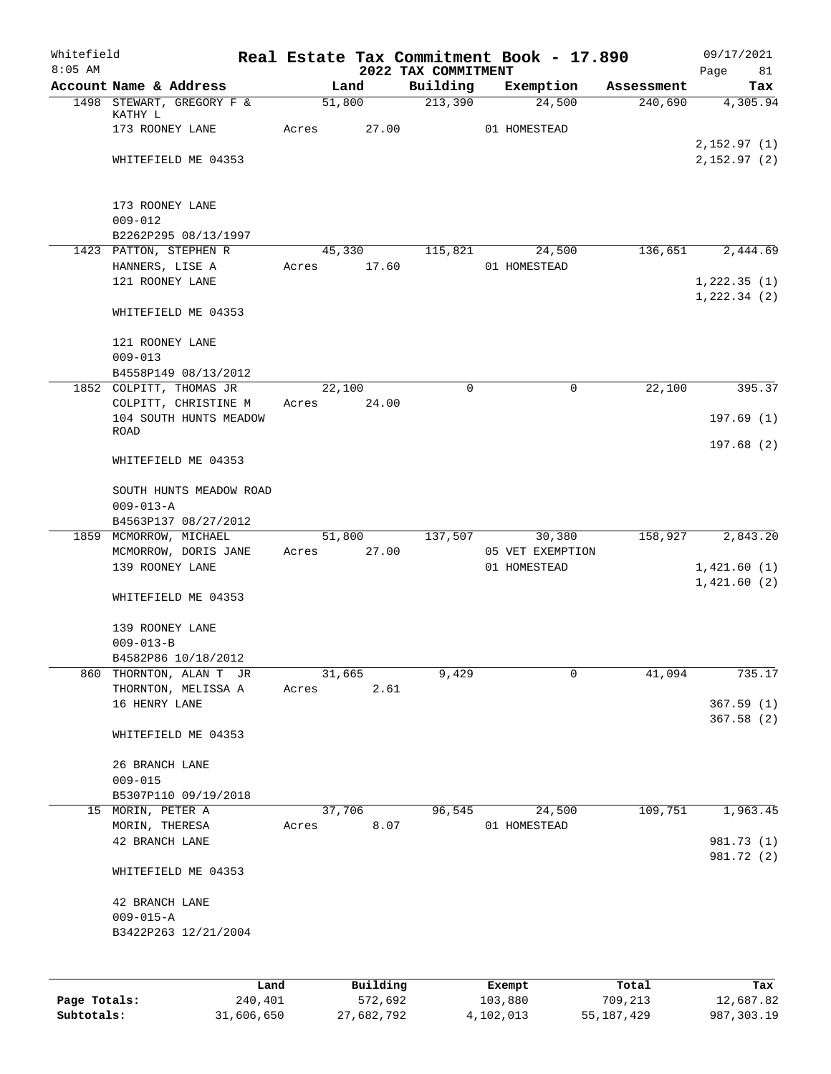| Whitefield<br>$8:05$ AM |                                                |       |             | 2022 TAX COMMITMENT | Real Estate Tax Commitment Book - 17.890 |            | 09/17/2021<br>Page<br>81    |
|-------------------------|------------------------------------------------|-------|-------------|---------------------|------------------------------------------|------------|-----------------------------|
|                         | Account Name & Address                         |       | Land        | Building            | Exemption                                | Assessment | Tax                         |
|                         | 1498 STEWART, GREGORY F &<br>KATHY L           |       | 51,800      | 213,390             | 24,500                                   | 240,690    | 4,305.94                    |
|                         | 173 ROONEY LANE                                | Acres | 27.00       |                     | 01 HOMESTEAD                             |            | 2,152.97(1)                 |
|                         | WHITEFIELD ME 04353                            |       |             |                     |                                          |            | 2,152.97(2)                 |
|                         | 173 ROONEY LANE                                |       |             |                     |                                          |            |                             |
|                         | $009 - 012$<br>B2262P295 08/13/1997            |       |             |                     |                                          |            |                             |
|                         | 1423 PATTON, STEPHEN R                         |       | 45,330      | 115,821             | 24,500                                   | 136,651    | 2,444.69                    |
|                         | HANNERS, LISE A<br>121 ROONEY LANE             | Acres | 17.60       |                     | 01 HOMESTEAD                             |            | 1,222.35(1)<br>1, 222.34(2) |
|                         | WHITEFIELD ME 04353                            |       |             |                     |                                          |            |                             |
|                         | 121 ROONEY LANE<br>$009 - 013$                 |       |             |                     |                                          |            |                             |
|                         | B4558P149 08/13/2012                           |       |             |                     |                                          |            |                             |
|                         | 1852 COLPITT, THOMAS JR                        |       | 22,100      | $\mathbf 0$         | 0                                        | 22,100     | 395.37                      |
|                         | COLPITT, CHRISTINE M<br>104 SOUTH HUNTS MEADOW | Acres | 24.00       |                     |                                          |            | 197.69(1)                   |
|                         | <b>ROAD</b>                                    |       |             |                     |                                          |            | 197.68 (2)                  |
|                         | WHITEFIELD ME 04353                            |       |             |                     |                                          |            |                             |
|                         | SOUTH HUNTS MEADOW ROAD<br>$009 - 013 - A$     |       |             |                     |                                          |            |                             |
|                         | B4563P137 08/27/2012                           |       |             |                     |                                          |            |                             |
|                         | 1859 MCMORROW, MICHAEL                         |       | 51,800      | 137,507             | 30,380                                   | 158,927    | 2,843.20                    |
|                         | MCMORROW, DORIS JANE<br>139 ROONEY LANE        |       | Acres 27.00 |                     | 05 VET EXEMPTION<br>01 HOMESTEAD         |            | 1,421.60(1)                 |
|                         |                                                |       |             |                     |                                          |            | 1,421.60(2)                 |
|                         | WHITEFIELD ME 04353                            |       |             |                     |                                          |            |                             |
|                         | 139 ROONEY LANE                                |       |             |                     |                                          |            |                             |
|                         | $009 - 013 - B$<br>B4582P86 10/18/2012         |       |             |                     |                                          |            |                             |
|                         | 860 THORNTON, ALAN T JR                        |       | 31,665      | 9,429               | 0                                        | 41,094     | 735.17                      |
|                         | THORNTON, MELISSA A                            | Acres | 2.61        |                     |                                          |            |                             |
|                         | 16 HENRY LANE                                  |       |             |                     |                                          |            | 367.59(1)                   |
|                         | WHITEFIELD ME 04353                            |       |             |                     |                                          |            | 367.58(2)                   |
|                         | 26 BRANCH LANE                                 |       |             |                     |                                          |            |                             |
|                         | $009 - 015$                                    |       |             |                     |                                          |            |                             |
|                         | B5307P110 09/19/2018<br>15 MORIN, PETER A      |       | 37,706      | 96,545              | 24,500                                   | 109,751    | 1,963.45                    |
|                         | MORIN, THERESA                                 | Acres | 8.07        |                     | 01 HOMESTEAD                             |            |                             |
|                         | 42 BRANCH LANE                                 |       |             |                     |                                          |            | 981.73 (1)                  |
|                         | WHITEFIELD ME 04353                            |       |             |                     |                                          |            | 981.72 (2)                  |
|                         | 42 BRANCH LANE                                 |       |             |                     |                                          |            |                             |
|                         | $009 - 015 - A$                                |       |             |                     |                                          |            |                             |
|                         | B3422P263 12/21/2004                           |       |             |                     |                                          |            |                             |
|                         |                                                | Land  | Building    |                     | Exempt                                   | Total      | Tax                         |
|                         |                                                |       |             |                     |                                          |            |                             |

|              | -----      | --------   | -------   | -----      | .          |
|--------------|------------|------------|-----------|------------|------------|
| Page Totals: | 240,401    | 572,692    | 103,880   | 709,213    | 12,687.82  |
| Subtotals:   | 31,606,650 | 27,682,792 | 4,102,013 | 55,187,429 | 987,303.19 |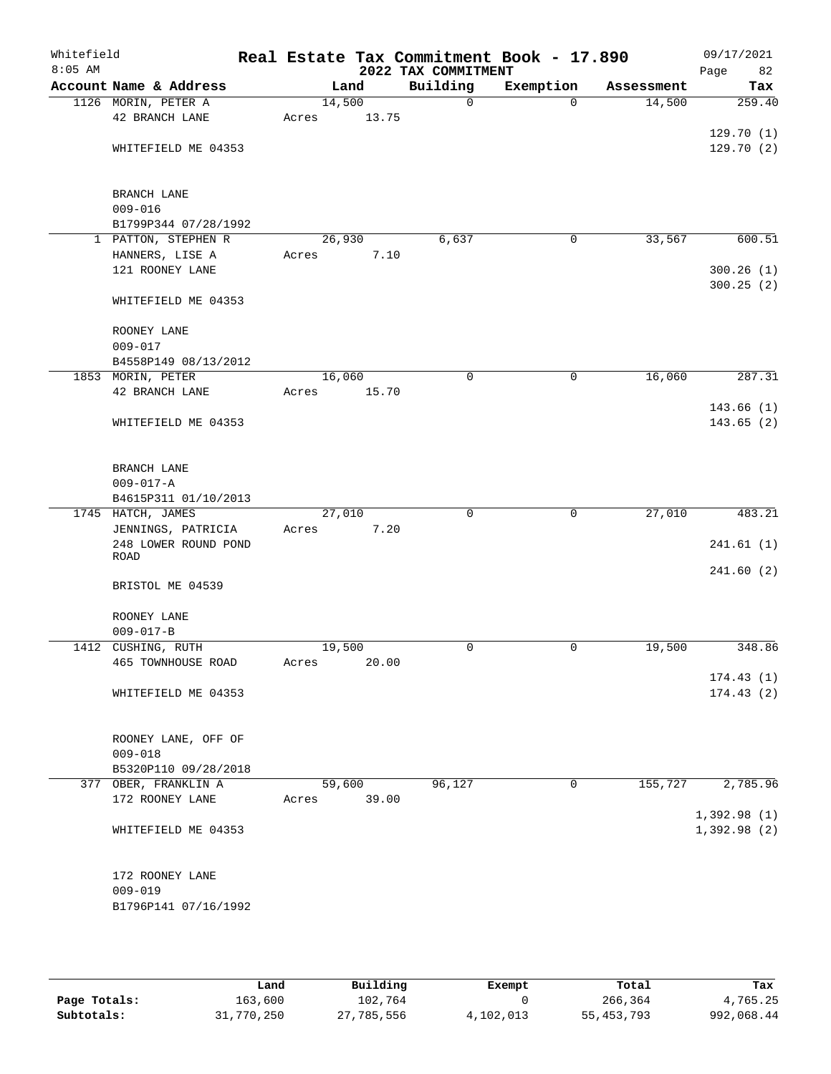| Whitefield<br>$8:05$ AM |                                           |       |        | 2022 TAX COMMITMENT | Real Estate Tax Commitment Book - 17.890 |            | 09/17/2021<br>Page<br>82   |
|-------------------------|-------------------------------------------|-------|--------|---------------------|------------------------------------------|------------|----------------------------|
|                         | Account Name & Address                    |       | Land   | Building            | Exemption                                | Assessment | Tax                        |
|                         | 1126 MORIN, PETER A                       |       | 14,500 | $\mathbf 0$         | $\mathbf 0$                              | 14,500     | 259.40                     |
|                         | 42 BRANCH LANE                            | Acres | 13.75  |                     |                                          |            |                            |
|                         |                                           |       |        |                     |                                          |            | 129.70(1)                  |
|                         | WHITEFIELD ME 04353                       |       |        |                     |                                          |            | 129.70(2)                  |
|                         | BRANCH LANE                               |       |        |                     |                                          |            |                            |
|                         | $009 - 016$                               |       |        |                     |                                          |            |                            |
|                         | B1799P344 07/28/1992                      |       |        |                     |                                          |            |                            |
|                         | 1 PATTON, STEPHEN R                       |       | 26,930 | 6,637               | 0                                        | 33,567     | 600.51                     |
|                         | HANNERS, LISE A                           | Acres | 7.10   |                     |                                          |            |                            |
|                         | 121 ROONEY LANE                           |       |        |                     |                                          |            | 300.26(1)<br>300.25(2)     |
|                         | WHITEFIELD ME 04353                       |       |        |                     |                                          |            |                            |
|                         | ROONEY LANE                               |       |        |                     |                                          |            |                            |
|                         | $009 - 017$                               |       |        |                     |                                          |            |                            |
|                         | B4558P149 08/13/2012<br>1853 MORIN, PETER |       | 16,060 | $\mathbf 0$         | $\mathbf 0$                              | 16,060     | 287.31                     |
|                         | 42 BRANCH LANE                            | Acres | 15.70  |                     |                                          |            |                            |
|                         |                                           |       |        |                     |                                          |            | 143.66 (1)                 |
|                         | WHITEFIELD ME 04353                       |       |        |                     |                                          |            | 143.65 (2)                 |
|                         | BRANCH LANE                               |       |        |                     |                                          |            |                            |
|                         | $009 - 017 - A$                           |       |        |                     |                                          |            |                            |
|                         | B4615P311 01/10/2013                      |       |        |                     |                                          |            |                            |
|                         | 1745 HATCH, JAMES                         |       | 27,010 | $\Omega$            | $\mathbf 0$                              | 27,010     | 483.21                     |
|                         | JENNINGS, PATRICIA                        | Acres | 7.20   |                     |                                          |            |                            |
|                         | 248 LOWER ROUND POND                      |       |        |                     |                                          |            | 241.61(1)                  |
|                         | ROAD                                      |       |        |                     |                                          |            | 241.60(2)                  |
|                         | BRISTOL ME 04539                          |       |        |                     |                                          |            |                            |
|                         | ROONEY LANE                               |       |        |                     |                                          |            |                            |
|                         | $009 - 017 - B$                           |       |        |                     |                                          |            |                            |
|                         | 1412 CUSHING, RUTH                        |       | 19,500 | 0                   | 0                                        | 19,500     | 348.86                     |
|                         | 465 TOWNHOUSE ROAD                        | Acres | 20.00  |                     |                                          |            |                            |
|                         |                                           |       |        |                     |                                          |            | 174.43(1)                  |
|                         | WHITEFIELD ME 04353                       |       |        |                     |                                          |            | 174.43(2)                  |
|                         | ROONEY LANE, OFF OF                       |       |        |                     |                                          |            |                            |
|                         | $009 - 018$                               |       |        |                     |                                          |            |                            |
|                         | B5320P110 09/28/2018                      |       |        |                     |                                          |            |                            |
|                         | 377 OBER, FRANKLIN A                      |       | 59,600 | 96, 127             | $\overline{0}$                           | 155,727    | 2,785.96                   |
|                         | 172 ROONEY LANE                           | Acres | 39.00  |                     |                                          |            |                            |
|                         | WHITEFIELD ME 04353                       |       |        |                     |                                          |            | 1,392.98(1)<br>1,392.98(2) |
|                         |                                           |       |        |                     |                                          |            |                            |
|                         | 172 ROONEY LANE                           |       |        |                     |                                          |            |                            |
|                         | $009 - 019$                               |       |        |                     |                                          |            |                            |
|                         | B1796P141 07/16/1992                      |       |        |                     |                                          |            |                            |

|              | Land       | Building   | Exempt    | Total        | Tax        |
|--------------|------------|------------|-----------|--------------|------------|
| Page Totals: | 163,600    | 102,764    |           | 266,364      | 4,765.25   |
| Subtotals:   | 31,770,250 | 27,785,556 | 4,102,013 | 55, 453, 793 | 992,068.44 |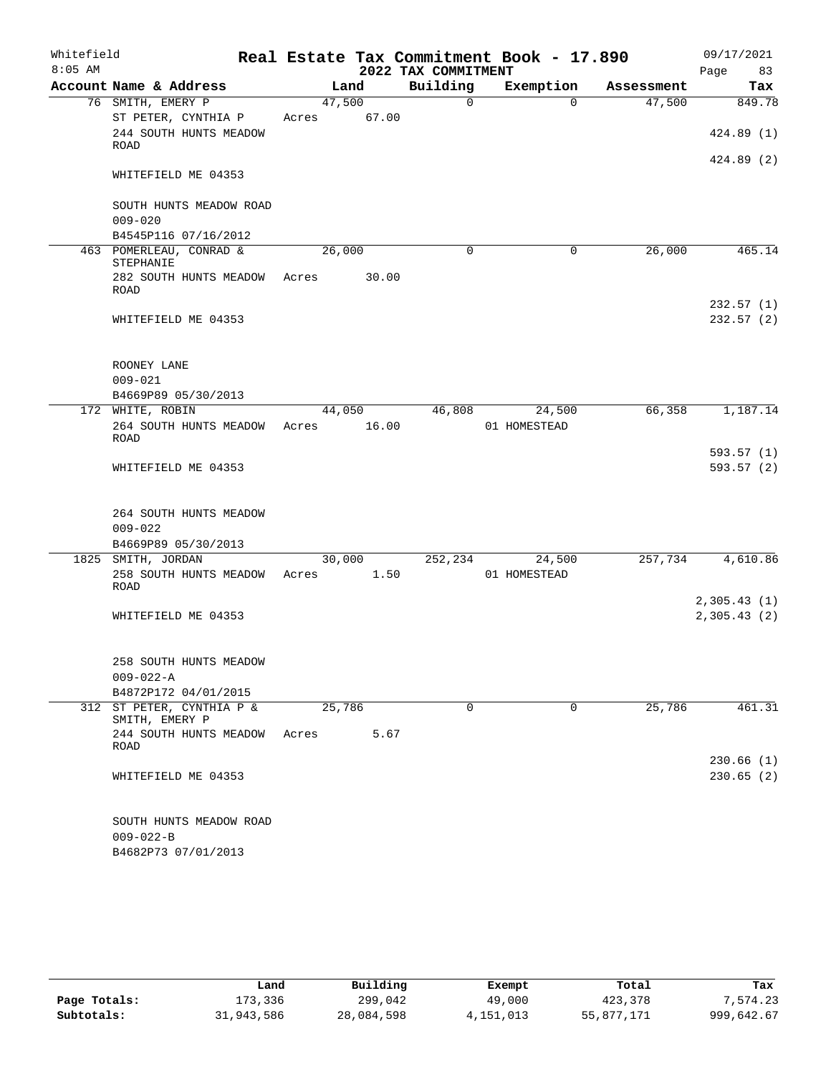| Whitefield<br>$8:05$ AM |                                                                   |        |       | 2022 TAX COMMITMENT | Real Estate Tax Commitment Book - 17.890 |            | 09/17/2021<br>Page<br>83   |
|-------------------------|-------------------------------------------------------------------|--------|-------|---------------------|------------------------------------------|------------|----------------------------|
|                         | Account Name & Address                                            |        | Land  | Building            | Exemption                                | Assessment | Tax                        |
|                         | 76 SMITH, EMERY P                                                 | 47,500 |       | 0                   | $\Omega$                                 | 47,500     | 849.78                     |
|                         | ST PETER, CYNTHIA P                                               | Acres  | 67.00 |                     |                                          |            |                            |
|                         | 244 SOUTH HUNTS MEADOW<br>ROAD                                    |        |       |                     |                                          |            | 424.89 (1)                 |
|                         | WHITEFIELD ME 04353                                               |        |       |                     |                                          |            | 424.89 (2)                 |
|                         | SOUTH HUNTS MEADOW ROAD<br>$009 - 020$                            |        |       |                     |                                          |            |                            |
|                         | B4545P116 07/16/2012                                              |        |       |                     |                                          |            |                            |
|                         | 463 POMERLEAU, CONRAD &<br>STEPHANIE                              | 26,000 |       | $\Omega$            | $\mathbf 0$                              | 26,000     | 465.14                     |
|                         | 282 SOUTH HUNTS MEADOW<br>ROAD                                    | Acres  | 30.00 |                     |                                          |            |                            |
|                         | WHITEFIELD ME 04353                                               |        |       |                     |                                          |            | 232.57(1)<br>232.57(2)     |
|                         | ROONEY LANE<br>$009 - 021$                                        |        |       |                     |                                          |            |                            |
|                         | B4669P89 05/30/2013                                               |        |       |                     |                                          |            |                            |
|                         | 172 WHITE, ROBIN                                                  | 44,050 |       | 46,808              | 24,500                                   | 66,358     | 1,187.14                   |
|                         | 264 SOUTH HUNTS MEADOW<br>ROAD                                    | Acres  | 16.00 |                     | 01 HOMESTEAD                             |            |                            |
|                         | WHITEFIELD ME 04353                                               |        |       |                     |                                          |            | 593.57 (1)<br>593.57(2)    |
|                         | 264 SOUTH HUNTS MEADOW<br>$009 - 022$                             |        |       |                     |                                          |            |                            |
|                         | B4669P89 05/30/2013                                               |        |       |                     |                                          |            |                            |
|                         | 1825 SMITH, JORDAN                                                | 30,000 |       | 252,234             | 24,500                                   | 257,734    | 4,610.86                   |
|                         | 258 SOUTH HUNTS MEADOW<br>ROAD                                    | Acres  | 1.50  |                     | 01 HOMESTEAD                             |            |                            |
|                         | WHITEFIELD ME 04353                                               |        |       |                     |                                          |            | 2,305.43(1)<br>2,305.43(2) |
|                         |                                                                   |        |       |                     |                                          |            |                            |
|                         | 258 SOUTH HUNTS MEADOW<br>$009 - 022 - A$                         |        |       |                     |                                          |            |                            |
|                         | B4872P172 04/01/2015                                              |        |       |                     |                                          |            |                            |
|                         | 312 ST PETER, CYNTHIA P &<br>SMITH, EMERY P                       | 25,786 |       | $\Omega$            | 0                                        | 25,786     | 461.31                     |
|                         | 244 SOUTH HUNTS MEADOW<br>ROAD                                    | Acres  | 5.67  |                     |                                          |            |                            |
|                         | WHITEFIELD ME 04353                                               |        |       |                     |                                          |            | 230.66(1)<br>230.65(2)     |
|                         | SOUTH HUNTS MEADOW ROAD<br>$009 - 022 - B$<br>B4682P73 07/01/2013 |        |       |                     |                                          |            |                            |

|              | Land       | Building   | Exempt      | Total      | Tax        |  |
|--------------|------------|------------|-------------|------------|------------|--|
| Page Totals: | 173,336    | 299,042    | 49,000      | 423,378    | 7,574.23   |  |
| Subtotals:   | 31,943,586 | 28,084,598 | 4, 151, 013 | 55,877,171 | 999,642.67 |  |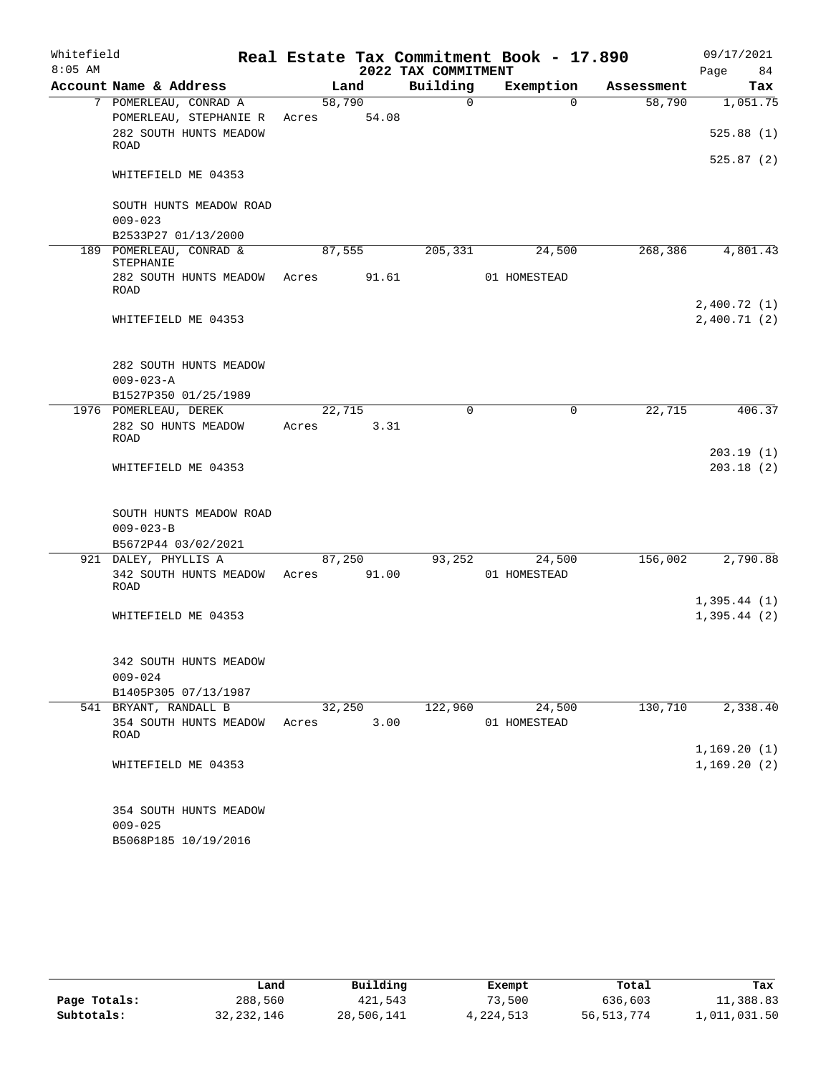| Whitefield |                                                  |        |        |                     | Real Estate Tax Commitment Book - 17.890 |            | 09/17/2021  |
|------------|--------------------------------------------------|--------|--------|---------------------|------------------------------------------|------------|-------------|
| $8:05$ AM  |                                                  |        |        | 2022 TAX COMMITMENT |                                          |            | 84<br>Page  |
|            | Account Name & Address                           |        | Land   | Building            | Exemption                                | Assessment | Tax         |
|            | 7 POMERLEAU, CONRAD A                            | 58,790 |        | $\Omega$            | $\Omega$                                 | 58,790     | 1,051.75    |
|            | POMERLEAU, STEPHANIE R<br>282 SOUTH HUNTS MEADOW | Acres  | 54.08  |                     |                                          |            |             |
|            | ROAD                                             |        |        |                     |                                          |            | 525.88(1)   |
|            | WHITEFIELD ME 04353                              |        |        |                     |                                          |            | 525.87(2)   |
|            | SOUTH HUNTS MEADOW ROAD                          |        |        |                     |                                          |            |             |
|            | $009 - 023$                                      |        |        |                     |                                          |            |             |
|            | B2533P27 01/13/2000                              |        |        |                     |                                          |            |             |
|            | 189 POMERLEAU, CONRAD &                          |        | 87,555 | 205,331             | 24,500                                   | 268,386    | 4,801.43    |
|            | STEPHANIE<br>282 SOUTH HUNTS MEADOW<br>ROAD      | Acres  | 91.61  |                     | 01 HOMESTEAD                             |            |             |
|            |                                                  |        |        |                     |                                          |            | 2,400.72(1) |
|            | WHITEFIELD ME 04353                              |        |        |                     |                                          |            | 2,400.71(2) |
|            | 282 SOUTH HUNTS MEADOW                           |        |        |                     |                                          |            |             |
|            | $009 - 023 - A$                                  |        |        |                     |                                          |            |             |
|            | B1527P350 01/25/1989                             |        |        |                     |                                          |            |             |
|            | 1976 POMERLEAU, DEREK                            | 22,715 |        | $\Omega$            | $\mathbf 0$                              | 22,715     | 406.37      |
|            | 282 SO HUNTS MEADOW<br><b>ROAD</b>               | Acres  | 3.31   |                     |                                          |            | 203.19(1)   |
|            | WHITEFIELD ME 04353                              |        |        |                     |                                          |            | 203.18(2)   |
|            |                                                  |        |        |                     |                                          |            |             |
|            | SOUTH HUNTS MEADOW ROAD                          |        |        |                     |                                          |            |             |
|            | $009 - 023 - B$                                  |        |        |                     |                                          |            |             |
|            | B5672P44 03/02/2021                              |        |        |                     |                                          |            |             |
|            | 921 DALEY, PHYLLIS A                             |        | 87,250 | 93,252              | 24,500                                   | 156,002    | 2,790.88    |
|            | 342 SOUTH HUNTS MEADOW<br>ROAD                   | Acres  | 91.00  |                     | 01 HOMESTEAD                             |            |             |
|            |                                                  |        |        |                     |                                          |            | 1,395.44(1) |
|            | WHITEFIELD ME 04353                              |        |        |                     |                                          |            | 1,395.44(2) |
|            | 342 SOUTH HUNTS MEADOW                           |        |        |                     |                                          |            |             |
|            | $009 - 024$                                      |        |        |                     |                                          |            |             |
|            | B1405P305 07/13/1987                             |        |        |                     |                                          |            |             |
|            | 541 BRYANT, RANDALL B                            |        | 32,250 | 122,960             | 24,500                                   | 130,710    | 2,338.40    |
|            | 354 SOUTH HUNTS MEADOW<br>ROAD                   | Acres  | 3.00   |                     | 01 HOMESTEAD                             |            |             |
|            |                                                  |        |        |                     |                                          |            | 1,169.20(1) |
|            | WHITEFIELD ME 04353                              |        |        |                     |                                          |            | 1,169.20(2) |
|            | 354 SOUTH HUNTS MEADOW                           |        |        |                     |                                          |            |             |
|            | $009 - 025$                                      |        |        |                     |                                          |            |             |
|            | B5068P185 10/19/2016                             |        |        |                     |                                          |            |             |

|              | Land         | Building   | Exempt    | Total      | Tax          |
|--------------|--------------|------------|-----------|------------|--------------|
| Page Totals: | 288,560      | 421,543    | 73,500    | 636,603    | 11,388.83    |
| Subtotals:   | 32, 232, 146 | 28,506,141 | 4,224,513 | 56,513,774 | 1,011,031.50 |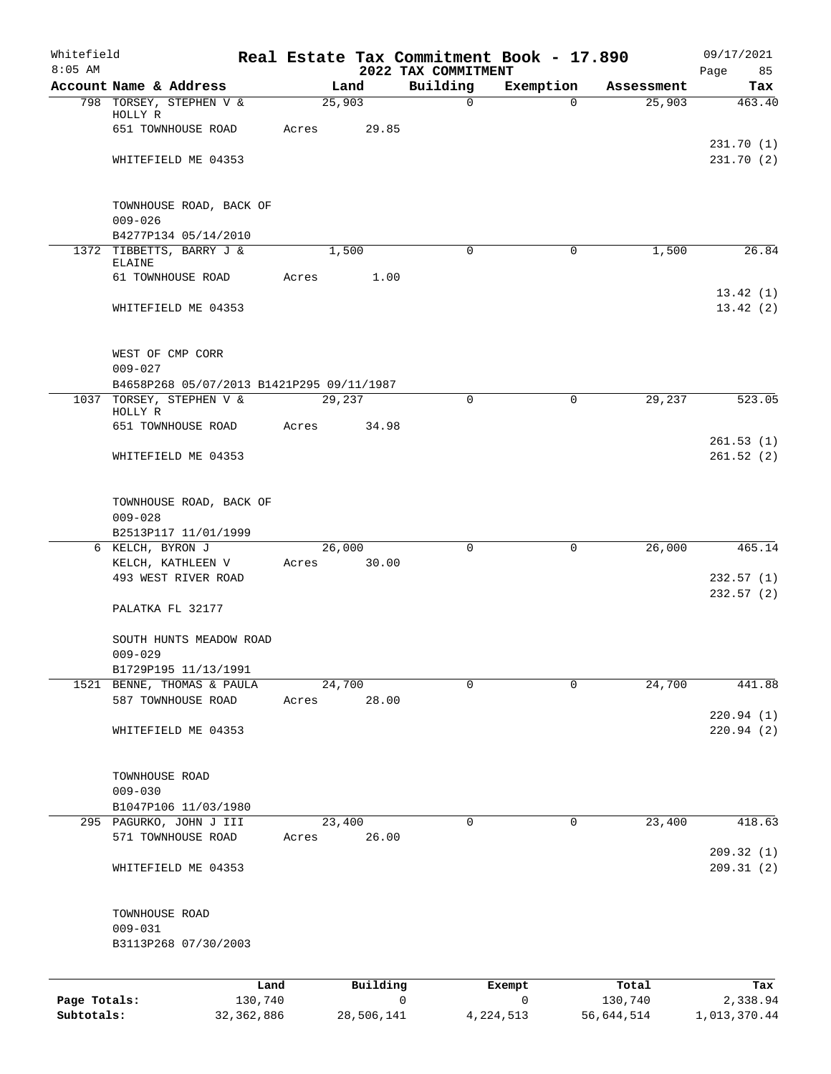| Whitefield<br>$8:05$ AM |                                                                       |       |                 | Real Estate Tax Commitment Book - 17.890<br>2022 TAX COMMITMENT |             |            | 09/17/2021             |
|-------------------------|-----------------------------------------------------------------------|-------|-----------------|-----------------------------------------------------------------|-------------|------------|------------------------|
|                         | Account Name & Address                                                |       | Land            | Building                                                        | Exemption   | Assessment | Page<br>85<br>Tax      |
|                         | 798 TORSEY, STEPHEN V &                                               |       | 25,903          | $\mathbf 0$                                                     | $\Omega$    | 25,903     | 463.40                 |
|                         | HOLLY R<br>651 TOWNHOUSE ROAD                                         |       |                 |                                                                 |             |            |                        |
|                         |                                                                       | Acres | 29.85           |                                                                 |             |            | 231.70(1)              |
|                         | WHITEFIELD ME 04353                                                   |       |                 |                                                                 |             |            | 231.70(2)              |
|                         |                                                                       |       |                 |                                                                 |             |            |                        |
|                         | TOWNHOUSE ROAD, BACK OF                                               |       |                 |                                                                 |             |            |                        |
|                         | $009 - 026$                                                           |       |                 |                                                                 |             |            |                        |
|                         | B4277P134 05/14/2010                                                  |       |                 |                                                                 |             |            |                        |
|                         | 1372 TIBBETTS, BARRY J &<br><b>ELAINE</b>                             |       | 1,500           | $\mathbf 0$                                                     | $\mathbf 0$ | 1,500      | 26.84                  |
|                         | 61 TOWNHOUSE ROAD                                                     | Acres | 1.00            |                                                                 |             |            |                        |
|                         |                                                                       |       |                 |                                                                 |             |            | 13.42(1)               |
|                         | WHITEFIELD ME 04353                                                   |       |                 |                                                                 |             |            | 13.42(2)               |
|                         | WEST OF CMP CORR                                                      |       |                 |                                                                 |             |            |                        |
|                         | $009 - 027$                                                           |       |                 |                                                                 |             |            |                        |
|                         | B4658P268 05/07/2013 B1421P295 09/11/1987<br>1037 TORSEY, STEPHEN V & |       | 29,237          | $\Omega$                                                        | $\Omega$    | 29,237     | 523.05                 |
|                         | HOLLY R                                                               |       |                 |                                                                 |             |            |                        |
|                         | 651 TOWNHOUSE ROAD                                                    | Acres | 34.98           |                                                                 |             |            |                        |
|                         | WHITEFIELD ME 04353                                                   |       |                 |                                                                 |             |            | 261.53(1)<br>261.52(2) |
|                         |                                                                       |       |                 |                                                                 |             |            |                        |
|                         | TOWNHOUSE ROAD, BACK OF<br>$009 - 028$                                |       |                 |                                                                 |             |            |                        |
|                         | B2513P117 11/01/1999                                                  |       |                 |                                                                 |             |            |                        |
|                         | 6 KELCH, BYRON J                                                      |       | 26,000          | $\Omega$                                                        | $\mathbf 0$ | 26,000     | 465.14                 |
|                         | KELCH, KATHLEEN V                                                     | Acres | 30.00           |                                                                 |             |            |                        |
|                         | 493 WEST RIVER ROAD                                                   |       |                 |                                                                 |             |            | 232.57(1)<br>232.57(2) |
|                         | PALATKA FL 32177                                                      |       |                 |                                                                 |             |            |                        |
|                         | SOUTH HUNTS MEADOW ROAD                                               |       |                 |                                                                 |             |            |                        |
|                         | $009 - 029$                                                           |       |                 |                                                                 |             |            |                        |
|                         | B1729P195 11/13/1991                                                  |       |                 |                                                                 |             |            |                        |
|                         | 1521 BENNE, THOMAS & PAULA<br>587 TOWNHOUSE ROAD                      | Acres | 24,700<br>28.00 | $\Omega$                                                        | $\Omega$    | 24,700     | 441.88                 |
|                         |                                                                       |       |                 |                                                                 |             |            | 220.94(1)              |
|                         | WHITEFIELD ME 04353                                                   |       |                 |                                                                 |             |            | 220.94(2)              |
|                         | TOWNHOUSE ROAD                                                        |       |                 |                                                                 |             |            |                        |
|                         | $009 - 030$                                                           |       |                 |                                                                 |             |            |                        |
|                         | B1047P106 11/03/1980                                                  |       |                 |                                                                 |             |            |                        |
|                         | 295 PAGURKO, JOHN J III<br>571 TOWNHOUSE ROAD                         | Acres | 23,400<br>26.00 | $\mathbf 0$                                                     | 0           | 23,400     | 418.63                 |
|                         |                                                                       |       |                 |                                                                 |             |            | 209.32(1)              |
|                         | WHITEFIELD ME 04353                                                   |       |                 |                                                                 |             |            | 209.31(2)              |
|                         | TOWNHOUSE ROAD                                                        |       |                 |                                                                 |             |            |                        |
|                         | $009 - 031$                                                           |       |                 |                                                                 |             |            |                        |
|                         | B3113P268 07/30/2003                                                  |       |                 |                                                                 |             |            |                        |
|                         | Land                                                                  |       | Building        |                                                                 | Exempt      | Total      | Tax                    |
| Page Totals:            | 130,740                                                               |       |                 | 0                                                               | 0           | 130,740    | 2,338.94               |

**Subtotals:** 32,362,886 28,506,141 4,224,513 56,644,514 1,013,370.44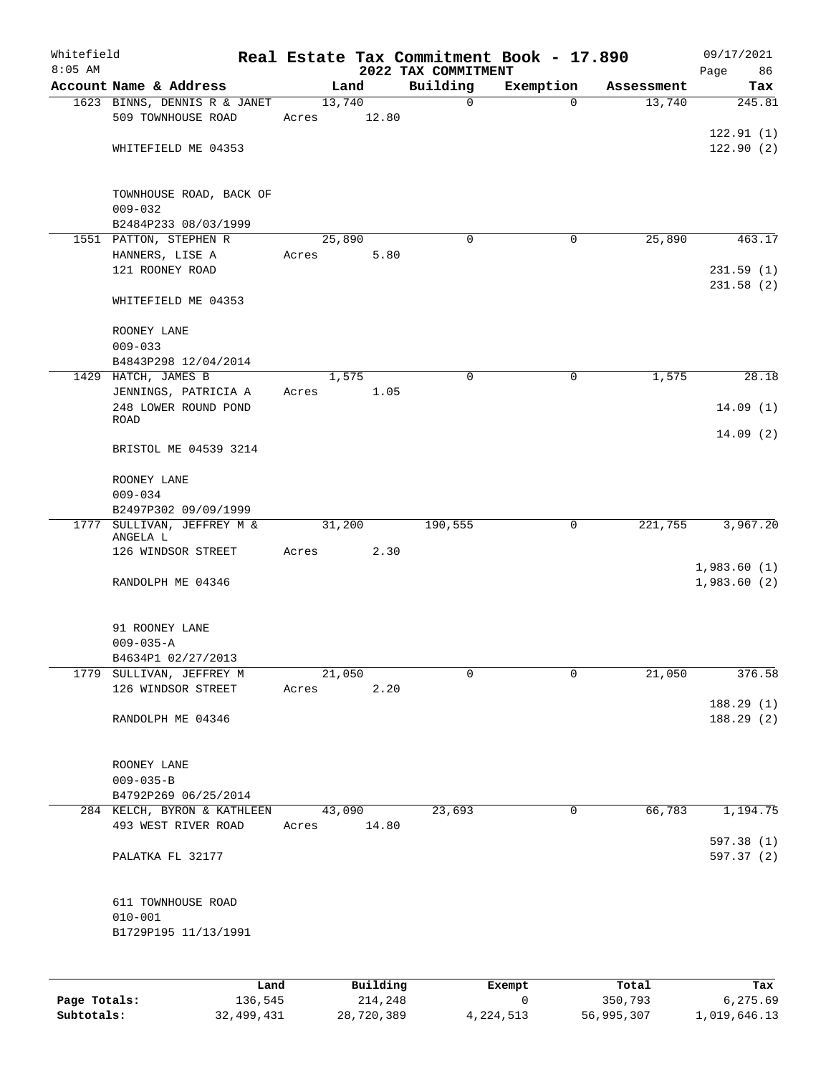| 2022 TAX COMMITMENT<br>Account Name & Address<br>Building<br>Exemption<br>Land<br>Assessment<br>Tax<br>1623 BINNS, DENNIS R & JANET<br>13,740<br>13,740<br>$\mathbf 0$<br>0<br>509 TOWNHOUSE ROAD<br>12.80<br>Acres<br>WHITEFIELD ME 04353<br>TOWNHOUSE ROAD, BACK OF<br>$009 - 032$<br>B2484P233 08/03/1999<br>1551 PATTON, STEPHEN R<br>25,890<br>25,890<br>$\Omega$<br>0<br>HANNERS, LISE A<br>Acres<br>5.80<br>121 ROONEY ROAD<br>231.58(2)<br>WHITEFIELD ME 04353<br>ROONEY LANE<br>$009 - 033$<br>B4843P298 12/04/2014<br>1429 HATCH, JAMES B<br>1,575<br>$\mathbf 0$<br>$\mathbf 0$<br>1,575<br>1.05<br>JENNINGS, PATRICIA A<br>Acres<br>248 LOWER ROUND POND<br><b>ROAD</b><br>14.09(2)<br>BRISTOL ME 04539 3214<br>ROONEY LANE<br>$009 - 034$<br>B2497P302 09/09/1999<br>1777 SULLIVAN, JEFFREY M &<br>31,200<br>190,555<br>221,755<br>3,967.20<br>0<br>ANGELA L<br>126 WINDSOR STREET<br>2.30<br>Acres<br>RANDOLPH ME 04346<br>91 ROONEY LANE<br>$009 - 035 - A$<br>B4634P1 02/27/2013<br>SULLIVAN, JEFFREY M<br>21,050<br>$\mathbf 0$<br>21,050<br>376.58<br>1779<br>0<br>126 WINDSOR STREET<br>Acres<br>2.20<br>RANDOLPH ME 04346<br>ROONEY LANE<br>$009 - 035 - B$<br>B4792P269 06/25/2014<br>23,693<br>0<br>66,783<br>1,194.75<br>284 KELCH, BYRON & KATHLEEN<br>43,090<br>493 WEST RIVER ROAD<br>14.80<br>Acres<br>PALATKA FL 32177<br>611 TOWNHOUSE ROAD<br>$010 - 001$<br>B1729P195 11/13/1991<br>Building<br>Total<br>Land<br>Exempt<br>Tax<br>Page Totals:<br>136,545<br>214,248<br>0<br>350,793<br>6,275.69 | Whitefield<br>$8:05$ AM |  |  | Real Estate Tax Commitment Book - 17.890 | 09/17/2021  |
|---------------------------------------------------------------------------------------------------------------------------------------------------------------------------------------------------------------------------------------------------------------------------------------------------------------------------------------------------------------------------------------------------------------------------------------------------------------------------------------------------------------------------------------------------------------------------------------------------------------------------------------------------------------------------------------------------------------------------------------------------------------------------------------------------------------------------------------------------------------------------------------------------------------------------------------------------------------------------------------------------------------------------------------------------------------------------------------------------------------------------------------------------------------------------------------------------------------------------------------------------------------------------------------------------------------------------------------------------------------------------------------------------------------------------------------------------------------------------------------------------------------------------------|-------------------------|--|--|------------------------------------------|-------------|
|                                                                                                                                                                                                                                                                                                                                                                                                                                                                                                                                                                                                                                                                                                                                                                                                                                                                                                                                                                                                                                                                                                                                                                                                                                                                                                                                                                                                                                                                                                                                 |                         |  |  |                                          | 86<br>Page  |
|                                                                                                                                                                                                                                                                                                                                                                                                                                                                                                                                                                                                                                                                                                                                                                                                                                                                                                                                                                                                                                                                                                                                                                                                                                                                                                                                                                                                                                                                                                                                 |                         |  |  |                                          | 245.81      |
|                                                                                                                                                                                                                                                                                                                                                                                                                                                                                                                                                                                                                                                                                                                                                                                                                                                                                                                                                                                                                                                                                                                                                                                                                                                                                                                                                                                                                                                                                                                                 |                         |  |  |                                          |             |
|                                                                                                                                                                                                                                                                                                                                                                                                                                                                                                                                                                                                                                                                                                                                                                                                                                                                                                                                                                                                                                                                                                                                                                                                                                                                                                                                                                                                                                                                                                                                 |                         |  |  |                                          | 122.91(1)   |
|                                                                                                                                                                                                                                                                                                                                                                                                                                                                                                                                                                                                                                                                                                                                                                                                                                                                                                                                                                                                                                                                                                                                                                                                                                                                                                                                                                                                                                                                                                                                 |                         |  |  |                                          | 122.90(2)   |
|                                                                                                                                                                                                                                                                                                                                                                                                                                                                                                                                                                                                                                                                                                                                                                                                                                                                                                                                                                                                                                                                                                                                                                                                                                                                                                                                                                                                                                                                                                                                 |                         |  |  |                                          |             |
|                                                                                                                                                                                                                                                                                                                                                                                                                                                                                                                                                                                                                                                                                                                                                                                                                                                                                                                                                                                                                                                                                                                                                                                                                                                                                                                                                                                                                                                                                                                                 |                         |  |  |                                          |             |
|                                                                                                                                                                                                                                                                                                                                                                                                                                                                                                                                                                                                                                                                                                                                                                                                                                                                                                                                                                                                                                                                                                                                                                                                                                                                                                                                                                                                                                                                                                                                 |                         |  |  |                                          |             |
|                                                                                                                                                                                                                                                                                                                                                                                                                                                                                                                                                                                                                                                                                                                                                                                                                                                                                                                                                                                                                                                                                                                                                                                                                                                                                                                                                                                                                                                                                                                                 |                         |  |  |                                          |             |
|                                                                                                                                                                                                                                                                                                                                                                                                                                                                                                                                                                                                                                                                                                                                                                                                                                                                                                                                                                                                                                                                                                                                                                                                                                                                                                                                                                                                                                                                                                                                 |                         |  |  |                                          | 463.17      |
|                                                                                                                                                                                                                                                                                                                                                                                                                                                                                                                                                                                                                                                                                                                                                                                                                                                                                                                                                                                                                                                                                                                                                                                                                                                                                                                                                                                                                                                                                                                                 |                         |  |  |                                          |             |
|                                                                                                                                                                                                                                                                                                                                                                                                                                                                                                                                                                                                                                                                                                                                                                                                                                                                                                                                                                                                                                                                                                                                                                                                                                                                                                                                                                                                                                                                                                                                 |                         |  |  |                                          | 231.59(1)   |
|                                                                                                                                                                                                                                                                                                                                                                                                                                                                                                                                                                                                                                                                                                                                                                                                                                                                                                                                                                                                                                                                                                                                                                                                                                                                                                                                                                                                                                                                                                                                 |                         |  |  |                                          |             |
|                                                                                                                                                                                                                                                                                                                                                                                                                                                                                                                                                                                                                                                                                                                                                                                                                                                                                                                                                                                                                                                                                                                                                                                                                                                                                                                                                                                                                                                                                                                                 |                         |  |  |                                          |             |
|                                                                                                                                                                                                                                                                                                                                                                                                                                                                                                                                                                                                                                                                                                                                                                                                                                                                                                                                                                                                                                                                                                                                                                                                                                                                                                                                                                                                                                                                                                                                 |                         |  |  |                                          |             |
|                                                                                                                                                                                                                                                                                                                                                                                                                                                                                                                                                                                                                                                                                                                                                                                                                                                                                                                                                                                                                                                                                                                                                                                                                                                                                                                                                                                                                                                                                                                                 |                         |  |  |                                          |             |
|                                                                                                                                                                                                                                                                                                                                                                                                                                                                                                                                                                                                                                                                                                                                                                                                                                                                                                                                                                                                                                                                                                                                                                                                                                                                                                                                                                                                                                                                                                                                 |                         |  |  |                                          |             |
|                                                                                                                                                                                                                                                                                                                                                                                                                                                                                                                                                                                                                                                                                                                                                                                                                                                                                                                                                                                                                                                                                                                                                                                                                                                                                                                                                                                                                                                                                                                                 |                         |  |  |                                          | 28.18       |
|                                                                                                                                                                                                                                                                                                                                                                                                                                                                                                                                                                                                                                                                                                                                                                                                                                                                                                                                                                                                                                                                                                                                                                                                                                                                                                                                                                                                                                                                                                                                 |                         |  |  |                                          |             |
|                                                                                                                                                                                                                                                                                                                                                                                                                                                                                                                                                                                                                                                                                                                                                                                                                                                                                                                                                                                                                                                                                                                                                                                                                                                                                                                                                                                                                                                                                                                                 |                         |  |  |                                          | 14.09(1)    |
|                                                                                                                                                                                                                                                                                                                                                                                                                                                                                                                                                                                                                                                                                                                                                                                                                                                                                                                                                                                                                                                                                                                                                                                                                                                                                                                                                                                                                                                                                                                                 |                         |  |  |                                          |             |
|                                                                                                                                                                                                                                                                                                                                                                                                                                                                                                                                                                                                                                                                                                                                                                                                                                                                                                                                                                                                                                                                                                                                                                                                                                                                                                                                                                                                                                                                                                                                 |                         |  |  |                                          |             |
|                                                                                                                                                                                                                                                                                                                                                                                                                                                                                                                                                                                                                                                                                                                                                                                                                                                                                                                                                                                                                                                                                                                                                                                                                                                                                                                                                                                                                                                                                                                                 |                         |  |  |                                          |             |
|                                                                                                                                                                                                                                                                                                                                                                                                                                                                                                                                                                                                                                                                                                                                                                                                                                                                                                                                                                                                                                                                                                                                                                                                                                                                                                                                                                                                                                                                                                                                 |                         |  |  |                                          |             |
|                                                                                                                                                                                                                                                                                                                                                                                                                                                                                                                                                                                                                                                                                                                                                                                                                                                                                                                                                                                                                                                                                                                                                                                                                                                                                                                                                                                                                                                                                                                                 |                         |  |  |                                          |             |
|                                                                                                                                                                                                                                                                                                                                                                                                                                                                                                                                                                                                                                                                                                                                                                                                                                                                                                                                                                                                                                                                                                                                                                                                                                                                                                                                                                                                                                                                                                                                 |                         |  |  |                                          |             |
|                                                                                                                                                                                                                                                                                                                                                                                                                                                                                                                                                                                                                                                                                                                                                                                                                                                                                                                                                                                                                                                                                                                                                                                                                                                                                                                                                                                                                                                                                                                                 |                         |  |  |                                          |             |
|                                                                                                                                                                                                                                                                                                                                                                                                                                                                                                                                                                                                                                                                                                                                                                                                                                                                                                                                                                                                                                                                                                                                                                                                                                                                                                                                                                                                                                                                                                                                 |                         |  |  |                                          |             |
|                                                                                                                                                                                                                                                                                                                                                                                                                                                                                                                                                                                                                                                                                                                                                                                                                                                                                                                                                                                                                                                                                                                                                                                                                                                                                                                                                                                                                                                                                                                                 |                         |  |  |                                          | 1,983.60(1) |
|                                                                                                                                                                                                                                                                                                                                                                                                                                                                                                                                                                                                                                                                                                                                                                                                                                                                                                                                                                                                                                                                                                                                                                                                                                                                                                                                                                                                                                                                                                                                 |                         |  |  |                                          | 1,983.60(2) |
|                                                                                                                                                                                                                                                                                                                                                                                                                                                                                                                                                                                                                                                                                                                                                                                                                                                                                                                                                                                                                                                                                                                                                                                                                                                                                                                                                                                                                                                                                                                                 |                         |  |  |                                          |             |
|                                                                                                                                                                                                                                                                                                                                                                                                                                                                                                                                                                                                                                                                                                                                                                                                                                                                                                                                                                                                                                                                                                                                                                                                                                                                                                                                                                                                                                                                                                                                 |                         |  |  |                                          |             |
|                                                                                                                                                                                                                                                                                                                                                                                                                                                                                                                                                                                                                                                                                                                                                                                                                                                                                                                                                                                                                                                                                                                                                                                                                                                                                                                                                                                                                                                                                                                                 |                         |  |  |                                          |             |
|                                                                                                                                                                                                                                                                                                                                                                                                                                                                                                                                                                                                                                                                                                                                                                                                                                                                                                                                                                                                                                                                                                                                                                                                                                                                                                                                                                                                                                                                                                                                 |                         |  |  |                                          |             |
|                                                                                                                                                                                                                                                                                                                                                                                                                                                                                                                                                                                                                                                                                                                                                                                                                                                                                                                                                                                                                                                                                                                                                                                                                                                                                                                                                                                                                                                                                                                                 |                         |  |  |                                          |             |
|                                                                                                                                                                                                                                                                                                                                                                                                                                                                                                                                                                                                                                                                                                                                                                                                                                                                                                                                                                                                                                                                                                                                                                                                                                                                                                                                                                                                                                                                                                                                 |                         |  |  |                                          |             |
|                                                                                                                                                                                                                                                                                                                                                                                                                                                                                                                                                                                                                                                                                                                                                                                                                                                                                                                                                                                                                                                                                                                                                                                                                                                                                                                                                                                                                                                                                                                                 |                         |  |  |                                          | 188.29(1)   |
|                                                                                                                                                                                                                                                                                                                                                                                                                                                                                                                                                                                                                                                                                                                                                                                                                                                                                                                                                                                                                                                                                                                                                                                                                                                                                                                                                                                                                                                                                                                                 |                         |  |  |                                          | 188.29(2)   |
|                                                                                                                                                                                                                                                                                                                                                                                                                                                                                                                                                                                                                                                                                                                                                                                                                                                                                                                                                                                                                                                                                                                                                                                                                                                                                                                                                                                                                                                                                                                                 |                         |  |  |                                          |             |
|                                                                                                                                                                                                                                                                                                                                                                                                                                                                                                                                                                                                                                                                                                                                                                                                                                                                                                                                                                                                                                                                                                                                                                                                                                                                                                                                                                                                                                                                                                                                 |                         |  |  |                                          |             |
|                                                                                                                                                                                                                                                                                                                                                                                                                                                                                                                                                                                                                                                                                                                                                                                                                                                                                                                                                                                                                                                                                                                                                                                                                                                                                                                                                                                                                                                                                                                                 |                         |  |  |                                          |             |
|                                                                                                                                                                                                                                                                                                                                                                                                                                                                                                                                                                                                                                                                                                                                                                                                                                                                                                                                                                                                                                                                                                                                                                                                                                                                                                                                                                                                                                                                                                                                 |                         |  |  |                                          |             |
|                                                                                                                                                                                                                                                                                                                                                                                                                                                                                                                                                                                                                                                                                                                                                                                                                                                                                                                                                                                                                                                                                                                                                                                                                                                                                                                                                                                                                                                                                                                                 |                         |  |  |                                          |             |
|                                                                                                                                                                                                                                                                                                                                                                                                                                                                                                                                                                                                                                                                                                                                                                                                                                                                                                                                                                                                                                                                                                                                                                                                                                                                                                                                                                                                                                                                                                                                 |                         |  |  |                                          |             |
|                                                                                                                                                                                                                                                                                                                                                                                                                                                                                                                                                                                                                                                                                                                                                                                                                                                                                                                                                                                                                                                                                                                                                                                                                                                                                                                                                                                                                                                                                                                                 |                         |  |  |                                          | 597.38 (1)  |
|                                                                                                                                                                                                                                                                                                                                                                                                                                                                                                                                                                                                                                                                                                                                                                                                                                                                                                                                                                                                                                                                                                                                                                                                                                                                                                                                                                                                                                                                                                                                 |                         |  |  |                                          | 597.37 (2)  |
|                                                                                                                                                                                                                                                                                                                                                                                                                                                                                                                                                                                                                                                                                                                                                                                                                                                                                                                                                                                                                                                                                                                                                                                                                                                                                                                                                                                                                                                                                                                                 |                         |  |  |                                          |             |
|                                                                                                                                                                                                                                                                                                                                                                                                                                                                                                                                                                                                                                                                                                                                                                                                                                                                                                                                                                                                                                                                                                                                                                                                                                                                                                                                                                                                                                                                                                                                 |                         |  |  |                                          |             |
|                                                                                                                                                                                                                                                                                                                                                                                                                                                                                                                                                                                                                                                                                                                                                                                                                                                                                                                                                                                                                                                                                                                                                                                                                                                                                                                                                                                                                                                                                                                                 |                         |  |  |                                          |             |
|                                                                                                                                                                                                                                                                                                                                                                                                                                                                                                                                                                                                                                                                                                                                                                                                                                                                                                                                                                                                                                                                                                                                                                                                                                                                                                                                                                                                                                                                                                                                 |                         |  |  |                                          |             |
|                                                                                                                                                                                                                                                                                                                                                                                                                                                                                                                                                                                                                                                                                                                                                                                                                                                                                                                                                                                                                                                                                                                                                                                                                                                                                                                                                                                                                                                                                                                                 |                         |  |  |                                          |             |
|                                                                                                                                                                                                                                                                                                                                                                                                                                                                                                                                                                                                                                                                                                                                                                                                                                                                                                                                                                                                                                                                                                                                                                                                                                                                                                                                                                                                                                                                                                                                 |                         |  |  |                                          |             |
|                                                                                                                                                                                                                                                                                                                                                                                                                                                                                                                                                                                                                                                                                                                                                                                                                                                                                                                                                                                                                                                                                                                                                                                                                                                                                                                                                                                                                                                                                                                                 |                         |  |  |                                          |             |
|                                                                                                                                                                                                                                                                                                                                                                                                                                                                                                                                                                                                                                                                                                                                                                                                                                                                                                                                                                                                                                                                                                                                                                                                                                                                                                                                                                                                                                                                                                                                 |                         |  |  |                                          |             |

**Subtotals:** 32,499,431 28,720,389 4,224,513 56,995,307 1,019,646.13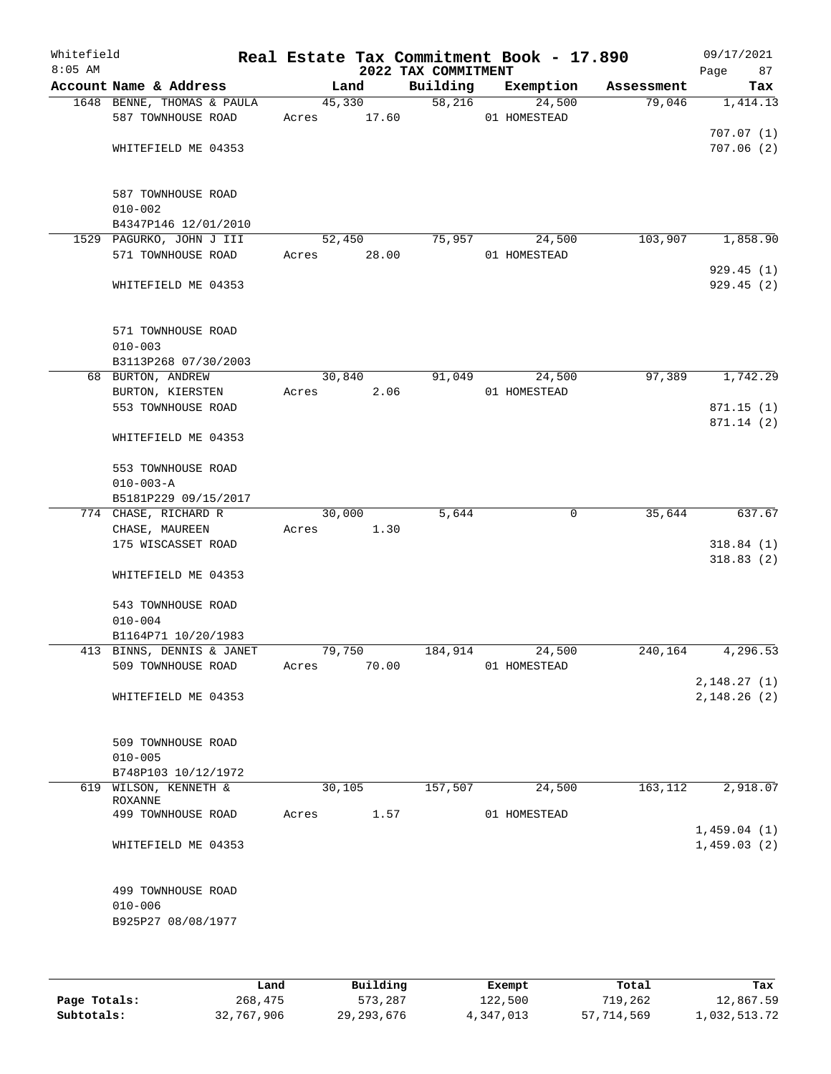| Whitefield<br>$8:05$ AM |                                    |        |        | 2022 TAX COMMITMENT | Real Estate Tax Commitment Book - 17.890 |                |            | 09/17/2021<br>Page<br>87 |
|-------------------------|------------------------------------|--------|--------|---------------------|------------------------------------------|----------------|------------|--------------------------|
|                         | Account Name & Address             |        | Land   | Building            | Exemption                                |                | Assessment | Tax                      |
|                         | 1648 BENNE, THOMAS & PAULA         |        | 45,330 | $\overline{58,216}$ | 24,500                                   |                | 79,046     | 1,414.13                 |
|                         | 587 TOWNHOUSE ROAD                 | Acres  | 17.60  |                     | 01 HOMESTEAD                             |                |            |                          |
|                         |                                    |        |        |                     |                                          |                |            | 707.07(1)                |
|                         | WHITEFIELD ME 04353                |        |        |                     |                                          |                |            | 707.06(2)                |
|                         |                                    |        |        |                     |                                          |                |            |                          |
|                         | 587 TOWNHOUSE ROAD                 |        |        |                     |                                          |                |            |                          |
|                         | $010 - 002$                        |        |        |                     |                                          |                |            |                          |
|                         | B4347P146 12/01/2010               |        |        |                     |                                          |                |            |                          |
|                         | 1529 PAGURKO, JOHN J III           |        | 52,450 | 75,957              | 24,500                                   |                | 103,907    | 1,858.90                 |
|                         | 571 TOWNHOUSE ROAD                 | Acres  | 28.00  |                     | 01 HOMESTEAD                             |                |            |                          |
|                         |                                    |        |        |                     |                                          |                |            | 929.45(1)                |
|                         | WHITEFIELD ME 04353                |        |        |                     |                                          |                |            | 929.45 (2)               |
|                         |                                    |        |        |                     |                                          |                |            |                          |
|                         | 571 TOWNHOUSE ROAD                 |        |        |                     |                                          |                |            |                          |
|                         | $010 - 003$                        |        |        |                     |                                          |                |            |                          |
|                         | B3113P268 07/30/2003               |        |        |                     |                                          |                |            |                          |
|                         | 68 BURTON, ANDREW                  |        | 30,840 | 91,049              | 24,500                                   |                | 97,389     | 1,742.29                 |
|                         | BURTON, KIERSTEN                   | Acres  | 2.06   |                     | 01 HOMESTEAD                             |                |            |                          |
|                         | 553 TOWNHOUSE ROAD                 |        |        |                     |                                          |                |            | 871.15(1)                |
|                         |                                    |        |        |                     |                                          |                |            | 871.14 (2)               |
|                         | WHITEFIELD ME 04353                |        |        |                     |                                          |                |            |                          |
|                         | 553 TOWNHOUSE ROAD                 |        |        |                     |                                          |                |            |                          |
|                         | $010 - 003 - A$                    |        |        |                     |                                          |                |            |                          |
|                         | B5181P229 09/15/2017               |        |        |                     |                                          |                |            |                          |
|                         | 774 CHASE, RICHARD R               |        | 30,000 | 5,644               |                                          | $\overline{0}$ | 35,644     | 637.67                   |
|                         | CHASE, MAUREEN                     | Acres  | 1.30   |                     |                                          |                |            |                          |
|                         | 175 WISCASSET ROAD                 |        |        |                     |                                          |                |            | 318.84(1)                |
|                         |                                    |        |        |                     |                                          |                |            | 318.83(2)                |
|                         | WHITEFIELD ME 04353                |        |        |                     |                                          |                |            |                          |
|                         |                                    |        |        |                     |                                          |                |            |                          |
|                         | 543 TOWNHOUSE ROAD                 |        |        |                     |                                          |                |            |                          |
|                         | $010 - 004$<br>B1164P71 10/20/1983 |        |        |                     |                                          |                |            |                          |
|                         | 413 BINNS, DENNIS & JANET          | 79,750 |        | 184,914             | 24,500                                   |                | 240,164    | 4,296.53                 |
|                         | 509 TOWNHOUSE ROAD                 | Acres  | 70.00  |                     | 01 HOMESTEAD                             |                |            |                          |
|                         |                                    |        |        |                     |                                          |                |            | 2,148.27(1)              |
|                         | WHITEFIELD ME 04353                |        |        |                     |                                          |                |            | 2, 148.26 (2)            |
|                         |                                    |        |        |                     |                                          |                |            |                          |
|                         |                                    |        |        |                     |                                          |                |            |                          |
|                         | 509 TOWNHOUSE ROAD                 |        |        |                     |                                          |                |            |                          |
|                         | $010 - 005$                        |        |        |                     |                                          |                |            |                          |
|                         | B748P103 10/12/1972                |        |        |                     |                                          |                |            |                          |
| 619                     | WILSON, KENNETH &<br>ROXANNE       | 30,105 |        | 157,507             | 24,500                                   |                | 163,112    | 2,918.07                 |
|                         | 499 TOWNHOUSE ROAD                 | Acres  | 1.57   |                     | 01 HOMESTEAD                             |                |            |                          |
|                         |                                    |        |        |                     |                                          |                |            | 1,459.04(1)              |
|                         | WHITEFIELD ME 04353                |        |        |                     |                                          |                |            | 1,459.03(2)              |
|                         |                                    |        |        |                     |                                          |                |            |                          |
|                         |                                    |        |        |                     |                                          |                |            |                          |
|                         | 499 TOWNHOUSE ROAD                 |        |        |                     |                                          |                |            |                          |
|                         | $010 - 006$                        |        |        |                     |                                          |                |            |                          |
|                         | B925P27 08/08/1977                 |        |        |                     |                                          |                |            |                          |
|                         |                                    |        |        |                     |                                          |                |            |                          |
|                         |                                    |        |        |                     |                                          |                |            |                          |

|              | Land       | Building     | Exempt    | Total      | Tax          |
|--------------|------------|--------------|-----------|------------|--------------|
| Page Totals: | 268,475    | 573,287      | 122,500   | 719,262    | 12,867.59    |
| Subtotals:   | 32,767,906 | 29, 293, 676 | 4,347,013 | 57,714,569 | 1,032,513.72 |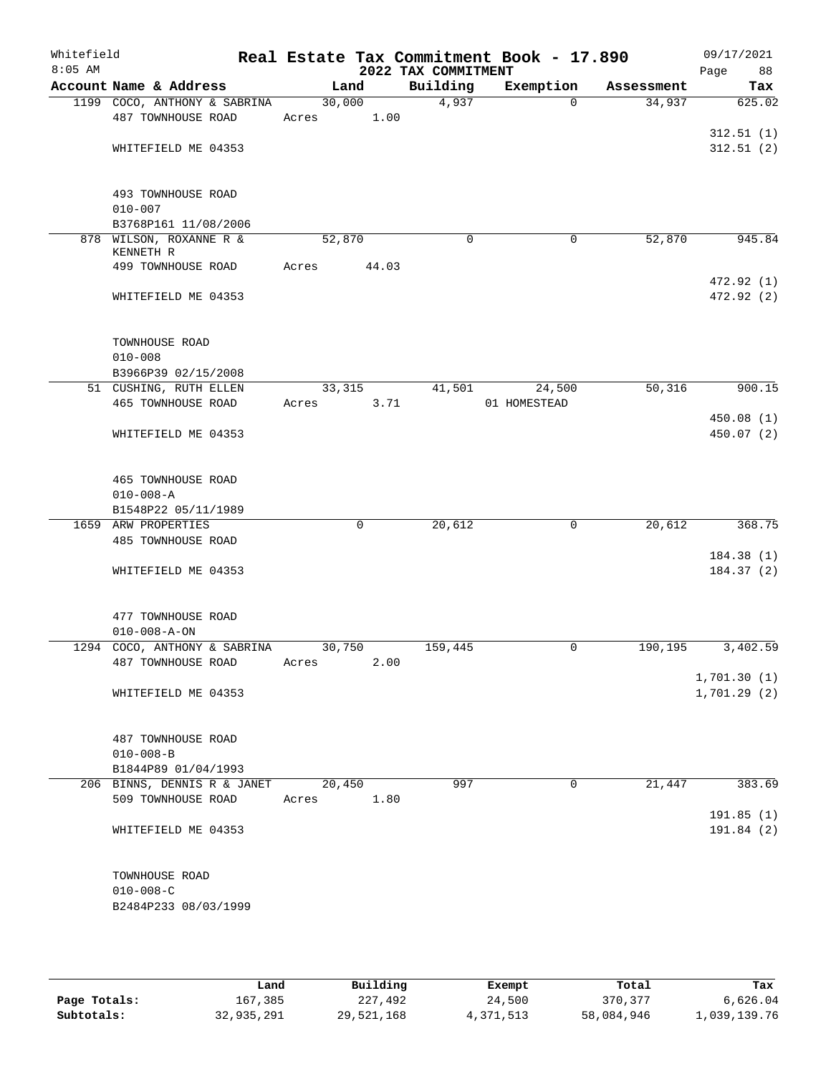| Whitefield<br>$8:05$ AM |                                 |        |       | 2022 TAX COMMITMENT | Real Estate Tax Commitment Book - 17.890 |            | 09/17/2021<br>88<br>Page |
|-------------------------|---------------------------------|--------|-------|---------------------|------------------------------------------|------------|--------------------------|
|                         | Account Name & Address          |        | Land  | Building            | Exemption                                | Assessment | Tax                      |
|                         | 1199 COCO, ANTHONY & SABRINA    | 30,000 |       | 4,937               | $\Omega$                                 | 34,937     | 625.02                   |
|                         | 487 TOWNHOUSE ROAD              | Acres  | 1.00  |                     |                                          |            |                          |
|                         |                                 |        |       |                     |                                          |            | 312.51(1)                |
|                         | WHITEFIELD ME 04353             |        |       |                     |                                          |            | 312.51(2)                |
|                         | 493 TOWNHOUSE ROAD              |        |       |                     |                                          |            |                          |
|                         | $010 - 007$                     |        |       |                     |                                          |            |                          |
|                         | B3768P161 11/08/2006            |        |       |                     |                                          |            |                          |
|                         | 878 WILSON, ROXANNE R &         | 52,870 |       | $\mathbf 0$         | 0                                        | 52,870     | 945.84                   |
|                         | KENNETH R<br>499 TOWNHOUSE ROAD | Acres  | 44.03 |                     |                                          |            |                          |
|                         |                                 |        |       |                     |                                          |            | 472.92 (1)               |
|                         | WHITEFIELD ME 04353             |        |       |                     |                                          |            | 472.92 (2)               |
|                         | TOWNHOUSE ROAD                  |        |       |                     |                                          |            |                          |
|                         | $010 - 008$                     |        |       |                     |                                          |            |                          |
|                         | B3966P39 02/15/2008             |        |       |                     |                                          |            |                          |
|                         | 51 CUSHING, RUTH ELLEN          | 33,315 |       | 41,501              | 24,500                                   | 50,316     | 900.15                   |
|                         | 465 TOWNHOUSE ROAD              | Acres  | 3.71  |                     | 01 HOMESTEAD                             |            |                          |
|                         |                                 |        |       |                     |                                          |            | 450.08(1)                |
|                         | WHITEFIELD ME 04353             |        |       |                     |                                          |            | 450.07(2)                |
|                         | 465 TOWNHOUSE ROAD              |        |       |                     |                                          |            |                          |
|                         | $010 - 008 - A$                 |        |       |                     |                                          |            |                          |
|                         | B1548P22 05/11/1989             |        |       |                     |                                          |            |                          |
| 1659                    | ARW PROPERTIES                  |        | 0     | 20,612              | 0                                        | 20,612     | 368.75                   |
|                         | 485 TOWNHOUSE ROAD              |        |       |                     |                                          |            |                          |
|                         | WHITEFIELD ME 04353             |        |       |                     |                                          |            | 184.38(1)<br>184.37(2)   |
|                         |                                 |        |       |                     |                                          |            |                          |
|                         | 477 TOWNHOUSE ROAD              |        |       |                     |                                          |            |                          |
|                         | $010 - 008 - A - ON$            |        |       |                     |                                          |            |                          |
|                         | 1294 COCO, ANTHONY & SABRINA    | 30,750 |       | 159,445             | 0                                        | 190,195    | 3,402.59                 |
|                         | 487 TOWNHOUSE ROAD              | Acres  | 2.00  |                     |                                          |            |                          |
|                         |                                 |        |       |                     |                                          |            | 1,701.30(1)              |
|                         | WHITEFIELD ME 04353             |        |       |                     |                                          |            | 1,701.29(2)              |
|                         | 487 TOWNHOUSE ROAD              |        |       |                     |                                          |            |                          |
|                         | $010 - 008 - B$                 |        |       |                     |                                          |            |                          |
|                         | B1844P89 01/04/1993             |        |       |                     |                                          |            |                          |
|                         | 206 BINNS, DENNIS R & JANET     | 20,450 |       | 997                 | $\Omega$                                 | 21,447     | 383.69                   |
|                         | 509 TOWNHOUSE ROAD              | Acres  | 1.80  |                     |                                          |            |                          |
|                         | WHITEFIELD ME 04353             |        |       |                     |                                          |            | 191.85 (1)<br>191.84 (2) |
|                         |                                 |        |       |                     |                                          |            |                          |
|                         | TOWNHOUSE ROAD                  |        |       |                     |                                          |            |                          |
|                         | $010 - 008 - C$                 |        |       |                     |                                          |            |                          |
|                         | B2484P233 08/03/1999            |        |       |                     |                                          |            |                          |

|              | Land       | Building   | Exempt    | Total      | Tax          |
|--------------|------------|------------|-----------|------------|--------------|
| Page Totals: | 167,385    | 227,492    | 24,500    | 370,377    | 6.626.04     |
| Subtotals:   | 32,935,291 | 29,521,168 | 4,371,513 | 58,084,946 | 1,039,139.76 |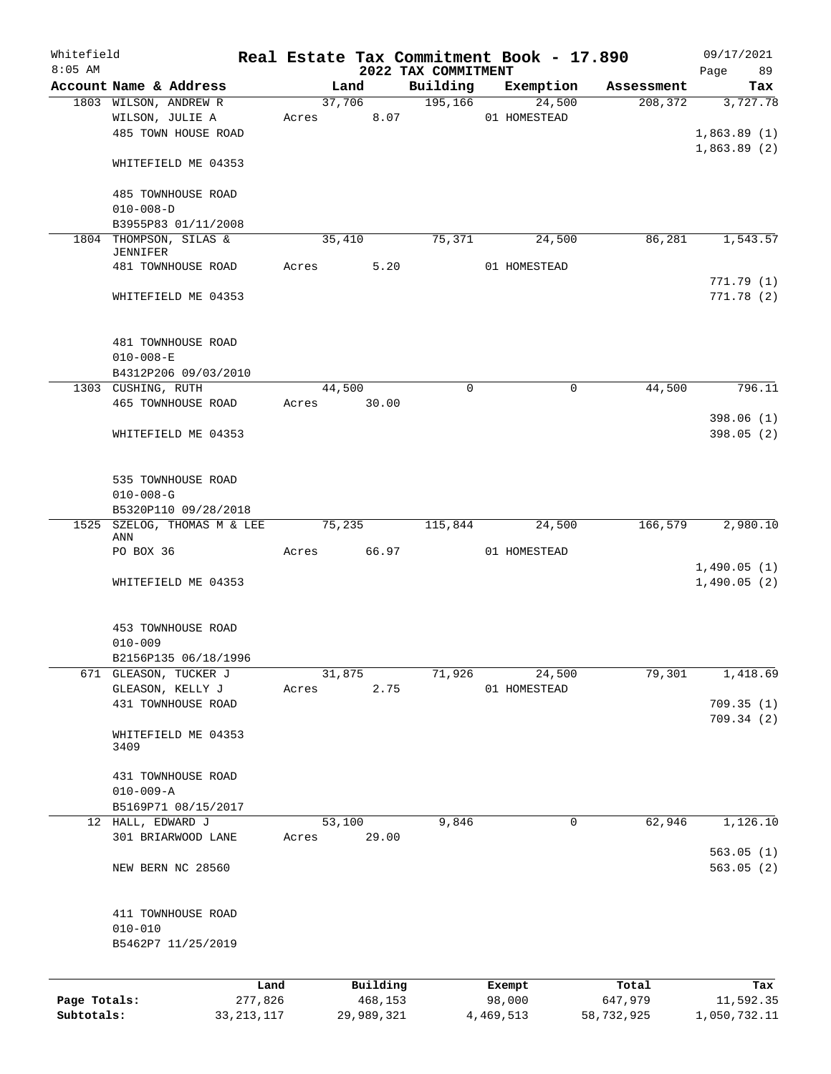| Whitefield<br>$8:05$ AM    |                                       |         |                       |                                 | Real Estate Tax Commitment Book - 17.890 |                       | 09/17/2021                |
|----------------------------|---------------------------------------|---------|-----------------------|---------------------------------|------------------------------------------|-----------------------|---------------------------|
|                            | Account Name & Address                |         | Land                  | 2022 TAX COMMITMENT<br>Building | Exemption                                | Assessment            | Page<br>89<br>Tax         |
|                            | 1803 WILSON, ANDREW R                 |         | 37,706                | 195,166                         | 24,500                                   | 208, 372              | 3,727.78                  |
|                            | WILSON, JULIE A                       | Acres   |                       | 8.07                            | 01 HOMESTEAD                             |                       |                           |
|                            | 485 TOWN HOUSE ROAD                   |         |                       |                                 |                                          |                       | 1,863.89(1)               |
|                            |                                       |         |                       |                                 |                                          |                       | 1,863.89(2)               |
|                            | WHITEFIELD ME 04353                   |         |                       |                                 |                                          |                       |                           |
|                            |                                       |         |                       |                                 |                                          |                       |                           |
|                            | 485 TOWNHOUSE ROAD                    |         |                       |                                 |                                          |                       |                           |
|                            | $010 - 008 - D$                       |         |                       |                                 |                                          |                       |                           |
|                            | B3955P83 01/11/2008                   |         |                       |                                 |                                          |                       |                           |
|                            | 1804 THOMPSON, SILAS &                |         | 35,410                | 75,371                          | 24,500                                   | 86,281                | 1,543.57                  |
|                            | JENNIFER<br>481 TOWNHOUSE ROAD        | Acres   |                       | 5.20                            | 01 HOMESTEAD                             |                       |                           |
|                            |                                       |         |                       |                                 |                                          |                       | 771.79(1)                 |
|                            | WHITEFIELD ME 04353                   |         |                       |                                 |                                          |                       | 771.78(2)                 |
|                            |                                       |         |                       |                                 |                                          |                       |                           |
|                            |                                       |         |                       |                                 |                                          |                       |                           |
|                            | 481 TOWNHOUSE ROAD                    |         |                       |                                 |                                          |                       |                           |
|                            | $010 - 008 - E$                       |         |                       |                                 |                                          |                       |                           |
|                            | B4312P206 09/03/2010                  |         |                       |                                 |                                          |                       |                           |
|                            | 1303 CUSHING, RUTH                    |         | 44,500                | $\mathbf 0$                     | 0                                        | 44,500                | 796.11                    |
|                            | 465 TOWNHOUSE ROAD                    |         | Acres 30.00           |                                 |                                          |                       |                           |
|                            |                                       |         |                       |                                 |                                          |                       | 398.06(1)                 |
|                            | WHITEFIELD ME 04353                   |         |                       |                                 |                                          |                       | 398.05(2)                 |
|                            |                                       |         |                       |                                 |                                          |                       |                           |
|                            |                                       |         |                       |                                 |                                          |                       |                           |
|                            | 535 TOWNHOUSE ROAD                    |         |                       |                                 |                                          |                       |                           |
|                            | $010 - 008 - G$                       |         |                       |                                 |                                          |                       |                           |
|                            | B5320P110 09/28/2018                  |         |                       |                                 |                                          |                       |                           |
| 1525                       | SZELOG, THOMAS M & LEE                |         | 75,235                | 115,844                         | 24,500                                   | 166,579               | 2,980.10                  |
|                            | ANN                                   |         |                       |                                 |                                          |                       |                           |
|                            | PO BOX 36                             |         | 66.97<br>Acres        |                                 | 01 HOMESTEAD                             |                       | 1,490.05(1)               |
|                            | WHITEFIELD ME 04353                   |         |                       |                                 |                                          |                       | 1,490.05(2)               |
|                            |                                       |         |                       |                                 |                                          |                       |                           |
|                            |                                       |         |                       |                                 |                                          |                       |                           |
|                            | 453 TOWNHOUSE ROAD                    |         |                       |                                 |                                          |                       |                           |
|                            | $010 - 009$                           |         |                       |                                 |                                          |                       |                           |
|                            | B2156P135 06/18/1996                  |         |                       |                                 |                                          |                       |                           |
|                            | 671 GLEASON, TUCKER J                 |         | 31,875                | 71,926                          | 24,500                                   | 79,301                | 1,418.69                  |
|                            | GLEASON, KELLY J                      | Acres   |                       | 2.75                            | 01 HOMESTEAD                             |                       |                           |
|                            | 431 TOWNHOUSE ROAD                    |         |                       |                                 |                                          |                       | 709.35(1)                 |
|                            |                                       |         |                       |                                 |                                          |                       | 709.34(2)                 |
|                            | WHITEFIELD ME 04353                   |         |                       |                                 |                                          |                       |                           |
|                            | 3409                                  |         |                       |                                 |                                          |                       |                           |
|                            |                                       |         |                       |                                 |                                          |                       |                           |
|                            | 431 TOWNHOUSE ROAD<br>$010 - 009 - A$ |         |                       |                                 |                                          |                       |                           |
|                            | B5169P71 08/15/2017                   |         |                       |                                 |                                          |                       |                           |
|                            | 12 HALL, EDWARD J                     |         | 53,100                | 9,846                           | 0                                        | 62,946                | 1,126.10                  |
|                            | 301 BRIARWOOD LANE                    | Acres   | 29.00                 |                                 |                                          |                       |                           |
|                            |                                       |         |                       |                                 |                                          |                       | 563.05(1)                 |
|                            | NEW BERN NC 28560                     |         |                       |                                 |                                          |                       | 563.05(2)                 |
|                            |                                       |         |                       |                                 |                                          |                       |                           |
|                            |                                       |         |                       |                                 |                                          |                       |                           |
|                            | 411 TOWNHOUSE ROAD                    |         |                       |                                 |                                          |                       |                           |
|                            | $010 - 010$                           |         |                       |                                 |                                          |                       |                           |
|                            | B5462P7 11/25/2019                    |         |                       |                                 |                                          |                       |                           |
|                            |                                       |         |                       |                                 |                                          |                       |                           |
|                            |                                       |         |                       |                                 |                                          |                       |                           |
|                            |                                       | Land    | Building              |                                 | Exempt                                   | Total                 | Tax                       |
| Page Totals:<br>Subtotals: | 33, 213, 117                          | 277,826 | 468,153<br>29,989,321 |                                 | 98,000<br>4,469,513                      | 647,979<br>58,732,925 | 11,592.35<br>1,050,732.11 |
|                            |                                       |         |                       |                                 |                                          |                       |                           |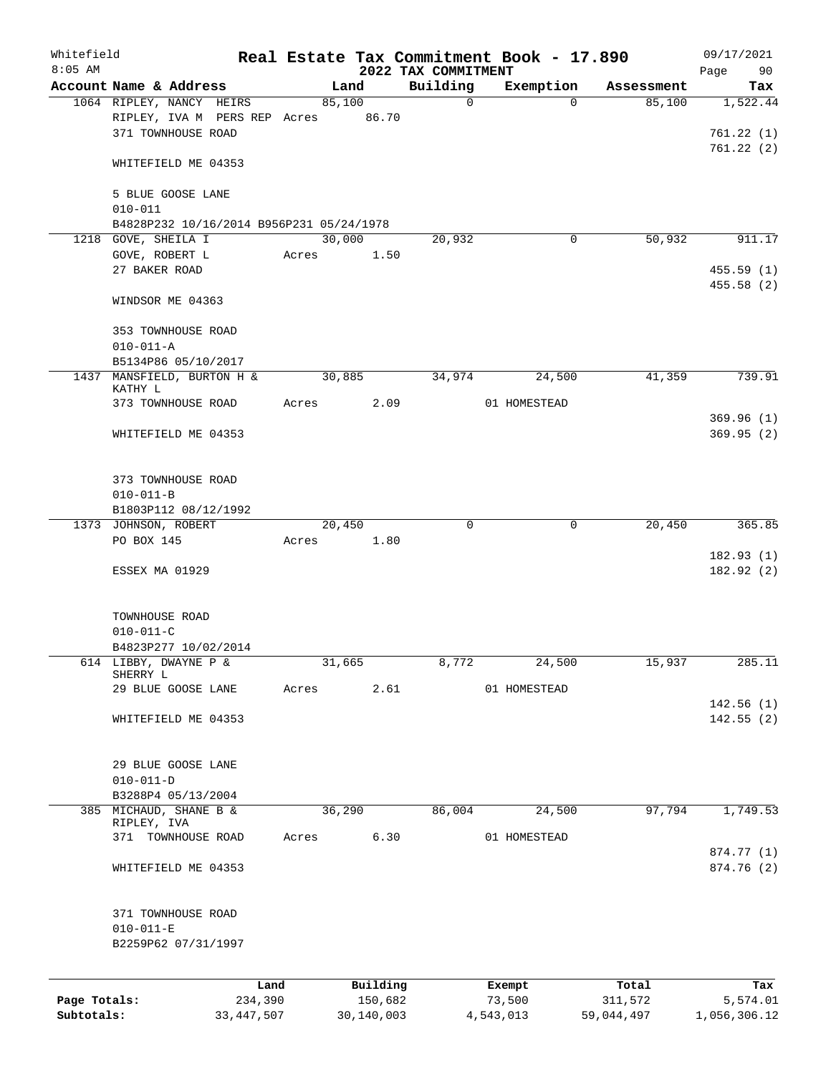| Whitefield<br>$8:05$ AM |                                                                                |       |                 | 2022 TAX COMMITMENT | Real Estate Tax Commitment Book - 17.890 |            | 09/17/2021<br>90<br>Page           |
|-------------------------|--------------------------------------------------------------------------------|-------|-----------------|---------------------|------------------------------------------|------------|------------------------------------|
|                         | Account Name & Address                                                         |       | Land            | Building            | Exemption                                | Assessment | Tax                                |
|                         | 1064 RIPLEY, NANCY HEIRS<br>RIPLEY, IVA M PERS REP Acres<br>371 TOWNHOUSE ROAD |       | 85,100<br>86.70 | $\mathbf 0$         | $\Omega$                                 | 85,100     | 1,522.44<br>761.22(1)<br>761.22(2) |
|                         | WHITEFIELD ME 04353                                                            |       |                 |                     |                                          |            |                                    |
|                         | 5 BLUE GOOSE LANE<br>$010 - 011$                                               |       |                 |                     |                                          |            |                                    |
|                         | B4828P232 10/16/2014 B956P231 05/24/1978<br>1218 GOVE, SHEILA I                |       | 30,000          | 20,932              | 0                                        | 50,932     | 911.17                             |
|                         | GOVE, ROBERT L                                                                 | Acres | 1.50            |                     |                                          |            |                                    |
|                         | 27 BAKER ROAD                                                                  |       |                 |                     |                                          |            | 455.59(1)<br>455.58 (2)            |
|                         | WINDSOR ME 04363                                                               |       |                 |                     |                                          |            |                                    |
|                         | 353 TOWNHOUSE ROAD<br>$010 - 011 - A$                                          |       |                 |                     |                                          |            |                                    |
|                         | B5134P86 05/10/2017                                                            |       |                 |                     |                                          |            |                                    |
|                         | 1437 MANSFIELD, BURTON H &<br>KATHY L                                          |       | 30,885          | 34,974              | 24,500                                   | 41,359     | 739.91                             |
|                         | 373 TOWNHOUSE ROAD                                                             | Acres | 2.09            |                     | 01 HOMESTEAD                             |            |                                    |
|                         | WHITEFIELD ME 04353                                                            |       |                 |                     |                                          |            | 369.96(1)<br>369.95(2)             |
|                         | 373 TOWNHOUSE ROAD<br>$010 - 011 - B$                                          |       |                 |                     |                                          |            |                                    |
|                         | B1803P112 08/12/1992                                                           |       |                 |                     |                                          |            |                                    |
|                         | 1373 JOHNSON, ROBERT                                                           |       | 20,450          | 0                   | 0                                        | 20,450     | 365.85                             |
|                         | PO BOX 145                                                                     | Acres | 1.80            |                     |                                          |            | 182.93(1)                          |
|                         | ESSEX MA 01929                                                                 |       |                 |                     |                                          |            | 182.92(2)                          |
|                         | TOWNHOUSE ROAD                                                                 |       |                 |                     |                                          |            |                                    |
|                         | $010 - 011 - C$                                                                |       |                 |                     |                                          |            |                                    |
|                         | B4823P277 10/02/2014                                                           |       |                 |                     |                                          |            |                                    |
|                         | 614 LIBBY, DWAYNE P &<br>SHERRY L<br>29 BLUE GOOSE LANE                        | Acres | 31,665<br>2.61  | 8,772               | 24,500<br>01 HOMESTEAD                   | 15,937     | 285.11                             |
|                         |                                                                                |       |                 |                     |                                          |            | 142.56(1)                          |
|                         | WHITEFIELD ME 04353                                                            |       |                 |                     |                                          |            | 142.55(2)                          |
|                         | 29 BLUE GOOSE LANE                                                             |       |                 |                     |                                          |            |                                    |
|                         | $010 - 011 - D$                                                                |       |                 |                     |                                          |            |                                    |
|                         | B3288P4 05/13/2004<br>385 MICHAUD, SHANE B &                                   |       | 36,290          | 86,004              | 24,500                                   | 97,794     | 1,749.53                           |
|                         | RIPLEY, IVA                                                                    |       |                 |                     |                                          |            |                                    |
|                         | 371 TOWNHOUSE ROAD                                                             | Acres | 6.30            |                     | 01 HOMESTEAD                             |            | 874.77 (1)                         |
|                         | WHITEFIELD ME 04353                                                            |       |                 |                     |                                          |            | 874.76 (2)                         |
|                         | 371 TOWNHOUSE ROAD<br>$010 - 011 - E$<br>B2259P62 07/31/1997                   |       |                 |                     |                                          |            |                                    |
|                         | Land                                                                           |       | Building        |                     | Exempt                                   | Total      | Tax                                |
| Page Totals:            | 234,390                                                                        |       | 150,682         |                     | 73,500                                   | 311,572    | 5,574.01                           |

**Subtotals:** 33,447,507 30,140,003 4,543,013 59,044,497 1,056,306.12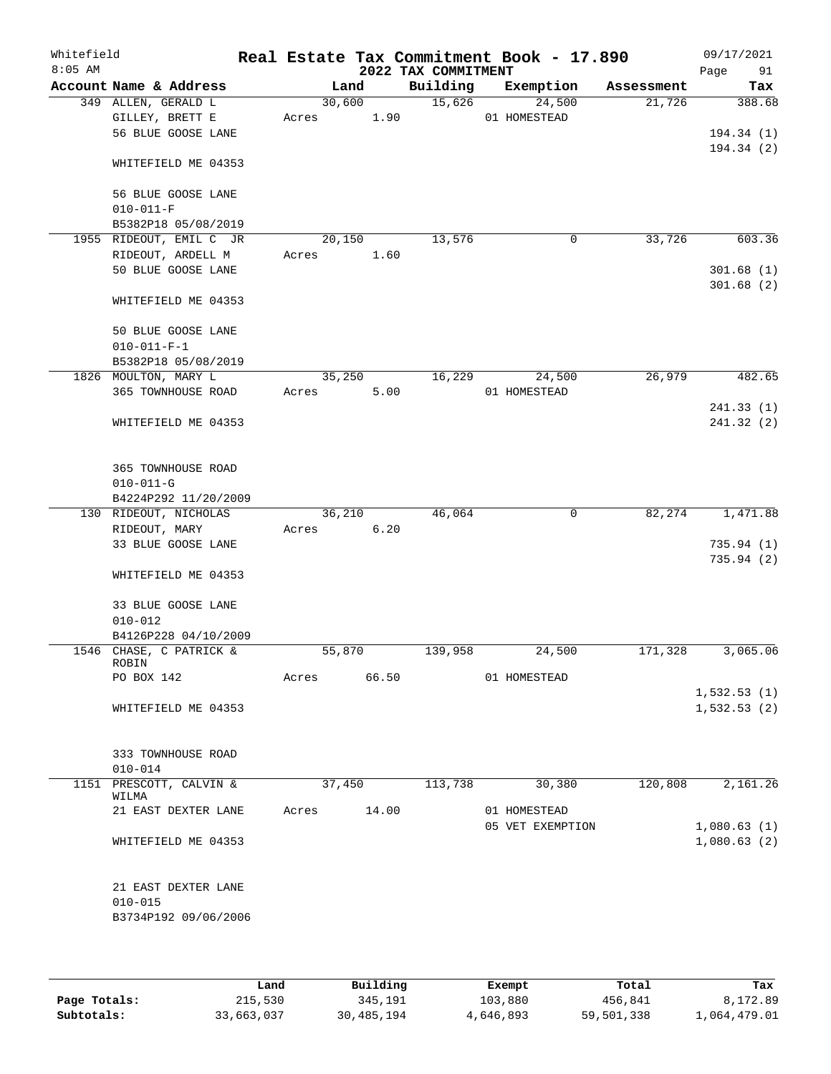| Whitefield<br>$8:05$ AM |                                       |        |        | 2022 TAX COMMITMENT | Real Estate Tax Commitment Book - 17.890 |            | 09/17/2021<br>91<br>Page   |
|-------------------------|---------------------------------------|--------|--------|---------------------|------------------------------------------|------------|----------------------------|
|                         | Account Name & Address                |        | Land   | Building            | Exemption                                | Assessment | Tax                        |
|                         | 349 ALLEN, GERALD L                   |        | 30,600 | 15,626              | 24,500                                   | 21,726     | 388.68                     |
|                         | GILLEY, BRETT E                       | Acres  | 1.90   |                     | 01 HOMESTEAD                             |            |                            |
|                         | 56 BLUE GOOSE LANE                    |        |        |                     |                                          |            | 194.34(1)                  |
|                         | WHITEFIELD ME 04353                   |        |        |                     |                                          |            | 194.34(2)                  |
|                         | 56 BLUE GOOSE LANE<br>$010 - 011 - F$ |        |        |                     |                                          |            |                            |
|                         | B5382P18 05/08/2019                   |        |        |                     |                                          |            |                            |
|                         | 1955 RIDEOUT, EMIL C JR               |        | 20,150 | 13,576              | 0                                        | 33,726     | 603.36                     |
|                         | RIDEOUT, ARDELL M                     | Acres  | 1.60   |                     |                                          |            |                            |
|                         | 50 BLUE GOOSE LANE                    |        |        |                     |                                          |            | 301.68(1)                  |
|                         |                                       |        |        |                     |                                          |            | 301.68(2)                  |
|                         | WHITEFIELD ME 04353                   |        |        |                     |                                          |            |                            |
|                         | 50 BLUE GOOSE LANE                    |        |        |                     |                                          |            |                            |
|                         | $010 - 011 - F - 1$                   |        |        |                     |                                          |            |                            |
|                         | B5382P18 05/08/2019                   |        |        |                     |                                          |            |                            |
|                         | 1826 MOULTON, MARY L                  |        | 35,250 | 16,229              | 24,500                                   | 26,979     | 482.65                     |
|                         | 365 TOWNHOUSE ROAD                    | Acres  | 5.00   |                     | 01 HOMESTEAD                             |            |                            |
|                         |                                       |        |        |                     |                                          |            | 241.33(1)                  |
|                         | WHITEFIELD ME 04353                   |        |        |                     |                                          |            | 241.32 (2)                 |
|                         | 365 TOWNHOUSE ROAD                    |        |        |                     |                                          |            |                            |
|                         | $010 - 011 - G$                       |        |        |                     |                                          |            |                            |
|                         | B4224P292 11/20/2009                  |        |        |                     |                                          |            |                            |
|                         | 130 RIDEOUT, NICHOLAS                 |        | 36,210 | 46,064              | 0                                        | 82,274     | 1,471.88                   |
|                         | RIDEOUT, MARY                         | Acres  | 6.20   |                     |                                          |            |                            |
|                         | 33 BLUE GOOSE LANE                    |        |        |                     |                                          |            | 735.94(1)                  |
|                         |                                       |        |        |                     |                                          |            | 735.94(2)                  |
|                         | WHITEFIELD ME 04353                   |        |        |                     |                                          |            |                            |
|                         | 33 BLUE GOOSE LANE                    |        |        |                     |                                          |            |                            |
|                         | $010 - 012$                           |        |        |                     |                                          |            |                            |
|                         | B4126P228 04/10/2009                  |        |        |                     |                                          |            |                            |
|                         | 1546 CHASE, C PATRICK &               | 55,870 |        | 139,958             | 24,500                                   | 171,328    | 3,065.06                   |
|                         | ROBIN                                 |        |        |                     |                                          |            |                            |
|                         | PO BOX 142                            | Acres  | 66.50  |                     | 01 HOMESTEAD                             |            |                            |
|                         |                                       |        |        |                     |                                          |            | 1,532.53(1)                |
|                         | WHITEFIELD ME 04353                   |        |        |                     |                                          |            | 1,532.53(2)                |
|                         | 333 TOWNHOUSE ROAD                    |        |        |                     |                                          |            |                            |
|                         | $010 - 014$                           |        |        |                     |                                          |            |                            |
|                         | 1151 PRESCOTT, CALVIN &<br>WILMA      |        | 37,450 | 113,738             | 30,380                                   | 120,808    | 2,161.26                   |
|                         | 21 EAST DEXTER LANE                   | Acres  | 14.00  |                     | 01 HOMESTEAD                             |            |                            |
|                         | WHITEFIELD ME 04353                   |        |        |                     | 05 VET EXEMPTION                         |            | 1,080.63(1)<br>1,080.63(2) |
|                         |                                       |        |        |                     |                                          |            |                            |
|                         | 21 EAST DEXTER LANE                   |        |        |                     |                                          |            |                            |
|                         | $010 - 015$                           |        |        |                     |                                          |            |                            |
|                         | B3734P192 09/06/2006                  |        |        |                     |                                          |            |                            |
|                         |                                       |        |        |                     |                                          |            |                            |
|                         |                                       |        |        |                     |                                          |            |                            |

|              | Land       | Building   | Exempt    | Total      | Tax          |
|--------------|------------|------------|-----------|------------|--------------|
| Page Totals: | 215,530    | 345,191    | 103,880   | 456.841    | 8,172.89     |
| Subtotals:   | 33,663,037 | 30,485,194 | 4,646,893 | 59,501,338 | 1,064,479.01 |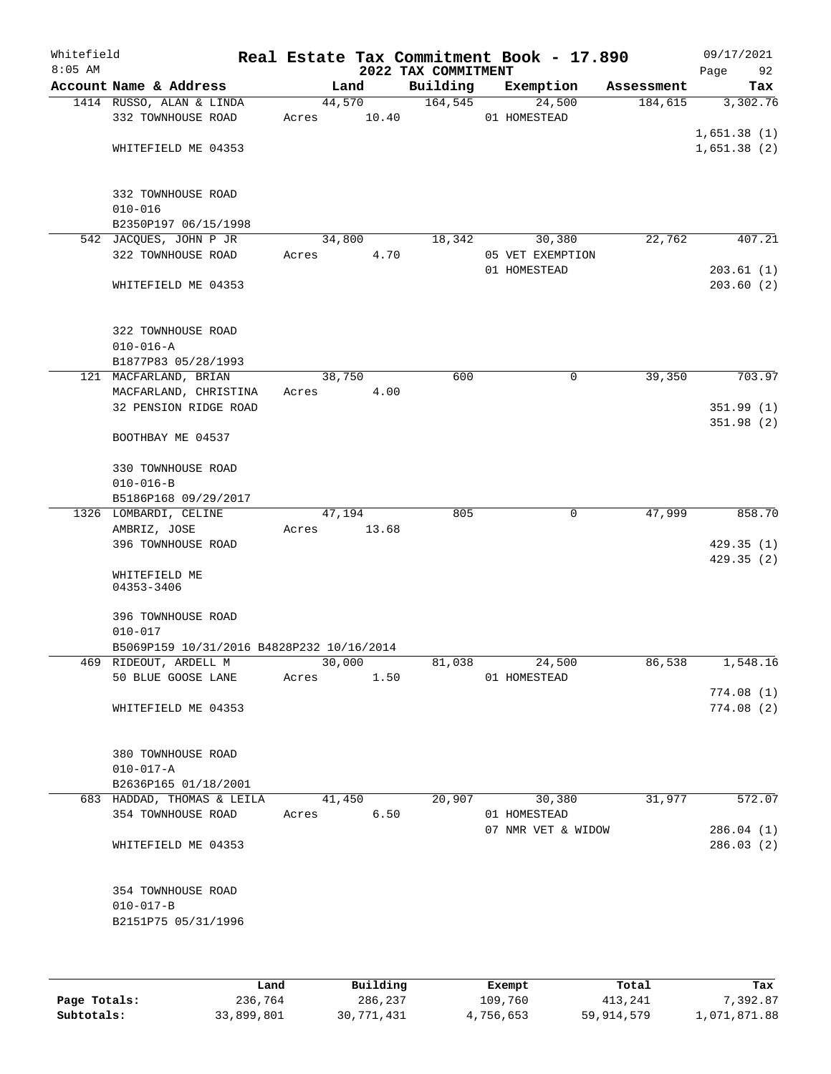| Whitefield<br>$8:05$ AM |                                           |       |                | Real Estate Tax Commitment Book - 17.890<br>2022 TAX COMMITMENT |                                    |            | 09/17/2021<br>Page<br>92 |
|-------------------------|-------------------------------------------|-------|----------------|-----------------------------------------------------------------|------------------------------------|------------|--------------------------|
|                         | Account Name & Address                    |       | Land           | Building                                                        | Exemption                          | Assessment | Tax                      |
|                         | 1414 RUSSO, ALAN & LINDA                  |       | 44,570         | 164, 545                                                        | 24,500                             | 184,615    | 3,302.76                 |
|                         | 332 TOWNHOUSE ROAD                        | Acres | 10.40          |                                                                 | 01 HOMESTEAD                       |            |                          |
|                         |                                           |       |                |                                                                 |                                    |            | 1,651.38(1)              |
|                         | WHITEFIELD ME 04353                       |       |                |                                                                 |                                    |            | 1,651.38(2)              |
|                         |                                           |       |                |                                                                 |                                    |            |                          |
|                         | 332 TOWNHOUSE ROAD                        |       |                |                                                                 |                                    |            |                          |
|                         | $010 - 016$                               |       |                |                                                                 |                                    |            |                          |
|                         | B2350P197 06/15/1998                      |       |                |                                                                 |                                    |            |                          |
|                         | 542 JACQUES, JOHN P JR                    |       | 34,800         | 18,342                                                          | 30,380                             | 22,762     | 407.21                   |
|                         | 322 TOWNHOUSE ROAD                        | Acres | 4.70           |                                                                 | 05 VET EXEMPTION                   |            |                          |
|                         |                                           |       |                |                                                                 | 01 HOMESTEAD                       |            | 203.61(1)                |
|                         | WHITEFIELD ME 04353                       |       |                |                                                                 |                                    |            | 203.60(2)                |
|                         |                                           |       |                |                                                                 |                                    |            |                          |
|                         | 322 TOWNHOUSE ROAD                        |       |                |                                                                 |                                    |            |                          |
|                         | $010 - 016 - A$                           |       |                |                                                                 |                                    |            |                          |
|                         | B1877P83 05/28/1993                       |       |                |                                                                 |                                    |            |                          |
|                         | 121 MACFARLAND, BRIAN                     |       | 38,750         | 600                                                             | 0                                  | 39,350     | 703.97                   |
|                         | MACFARLAND, CHRISTINA                     | Acres | 4.00           |                                                                 |                                    |            |                          |
|                         | 32 PENSION RIDGE ROAD                     |       |                |                                                                 |                                    |            | 351.99(1)                |
|                         |                                           |       |                |                                                                 |                                    |            | 351.98(2)                |
|                         | BOOTHBAY ME 04537                         |       |                |                                                                 |                                    |            |                          |
|                         |                                           |       |                |                                                                 |                                    |            |                          |
|                         | 330 TOWNHOUSE ROAD                        |       |                |                                                                 |                                    |            |                          |
|                         | $010 - 016 - B$                           |       |                |                                                                 |                                    |            |                          |
|                         | B5186P168 09/29/2017                      |       |                |                                                                 |                                    |            |                          |
|                         | 1326 LOMBARDI, CELINE                     |       | 47,194         | 805                                                             | 0                                  | 47,999     | 858.70                   |
|                         | AMBRIZ, JOSE                              | Acres | 13.68          |                                                                 |                                    |            |                          |
|                         | 396 TOWNHOUSE ROAD                        |       |                |                                                                 |                                    |            | 429.35(1)                |
|                         |                                           |       |                |                                                                 |                                    |            | 429.35(2)                |
|                         | WHITEFIELD ME<br>04353-3406               |       |                |                                                                 |                                    |            |                          |
|                         |                                           |       |                |                                                                 |                                    |            |                          |
|                         | 396 TOWNHOUSE ROAD                        |       |                |                                                                 |                                    |            |                          |
|                         | $010 - 017$                               |       |                |                                                                 |                                    |            |                          |
|                         | B5069P159 10/31/2016 B4828P232 10/16/2014 |       |                |                                                                 |                                    |            |                          |
|                         | 469 RIDEOUT, ARDELL M                     |       | 30,000         | 81,038                                                          | 24,500                             | 86,538     | 1,548.16                 |
|                         | 50 BLUE GOOSE LANE                        | Acres | 1.50           |                                                                 | 01 HOMESTEAD                       |            |                          |
|                         |                                           |       |                |                                                                 |                                    |            | 774.08(1)                |
|                         | WHITEFIELD ME 04353                       |       |                |                                                                 |                                    |            | 774.08(2)                |
|                         |                                           |       |                |                                                                 |                                    |            |                          |
|                         |                                           |       |                |                                                                 |                                    |            |                          |
|                         | 380 TOWNHOUSE ROAD                        |       |                |                                                                 |                                    |            |                          |
|                         | $010 - 017 - A$                           |       |                |                                                                 |                                    |            |                          |
|                         | B2636P165 01/18/2001                      |       |                |                                                                 |                                    |            |                          |
|                         | 683 HADDAD, THOMAS & LEILA                |       | 41,450<br>6.50 | 20,907                                                          | 30,380                             | 31,977     | 572.07                   |
|                         | 354 TOWNHOUSE ROAD                        | Acres |                |                                                                 | 01 HOMESTEAD<br>07 NMR VET & WIDOW |            | 286.04(1)                |
|                         | WHITEFIELD ME 04353                       |       |                |                                                                 |                                    |            | 286.03(2)                |
|                         |                                           |       |                |                                                                 |                                    |            |                          |
|                         |                                           |       |                |                                                                 |                                    |            |                          |
|                         | 354 TOWNHOUSE ROAD                        |       |                |                                                                 |                                    |            |                          |
|                         | $010 - 017 - B$                           |       |                |                                                                 |                                    |            |                          |
|                         | B2151P75 05/31/1996                       |       |                |                                                                 |                                    |            |                          |
|                         |                                           |       |                |                                                                 |                                    |            |                          |
|                         |                                           |       |                |                                                                 |                                    |            |                          |
|                         |                                           |       |                |                                                                 |                                    |            |                          |

|              | Land       | Building   | Exempt    | Total      | Tax          |
|--------------|------------|------------|-----------|------------|--------------|
| Page Totals: | 236,764    | 286,237    | 109,760   | 413,241    | 7,392.87     |
| Subtotals:   | 33,899,801 | 30,771,431 | 4,756,653 | 59,914,579 | 1,071,871.88 |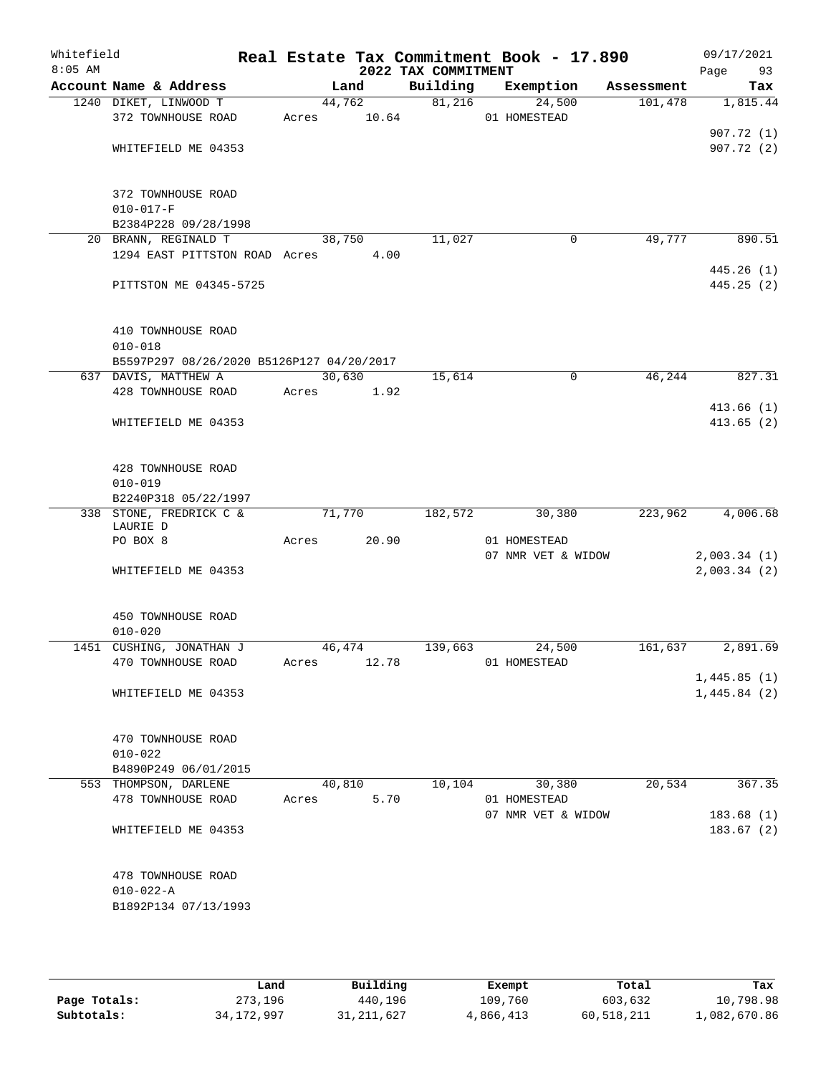| Whitefield<br>$8:05$ AM |                                                                   |       |        | 2022 TAX COMMITMENT | Real Estate Tax Commitment Book - 17.890 |            | 09/17/2021<br>Page<br>93 |
|-------------------------|-------------------------------------------------------------------|-------|--------|---------------------|------------------------------------------|------------|--------------------------|
|                         | Account Name & Address                                            |       | Land   | Building            | Exemption                                | Assessment | Tax                      |
|                         | 1240 DIKET, LINWOOD T                                             |       | 44,762 | 81,216              | 24,500                                   | 101,478    | 1,815.44                 |
|                         | 372 TOWNHOUSE ROAD                                                | Acres | 10.64  |                     | 01 HOMESTEAD                             |            |                          |
|                         |                                                                   |       |        |                     |                                          |            | 907.72(1)                |
|                         | WHITEFIELD ME 04353                                               |       |        |                     |                                          |            | 907.72(2)                |
|                         | 372 TOWNHOUSE ROAD                                                |       |        |                     |                                          |            |                          |
|                         | $010 - 017 - F$                                                   |       |        |                     |                                          |            |                          |
|                         | B2384P228 09/28/1998                                              |       |        |                     |                                          |            |                          |
|                         | 20 BRANN, REGINALD T                                              |       | 38,750 | 11,027              | 0                                        | 49,777     | 890.51                   |
|                         | 1294 EAST PITTSTON ROAD Acres                                     |       | 4.00   |                     |                                          |            |                          |
|                         | PITTSTON ME 04345-5725                                            |       |        |                     |                                          |            | 445.26(1)<br>445.25(2)   |
|                         |                                                                   |       |        |                     |                                          |            |                          |
|                         | 410 TOWNHOUSE ROAD                                                |       |        |                     |                                          |            |                          |
|                         | $010 - 018$                                                       |       |        |                     |                                          |            |                          |
|                         | B5597P297 08/26/2020 B5126P127 04/20/2017<br>637 DAVIS, MATTHEW A |       | 30,630 | 15,614              | $\mathbf 0$                              | 46,244     | 827.31                   |
|                         | 428 TOWNHOUSE ROAD                                                | Acres | 1.92   |                     |                                          |            |                          |
|                         |                                                                   |       |        |                     |                                          |            | 413.66(1)                |
|                         | WHITEFIELD ME 04353                                               |       |        |                     |                                          |            | 413.65(2)                |
|                         |                                                                   |       |        |                     |                                          |            |                          |
|                         | 428 TOWNHOUSE ROAD                                                |       |        |                     |                                          |            |                          |
|                         | $010 - 019$                                                       |       |        |                     |                                          |            |                          |
|                         | B2240P318 05/22/1997                                              |       |        |                     |                                          |            |                          |
|                         | 338 STONE, FREDRICK C &<br>LAURIE D                               |       | 71,770 | 182,572             | 30,380                                   | 223,962    | 4,006.68                 |
|                         | PO BOX 8                                                          | Acres | 20.90  |                     | 01 HOMESTEAD                             |            |                          |
|                         |                                                                   |       |        |                     | 07 NMR VET & WIDOW                       |            | 2,003.34(1)              |
|                         | WHITEFIELD ME 04353                                               |       |        |                     |                                          |            | 2,003.34(2)              |
|                         | 450 TOWNHOUSE ROAD                                                |       |        |                     |                                          |            |                          |
|                         | $010 - 020$                                                       |       |        |                     |                                          |            |                          |
|                         | 1451 CUSHING, JONATHAN J                                          |       | 46,474 | 139,663             | 24,500                                   | 161,637    | 2,891.69                 |
|                         | 470 TOWNHOUSE ROAD                                                | Acres | 12.78  |                     | 01 HOMESTEAD                             |            |                          |
|                         | WHITEFIELD ME 04353                                               |       |        |                     |                                          |            | 1,445.85(1)              |
|                         |                                                                   |       |        |                     |                                          |            | 1,445.84(2)              |
|                         | 470 TOWNHOUSE ROAD                                                |       |        |                     |                                          |            |                          |
|                         | $010 - 022$                                                       |       |        |                     |                                          |            |                          |
|                         | B4890P249 06/01/2015                                              |       |        |                     |                                          |            |                          |
|                         | 553 THOMPSON, DARLENE                                             |       | 40,810 | 10, 104             | 30,380                                   | 20,534     | 367.35                   |
|                         | 478 TOWNHOUSE ROAD                                                | Acres | 5.70   |                     | 01 HOMESTEAD                             |            |                          |
|                         |                                                                   |       |        |                     | 07 NMR VET & WIDOW                       |            | 183.68(1)                |
|                         | WHITEFIELD ME 04353                                               |       |        |                     |                                          |            | 183.67(2)                |
|                         | 478 TOWNHOUSE ROAD                                                |       |        |                     |                                          |            |                          |
|                         | $010 - 022 - A$                                                   |       |        |                     |                                          |            |                          |
|                         | B1892P134 07/13/1993                                              |       |        |                     |                                          |            |                          |
|                         |                                                                   |       |        |                     |                                          |            |                          |

|              | Land         | Building     | Exempt    | Total      | Tax          |
|--------------|--------------|--------------|-----------|------------|--------------|
| Page Totals: | 273,196      | 440,196      | 109,760   | 603,632    | 10,798.98    |
| Subtotals:   | 34, 172, 997 | 31, 211, 627 | 4,866,413 | 60,518,211 | 1,082,670.86 |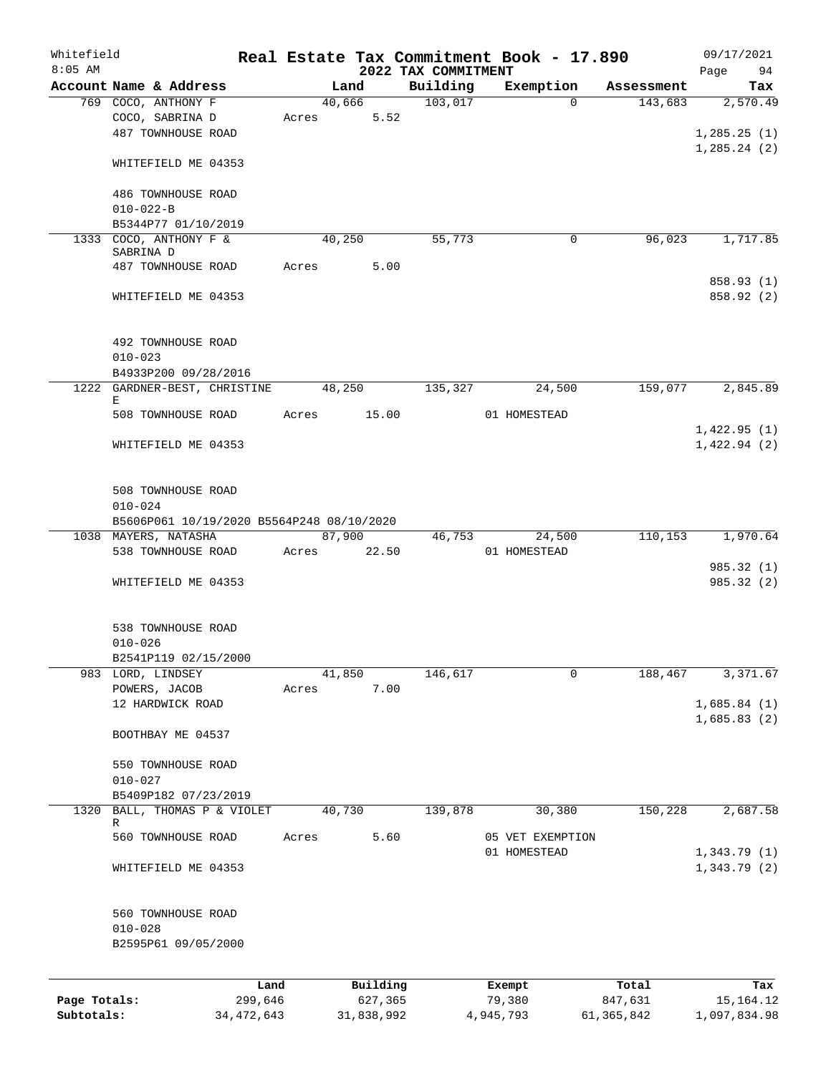| Whitefield   |                        |                                           |       |        |            |                                 | Real Estate Tax Commitment Book - 17.890 |            | 09/17/2021        |
|--------------|------------------------|-------------------------------------------|-------|--------|------------|---------------------------------|------------------------------------------|------------|-------------------|
| $8:05$ AM    | Account Name & Address |                                           |       | Land   |            | 2022 TAX COMMITMENT<br>Building | Exemption                                | Assessment | Page<br>94<br>Tax |
|              | 769 COCO, ANTHONY F    |                                           |       | 40,666 |            | 103,017                         | $\Omega$                                 | 143,683    | 2,570.49          |
|              | COCO, SABRINA D        |                                           | Acres |        | 5.52       |                                 |                                          |            |                   |
|              | 487 TOWNHOUSE ROAD     |                                           |       |        |            |                                 |                                          |            | 1, 285.25(1)      |
|              |                        |                                           |       |        |            |                                 |                                          |            | 1, 285.24(2)      |
|              | WHITEFIELD ME 04353    |                                           |       |        |            |                                 |                                          |            |                   |
|              |                        |                                           |       |        |            |                                 |                                          |            |                   |
|              | 486 TOWNHOUSE ROAD     |                                           |       |        |            |                                 |                                          |            |                   |
|              | $010 - 022 - B$        |                                           |       |        |            |                                 |                                          |            |                   |
|              | B5344P77 01/10/2019    |                                           |       |        |            |                                 |                                          |            |                   |
|              | 1333 COCO, ANTHONY F & |                                           |       | 40,250 |            | 55,773                          | $\mathbf 0$                              | 96,023     | 1,717.85          |
|              | SABRINA D              |                                           |       |        |            |                                 |                                          |            |                   |
|              | 487 TOWNHOUSE ROAD     |                                           | Acres |        | 5.00       |                                 |                                          |            |                   |
|              |                        |                                           |       |        |            |                                 |                                          |            | 858.93 (1)        |
|              | WHITEFIELD ME 04353    |                                           |       |        |            |                                 |                                          |            | 858.92 (2)        |
|              |                        |                                           |       |        |            |                                 |                                          |            |                   |
|              |                        |                                           |       |        |            |                                 |                                          |            |                   |
|              | 492 TOWNHOUSE ROAD     |                                           |       |        |            |                                 |                                          |            |                   |
|              | $010 - 023$            |                                           |       |        |            |                                 |                                          |            |                   |
|              | B4933P200 09/28/2016   | 1222 GARDNER-BEST, CHRISTINE              |       | 48,250 |            | 135,327                         | 24,500                                   | 159,077    | 2,845.89          |
|              | Е                      |                                           |       |        |            |                                 |                                          |            |                   |
|              | 508 TOWNHOUSE ROAD     |                                           | Acres |        | 15.00      |                                 | 01 HOMESTEAD                             |            |                   |
|              |                        |                                           |       |        |            |                                 |                                          |            | 1,422.95(1)       |
|              | WHITEFIELD ME 04353    |                                           |       |        |            |                                 |                                          |            | 1,422.94(2)       |
|              |                        |                                           |       |        |            |                                 |                                          |            |                   |
|              |                        |                                           |       |        |            |                                 |                                          |            |                   |
|              | 508 TOWNHOUSE ROAD     |                                           |       |        |            |                                 |                                          |            |                   |
|              | $010 - 024$            |                                           |       |        |            |                                 |                                          |            |                   |
|              |                        | B5606P061 10/19/2020 B5564P248 08/10/2020 |       |        |            |                                 |                                          |            |                   |
|              | 1038 MAYERS, NATASHA   |                                           |       | 87,900 |            | 46,753                          | 24,500                                   | 110,153    | 1,970.64          |
|              | 538 TOWNHOUSE ROAD     |                                           | Acres | 22.50  |            |                                 | 01 HOMESTEAD                             |            |                   |
|              |                        |                                           |       |        |            |                                 |                                          |            | 985.32 (1)        |
|              | WHITEFIELD ME 04353    |                                           |       |        |            |                                 |                                          |            | 985.32(2)         |
|              |                        |                                           |       |        |            |                                 |                                          |            |                   |
|              |                        |                                           |       |        |            |                                 |                                          |            |                   |
|              | 538 TOWNHOUSE ROAD     |                                           |       |        |            |                                 |                                          |            |                   |
|              | $010 - 026$            |                                           |       |        |            |                                 |                                          |            |                   |
|              | B2541P119 02/15/2000   |                                           |       |        |            |                                 |                                          |            |                   |
|              | 983 LORD, LINDSEY      |                                           |       | 41,850 |            | 146,617                         | 0                                        | 188,467    | 3,371.67          |
|              | POWERS, JACOB          |                                           | Acres |        | 7.00       |                                 |                                          |            |                   |
|              | 12 HARDWICK ROAD       |                                           |       |        |            |                                 |                                          |            | 1,685.84(1)       |
|              |                        |                                           |       |        |            |                                 |                                          |            | 1,685.83(2)       |
|              | BOOTHBAY ME 04537      |                                           |       |        |            |                                 |                                          |            |                   |
|              | 550 TOWNHOUSE ROAD     |                                           |       |        |            |                                 |                                          |            |                   |
|              | $010 - 027$            |                                           |       |        |            |                                 |                                          |            |                   |
|              | B5409P182 07/23/2019   |                                           |       |        |            |                                 |                                          |            |                   |
| 1320         |                        | BALL, THOMAS P & VIOLET                   |       | 40,730 |            | 139,878                         | 30,380                                   | 150,228    | 2,687.58          |
|              | R                      |                                           |       |        |            |                                 |                                          |            |                   |
|              | 560 TOWNHOUSE ROAD     |                                           | Acres |        | 5.60       |                                 | 05 VET EXEMPTION                         |            |                   |
|              |                        |                                           |       |        |            |                                 | 01 HOMESTEAD                             |            | 1,343.79(1)       |
|              | WHITEFIELD ME 04353    |                                           |       |        |            |                                 |                                          |            | 1,343.79(2)       |
|              |                        |                                           |       |        |            |                                 |                                          |            |                   |
|              |                        |                                           |       |        |            |                                 |                                          |            |                   |
|              | 560 TOWNHOUSE ROAD     |                                           |       |        |            |                                 |                                          |            |                   |
|              | $010 - 028$            |                                           |       |        |            |                                 |                                          |            |                   |
|              | B2595P61 09/05/2000    |                                           |       |        |            |                                 |                                          |            |                   |
|              |                        |                                           |       |        |            |                                 |                                          |            |                   |
|              |                        | Land                                      |       |        | Building   |                                 | Exempt                                   | Total      | Tax               |
| Page Totals: |                        | 299,646                                   |       |        | 627,365    |                                 | 79,380                                   | 847,631    | 15, 164. 12       |
| Subtotals:   |                        | 34, 472, 643                              |       |        | 31,838,992 |                                 | 4,945,793                                | 61,365,842 | 1,097,834.98      |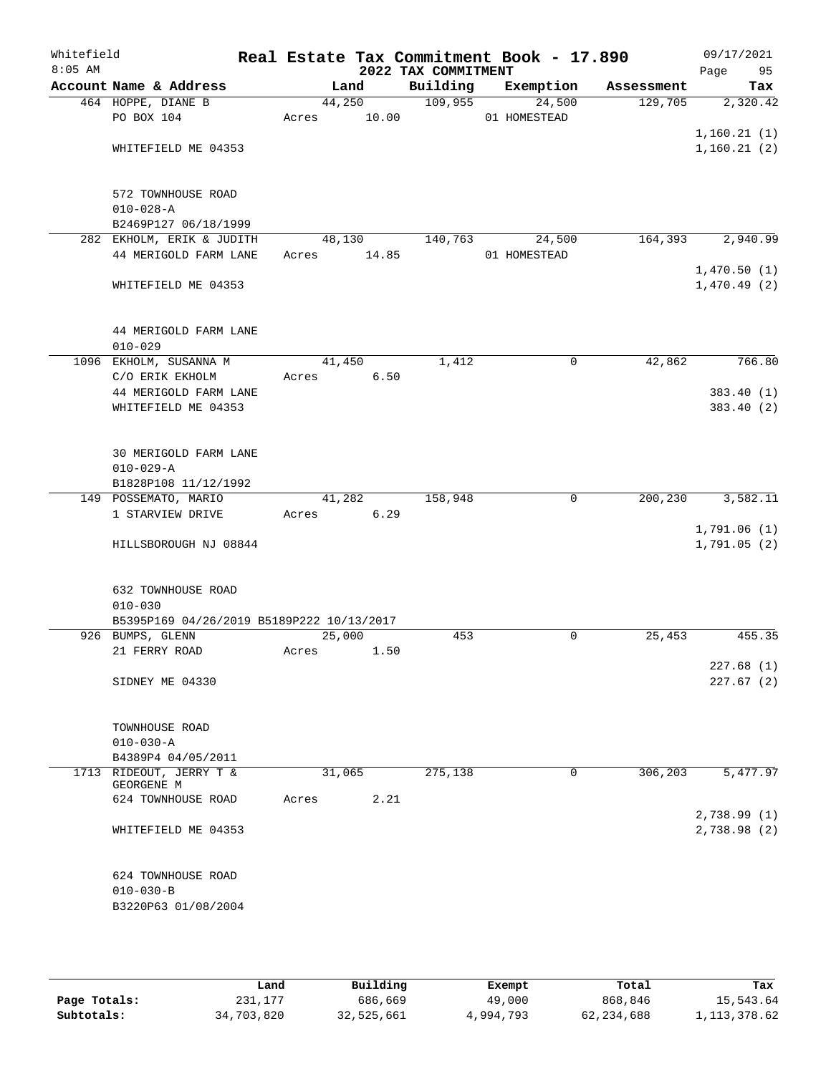| Whitefield<br>$8:05$ AM |                                           |       |        | 2022 TAX COMMITMENT | Real Estate Tax Commitment Book - 17.890 |        |            | 09/17/2021<br>Page<br>95 |
|-------------------------|-------------------------------------------|-------|--------|---------------------|------------------------------------------|--------|------------|--------------------------|
|                         | Account Name & Address                    |       | Land   | Building            | Exemption                                |        | Assessment | Tax                      |
|                         | 464 HOPPE, DIANE B                        |       | 44,250 | 109,955             |                                          | 24,500 | 129,705    | 2,320.42                 |
|                         | PO BOX 104                                | Acres | 10.00  |                     | 01 HOMESTEAD                             |        |            |                          |
|                         |                                           |       |        |                     |                                          |        |            | 1,160.21(1)              |
|                         | WHITEFIELD ME 04353                       |       |        |                     |                                          |        |            | 1, 160.21(2)             |
|                         |                                           |       |        |                     |                                          |        |            |                          |
|                         |                                           |       |        |                     |                                          |        |            |                          |
|                         | 572 TOWNHOUSE ROAD                        |       |        |                     |                                          |        |            |                          |
|                         | $010 - 028 - A$<br>B2469P127 06/18/1999   |       |        |                     |                                          |        |            |                          |
|                         | 282 EKHOLM, ERIK & JUDITH                 |       | 48,130 | 140,763             |                                          | 24,500 | 164, 393   | 2,940.99                 |
|                         | 44 MERIGOLD FARM LANE                     | Acres | 14.85  |                     | 01 HOMESTEAD                             |        |            |                          |
|                         |                                           |       |        |                     |                                          |        |            | 1,470.50(1)              |
|                         | WHITEFIELD ME 04353                       |       |        |                     |                                          |        |            | 1,470.49(2)              |
|                         |                                           |       |        |                     |                                          |        |            |                          |
|                         |                                           |       |        |                     |                                          |        |            |                          |
|                         | 44 MERIGOLD FARM LANE                     |       |        |                     |                                          |        |            |                          |
|                         | $010 - 029$                               |       |        |                     |                                          |        |            |                          |
|                         | 1096 EKHOLM, SUSANNA M                    |       | 41,450 | 1,412               |                                          | 0      | 42,862     | 766.80                   |
|                         | C/O ERIK EKHOLM                           | Acres | 6.50   |                     |                                          |        |            |                          |
|                         | 44 MERIGOLD FARM LANE                     |       |        |                     |                                          |        |            | 383.40 (1)               |
|                         | WHITEFIELD ME 04353                       |       |        |                     |                                          |        |            | 383.40 (2)               |
|                         |                                           |       |        |                     |                                          |        |            |                          |
|                         |                                           |       |        |                     |                                          |        |            |                          |
|                         | 30 MERIGOLD FARM LANE                     |       |        |                     |                                          |        |            |                          |
|                         | $010 - 029 - A$                           |       |        |                     |                                          |        |            |                          |
|                         | B1828P108 11/12/1992                      |       |        |                     |                                          |        |            |                          |
|                         | 149 POSSEMATO, MARIO                      |       | 41,282 | 158,948             |                                          | 0      | 200,230    | 3,582.11                 |
|                         | 1 STARVIEW DRIVE                          | Acres | 6.29   |                     |                                          |        |            |                          |
|                         |                                           |       |        |                     |                                          |        |            | 1,791.06(1)              |
|                         | HILLSBOROUGH NJ 08844                     |       |        |                     |                                          |        |            | 1,791.05(2)              |
|                         |                                           |       |        |                     |                                          |        |            |                          |
|                         | <b>632 TOWNHOUSE ROAD</b>                 |       |        |                     |                                          |        |            |                          |
|                         | $010 - 030$                               |       |        |                     |                                          |        |            |                          |
|                         | B5395P169 04/26/2019 B5189P222 10/13/2017 |       |        |                     |                                          |        |            |                          |
|                         | 926 BUMPS, GLENN                          |       | 25,000 | 453                 |                                          | 0      | 25,453     | 455.35                   |
|                         | 21 FERRY ROAD                             | Acres | 1.50   |                     |                                          |        |            |                          |
|                         |                                           |       |        |                     |                                          |        |            | 227.68(1)                |
|                         | SIDNEY ME 04330                           |       |        |                     |                                          |        |            | 227.67(2)                |
|                         |                                           |       |        |                     |                                          |        |            |                          |
|                         |                                           |       |        |                     |                                          |        |            |                          |
|                         | TOWNHOUSE ROAD                            |       |        |                     |                                          |        |            |                          |
|                         | $010 - 030 - A$                           |       |        |                     |                                          |        |            |                          |
|                         | B4389P4 04/05/2011                        |       |        |                     |                                          |        |            |                          |
|                         | 1713 RIDEOUT, JERRY T &                   |       | 31,065 | 275,138             |                                          | 0      | 306, 203   | 5,477.97                 |
|                         | GEORGENE M<br>624 TOWNHOUSE ROAD          | Acres | 2.21   |                     |                                          |        |            |                          |
|                         |                                           |       |        |                     |                                          |        |            | 2,738.99(1)              |
|                         | WHITEFIELD ME 04353                       |       |        |                     |                                          |        |            | 2,738.98 (2)             |
|                         |                                           |       |        |                     |                                          |        |            |                          |
|                         |                                           |       |        |                     |                                          |        |            |                          |
|                         | 624 TOWNHOUSE ROAD                        |       |        |                     |                                          |        |            |                          |
|                         | $010 - 030 - B$                           |       |        |                     |                                          |        |            |                          |
|                         | B3220P63 01/08/2004                       |       |        |                     |                                          |        |            |                          |
|                         |                                           |       |        |                     |                                          |        |            |                          |
|                         |                                           |       |        |                     |                                          |        |            |                          |

|              | Land       | Building   | Exempt    | Total      | Tax            |
|--------------|------------|------------|-----------|------------|----------------|
| Page Totals: | 231,177    | 686,669    | 49,000    | 868,846    | 15,543.64      |
| Subtotals:   | 34,703,820 | 32,525,661 | 4,994,793 | 62,234,688 | 1, 113, 378.62 |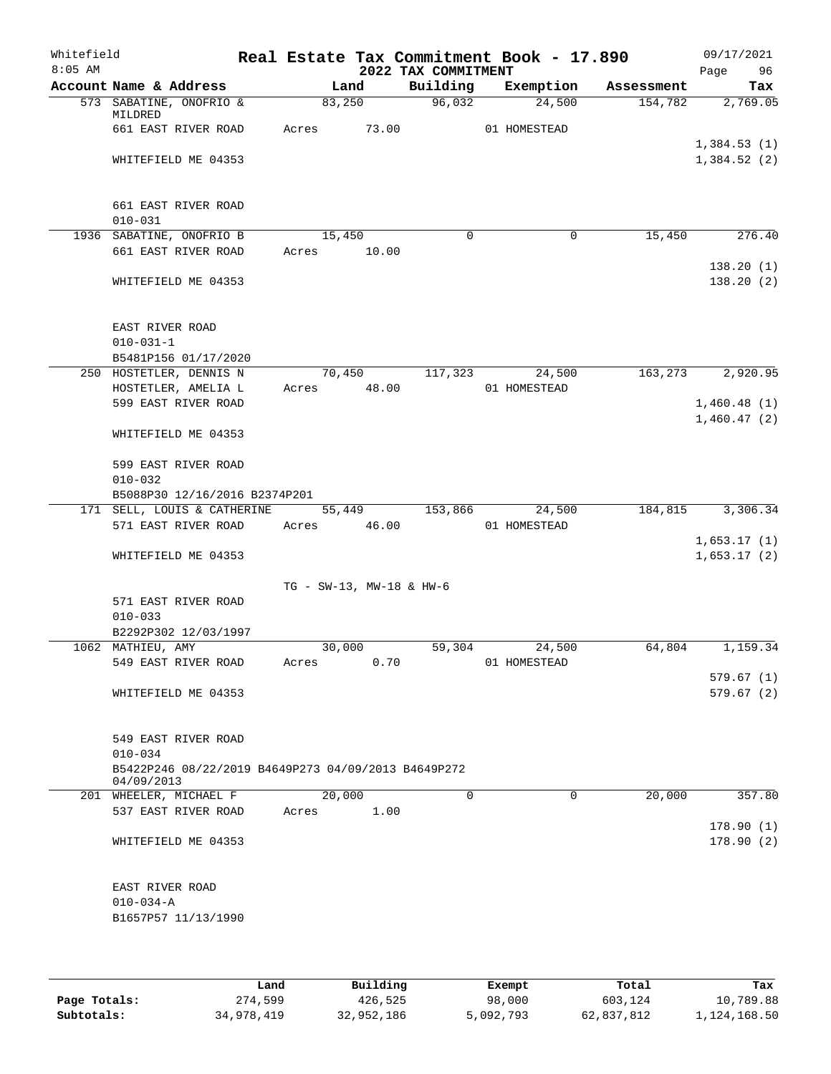| Whitefield<br>$8:05$ AM |                                                                   |                          |       | 2022 TAX COMMITMENT | Real Estate Tax Commitment Book - 17.890 |            | 09/17/2021<br>Page<br>96   |
|-------------------------|-------------------------------------------------------------------|--------------------------|-------|---------------------|------------------------------------------|------------|----------------------------|
|                         | Account Name & Address                                            | Land                     |       | Building            | Exemption                                | Assessment | Tax                        |
|                         | 573 SABATINE, ONOFRIO &<br>MILDRED                                | 83,250                   |       | 96,032              | 24,500                                   | 154,782    | 2,769.05                   |
|                         | 661 EAST RIVER ROAD                                               | Acres                    | 73.00 |                     | 01 HOMESTEAD                             |            |                            |
|                         | WHITEFIELD ME 04353                                               |                          |       |                     |                                          |            | 1,384.53(1)<br>1,384.52(2) |
|                         | 661 EAST RIVER ROAD<br>$010 - 031$                                |                          |       |                     |                                          |            |                            |
|                         | 1936 SABATINE, ONOFRIO B                                          | 15,450                   |       | $\Omega$            | $\mathbf 0$                              | 15,450     | 276.40                     |
|                         | 661 EAST RIVER ROAD                                               | Acres                    | 10.00 |                     |                                          |            |                            |
|                         | WHITEFIELD ME 04353                                               |                          |       |                     |                                          |            | 138.20(1)<br>138.20 (2)    |
|                         | EAST RIVER ROAD<br>$010 - 031 - 1$<br>B5481P156 01/17/2020        |                          |       |                     |                                          |            |                            |
|                         | 250 HOSTETLER, DENNIS N                                           | 70,450                   |       | 117,323             | 24,500                                   | 163,273    | 2,920.95                   |
|                         | HOSTETLER, AMELIA L                                               | Acres 48.00              |       |                     | 01 HOMESTEAD                             |            |                            |
|                         | 599 EAST RIVER ROAD                                               |                          |       |                     |                                          |            | 1,460.48(1)                |
|                         | WHITEFIELD ME 04353                                               |                          |       |                     |                                          |            | 1,460.47(2)                |
|                         | 599 EAST RIVER ROAD<br>$010 - 032$                                |                          |       |                     |                                          |            |                            |
|                         | B5088P30 12/16/2016 B2374P201                                     |                          |       |                     |                                          |            |                            |
|                         | 171 SELL, LOUIS & CATHERINE                                       | 55,449                   |       | 153,866             | 24,500                                   | 184,815    | 3,306.34                   |
|                         | 571 EAST RIVER ROAD                                               | Acres                    | 46.00 |                     | 01 HOMESTEAD                             |            |                            |
|                         | WHITEFIELD ME 04353                                               |                          |       |                     |                                          |            | 1,653.17(1)<br>1,653.17(2) |
|                         |                                                                   | TG - SW-13, MW-18 & HW-6 |       |                     |                                          |            |                            |
|                         | 571 EAST RIVER ROAD<br>$010 - 033$                                |                          |       |                     |                                          |            |                            |
|                         | B2292P302 12/03/1997                                              |                          |       |                     |                                          |            |                            |
|                         | 1062 MATHIEU, AMY                                                 | 30,000                   |       | 59,304              | 24,500                                   | 64,804     | 1,159.34                   |
|                         | 549 EAST RIVER ROAD                                               | Acres                    | 0.70  |                     | 01 HOMESTEAD                             |            |                            |
|                         |                                                                   |                          |       |                     |                                          |            | 579.67(1)                  |
|                         | WHITEFIELD ME 04353                                               |                          |       |                     |                                          |            | 579.67(2)                  |
|                         | 549 EAST RIVER ROAD<br>$010 - 034$                                |                          |       |                     |                                          |            |                            |
|                         | B5422P246 08/22/2019 B4649P273 04/09/2013 B4649P272<br>04/09/2013 |                          |       |                     |                                          |            |                            |
|                         | 201 WHEELER, MICHAEL F                                            | 20,000                   |       | $\Omega$            | $\Omega$                                 | 20,000     | 357.80                     |
|                         | 537 EAST RIVER ROAD                                               | Acres                    | 1.00  |                     |                                          |            | 178.90(1)                  |
|                         | WHITEFIELD ME 04353                                               |                          |       |                     |                                          |            | 178.90(2)                  |
|                         | EAST RIVER ROAD<br>$010 - 034 - A$<br>B1657P57 11/13/1990         |                          |       |                     |                                          |            |                            |
|                         |                                                                   |                          |       |                     |                                          |            |                            |

|              | Land       | Building   | Exempt    | Total      | Tax          |
|--------------|------------|------------|-----------|------------|--------------|
| Page Totals: | 274,599    | 426,525    | 98,000    | 603,124    | 10,789.88    |
| Subtotals:   | 34,978,419 | 32,952,186 | 5,092,793 | 62,837,812 | 1,124,168.50 |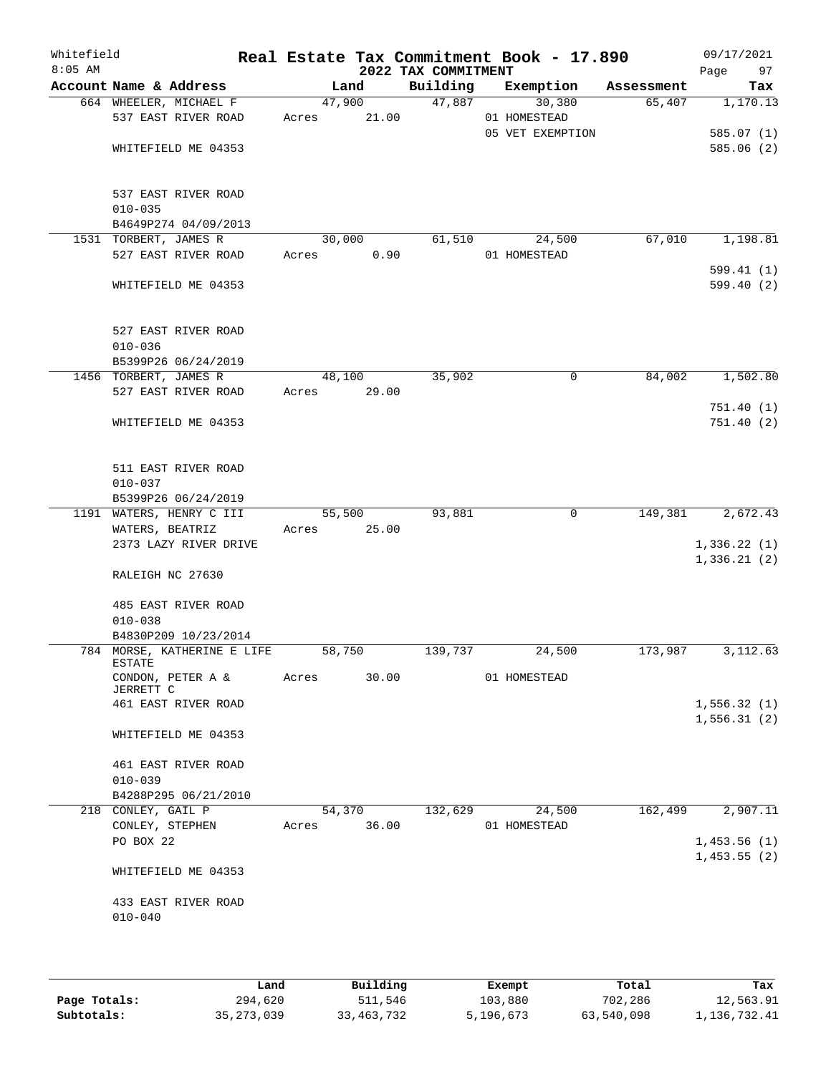| Whitefield<br>$8:05$ AM |                                                     |       |                 | 2022 TAX COMMITMENT | Real Estate Tax Commitment Book - 17.890 |            | 09/17/2021<br>Page<br>97    |
|-------------------------|-----------------------------------------------------|-------|-----------------|---------------------|------------------------------------------|------------|-----------------------------|
|                         | Account Name & Address                              |       | Land            | Building            | Exemption                                | Assessment | Tax                         |
|                         | 664 WHEELER, MICHAEL F<br>537 EAST RIVER ROAD       | Acres | 47,900<br>21.00 | 47,887              | 30,380<br>01 HOMESTEAD                   | 65,407     | 1,170.13                    |
|                         |                                                     |       |                 |                     | 05 VET EXEMPTION                         |            | 585.07(1)                   |
|                         | WHITEFIELD ME 04353                                 |       |                 |                     |                                          |            | 585.06(2)                   |
|                         | 537 EAST RIVER ROAD                                 |       |                 |                     |                                          |            |                             |
|                         | $010 - 035$                                         |       |                 |                     |                                          |            |                             |
|                         | B4649P274 04/09/2013                                |       |                 |                     |                                          |            |                             |
|                         | 1531 TORBERT, JAMES R                               |       | 30,000          | 61,510              | 24,500                                   | 67,010     | 1,198.81                    |
|                         | 527 EAST RIVER ROAD                                 | Acres | 0.90            |                     | 01 HOMESTEAD                             |            |                             |
|                         | WHITEFIELD ME 04353                                 |       |                 |                     |                                          |            | 599.41(1)<br>599.40(2)      |
|                         | 527 EAST RIVER ROAD                                 |       |                 |                     |                                          |            |                             |
|                         | $010 - 036$                                         |       |                 |                     |                                          |            |                             |
|                         | B5399P26 06/24/2019                                 |       |                 |                     |                                          |            |                             |
|                         | 1456 TORBERT, JAMES R                               |       | 48,100          | 35,902              | 0                                        | 84,002     | 1,502.80                    |
|                         | 527 EAST RIVER ROAD                                 | Acres | 29.00           |                     |                                          |            | 751.40(1)                   |
|                         | WHITEFIELD ME 04353                                 |       |                 |                     |                                          |            | 751.40(2)                   |
|                         | 511 EAST RIVER ROAD                                 |       |                 |                     |                                          |            |                             |
|                         | $010 - 037$                                         |       |                 |                     |                                          |            |                             |
|                         | B5399P26 06/24/2019                                 |       |                 |                     |                                          |            |                             |
|                         | 1191 WATERS, HENRY C III                            |       | 55,500          | 93,881              | $\mathbf 0$                              | 149,381    | 2,672.43                    |
|                         | WATERS, BEATRIZ<br>2373 LAZY RIVER DRIVE            | Acres | 25.00           |                     |                                          |            | 1,336.22(1)<br>1,336.21(2)  |
|                         | RALEIGH NC 27630                                    |       |                 |                     |                                          |            |                             |
|                         | 485 EAST RIVER ROAD                                 |       |                 |                     |                                          |            |                             |
|                         | $010 - 038$                                         |       |                 |                     |                                          |            |                             |
|                         | B4830P209 10/23/2014<br>784 MORSE, KATHERINE E LIFE |       | 58,750          | 139,737             | 24,500                                   | 173,987    | 3,112.63                    |
|                         | <b>ESTATE</b>                                       |       |                 |                     |                                          |            |                             |
|                         | CONDON, PETER A &<br>JERRETT C                      | Acres | 30.00           |                     | 01 HOMESTEAD                             |            |                             |
|                         | 461 EAST RIVER ROAD                                 |       |                 |                     |                                          |            | 1,556.32(1)<br>1, 556.31(2) |
|                         | WHITEFIELD ME 04353                                 |       |                 |                     |                                          |            |                             |
|                         | 461 EAST RIVER ROAD<br>$010 - 039$                  |       |                 |                     |                                          |            |                             |
|                         | B4288P295 06/21/2010                                |       |                 |                     |                                          |            |                             |
|                         | 218 CONLEY, GAIL P                                  |       | 54,370          | 132,629             | 24,500                                   | 162,499    | 2,907.11                    |
|                         | CONLEY, STEPHEN                                     | Acres | 36.00           |                     | 01 HOMESTEAD                             |            |                             |
|                         | PO BOX 22                                           |       |                 |                     |                                          |            | 1,453.56(1)<br>1,453.55(2)  |
|                         | WHITEFIELD ME 04353                                 |       |                 |                     |                                          |            |                             |
|                         | 433 EAST RIVER ROAD<br>$010 - 040$                  |       |                 |                     |                                          |            |                             |
|                         |                                                     |       |                 |                     |                                          |            |                             |

|              | Land         | Building   | Exempt    | Total      | Tax          |
|--------------|--------------|------------|-----------|------------|--------------|
| Page Totals: | 294,620      | 511,546    | 103,880   | 702,286    | 12,563.91    |
| Subtotals:   | 35, 273, 039 | 33,463,732 | 5,196,673 | 63,540,098 | 1,136,732.41 |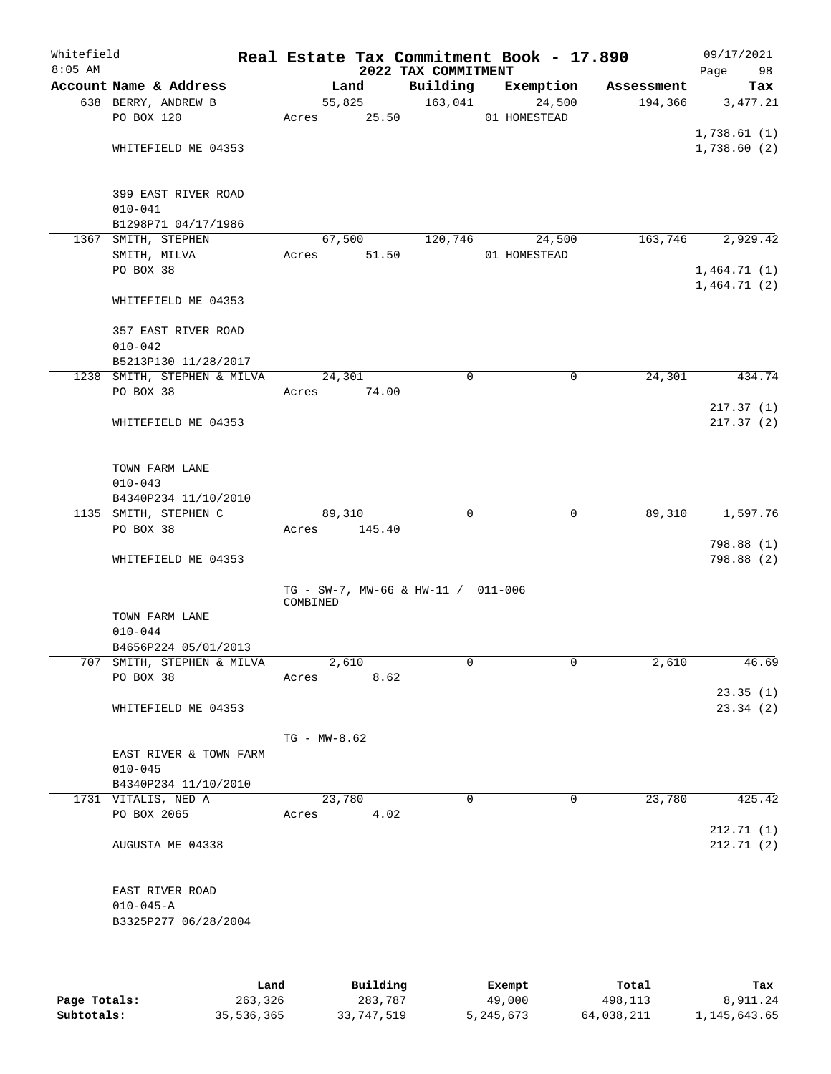| Whitefield<br>$8:05$ AM |                                     |          |                  |        | 2022 TAX COMMITMENT                | Real Estate Tax Commitment Book - 17.890 |            | 09/17/2021<br>98<br>Page |
|-------------------------|-------------------------------------|----------|------------------|--------|------------------------------------|------------------------------------------|------------|--------------------------|
|                         | Account Name & Address              |          | Land             |        | Building                           | Exemption                                | Assessment | Tax                      |
|                         | 638 BERRY, ANDREW B                 |          | 55,825           |        | 163,041                            | 24,500                                   | 194,366    | 3,477.21                 |
|                         | PO BOX 120                          | Acres    | 25.50            |        |                                    | 01 HOMESTEAD                             |            |                          |
|                         |                                     |          |                  |        |                                    |                                          |            | 1,738.61(1)              |
|                         | WHITEFIELD ME 04353                 |          |                  |        |                                    |                                          |            | 1,738.60(2)              |
|                         |                                     |          |                  |        |                                    |                                          |            |                          |
|                         |                                     |          |                  |        |                                    |                                          |            |                          |
|                         | 399 EAST RIVER ROAD                 |          |                  |        |                                    |                                          |            |                          |
|                         | $010 - 041$                         |          |                  |        |                                    |                                          |            |                          |
|                         | B1298P71 04/17/1986                 |          |                  |        |                                    |                                          |            |                          |
|                         | 1367 SMITH, STEPHEN                 |          | 67,500           |        | 120,746                            | 24,500                                   | 163,746    | 2,929.42                 |
|                         | SMITH, MILVA                        | Acres    |                  | 51.50  |                                    | 01 HOMESTEAD                             |            |                          |
|                         | PO BOX 38                           |          |                  |        |                                    |                                          |            | 1,464.71(1)              |
|                         |                                     |          |                  |        |                                    |                                          |            | 1,464.71(2)              |
|                         | WHITEFIELD ME 04353                 |          |                  |        |                                    |                                          |            |                          |
|                         |                                     |          |                  |        |                                    |                                          |            |                          |
|                         | 357 EAST RIVER ROAD                 |          |                  |        |                                    |                                          |            |                          |
|                         | $010 - 042$                         |          |                  |        |                                    |                                          |            |                          |
|                         | B5213P130 11/28/2017                |          |                  |        |                                    |                                          |            |                          |
|                         | 1238 SMITH, STEPHEN & MILVA         |          | 24,301           |        | $\mathbf 0$                        | $\mathbf 0$                              | 24,301     | 434.74                   |
|                         | PO BOX 38                           | Acres    |                  | 74.00  |                                    |                                          |            |                          |
|                         |                                     |          |                  |        |                                    |                                          |            | 217.37(1)                |
|                         | WHITEFIELD ME 04353                 |          |                  |        |                                    |                                          |            | 217.37(2)                |
|                         |                                     |          |                  |        |                                    |                                          |            |                          |
|                         |                                     |          |                  |        |                                    |                                          |            |                          |
|                         | TOWN FARM LANE                      |          |                  |        |                                    |                                          |            |                          |
|                         | $010 - 043$<br>B4340P234 11/10/2010 |          |                  |        |                                    |                                          |            |                          |
|                         | 1135 SMITH, STEPHEN C               |          | 89,310           |        | 0                                  | $\overline{0}$                           | 89,310     | 1,597.76                 |
|                         | PO BOX 38                           | Acres    |                  | 145.40 |                                    |                                          |            |                          |
|                         |                                     |          |                  |        |                                    |                                          |            | 798.88 (1)               |
|                         | WHITEFIELD ME 04353                 |          |                  |        |                                    |                                          |            | 798.88 (2)               |
|                         |                                     |          |                  |        |                                    |                                          |            |                          |
|                         |                                     |          |                  |        | TG - SW-7, MW-66 & HW-11 / 011-006 |                                          |            |                          |
|                         |                                     | COMBINED |                  |        |                                    |                                          |            |                          |
|                         | TOWN FARM LANE                      |          |                  |        |                                    |                                          |            |                          |
|                         | $010 - 044$                         |          |                  |        |                                    |                                          |            |                          |
|                         | B4656P224 05/01/2013                |          |                  |        |                                    |                                          |            |                          |
|                         | 707 SMITH, STEPHEN & MILVA          |          | 2,610            |        | 0                                  | 0                                        | 2,610      | 46.69                    |
|                         | PO BOX 38                           | Acres    |                  | 8.62   |                                    |                                          |            |                          |
|                         |                                     |          |                  |        |                                    |                                          |            | 23.35(1)                 |
|                         | WHITEFIELD ME 04353                 |          |                  |        |                                    |                                          |            | 23.34(2)                 |
|                         |                                     |          |                  |        |                                    |                                          |            |                          |
|                         |                                     |          | $TG - MW - 8.62$ |        |                                    |                                          |            |                          |
|                         | EAST RIVER & TOWN FARM              |          |                  |        |                                    |                                          |            |                          |
|                         | $010 - 045$                         |          |                  |        |                                    |                                          |            |                          |
|                         | B4340P234 11/10/2010                |          |                  |        |                                    |                                          |            |                          |
|                         | 1731 VITALIS, NED A                 |          | 23,780           |        | $\Omega$                           | $\mathbf 0$                              | 23,780     | 425.42                   |
|                         | PO BOX 2065                         | Acres    |                  | 4.02   |                                    |                                          |            |                          |
|                         |                                     |          |                  |        |                                    |                                          |            | 212.71(1)                |
|                         | AUGUSTA ME 04338                    |          |                  |        |                                    |                                          |            | 212.71(2)                |
|                         |                                     |          |                  |        |                                    |                                          |            |                          |
|                         |                                     |          |                  |        |                                    |                                          |            |                          |
|                         | EAST RIVER ROAD                     |          |                  |        |                                    |                                          |            |                          |
|                         | $010 - 045 - A$                     |          |                  |        |                                    |                                          |            |                          |
|                         | B3325P277 06/28/2004                |          |                  |        |                                    |                                          |            |                          |
|                         |                                     |          |                  |        |                                    |                                          |            |                          |
|                         |                                     |          |                  |        |                                    |                                          |            |                          |
|                         |                                     |          |                  |        |                                    |                                          |            |                          |

|              | Land       | Building   | Exempt    | Total      | Tax          |
|--------------|------------|------------|-----------|------------|--------------|
| Page Totals: | 263,326    | 283,787    | 49,000    | 498,113    | 8,911.24     |
| Subtotals:   | 35,536,365 | 33,747,519 | 5,245,673 | 64,038,211 | 1,145,643.65 |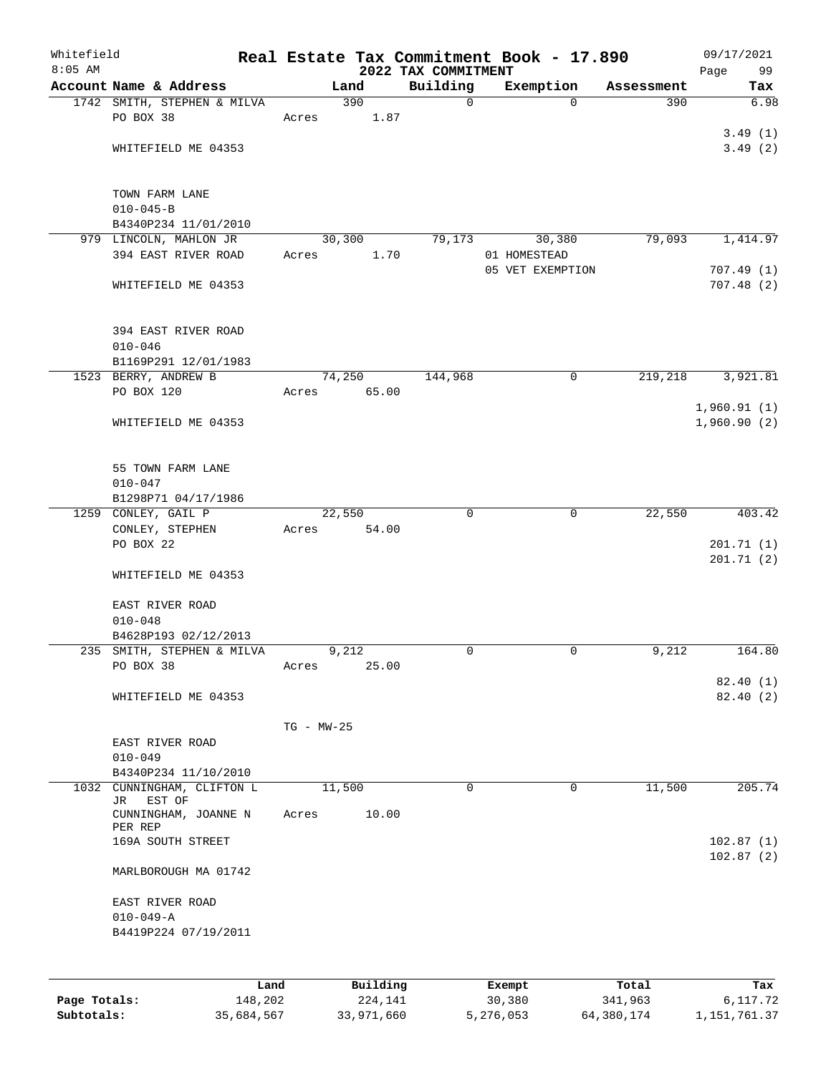| Whitefield<br>$8:05$ AM |                                       |                |          | 2022 TAX COMMITMENT | Real Estate Tax Commitment Book - 17.890 |            | 09/17/2021<br>Page<br>99 |
|-------------------------|---------------------------------------|----------------|----------|---------------------|------------------------------------------|------------|--------------------------|
|                         | Account Name & Address                |                | Land     | Building            | Exemption                                | Assessment | Tax                      |
|                         | 1742 SMITH, STEPHEN & MILVA           |                | 390      | $\mathsf{O}$        | $\Omega$                                 | 390        | 6.98                     |
|                         | PO BOX 38                             | Acres          | 1.87     |                     |                                          |            |                          |
|                         |                                       |                |          |                     |                                          |            | 3.49(1)                  |
|                         | WHITEFIELD ME 04353                   |                |          |                     |                                          |            | 3.49(2)                  |
|                         |                                       |                |          |                     |                                          |            |                          |
|                         |                                       |                |          |                     |                                          |            |                          |
|                         | TOWN FARM LANE                        |                |          |                     |                                          |            |                          |
|                         | $010 - 045 - B$                       |                |          |                     |                                          |            |                          |
|                         | B4340P234 11/01/2010                  |                |          |                     |                                          |            |                          |
|                         | 979 LINCOLN, MAHLON JR                |                | 30,300   | 79,173              | 30,380                                   | 79,093     | 1,414.97                 |
|                         | 394 EAST RIVER ROAD                   | Acres          | 1.70     |                     | 01 HOMESTEAD                             |            |                          |
|                         |                                       |                |          |                     | 05 VET EXEMPTION                         |            | 707.49(1)                |
|                         | WHITEFIELD ME 04353                   |                |          |                     |                                          |            | 707.48(2)                |
|                         |                                       |                |          |                     |                                          |            |                          |
|                         | 394 EAST RIVER ROAD                   |                |          |                     |                                          |            |                          |
|                         | $010 - 046$                           |                |          |                     |                                          |            |                          |
|                         | B1169P291 12/01/1983                  |                |          |                     |                                          |            |                          |
|                         | 1523 BERRY, ANDREW B                  |                | 74,250   | 144,968             | 0                                        | 219,218    | 3,921.81                 |
|                         | PO BOX 120                            | Acres          | 65.00    |                     |                                          |            |                          |
|                         |                                       |                |          |                     |                                          |            | 1,960.91(1)              |
|                         | WHITEFIELD ME 04353                   |                |          |                     |                                          |            | 1,960.90(2)              |
|                         |                                       |                |          |                     |                                          |            |                          |
|                         |                                       |                |          |                     |                                          |            |                          |
|                         | 55 TOWN FARM LANE                     |                |          |                     |                                          |            |                          |
|                         | $010 - 047$                           |                |          |                     |                                          |            |                          |
|                         | B1298P71 04/17/1986                   |                |          |                     |                                          |            |                          |
|                         | 1259 CONLEY, GAIL P                   |                | 22,550   | $\mathbf 0$         | $\mathbf 0$                              | 22,550     | 403.42                   |
|                         | CONLEY, STEPHEN                       | Acres          | 54.00    |                     |                                          |            |                          |
|                         | PO BOX 22                             |                |          |                     |                                          |            | 201.71(1)                |
|                         | WHITEFIELD ME 04353                   |                |          |                     |                                          |            | 201.71(2)                |
|                         |                                       |                |          |                     |                                          |            |                          |
|                         | EAST RIVER ROAD                       |                |          |                     |                                          |            |                          |
|                         | $010 - 048$                           |                |          |                     |                                          |            |                          |
|                         | B4628P193 02/12/2013                  |                |          |                     |                                          |            |                          |
|                         | 235 SMITH, STEPHEN & MILVA            |                | 9,212    | 0                   | $\mathbf 0$                              | 9,212      | 164.80                   |
|                         | PO BOX 38                             | Acres          | 25.00    |                     |                                          |            |                          |
|                         |                                       |                |          |                     |                                          |            | 82.40(1)                 |
|                         | WHITEFIELD ME 04353                   |                |          |                     |                                          |            | 82.40(2)                 |
|                         |                                       |                |          |                     |                                          |            |                          |
|                         |                                       | $TG - MW - 25$ |          |                     |                                          |            |                          |
|                         | EAST RIVER ROAD                       |                |          |                     |                                          |            |                          |
|                         | $010 - 049$                           |                |          |                     |                                          |            |                          |
|                         | B4340P234 11/10/2010                  |                |          |                     |                                          |            |                          |
| 1032                    | CUNNINGHAM, CLIFTON L<br>EST OF<br>JR |                | 11,500   | 0                   | 0                                        | 11,500     | 205.74                   |
|                         | CUNNINGHAM, JOANNE N                  | Acres          | 10.00    |                     |                                          |            |                          |
|                         | PER REP                               |                |          |                     |                                          |            |                          |
|                         | 169A SOUTH STREET                     |                |          |                     |                                          |            | 102.87(1)                |
|                         |                                       |                |          |                     |                                          |            | 102.87(2)                |
|                         | MARLBOROUGH MA 01742                  |                |          |                     |                                          |            |                          |
|                         |                                       |                |          |                     |                                          |            |                          |
|                         | EAST RIVER ROAD                       |                |          |                     |                                          |            |                          |
|                         | $010 - 049 - A$                       |                |          |                     |                                          |            |                          |
|                         | B4419P224 07/19/2011                  |                |          |                     |                                          |            |                          |
|                         |                                       |                |          |                     |                                          |            |                          |
|                         |                                       |                |          |                     |                                          |            |                          |
|                         |                                       | Land           | Building |                     | Exempt                                   | Total      | Tax                      |

**Page Totals:** 148,202 224,141 30,380 341,963 6,117.72 **Subtotals:** 35,684,567 33,971,660 5,276,053 64,380,174 1,151,761.37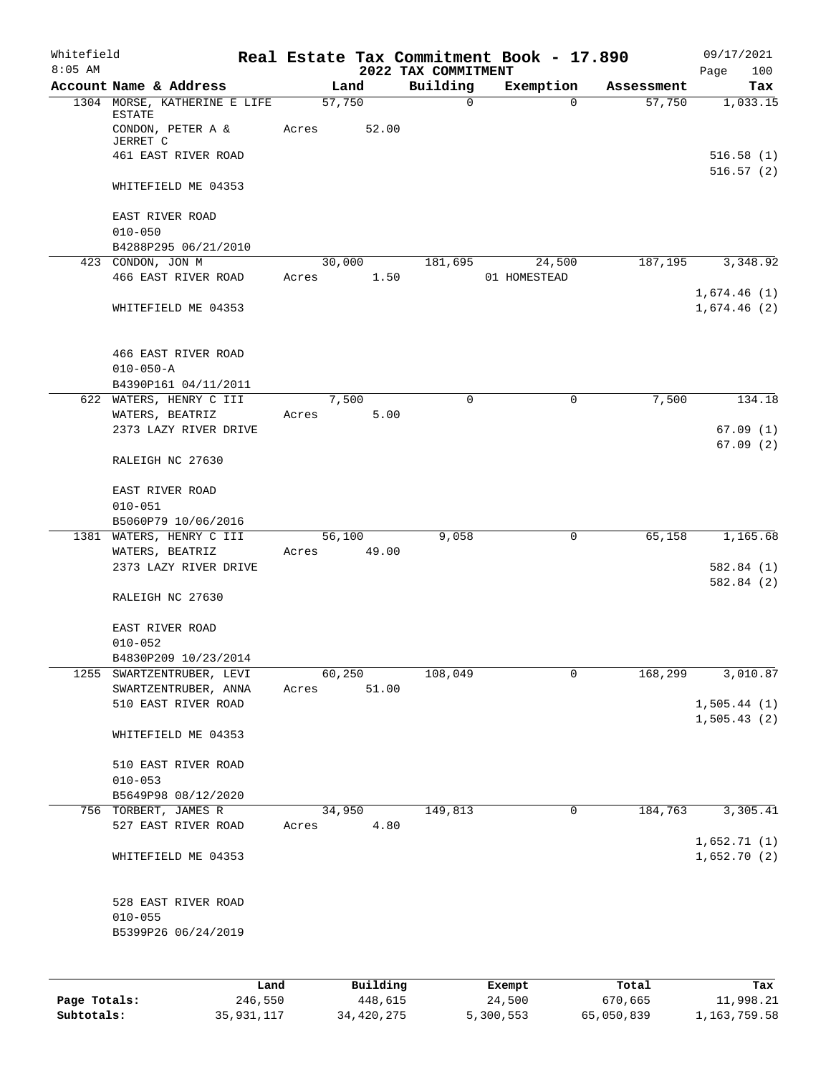| Whitefield   |                                                   |       |                 |                                 | Real Estate Tax Commitment Book - 17.890 |            | 09/17/2021                  |
|--------------|---------------------------------------------------|-------|-----------------|---------------------------------|------------------------------------------|------------|-----------------------------|
| $8:05$ AM    | Account Name & Address                            |       | Land            | 2022 TAX COMMITMENT<br>Building | Exemption                                | Assessment | Page<br>100<br>Tax          |
|              | 1304 MORSE, KATHERINE E LIFE                      |       | 57,750          | $\mathbf 0$                     | $\Omega$                                 | 57,750     | 1,033.15                    |
|              | ESTATE<br>CONDON, PETER A &<br><b>JERRET C</b>    | Acres | 52.00           |                                 |                                          |            |                             |
|              | 461 EAST RIVER ROAD                               |       |                 |                                 |                                          |            | 516.58(1)<br>516.57(2)      |
|              | WHITEFIELD ME 04353                               |       |                 |                                 |                                          |            |                             |
|              | EAST RIVER ROAD<br>$010 - 050$                    |       |                 |                                 |                                          |            |                             |
|              | B4288P295 06/21/2010                              |       |                 |                                 |                                          |            |                             |
|              | 423 CONDON, JON M                                 |       | 30,000          | 181,695                         | 24,500                                   | 187, 195   | 3,348.92                    |
|              | 466 EAST RIVER ROAD                               | Acres | 1.50            |                                 | 01 HOMESTEAD                             |            | 1,674.46(1)                 |
|              | WHITEFIELD ME 04353                               |       |                 |                                 |                                          |            | 1,674.46(2)                 |
|              | 466 EAST RIVER ROAD<br>$010 - 050 - A$            |       |                 |                                 |                                          |            |                             |
|              | B4390P161 04/11/2011                              |       |                 |                                 |                                          |            |                             |
|              | 622 WATERS, HENRY C III                           |       | 7,500           | 0                               | 0                                        | 7,500      | 134.18                      |
|              | WATERS, BEATRIZ                                   | Acres | 5.00            |                                 |                                          |            |                             |
|              | 2373 LAZY RIVER DRIVE                             |       |                 |                                 |                                          |            | 67.09(1)<br>67.09(2)        |
|              | RALEIGH NC 27630                                  |       |                 |                                 |                                          |            |                             |
|              | EAST RIVER ROAD                                   |       |                 |                                 |                                          |            |                             |
|              | $010 - 051$                                       |       |                 |                                 |                                          |            |                             |
|              | B5060P79 10/06/2016                               |       |                 | 9,058                           | 0                                        | 65,158     | 1,165.68                    |
|              | 1381 WATERS, HENRY C III<br>WATERS, BEATRIZ       | Acres | 56,100<br>49.00 |                                 |                                          |            |                             |
|              | 2373 LAZY RIVER DRIVE                             |       |                 |                                 |                                          |            | 582.84(1)<br>582.84 (2)     |
|              | RALEIGH NC 27630                                  |       |                 |                                 |                                          |            |                             |
|              | EAST RIVER ROAD                                   |       |                 |                                 |                                          |            |                             |
|              | $010 - 052$                                       |       |                 |                                 |                                          |            |                             |
|              | B4830P209 10/23/2014<br>1255 SWARTZENTRUBER, LEVI |       | 60,250          | 108,049                         | 0                                        | 168,299    | 3,010.87                    |
|              | SWARTZENTRUBER, ANNA                              | Acres | 51.00           |                                 |                                          |            |                             |
|              | 510 EAST RIVER ROAD                               |       |                 |                                 |                                          |            | 1,505.44(1)<br>1, 505.43(2) |
|              | WHITEFIELD ME 04353                               |       |                 |                                 |                                          |            |                             |
|              | 510 EAST RIVER ROAD                               |       |                 |                                 |                                          |            |                             |
|              | $010 - 053$                                       |       |                 |                                 |                                          |            |                             |
|              | B5649P98 08/12/2020<br>756 TORBERT, JAMES R       |       | 34,950          | 149,813                         | 0                                        | 184,763    | 3,305.41                    |
|              | 527 EAST RIVER ROAD                               | Acres | 4.80            |                                 |                                          |            |                             |
|              | WHITEFIELD ME 04353                               |       |                 |                                 |                                          |            | 1,652.71(1)<br>1,652.70(2)  |
|              | 528 EAST RIVER ROAD                               |       |                 |                                 |                                          |            |                             |
|              | $010 - 055$                                       |       |                 |                                 |                                          |            |                             |
|              | B5399P26 06/24/2019                               |       |                 |                                 |                                          |            |                             |
|              |                                                   |       |                 |                                 |                                          |            |                             |
|              | Land                                              |       | Building        |                                 | Exempt                                   | Total      | Tax                         |
| Page Totals: | 246,550                                           |       | 448,615         |                                 | 24,500                                   | 670,665    | 11,998.21                   |

**Subtotals:** 35,931,117 34,420,275 5,300,553 65,050,839 1,163,759.58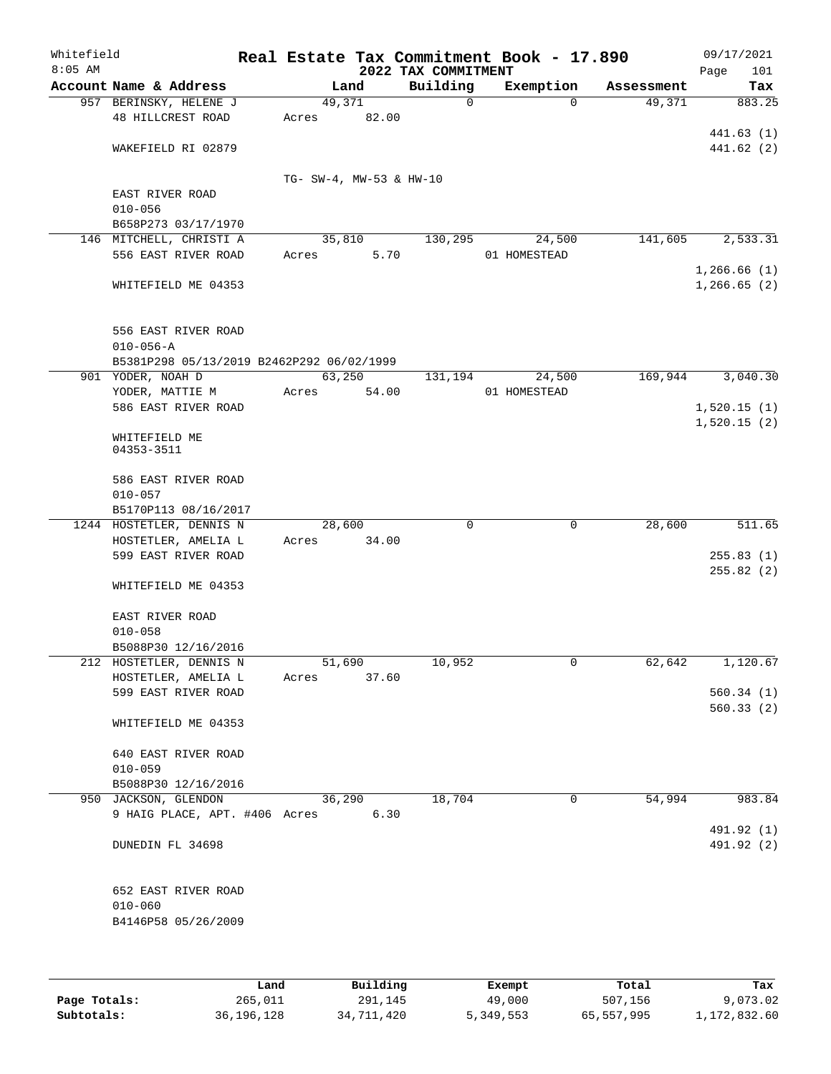| Whitefield<br>$8:05$ AM |                                           | Real Estate Tax Commitment Book - 17.890 | 2022 TAX COMMITMENT |              |            | 09/17/2021<br>101<br>Page |
|-------------------------|-------------------------------------------|------------------------------------------|---------------------|--------------|------------|---------------------------|
|                         | Account Name & Address                    | Land                                     | Building            | Exemption    | Assessment | Tax                       |
|                         | 957 BERINSKY, HELENE J                    | 49,371                                   | 0                   | $\Omega$     | 49,371     | 883.25                    |
|                         | 48 HILLCREST ROAD                         | 82.00<br>Acres                           |                     |              |            |                           |
|                         |                                           |                                          |                     |              |            | 441.63(1)                 |
|                         | WAKEFIELD RI 02879                        |                                          |                     |              |            | 441.62 (2)                |
|                         |                                           |                                          |                     |              |            |                           |
|                         |                                           | TG- SW-4, MW-53 & HW-10                  |                     |              |            |                           |
|                         | EAST RIVER ROAD                           |                                          |                     |              |            |                           |
|                         | $010 - 056$                               |                                          |                     |              |            |                           |
|                         | B658P273 03/17/1970                       |                                          |                     |              |            |                           |
|                         | 146 MITCHELL, CHRISTI A                   | 35,810                                   | 130,295             | 24,500       | 141,605    | 2,533.31                  |
|                         | 556 EAST RIVER ROAD                       | 5.70<br>Acres                            |                     | 01 HOMESTEAD |            |                           |
|                         |                                           |                                          |                     |              |            | 1,266.66(1)               |
|                         | WHITEFIELD ME 04353                       |                                          |                     |              |            | 1, 266.65(2)              |
|                         |                                           |                                          |                     |              |            |                           |
|                         |                                           |                                          |                     |              |            |                           |
|                         | 556 EAST RIVER ROAD                       |                                          |                     |              |            |                           |
|                         | $010 - 056 - A$                           |                                          |                     |              |            |                           |
|                         | B5381P298 05/13/2019 B2462P292 06/02/1999 |                                          |                     |              |            |                           |
|                         | 901 YODER, NOAH D                         | 63,250                                   | 131,194             | 24,500       | 169,944    | 3,040.30                  |
|                         | YODER, MATTIE M                           | 54.00<br>Acres                           |                     | 01 HOMESTEAD |            |                           |
|                         | 586 EAST RIVER ROAD                       |                                          |                     |              |            | 1,520.15(1)               |
|                         |                                           |                                          |                     |              |            | 1,520.15(2)               |
|                         | WHITEFIELD ME                             |                                          |                     |              |            |                           |
|                         | 04353-3511                                |                                          |                     |              |            |                           |
|                         | 586 EAST RIVER ROAD                       |                                          |                     |              |            |                           |
|                         | $010 - 057$                               |                                          |                     |              |            |                           |
|                         | B5170P113 08/16/2017                      |                                          |                     |              |            |                           |
|                         | 1244 HOSTETLER, DENNIS N                  | 28,600                                   | $\Omega$            | $\mathbf 0$  | 28,600     | 511.65                    |
|                         | HOSTETLER, AMELIA L                       | 34.00<br>Acres                           |                     |              |            |                           |
|                         | 599 EAST RIVER ROAD                       |                                          |                     |              |            | 255.83(1)                 |
|                         |                                           |                                          |                     |              |            | 255.82(2)                 |
|                         | WHITEFIELD ME 04353                       |                                          |                     |              |            |                           |
|                         |                                           |                                          |                     |              |            |                           |
|                         | EAST RIVER ROAD                           |                                          |                     |              |            |                           |
|                         | $010 - 058$                               |                                          |                     |              |            |                           |
|                         | B5088P30 12/16/2016                       |                                          |                     |              |            |                           |
|                         | 212 HOSTETLER, DENNIS N                   | 51,690                                   | 10,952              | 0            | 62,642     | 1,120.67                  |
|                         | HOSTETLER, AMELIA L                       | 37.60<br>Acres                           |                     |              |            |                           |
|                         | 599 EAST RIVER ROAD                       |                                          |                     |              |            | 560.34(1)                 |
|                         |                                           |                                          |                     |              |            | 560.33(2)                 |
|                         | WHITEFIELD ME 04353                       |                                          |                     |              |            |                           |
|                         |                                           |                                          |                     |              |            |                           |
|                         | 640 EAST RIVER ROAD                       |                                          |                     |              |            |                           |
|                         | $010 - 059$                               |                                          |                     |              |            |                           |
|                         | B5088P30 12/16/2016                       |                                          |                     |              |            |                           |
|                         | 950 JACKSON, GLENDON                      | 36,290                                   | 18,704              | 0            | 54,994     | 983.84                    |
|                         | 9 HAIG PLACE, APT. #406 Acres             | 6.30                                     |                     |              |            |                           |
|                         |                                           |                                          |                     |              |            | 491.92 (1)                |
|                         | DUNEDIN FL 34698                          |                                          |                     |              |            | 491.92 (2)                |
|                         |                                           |                                          |                     |              |            |                           |
|                         |                                           |                                          |                     |              |            |                           |
|                         | 652 EAST RIVER ROAD                       |                                          |                     |              |            |                           |
|                         | $010 - 060$                               |                                          |                     |              |            |                           |
|                         | B4146P58 05/26/2009                       |                                          |                     |              |            |                           |
|                         |                                           |                                          |                     |              |            |                           |
|                         |                                           |                                          |                     |              |            |                           |
|                         |                                           |                                          |                     |              |            |                           |

|              | Land         | Building   | Exempt    | Total      | Tax          |
|--------------|--------------|------------|-----------|------------|--------------|
| Page Totals: | 265,011      | 291,145    | 49,000    | 507,156    | 9,073.02     |
| Subtotals:   | 36, 196, 128 | 34,711,420 | 5,349,553 | 65,557,995 | 1,172,832.60 |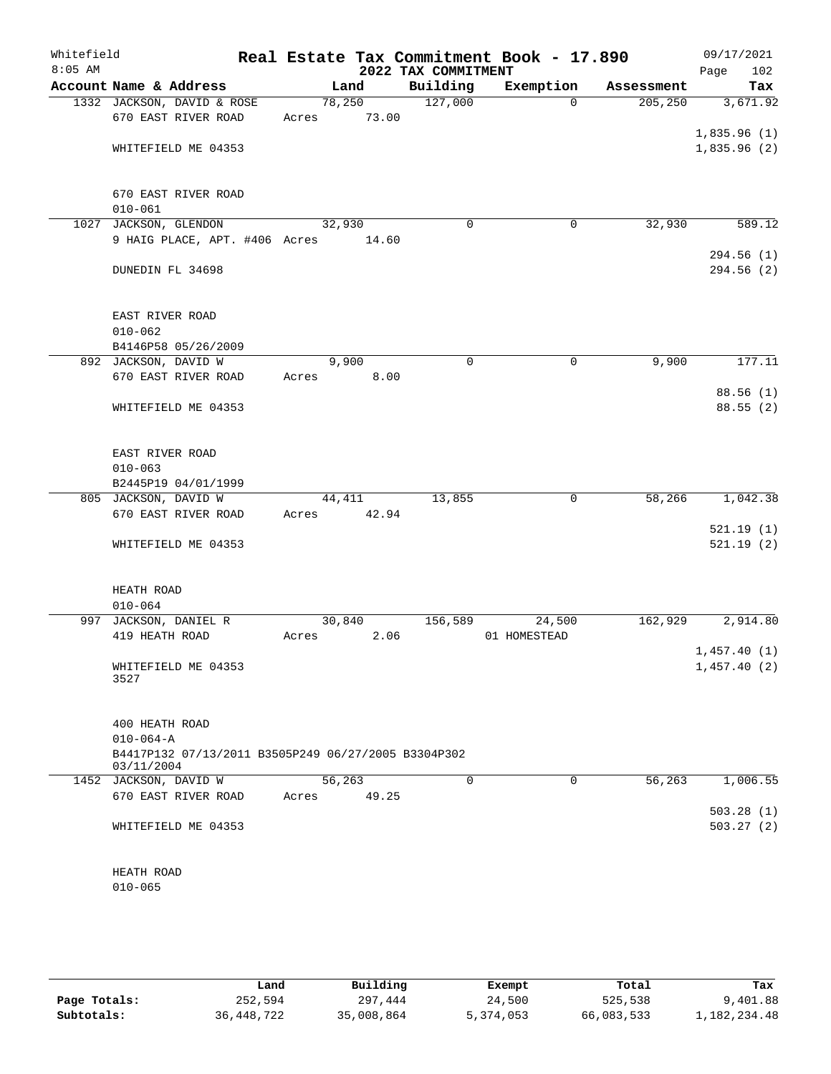| Whitefield<br>$8:05$ AM |                                                                        |         |       | 2022 TAX COMMITMENT | Real Estate Tax Commitment Book - 17.890 |            | 09/17/2021<br>Page<br>102 |
|-------------------------|------------------------------------------------------------------------|---------|-------|---------------------|------------------------------------------|------------|---------------------------|
|                         | Account Name & Address                                                 |         | Land  | Building            | Exemption                                | Assessment | Tax                       |
|                         | 1332 JACKSON, DAVID & ROSE                                             | 78,250  |       | 127,000             | $\Omega$                                 | 205, 250   | 3,671.92                  |
|                         | 670 EAST RIVER ROAD                                                    | Acres   | 73.00 |                     |                                          |            |                           |
|                         |                                                                        |         |       |                     |                                          |            | 1,835.96(1)               |
|                         | WHITEFIELD ME 04353                                                    |         |       |                     |                                          |            | 1,835.96(2)               |
|                         |                                                                        |         |       |                     |                                          |            |                           |
|                         |                                                                        |         |       |                     |                                          |            |                           |
|                         | 670 EAST RIVER ROAD                                                    |         |       |                     |                                          |            |                           |
|                         | $010 - 061$                                                            |         |       |                     |                                          |            |                           |
|                         | 1027 JACKSON, GLENDON                                                  | 32,930  |       | $\mathbf 0$         | 0                                        | 32,930     | 589.12                    |
|                         | 9 HAIG PLACE, APT. #406 Acres                                          |         | 14.60 |                     |                                          |            |                           |
|                         | DUNEDIN FL 34698                                                       |         |       |                     |                                          |            | 294.56(1)<br>294.56(2)    |
|                         |                                                                        |         |       |                     |                                          |            |                           |
|                         |                                                                        |         |       |                     |                                          |            |                           |
|                         | EAST RIVER ROAD                                                        |         |       |                     |                                          |            |                           |
|                         | $010 - 062$                                                            |         |       |                     |                                          |            |                           |
|                         | B4146P58 05/26/2009                                                    |         |       |                     |                                          |            |                           |
|                         | 892 JACKSON, DAVID W                                                   |         | 9,900 | $\mathbf 0$         | $\mathbf 0$                              | 9,900      | 177.11                    |
|                         | 670 EAST RIVER ROAD                                                    | Acres   | 8.00  |                     |                                          |            |                           |
|                         |                                                                        |         |       |                     |                                          |            | 88.56 (1)                 |
|                         | WHITEFIELD ME 04353                                                    |         |       |                     |                                          |            | 88.55(2)                  |
|                         |                                                                        |         |       |                     |                                          |            |                           |
|                         |                                                                        |         |       |                     |                                          |            |                           |
|                         | EAST RIVER ROAD                                                        |         |       |                     |                                          |            |                           |
|                         | $010 - 063$                                                            |         |       |                     |                                          |            |                           |
|                         | B2445P19 04/01/1999                                                    |         |       |                     |                                          |            |                           |
|                         | 805 JACKSON, DAVID W                                                   | 44,411  |       | 13,855              | $\mathbf 0$                              | 58,266     | 1,042.38                  |
|                         | 670 EAST RIVER ROAD                                                    | Acres   | 42.94 |                     |                                          |            |                           |
|                         |                                                                        |         |       |                     |                                          |            | 521.19(1)                 |
|                         | WHITEFIELD ME 04353                                                    |         |       |                     |                                          |            | 521.19(2)                 |
|                         |                                                                        |         |       |                     |                                          |            |                           |
|                         | HEATH ROAD                                                             |         |       |                     |                                          |            |                           |
|                         | $010 - 064$                                                            |         |       |                     |                                          |            |                           |
|                         | 997 JACKSON, DANIEL R                                                  | 30,840  |       | 156,589             | 24,500                                   | 162,929    | 2,914.80                  |
|                         | 419 HEATH ROAD                                                         | Acres   | 2.06  |                     | 01 HOMESTEAD                             |            |                           |
|                         |                                                                        |         |       |                     |                                          |            | 1,457.40(1)               |
|                         | WHITEFIELD ME 04353                                                    |         |       |                     |                                          |            | 1,457.40(2)               |
|                         | 3527                                                                   |         |       |                     |                                          |            |                           |
|                         |                                                                        |         |       |                     |                                          |            |                           |
|                         |                                                                        |         |       |                     |                                          |            |                           |
|                         | 400 HEATH ROAD                                                         |         |       |                     |                                          |            |                           |
|                         | $010 - 064 - A$<br>B4417P132 07/13/2011 B3505P249 06/27/2005 B3304P302 |         |       |                     |                                          |            |                           |
|                         | 03/11/2004                                                             |         |       |                     |                                          |            |                           |
|                         | 1452 JACKSON, DAVID W                                                  | 56, 263 |       | $\Omega$            | $\Omega$                                 | 56,263     | 1,006.55                  |
|                         | 670 EAST RIVER ROAD                                                    | Acres   | 49.25 |                     |                                          |            |                           |
|                         |                                                                        |         |       |                     |                                          |            | 503.28(1)                 |
|                         | WHITEFIELD ME 04353                                                    |         |       |                     |                                          |            | 503.27(2)                 |
|                         |                                                                        |         |       |                     |                                          |            |                           |
|                         |                                                                        |         |       |                     |                                          |            |                           |
|                         | HEATH ROAD                                                             |         |       |                     |                                          |            |                           |
|                         | $010 - 065$                                                            |         |       |                     |                                          |            |                           |
|                         |                                                                        |         |       |                     |                                          |            |                           |

|              | Land       | Building   | Exempt    | Total      | Tax          |
|--------------|------------|------------|-----------|------------|--------------|
| Page Totals: | 252,594    | 297,444    | 24,500    | 525,538    | 9,401.88     |
| Subtotals:   | 36,448,722 | 35,008,864 | 5,374,053 | 66,083,533 | 1,182,234.48 |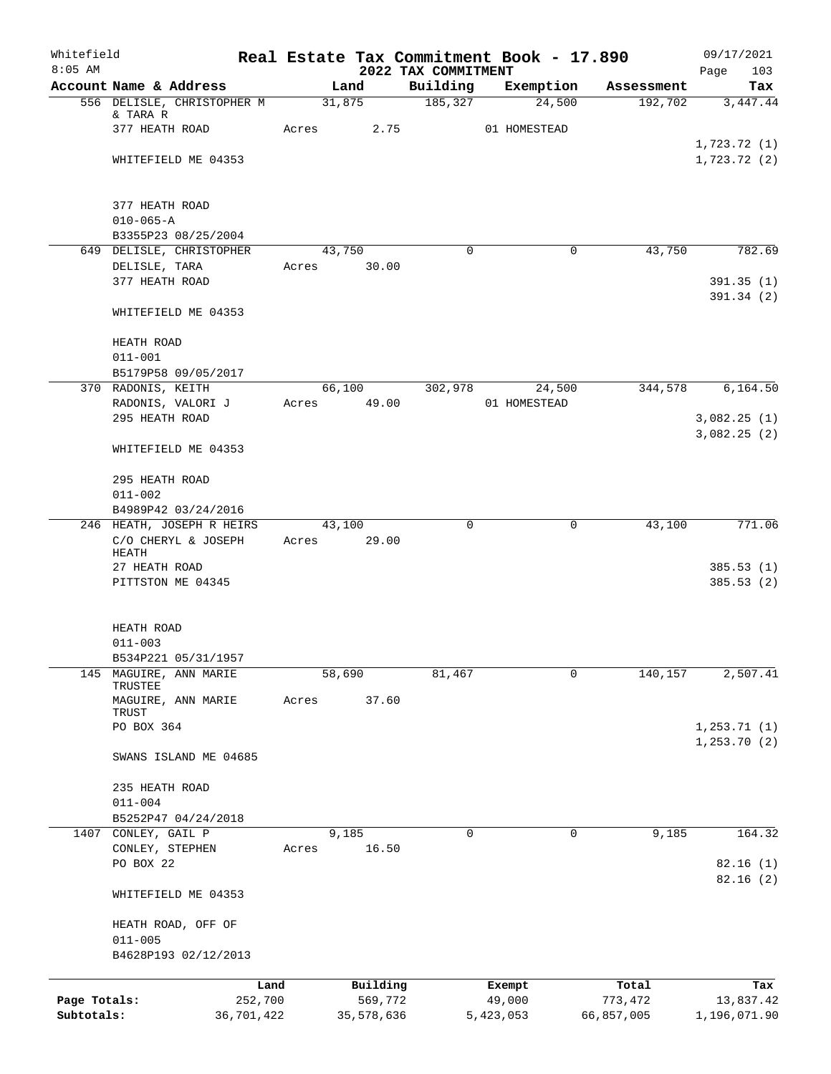| Whitefield<br>$8:05$ AM    |                               |                       |                       | 2022 TAX COMMITMENT | Real Estate Tax Commitment Book - 17.890 |                       | 09/17/2021<br>103<br>Page |
|----------------------------|-------------------------------|-----------------------|-----------------------|---------------------|------------------------------------------|-----------------------|---------------------------|
|                            | Account Name & Address        |                       | Land                  | Building            | Exemption                                | Assessment            | Tax                       |
|                            | 556 DELISLE, CHRISTOPHER M    |                       | 31,875                | 185,327             | 24,500                                   | 192,702               | 3,447.44                  |
|                            | & TARA R                      |                       |                       |                     |                                          |                       |                           |
|                            | 377 HEATH ROAD                | Acres                 | 2.75                  |                     | 01 HOMESTEAD                             |                       |                           |
|                            |                               |                       |                       |                     |                                          |                       | 1,723.72(1)               |
|                            | WHITEFIELD ME 04353           |                       |                       |                     |                                          |                       | 1,723.72(2)               |
|                            | 377 HEATH ROAD                |                       |                       |                     |                                          |                       |                           |
|                            | $010 - 065 - A$               |                       |                       |                     |                                          |                       |                           |
|                            | B3355P23 08/25/2004           |                       |                       |                     |                                          |                       |                           |
|                            | 649 DELISLE, CHRISTOPHER      |                       | 43,750                | $\Omega$            | $\Omega$                                 | 43,750                | 782.69                    |
|                            | DELISLE, TARA                 | Acres                 | 30.00                 |                     |                                          |                       |                           |
|                            | 377 HEATH ROAD                |                       |                       |                     |                                          |                       | 391.35(1)<br>391.34 (2)   |
|                            | WHITEFIELD ME 04353           |                       |                       |                     |                                          |                       |                           |
|                            | HEATH ROAD                    |                       |                       |                     |                                          |                       |                           |
|                            | $011 - 001$                   |                       |                       |                     |                                          |                       |                           |
|                            | B5179P58 09/05/2017           |                       |                       |                     |                                          |                       |                           |
|                            | 370 RADONIS, KEITH            |                       | 66,100                | 302,978             | 24,500                                   | 344,578               | 6,164.50                  |
|                            | RADONIS, VALORI J             | Acres                 | 49.00                 |                     | 01 HOMESTEAD                             |                       |                           |
|                            | 295 HEATH ROAD                |                       |                       |                     |                                          |                       | 3,082.25(1)               |
|                            | WHITEFIELD ME 04353           |                       |                       |                     |                                          |                       | 3,082.25(2)               |
|                            | 295 HEATH ROAD                |                       |                       |                     |                                          |                       |                           |
|                            | $011 - 002$                   |                       |                       |                     |                                          |                       |                           |
|                            | B4989P42 03/24/2016           |                       |                       |                     |                                          |                       |                           |
|                            | 246 HEATH, JOSEPH R HEIRS     |                       | 43,100                | 0                   | 0                                        | 43,100                | 771.06                    |
|                            | C/O CHERYL & JOSEPH<br>HEATH  | Acres                 | 29.00                 |                     |                                          |                       |                           |
|                            | 27 HEATH ROAD                 |                       |                       |                     |                                          |                       | 385.53(1)                 |
|                            | PITTSTON ME 04345             |                       |                       |                     |                                          |                       | 385.53(2)                 |
|                            | HEATH ROAD                    |                       |                       |                     |                                          |                       |                           |
|                            | $011 - 003$                   |                       |                       |                     |                                          |                       |                           |
|                            | B534P221 05/31/1957           |                       |                       |                     |                                          |                       |                           |
| 145                        | MAGUIRE, ANN MARIE<br>TRUSTEE |                       | 58,690                | 81,467              | 0                                        | 140,157               | 2,507.41                  |
|                            | MAGUIRE, ANN MARIE<br>TRUST   | Acres                 | 37.60                 |                     |                                          |                       |                           |
|                            | PO BOX 364                    |                       |                       |                     |                                          |                       | 1, 253.71(1)              |
|                            | SWANS ISLAND ME 04685         |                       |                       |                     |                                          |                       | 1, 253.70(2)              |
|                            |                               |                       |                       |                     |                                          |                       |                           |
|                            | 235 HEATH ROAD                |                       |                       |                     |                                          |                       |                           |
|                            | $011 - 004$                   |                       |                       |                     |                                          |                       |                           |
|                            | B5252P47 04/24/2018           |                       |                       |                     |                                          |                       |                           |
|                            | 1407 CONLEY, GAIL P           |                       | 9,185                 | 0                   | 0                                        | 9,185                 | 164.32                    |
|                            | CONLEY, STEPHEN               | Acres                 | 16.50                 |                     |                                          |                       |                           |
|                            | PO BOX 22                     |                       |                       |                     |                                          |                       | 82.16(1)                  |
|                            | WHITEFIELD ME 04353           |                       |                       |                     |                                          |                       | 82.16(2)                  |
|                            | HEATH ROAD, OFF OF            |                       |                       |                     |                                          |                       |                           |
|                            | $011 - 005$                   |                       |                       |                     |                                          |                       |                           |
|                            | B4628P193 02/12/2013          |                       |                       |                     |                                          |                       |                           |
|                            |                               | Land                  | Building              |                     | Exempt                                   | Total                 | Tax                       |
| Page Totals:<br>Subtotals: |                               | 252,700<br>36,701,422 | 569,772<br>35,578,636 |                     | 49,000<br>5,423,053                      | 773,472<br>66,857,005 | 13,837.42<br>1,196,071.90 |
|                            |                               |                       |                       |                     |                                          |                       |                           |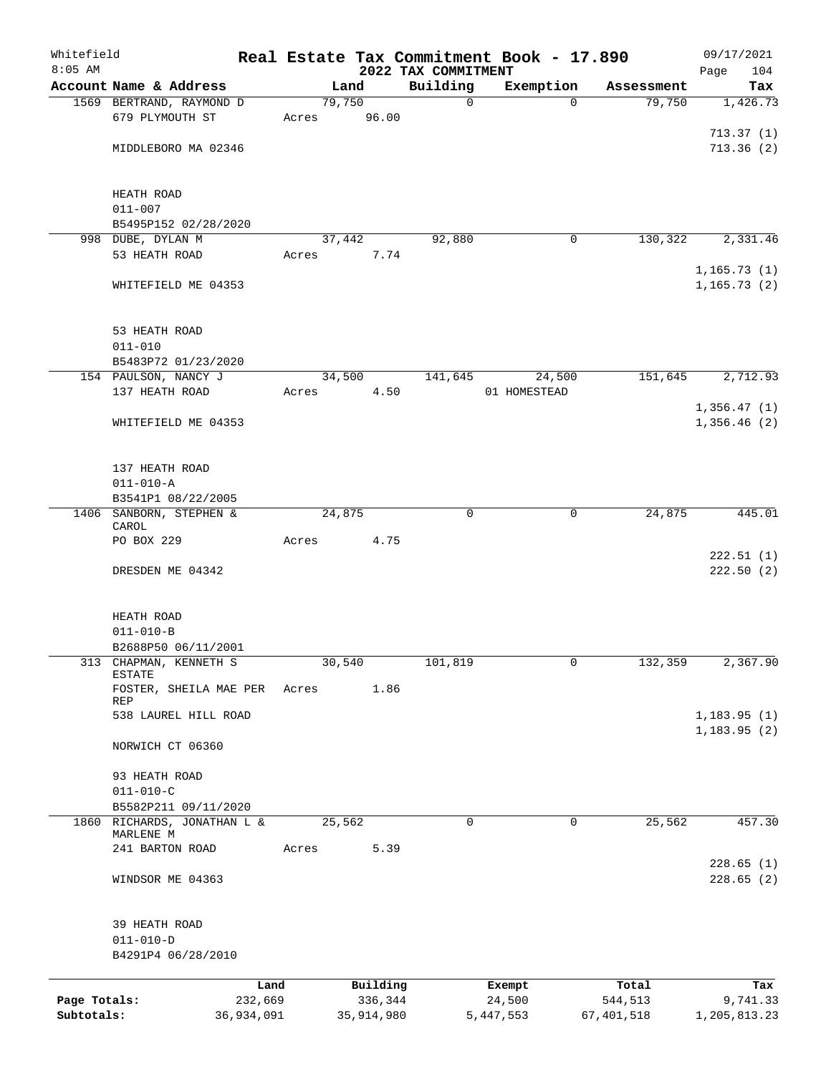| Whitefield   |                                         |                 |                 |                     |                                 | Real Estate Tax Commitment Book - 17.890 |                  | 09/17/2021                  |
|--------------|-----------------------------------------|-----------------|-----------------|---------------------|---------------------------------|------------------------------------------|------------------|-----------------------------|
| $8:05$ AM    | Account Name & Address                  |                 |                 | Land                | 2022 TAX COMMITMENT<br>Building | Exemption                                | Assessment       | Page<br>104<br>Tax          |
|              | 1569 BERTRAND, RAYMOND D                |                 | 79,750          |                     | $\mathbf 0$                     | $\Omega$                                 | 79,750           | 1,426.73                    |
|              | 679 PLYMOUTH ST                         |                 | Acres           | 96.00               |                                 |                                          |                  |                             |
|              |                                         |                 |                 |                     |                                 |                                          |                  | 713.37(1)                   |
|              | MIDDLEBORO MA 02346                     |                 |                 |                     |                                 |                                          |                  | 713.36(2)                   |
|              |                                         |                 |                 |                     |                                 |                                          |                  |                             |
|              | HEATH ROAD                              |                 |                 |                     |                                 |                                          |                  |                             |
|              | $011 - 007$                             |                 |                 |                     |                                 |                                          |                  |                             |
|              | B5495P152 02/28/2020                    |                 |                 |                     |                                 |                                          |                  |                             |
|              | 998 DUBE, DYLAN M<br>53 HEATH ROAD      |                 | 37,442<br>Acres | 7.74                | 92,880                          | 0                                        | 130,322          | 2,331.46                    |
|              |                                         |                 |                 |                     |                                 |                                          |                  | 1, 165.73(1)                |
|              | WHITEFIELD ME 04353                     |                 |                 |                     |                                 |                                          |                  | 1, 165.73(2)                |
|              |                                         |                 |                 |                     |                                 |                                          |                  |                             |
|              | 53 HEATH ROAD                           |                 |                 |                     |                                 |                                          |                  |                             |
|              | $011 - 010$                             |                 |                 |                     |                                 |                                          |                  |                             |
|              | B5483P72 01/23/2020                     |                 |                 |                     |                                 |                                          |                  |                             |
|              | 154 PAULSON, NANCY J                    |                 | 34,500          |                     | 141,645                         | 24,500                                   | 151,645          | 2,712.93                    |
|              | 137 HEATH ROAD                          |                 | Acres           | 4.50                |                                 | 01 HOMESTEAD                             |                  | 1,356.47(1)                 |
|              | WHITEFIELD ME 04353                     |                 |                 |                     |                                 |                                          |                  | 1,356.46(2)                 |
|              |                                         |                 |                 |                     |                                 |                                          |                  |                             |
|              |                                         |                 |                 |                     |                                 |                                          |                  |                             |
|              | 137 HEATH ROAD<br>$011 - 010 - A$       |                 |                 |                     |                                 |                                          |                  |                             |
|              | B3541P1 08/22/2005                      |                 |                 |                     |                                 |                                          |                  |                             |
|              | 1406 SANBORN, STEPHEN &                 |                 | 24,875          |                     | $\mathbf 0$                     | $\mathbf 0$                              | 24,875           | 445.01                      |
|              | CAROL<br>PO BOX 229                     |                 | Acres           | 4.75                |                                 |                                          |                  |                             |
|              |                                         |                 |                 |                     |                                 |                                          |                  | 222.51(1)                   |
|              | DRESDEN ME 04342                        |                 |                 |                     |                                 |                                          |                  | 222.50(2)                   |
|              |                                         |                 |                 |                     |                                 |                                          |                  |                             |
|              | HEATH ROAD                              |                 |                 |                     |                                 |                                          |                  |                             |
|              | $011 - 010 - B$                         |                 |                 |                     |                                 |                                          |                  |                             |
|              | B2688P50 06/11/2001                     |                 |                 |                     |                                 |                                          |                  |                             |
| 313          | CHAPMAN, KENNETH S<br>ESTATE            |                 | 30,540          |                     | 101,819                         | 0                                        | 132,359          | 2,367.90                    |
|              | FOSTER, SHEILA MAE PER                  |                 | Acres           | 1.86                |                                 |                                          |                  |                             |
|              | REP                                     |                 |                 |                     |                                 |                                          |                  |                             |
|              | 538 LAUREL HILL ROAD                    |                 |                 |                     |                                 |                                          |                  | 1,183.95(1)<br>1, 183.95(2) |
|              | NORWICH CT 06360                        |                 |                 |                     |                                 |                                          |                  |                             |
|              |                                         |                 |                 |                     |                                 |                                          |                  |                             |
|              | 93 HEATH ROAD                           |                 |                 |                     |                                 |                                          |                  |                             |
|              | $011 - 010 - C$<br>B5582P211 09/11/2020 |                 |                 |                     |                                 |                                          |                  |                             |
|              | 1860 RICHARDS, JONATHAN L &             |                 | 25,562          |                     | $\mathbf 0$                     | 0                                        | 25,562           | 457.30                      |
|              | MARLENE M                               |                 |                 |                     |                                 |                                          |                  |                             |
|              | 241 BARTON ROAD                         |                 | Acres           | 5.39                |                                 |                                          |                  | 228.65(1)                   |
|              | WINDSOR ME 04363                        |                 |                 |                     |                                 |                                          |                  | 228.65(2)                   |
|              |                                         |                 |                 |                     |                                 |                                          |                  |                             |
|              |                                         |                 |                 |                     |                                 |                                          |                  |                             |
|              | 39 HEATH ROAD<br>$011 - 010 - D$        |                 |                 |                     |                                 |                                          |                  |                             |
|              | B4291P4 06/28/2010                      |                 |                 |                     |                                 |                                          |                  |                             |
|              |                                         |                 |                 |                     |                                 |                                          |                  |                             |
| Page Totals: |                                         | Land<br>232,669 |                 | Building<br>336,344 |                                 | Exempt<br>24,500                         | Total<br>544,513 | Tax<br>9,741.33             |
| Subtotals:   |                                         | 36,934,091      |                 | 35, 914, 980        |                                 | 5, 447, 553                              | 67,401,518       | 1,205,813.23                |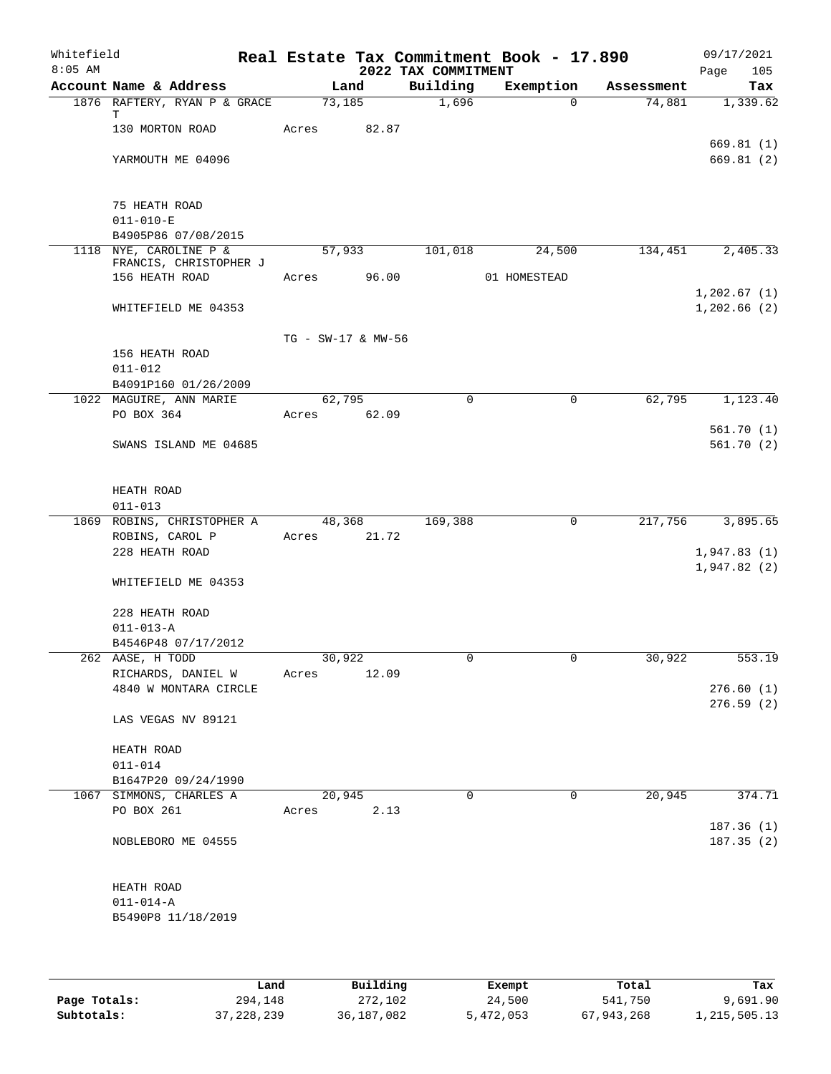| Whitefield<br>$8:05$ AM |                                                  |                    |        | 2022 TAX COMMITMENT | Real Estate Tax Commitment Book - 17.890 |            | 09/17/2021<br>Page<br>105  |
|-------------------------|--------------------------------------------------|--------------------|--------|---------------------|------------------------------------------|------------|----------------------------|
|                         | Account Name & Address                           |                    | Land   | Building            | Exemption                                | Assessment | Tax                        |
|                         | 1876 RAFTERY, RYAN P & GRACE                     | 73,185             |        | 1,696               | $\Omega$                                 | 74,881     | 1,339.62                   |
|                         | т<br>130 MORTON ROAD                             | Acres              | 82.87  |                     |                                          |            |                            |
|                         |                                                  |                    |        |                     |                                          |            | 669.81(1)                  |
|                         | YARMOUTH ME 04096                                |                    |        |                     |                                          |            | 669.81 (2)                 |
|                         |                                                  |                    |        |                     |                                          |            |                            |
|                         |                                                  |                    |        |                     |                                          |            |                            |
|                         | 75 HEATH ROAD                                    |                    |        |                     |                                          |            |                            |
|                         | $011 - 010 - E$                                  |                    |        |                     |                                          |            |                            |
|                         | B4905P86 07/08/2015                              |                    |        |                     |                                          |            |                            |
|                         | 1118 NYE, CAROLINE P &<br>FRANCIS, CHRISTOPHER J |                    | 57,933 | 101,018             | 24,500                                   | 134,451    | 2,405.33                   |
|                         | 156 HEATH ROAD                                   | Acres              | 96.00  |                     | 01 HOMESTEAD                             |            |                            |
|                         |                                                  |                    |        |                     |                                          |            | 1,202.67(1)                |
|                         | WHITEFIELD ME 04353                              |                    |        |                     |                                          |            | 1,202.66(2)                |
|                         |                                                  |                    |        |                     |                                          |            |                            |
|                         |                                                  | TG - SW-17 & MW-56 |        |                     |                                          |            |                            |
|                         | 156 HEATH ROAD                                   |                    |        |                     |                                          |            |                            |
|                         | $011 - 012$                                      |                    |        |                     |                                          |            |                            |
|                         | B4091P160 01/26/2009<br>1022 MAGUIRE, ANN MARIE  | 62,795             |        | $\Omega$            | $\mathbf 0$                              | 62,795     | 1,123.40                   |
|                         | PO BOX 364                                       | Acres 62.09        |        |                     |                                          |            |                            |
|                         |                                                  |                    |        |                     |                                          |            | 561.70(1)                  |
|                         | SWANS ISLAND ME 04685                            |                    |        |                     |                                          |            | 561.70(2)                  |
|                         |                                                  |                    |        |                     |                                          |            |                            |
|                         |                                                  |                    |        |                     |                                          |            |                            |
|                         | HEATH ROAD                                       |                    |        |                     |                                          |            |                            |
|                         | $011 - 013$                                      |                    |        |                     |                                          |            |                            |
|                         | 1869 ROBINS, CHRISTOPHER A                       |                    | 48,368 | 169,388             | 0                                        | 217,756    | 3,895.65                   |
|                         | ROBINS, CAROL P                                  | Acres 21.72        |        |                     |                                          |            |                            |
|                         | 228 HEATH ROAD                                   |                    |        |                     |                                          |            | 1,947.83(1)<br>1,947.82(2) |
|                         | WHITEFIELD ME 04353                              |                    |        |                     |                                          |            |                            |
|                         |                                                  |                    |        |                     |                                          |            |                            |
|                         | 228 HEATH ROAD                                   |                    |        |                     |                                          |            |                            |
|                         | $011 - 013 - A$                                  |                    |        |                     |                                          |            |                            |
|                         | B4546P48 07/17/2012                              |                    |        |                     |                                          |            |                            |
|                         | 262 AASE, H TODD                                 | 30,922             |        | 0                   | 0                                        | 30,922     | 553.19                     |
|                         | RICHARDS, DANIEL W                               | Acres              | 12.09  |                     |                                          |            |                            |
|                         | 4840 W MONTARA CIRCLE                            |                    |        |                     |                                          |            | 276.60(1)<br>276.59(2)     |
|                         | LAS VEGAS NV 89121                               |                    |        |                     |                                          |            |                            |
|                         |                                                  |                    |        |                     |                                          |            |                            |
|                         | HEATH ROAD                                       |                    |        |                     |                                          |            |                            |
|                         | $011 - 014$                                      |                    |        |                     |                                          |            |                            |
|                         | B1647P20 09/24/1990                              |                    |        |                     |                                          |            |                            |
|                         | 1067 SIMMONS, CHARLES A                          | 20,945             |        | $\mathbf 0$         | $\mathbf 0$                              | 20,945     | 374.71                     |
|                         | PO BOX 261                                       | Acres              | 2.13   |                     |                                          |            |                            |
|                         |                                                  |                    |        |                     |                                          |            | 187.36 (1)                 |
|                         | NOBLEBORO ME 04555                               |                    |        |                     |                                          |            | 187.35(2)                  |
|                         |                                                  |                    |        |                     |                                          |            |                            |
|                         | HEATH ROAD                                       |                    |        |                     |                                          |            |                            |
|                         | $011 - 014 - A$                                  |                    |        |                     |                                          |            |                            |
|                         | B5490P8 11/18/2019                               |                    |        |                     |                                          |            |                            |
|                         |                                                  |                    |        |                     |                                          |            |                            |
|                         |                                                  |                    |        |                     |                                          |            |                            |
|                         |                                                  |                    |        |                     |                                          |            |                            |

|              | Land         | Building   | Exempt    | Total      | Tax          |
|--------------|--------------|------------|-----------|------------|--------------|
| Page Totals: | 294,148      | 272,102    | 24,500    | 541,750    | 9,691.90     |
| Subtotals:   | 37, 228, 239 | 36,187,082 | 5,472,053 | 67,943,268 | 1,215,505.13 |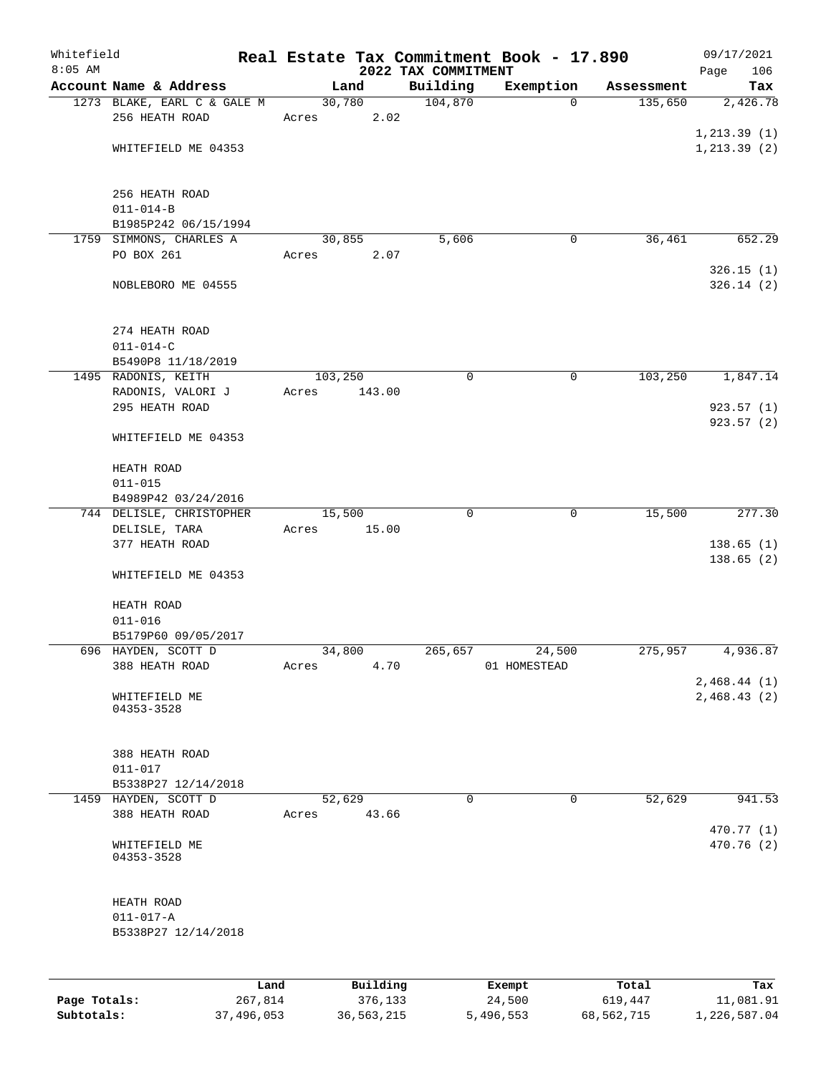| Whitefield   |                                             |         |                     |                                 | Real Estate Tax Commitment Book - 17.890 |                  | 09/17/2021                 |
|--------------|---------------------------------------------|---------|---------------------|---------------------------------|------------------------------------------|------------------|----------------------------|
| $8:05$ AM    | Account Name & Address                      |         | Land                | 2022 TAX COMMITMENT<br>Building | Exemption                                | Assessment       | Page<br>106<br>Tax         |
|              | 1273 BLAKE, EARL C & GALE M                 |         | 30,780              | 104,870                         | $\Omega$                                 | 135,650          | 2,426.78                   |
|              | 256 HEATH ROAD                              | Acres   | 2.02                |                                 |                                          |                  |                            |
|              |                                             |         |                     |                                 |                                          |                  | 1, 213.39(1)               |
|              | WHITEFIELD ME 04353                         |         |                     |                                 |                                          |                  | 1, 213.39(2)               |
|              |                                             |         |                     |                                 |                                          |                  |                            |
|              | 256 HEATH ROAD                              |         |                     |                                 |                                          |                  |                            |
|              | $011 - 014 - B$<br>B1985P242 06/15/1994     |         |                     |                                 |                                          |                  |                            |
|              | 1759 SIMMONS, CHARLES A                     |         | 30,855              | 5,606                           | $\mathbf 0$                              | 36,461           | 652.29                     |
|              | PO BOX 261                                  | Acres   | 2.07                |                                 |                                          |                  |                            |
|              | NOBLEBORO ME 04555                          |         |                     |                                 |                                          |                  | 326.15(1)<br>326.14(2)     |
|              |                                             |         |                     |                                 |                                          |                  |                            |
|              | 274 HEATH ROAD<br>$011 - 014 - C$           |         |                     |                                 |                                          |                  |                            |
|              | B5490P8 11/18/2019                          |         |                     |                                 |                                          |                  |                            |
|              | 1495 RADONIS, KEITH                         | 103,250 |                     | 0                               | $\mathbf 0$                              | 103, 250         | 1,847.14                   |
|              | RADONIS, VALORI J                           | Acres   | 143.00              |                                 |                                          |                  |                            |
|              | 295 HEATH ROAD                              |         |                     |                                 |                                          |                  | 923.57 (1)                 |
|              | WHITEFIELD ME 04353                         |         |                     |                                 |                                          |                  | 923.57 (2)                 |
|              | HEATH ROAD                                  |         |                     |                                 |                                          |                  |                            |
|              | $011 - 015$                                 |         |                     |                                 |                                          |                  |                            |
|              | B4989P42 03/24/2016                         |         |                     | $\Omega$                        | $\mathbf 0$                              |                  |                            |
|              | 744 DELISLE, CHRISTOPHER<br>DELISLE, TARA   | Acres   | 15,500<br>15.00     |                                 |                                          | 15,500           | 277.30                     |
|              | 377 HEATH ROAD                              |         |                     |                                 |                                          |                  | 138.65(1)                  |
|              | WHITEFIELD ME 04353                         |         |                     |                                 |                                          |                  | 138.65 (2)                 |
|              |                                             |         |                     |                                 |                                          |                  |                            |
|              | HEATH ROAD<br>$011 - 016$                   |         |                     |                                 |                                          |                  |                            |
|              | B5179P60 09/05/2017                         |         |                     |                                 |                                          |                  |                            |
|              | 696 HAYDEN, SCOTT D                         |         | 34,800              | 265,657                         | 24,500                                   | 275,957          | 4,936.87                   |
|              | 388 HEATH ROAD                              | Acres   | 4.70                |                                 | 01 HOMESTEAD                             |                  |                            |
|              | WHITEFIELD ME                               |         |                     |                                 |                                          |                  | 2,468.44(1)<br>2,468.43(2) |
|              | 04353-3528                                  |         |                     |                                 |                                          |                  |                            |
|              | 388 HEATH ROAD                              |         |                     |                                 |                                          |                  |                            |
|              | $011 - 017$                                 |         |                     |                                 |                                          |                  |                            |
|              | B5338P27 12/14/2018<br>1459 HAYDEN, SCOTT D |         | 52,629              | 0                               | $\mathbf 0$                              | 52,629           | 941.53                     |
|              | 388 HEATH ROAD                              | Acres   | 43.66               |                                 |                                          |                  |                            |
|              | WHITEFIELD ME                               |         |                     |                                 |                                          |                  | 470.77 (1)<br>470.76 (2)   |
|              | 04353-3528                                  |         |                     |                                 |                                          |                  |                            |
|              | HEATH ROAD                                  |         |                     |                                 |                                          |                  |                            |
|              | $011 - 017 - A$                             |         |                     |                                 |                                          |                  |                            |
|              | B5338P27 12/14/2018                         |         |                     |                                 |                                          |                  |                            |
|              |                                             |         |                     |                                 |                                          |                  |                            |
| Page Totals: | 267,814                                     | Land    | Building<br>376,133 |                                 | Exempt<br>24,500                         | Total<br>619,447 | Tax<br>11,081.91           |
|              |                                             |         |                     |                                 |                                          |                  |                            |

**Subtotals:** 37,496,053 36,563,215 5,496,553 68,562,715 1,226,587.04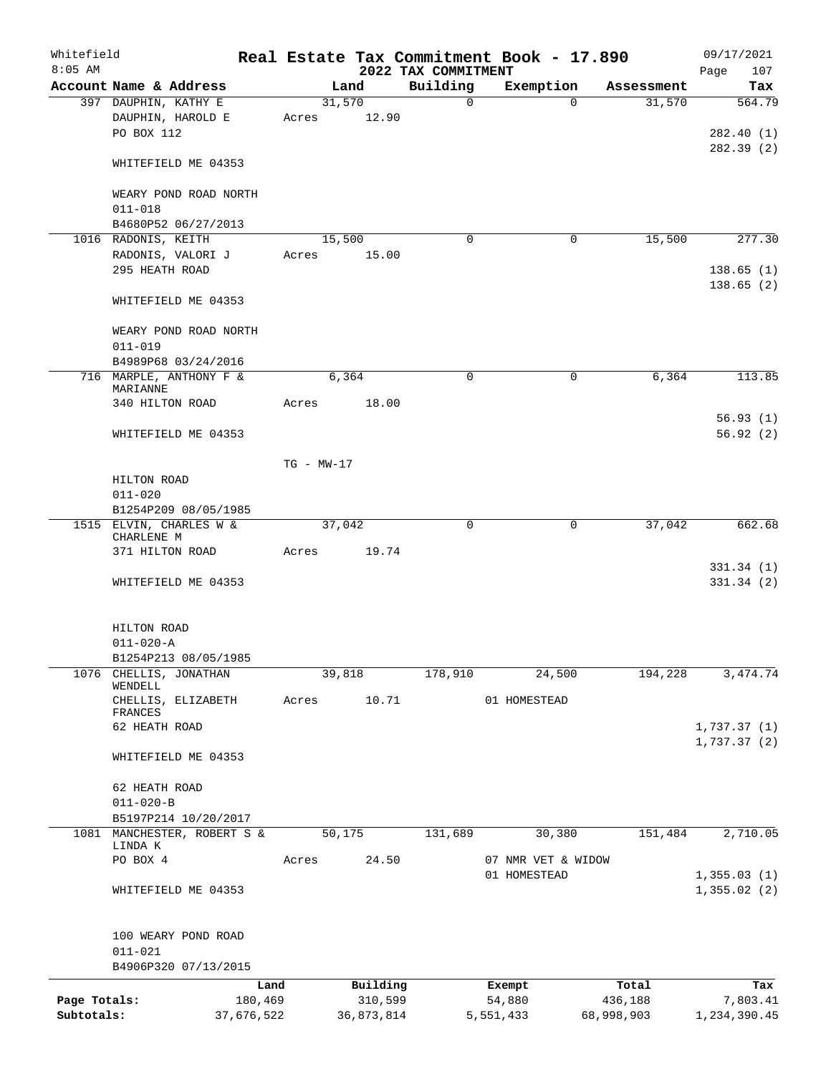| Whitefield<br>$8:05$ AM |                                      |              |            | 2022 TAX COMMITMENT | Real Estate Tax Commitment Book - 17.890 |            | 09/17/2021<br>107<br>Page  |
|-------------------------|--------------------------------------|--------------|------------|---------------------|------------------------------------------|------------|----------------------------|
|                         | Account Name & Address               |              | Land       | Building            | Exemption                                | Assessment | Tax                        |
|                         | 397 DAUPHIN, KATHY E                 |              | 31,570     | $\mathbf 0$         | $\Omega$                                 | 31,570     | 564.79                     |
|                         | DAUPHIN, HAROLD E<br>PO BOX 112      | Acres        | 12.90      |                     |                                          |            | 282.40 (1)                 |
|                         | WHITEFIELD ME 04353                  |              |            |                     |                                          |            | 282.39(2)                  |
|                         | WEARY POND ROAD NORTH<br>$011 - 018$ |              |            |                     |                                          |            |                            |
|                         | B4680P52 06/27/2013                  |              |            |                     |                                          |            |                            |
|                         | 1016 RADONIS, KEITH                  |              | 15,500     | $\Omega$            | 0                                        | 15,500     | 277.30                     |
|                         | RADONIS, VALORI J                    | Acres        | 15.00      |                     |                                          |            |                            |
|                         | 295 HEATH ROAD                       |              |            |                     |                                          |            | 138.65(1)<br>138.65(2)     |
|                         | WHITEFIELD ME 04353                  |              |            |                     |                                          |            |                            |
|                         | WEARY POND ROAD NORTH<br>$011 - 019$ |              |            |                     |                                          |            |                            |
|                         | B4989P68 03/24/2016                  |              |            |                     |                                          |            |                            |
|                         | 716 MARPLE, ANTHONY F &<br>MARIANNE  |              | 6,364      | $\mathbf 0$         | $\mathbf 0$                              | 6,364      | 113.85                     |
|                         | 340 HILTON ROAD                      | Acres        | 18.00      |                     |                                          |            |                            |
|                         |                                      |              |            |                     |                                          |            | 56.93(1)                   |
|                         | WHITEFIELD ME 04353                  |              |            |                     |                                          |            | 56.92(2)                   |
|                         |                                      | $TG - MW-17$ |            |                     |                                          |            |                            |
|                         | HILTON ROAD                          |              |            |                     |                                          |            |                            |
|                         | $011 - 020$                          |              |            |                     |                                          |            |                            |
|                         | B1254P209 08/05/1985                 |              |            |                     |                                          |            |                            |
|                         | 1515 ELVIN, CHARLES W &              |              | 37,042     | 0                   | 0                                        | 37,042     | 662.68                     |
|                         | CHARLENE M                           |              |            |                     |                                          |            |                            |
|                         | 371 HILTON ROAD                      | Acres        | 19.74      |                     |                                          |            | 331.34 (1)                 |
|                         | WHITEFIELD ME 04353                  |              |            |                     |                                          |            | 331.34(2)                  |
|                         | HILTON ROAD                          |              |            |                     |                                          |            |                            |
|                         | $011 - 020 - A$                      |              |            |                     |                                          |            |                            |
|                         | B1254P213 08/05/1985                 |              |            |                     |                                          |            |                            |
| 1076                    | CHELLIS, JONATHAN<br>WENDELL         |              | 39,818     | 178,910             | 24,500                                   | 194,228    | 3, 474.74                  |
|                         | CHELLIS, ELIZABETH<br>FRANCES        | Acres        | 10.71      |                     | 01 HOMESTEAD                             |            |                            |
|                         | 62 HEATH ROAD                        |              |            |                     |                                          |            | 1,737.37(1)<br>1,737.37(2) |
|                         | WHITEFIELD ME 04353                  |              |            |                     |                                          |            |                            |
|                         | 62 HEATH ROAD                        |              |            |                     |                                          |            |                            |
|                         | $011 - 020 - B$                      |              |            |                     |                                          |            |                            |
|                         | B5197P214 10/20/2017                 |              |            |                     |                                          |            |                            |
|                         | 1081 MANCHESTER, ROBERT S &          |              | 50,175     | 131,689             | 30,380                                   | 151,484    | 2,710.05                   |
|                         | LINDA K                              |              |            |                     |                                          |            |                            |
|                         | PO BOX 4                             | Acres        | 24.50      |                     | 07 NMR VET & WIDOW<br>01 HOMESTEAD       |            | 1,355.03(1)                |
|                         | WHITEFIELD ME 04353                  |              |            |                     |                                          |            | 1,355.02(2)                |
|                         |                                      |              |            |                     |                                          |            |                            |
|                         | 100 WEARY POND ROAD<br>$011 - 021$   |              |            |                     |                                          |            |                            |
|                         | B4906P320 07/13/2015                 |              |            |                     |                                          |            |                            |
|                         |                                      | Land         | Building   |                     | Exempt                                   | Total      | Tax                        |
| Page Totals:            | 180,469                              |              | 310,599    |                     | 54,880                                   | 436,188    | 7,803.41                   |
| Subtotals:              | 37,676,522                           |              | 36,873,814 |                     | 5,551,433                                | 68,998,903 | 1,234,390.45               |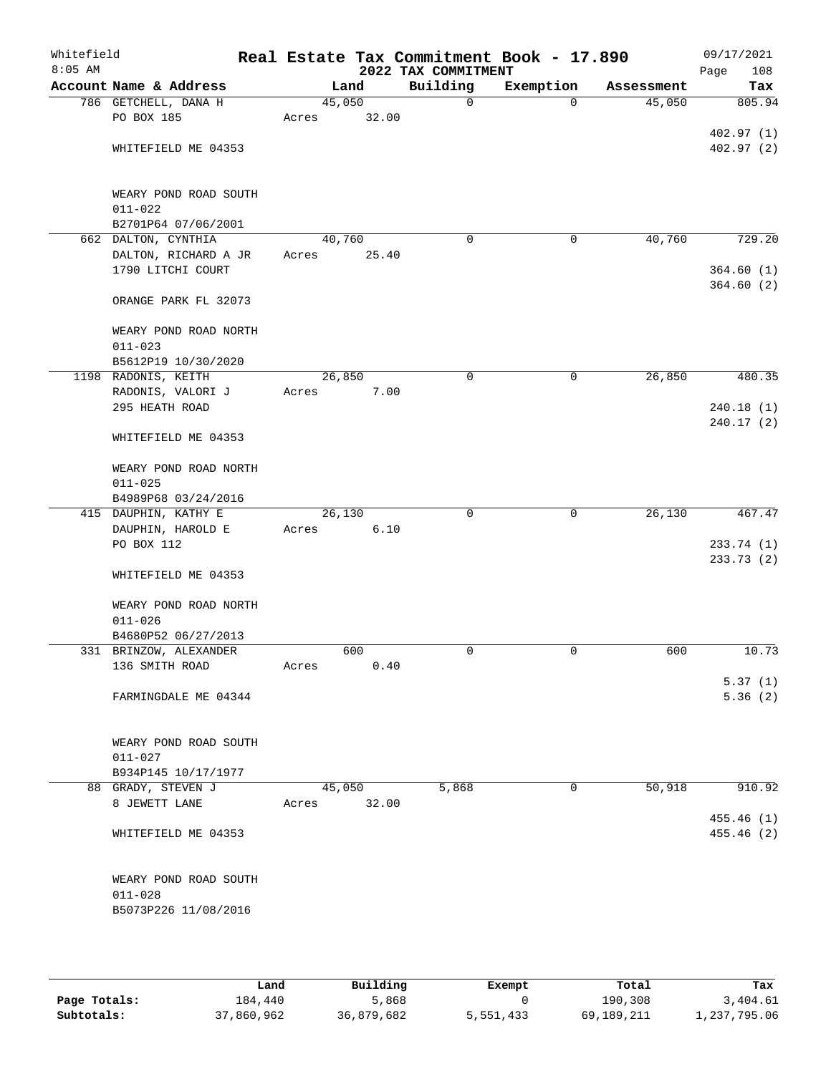| Whitefield<br>$8:05$ AM |                                      |       |        | 2022 TAX COMMITMENT | Real Estate Tax Commitment Book - 17.890 |            | 09/17/2021<br>108<br>Page |
|-------------------------|--------------------------------------|-------|--------|---------------------|------------------------------------------|------------|---------------------------|
|                         | Account Name & Address               |       | Land   | Building            | Exemption                                | Assessment | Tax                       |
|                         | 786 GETCHELL, DANA H                 |       | 45,050 | $\mathbf 0$         | $\mathbf 0$                              | 45,050     | 805.94                    |
|                         | PO BOX 185                           | Acres | 32.00  |                     |                                          |            |                           |
|                         |                                      |       |        |                     |                                          |            | 402.97(1)                 |
|                         | WHITEFIELD ME 04353                  |       |        |                     |                                          |            | 402.97(2)                 |
|                         | WEARY POND ROAD SOUTH                |       |        |                     |                                          |            |                           |
|                         | $011 - 022$                          |       |        |                     |                                          |            |                           |
|                         | B2701P64 07/06/2001                  |       |        |                     |                                          |            |                           |
|                         | 662 DALTON, CYNTHIA                  |       | 40,760 | $\Omega$            | 0                                        | 40,760     | 729.20                    |
|                         | DALTON, RICHARD A JR                 | Acres | 25.40  |                     |                                          |            |                           |
|                         | 1790 LITCHI COURT                    |       |        |                     |                                          |            | 364.60(1)                 |
|                         | ORANGE PARK FL 32073                 |       |        |                     |                                          |            | 364.60(2)                 |
|                         | WEARY POND ROAD NORTH                |       |        |                     |                                          |            |                           |
|                         | $011 - 023$                          |       |        |                     |                                          |            |                           |
|                         | B5612P19 10/30/2020                  |       |        |                     |                                          |            |                           |
|                         | 1198 RADONIS, KEITH                  |       | 26,850 | $\mathbf 0$         | $\mathbf 0$                              | 26,850     | 480.35                    |
|                         | RADONIS, VALORI J                    | Acres | 7.00   |                     |                                          |            |                           |
|                         | 295 HEATH ROAD                       |       |        |                     |                                          |            | 240.18(1)                 |
|                         | WHITEFIELD ME 04353                  |       |        |                     |                                          |            | 240.17(2)                 |
|                         | WEARY POND ROAD NORTH                |       |        |                     |                                          |            |                           |
|                         | $011 - 025$                          |       |        |                     |                                          |            |                           |
|                         | B4989P68 03/24/2016                  |       |        |                     |                                          |            |                           |
|                         | 415 DAUPHIN, KATHY E                 |       | 26,130 | $\Omega$            | 0                                        | 26,130     | 467.47                    |
|                         | DAUPHIN, HAROLD E                    | Acres | 6.10   |                     |                                          |            |                           |
|                         | PO BOX 112                           |       |        |                     |                                          |            | 233.74 (1)<br>233.73 (2)  |
|                         | WHITEFIELD ME 04353                  |       |        |                     |                                          |            |                           |
|                         | WEARY POND ROAD NORTH<br>$011 - 026$ |       |        |                     |                                          |            |                           |
|                         | B4680P52 06/27/2013                  |       |        |                     |                                          |            |                           |
|                         | 331 BRINZOW, ALEXANDER               |       | 600    | 0                   | 0                                        | 600        | 10.73                     |
|                         | 136 SMITH ROAD                       | Acres | 0.40   |                     |                                          |            |                           |
|                         |                                      |       |        |                     |                                          |            | 5.37(1)                   |
|                         | FARMINGDALE ME 04344                 |       |        |                     |                                          |            | 5.36(2)                   |
|                         |                                      |       |        |                     |                                          |            |                           |
|                         | WEARY POND ROAD SOUTH                |       |        |                     |                                          |            |                           |
|                         | $011 - 027$                          |       |        |                     |                                          |            |                           |
|                         | B934P145 10/17/1977                  |       |        |                     |                                          |            |                           |
|                         | 88 GRADY, STEVEN J                   |       | 45,050 | 5,868               | 0                                        | 50,918     | 910.92                    |
|                         | 8 JEWETT LANE                        | Acres | 32.00  |                     |                                          |            |                           |
|                         |                                      |       |        |                     |                                          |            | 455.46 (1)                |
|                         | WHITEFIELD ME 04353                  |       |        |                     |                                          |            | 455.46(2)                 |
|                         | WEARY POND ROAD SOUTH                |       |        |                     |                                          |            |                           |
|                         | $011 - 028$                          |       |        |                     |                                          |            |                           |
|                         | B5073P226 11/08/2016                 |       |        |                     |                                          |            |                           |
|                         |                                      |       |        |                     |                                          |            |                           |

|              | Land       | Building   | Exempt    | Total      | Tax          |
|--------------|------------|------------|-----------|------------|--------------|
| Page Totals: | 184,440    | 5,868      |           | 190,308    | 3,404.61     |
| Subtotals:   | 37,860,962 | 36,879,682 | 5,551,433 | 69,189,211 | 1,237,795.06 |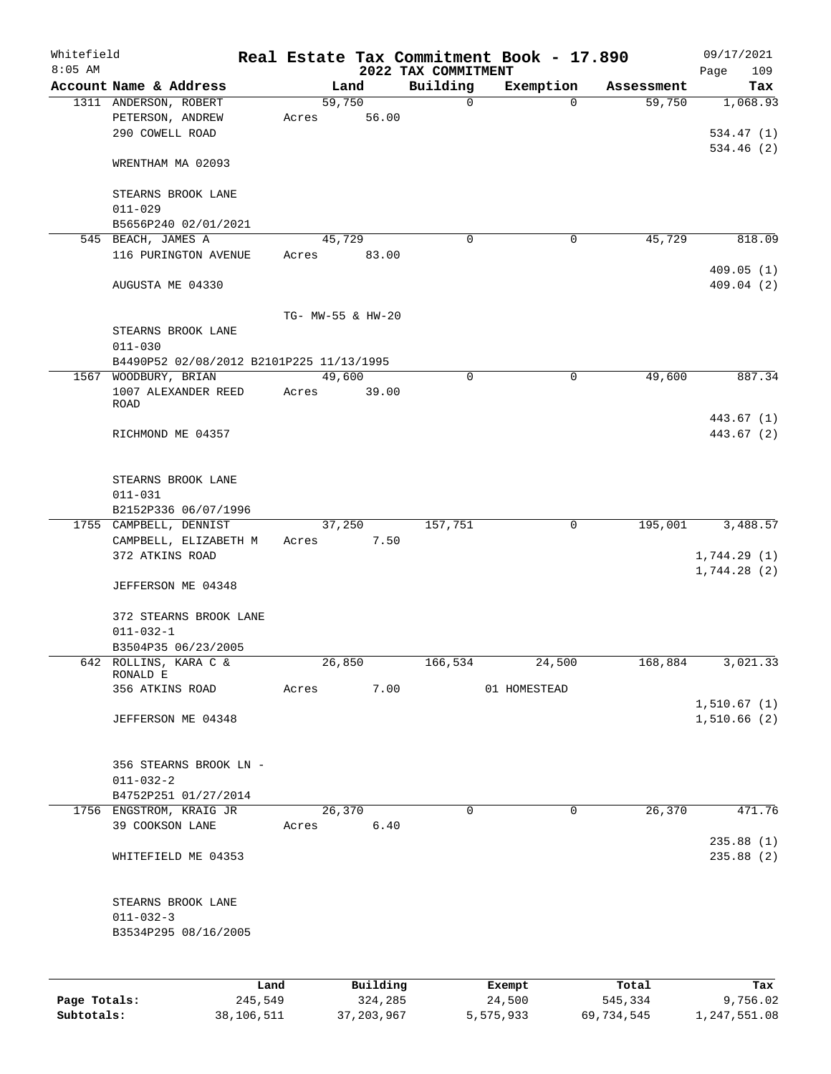| Account Name & Address<br>Building<br>Exemption<br>Land<br>59,750<br>1311 ANDERSON, ROBERT<br>$\mathbf 0$<br>$\Omega$<br>PETERSON, ANDREW<br>56.00<br>Acres<br>290 COWELL ROAD<br>WRENTHAM MA 02093<br>STEARNS BROOK LANE<br>$011 - 029$<br>B5656P240 02/01/2021<br>545 BEACH, JAMES A<br>45,729<br>$\mathbf 0$<br>0<br>116 PURINGTON AVENUE<br>83.00<br>Acres<br>AUGUSTA ME 04330<br>TG- MW-55 & HW-20<br>STEARNS BROOK LANE<br>$011 - 030$<br>B4490P52 02/08/2012 B2101P225 11/13/1995<br>49,600<br>1567 WOODBURY, BRIAN<br>0<br>0<br>1007 ALEXANDER REED<br>Acres<br>39.00<br>ROAD<br>RICHMOND ME 04357<br>STEARNS BROOK LANE<br>$011 - 031$<br>B2152P336 06/07/1996<br>157,751<br>$\mathbf 0$<br>1755 CAMPBELL, DENNIST<br>37,250<br>7.50<br>CAMPBELL, ELIZABETH M<br>Acres<br>372 ATKINS ROAD<br>JEFFERSON ME 04348<br>372 STEARNS BROOK LANE<br>$011 - 032 - 1$<br>B3504P35 06/23/2005<br>642 ROLLINS, KARA C &<br>26,850<br>166,534<br>24,500<br>RONALD E<br>356 ATKINS ROAD<br>Acres<br>7.00<br>01 HOMESTEAD<br>JEFFERSON ME 04348<br>356 STEARNS BROOK LN -<br>$011 - 032 - 2$<br>B4752P251 01/27/2014<br>1756 ENGSTROM, KRAIG JR<br>26,370<br>$\mathbf 0$<br>$\mathbf 0$ | 109<br>Page                 |            | Real Estate Tax Commitment Book - 17.890 | 2022 TAX COMMITMENT |      |       |                 | Whitefield<br>$8:05$ AM |
|------------------------------------------------------------------------------------------------------------------------------------------------------------------------------------------------------------------------------------------------------------------------------------------------------------------------------------------------------------------------------------------------------------------------------------------------------------------------------------------------------------------------------------------------------------------------------------------------------------------------------------------------------------------------------------------------------------------------------------------------------------------------------------------------------------------------------------------------------------------------------------------------------------------------------------------------------------------------------------------------------------------------------------------------------------------------------------------------------------------------------------------------------------------------------------|-----------------------------|------------|------------------------------------------|---------------------|------|-------|-----------------|-------------------------|
|                                                                                                                                                                                                                                                                                                                                                                                                                                                                                                                                                                                                                                                                                                                                                                                                                                                                                                                                                                                                                                                                                                                                                                                    | Tax                         | Assessment |                                          |                     |      |       |                 |                         |
|                                                                                                                                                                                                                                                                                                                                                                                                                                                                                                                                                                                                                                                                                                                                                                                                                                                                                                                                                                                                                                                                                                                                                                                    | 1,068.93                    | 59,750     |                                          |                     |      |       |                 |                         |
|                                                                                                                                                                                                                                                                                                                                                                                                                                                                                                                                                                                                                                                                                                                                                                                                                                                                                                                                                                                                                                                                                                                                                                                    | 534.47(1)                   |            |                                          |                     |      |       |                 |                         |
|                                                                                                                                                                                                                                                                                                                                                                                                                                                                                                                                                                                                                                                                                                                                                                                                                                                                                                                                                                                                                                                                                                                                                                                    | 534.46(2)                   |            |                                          |                     |      |       |                 |                         |
|                                                                                                                                                                                                                                                                                                                                                                                                                                                                                                                                                                                                                                                                                                                                                                                                                                                                                                                                                                                                                                                                                                                                                                                    |                             |            |                                          |                     |      |       |                 |                         |
|                                                                                                                                                                                                                                                                                                                                                                                                                                                                                                                                                                                                                                                                                                                                                                                                                                                                                                                                                                                                                                                                                                                                                                                    |                             |            |                                          |                     |      |       |                 |                         |
|                                                                                                                                                                                                                                                                                                                                                                                                                                                                                                                                                                                                                                                                                                                                                                                                                                                                                                                                                                                                                                                                                                                                                                                    |                             |            |                                          |                     |      |       |                 |                         |
|                                                                                                                                                                                                                                                                                                                                                                                                                                                                                                                                                                                                                                                                                                                                                                                                                                                                                                                                                                                                                                                                                                                                                                                    | 818.09                      | 45,729     |                                          |                     |      |       |                 |                         |
|                                                                                                                                                                                                                                                                                                                                                                                                                                                                                                                                                                                                                                                                                                                                                                                                                                                                                                                                                                                                                                                                                                                                                                                    | 409.05(1)                   |            |                                          |                     |      |       |                 |                         |
|                                                                                                                                                                                                                                                                                                                                                                                                                                                                                                                                                                                                                                                                                                                                                                                                                                                                                                                                                                                                                                                                                                                                                                                    | 409.04 (2)                  |            |                                          |                     |      |       |                 |                         |
|                                                                                                                                                                                                                                                                                                                                                                                                                                                                                                                                                                                                                                                                                                                                                                                                                                                                                                                                                                                                                                                                                                                                                                                    |                             |            |                                          |                     |      |       |                 |                         |
|                                                                                                                                                                                                                                                                                                                                                                                                                                                                                                                                                                                                                                                                                                                                                                                                                                                                                                                                                                                                                                                                                                                                                                                    |                             |            |                                          |                     |      |       |                 |                         |
|                                                                                                                                                                                                                                                                                                                                                                                                                                                                                                                                                                                                                                                                                                                                                                                                                                                                                                                                                                                                                                                                                                                                                                                    |                             |            |                                          |                     |      |       |                 |                         |
|                                                                                                                                                                                                                                                                                                                                                                                                                                                                                                                                                                                                                                                                                                                                                                                                                                                                                                                                                                                                                                                                                                                                                                                    | 887.34                      | 49,600     |                                          |                     |      |       |                 |                         |
|                                                                                                                                                                                                                                                                                                                                                                                                                                                                                                                                                                                                                                                                                                                                                                                                                                                                                                                                                                                                                                                                                                                                                                                    |                             |            |                                          |                     |      |       |                 |                         |
|                                                                                                                                                                                                                                                                                                                                                                                                                                                                                                                                                                                                                                                                                                                                                                                                                                                                                                                                                                                                                                                                                                                                                                                    |                             |            |                                          |                     |      |       |                 |                         |
|                                                                                                                                                                                                                                                                                                                                                                                                                                                                                                                                                                                                                                                                                                                                                                                                                                                                                                                                                                                                                                                                                                                                                                                    | 443.67 (1)                  |            |                                          |                     |      |       |                 |                         |
|                                                                                                                                                                                                                                                                                                                                                                                                                                                                                                                                                                                                                                                                                                                                                                                                                                                                                                                                                                                                                                                                                                                                                                                    | 443.67 (2)                  |            |                                          |                     |      |       |                 |                         |
|                                                                                                                                                                                                                                                                                                                                                                                                                                                                                                                                                                                                                                                                                                                                                                                                                                                                                                                                                                                                                                                                                                                                                                                    |                             |            |                                          |                     |      |       |                 |                         |
|                                                                                                                                                                                                                                                                                                                                                                                                                                                                                                                                                                                                                                                                                                                                                                                                                                                                                                                                                                                                                                                                                                                                                                                    |                             |            |                                          |                     |      |       |                 |                         |
|                                                                                                                                                                                                                                                                                                                                                                                                                                                                                                                                                                                                                                                                                                                                                                                                                                                                                                                                                                                                                                                                                                                                                                                    |                             |            |                                          |                     |      |       |                 |                         |
|                                                                                                                                                                                                                                                                                                                                                                                                                                                                                                                                                                                                                                                                                                                                                                                                                                                                                                                                                                                                                                                                                                                                                                                    | 3,488.57                    | 195,001    |                                          |                     |      |       |                 |                         |
|                                                                                                                                                                                                                                                                                                                                                                                                                                                                                                                                                                                                                                                                                                                                                                                                                                                                                                                                                                                                                                                                                                                                                                                    |                             |            |                                          |                     |      |       |                 |                         |
|                                                                                                                                                                                                                                                                                                                                                                                                                                                                                                                                                                                                                                                                                                                                                                                                                                                                                                                                                                                                                                                                                                                                                                                    | 1,744.29(1)<br>1,744.28(2)  |            |                                          |                     |      |       |                 |                         |
|                                                                                                                                                                                                                                                                                                                                                                                                                                                                                                                                                                                                                                                                                                                                                                                                                                                                                                                                                                                                                                                                                                                                                                                    |                             |            |                                          |                     |      |       |                 |                         |
|                                                                                                                                                                                                                                                                                                                                                                                                                                                                                                                                                                                                                                                                                                                                                                                                                                                                                                                                                                                                                                                                                                                                                                                    |                             |            |                                          |                     |      |       |                 |                         |
|                                                                                                                                                                                                                                                                                                                                                                                                                                                                                                                                                                                                                                                                                                                                                                                                                                                                                                                                                                                                                                                                                                                                                                                    |                             |            |                                          |                     |      |       |                 |                         |
|                                                                                                                                                                                                                                                                                                                                                                                                                                                                                                                                                                                                                                                                                                                                                                                                                                                                                                                                                                                                                                                                                                                                                                                    |                             |            |                                          |                     |      |       |                 |                         |
|                                                                                                                                                                                                                                                                                                                                                                                                                                                                                                                                                                                                                                                                                                                                                                                                                                                                                                                                                                                                                                                                                                                                                                                    | 3,021.33                    | 168,884    |                                          |                     |      |       |                 |                         |
|                                                                                                                                                                                                                                                                                                                                                                                                                                                                                                                                                                                                                                                                                                                                                                                                                                                                                                                                                                                                                                                                                                                                                                                    |                             |            |                                          |                     |      |       |                 |                         |
|                                                                                                                                                                                                                                                                                                                                                                                                                                                                                                                                                                                                                                                                                                                                                                                                                                                                                                                                                                                                                                                                                                                                                                                    | 1, 510.67(1)<br>1,510.66(2) |            |                                          |                     |      |       |                 |                         |
|                                                                                                                                                                                                                                                                                                                                                                                                                                                                                                                                                                                                                                                                                                                                                                                                                                                                                                                                                                                                                                                                                                                                                                                    |                             |            |                                          |                     |      |       |                 |                         |
|                                                                                                                                                                                                                                                                                                                                                                                                                                                                                                                                                                                                                                                                                                                                                                                                                                                                                                                                                                                                                                                                                                                                                                                    |                             |            |                                          |                     |      |       |                 |                         |
|                                                                                                                                                                                                                                                                                                                                                                                                                                                                                                                                                                                                                                                                                                                                                                                                                                                                                                                                                                                                                                                                                                                                                                                    |                             |            |                                          |                     |      |       |                 |                         |
|                                                                                                                                                                                                                                                                                                                                                                                                                                                                                                                                                                                                                                                                                                                                                                                                                                                                                                                                                                                                                                                                                                                                                                                    | 471.76                      | 26,370     |                                          |                     |      |       |                 |                         |
|                                                                                                                                                                                                                                                                                                                                                                                                                                                                                                                                                                                                                                                                                                                                                                                                                                                                                                                                                                                                                                                                                                                                                                                    |                             |            |                                          |                     | 6.40 | Acres | 39 COOKSON LANE |                         |
| WHITEFIELD ME 04353                                                                                                                                                                                                                                                                                                                                                                                                                                                                                                                                                                                                                                                                                                                                                                                                                                                                                                                                                                                                                                                                                                                                                                | 235.88(1)<br>235.88(2)      |            |                                          |                     |      |       |                 |                         |
| STEARNS BROOK LANE                                                                                                                                                                                                                                                                                                                                                                                                                                                                                                                                                                                                                                                                                                                                                                                                                                                                                                                                                                                                                                                                                                                                                                 |                             |            |                                          |                     |      |       |                 |                         |
| $011 - 032 - 3$                                                                                                                                                                                                                                                                                                                                                                                                                                                                                                                                                                                                                                                                                                                                                                                                                                                                                                                                                                                                                                                                                                                                                                    |                             |            |                                          |                     |      |       |                 |                         |
| B3534P295 08/16/2005                                                                                                                                                                                                                                                                                                                                                                                                                                                                                                                                                                                                                                                                                                                                                                                                                                                                                                                                                                                                                                                                                                                                                               |                             |            |                                          |                     |      |       |                 |                         |
|                                                                                                                                                                                                                                                                                                                                                                                                                                                                                                                                                                                                                                                                                                                                                                                                                                                                                                                                                                                                                                                                                                                                                                                    |                             |            |                                          |                     |      |       |                 |                         |
| Building<br>Total<br>Land<br>Exempt<br>Page Totals:<br>245,549<br>324,285<br>24,500<br>545,334                                                                                                                                                                                                                                                                                                                                                                                                                                                                                                                                                                                                                                                                                                                                                                                                                                                                                                                                                                                                                                                                                     | Tax<br>9,756.02             |            |                                          |                     |      |       |                 |                         |

**Subtotals:** 38,106,511 37,203,967 5,575,933 69,734,545 1,247,551.08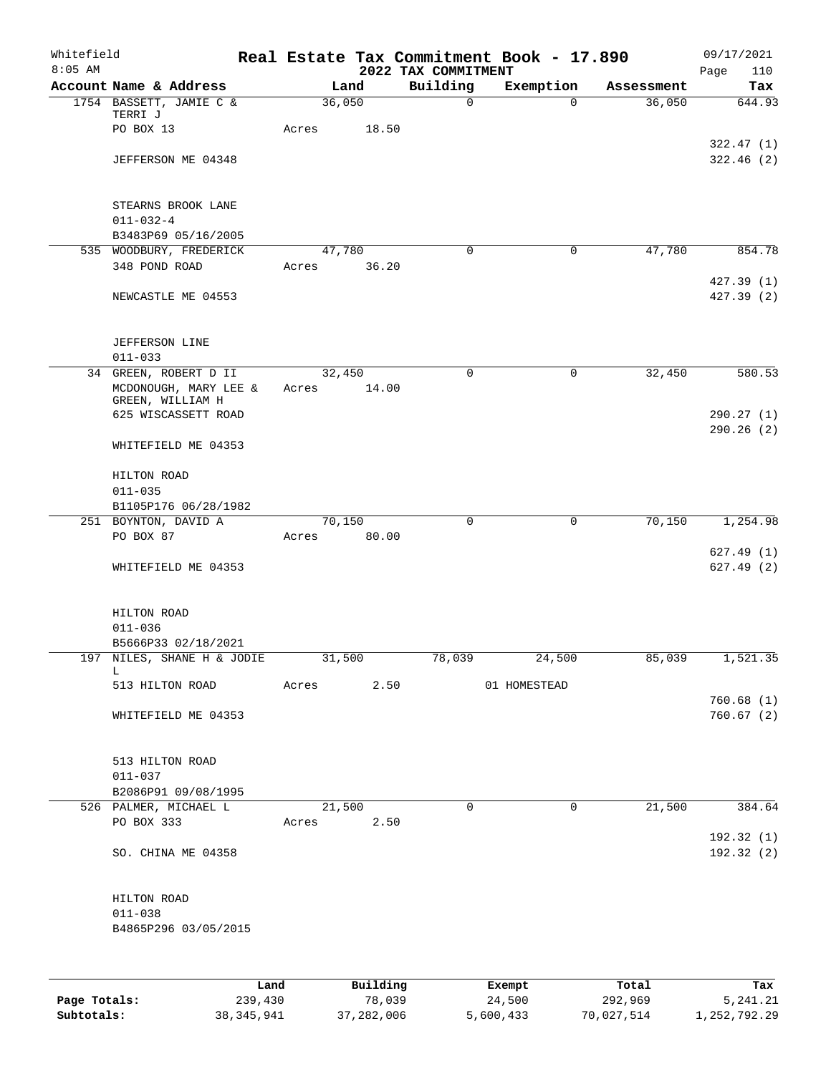| Whitefield<br>$8:05$ AM |                                              |       |            | 2022 TAX COMMITMENT | Real Estate Tax Commitment Book - 17.890 |            | 09/17/2021<br>Page<br>110 |
|-------------------------|----------------------------------------------|-------|------------|---------------------|------------------------------------------|------------|---------------------------|
|                         | Account Name & Address                       |       | Land       | Building            | Exemption                                | Assessment | Tax                       |
|                         | 1754 BASSETT, JAMIE C &                      |       | 36,050     | $\mathsf{O}$        | $\Omega$                                 | 36,050     | 644.93                    |
|                         | TERRI J                                      |       |            |                     |                                          |            |                           |
|                         | PO BOX 13                                    | Acres | 18.50      |                     |                                          |            |                           |
|                         | JEFFERSON ME 04348                           |       |            |                     |                                          |            | 322.47(1)<br>322.46(2)    |
|                         |                                              |       |            |                     |                                          |            |                           |
|                         |                                              |       |            |                     |                                          |            |                           |
|                         | STEARNS BROOK LANE                           |       |            |                     |                                          |            |                           |
|                         | $011 - 032 - 4$                              |       |            |                     |                                          |            |                           |
|                         | B3483P69 05/16/2005                          |       |            |                     |                                          |            |                           |
|                         | 535 WOODBURY, FREDERICK                      |       | 47,780     | $\mathbf 0$         | $\mathbf 0$                              | 47,780     | 854.78                    |
|                         | 348 POND ROAD                                | Acres | 36.20      |                     |                                          |            |                           |
|                         | NEWCASTLE ME 04553                           |       |            |                     |                                          |            | 427.39(1)<br>427.39 (2)   |
|                         |                                              |       |            |                     |                                          |            |                           |
|                         |                                              |       |            |                     |                                          |            |                           |
|                         | <b>JEFFERSON LINE</b>                        |       |            |                     |                                          |            |                           |
|                         | $011 - 033$                                  |       |            |                     |                                          |            |                           |
|                         | 34 GREEN, ROBERT D II                        |       | 32,450     | $\mathbf 0$         | 0                                        | 32,450     | 580.53                    |
|                         | MCDONOUGH, MARY LEE $\&$<br>GREEN, WILLIAM H | Acres | 14.00      |                     |                                          |            |                           |
|                         | 625 WISCASSETT ROAD                          |       |            |                     |                                          |            | 290.27(1)                 |
|                         |                                              |       |            |                     |                                          |            | 290.26(2)                 |
|                         | WHITEFIELD ME 04353                          |       |            |                     |                                          |            |                           |
|                         |                                              |       |            |                     |                                          |            |                           |
|                         | HILTON ROAD                                  |       |            |                     |                                          |            |                           |
|                         | $011 - 035$<br>B1105P176 06/28/1982          |       |            |                     |                                          |            |                           |
|                         | 251 BOYNTON, DAVID A                         |       | 70,150     | $\mathbf 0$         | 0                                        | 70,150     | 1,254.98                  |
|                         | PO BOX 87                                    | Acres | 80.00      |                     |                                          |            |                           |
|                         |                                              |       |            |                     |                                          |            | 627.49(1)                 |
|                         | WHITEFIELD ME 04353                          |       |            |                     |                                          |            | 627.49(2)                 |
|                         |                                              |       |            |                     |                                          |            |                           |
|                         |                                              |       |            |                     |                                          |            |                           |
|                         | HILTON ROAD<br>$011 - 036$                   |       |            |                     |                                          |            |                           |
|                         | B5666P33 02/18/2021                          |       |            |                     |                                          |            |                           |
|                         | 197 NILES, SHANE H & JODIE                   |       | 31,500     | 78,039              | 24,500                                   | 85,039     | 1,521.35                  |
|                         | L.                                           |       |            |                     |                                          |            |                           |
|                         | 513 HILTON ROAD                              |       | Acres 2.50 |                     | 01 HOMESTEAD                             |            |                           |
|                         |                                              |       |            |                     |                                          |            | 760.68(1)                 |
|                         | WHITEFIELD ME 04353                          |       |            |                     |                                          |            | 760.67(2)                 |
|                         |                                              |       |            |                     |                                          |            |                           |
|                         | 513 HILTON ROAD                              |       |            |                     |                                          |            |                           |
|                         | $011 - 037$                                  |       |            |                     |                                          |            |                           |
|                         | B2086P91 09/08/1995                          |       |            |                     |                                          |            |                           |
|                         | 526 PALMER, MICHAEL L                        |       | 21,500     | $\mathbf{0}$        | $\mathbf 0$                              | 21,500     | 384.64                    |
|                         | PO BOX 333                                   |       | Acres 2.50 |                     |                                          |            | 192.32(1)                 |
|                         | SO. CHINA ME 04358                           |       |            |                     |                                          |            | 192.32 (2)                |
|                         |                                              |       |            |                     |                                          |            |                           |
|                         |                                              |       |            |                     |                                          |            |                           |
|                         | HILTON ROAD                                  |       |            |                     |                                          |            |                           |
|                         | $011 - 038$                                  |       |            |                     |                                          |            |                           |
|                         | B4865P296 03/05/2015                         |       |            |                     |                                          |            |                           |
|                         |                                              |       |            |                     |                                          |            |                           |
|                         |                                              |       |            |                     |                                          |            |                           |
|                         |                                              | Land  | Building   |                     | Exempt                                   | Total      | Tax                       |

|              | ------       | ---------  | --------  | -----      | ----         |
|--------------|--------------|------------|-----------|------------|--------------|
| Page Totals: | 239,430      | 78,039     | 24,500    | 292,969    | 5, 241, 21   |
| Subtotals:   | 38, 345, 941 | 37,282,006 | 5,600,433 | 70,027,514 | 1,252,792.29 |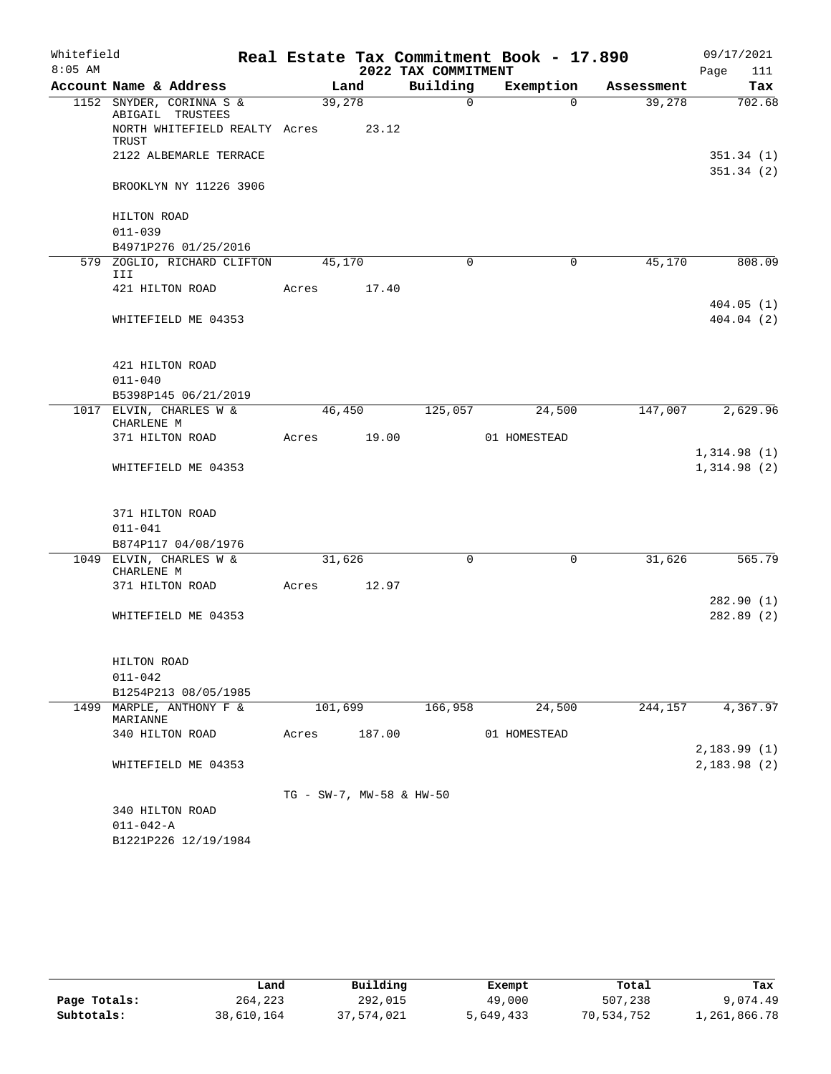| Whitefield |                            |                                              |                          |        |                     | Real Estate Tax Commitment Book - 17.890 |            | 09/17/2021                 |
|------------|----------------------------|----------------------------------------------|--------------------------|--------|---------------------|------------------------------------------|------------|----------------------------|
| $8:05$ AM  |                            |                                              |                          |        | 2022 TAX COMMITMENT |                                          |            | 111<br>Page                |
|            |                            | Account Name & Address                       |                          | Land   | Building            | Exemption                                | Assessment | Tax                        |
|            |                            | 1152 SNYDER, CORINNA S &<br>ABIGAIL TRUSTEES |                          | 39,278 | $\Omega$            | $\Omega$                                 | 39,278     | 702.68                     |
|            | TRUST                      | NORTH WHITEFIELD REALTY Acres                |                          | 23.12  |                     |                                          |            |                            |
|            |                            | 2122 ALBEMARLE TERRACE                       |                          |        |                     |                                          |            | 351.34(1)<br>351.34(2)     |
|            |                            | BROOKLYN NY 11226 3906                       |                          |        |                     |                                          |            |                            |
|            | HILTON ROAD<br>$011 - 039$ |                                              |                          |        |                     |                                          |            |                            |
|            |                            | B4971P276 01/25/2016                         |                          |        |                     |                                          |            |                            |
| 579        | III                        | ZOGLIO, RICHARD CLIFTON                      |                          | 45,170 | $\Omega$            | $\mathbf 0$                              | 45,170     | 808.09                     |
|            |                            | 421 HILTON ROAD                              | Acres                    | 17.40  |                     |                                          |            |                            |
|            |                            | WHITEFIELD ME 04353                          |                          |        |                     |                                          |            | 404.05(1)<br>404.04(2)     |
|            |                            | 421 HILTON ROAD                              |                          |        |                     |                                          |            |                            |
|            | $011 - 040$                |                                              |                          |        |                     |                                          |            |                            |
|            |                            | B5398P145 06/21/2019                         |                          |        |                     |                                          |            |                            |
|            | CHARLENE M                 | 1017 ELVIN, CHARLES W &                      |                          | 46,450 | 125,057             | 24,500                                   | 147,007    | 2,629.96                   |
|            |                            | 371 HILTON ROAD                              | Acres                    | 19.00  |                     | 01 HOMESTEAD                             |            |                            |
|            |                            | WHITEFIELD ME 04353                          |                          |        |                     |                                          |            | 1,314.98(1)<br>1,314.98(2) |
|            |                            | 371 HILTON ROAD                              |                          |        |                     |                                          |            |                            |
|            | $011 - 041$                |                                              |                          |        |                     |                                          |            |                            |
|            |                            | B874P117 04/08/1976                          |                          |        |                     |                                          |            |                            |
|            | CHARLENE M                 | 1049 ELVIN, CHARLES W &                      |                          | 31,626 | $\Omega$            | $\Omega$                                 | 31,626     | 565.79                     |
|            |                            | 371 HILTON ROAD                              | Acres                    | 12.97  |                     |                                          |            |                            |
|            |                            | WHITEFIELD ME 04353                          |                          |        |                     |                                          |            | 282.90(1)<br>282.89(2)     |
|            |                            |                                              |                          |        |                     |                                          |            |                            |
|            | HILTON ROAD<br>$011 - 042$ |                                              |                          |        |                     |                                          |            |                            |
|            |                            | B1254P213 08/05/1985                         |                          |        |                     |                                          |            |                            |
|            | MARIANNE                   | 1499 MARPLE, ANTHONY F &                     | 101,699                  |        | 166,958             | 24,500                                   | 244,157    | 4,367.97                   |
|            |                            | 340 HILTON ROAD                              | Acres                    | 187.00 |                     | 01 HOMESTEAD                             |            | 2,183.99(1)                |
|            |                            | WHITEFIELD ME 04353                          |                          |        |                     |                                          |            | 2,183.98(2)                |
|            |                            |                                              | TG - SW-7, MW-58 & HW-50 |        |                     |                                          |            |                            |
|            |                            | 340 HILTON ROAD                              |                          |        |                     |                                          |            |                            |
|            | $011 - 042 - A$            |                                              |                          |        |                     |                                          |            |                            |
|            |                            | B1221P226 12/19/1984                         |                          |        |                     |                                          |            |                            |

|              | Land       | Building   | Exempt    | Total      | Tax          |
|--------------|------------|------------|-----------|------------|--------------|
| Page Totals: | 264,223    | 292,015    | 49,000    | 507,238    | 9,074.49     |
| Subtotals:   | 38,610,164 | 37,574,021 | 5,649,433 | 70,534,752 | 1,261,866.78 |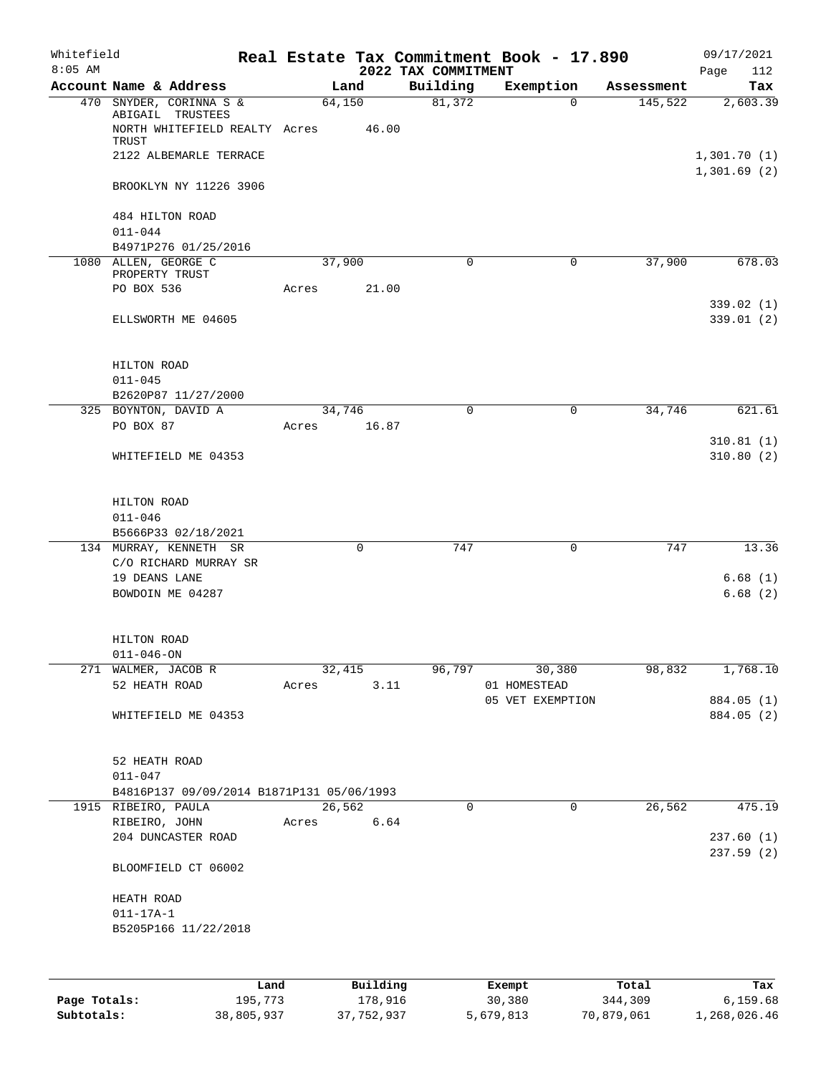| Whitefield |                                                   |       |             |                                 | Real Estate Tax Commitment Book - 17.890 |            | 09/17/2021               |
|------------|---------------------------------------------------|-------|-------------|---------------------------------|------------------------------------------|------------|--------------------------|
| $8:05$ AM  | Account Name & Address                            |       | Land        | 2022 TAX COMMITMENT<br>Building | Exemption                                | Assessment | Page<br>112<br>Tax       |
|            | 470 SNYDER, CORINNA S &                           |       | 64,150      | 81,372                          | $\Omega$                                 | 145,522    | 2,603.39                 |
|            | ABIGAIL TRUSTEES<br>NORTH WHITEFIELD REALTY Acres |       | 46.00       |                                 |                                          |            |                          |
|            | TRUST<br>2122 ALBEMARLE TERRACE                   |       |             |                                 |                                          |            | 1,301.70(1)              |
|            |                                                   |       |             |                                 |                                          |            | 1,301.69(2)              |
|            | BROOKLYN NY 11226 3906                            |       |             |                                 |                                          |            |                          |
|            | 484 HILTON ROAD                                   |       |             |                                 |                                          |            |                          |
|            | $011 - 044$<br>B4971P276 01/25/2016               |       |             |                                 |                                          |            |                          |
|            | 1080 ALLEN, GEORGE C                              |       | 37,900      | 0                               | 0                                        | 37,900     | 678.03                   |
|            | PROPERTY TRUST<br>PO BOX 536                      | Acres | 21.00       |                                 |                                          |            |                          |
|            |                                                   |       |             |                                 |                                          |            | 339.02(1)                |
|            | ELLSWORTH ME 04605                                |       |             |                                 |                                          |            | 339.01(2)                |
|            | HILTON ROAD                                       |       |             |                                 |                                          |            |                          |
|            | $011 - 045$                                       |       |             |                                 |                                          |            |                          |
|            | B2620P87 11/27/2000                               |       |             |                                 |                                          |            |                          |
|            | 325 BOYNTON, DAVID A                              |       | 34,746      | $\mathbf 0$                     | 0                                        | 34,746     | 621.61                   |
|            | PO BOX 87                                         | Acres | 16.87       |                                 |                                          |            | 310.81(1)                |
|            | WHITEFIELD ME 04353                               |       |             |                                 |                                          |            | 310.80(2)                |
|            | HILTON ROAD                                       |       |             |                                 |                                          |            |                          |
|            | $011 - 046$                                       |       |             |                                 |                                          |            |                          |
|            | B5666P33 02/18/2021                               |       |             |                                 |                                          |            |                          |
|            | 134 MURRAY, KENNETH SR                            |       | $\mathbf 0$ | 747                             | 0                                        | 747        | 13.36                    |
|            | C/O RICHARD MURRAY SR<br>19 DEANS LANE            |       |             |                                 |                                          |            | 6.68(1)                  |
|            | BOWDOIN ME 04287                                  |       |             |                                 |                                          |            | 6.68(2)                  |
|            |                                                   |       |             |                                 |                                          |            |                          |
|            | HILTON ROAD                                       |       |             |                                 |                                          |            |                          |
|            | $011 - 046 - ON$                                  |       |             |                                 |                                          |            |                          |
|            | 271 WALMER, JACOB R                               |       | 32,415      | 96,797                          | 30,380                                   | 98,832     | 1,768.10                 |
|            | 52 HEATH ROAD                                     | Acres | 3.11        |                                 | 01 HOMESTEAD                             |            |                          |
|            |                                                   |       |             |                                 | 05 VET EXEMPTION                         |            | 884.05 (1)<br>884.05 (2) |
|            | WHITEFIELD ME 04353                               |       |             |                                 |                                          |            |                          |
|            | 52 HEATH ROAD                                     |       |             |                                 |                                          |            |                          |
|            | $011 - 047$                                       |       |             |                                 |                                          |            |                          |
|            | B4816P137 09/09/2014 B1871P131 05/06/1993         |       |             |                                 |                                          |            |                          |
|            | 1915 RIBEIRO, PAULA                               |       | 26,562      | $\mathbf 0$                     | 0                                        | 26,562     | 475.19                   |
|            | RIBEIRO, JOHN<br>204 DUNCASTER ROAD               | Acres | 6.64        |                                 |                                          |            | 237.60(1)                |
|            |                                                   |       |             |                                 |                                          |            | 237.59(2)                |
|            | BLOOMFIELD CT 06002                               |       |             |                                 |                                          |            |                          |
|            | HEATH ROAD                                        |       |             |                                 |                                          |            |                          |
|            | $011 - 17A - 1$                                   |       |             |                                 |                                          |            |                          |
|            | B5205P166 11/22/2018                              |       |             |                                 |                                          |            |                          |
|            |                                                   |       |             |                                 |                                          |            |                          |
|            |                                                   | Land  | Building    |                                 | Exempt                                   | Total      | Tax                      |

|              | Land       | Building   | Exempt    | Total      | Tax          |
|--------------|------------|------------|-----------|------------|--------------|
| Page Totals: | 195,773    | 178,916    | 30,380    | 344,309    | 6,159.68     |
| Subtotals:   | 38,805,937 | 37,752,937 | 5,679,813 | 70,879,061 | 1,268,026.46 |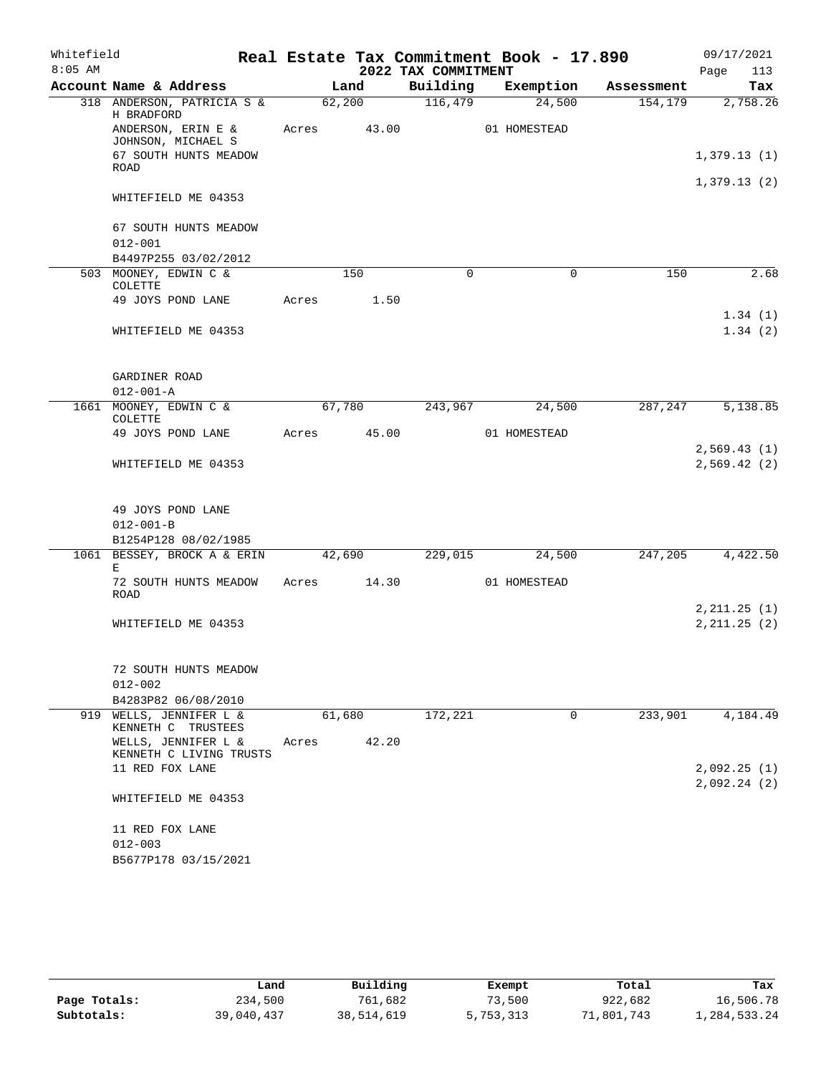| Whitefield |                                               |       |        |                     | Real Estate Tax Commitment Book - 17.890 |            | 09/17/2021                 |
|------------|-----------------------------------------------|-------|--------|---------------------|------------------------------------------|------------|----------------------------|
| $8:05$ AM  |                                               |       |        | 2022 TAX COMMITMENT |                                          |            | Page<br>113                |
|            | Account Name & Address                        |       | Land   | Building            | Exemption                                | Assessment | Tax                        |
|            | 318 ANDERSON, PATRICIA S &<br>H BRADFORD      |       | 62,200 | 116,479             | 24,500                                   | 154,179    | 2,758.26                   |
|            | ANDERSON, ERIN E &<br>JOHNSON, MICHAEL S      | Acres | 43.00  |                     | 01 HOMESTEAD                             |            |                            |
|            | 67 SOUTH HUNTS MEADOW<br><b>ROAD</b>          |       |        |                     |                                          |            | 1,379.13(1)                |
|            | WHITEFIELD ME 04353                           |       |        |                     |                                          |            | 1,379.13(2)                |
|            |                                               |       |        |                     |                                          |            |                            |
|            | 67 SOUTH HUNTS MEADOW                         |       |        |                     |                                          |            |                            |
|            | $012 - 001$                                   |       |        |                     |                                          |            |                            |
|            | B4497P255 03/02/2012                          |       | 150    | $\Omega$            | $\mathbf 0$                              |            | 2.68                       |
|            | 503 MOONEY, EDWIN C &<br><b>COLETTE</b>       |       |        |                     |                                          | 150        |                            |
|            | 49 JOYS POND LANE                             | Acres | 1.50   |                     |                                          |            | 1.34(1)                    |
|            | WHITEFIELD ME 04353                           |       |        |                     |                                          |            | 1.34(2)                    |
|            |                                               |       |        |                     |                                          |            |                            |
|            | GARDINER ROAD                                 |       |        |                     |                                          |            |                            |
|            | $012 - 001 - A$                               |       |        |                     |                                          |            |                            |
|            | 1661 MOONEY, EDWIN C &<br><b>COLETTE</b>      |       | 67,780 | 243,967             | 24,500                                   | 287,247    | 5,138.85                   |
|            | 49 JOYS POND LANE                             | Acres | 45.00  |                     | 01 HOMESTEAD                             |            |                            |
|            | WHITEFIELD ME 04353                           |       |        |                     |                                          |            | 2,569.43(1)<br>2,569.42(2) |
|            |                                               |       |        |                     |                                          |            |                            |
|            | 49 JOYS POND LANE                             |       |        |                     |                                          |            |                            |
|            | $012 - 001 - B$                               |       |        |                     |                                          |            |                            |
|            | B1254P128 08/02/1985                          |       |        |                     |                                          |            |                            |
|            | 1061 BESSEY, BROCK A & ERIN<br>Е              |       | 42,690 | 229,015             | 24,500                                   | 247,205    | 4,422.50                   |
|            | 72 SOUTH HUNTS MEADOW<br><b>ROAD</b>          | Acres | 14.30  |                     | 01 HOMESTEAD                             |            |                            |
|            |                                               |       |        |                     |                                          |            | 2, 211.25 (1)              |
|            | WHITEFIELD ME 04353                           |       |        |                     |                                          |            | 2, 211.25 (2)              |
|            |                                               |       |        |                     |                                          |            |                            |
|            | 72 SOUTH HUNTS MEADOW<br>$012 - 002$          |       |        |                     |                                          |            |                            |
|            | B4283P82 06/08/2010                           |       |        |                     |                                          |            |                            |
|            | 919 WELLS, JENNIFER L &<br>KENNETH C TRUSTEES |       | 61,680 | 172,221             | 0                                        | 233,901    | 4,184.49                   |
|            | WELLS, JENNIFER L &                           | Acres | 42.20  |                     |                                          |            |                            |
|            | KENNETH C LIVING TRUSTS                       |       |        |                     |                                          |            |                            |
|            | 11 RED FOX LANE                               |       |        |                     |                                          |            | 2,092.25(1)<br>2,092.24(2) |
|            | WHITEFIELD ME 04353                           |       |        |                     |                                          |            |                            |
|            | 11 RED FOX LANE                               |       |        |                     |                                          |            |                            |
|            | $012 - 003$                                   |       |        |                     |                                          |            |                            |
|            | B5677P178 03/15/2021                          |       |        |                     |                                          |            |                            |

|              | Land       | Building   | Exempt    | Total      | Tax          |
|--------------|------------|------------|-----------|------------|--------------|
| Page Totals: | 234,500    | 761,682    | 73,500    | 922,682    | 16,506.78    |
| Subtotals:   | 39,040,437 | 38,514,619 | 5,753,313 | 71,801,743 | 1,284,533.24 |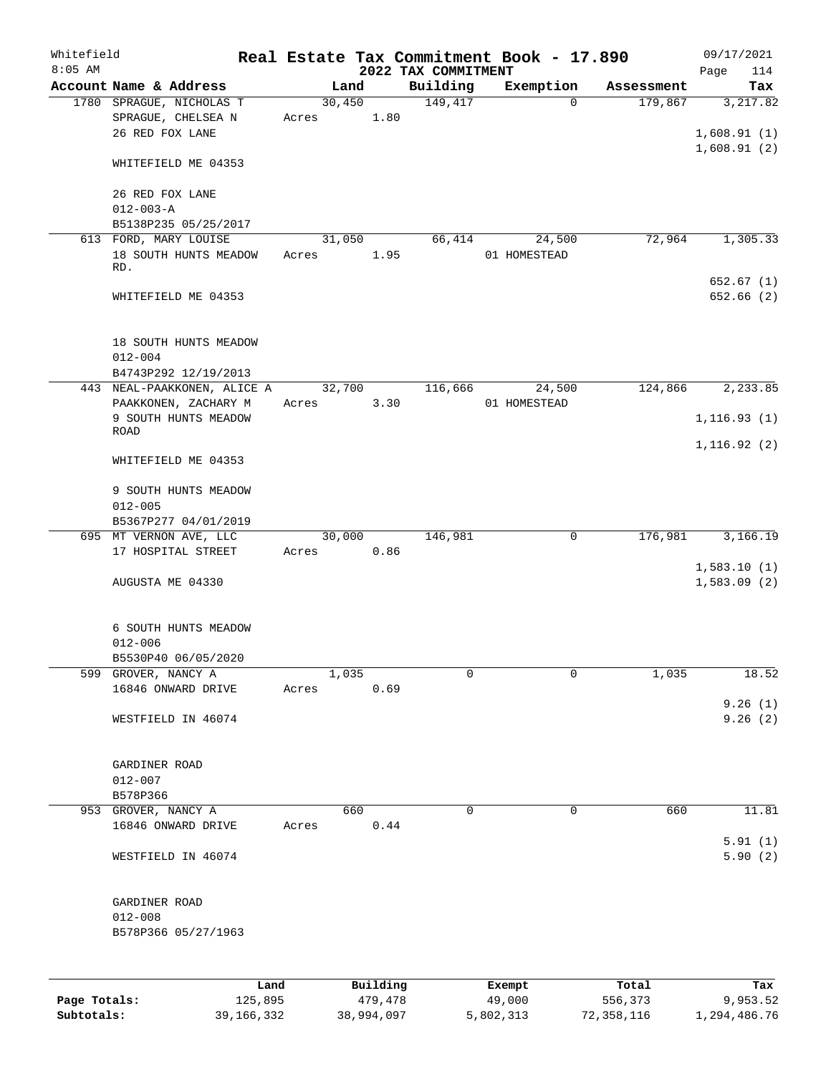| Whitefield<br>$8:05$ AM |                                                                   |       |                     | 2022 TAX COMMITMENT | Real Estate Tax Commitment Book - 17.890 |                  | 09/17/2021<br>114<br>Page |
|-------------------------|-------------------------------------------------------------------|-------|---------------------|---------------------|------------------------------------------|------------------|---------------------------|
|                         | Account Name & Address                                            |       | Land                | Building            | Exemption                                | Assessment       | Tax                       |
|                         | 1780 SPRAGUE, NICHOLAS T<br>SPRAGUE, CHELSEA N<br>26 RED FOX LANE | Acres | 30,450<br>1.80      | 149, 417            | $\Omega$                                 | 179,867          | 3,217.82<br>1,608.91(1)   |
|                         | WHITEFIELD ME 04353                                               |       |                     |                     |                                          |                  | 1,608.91(2)               |
|                         | 26 RED FOX LANE<br>$012 - 003 - A$                                |       |                     |                     |                                          |                  |                           |
|                         | B5138P235 05/25/2017<br>613 FORD, MARY LOUISE                     |       | 31,050              | 66,414              | 24,500                                   | 72,964           | 1,305.33                  |
|                         | 18 SOUTH HUNTS MEADOW<br>RD.                                      | Acres | 1.95                |                     | 01 HOMESTEAD                             |                  |                           |
|                         | WHITEFIELD ME 04353                                               |       |                     |                     |                                          |                  | 652.67(1)<br>652.66(2)    |
|                         | 18 SOUTH HUNTS MEADOW<br>$012 - 004$<br>B4743P292 12/19/2013      |       |                     |                     |                                          |                  |                           |
|                         | 443 NEAL-PAAKKONEN, ALICE A                                       |       | 32,700              | 116,666             | 24,500                                   | 124,866          | 2,233.85                  |
|                         | PAAKKONEN, ZACHARY M<br>9 SOUTH HUNTS MEADOW<br><b>ROAD</b>       | Acres | 3.30                |                     | 01 HOMESTEAD                             |                  | 1, 116.93(1)              |
|                         | WHITEFIELD ME 04353                                               |       |                     |                     |                                          |                  | 1, 116.92(2)              |
|                         | 9 SOUTH HUNTS MEADOW<br>$012 - 005$<br>B5367P277 04/01/2019       |       |                     |                     |                                          |                  |                           |
|                         | 695 MT VERNON AVE, LLC                                            |       | 30,000              | 146,981             | 0                                        | 176,981          | 3,166.19                  |
|                         | 17 HOSPITAL STREET                                                | Acres | 0.86                |                     |                                          |                  | 1,583.10(1)               |
|                         | AUGUSTA ME 04330                                                  |       |                     |                     |                                          |                  | 1,583.09(2)               |
|                         | 6 SOUTH HUNTS MEADOW<br>$012 - 006$                               |       |                     |                     |                                          |                  |                           |
|                         | B5530P40 06/05/2020                                               |       |                     |                     |                                          |                  |                           |
|                         | 599 GROVER, NANCY A<br>16846 ONWARD DRIVE                         | Acres | 1,035<br>0.69       | 0                   | $\Omega$                                 | 1,035            | 18.52                     |
|                         | WESTFIELD IN 46074                                                |       |                     |                     |                                          |                  | 9.26(1)<br>9.26(2)        |
|                         | GARDINER ROAD<br>$012 - 007$<br>B578P366                          |       |                     |                     |                                          |                  |                           |
|                         | 953 GROVER, NANCY A                                               |       | 660                 | 0                   | 0                                        | 660              | 11.81                     |
|                         | 16846 ONWARD DRIVE                                                | Acres | 0.44                |                     |                                          |                  | 5.91(1)                   |
|                         | WESTFIELD IN 46074                                                |       |                     |                     |                                          |                  | 5.90(2)                   |
|                         | GARDINER ROAD<br>$012 - 008$<br>B578P366 05/27/1963               |       |                     |                     |                                          |                  |                           |
|                         |                                                                   |       |                     |                     |                                          |                  |                           |
| Page Totals:            | Land<br>125,895                                                   |       | Building<br>479,478 |                     | Exempt<br>49,000                         | Total<br>556,373 | Tax<br>9,953.52           |

**Subtotals:** 39,166,332 38,994,097 5,802,313 72,358,116 1,294,486.76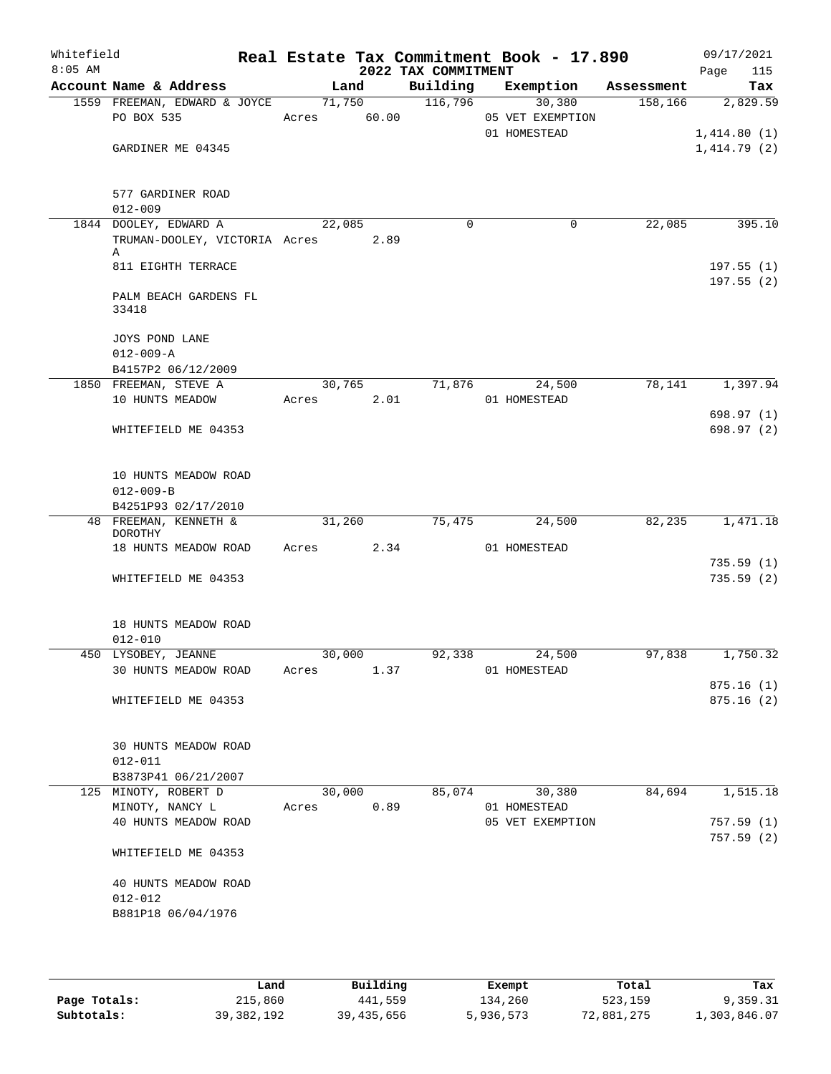| Whitefield<br>$8:05$ AM |                                             |             |        | 2022 TAX COMMITMENT | Real Estate Tax Commitment Book - 17.890 |          | 09/17/2021<br>115<br>Page |
|-------------------------|---------------------------------------------|-------------|--------|---------------------|------------------------------------------|----------|---------------------------|
|                         | Account Name & Address                      | Land        |        |                     | Building Exemption Assessment            |          | Tax                       |
|                         | 1559 FREEMAN, EDWARD & JOYCE                | 71,750      |        | 116,796             | 30,380                                   | 158, 166 | 2,829.59                  |
|                         | PO BOX 535                                  | Acres 60.00 |        |                     | 05 VET EXEMPTION                         |          |                           |
|                         |                                             |             |        |                     | 01 HOMESTEAD                             |          | 1,414.80(1)               |
|                         | GARDINER ME 04345                           |             |        |                     |                                          |          | 1,414.79(2)               |
|                         |                                             |             |        |                     |                                          |          |                           |
|                         |                                             |             |        |                     |                                          |          |                           |
|                         | 577 GARDINER ROAD                           |             |        |                     |                                          |          |                           |
|                         | $012 - 009$                                 |             |        |                     |                                          |          |                           |
|                         | 1844 DOOLEY, EDWARD A                       | 22,085      |        | $\mathbf 0$         | 0                                        | 22,085   | 395.10                    |
|                         | TRUMAN-DOOLEY, VICTORIA Acres 2.89<br>Α     |             |        |                     |                                          |          |                           |
|                         | 811 EIGHTH TERRACE                          |             |        |                     |                                          |          | 197.55(1)                 |
|                         |                                             |             |        |                     |                                          |          | 197.55(2)                 |
|                         | PALM BEACH GARDENS FL                       |             |        |                     |                                          |          |                           |
|                         | 33418                                       |             |        |                     |                                          |          |                           |
|                         |                                             |             |        |                     |                                          |          |                           |
|                         | JOYS POND LANE                              |             |        |                     |                                          |          |                           |
|                         | $012 - 009 - A$                             |             |        |                     |                                          |          |                           |
|                         | B4157P2 06/12/2009<br>1850 FREEMAN, STEVE A | 30,765      |        | 71,876              | 24,500                                   | 78,141   | 1,397.94                  |
|                         | 10 HUNTS MEADOW                             | Acres       | 2.01   |                     | 01 HOMESTEAD                             |          |                           |
|                         |                                             |             |        |                     |                                          |          | 698.97(1)                 |
|                         | WHITEFIELD ME 04353                         |             |        |                     |                                          |          | 698.97 (2)                |
|                         |                                             |             |        |                     |                                          |          |                           |
|                         |                                             |             |        |                     |                                          |          |                           |
|                         | 10 HUNTS MEADOW ROAD                        |             |        |                     |                                          |          |                           |
|                         | $012 - 009 - B$                             |             |        |                     |                                          |          |                           |
|                         | B4251P93 02/17/2010                         |             |        |                     |                                          |          |                           |
|                         | 48 FREEMAN, KENNETH &<br>DOROTHY            | 31,260      |        | 75,475              | 24,500                                   | 82,235   | 1,471.18                  |
|                         | 18 HUNTS MEADOW ROAD Acres 2.34             |             |        |                     | 01 HOMESTEAD                             |          |                           |
|                         |                                             |             |        |                     |                                          |          | 735.59(1)                 |
|                         | WHITEFIELD ME 04353                         |             |        |                     |                                          |          | 735.59(2)                 |
|                         |                                             |             |        |                     |                                          |          |                           |
|                         |                                             |             |        |                     |                                          |          |                           |
|                         | 18 HUNTS MEADOW ROAD                        |             |        |                     |                                          |          |                           |
|                         | $012 - 010$                                 |             |        |                     |                                          |          |                           |
|                         | 450 LYSOBEY, JEANNE                         | 30,000      |        | 92,338              | 24,500                                   | 97,838   | 1,750.32                  |
|                         | 30 HUNTS MEADOW ROAD Acres                  |             | 1.37   |                     | 01 HOMESTEAD                             |          |                           |
|                         | WHITEFIELD ME 04353                         |             |        |                     |                                          |          | 875.16(1)<br>875.16(2)    |
|                         |                                             |             |        |                     |                                          |          |                           |
|                         |                                             |             |        |                     |                                          |          |                           |
|                         | 30 HUNTS MEADOW ROAD                        |             |        |                     |                                          |          |                           |
|                         | $012 - 011$                                 |             |        |                     |                                          |          |                           |
|                         | B3873P41 06/21/2007                         |             |        |                     |                                          |          |                           |
|                         | 125 MINOTY, ROBERT D                        |             | 30,000 | 85,074              | 30,380                                   | 84,694   | 1,515.18                  |
|                         | MINOTY, NANCY L                             | Acres 0.89  |        |                     | 01 HOMESTEAD                             |          |                           |
|                         | 40 HUNTS MEADOW ROAD                        |             |        |                     | 05 VET EXEMPTION                         |          | 757.59(1)                 |
|                         |                                             |             |        |                     |                                          |          | 757.59(2)                 |
|                         | WHITEFIELD ME 04353                         |             |        |                     |                                          |          |                           |
|                         | 40 HUNTS MEADOW ROAD                        |             |        |                     |                                          |          |                           |
|                         | $012 - 012$                                 |             |        |                     |                                          |          |                           |
|                         | B881P18 06/04/1976                          |             |        |                     |                                          |          |                           |
|                         |                                             |             |        |                     |                                          |          |                           |
|                         |                                             |             |        |                     |                                          |          |                           |

|              | Land         | Building   | Exempt    | Total      | Tax          |
|--------------|--------------|------------|-----------|------------|--------------|
| Page Totals: | 215,860      | 441,559    | 134,260   | 523,159    | 9,359.31     |
| Subtotals:   | 39, 382, 192 | 39,435,656 | 5,936,573 | 72,881,275 | 1,303,846.07 |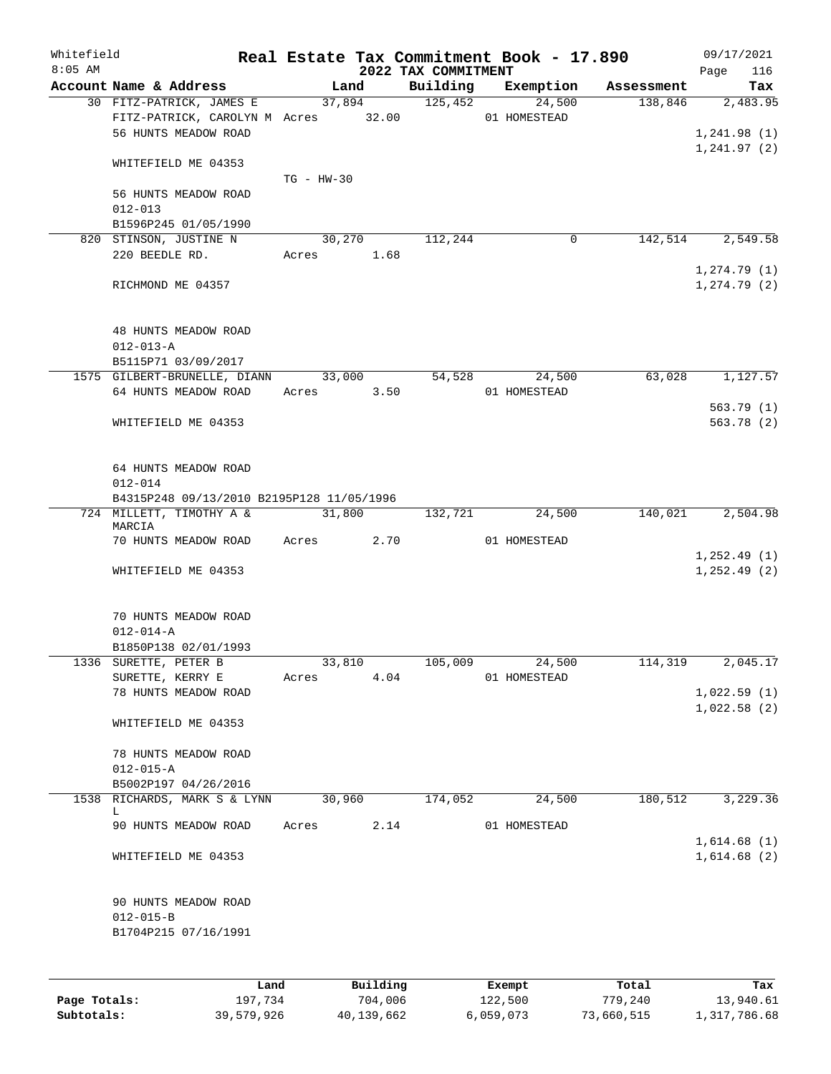| Whitefield<br>$8:05$ AM |                                                                                         |              |            | 2022 TAX COMMITMENT | Real Estate Tax Commitment Book - 17.890 |            | 09/17/2021<br>116<br>Page               |
|-------------------------|-----------------------------------------------------------------------------------------|--------------|------------|---------------------|------------------------------------------|------------|-----------------------------------------|
|                         | Account Name & Address                                                                  |              | Land       |                     | Building Exemption                       | Assessment | Tax                                     |
|                         | 30 FITZ-PATRICK, JAMES E<br>FITZ-PATRICK, CAROLYN M Acres 32.00<br>56 HUNTS MEADOW ROAD |              | 37,894     | 125,452             | 24,500<br>01 HOMESTEAD                   | 138,846    | 2,483.95<br>1,241.98(1)<br>1, 241.97(2) |
|                         | WHITEFIELD ME 04353                                                                     | $TG - HW-30$ |            |                     |                                          |            |                                         |
|                         | 56 HUNTS MEADOW ROAD<br>$012 - 013$                                                     |              |            |                     |                                          |            |                                         |
|                         | B1596P245 01/05/1990                                                                    |              |            |                     |                                          |            |                                         |
|                         | 820 STINSON, JUSTINE N<br>220 BEEDLE RD.                                                |              | 30,270     | 112,244             | $\mathbf 0$                              | 142,514    | 2,549.58                                |
|                         |                                                                                         |              | Acres 1.68 |                     |                                          |            | 1, 274.79(1)                            |
|                         | RICHMOND ME 04357                                                                       |              |            |                     |                                          |            | 1, 274.79(2)                            |
|                         | 48 HUNTS MEADOW ROAD<br>$012 - 013 - A$                                                 |              |            |                     |                                          |            |                                         |
|                         | B5115P71 03/09/2017                                                                     |              |            |                     |                                          |            |                                         |
|                         | 1575 GILBERT-BRUNELLE, DIANN                                                            |              | 33,000     | 54,528              | 24,500                                   | 63,028     | 1,127.57                                |
|                         | 64 HUNTS MEADOW ROAD                                                                    | Acres        | 3.50       |                     | 01 HOMESTEAD                             |            |                                         |
|                         |                                                                                         |              |            |                     |                                          |            | 563.79 (1)                              |
|                         | WHITEFIELD ME 04353                                                                     |              |            |                     |                                          |            | 563.78(2)                               |
|                         | 64 HUNTS MEADOW ROAD<br>$012 - 014$                                                     |              |            |                     |                                          |            |                                         |
|                         | B4315P248 09/13/2010 B2195P128 11/05/1996                                               |              |            |                     |                                          |            |                                         |
|                         | 724 MILLETT, TIMOTHY A &                                                                |              | 31,800     | 132,721             | 24,500                                   | 140,021    | 2,504.98                                |
|                         | MARCIA<br>70 HUNTS MEADOW ROAD                                                          | Acres        | 2.70       |                     | 01 HOMESTEAD                             |            |                                         |
|                         |                                                                                         |              |            |                     |                                          |            | 1, 252.49(1)                            |
|                         | WHITEFIELD ME 04353                                                                     |              |            |                     |                                          |            | 1, 252.49(2)                            |
|                         | 70 HUNTS MEADOW ROAD                                                                    |              |            |                     |                                          |            |                                         |
|                         | $012 - 014 - A$                                                                         |              |            |                     |                                          |            |                                         |
|                         | B1850P138 02/01/1993                                                                    |              |            |                     |                                          |            |                                         |
|                         | 1336 SURETTE, PETER B                                                                   |              | 33, 810    | 105,009             | 24,500                                   | 114, 319   | 2,045.17                                |
|                         | SURETTE, KERRY E                                                                        | Acres        | 4.04       |                     | 01 HOMESTEAD                             |            |                                         |
|                         | 78 HUNTS MEADOW ROAD                                                                    |              |            |                     |                                          |            | 1,022.59(1)                             |
|                         | WHITEFIELD ME 04353                                                                     |              |            |                     |                                          |            | 1,022.58(2)                             |
|                         | 78 HUNTS MEADOW ROAD                                                                    |              |            |                     |                                          |            |                                         |
|                         | $012 - 015 - A$                                                                         |              |            |                     |                                          |            |                                         |
|                         | B5002P197 04/26/2016                                                                    |              |            |                     |                                          |            |                                         |
| 1538                    | RICHARDS, MARK S & LYNN                                                                 |              | 30,960     | 174,052             | 24,500                                   | 180,512    | 3,229.36                                |
|                         | L                                                                                       |              |            |                     |                                          |            |                                         |
|                         | 90 HUNTS MEADOW ROAD                                                                    | Acres        | 2.14       |                     | 01 HOMESTEAD                             |            |                                         |
|                         | WHITEFIELD ME 04353                                                                     |              |            |                     |                                          |            | 1,614.68(1)<br>1,614.68(2)              |
|                         | 90 HUNTS MEADOW ROAD                                                                    |              |            |                     |                                          |            |                                         |
|                         | $012 - 015 - B$                                                                         |              |            |                     |                                          |            |                                         |
|                         | B1704P215 07/16/1991                                                                    |              |            |                     |                                          |            |                                         |
|                         | Land                                                                                    |              | Building   |                     | Exempt                                   | Total      | Tax                                     |
|                         |                                                                                         |              |            |                     |                                          |            |                                         |

**Page Totals:** 197,734 704,006 122,500 779,240 13,940.61 **Subtotals:** 39,579,926 40,139,662 6,059,073 73,660,515 1,317,786.68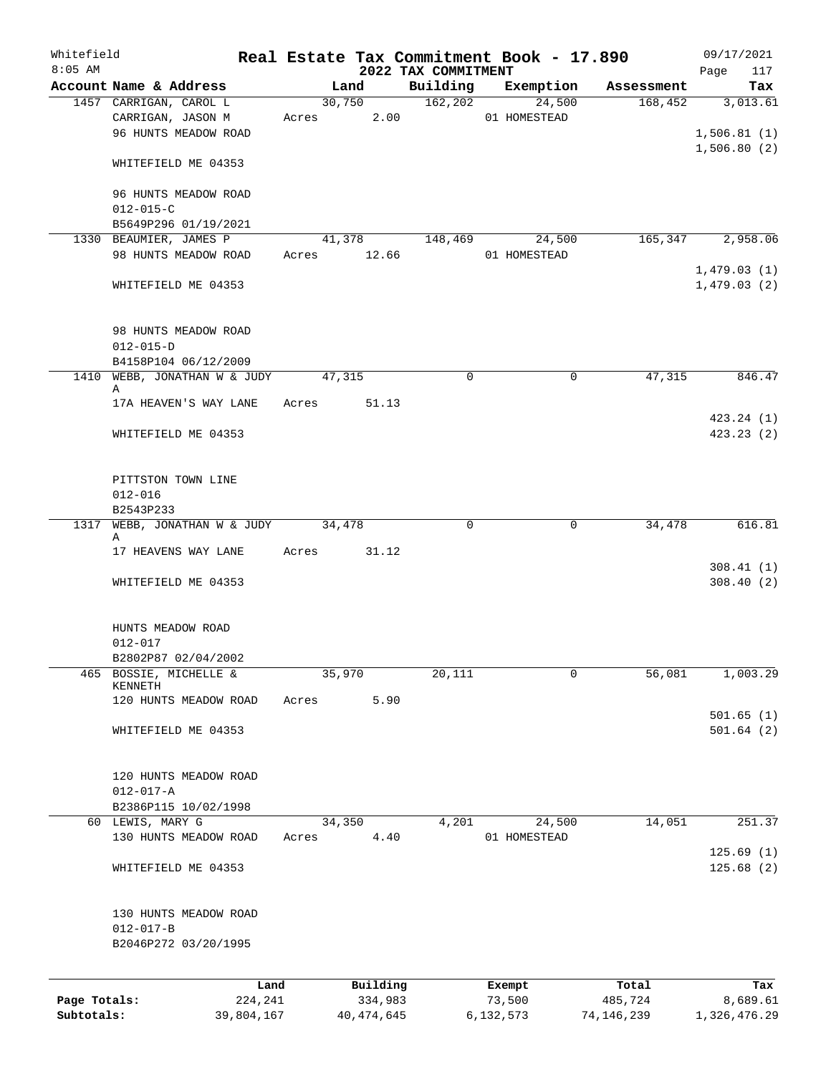| Whitefield<br>$8:05$ AM |                                                        |       |                | 2022 TAX COMMITMENT | Real Estate Tax Commitment Book - 17.890 |            | 09/17/2021                 |
|-------------------------|--------------------------------------------------------|-------|----------------|---------------------|------------------------------------------|------------|----------------------------|
|                         | Account Name & Address                                 |       | Land           | Building            | Exemption                                | Assessment | 117<br>Page<br>Tax         |
|                         | 1457 CARRIGAN, CAROL L                                 |       | 30,750         | 162, 202            | 24,500                                   | 168,452    | 3,013.61                   |
|                         | CARRIGAN, JASON M<br>96 HUNTS MEADOW ROAD              |       | Acres 2.00     |                     | 01 HOMESTEAD                             |            | 1,506.81(1)                |
|                         | WHITEFIELD ME 04353                                    |       |                |                     |                                          |            | 1,506.80(2)                |
|                         | 96 HUNTS MEADOW ROAD<br>$012 - 015 - C$                |       |                |                     |                                          |            |                            |
|                         | B5649P296 01/19/2021                                   |       |                |                     |                                          |            |                            |
|                         | 1330 BEAUMIER, JAMES P                                 |       | 41,378         | 148,469             | 24,500                                   | 165,347    | 2,958.06                   |
|                         | 98 HUNTS MEADOW ROAD                                   | Acres | 12.66          |                     | 01 HOMESTEAD                             |            |                            |
|                         | WHITEFIELD ME 04353                                    |       |                |                     |                                          |            | 1,479.03(1)<br>1,479.03(2) |
|                         | 98 HUNTS MEADOW ROAD<br>$012 - 015 - D$                |       |                |                     |                                          |            |                            |
|                         | B4158P104 06/12/2009                                   |       |                |                     |                                          |            |                            |
|                         | 1410 WEBB, JONATHAN W & JUDY<br>Α                      |       | 47,315         | 0                   | 0                                        | 47,315     | 846.47                     |
|                         | 17A HEAVEN'S WAY LANE                                  | Acres | 51.13          |                     |                                          |            |                            |
|                         |                                                        |       |                |                     |                                          |            | 423.24 (1)                 |
|                         | WHITEFIELD ME 04353                                    |       |                |                     |                                          |            | 423.23(2)                  |
|                         | PITTSTON TOWN LINE                                     |       |                |                     |                                          |            |                            |
|                         | $012 - 016$                                            |       |                |                     |                                          |            |                            |
|                         | B2543P233                                              |       |                |                     |                                          |            |                            |
| 1317                    | WEBB, JONATHAN W & JUDY                                |       | 34,478         | 0                   | 0                                        | 34,478     | 616.81                     |
|                         | Α<br>17 HEAVENS WAY LANE                               | Acres | 31.12          |                     |                                          |            |                            |
|                         |                                                        |       |                |                     |                                          |            | 308.41(1)                  |
|                         | WHITEFIELD ME 04353                                    |       |                |                     |                                          |            | 308.40(2)                  |
|                         | HUNTS MEADOW ROAD                                      |       |                |                     |                                          |            |                            |
|                         | 012-017                                                |       |                |                     |                                          |            |                            |
|                         | B2802P87 02/04/2002                                    |       |                |                     |                                          |            |                            |
| 465                     | BOSSIE, MICHELLE &<br>KENNETH<br>120 HUNTS MEADOW ROAD | Acres | 35,970<br>5.90 | 20,111              | 0                                        | 56,081     | 1,003.29                   |
|                         |                                                        |       |                |                     |                                          |            | 501.65(1)                  |
|                         | WHITEFIELD ME 04353                                    |       |                |                     |                                          |            | 501.64(2)                  |
|                         | 120 HUNTS MEADOW ROAD                                  |       |                |                     |                                          |            |                            |
|                         | $012 - 017 - A$                                        |       |                |                     |                                          |            |                            |
|                         | B2386P115 10/02/1998                                   |       |                |                     |                                          |            |                            |
|                         | 60 LEWIS, MARY G                                       |       | 34,350         | 4,201               | 24,500                                   | 14,051     | 251.37                     |
|                         | 130 HUNTS MEADOW ROAD                                  | Acres | 4.40           |                     | 01 HOMESTEAD                             |            | 125.69(1)                  |
|                         | WHITEFIELD ME 04353                                    |       |                |                     |                                          |            | 125.68(2)                  |
|                         | 130 HUNTS MEADOW ROAD                                  |       |                |                     |                                          |            |                            |
|                         | $012 - 017 - B$                                        |       |                |                     |                                          |            |                            |
|                         | B2046P272 03/20/1995                                   |       |                |                     |                                          |            |                            |
|                         | Land                                                   |       | Building       |                     | Exempt                                   | Total      | Tax                        |
| Page Totals:            | 224,241                                                |       | 334,983        |                     | 73,500                                   | 485,724    | 8,689.61                   |
| Subtotals:              | 39,804,167                                             |       | 40, 474, 645   |                     | 6,132,573                                | 74,146,239 | 1,326,476.29               |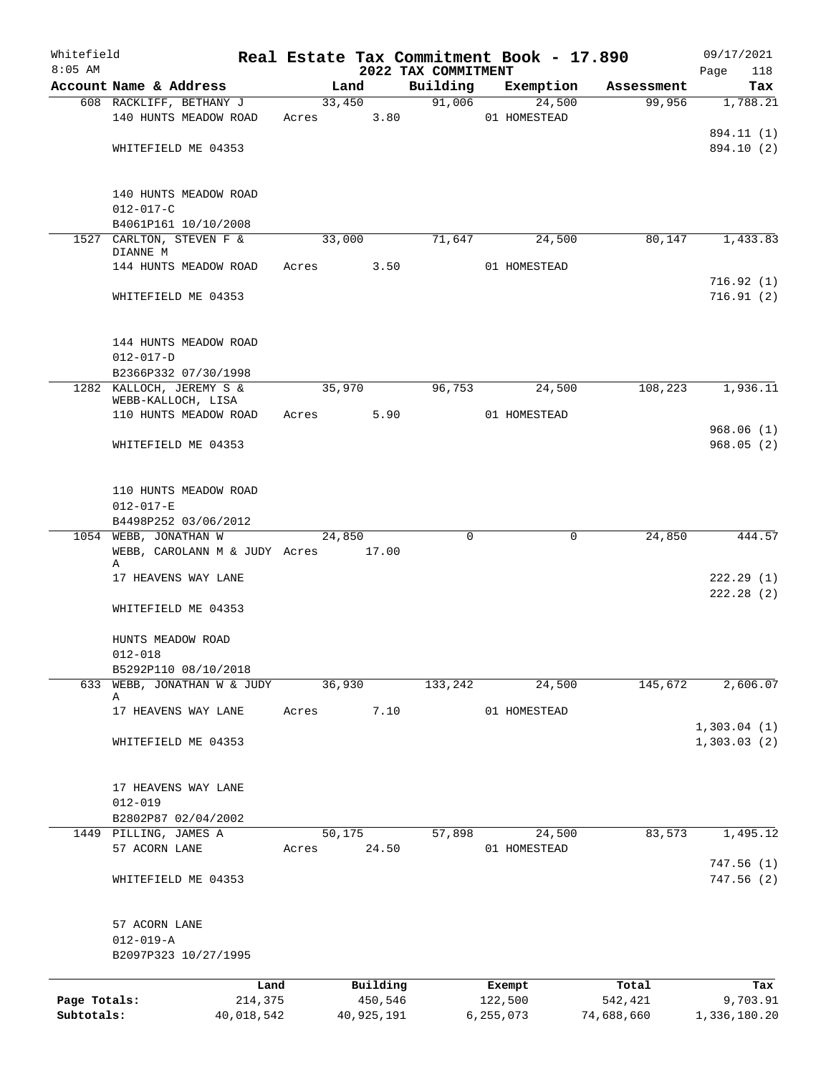| Whitefield<br>$8:05$ AM |                                                  |            |       |            | 2022 TAX COMMITMENT | Real Estate Tax Commitment Book - 17.890 |            | 09/17/2021         |
|-------------------------|--------------------------------------------------|------------|-------|------------|---------------------|------------------------------------------|------------|--------------------|
|                         | Account Name & Address                           |            |       | Land       | Building            | Exemption                                | Assessment | Page<br>118<br>Tax |
|                         | 608 RACKLIFF, BETHANY J                          |            |       | 33,450     | 91,006              | 24,500                                   | 99,956     | 1,788.21           |
|                         | 140 HUNTS MEADOW ROAD                            |            | Acres | 3.80       |                     | 01 HOMESTEAD                             |            |                    |
|                         |                                                  |            |       |            |                     |                                          |            | 894.11 (1)         |
|                         | WHITEFIELD ME 04353                              |            |       |            |                     |                                          |            | 894.10 (2)         |
|                         |                                                  |            |       |            |                     |                                          |            |                    |
|                         |                                                  |            |       |            |                     |                                          |            |                    |
|                         | 140 HUNTS MEADOW ROAD                            |            |       |            |                     |                                          |            |                    |
|                         | $012 - 017 - C$                                  |            |       |            |                     |                                          |            |                    |
|                         | B4061P161 10/10/2008<br>1527 CARLTON, STEVEN F & |            |       | 33,000     | 71,647              | 24,500                                   | 80,147     | 1,433.83           |
|                         | DIANNE M                                         |            |       |            |                     |                                          |            |                    |
|                         | 144 HUNTS MEADOW ROAD                            |            | Acres | 3.50       |                     | 01 HOMESTEAD                             |            |                    |
|                         |                                                  |            |       |            |                     |                                          |            | 716.92(1)          |
|                         | WHITEFIELD ME 04353                              |            |       |            |                     |                                          |            | 716.91(2)          |
|                         |                                                  |            |       |            |                     |                                          |            |                    |
|                         |                                                  |            |       |            |                     |                                          |            |                    |
|                         | 144 HUNTS MEADOW ROAD                            |            |       |            |                     |                                          |            |                    |
|                         | $012 - 017 - D$                                  |            |       |            |                     |                                          |            |                    |
|                         | B2366P332 07/30/1998<br>1282 KALLOCH, JEREMY S & |            |       | 35,970     | 96,753              | 24,500                                   | 108,223    | 1,936.11           |
|                         | WEBB-KALLOCH, LISA                               |            |       |            |                     |                                          |            |                    |
|                         | 110 HUNTS MEADOW ROAD                            |            | Acres | 5.90       |                     | 01 HOMESTEAD                             |            |                    |
|                         |                                                  |            |       |            |                     |                                          |            | 968.06(1)          |
|                         | WHITEFIELD ME 04353                              |            |       |            |                     |                                          |            | 968.05(2)          |
|                         |                                                  |            |       |            |                     |                                          |            |                    |
|                         |                                                  |            |       |            |                     |                                          |            |                    |
|                         | 110 HUNTS MEADOW ROAD                            |            |       |            |                     |                                          |            |                    |
|                         | $012 - 017 - E$                                  |            |       |            |                     |                                          |            |                    |
|                         | B4498P252 03/06/2012<br>1054 WEBB, JONATHAN W    |            |       | 24,850     | $\mathbf 0$         | 0                                        | 24,850     | 444.57             |
|                         | WEBB, CAROLANN M & JUDY Acres 17.00              |            |       |            |                     |                                          |            |                    |
|                         | Α                                                |            |       |            |                     |                                          |            |                    |
|                         | 17 HEAVENS WAY LANE                              |            |       |            |                     |                                          |            | 222.29(1)          |
|                         |                                                  |            |       |            |                     |                                          |            | 222.28(2)          |
|                         | WHITEFIELD ME 04353                              |            |       |            |                     |                                          |            |                    |
|                         |                                                  |            |       |            |                     |                                          |            |                    |
|                         | HUNTS MEADOW ROAD                                |            |       |            |                     |                                          |            |                    |
|                         | $012 - 018$<br>B5292P110 08/10/2018              |            |       |            |                     |                                          |            |                    |
|                         | 633 WEBB, JONATHAN W & JUDY                      |            |       | 36,930     | 133,242             | 24,500                                   | 145,672    | 2,606.07           |
|                         | Α                                                |            |       |            |                     |                                          |            |                    |
|                         | 17 HEAVENS WAY LANE                              |            | Acres | 7.10       |                     | 01 HOMESTEAD                             |            |                    |
|                         |                                                  |            |       |            |                     |                                          |            | 1,303.04(1)        |
|                         | WHITEFIELD ME 04353                              |            |       |            |                     |                                          |            | 1,303.03(2)        |
|                         |                                                  |            |       |            |                     |                                          |            |                    |
|                         |                                                  |            |       |            |                     |                                          |            |                    |
|                         | 17 HEAVENS WAY LANE<br>$012 - 019$               |            |       |            |                     |                                          |            |                    |
|                         | B2802P87 02/04/2002                              |            |       |            |                     |                                          |            |                    |
|                         | 1449 PILLING, JAMES A                            |            |       | 50,175     | 57,898              | 24,500                                   | 83,573     | 1,495.12           |
|                         | 57 ACORN LANE                                    |            | Acres | 24.50      |                     | 01 HOMESTEAD                             |            |                    |
|                         |                                                  |            |       |            |                     |                                          |            | 747.56(1)          |
|                         | WHITEFIELD ME 04353                              |            |       |            |                     |                                          |            | 747.56 (2)         |
|                         |                                                  |            |       |            |                     |                                          |            |                    |
|                         | 57 ACORN LANE                                    |            |       |            |                     |                                          |            |                    |
|                         | $012 - 019 - A$                                  |            |       |            |                     |                                          |            |                    |
|                         | B2097P323 10/27/1995                             |            |       |            |                     |                                          |            |                    |
|                         |                                                  | Land       |       | Building   |                     | Exempt                                   | Total      | Tax                |
| Page Totals:            |                                                  | 214,375    |       | 450,546    |                     | 122,500                                  | 542,421    | 9,703.91           |
| Subtotals:              |                                                  | 40,018,542 |       | 40,925,191 |                     | 6,255,073                                | 74,688,660 | 1,336,180.20       |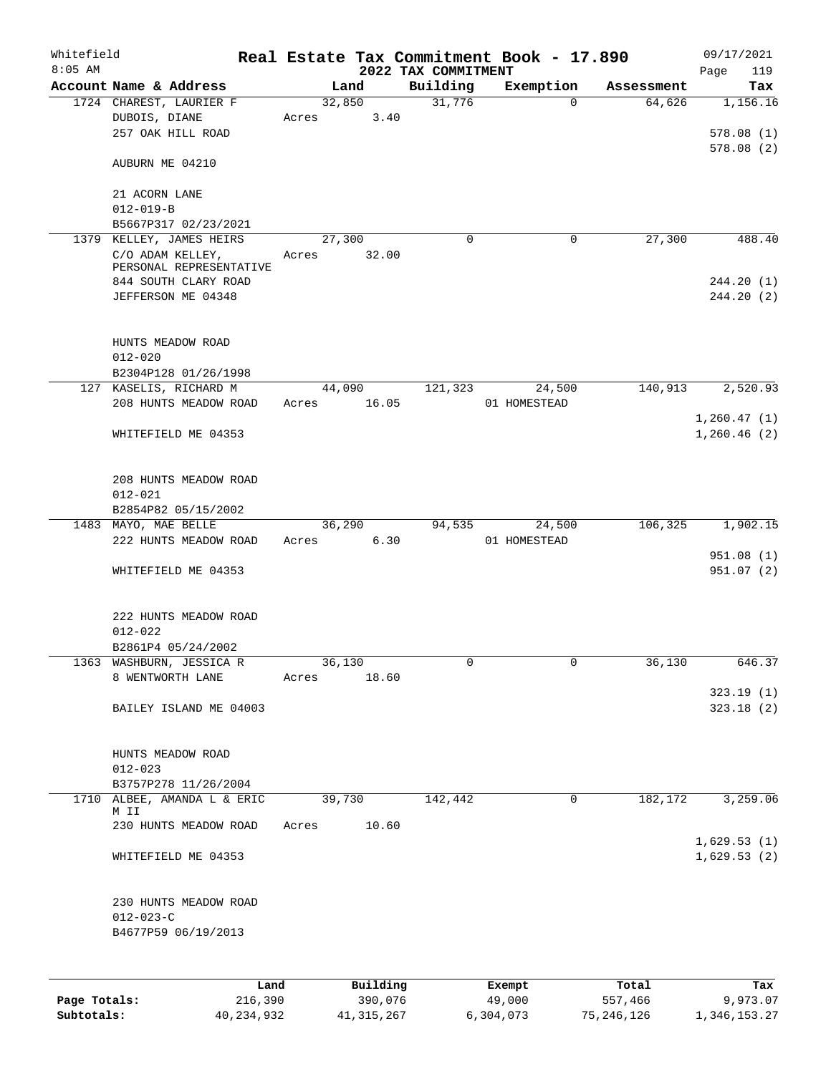| Whitefield<br>$8:05$ AM |                                                                 |                 |                | 2022 TAX COMMITMENT | Real Estate Tax Commitment Book - 17.890 |            | 09/17/2021<br>Page<br>119 |
|-------------------------|-----------------------------------------------------------------|-----------------|----------------|---------------------|------------------------------------------|------------|---------------------------|
|                         | Account Name & Address                                          |                 | Land           | Building            | Exemption                                | Assessment | Tax                       |
|                         | 1724 CHAREST, LAURIER F<br>DUBOIS, DIANE<br>257 OAK HILL ROAD   | 32,850<br>Acres | 3.40           | 31,776              | $\Omega$                                 | 64,626     | 1,156.16<br>578.08(1)     |
|                         | AUBURN ME 04210                                                 |                 |                |                     |                                          |            | 578.08(2)                 |
|                         | 21 ACORN LANE<br>$012 - 019 - B$                                |                 |                |                     |                                          |            |                           |
|                         | B5667P317 02/23/2021                                            |                 |                |                     |                                          |            |                           |
|                         | 1379 KELLEY, JAMES HEIRS                                        |                 | 27,300         | $\mathbf 0$         | 0                                        | 27,300     | 488.40                    |
|                         | C/O ADAM KELLEY,<br>PERSONAL REPRESENTATIVE                     | Acres           | 32.00          |                     |                                          |            |                           |
|                         | 844 SOUTH CLARY ROAD<br>JEFFERSON ME 04348                      |                 |                |                     |                                          |            | 244.20 (1)<br>244.20(2)   |
|                         |                                                                 |                 |                |                     |                                          |            |                           |
|                         | HUNTS MEADOW ROAD<br>$012 - 020$                                |                 |                |                     |                                          |            |                           |
|                         | B2304P128 01/26/1998                                            |                 |                |                     |                                          |            |                           |
|                         | 127 KASELIS, RICHARD M<br>208 HUNTS MEADOW ROAD                 |                 | 44,090         | 121,323             | 24,500                                   | 140,913    | 2,520.93                  |
|                         |                                                                 | Acres           | 16.05          |                     | 01 HOMESTEAD                             |            | 1, 260.47(1)              |
|                         | WHITEFIELD ME 04353                                             |                 |                |                     |                                          |            | 1,260.46(2)               |
|                         | 208 HUNTS MEADOW ROAD<br>$012 - 021$                            |                 |                |                     |                                          |            |                           |
|                         | B2854P82 05/15/2002                                             |                 |                |                     |                                          |            |                           |
|                         | 1483 MAYO, MAE BELLE<br>222 HUNTS MEADOW ROAD                   | Acres           | 36,290<br>6.30 | 94,535              | 24,500<br>01 HOMESTEAD                   | 106,325    | 1,902.15                  |
|                         | WHITEFIELD ME 04353                                             |                 |                |                     |                                          |            | 951.08(1)<br>951.07(2)    |
|                         | 222 HUNTS MEADOW ROAD<br>$012 - 022$<br>B2861P4 05/24/2002      |                 |                |                     |                                          |            |                           |
|                         | 1363 WASHBURN, JESSICA R                                        |                 | 36,130         | 0                   | 0                                        | 36,130     | 646.37                    |
|                         | 8 WENTWORTH LANE                                                | Acres           | 18.60          |                     |                                          |            |                           |
|                         | BAILEY ISLAND ME 04003                                          |                 |                |                     |                                          |            | 323.19(1)<br>323.18(2)    |
|                         |                                                                 |                 |                |                     |                                          |            |                           |
|                         | HUNTS MEADOW ROAD<br>$012 - 023$                                |                 |                |                     |                                          |            |                           |
|                         | B3757P278 11/26/2004                                            |                 |                |                     |                                          |            |                           |
| 1710                    | ALBEE, AMANDA L & ERIC<br>M II                                  |                 | 39,730         | 142,442             | 0                                        | 182,172    | 3,259.06                  |
|                         | 230 HUNTS MEADOW ROAD                                           | Acres           | 10.60          |                     |                                          |            | 1,629.53(1)               |
|                         | WHITEFIELD ME 04353                                             |                 |                |                     |                                          |            | 1,629.53(2)               |
|                         | 230 HUNTS MEADOW ROAD<br>$012 - 023 - C$<br>B4677P59 06/19/2013 |                 |                |                     |                                          |            |                           |
|                         |                                                                 |                 |                |                     |                                          |            |                           |
|                         | Land                                                            |                 | Building       |                     | Exempt                                   | Total      | Tax                       |
| Page Totals:            | 216,390                                                         |                 | 390,076        |                     | 49,000                                   | 557,466    | 9,973.07                  |

**Subtotals:** 40,234,932 41,315,267 6,304,073 75,246,126 1,346,153.27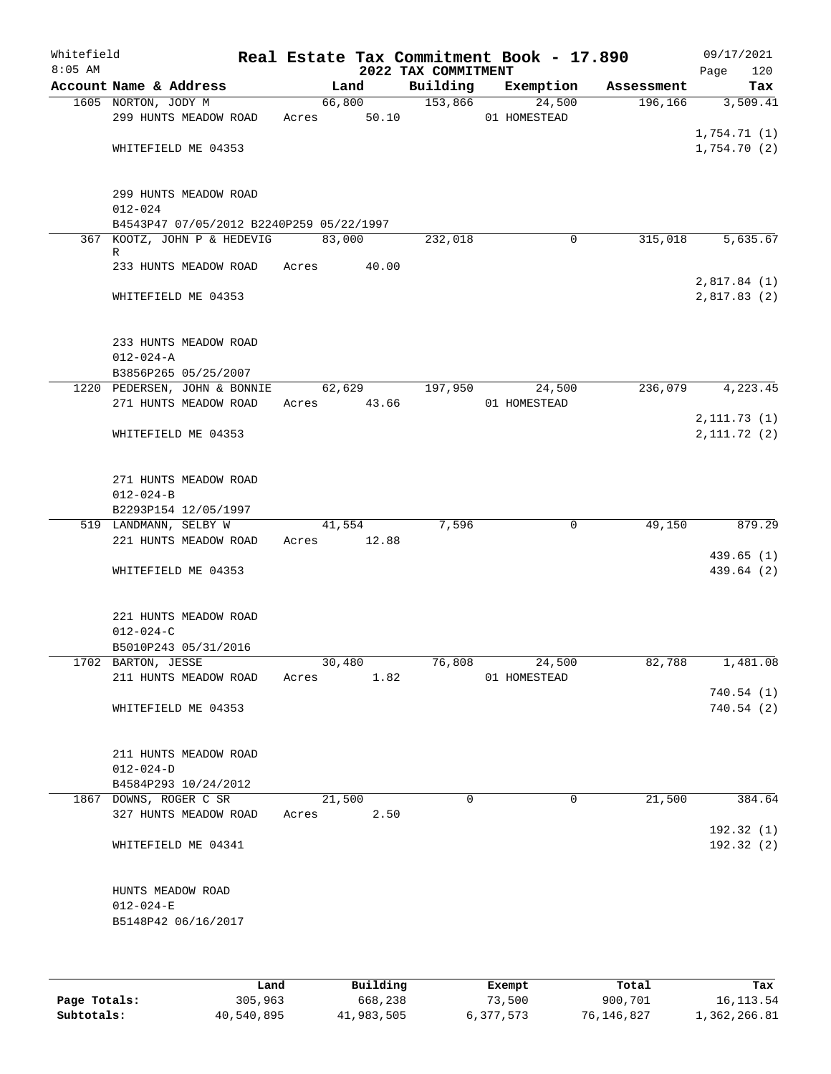| Whitefield<br>$8:05$ AM |                                                             |       |        |                       | 2022 TAX COMMITMENT | Real Estate Tax Commitment Book - 17.890 |            | 09/17/2021<br>Page          | 120        |
|-------------------------|-------------------------------------------------------------|-------|--------|-----------------------|---------------------|------------------------------------------|------------|-----------------------------|------------|
|                         | Account Name & Address                                      |       | Land   |                       | Building            | Exemption                                | Assessment |                             | Tax        |
|                         | 1605 NORTON, JODY M<br>299 HUNTS MEADOW ROAD                |       |        | 66,800<br>Acres 50.10 | 153,866             | 24,500<br>01 HOMESTEAD                   | 196,166    |                             | 3,509.41   |
|                         | WHITEFIELD ME 04353                                         |       |        |                       |                     |                                          |            | 1,754.71(1)<br>1,754.70(2)  |            |
|                         | 299 HUNTS MEADOW ROAD<br>$012 - 024$                        |       |        |                       |                     |                                          |            |                             |            |
|                         | B4543P47 07/05/2012 B2240P259 05/22/1997                    |       |        |                       |                     |                                          |            |                             |            |
|                         | 367 KOOTZ, JOHN P & HEDEVIG                                 |       | 83,000 |                       | 232,018             | 0                                        | 315,018    |                             | 5,635.67   |
|                         | R<br>233 HUNTS MEADOW ROAD                                  | Acres |        | 40.00                 |                     |                                          |            | 2,817.84(1)                 |            |
|                         | WHITEFIELD ME 04353                                         |       |        |                       |                     |                                          |            | 2,817.83(2)                 |            |
|                         | 233 HUNTS MEADOW ROAD<br>$012 - 024 - A$                    |       |        |                       |                     |                                          |            |                             |            |
|                         | B3856P265 05/25/2007                                        |       |        |                       |                     |                                          |            |                             |            |
|                         | 1220 PEDERSEN, JOHN & BONNIE<br>271 HUNTS MEADOW ROAD       | Acres | 62,629 | 43.66                 | 197,950             | 24,500<br>01 HOMESTEAD                   | 236,079    |                             | 4,223.45   |
|                         | WHITEFIELD ME 04353                                         |       |        |                       |                     |                                          |            | 2, 111.73(1)<br>2,111.72(2) |            |
|                         | 271 HUNTS MEADOW ROAD<br>$012 - 024 - B$                    |       |        |                       |                     |                                          |            |                             |            |
|                         | B2293P154 12/05/1997                                        |       |        |                       |                     |                                          |            |                             |            |
|                         | 519 LANDMANN, SELBY W                                       |       | 41,554 |                       | 7,596               | 0                                        | 49,150     |                             | 879.29     |
|                         | 221 HUNTS MEADOW ROAD                                       | Acres |        | 12.88                 |                     |                                          |            |                             |            |
|                         | WHITEFIELD ME 04353                                         |       |        |                       |                     |                                          |            | 439.65(1)                   | 439.64 (2) |
|                         | 221 HUNTS MEADOW ROAD<br>$012 - 024 - C$                    |       |        |                       |                     |                                          |            |                             |            |
|                         | B5010P243 05/31/2016                                        |       |        |                       |                     |                                          |            |                             |            |
|                         | 1702 BARTON, JESSE<br>211 HUNTS MEADOW ROAD                 | Acres | 30,480 | 1.82                  | 76,808              | 24,500<br>01 HOMESTEAD                   | 82,788     |                             | 1,481.08   |
|                         | WHITEFIELD ME 04353                                         |       |        |                       |                     |                                          |            | 740.54(1)<br>740.54(2)      |            |
|                         | 211 HUNTS MEADOW ROAD<br>$012 - 024 - D$                    |       |        |                       |                     |                                          |            |                             |            |
|                         | B4584P293 10/24/2012                                        |       |        |                       |                     |                                          |            |                             |            |
|                         | 1867 DOWNS, ROGER C SR<br>327 HUNTS MEADOW ROAD             | Acres | 21,500 | 2.50                  | 0                   | 0                                        | 21,500     |                             | 384.64     |
|                         | WHITEFIELD ME 04341                                         |       |        |                       |                     |                                          |            | 192.32 (1)                  | 192.32(2)  |
|                         | HUNTS MEADOW ROAD<br>$012 - 024 - E$<br>B5148P42 06/16/2017 |       |        |                       |                     |                                          |            |                             |            |
|                         |                                                             |       |        |                       |                     |                                          |            |                             |            |

|              | Land       | Building   | Exempt    | Total      | Tax          |
|--------------|------------|------------|-----------|------------|--------------|
| Page Totals: | 305,963    | 668,238    | 73,500    | 900,701    | 16,113.54    |
| Subtotals:   | 40,540,895 | 41,983,505 | 6,377,573 | 76,146,827 | 1,362,266.81 |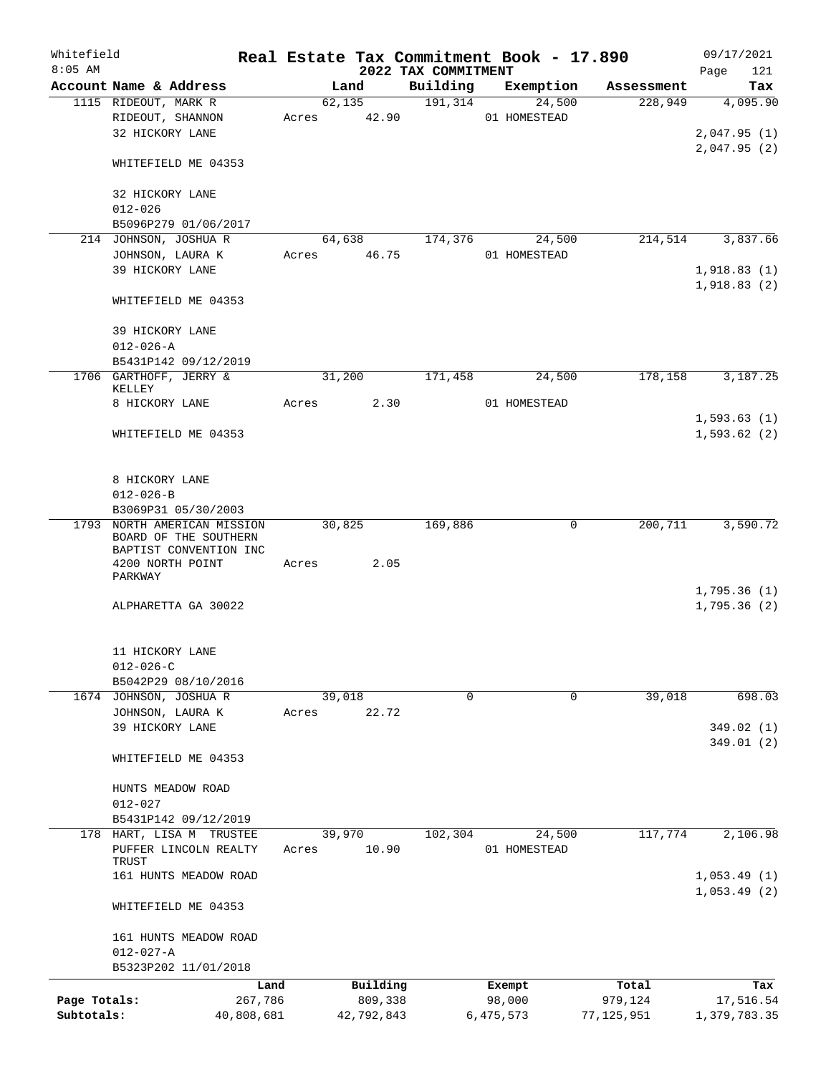| Whitefield<br>$8:05$ AM |                                                                           |            |       |                 | 2022 TAX COMMITMENT | Real Estate Tax Commitment Book - 17.890 |              | 09/17/2021<br>121<br>Page  |
|-------------------------|---------------------------------------------------------------------------|------------|-------|-----------------|---------------------|------------------------------------------|--------------|----------------------------|
|                         | Account Name & Address                                                    |            |       | Land            | Building            | Exemption                                | Assessment   | Tax                        |
|                         | 1115 RIDEOUT, MARK R<br>RIDEOUT, SHANNON                                  |            | Acres | 62,135<br>42.90 | 191, 314            | 24,500<br>01 HOMESTEAD                   | 228,949      | 4,095.90                   |
|                         | 32 HICKORY LANE                                                           |            |       |                 |                     |                                          |              | 2,047.95(1)<br>2,047.95(2) |
|                         | WHITEFIELD ME 04353                                                       |            |       |                 |                     |                                          |              |                            |
|                         | 32 HICKORY LANE<br>$012 - 026$                                            |            |       |                 |                     |                                          |              |                            |
|                         | B5096P279 01/06/2017                                                      |            |       |                 |                     |                                          |              |                            |
|                         | 214 JOHNSON, JOSHUA R                                                     |            |       | 64,638          | 174,376             | 24,500                                   | 214,514      | 3,837.66                   |
|                         | JOHNSON, LAURA K                                                          |            |       | Acres 46.75     |                     | 01 HOMESTEAD                             |              |                            |
|                         | 39 HICKORY LANE                                                           |            |       |                 |                     |                                          |              | 1,918.83(1)                |
|                         | WHITEFIELD ME 04353                                                       |            |       |                 |                     |                                          |              | 1,918.83(2)                |
|                         | 39 HICKORY LANE                                                           |            |       |                 |                     |                                          |              |                            |
|                         | $012 - 026 - A$<br>B5431P142 09/12/2019                                   |            |       |                 |                     |                                          |              |                            |
|                         | 1706 GARTHOFF, JERRY &                                                    |            |       | 31,200          | 171,458             | 24,500                                   | 178,158      | 3,187.25                   |
|                         | KELLEY<br>8 HICKORY LANE                                                  |            | Acres | 2.30            |                     | 01 HOMESTEAD                             |              |                            |
|                         |                                                                           |            |       |                 |                     |                                          |              | 1,593.63(1)                |
|                         | WHITEFIELD ME 04353                                                       |            |       |                 |                     |                                          |              | 1,593.62(2)                |
|                         | 8 HICKORY LANE                                                            |            |       |                 |                     |                                          |              |                            |
|                         | $012 - 026 - B$                                                           |            |       |                 |                     |                                          |              |                            |
|                         | B3069P31 05/30/2003                                                       |            |       |                 |                     |                                          |              |                            |
| 1793                    | NORTH AMERICAN MISSION<br>BOARD OF THE SOUTHERN<br>BAPTIST CONVENTION INC |            |       | 30,825          | 169,886             | $\Omega$                                 | 200,711      | 3,590.72                   |
|                         | 4200 NORTH POINT                                                          |            | Acres | 2.05            |                     |                                          |              |                            |
|                         | PARKWAY                                                                   |            |       |                 |                     |                                          |              |                            |
|                         | ALPHARETTA GA 30022                                                       |            |       |                 |                     |                                          |              | 1,795.36(1)<br>1,795.36(2) |
|                         | 11 HICKORY LANE<br>$012 - 026 - C$                                        |            |       |                 |                     |                                          |              |                            |
|                         | B5042P29 08/10/2016                                                       |            |       |                 |                     |                                          |              |                            |
|                         | 1674 JOHNSON, JOSHUA R                                                    |            |       | 39,018          | $\Omega$            | $\Omega$                                 | 39,018       | 698.03                     |
|                         | JOHNSON, LAURA K                                                          |            | Acres | 22.72           |                     |                                          |              |                            |
|                         | 39 HICKORY LANE                                                           |            |       |                 |                     |                                          |              | 349.02 (1)                 |
|                         | WHITEFIELD ME 04353                                                       |            |       |                 |                     |                                          |              | 349.01(2)                  |
|                         | HUNTS MEADOW ROAD                                                         |            |       |                 |                     |                                          |              |                            |
|                         | $012 - 027$                                                               |            |       |                 |                     |                                          |              |                            |
| 178                     | B5431P142 09/12/2019<br>HART, LISA M TRUSTEE                              |            |       | 39,970          | 102,304             | 24,500                                   | 117,774      | 2,106.98                   |
|                         | PUFFER LINCOLN REALTY<br>TRUST                                            |            | Acres | 10.90           |                     | 01 HOMESTEAD                             |              |                            |
|                         | 161 HUNTS MEADOW ROAD                                                     |            |       |                 |                     |                                          |              | 1,053.49(1)<br>1,053.49(2) |
|                         | WHITEFIELD ME 04353                                                       |            |       |                 |                     |                                          |              |                            |
|                         | 161 HUNTS MEADOW ROAD                                                     |            |       |                 |                     |                                          |              |                            |
|                         | $012 - 027 - A$<br>B5323P202 11/01/2018                                   |            |       |                 |                     |                                          |              |                            |
|                         |                                                                           | Land       |       | Building        |                     | Exempt                                   | Total        | Tax                        |
| Page Totals:            |                                                                           | 267,786    |       | 809,338         |                     | 98,000                                   | 979,124      | 17,516.54                  |
| Subtotals:              |                                                                           | 40,808,681 |       | 42,792,843      |                     | 6,475,573                                | 77, 125, 951 | 1,379,783.35               |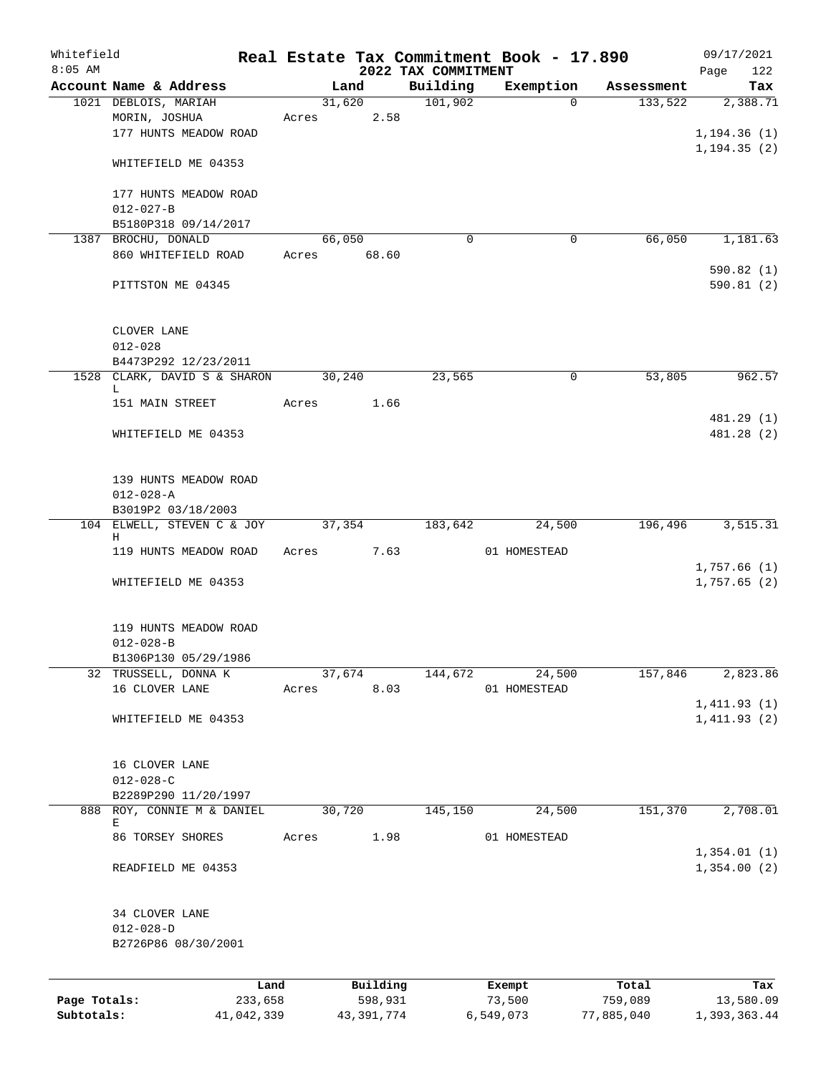| Whitefield   |                                              |                 |       |        |                     |                                 | Real Estate Tax Commitment Book - 17.890 |                  | 09/17/2021                   |
|--------------|----------------------------------------------|-----------------|-------|--------|---------------------|---------------------------------|------------------------------------------|------------------|------------------------------|
| $8:05$ AM    | Account Name & Address                       |                 |       | Land   |                     | 2022 TAX COMMITMENT<br>Building | Exemption                                | Assessment       | 122<br>Page<br>Tax           |
|              | 1021 DEBLOIS, MARIAH                         |                 |       | 31,620 |                     | 101,902                         | $\Omega$                                 | 133,522          | 2,388.71                     |
|              | MORIN, JOSHUA<br>177 HUNTS MEADOW ROAD       |                 | Acres |        | 2.58                |                                 |                                          |                  | 1, 194.36(1)<br>1, 194.35(2) |
|              | WHITEFIELD ME 04353                          |                 |       |        |                     |                                 |                                          |                  |                              |
|              | 177 HUNTS MEADOW ROAD<br>$012 - 027 - B$     |                 |       |        |                     |                                 |                                          |                  |                              |
|              | B5180P318 09/14/2017                         |                 |       |        |                     |                                 |                                          |                  |                              |
|              | 1387 BROCHU, DONALD<br>860 WHITEFIELD ROAD   |                 | Acres | 66,050 | 68.60               | $\Omega$                        | 0                                        | 66,050           | 1,181.63<br>590.82(1)        |
|              | PITTSTON ME 04345                            |                 |       |        |                     |                                 |                                          |                  | 590.81(2)                    |
|              | CLOVER LANE<br>$012 - 028$                   |                 |       |        |                     |                                 |                                          |                  |                              |
|              | B4473P292 12/23/2011                         |                 |       |        |                     |                                 |                                          |                  |                              |
|              | 1528 CLARK, DAVID S & SHARON<br>L            |                 |       | 30,240 |                     | 23,565                          | 0                                        | 53,805           | 962.57                       |
|              | 151 MAIN STREET                              |                 | Acres |        | 1.66                |                                 |                                          |                  |                              |
|              | WHITEFIELD ME 04353                          |                 |       |        |                     |                                 |                                          |                  | 481.29 (1)<br>481.28 (2)     |
|              | 139 HUNTS MEADOW ROAD<br>$012 - 028 - A$     |                 |       |        |                     |                                 |                                          |                  |                              |
|              | B3019P2 03/18/2003                           |                 |       |        |                     |                                 |                                          |                  |                              |
|              | 104 ELWELL, STEVEN C & JOY<br>Η              |                 |       | 37,354 |                     | 183,642                         | 24,500                                   | 196,496          | 3,515.31                     |
|              | 119 HUNTS MEADOW ROAD                        |                 | Acres |        | 7.63                |                                 | 01 HOMESTEAD                             |                  | 1,757.66(1)                  |
|              | WHITEFIELD ME 04353                          |                 |       |        |                     |                                 |                                          |                  | 1,757.65(2)                  |
|              | 119 HUNTS MEADOW ROAD<br>$012 - 028 - B$     |                 |       |        |                     |                                 |                                          |                  |                              |
|              | B1306P130 05/29/1986<br>32 TRUSSELL, DONNA K |                 |       | 37,674 |                     | 144,672                         | 24,500                                   | 157,846          | 2,823.86                     |
|              | 16 CLOVER LANE                               |                 | Acres |        | 8.03                |                                 | 01 HOMESTEAD                             |                  |                              |
|              | WHITEFIELD ME 04353                          |                 |       |        |                     |                                 |                                          |                  | 1,411.93(1)<br>1,411.93(2)   |
|              | 16 CLOVER LANE<br>$012 - 028 - C$            |                 |       |        |                     |                                 |                                          |                  |                              |
|              | B2289P290 11/20/1997                         |                 |       |        |                     |                                 |                                          |                  |                              |
|              | 888 ROY, CONNIE M & DANIEL<br>E.             |                 |       | 30,720 |                     | 145,150                         | 24,500                                   | 151,370          | 2,708.01                     |
|              | 86 TORSEY SHORES                             |                 | Acres |        | 1.98                |                                 | 01 HOMESTEAD                             |                  | 1,354.01(1)                  |
|              | READFIELD ME 04353                           |                 |       |        |                     |                                 |                                          |                  | 1,354.00(2)                  |
|              | 34 CLOVER LANE<br>$012 - 028 - D$            |                 |       |        |                     |                                 |                                          |                  |                              |
|              | B2726P86 08/30/2001                          |                 |       |        |                     |                                 |                                          |                  |                              |
| Page Totals: |                                              | Land<br>233,658 |       |        | Building<br>598,931 |                                 | Exempt<br>73,500                         | Total<br>759,089 | Tax<br>13,580.09             |
|              |                                              |                 |       |        |                     |                                 |                                          |                  |                              |

**Subtotals:** 41,042,339 43,391,774 6,549,073 77,885,040 1,393,363.44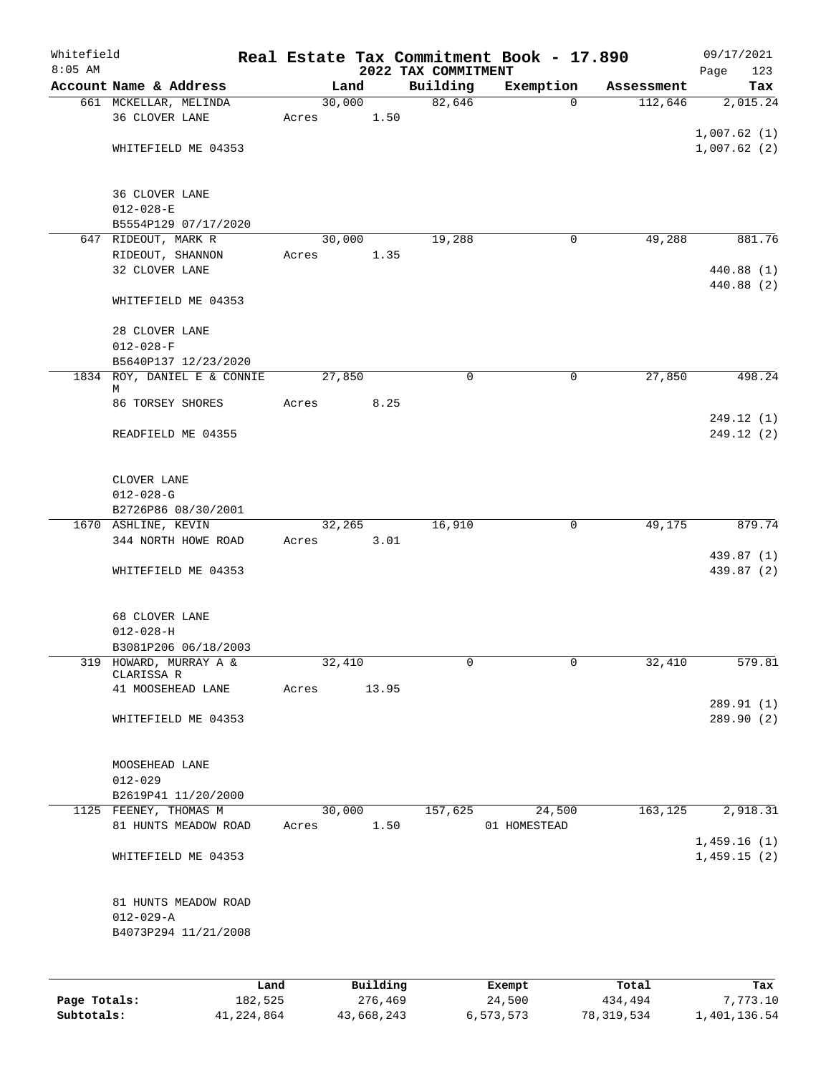| Whitefield<br>$8:05$ AM |                                                |      |       |        |          | 2022 TAX COMMITMENT | Real Estate Tax Commitment Book - 17.890 |            | 09/17/2021<br>123<br>Page |
|-------------------------|------------------------------------------------|------|-------|--------|----------|---------------------|------------------------------------------|------------|---------------------------|
|                         | Account Name & Address                         |      |       | Land   |          | Building            | Exemption                                | Assessment | Tax                       |
|                         | 661 MCKELLAR, MELINDA                          |      |       | 30,000 |          | 82,646              | $\mathbf 0$                              | 112,646    | 2,015.24                  |
|                         | 36 CLOVER LANE                                 |      | Acres |        | 1.50     |                     |                                          |            |                           |
|                         |                                                |      |       |        |          |                     |                                          |            | 1,007.62(1)               |
|                         | WHITEFIELD ME 04353                            |      |       |        |          |                     |                                          |            | 1,007.62(2)               |
|                         |                                                |      |       |        |          |                     |                                          |            |                           |
|                         | 36 CLOVER LANE                                 |      |       |        |          |                     |                                          |            |                           |
|                         | $012 - 028 - E$                                |      |       |        |          |                     |                                          |            |                           |
|                         | B5554P129 07/17/2020                           |      |       |        |          |                     |                                          |            |                           |
|                         | 647 RIDEOUT, MARK R                            |      |       | 30,000 |          | 19,288              | $\mathbf 0$                              | 49,288     | 881.76                    |
|                         | RIDEOUT, SHANNON                               |      | Acres |        | 1.35     |                     |                                          |            |                           |
|                         | 32 CLOVER LANE                                 |      |       |        |          |                     |                                          |            | 440.88 (1)                |
|                         |                                                |      |       |        |          |                     |                                          |            | 440.88 (2)                |
|                         | WHITEFIELD ME 04353                            |      |       |        |          |                     |                                          |            |                           |
|                         | 28 CLOVER LANE                                 |      |       |        |          |                     |                                          |            |                           |
|                         | $012 - 028 - F$                                |      |       |        |          |                     |                                          |            |                           |
|                         | B5640P137 12/23/2020                           |      |       |        |          |                     |                                          |            |                           |
|                         | 1834 ROY, DANIEL E & CONNIE                    |      |       | 27,850 |          | 0                   | 0                                        | 27,850     | 498.24                    |
|                         | М                                              |      |       |        |          |                     |                                          |            |                           |
|                         | 86 TORSEY SHORES                               |      | Acres |        | 8.25     |                     |                                          |            |                           |
|                         | READFIELD ME 04355                             |      |       |        |          |                     |                                          |            | 249.12(1)<br>249.12(2)    |
|                         |                                                |      |       |        |          |                     |                                          |            |                           |
|                         |                                                |      |       |        |          |                     |                                          |            |                           |
|                         | CLOVER LANE                                    |      |       |        |          |                     |                                          |            |                           |
|                         | $012 - 028 - G$                                |      |       |        |          |                     |                                          |            |                           |
|                         | B2726P86 08/30/2001                            |      |       |        |          |                     |                                          |            |                           |
|                         | 1670 ASHLINE, KEVIN                            |      |       | 32,265 |          | 16,910              | 0                                        | 49,175     | 879.74                    |
|                         | 344 NORTH HOWE ROAD                            |      | Acres |        | 3.01     |                     |                                          |            | 439.87 (1)                |
|                         | WHITEFIELD ME 04353                            |      |       |        |          |                     |                                          |            | 439.87 (2)                |
|                         |                                                |      |       |        |          |                     |                                          |            |                           |
|                         |                                                |      |       |        |          |                     |                                          |            |                           |
|                         | 68 CLOVER LANE                                 |      |       |        |          |                     |                                          |            |                           |
|                         | $012 - 028 - H$                                |      |       |        |          |                     |                                          |            |                           |
|                         | B3081P206 06/18/2003<br>319 HOWARD, MURRAY A & |      |       |        |          | 0                   | 0                                        |            |                           |
|                         | CLARISSA R                                     |      |       | 32,410 |          |                     |                                          | 32,410     | 579.81                    |
|                         | 41 MOOSEHEAD LANE                              |      | Acres |        | 13.95    |                     |                                          |            |                           |
|                         |                                                |      |       |        |          |                     |                                          |            | 289.91 (1)                |
|                         | WHITEFIELD ME 04353                            |      |       |        |          |                     |                                          |            | 289.90 (2)                |
|                         |                                                |      |       |        |          |                     |                                          |            |                           |
|                         | MOOSEHEAD LANE                                 |      |       |        |          |                     |                                          |            |                           |
|                         | $012 - 029$                                    |      |       |        |          |                     |                                          |            |                           |
|                         | B2619P41 11/20/2000                            |      |       |        |          |                     |                                          |            |                           |
|                         | 1125 FEENEY, THOMAS M                          |      |       | 30,000 |          | 157,625             | 24,500                                   | 163,125    | 2,918.31                  |
|                         | 81 HUNTS MEADOW ROAD                           |      | Acres |        | 1.50     |                     | 01 HOMESTEAD                             |            |                           |
|                         |                                                |      |       |        |          |                     |                                          |            | 1,459.16(1)               |
|                         | WHITEFIELD ME 04353                            |      |       |        |          |                     |                                          |            | 1,459.15(2)               |
|                         |                                                |      |       |        |          |                     |                                          |            |                           |
|                         | 81 HUNTS MEADOW ROAD                           |      |       |        |          |                     |                                          |            |                           |
|                         | $012 - 029 - A$                                |      |       |        |          |                     |                                          |            |                           |
|                         | B4073P294 11/21/2008                           |      |       |        |          |                     |                                          |            |                           |
|                         |                                                |      |       |        |          |                     |                                          |            |                           |
|                         |                                                |      |       |        |          |                     |                                          |            |                           |
|                         |                                                | Land |       |        | Building |                     | Exempt                                   | Total      | Tax                       |

|              | .          | <u>DULLULUM</u> | <b>BACINDO</b> | ----       | $-0.0$       |
|--------------|------------|-----------------|----------------|------------|--------------|
| Page Totals: | 182,525    | 276,469         | 24,500         | 434,494    | 7,773.10     |
| Subtotals:   | 41,224,864 | 43,668,243      | 6,573,573      | 78,319,534 | 1,401,136.54 |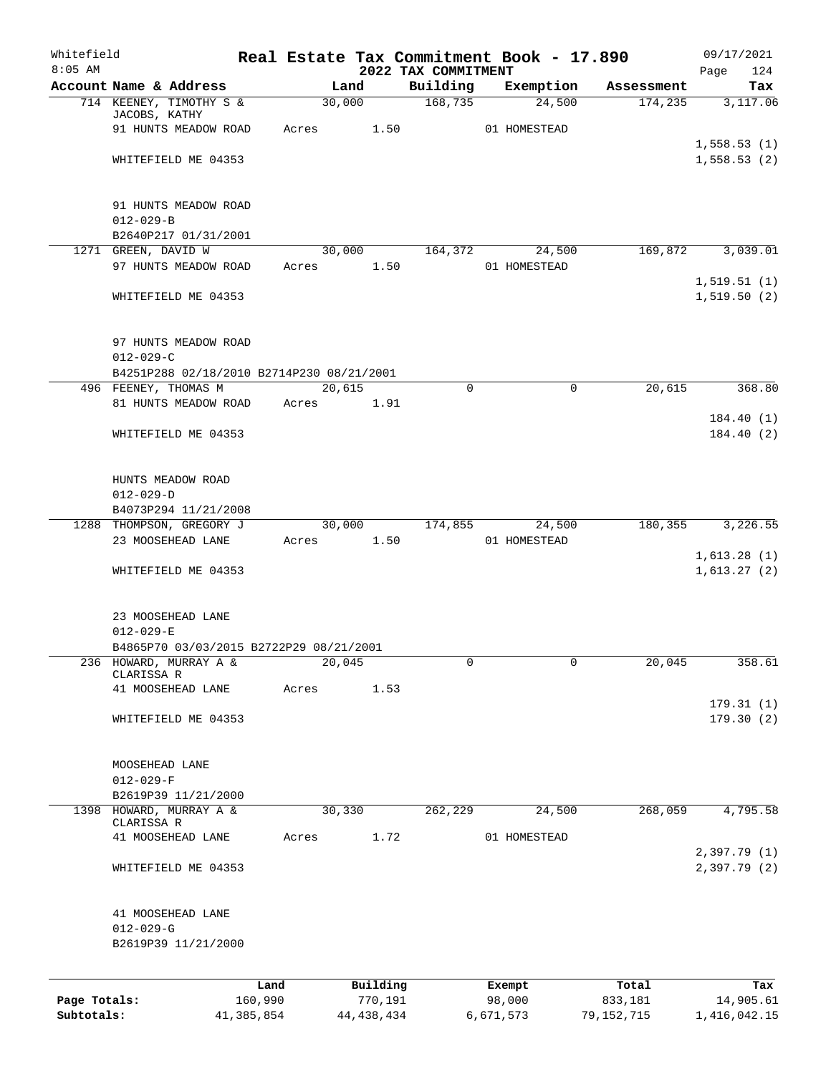| Whitefield<br>$8:05$ AM |                                                  |         |                | 2022 TAX COMMITMENT | Real Estate Tax Commitment Book - 17.890 |            | 09/17/2021<br>124<br>Page    |
|-------------------------|--------------------------------------------------|---------|----------------|---------------------|------------------------------------------|------------|------------------------------|
|                         | Account Name & Address                           |         | Land           | Building            | Exemption                                | Assessment | Tax                          |
|                         | 714 KEENEY, TIMOTHY S &                          |         | 30,000         | 168,735             | 24,500                                   | 174,235    | 3,117.06                     |
|                         | JACOBS, KATHY<br>91 HUNTS MEADOW ROAD            | Acres   | 1.50           |                     | 01 HOMESTEAD                             |            |                              |
|                         |                                                  |         |                |                     |                                          |            | 1,558.53(1)                  |
|                         | WHITEFIELD ME 04353                              |         |                |                     |                                          |            | 1,558.53(2)                  |
|                         | 91 HUNTS MEADOW ROAD                             |         |                |                     |                                          |            |                              |
|                         | $012 - 029 - B$                                  |         |                |                     |                                          |            |                              |
|                         | B2640P217 01/31/2001                             |         |                |                     |                                          |            |                              |
|                         | 1271 GREEN, DAVID W                              |         | 30,000         | 164,372             | 24,500                                   | 169,872    | 3,039.01                     |
|                         | 97 HUNTS MEADOW ROAD                             | Acres   | 1.50           |                     | 01 HOMESTEAD                             |            | 1,519.51(1)                  |
|                         | WHITEFIELD ME 04353                              |         |                |                     |                                          |            | 1,519.50(2)                  |
|                         | 97 HUNTS MEADOW ROAD                             |         |                |                     |                                          |            |                              |
|                         | $012 - 029 - C$                                  |         |                |                     |                                          |            |                              |
|                         | B4251P288 02/18/2010 B2714P230 08/21/2001        |         |                |                     |                                          |            |                              |
|                         | 496 FEENEY, THOMAS M<br>81 HUNTS MEADOW ROAD     | Acres   | 20,615<br>1.91 | $\mathbf 0$         | $\mathbf 0$                              | 20,615     | 368.80                       |
|                         |                                                  |         |                |                     |                                          |            | 184.40(1)                    |
|                         | WHITEFIELD ME 04353                              |         |                |                     |                                          |            | 184.40(2)                    |
|                         | HUNTS MEADOW ROAD                                |         |                |                     |                                          |            |                              |
|                         | $012 - 029 - D$                                  |         |                |                     |                                          |            |                              |
|                         | B4073P294 11/21/2008<br>1288 THOMPSON, GREGORY J |         | 30,000         | 174,855             | 24,500                                   | 180,355    | 3,226.55                     |
|                         | 23 MOOSEHEAD LANE                                | Acres   | 1.50           |                     | 01 HOMESTEAD                             |            |                              |
|                         |                                                  |         |                |                     |                                          |            | 1,613.28(1)                  |
|                         | WHITEFIELD ME 04353                              |         |                |                     |                                          |            | 1,613.27(2)                  |
|                         | 23 MOOSEHEAD LANE<br>$012 - 029 - E$             |         |                |                     |                                          |            |                              |
|                         | B4865P70 03/03/2015 B2722P29 08/21/2001          |         |                |                     |                                          |            |                              |
|                         | 236 HOWARD, MURRAY A &                           |         | 20,045         | 0                   | 0                                        | 20,045     | 358.61                       |
|                         | CLARISSA R<br>41 MOOSEHEAD LANE                  | Acres   | 1.53           |                     |                                          |            |                              |
|                         |                                                  |         |                |                     |                                          |            | 179.31(1)                    |
|                         | WHITEFIELD ME 04353                              |         |                |                     |                                          |            | 179.30(2)                    |
|                         | MOOSEHEAD LANE                                   |         |                |                     |                                          |            |                              |
|                         | $012 - 029 - F$                                  |         |                |                     |                                          |            |                              |
|                         | B2619P39 11/21/2000<br>HOWARD, MURRAY A &        |         |                |                     |                                          | 268,059    |                              |
| 1398                    | CLARISSA R                                       |         | 30,330         | 262,229             | 24,500                                   |            | 4,795.58                     |
|                         | 41 MOOSEHEAD LANE                                | Acres   | 1.72           |                     | 01 HOMESTEAD                             |            |                              |
|                         | WHITEFIELD ME 04353                              |         |                |                     |                                          |            | 2,397.79 (1)<br>2,397.79 (2) |
|                         | 41 MOOSEHEAD LANE                                |         |                |                     |                                          |            |                              |
|                         | $012 - 029 - G$                                  |         |                |                     |                                          |            |                              |
|                         | B2619P39 11/21/2000                              |         |                |                     |                                          |            |                              |
|                         |                                                  | Land    | Building       |                     | Exempt                                   | Total      | Tax                          |
| Page Totals:            |                                                  | 160,990 | 770,191        |                     | 98,000                                   | 833,181    | 14,905.61                    |

**Subtotals:** 41,385,854 44,438,434 6,671,573 79,152,715 1,416,042.15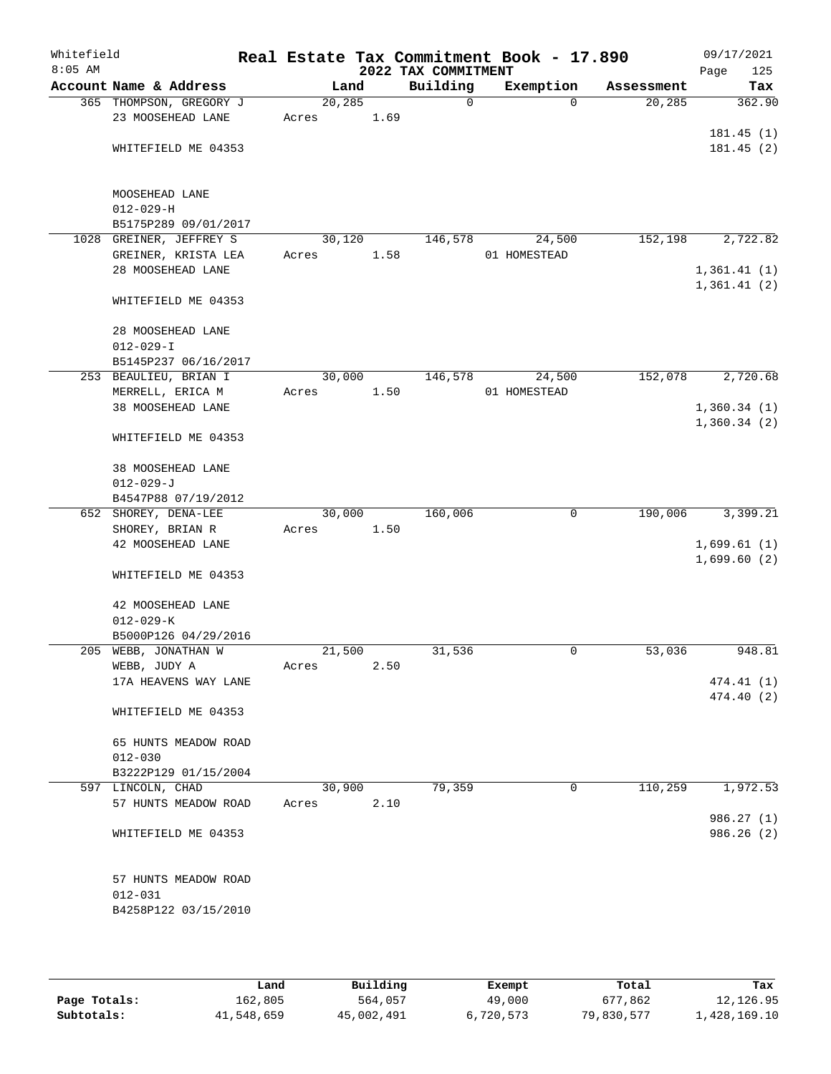| Whitefield<br>$8:05$ AM |                         |       |         |      | 2022 TAX COMMITMENT | Real Estate Tax Commitment Book - 17.890 |                      | 09/17/2021<br>125<br>Page  |
|-------------------------|-------------------------|-------|---------|------|---------------------|------------------------------------------|----------------------|----------------------------|
|                         | Account Name & Address  |       | Land    |      | Building            | Exemption                                | Assessment           | Tax                        |
|                         | 365 THOMPSON, GREGORY J |       | 20, 285 |      | $\mathbf 0$         | $\Omega$                                 | 20, 285              | 362.90                     |
|                         | 23 MOOSEHEAD LANE       | Acres |         | 1.69 |                     |                                          |                      |                            |
|                         |                         |       |         |      |                     |                                          |                      | 181.45(1)                  |
|                         | WHITEFIELD ME 04353     |       |         |      |                     |                                          |                      | 181.45(2)                  |
|                         | MOOSEHEAD LANE          |       |         |      |                     |                                          |                      |                            |
|                         | $012 - 029 - H$         |       |         |      |                     |                                          |                      |                            |
|                         | B5175P289 09/01/2017    |       |         |      |                     |                                          |                      |                            |
|                         | 1028 GREINER, JEFFREY S |       | 30, 120 |      | 146,578             | 24,500                                   | $1\overline{52,198}$ | 2,722.82                   |
|                         | GREINER, KRISTA LEA     | Acres |         | 1.58 |                     | 01 HOMESTEAD                             |                      |                            |
|                         | 28 MOOSEHEAD LANE       |       |         |      |                     |                                          |                      | 1,361.41(1)<br>1,361.41(2) |
|                         | WHITEFIELD ME 04353     |       |         |      |                     |                                          |                      |                            |
|                         | 28 MOOSEHEAD LANE       |       |         |      |                     |                                          |                      |                            |
|                         | $012 - 029 - I$         |       |         |      |                     |                                          |                      |                            |
|                         | B5145P237 06/16/2017    |       |         |      |                     |                                          |                      |                            |
|                         | 253 BEAULIEU, BRIAN I   |       | 30,000  |      | 146,578             | 24,500                                   | 152,078              | 2,720.68                   |
|                         | MERRELL, ERICA M        | Acres |         | 1.50 |                     | 01 HOMESTEAD                             |                      |                            |
|                         | 38 MOOSEHEAD LANE       |       |         |      |                     |                                          |                      | 1,360.34(1)<br>1,360.34(2) |
|                         | WHITEFIELD ME 04353     |       |         |      |                     |                                          |                      |                            |
|                         | 38 MOOSEHEAD LANE       |       |         |      |                     |                                          |                      |                            |
|                         | $012 - 029 - J$         |       |         |      |                     |                                          |                      |                            |
|                         | B4547P88 07/19/2012     |       |         |      |                     |                                          |                      |                            |
|                         | 652 SHOREY, DENA-LEE    |       | 30,000  |      | 160,006             | $\mathbf 0$                              | 190,006              | 3,399.21                   |
|                         | SHOREY, BRIAN R         | Acres |         | 1.50 |                     |                                          |                      |                            |
|                         | 42 MOOSEHEAD LANE       |       |         |      |                     |                                          |                      | 1,699.61(1)<br>1,699.60(2) |
|                         | WHITEFIELD ME 04353     |       |         |      |                     |                                          |                      |                            |
|                         | 42 MOOSEHEAD LANE       |       |         |      |                     |                                          |                      |                            |
|                         | $012 - 029 - K$         |       |         |      |                     |                                          |                      |                            |
|                         | B5000P126 04/29/2016    |       |         |      |                     |                                          |                      |                            |
|                         | 205 WEBB, JONATHAN W    |       | 21,500  |      | 31,536              | 0                                        | 53,036               | 948.81                     |
|                         | WEBB, JUDY A            | Acres |         | 2.50 |                     |                                          |                      |                            |
|                         | 17A HEAVENS WAY LANE    |       |         |      |                     |                                          |                      | 474.41 (1)                 |
|                         | WHITEFIELD ME 04353     |       |         |      |                     |                                          |                      | 474.40 (2)                 |
|                         | 65 HUNTS MEADOW ROAD    |       |         |      |                     |                                          |                      |                            |
|                         | $012 - 030$             |       |         |      |                     |                                          |                      |                            |
|                         | B3222P129 01/15/2004    |       |         |      |                     |                                          |                      |                            |
|                         | 597 LINCOLN, CHAD       |       | 30,900  |      | 79,359              | 0                                        | 110,259              | 1,972.53                   |
|                         | 57 HUNTS MEADOW ROAD    | Acres |         | 2.10 |                     |                                          |                      |                            |
|                         | WHITEFIELD ME 04353     |       |         |      |                     |                                          |                      | 986.27 (1)<br>986.26(2)    |
|                         | 57 HUNTS MEADOW ROAD    |       |         |      |                     |                                          |                      |                            |
|                         | $012 - 031$             |       |         |      |                     |                                          |                      |                            |
|                         | B4258P122 03/15/2010    |       |         |      |                     |                                          |                      |                            |
|                         |                         |       |         |      |                     |                                          |                      |                            |

|              | Land       | Building   | Exempt    | Total      | Tax          |
|--------------|------------|------------|-----------|------------|--------------|
| Page Totals: | 162,805    | 564,057    | 49,000    | 677.862    | 12,126.95    |
| Subtotals:   | 41,548,659 | 45,002,491 | 6,720,573 | 79,830,577 | .,428,169.10 |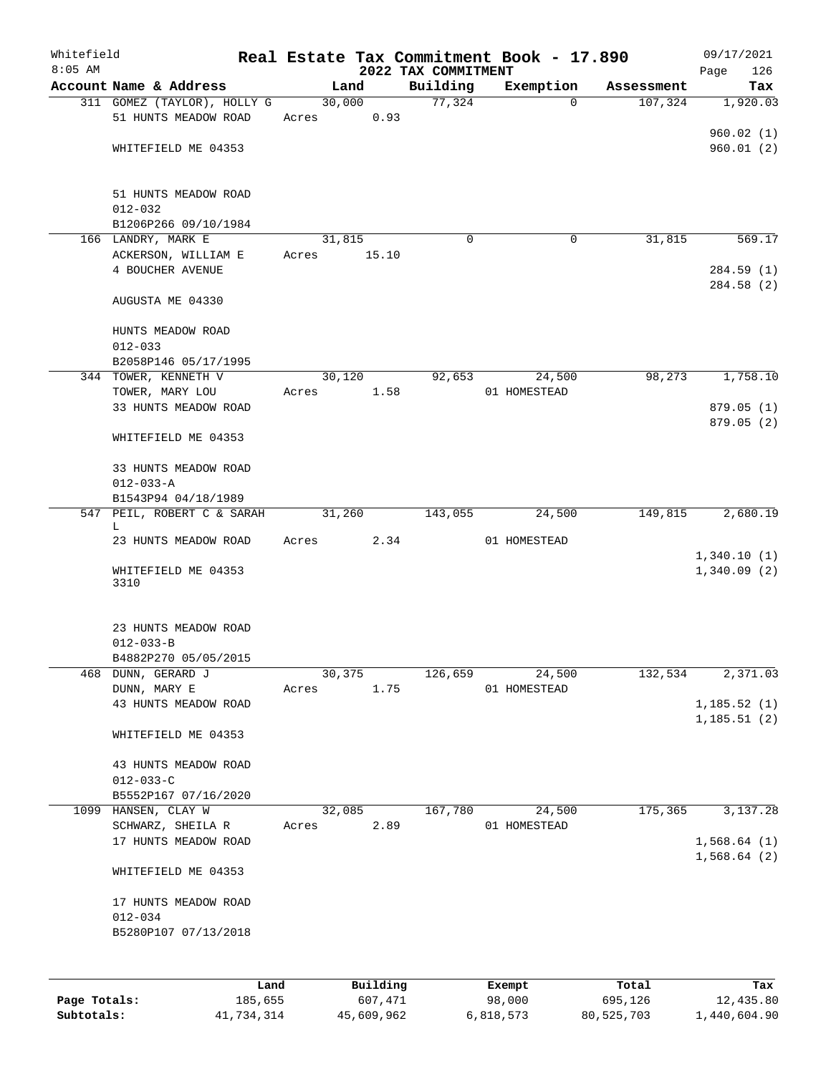| Whitefield<br>$8:05$ AM |                                           |        |          |                                 | Real Estate Tax Commitment Book - 17.890 |            | 09/17/2021                   |
|-------------------------|-------------------------------------------|--------|----------|---------------------------------|------------------------------------------|------------|------------------------------|
|                         | Account Name & Address                    |        | Land     | 2022 TAX COMMITMENT<br>Building | Exemption                                | Assessment | 126<br>Page<br>Tax           |
|                         | 311 GOMEZ (TAYLOR), HOLLY G               |        | 30,000   | 77,324                          | $\Omega$                                 | 107,324    | 1,920.03                     |
|                         | 51 HUNTS MEADOW ROAD                      | Acres  | 0.93     |                                 |                                          |            |                              |
|                         |                                           |        |          |                                 |                                          |            | 960.02(1)                    |
|                         | WHITEFIELD ME 04353                       |        |          |                                 |                                          |            | 960.01(2)                    |
|                         | 51 HUNTS MEADOW ROAD<br>$012 - 032$       |        |          |                                 |                                          |            |                              |
|                         | B1206P266 09/10/1984                      |        |          |                                 |                                          |            |                              |
|                         | 166 LANDRY, MARK E                        | 31,815 |          | $\Omega$                        | 0                                        | 31,815     | 569.17                       |
|                         | ACKERSON, WILLIAM E<br>4 BOUCHER AVENUE   | Acres  | 15.10    |                                 |                                          |            | 284.59 (1)<br>284.58 (2)     |
|                         | AUGUSTA ME 04330                          |        |          |                                 |                                          |            |                              |
|                         | HUNTS MEADOW ROAD<br>$012 - 033$          |        |          |                                 |                                          |            |                              |
|                         | B2058P146 05/17/1995                      |        |          |                                 |                                          |            |                              |
|                         | 344 TOWER, KENNETH V                      |        | 30,120   | 92,653                          | 24,500                                   | 98,273     | 1,758.10                     |
|                         | TOWER, MARY LOU<br>33 HUNTS MEADOW ROAD   | Acres  | 1.58     |                                 | 01 HOMESTEAD                             |            | 879.05 (1)                   |
|                         |                                           |        |          |                                 |                                          |            | 879.05(2)                    |
|                         | WHITEFIELD ME 04353                       |        |          |                                 |                                          |            |                              |
|                         | 33 HUNTS MEADOW ROAD                      |        |          |                                 |                                          |            |                              |
|                         | $012 - 033 - A$                           |        |          |                                 |                                          |            |                              |
|                         | B1543P94 04/18/1989                       |        |          |                                 |                                          |            |                              |
|                         | 547 PEIL, ROBERT C & SARAH<br>L           |        | 31,260   | 143,055                         | 24,500                                   | 149,815    | 2,680.19                     |
|                         | 23 HUNTS MEADOW ROAD                      | Acres  | 2.34     |                                 | 01 HOMESTEAD                             |            | 1,340.10(1)                  |
|                         | WHITEFIELD ME 04353<br>3310               |        |          |                                 |                                          |            | 1,340.09(2)                  |
|                         | 23 HUNTS MEADOW ROAD                      |        |          |                                 |                                          |            |                              |
|                         | $012 - 033 - B$<br>B4882P270 05/05/2015   |        |          |                                 |                                          |            |                              |
| 468                     | DUNN, GERARD J                            | 30,375 |          | 126,659                         | 24,500                                   | 132,534    | 2,371.03                     |
|                         | DUNN, MARY E                              | Acres  | 1.75     |                                 | 01 HOMESTEAD                             |            |                              |
|                         | 43 HUNTS MEADOW ROAD                      |        |          |                                 |                                          |            | 1, 185.52(1)<br>1, 185.51(2) |
|                         | WHITEFIELD ME 04353                       |        |          |                                 |                                          |            |                              |
|                         | 43 HUNTS MEADOW ROAD<br>$012 - 033 - C$   |        |          |                                 |                                          |            |                              |
|                         | B5552P167 07/16/2020                      |        |          |                                 |                                          |            |                              |
|                         | 1099 HANSEN, CLAY W                       | 32,085 |          | 167,780                         | 24,500                                   | 175,365    | 3,137.28                     |
|                         | SCHWARZ, SHEILA R<br>17 HUNTS MEADOW ROAD | Acres  | 2.89     |                                 | 01 HOMESTEAD                             |            | 1,568.64(1)                  |
|                         | WHITEFIELD ME 04353                       |        |          |                                 |                                          |            | 1,568.64(2)                  |
|                         | 17 HUNTS MEADOW ROAD<br>$012 - 034$       |        |          |                                 |                                          |            |                              |
|                         | B5280P107 07/13/2018                      |        |          |                                 |                                          |            |                              |
|                         |                                           |        |          |                                 |                                          |            |                              |
|                         | Land                                      |        | Building |                                 | Exempt                                   | Total      | Tax                          |
| Page Totals:            | 185,655                                   |        | 607,471  |                                 | 98,000                                   | 695,126    | 12,435.80                    |

**Subtotals:** 41,734,314 45,609,962 6,818,573 80,525,703 1,440,604.90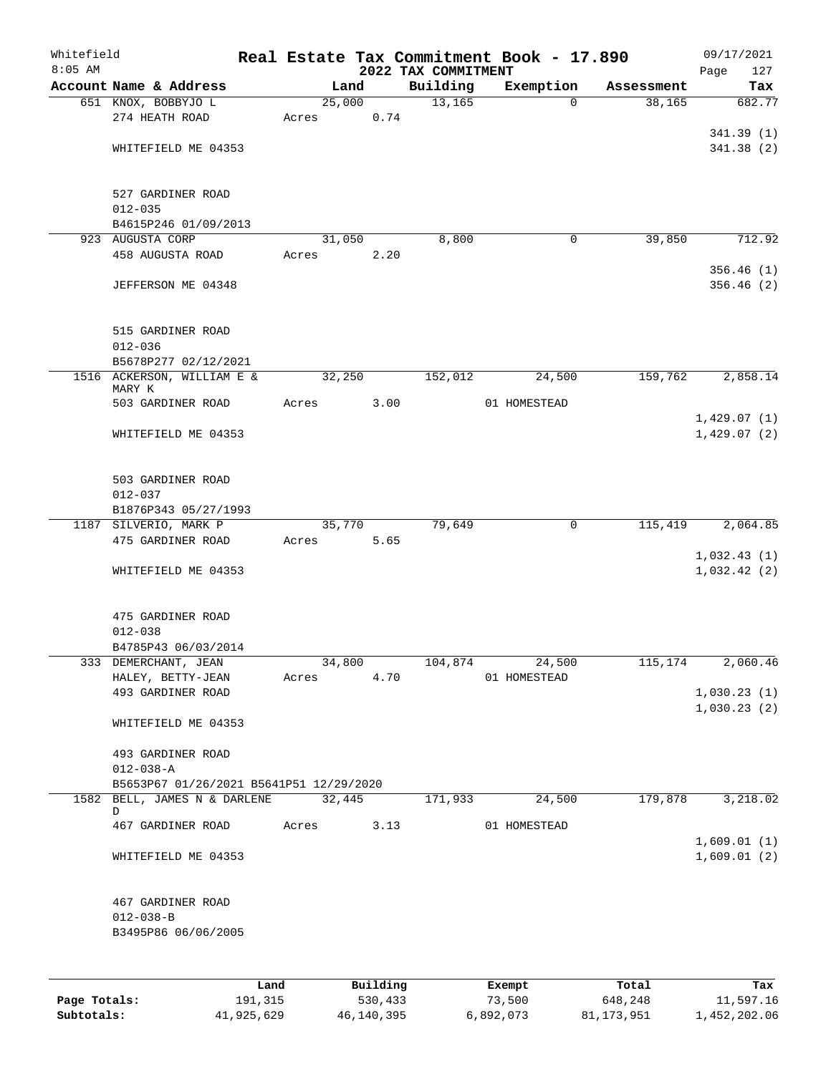| Whitefield<br>$8:05$ AM |                                               |         |       |        |          |                                 | Real Estate Tax Commitment Book - 17.890 |            | 09/17/2021             |
|-------------------------|-----------------------------------------------|---------|-------|--------|----------|---------------------------------|------------------------------------------|------------|------------------------|
|                         | Account Name & Address                        |         |       | Land   |          | 2022 TAX COMMITMENT<br>Building | Exemption                                | Assessment | 127<br>Page<br>Tax     |
|                         | 651 KNOX, BOBBYJO L                           |         |       | 25,000 |          | 13,165                          | $\Omega$                                 | 38,165     | 682.77                 |
|                         | 274 HEATH ROAD                                |         | Acres |        | 0.74     |                                 |                                          |            |                        |
|                         |                                               |         |       |        |          |                                 |                                          |            | 341.39(1)              |
|                         | WHITEFIELD ME 04353                           |         |       |        |          |                                 |                                          |            | 341.38(2)              |
|                         | 527 GARDINER ROAD                             |         |       |        |          |                                 |                                          |            |                        |
|                         | $012 - 035$                                   |         |       |        |          |                                 |                                          |            |                        |
|                         | B4615P246 01/09/2013                          |         |       |        |          |                                 |                                          |            |                        |
|                         | 923 AUGUSTA CORP                              |         |       | 31,050 |          | 8,800                           | 0                                        | 39,850     | 712.92                 |
|                         | 458 AUGUSTA ROAD                              |         | Acres |        | 2.20     |                                 |                                          |            |                        |
|                         | JEFFERSON ME 04348                            |         |       |        |          |                                 |                                          |            | 356.46(1)<br>356.46(2) |
|                         | 515 GARDINER ROAD                             |         |       |        |          |                                 |                                          |            |                        |
|                         | $012 - 036$                                   |         |       |        |          |                                 |                                          |            |                        |
|                         | B5678P277 02/12/2021                          |         |       |        |          |                                 |                                          |            |                        |
|                         | 1516 ACKERSON, WILLIAM E &<br>MARY K          |         |       | 32,250 |          | 152,012                         | 24,500                                   | 159,762    | 2,858.14               |
|                         | 503 GARDINER ROAD                             |         | Acres |        | 3.00     |                                 | 01 HOMESTEAD                             |            |                        |
|                         |                                               |         |       |        |          |                                 |                                          |            | 1,429.07(1)            |
|                         | WHITEFIELD ME 04353                           |         |       |        |          |                                 |                                          |            | 1,429.07(2)            |
|                         | 503 GARDINER ROAD                             |         |       |        |          |                                 |                                          |            |                        |
|                         | $012 - 037$                                   |         |       |        |          |                                 |                                          |            |                        |
|                         | B1876P343 05/27/1993<br>1187 SILVERIO, MARK P |         |       |        |          | 79,649                          | $\mathbf 0$                              |            | 2,064.85               |
|                         | 475 GARDINER ROAD                             |         | Acres | 35,770 | 5.65     |                                 |                                          | 115,419    |                        |
|                         |                                               |         |       |        |          |                                 |                                          |            | 1,032.43(1)            |
|                         | WHITEFIELD ME 04353                           |         |       |        |          |                                 |                                          |            | 1,032.42(2)            |
|                         | 475 GARDINER ROAD                             |         |       |        |          |                                 |                                          |            |                        |
|                         | $012 - 038$                                   |         |       |        |          |                                 |                                          |            |                        |
|                         | B4785P43 06/03/2014                           |         |       |        |          |                                 |                                          |            |                        |
|                         | 333 DEMERCHANT, JEAN                          |         |       | 34,800 |          | 104,874                         | 24,500                                   | 115,174    | 2,060.46               |
|                         | HALEY, BETTY-JEAN                             |         | Acres |        | 4.70     |                                 | 01 HOMESTEAD                             |            | 1,030.23(1)            |
|                         | 493 GARDINER ROAD                             |         |       |        |          |                                 |                                          |            | 1,030.23(2)            |
|                         | WHITEFIELD ME 04353                           |         |       |        |          |                                 |                                          |            |                        |
|                         | 493 GARDINER ROAD                             |         |       |        |          |                                 |                                          |            |                        |
|                         | $012 - 038 - A$                               |         |       |        |          |                                 |                                          |            |                        |
|                         | B5653P67 01/26/2021 B5641P51 12/29/2020       |         |       |        |          |                                 |                                          |            |                        |
|                         | 1582 BELL, JAMES N & DARLENE<br>D             |         |       | 32,445 |          | 171,933                         | 24,500                                   | 179,878    | 3,218.02               |
|                         | 467 GARDINER ROAD                             |         | Acres |        | 3.13     |                                 | 01 HOMESTEAD                             |            |                        |
|                         |                                               |         |       |        |          |                                 |                                          |            | 1,609.01(1)            |
|                         | WHITEFIELD ME 04353                           |         |       |        |          |                                 |                                          |            | 1,609.01(2)            |
|                         | 467 GARDINER ROAD                             |         |       |        |          |                                 |                                          |            |                        |
|                         | $012 - 038 - B$                               |         |       |        |          |                                 |                                          |            |                        |
|                         | B3495P86 06/06/2005                           |         |       |        |          |                                 |                                          |            |                        |
|                         |                                               |         |       |        |          |                                 |                                          |            |                        |
|                         |                                               | Land    |       |        | Building |                                 | Exempt                                   | Total      | Tax                    |
| Page Totals:            |                                               | 191,315 |       |        | 530,433  |                                 | 73,500                                   | 648,248    | 11,597.16              |

**Subtotals:** 41,925,629 46,140,395 6,892,073 81,173,951 1,452,202.06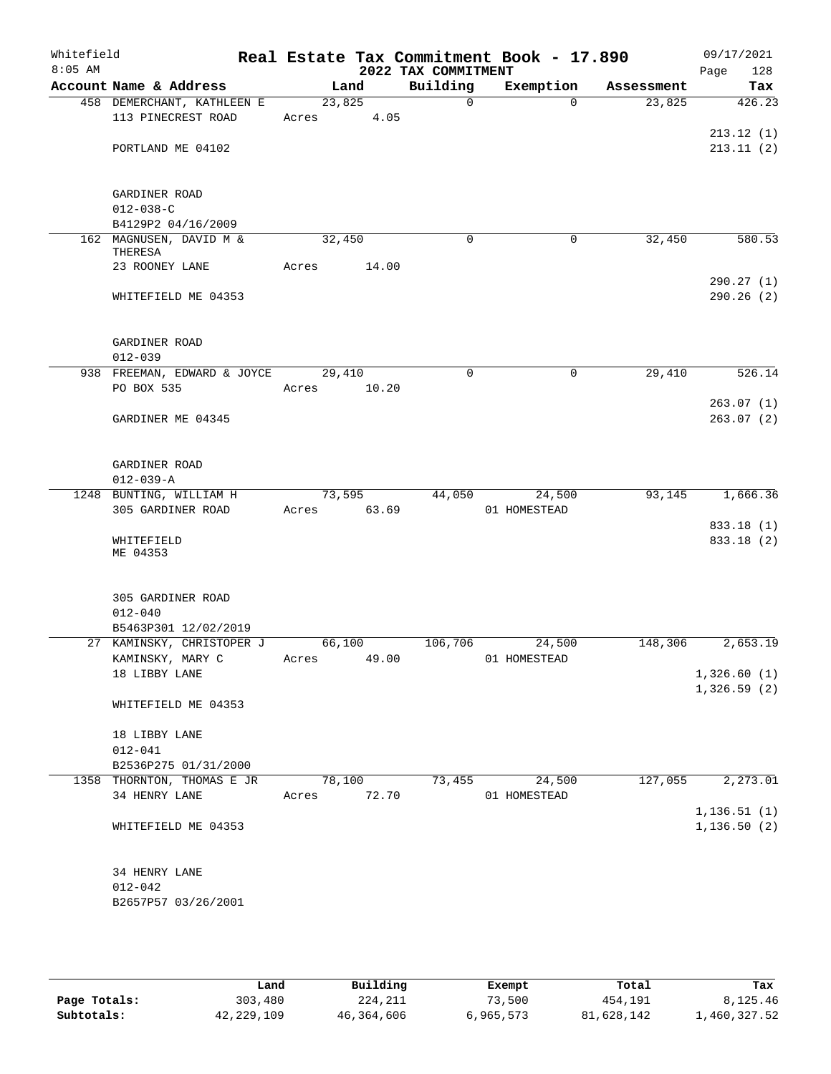| Whitefield<br>$8:05$ AM |                                                    |             |        | 2022 TAX COMMITMENT | Real Estate Tax Commitment Book - 17.890 |            | 09/17/2021<br>128<br>Page |
|-------------------------|----------------------------------------------------|-------------|--------|---------------------|------------------------------------------|------------|---------------------------|
|                         | Account Name & Address                             | Land        |        | Building            | Exemption                                | Assessment | Tax                       |
|                         | 458 DEMERCHANT, KATHLEEN E                         | 23,825      |        | $\Omega$            | $\Omega$                                 | 23,825     | 426.23                    |
|                         | 113 PINECREST ROAD                                 | Acres 4.05  |        |                     |                                          |            |                           |
|                         |                                                    |             |        |                     |                                          |            | 213.12(1)                 |
|                         | PORTLAND ME 04102                                  |             |        |                     |                                          |            | 213.11(2)                 |
|                         |                                                    |             |        |                     |                                          |            |                           |
|                         |                                                    |             |        |                     |                                          |            |                           |
|                         | GARDINER ROAD                                      |             |        |                     |                                          |            |                           |
|                         | $012 - 038 - C$                                    |             |        |                     |                                          |            |                           |
|                         | B4129P2 04/16/2009<br>162 MAGNUSEN, DAVID M &      | 32,450      |        | $\mathbf 0$         | 0                                        | 32,450     | 580.53                    |
|                         | THERESA                                            |             |        |                     |                                          |            |                           |
|                         | 23 ROONEY LANE                                     | Acres       | 14.00  |                     |                                          |            |                           |
|                         |                                                    |             |        |                     |                                          |            | 290.27(1)                 |
|                         | WHITEFIELD ME 04353                                |             |        |                     |                                          |            | 290.26(2)                 |
|                         |                                                    |             |        |                     |                                          |            |                           |
|                         |                                                    |             |        |                     |                                          |            |                           |
|                         | GARDINER ROAD                                      |             |        |                     |                                          |            |                           |
|                         | $012 - 039$                                        |             |        |                     |                                          |            |                           |
|                         | 938 FREEMAN, EDWARD & JOYCE                        | 29,410      |        | $\mathbf 0$         | 0                                        | 29,410     | 526.14                    |
|                         | PO BOX 535                                         | Acres 10.20 |        |                     |                                          |            |                           |
|                         |                                                    |             |        |                     |                                          |            | 263.07(1)<br>263.07(2)    |
|                         | GARDINER ME 04345                                  |             |        |                     |                                          |            |                           |
|                         |                                                    |             |        |                     |                                          |            |                           |
|                         | GARDINER ROAD                                      |             |        |                     |                                          |            |                           |
|                         | $012 - 039 - A$                                    |             |        |                     |                                          |            |                           |
|                         | 1248 BUNTING, WILLIAM H                            | 73,595      |        | 44,050              | 24,500                                   | 93,145     | 1,666.36                  |
|                         | 305 GARDINER ROAD                                  | Acres 63.69 |        |                     | 01 HOMESTEAD                             |            |                           |
|                         |                                                    |             |        |                     |                                          |            | 833.18 (1)                |
|                         | WHITEFIELD                                         |             |        |                     |                                          |            | 833.18 (2)                |
|                         | ME 04353                                           |             |        |                     |                                          |            |                           |
|                         |                                                    |             |        |                     |                                          |            |                           |
|                         | 305 GARDINER ROAD                                  |             |        |                     |                                          |            |                           |
|                         | $012 - 040$                                        |             |        |                     |                                          |            |                           |
|                         | B5463P301 12/02/2019                               |             |        |                     |                                          |            |                           |
|                         | 27 KAMINSKY, CHRISTOPER J                          | 66,100      |        | 106,706             | 24,500                                   | 148,306    | 2,653.19                  |
|                         | KAMINSKY, MARY C                                   | Acres       | 49.00  |                     | 01 HOMESTEAD                             |            |                           |
|                         | 18 LIBBY LANE                                      |             |        |                     |                                          |            | 1,326.60(1)               |
|                         |                                                    |             |        |                     |                                          |            | 1,326.59(2)               |
|                         | WHITEFIELD ME 04353                                |             |        |                     |                                          |            |                           |
|                         |                                                    |             |        |                     |                                          |            |                           |
|                         | 18 LIBBY LANE                                      |             |        |                     |                                          |            |                           |
|                         | $012 - 041$                                        |             |        |                     |                                          |            |                           |
|                         | B2536P275 01/31/2000<br>1358 THORNTON, THOMAS E JR |             | 78,100 |                     | 73,455<br>24,500                         | 127,055    | 2,273.01                  |
|                         | 34 HENRY LANE                                      | Acres 72.70 |        |                     | 01 HOMESTEAD                             |            |                           |
|                         |                                                    |             |        |                     |                                          |            | 1, 136.51(1)              |
|                         | WHITEFIELD ME 04353                                |             |        |                     |                                          |            | 1, 136.50(2)              |
|                         |                                                    |             |        |                     |                                          |            |                           |
|                         |                                                    |             |        |                     |                                          |            |                           |
|                         | 34 HENRY LANE                                      |             |        |                     |                                          |            |                           |
|                         | $012 - 042$                                        |             |        |                     |                                          |            |                           |
|                         | B2657P57 03/26/2001                                |             |        |                     |                                          |            |                           |
|                         |                                                    |             |        |                     |                                          |            |                           |
|                         |                                                    |             |        |                     |                                          |            |                           |

|              | Land       | Building   | Exempt    | Total      | Tax          |
|--------------|------------|------------|-----------|------------|--------------|
| Page Totals: | 303,480    | 224,211    | 73,500    | 454,191    | 8,125.46     |
| Subtotals:   | 42,229,109 | 46,364,606 | 6,965,573 | 81,628,142 | 1,460,327.52 |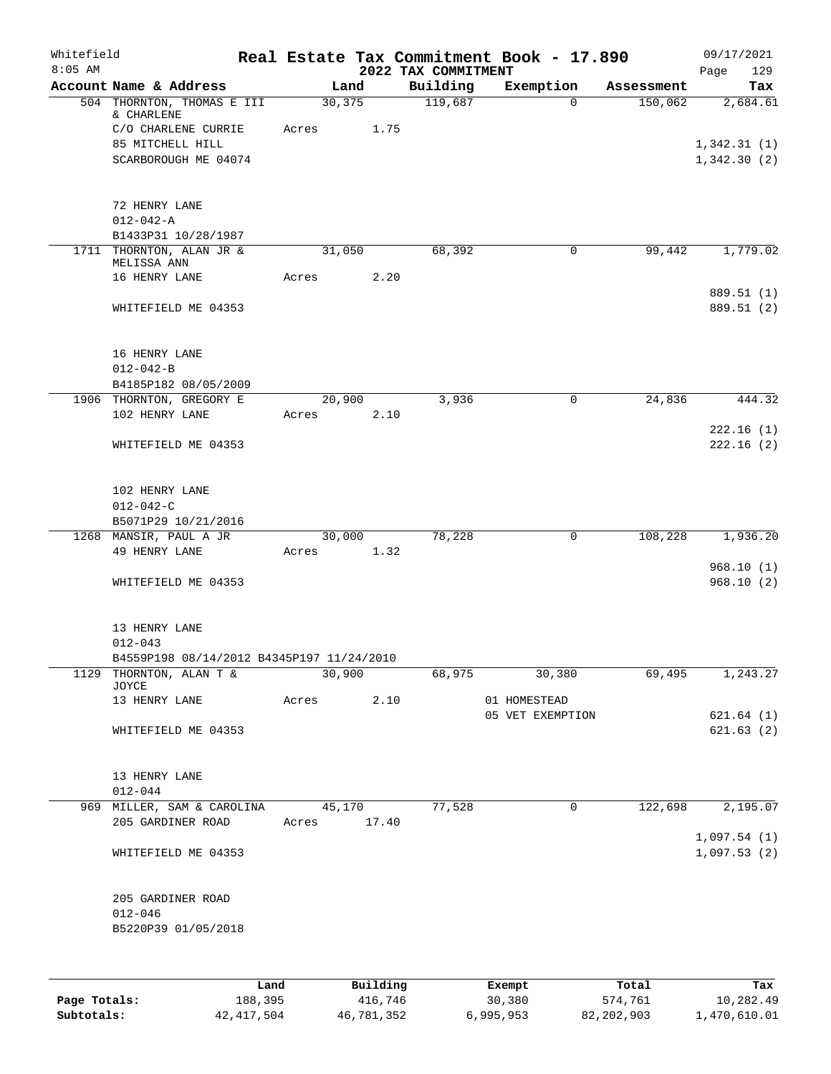| Whitefield   |                                           |       |        |          |                                 | Real Estate Tax Commitment Book - 17.890 |            | 09/17/2021                 |
|--------------|-------------------------------------------|-------|--------|----------|---------------------------------|------------------------------------------|------------|----------------------------|
| $8:05$ AM    | Account Name & Address                    |       | Land   |          | 2022 TAX COMMITMENT<br>Building | Exemption                                | Assessment | Page<br>129<br>Tax         |
|              | 504 THORNTON, THOMAS E III                |       | 30,375 |          | 119,687                         | $\Omega$                                 | 150,062    | 2,684.61                   |
|              | & CHARLENE                                |       |        |          |                                 |                                          |            |                            |
|              | C/O CHARLENE CURRIE                       | Acres |        | 1.75     |                                 |                                          |            |                            |
|              | 85 MITCHELL HILL                          |       |        |          |                                 |                                          |            | 1,342.31(1)                |
|              | SCARBOROUGH ME 04074                      |       |        |          |                                 |                                          |            | 1,342.30(2)                |
|              | 72 HENRY LANE                             |       |        |          |                                 |                                          |            |                            |
|              | $012 - 042 - A$                           |       |        |          |                                 |                                          |            |                            |
|              | B1433P31 10/28/1987                       |       |        |          |                                 |                                          |            |                            |
|              | 1711 THORNTON, ALAN JR &<br>MELISSA ANN   |       | 31,050 |          | 68,392                          | 0                                        | 99,442     | 1,779.02                   |
|              | 16 HENRY LANE                             | Acres |        | 2.20     |                                 |                                          |            |                            |
|              |                                           |       |        |          |                                 |                                          |            | 889.51 (1)                 |
|              | WHITEFIELD ME 04353                       |       |        |          |                                 |                                          |            | 889.51 (2)                 |
|              | 16 HENRY LANE                             |       |        |          |                                 |                                          |            |                            |
|              | $012 - 042 - B$                           |       |        |          |                                 |                                          |            |                            |
|              | B4185P182 08/05/2009                      |       |        |          |                                 |                                          |            |                            |
|              | 1906 THORNTON, GREGORY E                  |       | 20,900 |          | 3,936                           | $\mathbf 0$                              | 24,836     | 444.32                     |
|              | 102 HENRY LANE                            | Acres |        | 2.10     |                                 |                                          |            |                            |
|              |                                           |       |        |          |                                 |                                          |            | 222.16(1)                  |
|              | WHITEFIELD ME 04353                       |       |        |          |                                 |                                          |            | 222.16(2)                  |
|              | 102 HENRY LANE                            |       |        |          |                                 |                                          |            |                            |
|              | $012 - 042 - C$                           |       |        |          |                                 |                                          |            |                            |
|              | B5071P29 10/21/2016                       |       |        |          |                                 |                                          |            |                            |
|              | 1268 MANSIR, PAUL A JR                    |       | 30,000 |          | 78,228                          | $\mathbf 0$                              | 108,228    | 1,936.20                   |
|              | 49 HENRY LANE                             | Acres |        | 1.32     |                                 |                                          |            |                            |
|              | WHITEFIELD ME 04353                       |       |        |          |                                 |                                          |            | 968.10(1)<br>968.10(2)     |
|              |                                           |       |        |          |                                 |                                          |            |                            |
|              | 13 HENRY LANE                             |       |        |          |                                 |                                          |            |                            |
|              | $012 - 043$                               |       |        |          |                                 |                                          |            |                            |
|              | B4559P198 08/14/2012 B4345P197 11/24/2010 |       |        |          |                                 |                                          |            |                            |
| 1129         | THORNTON, ALAN T &                        |       | 30,900 |          | 68,975                          | 30,380                                   | 69,495     | 1, 243.27                  |
|              | JOYCE<br>13 HENRY LANE                    | Acres |        | 2.10     |                                 | 01 HOMESTEAD                             |            |                            |
|              |                                           |       |        |          |                                 | 05 VET EXEMPTION                         |            | 621.64(1)                  |
|              | WHITEFIELD ME 04353                       |       |        |          |                                 |                                          |            | 621.63(2)                  |
|              |                                           |       |        |          |                                 |                                          |            |                            |
|              | 13 HENRY LANE                             |       |        |          |                                 |                                          |            |                            |
|              | $012 - 044$<br>969 MILLER, SAM & CAROLINA |       | 45,170 |          | 77,528                          | 0                                        | 122,698    | 2,195.07                   |
|              | 205 GARDINER ROAD                         | Acres |        | 17.40    |                                 |                                          |            |                            |
|              | WHITEFIELD ME 04353                       |       |        |          |                                 |                                          |            | 1,097.54(1)<br>1,097.53(2) |
|              | 205 GARDINER ROAD                         |       |        |          |                                 |                                          |            |                            |
|              | $012 - 046$                               |       |        |          |                                 |                                          |            |                            |
|              | B5220P39 01/05/2018                       |       |        |          |                                 |                                          |            |                            |
|              |                                           |       |        |          |                                 |                                          |            |                            |
|              | Land                                      |       |        | Building |                                 | Exempt                                   | Total      | Tax                        |
| Page Totals: | 188,395                                   |       |        | 416,746  |                                 | 30,380                                   | 574,761    | 10,282.49                  |

**Subtotals:** 42,417,504 46,781,352 6,995,953 82,202,903 1,470,610.01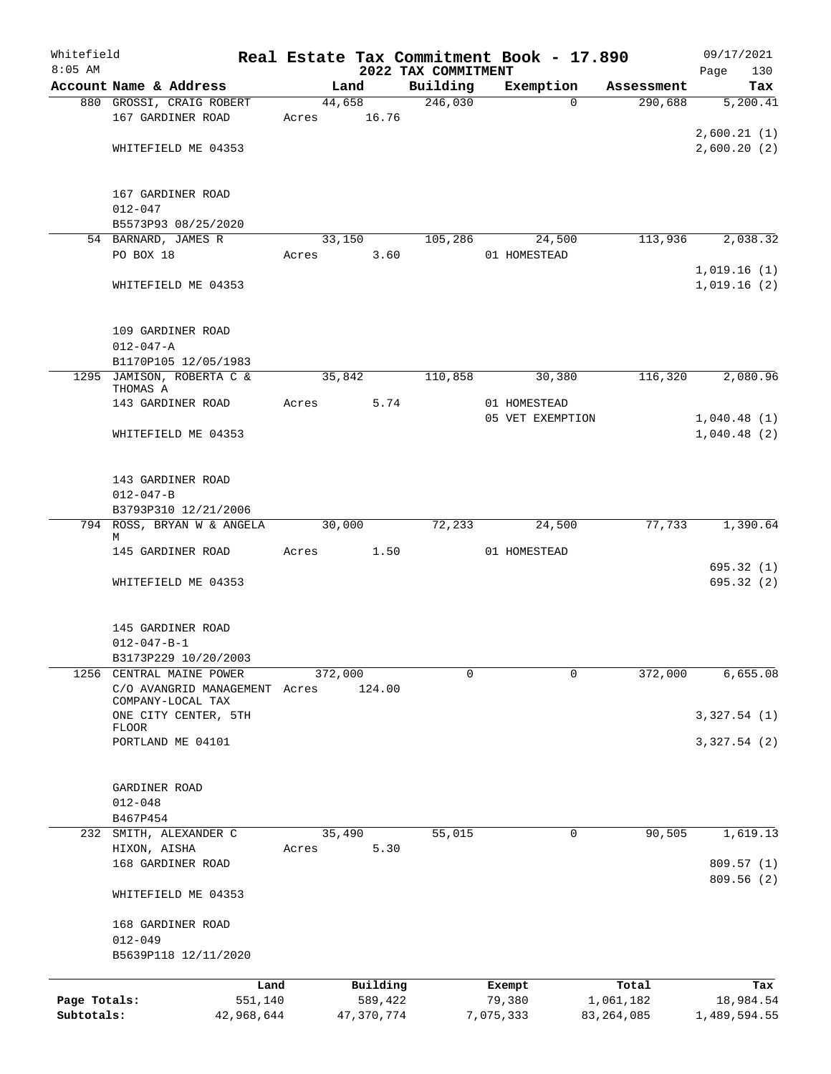| Whitefield   |                                                    |                 |                     |                                 | Real Estate Tax Commitment Book - 17.890 |                    | 09/17/2021         |
|--------------|----------------------------------------------------|-----------------|---------------------|---------------------------------|------------------------------------------|--------------------|--------------------|
| $8:05$ AM    | Account Name & Address                             |                 | Land                | 2022 TAX COMMITMENT<br>Building | Exemption                                | Assessment         | 130<br>Page<br>Tax |
|              | 880 GROSSI, CRAIG ROBERT                           |                 | 44,658              | 246,030                         | $\Omega$                                 | 290,688            | 5,200.41           |
|              | 167 GARDINER ROAD                                  | Acres           | 16.76               |                                 |                                          |                    |                    |
|              |                                                    |                 |                     |                                 |                                          |                    | 2,600.21(1)        |
|              | WHITEFIELD ME 04353                                |                 |                     |                                 |                                          |                    | 2,600.20(2)        |
|              |                                                    |                 |                     |                                 |                                          |                    |                    |
|              |                                                    |                 |                     |                                 |                                          |                    |                    |
|              | 167 GARDINER ROAD                                  |                 |                     |                                 |                                          |                    |                    |
|              | $012 - 047$<br>B5573P93 08/25/2020                 |                 |                     |                                 |                                          |                    |                    |
|              | 54 BARNARD, JAMES R                                |                 | 33,150              | 105,286                         | 24,500                                   | 113,936            | 2,038.32           |
|              | PO BOX 18                                          | Acres           | 3.60                |                                 | 01 HOMESTEAD                             |                    |                    |
|              |                                                    |                 |                     |                                 |                                          |                    | 1,019.16(1)        |
|              | WHITEFIELD ME 04353                                |                 |                     |                                 |                                          |                    | 1,019.16(2)        |
|              |                                                    |                 |                     |                                 |                                          |                    |                    |
|              |                                                    |                 |                     |                                 |                                          |                    |                    |
|              | 109 GARDINER ROAD                                  |                 |                     |                                 |                                          |                    |                    |
|              | $012 - 047 - A$                                    |                 |                     |                                 |                                          |                    |                    |
|              | B1170P105 12/05/1983<br>1295 JAMISON, ROBERTA C &  |                 |                     |                                 |                                          |                    |                    |
|              | THOMAS A                                           |                 | 35,842              | 110,858                         | 30,380                                   | 116,320            | 2,080.96           |
|              | 143 GARDINER ROAD                                  | Acres           |                     | 5.74                            | 01 HOMESTEAD                             |                    |                    |
|              |                                                    |                 |                     |                                 | 05 VET EXEMPTION                         |                    | 1,040.48(1)        |
|              | WHITEFIELD ME 04353                                |                 |                     |                                 |                                          |                    | 1,040.48(2)        |
|              |                                                    |                 |                     |                                 |                                          |                    |                    |
|              |                                                    |                 |                     |                                 |                                          |                    |                    |
|              | 143 GARDINER ROAD                                  |                 |                     |                                 |                                          |                    |                    |
|              | $012 - 047 - B$                                    |                 |                     |                                 |                                          |                    |                    |
|              | B3793P310 12/21/2006<br>794 ROSS, BRYAN W & ANGELA |                 | 30,000              | 72,233                          | 24,500                                   | 77,733             | 1,390.64           |
|              | М                                                  |                 |                     |                                 |                                          |                    |                    |
|              | 145 GARDINER ROAD                                  |                 | Acres 1.50          |                                 | 01 HOMESTEAD                             |                    |                    |
|              |                                                    |                 |                     |                                 |                                          |                    | 695.32(1)          |
|              | WHITEFIELD ME 04353                                |                 |                     |                                 |                                          |                    | 695.32(2)          |
|              |                                                    |                 |                     |                                 |                                          |                    |                    |
|              |                                                    |                 |                     |                                 |                                          |                    |                    |
|              | 145 GARDINER ROAD<br>$012 - 047 - B - 1$           |                 |                     |                                 |                                          |                    |                    |
|              | B3173P229 10/20/2003                               |                 |                     |                                 |                                          |                    |                    |
| 1256         | CENTRAL MAINE POWER                                |                 | 372,000             | 0                               | 0                                        | 372,000            | 6,655.08           |
|              | C/O AVANGRID MANAGEMENT Acres                      |                 | 124.00              |                                 |                                          |                    |                    |
|              | COMPANY-LOCAL TAX                                  |                 |                     |                                 |                                          |                    |                    |
|              | ONE CITY CENTER, 5TH<br><b>FLOOR</b>               |                 |                     |                                 |                                          |                    | 3,327.54(1)        |
|              | PORTLAND ME 04101                                  |                 |                     |                                 |                                          |                    | 3,327.54(2)        |
|              |                                                    |                 |                     |                                 |                                          |                    |                    |
|              |                                                    |                 |                     |                                 |                                          |                    |                    |
|              | GARDINER ROAD                                      |                 |                     |                                 |                                          |                    |                    |
|              | $012 - 048$                                        |                 |                     |                                 |                                          |                    |                    |
|              | B467P454                                           |                 |                     |                                 |                                          |                    |                    |
| 232          | SMITH, ALEXANDER C                                 |                 | 35,490              | 55,015                          | 0                                        | 90, 505            | 1,619.13           |
|              | HIXON, AISHA<br>168 GARDINER ROAD                  | Acres           | 5.30                |                                 |                                          |                    | 809.57(1)          |
|              |                                                    |                 |                     |                                 |                                          |                    | 809.56 (2)         |
|              | WHITEFIELD ME 04353                                |                 |                     |                                 |                                          |                    |                    |
|              |                                                    |                 |                     |                                 |                                          |                    |                    |
|              | 168 GARDINER ROAD                                  |                 |                     |                                 |                                          |                    |                    |
|              | $012 - 049$                                        |                 |                     |                                 |                                          |                    |                    |
|              | B5639P118 12/11/2020                               |                 |                     |                                 |                                          |                    |                    |
|              |                                                    |                 |                     |                                 |                                          |                    |                    |
| Page Totals: |                                                    | Land<br>551,140 | Building<br>589,422 |                                 | Exempt<br>79,380                         | Total<br>1,061,182 | Tax<br>18,984.54   |
| Subtotals:   |                                                    | 42,968,644      | 47,370,774          |                                 | 7,075,333                                | 83, 264, 085       | 1,489,594.55       |
|              |                                                    |                 |                     |                                 |                                          |                    |                    |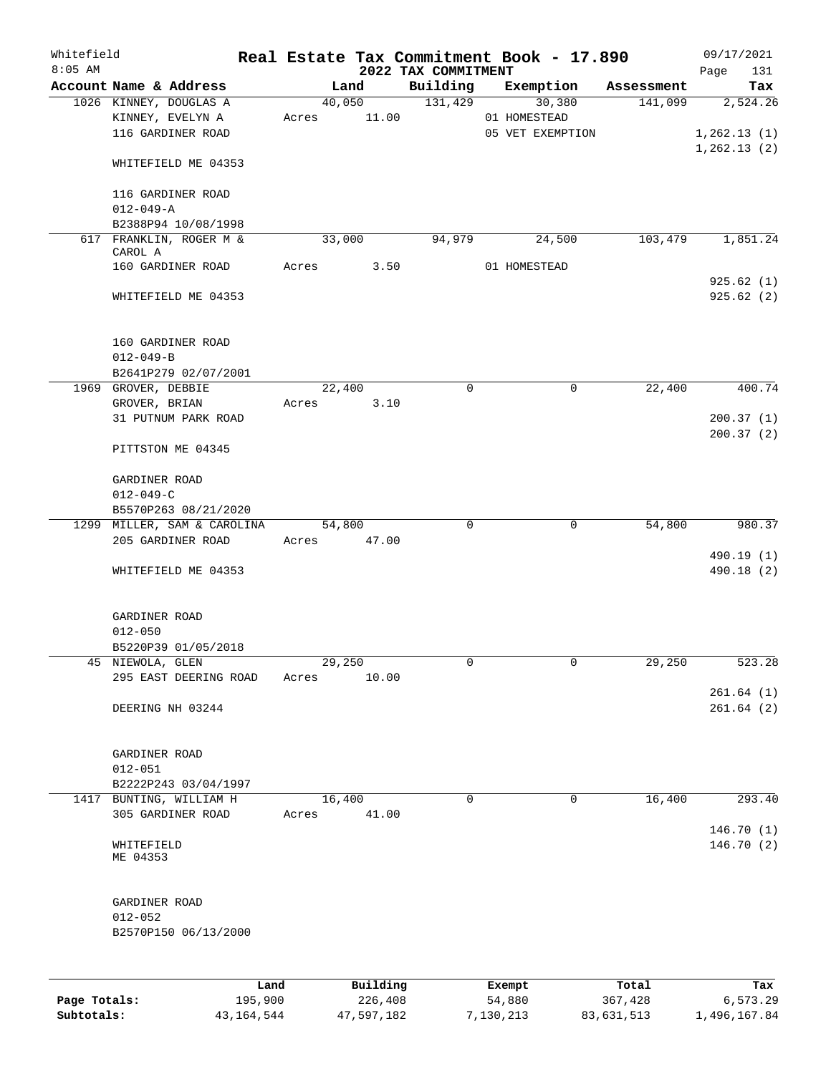| Whitefield   |                                             |        |          | Real Estate Tax Commitment Book - 17.890 |                  |             |            | 09/17/2021   |                          |
|--------------|---------------------------------------------|--------|----------|------------------------------------------|------------------|-------------|------------|--------------|--------------------------|
| $8:05$ AM    | Account Name & Address                      |        | Land     | 2022 TAX COMMITMENT<br>Building          | Exemption        |             | Assessment | Page         | 131<br>Tax               |
|              | 1026 KINNEY, DOUGLAS A                      |        | 40,050   | 131,429                                  |                  | 30,380      | 141,099    |              | 2,524.26                 |
|              | KINNEY, EVELYN A                            | Acres  | 11.00    |                                          | 01 HOMESTEAD     |             |            |              |                          |
|              | 116 GARDINER ROAD                           |        |          |                                          | 05 VET EXEMPTION |             |            | 1,262.13(1)  |                          |
|              |                                             |        |          |                                          |                  |             |            | 1, 262.13(2) |                          |
|              | WHITEFIELD ME 04353                         |        |          |                                          |                  |             |            |              |                          |
|              | 116 GARDINER ROAD                           |        |          |                                          |                  |             |            |              |                          |
|              | $012 - 049 - A$                             |        |          |                                          |                  |             |            |              |                          |
|              | B2388P94 10/08/1998                         |        |          |                                          |                  |             |            |              |                          |
|              | 617 FRANKLIN, ROGER M &                     | 33,000 |          | 94,979                                   | 24,500           |             | 103,479    |              | 1,851.24                 |
|              | CAROL A                                     |        |          |                                          |                  |             |            |              |                          |
|              | 160 GARDINER ROAD                           | Acres  | 3.50     |                                          | 01 HOMESTEAD     |             |            |              |                          |
|              | WHITEFIELD ME 04353                         |        |          |                                          |                  |             |            | 925.62(1)    | 925.62(2)                |
|              |                                             |        |          |                                          |                  |             |            |              |                          |
|              | 160 GARDINER ROAD                           |        |          |                                          |                  |             |            |              |                          |
|              | $012 - 049 - B$                             |        |          |                                          |                  |             |            |              |                          |
|              | B2641P279 02/07/2001<br>1969 GROVER, DEBBIE |        | 22,400   | $\mathbf 0$                              |                  | 0           | 22,400     |              | 400.74                   |
|              | GROVER, BRIAN                               | Acres  | 3.10     |                                          |                  |             |            |              |                          |
|              | 31 PUTNUM PARK ROAD                         |        |          |                                          |                  |             |            | 200.37(1)    |                          |
|              |                                             |        |          |                                          |                  |             |            |              | 200.37(2)                |
|              | PITTSTON ME 04345                           |        |          |                                          |                  |             |            |              |                          |
|              | GARDINER ROAD                               |        |          |                                          |                  |             |            |              |                          |
|              | $012 - 049 - C$                             |        |          |                                          |                  |             |            |              |                          |
|              | B5570P263 08/21/2020                        |        |          |                                          |                  |             |            |              |                          |
|              | 1299 MILLER, SAM & CAROLINA                 | 54,800 |          | $\mathbf 0$                              |                  | $\mathbf 0$ | 54,800     |              | 980.37                   |
|              | 205 GARDINER ROAD                           | Acres  | 47.00    |                                          |                  |             |            |              |                          |
|              | WHITEFIELD ME 04353                         |        |          |                                          |                  |             |            |              | 490.19 (1)<br>490.18 (2) |
|              |                                             |        |          |                                          |                  |             |            |              |                          |
|              | GARDINER ROAD                               |        |          |                                          |                  |             |            |              |                          |
|              | $012 - 050$                                 |        |          |                                          |                  |             |            |              |                          |
|              | B5220P39 01/05/2018                         |        |          |                                          |                  |             |            |              |                          |
|              | 45 NIEWOLA, GLEN                            | 29,250 |          | 0                                        |                  | 0           | 29,250     |              | 523.28                   |
|              | 295 EAST DEERING ROAD                       | Acres  | 10.00    |                                          |                  |             |            |              |                          |
|              | DEERING NH 03244                            |        |          |                                          |                  |             |            |              | 261.64(1)<br>261.64(2)   |
|              |                                             |        |          |                                          |                  |             |            |              |                          |
|              |                                             |        |          |                                          |                  |             |            |              |                          |
|              | GARDINER ROAD                               |        |          |                                          |                  |             |            |              |                          |
|              | $012 - 051$                                 |        |          |                                          |                  |             |            |              |                          |
| 1417         | B2222P243 03/04/1997<br>BUNTING, WILLIAM H  | 16,400 |          | $\Omega$                                 |                  | 0           | 16,400     |              | 293.40                   |
|              | 305 GARDINER ROAD                           | Acres  | 41.00    |                                          |                  |             |            |              |                          |
|              |                                             |        |          |                                          |                  |             |            |              | 146.70 (1)               |
|              | WHITEFIELD<br>ME 04353                      |        |          |                                          |                  |             |            |              | 146.70 (2)               |
|              |                                             |        |          |                                          |                  |             |            |              |                          |
|              | GARDINER ROAD                               |        |          |                                          |                  |             |            |              |                          |
|              | $012 - 052$                                 |        |          |                                          |                  |             |            |              |                          |
|              | B2570P150 06/13/2000                        |        |          |                                          |                  |             |            |              |                          |
|              |                                             |        |          |                                          |                  |             |            |              |                          |
|              | Land                                        |        | Building |                                          | Exempt           |             | Total      |              | Tax                      |
| Page Totals: | 195,900                                     |        | 226,408  |                                          | 54,880           |             | 367,428    |              | 6,573.29                 |

**Subtotals:** 43,164,544 47,597,182 7,130,213 83,631,513 1,496,167.84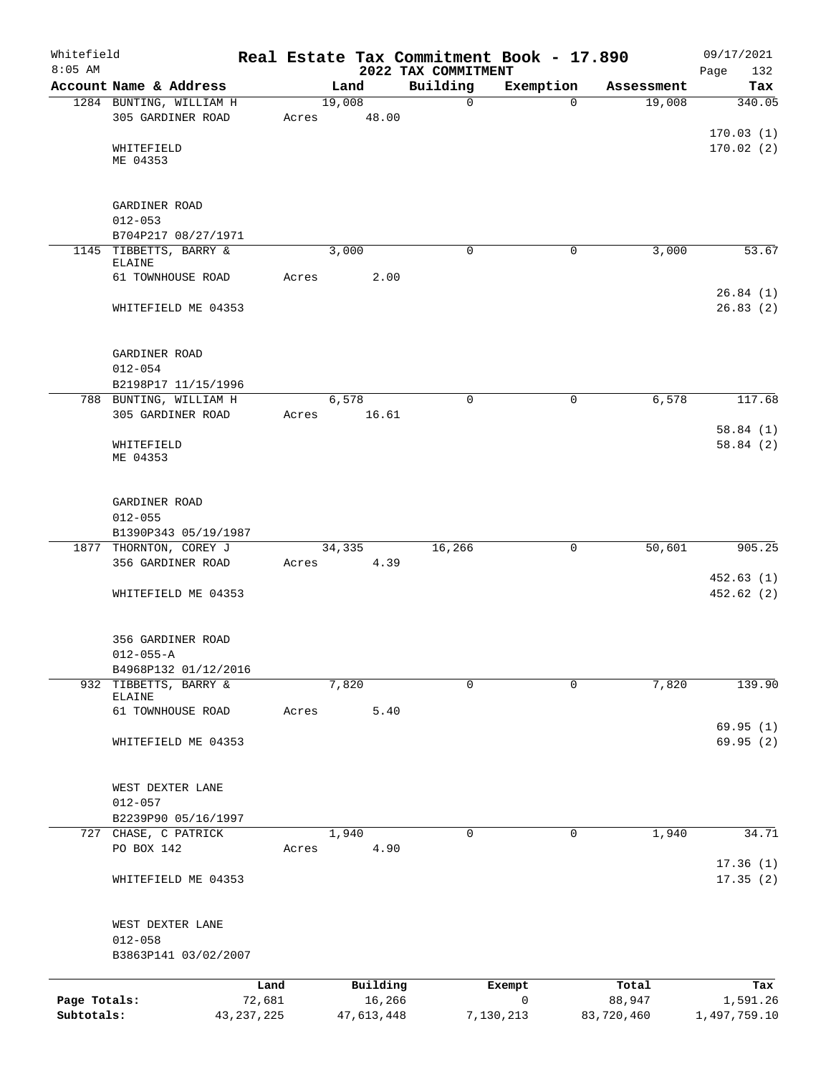| Whitefield   |                                               |                |                    |      |                                 | Real Estate Tax Commitment Book - 17.890 |                 | 09/17/2021              |
|--------------|-----------------------------------------------|----------------|--------------------|------|---------------------------------|------------------------------------------|-----------------|-------------------------|
| $8:05$ AM    | Account Name & Address                        |                | Land               |      | 2022 TAX COMMITMENT<br>Building | Exemption                                | Assessment      | Page<br>132<br>Tax      |
|              | 1284 BUNTING, WILLIAM H                       |                | 19,008             |      | $\mathbf 0$                     | $\Omega$                                 | 19,008          | 340.05                  |
|              | 305 GARDINER ROAD                             | Acres          | 48.00              |      |                                 |                                          |                 |                         |
|              |                                               |                |                    |      |                                 |                                          |                 | 170.03(1)               |
|              | WHITEFIELD<br>ME 04353                        |                |                    |      |                                 |                                          |                 | 170.02(2)               |
|              | GARDINER ROAD                                 |                |                    |      |                                 |                                          |                 |                         |
|              | $012 - 053$                                   |                |                    |      |                                 |                                          |                 |                         |
|              | B704P217 08/27/1971                           |                |                    |      |                                 |                                          |                 |                         |
|              | 1145 TIBBETTS, BARRY &<br><b>ELAINE</b>       |                | 3,000              |      | $\Omega$                        | 0                                        | 3,000           | 53.67                   |
|              | 61 TOWNHOUSE ROAD                             | Acres          |                    | 2.00 |                                 |                                          |                 |                         |
|              | WHITEFIELD ME 04353                           |                |                    |      |                                 |                                          |                 | 26.84(1)<br>26.83(2)    |
|              | GARDINER ROAD                                 |                |                    |      |                                 |                                          |                 |                         |
|              | $012 - 054$                                   |                |                    |      |                                 |                                          |                 |                         |
|              | B2198P17 11/15/1996<br>788 BUNTING, WILLIAM H |                |                    |      | $\mathbf 0$                     | $\mathbf 0$                              | 6,578           | 117.68                  |
|              | 305 GARDINER ROAD                             | Acres          | 6,578<br>16.61     |      |                                 |                                          |                 |                         |
|              |                                               |                |                    |      |                                 |                                          |                 | 58.84(1)                |
|              | WHITEFIELD<br>ME 04353                        |                |                    |      |                                 |                                          |                 | 58.84(2)                |
|              | GARDINER ROAD                                 |                |                    |      |                                 |                                          |                 |                         |
|              | $012 - 055$                                   |                |                    |      |                                 |                                          |                 |                         |
|              | B1390P343 05/19/1987                          |                |                    |      |                                 |                                          |                 |                         |
|              | 1877 THORNTON, COREY J                        |                | 34,335             |      | 16,266                          | 0                                        | 50,601          | 905.25                  |
|              | 356 GARDINER ROAD                             | Acres          |                    | 4.39 |                                 |                                          |                 |                         |
|              | WHITEFIELD ME 04353                           |                |                    |      |                                 |                                          |                 | 452.63(1)<br>452.62 (2) |
|              |                                               |                |                    |      |                                 |                                          |                 |                         |
|              | 356 GARDINER ROAD<br>$012 - 055 - A$          |                |                    |      |                                 |                                          |                 |                         |
|              | B4968P132 01/12/2016                          |                |                    |      |                                 |                                          |                 |                         |
|              | 932 TIBBETTS, BARRY &                         |                | 7,820              |      | $\Omega$                        | $\mathbf 0$                              | 7,820           | 139.90                  |
|              | ELAINE                                        |                |                    |      |                                 |                                          |                 |                         |
|              | 61 TOWNHOUSE ROAD                             | Acres          |                    | 5.40 |                                 |                                          |                 | 69.95(1)                |
|              | WHITEFIELD ME 04353                           |                |                    |      |                                 |                                          |                 | 69.95(2)                |
|              | WEST DEXTER LANE                              |                |                    |      |                                 |                                          |                 |                         |
|              | $012 - 057$                                   |                |                    |      |                                 |                                          |                 |                         |
|              | B2239P90 05/16/1997                           |                |                    |      |                                 |                                          |                 |                         |
|              | 727 CHASE, C PATRICK                          |                | 1,940              |      | 0                               | $\mathbf 0$                              | 1,940           | 34.71                   |
|              | PO BOX 142                                    | Acres          |                    | 4.90 |                                 |                                          |                 |                         |
|              | WHITEFIELD ME 04353                           |                |                    |      |                                 |                                          |                 | 17.36(1)<br>17.35(2)    |
|              | WEST DEXTER LANE                              |                |                    |      |                                 |                                          |                 |                         |
|              | $012 - 058$<br>B3863P141 03/02/2007           |                |                    |      |                                 |                                          |                 |                         |
|              |                                               |                |                    |      |                                 |                                          |                 |                         |
| Page Totals: |                                               | Land<br>72,681 | Building<br>16,266 |      |                                 | Exempt<br>$\mathbf 0$                    | Total<br>88,947 | Tax<br>1,591.26         |
| Subtotals:   | 43, 237, 225                                  |                | 47,613,448         |      |                                 | 7,130,213                                | 83,720,460      | 1,497,759.10            |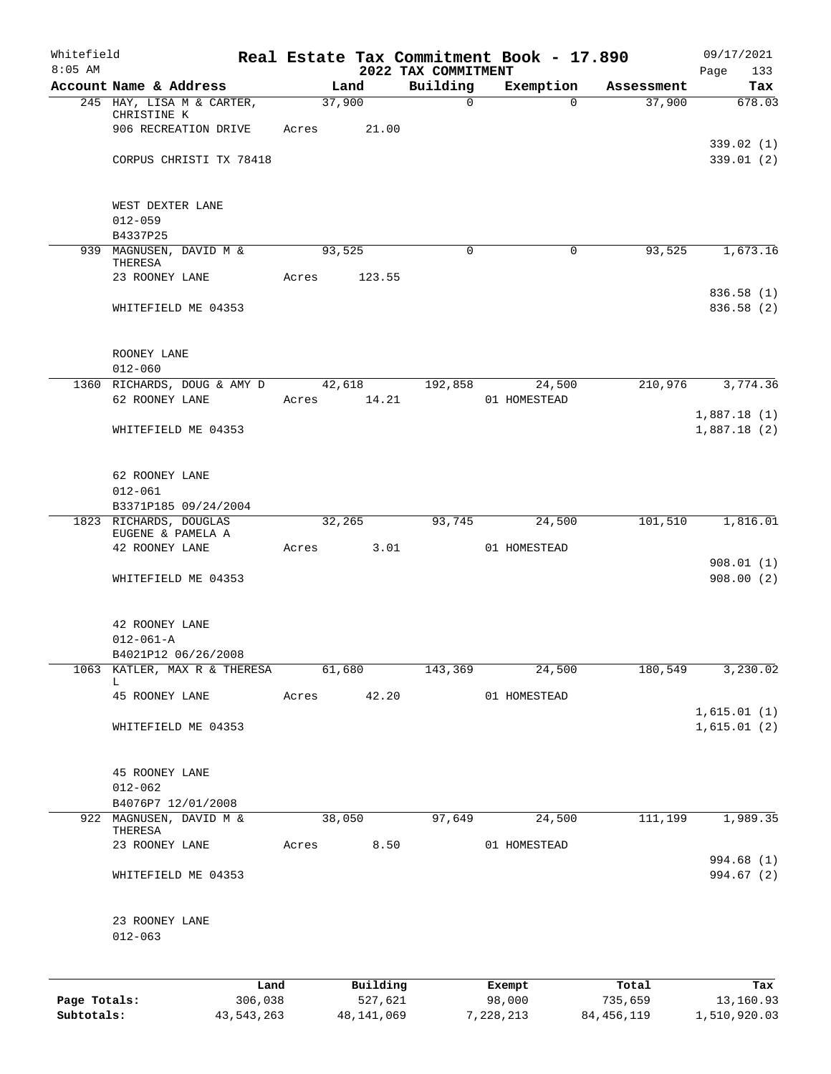| Whitefield<br>$8:05$ AM |                                             |       |        |              | 2022 TAX COMMITMENT | Real Estate Tax Commitment Book - 17.890 |              | 09/17/2021<br>Page<br>133 |
|-------------------------|---------------------------------------------|-------|--------|--------------|---------------------|------------------------------------------|--------------|---------------------------|
|                         | Account Name & Address                      |       | Land   |              | Building            | Exemption                                | Assessment   | Tax                       |
|                         | 245 HAY, LISA M & CARTER,                   |       | 37,900 |              | $\mathsf{O}$        | $\Omega$                                 | 37,900       | 678.03                    |
|                         | CHRISTINE K<br>906 RECREATION DRIVE         | Acres |        | 21.00        |                     |                                          |              |                           |
|                         |                                             |       |        |              |                     |                                          |              | 339.02(1)                 |
|                         | CORPUS CHRISTI TX 78418                     |       |        |              |                     |                                          |              | 339.01(2)                 |
|                         |                                             |       |        |              |                     |                                          |              |                           |
|                         |                                             |       |        |              |                     |                                          |              |                           |
|                         | WEST DEXTER LANE<br>$012 - 059$             |       |        |              |                     |                                          |              |                           |
|                         | B4337P25                                    |       |        |              |                     |                                          |              |                           |
|                         | 939 MAGNUSEN, DAVID M &                     |       | 93,525 |              | $\Omega$            | 0                                        | 93,525       | 1,673.16                  |
|                         | THERESA<br>23 ROONEY LANE                   | Acres |        | 123.55       |                     |                                          |              |                           |
|                         |                                             |       |        |              |                     |                                          |              | 836.58 (1)                |
|                         | WHITEFIELD ME 04353                         |       |        |              |                     |                                          |              | 836.58 (2)                |
|                         |                                             |       |        |              |                     |                                          |              |                           |
|                         |                                             |       |        |              |                     |                                          |              |                           |
|                         | ROONEY LANE<br>$012 - 060$                  |       |        |              |                     |                                          |              |                           |
|                         | 1360 RICHARDS, DOUG & AMY D                 |       | 42,618 |              | 192,858             | 24,500                                   | 210,976      | 3,774.36                  |
|                         | 62 ROONEY LANE                              | Acres |        | 14.21        |                     | 01 HOMESTEAD                             |              |                           |
|                         |                                             |       |        |              |                     |                                          |              | 1,887.18(1)               |
|                         | WHITEFIELD ME 04353                         |       |        |              |                     |                                          |              | 1,887.18(2)               |
|                         |                                             |       |        |              |                     |                                          |              |                           |
|                         | 62 ROONEY LANE                              |       |        |              |                     |                                          |              |                           |
|                         | $012 - 061$                                 |       |        |              |                     |                                          |              |                           |
|                         | B3371P185 09/24/2004                        |       |        |              |                     |                                          |              |                           |
|                         | 1823 RICHARDS, DOUGLAS<br>EUGENE & PAMELA A |       | 32,265 |              | 93,745              | 24,500                                   | 101,510      | 1,816.01                  |
|                         | 42 ROONEY LANE                              | Acres |        | 3.01         |                     | 01 HOMESTEAD                             |              |                           |
|                         |                                             |       |        |              |                     |                                          |              | 908.01(1)                 |
|                         | WHITEFIELD ME 04353                         |       |        |              |                     |                                          |              | 908.00(2)                 |
|                         |                                             |       |        |              |                     |                                          |              |                           |
|                         | 42 ROONEY LANE                              |       |        |              |                     |                                          |              |                           |
|                         | $012 - 061 - A$                             |       |        |              |                     |                                          |              |                           |
|                         | B4021P12 06/26/2008                         |       |        |              |                     |                                          |              |                           |
| 1063                    | KATLER, MAX R & THERESA<br>L                |       | 61,680 |              | 143,369             | 24,500                                   | 180,549      | 3,230.02                  |
|                         | 45 ROONEY LANE                              | Acres |        | 42.20        |                     | 01 HOMESTEAD                             |              |                           |
|                         |                                             |       |        |              |                     |                                          |              | 1,615.01(1)               |
|                         | WHITEFIELD ME 04353                         |       |        |              |                     |                                          |              | 1,615.01(2)               |
|                         |                                             |       |        |              |                     |                                          |              |                           |
|                         | 45 ROONEY LANE                              |       |        |              |                     |                                          |              |                           |
|                         | $012 - 062$                                 |       |        |              |                     |                                          |              |                           |
| 922                     | B4076P7 12/01/2008                          |       |        |              |                     |                                          | 111,199      |                           |
|                         | MAGNUSEN, DAVID M &<br>THERESA              |       | 38,050 |              | 97,649              | 24,500                                   |              | 1,989.35                  |
|                         | 23 ROONEY LANE                              | Acres |        | 8.50         |                     | 01 HOMESTEAD                             |              |                           |
|                         |                                             |       |        |              |                     |                                          |              | 994.68 (1)                |
|                         | WHITEFIELD ME 04353                         |       |        |              |                     |                                          |              | 994.67 (2)                |
|                         |                                             |       |        |              |                     |                                          |              |                           |
|                         | 23 ROONEY LANE                              |       |        |              |                     |                                          |              |                           |
|                         | $012 - 063$                                 |       |        |              |                     |                                          |              |                           |
|                         |                                             |       |        |              |                     |                                          |              |                           |
|                         |                                             | Land  |        | Building     |                     | Exempt                                   | Total        | Tax                       |
| Page Totals:            | 306,038                                     |       |        | 527,621      |                     | 98,000                                   | 735,659      | 13,160.93                 |
| Subtotals:              | 43, 543, 263                                |       |        | 48, 141, 069 |                     | 7,228,213                                | 84, 456, 119 | 1,510,920.03              |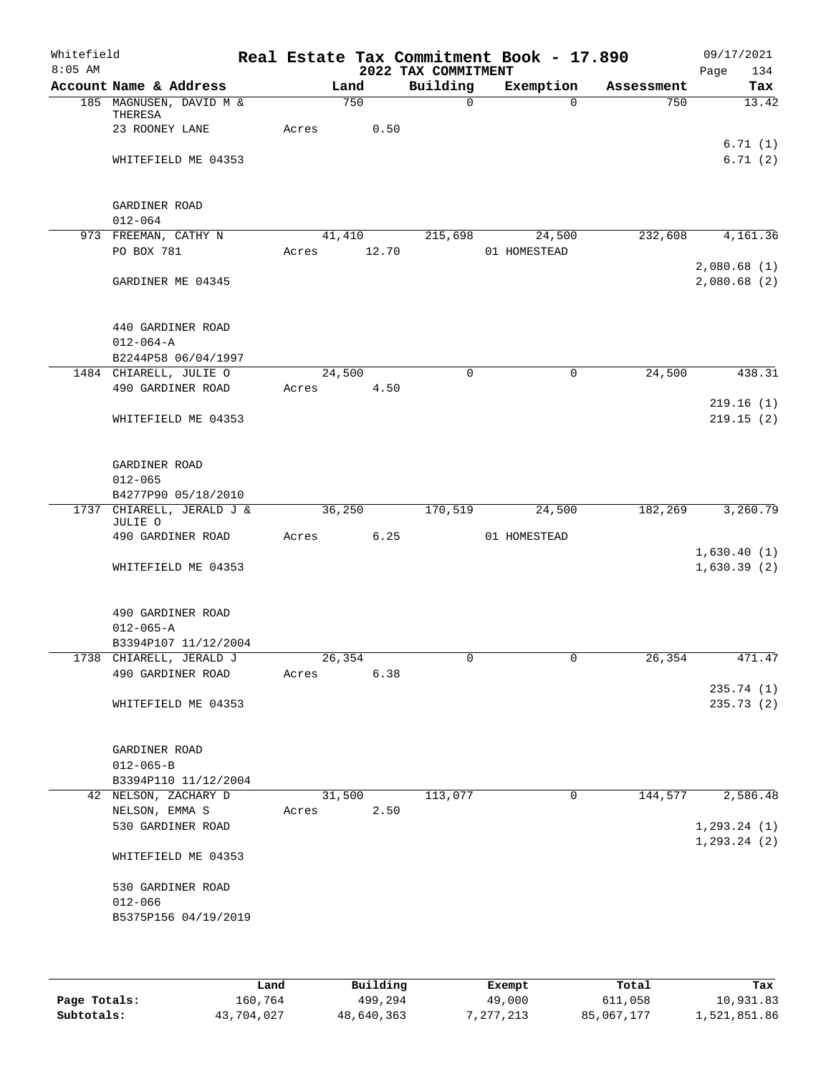| Whitefield<br>$8:05$ AM |                                         |             |      | 2022 TAX COMMITMENT  | Real Estate Tax Commitment Book - 17.890 |            | 09/17/2021<br>Page<br>134     |
|-------------------------|-----------------------------------------|-------------|------|----------------------|------------------------------------------|------------|-------------------------------|
|                         | Account Name & Address                  | Land        |      | Building             | Exemption                                | Assessment | Tax                           |
|                         | 185 MAGNUSEN, DAVID M &                 | 750         |      | $\Omega$             | $\Omega$                                 | 750        | 13.42                         |
|                         | THERESA<br>23 ROONEY LANE               | Acres       | 0.50 |                      |                                          |            |                               |
|                         |                                         |             |      |                      |                                          |            | 6.71(1)                       |
|                         | WHITEFIELD ME 04353                     |             |      |                      |                                          |            | 6.71(2)                       |
|                         | GARDINER ROAD                           |             |      |                      |                                          |            |                               |
|                         | $012 - 064$                             |             |      |                      |                                          |            |                               |
|                         | 973 FREEMAN, CATHY N                    |             |      | 41,410 215,698       | 24,500                                   | 232,608    | 4,161.36                      |
|                         | PO BOX 781                              | Acres 12.70 |      |                      | 01 HOMESTEAD                             |            |                               |
|                         |                                         |             |      |                      |                                          |            | 2,080.68(1)                   |
|                         | GARDINER ME 04345                       |             |      |                      |                                          |            | 2,080.68(2)                   |
|                         | 440 GARDINER ROAD                       |             |      |                      |                                          |            |                               |
|                         | $012 - 064 - A$                         |             |      |                      |                                          |            |                               |
|                         | B2244P58 06/04/1997                     |             |      |                      |                                          |            |                               |
|                         | 1484 CHIARELL, JULIE O                  | 24,500      |      | $\mathbf 0$          | $\mathbf 0$                              | 24,500     | 438.31                        |
|                         | 490 GARDINER ROAD                       | Acres 4.50  |      |                      |                                          |            |                               |
|                         | WHITEFIELD ME 04353                     |             |      |                      |                                          |            | 219.16(1)<br>219.15(2)        |
|                         | GARDINER ROAD                           |             |      |                      |                                          |            |                               |
|                         | $012 - 065$                             |             |      |                      |                                          |            |                               |
|                         | B4277P90 05/18/2010                     |             |      |                      |                                          |            |                               |
|                         | 1737 CHIARELL, JERALD J &<br>JULIE O    | 36,250      |      | 170,519              | 24,500                                   |            | 182,269 3,260.79              |
|                         | 490 GARDINER ROAD                       | Acres       | 6.25 |                      | 01 HOMESTEAD                             |            |                               |
|                         |                                         |             |      |                      |                                          |            | 1,630.40(1)                   |
|                         | WHITEFIELD ME 04353                     |             |      |                      |                                          |            | 1,630.39(2)                   |
|                         | 490 GARDINER ROAD                       |             |      |                      |                                          |            |                               |
|                         | $012 - 065 - A$<br>B3394P107 11/12/2004 |             |      |                      |                                          |            |                               |
|                         | 1738 CHIARELL, JERALD J                 | 26, 354     |      | 0                    | 0                                        | 26, 354    | 471.47                        |
|                         | 490 GARDINER ROAD                       | Acres       | 6.38 |                      |                                          |            |                               |
|                         | WHITEFIELD ME 04353                     |             |      |                      |                                          |            | 235.74(1)<br>235.73(2)        |
|                         |                                         |             |      |                      |                                          |            |                               |
|                         | GARDINER ROAD                           |             |      |                      |                                          |            |                               |
|                         | $012 - 065 - B$                         |             |      |                      |                                          |            |                               |
|                         | B3394P110 11/12/2004                    |             |      |                      |                                          |            |                               |
|                         | 42 NELSON, ZACHARY D                    | 31,500      |      | $1\overline{13,077}$ | $\mathbf 0$                              | 144,577    | 2,586.48                      |
|                         | NELSON, EMMA S                          | Acres       | 2.50 |                      |                                          |            |                               |
|                         | 530 GARDINER ROAD                       |             |      |                      |                                          |            | 1, 293.24(1)<br>1, 293.24 (2) |
|                         | WHITEFIELD ME 04353                     |             |      |                      |                                          |            |                               |
|                         | 530 GARDINER ROAD                       |             |      |                      |                                          |            |                               |
|                         | $012 - 066$<br>B5375P156 04/19/2019     |             |      |                      |                                          |            |                               |
|                         |                                         |             |      |                      |                                          |            |                               |
|                         |                                         |             |      |                      |                                          |            |                               |

|              | Land       | Building   | Exempt    | Total      | Tax          |
|--------------|------------|------------|-----------|------------|--------------|
| Page Totals: | 160,764    | 499,294    | 49,000    | 611,058    | 10,931.83    |
| Subtotals:   | 43,704,027 | 48,640,363 | 7,277,213 | 85,067,177 | 1,521,851.86 |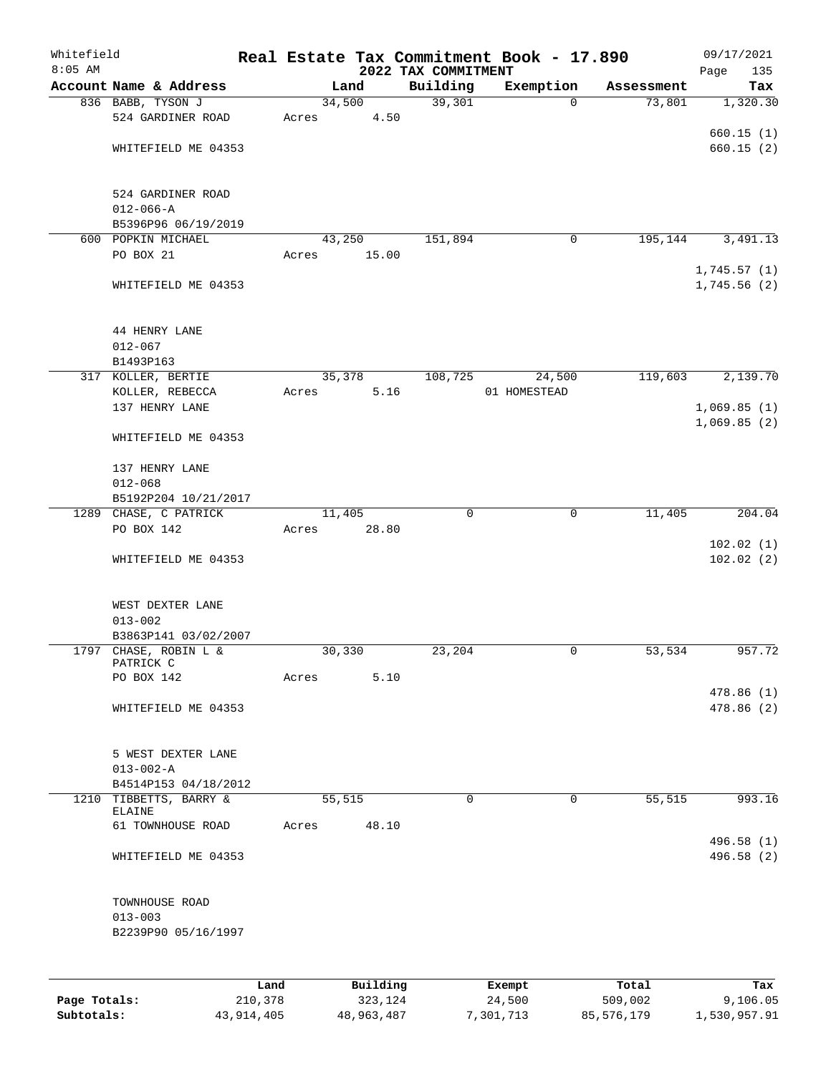| Whitefield   |                                                |       |          |                                 | Real Estate Tax Commitment Book - 17.890 |            | 09/17/2021             |
|--------------|------------------------------------------------|-------|----------|---------------------------------|------------------------------------------|------------|------------------------|
| $8:05$ AM    | Account Name & Address                         |       | Land     | 2022 TAX COMMITMENT<br>Building | Exemption                                | Assessment | 135<br>Page<br>Tax     |
|              | 836 BABB, TYSON J                              |       | 34,500   | 39,301                          | $\mathbf{0}$                             | 73,801     | 1,320.30               |
|              | 524 GARDINER ROAD                              | Acres | 4.50     |                                 |                                          |            |                        |
|              |                                                |       |          |                                 |                                          |            | 660.15(1)              |
|              | WHITEFIELD ME 04353                            |       |          |                                 |                                          |            | 660.15(2)              |
|              |                                                |       |          |                                 |                                          |            |                        |
|              |                                                |       |          |                                 |                                          |            |                        |
|              | 524 GARDINER ROAD                              |       |          |                                 |                                          |            |                        |
|              | $012 - 066 - A$<br>B5396P96 06/19/2019         |       |          |                                 |                                          |            |                        |
|              | 600 POPKIN MICHAEL                             |       | 43,250   | 151,894                         | 0                                        | 195,144    | 3,491.13               |
|              | PO BOX 21                                      | Acres | 15.00    |                                 |                                          |            |                        |
|              |                                                |       |          |                                 |                                          |            | 1,745.57(1)            |
|              | WHITEFIELD ME 04353                            |       |          |                                 |                                          |            | 1,745.56(2)            |
|              | 44 HENRY LANE                                  |       |          |                                 |                                          |            |                        |
|              | $012 - 067$                                    |       |          |                                 |                                          |            |                        |
|              | B1493P163                                      |       |          |                                 |                                          |            |                        |
|              | 317 KOLLER, BERTIE                             |       | 35,378   | 108,725                         | 24,500                                   | 119,603    | 2,139.70               |
|              | KOLLER, REBECCA                                | Acres | 5.16     |                                 | 01 HOMESTEAD                             |            |                        |
|              | 137 HENRY LANE                                 |       |          |                                 |                                          |            | 1,069.85(1)            |
|              | WHITEFIELD ME 04353                            |       |          |                                 |                                          |            | 1,069.85(2)            |
|              | 137 HENRY LANE                                 |       |          |                                 |                                          |            |                        |
|              | $012 - 068$                                    |       |          |                                 |                                          |            |                        |
|              | B5192P204 10/21/2017                           |       |          |                                 |                                          |            |                        |
|              | 1289 CHASE, C PATRICK                          |       | 11,405   | $\mathbf 0$                     | $\mathbf 0$                              | 11,405     | 204.04                 |
|              | PO BOX 142                                     | Acres | 28.80    |                                 |                                          |            |                        |
|              | WHITEFIELD ME 04353                            |       |          |                                 |                                          |            | 102.02(1)<br>102.02(2) |
|              | WEST DEXTER LANE                               |       |          |                                 |                                          |            |                        |
|              | $013 - 002$                                    |       |          |                                 |                                          |            |                        |
|              | B3863P141 03/02/2007                           |       |          |                                 |                                          |            |                        |
|              | 1797 CHASE, ROBIN L &                          |       | 30,330   | 23,204                          | 0                                        | 53,534     | 957.72                 |
|              | PATRICK C                                      |       |          |                                 |                                          |            |                        |
|              | PO BOX 142                                     | Acres | 5.10     |                                 |                                          |            | 478.86(1)              |
|              | WHITEFIELD ME 04353                            |       |          |                                 |                                          |            | 478.86(2)              |
|              |                                                |       |          |                                 |                                          |            |                        |
|              |                                                |       |          |                                 |                                          |            |                        |
|              | 5 WEST DEXTER LANE                             |       |          |                                 |                                          |            |                        |
|              | $013 - 002 - A$                                |       |          |                                 |                                          |            |                        |
|              | B4514P153 04/18/2012<br>1210 TIBBETTS, BARRY & |       | 55,515   | $\Omega$                        | $\mathbf 0$                              | 55,515     | 993.16                 |
|              | ELAINE                                         |       |          |                                 |                                          |            |                        |
|              | 61 TOWNHOUSE ROAD                              | Acres | 48.10    |                                 |                                          |            |                        |
|              |                                                |       |          |                                 |                                          |            | 496.58 (1)             |
|              | WHITEFIELD ME 04353                            |       |          |                                 |                                          |            | 496.58(2)              |
|              | TOWNHOUSE ROAD                                 |       |          |                                 |                                          |            |                        |
|              | $013 - 003$                                    |       |          |                                 |                                          |            |                        |
|              | B2239P90 05/16/1997                            |       |          |                                 |                                          |            |                        |
|              |                                                |       |          |                                 |                                          |            |                        |
|              |                                                | Land  | Building |                                 | Exempt                                   | Total      | Tax                    |
| Page Totals: | 210,378                                        |       | 323,124  |                                 | 24,500                                   | 509,002    | 9,106.05               |

**Subtotals:** 43,914,405 48,963,487 7,301,713 85,576,179 1,530,957.91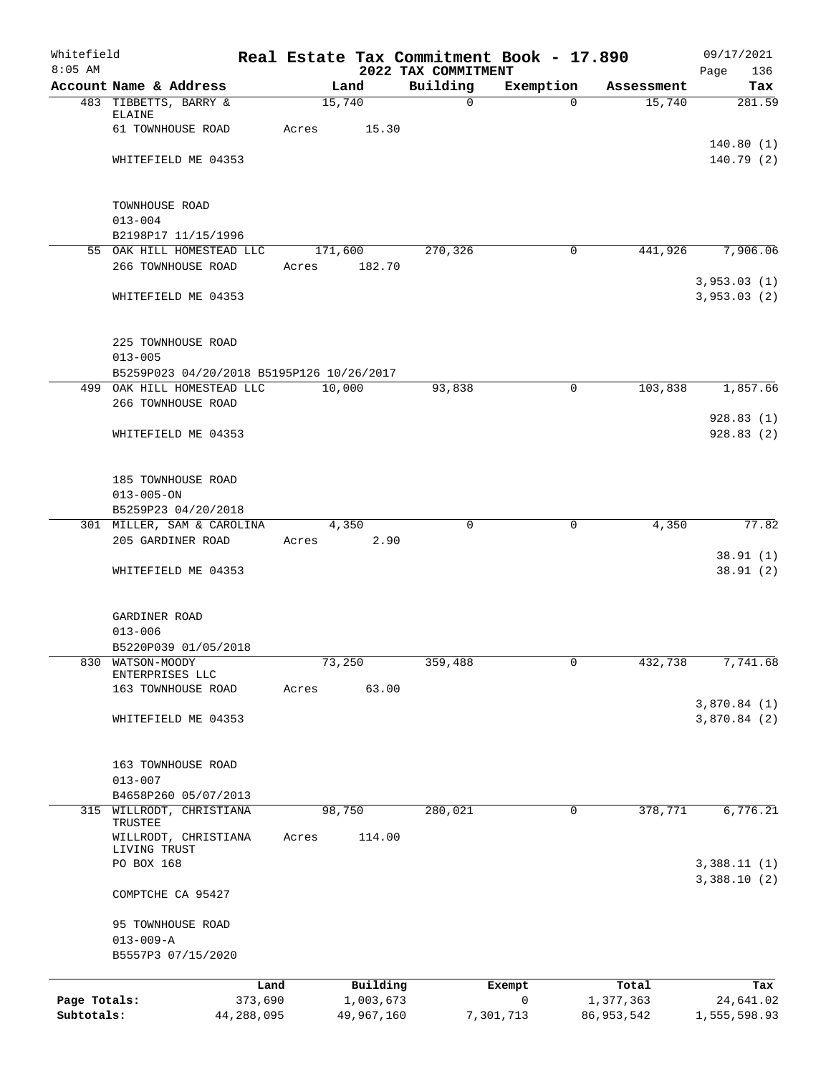| Whitefield<br>$8:05$ AM |                                           |         |            | 2022 TAX COMMITMENT | Real Estate Tax Commitment Book - 17.890 |              | 09/17/2021<br>136<br>Page |
|-------------------------|-------------------------------------------|---------|------------|---------------------|------------------------------------------|--------------|---------------------------|
|                         | Account Name & Address                    |         | Land       | Building            | Exemption                                | Assessment   | Tax                       |
|                         | 483 TIBBETTS, BARRY &                     | 15,740  |            | 0                   | $\Omega$                                 | 15,740       | 281.59                    |
|                         | ELAINE                                    |         |            |                     |                                          |              |                           |
|                         | 61 TOWNHOUSE ROAD                         | Acres   | 15.30      |                     |                                          |              |                           |
|                         |                                           |         |            |                     |                                          |              | 140.80(1)                 |
|                         | WHITEFIELD ME 04353                       |         |            |                     |                                          |              | 140.79(2)                 |
|                         | TOWNHOUSE ROAD                            |         |            |                     |                                          |              |                           |
|                         | $013 - 004$                               |         |            |                     |                                          |              |                           |
|                         | B2198P17 11/15/1996                       |         |            |                     |                                          |              |                           |
|                         | 55 OAK HILL HOMESTEAD LLC                 | 171,600 |            | 270,326             | 0                                        | 441,926      | 7,906.06                  |
|                         | 266 TOWNHOUSE ROAD                        | Acres   | 182.70     |                     |                                          |              |                           |
|                         |                                           |         |            |                     |                                          |              | 3,953.03(1)               |
|                         | WHITEFIELD ME 04353                       |         |            |                     |                                          |              | 3,953.03(2)               |
|                         | 225 TOWNHOUSE ROAD                        |         |            |                     |                                          |              |                           |
|                         | $013 - 005$                               |         |            |                     |                                          |              |                           |
|                         | B5259P023 04/20/2018 B5195P126 10/26/2017 |         |            |                     |                                          |              |                           |
|                         | 499 OAK HILL HOMESTEAD LLC                | 10,000  |            | 93,838              | 0                                        | 103,838      | 1,857.66                  |
|                         | 266 TOWNHOUSE ROAD                        |         |            |                     |                                          |              |                           |
|                         |                                           |         |            |                     |                                          |              | 928.83(1)                 |
|                         | WHITEFIELD ME 04353                       |         |            |                     |                                          |              | 928.83(2)                 |
|                         | 185 TOWNHOUSE ROAD                        |         |            |                     |                                          |              |                           |
|                         | $013 - 005 - ON$                          |         |            |                     |                                          |              |                           |
|                         | B5259P23 04/20/2018                       |         |            |                     |                                          |              |                           |
|                         | 301 MILLER, SAM & CAROLINA                | 4,350   |            | $\mathbf 0$         | 0                                        | 4,350        | 77.82                     |
|                         | 205 GARDINER ROAD                         | Acres   | 2.90       |                     |                                          |              |                           |
|                         | WHITEFIELD ME 04353                       |         |            |                     |                                          |              | 38.91(1)<br>38.91(2)      |
|                         |                                           |         |            |                     |                                          |              |                           |
|                         | GARDINER ROAD<br>$013 - 006$              |         |            |                     |                                          |              |                           |
|                         | B5220P039 01/05/2018                      |         |            |                     |                                          |              |                           |
| 830                     | WATSON-MOODY                              | 73,250  |            | 359,488             | 0                                        | 432,738      | 7,741.68                  |
|                         | ENTERPRISES LLC                           |         |            |                     |                                          |              |                           |
|                         | 163 TOWNHOUSE ROAD                        | Acres   | 63.00      |                     |                                          |              |                           |
|                         |                                           |         |            |                     |                                          |              | 3,870.84(1)               |
|                         | WHITEFIELD ME 04353                       |         |            |                     |                                          |              | 3,870.84(2)               |
|                         | 163 TOWNHOUSE ROAD                        |         |            |                     |                                          |              |                           |
|                         | $013 - 007$                               |         |            |                     |                                          |              |                           |
|                         | B4658P260 05/07/2013                      |         |            |                     |                                          |              |                           |
| 315                     | WILLRODT, CHRISTIANA                      | 98,750  |            | 280,021             | $\mathbf 0$                              | 378,771      | 6,776.21                  |
|                         | TRUSTEE<br>WILLRODT, CHRISTIANA           | Acres   | 114.00     |                     |                                          |              |                           |
|                         | LIVING TRUST<br>PO BOX 168                |         |            |                     |                                          |              | 3,388.11(1)               |
|                         | COMPTCHE CA 95427                         |         |            |                     |                                          |              | 3,388.10(2)               |
|                         |                                           |         |            |                     |                                          |              |                           |
|                         | 95 TOWNHOUSE ROAD<br>$013 - 009 - A$      |         |            |                     |                                          |              |                           |
|                         | B5557P3 07/15/2020                        |         |            |                     |                                          |              |                           |
|                         |                                           |         |            |                     |                                          |              |                           |
|                         | Land                                      |         | Building   |                     | Exempt                                   | Total        | Tax                       |
| Page Totals:            | 373,690                                   |         | 1,003,673  |                     | 0                                        | 1,377,363    | 24,641.02                 |
| Subtotals:              | 44,288,095                                |         | 49,967,160 |                     | 7,301,713                                | 86, 953, 542 | 1,555,598.93              |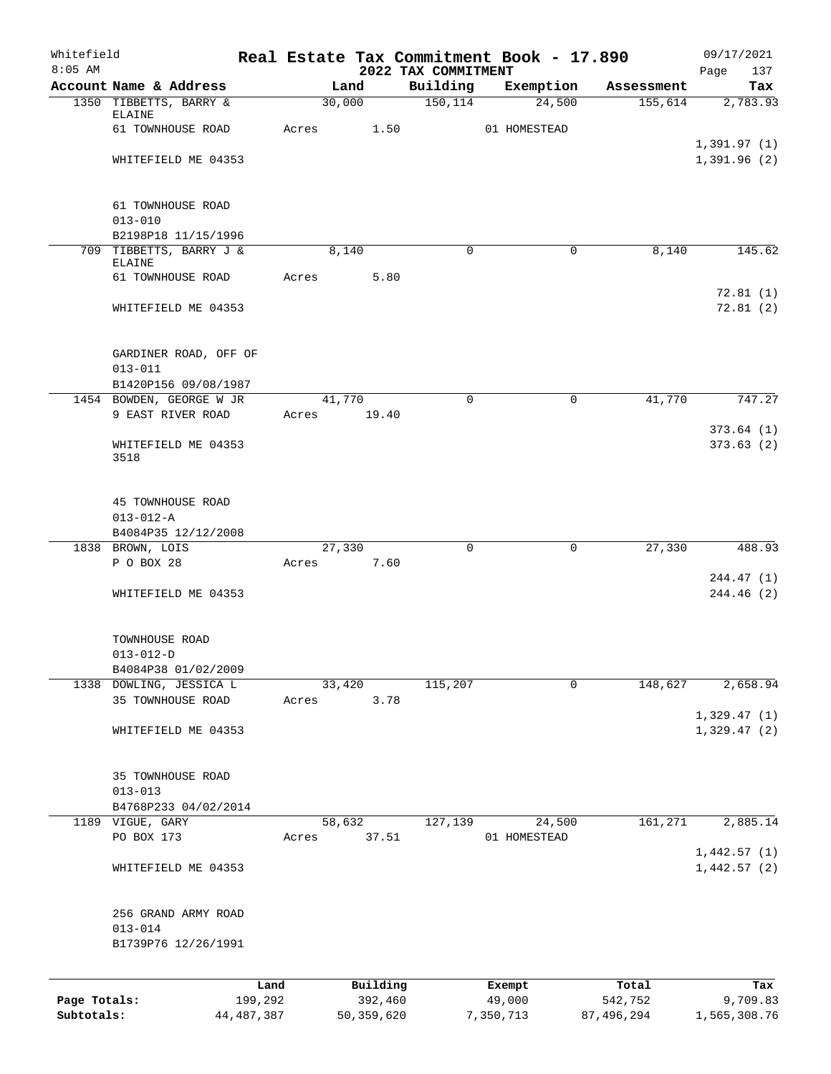| Whitefield<br>$8:05$ AM |                                                             |       |                     | 2022 TAX COMMITMENT | Real Estate Tax Commitment Book - 17.890 |                  | 09/17/2021                 |
|-------------------------|-------------------------------------------------------------|-------|---------------------|---------------------|------------------------------------------|------------------|----------------------------|
|                         | Account Name & Address                                      |       | Land                | Building            | Exemption                                | Assessment       | 137<br>Page<br>Tax         |
|                         | 1350 TIBBETTS, BARRY &                                      |       | 30,000              | 150, 114            | 24,500                                   | 155,614          | 2,783.93                   |
|                         | ELAINE<br>61 TOWNHOUSE ROAD                                 |       |                     |                     |                                          |                  |                            |
|                         |                                                             | Acres | 1.50                |                     | 01 HOMESTEAD                             |                  | 1,391.97(1)                |
|                         | WHITEFIELD ME 04353                                         |       |                     |                     |                                          |                  | 1,391.96(2)                |
|                         | 61 TOWNHOUSE ROAD                                           |       |                     |                     |                                          |                  |                            |
|                         | $013 - 010$                                                 |       |                     |                     |                                          |                  |                            |
|                         | B2198P18 11/15/1996                                         |       |                     |                     |                                          |                  |                            |
|                         | 709 TIBBETTS, BARRY J &<br>ELAINE                           |       | 8,140               | $\mathbf 0$         | 0                                        | 8,140            | 145.62                     |
|                         | 61 TOWNHOUSE ROAD                                           | Acres | 5.80                |                     |                                          |                  |                            |
|                         |                                                             |       |                     |                     |                                          |                  | 72.81(1)                   |
|                         | WHITEFIELD ME 04353                                         |       |                     |                     |                                          |                  | 72.81(2)                   |
|                         | GARDINER ROAD, OFF OF<br>$013 - 011$                        |       |                     |                     |                                          |                  |                            |
|                         | B1420P156 09/08/1987                                        |       |                     |                     |                                          |                  |                            |
|                         | 1454 BOWDEN, GEORGE W JR                                    |       | 41,770              | $\Omega$            | $\mathbf 0$                              | 41,770           | 747.27                     |
|                         | 9 EAST RIVER ROAD                                           | Acres | 19.40               |                     |                                          |                  |                            |
|                         | WHITEFIELD ME 04353<br>3518                                 |       |                     |                     |                                          |                  | 373.64(1)<br>373.63(2)     |
|                         | 45 TOWNHOUSE ROAD<br>$013 - 012 - A$<br>B4084P35 12/12/2008 |       |                     |                     |                                          |                  |                            |
|                         | 1838 BROWN, LOIS                                            |       | 27,330              | $\mathbf 0$         | $\mathbf 0$                              | 27,330           | 488.93                     |
|                         | P O BOX 28                                                  | Acres | 7.60                |                     |                                          |                  |                            |
|                         | WHITEFIELD ME 04353                                         |       |                     |                     |                                          |                  | 244.47 (1)<br>244.46 (2)   |
|                         | TOWNHOUSE ROAD<br>$013 - 012 - D$                           |       |                     |                     |                                          |                  |                            |
|                         | B4084P38 01/02/2009                                         |       |                     |                     |                                          |                  |                            |
|                         | 1338 DOWLING, JESSICA L<br>35 TOWNHOUSE ROAD                | Acres | 33,420<br>3.78      | 115,207             | 0                                        | 148,627          | 2,658.94                   |
|                         |                                                             |       |                     |                     |                                          |                  | 1,329.47(1)                |
|                         | WHITEFIELD ME 04353                                         |       |                     |                     |                                          |                  | 1,329.47(2)                |
|                         | 35 TOWNHOUSE ROAD<br>$013 - 013$                            |       |                     |                     |                                          |                  |                            |
|                         | B4768P233 04/02/2014                                        |       |                     |                     |                                          |                  |                            |
|                         | 1189 VIGUE, GARY                                            |       | 58,632              | 127,139             | 24,500                                   | 161,271          | 2,885.14                   |
|                         | PO BOX 173                                                  | Acres | 37.51               |                     | 01 HOMESTEAD                             |                  |                            |
|                         | WHITEFIELD ME 04353                                         |       |                     |                     |                                          |                  | 1,442.57(1)<br>1,442.57(2) |
|                         | 256 GRAND ARMY ROAD<br>$013 - 014$                          |       |                     |                     |                                          |                  |                            |
|                         | B1739P76 12/26/1991                                         |       |                     |                     |                                          |                  |                            |
| Page Totals:            | 199,292                                                     | Land  | Building<br>392,460 |                     | Exempt<br>49,000                         | Total<br>542,752 | Tax<br>9,709.83            |

**Subtotals:** 44,487,387 50,359,620 7,350,713 87,496,294 1,565,308.76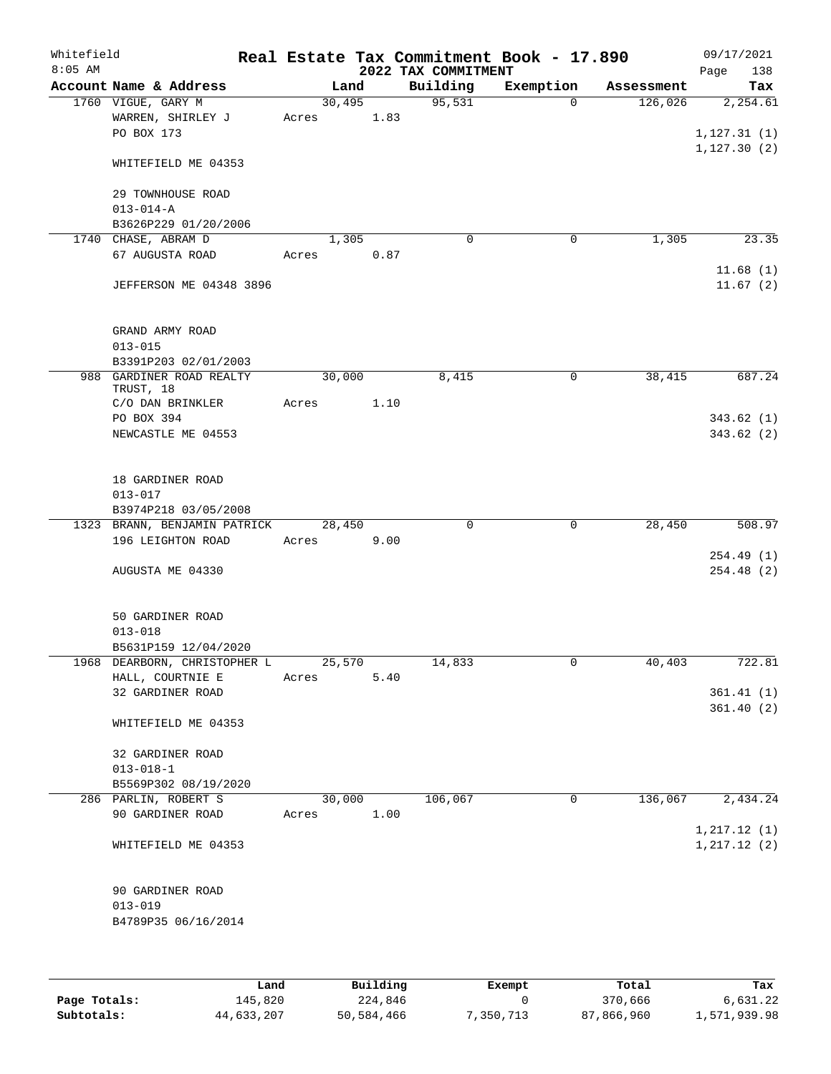| Whitefield<br>$8:05$ AM |                                                       |       |        |      | Real Estate Tax Commitment Book - 17.890<br>2022 TAX COMMITMENT |           |            | 09/17/2021<br>Page<br>138    |
|-------------------------|-------------------------------------------------------|-------|--------|------|-----------------------------------------------------------------|-----------|------------|------------------------------|
|                         | Account Name & Address                                |       | Land   |      | Building                                                        | Exemption | Assessment | Tax                          |
|                         | 1760 VIGUE, GARY M<br>WARREN, SHIRLEY J<br>PO BOX 173 | Acres | 30,495 | 1.83 | 95,531                                                          | $\Omega$  | 126,026    | 2,254.61<br>1, 127.31(1)     |
|                         | WHITEFIELD ME 04353                                   |       |        |      |                                                                 |           |            | 1,127.30(2)                  |
|                         | 29 TOWNHOUSE ROAD<br>$013 - 014 - A$                  |       |        |      |                                                                 |           |            |                              |
|                         | B3626P229 01/20/2006                                  |       |        |      |                                                                 |           |            |                              |
|                         | 1740 CHASE, ABRAM D                                   |       | 1,305  |      | $\mathbf 0$                                                     | 0         | 1,305      | 23.35                        |
|                         | 67 AUGUSTA ROAD                                       | Acres |        | 0.87 |                                                                 |           |            |                              |
|                         | JEFFERSON ME 04348 3896                               |       |        |      |                                                                 |           |            | 11.68(1)<br>11.67(2)         |
|                         | GRAND ARMY ROAD<br>$013 - 015$                        |       |        |      |                                                                 |           |            |                              |
|                         | B3391P203 02/01/2003                                  |       |        |      |                                                                 |           |            |                              |
|                         | 988 GARDINER ROAD REALTY<br>TRUST, 18                 |       | 30,000 |      | 8,415                                                           | 0         | 38,415     | 687.24                       |
|                         | C/O DAN BRINKLER                                      | Acres |        | 1.10 |                                                                 |           |            |                              |
|                         | PO BOX 394<br>NEWCASTLE ME 04553                      |       |        |      |                                                                 |           |            | 343.62(1)<br>343.62 (2)      |
|                         | 18 GARDINER ROAD<br>$013 - 017$                       |       |        |      |                                                                 |           |            |                              |
|                         | B3974P218 03/05/2008                                  |       |        |      |                                                                 |           |            |                              |
|                         | 1323 BRANN, BENJAMIN PATRICK                          |       | 28,450 |      | 0                                                               | 0         | 28,450     | $\overline{508}$ .97         |
|                         | 196 LEIGHTON ROAD                                     | Acres |        | 9.00 |                                                                 |           |            |                              |
|                         |                                                       |       |        |      |                                                                 |           |            | 254.49(1)                    |
|                         | AUGUSTA ME 04330                                      |       |        |      |                                                                 |           |            | 254.48(2)                    |
|                         | 50 GARDINER ROAD<br>$013 - 018$                       |       |        |      |                                                                 |           |            |                              |
|                         | B5631P159 12/04/2020                                  |       |        |      |                                                                 |           |            |                              |
|                         | 1968 DEARBORN, CHRISTOPHER L                          |       | 25,570 |      | 14,833                                                          | 0         | 40,403     | 722.81                       |
|                         | HALL, COURTNIE E                                      | Acres |        | 5.40 |                                                                 |           |            |                              |
|                         | 32 GARDINER ROAD                                      |       |        |      |                                                                 |           |            | 361.41(1)<br>361.40(2)       |
|                         | WHITEFIELD ME 04353                                   |       |        |      |                                                                 |           |            |                              |
|                         | 32 GARDINER ROAD                                      |       |        |      |                                                                 |           |            |                              |
|                         | $013 - 018 - 1$                                       |       |        |      |                                                                 |           |            |                              |
|                         | B5569P302 08/19/2020                                  |       |        |      |                                                                 |           |            |                              |
|                         | 286 PARLIN, ROBERT S                                  |       | 30,000 |      | 106,067                                                         | 0         | 136,067    | 2,434.24                     |
|                         | 90 GARDINER ROAD                                      | Acres |        | 1.00 |                                                                 |           |            |                              |
|                         | WHITEFIELD ME 04353                                   |       |        |      |                                                                 |           |            | 1, 217.12(1)<br>1, 217.12(2) |
|                         | 90 GARDINER ROAD<br>$013 - 019$                       |       |        |      |                                                                 |           |            |                              |
|                         | B4789P35 06/16/2014                                   |       |        |      |                                                                 |           |            |                              |
|                         |                                                       |       |        |      |                                                                 |           |            |                              |

|              | Land       | Building   | Exempt    | Total      | Tax          |
|--------------|------------|------------|-----------|------------|--------------|
| Page Totals: | 145,820    | 224,846    |           | 370,666    | 6,631.22     |
| Subtotals:   | 44,633,207 | 50,584,466 | 7,350,713 | 87,866,960 | 1,571,939.98 |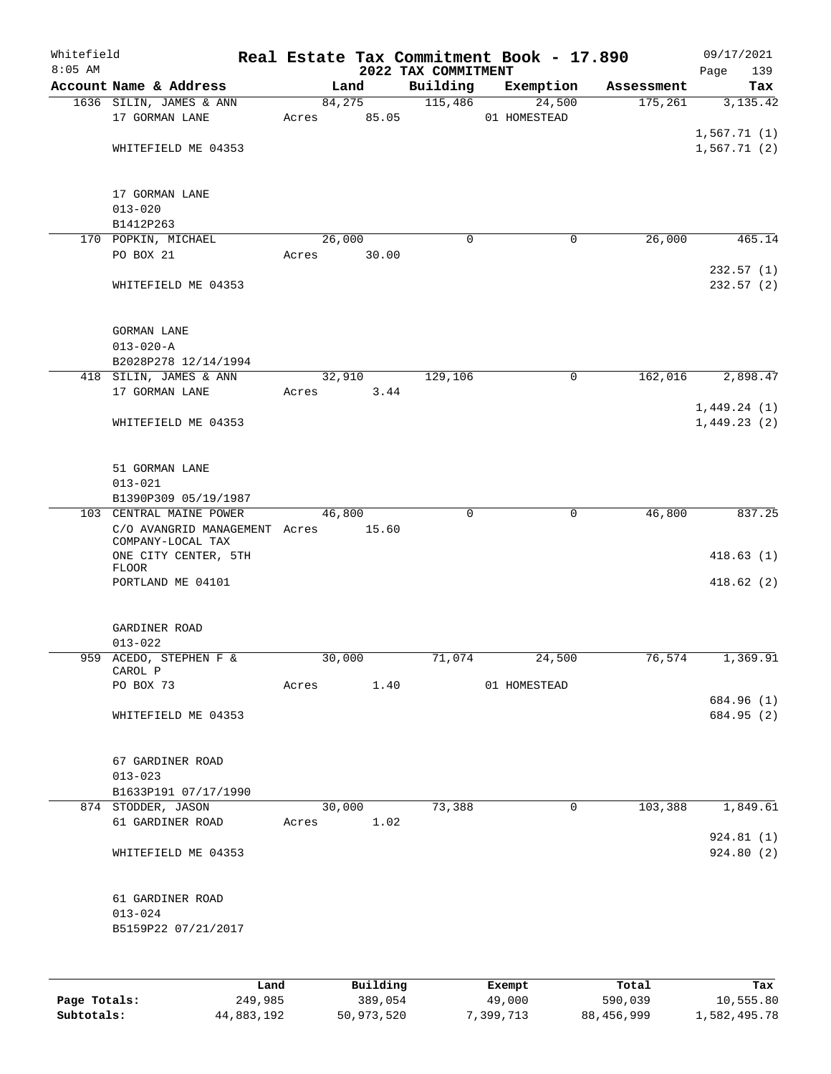| 2022 TAX COMMITMENT<br>Account Name & Address<br>Building<br>Exemption<br>Land<br>Assessment<br>84, 275<br>115,486<br>24,500<br>175,261<br>1636 SILIN, JAMES & ANN<br>17 GORMAN LANE<br>Acres 85.05<br>01 HOMESTEAD<br>WHITEFIELD ME 04353<br>17 GORMAN LANE<br>$013 - 020$<br>B1412P263<br>170 POPKIN, MICHAEL<br>26,000<br>26,000<br>$\Omega$<br>0<br>PO BOX 21<br>Acres<br>30.00<br>232.57(1)<br>WHITEFIELD ME 04353<br><b>GORMAN LANE</b><br>$013 - 020 - A$<br>B2028P278 12/14/1994<br>129,106<br>418 SILIN, JAMES & ANN<br>32,910<br>$\mathbf 0$<br>162,016<br>2,898.47<br>17 GORMAN LANE<br>3.44<br>Acres<br>1,449.24(1)<br>WHITEFIELD ME 04353<br>1,449.23(2)<br>51 GORMAN LANE<br>$013 - 021$<br>B1390P309 05/19/1987<br>103 CENTRAL MAINE POWER<br>46,800<br>$\Omega$<br>0<br>46,800<br>837.25<br>C/O AVANGRID MANAGEMENT Acres 15.60<br>COMPANY-LOCAL TAX<br>ONE CITY CENTER, 5TH<br>FLOOR<br>PORTLAND ME 04101<br>GARDINER ROAD<br>$013 - 022$<br>30,000<br>76,574<br>1,369.91<br>959 ACEDO, STEPHEN F &<br>71,074<br>24,500<br>CAROL P<br>PO BOX 73<br>Acres<br>1.40<br>01 HOMESTEAD<br>684.96 (1)<br>WHITEFIELD ME 04353<br>67 GARDINER ROAD<br>$013 - 023$<br>B1633P191 07/17/1990<br>30,000<br>73,388<br>0<br>103,388<br>1,849.61<br>874 STODDER, JASON<br>61 GARDINER ROAD<br>1.02<br>Acres<br>924.81(1)<br>WHITEFIELD ME 04353<br>61 GARDINER ROAD<br>$013 - 024$<br>B5159P22 07/21/2017<br>Building<br>Land<br>Exempt<br>Total<br>Page Totals:<br>249,985<br>389,054<br>49,000<br>590,039<br>10,555.80 | Whitefield<br>$8:05$ AM |  |  | Real Estate Tax Commitment Book - 17.890 | 09/17/2021         |
|---------------------------------------------------------------------------------------------------------------------------------------------------------------------------------------------------------------------------------------------------------------------------------------------------------------------------------------------------------------------------------------------------------------------------------------------------------------------------------------------------------------------------------------------------------------------------------------------------------------------------------------------------------------------------------------------------------------------------------------------------------------------------------------------------------------------------------------------------------------------------------------------------------------------------------------------------------------------------------------------------------------------------------------------------------------------------------------------------------------------------------------------------------------------------------------------------------------------------------------------------------------------------------------------------------------------------------------------------------------------------------------------------------------------------------------------------------------------------------------------------------------------------|-------------------------|--|--|------------------------------------------|--------------------|
|                                                                                                                                                                                                                                                                                                                                                                                                                                                                                                                                                                                                                                                                                                                                                                                                                                                                                                                                                                                                                                                                                                                                                                                                                                                                                                                                                                                                                                                                                                                           |                         |  |  |                                          | Page<br>139<br>Tax |
|                                                                                                                                                                                                                                                                                                                                                                                                                                                                                                                                                                                                                                                                                                                                                                                                                                                                                                                                                                                                                                                                                                                                                                                                                                                                                                                                                                                                                                                                                                                           |                         |  |  |                                          | 3,135.42           |
|                                                                                                                                                                                                                                                                                                                                                                                                                                                                                                                                                                                                                                                                                                                                                                                                                                                                                                                                                                                                                                                                                                                                                                                                                                                                                                                                                                                                                                                                                                                           |                         |  |  |                                          |                    |
|                                                                                                                                                                                                                                                                                                                                                                                                                                                                                                                                                                                                                                                                                                                                                                                                                                                                                                                                                                                                                                                                                                                                                                                                                                                                                                                                                                                                                                                                                                                           |                         |  |  |                                          | 1,567.71(1)        |
|                                                                                                                                                                                                                                                                                                                                                                                                                                                                                                                                                                                                                                                                                                                                                                                                                                                                                                                                                                                                                                                                                                                                                                                                                                                                                                                                                                                                                                                                                                                           |                         |  |  |                                          | 1,567.71(2)        |
|                                                                                                                                                                                                                                                                                                                                                                                                                                                                                                                                                                                                                                                                                                                                                                                                                                                                                                                                                                                                                                                                                                                                                                                                                                                                                                                                                                                                                                                                                                                           |                         |  |  |                                          |                    |
|                                                                                                                                                                                                                                                                                                                                                                                                                                                                                                                                                                                                                                                                                                                                                                                                                                                                                                                                                                                                                                                                                                                                                                                                                                                                                                                                                                                                                                                                                                                           |                         |  |  |                                          |                    |
|                                                                                                                                                                                                                                                                                                                                                                                                                                                                                                                                                                                                                                                                                                                                                                                                                                                                                                                                                                                                                                                                                                                                                                                                                                                                                                                                                                                                                                                                                                                           |                         |  |  |                                          |                    |
|                                                                                                                                                                                                                                                                                                                                                                                                                                                                                                                                                                                                                                                                                                                                                                                                                                                                                                                                                                                                                                                                                                                                                                                                                                                                                                                                                                                                                                                                                                                           |                         |  |  |                                          | 465.14             |
|                                                                                                                                                                                                                                                                                                                                                                                                                                                                                                                                                                                                                                                                                                                                                                                                                                                                                                                                                                                                                                                                                                                                                                                                                                                                                                                                                                                                                                                                                                                           |                         |  |  |                                          |                    |
|                                                                                                                                                                                                                                                                                                                                                                                                                                                                                                                                                                                                                                                                                                                                                                                                                                                                                                                                                                                                                                                                                                                                                                                                                                                                                                                                                                                                                                                                                                                           |                         |  |  |                                          | 232.57(2)          |
|                                                                                                                                                                                                                                                                                                                                                                                                                                                                                                                                                                                                                                                                                                                                                                                                                                                                                                                                                                                                                                                                                                                                                                                                                                                                                                                                                                                                                                                                                                                           |                         |  |  |                                          |                    |
|                                                                                                                                                                                                                                                                                                                                                                                                                                                                                                                                                                                                                                                                                                                                                                                                                                                                                                                                                                                                                                                                                                                                                                                                                                                                                                                                                                                                                                                                                                                           |                         |  |  |                                          |                    |
|                                                                                                                                                                                                                                                                                                                                                                                                                                                                                                                                                                                                                                                                                                                                                                                                                                                                                                                                                                                                                                                                                                                                                                                                                                                                                                                                                                                                                                                                                                                           |                         |  |  |                                          |                    |
|                                                                                                                                                                                                                                                                                                                                                                                                                                                                                                                                                                                                                                                                                                                                                                                                                                                                                                                                                                                                                                                                                                                                                                                                                                                                                                                                                                                                                                                                                                                           |                         |  |  |                                          |                    |
|                                                                                                                                                                                                                                                                                                                                                                                                                                                                                                                                                                                                                                                                                                                                                                                                                                                                                                                                                                                                                                                                                                                                                                                                                                                                                                                                                                                                                                                                                                                           |                         |  |  |                                          |                    |
|                                                                                                                                                                                                                                                                                                                                                                                                                                                                                                                                                                                                                                                                                                                                                                                                                                                                                                                                                                                                                                                                                                                                                                                                                                                                                                                                                                                                                                                                                                                           |                         |  |  |                                          |                    |
|                                                                                                                                                                                                                                                                                                                                                                                                                                                                                                                                                                                                                                                                                                                                                                                                                                                                                                                                                                                                                                                                                                                                                                                                                                                                                                                                                                                                                                                                                                                           |                         |  |  |                                          |                    |
|                                                                                                                                                                                                                                                                                                                                                                                                                                                                                                                                                                                                                                                                                                                                                                                                                                                                                                                                                                                                                                                                                                                                                                                                                                                                                                                                                                                                                                                                                                                           |                         |  |  |                                          |                    |
|                                                                                                                                                                                                                                                                                                                                                                                                                                                                                                                                                                                                                                                                                                                                                                                                                                                                                                                                                                                                                                                                                                                                                                                                                                                                                                                                                                                                                                                                                                                           |                         |  |  |                                          |                    |
|                                                                                                                                                                                                                                                                                                                                                                                                                                                                                                                                                                                                                                                                                                                                                                                                                                                                                                                                                                                                                                                                                                                                                                                                                                                                                                                                                                                                                                                                                                                           |                         |  |  |                                          |                    |
|                                                                                                                                                                                                                                                                                                                                                                                                                                                                                                                                                                                                                                                                                                                                                                                                                                                                                                                                                                                                                                                                                                                                                                                                                                                                                                                                                                                                                                                                                                                           |                         |  |  |                                          |                    |
|                                                                                                                                                                                                                                                                                                                                                                                                                                                                                                                                                                                                                                                                                                                                                                                                                                                                                                                                                                                                                                                                                                                                                                                                                                                                                                                                                                                                                                                                                                                           |                         |  |  |                                          | 418.63(1)          |
|                                                                                                                                                                                                                                                                                                                                                                                                                                                                                                                                                                                                                                                                                                                                                                                                                                                                                                                                                                                                                                                                                                                                                                                                                                                                                                                                                                                                                                                                                                                           |                         |  |  |                                          | 418.62(2)          |
|                                                                                                                                                                                                                                                                                                                                                                                                                                                                                                                                                                                                                                                                                                                                                                                                                                                                                                                                                                                                                                                                                                                                                                                                                                                                                                                                                                                                                                                                                                                           |                         |  |  |                                          |                    |
|                                                                                                                                                                                                                                                                                                                                                                                                                                                                                                                                                                                                                                                                                                                                                                                                                                                                                                                                                                                                                                                                                                                                                                                                                                                                                                                                                                                                                                                                                                                           |                         |  |  |                                          |                    |
|                                                                                                                                                                                                                                                                                                                                                                                                                                                                                                                                                                                                                                                                                                                                                                                                                                                                                                                                                                                                                                                                                                                                                                                                                                                                                                                                                                                                                                                                                                                           |                         |  |  |                                          |                    |
|                                                                                                                                                                                                                                                                                                                                                                                                                                                                                                                                                                                                                                                                                                                                                                                                                                                                                                                                                                                                                                                                                                                                                                                                                                                                                                                                                                                                                                                                                                                           |                         |  |  |                                          |                    |
|                                                                                                                                                                                                                                                                                                                                                                                                                                                                                                                                                                                                                                                                                                                                                                                                                                                                                                                                                                                                                                                                                                                                                                                                                                                                                                                                                                                                                                                                                                                           |                         |  |  |                                          |                    |
|                                                                                                                                                                                                                                                                                                                                                                                                                                                                                                                                                                                                                                                                                                                                                                                                                                                                                                                                                                                                                                                                                                                                                                                                                                                                                                                                                                                                                                                                                                                           |                         |  |  |                                          | 684.95 (2)         |
|                                                                                                                                                                                                                                                                                                                                                                                                                                                                                                                                                                                                                                                                                                                                                                                                                                                                                                                                                                                                                                                                                                                                                                                                                                                                                                                                                                                                                                                                                                                           |                         |  |  |                                          |                    |
|                                                                                                                                                                                                                                                                                                                                                                                                                                                                                                                                                                                                                                                                                                                                                                                                                                                                                                                                                                                                                                                                                                                                                                                                                                                                                                                                                                                                                                                                                                                           |                         |  |  |                                          |                    |
|                                                                                                                                                                                                                                                                                                                                                                                                                                                                                                                                                                                                                                                                                                                                                                                                                                                                                                                                                                                                                                                                                                                                                                                                                                                                                                                                                                                                                                                                                                                           |                         |  |  |                                          |                    |
|                                                                                                                                                                                                                                                                                                                                                                                                                                                                                                                                                                                                                                                                                                                                                                                                                                                                                                                                                                                                                                                                                                                                                                                                                                                                                                                                                                                                                                                                                                                           |                         |  |  |                                          |                    |
|                                                                                                                                                                                                                                                                                                                                                                                                                                                                                                                                                                                                                                                                                                                                                                                                                                                                                                                                                                                                                                                                                                                                                                                                                                                                                                                                                                                                                                                                                                                           |                         |  |  |                                          | 924.80 (2)         |
|                                                                                                                                                                                                                                                                                                                                                                                                                                                                                                                                                                                                                                                                                                                                                                                                                                                                                                                                                                                                                                                                                                                                                                                                                                                                                                                                                                                                                                                                                                                           |                         |  |  |                                          |                    |
|                                                                                                                                                                                                                                                                                                                                                                                                                                                                                                                                                                                                                                                                                                                                                                                                                                                                                                                                                                                                                                                                                                                                                                                                                                                                                                                                                                                                                                                                                                                           |                         |  |  |                                          |                    |
|                                                                                                                                                                                                                                                                                                                                                                                                                                                                                                                                                                                                                                                                                                                                                                                                                                                                                                                                                                                                                                                                                                                                                                                                                                                                                                                                                                                                                                                                                                                           |                         |  |  |                                          |                    |
|                                                                                                                                                                                                                                                                                                                                                                                                                                                                                                                                                                                                                                                                                                                                                                                                                                                                                                                                                                                                                                                                                                                                                                                                                                                                                                                                                                                                                                                                                                                           |                         |  |  |                                          | Tax                |

**Subtotals:** 44,883,192 50,973,520 7,399,713 88,456,999 1,582,495.78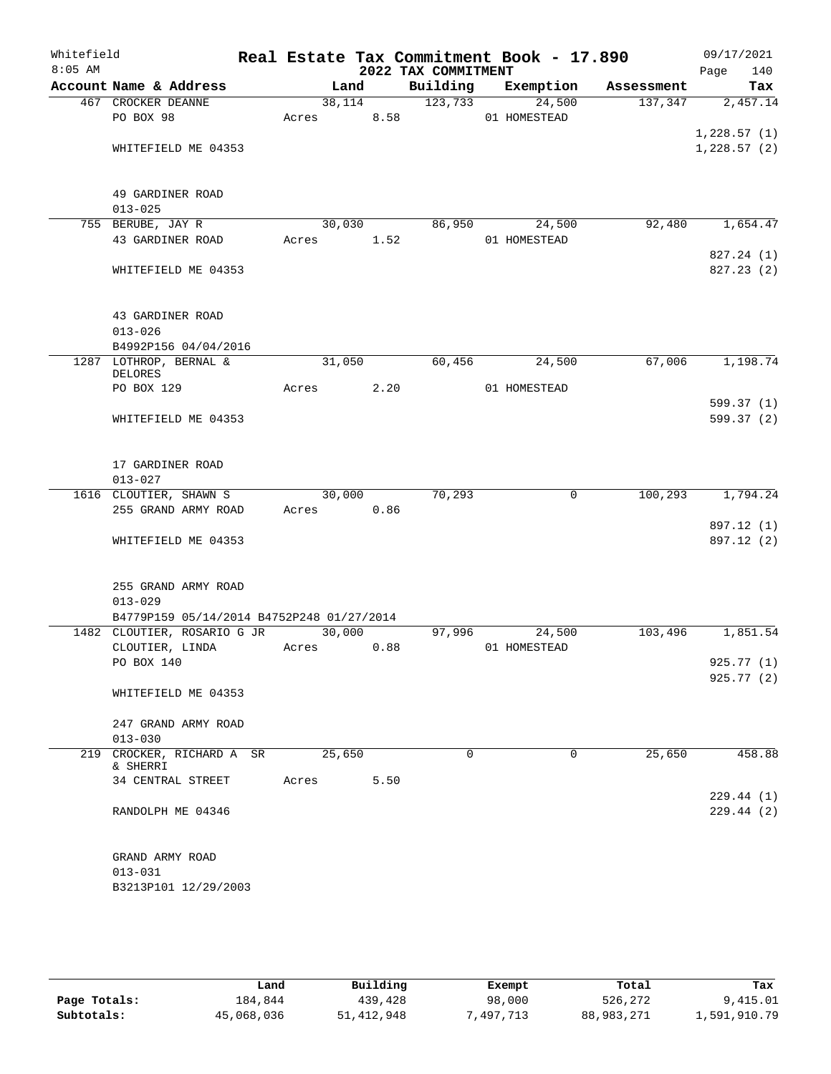| Whitefield<br>$8:05$ AM |                                           |        |      | 2022 TAX COMMITMENT | Real Estate Tax Commitment Book - 17.890 |            | 09/17/2021<br>Page<br>140 |
|-------------------------|-------------------------------------------|--------|------|---------------------|------------------------------------------|------------|---------------------------|
|                         | Account Name & Address                    |        | Land | Building            | Exemption                                | Assessment | Tax                       |
|                         | 467 CROCKER DEANNE                        | 38,114 |      | 123,733             | 24,500                                   | 137,347    | 2,457.14                  |
|                         | PO BOX 98                                 | Acres  | 8.58 |                     | 01 HOMESTEAD                             |            |                           |
|                         |                                           |        |      |                     |                                          |            | 1,228.57(1)               |
|                         | WHITEFIELD ME 04353                       |        |      |                     |                                          |            | 1,228.57(2)               |
|                         | 49 GARDINER ROAD                          |        |      |                     |                                          |            |                           |
|                         | $013 - 025$                               |        |      |                     |                                          |            |                           |
|                         | 755 BERUBE, JAY R                         | 30,030 |      | 86,950              | 24,500                                   | 92,480     | 1,654.47                  |
|                         | 43 GARDINER ROAD                          | Acres  | 1.52 |                     | 01 HOMESTEAD                             |            |                           |
|                         |                                           |        |      |                     |                                          |            | 827.24 (1)                |
|                         | WHITEFIELD ME 04353                       |        |      |                     |                                          |            | 827.23 (2)                |
|                         | 43 GARDINER ROAD                          |        |      |                     |                                          |            |                           |
|                         | $013 - 026$                               |        |      |                     |                                          |            |                           |
|                         | B4992P156 04/04/2016                      |        |      |                     |                                          |            |                           |
|                         | 1287 LOTHROP, BERNAL &<br>DELORES         | 31,050 |      | 60,456              | 24,500                                   | 67,006     | 1,198.74                  |
|                         | PO BOX 129                                | Acres  | 2.20 |                     | 01 HOMESTEAD                             |            |                           |
|                         |                                           |        |      |                     |                                          |            | 599.37(1)                 |
|                         | WHITEFIELD ME 04353                       |        |      |                     |                                          |            | 599.37 (2)                |
|                         | 17 GARDINER ROAD<br>$013 - 027$           |        |      |                     |                                          |            |                           |
|                         | 1616 CLOUTIER, SHAWN S                    | 30,000 |      | 70,293              | $\mathbf 0$                              | 100,293    | 1,794.24                  |
|                         | 255 GRAND ARMY ROAD                       | Acres  | 0.86 |                     |                                          |            |                           |
|                         |                                           |        |      |                     |                                          |            | 897.12 (1)                |
|                         | WHITEFIELD ME 04353                       |        |      |                     |                                          |            | 897.12 (2)                |
|                         | 255 GRAND ARMY ROAD<br>$013 - 029$        |        |      |                     |                                          |            |                           |
|                         | B4779P159 05/14/2014 B4752P248 01/27/2014 |        |      |                     |                                          |            |                           |
|                         | 1482 CLOUTIER, ROSARIO G JR               | 30,000 |      | 97,996              | 24,500                                   | 103,496    | 1,851.54                  |
|                         | CLOUTIER, LINDA                           | Acres  | 0.88 |                     | 01 HOMESTEAD                             |            |                           |
|                         | PO BOX 140                                |        |      |                     |                                          |            | 925.77 (1)<br>925.77(2)   |
|                         | WHITEFIELD ME 04353                       |        |      |                     |                                          |            |                           |
|                         | 247 GRAND ARMY ROAD                       |        |      |                     |                                          |            |                           |
|                         | $013 - 030$                               |        |      |                     |                                          |            |                           |
|                         | 219 CROCKER, RICHARD A SR                 | 25,650 |      | $\Omega$            | $\Omega$                                 | 25,650     | 458.88                    |
|                         | & SHERRI                                  |        |      |                     |                                          |            |                           |
|                         | 34 CENTRAL STREET                         | Acres  | 5.50 |                     |                                          |            |                           |
|                         | RANDOLPH ME 04346                         |        |      |                     |                                          |            | 229.44(1)<br>229.44(2)    |
|                         | GRAND ARMY ROAD<br>$013 - 031$            |        |      |                     |                                          |            |                           |
|                         | B3213P101 12/29/2003                      |        |      |                     |                                          |            |                           |
|                         |                                           |        |      |                     |                                          |            |                           |

|              | úand       | Building     | Exempt   | Total      | Tax          |
|--------------|------------|--------------|----------|------------|--------------|
| Page Totals: | 184,844    | 439,428      | 98,000   | 526,272    | 9,415.01     |
| Subtotals:   | 45,068,036 | 51, 412, 948 | .497.713 | 88,983,271 | 1,591,910.79 |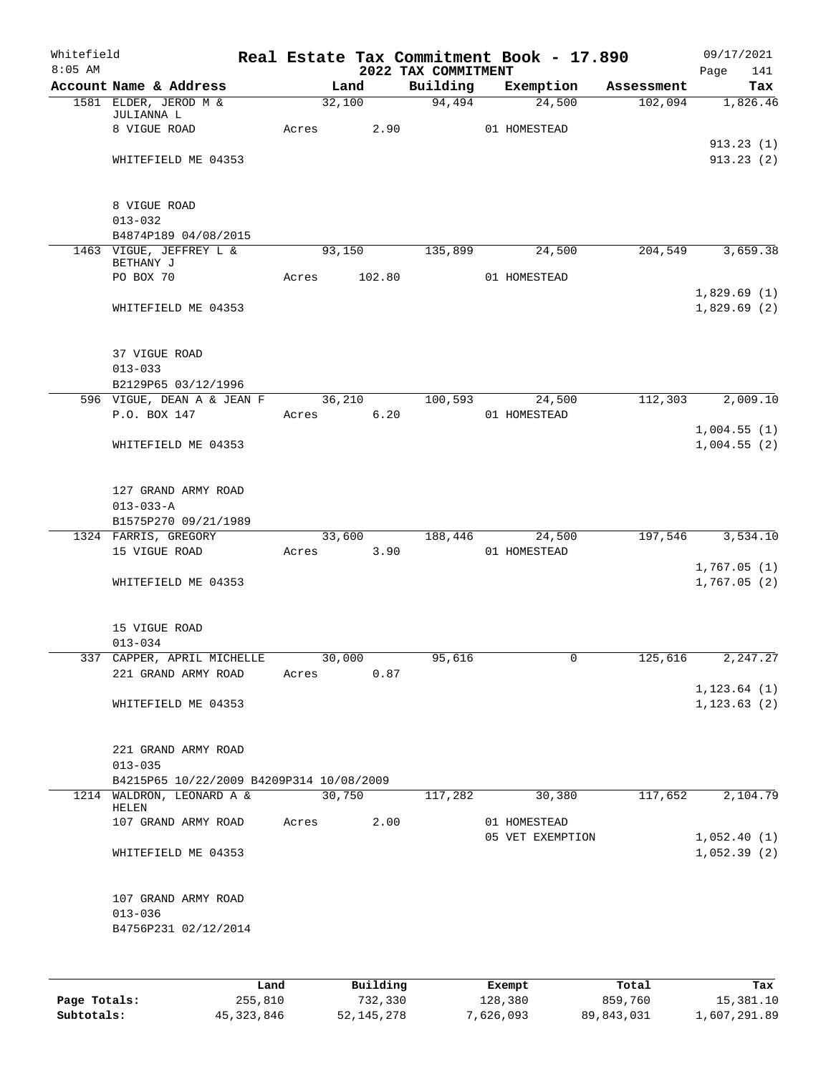| Whitefield<br>$8:05$ AM |                                          |            |        |        | 2022 TAX COMMITMENT | Real Estate Tax Commitment Book - 17.890 |                    | Page | 09/17/2021<br>141          |
|-------------------------|------------------------------------------|------------|--------|--------|---------------------|------------------------------------------|--------------------|------|----------------------------|
|                         | Account Name & Address                   |            | Land   |        | Building            | Exemption                                | Assessment         |      | Tax                        |
|                         | 1581 ELDER, JEROD M &                    |            | 32,100 |        | 94,494              | 24,500                                   | 102,094            |      | 1,826.46                   |
|                         | JULIANNA L                               |            |        |        |                     |                                          |                    |      |                            |
|                         | 8 VIGUE ROAD                             | Acres 2.90 |        |        |                     | 01 HOMESTEAD                             |                    |      |                            |
|                         | WHITEFIELD ME 04353                      |            |        |        |                     |                                          |                    |      | 913.23(1)<br>913.23(2)     |
|                         |                                          |            |        |        |                     |                                          |                    |      |                            |
|                         |                                          |            |        |        |                     |                                          |                    |      |                            |
|                         | 8 VIGUE ROAD                             |            |        |        |                     |                                          |                    |      |                            |
|                         | $013 - 032$                              |            |        |        |                     |                                          |                    |      |                            |
|                         | B4874P189 04/08/2015                     |            |        |        |                     |                                          |                    |      |                            |
|                         | 1463 VIGUE, JEFFREY L &                  |            | 93,150 |        | 135,899             | 24,500                                   | 204,549            |      | 3,659.38                   |
|                         | BETHANY J<br>PO BOX 70                   | Acres      |        | 102.80 |                     | 01 HOMESTEAD                             |                    |      |                            |
|                         |                                          |            |        |        |                     |                                          |                    |      | 1,829.69(1)                |
|                         | WHITEFIELD ME 04353                      |            |        |        |                     |                                          |                    |      | 1,829.69(2)                |
|                         |                                          |            |        |        |                     |                                          |                    |      |                            |
|                         |                                          |            |        |        |                     |                                          |                    |      |                            |
|                         | 37 VIGUE ROAD                            |            |        |        |                     |                                          |                    |      |                            |
|                         | $013 - 033$                              |            |        |        |                     |                                          |                    |      |                            |
|                         | B2129P65 03/12/1996                      |            |        |        |                     |                                          |                    |      |                            |
|                         | 596 VIGUE, DEAN A & JEAN F 36,210        |            |        |        | 100,593             | 24,500                                   | $112,303$ 2,009.10 |      |                            |
|                         | P.O. BOX 147                             | Acres      |        | 6.20   |                     | 01 HOMESTEAD                             |                    |      |                            |
|                         |                                          |            |        |        |                     |                                          |                    |      | 1,004.55(1)<br>1,004.55(2) |
|                         | WHITEFIELD ME 04353                      |            |        |        |                     |                                          |                    |      |                            |
|                         |                                          |            |        |        |                     |                                          |                    |      |                            |
|                         | 127 GRAND ARMY ROAD                      |            |        |        |                     |                                          |                    |      |                            |
|                         | $013 - 033 - A$                          |            |        |        |                     |                                          |                    |      |                            |
|                         | B1575P270 09/21/1989                     |            |        |        |                     |                                          |                    |      |                            |
|                         | 1324 FARRIS, GREGORY                     |            |        |        |                     | 33,600 188,446 24,500                    | 197,546            |      | 3,534.10                   |
|                         | 15 VIGUE ROAD                            | Acres 3.90 |        |        |                     | 01 HOMESTEAD                             |                    |      |                            |
|                         |                                          |            |        |        |                     |                                          |                    |      | 1,767.05(1)                |
|                         | WHITEFIELD ME 04353                      |            |        |        |                     |                                          |                    |      | 1,767.05(2)                |
|                         |                                          |            |        |        |                     |                                          |                    |      |                            |
|                         | 15 VIGUE ROAD                            |            |        |        |                     |                                          |                    |      |                            |
|                         | $013 - 034$                              |            |        |        |                     |                                          |                    |      |                            |
|                         | 337 CAPPER, APRIL MICHELLE 30,000        |            |        |        | 95,616              |                                          | 125,616            |      | 2, 247.27                  |
|                         | 221 GRAND ARMY ROAD                      | Acres      |        | 0.87   |                     |                                          |                    |      |                            |
|                         |                                          |            |        |        |                     |                                          |                    |      | 1, 123.64(1)               |
|                         | WHITEFIELD ME 04353                      |            |        |        |                     |                                          |                    |      | 1, 123.63(2)               |
|                         |                                          |            |        |        |                     |                                          |                    |      |                            |
|                         | 221 GRAND ARMY ROAD                      |            |        |        |                     |                                          |                    |      |                            |
|                         | $013 - 035$                              |            |        |        |                     |                                          |                    |      |                            |
|                         | B4215P65 10/22/2009 B4209P314 10/08/2009 |            |        |        |                     |                                          |                    |      |                            |
|                         | 1214 WALDRON, LEONARD A & 30,750         |            |        |        | 117,282             | 30,380                                   | 117,652            |      | 2,104.79                   |
|                         | HELEN                                    |            |        |        |                     |                                          |                    |      |                            |
|                         | 107 GRAND ARMY ROAD                      | Acres      |        | 2.00   |                     | 01 HOMESTEAD                             |                    |      |                            |
|                         |                                          |            |        |        |                     | 05 VET EXEMPTION                         |                    |      | 1,052.40(1)                |
|                         | WHITEFIELD ME 04353                      |            |        |        |                     |                                          |                    |      | 1,052.39(2)                |
|                         |                                          |            |        |        |                     |                                          |                    |      |                            |
|                         | 107 GRAND ARMY ROAD                      |            |        |        |                     |                                          |                    |      |                            |
|                         | $013 - 036$                              |            |        |        |                     |                                          |                    |      |                            |
|                         | B4756P231 02/12/2014                     |            |        |        |                     |                                          |                    |      |                            |
|                         |                                          |            |        |        |                     |                                          |                    |      |                            |
|                         |                                          |            |        |        |                     |                                          |                    |      |                            |
|                         |                                          |            |        |        |                     |                                          |                    |      |                            |

|              | Land       | Building   | Exempt    | Total      | Tax          |
|--------------|------------|------------|-----------|------------|--------------|
| Page Totals: | 255,810    | 732,330    | 128,380   | 859,760    | 15,381.10    |
| Subtotals:   | 45,323,846 | 52,145,278 | 7,626,093 | 89,843,031 | 1,607,291.89 |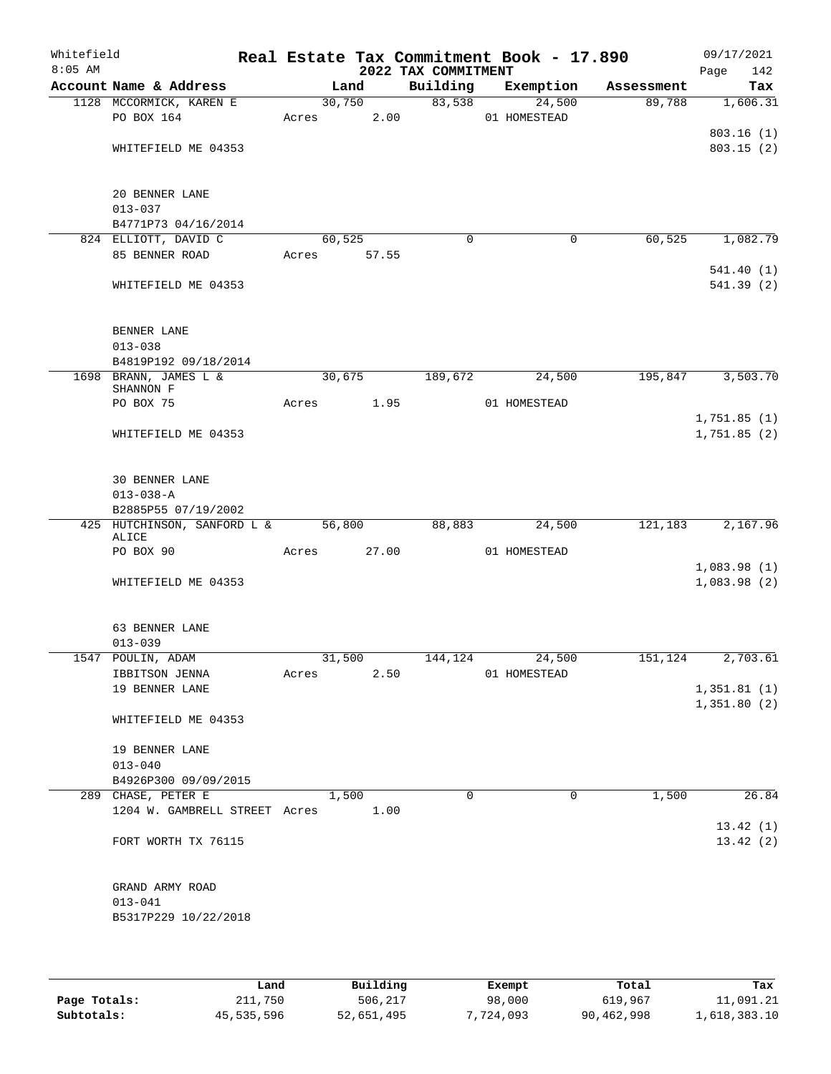| Whitefield<br>$8:05$ AM |                                                        |       |                       | 2022 TAX COMMITMENT | Real Estate Tax Commitment Book - 17.890 |            | 09/17/2021<br>Page<br>142  |
|-------------------------|--------------------------------------------------------|-------|-----------------------|---------------------|------------------------------------------|------------|----------------------------|
|                         | Account Name & Address                                 |       | Land                  | Building            | Exemption                                | Assessment | Tax                        |
|                         | 1128 MCCORMICK, KAREN E<br>PO BOX 164                  | Acres | 30,750<br>2.00        | 83,538              | 24,500<br>01 HOMESTEAD                   | 89,788     | 1,606.31                   |
|                         | WHITEFIELD ME 04353                                    |       |                       |                     |                                          |            | 803.16(1)<br>803.15(2)     |
|                         | 20 BENNER LANE<br>$013 - 037$                          |       |                       |                     |                                          |            |                            |
|                         | B4771P73 04/16/2014                                    |       |                       |                     |                                          |            |                            |
|                         | 824 ELLIOTT, DAVID C<br>85 BENNER ROAD                 |       | 60,525<br>Acres 57.55 | $\mathbf 0$         | 0                                        | 60,525     | 1,082.79                   |
|                         | WHITEFIELD ME 04353                                    |       |                       |                     |                                          |            | 541.40(1)<br>541.39 (2)    |
|                         | BENNER LANE                                            |       |                       |                     |                                          |            |                            |
|                         | $013 - 038$<br>B4819P192 09/18/2014                    |       |                       |                     |                                          |            |                            |
|                         | 1698 BRANN, JAMES L &<br>SHANNON F                     |       | 30,675                | 189,672             | 24,500                                   | 195,847    | 3,503.70                   |
|                         | PO BOX 75                                              | Acres | 1.95                  |                     | 01 HOMESTEAD                             |            |                            |
|                         | WHITEFIELD ME 04353                                    |       |                       |                     |                                          |            | 1,751.85(1)<br>1,751.85(2) |
|                         | 30 BENNER LANE<br>$013 - 038 - A$                      |       |                       |                     |                                          |            |                            |
|                         | B2885P55 07/19/2002                                    |       |                       |                     |                                          |            |                            |
|                         | 425 HUTCHINSON, SANFORD L & 56,800<br>ALICE            |       |                       | 88,883              | 24,500                                   | 121,183    | 2,167.96                   |
|                         | PO BOX 90                                              | Acres | 27.00                 |                     | 01 HOMESTEAD                             |            |                            |
|                         | WHITEFIELD ME 04353                                    |       |                       |                     |                                          |            | 1,083.98(1)<br>1,083.98(2) |
|                         | 63 BENNER LANE<br>$013 - 039$                          |       |                       |                     |                                          |            |                            |
|                         | 1547 POULIN, ADAM                                      |       | 31,500                |                     | 144, 124 24, 500                         | 151,124    | 2,703.61                   |
|                         | IBBITSON JENNA                                         | Acres | 2.50                  |                     | 01 HOMESTEAD                             |            |                            |
|                         | 19 BENNER LANE                                         |       |                       |                     |                                          |            | 1,351.81(1)<br>1,351.80(2) |
|                         | WHITEFIELD ME 04353                                    |       |                       |                     |                                          |            |                            |
|                         | 19 BENNER LANE<br>$013 - 040$                          |       |                       |                     |                                          |            |                            |
|                         | B4926P300 09/09/2015                                   |       |                       |                     |                                          |            |                            |
|                         | 289 CHASE, PETER E                                     |       | 1,500                 | $\Omega$            | $\Omega$                                 | 1,500      | 26.84                      |
|                         | 1204 W. GAMBRELL STREET Acres 1.00                     |       |                       |                     |                                          |            |                            |
|                         | FORT WORTH TX 76115                                    |       |                       |                     |                                          |            | 13.42(1)<br>13.42(2)       |
|                         | GRAND ARMY ROAD<br>$013 - 041$<br>B5317P229 10/22/2018 |       |                       |                     |                                          |            |                            |
|                         |                                                        |       |                       |                     |                                          |            |                            |

|              | Land       | Building   | Exempt    | Total      | Tax          |
|--------------|------------|------------|-----------|------------|--------------|
| Page Totals: | 211,750    | 506,217    | 98,000    | 619,967    | 11,091.21    |
| Subtotals:   | 45,535,596 | 52,651,495 | 7,724,093 | 90,462,998 | 1,618,383.10 |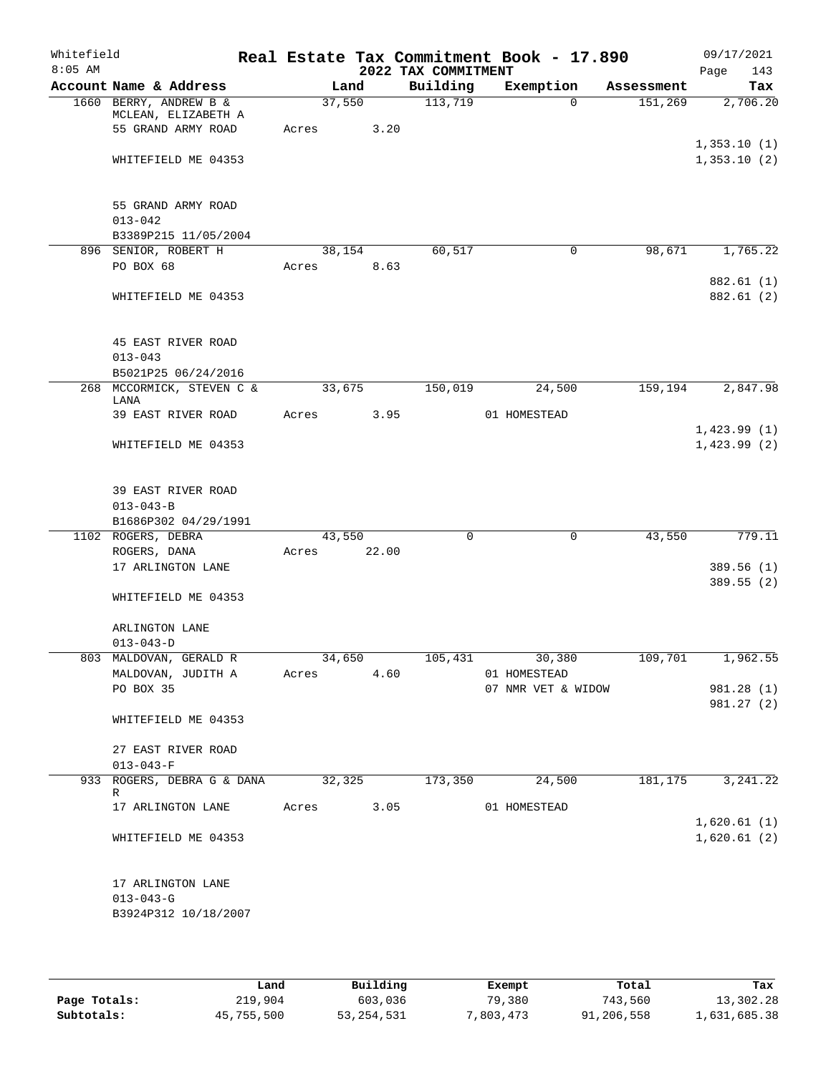| Whitefield |                                               |            |       |                     | Real Estate Tax Commitment Book - 17.890 |            | 09/17/2021               |
|------------|-----------------------------------------------|------------|-------|---------------------|------------------------------------------|------------|--------------------------|
| $8:05$ AM  |                                               |            |       | 2022 TAX COMMITMENT |                                          |            | 143<br>Page              |
|            | Account Name & Address                        | Land       |       | Building            | Exemption                                | Assessment | Tax                      |
|            | 1660 BERRY, ANDREW B &<br>MCLEAN, ELIZABETH A | 37,550     |       | 113,719             | $\Omega$                                 | 151,269    | 2,706.20                 |
|            | 55 GRAND ARMY ROAD                            | Acres      | 3.20  |                     |                                          |            |                          |
|            |                                               |            |       |                     |                                          |            | 1,353.10(1)              |
|            | WHITEFIELD ME 04353                           |            |       |                     |                                          |            | 1,353.10(2)              |
|            | 55 GRAND ARMY ROAD                            |            |       |                     |                                          |            |                          |
|            | $013 - 042$                                   |            |       |                     |                                          |            |                          |
|            | B3389P215 11/05/2004                          |            |       |                     |                                          |            |                          |
|            | 896 SENIOR, ROBERT H                          |            |       | 60,517              | 0                                        | 98,671     | 1,765.22                 |
|            |                                               | 38,154     |       |                     |                                          |            |                          |
|            | PO BOX 68                                     | Acres 8.63 |       |                     |                                          |            |                          |
|            | WHITEFIELD ME 04353                           |            |       |                     |                                          |            | 882.61 (1)<br>882.61 (2) |
|            | 45 EAST RIVER ROAD                            |            |       |                     |                                          |            |                          |
|            | $013 - 043$                                   |            |       |                     |                                          |            |                          |
|            | B5021P25 06/24/2016                           |            |       |                     |                                          |            |                          |
|            | 268 MCCORMICK, STEVEN C &                     | 33,675     |       | 150,019             | 24,500                                   | 159,194    | 2,847.98                 |
|            | LANA                                          |            |       |                     |                                          |            |                          |
|            | 39 EAST RIVER ROAD                            | Acres      | 3.95  |                     | 01 HOMESTEAD                             |            |                          |
|            |                                               |            |       |                     |                                          |            | 1,423.99(1)              |
|            | WHITEFIELD ME 04353                           |            |       |                     |                                          |            | 1,423.99(2)              |
|            | 39 EAST RIVER ROAD                            |            |       |                     |                                          |            |                          |
|            | $013 - 043 - B$                               |            |       |                     |                                          |            |                          |
|            | B1686P302 04/29/1991                          |            |       |                     |                                          |            |                          |
|            | 1102 ROGERS, DEBRA                            | 43,550     |       | $\mathbf 0$         | $\mathbf 0$                              | 43,550     | 779.11                   |
|            | ROGERS, DANA                                  | Acres      | 22.00 |                     |                                          |            |                          |
|            | 17 ARLINGTON LANE                             |            |       |                     |                                          |            | 389.56(1)                |
|            |                                               |            |       |                     |                                          |            | 389.55(2)                |
|            | WHITEFIELD ME 04353                           |            |       |                     |                                          |            |                          |
|            | ARLINGTON LANE                                |            |       |                     |                                          |            |                          |
|            | $013 - 043 - D$                               |            |       |                     |                                          |            |                          |
|            | 803 MALDOVAN, GERALD R                        | 34,650     |       |                     | $105,431$ 30,380                         |            | $109,701$ 1,962.55       |
|            | MALDOVAN, JUDITH A                            | Acres      | 4.60  |                     | 01 HOMESTEAD                             |            |                          |
|            | PO BOX 35                                     |            |       |                     | 07 NMR VET & WIDOW                       |            | 981.28 (1)               |
|            |                                               |            |       |                     |                                          |            | 981.27 (2)               |
|            | WHITEFIELD ME 04353                           |            |       |                     |                                          |            |                          |
|            | 27 EAST RIVER ROAD                            |            |       |                     |                                          |            |                          |
|            | $013 - 043 - F$                               |            |       |                     |                                          |            |                          |
|            | 933 ROGERS, DEBRA G & DANA 32,325             |            |       | 173,350             | 24,500                                   |            | 181, 175 3, 241. 22      |
|            | R                                             |            |       |                     |                                          |            |                          |
|            | 17 ARLINGTON LANE                             | Acres      |       | 3.05                | 01 HOMESTEAD                             |            |                          |
|            |                                               |            |       |                     |                                          |            | 1,620.61(1)              |
|            | WHITEFIELD ME 04353                           |            |       |                     |                                          |            | 1,620.61(2)              |
|            | 17 ARLINGTON LANE                             |            |       |                     |                                          |            |                          |
|            | $013 - 043 - G$                               |            |       |                     |                                          |            |                          |
|            | B3924P312 10/18/2007                          |            |       |                     |                                          |            |                          |
|            |                                               |            |       |                     |                                          |            |                          |

|              | Land       | Building     | Exempt    | Total      | Tax          |
|--------------|------------|--------------|-----------|------------|--------------|
| Page Totals: | 219,904    | 603,036      | 79,380    | 743,560    | 13,302.28    |
| Subtotals:   | 45,755,500 | 53, 254, 531 | 7,803,473 | 91,206,558 | 1,631,685.38 |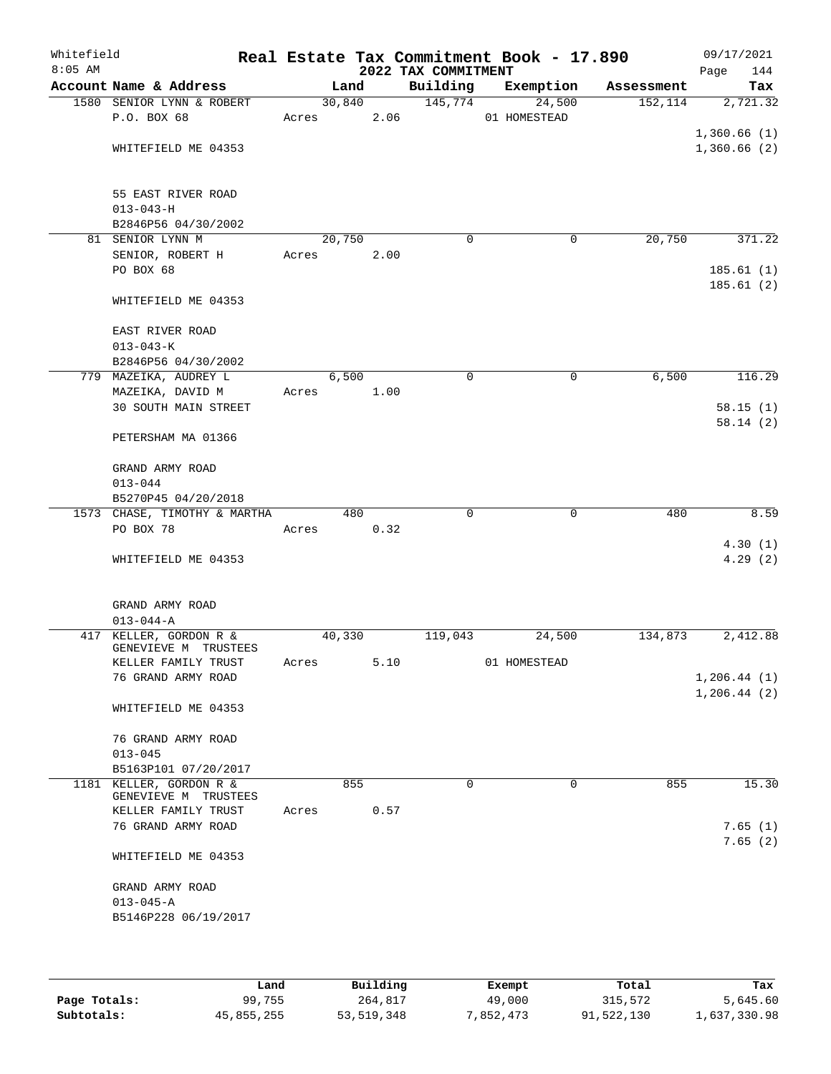| Whitefield<br>$8:05$ AM |                               |        |      | 2022 TAX COMMITMENT | Real Estate Tax Commitment Book - 17.890 |            | 09/17/2021<br>144<br>Page |
|-------------------------|-------------------------------|--------|------|---------------------|------------------------------------------|------------|---------------------------|
|                         | Account Name & Address        |        | Land | Building            | Exemption                                | Assessment | Tax                       |
|                         | 1580 SENIOR LYNN & ROBERT     | 30,840 |      | 145,774             | 24,500                                   | 152, 114   | 2,721.32                  |
|                         | P.O. BOX 68                   | Acres  | 2.06 |                     | 01 HOMESTEAD                             |            |                           |
|                         |                               |        |      |                     |                                          |            | 1,360.66(1)               |
|                         | WHITEFIELD ME 04353           |        |      |                     |                                          |            | 1,360.66(2)               |
|                         |                               |        |      |                     |                                          |            |                           |
|                         |                               |        |      |                     |                                          |            |                           |
|                         | 55 EAST RIVER ROAD            |        |      |                     |                                          |            |                           |
|                         | $013 - 043 - H$               |        |      |                     |                                          |            |                           |
|                         | B2846P56 04/30/2002           | 20,750 |      | $\mathbf 0$         | 0                                        | 20,750     | 371.22                    |
|                         | 81 SENIOR LYNN M              |        |      |                     |                                          |            |                           |
|                         | SENIOR, ROBERT H<br>PO BOX 68 | Acres  | 2.00 |                     |                                          |            |                           |
|                         |                               |        |      |                     |                                          |            | 185.61(1)                 |
|                         |                               |        |      |                     |                                          |            | 185.61(2)                 |
|                         | WHITEFIELD ME 04353           |        |      |                     |                                          |            |                           |
|                         | EAST RIVER ROAD               |        |      |                     |                                          |            |                           |
|                         | $013 - 043 - K$               |        |      |                     |                                          |            |                           |
|                         | B2846P56 04/30/2002           |        |      |                     |                                          |            |                           |
|                         | 779 MAZEIKA, AUDREY L         | 6,500  |      | 0                   | 0                                        | 6,500      | 116.29                    |
|                         | MAZEIKA, DAVID M              | Acres  | 1.00 |                     |                                          |            |                           |
|                         | <b>30 SOUTH MAIN STREET</b>   |        |      |                     |                                          |            | 58.15(1)                  |
|                         |                               |        |      |                     |                                          |            | 58.14(2)                  |
|                         | PETERSHAM MA 01366            |        |      |                     |                                          |            |                           |
|                         |                               |        |      |                     |                                          |            |                           |
|                         | GRAND ARMY ROAD               |        |      |                     |                                          |            |                           |
|                         | $013 - 044$                   |        |      |                     |                                          |            |                           |
|                         | B5270P45 04/20/2018           |        |      |                     |                                          |            |                           |
|                         | 1573 CHASE, TIMOTHY & MARTHA  |        | 480  | $\mathbf 0$         | $\mathbf 0$                              | 480        | 8.59                      |
|                         | PO BOX 78                     | Acres  | 0.32 |                     |                                          |            |                           |
|                         |                               |        |      |                     |                                          |            | 4.30(1)                   |
|                         | WHITEFIELD ME 04353           |        |      |                     |                                          |            | 4.29(2)                   |
|                         |                               |        |      |                     |                                          |            |                           |
|                         |                               |        |      |                     |                                          |            |                           |
|                         | GRAND ARMY ROAD               |        |      |                     |                                          |            |                           |
|                         | $013 - 044 - A$               |        |      |                     |                                          |            |                           |
|                         | 417 KELLER, GORDON R &        | 40,330 |      | 119,043             | 24,500                                   | 134,873    | 2,412.88                  |
|                         | GENEVIEVE M TRUSTEES          |        |      |                     |                                          |            |                           |
|                         | KELLER FAMILY TRUST           | Acres  | 5.10 |                     | 01 HOMESTEAD                             |            |                           |
|                         | 76 GRAND ARMY ROAD            |        |      |                     |                                          |            | 1,206.44(1)               |
|                         |                               |        |      |                     |                                          |            | 1,206.44(2)               |
|                         | WHITEFIELD ME 04353           |        |      |                     |                                          |            |                           |
|                         |                               |        |      |                     |                                          |            |                           |
|                         | 76 GRAND ARMY ROAD            |        |      |                     |                                          |            |                           |
|                         | $013 - 045$                   |        |      |                     |                                          |            |                           |
|                         | B5163P101 07/20/2017          |        |      |                     |                                          |            |                           |
|                         | 1181 KELLER, GORDON R &       |        | 855  | $\Omega$            | $\Omega$                                 | 855        | 15.30                     |
|                         | GENEVIEVE M TRUSTEES          |        |      |                     |                                          |            |                           |
|                         | KELLER FAMILY TRUST           | Acres  | 0.57 |                     |                                          |            |                           |
|                         | 76 GRAND ARMY ROAD            |        |      |                     |                                          |            | 7.65(1)                   |
|                         |                               |        |      |                     |                                          |            | 7.65(2)                   |
|                         | WHITEFIELD ME 04353           |        |      |                     |                                          |            |                           |
|                         |                               |        |      |                     |                                          |            |                           |
|                         | GRAND ARMY ROAD               |        |      |                     |                                          |            |                           |
|                         | $013 - 045 - A$               |        |      |                     |                                          |            |                           |
|                         | B5146P228 06/19/2017          |        |      |                     |                                          |            |                           |
|                         |                               |        |      |                     |                                          |            |                           |
|                         |                               |        |      |                     |                                          |            |                           |

|              | Land       | Building   | Exempt    | Total      | Tax          |
|--------------|------------|------------|-----------|------------|--------------|
| Page Totals: | 99,755     | 264,817    | 49,000    | 315,572    | 5,645.60     |
| Subtotals:   | 45,855,255 | 53,519,348 | 7,852,473 | 91,522,130 | 1,637,330.98 |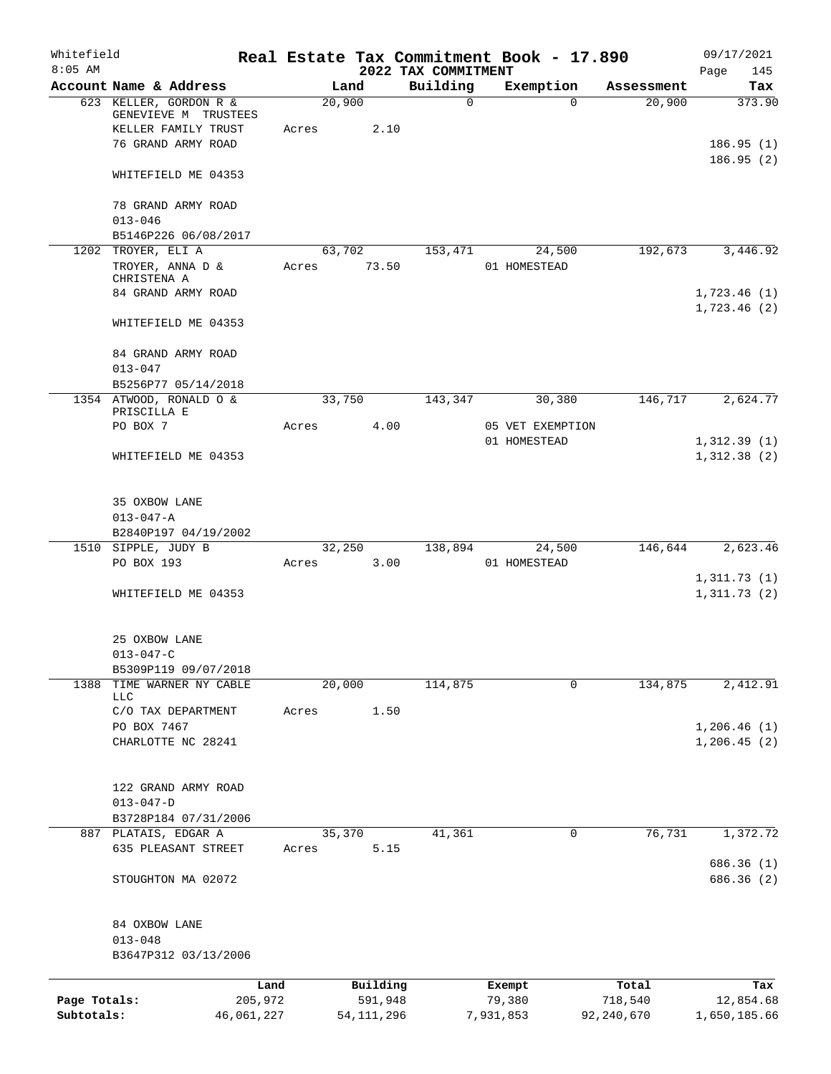| Whitefield<br>$8:05$ AM |                                                                                             |                 |                     | 2022 TAX COMMITMENT | Real Estate Tax Commitment Book - 17.890 |                  | 09/17/2021<br>Page<br>145   |
|-------------------------|---------------------------------------------------------------------------------------------|-----------------|---------------------|---------------------|------------------------------------------|------------------|-----------------------------|
|                         | Account Name & Address                                                                      |                 | Land                | Building            | Exemption                                | Assessment       | Tax                         |
|                         | 623 KELLER, GORDON R &<br>GENEVIEVE M TRUSTEES<br>KELLER FAMILY TRUST<br>76 GRAND ARMY ROAD | Acres           | 20,900<br>2.10      | $\mathbf 0$         | $\Omega$                                 | 20,900           | 373.90<br>186.95(1)         |
|                         | WHITEFIELD ME 04353                                                                         |                 |                     |                     |                                          |                  | 186.95(2)                   |
|                         | 78 GRAND ARMY ROAD                                                                          |                 |                     |                     |                                          |                  |                             |
|                         | $013 - 046$<br>B5146P226 06/08/2017                                                         |                 |                     |                     |                                          |                  |                             |
|                         | 1202 TROYER, ELI A                                                                          |                 | 63,702              | 153,471             | 24,500                                   | 192,673          | 3,446.92                    |
|                         | TROYER, ANNA D &<br>CHRISTENA A<br>84 GRAND ARMY ROAD                                       | Acres           | 73.50               |                     | 01 HOMESTEAD                             |                  | 1,723.46(1)                 |
|                         | WHITEFIELD ME 04353                                                                         |                 |                     |                     |                                          |                  | 1,723.46(2)                 |
|                         | 84 GRAND ARMY ROAD<br>$013 - 047$                                                           |                 |                     |                     |                                          |                  |                             |
|                         | B5256P77 05/14/2018                                                                         |                 |                     |                     |                                          |                  |                             |
|                         | 1354 ATWOOD, RONALD O &                                                                     |                 | 33,750              | 143,347             | 30,380                                   | 146,717          | 2,624.77                    |
|                         | PRISCILLA E<br>PO BOX 7                                                                     | Acres           | 4.00                |                     | 05 VET EXEMPTION                         |                  |                             |
|                         | WHITEFIELD ME 04353                                                                         |                 |                     |                     | 01 HOMESTEAD                             |                  | 1,312.39(1)<br>1,312.38(2)  |
|                         | 35 OXBOW LANE<br>$013 - 047 - A$                                                            |                 |                     |                     |                                          |                  |                             |
|                         | B2840P197 04/19/2002                                                                        |                 |                     |                     |                                          |                  |                             |
|                         | 1510 SIPPLE, JUDY B                                                                         |                 | 32,250              | 138,894             | 24,500                                   | 146,644          | 2,623.46                    |
|                         | PO BOX 193                                                                                  | Acres           | 3.00                |                     | 01 HOMESTEAD                             |                  |                             |
|                         | WHITEFIELD ME 04353                                                                         |                 |                     |                     |                                          |                  | 1,311.73(1)<br>1,311.73(2)  |
|                         | 25 OXBOW LANE<br>$013 - 047 - C$                                                            |                 |                     |                     |                                          |                  |                             |
|                         | B5309P119 09/07/2018                                                                        |                 |                     |                     |                                          |                  |                             |
| 1388                    | TIME WARNER NY CABLE<br>LLC                                                                 |                 | 20,000              | 114,875             | $\mathbf 0$                              | 134,875          | 2,412.91                    |
|                         | C/O TAX DEPARTMENT                                                                          | Acres           | 1.50                |                     |                                          |                  |                             |
|                         | PO BOX 7467<br>CHARLOTTE NC 28241                                                           |                 |                     |                     |                                          |                  | 1,206.46(1)<br>1, 206.45(2) |
|                         | 122 GRAND ARMY ROAD<br>$013 - 047 - D$                                                      |                 |                     |                     |                                          |                  |                             |
|                         | B3728P184 07/31/2006                                                                        |                 |                     |                     |                                          |                  |                             |
|                         | 887 PLATAIS, EDGAR A                                                                        |                 | 35,370              | 41,361              | 0                                        | 76,731           | 1,372.72                    |
|                         | 635 PLEASANT STREET                                                                         | Acres           | 5.15                |                     |                                          |                  | 686.36 (1)                  |
|                         | STOUGHTON MA 02072                                                                          |                 |                     |                     |                                          |                  | 686.36 (2)                  |
|                         | 84 OXBOW LANE<br>$013 - 048$<br>B3647P312 03/13/2006                                        |                 |                     |                     |                                          |                  |                             |
|                         |                                                                                             |                 |                     |                     |                                          |                  |                             |
| Page Totals:            |                                                                                             | Land<br>205,972 | Building<br>591,948 |                     | Exempt<br>79,380                         | Total<br>718,540 | Tax<br>12,854.68            |
| Subtotals:              | 46,061,227                                                                                  |                 | 54, 111, 296        |                     | 7,931,853                                | 92, 240, 670     | 1,650,185.66                |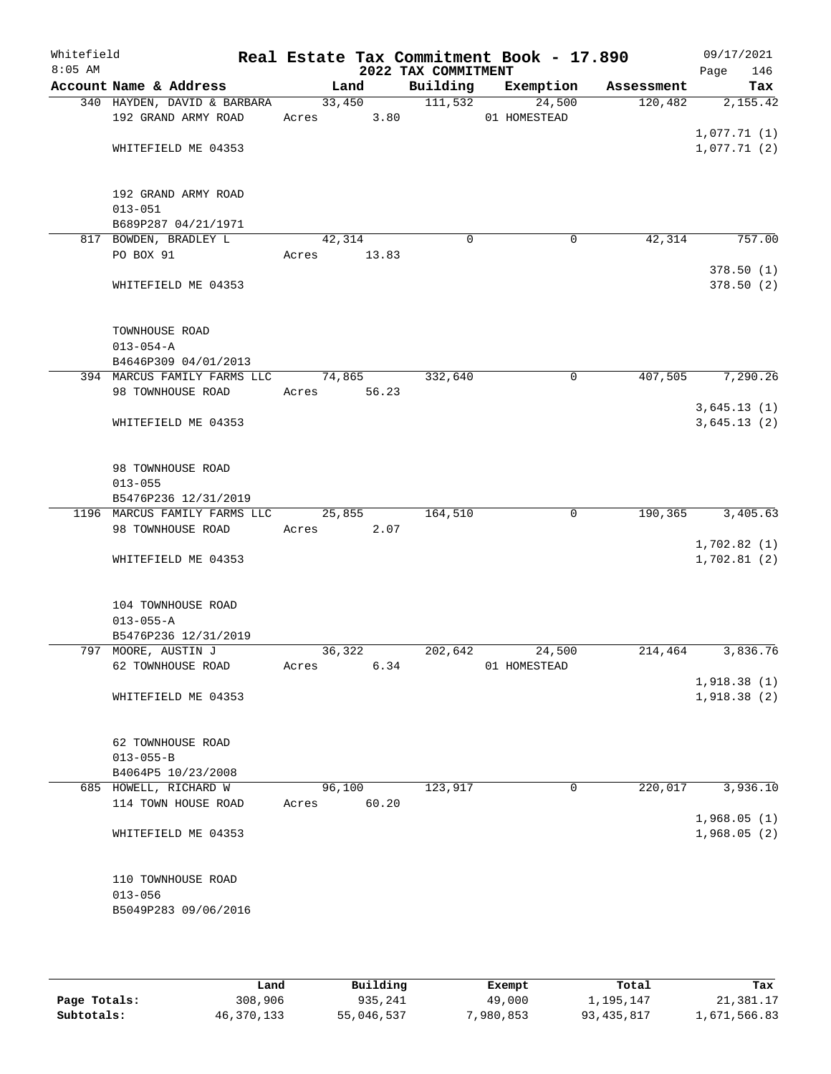| Whitefield<br>$8:05$ AM |                                    |             |        | 2022 TAX COMMITMENT | Real Estate Tax Commitment Book - 17.890 |         | 09/17/2021<br>Page<br>146 |
|-------------------------|------------------------------------|-------------|--------|---------------------|------------------------------------------|---------|---------------------------|
|                         | Account Name & Address             |             | Land   |                     | Building Exemption Assessment            |         | Tax                       |
|                         | 340 HAYDEN, DAVID & BARBARA        |             | 33,450 | 111,532             | 24,500                                   | 120,482 | 2,155.42                  |
|                         | 192 GRAND ARMY ROAD                | Acres 3.80  |        |                     | 01 HOMESTEAD                             |         |                           |
|                         |                                    |             |        |                     |                                          |         | 1,077.71(1)               |
|                         | WHITEFIELD ME 04353                |             |        |                     |                                          |         | 1,077.71(2)               |
|                         |                                    |             |        |                     |                                          |         |                           |
|                         | 192 GRAND ARMY ROAD<br>$013 - 051$ |             |        |                     |                                          |         |                           |
|                         | B689P287 04/21/1971                |             |        |                     |                                          |         |                           |
|                         | 817 BOWDEN, BRADLEY L              | 42,314      |        | $\mathbf 0$         | 0                                        | 42,314  | 757.00                    |
|                         | PO BOX 91                          | Acres 13.83 |        |                     |                                          |         |                           |
|                         |                                    |             |        |                     |                                          |         | 378.50(1)                 |
|                         | WHITEFIELD ME 04353                |             |        |                     |                                          |         | 378.50(2)                 |
|                         | TOWNHOUSE ROAD                     |             |        |                     |                                          |         |                           |
|                         | $013 - 054 - A$                    |             |        |                     |                                          |         |                           |
|                         | B4646P309 04/01/2013               |             |        |                     |                                          |         |                           |
|                         | 394 MARCUS FAMILY FARMS LLC        | 74,865      |        | 332,640             | 0                                        | 407,505 | 7,290.26                  |
|                         | 98 TOWNHOUSE ROAD                  | Acres 56.23 |        |                     |                                          |         |                           |
|                         |                                    |             |        |                     |                                          |         | 3,645.13(1)               |
|                         | WHITEFIELD ME 04353                |             |        |                     |                                          |         | 3,645.13(2)               |
|                         | 98 TOWNHOUSE ROAD                  |             |        |                     |                                          |         |                           |
|                         | $013 - 055$                        |             |        |                     |                                          |         |                           |
|                         | B5476P236 12/31/2019               |             |        |                     |                                          |         |                           |
|                         | 1196 MARCUS FAMILY FARMS LLC       | 25,855      |        | 164,510             | $\mathbf 0$                              | 190,365 | 3,405.63                  |
|                         | 98 TOWNHOUSE ROAD                  | Acres       | 2.07   |                     |                                          |         |                           |
|                         |                                    |             |        |                     |                                          |         | 1,702.82(1)               |
|                         | WHITEFIELD ME 04353                |             |        |                     |                                          |         | 1,702.81(2)               |
|                         | 104 TOWNHOUSE ROAD                 |             |        |                     |                                          |         |                           |
|                         | $013 - 055 - A$                    |             |        |                     |                                          |         |                           |
|                         | B5476P236 12/31/2019               |             |        |                     |                                          |         |                           |
|                         | 797 MOORE, AUSTIN J                | 36,322      |        | 202,642             | 24,500                                   | 214,464 | 3,836.76                  |
|                         | 62 TOWNHOUSE ROAD                  | Acres       | 6.34   |                     | 01 HOMESTEAD                             |         |                           |
|                         |                                    |             |        |                     |                                          |         | 1,918.38(1)               |
|                         | WHITEFIELD ME 04353                |             |        |                     |                                          |         | 1,918.38 (2)              |
|                         | <b>62 TOWNHOUSE ROAD</b>           |             |        |                     |                                          |         |                           |
|                         | $013 - 055 - B$                    |             |        |                     |                                          |         |                           |
|                         | B4064P5 10/23/2008                 |             |        |                     |                                          |         |                           |
|                         | 685 HOWELL, RICHARD W              | 96,100      |        | 123,917             | $\mathbf 0$                              | 220,017 | 3,936.10                  |
|                         | 114 TOWN HOUSE ROAD                | Acres       | 60.20  |                     |                                          |         | 1,968.05(1)               |
|                         | WHITEFIELD ME 04353                |             |        |                     |                                          |         | 1,968.05(2)               |
|                         |                                    |             |        |                     |                                          |         |                           |
|                         | 110 TOWNHOUSE ROAD                 |             |        |                     |                                          |         |                           |
|                         | $013 - 056$                        |             |        |                     |                                          |         |                           |
|                         | B5049P283 09/06/2016               |             |        |                     |                                          |         |                           |
|                         |                                    |             |        |                     |                                          |         |                           |

|              | Land       | Building   | Exempt    | Total        | Tax          |
|--------------|------------|------------|-----------|--------------|--------------|
| Page Totals: | 308,906    | 935,241    | 49,000    | 1,195,147    | 21,381.17    |
| Subtotals:   | 46,370,133 | 55,046,537 | ,980,853" | 93, 435, 817 | 1,671,566.83 |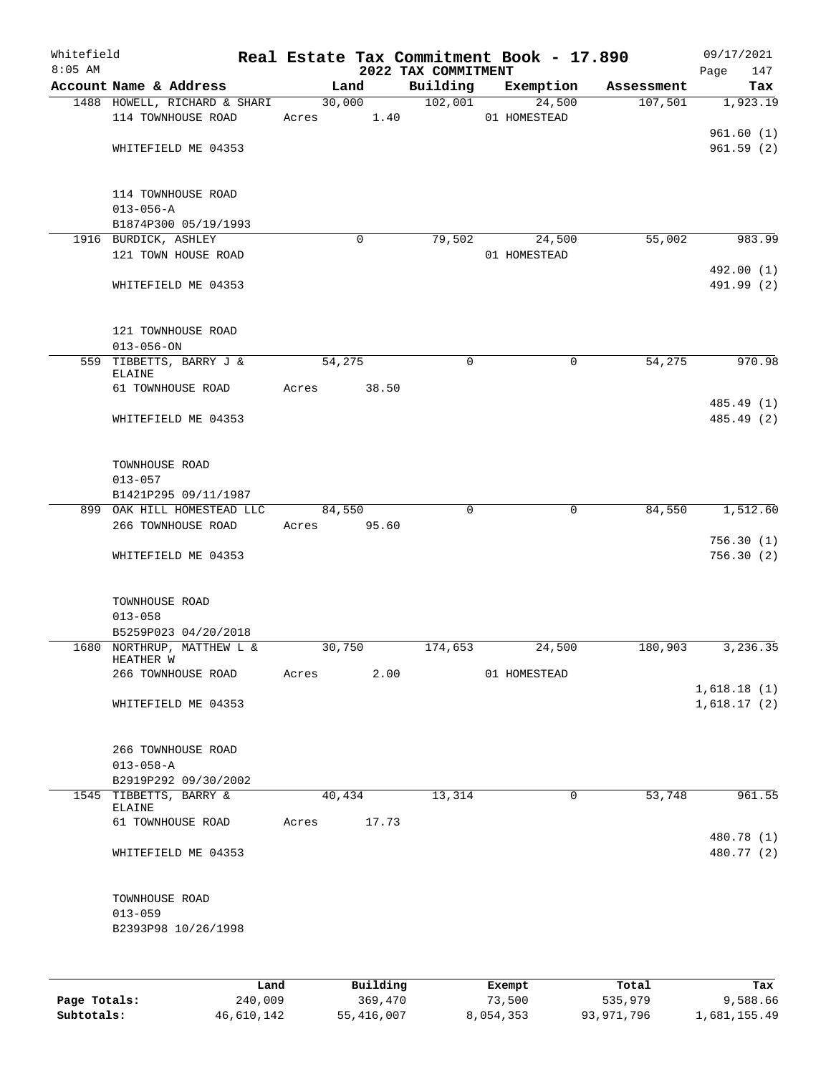| Whitefield<br>$8:05$ AM |                                                    |        |          | 2022 TAX COMMITMENT | Real Estate Tax Commitment Book - 17.890 |            | 09/17/2021<br>147<br>Page |
|-------------------------|----------------------------------------------------|--------|----------|---------------------|------------------------------------------|------------|---------------------------|
|                         | Account Name & Address                             |        | Land     | Building            | Exemption                                | Assessment | Tax                       |
|                         | 1488 HOWELL, RICHARD & SHARI                       | 30,000 |          | 102,001             | 24,500                                   | 107,501    | 1,923.19                  |
|                         | 114 TOWNHOUSE ROAD                                 | Acres  | 1.40     |                     | 01 HOMESTEAD                             |            |                           |
|                         |                                                    |        |          |                     |                                          |            | 961.60(1)                 |
|                         | WHITEFIELD ME 04353                                |        |          |                     |                                          |            | 961.59(2)                 |
|                         |                                                    |        |          |                     |                                          |            |                           |
|                         | 114 TOWNHOUSE ROAD                                 |        |          |                     |                                          |            |                           |
|                         | $013 - 056 - A$                                    |        |          |                     |                                          |            |                           |
|                         | B1874P300 05/19/1993                               |        |          |                     |                                          |            |                           |
|                         | 1916 BURDICK, ASHLEY                               |        | 0        | 79,502              | 24,500                                   | 55,002     | 983.99                    |
|                         | 121 TOWN HOUSE ROAD                                |        |          |                     | 01 HOMESTEAD                             |            |                           |
|                         | WHITEFIELD ME 04353                                |        |          |                     |                                          |            | 492.00 (1)<br>491.99 (2)  |
|                         |                                                    |        |          |                     |                                          |            |                           |
|                         | 121 TOWNHOUSE ROAD                                 |        |          |                     |                                          |            |                           |
|                         | $013 - 056 - ON$                                   |        |          |                     |                                          |            |                           |
|                         | 559 TIBBETTS, BARRY J &<br>ELAINE                  | 54,275 |          | 0                   | 0                                        | 54,275     | 970.98                    |
|                         | 61 TOWNHOUSE ROAD                                  | Acres  | 38.50    |                     |                                          |            |                           |
|                         |                                                    |        |          |                     |                                          |            | 485.49 (1)                |
|                         | WHITEFIELD ME 04353                                |        |          |                     |                                          |            | 485.49 (2)                |
|                         |                                                    |        |          |                     |                                          |            |                           |
|                         | TOWNHOUSE ROAD                                     |        |          |                     |                                          |            |                           |
|                         | $013 - 057$                                        |        |          |                     |                                          |            |                           |
|                         | B1421P295 09/11/1987                               |        |          |                     |                                          |            |                           |
|                         | 899 OAK HILL HOMESTEAD LLC                         | 84,550 |          | $\mathbf 0$         | $\mathbf 0$                              | 84,550     | 1,512.60                  |
|                         | 266 TOWNHOUSE ROAD                                 | Acres  | 95.60    |                     |                                          |            |                           |
|                         |                                                    |        |          |                     |                                          |            | 756.30(1)                 |
|                         | WHITEFIELD ME 04353                                |        |          |                     |                                          |            | 756.30(2)                 |
|                         |                                                    |        |          |                     |                                          |            |                           |
|                         | TOWNHOUSE ROAD                                     |        |          |                     |                                          |            |                           |
|                         | $013 - 058$                                        |        |          |                     |                                          |            |                           |
|                         | B5259P023 04/20/2018<br>1680 NORTHRUP, MATTHEW L & | 30,750 |          | 174,653             | 24,500                                   | 180,903    | 3,236.35                  |
|                         | HEATHER W                                          |        |          |                     |                                          |            |                           |
|                         | 266 TOWNHOUSE ROAD                                 | Acres  | 2.00     |                     | 01 HOMESTEAD                             |            |                           |
|                         |                                                    |        |          |                     |                                          |            | 1,618.18(1)               |
|                         | WHITEFIELD ME 04353                                |        |          |                     |                                          |            | 1,618.17(2)               |
|                         | 266 TOWNHOUSE ROAD                                 |        |          |                     |                                          |            |                           |
|                         | $013 - 058 - A$                                    |        |          |                     |                                          |            |                           |
|                         | B2919P292 09/30/2002                               |        |          |                     |                                          |            |                           |
|                         | 1545 TIBBETTS, BARRY &<br>ELAINE                   | 40,434 |          | 13,314              | $\mathbf 0$                              | 53,748     | 961.55                    |
|                         | 61 TOWNHOUSE ROAD                                  | Acres  | 17.73    |                     |                                          |            |                           |
|                         | WHITEFIELD ME 04353                                |        |          |                     |                                          |            | 480.78 (1)<br>480.77 (2)  |
|                         |                                                    |        |          |                     |                                          |            |                           |
|                         | TOWNHOUSE ROAD                                     |        |          |                     |                                          |            |                           |
|                         | $013 - 059$                                        |        |          |                     |                                          |            |                           |
|                         | B2393P98 10/26/1998                                |        |          |                     |                                          |            |                           |
|                         |                                                    |        |          |                     |                                          |            |                           |
|                         | Land                                               |        | Building |                     | Exempt                                   | Total      | Tax                       |

|              | nana       | <b>DUITOTII</b> | LACINUL   | TOLAT      | ias.         |
|--------------|------------|-----------------|-----------|------------|--------------|
| Page Totals: | 240,009    | 369,470         | 73,500    | 535,979    | 9,588.66     |
| Subtotals:   | 46,610,142 | 55,416,007      | 8,054,353 | 93,971,796 | 1,681,155.49 |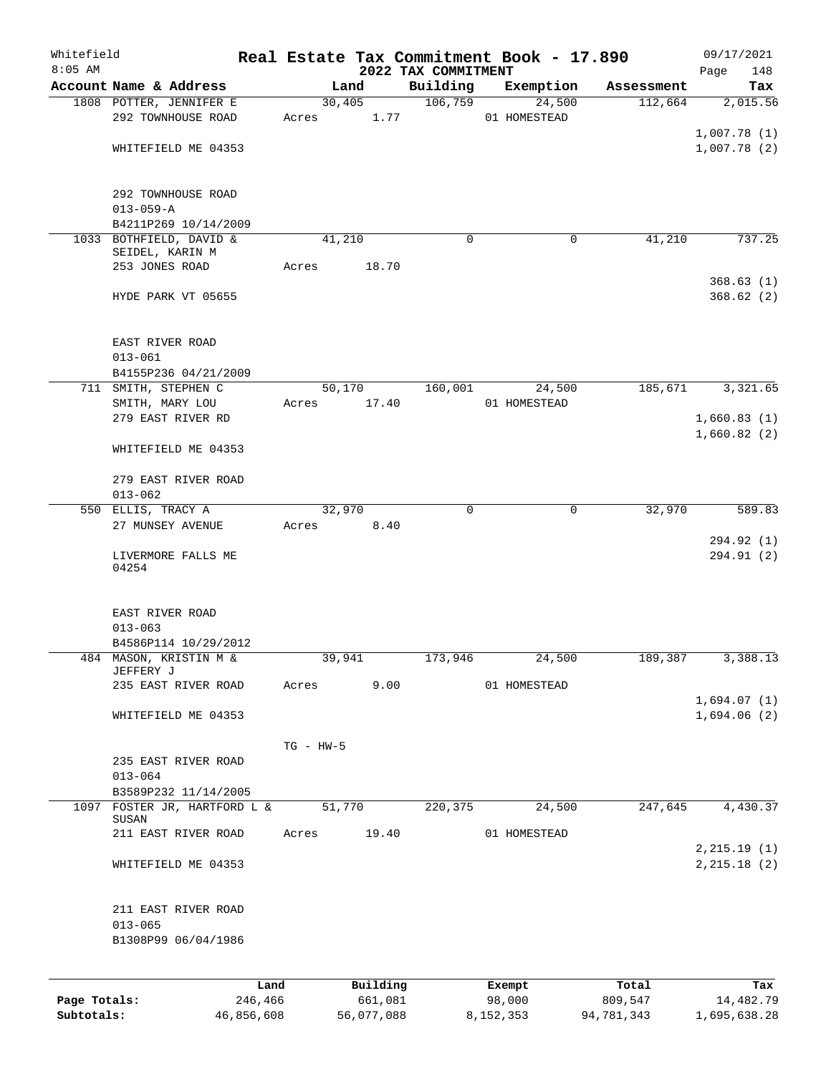| Whitefield<br>$8:05$ AM |                                       |             |          |                                 | Real Estate Tax Commitment Book - 17.890 |            | 09/17/2021         |
|-------------------------|---------------------------------------|-------------|----------|---------------------------------|------------------------------------------|------------|--------------------|
|                         | Account Name & Address                |             | Land     | 2022 TAX COMMITMENT<br>Building | Exemption                                | Assessment | Page<br>148<br>Tax |
|                         | 1808 POTTER, JENNIFER E               |             | 30,405   | 106,759                         | 24,500                                   | 112,664    | 2,015.56           |
|                         | 292 TOWNHOUSE ROAD                    | Acres       | 1.77     |                                 | 01 HOMESTEAD                             |            |                    |
|                         |                                       |             |          |                                 |                                          |            | 1,007.78(1)        |
|                         | WHITEFIELD ME 04353                   |             |          |                                 |                                          |            | 1,007.78(2)        |
|                         |                                       |             |          |                                 |                                          |            |                    |
|                         |                                       |             |          |                                 |                                          |            |                    |
|                         | 292 TOWNHOUSE ROAD<br>$013 - 059 - A$ |             |          |                                 |                                          |            |                    |
|                         | B4211P269 10/14/2009                  |             |          |                                 |                                          |            |                    |
|                         | 1033 BOTHFIELD, DAVID &               |             | 41,210   | $\Omega$                        | 0                                        | 41,210     | 737.25             |
|                         | SEIDEL, KARIN M                       |             |          |                                 |                                          |            |                    |
|                         | 253 JONES ROAD                        | Acres       | 18.70    |                                 |                                          |            |                    |
|                         |                                       |             |          |                                 |                                          |            | 368.63(1)          |
|                         | HYDE PARK VT 05655                    |             |          |                                 |                                          |            | 368.62(2)          |
|                         | EAST RIVER ROAD                       |             |          |                                 |                                          |            |                    |
|                         | $013 - 061$                           |             |          |                                 |                                          |            |                    |
|                         | B4155P236 04/21/2009                  |             |          |                                 |                                          |            |                    |
|                         | 711 SMITH, STEPHEN C                  |             | 50,170   | 160,001                         | 24,500                                   | 185,671    | 3,321.65           |
|                         | SMITH, MARY LOU                       | Acres       | 17.40    |                                 | 01 HOMESTEAD                             |            |                    |
|                         | 279 EAST RIVER RD                     |             |          |                                 |                                          |            | 1,660.83(1)        |
|                         | WHITEFIELD ME 04353                   |             |          |                                 |                                          |            | 1,660.82(2)        |
|                         |                                       |             |          |                                 |                                          |            |                    |
|                         | 279 EAST RIVER ROAD<br>$013 - 062$    |             |          |                                 |                                          |            |                    |
|                         | 550 ELLIS, TRACY A                    |             | 32,970   | 0                               | 0                                        | 32,970     | 589.83             |
|                         | 27 MUNSEY AVENUE                      | Acres       | 8.40     |                                 |                                          |            |                    |
|                         |                                       |             |          |                                 |                                          |            | 294.92 (1)         |
|                         | LIVERMORE FALLS ME                    |             |          |                                 |                                          |            | 294.91 (2)         |
|                         | 04254                                 |             |          |                                 |                                          |            |                    |
|                         | EAST RIVER ROAD                       |             |          |                                 |                                          |            |                    |
|                         | $013 - 063$                           |             |          |                                 |                                          |            |                    |
|                         | B4586P114 10/29/2012                  |             |          |                                 |                                          |            |                    |
|                         | 484 MASON, KRISTIN M &                |             | 39,941   | 173,946                         | 24,500                                   | 189,387    | 3,388.13           |
|                         | JEFFERY J<br>235 EAST RIVER ROAD      | Acres       | 9.00     |                                 | 01 HOMESTEAD                             |            |                    |
|                         |                                       |             |          |                                 |                                          |            | 1,694.07(1)        |
|                         | WHITEFIELD ME 04353                   |             |          |                                 |                                          |            | 1,694.06(2)        |
|                         |                                       |             |          |                                 |                                          |            |                    |
|                         |                                       | $TG - HW-5$ |          |                                 |                                          |            |                    |
|                         | 235 EAST RIVER ROAD                   |             |          |                                 |                                          |            |                    |
|                         | $013 - 064$<br>B3589P232 11/14/2005   |             |          |                                 |                                          |            |                    |
|                         | 1097 FOSTER JR, HARTFORD L &          |             | 51,770   | 220,375                         | 24,500                                   | 247,645    | 4,430.37           |
|                         | SUSAN                                 |             |          |                                 |                                          |            |                    |
|                         | 211 EAST RIVER ROAD                   | Acres       | 19.40    |                                 | 01 HOMESTEAD                             |            |                    |
|                         |                                       |             |          |                                 |                                          |            | 2, 215.19(1)       |
|                         | WHITEFIELD ME 04353                   |             |          |                                 |                                          |            | 2, 215.18 (2)      |
|                         | 211 EAST RIVER ROAD                   |             |          |                                 |                                          |            |                    |
|                         | $013 - 065$                           |             |          |                                 |                                          |            |                    |
|                         | B1308P99 06/04/1986                   |             |          |                                 |                                          |            |                    |
|                         |                                       |             |          |                                 |                                          |            |                    |
|                         |                                       | Land        | Building |                                 | Exempt                                   | Total      | Tax                |
| Page Totals:            | 246,466                               |             | 661,081  |                                 | 98,000                                   | 809,547    | 14,482.79          |

**Subtotals:** 46,856,608 56,077,088 8,152,353 94,781,343 1,695,638.28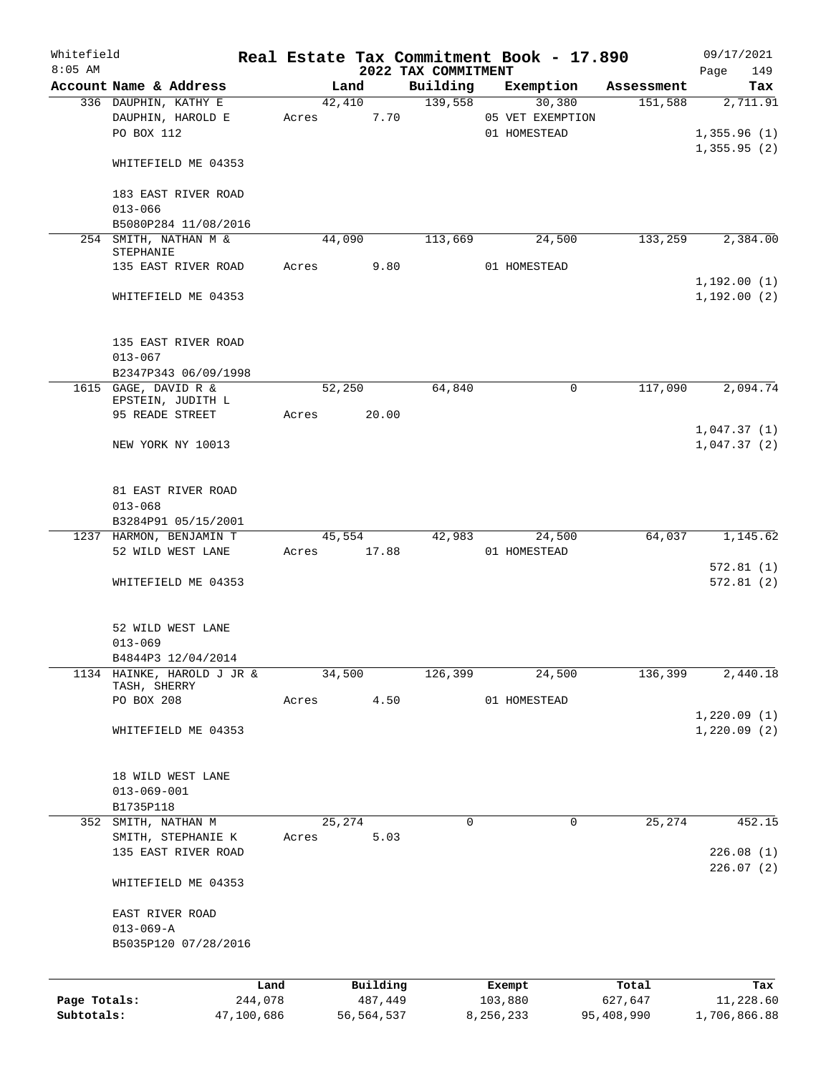| Whitefield<br>$8:05$ AM    |                                                          |       |                       | 2022 TAX COMMITMENT | Real Estate Tax Commitment Book - 17.890 |                       | 09/17/2021<br>149<br>Page  |
|----------------------------|----------------------------------------------------------|-------|-----------------------|---------------------|------------------------------------------|-----------------------|----------------------------|
|                            | Account Name & Address                                   |       | Land                  | Building            | Exemption                                | Assessment            | Tax                        |
|                            | 336 DAUPHIN, KATHY E<br>DAUPHIN, HAROLD E                | Acres | 42,410<br>7.70        | 139,558             | 30,380<br>05 VET EXEMPTION               | 151,588               | 2,711.91                   |
|                            | PO BOX 112                                               |       |                       |                     | 01 HOMESTEAD                             |                       | 1,355.96(1)<br>1,355.95(2) |
|                            | WHITEFIELD ME 04353                                      |       |                       |                     |                                          |                       |                            |
|                            | 183 EAST RIVER ROAD<br>$013 - 066$                       |       |                       |                     |                                          |                       |                            |
|                            | B5080P284 11/08/2016                                     |       |                       |                     |                                          |                       |                            |
|                            | 254 SMITH, NATHAN M &<br>STEPHANIE                       |       | 44,090                | 113,669             | 24,500                                   | 133,259               | 2,384.00                   |
|                            | 135 EAST RIVER ROAD                                      | Acres | 9.80                  |                     | 01 HOMESTEAD                             |                       | 1,192.00(1)                |
|                            | WHITEFIELD ME 04353                                      |       |                       |                     |                                          |                       | 1,192.00(2)                |
|                            | 135 EAST RIVER ROAD<br>$013 - 067$                       |       |                       |                     |                                          |                       |                            |
|                            | B2347P343 06/09/1998                                     |       |                       |                     |                                          |                       |                            |
|                            | 1615 GAGE, DAVID R &                                     |       | 52,250                | 64,840              | 0                                        | 117,090               | 2,094.74                   |
|                            | EPSTEIN, JUDITH L<br>95 READE STREET                     | Acres | 20.00                 |                     |                                          |                       |                            |
|                            | NEW YORK NY 10013                                        |       |                       |                     |                                          |                       | 1,047.37(1)<br>1,047.37(2) |
|                            | 81 EAST RIVER ROAD<br>$013 - 068$<br>B3284P91 05/15/2001 |       |                       |                     |                                          |                       |                            |
|                            | 1237 HARMON, BENJAMIN T                                  |       | 45,554                | 42,983              | 24,500                                   | 64,037                | 1,145.62                   |
|                            | 52 WILD WEST LANE                                        |       | Acres 17.88           |                     | 01 HOMESTEAD                             |                       | 572.81(1)                  |
|                            | WHITEFIELD ME 04353                                      |       |                       |                     |                                          |                       | 572.81(2)                  |
|                            | 52 WILD WEST LANE                                        |       |                       |                     |                                          |                       |                            |
|                            | $013 - 069$<br>B4844P3 12/04/2014                        |       |                       |                     |                                          |                       |                            |
|                            | 1134 HAINKE, HAROLD J JR &<br>TASH, SHERRY               |       | 34,500                | 126,399             | 24,500                                   | 136,399               | 2,440.18                   |
|                            | PO BOX 208                                               | Acres | 4.50                  |                     | 01 HOMESTEAD                             |                       |                            |
|                            | WHITEFIELD ME 04353                                      |       |                       |                     |                                          |                       | 1,220.09(1)<br>1,220.09(2) |
|                            | 18 WILD WEST LANE                                        |       |                       |                     |                                          |                       |                            |
|                            | $013 - 069 - 001$<br>B1735P118                           |       |                       |                     |                                          |                       |                            |
|                            | 352 SMITH, NATHAN M                                      |       | 25,274                | 0                   | 0                                        | 25,274                | 452.15                     |
|                            | SMITH, STEPHANIE K<br>135 EAST RIVER ROAD                | Acres | 5.03                  |                     |                                          |                       | 226.08(1)                  |
|                            | WHITEFIELD ME 04353                                      |       |                       |                     |                                          |                       | 226.07(2)                  |
|                            | EAST RIVER ROAD                                          |       |                       |                     |                                          |                       |                            |
|                            | $013 - 069 - A$<br>B5035P120 07/28/2016                  |       |                       |                     |                                          |                       |                            |
|                            |                                                          | Land  | Building              |                     | Exempt                                   | Total                 | Tax                        |
| Page Totals:<br>Subtotals: | 244,078<br>47,100,686                                    |       | 487,449<br>56,564,537 |                     | 103,880<br>8,256,233                     | 627,647<br>95,408,990 | 11,228.60<br>1,706,866.88  |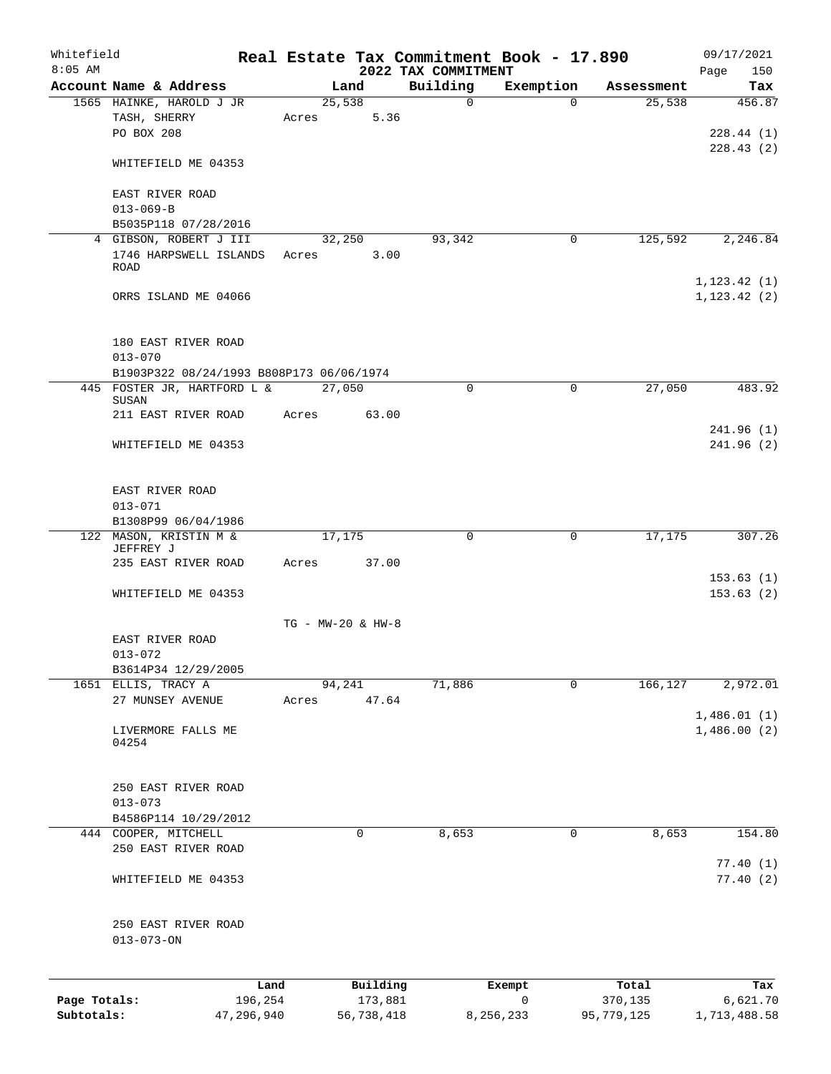| 2022 TAX COMMITMENT<br>Building<br>Account Name & Address<br>Exemption<br>Land<br>Assessment<br>1565 HAINKE, HAROLD J JR<br>25,538<br>$\mathbf 0$<br>$\Omega$<br>25,538<br>5.36<br>TASH, SHERRY<br>Acres<br>PO BOX 208<br>WHITEFIELD ME 04353<br>EAST RIVER ROAD<br>$013 - 069 - B$<br>B5035P118 07/28/2016<br>4 GIBSON, ROBERT J III<br>32,250<br>93,342<br>125,592<br>0<br>1746 HARPSWELL ISLANDS Acres<br>3.00<br><b>ROAD</b><br>1, 123.42(1)<br>ORRS ISLAND ME 04066<br>1, 123.42(2)<br>180 EAST RIVER ROAD<br>$013 - 070$<br>B1903P322 08/24/1993 B808P173 06/06/1974<br>27,050<br>445 FOSTER JR, HARTFORD L &<br>27,050<br>$\Omega$<br>$\mathbf 0$<br>SUSAN<br>63.00<br>211 EAST RIVER ROAD<br>Acres<br>WHITEFIELD ME 04353<br>EAST RIVER ROAD<br>$013 - 071$<br>B1308P99 06/04/1986<br>122 MASON, KRISTIN M &<br>17,175<br>$\mathbf 0$<br>0<br>17,175<br>JEFFREY J<br>235 EAST RIVER ROAD<br>Acres<br>37.00<br>WHITEFIELD ME 04353<br>TG - MW-20 & HW-8<br>EAST RIVER ROAD<br>$013 - 072$<br>B3614P34 12/29/2005<br>71,886<br>1651 ELLIS, TRACY A<br>166,127<br>94,241<br>0<br>47.64<br>27 MUNSEY AVENUE<br>Acres<br>LIVERMORE FALLS ME<br>04254<br>250 EAST RIVER ROAD<br>$013 - 073$<br>B4586P114 10/29/2012<br>8,653<br>8,653<br>444 COOPER, MITCHELL<br>0<br>$\mathbf 0$<br>250 EAST RIVER ROAD<br>WHITEFIELD ME 04353<br>250 EAST RIVER ROAD<br>$013 - 073 - ON$ | Whitefield<br>$8:05$ AM |  |  | Real Estate Tax Commitment Book - 17.890 | 09/17/2021<br>150<br>Page |
|------------------------------------------------------------------------------------------------------------------------------------------------------------------------------------------------------------------------------------------------------------------------------------------------------------------------------------------------------------------------------------------------------------------------------------------------------------------------------------------------------------------------------------------------------------------------------------------------------------------------------------------------------------------------------------------------------------------------------------------------------------------------------------------------------------------------------------------------------------------------------------------------------------------------------------------------------------------------------------------------------------------------------------------------------------------------------------------------------------------------------------------------------------------------------------------------------------------------------------------------------------------------------------------------------------------------------------------------------------------------------|-------------------------|--|--|------------------------------------------|---------------------------|
|                                                                                                                                                                                                                                                                                                                                                                                                                                                                                                                                                                                                                                                                                                                                                                                                                                                                                                                                                                                                                                                                                                                                                                                                                                                                                                                                                                              |                         |  |  |                                          | Tax                       |
|                                                                                                                                                                                                                                                                                                                                                                                                                                                                                                                                                                                                                                                                                                                                                                                                                                                                                                                                                                                                                                                                                                                                                                                                                                                                                                                                                                              |                         |  |  |                                          | 456.87                    |
|                                                                                                                                                                                                                                                                                                                                                                                                                                                                                                                                                                                                                                                                                                                                                                                                                                                                                                                                                                                                                                                                                                                                                                                                                                                                                                                                                                              |                         |  |  |                                          |                           |
|                                                                                                                                                                                                                                                                                                                                                                                                                                                                                                                                                                                                                                                                                                                                                                                                                                                                                                                                                                                                                                                                                                                                                                                                                                                                                                                                                                              |                         |  |  |                                          | 228.44(1)                 |
|                                                                                                                                                                                                                                                                                                                                                                                                                                                                                                                                                                                                                                                                                                                                                                                                                                                                                                                                                                                                                                                                                                                                                                                                                                                                                                                                                                              |                         |  |  |                                          | 228.43(2)                 |
|                                                                                                                                                                                                                                                                                                                                                                                                                                                                                                                                                                                                                                                                                                                                                                                                                                                                                                                                                                                                                                                                                                                                                                                                                                                                                                                                                                              |                         |  |  |                                          |                           |
|                                                                                                                                                                                                                                                                                                                                                                                                                                                                                                                                                                                                                                                                                                                                                                                                                                                                                                                                                                                                                                                                                                                                                                                                                                                                                                                                                                              |                         |  |  |                                          |                           |
|                                                                                                                                                                                                                                                                                                                                                                                                                                                                                                                                                                                                                                                                                                                                                                                                                                                                                                                                                                                                                                                                                                                                                                                                                                                                                                                                                                              |                         |  |  |                                          |                           |
|                                                                                                                                                                                                                                                                                                                                                                                                                                                                                                                                                                                                                                                                                                                                                                                                                                                                                                                                                                                                                                                                                                                                                                                                                                                                                                                                                                              |                         |  |  |                                          |                           |
|                                                                                                                                                                                                                                                                                                                                                                                                                                                                                                                                                                                                                                                                                                                                                                                                                                                                                                                                                                                                                                                                                                                                                                                                                                                                                                                                                                              |                         |  |  |                                          |                           |
|                                                                                                                                                                                                                                                                                                                                                                                                                                                                                                                                                                                                                                                                                                                                                                                                                                                                                                                                                                                                                                                                                                                                                                                                                                                                                                                                                                              |                         |  |  |                                          |                           |
|                                                                                                                                                                                                                                                                                                                                                                                                                                                                                                                                                                                                                                                                                                                                                                                                                                                                                                                                                                                                                                                                                                                                                                                                                                                                                                                                                                              |                         |  |  |                                          | 2,246.84                  |
|                                                                                                                                                                                                                                                                                                                                                                                                                                                                                                                                                                                                                                                                                                                                                                                                                                                                                                                                                                                                                                                                                                                                                                                                                                                                                                                                                                              |                         |  |  |                                          |                           |
|                                                                                                                                                                                                                                                                                                                                                                                                                                                                                                                                                                                                                                                                                                                                                                                                                                                                                                                                                                                                                                                                                                                                                                                                                                                                                                                                                                              |                         |  |  |                                          |                           |
|                                                                                                                                                                                                                                                                                                                                                                                                                                                                                                                                                                                                                                                                                                                                                                                                                                                                                                                                                                                                                                                                                                                                                                                                                                                                                                                                                                              |                         |  |  |                                          |                           |
|                                                                                                                                                                                                                                                                                                                                                                                                                                                                                                                                                                                                                                                                                                                                                                                                                                                                                                                                                                                                                                                                                                                                                                                                                                                                                                                                                                              |                         |  |  |                                          |                           |
|                                                                                                                                                                                                                                                                                                                                                                                                                                                                                                                                                                                                                                                                                                                                                                                                                                                                                                                                                                                                                                                                                                                                                                                                                                                                                                                                                                              |                         |  |  |                                          |                           |
|                                                                                                                                                                                                                                                                                                                                                                                                                                                                                                                                                                                                                                                                                                                                                                                                                                                                                                                                                                                                                                                                                                                                                                                                                                                                                                                                                                              |                         |  |  |                                          |                           |
|                                                                                                                                                                                                                                                                                                                                                                                                                                                                                                                                                                                                                                                                                                                                                                                                                                                                                                                                                                                                                                                                                                                                                                                                                                                                                                                                                                              |                         |  |  |                                          |                           |
|                                                                                                                                                                                                                                                                                                                                                                                                                                                                                                                                                                                                                                                                                                                                                                                                                                                                                                                                                                                                                                                                                                                                                                                                                                                                                                                                                                              |                         |  |  |                                          |                           |
|                                                                                                                                                                                                                                                                                                                                                                                                                                                                                                                                                                                                                                                                                                                                                                                                                                                                                                                                                                                                                                                                                                                                                                                                                                                                                                                                                                              |                         |  |  |                                          |                           |
|                                                                                                                                                                                                                                                                                                                                                                                                                                                                                                                                                                                                                                                                                                                                                                                                                                                                                                                                                                                                                                                                                                                                                                                                                                                                                                                                                                              |                         |  |  |                                          | 483.92                    |
|                                                                                                                                                                                                                                                                                                                                                                                                                                                                                                                                                                                                                                                                                                                                                                                                                                                                                                                                                                                                                                                                                                                                                                                                                                                                                                                                                                              |                         |  |  |                                          |                           |
|                                                                                                                                                                                                                                                                                                                                                                                                                                                                                                                                                                                                                                                                                                                                                                                                                                                                                                                                                                                                                                                                                                                                                                                                                                                                                                                                                                              |                         |  |  |                                          |                           |
|                                                                                                                                                                                                                                                                                                                                                                                                                                                                                                                                                                                                                                                                                                                                                                                                                                                                                                                                                                                                                                                                                                                                                                                                                                                                                                                                                                              |                         |  |  |                                          | 241.96(1)                 |
|                                                                                                                                                                                                                                                                                                                                                                                                                                                                                                                                                                                                                                                                                                                                                                                                                                                                                                                                                                                                                                                                                                                                                                                                                                                                                                                                                                              |                         |  |  |                                          | 241.96(2)                 |
|                                                                                                                                                                                                                                                                                                                                                                                                                                                                                                                                                                                                                                                                                                                                                                                                                                                                                                                                                                                                                                                                                                                                                                                                                                                                                                                                                                              |                         |  |  |                                          |                           |
|                                                                                                                                                                                                                                                                                                                                                                                                                                                                                                                                                                                                                                                                                                                                                                                                                                                                                                                                                                                                                                                                                                                                                                                                                                                                                                                                                                              |                         |  |  |                                          |                           |
|                                                                                                                                                                                                                                                                                                                                                                                                                                                                                                                                                                                                                                                                                                                                                                                                                                                                                                                                                                                                                                                                                                                                                                                                                                                                                                                                                                              |                         |  |  |                                          |                           |
|                                                                                                                                                                                                                                                                                                                                                                                                                                                                                                                                                                                                                                                                                                                                                                                                                                                                                                                                                                                                                                                                                                                                                                                                                                                                                                                                                                              |                         |  |  |                                          |                           |
|                                                                                                                                                                                                                                                                                                                                                                                                                                                                                                                                                                                                                                                                                                                                                                                                                                                                                                                                                                                                                                                                                                                                                                                                                                                                                                                                                                              |                         |  |  |                                          |                           |
|                                                                                                                                                                                                                                                                                                                                                                                                                                                                                                                                                                                                                                                                                                                                                                                                                                                                                                                                                                                                                                                                                                                                                                                                                                                                                                                                                                              |                         |  |  |                                          | 307.26                    |
|                                                                                                                                                                                                                                                                                                                                                                                                                                                                                                                                                                                                                                                                                                                                                                                                                                                                                                                                                                                                                                                                                                                                                                                                                                                                                                                                                                              |                         |  |  |                                          |                           |
|                                                                                                                                                                                                                                                                                                                                                                                                                                                                                                                                                                                                                                                                                                                                                                                                                                                                                                                                                                                                                                                                                                                                                                                                                                                                                                                                                                              |                         |  |  |                                          |                           |
|                                                                                                                                                                                                                                                                                                                                                                                                                                                                                                                                                                                                                                                                                                                                                                                                                                                                                                                                                                                                                                                                                                                                                                                                                                                                                                                                                                              |                         |  |  |                                          | 153.63(1)                 |
|                                                                                                                                                                                                                                                                                                                                                                                                                                                                                                                                                                                                                                                                                                                                                                                                                                                                                                                                                                                                                                                                                                                                                                                                                                                                                                                                                                              |                         |  |  |                                          | 153.63(2)                 |
|                                                                                                                                                                                                                                                                                                                                                                                                                                                                                                                                                                                                                                                                                                                                                                                                                                                                                                                                                                                                                                                                                                                                                                                                                                                                                                                                                                              |                         |  |  |                                          |                           |
|                                                                                                                                                                                                                                                                                                                                                                                                                                                                                                                                                                                                                                                                                                                                                                                                                                                                                                                                                                                                                                                                                                                                                                                                                                                                                                                                                                              |                         |  |  |                                          |                           |
|                                                                                                                                                                                                                                                                                                                                                                                                                                                                                                                                                                                                                                                                                                                                                                                                                                                                                                                                                                                                                                                                                                                                                                                                                                                                                                                                                                              |                         |  |  |                                          |                           |
|                                                                                                                                                                                                                                                                                                                                                                                                                                                                                                                                                                                                                                                                                                                                                                                                                                                                                                                                                                                                                                                                                                                                                                                                                                                                                                                                                                              |                         |  |  |                                          |                           |
|                                                                                                                                                                                                                                                                                                                                                                                                                                                                                                                                                                                                                                                                                                                                                                                                                                                                                                                                                                                                                                                                                                                                                                                                                                                                                                                                                                              |                         |  |  |                                          |                           |
|                                                                                                                                                                                                                                                                                                                                                                                                                                                                                                                                                                                                                                                                                                                                                                                                                                                                                                                                                                                                                                                                                                                                                                                                                                                                                                                                                                              |                         |  |  |                                          | 2,972.01                  |
|                                                                                                                                                                                                                                                                                                                                                                                                                                                                                                                                                                                                                                                                                                                                                                                                                                                                                                                                                                                                                                                                                                                                                                                                                                                                                                                                                                              |                         |  |  |                                          |                           |
|                                                                                                                                                                                                                                                                                                                                                                                                                                                                                                                                                                                                                                                                                                                                                                                                                                                                                                                                                                                                                                                                                                                                                                                                                                                                                                                                                                              |                         |  |  |                                          | 1,486.01(1)               |
|                                                                                                                                                                                                                                                                                                                                                                                                                                                                                                                                                                                                                                                                                                                                                                                                                                                                                                                                                                                                                                                                                                                                                                                                                                                                                                                                                                              |                         |  |  |                                          | 1,486.00(2)               |
|                                                                                                                                                                                                                                                                                                                                                                                                                                                                                                                                                                                                                                                                                                                                                                                                                                                                                                                                                                                                                                                                                                                                                                                                                                                                                                                                                                              |                         |  |  |                                          |                           |
|                                                                                                                                                                                                                                                                                                                                                                                                                                                                                                                                                                                                                                                                                                                                                                                                                                                                                                                                                                                                                                                                                                                                                                                                                                                                                                                                                                              |                         |  |  |                                          |                           |
|                                                                                                                                                                                                                                                                                                                                                                                                                                                                                                                                                                                                                                                                                                                                                                                                                                                                                                                                                                                                                                                                                                                                                                                                                                                                                                                                                                              |                         |  |  |                                          |                           |
|                                                                                                                                                                                                                                                                                                                                                                                                                                                                                                                                                                                                                                                                                                                                                                                                                                                                                                                                                                                                                                                                                                                                                                                                                                                                                                                                                                              |                         |  |  |                                          |                           |
|                                                                                                                                                                                                                                                                                                                                                                                                                                                                                                                                                                                                                                                                                                                                                                                                                                                                                                                                                                                                                                                                                                                                                                                                                                                                                                                                                                              |                         |  |  |                                          |                           |
|                                                                                                                                                                                                                                                                                                                                                                                                                                                                                                                                                                                                                                                                                                                                                                                                                                                                                                                                                                                                                                                                                                                                                                                                                                                                                                                                                                              |                         |  |  |                                          |                           |
|                                                                                                                                                                                                                                                                                                                                                                                                                                                                                                                                                                                                                                                                                                                                                                                                                                                                                                                                                                                                                                                                                                                                                                                                                                                                                                                                                                              |                         |  |  |                                          | 154.80                    |
|                                                                                                                                                                                                                                                                                                                                                                                                                                                                                                                                                                                                                                                                                                                                                                                                                                                                                                                                                                                                                                                                                                                                                                                                                                                                                                                                                                              |                         |  |  |                                          |                           |
|                                                                                                                                                                                                                                                                                                                                                                                                                                                                                                                                                                                                                                                                                                                                                                                                                                                                                                                                                                                                                                                                                                                                                                                                                                                                                                                                                                              |                         |  |  |                                          | 77.40(1)                  |
|                                                                                                                                                                                                                                                                                                                                                                                                                                                                                                                                                                                                                                                                                                                                                                                                                                                                                                                                                                                                                                                                                                                                                                                                                                                                                                                                                                              |                         |  |  |                                          | 77.40(2)                  |
|                                                                                                                                                                                                                                                                                                                                                                                                                                                                                                                                                                                                                                                                                                                                                                                                                                                                                                                                                                                                                                                                                                                                                                                                                                                                                                                                                                              |                         |  |  |                                          |                           |
|                                                                                                                                                                                                                                                                                                                                                                                                                                                                                                                                                                                                                                                                                                                                                                                                                                                                                                                                                                                                                                                                                                                                                                                                                                                                                                                                                                              |                         |  |  |                                          |                           |
|                                                                                                                                                                                                                                                                                                                                                                                                                                                                                                                                                                                                                                                                                                                                                                                                                                                                                                                                                                                                                                                                                                                                                                                                                                                                                                                                                                              |                         |  |  |                                          |                           |
|                                                                                                                                                                                                                                                                                                                                                                                                                                                                                                                                                                                                                                                                                                                                                                                                                                                                                                                                                                                                                                                                                                                                                                                                                                                                                                                                                                              |                         |  |  |                                          |                           |
|                                                                                                                                                                                                                                                                                                                                                                                                                                                                                                                                                                                                                                                                                                                                                                                                                                                                                                                                                                                                                                                                                                                                                                                                                                                                                                                                                                              |                         |  |  |                                          |                           |
|                                                                                                                                                                                                                                                                                                                                                                                                                                                                                                                                                                                                                                                                                                                                                                                                                                                                                                                                                                                                                                                                                                                                                                                                                                                                                                                                                                              |                         |  |  |                                          |                           |
| Building<br>Land<br>Total<br>Exempt                                                                                                                                                                                                                                                                                                                                                                                                                                                                                                                                                                                                                                                                                                                                                                                                                                                                                                                                                                                                                                                                                                                                                                                                                                                                                                                                          |                         |  |  |                                          | Tax                       |
| 196,254<br>173,881<br>0<br>370,135<br>Page Totals:                                                                                                                                                                                                                                                                                                                                                                                                                                                                                                                                                                                                                                                                                                                                                                                                                                                                                                                                                                                                                                                                                                                                                                                                                                                                                                                           |                         |  |  |                                          | 6,621.70                  |

**Subtotals:** 47,296,940 56,738,418 8,256,233 95,779,125 1,713,488.58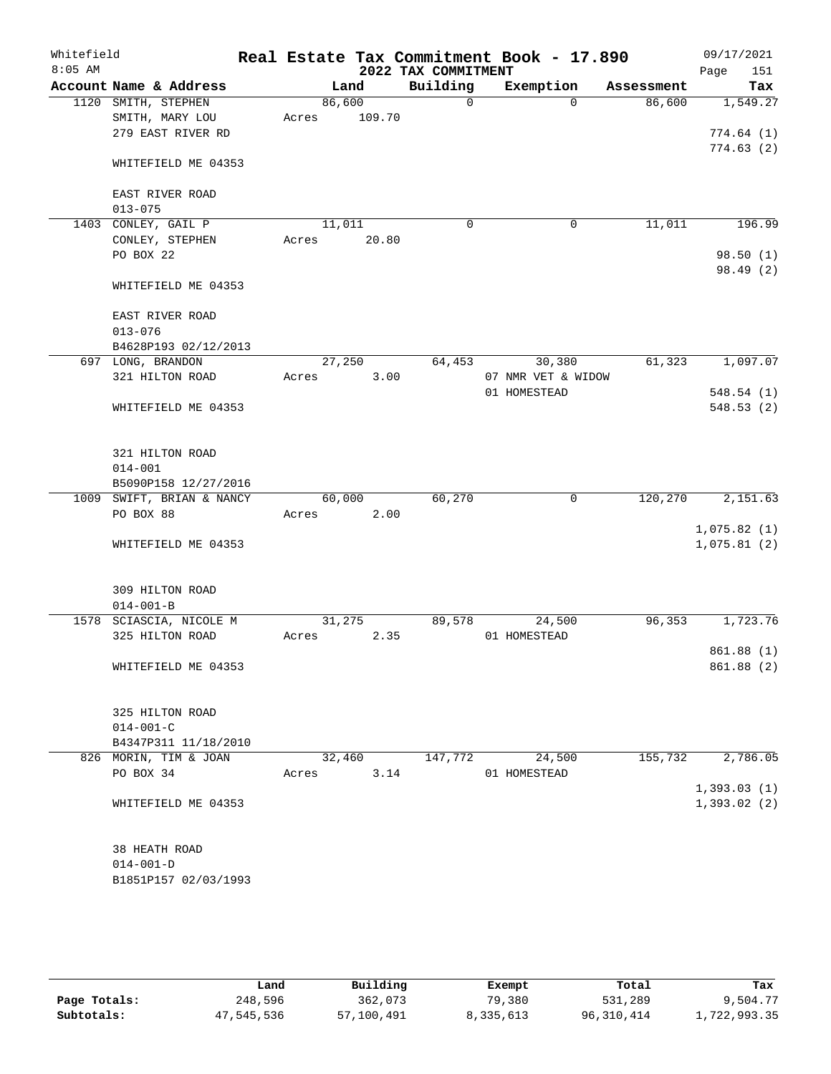| Whitefield<br>$8:05$ AM |                                                             |                 |        | 2022 TAX COMMITMENT | Real Estate Tax Commitment Book - 17.890 |            | 09/17/2021<br>151<br>Page  |
|-------------------------|-------------------------------------------------------------|-----------------|--------|---------------------|------------------------------------------|------------|----------------------------|
|                         | Account Name & Address                                      |                 | Land   | Building            | Exemption                                | Assessment | Tax                        |
|                         | 1120 SMITH, STEPHEN<br>SMITH, MARY LOU<br>279 EAST RIVER RD | 86,600<br>Acres | 109.70 | $\mathbf 0$         | $\Omega$                                 | 86,600     | 1,549.27<br>774.64(1)      |
|                         | WHITEFIELD ME 04353                                         |                 |        |                     |                                          |            | 774.63(2)                  |
|                         | EAST RIVER ROAD<br>$013 - 075$                              |                 |        |                     |                                          |            |                            |
|                         | 1403 CONLEY, GAIL P<br>CONLEY, STEPHEN                      | 11,011<br>Acres | 20.80  | 0                   | $\mathbf 0$                              | 11,011     | 196.99                     |
|                         | PO BOX 22                                                   |                 |        |                     |                                          |            | 98.50(1)<br>98.49(2)       |
|                         | WHITEFIELD ME 04353                                         |                 |        |                     |                                          |            |                            |
|                         | EAST RIVER ROAD<br>$013 - 076$                              |                 |        |                     |                                          |            |                            |
|                         | B4628P193 02/12/2013                                        |                 |        |                     |                                          |            |                            |
|                         | 697 LONG, BRANDON                                           | 27,250          |        | 64,453              | 30,380                                   | 61,323     | 1,097.07                   |
|                         | 321 HILTON ROAD                                             | Acres           | 3.00   |                     | 07 NMR VET & WIDOW                       |            |                            |
|                         |                                                             |                 |        |                     | 01 HOMESTEAD                             |            | 548.54(1)                  |
|                         | WHITEFIELD ME 04353                                         |                 |        |                     |                                          |            | 548.53(2)                  |
|                         | 321 HILTON ROAD<br>$014 - 001$                              |                 |        |                     |                                          |            |                            |
|                         | B5090P158 12/27/2016                                        |                 |        |                     |                                          |            |                            |
|                         | 1009 SWIFT, BRIAN & NANCY                                   | 60,000          |        | 60,270              | $\mathbf 0$                              | 120,270    | 2,151.63                   |
|                         | PO BOX 88                                                   | Acres           | 2.00   |                     |                                          |            |                            |
|                         | WHITEFIELD ME 04353                                         |                 |        |                     |                                          |            | 1,075.82(1)<br>1,075.81(2) |
|                         | 309 HILTON ROAD<br>$014 - 001 - B$                          |                 |        |                     |                                          |            |                            |
|                         | 1578 SCIASCIA, NICOLE M                                     | 31,275          |        | 89,578              | 24,500                                   | 96,353     | 1,723.76                   |
|                         | 325 HILTON ROAD                                             | Acres           | 2.35   |                     | 01 HOMESTEAD                             |            | 861.88(1)                  |
|                         | WHITEFIELD ME 04353                                         |                 |        |                     |                                          |            | 861.88 (2)                 |
|                         | 325 HILTON ROAD<br>$014 - 001 - C$                          |                 |        |                     |                                          |            |                            |
|                         | B4347P311 11/18/2010                                        |                 |        |                     |                                          |            |                            |
|                         | 826 MORIN, TIM & JOAN                                       | 32,460          |        | 147,772             | 24,500                                   | 155,732    | 2,786.05                   |
|                         | PO BOX 34                                                   | Acres           | 3.14   |                     | 01 HOMESTEAD                             |            |                            |
|                         | WHITEFIELD ME 04353                                         |                 |        |                     |                                          |            | 1,393.03(1)<br>1,393.02(2) |
|                         | 38 HEATH ROAD<br>$014 - 001 - D$<br>B1851P157 02/03/1993    |                 |        |                     |                                          |            |                            |

|              | Land       | Building   | Exempt    | Total      | Tax          |
|--------------|------------|------------|-----------|------------|--------------|
| Page Totals: | 248,596    | 362,073    | 79,380    | 531,289    | 9,504.77     |
| Subtotals:   | 47,545,536 | 57,100,491 | 8,335,613 | 96,310,414 | 1,722,993.35 |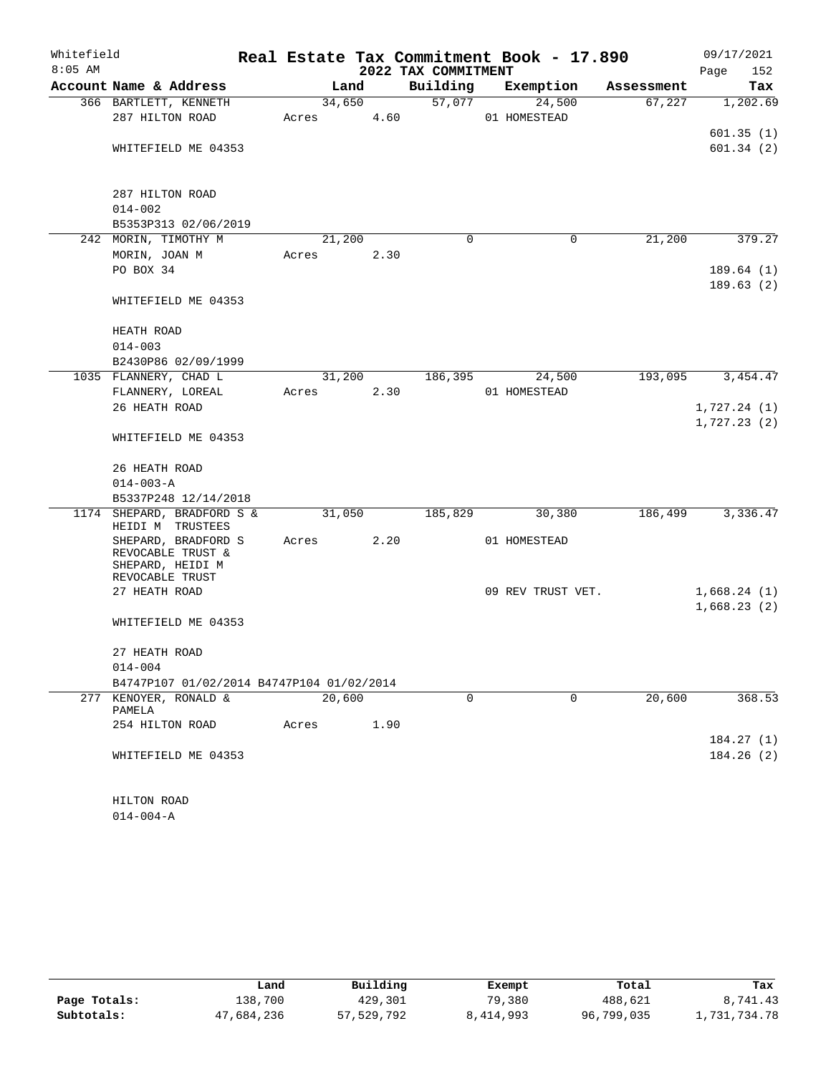| Whitefield |                                                              |       |        |                     | Real Estate Tax Commitment Book - 17.890 |                    | 09/17/2021  |
|------------|--------------------------------------------------------------|-------|--------|---------------------|------------------------------------------|--------------------|-------------|
| $8:05$ AM  |                                                              |       |        | 2022 TAX COMMITMENT |                                          |                    | Page<br>152 |
|            | Account Name & Address                                       |       | Land   | Building            | Exemption                                | Assessment         | Tax         |
|            | 366 BARTLETT, KENNETH                                        |       | 34,650 | 57,077              | 24,500                                   | 67,227             | 1,202.69    |
|            | 287 HILTON ROAD                                              | Acres | 4.60   |                     | 01 HOMESTEAD                             |                    |             |
|            |                                                              |       |        |                     |                                          |                    | 601.35(1)   |
|            | WHITEFIELD ME 04353                                          |       |        |                     |                                          |                    | 601.34(2)   |
|            | 287 HILTON ROAD                                              |       |        |                     |                                          |                    |             |
|            | $014 - 002$                                                  |       |        |                     |                                          |                    |             |
|            | B5353P313 02/06/2019                                         |       |        |                     |                                          |                    |             |
|            | 242 MORIN, TIMOTHY M                                         |       | 21,200 | $\Omega$            |                                          | 21,200<br>0        | 379.27      |
|            | MORIN, JOAN M                                                | Acres | 2.30   |                     |                                          |                    |             |
|            | PO BOX 34                                                    |       |        |                     |                                          |                    | 189.64(1)   |
|            |                                                              |       |        |                     |                                          |                    | 189.63(2)   |
|            | WHITEFIELD ME 04353                                          |       |        |                     |                                          |                    |             |
|            | HEATH ROAD                                                   |       |        |                     |                                          |                    |             |
|            | $014 - 003$                                                  |       |        |                     |                                          |                    |             |
|            | B2430P86 02/09/1999                                          |       |        |                     |                                          |                    |             |
|            | 1035 FLANNERY, CHAD L                                        |       | 31,200 | 186,395             | 24,500                                   | 193,095            | 3, 454.47   |
|            | FLANNERY, LOREAL                                             | Acres | 2.30   |                     | 01 HOMESTEAD                             |                    |             |
|            | 26 HEATH ROAD                                                |       |        |                     |                                          |                    | 1,727.24(1) |
|            | WHITEFIELD ME 04353                                          |       |        |                     |                                          |                    | 1,727.23(2) |
|            | 26 HEATH ROAD                                                |       |        |                     |                                          |                    |             |
|            | $014 - 003 - A$                                              |       |        |                     |                                          |                    |             |
|            | B5337P248 12/14/2018                                         |       |        |                     |                                          |                    |             |
|            | 1174 SHEPARD, BRADFORD S &                                   |       | 31,050 | 185,829             | 30,380                                   | 186,499            | 3,336.47    |
|            | HEIDI M TRUSTEES                                             |       |        |                     |                                          |                    |             |
|            | SHEPARD, BRADFORD S<br>REVOCABLE TRUST &<br>SHEPARD, HEIDI M | Acres | 2.20   |                     | 01 HOMESTEAD                             |                    |             |
|            | REVOCABLE TRUST<br>27 HEATH ROAD                             |       |        |                     | 09 REV TRUST VET.                        |                    | 1,668.24(1) |
|            |                                                              |       |        |                     |                                          |                    | 1,668.23(2) |
|            | WHITEFIELD ME 04353                                          |       |        |                     |                                          |                    |             |
|            | 27 HEATH ROAD                                                |       |        |                     |                                          |                    |             |
|            | $014 - 004$                                                  |       |        |                     |                                          |                    |             |
|            | B4747P107 01/02/2014 B4747P104 01/02/2014                    |       |        |                     |                                          |                    |             |
| 277        | KENOYER, RONALD &<br>PAMELA                                  |       | 20,600 | 0                   |                                          | $\Omega$<br>20,600 | 368.53      |
|            | 254 HILTON ROAD                                              | Acres | 1.90   |                     |                                          |                    |             |
|            |                                                              |       |        |                     |                                          |                    | 184.27(1)   |
|            | WHITEFIELD ME 04353                                          |       |        |                     |                                          |                    | 184.26(2)   |
|            | HILTON ROAD                                                  |       |        |                     |                                          |                    |             |
|            |                                                              |       |        |                     |                                          |                    |             |

014-004-A

|              | Land       | Building   | Exempt    | Total      | Tax         |
|--------------|------------|------------|-----------|------------|-------------|
| Page Totals: | 138,700    | 429,301    | 79,380    | 488,621    | 8,741.43    |
| Subtotals:   | 47,684,236 | 57,529,792 | 8,414,993 | 96,799,035 | ,731,734.78 |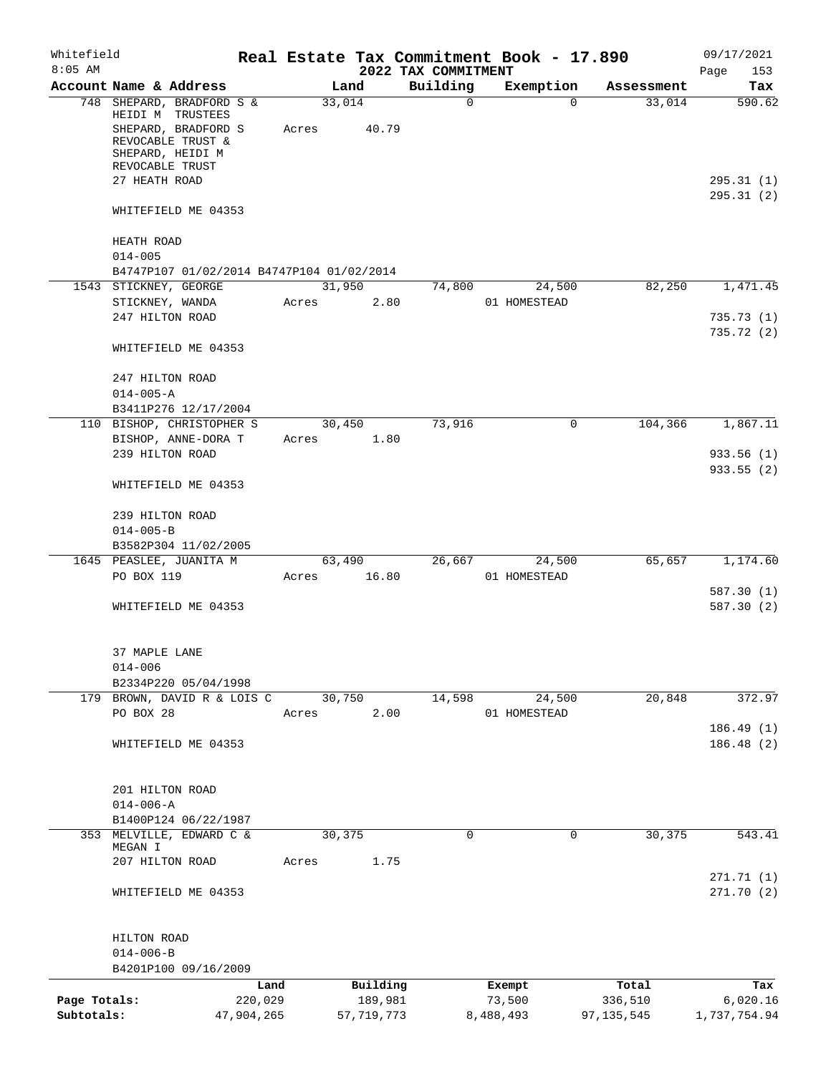| Whitefield<br>$8:05$ AM    |                                                                                                                                                   |                       |                 |                         | 2022 TAX COMMITMENT | Real Estate Tax Commitment Book - 17.890 |                         | 09/17/2021<br>153<br>Page        |
|----------------------------|---------------------------------------------------------------------------------------------------------------------------------------------------|-----------------------|-----------------|-------------------------|---------------------|------------------------------------------|-------------------------|----------------------------------|
|                            | Account Name & Address                                                                                                                            |                       |                 | Land                    | Building            | Exemption                                | Assessment              | Tax                              |
|                            | 748 SHEPARD, BRADFORD S &<br>HEIDI M TRUSTEES<br>SHEPARD, BRADFORD S<br>REVOCABLE TRUST &<br>SHEPARD, HEIDI M<br>REVOCABLE TRUST<br>27 HEATH ROAD |                       | 33,014<br>Acres | 40.79                   | $\mathbf 0$         | $\Omega$                                 | 33,014                  | 590.62<br>295.31(1)<br>295.31(2) |
|                            | WHITEFIELD ME 04353                                                                                                                               |                       |                 |                         |                     |                                          |                         |                                  |
|                            | HEATH ROAD<br>$014 - 005$                                                                                                                         |                       |                 |                         |                     |                                          |                         |                                  |
|                            | B4747P107 01/02/2014 B4747P104 01/02/2014                                                                                                         |                       |                 |                         |                     |                                          |                         |                                  |
|                            | 1543 STICKNEY, GEORGE                                                                                                                             |                       | 31,950          |                         | 74,800              | 24,500                                   | 82,250                  | 1,471.45                         |
|                            | STICKNEY, WANDA                                                                                                                                   |                       | Acres           | 2.80                    |                     | 01 HOMESTEAD                             |                         |                                  |
|                            | 247 HILTON ROAD                                                                                                                                   |                       |                 |                         |                     |                                          |                         | 735.73(1)                        |
|                            | WHITEFIELD ME 04353                                                                                                                               |                       |                 |                         |                     |                                          |                         | 735.72(2)                        |
|                            | 247 HILTON ROAD<br>$014 - 005 - A$<br>B3411P276 12/17/2004                                                                                        |                       |                 |                         |                     |                                          |                         |                                  |
|                            | 110 BISHOP, CHRISTOPHER S                                                                                                                         |                       | 30,450          |                         | 73,916              | $\mathbf 0$                              | 104,366                 | 1,867.11                         |
|                            | BISHOP, ANNE-DORA T<br>239 HILTON ROAD                                                                                                            |                       | Acres           | 1.80                    |                     |                                          |                         | 933.56(1)                        |
|                            |                                                                                                                                                   |                       |                 |                         |                     |                                          |                         | 933.55(2)                        |
|                            | WHITEFIELD ME 04353                                                                                                                               |                       |                 |                         |                     |                                          |                         |                                  |
|                            | 239 HILTON ROAD                                                                                                                                   |                       |                 |                         |                     |                                          |                         |                                  |
|                            | $014 - 005 - B$                                                                                                                                   |                       |                 |                         |                     |                                          |                         |                                  |
|                            | B3582P304 11/02/2005<br>1645 PEASLEE, JUANITA M                                                                                                   |                       | 63,490          |                         | 26,667              | 24,500                                   | 65,657                  | 1,174.60                         |
|                            | PO BOX 119                                                                                                                                        |                       | Acres 16.80     |                         |                     | 01 HOMESTEAD                             |                         |                                  |
|                            | WHITEFIELD ME 04353                                                                                                                               |                       |                 |                         |                     |                                          |                         | 587.30(1)<br>587.30(2)           |
|                            | 37 MAPLE LANE<br>$014 - 006$<br>B2334P220 05/04/1998                                                                                              |                       |                 |                         |                     |                                          |                         |                                  |
|                            | 179 BROWN, DAVID R & LOIS C                                                                                                                       |                       | 30,750          |                         | 14,598              | 24,500                                   | 20,848                  | 372.97                           |
|                            | PO BOX 28                                                                                                                                         |                       | Acres           | 2.00                    |                     | 01 HOMESTEAD                             |                         |                                  |
|                            | WHITEFIELD ME 04353                                                                                                                               |                       |                 |                         |                     |                                          |                         | 186.49(1)<br>186.48(2)           |
|                            | 201 HILTON ROAD<br>$014 - 006 - A$                                                                                                                |                       |                 |                         |                     |                                          |                         |                                  |
|                            | B1400P124 06/22/1987                                                                                                                              |                       |                 |                         |                     |                                          |                         |                                  |
| 353                        | MELVILLE, EDWARD C &<br>MEGAN I                                                                                                                   |                       | 30,375          |                         | 0                   | 0                                        | 30,375                  | 543.41                           |
|                            | 207 HILTON ROAD                                                                                                                                   |                       | Acres           | 1.75                    |                     |                                          |                         |                                  |
|                            | WHITEFIELD ME 04353                                                                                                                               |                       |                 |                         |                     |                                          |                         | 271.71(1)<br>271.70(2)           |
|                            | HILTON ROAD                                                                                                                                       |                       |                 |                         |                     |                                          |                         |                                  |
|                            | $014 - 006 - B$                                                                                                                                   |                       |                 |                         |                     |                                          |                         |                                  |
|                            | B4201P100 09/16/2009                                                                                                                              | Land                  |                 | Building                |                     | Exempt                                   | Total                   | Tax                              |
| Page Totals:<br>Subtotals: |                                                                                                                                                   | 220,029<br>47,904,265 |                 | 189,981<br>57, 719, 773 |                     | 73,500<br>8,488,493                      | 336,510<br>97, 135, 545 | 6,020.16<br>1,737,754.94         |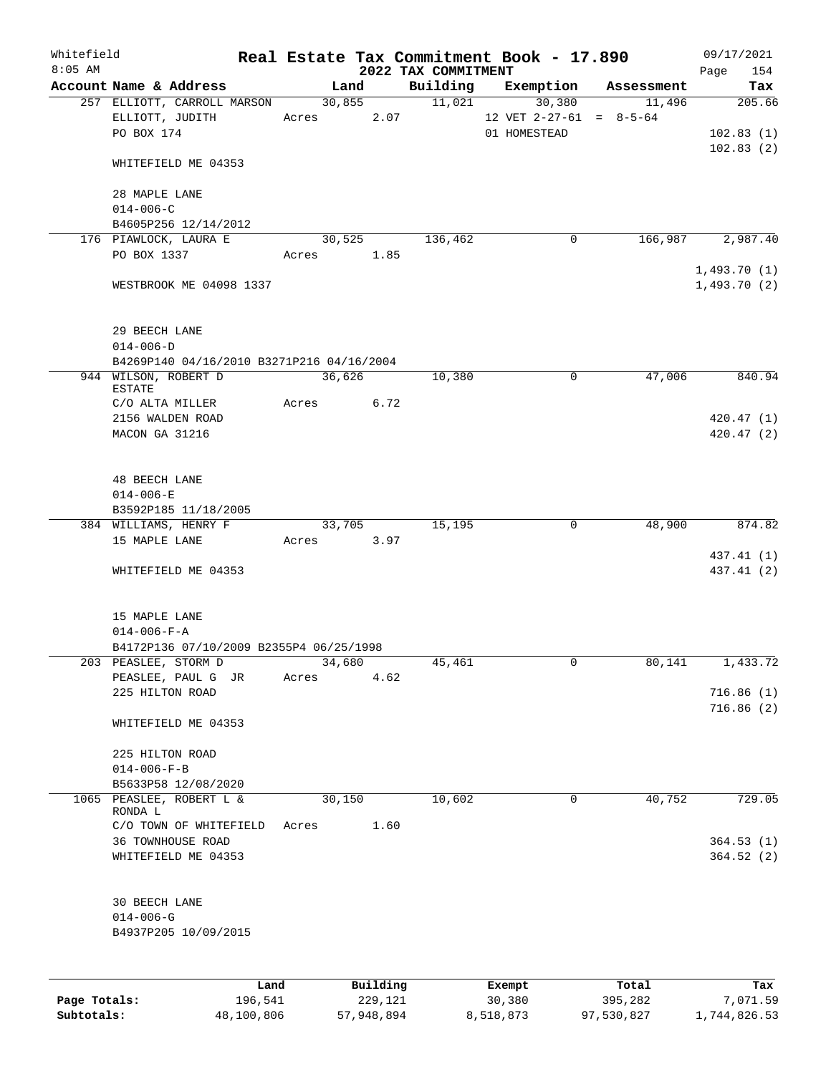| Whitefield<br>$8:05$ AM |                                                              |       |        |                     | 2022 TAX COMMITMENT | Real Estate Tax Commitment Book - 17.890            |                  | 09/17/2021<br>154<br>Page        |
|-------------------------|--------------------------------------------------------------|-------|--------|---------------------|---------------------|-----------------------------------------------------|------------------|----------------------------------|
|                         | Account Name & Address                                       |       | Land   |                     | Building            | Exemption                                           | Assessment       | Tax                              |
|                         | 257 ELLIOTT, CARROLL MARSON<br>ELLIOTT, JUDITH<br>PO BOX 174 | Acres | 30,855 | 2.07                | 11,021              | 30,380<br>12 VET $2-27-61 = 8-5-64$<br>01 HOMESTEAD | 11,496           | 205.66<br>102.83(1)<br>102.83(2) |
|                         | WHITEFIELD ME 04353                                          |       |        |                     |                     |                                                     |                  |                                  |
|                         | 28 MAPLE LANE<br>$014 - 006 - C$                             |       |        |                     |                     |                                                     |                  |                                  |
|                         | B4605P256 12/14/2012                                         |       |        |                     |                     |                                                     |                  |                                  |
|                         | 176 PIAWLOCK, LAURA E                                        |       | 30,525 |                     | 136,462             | $\mathbf 0$                                         | 166,987          | 2,987.40                         |
|                         | PO BOX 1337                                                  | Acres |        | 1.85                |                     |                                                     |                  | 1,493.70(1)                      |
|                         | WESTBROOK ME 04098 1337                                      |       |        |                     |                     |                                                     |                  | 1,493.70(2)                      |
|                         | 29 BEECH LANE<br>$014 - 006 - D$                             |       |        |                     |                     |                                                     |                  |                                  |
|                         | B4269P140 04/16/2010 B3271P216 04/16/2004                    |       |        |                     |                     |                                                     |                  |                                  |
|                         | 944 WILSON, ROBERT D<br>ESTATE                               |       | 36,626 |                     | 10,380              | $\mathbf 0$                                         | 47,006           | 840.94                           |
|                         | C/O ALTA MILLER                                              | Acres |        | 6.72                |                     |                                                     |                  |                                  |
|                         | 2156 WALDEN ROAD<br>MACON GA 31216                           |       |        |                     |                     |                                                     |                  | 420.47(1)<br>420.47(2)           |
|                         | <b>48 BEECH LANE</b><br>$014 - 006 - E$                      |       |        |                     |                     |                                                     |                  |                                  |
|                         | B3592P185 11/18/2005                                         |       |        |                     |                     |                                                     |                  |                                  |
|                         | 384 WILLIAMS, HENRY F                                        |       | 33,705 |                     | 15,195              | $\mathbf 0$                                         | 48,900           | 874.82                           |
|                         | 15 MAPLE LANE                                                | Acres |        | 3.97                |                     |                                                     |                  |                                  |
|                         | WHITEFIELD ME 04353                                          |       |        |                     |                     |                                                     |                  | 437.41 (1)<br>437.41 (2)         |
|                         | 15 MAPLE LANE<br>$014 - 006 - F - A$                         |       |        |                     |                     |                                                     |                  |                                  |
|                         | B4172P136 07/10/2009 B2355P4 06/25/1998                      |       |        |                     |                     |                                                     |                  |                                  |
|                         | 203 PEASLEE, STORM D                                         |       | 34,680 |                     | 45,461              | 0                                                   | 80,141           | 1,433.72                         |
|                         | PEASLEE, PAUL G JR<br>225 HILTON ROAD                        | Acres |        | 4.62                |                     |                                                     |                  | 716.86(1)                        |
|                         | WHITEFIELD ME 04353                                          |       |        |                     |                     |                                                     |                  | 716.86(2)                        |
|                         | 225 HILTON ROAD                                              |       |        |                     |                     |                                                     |                  |                                  |
|                         | $014 - 006 - F - B$                                          |       |        |                     |                     |                                                     |                  |                                  |
|                         | B5633P58 12/08/2020                                          |       |        |                     |                     |                                                     |                  |                                  |
| 1065                    | PEASLEE, ROBERT L &<br>RONDA L                               |       | 30,150 |                     | 10,602              | 0                                                   | 40,752           | 729.05                           |
|                         | C/O TOWN OF WHITEFIELD                                       | Acres |        | 1.60                |                     |                                                     |                  |                                  |
|                         | 36 TOWNHOUSE ROAD<br>WHITEFIELD ME 04353                     |       |        |                     |                     |                                                     |                  | 364.53(1)<br>364.52(2)           |
|                         | 30 BEECH LANE<br>$014 - 006 - G$<br>B4937P205 10/09/2015     |       |        |                     |                     |                                                     |                  |                                  |
|                         |                                                              |       |        |                     |                     |                                                     |                  |                                  |
| Page Totals:            | 196,541                                                      | Land  |        | Building<br>229,121 |                     | Exempt<br>30,380                                    | Total<br>395,282 | Tax<br>7,071.59                  |

**Subtotals:** 48,100,806 57,948,894 8,518,873 97,530,827 1,744,826.53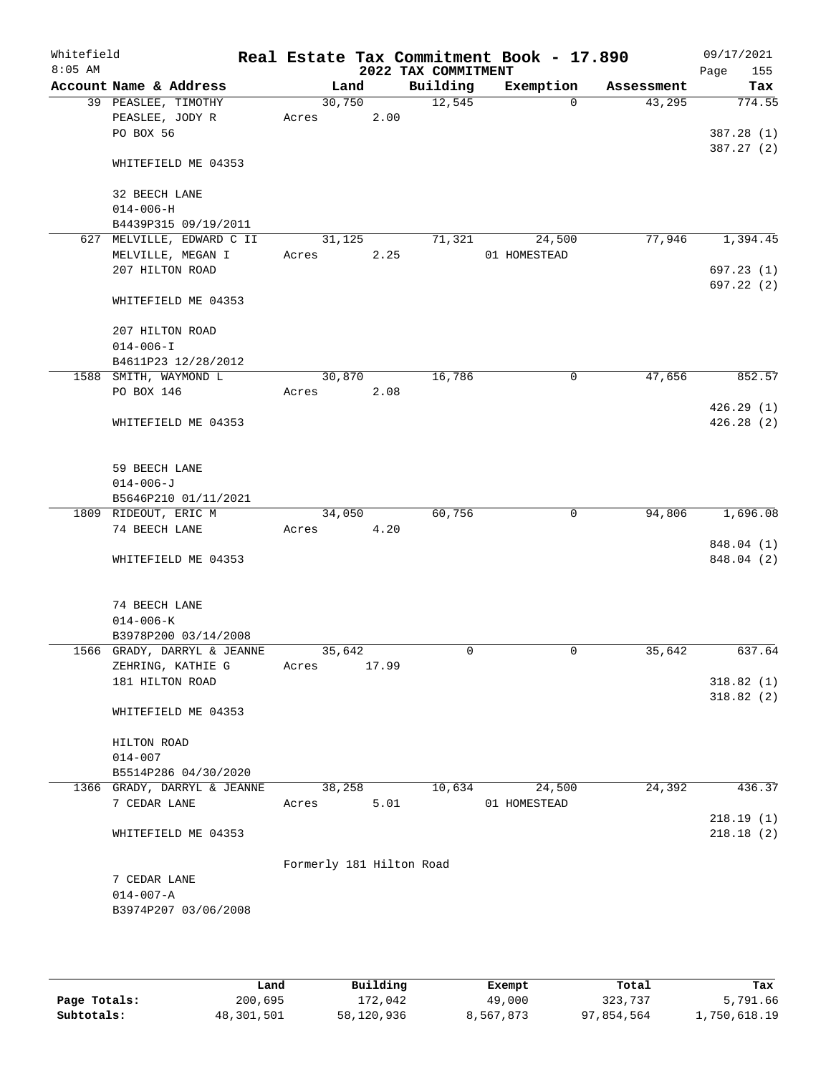| Whitefield<br>$8:05$ AM |                                                     |                          |       | 2022 TAX COMMITMENT | Real Estate Tax Commitment Book - 17.890 |            | 09/17/2021<br>Page<br>155 |
|-------------------------|-----------------------------------------------------|--------------------------|-------|---------------------|------------------------------------------|------------|---------------------------|
|                         | Account Name & Address                              | Land                     |       | Building            | Exemption                                | Assessment | Tax                       |
|                         | 39 PEASLEE, TIMOTHY                                 | 30,750                   |       | 12,545              | $\Omega$                                 | 43,295     | 774.55                    |
|                         | PEASLEE, JODY R                                     | Acres                    | 2.00  |                     |                                          |            |                           |
|                         | PO BOX 56                                           |                          |       |                     |                                          |            | 387.28 (1)                |
|                         | WHITEFIELD ME 04353                                 |                          |       |                     |                                          |            | 387.27(2)                 |
|                         | 32 BEECH LANE                                       |                          |       |                     |                                          |            |                           |
|                         | $014 - 006 - H$                                     |                          |       |                     |                                          |            |                           |
|                         | B4439P315 09/19/2011                                |                          |       |                     |                                          |            |                           |
|                         | 627 MELVILLE, EDWARD C II                           | 31,125                   |       | 71,321              | 24,500                                   | 77,946     | 1,394.45                  |
|                         | MELVILLE, MEGAN I                                   | Acres                    | 2.25  |                     | 01 HOMESTEAD                             |            |                           |
|                         | 207 HILTON ROAD                                     |                          |       |                     |                                          |            | 697.23(1)                 |
|                         | WHITEFIELD ME 04353                                 |                          |       |                     |                                          |            | 697.22(2)                 |
|                         | 207 HILTON ROAD                                     |                          |       |                     |                                          |            |                           |
|                         | $014 - 006 - I$                                     |                          |       |                     |                                          |            |                           |
|                         | B4611P23 12/28/2012                                 |                          |       |                     |                                          |            |                           |
|                         | 1588 SMITH, WAYMOND L                               | 30,870                   |       | 16,786              | $\mathbf 0$                              | 47,656     | 852.57                    |
|                         | PO BOX 146                                          | Acres                    | 2.08  |                     |                                          |            |                           |
|                         |                                                     |                          |       |                     |                                          |            | 426.29(1)                 |
|                         | WHITEFIELD ME 04353                                 |                          |       |                     |                                          |            | 426.28(2)                 |
|                         | 59 BEECH LANE                                       |                          |       |                     |                                          |            |                           |
|                         | $014 - 006 - J$                                     |                          |       |                     |                                          |            |                           |
|                         | B5646P210 01/11/2021                                |                          |       |                     |                                          |            |                           |
|                         | 1809 RIDEOUT, ERIC M                                | 34,050                   |       | 60,756              | 0                                        | 94,806     | 1,696.08                  |
|                         | 74 BEECH LANE                                       | Acres                    | 4.20  |                     |                                          |            |                           |
|                         |                                                     |                          |       |                     |                                          |            | 848.04 (1)                |
|                         | WHITEFIELD ME 04353                                 |                          |       |                     |                                          |            | 848.04 (2)                |
|                         | 74 BEECH LANE                                       |                          |       |                     |                                          |            |                           |
|                         | $014 - 006 - K$                                     |                          |       |                     |                                          |            |                           |
|                         | B3978P200 03/14/2008<br>1566 GRADY, DARRYL & JEANNE | 35,642                   |       | 0                   | $\mathbf 0$                              | 35,642     | 637.64                    |
|                         | ZEHRING, KATHIE G                                   | Acres                    | 17.99 |                     |                                          |            |                           |
|                         | 181 HILTON ROAD                                     |                          |       |                     |                                          |            | 318.82(1)                 |
|                         |                                                     |                          |       |                     |                                          |            | 318.82(2)                 |
|                         | WHITEFIELD ME 04353                                 |                          |       |                     |                                          |            |                           |
|                         | HILTON ROAD                                         |                          |       |                     |                                          |            |                           |
|                         | $014 - 007$                                         |                          |       |                     |                                          |            |                           |
|                         | B5514P286 04/30/2020                                |                          |       |                     |                                          |            |                           |
|                         | 1366 GRADY, DARRYL & JEANNE                         | 38,258                   |       | 10,634              | 24,500                                   | 24,392     | 436.37                    |
|                         | 7 CEDAR LANE                                        | Acres                    | 5.01  |                     | 01 HOMESTEAD                             |            |                           |
|                         | WHITEFIELD ME 04353                                 |                          |       |                     |                                          |            | 218.19(1)<br>218.18(2)    |
|                         |                                                     |                          |       |                     |                                          |            |                           |
|                         |                                                     | Formerly 181 Hilton Road |       |                     |                                          |            |                           |
|                         | 7 CEDAR LANE<br>$014 - 007 - A$                     |                          |       |                     |                                          |            |                           |
|                         | B3974P207 03/06/2008                                |                          |       |                     |                                          |            |                           |
|                         |                                                     |                          |       |                     |                                          |            |                           |
|                         |                                                     |                          |       |                     |                                          |            |                           |
|                         |                                                     |                          |       |                     |                                          |            |                           |

|              | Land       | Building   | Exempt    | Total      | Tax          |
|--------------|------------|------------|-----------|------------|--------------|
| Page Totals: | 200,695    | 172.042    | 49,000    | 323,737    | 5,791.66     |
| Subtotals:   | 48,301,501 | 58,120,936 | 8,567,873 | 97,854,564 | 1,750,618.19 |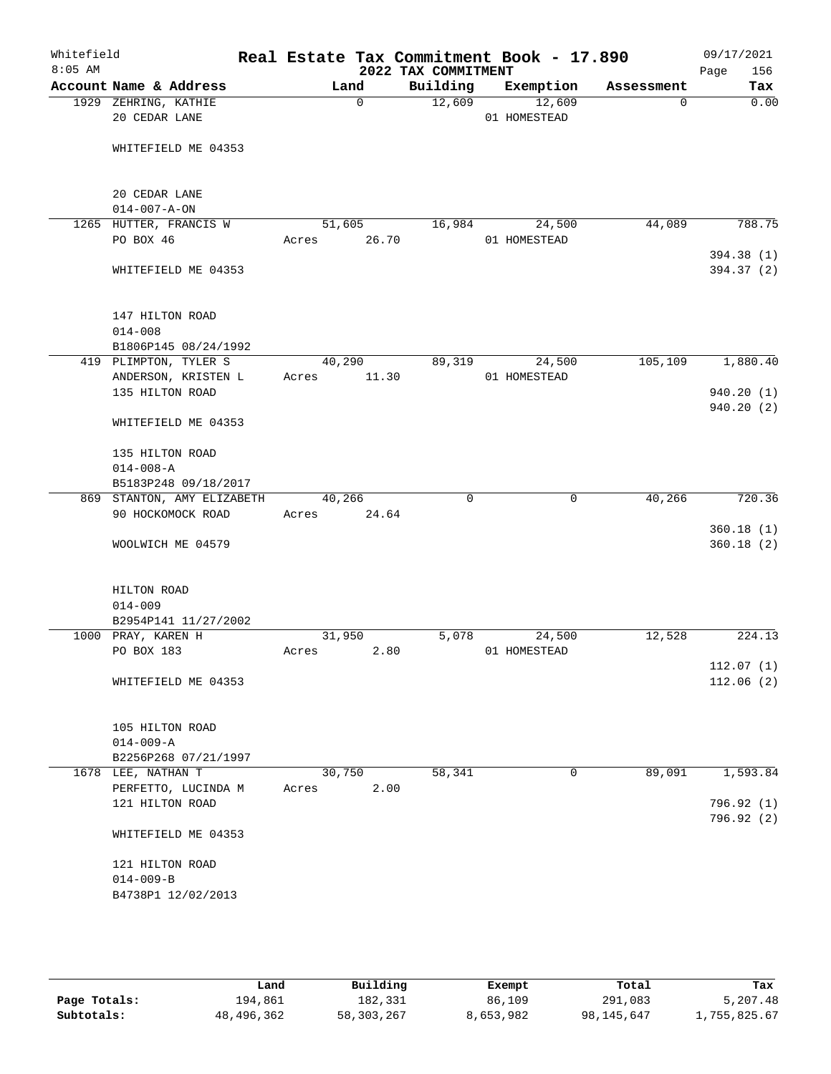| Whitefield<br>$8:05$ AM |                                       |          | 2022 TAX COMMITMENT | Real Estate Tax Commitment Book - 17.890 |            | 09/17/2021<br>156<br>Page |
|-------------------------|---------------------------------------|----------|---------------------|------------------------------------------|------------|---------------------------|
|                         | Account Name & Address                | Land     | Building            | Exemption                                | Assessment | Tax                       |
|                         | 1929 ZEHRING, KATHIE<br>20 CEDAR LANE | $\Omega$ | 12,609              | 12,609<br>01 HOMESTEAD                   | $\Omega$   | 0.00                      |
|                         | WHITEFIELD ME 04353                   |          |                     |                                          |            |                           |
|                         | 20 CEDAR LANE<br>$014 - 007 - A - ON$ |          |                     |                                          |            |                           |
|                         | 1265 HUTTER, FRANCIS W                | 51,605   | 16,984              | 24,500                                   | 44,089     | 788.75                    |
|                         | PO BOX 46                             | Acres    | 26.70               | 01 HOMESTEAD                             |            | 394.38 (1)                |
|                         | WHITEFIELD ME 04353                   |          |                     |                                          |            | 394.37 (2)                |
|                         | 147 HILTON ROAD<br>$014 - 008$        |          |                     |                                          |            |                           |
|                         | B1806P145 08/24/1992                  |          |                     |                                          |            |                           |
|                         | 419 PLIMPTON, TYLER S                 | 40,290   | 89,319              | 24,500                                   | 105,109    | 1,880.40                  |
|                         | ANDERSON, KRISTEN L                   | Acres    | 11.30               | 01 HOMESTEAD                             |            |                           |
|                         | 135 HILTON ROAD                       |          |                     |                                          |            | 940.20(1)                 |
|                         | WHITEFIELD ME 04353                   |          |                     |                                          |            | 940.20(2)                 |
|                         |                                       |          |                     |                                          |            |                           |
|                         | 135 HILTON ROAD<br>$014 - 008 - A$    |          |                     |                                          |            |                           |
|                         | B5183P248 09/18/2017                  |          |                     |                                          |            |                           |
|                         | 869 STANTON, AMY ELIZABETH            | 40,266   | $\mathbf 0$         | $\mathbf 0$                              | 40,266     | 720.36                    |
|                         | 90 HOCKOMOCK ROAD                     | Acres    | 24.64               |                                          |            |                           |
|                         |                                       |          |                     |                                          |            | 360.18(1)                 |
|                         | WOOLWICH ME 04579                     |          |                     |                                          |            | 360.18(2)                 |
|                         | HILTON ROAD                           |          |                     |                                          |            |                           |
|                         | $014 - 009$                           |          |                     |                                          |            |                           |
|                         | B2954P141 11/27/2002                  |          |                     |                                          |            |                           |
|                         | 1000 PRAY, KAREN H                    | 31,950   | 5,078               | 24,500                                   | 12,528     | 224.13                    |
|                         | PO BOX 183                            | Acres    | 2.80                | 01 HOMESTEAD                             |            | 112.07(1)                 |
|                         | WHITEFIELD ME 04353                   |          |                     |                                          |            | 112.06(2)                 |
|                         | 105 HILTON ROAD                       |          |                     |                                          |            |                           |
|                         | $014 - 009 - A$                       |          |                     |                                          |            |                           |
|                         | B2256P268 07/21/1997                  |          |                     |                                          |            |                           |
|                         | 1678 LEE, NATHAN T                    | 30,750   | 58,341              | $\mathbf 0$                              | 89,091     | 1,593.84                  |
|                         | PERFETTO, LUCINDA M                   | Acres    | 2.00                |                                          |            |                           |
|                         | 121 HILTON ROAD                       |          |                     |                                          |            | 796.92 (1)<br>796.92 (2)  |
|                         | WHITEFIELD ME 04353                   |          |                     |                                          |            |                           |
|                         | 121 HILTON ROAD                       |          |                     |                                          |            |                           |
|                         | $014 - 009 - B$                       |          |                     |                                          |            |                           |
|                         | B4738P1 12/02/2013                    |          |                     |                                          |            |                           |
|                         |                                       |          |                     |                                          |            |                           |

|              | Land       | Building   | Exempt    | Total      | Tax          |
|--------------|------------|------------|-----------|------------|--------------|
| Page Totals: | 194,861    | 182,331    | 86,109    | 291,083    | 5,207.48     |
| Subtotals:   | 48,496,362 | 58,303,267 | 8,653,982 | 98,145,647 | 1,755,825.67 |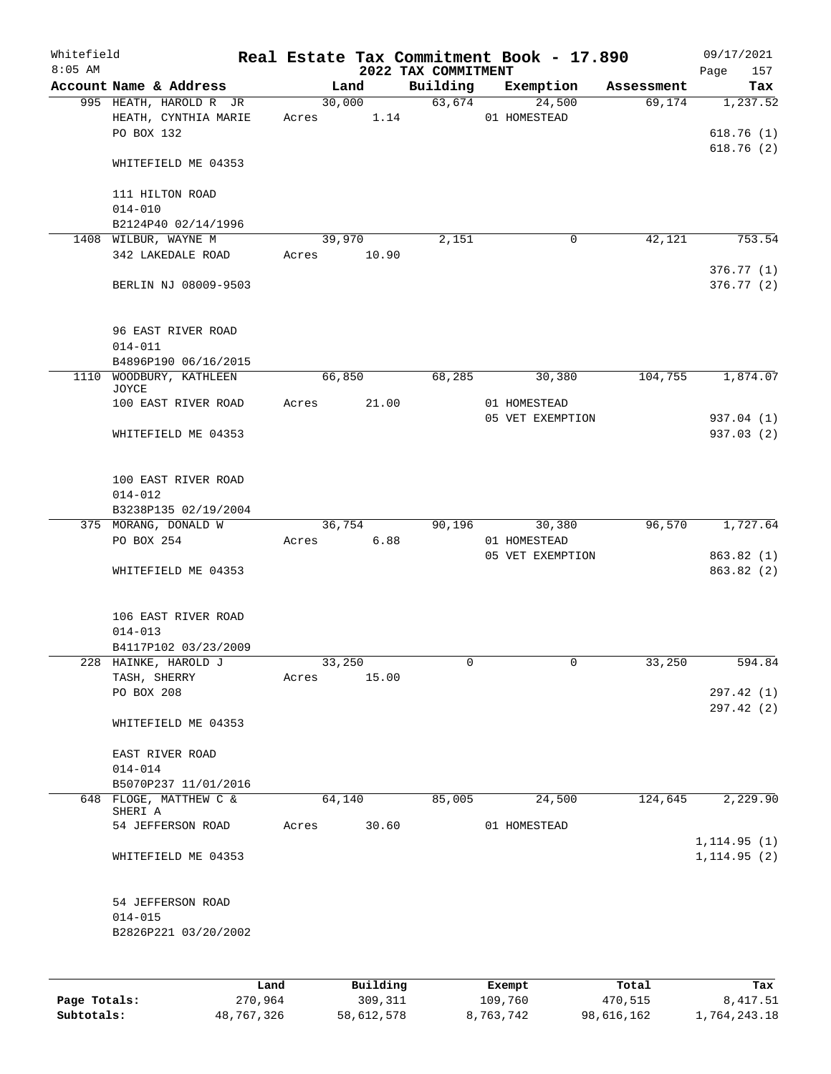| Whitefield<br>$8:05$ AM |                                                              |      |       |        |          | 2022 TAX COMMITMENT | Real Estate Tax Commitment Book - 17.890 |            | 09/17/2021<br>157<br>Page    |
|-------------------------|--------------------------------------------------------------|------|-------|--------|----------|---------------------|------------------------------------------|------------|------------------------------|
|                         | Account Name & Address                                       |      |       | Land   |          | Building            | Exemption                                | Assessment | Tax                          |
|                         | 995 HEATH, HAROLD R JR<br>HEATH, CYNTHIA MARIE<br>PO BOX 132 |      | Acres | 30,000 | 1.14     | 63,674              | 24,500<br>01 HOMESTEAD                   | 69,174     | 1,237.52<br>618.76(1)        |
|                         | WHITEFIELD ME 04353                                          |      |       |        |          |                     |                                          |            | 618.76(2)                    |
|                         | 111 HILTON ROAD<br>$014 - 010$                               |      |       |        |          |                     |                                          |            |                              |
|                         | B2124P40 02/14/1996                                          |      |       |        |          |                     |                                          |            |                              |
|                         | 1408 WILBUR, WAYNE M                                         |      |       | 39,970 |          | 2,151               | $\mathbf 0$                              | 42,121     | 753.54                       |
|                         | 342 LAKEDALE ROAD                                            |      | Acres |        | 10.90    |                     |                                          |            | 376.77(1)                    |
|                         | BERLIN NJ 08009-9503                                         |      |       |        |          |                     |                                          |            | 376.77(2)                    |
|                         | 96 EAST RIVER ROAD<br>$014 - 011$                            |      |       |        |          |                     |                                          |            |                              |
|                         | B4896P190 06/16/2015                                         |      |       |        |          |                     |                                          |            |                              |
|                         | 1110 WOODBURY, KATHLEEN<br>JOYCE                             |      |       | 66,850 |          | 68,285              | 30,380                                   | 104,755    | 1,874.07                     |
|                         | 100 EAST RIVER ROAD                                          |      | Acres |        | 21.00    |                     | 01 HOMESTEAD<br>05 VET EXEMPTION         |            | 937.04 (1)                   |
|                         | WHITEFIELD ME 04353                                          |      |       |        |          |                     |                                          |            | 937.03(2)                    |
|                         | 100 EAST RIVER ROAD                                          |      |       |        |          |                     |                                          |            |                              |
|                         | $014 - 012$<br>B3238P135 02/19/2004                          |      |       |        |          |                     |                                          |            |                              |
|                         | 375 MORANG, DONALD W                                         |      |       | 36,754 |          | 90,196              | 30,380                                   | 96,570     | 1,727.64                     |
|                         | PO BOX 254                                                   |      | Acres |        | 6.88     |                     | 01 HOMESTEAD                             |            |                              |
|                         | WHITEFIELD ME 04353                                          |      |       |        |          |                     | 05 VET EXEMPTION                         |            | 863.82 (1)<br>863.82 (2)     |
|                         | 106 EAST RIVER ROAD                                          |      |       |        |          |                     |                                          |            |                              |
|                         | $014 - 013$                                                  |      |       |        |          |                     |                                          |            |                              |
|                         | B4117P102 03/23/2009                                         |      |       |        |          |                     |                                          |            |                              |
|                         | 228 HAINKE, HAROLD J<br>TASH, SHERRY                         |      | Acres | 33,250 |          | 0                   | $\mathsf{O}$                             | 33,250     | 594.84                       |
|                         | PO BOX 208                                                   |      |       |        | 15.00    |                     |                                          |            | 297.42 (1)                   |
|                         | WHITEFIELD ME 04353                                          |      |       |        |          |                     |                                          |            | 297.42 (2)                   |
|                         | EAST RIVER ROAD                                              |      |       |        |          |                     |                                          |            |                              |
|                         | $014 - 014$<br>B5070P237 11/01/2016                          |      |       |        |          |                     |                                          |            |                              |
|                         | 648 FLOGE, MATTHEW C &<br>SHERI A                            |      |       | 64,140 |          | 85,005              | 24,500                                   | 124,645    | 2, 229.90                    |
|                         | 54 JEFFERSON ROAD                                            |      | Acres |        | 30.60    |                     | 01 HOMESTEAD                             |            |                              |
|                         | WHITEFIELD ME 04353                                          |      |       |        |          |                     |                                          |            | 1, 114.95(1)<br>1, 114.95(2) |
|                         | 54 JEFFERSON ROAD                                            |      |       |        |          |                     |                                          |            |                              |
|                         | $014 - 015$<br>B2826P221 03/20/2002                          |      |       |        |          |                     |                                          |            |                              |
|                         |                                                              |      |       |        |          |                     |                                          |            |                              |
|                         |                                                              | Land |       |        | Building |                     | Exempt                                   | Total      | Tax                          |

|              | ∟and       | Building   | Exempt    | Total      | тах          |
|--------------|------------|------------|-----------|------------|--------------|
| Page Totals: | 270,964    | 309,311    | 109,760   | 470,515    | 8,417.51     |
| Subtotals:   | 48,767,326 | 58,612,578 | 8,763,742 | 98,616,162 | 1,764,243.18 |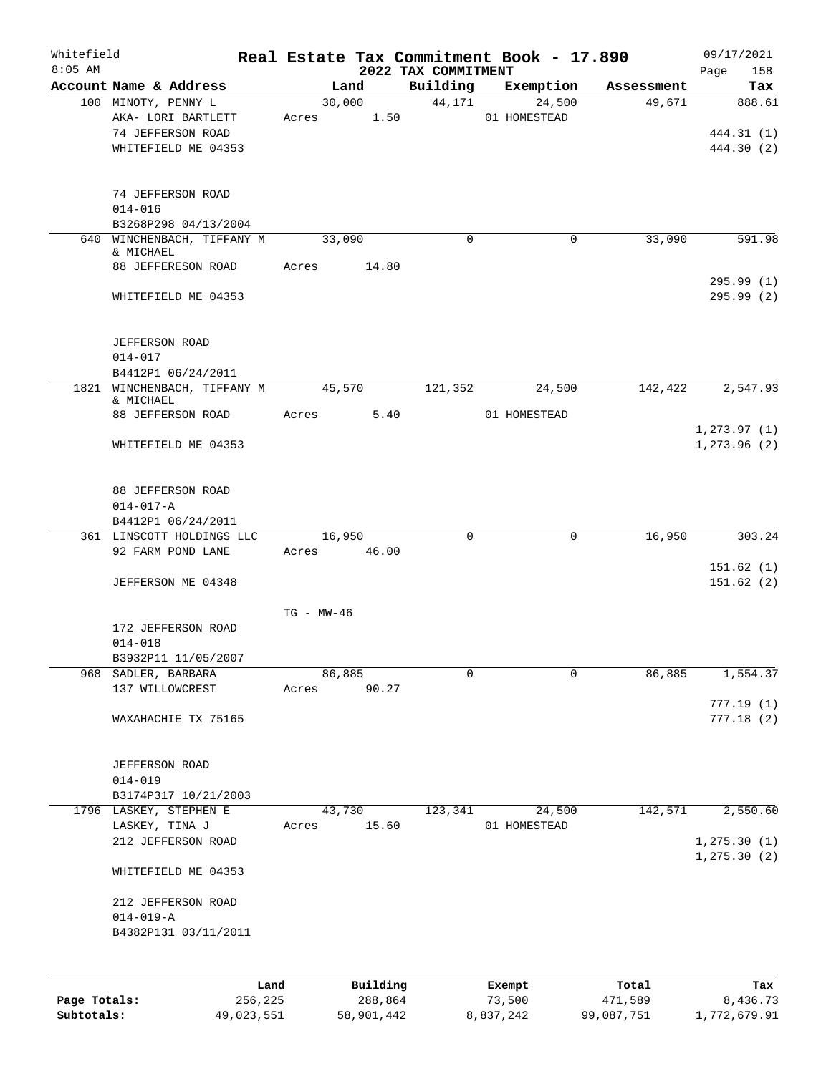| Whitefield<br>$8:05$ AM |                                             |                 |          | 2022 TAX COMMITMENT | Real Estate Tax Commitment Book - 17.890 |            | 09/17/2021<br>Page<br>158     |
|-------------------------|---------------------------------------------|-----------------|----------|---------------------|------------------------------------------|------------|-------------------------------|
|                         | Account Name & Address                      |                 | Land     | Building            | Exemption                                | Assessment | Tax                           |
|                         | 100 MINOTY, PENNY L                         |                 | 30,000   | 44,171              | 24,500                                   | 49,671     | 888.61                        |
|                         | AKA- LORI BARTLETT<br>74 JEFFERSON ROAD     | Acres           | 1.50     |                     | 01 HOMESTEAD                             |            | 444.31 (1)                    |
|                         | WHITEFIELD ME 04353                         |                 |          |                     |                                          |            | 444.30 (2)                    |
|                         | 74 JEFFERSON ROAD<br>$014 - 016$            |                 |          |                     |                                          |            |                               |
|                         | B3268P298 04/13/2004                        |                 |          |                     |                                          |            |                               |
|                         | 640 WINCHENBACH, TIFFANY M<br>& MICHAEL     | 33,090          |          | $\Omega$            | 0                                        | 33,090     | 591.98                        |
|                         | 88 JEFFERESON ROAD                          | Acres           | 14.80    |                     |                                          |            | 295.99(1)                     |
|                         | WHITEFIELD ME 04353                         |                 |          |                     |                                          |            | 295.99(2)                     |
|                         | JEFFERSON ROAD<br>$014 - 017$               |                 |          |                     |                                          |            |                               |
|                         | B4412P1 06/24/2011                          |                 |          |                     |                                          |            |                               |
|                         | 1821 WINCHENBACH, TIFFANY M<br>& MICHAEL    | 45,570          |          | 121,352             | 24,500                                   | 142,422    | 2,547.93                      |
|                         | 88 JEFFERSON ROAD                           | Acres           | 5.40     |                     | 01 HOMESTEAD                             |            |                               |
|                         | WHITEFIELD ME 04353                         |                 |          |                     |                                          |            | 1, 273.97(1)<br>1, 273.96 (2) |
|                         | <b>88 JEFFERSON ROAD</b><br>$014 - 017 - A$ |                 |          |                     |                                          |            |                               |
|                         | B4412P1 06/24/2011                          |                 |          |                     |                                          |            |                               |
|                         | 361 LINSCOTT HOLDINGS LLC                   | 16,950          |          | $\mathbf 0$         | 0                                        | 16,950     | 303.24                        |
|                         | 92 FARM POND LANE                           | Acres 46.00     |          |                     |                                          |            | 151.62(1)                     |
|                         | JEFFERSON ME 04348                          |                 |          |                     |                                          |            | 151.62(2)                     |
|                         |                                             | $TG - MW - 46$  |          |                     |                                          |            |                               |
|                         | 172 JEFFERSON ROAD                          |                 |          |                     |                                          |            |                               |
|                         | $014 - 018$                                 |                 |          |                     |                                          |            |                               |
|                         | B3932P11 11/05/2007                         |                 |          | 0                   | 0                                        | 86,885     |                               |
|                         | 968 SADLER, BARBARA<br>137 WILLOWCREST      | 86,885<br>Acres | 90.27    |                     |                                          |            | 1,554.37                      |
|                         | WAXAHACHIE TX 75165                         |                 |          |                     |                                          |            | 777.19(1)<br>777.18(2)        |
|                         |                                             |                 |          |                     |                                          |            |                               |
|                         | JEFFERSON ROAD<br>$014 - 019$               |                 |          |                     |                                          |            |                               |
|                         | B3174P317 10/21/2003                        |                 |          |                     |                                          |            |                               |
|                         | 1796 LASKEY, STEPHEN E<br>LASKEY, TINA J    | 43,730<br>Acres | 15.60    | 123,341             | 24,500<br>01 HOMESTEAD                   | 142,571    | 2,550.60                      |
|                         | 212 JEFFERSON ROAD                          |                 |          |                     |                                          |            | 1, 275.30(1)<br>1, 275.30(2)  |
|                         | WHITEFIELD ME 04353                         |                 |          |                     |                                          |            |                               |
|                         | 212 JEFFERSON ROAD                          |                 |          |                     |                                          |            |                               |
|                         | $014 - 019 - A$<br>B4382P131 03/11/2011     |                 |          |                     |                                          |            |                               |
|                         |                                             |                 |          |                     |                                          |            |                               |
|                         | Land                                        |                 | Building |                     | Exempt                                   | Total      | Tax                           |
| Page Totals:            | 256,225                                     |                 | 288,864  |                     | 73,500                                   | 471,589    | 8,436.73                      |

**Subtotals:** 49,023,551 58,901,442 8,837,242 99,087,751 1,772,679.91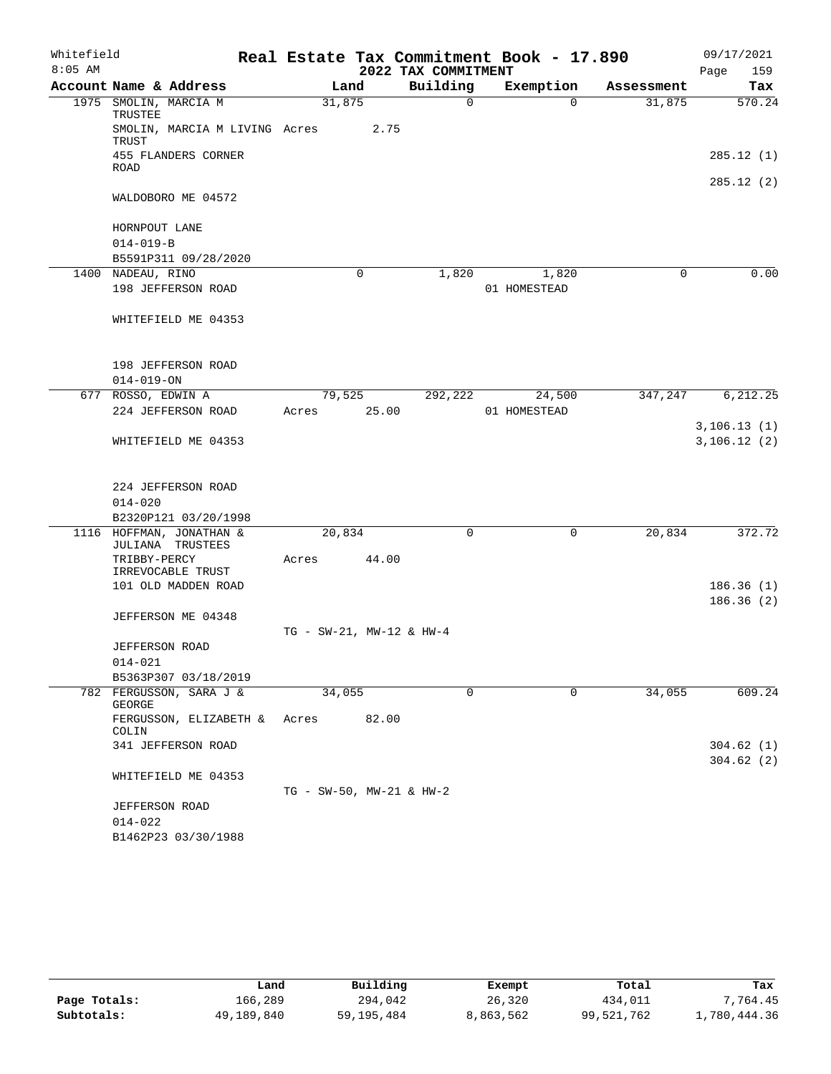| Whitefield<br>$8:05$ AM |                                              |                                 |       | 2022 TAX COMMITMENT | Real Estate Tax Commitment Book - 17.890 |            | 09/17/2021<br>Page<br>159    |
|-------------------------|----------------------------------------------|---------------------------------|-------|---------------------|------------------------------------------|------------|------------------------------|
|                         | Account Name & Address                       |                                 | Land  | Building            | Exemption                                | Assessment | Tax                          |
|                         | 1975 SMOLIN, MARCIA M<br>TRUSTEE             | 31,875                          |       | $\Omega$            | $\Omega$                                 | 31,875     | 570.24                       |
|                         | SMOLIN, MARCIA M LIVING Acres<br>TRUST       |                                 | 2.75  |                     |                                          |            |                              |
|                         | 455 FLANDERS CORNER<br>ROAD                  |                                 |       |                     |                                          |            | 285.12(1)                    |
|                         | WALDOBORO ME 04572                           |                                 |       |                     |                                          |            | 285.12(2)                    |
|                         |                                              |                                 |       |                     |                                          |            |                              |
|                         | HORNPOUT LANE                                |                                 |       |                     |                                          |            |                              |
|                         | $014 - 019 - B$                              |                                 |       |                     |                                          |            |                              |
|                         | B5591P311 09/28/2020<br>1400 NADEAU, RINO    |                                 | 0     | 1,820               | 1,820                                    | 0          | 0.00                         |
|                         | 198 JEFFERSON ROAD                           |                                 |       |                     | 01 HOMESTEAD                             |            |                              |
|                         |                                              |                                 |       |                     |                                          |            |                              |
|                         | WHITEFIELD ME 04353                          |                                 |       |                     |                                          |            |                              |
|                         | 198 JEFFERSON ROAD                           |                                 |       |                     |                                          |            |                              |
|                         | $014 - 019 - ON$                             |                                 |       |                     |                                          |            |                              |
|                         | 677 ROSSO, EDWIN A                           | 79,525                          |       | 292,222             | 24,500                                   | 347,247    | 6,212.25                     |
|                         | 224 JEFFERSON ROAD                           | Acres                           | 25.00 |                     | 01 HOMESTEAD                             |            |                              |
|                         | WHITEFIELD ME 04353                          |                                 |       |                     |                                          |            | 3, 106.13(1)<br>3, 106.12(2) |
|                         |                                              |                                 |       |                     |                                          |            |                              |
|                         | 224 JEFFERSON ROAD<br>$014 - 020$            |                                 |       |                     |                                          |            |                              |
|                         | B2320P121 03/20/1998                         |                                 |       |                     |                                          |            |                              |
|                         | 1116 HOFFMAN, JONATHAN &<br>JULIANA TRUSTEES | 20,834                          |       | 0                   | 0                                        | 20,834     | 372.72                       |
|                         | TRIBBY-PERCY<br>IRREVOCABLE TRUST            | Acres                           | 44.00 |                     |                                          |            |                              |
|                         | 101 OLD MADDEN ROAD                          |                                 |       |                     |                                          |            | 186.36(1)                    |
|                         |                                              |                                 |       |                     |                                          |            | 186.36(2)                    |
|                         | JEFFERSON ME 04348                           |                                 |       |                     |                                          |            |                              |
|                         |                                              | $TG - SW-21$ , $MW-12 & HW-4$   |       |                     |                                          |            |                              |
|                         | <b>JEFFERSON ROAD</b>                        |                                 |       |                     |                                          |            |                              |
|                         | $014 - 021$                                  |                                 |       |                     |                                          |            |                              |
|                         | B5363P307 03/18/2019                         |                                 |       | 0                   | 0                                        |            | 609.24                       |
|                         | 782 FERGUSSON, SARA J &<br>GEORGE            | 34,055                          |       |                     |                                          | 34,055     |                              |
|                         | FERGUSSON, ELIZABETH &<br>COLIN              | Acres                           | 82.00 |                     |                                          |            |                              |
|                         | 341 JEFFERSON ROAD                           |                                 |       |                     |                                          |            | 304.62(1)<br>304.62(2)       |
|                         | WHITEFIELD ME 04353                          |                                 |       |                     |                                          |            |                              |
|                         |                                              | $TG - SW-50$ , $MW-21$ & $HW-2$ |       |                     |                                          |            |                              |
|                         | <b>JEFFERSON ROAD</b>                        |                                 |       |                     |                                          |            |                              |
|                         | $014 - 022$                                  |                                 |       |                     |                                          |            |                              |
|                         | B1462P23 03/30/1988                          |                                 |       |                     |                                          |            |                              |

|              | Land       | Building   | Exempt    | Total      | Tax          |
|--------------|------------|------------|-----------|------------|--------------|
| Page Totals: | 166,289    | 294,042    | 26,320    | 434,011    | 7,764.45     |
| Subtotals:   | 49,189,840 | 59,195,484 | 8,863,562 | 99,521,762 | 1,780,444.36 |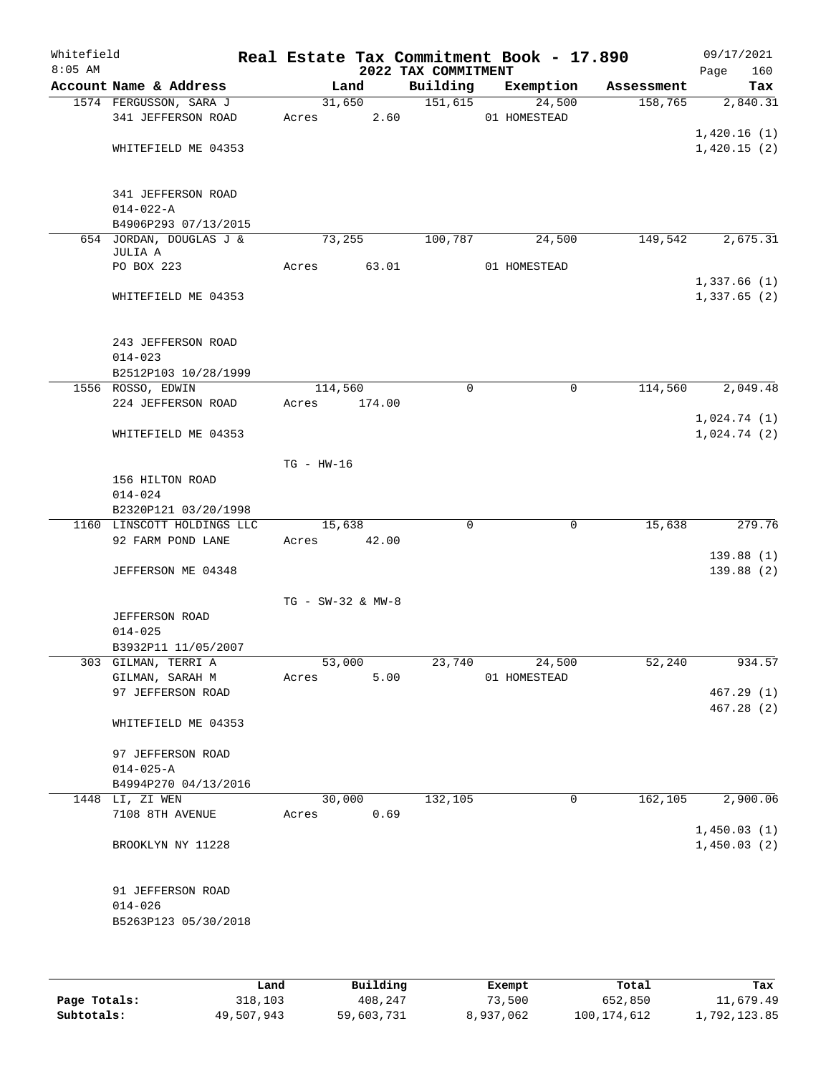| Whitefield<br>$8:05$ AM |                                                             |                       |        | 2022 TAX COMMITMENT | Real Estate Tax Commitment Book - 17.890 |            | 09/17/2021<br>160<br>Page  |
|-------------------------|-------------------------------------------------------------|-----------------------|--------|---------------------|------------------------------------------|------------|----------------------------|
|                         | Account Name & Address                                      | Land                  |        | Building            | Exemption                                | Assessment | Tax                        |
|                         | 1574 FERGUSSON, SARA J<br>341 JEFFERSON ROAD                | 31,650<br>Acres       | 2.60   | 151,615             | 24,500<br>01 HOMESTEAD                   | 158,765    | 2,840.31                   |
|                         | WHITEFIELD ME 04353                                         |                       |        |                     |                                          |            | 1,420.16(1)<br>1,420.15(2) |
|                         | 341 JEFFERSON ROAD<br>$014 - 022 - A$                       |                       |        |                     |                                          |            |                            |
|                         | B4906P293 07/13/2015                                        |                       |        |                     |                                          |            |                            |
|                         | 654 JORDAN, DOUGLAS J &<br>JULIA A                          | 73,255                |        | 100,787             | 24,500                                   | 149,542    | 2,675.31                   |
|                         | PO BOX 223                                                  | Acres                 | 63.01  |                     | 01 HOMESTEAD                             |            | 1,337.66(1)                |
|                         | WHITEFIELD ME 04353                                         |                       |        |                     |                                          |            | 1,337.65(2)                |
|                         | 243 JEFFERSON ROAD<br>$014 - 023$<br>B2512P103 10/28/1999   |                       |        |                     |                                          |            |                            |
|                         | 1556 ROSSO, EDWIN                                           | 114,560               |        | $\mathbf 0$         | $\mathbf 0$                              | 114,560    | 2,049.48                   |
|                         | 224 JEFFERSON ROAD                                          | Acres                 | 174.00 |                     |                                          |            |                            |
|                         | WHITEFIELD ME 04353                                         |                       |        |                     |                                          |            | 1,024.74(1)<br>1,024.74(2) |
|                         |                                                             | $TG$ - $HW-16$        |        |                     |                                          |            |                            |
|                         | 156 HILTON ROAD<br>$014 - 024$                              |                       |        |                     |                                          |            |                            |
|                         | B2320P121 03/20/1998                                        |                       |        |                     |                                          |            |                            |
|                         | 1160 LINSCOTT HOLDINGS LLC<br>92 FARM POND LANE             | 15,638<br>Acres       | 42.00  | 0                   | $\mathbf 0$                              | 15,638     | 279.76<br>139.88(1)        |
|                         | JEFFERSON ME 04348                                          |                       |        |                     |                                          |            | 139.88(2)                  |
|                         | <b>JEFFERSON ROAD</b><br>$014 - 025$<br>B3932P11 11/05/2007 | $TG - SW-32$ & $MW-8$ |        |                     |                                          |            |                            |
|                         | 303 GILMAN, TERRI A                                         | 53,000                |        | 23,740              | 24,500                                   | 52,240     | 934.57                     |
|                         | GILMAN, SARAH M                                             | Acres                 | 5.00   |                     | 01 HOMESTEAD                             |            |                            |
|                         | 97 JEFFERSON ROAD                                           |                       |        |                     |                                          |            | 467.29(1)                  |
|                         | WHITEFIELD ME 04353                                         |                       |        |                     |                                          |            | 467.28(2)                  |
|                         | 97 JEFFERSON ROAD<br>$014 - 025 - A$                        |                       |        |                     |                                          |            |                            |
|                         | B4994P270 04/13/2016                                        |                       |        |                     |                                          |            |                            |
|                         | 1448 LI, ZI WEN<br>7108 8TH AVENUE                          | 30,000<br>Acres       | 0.69   | 132,105             | $\mathbf 0$                              | 162, 105   | 2,900.06<br>1,450.03(1)    |
|                         | BROOKLYN NY 11228                                           |                       |        |                     |                                          |            | 1,450.03(2)                |
|                         | 91 JEFFERSON ROAD<br>$014 - 026$<br>B5263P123 05/30/2018    |                       |        |                     |                                          |            |                            |
|                         |                                                             |                       |        |                     |                                          |            |                            |

|              | Land       | Building   | Exempt    | Total       | Tax          |
|--------------|------------|------------|-----------|-------------|--------------|
| Page Totals: | 318,103    | 408,247    | 73,500    | 652,850     | 11,679.49    |
| Subtotals:   | 49,507,943 | 59,603,731 | 8,937,062 | 100,174,612 | 1,792,123.85 |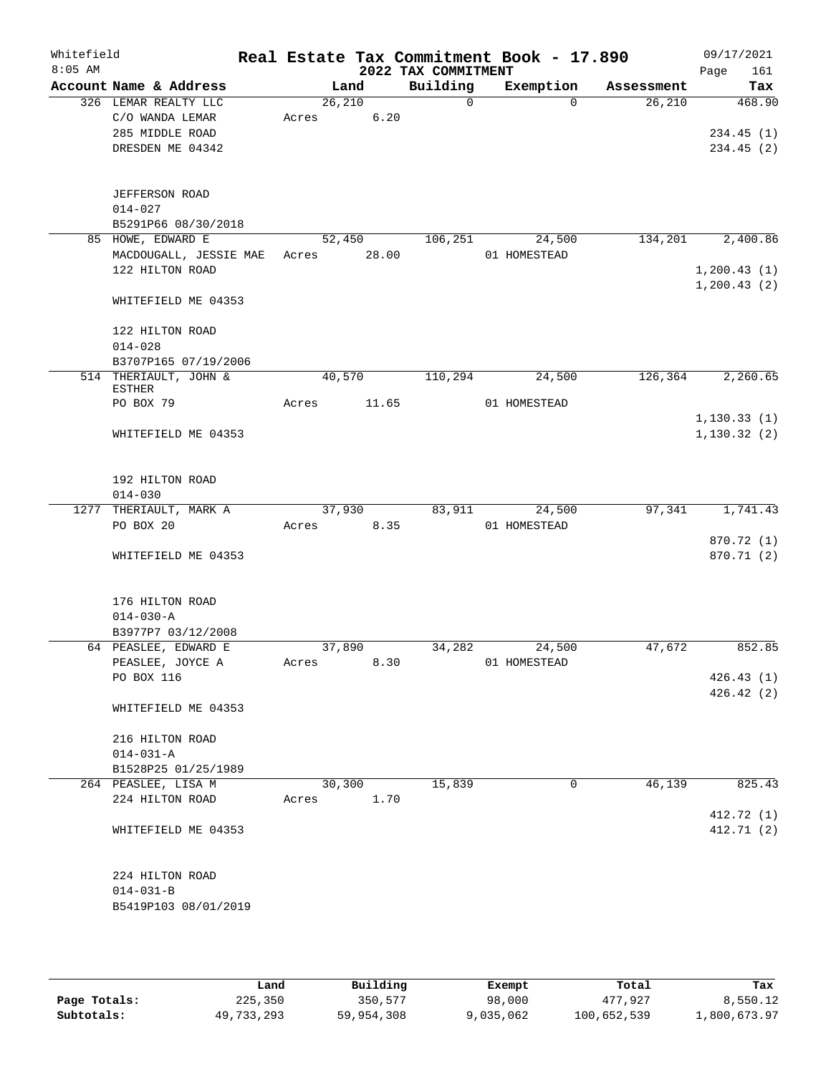| Whitefield<br>$8:05$ AM |                                                                                |                  |                | 2022 TAX COMMITMENT | Real Estate Tax Commitment Book - 17.890 |            | 09/17/2021<br>Page<br>161                |
|-------------------------|--------------------------------------------------------------------------------|------------------|----------------|---------------------|------------------------------------------|------------|------------------------------------------|
|                         | Account Name & Address                                                         |                  | Land           | Building            | Exemption                                | Assessment | Tax                                      |
|                         | 326 LEMAR REALTY LLC<br>C/O WANDA LEMAR<br>285 MIDDLE ROAD<br>DRESDEN ME 04342 | 26, 210<br>Acres | 6.20           | $\Omega$            | $\Omega$                                 | 26,210     | 468.90<br>234.45(1)<br>234.45(2)         |
|                         | <b>JEFFERSON ROAD</b><br>$014 - 027$<br>B5291P66 08/30/2018                    |                  |                |                     |                                          |            |                                          |
|                         | 85 HOWE, EDWARD E<br>MACDOUGALL, JESSIE MAE<br>122 HILTON ROAD                 | 52,450<br>Acres  | 28.00          | 106, 251            | 24,500<br>01 HOMESTEAD                   | 134,201    | 2,400.86<br>1, 200.43(1)<br>1, 200.43(2) |
|                         | WHITEFIELD ME 04353<br>122 HILTON ROAD<br>$014 - 028$<br>B3707P165 07/19/2006  |                  |                |                     |                                          |            |                                          |
|                         | 514 THERIAULT, JOHN &<br><b>ESTHER</b><br>PO BOX 79                            | 40,570<br>Acres  | 11.65          | 110,294             | 24,500<br>01 HOMESTEAD                   | 126,364    | 2,260.65                                 |
|                         | WHITEFIELD ME 04353                                                            |                  |                |                     |                                          |            | 1, 130.33(1)<br>1, 130.32(2)             |
|                         | 192 HILTON ROAD<br>$014 - 030$                                                 |                  |                |                     |                                          |            |                                          |
|                         | 1277 THERIAULT, MARK A<br>PO BOX 20                                            | Acres            | 37,930<br>8.35 | 83,911              | 24,500<br>01 HOMESTEAD                   | 97,341     | 1,741.43<br>870.72 (1)                   |
|                         | WHITEFIELD ME 04353                                                            |                  |                |                     |                                          |            | 870.71 (2)                               |
|                         | 176 HILTON ROAD<br>$014 - 030 - A$<br>B3977P7 03/12/2008                       |                  |                |                     |                                          |            |                                          |
|                         | 64 PEASLEE, EDWARD E<br>PEASLEE, JOYCE A<br>PO BOX 116                         | 37,890<br>Acres  | 8.30           | 34,282              | 24,500<br>01 HOMESTEAD                   | 47,672     | 852.85<br>426.43(1)<br>426.42(2)         |
|                         | WHITEFIELD ME 04353                                                            |                  |                |                     |                                          |            |                                          |
|                         | 216 HILTON ROAD<br>$014 - 031 - A$<br>B1528P25 01/25/1989                      |                  |                |                     |                                          |            |                                          |
|                         | 264 PEASLEE, LISA M<br>224 HILTON ROAD                                         | 30,300<br>Acres  | 1.70           | 15,839              | 0                                        | 46,139     | 825.43<br>412.72 (1)                     |
|                         | WHITEFIELD ME 04353                                                            |                  |                |                     |                                          |            | 412.71 (2)                               |
|                         | 224 HILTON ROAD<br>$014 - 031 - B$<br>B5419P103 08/01/2019                     |                  |                |                     |                                          |            |                                          |

|              | Land       | Building   | Exempt    | Total       | Tax          |
|--------------|------------|------------|-----------|-------------|--------------|
| Page Totals: | 225,350    | 350,577    | 98,000    | 477.927     | 8,550.12     |
| Subtotals:   | 49,733,293 | 59,954,308 | 9,035,062 | 100,652,539 | 1,800,673.97 |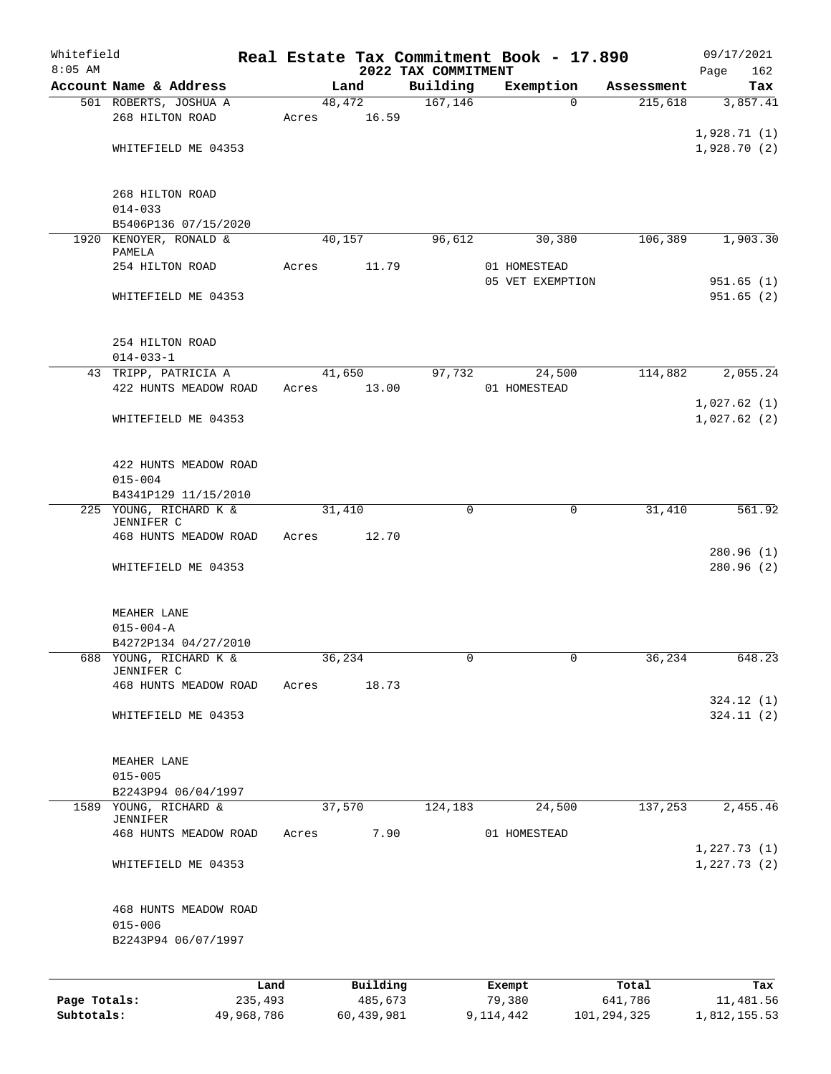| Whitefield<br>$8:05$ AM |                                                |       |          |                                 | Real Estate Tax Commitment Book - 17.890 |            | 09/17/2021                 |
|-------------------------|------------------------------------------------|-------|----------|---------------------------------|------------------------------------------|------------|----------------------------|
|                         | Account Name & Address                         |       | Land     | 2022 TAX COMMITMENT<br>Building | Exemption                                | Assessment | Page<br>162<br>Tax         |
|                         | 501 ROBERTS, JOSHUA A                          |       | 48,472   | 167, 146                        | $\Omega$                                 | 215,618    | 3,857.41                   |
|                         | 268 HILTON ROAD                                | Acres | 16.59    |                                 |                                          |            |                            |
|                         |                                                |       |          |                                 |                                          |            | 1,928.71(1)                |
|                         | WHITEFIELD ME 04353                            |       |          |                                 |                                          |            | 1,928.70(2)                |
|                         | 268 HILTON ROAD                                |       |          |                                 |                                          |            |                            |
|                         | $014 - 033$                                    |       |          |                                 |                                          |            |                            |
|                         | B5406P136 07/15/2020                           |       |          |                                 |                                          |            |                            |
|                         | 1920 KENOYER, RONALD &<br>PAMELA               |       | 40,157   | 96,612                          | 30,380                                   | 106,389    | 1,903.30                   |
|                         | 254 HILTON ROAD                                | Acres | 11.79    |                                 | 01 HOMESTEAD<br>05 VET EXEMPTION         |            | 951.65(1)                  |
|                         | WHITEFIELD ME 04353                            |       |          |                                 |                                          |            | 951.65(2)                  |
|                         | 254 HILTON ROAD<br>$014 - 033 - 1$             |       |          |                                 |                                          |            |                            |
|                         | 43 TRIPP, PATRICIA A                           |       | 41,650   | 97,732                          | 24,500                                   | 114,882    | 2,055.24                   |
|                         | 422 HUNTS MEADOW ROAD                          | Acres | 13.00    |                                 | 01 HOMESTEAD                             |            |                            |
|                         | WHITEFIELD ME 04353                            |       |          |                                 |                                          |            | 1,027.62(1)<br>1,027.62(2) |
|                         | 422 HUNTS MEADOW ROAD                          |       |          |                                 |                                          |            |                            |
|                         | $015 - 004$<br>B4341P129 11/15/2010            |       |          |                                 |                                          |            |                            |
|                         | 225 YOUNG, RICHARD K &<br>JENNIFER C           |       | 31,410   | $\mathbf 0$                     | 0                                        | 31,410     | 561.92                     |
|                         | 468 HUNTS MEADOW ROAD                          | Acres | 12.70    |                                 |                                          |            |                            |
|                         | WHITEFIELD ME 04353                            |       |          |                                 |                                          |            | 280.96(1)<br>280.96(2)     |
|                         | MEAHER LANE                                    |       |          |                                 |                                          |            |                            |
|                         | $015 - 004 - A$                                |       |          |                                 |                                          |            |                            |
|                         | B4272P134 04/27/2010<br>688 YOUNG, RICHARD K & |       | 36,234   | 0                               | 0                                        | 36,234     | 648.23                     |
|                         | JENNIFER C                                     |       |          |                                 |                                          |            |                            |
|                         | 468 HUNTS MEADOW ROAD                          | Acres | 18.73    |                                 |                                          |            | 324.12(1)                  |
|                         | WHITEFIELD ME 04353                            |       |          |                                 |                                          |            | 324.11(2)                  |
|                         | MEAHER LANE                                    |       |          |                                 |                                          |            |                            |
|                         | $015 - 005$<br>B2243P94 06/04/1997             |       |          |                                 |                                          |            |                            |
|                         | 1589 YOUNG, RICHARD &                          |       | 37,570   | 124,183                         | 24,500                                   | 137,253    | 2,455.46                   |
|                         | JENNIFER<br>468 HUNTS MEADOW ROAD              | Acres | 7.90     |                                 | 01 HOMESTEAD                             |            |                            |
|                         | WHITEFIELD ME 04353                            |       |          |                                 |                                          |            | 1,227.73(1)<br>1,227.73(2) |
|                         | 468 HUNTS MEADOW ROAD                          |       |          |                                 |                                          |            |                            |
|                         | $015 - 006$<br>B2243P94 06/07/1997             |       |          |                                 |                                          |            |                            |
|                         |                                                |       |          |                                 |                                          |            |                            |
|                         |                                                | Land  | Building |                                 | Exempt                                   | Total      | Tax                        |
| Page Totals:            | 235,493                                        |       | 485,673  |                                 | 79,380                                   | 641,786    | 11,481.56                  |

**Subtotals:** 49,968,786 60,439,981 9,114,442 101,294,325 1,812,155.53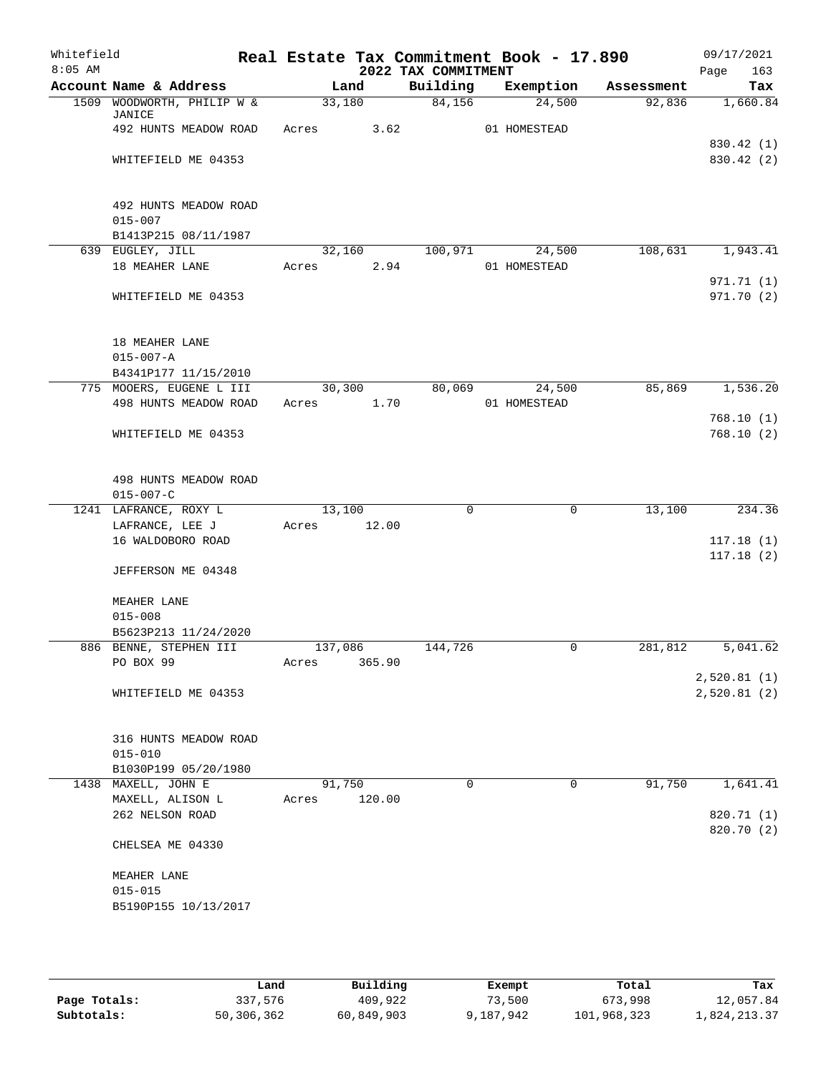| Whitefield<br>$8:05$ AM |                                      | Real Estate Tax Commitment Book - 17.890 | 2022 TAX COMMITMENT |              |            | 09/17/2021<br>Page<br>163 |
|-------------------------|--------------------------------------|------------------------------------------|---------------------|--------------|------------|---------------------------|
|                         | Account Name & Address               | Land                                     | Building            | Exemption    | Assessment | Tax                       |
|                         | 1509 WOODWORTH, PHILIP W &<br>JANICE | 33,180                                   | 84,156              | 24,500       | 92,836     | 1,660.84                  |
|                         | 492 HUNTS MEADOW ROAD                | 3.62<br>Acres                            |                     | 01 HOMESTEAD |            |                           |
|                         |                                      |                                          |                     |              |            | 830.42 (1)                |
|                         | WHITEFIELD ME 04353                  |                                          |                     |              |            | 830.42 (2)                |
|                         | 492 HUNTS MEADOW ROAD                |                                          |                     |              |            |                           |
|                         | $015 - 007$                          |                                          |                     |              |            |                           |
|                         | B1413P215 08/11/1987                 |                                          |                     |              |            |                           |
|                         | 639 EUGLEY, JILL                     | 32,160                                   | 100,971             | 24,500       | 108,631    | 1,943.41                  |
|                         | 18 MEAHER LANE                       | 2.94<br>Acres                            |                     | 01 HOMESTEAD |            |                           |
|                         |                                      |                                          |                     |              |            | 971.71 (1)                |
|                         | WHITEFIELD ME 04353                  |                                          |                     |              |            | 971.70 (2)                |
|                         | 18 MEAHER LANE                       |                                          |                     |              |            |                           |
|                         | $015 - 007 - A$                      |                                          |                     |              |            |                           |
|                         | B4341P177 11/15/2010                 |                                          |                     |              |            |                           |
|                         | 775 MOOERS, EUGENE L III             | 30, 300                                  | 80,069              | 24,500       | 85,869     | 1,536.20                  |
|                         | 498 HUNTS MEADOW ROAD                | 1.70<br>Acres                            |                     | 01 HOMESTEAD |            |                           |
|                         |                                      |                                          |                     |              |            | 768.10(1)                 |
|                         | WHITEFIELD ME 04353                  |                                          |                     |              |            | 768.10(2)                 |
|                         | 498 HUNTS MEADOW ROAD                |                                          |                     |              |            |                           |
|                         | $015 - 007 - C$                      |                                          |                     |              |            |                           |
|                         | 1241 LAFRANCE, ROXY L                | 13,100                                   | $\Omega$            | $\mathbf 0$  | 13,100     | 234.36                    |
|                         | LAFRANCE, LEE J                      | 12.00<br>Acres                           |                     |              |            |                           |
|                         | 16 WALDOBORO ROAD                    |                                          |                     |              |            | 117.18(1)                 |
|                         | JEFFERSON ME 04348                   |                                          |                     |              |            | 117.18(2)                 |
|                         | MEAHER LANE                          |                                          |                     |              |            |                           |
|                         | $015 - 008$                          |                                          |                     |              |            |                           |
|                         | B5623P213 11/24/2020                 |                                          |                     |              |            |                           |
|                         | 886 BENNE, STEPHEN III               | 137,086                                  | 144,726             | 0            | 281,812    | 5,041.62                  |
|                         | PO BOX 99                            | 365.90<br>Acres                          |                     |              |            |                           |
|                         |                                      |                                          |                     |              |            | 2,520.81(1)               |
|                         | WHITEFIELD ME 04353                  |                                          |                     |              |            | 2,520.81(2)               |
|                         | 316 HUNTS MEADOW ROAD                |                                          |                     |              |            |                           |
|                         | $015 - 010$                          |                                          |                     |              |            |                           |
|                         | B1030P199 05/20/1980                 |                                          |                     |              |            |                           |
|                         | 1438 MAXELL, JOHN E                  | 91,750                                   | $\Omega$            | 0            | 91,750     | 1,641.41                  |
|                         | MAXELL, ALISON L                     | 120.00<br>Acres                          |                     |              |            |                           |
|                         | 262 NELSON ROAD                      |                                          |                     |              |            | 820.71 (1)                |
|                         | CHELSEA ME 04330                     |                                          |                     |              |            | 820.70 (2)                |
|                         |                                      |                                          |                     |              |            |                           |
|                         | MEAHER LANE                          |                                          |                     |              |            |                           |
|                         | $015 - 015$                          |                                          |                     |              |            |                           |
|                         | B5190P155 10/13/2017                 |                                          |                     |              |            |                           |
|                         |                                      |                                          |                     |              |            |                           |

|              | Land       | Building   | Exempt    | Total       | Tax          |
|--------------|------------|------------|-----------|-------------|--------------|
| Page Totals: | 337,576    | 409,922    | 73,500    | 673,998     | 12,057.84    |
| Subtotals:   | 50,306,362 | 60,849,903 | 9,187,942 | 101,968,323 | 1,824,213.37 |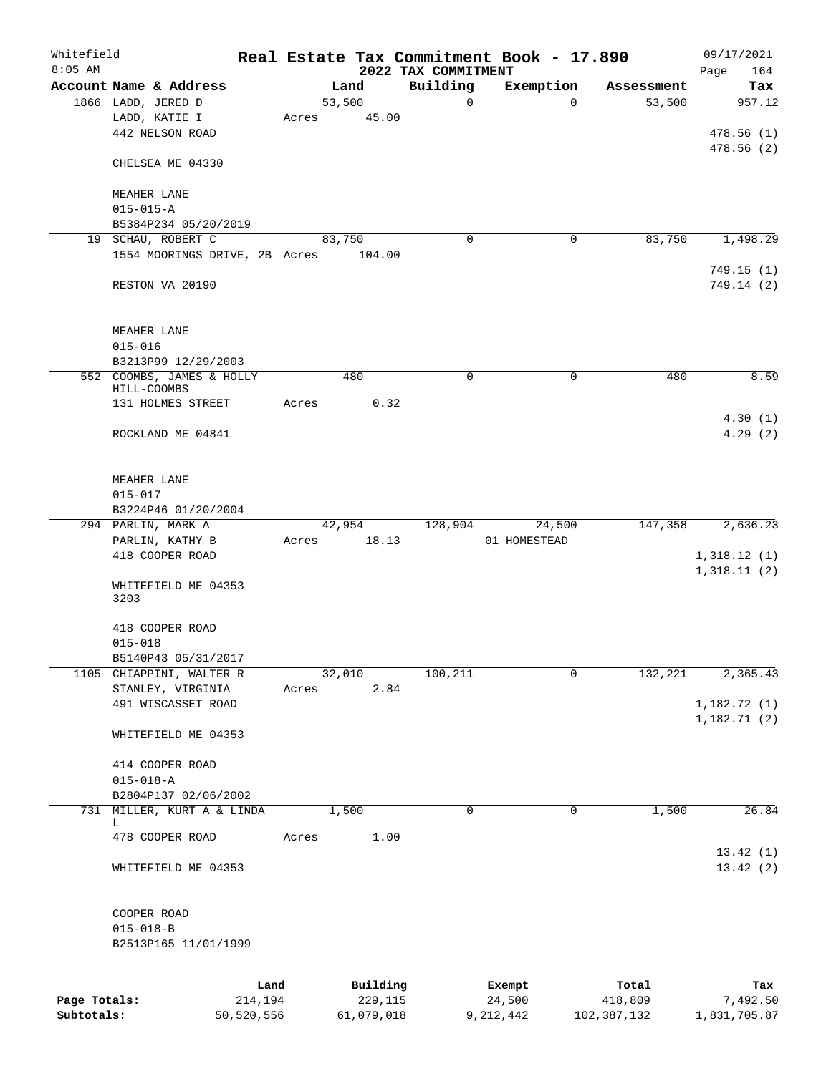| Whitefield   |                               |            |       |                 |                                 | Real Estate Tax Commitment Book - 17.890 |             | 09/17/2021   |
|--------------|-------------------------------|------------|-------|-----------------|---------------------------------|------------------------------------------|-------------|--------------|
| $8:05$ AM    |                               |            |       |                 | 2022 TAX COMMITMENT<br>Building |                                          |             | 164<br>Page  |
|              | Account Name & Address        |            |       | Land            | $\mathbf 0$                     | Exemption<br>$\Omega$                    | Assessment  | Tax          |
|              | 1866 LADD, JERED D            |            |       | 53,500<br>45.00 |                                 |                                          | 53,500      | 957.12       |
|              | LADD, KATIE I                 |            | Acres |                 |                                 |                                          |             |              |
|              | 442 NELSON ROAD               |            |       |                 |                                 |                                          |             | 478.56(1)    |
|              |                               |            |       |                 |                                 |                                          |             | 478.56(2)    |
|              | CHELSEA ME 04330              |            |       |                 |                                 |                                          |             |              |
|              |                               |            |       |                 |                                 |                                          |             |              |
|              | MEAHER LANE                   |            |       |                 |                                 |                                          |             |              |
|              | $015 - 015 - A$               |            |       |                 |                                 |                                          |             |              |
|              | B5384P234 05/20/2019          |            |       |                 |                                 |                                          |             |              |
|              | 19 SCHAU, ROBERT C            |            |       | 83,750          | $\Omega$                        | 0                                        | 83,750      | 1,498.29     |
|              | 1554 MOORINGS DRIVE, 2B Acres |            |       | 104.00          |                                 |                                          |             |              |
|              |                               |            |       |                 |                                 |                                          |             | 749.15(1)    |
|              | RESTON VA 20190               |            |       |                 |                                 |                                          |             | 749.14 (2)   |
|              |                               |            |       |                 |                                 |                                          |             |              |
|              |                               |            |       |                 |                                 |                                          |             |              |
|              | MEAHER LANE                   |            |       |                 |                                 |                                          |             |              |
|              | $015 - 016$                   |            |       |                 |                                 |                                          |             |              |
|              | B3213P99 12/29/2003           |            |       |                 |                                 |                                          |             |              |
|              | 552 COOMBS, JAMES & HOLLY     |            |       | 480             | 0                               | 0                                        | 480         | 8.59         |
|              | HILL-COOMBS                   |            |       |                 |                                 |                                          |             |              |
|              | 131 HOLMES STREET             |            | Acres | 0.32            |                                 |                                          |             |              |
|              |                               |            |       |                 |                                 |                                          |             | 4.30(1)      |
|              | ROCKLAND ME 04841             |            |       |                 |                                 |                                          |             | 4.29(2)      |
|              |                               |            |       |                 |                                 |                                          |             |              |
|              |                               |            |       |                 |                                 |                                          |             |              |
|              | MEAHER LANE                   |            |       |                 |                                 |                                          |             |              |
|              | $015 - 017$                   |            |       |                 |                                 |                                          |             |              |
|              | B3224P46 01/20/2004           |            |       |                 |                                 |                                          |             |              |
|              | 294 PARLIN, MARK A            |            |       | 42,954          | 128,904                         | 24,500                                   | 147,358     | 2,636.23     |
|              | PARLIN, KATHY B               |            | Acres | 18.13           |                                 | 01 HOMESTEAD                             |             |              |
|              | 418 COOPER ROAD               |            |       |                 |                                 |                                          |             | 1,318.12(1)  |
|              |                               |            |       |                 |                                 |                                          |             | 1,318.11(2)  |
|              | WHITEFIELD ME 04353           |            |       |                 |                                 |                                          |             |              |
|              | 3203                          |            |       |                 |                                 |                                          |             |              |
|              |                               |            |       |                 |                                 |                                          |             |              |
|              | 418 COOPER ROAD               |            |       |                 |                                 |                                          |             |              |
|              | $015 - 018$                   |            |       |                 |                                 |                                          |             |              |
|              | B5140P43 05/31/2017           |            |       |                 |                                 |                                          |             |              |
|              | 1105 CHIAPPINI, WALTER R      |            |       | 32,010          | 100, 211                        | 0                                        | 132,221     | 2,365.43     |
|              | STANLEY, VIRGINIA             |            | Acres | 2.84            |                                 |                                          |             |              |
|              | 491 WISCASSET ROAD            |            |       |                 |                                 |                                          |             | 1,182.72 (1) |
|              |                               |            |       |                 |                                 |                                          |             | 1,182.71(2)  |
|              | WHITEFIELD ME 04353           |            |       |                 |                                 |                                          |             |              |
|              |                               |            |       |                 |                                 |                                          |             |              |
|              | 414 COOPER ROAD               |            |       |                 |                                 |                                          |             |              |
|              | $015 - 018 - A$               |            |       |                 |                                 |                                          |             |              |
|              | B2804P137 02/06/2002          |            |       |                 |                                 |                                          |             |              |
|              | 731 MILLER, KURT A & LINDA    |            |       | 1,500           | 0                               | $\mathbf 0$                              | 1,500       | 26.84        |
|              | L.                            |            |       |                 |                                 |                                          |             |              |
|              | 478 COOPER ROAD               |            | Acres | 1.00            |                                 |                                          |             |              |
|              |                               |            |       |                 |                                 |                                          |             | 13.42(1)     |
|              | WHITEFIELD ME 04353           |            |       |                 |                                 |                                          |             | 13.42(2)     |
|              |                               |            |       |                 |                                 |                                          |             |              |
|              |                               |            |       |                 |                                 |                                          |             |              |
|              | COOPER ROAD                   |            |       |                 |                                 |                                          |             |              |
|              | $015 - 018 - B$               |            |       |                 |                                 |                                          |             |              |
|              | B2513P165 11/01/1999          |            |       |                 |                                 |                                          |             |              |
|              |                               |            |       |                 |                                 |                                          |             |              |
|              |                               |            |       |                 |                                 |                                          |             |              |
|              |                               | Land       |       | Building        |                                 | Exempt                                   | Total       | Tax          |
| Page Totals: |                               | 214,194    |       | 229,115         |                                 | 24,500                                   | 418,809     | 7,492.50     |
| Subtotals:   |                               | 50,520,556 |       | 61,079,018      |                                 | 9, 212, 442                              | 102,387,132 | 1,831,705.87 |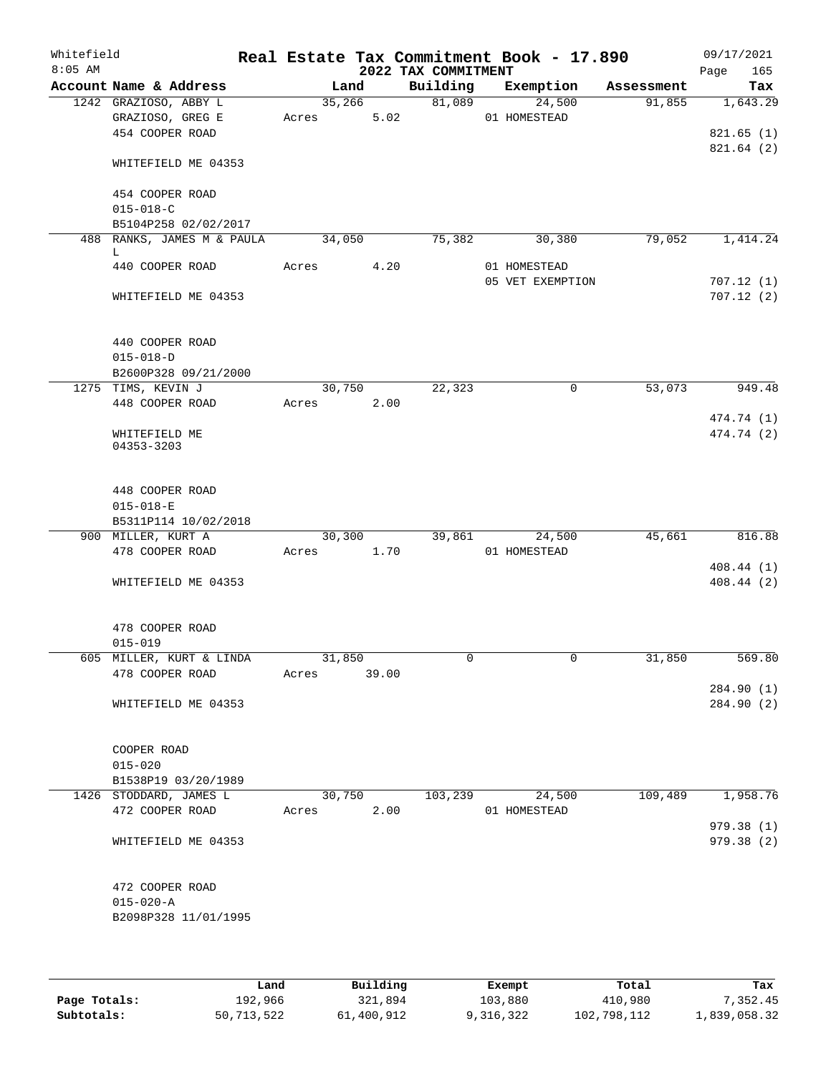| Whitefield<br>$8:05$ AM |                                                            |       |        |       | 2022 TAX COMMITMENT | Real Estate Tax Commitment Book - 17.890 |            | 09/17/2021<br>165<br>Page |
|-------------------------|------------------------------------------------------------|-------|--------|-------|---------------------|------------------------------------------|------------|---------------------------|
|                         | Account Name & Address                                     |       | Land   |       | Building            | Exemption                                | Assessment | Tax                       |
|                         | 1242 GRAZIOSO, ABBY L                                      |       | 35,266 |       | 81,089              | 24,500                                   | 91,855     | 1,643.29                  |
|                         | GRAZIOSO, GREG E                                           |       | Acres  | 5.02  |                     | 01 HOMESTEAD                             |            |                           |
|                         | 454 COOPER ROAD                                            |       |        |       |                     |                                          |            | 821.65(1)                 |
|                         | WHITEFIELD ME 04353                                        |       |        |       |                     |                                          |            | 821.64(2)                 |
|                         | 454 COOPER ROAD                                            |       |        |       |                     |                                          |            |                           |
|                         | $015 - 018 - C$                                            |       |        |       |                     |                                          |            |                           |
|                         | B5104P258 02/02/2017                                       |       |        |       |                     |                                          |            |                           |
|                         | 488 RANKS, JAMES M & PAULA<br>L                            |       | 34,050 |       | 75,382              | 30,380                                   | 79,052     | 1,414.24                  |
|                         | 440 COOPER ROAD                                            | Acres |        | 4.20  |                     | 01 HOMESTEAD                             |            |                           |
|                         |                                                            |       |        |       |                     | 05 VET EXEMPTION                         |            | 707.12(1)                 |
|                         | WHITEFIELD ME 04353                                        |       |        |       |                     |                                          |            | 707.12(2)                 |
|                         | 440 COOPER ROAD                                            |       |        |       |                     |                                          |            |                           |
|                         | $015 - 018 - D$                                            |       |        |       |                     |                                          |            |                           |
|                         | B2600P328 09/21/2000                                       |       |        |       |                     |                                          |            |                           |
|                         | 1275 TIMS, KEVIN J                                         | Acres | 30,750 | 2.00  | 22,323              | $\mathbf 0$                              | 53,073     | 949.48                    |
|                         | 448 COOPER ROAD                                            |       |        |       |                     |                                          |            | 474.74 (1)                |
|                         | WHITEFIELD ME<br>04353-3203                                |       |        |       |                     |                                          |            | 474.74 (2)                |
|                         |                                                            |       |        |       |                     |                                          |            |                           |
|                         | 448 COOPER ROAD                                            |       |        |       |                     |                                          |            |                           |
|                         | $015 - 018 - E$<br>B5311P114 10/02/2018                    |       |        |       |                     |                                          |            |                           |
|                         | 900 MILLER, KURT A                                         |       | 30,300 |       | 39,861              | 24,500                                   | 45,661     | 816.88                    |
|                         | 478 COOPER ROAD                                            | Acres | 1.70   |       |                     | 01 HOMESTEAD                             |            |                           |
|                         |                                                            |       |        |       |                     |                                          |            | 408.44(1)                 |
|                         | WHITEFIELD ME 04353                                        |       |        |       |                     |                                          |            | 408.44 (2)                |
|                         | 478 COOPER ROAD                                            |       |        |       |                     |                                          |            |                           |
|                         | $015 - 019$                                                |       |        |       |                     |                                          |            |                           |
|                         | 605 MILLER, KURT & LINDA<br>478 COOPER ROAD                | Acres | 31,850 | 39.00 | 0                   | $\overline{0}$                           | 31,850     | 569.80                    |
|                         |                                                            |       |        |       |                     |                                          |            | 284.90 (1)                |
|                         | WHITEFIELD ME 04353                                        |       |        |       |                     |                                          |            | 284.90 (2)                |
|                         | COOPER ROAD                                                |       |        |       |                     |                                          |            |                           |
|                         | $015 - 020$                                                |       |        |       |                     |                                          |            |                           |
|                         | B1538P19 03/20/1989                                        |       |        |       |                     |                                          | 109,489    |                           |
|                         | 1426 STODDARD, JAMES L<br>472 COOPER ROAD                  | Acres | 30,750 | 2.00  | 103,239             | 24,500<br>01 HOMESTEAD                   |            | 1,958.76                  |
|                         |                                                            |       |        |       |                     |                                          |            | 979.38 (1)                |
|                         | WHITEFIELD ME 04353                                        |       |        |       |                     |                                          |            | 979.38 (2)                |
|                         | 472 COOPER ROAD<br>$015 - 020 - A$<br>B2098P328 11/01/1995 |       |        |       |                     |                                          |            |                           |
|                         |                                                            |       |        |       |                     |                                          |            |                           |

|              | Land       | Building   | Exempt    | Total       | Tax          |
|--------------|------------|------------|-----------|-------------|--------------|
| Page Totals: | 192,966    | 321,894    | 103,880   | 410,980     | 7,352.45     |
| Subtotals:   | 50,713,522 | 61,400,912 | 9,316,322 | 102,798,112 | 1,839,058.32 |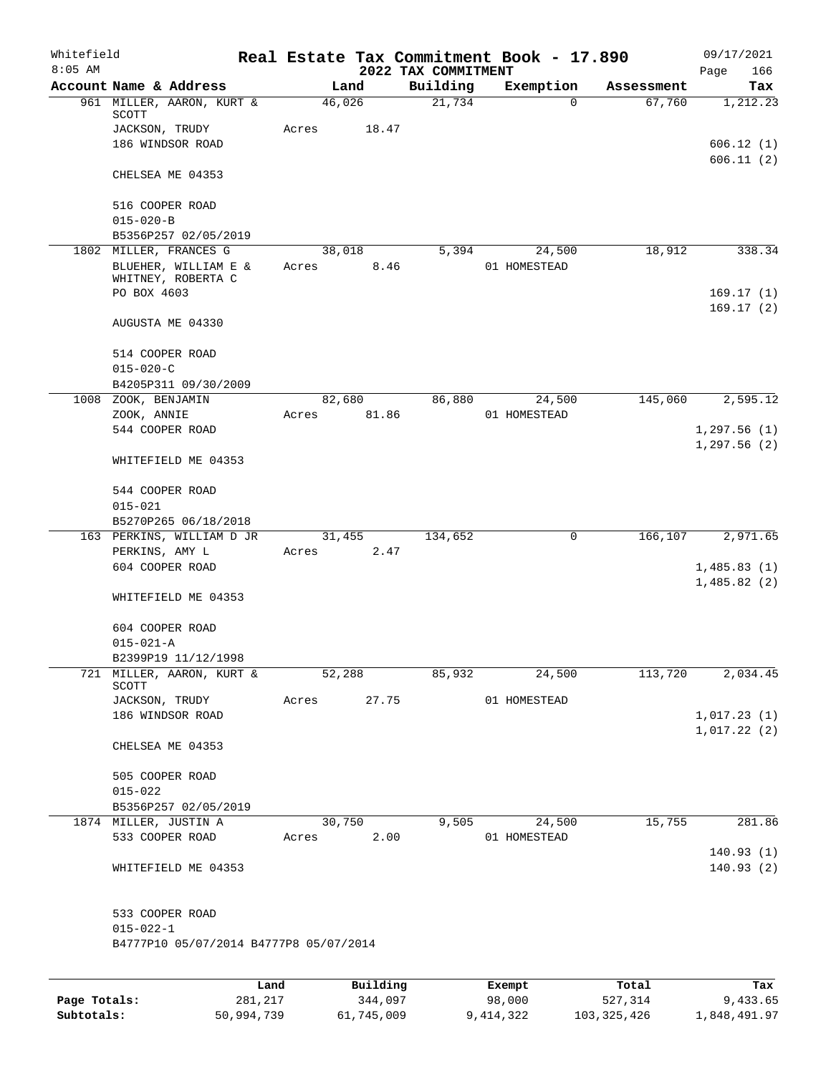| Whitefield<br>$8:05$ AM |                                                           |      |       |                 | 2022 TAX COMMITMENT | Real Estate Tax Commitment Book - 17.890 |            | 09/17/2021<br>166<br>Page  |
|-------------------------|-----------------------------------------------------------|------|-------|-----------------|---------------------|------------------------------------------|------------|----------------------------|
|                         | Account Name & Address                                    |      |       | Land            | Building            | Exemption                                | Assessment | Tax                        |
|                         | 961 MILLER, AARON, KURT &<br>SCOTT<br>JACKSON, TRUDY      |      | Acres | 46,026<br>18.47 | 21,734              | 0                                        | 67,760     | 1,212.23                   |
|                         | 186 WINDSOR ROAD                                          |      |       |                 |                     |                                          |            | 606.12(1)<br>606.11(2)     |
|                         | CHELSEA ME 04353                                          |      |       |                 |                     |                                          |            |                            |
|                         | 516 COOPER ROAD<br>$015 - 020 - B$                        |      |       |                 |                     |                                          |            |                            |
|                         | B5356P257 02/05/2019                                      |      |       |                 |                     |                                          |            |                            |
|                         | 1802 MILLER, FRANCES G                                    |      |       | 38,018          | 5,394               | 24,500                                   | 18,912     | 338.34                     |
|                         | BLUEHER, WILLIAM E &<br>WHITNEY, ROBERTA C                |      | Acres | 8.46            |                     | 01 HOMESTEAD                             |            |                            |
|                         | PO BOX 4603                                               |      |       |                 |                     |                                          |            | 169.17(1)                  |
|                         | AUGUSTA ME 04330                                          |      |       |                 |                     |                                          |            | 169.17(2)                  |
|                         | 514 COOPER ROAD<br>$015 - 020 - C$                        |      |       |                 |                     |                                          |            |                            |
|                         | B4205P311 09/30/2009                                      |      |       |                 |                     |                                          |            |                            |
|                         | 1008 ZOOK, BENJAMIN<br>ZOOK, ANNIE                        |      | Acres | 82,680<br>81.86 | 86,880              | 24,500<br>01 HOMESTEAD                   | 145,060    | 2,595.12                   |
|                         | 544 COOPER ROAD                                           |      |       |                 |                     |                                          |            | 1,297.56(1)                |
|                         | WHITEFIELD ME 04353                                       |      |       |                 |                     |                                          |            | 1,297.56(2)                |
|                         | 544 COOPER ROAD                                           |      |       |                 |                     |                                          |            |                            |
|                         | $015 - 021$                                               |      |       |                 |                     |                                          |            |                            |
|                         | B5270P265 06/18/2018                                      |      |       |                 |                     |                                          |            |                            |
|                         | 163 PERKINS, WILLIAM D JR                                 |      |       | 31,455          | 134,652             | 0                                        | 166, 107   | 2,971.65                   |
|                         | PERKINS, AMY L                                            |      | Acres | 2.47            |                     |                                          |            |                            |
|                         | 604 COOPER ROAD                                           |      |       |                 |                     |                                          |            | 1,485.83(1)<br>1,485.82(2) |
|                         | WHITEFIELD ME 04353                                       |      |       |                 |                     |                                          |            |                            |
|                         | 604 COOPER ROAD<br>$015 - 021 - A$                        |      |       |                 |                     |                                          |            |                            |
|                         | B2399P19 11/12/1998                                       |      |       |                 |                     |                                          |            |                            |
|                         | 721 MILLER, AARON, KURT &                                 |      |       | 52,288          | 85,932              | 24,500                                   | 113,720    | 2,034.45                   |
|                         | SCOTT                                                     |      |       |                 |                     |                                          |            |                            |
|                         | JACKSON, TRUDY                                            |      | Acres | 27.75           |                     | 01 HOMESTEAD                             |            |                            |
|                         | 186 WINDSOR ROAD                                          |      |       |                 |                     |                                          |            | 1,017.23(1)                |
|                         | CHELSEA ME 04353                                          |      |       |                 |                     |                                          |            | 1,017.22(2)                |
|                         | 505 COOPER ROAD                                           |      |       |                 |                     |                                          |            |                            |
|                         | $015 - 022$                                               |      |       |                 |                     |                                          |            |                            |
|                         | B5356P257 02/05/2019                                      |      |       |                 |                     |                                          |            |                            |
|                         | 1874 MILLER, JUSTIN A                                     |      |       | 30,750          | 9,505               | 24,500                                   | 15,755     | 281.86                     |
|                         | 533 COOPER ROAD                                           |      | Acres | 2.00            |                     | 01 HOMESTEAD                             |            |                            |
|                         |                                                           |      |       |                 |                     |                                          |            | 140.93(1)                  |
|                         | WHITEFIELD ME 04353                                       |      |       |                 |                     |                                          |            | 140.93(2)                  |
|                         | 533 COOPER ROAD                                           |      |       |                 |                     |                                          |            |                            |
|                         | $015 - 022 - 1$<br>B4777P10 05/07/2014 B4777P8 05/07/2014 |      |       |                 |                     |                                          |            |                            |
|                         |                                                           |      |       |                 |                     |                                          |            |                            |
|                         |                                                           | Land |       | Building        |                     | Exempt                                   | Total      | Tax                        |

|              | Land       | Building   | Exempt    | Total         | Tax          |
|--------------|------------|------------|-----------|---------------|--------------|
| Page Totals: | 281,217    | 344.097    | 98,000    | 527,314       | 9,433.65     |
| Subtotals:   | 50,994,739 | 61,745,009 | 9,414,322 | 103, 325, 426 | 1,848,491.97 |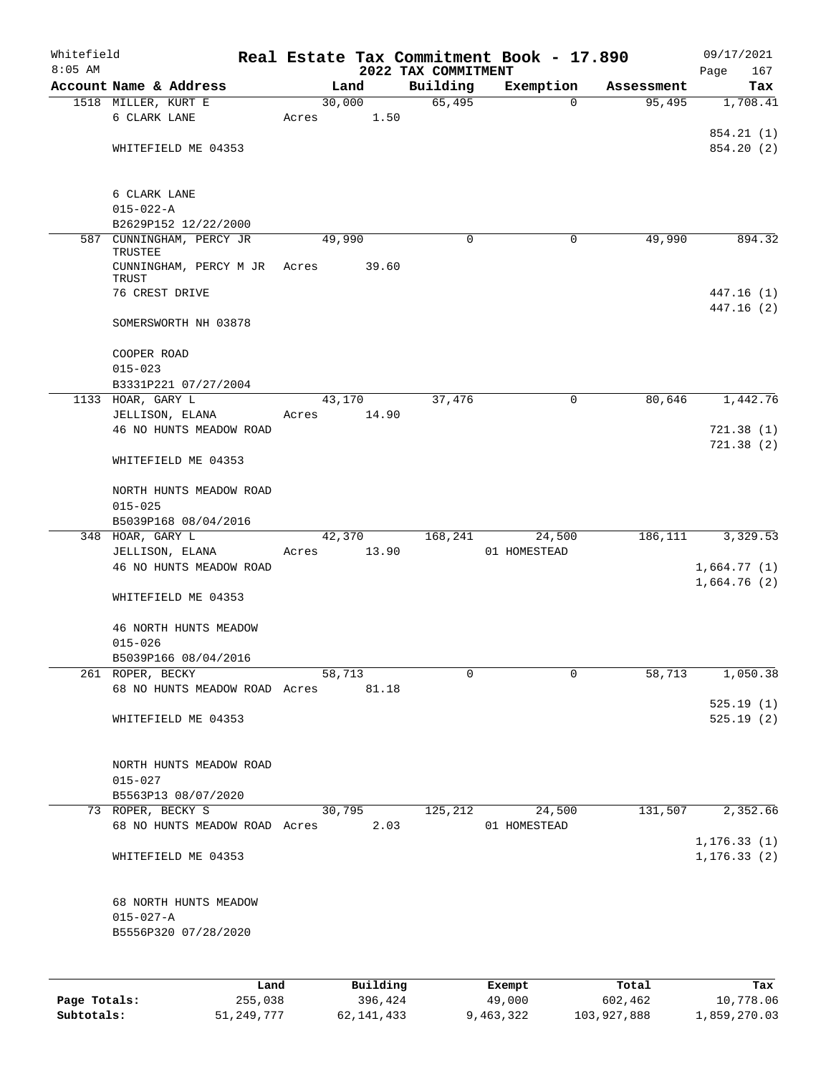| Whitefield   |                                     |         |       |        |          |                                 |   | Real Estate Tax Commitment Book - 17.890 |            | 09/17/2021         |
|--------------|-------------------------------------|---------|-------|--------|----------|---------------------------------|---|------------------------------------------|------------|--------------------|
| $8:05$ AM    | Account Name & Address              |         |       | Land   |          | 2022 TAX COMMITMENT<br>Building |   | Exemption                                | Assessment | 167<br>Page<br>Tax |
|              | 1518 MILLER, KURT E                 |         |       | 30,000 |          | 65,495                          |   | $\Omega$                                 | 95,495     | 1,708.41           |
|              | 6 CLARK LANE                        |         | Acres |        | 1.50     |                                 |   |                                          |            |                    |
|              |                                     |         |       |        |          |                                 |   |                                          |            | 854.21 (1)         |
|              | WHITEFIELD ME 04353                 |         |       |        |          |                                 |   |                                          |            | 854.20 (2)         |
|              |                                     |         |       |        |          |                                 |   |                                          |            |                    |
|              |                                     |         |       |        |          |                                 |   |                                          |            |                    |
|              | 6 CLARK LANE                        |         |       |        |          |                                 |   |                                          |            |                    |
|              | $015 - 022 - A$                     |         |       |        |          |                                 |   |                                          |            |                    |
|              | B2629P152 12/22/2000                |         |       | 49,990 |          |                                 |   |                                          |            |                    |
|              | 587 CUNNINGHAM, PERCY JR<br>TRUSTEE |         |       |        |          |                                 | 0 | 0                                        | 49,990     | 894.32             |
|              | CUNNINGHAM, PERCY M JR              |         | Acres |        | 39.60    |                                 |   |                                          |            |                    |
|              | TRUST                               |         |       |        |          |                                 |   |                                          |            |                    |
|              | 76 CREST DRIVE                      |         |       |        |          |                                 |   |                                          |            | 447.16 (1)         |
|              |                                     |         |       |        |          |                                 |   |                                          |            | 447.16 (2)         |
|              | SOMERSWORTH NH 03878                |         |       |        |          |                                 |   |                                          |            |                    |
|              | COOPER ROAD                         |         |       |        |          |                                 |   |                                          |            |                    |
|              | $015 - 023$                         |         |       |        |          |                                 |   |                                          |            |                    |
|              | B3331P221 07/27/2004                |         |       |        |          |                                 |   |                                          |            |                    |
|              | 1133 HOAR, GARY L                   |         |       | 43,170 |          | 37,476                          |   | 0                                        | 80,646     | 1,442.76           |
|              | JELLISON, ELANA                     |         | Acres |        | 14.90    |                                 |   |                                          |            |                    |
|              | 46 NO HUNTS MEADOW ROAD             |         |       |        |          |                                 |   |                                          |            | 721.38(1)          |
|              |                                     |         |       |        |          |                                 |   |                                          |            | 721.38(2)          |
|              | WHITEFIELD ME 04353                 |         |       |        |          |                                 |   |                                          |            |                    |
|              | NORTH HUNTS MEADOW ROAD             |         |       |        |          |                                 |   |                                          |            |                    |
|              | $015 - 025$                         |         |       |        |          |                                 |   |                                          |            |                    |
|              | B5039P168 08/04/2016                |         |       |        |          |                                 |   |                                          |            |                    |
|              | 348 HOAR, GARY L                    |         |       | 42,370 |          | 168,241                         |   | 24,500                                   | 186,111    | 3,329.53           |
|              | JELLISON, ELANA                     |         | Acres |        | 13.90    |                                 |   | 01 HOMESTEAD                             |            |                    |
|              | 46 NO HUNTS MEADOW ROAD             |         |       |        |          |                                 |   |                                          |            | 1,664.77(1)        |
|              |                                     |         |       |        |          |                                 |   |                                          |            | 1,664.76(2)        |
|              | WHITEFIELD ME 04353                 |         |       |        |          |                                 |   |                                          |            |                    |
|              | 46 NORTH HUNTS MEADOW               |         |       |        |          |                                 |   |                                          |            |                    |
|              | $015 - 026$                         |         |       |        |          |                                 |   |                                          |            |                    |
|              | B5039P166 08/04/2016                |         |       |        |          |                                 |   |                                          |            |                    |
|              | 261 ROPER, BECKY                    |         |       | 58,713 |          |                                 | 0 | 0                                        | 58,713     | 1,050.38           |
|              | 68 NO HUNTS MEADOW ROAD Acres       |         |       |        | 81.18    |                                 |   |                                          |            |                    |
|              |                                     |         |       |        |          |                                 |   |                                          |            | 525.19(1)          |
|              | WHITEFIELD ME 04353                 |         |       |        |          |                                 |   |                                          |            | 525.19(2)          |
|              |                                     |         |       |        |          |                                 |   |                                          |            |                    |
|              | NORTH HUNTS MEADOW ROAD             |         |       |        |          |                                 |   |                                          |            |                    |
|              | $015 - 027$                         |         |       |        |          |                                 |   |                                          |            |                    |
|              | B5563P13 08/07/2020                 |         |       |        |          |                                 |   |                                          |            |                    |
|              | 73 ROPER, BECKY S                   |         |       | 30,795 |          | 125,212                         |   | 24,500                                   | 131,507    | 2,352.66           |
|              | 68 NO HUNTS MEADOW ROAD Acres       |         |       |        | 2.03     |                                 |   | 01 HOMESTEAD                             |            |                    |
|              |                                     |         |       |        |          |                                 |   |                                          |            | 1, 176.33(1)       |
|              | WHITEFIELD ME 04353                 |         |       |        |          |                                 |   |                                          |            | 1, 176.33(2)       |
|              |                                     |         |       |        |          |                                 |   |                                          |            |                    |
|              | 68 NORTH HUNTS MEADOW               |         |       |        |          |                                 |   |                                          |            |                    |
|              | $015 - 027 - A$                     |         |       |        |          |                                 |   |                                          |            |                    |
|              | B5556P320 07/28/2020                |         |       |        |          |                                 |   |                                          |            |                    |
|              |                                     |         |       |        |          |                                 |   |                                          |            |                    |
|              |                                     | Land    |       |        | Building |                                 |   | Exempt                                   | Total      | Tax                |
| Page Totals: |                                     | 255,038 |       |        | 396,424  |                                 |   | 49,000                                   | 602,462    | 10,778.06          |

**Subtotals:** 51,249,777 62,141,433 9,463,322 103,927,888 1,859,270.03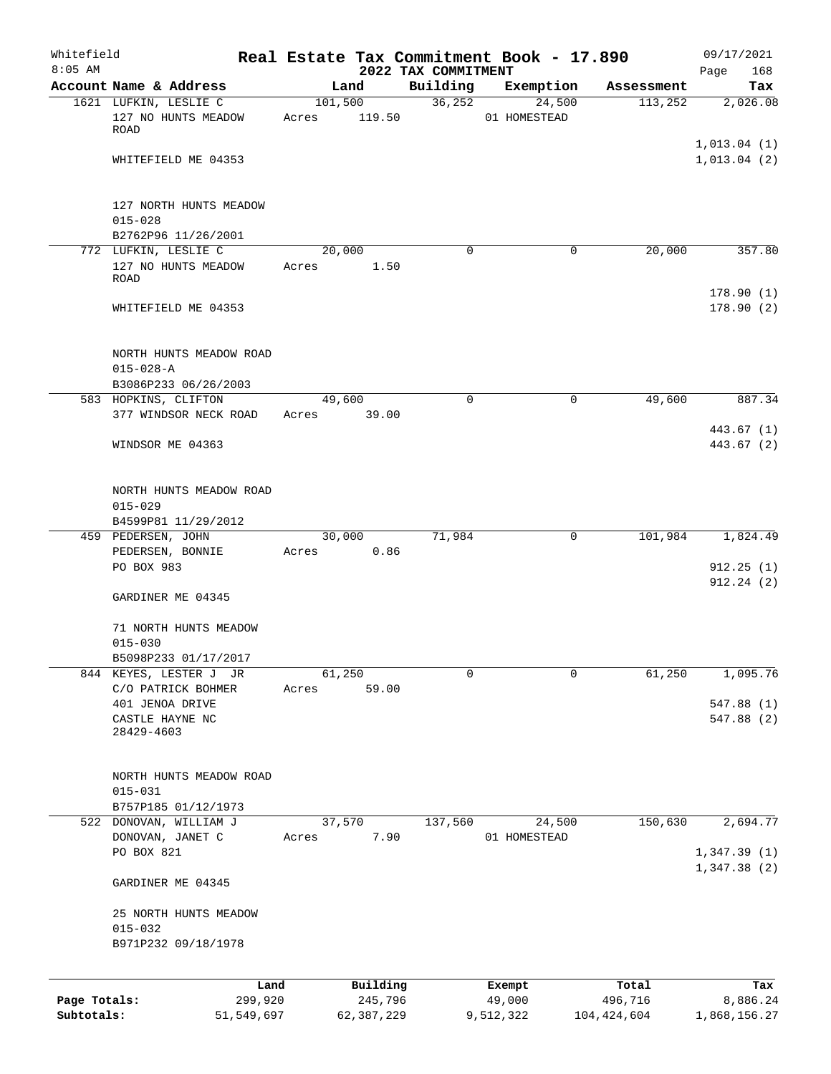| Whitefield<br>$8:05$ AM |                                              | Real Estate Tax Commitment Book - 17.890 | 2022 TAX COMMITMENT |              |               | 09/17/2021<br>168<br>Page  |
|-------------------------|----------------------------------------------|------------------------------------------|---------------------|--------------|---------------|----------------------------|
|                         | Account Name & Address                       | Land                                     | Building            | Exemption    | Assessment    | Tax                        |
|                         | 1621 LUFKIN, LESLIE C                        | 101,500                                  | 36, 252             | 24,500       | 113,252       | 2,026.08                   |
|                         | 127 NO HUNTS MEADOW<br>ROAD                  | 119.50<br>Acres                          |                     | 01 HOMESTEAD |               |                            |
|                         | WHITEFIELD ME 04353                          |                                          |                     |              |               | 1,013.04(1)<br>1,013.04(2) |
|                         |                                              |                                          |                     |              |               |                            |
|                         | 127 NORTH HUNTS MEADOW                       |                                          |                     |              |               |                            |
|                         | $015 - 028$<br>B2762P96 11/26/2001           |                                          |                     |              |               |                            |
|                         | 772 LUFKIN, LESLIE C                         | 20,000                                   | $\mathbf 0$         | 0            | 20,000        | 357.80                     |
|                         | 127 NO HUNTS MEADOW<br>ROAD                  | Acres                                    | 1.50                |              |               |                            |
|                         | WHITEFIELD ME 04353                          |                                          |                     |              |               | 178.90(1)<br>178.90(2)     |
|                         | NORTH HUNTS MEADOW ROAD                      |                                          |                     |              |               |                            |
|                         | $015 - 028 - A$                              |                                          |                     |              |               |                            |
|                         | B3086P233 06/26/2003<br>583 HOPKINS, CLIFTON | 49,600                                   | $\Omega$            | 0            | 49,600        | 887.34                     |
|                         | 377 WINDSOR NECK ROAD                        | Acres                                    | 39.00               |              |               |                            |
|                         | WINDSOR ME 04363                             |                                          |                     |              |               | 443.67 (1)<br>443.67 (2)   |
|                         |                                              |                                          |                     |              |               |                            |
|                         | NORTH HUNTS MEADOW ROAD                      |                                          |                     |              |               |                            |
|                         | $015 - 029$<br>B4599P81 11/29/2012           |                                          |                     |              |               |                            |
|                         | 459 PEDERSEN, JOHN                           | 30,000                                   | 71,984              | 0            | 101,984       | 1,824.49                   |
|                         | PEDERSEN, BONNIE                             | Acres                                    | 0.86                |              |               |                            |
|                         | PO BOX 983                                   |                                          |                     |              |               | 912.25(1)<br>912.24(2)     |
|                         | GARDINER ME 04345                            |                                          |                     |              |               |                            |
|                         | 71 NORTH HUNTS MEADOW<br>$015 - 030$         |                                          |                     |              |               |                            |
|                         | B5098P233 01/17/2017                         |                                          |                     |              |               |                            |
|                         | 844 KEYES, LESTER J JR                       | 61,250                                   | 0                   | 0            | 61,250        | 1,095.76                   |
|                         | C/O PATRICK BOHMER                           | Acres                                    | 59.00               |              |               |                            |
|                         | 401 JENOA DRIVE<br>CASTLE HAYNE NC           |                                          |                     |              |               | 547.88 (1)<br>547.88 (2)   |
|                         | 28429-4603                                   |                                          |                     |              |               |                            |
|                         | NORTH HUNTS MEADOW ROAD                      |                                          |                     |              |               |                            |
|                         | $015 - 031$                                  |                                          |                     |              |               |                            |
|                         | B757P185 01/12/1973                          |                                          |                     |              |               |                            |
|                         | 522 DONOVAN, WILLIAM J                       | 37,570                                   | 137,560             | 24,500       | 150,630       | 2,694.77                   |
|                         | DONOVAN, JANET C<br>PO BOX 821               | Acres                                    | 7.90                | 01 HOMESTEAD |               | 1,347.39(1)                |
|                         | GARDINER ME 04345                            |                                          |                     |              |               | 1,347.38(2)                |
|                         | 25 NORTH HUNTS MEADOW                        |                                          |                     |              |               |                            |
|                         | $015 - 032$                                  |                                          |                     |              |               |                            |
|                         | B971P232 09/18/1978                          |                                          |                     |              |               |                            |
|                         | Land                                         | Building                                 |                     | Exempt       | Total         | Tax                        |
| Page Totals:            | 299,920                                      |                                          | 245,796             | 49,000       | 496,716       | 8,886.24                   |
| Subtotals:              | 51,549,697                                   | 62,387,229                               |                     | 9,512,322    | 104, 424, 604 | 1,868,156.27               |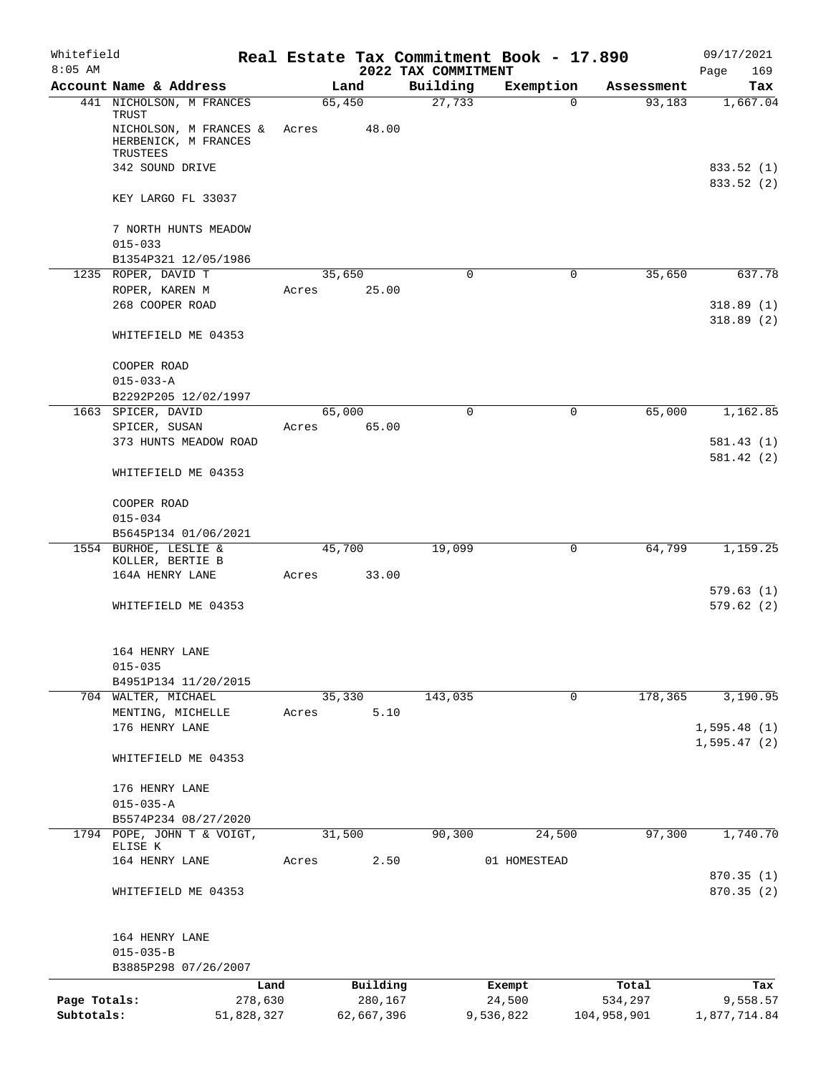| Whitefield<br>$8:05$ AM |                                             |         |            | 2022 TAX COMMITMENT | Real Estate Tax Commitment Book - 17.890 |             | 09/17/2021<br>Page<br>169 |
|-------------------------|---------------------------------------------|---------|------------|---------------------|------------------------------------------|-------------|---------------------------|
|                         | Account Name & Address                      |         | Land       | Building            | Exemption                                | Assessment  | Tax                       |
|                         | 441 NICHOLSON, M FRANCES                    |         | 65,450     | 27,733              | 0                                        | 93,183      | 1,667.04                  |
|                         | TRUST<br>NICHOLSON, M FRANCES &             | Acres   | 48.00      |                     |                                          |             |                           |
|                         | HERBENICK, M FRANCES                        |         |            |                     |                                          |             |                           |
|                         | TRUSTEES                                    |         |            |                     |                                          |             |                           |
|                         | 342 SOUND DRIVE                             |         |            |                     |                                          |             | 833.52 (1)                |
|                         | KEY LARGO FL 33037                          |         |            |                     |                                          |             | 833.52 (2)                |
|                         | 7 NORTH HUNTS MEADOW                        |         |            |                     |                                          |             |                           |
|                         | $015 - 033$                                 |         |            |                     |                                          |             |                           |
|                         | B1354P321 12/05/1986<br>1235 ROPER, DAVID T |         | 35,650     | 0                   | 0                                        | 35,650      | 637.78                    |
|                         | ROPER, KAREN M                              | Acres   | 25.00      |                     |                                          |             |                           |
|                         | 268 COOPER ROAD                             |         |            |                     |                                          |             | 318.89(1)                 |
|                         |                                             |         |            |                     |                                          |             | 318.89(2)                 |
|                         | WHITEFIELD ME 04353                         |         |            |                     |                                          |             |                           |
|                         | COOPER ROAD                                 |         |            |                     |                                          |             |                           |
|                         | $015 - 033 - A$<br>B2292P205 12/02/1997     |         |            |                     |                                          |             |                           |
|                         | 1663 SPICER, DAVID                          |         | 65,000     | 0                   | 0                                        | 65,000      | 1,162.85                  |
|                         | SPICER, SUSAN                               | Acres   | 65.00      |                     |                                          |             |                           |
|                         | 373 HUNTS MEADOW ROAD                       |         |            |                     |                                          |             | 581.43(1)                 |
|                         | WHITEFIELD ME 04353                         |         |            |                     |                                          |             | 581.42 (2)                |
|                         |                                             |         |            |                     |                                          |             |                           |
|                         | COOPER ROAD                                 |         |            |                     |                                          |             |                           |
|                         | $015 - 034$                                 |         |            |                     |                                          |             |                           |
|                         | B5645P134 01/06/2021                        |         |            |                     |                                          |             |                           |
|                         | 1554 BURHOE, LESLIE &<br>KOLLER, BERTIE B   |         | 45,700     | 19,099              | $\mathbf 0$                              | 64,799      | 1,159.25                  |
|                         | 164A HENRY LANE                             | Acres   | 33.00      |                     |                                          |             |                           |
|                         |                                             |         |            |                     |                                          |             | 579.63(1)                 |
|                         | WHITEFIELD ME 04353                         |         |            |                     |                                          |             | 579.62(2)                 |
|                         | 164 HENRY LANE                              |         |            |                     |                                          |             |                           |
|                         | $015 - 035$                                 |         |            |                     |                                          |             |                           |
|                         | B4951P134 11/20/2015                        |         |            |                     |                                          |             |                           |
|                         | 704 WALTER, MICHAEL                         |         | 35,330     | 143,035             | $\mathbf 0$                              | 178,365     | 3,190.95                  |
|                         | MENTING, MICHELLE                           | Acres   | 5.10       |                     |                                          |             |                           |
|                         | 176 HENRY LANE                              |         |            |                     |                                          |             | 1,595.48(1)               |
|                         | WHITEFIELD ME 04353                         |         |            |                     |                                          |             | 1, 595.47(2)              |
|                         |                                             |         |            |                     |                                          |             |                           |
|                         | 176 HENRY LANE                              |         |            |                     |                                          |             |                           |
|                         | $015 - 035 - A$<br>B5574P234 08/27/2020     |         |            |                     |                                          |             |                           |
|                         | 1794 POPE, JOHN T & VOIGT,                  |         | 31,500     | 90,300              | 24,500                                   | 97,300      | 1,740.70                  |
|                         | ELISE K                                     |         |            |                     |                                          |             |                           |
|                         | 164 HENRY LANE                              | Acres   | 2.50       |                     | 01 HOMESTEAD                             |             |                           |
|                         | WHITEFIELD ME 04353                         |         |            |                     |                                          |             | 870.35(1)<br>870.35(2)    |
|                         |                                             |         |            |                     |                                          |             |                           |
|                         | 164 HENRY LANE                              |         |            |                     |                                          |             |                           |
|                         | $015 - 035 - B$                             |         |            |                     |                                          |             |                           |
|                         | B3885P298 07/26/2007                        |         |            |                     |                                          |             |                           |
|                         |                                             | Land    | Building   |                     | Exempt                                   | Total       | Tax                       |
| Page Totals:            |                                             | 278,630 | 280,167    |                     | 24,500                                   | 534,297     | 9,558.57                  |
| Subtotals:              | 51,828,327                                  |         | 62,667,396 |                     | 9,536,822                                | 104,958,901 | 1,877,714.84              |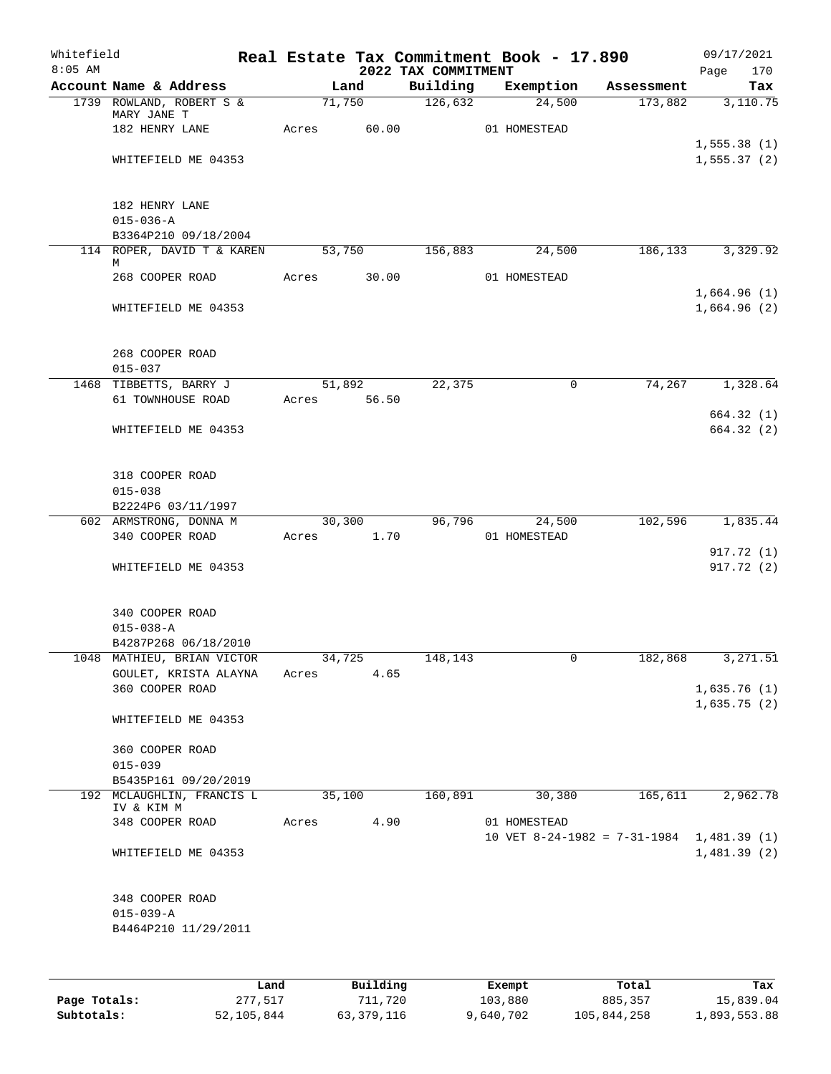| Whitefield<br>$8:05$ AM |                                         |             |        |                             | 2022 TAX COMMITMENT | Real Estate Tax Commitment Book - 17.890    |            | 09/17/2021<br>Page<br>170  |
|-------------------------|-----------------------------------------|-------------|--------|-----------------------------|---------------------|---------------------------------------------|------------|----------------------------|
|                         | Account Name & Address                  |             | Land   |                             | Building            | Exemption                                   | Assessment | Tax                        |
|                         | 1739 ROWLAND, ROBERT S &<br>MARY JANE T |             | 71,750 |                             | 126,632             | 24,500                                      | 173,882    | 3,110.75                   |
|                         | 182 HENRY LANE                          | Acres       |        | 60.00                       |                     | 01 HOMESTEAD                                |            | 1,555.38(1)                |
|                         | WHITEFIELD ME 04353                     |             |        |                             |                     |                                             |            | 1, 555.37(2)               |
|                         | 182 HENRY LANE<br>$015 - 036 - A$       |             |        |                             |                     |                                             |            |                            |
|                         | B3364P210 09/18/2004                    |             |        |                             |                     |                                             |            |                            |
|                         | 114 ROPER, DAVID T & KAREN 53,750<br>М  |             |        |                             | 156,883             | 24,500                                      |            | 186, 133 3, 329. 92        |
|                         | 268 COOPER ROAD                         | Acres       |        | 30.00                       |                     | 01 HOMESTEAD                                |            |                            |
|                         | WHITEFIELD ME 04353                     |             |        |                             |                     |                                             |            | 1,664.96(1)<br>1,664.96(2) |
|                         | 268 COOPER ROAD<br>$015 - 037$          |             |        |                             |                     |                                             |            |                            |
|                         | 1468 TIBBETTS, BARRY J                  |             |        | 51,892                      | 22,375              | $\mathbf 0$                                 |            | 74,267 1,328.64            |
|                         | 61 TOWNHOUSE ROAD                       | Acres 56.50 |        |                             |                     |                                             |            |                            |
|                         | WHITEFIELD ME 04353                     |             |        |                             |                     |                                             |            | 664.32 (1)<br>664.32 (2)   |
|                         | 318 COOPER ROAD<br>$015 - 038$          |             |        |                             |                     |                                             |            |                            |
|                         | B2224P6 03/11/1997                      |             |        |                             |                     |                                             |            |                            |
|                         | 602 ARMSTRONG, DONNA M                  |             |        | 30,300                      | 96,796              | 24,500                                      | 102,596    | 1,835.44                   |
|                         | 340 COOPER ROAD                         | Acres 1.70  |        |                             |                     | 01 HOMESTEAD                                |            |                            |
|                         | WHITEFIELD ME 04353                     |             |        |                             |                     |                                             |            | 917.72 (1)<br>917.72 (2)   |
|                         | 340 COOPER ROAD<br>$015 - 038 - A$      |             |        |                             |                     |                                             |            |                            |
|                         | B4287P268 06/18/2010                    |             |        |                             |                     |                                             |            |                            |
|                         | 1048 MATHIEU, BRIAN VICTOR 34,725       |             |        |                             | 148,143             | 0                                           | 182,868    | 3,271.51                   |
|                         | GOULET, KRISTA ALAYNA                   | Acres       |        | 4.65                        |                     |                                             |            |                            |
|                         | 360 COOPER ROAD                         |             |        |                             |                     |                                             |            | 1,635.76(1)<br>1,635.75(2) |
|                         | WHITEFIELD ME 04353                     |             |        |                             |                     |                                             |            |                            |
|                         | 360 COOPER ROAD<br>$015 - 039$          |             |        |                             |                     |                                             |            |                            |
|                         | B5435P161 09/20/2019                    |             |        |                             |                     |                                             |            |                            |
|                         | 192 MCLAUGHLIN, FRANCIS L<br>IV & KIM M |             | 35,100 |                             | 160,891             | 30,380                                      | 165,611    | 2,962.78                   |
|                         | 348 COOPER ROAD                         | Acres       |        | 4.90                        |                     | 01 HOMESTEAD                                |            |                            |
|                         | WHITEFIELD ME 04353                     |             |        |                             |                     | 10 VET 8-24-1982 = $7-31-1984$ 1,481.39 (1) |            | 1,481.39(2)                |
|                         | 348 COOPER ROAD                         |             |        |                             |                     |                                             |            |                            |
|                         | $015 - 039 - A$<br>B4464P210 11/29/2011 |             |        |                             |                     |                                             |            |                            |
|                         |                                         |             |        |                             |                     |                                             |            |                            |
|                         |                                         |             |        | $P_{11}$ in $I$ is a $\sim$ |                     | $P$ <sub>rr</sub> $\sim$ m $\sim$ +         |            |                            |

|              | Land       | Building   | Exempt    | Total       | Tax          |
|--------------|------------|------------|-----------|-------------|--------------|
| Page Totals: | 277,517    | 711,720    | 103,880   | 885,357     | 15,839.04    |
| Subtotals:   | 52,105,844 | 63,379,116 | 9,640,702 | 105,844,258 | 1,893,553.88 |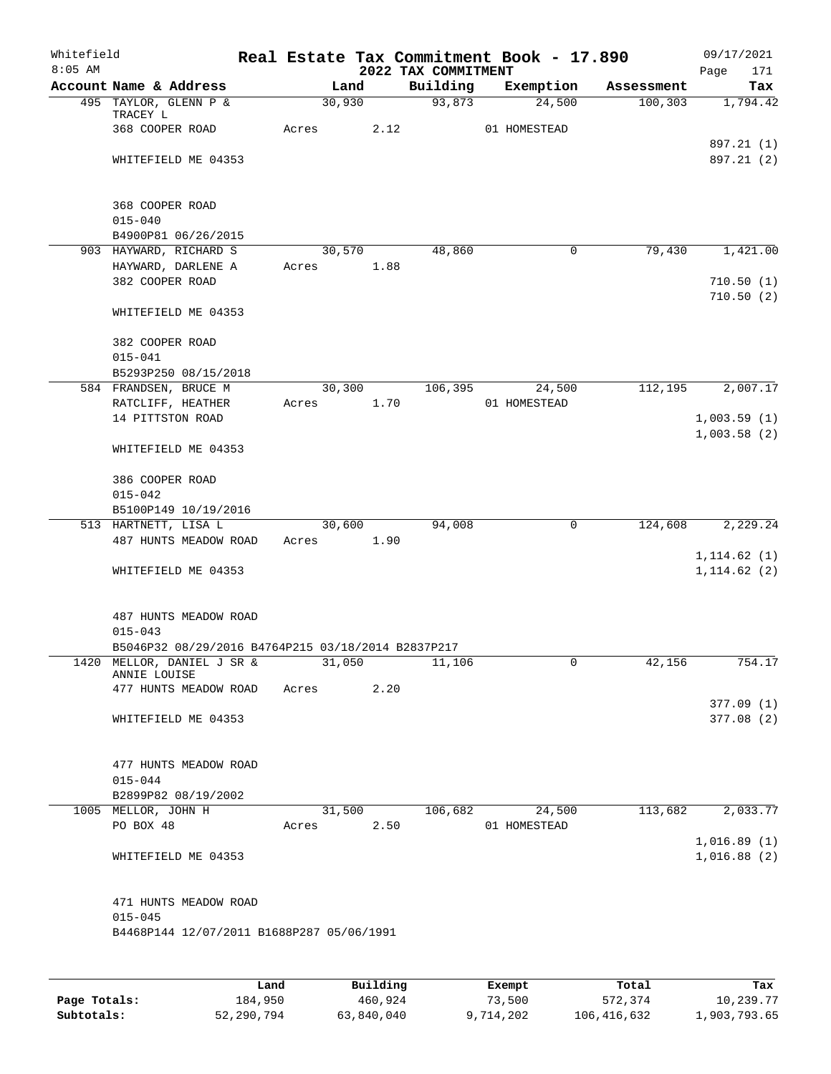| Whitefield<br>$8:05$ AM |                                                    |       |        |      | 2022 TAX COMMITMENT | Real Estate Tax Commitment Book - 17.890 |            | 09/17/2021<br>Page<br>171 |
|-------------------------|----------------------------------------------------|-------|--------|------|---------------------|------------------------------------------|------------|---------------------------|
|                         | Account Name & Address                             |       | Land   |      | Building            | Exemption                                | Assessment | Tax                       |
|                         | 495 TAYLOR, GLENN P &                              |       | 30,930 |      | 93,873              | 24,500                                   | 100, 303   | 1,794.42                  |
|                         | TRACEY L                                           |       |        |      |                     |                                          |            |                           |
|                         | 368 COOPER ROAD                                    | Acres |        | 2.12 |                     | 01 HOMESTEAD                             |            | 897.21 (1)                |
|                         | WHITEFIELD ME 04353                                |       |        |      |                     |                                          |            | 897.21 (2)                |
|                         |                                                    |       |        |      |                     |                                          |            |                           |
|                         |                                                    |       |        |      |                     |                                          |            |                           |
|                         | 368 COOPER ROAD                                    |       |        |      |                     |                                          |            |                           |
|                         | $015 - 040$                                        |       |        |      |                     |                                          |            |                           |
|                         | B4900P81 06/26/2015                                |       |        |      |                     |                                          |            |                           |
|                         | 903 HAYWARD, RICHARD S                             |       | 30,570 |      | 48,860              | 0                                        | 79,430     | 1,421.00                  |
|                         | HAYWARD, DARLENE A                                 | Acres |        | 1.88 |                     |                                          |            |                           |
|                         | 382 COOPER ROAD                                    |       |        |      |                     |                                          |            | 710.50(1)                 |
|                         |                                                    |       |        |      |                     |                                          |            | 710.50(2)                 |
|                         | WHITEFIELD ME 04353                                |       |        |      |                     |                                          |            |                           |
|                         | 382 COOPER ROAD                                    |       |        |      |                     |                                          |            |                           |
|                         | $015 - 041$                                        |       |        |      |                     |                                          |            |                           |
|                         | B5293P250 08/15/2018                               |       |        |      |                     |                                          |            |                           |
|                         | 584 FRANDSEN, BRUCE M                              |       | 30,300 |      | 106,395             | 24,500                                   | 112,195    | 2,007.17                  |
|                         | RATCLIFF, HEATHER                                  | Acres |        | 1.70 |                     | 01 HOMESTEAD                             |            |                           |
|                         | 14 PITTSTON ROAD                                   |       |        |      |                     |                                          |            | 1,003.59(1)               |
|                         |                                                    |       |        |      |                     |                                          |            | 1,003.58(2)               |
|                         | WHITEFIELD ME 04353                                |       |        |      |                     |                                          |            |                           |
|                         |                                                    |       |        |      |                     |                                          |            |                           |
|                         | 386 COOPER ROAD                                    |       |        |      |                     |                                          |            |                           |
|                         | $015 - 042$                                        |       |        |      |                     |                                          |            |                           |
|                         | B5100P149 10/19/2016                               |       |        |      |                     |                                          |            |                           |
|                         | 513 HARTNETT, LISA L                               |       | 30,600 |      | 94,008              | 0                                        | 124,608    | 2,229.24                  |
|                         | 487 HUNTS MEADOW ROAD                              | Acres |        | 1.90 |                     |                                          |            |                           |
|                         |                                                    |       |        |      |                     |                                          |            | 1, 114.62(1)              |
|                         | WHITEFIELD ME 04353                                |       |        |      |                     |                                          |            | 1, 114.62(2)              |
|                         |                                                    |       |        |      |                     |                                          |            |                           |
|                         | 487 HUNTS MEADOW ROAD                              |       |        |      |                     |                                          |            |                           |
|                         | $015 - 043$                                        |       |        |      |                     |                                          |            |                           |
|                         | B5046P32 08/29/2016 B4764P215 03/18/2014 B2837P217 |       |        |      |                     |                                          |            |                           |
|                         | 1420 MELLOR, DANIEL J SR &                         |       | 31,050 |      | 11,106              | $\hat{0}$                                | 42,156     | 754.17                    |
|                         | ANNIE LOUISE                                       |       |        |      |                     |                                          |            |                           |
|                         | 477 HUNTS MEADOW ROAD                              | Acres |        | 2.20 |                     |                                          |            |                           |
|                         |                                                    |       |        |      |                     |                                          |            | 377.09(1)                 |
|                         | WHITEFIELD ME 04353                                |       |        |      |                     |                                          |            | 377.08(2)                 |
|                         |                                                    |       |        |      |                     |                                          |            |                           |
|                         | 477 HUNTS MEADOW ROAD                              |       |        |      |                     |                                          |            |                           |
|                         | $015 - 044$                                        |       |        |      |                     |                                          |            |                           |
|                         | B2899P82 08/19/2002                                |       |        |      |                     |                                          |            |                           |
|                         | 1005 MELLOR, JOHN H                                |       | 31,500 |      | 106,682             | 24,500                                   | 113,682    | 2,033.77                  |
|                         | PO BOX 48                                          | Acres |        | 2.50 |                     | 01 HOMESTEAD                             |            |                           |
|                         |                                                    |       |        |      |                     |                                          |            | 1,016.89(1)               |
|                         | WHITEFIELD ME 04353                                |       |        |      |                     |                                          |            | 1,016.88(2)               |
|                         |                                                    |       |        |      |                     |                                          |            |                           |
|                         |                                                    |       |        |      |                     |                                          |            |                           |
|                         | 471 HUNTS MEADOW ROAD                              |       |        |      |                     |                                          |            |                           |
|                         | $015 - 045$                                        |       |        |      |                     |                                          |            |                           |
|                         | B4468P144 12/07/2011 B1688P287 05/06/1991          |       |        |      |                     |                                          |            |                           |
|                         |                                                    |       |        |      |                     |                                          |            |                           |
|                         |                                                    |       |        |      |                     |                                          |            |                           |

|              | Land       | Building   | Exempt    | Total       | Tax          |
|--------------|------------|------------|-----------|-------------|--------------|
| Page Totals: | 184,950    | 460,924    | 73,500    | 572,374     | 10,239.77    |
| Subtotals:   | 52,290,794 | 63,840,040 | 9,714,202 | 106,416,632 | 1,903,793.65 |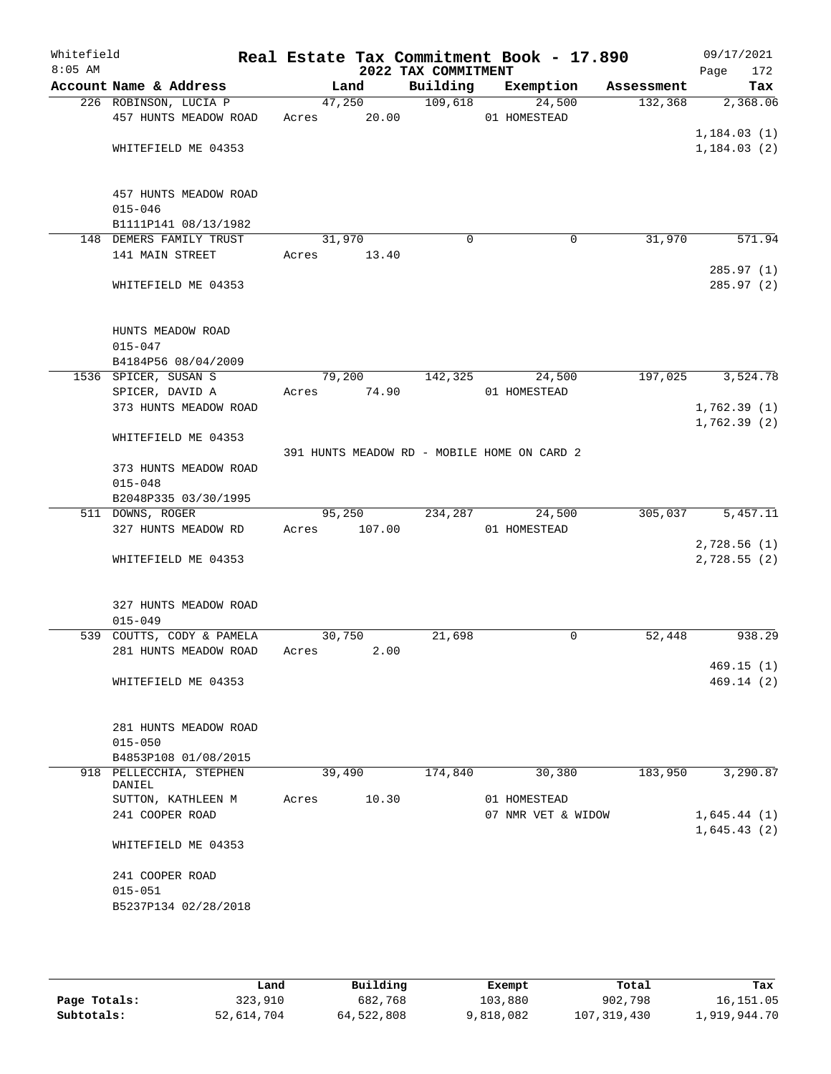| Whitefield<br>$8:05$ AM |                                         |       |                       | 2022 TAX COMMITMENT | Real Estate Tax Commitment Book - 17.890    |            | 09/17/2021<br>172<br>Page |
|-------------------------|-----------------------------------------|-------|-----------------------|---------------------|---------------------------------------------|------------|---------------------------|
|                         | Account Name & Address                  |       | Land                  | Building            | Exemption                                   | Assessment | Tax                       |
|                         | 226 ROBINSON, LUCIA P                   |       | 47,250                | 109,618             | 24,500                                      | 132,368    | 2,368.06                  |
|                         | 457 HUNTS MEADOW ROAD                   | Acres | 20.00                 |                     | 01 HOMESTEAD                                |            |                           |
|                         |                                         |       |                       |                     |                                             |            | 1, 184.03(1)              |
|                         | WHITEFIELD ME 04353                     |       |                       |                     |                                             |            | 1, 184.03(2)              |
|                         |                                         |       |                       |                     |                                             |            |                           |
|                         |                                         |       |                       |                     |                                             |            |                           |
|                         | 457 HUNTS MEADOW ROAD<br>$015 - 046$    |       |                       |                     |                                             |            |                           |
|                         | B1111P141 08/13/1982                    |       |                       |                     |                                             |            |                           |
|                         | 148 DEMERS FAMILY TRUST                 |       | 31,970                | $\mathbf 0$         | 0                                           | 31,970     | 571.94                    |
|                         | 141 MAIN STREET                         |       | Acres 13.40           |                     |                                             |            |                           |
|                         |                                         |       |                       |                     |                                             |            | 285.97(1)                 |
|                         | WHITEFIELD ME 04353                     |       |                       |                     |                                             |            | 285.97(2)                 |
|                         |                                         |       |                       |                     |                                             |            |                           |
|                         |                                         |       |                       |                     |                                             |            |                           |
|                         | HUNTS MEADOW ROAD                       |       |                       |                     |                                             |            |                           |
|                         | $015 - 047$                             |       |                       |                     |                                             |            |                           |
|                         | B4184P56 08/04/2009                     |       |                       |                     |                                             |            |                           |
|                         | 1536 SPICER, SUSAN S<br>SPICER, DAVID A |       | 79,200<br>Acres 74.90 | 142,325             | 24,500<br>01 HOMESTEAD                      | 197,025    | 3,524.78                  |
|                         | 373 HUNTS MEADOW ROAD                   |       |                       |                     |                                             |            | 1,762.39(1)               |
|                         |                                         |       |                       |                     |                                             |            | 1,762.39(2)               |
|                         | WHITEFIELD ME 04353                     |       |                       |                     |                                             |            |                           |
|                         |                                         |       |                       |                     | 391 HUNTS MEADOW RD - MOBILE HOME ON CARD 2 |            |                           |
|                         | 373 HUNTS MEADOW ROAD                   |       |                       |                     |                                             |            |                           |
|                         | $015 - 048$                             |       |                       |                     |                                             |            |                           |
|                         | B2048P335 03/30/1995                    |       |                       |                     |                                             |            |                           |
|                         | 511 DOWNS, ROGER                        |       | 95,250                | 234,287             | 24,500                                      | 305,037    | 5,457.11                  |
|                         | 327 HUNTS MEADOW RD                     | Acres | 107.00                |                     | 01 HOMESTEAD                                |            |                           |
|                         |                                         |       |                       |                     |                                             |            | 2,728.56(1)               |
|                         | WHITEFIELD ME 04353                     |       |                       |                     |                                             |            | 2,728.55 (2)              |
|                         |                                         |       |                       |                     |                                             |            |                           |
|                         | 327 HUNTS MEADOW ROAD                   |       |                       |                     |                                             |            |                           |
|                         | $015 - 049$                             |       |                       |                     |                                             |            |                           |
|                         | 539 COUTTS, CODY & PAMELA               |       | 30,750                | 21,698              | 0                                           | 52,448     | 938.29                    |
|                         | 281 HUNTS MEADOW ROAD                   | Acres | 2.00                  |                     |                                             |            |                           |
|                         |                                         |       |                       |                     |                                             |            | 469.15(1)                 |
|                         | WHITEFIELD ME 04353                     |       |                       |                     |                                             |            | 469.14(2)                 |
|                         |                                         |       |                       |                     |                                             |            |                           |
|                         |                                         |       |                       |                     |                                             |            |                           |
|                         | 281 HUNTS MEADOW ROAD<br>$015 - 050$    |       |                       |                     |                                             |            |                           |
|                         | B4853P108 01/08/2015                    |       |                       |                     |                                             |            |                           |
|                         | 918 PELLECCHIA, STEPHEN                 |       | 39,490                | 174,840             | 30,380                                      | 183,950    | 3,290.87                  |
|                         | DANIEL                                  |       |                       |                     |                                             |            |                           |
|                         | SUTTON, KATHLEEN M                      | Acres | 10.30                 |                     | 01 HOMESTEAD                                |            |                           |
|                         | 241 COOPER ROAD                         |       |                       |                     | 07 NMR VET & WIDOW                          |            | 1,645.44(1)               |
|                         |                                         |       |                       |                     |                                             |            | 1,645.43(2)               |
|                         | WHITEFIELD ME 04353                     |       |                       |                     |                                             |            |                           |
|                         | 241 COOPER ROAD                         |       |                       |                     |                                             |            |                           |
|                         | $015 - 051$                             |       |                       |                     |                                             |            |                           |
|                         | B5237P134 02/28/2018                    |       |                       |                     |                                             |            |                           |
|                         |                                         |       |                       |                     |                                             |            |                           |
|                         |                                         |       |                       |                     |                                             |            |                           |

|              | Land       | Building   | Exempt    | Total       | Tax          |
|--------------|------------|------------|-----------|-------------|--------------|
| Page Totals: | 323,910    | 682,768    | 103,880   | 902,798     | 16, 151.05   |
| Subtotals:   | 52,614,704 | 64,522,808 | 9,818,082 | 107,319,430 | 1,919,944.70 |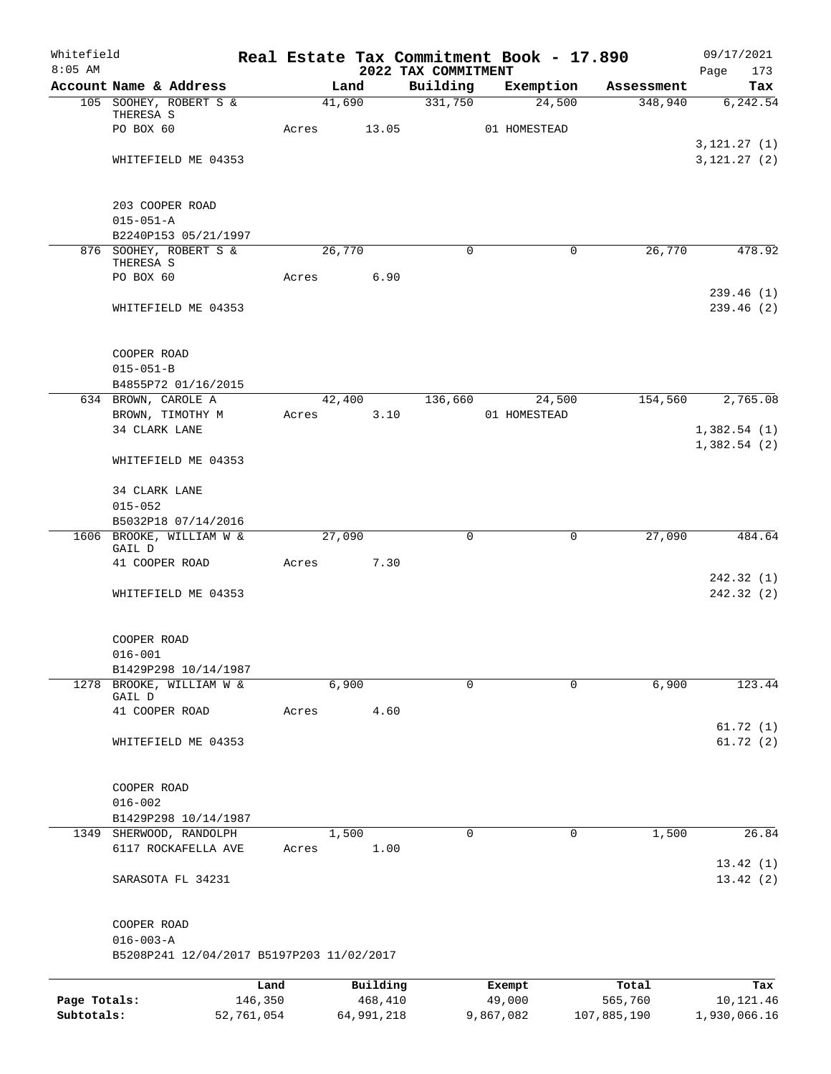| Whitefield<br>$8:05$ AM |                                           |                 |        |                     |                                 | Real Estate Tax Commitment Book - 17.890 |                  | 09/17/2021         |
|-------------------------|-------------------------------------------|-----------------|--------|---------------------|---------------------------------|------------------------------------------|------------------|--------------------|
|                         | Account Name & Address                    |                 | Land   |                     | 2022 TAX COMMITMENT<br>Building | Exemption                                | Assessment       | 173<br>Page<br>Tax |
|                         | 105 SOOHEY, ROBERT S &                    |                 | 41,690 |                     | 331,750                         | 24,500                                   | 348,940          | 6, 242.54          |
|                         | THERESA S                                 |                 |        |                     |                                 |                                          |                  |                    |
|                         | PO BOX 60                                 | Acres           |        | 13.05               |                                 | 01 HOMESTEAD                             |                  |                    |
|                         |                                           |                 |        |                     |                                 |                                          |                  | 3, 121.27 (1)      |
|                         | WHITEFIELD ME 04353                       |                 |        |                     |                                 |                                          |                  | 3, 121.27 (2)      |
|                         | 203 COOPER ROAD                           |                 |        |                     |                                 |                                          |                  |                    |
|                         | $015 - 051 - A$                           |                 |        |                     |                                 |                                          |                  |                    |
|                         | B2240P153 05/21/1997                      |                 |        |                     |                                 |                                          |                  |                    |
|                         | 876 SOOHEY, ROBERT S &<br>THERESA S       |                 | 26,770 |                     | $\Omega$                        | $\mathbf 0$                              | 26,770           | 478.92             |
|                         | PO BOX 60                                 | Acres           |        | 6.90                |                                 |                                          |                  |                    |
|                         |                                           |                 |        |                     |                                 |                                          |                  | 239.46(1)          |
|                         | WHITEFIELD ME 04353                       |                 |        |                     |                                 |                                          |                  | 239.46(2)          |
|                         | COOPER ROAD                               |                 |        |                     |                                 |                                          |                  |                    |
|                         | $015 - 051 - B$                           |                 |        |                     |                                 |                                          |                  |                    |
|                         | B4855P72 01/16/2015                       |                 |        |                     |                                 |                                          |                  |                    |
|                         | 634 BROWN, CAROLE A                       |                 | 42,400 |                     | 136,660                         | 24,500                                   | 154,560          | 2,765.08           |
|                         | BROWN, TIMOTHY M                          |                 | Acres  | 3.10                |                                 | 01 HOMESTEAD                             |                  |                    |
|                         | 34 CLARK LANE                             |                 |        |                     |                                 |                                          |                  | 1,382.54(1)        |
|                         | WHITEFIELD ME 04353                       |                 |        |                     |                                 |                                          |                  | 1,382.54(2)        |
|                         |                                           |                 |        |                     |                                 |                                          |                  |                    |
|                         | 34 CLARK LANE                             |                 |        |                     |                                 |                                          |                  |                    |
|                         | $015 - 052$                               |                 |        |                     |                                 |                                          |                  |                    |
|                         | B5032P18 07/14/2016                       |                 |        |                     |                                 |                                          |                  |                    |
|                         | 1606 BROOKE, WILLIAM W &<br>GAIL D        |                 | 27,090 |                     | $\mathbf 0$                     | 0                                        | 27,090           | 484.64             |
|                         | 41 COOPER ROAD                            | Acres           |        | 7.30                |                                 |                                          |                  |                    |
|                         |                                           |                 |        |                     |                                 |                                          |                  | 242.32(1)          |
|                         | WHITEFIELD ME 04353                       |                 |        |                     |                                 |                                          |                  | 242.32(2)          |
|                         | COOPER ROAD                               |                 |        |                     |                                 |                                          |                  |                    |
|                         | $016 - 001$                               |                 |        |                     |                                 |                                          |                  |                    |
|                         | B1429P298 10/14/1987                      |                 |        |                     |                                 |                                          |                  |                    |
|                         | 1278 BROOKE, WILLIAM W &                  |                 | 6,900  |                     | $\Omega$                        | $\Omega$                                 | 6,900            | 123.44             |
|                         | GAIL D                                    |                 |        |                     |                                 |                                          |                  |                    |
|                         | 41 COOPER ROAD                            | Acres           |        | 4.60                |                                 |                                          |                  | 61.72(1)           |
|                         | WHITEFIELD ME 04353                       |                 |        |                     |                                 |                                          |                  | 61.72(2)           |
|                         | COOPER ROAD                               |                 |        |                     |                                 |                                          |                  |                    |
|                         | $016 - 002$                               |                 |        |                     |                                 |                                          |                  |                    |
|                         | B1429P298 10/14/1987                      |                 |        |                     |                                 |                                          |                  |                    |
| 1349                    | SHERWOOD, RANDOLPH                        |                 | 1,500  |                     | $\Omega$                        | 0                                        | 1,500            | 26.84              |
|                         | 6117 ROCKAFELLA AVE                       | Acres           |        | 1.00                |                                 |                                          |                  |                    |
|                         |                                           |                 |        |                     |                                 |                                          |                  | 13.42(1)           |
|                         | SARASOTA FL 34231                         |                 |        |                     |                                 |                                          |                  | 13.42(2)           |
|                         | COOPER ROAD                               |                 |        |                     |                                 |                                          |                  |                    |
|                         | $016 - 003 - A$                           |                 |        |                     |                                 |                                          |                  |                    |
|                         | B5208P241 12/04/2017 B5197P203 11/02/2017 |                 |        |                     |                                 |                                          |                  |                    |
|                         |                                           |                 |        |                     |                                 |                                          |                  |                    |
| Page Totals:            |                                           | Land<br>146,350 |        | Building<br>468,410 |                                 | Exempt<br>49,000                         | Total<br>565,760 | Tax<br>10,121.46   |
|                         |                                           |                 |        |                     |                                 |                                          |                  |                    |

**Subtotals:** 52,761,054 64,991,218 9,867,082 107,885,190 1,930,066.16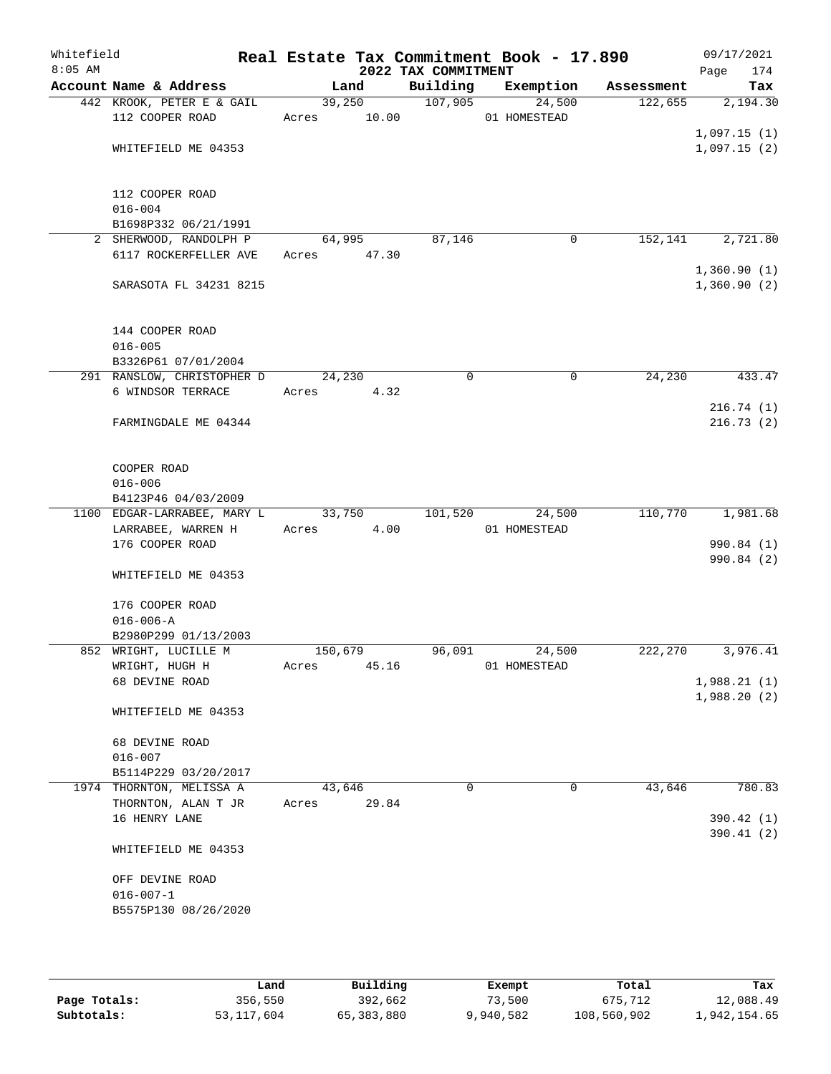| Whitefield<br>$8:05$ AM |                                                 |             |       | 2022 TAX COMMITMENT | Real Estate Tax Commitment Book - 17.890 |            | 09/17/2021<br>174<br>Page  |
|-------------------------|-------------------------------------------------|-------------|-------|---------------------|------------------------------------------|------------|----------------------------|
|                         | Account Name & Address                          | Land        |       | Building            | Exemption                                | Assessment | Tax                        |
|                         | 442 KROOK, PETER E & GAIL                       | 39,250      |       | 107,905             | 24,500                                   | 122,655    | 2,194.30                   |
|                         | 112 COOPER ROAD                                 | Acres 10.00 |       |                     | 01 HOMESTEAD                             |            |                            |
|                         |                                                 |             |       |                     |                                          |            | 1,097.15(1)                |
|                         | WHITEFIELD ME 04353                             |             |       |                     |                                          |            | 1,097.15(2)                |
|                         |                                                 |             |       |                     |                                          |            |                            |
|                         |                                                 |             |       |                     |                                          |            |                            |
|                         | 112 COOPER ROAD                                 |             |       |                     |                                          |            |                            |
|                         | $016 - 004$                                     |             |       |                     |                                          |            |                            |
|                         | B1698P332 06/21/1991                            |             |       |                     |                                          |            |                            |
|                         | 2 SHERWOOD, RANDOLPH P<br>6117 ROCKERFELLER AVE | 64,995      |       | 87,146              | 0                                        | 152,141    | 2,721.80                   |
|                         |                                                 | Acres 47.30 |       |                     |                                          |            |                            |
|                         | SARASOTA FL 34231 8215                          |             |       |                     |                                          |            | 1,360.90(1)<br>1,360.90(2) |
|                         |                                                 |             |       |                     |                                          |            |                            |
|                         |                                                 |             |       |                     |                                          |            |                            |
|                         | 144 COOPER ROAD                                 |             |       |                     |                                          |            |                            |
|                         | $016 - 005$                                     |             |       |                     |                                          |            |                            |
|                         | B3326P61 07/01/2004                             |             |       |                     |                                          |            |                            |
|                         | 291 RANSLOW, CHRISTOPHER D                      | 24,230      |       | 0                   | 0                                        | 24,230     | 433.47                     |
|                         | 6 WINDSOR TERRACE                               | Acres       | 4.32  |                     |                                          |            |                            |
|                         |                                                 |             |       |                     |                                          |            | 216.74(1)                  |
|                         | FARMINGDALE ME 04344                            |             |       |                     |                                          |            | 216.73(2)                  |
|                         |                                                 |             |       |                     |                                          |            |                            |
|                         |                                                 |             |       |                     |                                          |            |                            |
|                         | COOPER ROAD                                     |             |       |                     |                                          |            |                            |
|                         | $016 - 006$                                     |             |       |                     |                                          |            |                            |
|                         | B4123P46 04/03/2009                             |             |       |                     |                                          |            |                            |
|                         | 1100 EDGAR-LARRABEE, MARY L                     | 33,750      |       | 101,520             | 24,500                                   | 110,770    | 1,981.68                   |
|                         | LARRABEE, WARREN H                              | Acres       | 4.00  |                     | 01 HOMESTEAD                             |            |                            |
|                         | 176 COOPER ROAD                                 |             |       |                     |                                          |            | 990.84 (1)                 |
|                         |                                                 |             |       |                     |                                          |            | 990.84 (2)                 |
|                         | WHITEFIELD ME 04353                             |             |       |                     |                                          |            |                            |
|                         |                                                 |             |       |                     |                                          |            |                            |
|                         | 176 COOPER ROAD                                 |             |       |                     |                                          |            |                            |
|                         | $016 - 006 - A$                                 |             |       |                     |                                          |            |                            |
|                         | B2980P299 01/13/2003                            |             |       |                     |                                          |            |                            |
|                         | 852 WRIGHT, LUCILLE M                           | 150,679     |       | 96,091              | 24,500                                   | 222,270    | 3,976.41                   |
|                         | WRIGHT, HUGH H                                  | Acres       | 45.16 |                     | 01 HOMESTEAD                             |            |                            |
|                         | 68 DEVINE ROAD                                  |             |       |                     |                                          |            | 1,988.21(1)                |
|                         |                                                 |             |       |                     |                                          |            | 1,988.20(2)                |
|                         | WHITEFIELD ME 04353                             |             |       |                     |                                          |            |                            |
|                         |                                                 |             |       |                     |                                          |            |                            |
|                         | 68 DEVINE ROAD<br>$016 - 007$                   |             |       |                     |                                          |            |                            |
|                         | B5114P229 03/20/2017                            |             |       |                     |                                          |            |                            |
|                         | 1974 THORNTON, MELISSA A                        | 43,646      |       | $\Omega$            | 0                                        | 43,646     | 780.83                     |
|                         | THORNTON, ALAN T JR                             |             | 29.84 |                     |                                          |            |                            |
|                         | 16 HENRY LANE                                   | Acres       |       |                     |                                          |            | 390.42 (1)                 |
|                         |                                                 |             |       |                     |                                          |            | 390.41(2)                  |
|                         | WHITEFIELD ME 04353                             |             |       |                     |                                          |            |                            |
|                         |                                                 |             |       |                     |                                          |            |                            |
|                         | OFF DEVINE ROAD                                 |             |       |                     |                                          |            |                            |
|                         | $016 - 007 - 1$                                 |             |       |                     |                                          |            |                            |
|                         | B5575P130 08/26/2020                            |             |       |                     |                                          |            |                            |
|                         |                                                 |             |       |                     |                                          |            |                            |
|                         |                                                 |             |       |                     |                                          |            |                            |
|                         |                                                 |             |       |                     |                                          |            |                            |

|              | Land       | Building   | Exempt    | Total       | Tax          |
|--------------|------------|------------|-----------|-------------|--------------|
| Page Totals: | 356,550    | 392,662    | 73,500    | 675,712     | 12,088.49    |
| Subtotals:   | 53,117,604 | 65,383,880 | 9,940,582 | 108,560,902 | 1,942,154.65 |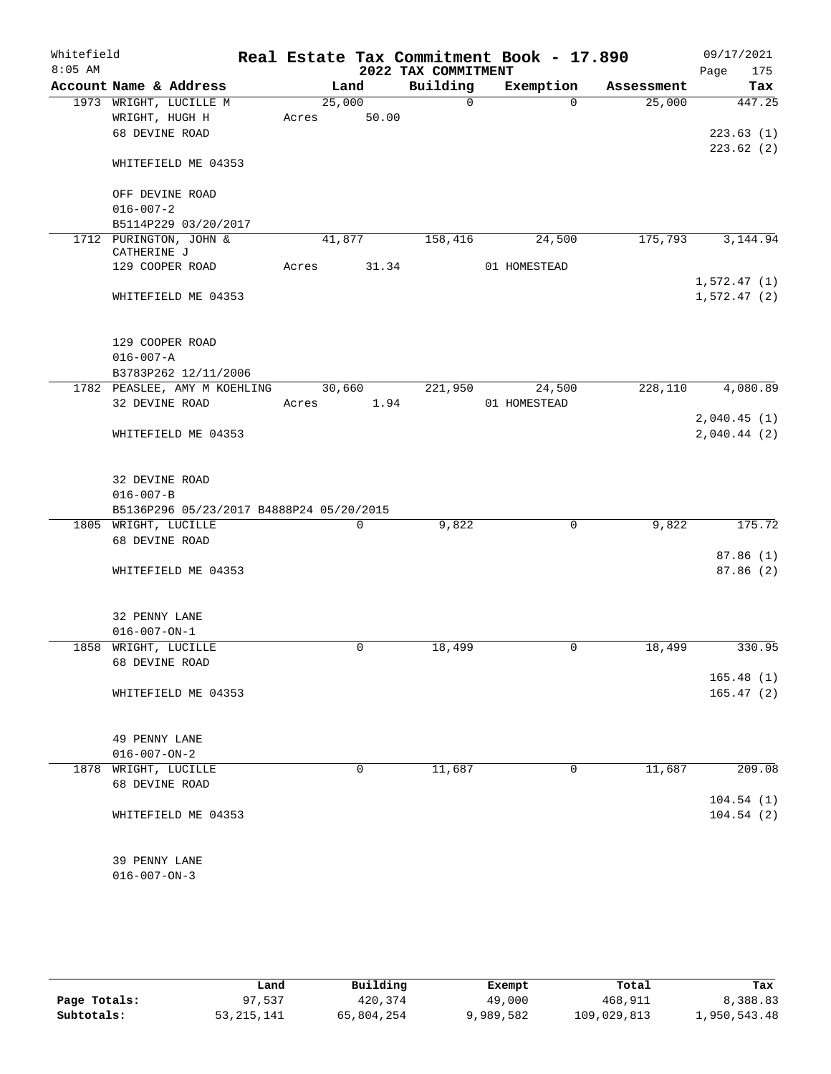| Whitefield |                                          |        |             |                     | Real Estate Tax Commitment Book - 17.890 |            | 09/17/2021  |
|------------|------------------------------------------|--------|-------------|---------------------|------------------------------------------|------------|-------------|
| $8:05$ AM  |                                          |        |             | 2022 TAX COMMITMENT |                                          |            | 175<br>Page |
|            | Account Name & Address                   |        | Land        | Building            | Exemption                                | Assessment | Tax         |
|            | 1973 WRIGHT, LUCILLE M                   | 25,000 |             | $\Omega$            | $\Omega$                                 | 25,000     | 447.25      |
|            | WRIGHT, HUGH H                           | Acres  | 50.00       |                     |                                          |            |             |
|            | 68 DEVINE ROAD                           |        |             |                     |                                          |            | 223.63(1)   |
|            |                                          |        |             |                     |                                          |            | 223.62(2)   |
|            | WHITEFIELD ME 04353                      |        |             |                     |                                          |            |             |
|            |                                          |        |             |                     |                                          |            |             |
|            | OFF DEVINE ROAD                          |        |             |                     |                                          |            |             |
|            | $016 - 007 - 2$                          |        |             |                     |                                          |            |             |
|            | B5114P229 03/20/2017                     |        |             |                     |                                          |            |             |
|            | 1712 PURINGTON, JOHN &<br>CATHERINE J    | 41,877 |             | 158,416             | 24,500                                   | 175,793    | 3,144.94    |
|            | 129 COOPER ROAD                          | Acres  | 31.34       |                     | 01 HOMESTEAD                             |            |             |
|            |                                          |        |             |                     |                                          |            | 1,572.47(1) |
|            | WHITEFIELD ME 04353                      |        |             |                     |                                          |            | 1,572.47(2) |
|            |                                          |        |             |                     |                                          |            |             |
|            |                                          |        |             |                     |                                          |            |             |
|            | 129 COOPER ROAD                          |        |             |                     |                                          |            |             |
|            | $016 - 007 - A$                          |        |             |                     |                                          |            |             |
|            | B3783P262 12/11/2006                     |        |             |                     |                                          |            |             |
|            | 1782 PEASLEE, AMY M KOEHLING             | 30,660 |             | 221,950             | 24,500                                   | 228,110    | 4,080.89    |
|            | 32 DEVINE ROAD                           | Acres  | 1.94        |                     | 01 HOMESTEAD                             |            |             |
|            |                                          |        |             |                     |                                          |            | 2,040.45(1) |
|            | WHITEFIELD ME 04353                      |        |             |                     |                                          |            | 2,040.44(2) |
|            |                                          |        |             |                     |                                          |            |             |
|            | 32 DEVINE ROAD                           |        |             |                     |                                          |            |             |
|            | $016 - 007 - B$                          |        |             |                     |                                          |            |             |
|            | B5136P296 05/23/2017 B4888P24 05/20/2015 |        |             |                     |                                          |            |             |
|            | 1805 WRIGHT, LUCILLE                     |        | $\mathbf 0$ | 9,822               | $\mathbf 0$                              | 9,822      | 175.72      |
|            | 68 DEVINE ROAD                           |        |             |                     |                                          |            |             |
|            |                                          |        |             |                     |                                          |            | 87.86(1)    |
|            | WHITEFIELD ME 04353                      |        |             |                     |                                          |            | 87.86(2)    |
|            |                                          |        |             |                     |                                          |            |             |
|            |                                          |        |             |                     |                                          |            |             |
|            | 32 PENNY LANE                            |        |             |                     |                                          |            |             |
|            | $016 - 007 - ON - 1$                     |        |             |                     |                                          |            |             |
|            | 1858 WRIGHT, LUCILLE                     |        | 0           | 18,499              | 0                                        | 18,499     | 330.95      |
|            | 68 DEVINE ROAD                           |        |             |                     |                                          |            |             |
|            |                                          |        |             |                     |                                          |            | 165.48(1)   |
|            | WHITEFIELD ME 04353                      |        |             |                     |                                          |            | 165.47(2)   |
|            |                                          |        |             |                     |                                          |            |             |
|            |                                          |        |             |                     |                                          |            |             |
|            | 49 PENNY LANE                            |        |             |                     |                                          |            |             |
|            | $016 - 007 - ON - 2$                     |        |             |                     |                                          |            |             |
| 1878       | WRIGHT, LUCILLE                          |        | 0           | 11,687              | 0                                        | 11,687     | 209.08      |
|            | 68 DEVINE ROAD                           |        |             |                     |                                          |            |             |
|            |                                          |        |             |                     |                                          |            | 104.54(1)   |
|            | WHITEFIELD ME 04353                      |        |             |                     |                                          |            | 104.54(2)   |
|            |                                          |        |             |                     |                                          |            |             |
|            |                                          |        |             |                     |                                          |            |             |
|            | 39 PENNY LANE                            |        |             |                     |                                          |            |             |
|            | $016 - 007 - ON - 3$                     |        |             |                     |                                          |            |             |

|              | Land         | Building   | Exempt    | Total       | Tax          |
|--------------|--------------|------------|-----------|-------------|--------------|
| Page Totals: | 97.537       | 420,374    | 49,000    | 468,911     | 8,388.83     |
| Subtotals:   | 53, 215, 141 | 65,804,254 | 9,989,582 | 109,029,813 | 1,950,543.48 |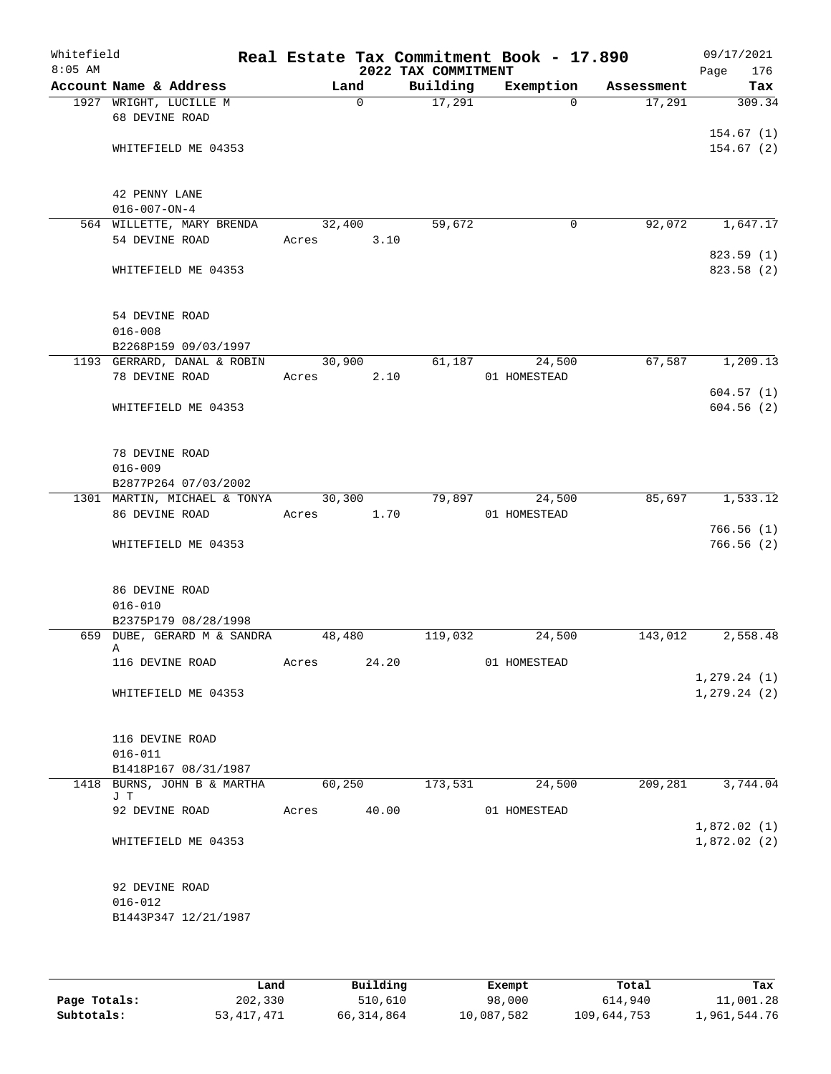| Whitefield<br>$8:05$ AM |                                    |        |             | 2022 TAX COMMITMENT | Real Estate Tax Commitment Book - 17.890 |            | 09/17/2021<br>176<br>Page    |
|-------------------------|------------------------------------|--------|-------------|---------------------|------------------------------------------|------------|------------------------------|
|                         | Account Name & Address             |        | Land        | Building            | Exemption                                | Assessment | Tax                          |
|                         | 1927 WRIGHT, LUCILLE M             |        | $\mathbf 0$ | 17,291              | $\Omega$                                 | 17,291     | 309.34                       |
|                         | 68 DEVINE ROAD                     |        |             |                     |                                          |            |                              |
|                         |                                    |        |             |                     |                                          |            | 154.67(1)                    |
|                         | WHITEFIELD ME 04353                |        |             |                     |                                          |            | 154.67(2)                    |
|                         |                                    |        |             |                     |                                          |            |                              |
|                         | 42 PENNY LANE                      |        |             |                     |                                          |            |                              |
|                         | $016 - 007 - ON - 4$               |        |             |                     |                                          |            |                              |
|                         | 564 WILLETTE, MARY BRENDA          | 32,400 |             | 59,672              | 0                                        | 92,072     | 1,647.17                     |
|                         | 54 DEVINE ROAD                     | Acres  | 3.10        |                     |                                          |            |                              |
|                         |                                    |        |             |                     |                                          |            | 823.59(1)                    |
|                         | WHITEFIELD ME 04353                |        |             |                     |                                          |            | 823.58 (2)                   |
|                         |                                    |        |             |                     |                                          |            |                              |
|                         |                                    |        |             |                     |                                          |            |                              |
|                         | 54 DEVINE ROAD<br>$016 - 008$      |        |             |                     |                                          |            |                              |
|                         | B2268P159 09/03/1997               |        |             |                     |                                          |            |                              |
|                         | 1193 GERRARD, DANAL & ROBIN        | 30,900 |             | 61,187              | 24,500                                   | 67,587     | 1,209.13                     |
|                         | 78 DEVINE ROAD                     | Acres  | 2.10        |                     | 01 HOMESTEAD                             |            |                              |
|                         |                                    |        |             |                     |                                          |            | 604.57(1)                    |
|                         | WHITEFIELD ME 04353                |        |             |                     |                                          |            | 604.56(2)                    |
|                         |                                    |        |             |                     |                                          |            |                              |
|                         |                                    |        |             |                     |                                          |            |                              |
|                         | 78 DEVINE ROAD<br>$016 - 009$      |        |             |                     |                                          |            |                              |
|                         | B2877P264 07/03/2002               |        |             |                     |                                          |            |                              |
|                         | 1301 MARTIN, MICHAEL & TONYA       | 30,300 |             | 79,897              | 24,500                                   | 85,697     | 1,533.12                     |
|                         | 86 DEVINE ROAD                     | Acres  | 1.70        |                     | 01 HOMESTEAD                             |            |                              |
|                         |                                    |        |             |                     |                                          |            | 766.56(1)                    |
|                         | WHITEFIELD ME 04353                |        |             |                     |                                          |            | 766.56 (2)                   |
|                         |                                    |        |             |                     |                                          |            |                              |
|                         | 86 DEVINE ROAD                     |        |             |                     |                                          |            |                              |
|                         | $016 - 010$                        |        |             |                     |                                          |            |                              |
|                         | B2375P179 08/28/1998               |        |             |                     |                                          |            |                              |
|                         | 659 DUBE, GERARD M & SANDRA        | 48,480 |             | 119,032             | 24,500                                   | 143,012    | 2,558.48                     |
|                         | Α                                  |        |             |                     |                                          |            |                              |
|                         | 116 DEVINE ROAD                    | Acres  | 24.20       |                     | 01 HOMESTEAD                             |            |                              |
|                         | WHITEFIELD ME 04353                |        |             |                     |                                          |            | 1, 279.24(1)<br>1, 279.24(2) |
|                         |                                    |        |             |                     |                                          |            |                              |
|                         |                                    |        |             |                     |                                          |            |                              |
|                         | 116 DEVINE ROAD                    |        |             |                     |                                          |            |                              |
|                         | $016 - 011$                        |        |             |                     |                                          |            |                              |
|                         | B1418P167 08/31/1987               |        |             |                     |                                          |            |                              |
|                         | 1418 BURNS, JOHN B & MARTHA<br>J T | 60,250 |             | 173,531             | 24,500                                   | 209,281    | 3,744.04                     |
|                         | 92 DEVINE ROAD                     | Acres  | 40.00       |                     | 01 HOMESTEAD                             |            |                              |
|                         |                                    |        |             |                     |                                          |            | 1,872.02(1)                  |
|                         | WHITEFIELD ME 04353                |        |             |                     |                                          |            | 1,872.02(2)                  |
|                         |                                    |        |             |                     |                                          |            |                              |
|                         |                                    |        |             |                     |                                          |            |                              |
|                         | 92 DEVINE ROAD                     |        |             |                     |                                          |            |                              |
|                         | $016 - 012$                        |        |             |                     |                                          |            |                              |
|                         | B1443P347 12/21/1987               |        |             |                     |                                          |            |                              |
|                         |                                    |        |             |                     |                                          |            |                              |

|              | Land         | Building   | Exempt     | Total       | Tax          |
|--------------|--------------|------------|------------|-------------|--------------|
| Page Totals: | 202,330      | 510,610    | 98,000     | 614,940     | 11,001.28    |
| Subtotals:   | 53, 417, 471 | 66,314,864 | 10,087,582 | 109,644,753 | 1,961,544.76 |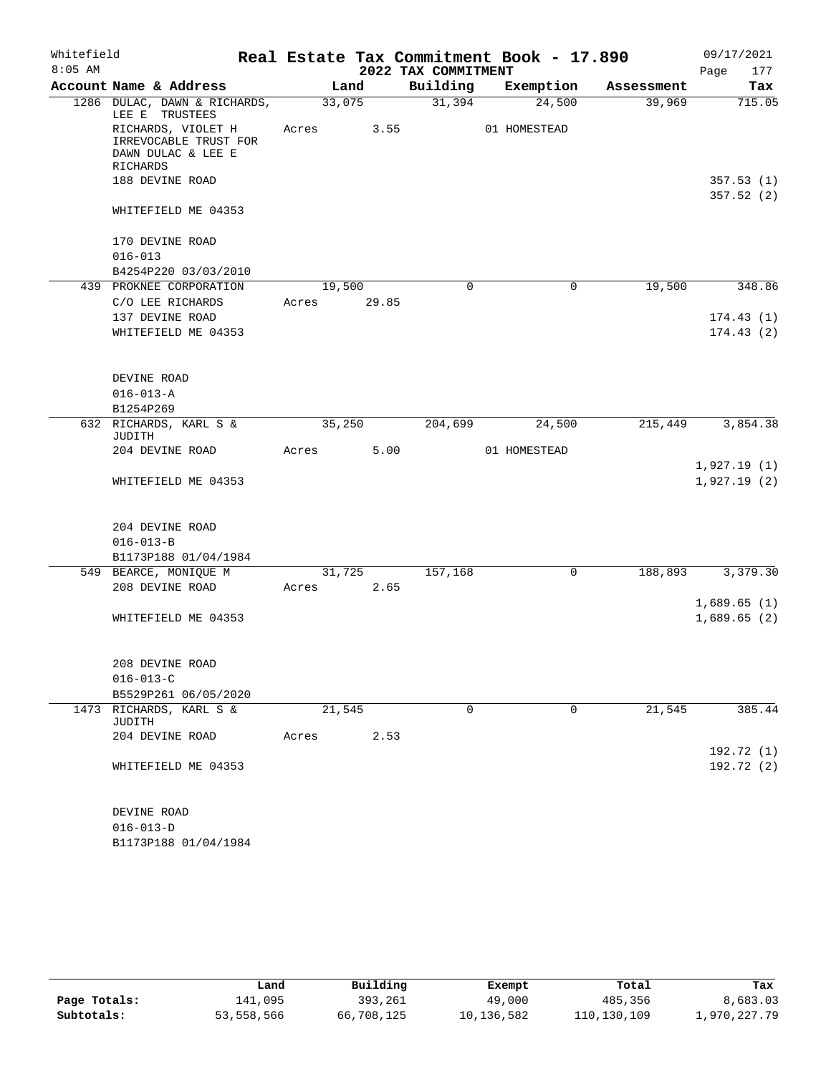| Whitefield |                                                                   |       |        |                     | Real Estate Tax Commitment Book - 17.890 |            | 09/17/2021  |
|------------|-------------------------------------------------------------------|-------|--------|---------------------|------------------------------------------|------------|-------------|
| $8:05$ AM  |                                                                   |       |        | 2022 TAX COMMITMENT |                                          |            | 177<br>Page |
|            | Account Name & Address                                            |       | Land   | Building            | Exemption                                | Assessment | Tax         |
|            | 1286 DULAC, DAWN & RICHARDS,<br>LEE E TRUSTEES                    |       | 33,075 | 31,394              | 24,500                                   | 39,969     | 715.05      |
|            | RICHARDS, VIOLET H<br>IRREVOCABLE TRUST FOR<br>DAWN DULAC & LEE E | Acres | 3.55   |                     | 01 HOMESTEAD                             |            |             |
|            | RICHARDS                                                          |       |        |                     |                                          |            |             |
|            | 188 DEVINE ROAD                                                   |       |        |                     |                                          |            | 357.53(1)   |
|            | WHITEFIELD ME 04353                                               |       |        |                     |                                          |            | 357.52(2)   |
|            | 170 DEVINE ROAD                                                   |       |        |                     |                                          |            |             |
|            | $016 - 013$                                                       |       |        |                     |                                          |            |             |
|            | B4254P220 03/03/2010<br>439 PROKNEE CORPORATION                   |       | 19,500 | $\Omega$            | 0                                        | 19,500     | 348.86      |
|            | C/O LEE RICHARDS                                                  | Acres | 29.85  |                     |                                          |            |             |
|            | 137 DEVINE ROAD                                                   |       |        |                     |                                          |            | 174.43(1)   |
|            | WHITEFIELD ME 04353                                               |       |        |                     |                                          |            | 174.43(2)   |
|            |                                                                   |       |        |                     |                                          |            |             |
|            | DEVINE ROAD                                                       |       |        |                     |                                          |            |             |
|            | $016 - 013 - A$                                                   |       |        |                     |                                          |            |             |
|            | B1254P269                                                         |       |        |                     |                                          |            |             |
|            | 632 RICHARDS, KARL S &                                            |       | 35,250 | 204,699             | 24,500                                   | 215,449    | 3,854.38    |
|            | JUDITH<br>204 DEVINE ROAD                                         | Acres | 5.00   |                     | 01 HOMESTEAD                             |            |             |
|            |                                                                   |       |        |                     |                                          |            | 1,927.19(1) |
|            | WHITEFIELD ME 04353                                               |       |        |                     |                                          |            | 1,927.19(2) |
|            |                                                                   |       |        |                     |                                          |            |             |
|            | 204 DEVINE ROAD<br>$016 - 013 - B$                                |       |        |                     |                                          |            |             |
|            | B1173P188 01/04/1984                                              |       |        |                     |                                          |            |             |
|            | 549 BEARCE, MONIQUE M                                             |       | 31,725 | 157,168             | $\mathbf 0$                              | 188,893    | 3,379.30    |
|            | 208 DEVINE ROAD                                                   | Acres | 2.65   |                     |                                          |            |             |
|            |                                                                   |       |        |                     |                                          |            | 1,689.65(1) |
|            | WHITEFIELD ME 04353                                               |       |        |                     |                                          |            | 1,689.65(2) |
|            |                                                                   |       |        |                     |                                          |            |             |
|            | 208 DEVINE ROAD                                                   |       |        |                     |                                          |            |             |
|            | $016 - 013 - C$                                                   |       |        |                     |                                          |            |             |
|            | B5529P261 06/05/2020                                              |       |        |                     |                                          |            |             |
|            | 1473 RICHARDS, KARL S &<br>JUDITH                                 |       | 21,545 | 0                   | 0                                        | 21,545     | 385.44      |
|            | 204 DEVINE ROAD                                                   | Acres | 2.53   |                     |                                          |            |             |
|            |                                                                   |       |        |                     |                                          |            | 192.72 (1)  |
|            | WHITEFIELD ME 04353                                               |       |        |                     |                                          |            | 192.72 (2)  |
|            | DEVINE ROAD                                                       |       |        |                     |                                          |            |             |
|            | $016 - 013 - D$                                                   |       |        |                     |                                          |            |             |
|            | B1173P188 01/04/1984                                              |       |        |                     |                                          |            |             |

|              | Land       | Building   | Exempt     | Total       | Tax          |
|--------------|------------|------------|------------|-------------|--------------|
| Page Totals: | 141,095    | 393,261    | 49,000     | 485,356     | 8,683.03     |
| Subtotals:   | 53,558,566 | 66,708,125 | 10,136,582 | 110,130,109 | 1,970,227.79 |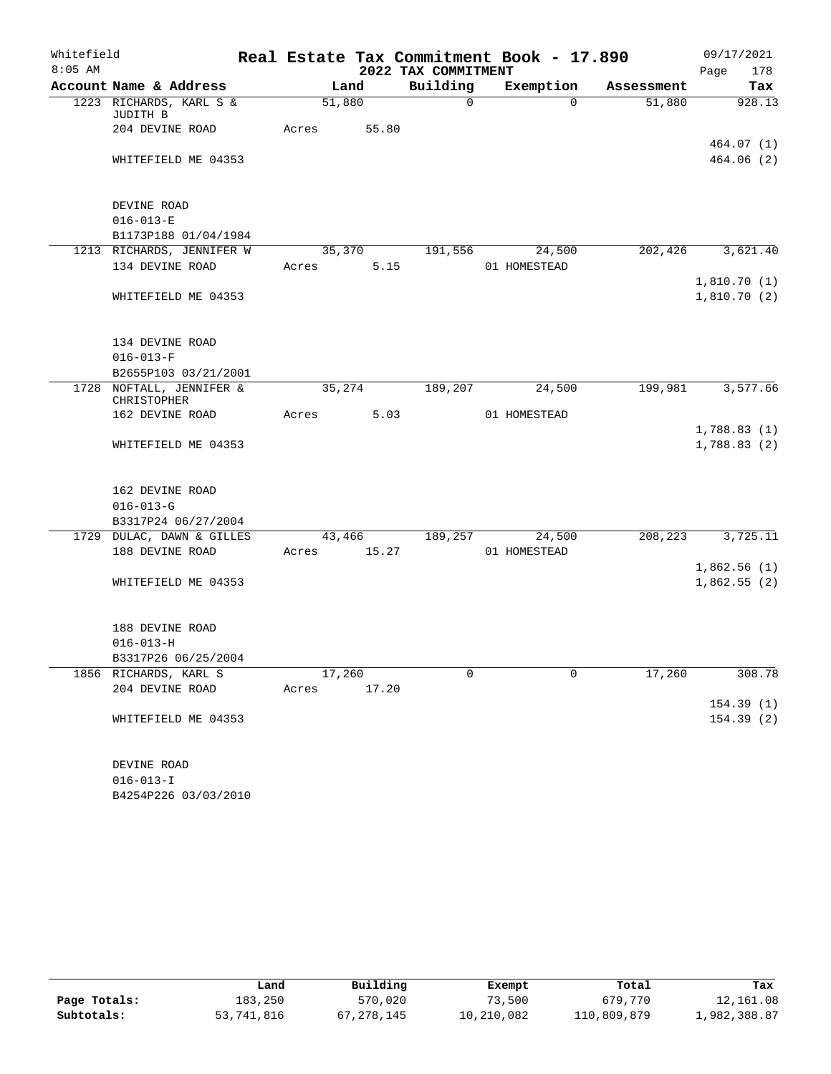| Whitefield |                                     |             |                     |        |                     | Real Estate Tax Commitment Book - 17.890 |            | 09/17/2021             |
|------------|-------------------------------------|-------------|---------------------|--------|---------------------|------------------------------------------|------------|------------------------|
| $8:05$ AM  |                                     |             |                     |        | 2022 TAX COMMITMENT |                                          |            | 178<br>Page            |
|            | Account Name & Address              |             | Land                |        | Building            | Exemption                                | Assessment | Tax                    |
|            | 1223 RICHARDS, KARL S &<br>JUDITH B |             | 51,880              |        | 0                   | $\Omega$                                 | 51,880     | 928.13                 |
|            | 204 DEVINE ROAD                     | Acres       |                     | 55.80  |                     |                                          |            |                        |
|            | WHITEFIELD ME 04353                 |             |                     |        |                     |                                          |            | 464.07(1)<br>464.06(2) |
|            |                                     |             |                     |        |                     |                                          |            |                        |
|            | DEVINE ROAD                         |             |                     |        |                     |                                          |            |                        |
|            | $016 - 013 - E$                     |             |                     |        |                     |                                          |            |                        |
|            | B1173P188 01/04/1984                |             |                     |        |                     |                                          |            |                        |
|            | 1213 RICHARDS, JENNIFER W           |             | $3\overline{5,370}$ |        | 191,556             | 24,500                                   | 202,426    | 3,621.40               |
|            | 134 DEVINE ROAD                     | Acres       |                     | 5.15   |                     | 01 HOMESTEAD                             |            |                        |
|            |                                     |             |                     |        |                     |                                          |            | 1,810.70(1)            |
|            | WHITEFIELD ME 04353                 |             |                     |        |                     |                                          |            | 1,810.70(2)            |
|            |                                     |             |                     |        |                     |                                          |            |                        |
|            | 134 DEVINE ROAD                     |             |                     |        |                     |                                          |            |                        |
|            | $016 - 013 - F$                     |             |                     |        |                     |                                          |            |                        |
|            | B2655P103 03/21/2001                |             |                     |        |                     |                                          |            |                        |
|            | 1728 NOFTALL, JENNIFER &            |             | 35,274              |        | 189,207             | 24,500                                   | 199,981    | 3,577.66               |
|            | CHRISTOPHER                         |             |                     |        |                     |                                          |            |                        |
|            | 162 DEVINE ROAD                     | Acres       |                     | 5.03   |                     | 01 HOMESTEAD                             |            |                        |
|            |                                     |             |                     |        |                     |                                          |            | 1,788.83(1)            |
|            | WHITEFIELD ME 04353                 |             |                     |        |                     |                                          |            | 1,788.83(2)            |
|            | 162 DEVINE ROAD                     |             |                     |        |                     |                                          |            |                        |
|            | $016 - 013 - G$                     |             |                     |        |                     |                                          |            |                        |
|            | B3317P24 06/27/2004                 |             |                     |        |                     |                                          |            |                        |
|            | 1729 DULAC, DAWN & GILLES           |             |                     | 43,466 | 189,257             | 24,500                                   | 208,223    | 3,725.11               |
|            | 188 DEVINE ROAD                     | Acres       |                     | 15.27  |                     | 01 HOMESTEAD                             |            |                        |
|            |                                     |             |                     |        |                     |                                          |            | 1,862.56(1)            |
|            | WHITEFIELD ME 04353                 |             |                     |        |                     |                                          |            | 1,862.55(2)            |
|            |                                     |             |                     |        |                     |                                          |            |                        |
|            | 188 DEVINE ROAD                     |             |                     |        |                     |                                          |            |                        |
|            | $016 - 013 - H$                     |             |                     |        |                     |                                          |            |                        |
|            | B3317P26 06/25/2004                 |             |                     |        |                     |                                          |            |                        |
|            | 1856 RICHARDS, KARL S               |             | 17,260              |        | 0                   | $\Omega$                                 | 17,260     | 308.78                 |
|            | 204 DEVINE ROAD                     | Acres 17.20 |                     |        |                     |                                          |            |                        |
|            |                                     |             |                     |        |                     |                                          |            | 154.39(1)              |
|            | WHITEFIELD ME 04353                 |             |                     |        |                     |                                          |            | 154.39(2)              |
|            |                                     |             |                     |        |                     |                                          |            |                        |
|            | DEVINE ROAD<br>$016 - 013 - I$      |             |                     |        |                     |                                          |            |                        |
|            |                                     |             |                     |        |                     |                                          |            |                        |

B4254P226 03/03/2010

|              | Land       | Building   | Exempt     | Total       | Tax          |
|--------------|------------|------------|------------|-------------|--------------|
| Page Totals: | 183,250    | 570,020    | 73,500     | 679,770     | 12,161.08    |
| Subtotals:   | 53,741,816 | , 278, 145 | 10,210,082 | 110,809,879 | 1,982,388.87 |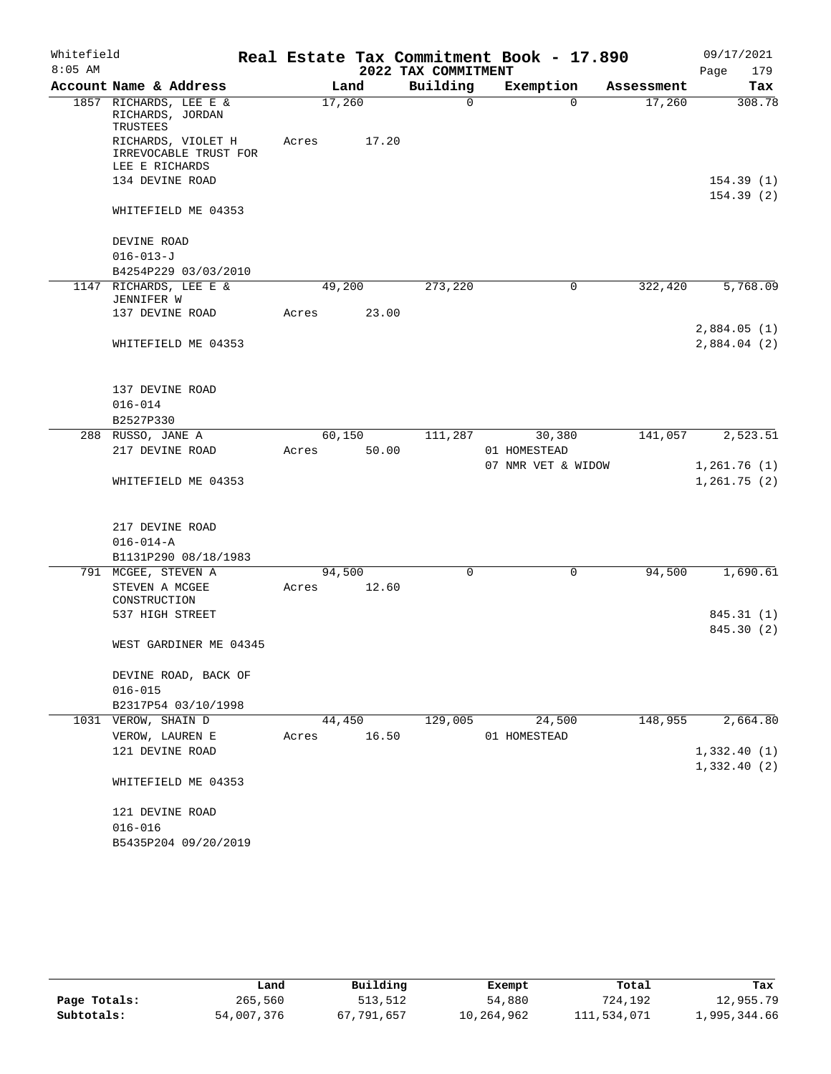|           | Whitefield                                                    |        |        |                     | Real Estate Tax Commitment Book - 17.890 |            | 09/17/2021                  |
|-----------|---------------------------------------------------------------|--------|--------|---------------------|------------------------------------------|------------|-----------------------------|
| $8:05$ AM |                                                               |        |        | 2022 TAX COMMITMENT |                                          |            | 179<br>Page                 |
|           | Account Name & Address                                        |        | Land   | Building            | Exemption                                | Assessment | Tax                         |
|           | 1857 RICHARDS, LEE E &<br>RICHARDS, JORDAN<br>TRUSTEES        | 17,260 |        | 0                   | $\Omega$                                 | 17,260     | 308.78                      |
|           | RICHARDS, VIOLET H<br>IRREVOCABLE TRUST FOR<br>LEE E RICHARDS | Acres  | 17.20  |                     |                                          |            |                             |
|           | 134 DEVINE ROAD                                               |        |        |                     |                                          |            | 154.39(1)                   |
|           |                                                               |        |        |                     |                                          |            | 154.39(2)                   |
|           | WHITEFIELD ME 04353                                           |        |        |                     |                                          |            |                             |
|           | DEVINE ROAD                                                   |        |        |                     |                                          |            |                             |
|           | $016 - 013 - J$                                               |        |        |                     |                                          |            |                             |
|           | B4254P229 03/03/2010                                          |        |        |                     |                                          |            |                             |
|           | 1147 RICHARDS, LEE E &<br>JENNIFER W                          |        | 49,200 | 273,220             | 0                                        | 322,420    | 5,768.09                    |
|           | 137 DEVINE ROAD                                               | Acres  | 23.00  |                     |                                          |            |                             |
|           | WHITEFIELD ME 04353                                           |        |        |                     |                                          |            | 2,884.05(1)<br>2,884.04 (2) |
|           | 137 DEVINE ROAD                                               |        |        |                     |                                          |            |                             |
|           | $016 - 014$                                                   |        |        |                     |                                          |            |                             |
|           | B2527P330                                                     |        |        |                     |                                          |            |                             |
|           | 288 RUSSO, JANE A                                             |        | 60,150 | 111,287             | 30,380                                   | 141,057    | 2,523.51                    |
|           | 217 DEVINE ROAD                                               | Acres  | 50.00  |                     | 01 HOMESTEAD                             |            |                             |
|           | WHITEFIELD ME 04353                                           |        |        |                     | 07 NMR VET & WIDOW                       |            | 1,261.76(1)<br>1,261.75(2)  |
|           | 217 DEVINE ROAD                                               |        |        |                     |                                          |            |                             |
|           | $016 - 014 - A$                                               |        |        |                     |                                          |            |                             |
|           | B1131P290 08/18/1983                                          |        |        |                     |                                          |            |                             |
|           | 791 MCGEE, STEVEN A                                           |        | 94,500 | $\Omega$            | $\mathbf 0$                              | 94,500     | 1,690.61                    |
|           | STEVEN A MCGEE<br>CONSTRUCTION                                | Acres  | 12.60  |                     |                                          |            |                             |
|           | 537 HIGH STREET                                               |        |        |                     |                                          |            | 845.31 (1)                  |
|           | WEST GARDINER ME 04345                                        |        |        |                     |                                          |            | 845.30 (2)                  |
|           |                                                               |        |        |                     |                                          |            |                             |
|           | DEVINE ROAD, BACK OF                                          |        |        |                     |                                          |            |                             |
|           | $016 - 015$                                                   |        |        |                     |                                          |            |                             |
|           | B2317P54 03/10/1998<br>1031 VEROW, SHAIN D                    |        | 44,450 | 129,005             | 24,500                                   | 148,955    | 2,664.80                    |
|           | VEROW, LAUREN E                                               | Acres  | 16.50  |                     | 01 HOMESTEAD                             |            |                             |
|           | 121 DEVINE ROAD                                               |        |        |                     |                                          |            | 1,332.40(1)                 |
|           |                                                               |        |        |                     |                                          |            | 1,332.40(2)                 |
|           | WHITEFIELD ME 04353                                           |        |        |                     |                                          |            |                             |
|           | 121 DEVINE ROAD                                               |        |        |                     |                                          |            |                             |
|           | $016 - 016$                                                   |        |        |                     |                                          |            |                             |
|           | B5435P204 09/20/2019                                          |        |        |                     |                                          |            |                             |

|              | Land       | Building   | Exempt     | Total       | Tax          |
|--------------|------------|------------|------------|-------------|--------------|
| Page Totals: | 265,560    | 513,512    | 54,880     | 724,192     | 12,955.79    |
| Subtotals:   | 54,007,376 | 67,791,657 | 10,264,962 | 111,534,071 | 1,995,344.66 |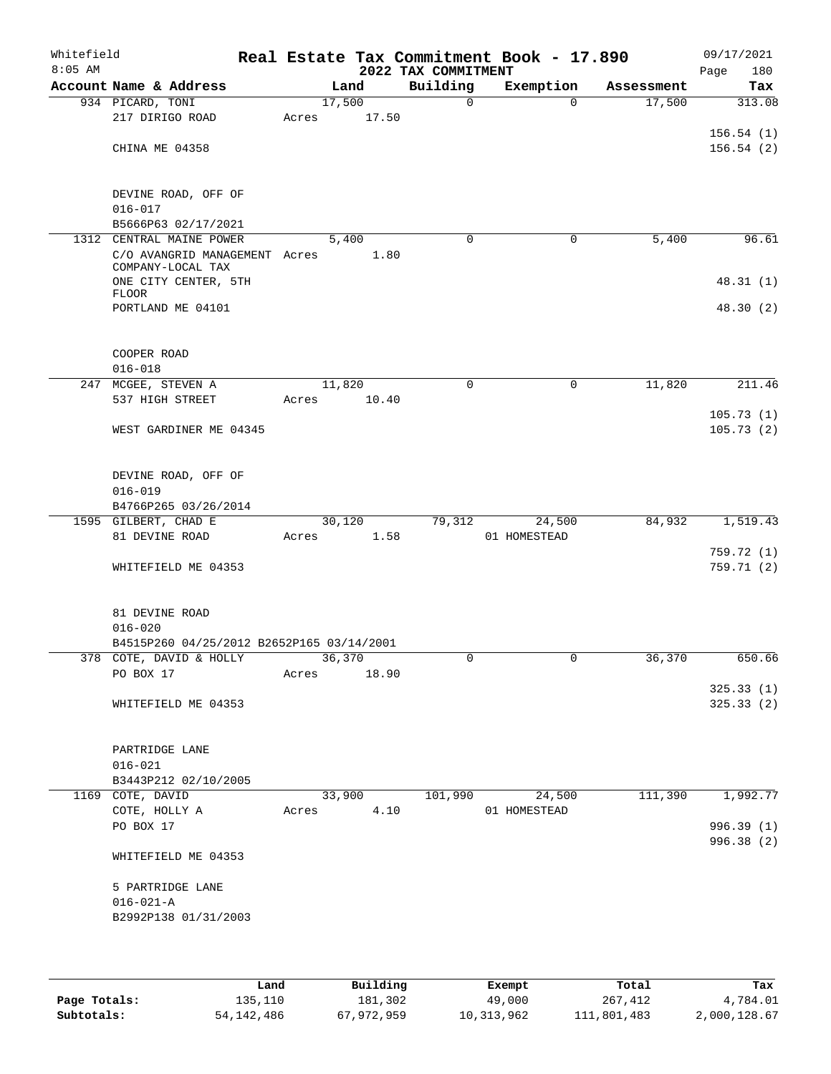| Whitefield<br>$8:05$ AM |                                                    |                       |        |      | 2022 TAX COMMITMENT | Real Estate Tax Commitment Book - 17.890 |            | 09/17/2021<br>180<br>Page |
|-------------------------|----------------------------------------------------|-----------------------|--------|------|---------------------|------------------------------------------|------------|---------------------------|
|                         | Account Name & Address                             |                       | Land   |      | Building            | Exemption                                | Assessment | Tax                       |
|                         | 934 PICARD, TONI                                   |                       | 17,500 |      | $\mathbf 0$         | $\Omega$                                 | 17,500     | 313.08                    |
|                         | 217 DIRIGO ROAD                                    | Acres                 | 17.50  |      |                     |                                          |            |                           |
|                         |                                                    |                       |        |      |                     |                                          |            | 156.54(1)                 |
|                         | CHINA ME 04358                                     |                       |        |      |                     |                                          |            | 156.54(2)                 |
|                         |                                                    |                       |        |      |                     |                                          |            |                           |
|                         |                                                    |                       |        |      |                     |                                          |            |                           |
|                         | DEVINE ROAD, OFF OF                                |                       |        |      |                     |                                          |            |                           |
|                         | $016 - 017$                                        |                       |        |      |                     |                                          |            |                           |
|                         | B5666P63 02/17/2021                                |                       |        |      |                     |                                          |            |                           |
|                         | 1312 CENTRAL MAINE POWER                           |                       | 5,400  |      | $\mathbf 0$         | 0                                        | 5,400      | 96.61                     |
|                         | C/O AVANGRID MANAGEMENT Acres<br>COMPANY-LOCAL TAX |                       | 1.80   |      |                     |                                          |            |                           |
|                         | ONE CITY CENTER, 5TH                               |                       |        |      |                     |                                          |            | 48.31(1)                  |
|                         | <b>FLOOR</b>                                       |                       |        |      |                     |                                          |            |                           |
|                         | PORTLAND ME 04101                                  |                       |        |      |                     |                                          |            | 48.30(2)                  |
|                         |                                                    |                       |        |      |                     |                                          |            |                           |
|                         |                                                    |                       |        |      |                     |                                          |            |                           |
|                         | COOPER ROAD                                        |                       |        |      |                     |                                          |            |                           |
|                         | $016 - 018$                                        |                       |        |      |                     |                                          |            |                           |
|                         | 247 MCGEE, STEVEN A                                |                       | 11,820 |      | $\Omega$            | 0                                        | 11,820     | 211.46                    |
|                         | 537 HIGH STREET                                    | Acres                 | 10.40  |      |                     |                                          |            |                           |
|                         |                                                    |                       |        |      |                     |                                          |            | 105.73(1)                 |
|                         | WEST GARDINER ME 04345                             |                       |        |      |                     |                                          |            | 105.73(2)                 |
|                         |                                                    |                       |        |      |                     |                                          |            |                           |
|                         |                                                    |                       |        |      |                     |                                          |            |                           |
|                         | DEVINE ROAD, OFF OF                                |                       |        |      |                     |                                          |            |                           |
|                         | $016 - 019$                                        |                       |        |      |                     |                                          |            |                           |
|                         | B4766P265 03/26/2014<br>1595 GILBERT, CHAD E       |                       | 30,120 |      | 79,312              | 24,500                                   | 84,932     | 1,519.43                  |
|                         | 81 DEVINE ROAD                                     | Acres                 | 1.58   |      |                     | 01 HOMESTEAD                             |            |                           |
|                         |                                                    |                       |        |      |                     |                                          |            | 759.72 (1)                |
|                         | WHITEFIELD ME 04353                                |                       |        |      |                     |                                          |            | 759.71(2)                 |
|                         |                                                    |                       |        |      |                     |                                          |            |                           |
|                         |                                                    |                       |        |      |                     |                                          |            |                           |
|                         | 81 DEVINE ROAD                                     |                       |        |      |                     |                                          |            |                           |
|                         | $016 - 020$                                        |                       |        |      |                     |                                          |            |                           |
|                         | B4515P260 04/25/2012 B2652P165 03/14/2001          |                       |        |      |                     |                                          |            |                           |
|                         | 378 COTE, DAVID & HOLLY                            | $\frac{36}{36}$ , 370 |        |      |                     |                                          | 36,370     | 650.66                    |
|                         | PO BOX 17                                          | Acres                 | 18.90  |      |                     |                                          |            |                           |
|                         |                                                    |                       |        |      |                     |                                          |            | 325.33(1)                 |
|                         | WHITEFIELD ME 04353                                |                       |        |      |                     |                                          |            | 325.33(2)                 |
|                         |                                                    |                       |        |      |                     |                                          |            |                           |
|                         |                                                    |                       |        |      |                     |                                          |            |                           |
|                         | PARTRIDGE LANE                                     |                       |        |      |                     |                                          |            |                           |
|                         | $016 - 021$                                        |                       |        |      |                     |                                          |            |                           |
|                         | B3443P212 02/10/2005                               |                       |        |      |                     |                                          |            |                           |
|                         | 1169 COTE, DAVID                                   |                       | 33,900 |      | 101,990             | 24,500                                   | 111,390    | 1,992.77                  |
|                         | COTE, HOLLY A                                      | Acres                 |        | 4.10 |                     | 01 HOMESTEAD                             |            |                           |
|                         | PO BOX 17                                          |                       |        |      |                     |                                          |            | 996.39 (1)                |
|                         | WHITEFIELD ME 04353                                |                       |        |      |                     |                                          |            | 996.38 (2)                |
|                         |                                                    |                       |        |      |                     |                                          |            |                           |
|                         | 5 PARTRIDGE LANE                                   |                       |        |      |                     |                                          |            |                           |
|                         | $016 - 021 - A$                                    |                       |        |      |                     |                                          |            |                           |
|                         | B2992P138 01/31/2003                               |                       |        |      |                     |                                          |            |                           |
|                         |                                                    |                       |        |      |                     |                                          |            |                           |
|                         |                                                    |                       |        |      |                     |                                          |            |                           |
|                         |                                                    |                       |        |      |                     |                                          |            |                           |

|              | Land       | Building   | Exempt     | Total       | Tax          |
|--------------|------------|------------|------------|-------------|--------------|
| Page Totals: | 135,110    | 181,302    | 49,000     | 267,412     | 4,784.01     |
| Subtotals:   | 54,142,486 | 67,972,959 | 10,313,962 | 111,801,483 | 2,000,128.67 |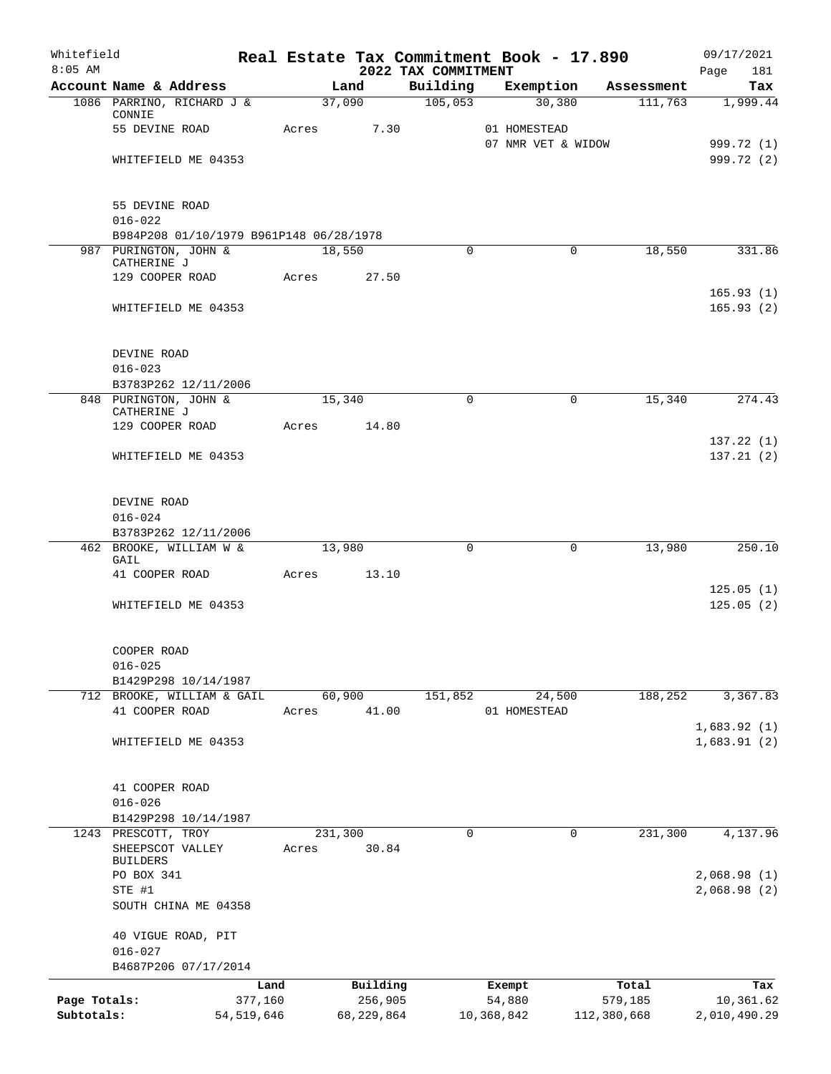| Whitefield<br>$8:05$ AM |                                                       |              | Real Estate Tax Commitment Book - 17.890 | 2022 TAX COMMITMENT |                                    |             |            | 09/17/2021<br>181<br>Page  |
|-------------------------|-------------------------------------------------------|--------------|------------------------------------------|---------------------|------------------------------------|-------------|------------|----------------------------|
|                         | Account Name & Address                                |              | Land                                     | Building            | Exemption                          |             | Assessment | Tax                        |
|                         | 1086 PARRINO, RICHARD J &<br>CONNIE                   |              | 37,090                                   | 105,053             |                                    | 30,380      | 111,763    | 1,999.44                   |
|                         | 55 DEVINE ROAD                                        | Acres        | 7.30                                     |                     | 01 HOMESTEAD<br>07 NMR VET & WIDOW |             |            |                            |
|                         | WHITEFIELD ME 04353                                   |              |                                          |                     |                                    |             |            | 999.72 (1)<br>999.72 (2)   |
|                         | 55 DEVINE ROAD<br>$016 - 022$                         |              |                                          |                     |                                    |             |            |                            |
|                         | B984P208 01/10/1979 B961P148 06/28/1978               |              |                                          |                     |                                    |             |            |                            |
|                         | 987 PURINGTON, JOHN &<br>CATHERINE J                  |              | 18,550                                   | 0                   |                                    | $\Omega$    | 18,550     | 331.86                     |
|                         | 129 COOPER ROAD                                       | Acres        | 27.50                                    |                     |                                    |             |            | 165.93(1)                  |
|                         | WHITEFIELD ME 04353                                   |              |                                          |                     |                                    |             |            | 165.93(2)                  |
|                         | DEVINE ROAD                                           |              |                                          |                     |                                    |             |            |                            |
|                         | $016 - 023$                                           |              |                                          |                     |                                    |             |            |                            |
|                         | B3783P262 12/11/2006                                  |              |                                          |                     |                                    |             |            |                            |
|                         | 848 PURINGTON, JOHN &<br>CATHERINE J                  |              | 15,340                                   | $\Omega$            |                                    | $\mathbf 0$ | 15,340     | 274.43                     |
|                         | 129 COOPER ROAD                                       | Acres        | 14.80                                    |                     |                                    |             |            | 137.22(1)                  |
|                         | WHITEFIELD ME 04353                                   |              |                                          |                     |                                    |             |            | 137.21(2)                  |
|                         | DEVINE ROAD                                           |              |                                          |                     |                                    |             |            |                            |
|                         | $016 - 024$                                           |              |                                          |                     |                                    |             |            |                            |
|                         | B3783P262 12/11/2006                                  |              |                                          |                     |                                    |             |            |                            |
|                         | 462 BROOKE, WILLIAM W &<br>GAIL                       |              | 13,980                                   | 0                   |                                    | $\mathbf 0$ | 13,980     | 250.10                     |
|                         | 41 COOPER ROAD                                        | Acres        | 13.10                                    |                     |                                    |             |            |                            |
|                         | WHITEFIELD ME 04353                                   |              |                                          |                     |                                    |             |            | 125.05(1)<br>125.05(2)     |
|                         | COOPER ROAD<br>$016 - 025$                            |              |                                          |                     |                                    |             |            |                            |
|                         | B1429P298 10/14/1987                                  |              |                                          |                     |                                    |             |            |                            |
| 712                     | BROOKE, WILLIAM & GAIL                                |              | 60,900                                   | 151,852             | 24,500                             |             | 188,252    | 3,367.83                   |
|                         | 41 COOPER ROAD                                        | Acres        | 41.00                                    |                     | 01 HOMESTEAD                       |             |            |                            |
|                         | WHITEFIELD ME 04353                                   |              |                                          |                     |                                    |             |            | 1,683.92(1)<br>1,683.91(2) |
|                         | 41 COOPER ROAD                                        |              |                                          |                     |                                    |             |            |                            |
|                         | $016 - 026$                                           |              |                                          |                     |                                    |             |            |                            |
|                         | B1429P298 10/14/1987                                  |              |                                          |                     |                                    |             |            |                            |
| 1243                    | PRESCOTT, TROY<br>SHEEPSCOT VALLEY<br><b>BUILDERS</b> | Acres        | 231,300<br>30.84                         | 0                   |                                    | 0           | 231,300    | 4,137.96                   |
|                         | PO BOX 341                                            |              |                                          |                     |                                    |             |            | 2,068.98(1)                |
|                         | STE #1<br>SOUTH CHINA ME 04358                        |              |                                          |                     |                                    |             |            | 2,068.98(2)                |
|                         | 40 VIGUE ROAD, PIT                                    |              |                                          |                     |                                    |             |            |                            |
|                         | $016 - 027$<br>B4687P206 07/17/2014                   |              |                                          |                     |                                    |             |            |                            |
|                         |                                                       | Land         | Building                                 |                     | Exempt                             |             | Total      | Tax                        |
| Page Totals:            |                                                       | 377,160      | 256,905                                  |                     | 54,880                             |             | 579,185    | 10,361.62                  |
| Subtotals:              |                                                       | 54, 519, 646 | 68,229,864                               |                     | 10,368,842                         | 112,380,668 |            | 2,010,490.29               |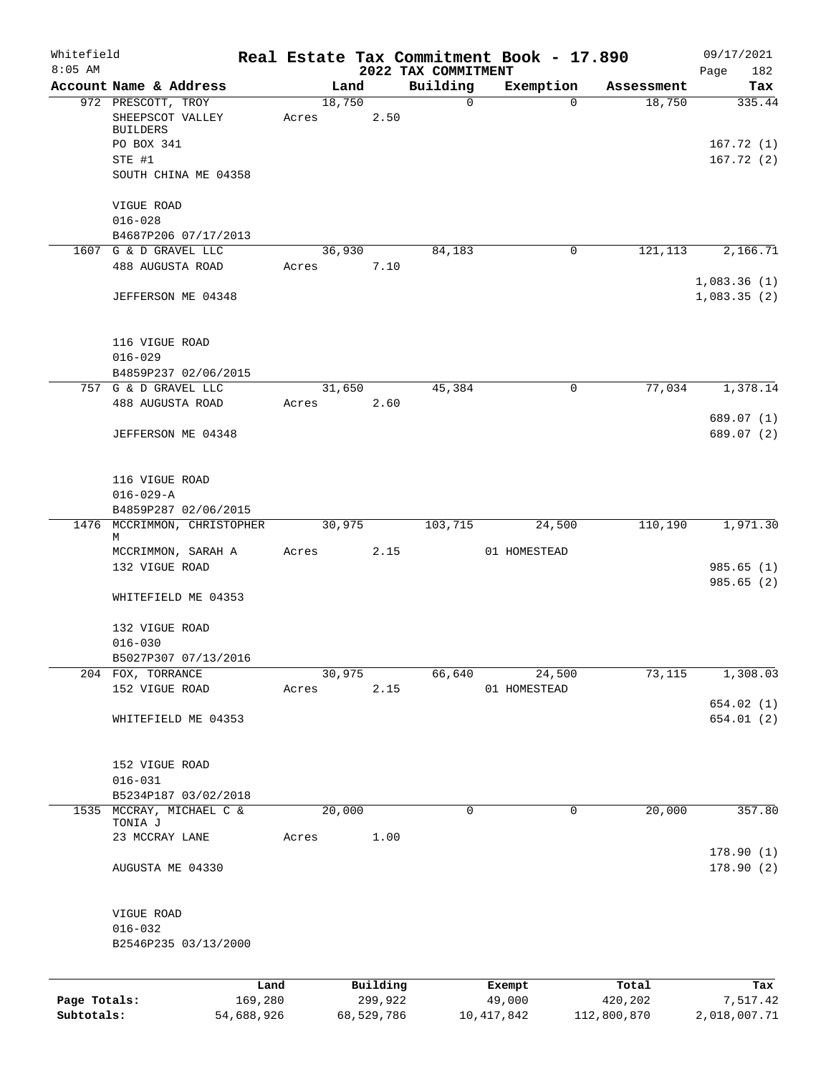| Whitefield<br>$8:05$ AM |                                               |                 |        |                     | 2022 TAX COMMITMENT | Real Estate Tax Commitment Book - 17.890 |                  | 09/17/2021<br>182<br>Page |
|-------------------------|-----------------------------------------------|-----------------|--------|---------------------|---------------------|------------------------------------------|------------------|---------------------------|
|                         | Account Name & Address                        |                 | Land   |                     | Building            | Exemption                                | Assessment       | Tax                       |
|                         | 972 PRESCOTT, TROY                            |                 | 18,750 |                     | $\mathbf 0$         | $\Omega$                                 | 18,750           | 335.44                    |
|                         | SHEEPSCOT VALLEY                              | Acres           |        | 2.50                |                     |                                          |                  |                           |
|                         | <b>BUILDERS</b>                               |                 |        |                     |                     |                                          |                  |                           |
|                         | PO BOX 341                                    |                 |        |                     |                     |                                          |                  | 167.72(1)                 |
|                         | STE #1                                        |                 |        |                     |                     |                                          |                  | 167.72(2)                 |
|                         | SOUTH CHINA ME 04358                          |                 |        |                     |                     |                                          |                  |                           |
|                         | VIGUE ROAD                                    |                 |        |                     |                     |                                          |                  |                           |
|                         | $016 - 028$                                   |                 |        |                     |                     |                                          |                  |                           |
|                         | B4687P206 07/17/2013<br>1607 G & D GRAVEL LLC |                 | 36,930 |                     | 84,183              | $\mathbf 0$                              | 121,113          | 2,166.71                  |
|                         | 488 AUGUSTA ROAD                              | Acres           |        | 7.10                |                     |                                          |                  |                           |
|                         |                                               |                 |        |                     |                     |                                          |                  | 1,083.36(1)               |
|                         | JEFFERSON ME 04348                            |                 |        |                     |                     |                                          |                  | 1,083.35(2)               |
|                         |                                               |                 |        |                     |                     |                                          |                  |                           |
|                         | 116 VIGUE ROAD                                |                 |        |                     |                     |                                          |                  |                           |
|                         | $016 - 029$                                   |                 |        |                     |                     |                                          |                  |                           |
|                         | B4859P237 02/06/2015                          |                 |        |                     |                     |                                          |                  |                           |
|                         | 757 G & D GRAVEL LLC                          |                 | 31,650 |                     | 45,384              | $\mathsf{O}$                             | 77,034           | 1,378.14                  |
|                         | 488 AUGUSTA ROAD                              | Acres           |        | 2.60                |                     |                                          |                  |                           |
|                         |                                               |                 |        |                     |                     |                                          |                  | 689.07 (1)                |
|                         | JEFFERSON ME 04348                            |                 |        |                     |                     |                                          |                  | 689.07 (2)                |
|                         | 116 VIGUE ROAD                                |                 |        |                     |                     |                                          |                  |                           |
|                         | $016 - 029 - A$                               |                 |        |                     |                     |                                          |                  |                           |
|                         | B4859P287 02/06/2015                          |                 |        |                     |                     |                                          |                  |                           |
| 1476                    | MCCRIMMON, CHRISTOPHER                        |                 | 30,975 |                     | 103,715             | 24,500                                   | 110,190          | 1,971.30                  |
|                         | М                                             |                 |        |                     |                     |                                          |                  |                           |
|                         | MCCRIMMON, SARAH A                            | Acres           |        | 2.15                |                     | 01 HOMESTEAD                             |                  |                           |
|                         | 132 VIGUE ROAD                                |                 |        |                     |                     |                                          |                  | 985.65(1)                 |
|                         |                                               |                 |        |                     |                     |                                          |                  | 985.65(2)                 |
|                         | WHITEFIELD ME 04353                           |                 |        |                     |                     |                                          |                  |                           |
|                         | 132 VIGUE ROAD                                |                 |        |                     |                     |                                          |                  |                           |
|                         | $016 - 030$                                   |                 |        |                     |                     |                                          |                  |                           |
|                         | B5027P307 07/13/2016                          |                 |        |                     |                     |                                          |                  |                           |
|                         | 204 FOX, TORRANCE                             |                 | 30,975 |                     | 66,640              | 24,500                                   | 73,115           | 1,308.03                  |
|                         | 152 VIGUE ROAD                                | Acres           |        | 2.15                |                     | 01 HOMESTEAD                             |                  |                           |
|                         |                                               |                 |        |                     |                     |                                          |                  | 654.02(1)                 |
|                         | WHITEFIELD ME 04353                           |                 |        |                     |                     |                                          |                  | 654.01 (2)                |
|                         |                                               |                 |        |                     |                     |                                          |                  |                           |
|                         | 152 VIGUE ROAD                                |                 |        |                     |                     |                                          |                  |                           |
|                         | $016 - 031$                                   |                 |        |                     |                     |                                          |                  |                           |
|                         | B5234P187 03/02/2018                          |                 |        |                     |                     |                                          |                  |                           |
| 1535                    | MCCRAY, MICHAEL C &                           |                 | 20,000 |                     | $\mathbf 0$         | $\mathbf 0$                              | 20,000           | 357.80                    |
|                         | TONIA J                                       |                 |        |                     |                     |                                          |                  |                           |
|                         | 23 MCCRAY LANE                                | Acres           |        | 1.00                |                     |                                          |                  |                           |
|                         | AUGUSTA ME 04330                              |                 |        |                     |                     |                                          |                  | 178.90(1)<br>178.90(2)    |
|                         |                                               |                 |        |                     |                     |                                          |                  |                           |
|                         | VIGUE ROAD                                    |                 |        |                     |                     |                                          |                  |                           |
|                         | $016 - 032$                                   |                 |        |                     |                     |                                          |                  |                           |
|                         | B2546P235 03/13/2000                          |                 |        |                     |                     |                                          |                  |                           |
|                         |                                               |                 |        |                     |                     |                                          |                  |                           |
| Page Totals:            |                                               | Land<br>169,280 |        | Building<br>299,922 |                     | Exempt<br>49,000                         | Total<br>420,202 | Tax<br>7,517.42           |
| Subtotals:              |                                               | 54,688,926      |        | 68,529,786          |                     | 10, 417, 842                             | 112,800,870      | 2,018,007.71              |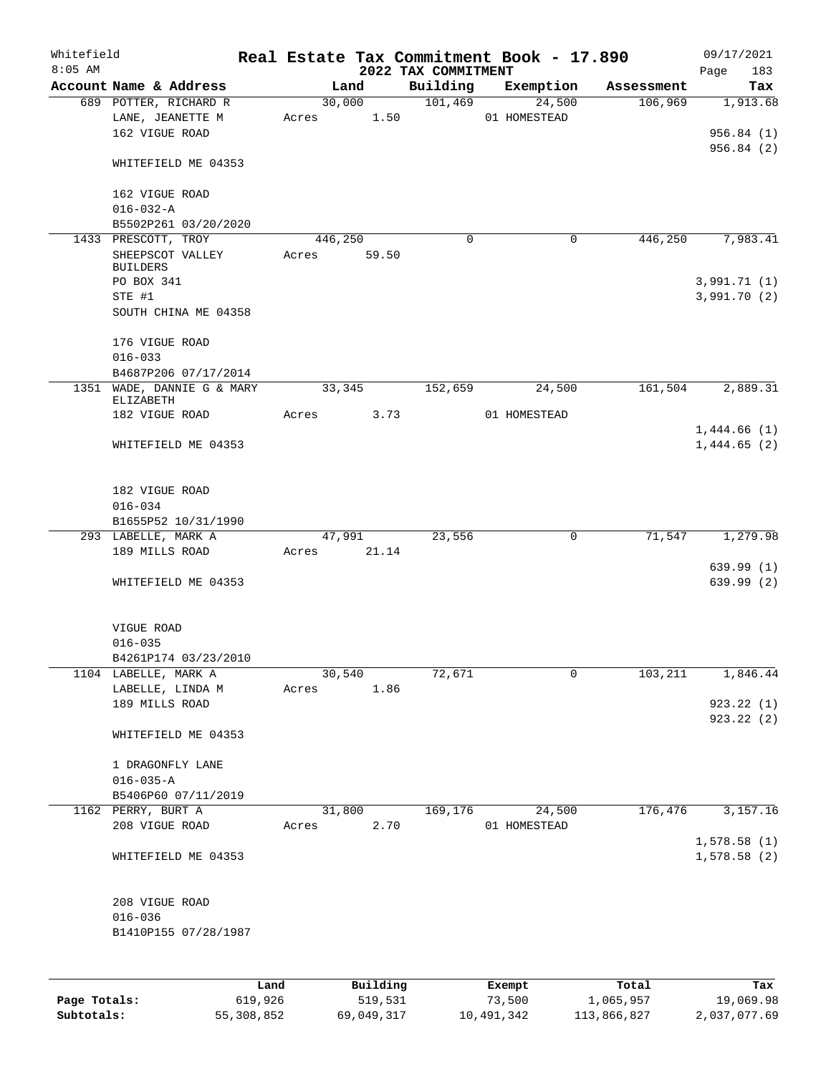| Whitefield |                                                   |      |       |         |             | Real Estate Tax Commitment Book - 17.890 |              |             |            | 09/17/2021                 |     |
|------------|---------------------------------------------------|------|-------|---------|-------------|------------------------------------------|--------------|-------------|------------|----------------------------|-----|
| $8:05$ AM  | Account Name & Address                            |      |       | Land    |             | 2022 TAX COMMITMENT<br>Building          |              | Exemption   | Assessment | 183<br>Page<br>Tax         |     |
|            | 689 POTTER, RICHARD R                             |      |       | 30,000  |             | 101,469                                  |              | 24,500      | 106,969    | 1,913.68                   |     |
|            | LANE, JEANETTE M<br>162 VIGUE ROAD                |      |       |         | Acres 1.50  |                                          | 01 HOMESTEAD |             |            | 956.84(1)                  |     |
|            | WHITEFIELD ME 04353                               |      |       |         |             |                                          |              |             |            | 956.84(2)                  |     |
|            | 162 VIGUE ROAD<br>$016 - 032 - A$                 |      |       |         |             |                                          |              |             |            |                            |     |
|            | B5502P261 03/20/2020                              |      |       |         |             |                                          |              |             |            |                            |     |
|            | 1433 PRESCOTT, TROY                               |      |       | 446,250 |             | $\mathbf 0$                              |              | $\mathbf 0$ | 446,250    | 7,983.41                   |     |
|            | SHEEPSCOT VALLEY<br><b>BUILDERS</b><br>PO BOX 341 |      | Acres |         | 59.50       |                                          |              |             |            | 3,991.71(1)                |     |
|            | STE #1                                            |      |       |         |             |                                          |              |             |            | 3,991.70 (2)               |     |
|            | SOUTH CHINA ME 04358                              |      |       |         |             |                                          |              |             |            |                            |     |
|            | 176 VIGUE ROAD<br>$016 - 033$                     |      |       |         |             |                                          |              |             |            |                            |     |
|            | B4687P206 07/17/2014                              |      |       |         |             |                                          |              |             |            |                            |     |
|            | 1351 WADE, DANNIE G & MARY<br>ELIZABETH           |      |       | 33,345  |             | 152,659                                  |              | 24,500      | 161,504    | 2,889.31                   |     |
|            | 182 VIGUE ROAD                                    |      | Acres |         | 3.73        |                                          | 01 HOMESTEAD |             |            |                            |     |
|            | WHITEFIELD ME 04353                               |      |       |         |             |                                          |              |             |            | 1,444.66(1)<br>1,444.65(2) |     |
|            | 182 VIGUE ROAD                                    |      |       |         |             |                                          |              |             |            |                            |     |
|            | $016 - 034$<br>B1655P52 10/31/1990                |      |       |         |             |                                          |              |             |            |                            |     |
|            | 293 LABELLE, MARK A                               |      |       |         | 47,991      | 23,556                                   |              | 0           | 71,547     | 1,279.98                   |     |
|            | 189 MILLS ROAD                                    |      |       |         | Acres 21.14 |                                          |              |             |            |                            |     |
|            |                                                   |      |       |         |             |                                          |              |             |            | 639.99(1)                  |     |
|            | WHITEFIELD ME 04353                               |      |       |         |             |                                          |              |             |            | 639.99(2)                  |     |
|            | VIGUE ROAD                                        |      |       |         |             |                                          |              |             |            |                            |     |
|            | $016 - 035$<br>B4261P174 03/23/2010               |      |       |         |             |                                          |              |             |            |                            |     |
|            | 1104 LABELLE, MARK A                              |      |       | 30,540  |             | 72,671                                   |              | 0           | 103,211    | 1,846.44                   |     |
|            | LABELLE, LINDA M                                  |      | Acres |         | 1.86        |                                          |              |             |            |                            |     |
|            | 189 MILLS ROAD                                    |      |       |         |             |                                          |              |             |            | 923.22(1)                  |     |
|            | WHITEFIELD ME 04353                               |      |       |         |             |                                          |              |             |            | 923.22 (2)                 |     |
|            | 1 DRAGONFLY LANE                                  |      |       |         |             |                                          |              |             |            |                            |     |
|            | $016 - 035 - A$                                   |      |       |         |             |                                          |              |             |            |                            |     |
|            | B5406P60 07/11/2019<br>1162 PERRY, BURT A         |      |       | 31,800  |             | 169,176                                  |              | 24,500      | 176,476    | 3,157.16                   |     |
|            | 208 VIGUE ROAD                                    |      | Acres |         | 2.70        |                                          | 01 HOMESTEAD |             |            | 1,578.58(1)                |     |
|            | WHITEFIELD ME 04353                               |      |       |         |             |                                          |              |             |            | 1,578.58(2)                |     |
|            | 208 VIGUE ROAD                                    |      |       |         |             |                                          |              |             |            |                            |     |
|            | $016 - 036$                                       |      |       |         |             |                                          |              |             |            |                            |     |
|            | B1410P155 07/28/1987                              |      |       |         |             |                                          |              |             |            |                            |     |
|            |                                                   | Land |       |         | Building    |                                          | Exempt       |             | Total      |                            | Tax |

|              | nana       | <u>DULLULUM</u> | <b>BY CITING</b> | ----        | $-0.2$       |
|--------------|------------|-----------------|------------------|-------------|--------------|
| Page Totals: | 619,926    | 519,531         | 73,500           | 1,065,957   | 19,069.98    |
| Subtotals:   | 55,308,852 | 69,049,317      | 10,491,342       | 113,866,827 | 2,037,077.69 |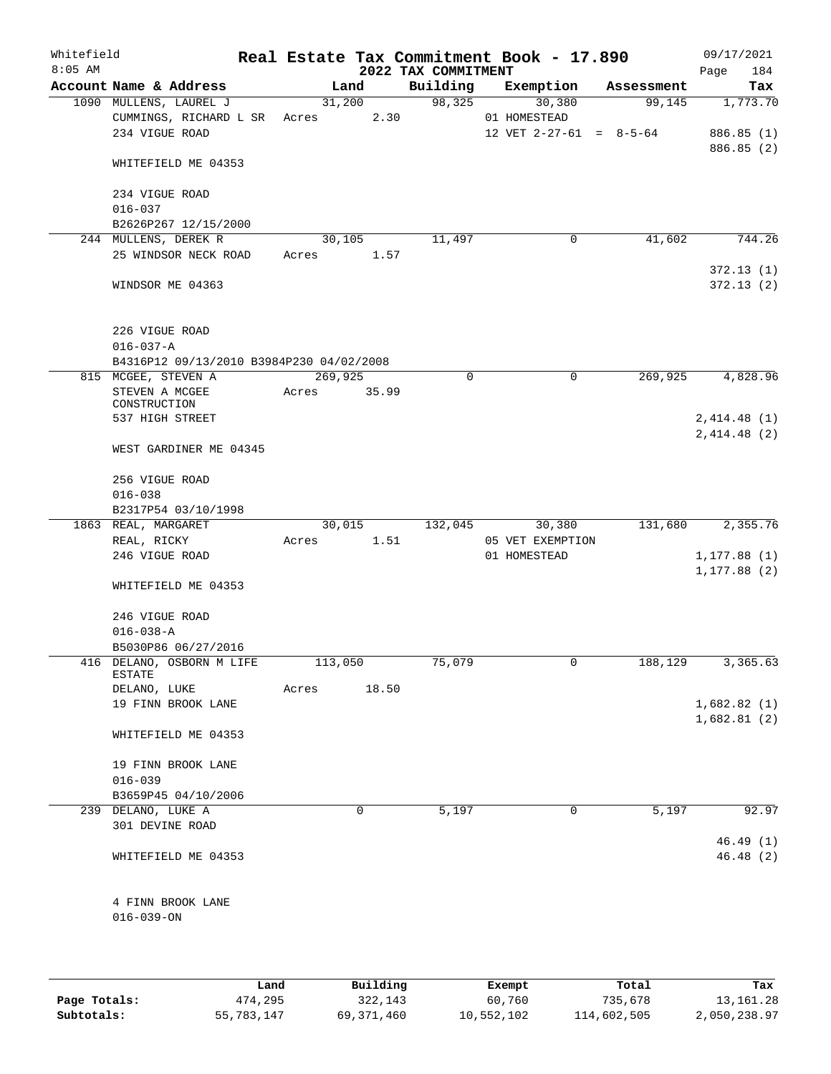| Whitefield<br>$8:05$ AM |                                                  |         |                | 2022 TAX COMMITMENT | Real Estate Tax Commitment Book - 17.890 |            | 09/17/2021<br>Page<br>184  |
|-------------------------|--------------------------------------------------|---------|----------------|---------------------|------------------------------------------|------------|----------------------------|
|                         | Account Name & Address                           |         | Land           | Building            | Exemption                                | Assessment | Tax                        |
|                         | 1090 MULLENS, LAUREL J<br>CUMMINGS, RICHARD L SR | Acres   | 31,200<br>2.30 | 98,325              | 30,380<br>01 HOMESTEAD                   | 99,145     | 1,773.70                   |
|                         | 234 VIGUE ROAD                                   |         |                |                     | 12 VET $2-27-61 = 8-5-64$                |            | 886.85(1)<br>886.85 (2)    |
|                         | WHITEFIELD ME 04353                              |         |                |                     |                                          |            |                            |
|                         | 234 VIGUE ROAD<br>$016 - 037$                    |         |                |                     |                                          |            |                            |
|                         | B2626P267 12/15/2000                             |         |                |                     |                                          |            |                            |
|                         | 244 MULLENS, DEREK R                             |         | 30,105         | 11,497              | $\mathbf 0$                              | 41,602     | 744.26                     |
|                         | 25 WINDSOR NECK ROAD                             | Acres   | 1.57           |                     |                                          |            | 372.13(1)                  |
|                         | WINDSOR ME 04363                                 |         |                |                     |                                          |            | 372.13(2)                  |
|                         | 226 VIGUE ROAD<br>$016 - 037 - A$                |         |                |                     |                                          |            |                            |
|                         | B4316P12 09/13/2010 B3984P230 04/02/2008         |         |                |                     |                                          |            |                            |
|                         | 815 MCGEE, STEVEN A                              | 269,925 |                | 0                   | 0                                        | 269,925    | 4,828.96                   |
|                         | STEVEN A MCGEE<br>CONSTRUCTION                   | Acres   | 35.99          |                     |                                          |            |                            |
|                         | 537 HIGH STREET                                  |         |                |                     |                                          |            | 2,414.48(1)<br>2,414.48(2) |
|                         | WEST GARDINER ME 04345                           |         |                |                     |                                          |            |                            |
|                         | 256 VIGUE ROAD<br>$016 - 038$                    |         |                |                     |                                          |            |                            |
|                         | B2317P54 03/10/1998                              |         |                |                     |                                          |            |                            |
|                         | 1863 REAL, MARGARET                              |         | 30,015         | 132,045             | 30,380                                   | 131,680    | 2,355.76                   |
|                         | REAL, RICKY                                      | Acres   | 1.51           |                     | 05 VET EXEMPTION                         |            |                            |
|                         | 246 VIGUE ROAD                                   |         |                |                     | 01 HOMESTEAD                             |            | 1, 177.88(1)               |
|                         | WHITEFIELD ME 04353                              |         |                |                     |                                          |            | 1, 177.88(2)               |
|                         | 246 VIGUE ROAD                                   |         |                |                     |                                          |            |                            |
|                         | $016 - 038 - A$                                  |         |                |                     |                                          |            |                            |
|                         | B5030P86 06/27/2016                              |         |                |                     |                                          |            |                            |
|                         | 416 DELANO, OSBORN M LIFE<br>ESTATE              | 113,050 |                | 75,079              | 0                                        | 188,129    | 3,365.63                   |
|                         | DELANO, LUKE                                     | Acres   | 18.50          |                     |                                          |            |                            |
|                         | 19 FINN BROOK LANE                               |         |                |                     |                                          |            | 1,682.82(1)                |
|                         | WHITEFIELD ME 04353                              |         |                |                     |                                          |            | 1,682.81(2)                |
|                         | 19 FINN BROOK LANE                               |         |                |                     |                                          |            |                            |
|                         | $016 - 039$                                      |         |                |                     |                                          |            |                            |
|                         | B3659P45 04/10/2006<br>239 DELANO, LUKE A        |         | $\mathbf 0$    | 5,197               | $\mathbf 0$                              | 5,197      | 92.97                      |
|                         | 301 DEVINE ROAD                                  |         |                |                     |                                          |            |                            |
|                         |                                                  |         |                |                     |                                          |            | 46.49(1)                   |
|                         | WHITEFIELD ME 04353                              |         |                |                     |                                          |            | 46.48(2)                   |
|                         | 4 FINN BROOK LANE                                |         |                |                     |                                          |            |                            |
|                         | $016 - 039 - ON$                                 |         |                |                     |                                          |            |                            |
|                         |                                                  |         |                |                     |                                          |            |                            |
|                         |                                                  |         |                |                     |                                          |            |                            |

|              | Land       | Building     | Exempt     | Total       | Tax          |
|--------------|------------|--------------|------------|-------------|--------------|
| Page Totals: | 474,295    | 322,143      | 60,760     | 735,678     | 13, 161, 28  |
| Subtotals:   | 55,783,147 | 69, 371, 460 | 10,552,102 | 114,602,505 | 2,050,238.97 |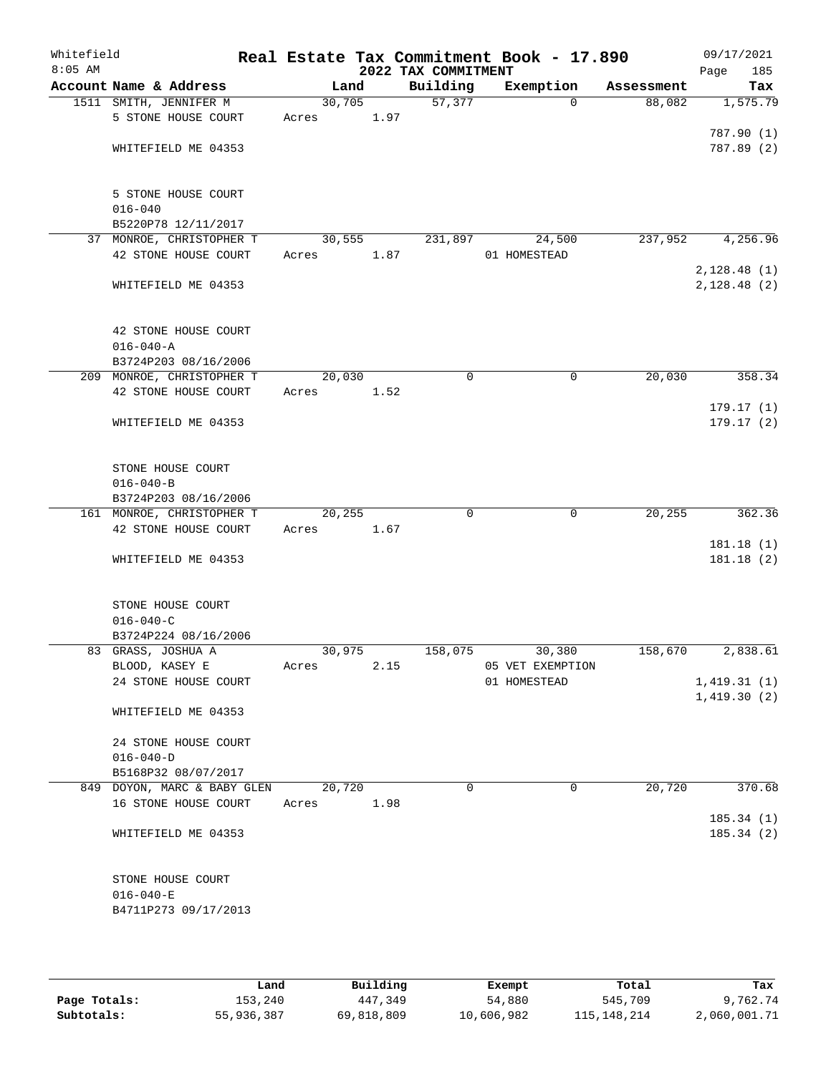| Whitefield<br>$8:05$ AM |                                                  |         |      | 2022 TAX COMMITMENT | Real Estate Tax Commitment Book - 17.890 |            | 09/17/2021<br>185<br>Page |
|-------------------------|--------------------------------------------------|---------|------|---------------------|------------------------------------------|------------|---------------------------|
|                         | Account Name & Address                           | Land    |      | Building            | Exemption                                | Assessment | Tax                       |
|                         | 1511 SMITH, JENNIFER M                           | 30,705  |      | 57,377              | $\Omega$                                 | 88,082     | 1,575.79                  |
|                         | 5 STONE HOUSE COURT                              | Acres   | 1.97 |                     |                                          |            |                           |
|                         |                                                  |         |      |                     |                                          |            | 787.90 (1)                |
|                         | WHITEFIELD ME 04353                              |         |      |                     |                                          |            | 787.89 (2)                |
|                         |                                                  |         |      |                     |                                          |            |                           |
|                         | 5 STONE HOUSE COURT                              |         |      |                     |                                          |            |                           |
|                         | $016 - 040$                                      |         |      |                     |                                          |            |                           |
|                         | B5220P78 12/11/2017                              |         |      |                     |                                          |            |                           |
|                         | 37 MONROE, CHRISTOPHER T<br>42 STONE HOUSE COURT | 30, 555 |      | 231,897             | 24,500<br>01 HOMESTEAD                   | 237,952    | 4,256.96                  |
|                         |                                                  | Acres   | 1.87 |                     |                                          |            | 2,128.48(1)               |
|                         | WHITEFIELD ME 04353                              |         |      |                     |                                          |            | 2,128.48(2)               |
|                         | 42 STONE HOUSE COURT                             |         |      |                     |                                          |            |                           |
|                         | $016 - 040 - A$                                  |         |      |                     |                                          |            |                           |
|                         | B3724P203 08/16/2006                             |         |      |                     |                                          |            |                           |
|                         | 209 MONROE, CHRISTOPHER T                        | 20,030  |      | 0                   | 0                                        | 20,030     | 358.34                    |
|                         | 42 STONE HOUSE COURT                             | Acres   | 1.52 |                     |                                          |            |                           |
|                         |                                                  |         |      |                     |                                          |            | 179.17(1)                 |
|                         | WHITEFIELD ME 04353                              |         |      |                     |                                          |            | 179.17(2)                 |
|                         | STONE HOUSE COURT                                |         |      |                     |                                          |            |                           |
|                         | $016 - 040 - B$                                  |         |      |                     |                                          |            |                           |
|                         | B3724P203 08/16/2006                             |         |      |                     |                                          |            |                           |
|                         | 161 MONROE, CHRISTOPHER T                        | 20,255  |      | $\mathbf 0$         | $\mathbf 0$                              | 20, 255    | 362.36                    |
|                         | 42 STONE HOUSE COURT                             | Acres   | 1.67 |                     |                                          |            |                           |
|                         |                                                  |         |      |                     |                                          |            | 181.18(1)                 |
|                         | WHITEFIELD ME 04353                              |         |      |                     |                                          |            | 181.18(2)                 |
|                         | STONE HOUSE COURT                                |         |      |                     |                                          |            |                           |
|                         | $016 - 040 - C$                                  |         |      |                     |                                          |            |                           |
|                         | B3724P224 08/16/2006                             |         |      |                     |                                          |            |                           |
|                         | 83 GRASS, JOSHUA A                               | 30,975  |      | 158,075             | 30,380                                   | 158,670    | 2,838.61                  |
|                         | BLOOD, KASEY E                                   | Acres   | 2.15 |                     | 05 VET EXEMPTION                         |            |                           |
|                         | 24 STONE HOUSE COURT                             |         |      |                     | 01 HOMESTEAD                             |            | 1,419.31(1)               |
|                         | WHITEFIELD ME 04353                              |         |      |                     |                                          |            | 1,419.30(2)               |
|                         | 24 STONE HOUSE COURT                             |         |      |                     |                                          |            |                           |
|                         | $016 - 040 - D$                                  |         |      |                     |                                          |            |                           |
|                         | B5168P32 08/07/2017                              |         |      |                     |                                          |            |                           |
|                         | 849 DOYON, MARC & BABY GLEN                      | 20,720  |      | $\Omega$            | 0                                        | 20,720     | 370.68                    |
|                         | 16 STONE HOUSE COURT                             | Acres   | 1.98 |                     |                                          |            |                           |
|                         |                                                  |         |      |                     |                                          |            | 185.34(1)                 |
|                         | WHITEFIELD ME 04353                              |         |      |                     |                                          |            | 185.34(2)                 |
|                         | STONE HOUSE COURT                                |         |      |                     |                                          |            |                           |
|                         | $016 - 040 - E$                                  |         |      |                     |                                          |            |                           |
|                         | B4711P273 09/17/2013                             |         |      |                     |                                          |            |                           |
|                         |                                                  |         |      |                     |                                          |            |                           |

|              | Land       | Building   | Exempt     | Total         | Tax          |
|--------------|------------|------------|------------|---------------|--------------|
| Page Totals: | 153,240    | 447,349    | 54,880     | 545,709       | 9,762.74     |
| Subtotals:   | 55,936,387 | 69,818,809 | 10,606,982 | 115, 148, 214 | 2,060,001.71 |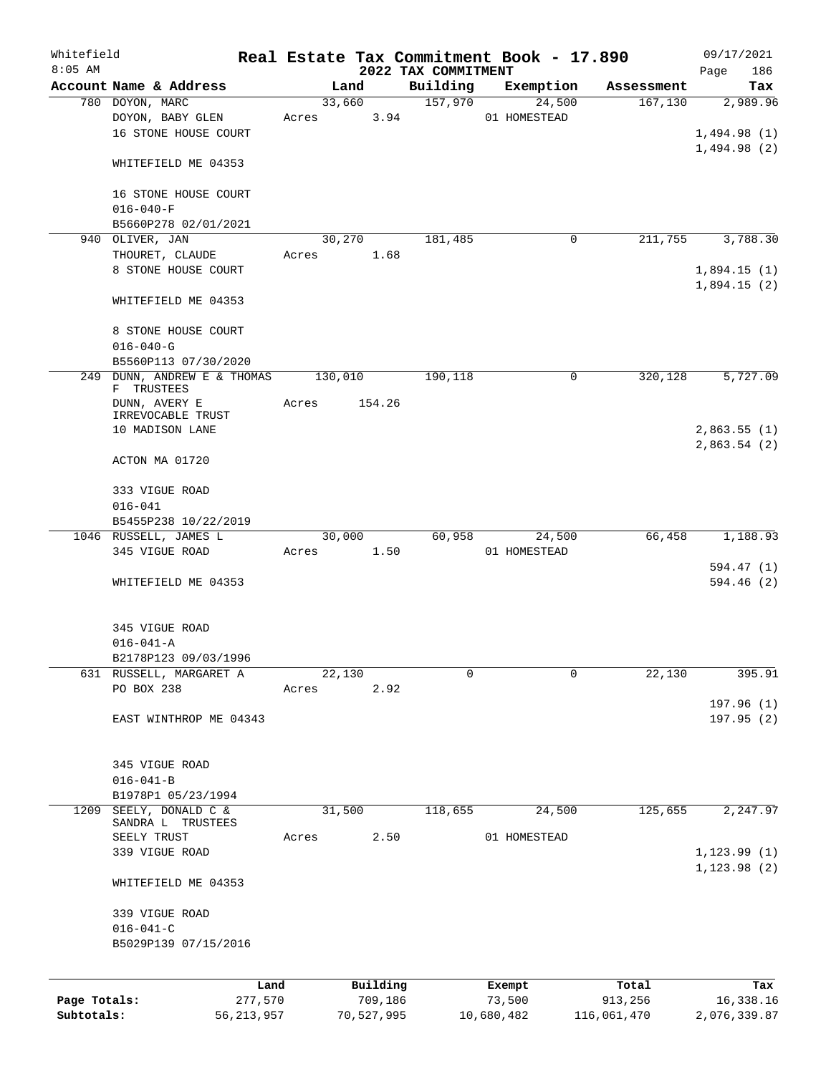| Whitefield   |                                          |       |         |            |                     | Real Estate Tax Commitment Book - 17.890 |             | 09/17/2021   |
|--------------|------------------------------------------|-------|---------|------------|---------------------|------------------------------------------|-------------|--------------|
| $8:05$ AM    |                                          |       |         |            | 2022 TAX COMMITMENT |                                          |             | Page<br>186  |
|              | Account Name & Address                   |       | Land    |            | Building<br>157,970 | Exemption<br>24,500                      | Assessment  | Tax          |
|              | 780 DOYON, MARC                          |       | 33,660  |            |                     | 01 HOMESTEAD                             | 167,130     | 2,989.96     |
|              | DOYON, BABY GLEN<br>16 STONE HOUSE COURT | Acres |         | 3.94       |                     |                                          |             |              |
|              |                                          |       |         |            |                     |                                          |             | 1,494.98(1)  |
|              | WHITEFIELD ME 04353                      |       |         |            |                     |                                          |             | 1,494.98(2)  |
|              |                                          |       |         |            |                     |                                          |             |              |
|              | 16 STONE HOUSE COURT                     |       |         |            |                     |                                          |             |              |
|              | $016 - 040 - F$                          |       |         |            |                     |                                          |             |              |
|              | B5660P278 02/01/2021                     |       |         |            |                     |                                          |             |              |
| 940          | OLIVER, JAN                              |       | 30,270  |            | 181,485             | 0                                        | 211,755     | 3,788.30     |
|              | THOURET, CLAUDE                          | Acres |         | 1.68       |                     |                                          |             |              |
|              | 8 STONE HOUSE COURT                      |       |         |            |                     |                                          |             | 1,894.15(1)  |
|              |                                          |       |         |            |                     |                                          |             | 1,894.15(2)  |
|              | WHITEFIELD ME 04353                      |       |         |            |                     |                                          |             |              |
|              |                                          |       |         |            |                     |                                          |             |              |
|              | 8 STONE HOUSE COURT                      |       |         |            |                     |                                          |             |              |
|              | $016 - 040 - G$                          |       |         |            |                     |                                          |             |              |
|              | B5560P113 07/30/2020                     |       |         |            |                     |                                          |             |              |
| 249          | DUNN, ANDREW E & THOMAS                  |       | 130,010 |            | 190,118             | 0                                        | 320,128     | 5,727.09     |
|              | F TRUSTEES                               |       |         |            |                     |                                          |             |              |
|              | DUNN, AVERY E                            | Acres |         | 154.26     |                     |                                          |             |              |
|              | IRREVOCABLE TRUST<br>10 MADISON LANE     |       |         |            |                     |                                          |             | 2,863.55(1)  |
|              |                                          |       |         |            |                     |                                          |             | 2,863.54(2)  |
|              | ACTON MA 01720                           |       |         |            |                     |                                          |             |              |
|              |                                          |       |         |            |                     |                                          |             |              |
|              | 333 VIGUE ROAD                           |       |         |            |                     |                                          |             |              |
|              | $016 - 041$                              |       |         |            |                     |                                          |             |              |
|              | B5455P238 10/22/2019                     |       |         |            |                     |                                          |             |              |
|              | 1046 RUSSELL, JAMES L                    |       | 30,000  |            | 60,958              | 24,500                                   | 66,458      | 1,188.93     |
|              | 345 VIGUE ROAD                           | Acres |         | 1.50       |                     | 01 HOMESTEAD                             |             |              |
|              |                                          |       |         |            |                     |                                          |             | 594.47 (1)   |
|              | WHITEFIELD ME 04353                      |       |         |            |                     |                                          |             | 594.46(2)    |
|              |                                          |       |         |            |                     |                                          |             |              |
|              |                                          |       |         |            |                     |                                          |             |              |
|              | 345 VIGUE ROAD                           |       |         |            |                     |                                          |             |              |
|              | $016 - 041 - A$                          |       |         |            |                     |                                          |             |              |
|              | B2178P123 09/03/1996                     |       |         |            |                     |                                          |             |              |
|              | 631 RUSSELL, MARGARET A                  |       | 22,130  |            | 0                   | 0                                        | 22,130      | 395.91       |
|              | PO BOX 238                               | Acres |         | 2.92       |                     |                                          |             |              |
|              |                                          |       |         |            |                     |                                          |             | 197.96(1)    |
|              | EAST WINTHROP ME 04343                   |       |         |            |                     |                                          |             | 197.95(2)    |
|              |                                          |       |         |            |                     |                                          |             |              |
|              |                                          |       |         |            |                     |                                          |             |              |
|              | 345 VIGUE ROAD<br>$016 - 041 - B$        |       |         |            |                     |                                          |             |              |
|              | B1978P1 05/23/1994                       |       |         |            |                     |                                          |             |              |
| 1209         | SEELY, DONALD C &                        |       | 31,500  |            | 118,655             | 24,500                                   | 125,655     | 2,247.97     |
|              | SANDRA L TRUSTEES                        |       |         |            |                     |                                          |             |              |
|              | SEELY TRUST                              | Acres |         | 2.50       |                     | 01 HOMESTEAD                             |             |              |
|              | 339 VIGUE ROAD                           |       |         |            |                     |                                          |             | 1, 123.99(1) |
|              |                                          |       |         |            |                     |                                          |             | 1, 123.98(2) |
|              | WHITEFIELD ME 04353                      |       |         |            |                     |                                          |             |              |
|              |                                          |       |         |            |                     |                                          |             |              |
|              | 339 VIGUE ROAD                           |       |         |            |                     |                                          |             |              |
|              | $016 - 041 - C$                          |       |         |            |                     |                                          |             |              |
|              | B5029P139 07/15/2016                     |       |         |            |                     |                                          |             |              |
|              |                                          |       |         |            |                     |                                          |             |              |
|              |                                          | Land  |         | Building   |                     | Exempt                                   | Total       | Tax          |
| Page Totals: | 277,570                                  |       |         | 709,186    |                     | 73,500                                   | 913,256     | 16,338.16    |
| Subtotals:   | 56, 213, 957                             |       |         | 70,527,995 |                     | 10,680,482                               | 116,061,470 | 2,076,339.87 |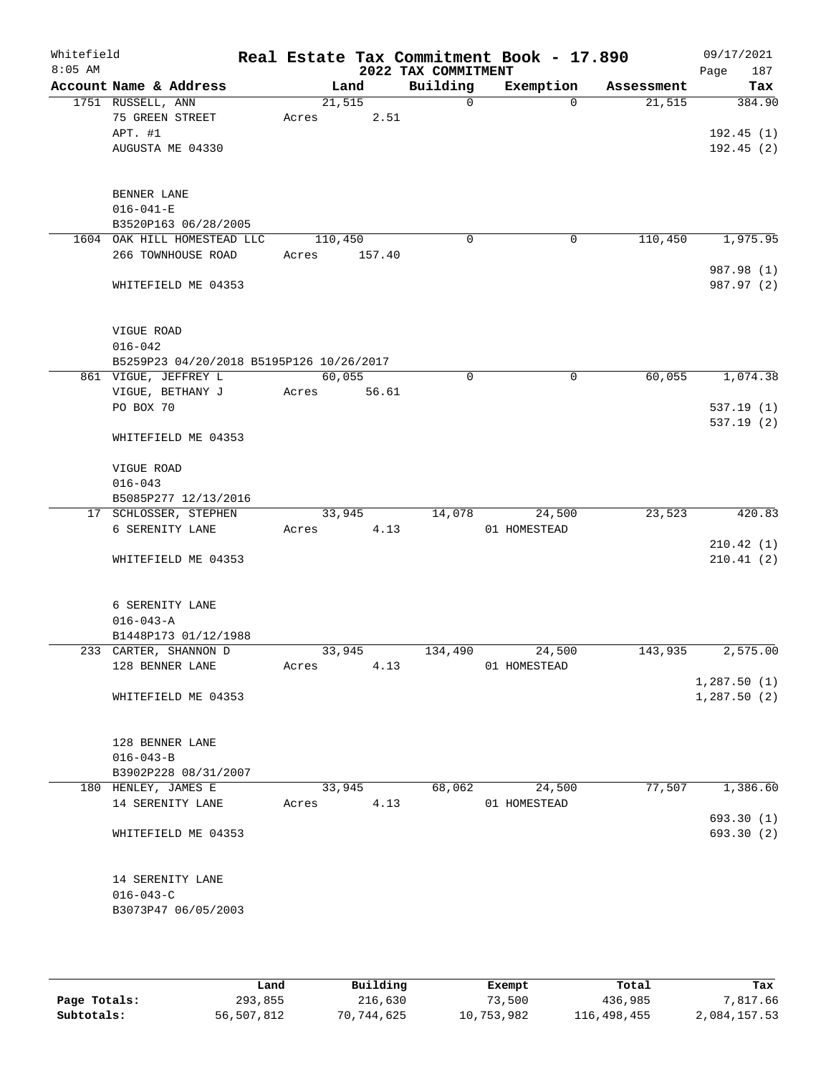| Whitefield<br>$8:05$ AM |                                               |         |        | 2022 TAX COMMITMENT | Real Estate Tax Commitment Book - 17.890 |            | 09/17/2021<br>Page<br>187 |
|-------------------------|-----------------------------------------------|---------|--------|---------------------|------------------------------------------|------------|---------------------------|
|                         | Account Name & Address                        |         | Land   | Building            | Exemption                                | Assessment | Tax                       |
|                         | 1751 RUSSELL, ANN                             |         | 21,515 | $\mathbf 0$         | $\Omega$                                 | 21,515     | 384.90                    |
|                         | 75 GREEN STREET                               | Acres   | 2.51   |                     |                                          |            |                           |
|                         | APT. #1                                       |         |        |                     |                                          |            | 192.45(1)                 |
|                         | AUGUSTA ME 04330                              |         |        |                     |                                          |            | 192.45(2)                 |
|                         |                                               |         |        |                     |                                          |            |                           |
|                         |                                               |         |        |                     |                                          |            |                           |
|                         | BENNER LANE<br>$016 - 041 - E$                |         |        |                     |                                          |            |                           |
|                         | B3520P163 06/28/2005                          |         |        |                     |                                          |            |                           |
|                         | 1604 OAK HILL HOMESTEAD LLC                   | 110,450 |        | 0                   | 0                                        | 110,450    | 1,975.95                  |
|                         | 266 TOWNHOUSE ROAD                            | Acres   | 157.40 |                     |                                          |            |                           |
|                         |                                               |         |        |                     |                                          |            | 987.98 (1)                |
|                         | WHITEFIELD ME 04353                           |         |        |                     |                                          |            | 987.97 (2)                |
|                         |                                               |         |        |                     |                                          |            |                           |
|                         |                                               |         |        |                     |                                          |            |                           |
|                         | VIGUE ROAD                                    |         |        |                     |                                          |            |                           |
|                         | $016 - 042$                                   |         |        |                     |                                          |            |                           |
|                         | B5259P23 04/20/2018 B5195P126 10/26/2017      |         |        |                     |                                          |            |                           |
|                         | 861 VIGUE, JEFFREY L                          |         | 60,055 | 0                   | $\mathbf 0$                              | 60,055     | 1,074.38                  |
|                         | VIGUE, BETHANY J                              | Acres   | 56.61  |                     |                                          |            |                           |
|                         | PO BOX 70                                     |         |        |                     |                                          |            | 537.19(1)                 |
|                         |                                               |         |        |                     |                                          |            | 537.19(2)                 |
|                         | WHITEFIELD ME 04353                           |         |        |                     |                                          |            |                           |
|                         | VIGUE ROAD                                    |         |        |                     |                                          |            |                           |
|                         | $016 - 043$                                   |         |        |                     |                                          |            |                           |
|                         | B5085P277 12/13/2016                          |         |        |                     |                                          |            |                           |
|                         | 17 SCHLOSSER, STEPHEN                         |         | 33,945 | 14,078              | 24,500                                   | 23,523     | 420.83                    |
|                         | 6 SERENITY LANE                               | Acres   | 4.13   |                     | 01 HOMESTEAD                             |            |                           |
|                         |                                               |         |        |                     |                                          |            | 210.42(1)                 |
|                         | WHITEFIELD ME 04353                           |         |        |                     |                                          |            | 210.41(2)                 |
|                         |                                               |         |        |                     |                                          |            |                           |
|                         |                                               |         |        |                     |                                          |            |                           |
|                         | 6 SERENITY LANE                               |         |        |                     |                                          |            |                           |
|                         | $016 - 043 - A$                               |         |        |                     |                                          |            |                           |
|                         | B1448P173 01/12/1988<br>233 CARTER, SHANNON D |         | 33,945 | 134,490             | 24,500                                   | 143,935    | 2,575.00                  |
|                         | 128 BENNER LANE                               | Acres   | 4.13   |                     | 01 HOMESTEAD                             |            |                           |
|                         |                                               |         |        |                     |                                          |            | 1,287.50(1)               |
|                         | WHITEFIELD ME 04353                           |         |        |                     |                                          |            | 1,287.50(2)               |
|                         |                                               |         |        |                     |                                          |            |                           |
|                         |                                               |         |        |                     |                                          |            |                           |
|                         | 128 BENNER LANE                               |         |        |                     |                                          |            |                           |
|                         | $016 - 043 - B$                               |         |        |                     |                                          |            |                           |
|                         | B3902P228 08/31/2007                          |         |        |                     |                                          |            |                           |
|                         | 180 HENLEY, JAMES E                           |         | 33,945 | 68,062              | 24,500                                   | 77,507     | 1,386.60                  |
|                         | 14 SERENITY LANE                              | Acres   | 4.13   |                     | 01 HOMESTEAD                             |            |                           |
|                         |                                               |         |        |                     |                                          |            | 693.30 (1)                |
|                         | WHITEFIELD ME 04353                           |         |        |                     |                                          |            | 693.30 (2)                |
|                         |                                               |         |        |                     |                                          |            |                           |
|                         | 14 SERENITY LANE                              |         |        |                     |                                          |            |                           |
|                         | $016 - 043 - C$                               |         |        |                     |                                          |            |                           |
|                         | B3073P47 06/05/2003                           |         |        |                     |                                          |            |                           |
|                         |                                               |         |        |                     |                                          |            |                           |
|                         |                                               |         |        |                     |                                          |            |                           |

|              | Land       | Building   | Exempt     | Total       | Tax          |
|--------------|------------|------------|------------|-------------|--------------|
| Page Totals: | 293,855    | 216,630    | 73,500     | 436,985     | 7,817.66     |
| Subtotals:   | 56,507,812 | 70,744,625 | 10,753,982 | 116,498,455 | 2,084,157.53 |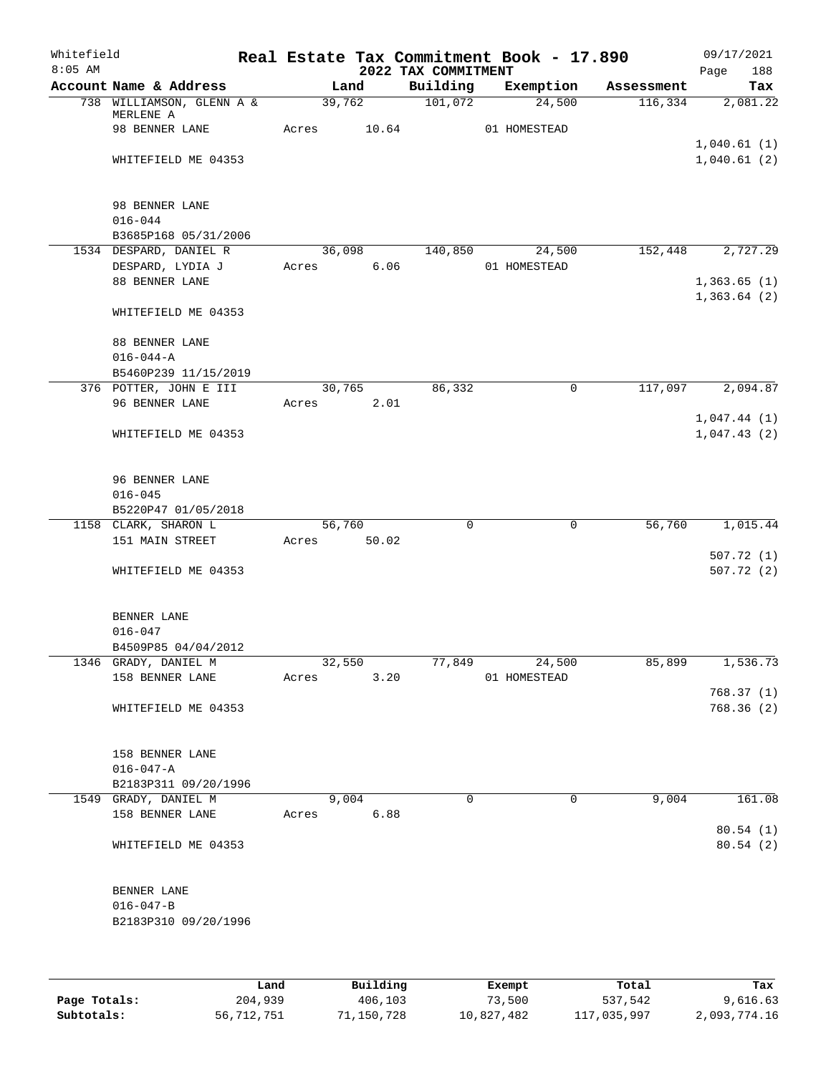| Whitefield<br>$8:05$ AM |                                         |       |                 |               | 2022 TAX COMMITMENT | Real Estate Tax Commitment Book - 17.890 |            | 09/17/2021<br>188<br>Page  |
|-------------------------|-----------------------------------------|-------|-----------------|---------------|---------------------|------------------------------------------|------------|----------------------------|
|                         | Account Name & Address                  |       |                 | Land          | Building            | Exemption                                | Assessment | Tax                        |
|                         | 738 WILLIAMSON, GLENN A &<br>MERLENE A  |       |                 | 39,762        | 101,072             | 24,500                                   | 116,334    | 2,081.22                   |
|                         | 98 BENNER LANE                          | Acres |                 | 10.64         |                     | 01 HOMESTEAD                             |            |                            |
|                         | WHITEFIELD ME 04353                     |       |                 |               |                     |                                          |            | 1,040.61(1)<br>1,040.61(2) |
|                         |                                         |       |                 |               |                     |                                          |            |                            |
|                         | 98 BENNER LANE<br>$016 - 044$           |       |                 |               |                     |                                          |            |                            |
|                         | B3685P168 05/31/2006                    |       |                 |               |                     |                                          |            |                            |
|                         | 1534 DESPARD, DANIEL R                  |       |                 | 36,098        | 140,850             | 24,500                                   | 152,448    | 2,727.29                   |
|                         | DESPARD, LYDIA J                        |       | Acres           | 6.06          |                     | 01 HOMESTEAD                             |            |                            |
|                         | 88 BENNER LANE                          |       |                 |               |                     |                                          |            | 1,363.65(1)<br>1,363.64(2) |
|                         | WHITEFIELD ME 04353                     |       |                 |               |                     |                                          |            |                            |
|                         | 88 BENNER LANE                          |       |                 |               |                     |                                          |            |                            |
|                         | $016 - 044 - A$                         |       |                 |               |                     |                                          |            |                            |
|                         | B5460P239 11/15/2019                    |       |                 |               |                     |                                          |            |                            |
|                         | 376 POTTER, JOHN E III                  |       |                 | 30,765        | 86,332              | 0                                        | 117,097    | 2,094.87                   |
|                         | 96 BENNER LANE                          |       | Acres           | 2.01          |                     |                                          |            |                            |
|                         | WHITEFIELD ME 04353                     |       |                 |               |                     |                                          |            | 1,047.44(1)<br>1,047.43(2) |
|                         | 96 BENNER LANE                          |       |                 |               |                     |                                          |            |                            |
|                         | $016 - 045$                             |       |                 |               |                     |                                          |            |                            |
|                         | B5220P47 01/05/2018                     |       |                 |               |                     |                                          |            |                            |
|                         | 1158 CLARK, SHARON L                    |       | 56,760          |               | 0                   | $\mathbf 0$                              | 56,760     | 1,015.44                   |
|                         | 151 MAIN STREET                         | Acres |                 | 50.02         |                     |                                          |            | 507.72(1)                  |
|                         | WHITEFIELD ME 04353                     |       |                 |               |                     |                                          |            | 507.72(2)                  |
|                         | BENNER LANE                             |       |                 |               |                     |                                          |            |                            |
|                         | $016 - 047$                             |       |                 |               |                     |                                          |            |                            |
|                         | B4509P85 04/04/2012                     |       |                 |               |                     |                                          |            |                            |
|                         | 1346 GRADY, DANIEL M<br>158 BENNER LANE |       | 32,550<br>Acres | 3.20          | 77,849              | 24,500<br>01 HOMESTEAD                   | 85,899     | 1,536.73                   |
|                         |                                         |       |                 |               |                     |                                          |            | 768.37(1)                  |
|                         | WHITEFIELD ME 04353                     |       |                 |               |                     |                                          |            | 768.36 (2)                 |
|                         | 158 BENNER LANE                         |       |                 |               |                     |                                          |            |                            |
|                         | $016 - 047 - A$                         |       |                 |               |                     |                                          |            |                            |
|                         | B2183P311 09/20/1996                    |       |                 |               |                     |                                          |            |                            |
|                         | 1549 GRADY, DANIEL M<br>158 BENNER LANE |       | Acres           | 9,004<br>6.88 | $\Omega$            | $\Omega$                                 | 9,004      | 161.08                     |
|                         |                                         |       |                 |               |                     |                                          |            | 80.54(1)                   |
|                         | WHITEFIELD ME 04353                     |       |                 |               |                     |                                          |            | 80.54(2)                   |
|                         | BENNER LANE                             |       |                 |               |                     |                                          |            |                            |
|                         | $016 - 047 - B$                         |       |                 |               |                     |                                          |            |                            |
|                         | B2183P310 09/20/1996                    |       |                 |               |                     |                                          |            |                            |
|                         |                                         |       |                 |               |                     |                                          |            |                            |
|                         |                                         |       |                 |               |                     |                                          |            |                            |

|              | Land       | Building   | Exempt     | Total       | Tax          |
|--------------|------------|------------|------------|-------------|--------------|
| Page Totals: | 204,939    | 406,103    | 73,500     | 537,542     | 9,616.63     |
| Subtotals:   | 56,712,751 | 71,150,728 | 10,827,482 | 117,035,997 | 2,093,774.16 |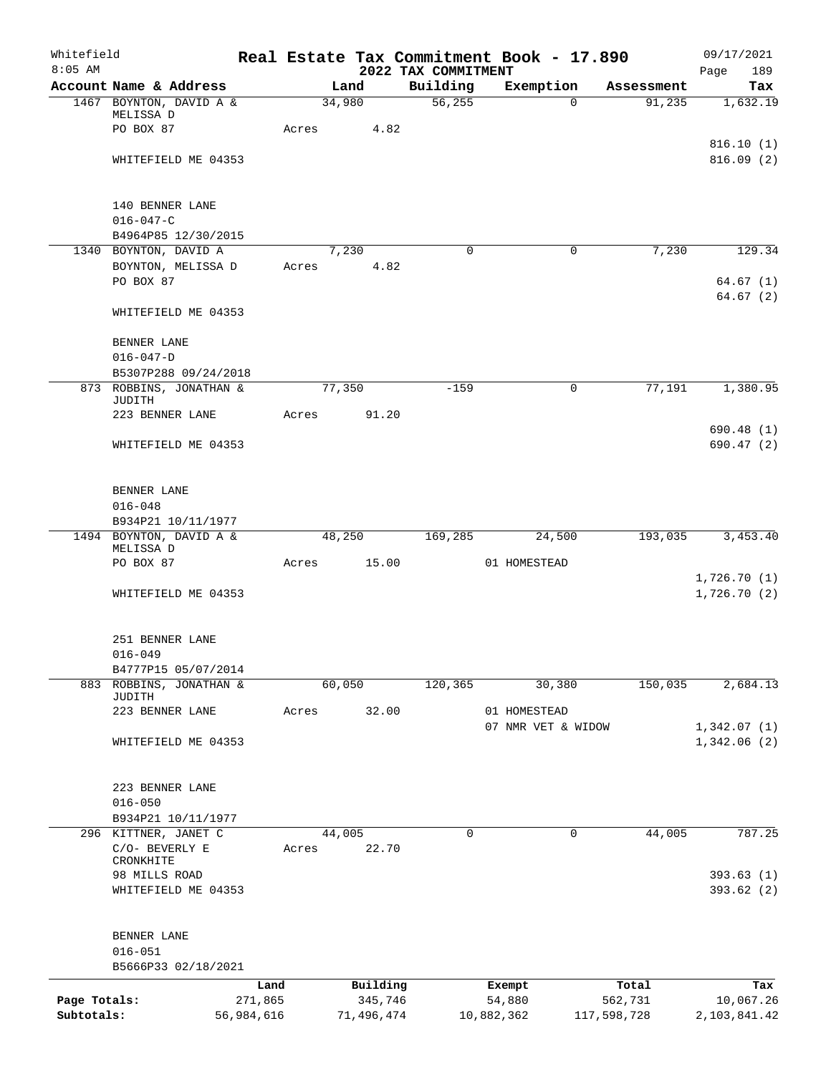| Whitefield<br>$8:05$ AM |                                      |            |            | 2022 TAX COMMITMENT | Real Estate Tax Commitment Book - 17.890 |             | 09/17/2021<br>189<br>Page  |
|-------------------------|--------------------------------------|------------|------------|---------------------|------------------------------------------|-------------|----------------------------|
|                         | Account Name & Address               |            | Land       | Building            | Exemption                                | Assessment  | Tax                        |
|                         | 1467 BOYNTON, DAVID A &              |            | 34,980     | 56, 255             | $\Omega$                                 | 91,235      | 1,632.19                   |
|                         | MELISSA D                            |            |            |                     |                                          |             |                            |
|                         | PO BOX 87                            | Acres      |            | 4.82                |                                          |             |                            |
|                         |                                      |            |            |                     |                                          |             | 816.10(1)                  |
|                         | WHITEFIELD ME 04353                  |            |            |                     |                                          |             | 816.09(2)                  |
|                         | 140 BENNER LANE                      |            |            |                     |                                          |             |                            |
|                         | $016 - 047 - C$                      |            |            |                     |                                          |             |                            |
|                         | B4964P85 12/30/2015                  |            |            |                     |                                          |             |                            |
|                         | 1340 BOYNTON, DAVID A                |            | 7,230      | $\Omega$            | $\mathbf 0$                              | 7,230       | 129.34                     |
|                         | BOYNTON, MELISSA D                   | Acres      |            | 4.82                |                                          |             |                            |
|                         | PO BOX 87                            |            |            |                     |                                          |             | 64.67(1)<br>64.67(2)       |
|                         | WHITEFIELD ME 04353                  |            |            |                     |                                          |             |                            |
|                         | BENNER LANE                          |            |            |                     |                                          |             |                            |
|                         | $016 - 047 - D$                      |            |            |                     |                                          |             |                            |
|                         | B5307P288 09/24/2018                 |            |            |                     |                                          |             |                            |
|                         | 873 ROBBINS, JONATHAN &<br>JUDITH    |            | 77,350     | $-159$              | $\mathbf 0$                              | 77,191      | 1,380.95                   |
|                         | 223 BENNER LANE                      | Acres      | 91.20      |                     |                                          |             |                            |
|                         |                                      |            |            |                     |                                          |             | 690.48(1)                  |
|                         | WHITEFIELD ME 04353                  |            |            |                     |                                          |             | 690.47(2)                  |
|                         | BENNER LANE                          |            |            |                     |                                          |             |                            |
|                         | $016 - 048$                          |            |            |                     |                                          |             |                            |
|                         | B934P21 10/11/1977                   |            |            |                     |                                          |             |                            |
|                         | 1494 BOYNTON, DAVID A &<br>MELISSA D |            | 48,250     | 169,285             | 24,500                                   | 193,035     | 3,453.40                   |
|                         | PO BOX 87                            | Acres      | 15.00      |                     | 01 HOMESTEAD                             |             |                            |
|                         | WHITEFIELD ME 04353                  |            |            |                     |                                          |             | 1,726.70(1)<br>1,726.70(2) |
|                         |                                      |            |            |                     |                                          |             |                            |
|                         | 251 BENNER LANE                      |            |            |                     |                                          |             |                            |
|                         | $016 - 049$                          |            |            |                     |                                          |             |                            |
|                         | B4777P15 05/07/2014                  |            |            |                     |                                          |             |                            |
|                         | 883 ROBBINS, JONATHAN &<br>JUDITH    |            | 60,050     | 120,365             | 30,380                                   | 150,035     | 2,684.13                   |
|                         | 223 BENNER LANE                      | Acres      | 32.00      |                     | 01 HOMESTEAD                             |             |                            |
|                         |                                      |            |            |                     | 07 NMR VET & WIDOW                       |             | 1,342.07(1)                |
|                         | WHITEFIELD ME 04353                  |            |            |                     |                                          |             | 1,342.06(2)                |
|                         |                                      |            |            |                     |                                          |             |                            |
|                         | 223 BENNER LANE<br>$016 - 050$       |            |            |                     |                                          |             |                            |
|                         | B934P21 10/11/1977                   |            |            |                     |                                          |             |                            |
| 296                     | KITTNER, JANET C                     |            | 44,005     | 0                   | 0                                        | 44,005      | 787.25                     |
|                         | C/O- BEVERLY E<br>CRONKHITE          | Acres      | 22.70      |                     |                                          |             |                            |
|                         | 98 MILLS ROAD                        |            |            |                     |                                          |             | 393.63(1)                  |
|                         | WHITEFIELD ME 04353                  |            |            |                     |                                          |             | 393.62(2)                  |
|                         |                                      |            |            |                     |                                          |             |                            |
|                         | BENNER LANE                          |            |            |                     |                                          |             |                            |
|                         | $016 - 051$<br>B5666P33 02/18/2021   |            |            |                     |                                          |             |                            |
|                         |                                      | Land       | Building   |                     | Exempt                                   | Total       | Tax                        |
| Page Totals:            |                                      | 271,865    | 345,746    |                     | 54,880                                   | 562,731     | 10,067.26                  |
| Subtotals:              |                                      | 56,984,616 | 71,496,474 |                     | 10,882,362                               | 117,598,728 | 2,103,841.42               |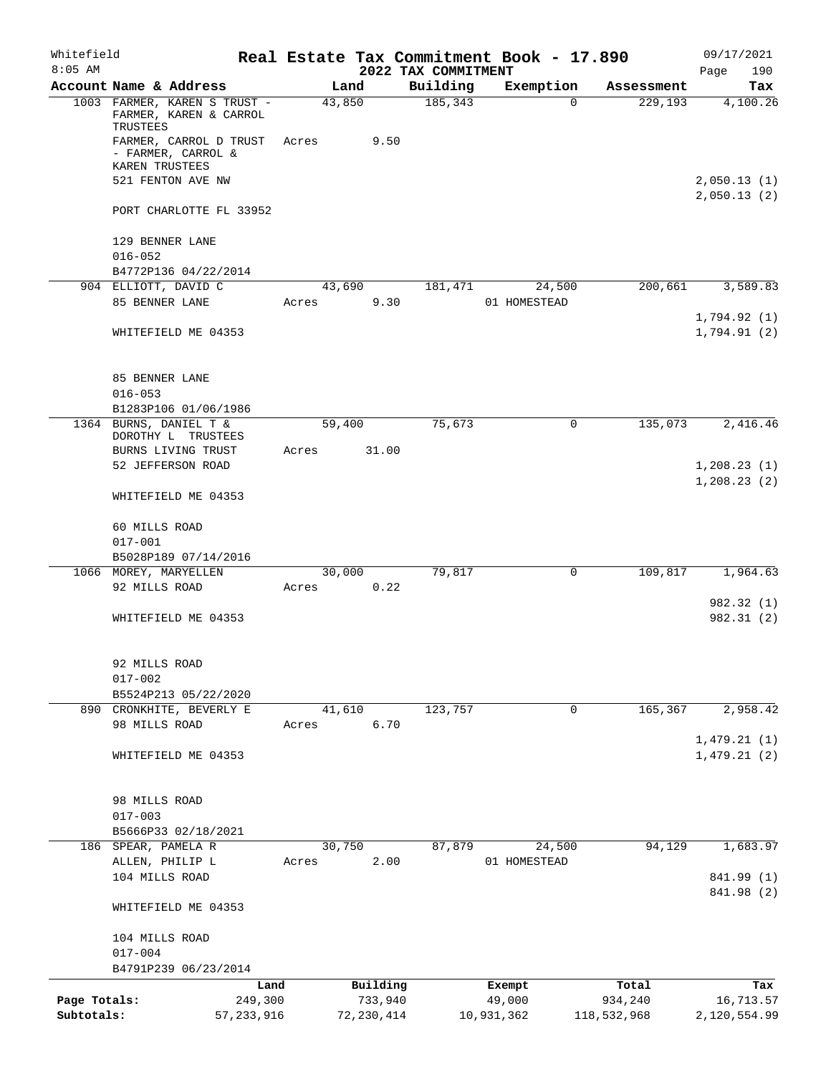| Whitefield   |                                                           |         |                |                                 | Real Estate Tax Commitment Book - 17.890 |             | 09/17/2021                   |
|--------------|-----------------------------------------------------------|---------|----------------|---------------------------------|------------------------------------------|-------------|------------------------------|
| $8:05$ AM    | Account Name & Address                                    |         | Land           | 2022 TAX COMMITMENT<br>Building | Exemption                                | Assessment  | 190<br>Page<br>Tax           |
|              | 1003 FARMER, KAREN S TRUST -<br>FARMER, KAREN & CARROL    |         | 43,850         | 185, 343                        | $\Omega$                                 | 229,193     | 4,100.26                     |
|              | TRUSTEES<br>FARMER, CARROL D TRUST                        | Acres   | 9.50           |                                 |                                          |             |                              |
|              | - FARMER, CARROL &<br>KAREN TRUSTEES<br>521 FENTON AVE NW |         |                |                                 |                                          |             | 2,050.13(1)                  |
|              | PORT CHARLOTTE FL 33952                                   |         |                |                                 |                                          |             | 2,050.13(2)                  |
|              |                                                           |         |                |                                 |                                          |             |                              |
|              | 129 BENNER LANE<br>$016 - 052$                            |         |                |                                 |                                          |             |                              |
|              | B4772P136 04/22/2014                                      |         |                |                                 |                                          |             |                              |
|              | 904 ELLIOTT, DAVID C<br>85 BENNER LANE                    | Acres   | 43,690<br>9.30 | 181,471                         | 24,500<br>01 HOMESTEAD                   | 200,661     | 3,589.83                     |
|              |                                                           |         |                |                                 |                                          |             | 1,794.92(1)                  |
|              | WHITEFIELD ME 04353                                       |         |                |                                 |                                          |             | 1,794.91(2)                  |
|              | 85 BENNER LANE                                            |         |                |                                 |                                          |             |                              |
|              | $016 - 053$                                               |         |                |                                 |                                          |             |                              |
|              | B1283P106 01/06/1986<br>1364 BURNS, DANIEL T &            |         | 59,400         | 75,673                          | $\mathbf 0$                              | 135,073     | 2,416.46                     |
|              | DOROTHY L TRUSTEES                                        |         |                |                                 |                                          |             |                              |
|              | BURNS LIVING TRUST                                        | Acres   | 31.00          |                                 |                                          |             |                              |
|              | 52 JEFFERSON ROAD                                         |         |                |                                 |                                          |             | 1, 208.23(1)<br>1, 208.23(2) |
|              | WHITEFIELD ME 04353                                       |         |                |                                 |                                          |             |                              |
|              | 60 MILLS ROAD                                             |         |                |                                 |                                          |             |                              |
|              | $017 - 001$                                               |         |                |                                 |                                          |             |                              |
|              | B5028P189 07/14/2016                                      |         |                |                                 |                                          |             |                              |
|              | 1066 MOREY, MARYELLEN<br>92 MILLS ROAD                    | Acres   | 30,000<br>0.22 | 79,817                          | $\mathbf 0$                              | 109,817     | 1,964.63                     |
|              |                                                           |         |                |                                 |                                          |             | 982.32 (1)                   |
|              | WHITEFIELD ME 04353                                       |         |                |                                 |                                          |             | 982.31 (2)                   |
|              | 92 MILLS ROAD                                             |         |                |                                 |                                          |             |                              |
|              | $017 - 002$                                               |         |                |                                 |                                          |             |                              |
|              | B5524P213 05/22/2020                                      |         |                |                                 |                                          |             |                              |
|              | 890 CRONKHITE, BEVERLY E                                  |         | 41,610         | 123,757                         | 0                                        | 165,367     | 2,958.42                     |
|              | 98 MILLS ROAD                                             | Acres   | 6.70           |                                 |                                          |             | 1,479.21(1)                  |
|              | WHITEFIELD ME 04353                                       |         |                |                                 |                                          |             | 1,479.21(2)                  |
|              | 98 MILLS ROAD                                             |         |                |                                 |                                          |             |                              |
|              | $017 - 003$                                               |         |                |                                 |                                          |             |                              |
|              | B5666P33 02/18/2021                                       |         |                |                                 |                                          |             |                              |
|              | 186 SPEAR, PAMELA R                                       |         | 30,750         | 87,879                          | 24,500                                   | 94,129      | 1,683.97                     |
|              | ALLEN, PHILIP L<br>104 MILLS ROAD                         | Acres   | 2.00           |                                 | 01 HOMESTEAD                             |             | 841.99 (1)                   |
|              | WHITEFIELD ME 04353                                       |         |                |                                 |                                          |             | 841.98 (2)                   |
|              |                                                           |         |                |                                 |                                          |             |                              |
|              | 104 MILLS ROAD<br>$017 - 004$                             |         |                |                                 |                                          |             |                              |
|              | B4791P239 06/23/2014                                      |         |                |                                 |                                          |             |                              |
|              |                                                           | Land    | Building       |                                 | Exempt                                   | Total       | Tax                          |
| Page Totals: |                                                           | 249,300 | 733,940        |                                 | 49,000                                   | 934,240     | 16,713.57                    |
| Subtotals:   | 57, 233, 916                                              |         | 72, 230, 414   |                                 | 10,931,362                               | 118,532,968 | 2,120,554.99                 |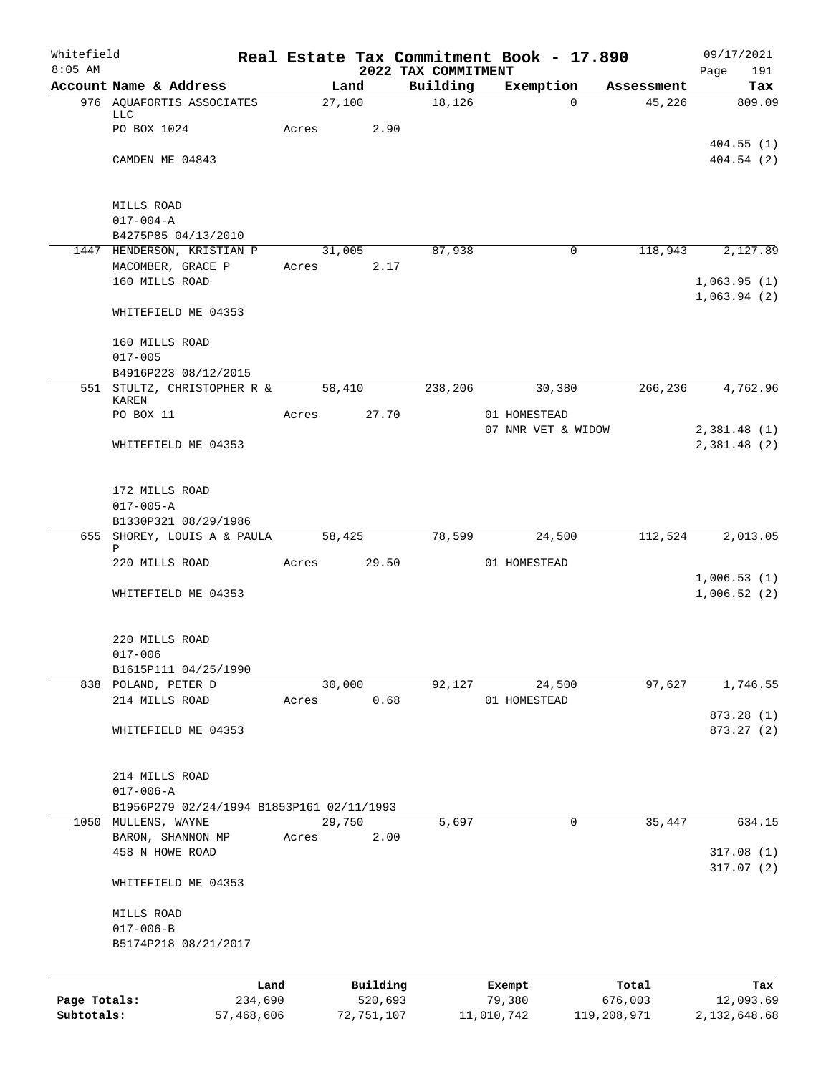| Whitefield<br>$8:05$ AM |                                           |            |       |            |                                 | Real Estate Tax Commitment Book - 17.890 |             | 09/17/2021                 |
|-------------------------|-------------------------------------------|------------|-------|------------|---------------------------------|------------------------------------------|-------------|----------------------------|
|                         | Account Name & Address                    |            |       | Land       | 2022 TAX COMMITMENT<br>Building | Exemption                                | Assessment  | 191<br>Page<br>Tax         |
|                         | 976 AQUAFORTIS ASSOCIATES                 |            |       | 27,100     | 18, 126                         | $\Omega$                                 | 45,226      | 809.09                     |
|                         | LLC                                       |            |       |            |                                 |                                          |             |                            |
|                         | PO BOX 1024                               |            | Acres | 2.90       |                                 |                                          |             |                            |
|                         |                                           |            |       |            |                                 |                                          |             | 404.55(1)                  |
|                         | CAMDEN ME 04843                           |            |       |            |                                 |                                          |             | 404.54(2)                  |
|                         | MILLS ROAD                                |            |       |            |                                 |                                          |             |                            |
|                         | $017 - 004 - A$                           |            |       |            |                                 |                                          |             |                            |
|                         | B4275P85 04/13/2010                       |            |       |            |                                 |                                          |             |                            |
|                         | 1447 HENDERSON, KRISTIAN P                |            |       | 31,005     | 87,938                          | $\mathbf 0$                              | 118,943     | 2,127.89                   |
|                         | MACOMBER, GRACE P                         |            | Acres | 2.17       |                                 |                                          |             |                            |
|                         | 160 MILLS ROAD                            |            |       |            |                                 |                                          |             | 1,063.95(1)<br>1,063.94(2) |
|                         | WHITEFIELD ME 04353                       |            |       |            |                                 |                                          |             |                            |
|                         | 160 MILLS ROAD                            |            |       |            |                                 |                                          |             |                            |
|                         | $017 - 005$                               |            |       |            |                                 |                                          |             |                            |
|                         | B4916P223 08/12/2015                      |            |       |            |                                 |                                          |             |                            |
|                         | 551 STULTZ, CHRISTOPHER R &               |            |       | 58,410     | 238,206                         | 30,380                                   | 266,236     | 4,762.96                   |
|                         | KAREN<br>PO BOX 11                        |            | Acres | 27.70      |                                 | 01 HOMESTEAD                             |             |                            |
|                         |                                           |            |       |            |                                 | 07 NMR VET & WIDOW                       |             | 2,381.48(1)                |
|                         | WHITEFIELD ME 04353                       |            |       |            |                                 |                                          |             | 2,381.48(2)                |
|                         |                                           |            |       |            |                                 |                                          |             |                            |
|                         | 172 MILLS ROAD                            |            |       |            |                                 |                                          |             |                            |
|                         | $017 - 005 - A$                           |            |       |            |                                 |                                          |             |                            |
|                         | B1330P321 08/29/1986                      |            |       |            |                                 |                                          |             |                            |
|                         | 655 SHOREY, LOUIS A & PAULA               |            |       | 58,425     | 78,599                          | 24,500                                   | 112,524     | 2,013.05                   |
|                         | Ρ<br>220 MILLS ROAD                       |            | Acres | 29.50      |                                 | 01 HOMESTEAD                             |             |                            |
|                         |                                           |            |       |            |                                 |                                          |             | 1,006.53(1)                |
|                         | WHITEFIELD ME 04353                       |            |       |            |                                 |                                          |             | 1,006.52(2)                |
|                         |                                           |            |       |            |                                 |                                          |             |                            |
|                         | 220 MILLS ROAD                            |            |       |            |                                 |                                          |             |                            |
|                         | $017 - 006$<br>B1615P111 04/25/1990       |            |       |            |                                 |                                          |             |                            |
|                         | 838 POLAND, PETER D                       |            |       | 30,000     | 92,127                          | 24,500                                   | 97,627      | 1,746.55                   |
|                         | 214 MILLS ROAD                            |            | Acres | 0.68       |                                 | 01 HOMESTEAD                             |             |                            |
|                         |                                           |            |       |            |                                 |                                          |             | 873.28 (1)                 |
|                         | WHITEFIELD ME 04353                       |            |       |            |                                 |                                          |             | 873.27 (2)                 |
|                         | 214 MILLS ROAD                            |            |       |            |                                 |                                          |             |                            |
|                         | $017 - 006 - A$                           |            |       |            |                                 |                                          |             |                            |
|                         | B1956P279 02/24/1994 B1853P161 02/11/1993 |            |       |            |                                 |                                          |             |                            |
|                         | 1050 MULLENS, WAYNE                       |            |       | 29,750     | 5,697                           | 0                                        | 35,447      | 634.15                     |
|                         | BARON, SHANNON MP                         |            | Acres | 2.00       |                                 |                                          |             |                            |
|                         | 458 N HOWE ROAD                           |            |       |            |                                 |                                          |             | 317.08(1)                  |
|                         | WHITEFIELD ME 04353                       |            |       |            |                                 |                                          |             | 317.07(2)                  |
|                         |                                           |            |       |            |                                 |                                          |             |                            |
|                         | MILLS ROAD                                |            |       |            |                                 |                                          |             |                            |
|                         | $017 - 006 - B$                           |            |       |            |                                 |                                          |             |                            |
|                         | B5174P218 08/21/2017                      |            |       |            |                                 |                                          |             |                            |
|                         |                                           | Land       |       | Building   |                                 | Exempt                                   | Total       | Tax                        |
| Page Totals:            |                                           | 234,690    |       | 520,693    |                                 | 79,380                                   | 676,003     | 12,093.69                  |
| Subtotals:              |                                           | 57,468,606 |       | 72,751,107 |                                 | 11,010,742                               | 119,208,971 | 2, 132, 648.68             |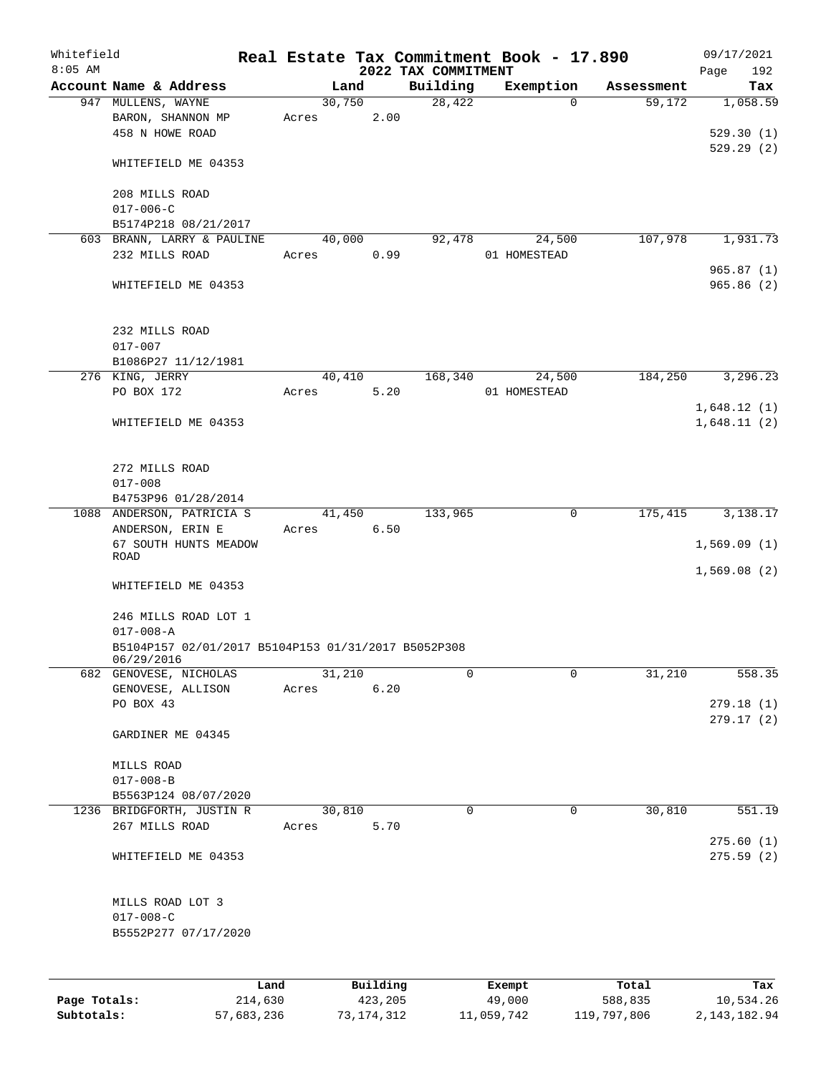| Whitefield   |                                                     |       |        |          |                                 | Real Estate Tax Commitment Book - 17.890 |            | 09/17/2021         |
|--------------|-----------------------------------------------------|-------|--------|----------|---------------------------------|------------------------------------------|------------|--------------------|
| $8:05$ AM    | Account Name & Address                              |       | Land   |          | 2022 TAX COMMITMENT<br>Building | Exemption                                | Assessment | Page<br>192<br>Tax |
|              | 947 MULLENS, WAYNE                                  |       | 30,750 |          | 28,422                          | $\mathbf 0$                              | 59,172     | 1,058.59           |
|              | BARON, SHANNON MP                                   | Acres |        | 2.00     |                                 |                                          |            |                    |
|              | 458 N HOWE ROAD                                     |       |        |          |                                 |                                          |            | 529.30(1)          |
|              |                                                     |       |        |          |                                 |                                          |            | 529.29(2)          |
|              | WHITEFIELD ME 04353                                 |       |        |          |                                 |                                          |            |                    |
|              |                                                     |       |        |          |                                 |                                          |            |                    |
|              | 208 MILLS ROAD                                      |       |        |          |                                 |                                          |            |                    |
|              | $017 - 006 - C$                                     |       |        |          |                                 |                                          |            |                    |
|              | B5174P218 08/21/2017                                |       |        |          |                                 |                                          |            |                    |
|              | 603 BRANN, LARRY & PAULINE                          |       | 40,000 |          | 92,478                          | 24,500                                   | 107,978    | 1,931.73           |
|              | 232 MILLS ROAD                                      | Acres |        | 0.99     |                                 | 01 HOMESTEAD                             |            |                    |
|              |                                                     |       |        |          |                                 |                                          |            | 965.87(1)          |
|              | WHITEFIELD ME 04353                                 |       |        |          |                                 |                                          |            | 965.86 (2)         |
|              |                                                     |       |        |          |                                 |                                          |            |                    |
|              | 232 MILLS ROAD                                      |       |        |          |                                 |                                          |            |                    |
|              | $017 - 007$                                         |       |        |          |                                 |                                          |            |                    |
|              | B1086P27 11/12/1981                                 |       |        |          |                                 |                                          |            |                    |
|              | 276 KING, JERRY                                     |       | 40,410 |          | 168,340                         | 24,500                                   | 184,250    | 3,296.23           |
|              | PO BOX 172                                          | Acres |        | 5.20     |                                 | 01 HOMESTEAD                             |            |                    |
|              |                                                     |       |        |          |                                 |                                          |            | 1,648.12(1)        |
|              | WHITEFIELD ME 04353                                 |       |        |          |                                 |                                          |            | 1,648.11(2)        |
|              |                                                     |       |        |          |                                 |                                          |            |                    |
|              |                                                     |       |        |          |                                 |                                          |            |                    |
|              | 272 MILLS ROAD                                      |       |        |          |                                 |                                          |            |                    |
|              | $017 - 008$                                         |       |        |          |                                 |                                          |            |                    |
|              | B4753P96 01/28/2014                                 |       |        |          |                                 |                                          |            |                    |
|              | 1088 ANDERSON, PATRICIA S                           |       | 41,450 |          | 133,965                         | 0                                        | 175,415    | 3,138.17           |
|              | ANDERSON, ERIN E                                    | Acres |        | 6.50     |                                 |                                          |            |                    |
|              | 67 SOUTH HUNTS MEADOW                               |       |        |          |                                 |                                          |            | 1,569.09(1)        |
|              | ROAD                                                |       |        |          |                                 |                                          |            |                    |
|              |                                                     |       |        |          |                                 |                                          |            | 1,569.08(2)        |
|              | WHITEFIELD ME 04353                                 |       |        |          |                                 |                                          |            |                    |
|              | 246 MILLS ROAD LOT 1                                |       |        |          |                                 |                                          |            |                    |
|              | $017 - 008 - A$                                     |       |        |          |                                 |                                          |            |                    |
|              | B5104P157 02/01/2017 B5104P153 01/31/2017 B5052P308 |       |        |          |                                 |                                          |            |                    |
|              | 06/29/2016                                          |       |        |          |                                 |                                          |            |                    |
|              | 682 GENOVESE, NICHOLAS                              |       | 31,210 |          | $\overline{0}$                  | $\mathbf 0$                              | 31,210     | 558.35             |
|              | GENOVESE, ALLISON                                   | Acres |        | 6.20     |                                 |                                          |            |                    |
|              | PO BOX 43                                           |       |        |          |                                 |                                          |            | 279.18(1)          |
|              |                                                     |       |        |          |                                 |                                          |            | 279.17(2)          |
|              | GARDINER ME 04345                                   |       |        |          |                                 |                                          |            |                    |
|              |                                                     |       |        |          |                                 |                                          |            |                    |
|              | MILLS ROAD                                          |       |        |          |                                 |                                          |            |                    |
|              | $017 - 008 - B$                                     |       |        |          |                                 |                                          |            |                    |
|              | B5563P124 08/07/2020                                |       |        |          |                                 |                                          |            |                    |
|              | 1236 BRIDGFORTH, JUSTIN R                           |       | 30,810 |          | 0                               | 0                                        | 30,810     | 551.19             |
|              | 267 MILLS ROAD                                      | Acres |        | 5.70     |                                 |                                          |            |                    |
|              |                                                     |       |        |          |                                 |                                          |            | 275.60(1)          |
|              | WHITEFIELD ME 04353                                 |       |        |          |                                 |                                          |            | 275.59(2)          |
|              |                                                     |       |        |          |                                 |                                          |            |                    |
|              |                                                     |       |        |          |                                 |                                          |            |                    |
|              | MILLS ROAD LOT 3                                    |       |        |          |                                 |                                          |            |                    |
|              | $017 - 008 - C$                                     |       |        |          |                                 |                                          |            |                    |
|              | B5552P277 07/17/2020                                |       |        |          |                                 |                                          |            |                    |
|              |                                                     |       |        |          |                                 |                                          |            |                    |
|              |                                                     |       |        |          |                                 |                                          |            |                    |
|              |                                                     | Land  |        | Building |                                 | Exempt                                   | Total      | Tax                |
| Page Totals: | 214,630                                             |       |        | 423,205  |                                 | 49,000                                   | 588,835    | 10,534.26          |

**Subtotals:** 57,683,236 73,174,312 11,059,742 119,797,806 2,143,182.94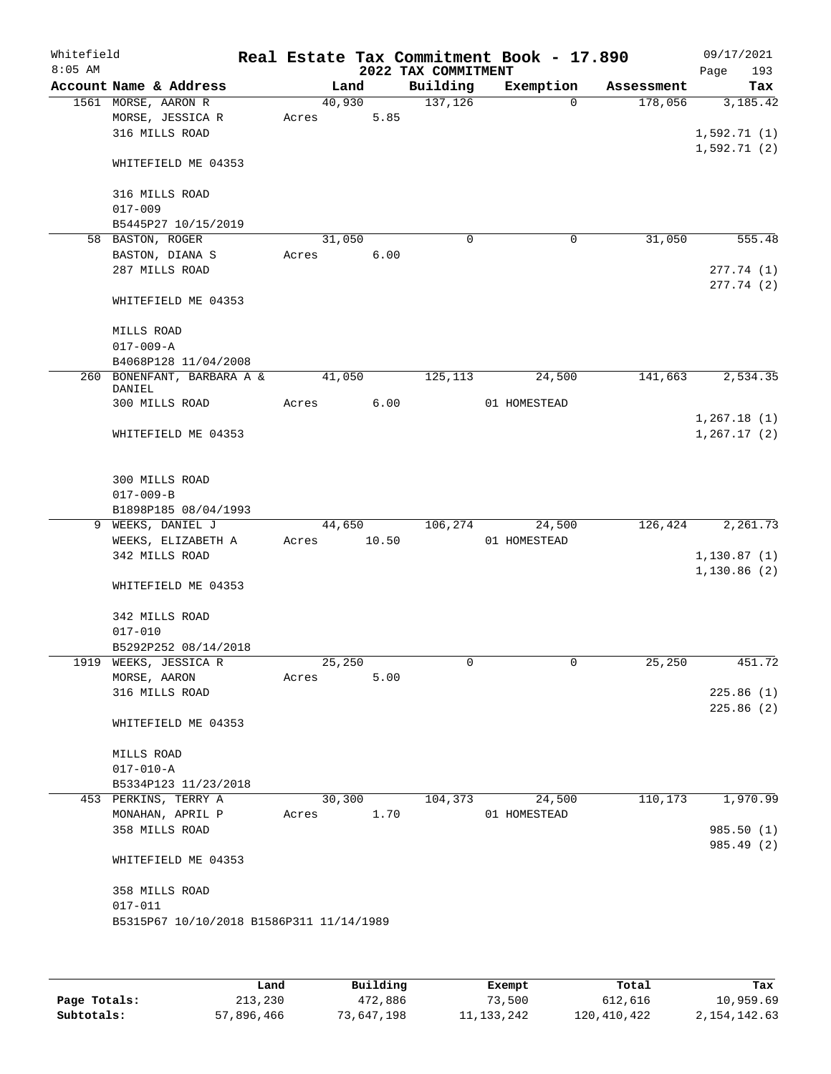| Whitefield<br>$8:05$ AM |                                              |        |        | 2022 TAX COMMITMENT | Real Estate Tax Commitment Book - 17.890 |            | 09/17/2021<br>193<br>Page |
|-------------------------|----------------------------------------------|--------|--------|---------------------|------------------------------------------|------------|---------------------------|
|                         | Account Name & Address                       |        | Land   | Building            | Exemption                                | Assessment | Tax                       |
|                         | 1561 MORSE, AARON R                          |        | 40,930 | 137, 126            | $\Omega$                                 | 178,056    | 3,185.42                  |
|                         | MORSE, JESSICA R                             | Acres  | 5.85   |                     |                                          |            |                           |
|                         | 316 MILLS ROAD                               |        |        |                     |                                          |            | 1,592.71(1)               |
|                         |                                              |        |        |                     |                                          |            | 1,592.71(2)               |
|                         | WHITEFIELD ME 04353                          |        |        |                     |                                          |            |                           |
|                         |                                              |        |        |                     |                                          |            |                           |
|                         | 316 MILLS ROAD                               |        |        |                     |                                          |            |                           |
|                         | $017 - 009$                                  |        |        |                     |                                          |            |                           |
|                         | B5445P27 10/15/2019                          |        |        |                     |                                          |            |                           |
|                         | 58 BASTON, ROGER                             | 31,050 |        | $\mathbf 0$         | 0                                        | 31,050     | 555.48                    |
|                         | BASTON, DIANA S                              | Acres  | 6.00   |                     |                                          |            |                           |
|                         | 287 MILLS ROAD                               |        |        |                     |                                          |            | 277.74(1)                 |
|                         |                                              |        |        |                     |                                          |            | 277.74(2)                 |
|                         | WHITEFIELD ME 04353                          |        |        |                     |                                          |            |                           |
|                         |                                              |        |        |                     |                                          |            |                           |
|                         | MILLS ROAD                                   |        |        |                     |                                          |            |                           |
|                         | $017 - 009 - A$                              |        |        |                     |                                          |            |                           |
|                         | B4068P128 11/04/2008                         |        |        |                     |                                          |            |                           |
|                         | 260 BONENFANT, BARBARA A &                   |        | 41,050 | 125,113             | 24,500                                   | 141,663    | 2,534.35                  |
|                         | DANIEL                                       |        |        |                     |                                          |            |                           |
|                         | 300 MILLS ROAD                               | Acres  | 6.00   |                     | 01 HOMESTEAD                             |            |                           |
|                         |                                              |        |        |                     |                                          |            | 1,267.18(1)               |
|                         | WHITEFIELD ME 04353                          |        |        |                     |                                          |            | 1, 267.17(2)              |
|                         |                                              |        |        |                     |                                          |            |                           |
|                         |                                              |        |        |                     |                                          |            |                           |
|                         | 300 MILLS ROAD                               |        |        |                     |                                          |            |                           |
|                         | $017 - 009 - B$                              |        |        |                     |                                          |            |                           |
|                         | B1898P185 08/04/1993                         |        |        |                     |                                          |            |                           |
| 9                       | WEEKS, DANIEL J                              |        | 44,650 | 106,274             | 24,500                                   | 126,424    | 2,261.73                  |
|                         | WEEKS, ELIZABETH A                           | Acres  | 10.50  |                     | 01 HOMESTEAD                             |            |                           |
|                         | 342 MILLS ROAD                               |        |        |                     |                                          |            | 1,130.87(1)               |
|                         |                                              |        |        |                     |                                          |            | 1,130.86(2)               |
|                         | WHITEFIELD ME 04353                          |        |        |                     |                                          |            |                           |
|                         |                                              |        |        |                     |                                          |            |                           |
|                         | 342 MILLS ROAD                               |        |        |                     |                                          |            |                           |
|                         | $017 - 010$                                  |        |        |                     |                                          |            |                           |
|                         | B5292P252 08/14/2018                         |        |        |                     |                                          |            |                           |
|                         | 1919 WEEKS, JESSICA R                        | 25,250 |        | 0                   | 0                                        | 25,250     | 451.72                    |
|                         | MORSE, AARON                                 | Acres  | 5.00   |                     |                                          |            |                           |
|                         | 316 MILLS ROAD                               |        |        |                     |                                          |            | 225.86(1)                 |
|                         |                                              |        |        |                     |                                          |            | 225.86(2)                 |
|                         | WHITEFIELD ME 04353                          |        |        |                     |                                          |            |                           |
|                         |                                              |        |        |                     |                                          |            |                           |
|                         |                                              |        |        |                     |                                          |            |                           |
|                         | MILLS ROAD                                   |        |        |                     |                                          |            |                           |
|                         | $017 - 010 - A$                              |        |        |                     |                                          |            |                           |
|                         | B5334P123 11/23/2018<br>453 PERKINS, TERRY A |        |        |                     |                                          | 110,173    | 1,970.99                  |
|                         |                                              | 30,300 |        | 104,373             | 24,500                                   |            |                           |
|                         | MONAHAN, APRIL P                             | Acres  | 1.70   |                     | 01 HOMESTEAD                             |            |                           |
|                         | 358 MILLS ROAD                               |        |        |                     |                                          |            | 985.50 (1)                |
|                         |                                              |        |        |                     |                                          |            | 985.49 (2)                |
|                         | WHITEFIELD ME 04353                          |        |        |                     |                                          |            |                           |
|                         |                                              |        |        |                     |                                          |            |                           |
|                         | 358 MILLS ROAD                               |        |        |                     |                                          |            |                           |
|                         | $017 - 011$                                  |        |        |                     |                                          |            |                           |
|                         | B5315P67 10/10/2018 B1586P311 11/14/1989     |        |        |                     |                                          |            |                           |
|                         |                                              |        |        |                     |                                          |            |                           |
|                         |                                              |        |        |                     |                                          |            |                           |

|              | Land       | Building   | Exempt       | Total         | Tax          |
|--------------|------------|------------|--------------|---------------|--------------|
| Page Totals: | 213,230    | 472,886    | 73,500       | 612,616       | 10,959.69    |
| Subtotals:   | 57,896,466 | 73,647,198 | 11, 133, 242 | 120, 410, 422 | 2,154,142.63 |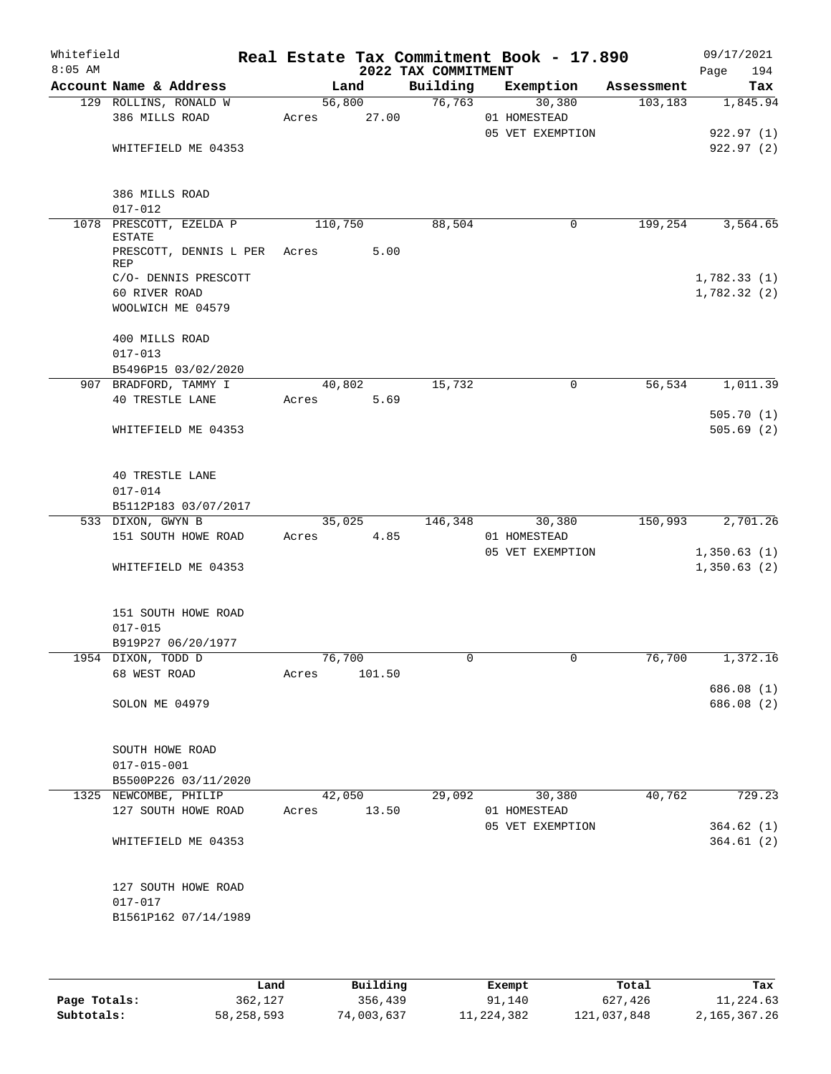| Whitefield<br>$8:05$ AM |                                                             |       |                 |                 | 2022 TAX COMMITMENT | Real Estate Tax Commitment Book - 17.890 |            | 09/17/2021<br>194<br>Page  |
|-------------------------|-------------------------------------------------------------|-------|-----------------|-----------------|---------------------|------------------------------------------|------------|----------------------------|
|                         | Account Name & Address                                      |       |                 | Land            | Building            | Exemption                                | Assessment | Tax                        |
|                         | 129 ROLLINS, RONALD W<br>386 MILLS ROAD                     |       | Acres           | 56,800<br>27.00 | 76,763              | 30,380<br>01 HOMESTEAD                   | 103, 183   | 1,845.94                   |
|                         | WHITEFIELD ME 04353                                         |       |                 |                 |                     | 05 VET EXEMPTION                         |            | 922.97(1)<br>922.97(2)     |
|                         | 386 MILLS ROAD<br>$017 - 012$                               |       |                 |                 |                     |                                          |            |                            |
|                         | 1078 PRESCOTT, EZELDA P<br>ESTATE                           |       | 110,750         |                 | 88,504              | 0                                        | 199,254    | 3,564.65                   |
|                         | PRESCOTT, DENNIS L PER Acres<br>REP<br>C/O- DENNIS PRESCOTT |       |                 | 5.00            |                     |                                          |            | 1,782.33(1)                |
|                         | 60 RIVER ROAD                                               |       |                 |                 |                     |                                          |            | 1,782.32(2)                |
|                         | WOOLWICH ME 04579                                           |       |                 |                 |                     |                                          |            |                            |
|                         | 400 MILLS ROAD<br>$017 - 013$                               |       |                 |                 |                     |                                          |            |                            |
|                         | B5496P15 03/02/2020                                         |       |                 |                 |                     |                                          |            |                            |
|                         | 907 BRADFORD, TAMMY I<br><b>40 TRESTLE LANE</b>             |       | 40,802<br>Acres | 5.69            | 15,732              | 0                                        | 56,534     | 1,011.39                   |
|                         | WHITEFIELD ME 04353                                         |       |                 |                 |                     |                                          |            | 505.70(1)<br>505.69(2)     |
|                         | <b>40 TRESTLE LANE</b><br>$017 - 014$                       |       |                 |                 |                     |                                          |            |                            |
|                         | B5112P183 03/07/2017                                        |       |                 |                 |                     |                                          |            |                            |
|                         | 533 DIXON, GWYN B<br>151 SOUTH HOWE ROAD                    | Acres | 35,025          | 4.85            | 146,348             | 30,380<br>01 HOMESTEAD                   | 150,993    | 2,701.26                   |
|                         | WHITEFIELD ME 04353                                         |       |                 |                 |                     | 05 VET EXEMPTION                         |            | 1,350.63(1)<br>1,350.63(2) |
|                         | 151 SOUTH HOWE ROAD<br>$017 - 015$<br>B919P27 06/20/1977    |       |                 |                 |                     |                                          |            |                            |
|                         | 1954 DIXON, TODD D                                          |       | 76,700          |                 | 0                   | 0                                        | 76,700     | 1,372.16                   |
|                         | 68 WEST ROAD                                                | Acres |                 | 101.50          |                     |                                          |            | 686.08 (1)                 |
|                         | SOLON ME 04979                                              |       |                 |                 |                     |                                          |            | 686.08 (2)                 |
|                         | SOUTH HOWE ROAD<br>$017 - 015 - 001$                        |       |                 |                 |                     |                                          |            |                            |
|                         | B5500P226 03/11/2020                                        |       |                 |                 |                     |                                          |            |                            |
|                         | 1325 NEWCOMBE, PHILIP<br>127 SOUTH HOWE ROAD                |       | 42,050          | Acres 13.50     | 29,092              | 30,380<br>01 HOMESTEAD                   | 40,762     | 729.23                     |
|                         | WHITEFIELD ME 04353                                         |       |                 |                 |                     | 05 VET EXEMPTION                         |            | 364.62(1)<br>364.61(2)     |
|                         | 127 SOUTH HOWE ROAD<br>$017 - 017$<br>B1561P162 07/14/1989  |       |                 |                 |                     |                                          |            |                            |

|              | Land         | Building   | Exempt     | Total       | Tax          |
|--------------|--------------|------------|------------|-------------|--------------|
| Page Totals: | 362,127      | 356,439    | 91,140     | 627,426     | 11,224.63    |
| Subtotals:   | 58, 258, 593 | 74,003,637 | 11,224,382 | 121,037,848 | 2,165,367.26 |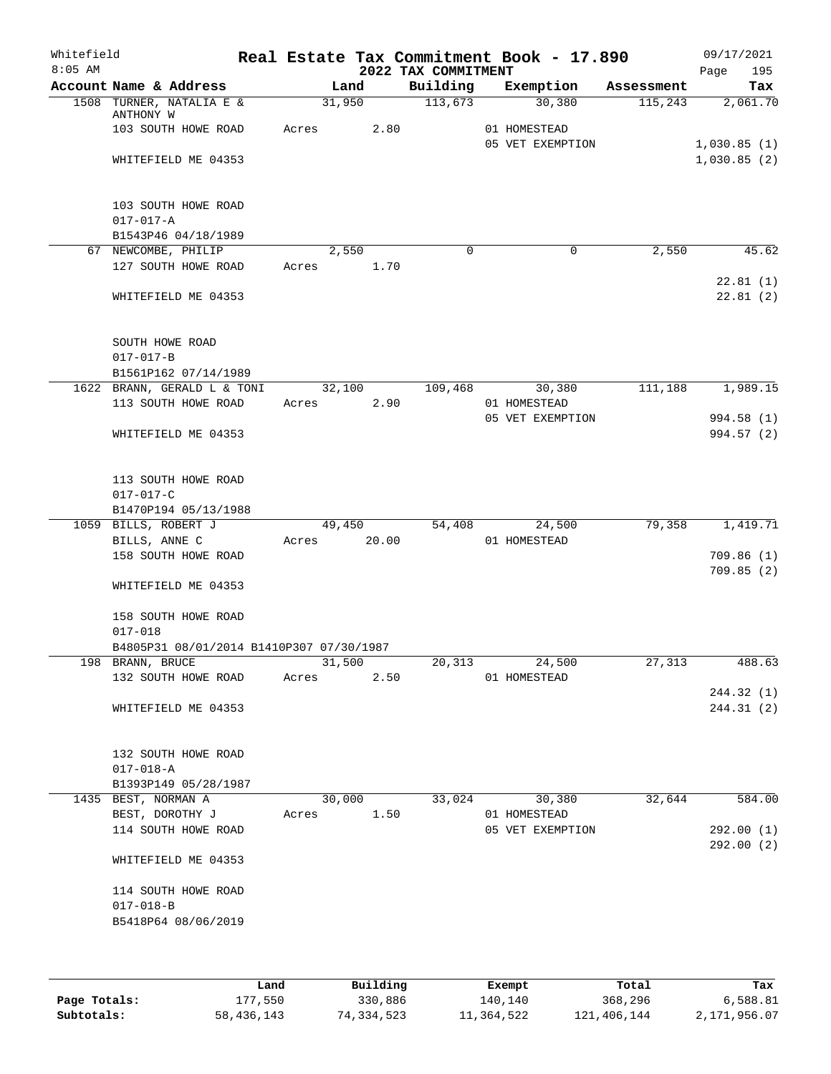| 09/17/2021<br>Real Estate Tax Commitment Book - 17.890<br>2022 TAX COMMITMENT<br>195<br>Page |        |       |                                                    |                                    | Whitefield<br>$8:05$ AM |
|----------------------------------------------------------------------------------------------|--------|-------|----------------------------------------------------|------------------------------------|-------------------------|
| Building<br>Exemption<br>Tax<br>Assessment                                                   | Land   |       |                                                    |                                    | Account Name & Address  |
| 113,673<br>30,380<br>115,243<br>2,061.70                                                     | 31,950 |       | 1508 TURNER, NATALIA E &                           |                                    |                         |
| 2.80<br>01 HOMESTEAD<br>05 VET EXEMPTION<br>1,030.85(1)                                      |        | Acres | 103 SOUTH HOWE ROAD                                | ANTHONY W                          |                         |
| 1,030.85(2)                                                                                  |        |       | WHITEFIELD ME 04353                                |                                    |                         |
|                                                                                              |        |       | 103 SOUTH HOWE ROAD<br>B1543P46 04/18/1989         | $017 - 017 - A$                    |                         |
| $\Omega$<br>$\mathbf 0$<br>45.62<br>2,550                                                    | 2,550  |       |                                                    | 67 NEWCOMBE, PHILIP                |                         |
| 1.70<br>22.81(1)                                                                             | Acres  |       | 127 SOUTH HOWE ROAD                                |                                    |                         |
| 22.81(2)                                                                                     |        |       | WHITEFIELD ME 04353                                |                                    |                         |
|                                                                                              |        |       |                                                    | SOUTH HOWE ROAD<br>$017 - 017 - B$ |                         |
|                                                                                              |        |       | B1561P162 07/14/1989                               |                                    |                         |
| 109,468<br>30,380<br>111,188<br>1,989.15<br>2.90<br>01 HOMESTEAD                             | 32,100 | Acres | 1622 BRANN, GERALD L & TONI<br>113 SOUTH HOWE ROAD |                                    |                         |
| 05 VET EXEMPTION<br>994.58 (1)<br>994.57 (2)                                                 |        |       | WHITEFIELD ME 04353                                |                                    |                         |
|                                                                                              |        |       | 113 SOUTH HOWE ROAD<br>B1470P194 05/13/1988        | $017 - 017 - C$                    |                         |
| 79,358<br>1,419.71<br>54,408<br>24,500                                                       | 49,450 |       |                                                    | 1059 BILLS, ROBERT J               |                         |
| 20.00<br>01 HOMESTEAD                                                                        |        | Acres |                                                    | BILLS, ANNE C                      |                         |
| 709.86(1)                                                                                    |        |       | 158 SOUTH HOWE ROAD                                |                                    |                         |
| 709.85(2)                                                                                    |        |       | WHITEFIELD ME 04353                                |                                    |                         |
|                                                                                              |        |       | 158 SOUTH HOWE ROAD                                | $017 - 018$                        |                         |
|                                                                                              |        |       | B4805P31 08/01/2014 B1410P307 07/30/1987           |                                    |                         |
| 20,313<br>24,500<br>27,313<br>488.63<br>2.50<br>01 HOMESTEAD                                 | 31,500 | Acres | 132 SOUTH HOWE ROAD                                | 198 BRANN, BRUCE                   |                         |
| 244.32 (1)<br>244.31(2)                                                                      |        |       | WHITEFIELD ME 04353                                |                                    |                         |
|                                                                                              |        |       | 132 SOUTH HOWE ROAD<br>B1393P149 05/28/1987        | $017 - 018 - A$                    |                         |
| 32,644<br>584.00<br>33,024<br>30,380                                                         | 30,000 |       |                                                    | 1435 BEST, NORMAN A                |                         |
| 1.50<br>01 HOMESTEAD                                                                         |        | Acres |                                                    | BEST, DOROTHY J                    |                         |
| 05 VET EXEMPTION<br>292.00(1)<br>292.00(2)                                                   |        |       | 114 SOUTH HOWE ROAD                                |                                    |                         |
|                                                                                              |        |       | WHITEFIELD ME 04353                                |                                    |                         |
|                                                                                              |        |       | 114 SOUTH HOWE ROAD                                | $017 - 018 - B$                    |                         |

|              | Land       | Building   | Exempt     | Total       | Tax          |
|--------------|------------|------------|------------|-------------|--------------|
| Page Totals: | 177,550    | 330,886    | 140,140    | 368,296     | 6,588.81     |
| Subtotals:   | 58,436,143 | 74,334,523 | 11,364,522 | 121,406,144 | 2,171,956.07 |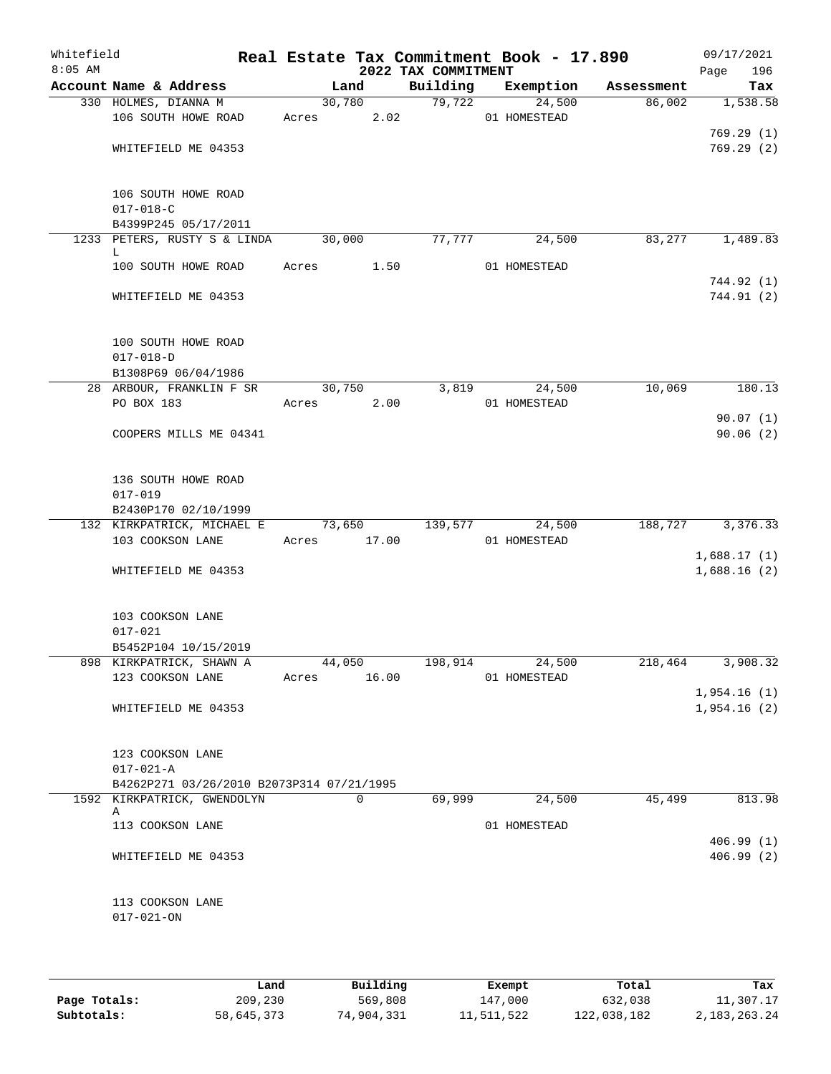| Whitefield<br>$8:05$ AM |                                                               |        |                | 2022 TAX COMMITMENT | Real Estate Tax Commitment Book - 17.890 |            | 09/17/2021<br>196<br>Page  |
|-------------------------|---------------------------------------------------------------|--------|----------------|---------------------|------------------------------------------|------------|----------------------------|
|                         | Account Name & Address                                        |        | Land           | Building            | Exemption                                | Assessment | Tax                        |
|                         | 330 HOLMES, DIANNA M<br>106 SOUTH HOWE ROAD                   | Acres  | 30,780<br>2.02 | 79,722              | 24,500<br>01 HOMESTEAD                   | 86,002     | 1,538.58                   |
|                         | WHITEFIELD ME 04353                                           |        |                |                     |                                          |            | 769.29(1)<br>769.29(2)     |
|                         | 106 SOUTH HOWE ROAD<br>$017 - 018 - C$                        |        |                |                     |                                          |            |                            |
|                         | B4399P245 05/17/2011                                          |        |                |                     |                                          |            |                            |
|                         | 1233 PETERS, RUSTY S & LINDA<br>L.                            | 30,000 |                | 77,777              | 24,500                                   | 83,277     | 1,489.83                   |
|                         | 100 SOUTH HOWE ROAD                                           | Acres  | 1.50           |                     | 01 HOMESTEAD                             |            | 744.92 (1)                 |
|                         | WHITEFIELD ME 04353                                           |        |                |                     |                                          |            | 744.91 (2)                 |
|                         | 100 SOUTH HOWE ROAD<br>$017 - 018 - D$<br>B1308P69 06/04/1986 |        |                |                     |                                          |            |                            |
|                         | 28 ARBOUR, FRANKLIN F SR                                      | 30,750 |                | 3,819               | 24,500                                   | 10,069     | 180.13                     |
|                         | PO BOX 183                                                    | Acres  | 2.00           |                     | 01 HOMESTEAD                             |            |                            |
|                         | COOPERS MILLS ME 04341                                        |        |                |                     |                                          |            | 90.07(1)<br>90.06(2)       |
|                         | 136 SOUTH HOWE ROAD<br>$017 - 019$<br>B2430P170 02/10/1999    |        |                |                     |                                          |            |                            |
|                         | 132 KIRKPATRICK, MICHAEL E                                    | 73,650 |                | 139,577             | 24,500                                   | 188,727    | 3,376.33                   |
|                         | 103 COOKSON LANE                                              | Acres  | 17.00          |                     | 01 HOMESTEAD                             |            |                            |
|                         | WHITEFIELD ME 04353                                           |        |                |                     |                                          |            | 1,688.17(1)<br>1,688.16(2) |
|                         | 103 COOKSON LANE<br>$017 - 021$                               |        |                |                     |                                          |            |                            |
|                         | B5452P104 10/15/2019<br>898 KIRKPATRICK, SHAWN A              |        | 44,050         | 198,914             | 24,500                                   | 218,464    | 3,908.32                   |
|                         | 123 COOKSON LANE                                              | Acres  | 16.00          |                     | 01 HOMESTEAD                             |            |                            |
|                         | WHITEFIELD ME 04353                                           |        |                |                     |                                          |            | 1,954.16(1)<br>1,954.16(2) |
|                         | 123 COOKSON LANE<br>$017 - 021 - A$                           |        |                |                     |                                          |            |                            |
|                         | B4262P271 03/26/2010 B2073P314 07/21/1995                     |        |                |                     |                                          |            |                            |
|                         | 1592 KIRKPATRICK, GWENDOLYN<br>Α                              |        | $\Omega$       | 69,999              | 24,500                                   | 45,499     | 813.98                     |
|                         | 113 COOKSON LANE                                              |        |                |                     | 01 HOMESTEAD                             |            |                            |
|                         | WHITEFIELD ME 04353                                           |        |                |                     |                                          |            | 406.99(1)<br>406.99(2)     |
|                         | 113 COOKSON LANE<br>$017 - 021 - ON$                          |        |                |                     |                                          |            |                            |

|              | Land       | Building   | Exempt     | Total       | Tax             |
|--------------|------------|------------|------------|-------------|-----------------|
| Page Totals: | 209,230    | 569,808    | 147,000    | 632,038     | 11,307.17       |
| Subtotals:   | 58,645,373 | 74,904,331 | 11,511,522 | 122,038,182 | 2, 183, 263. 24 |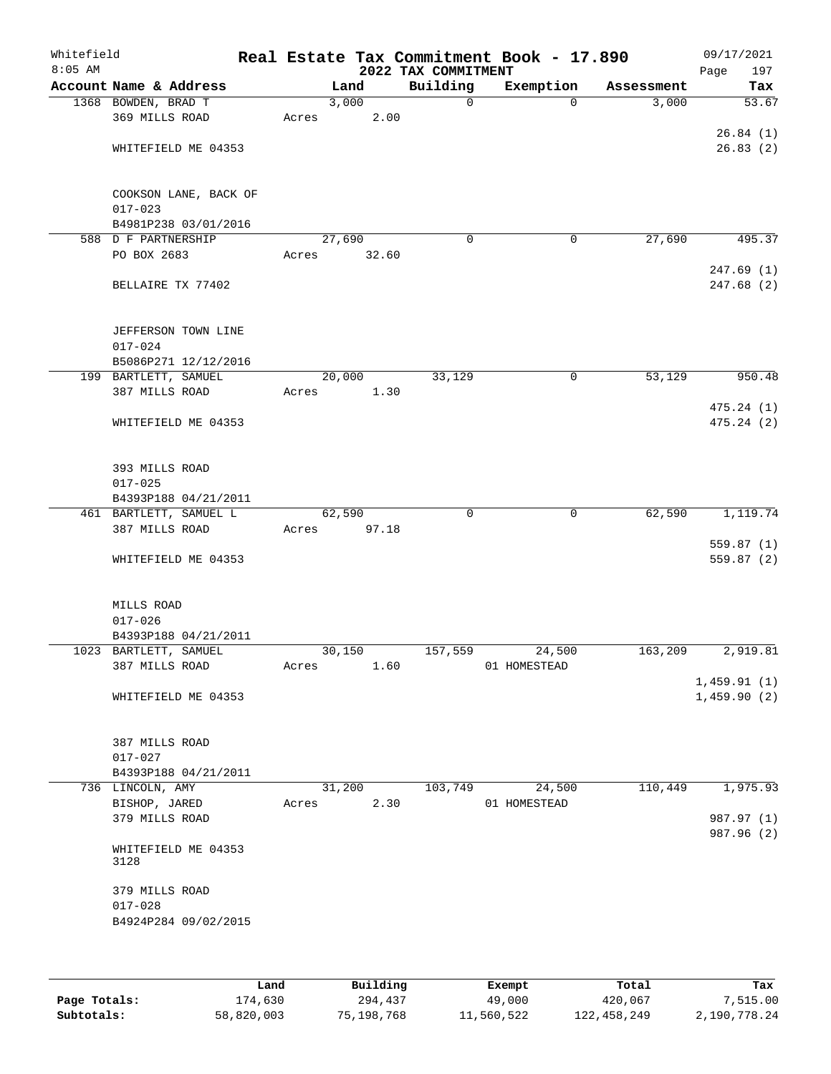| Whitefield<br>$8:05$ AM |                                              |       |        | 2022 TAX COMMITMENT | Real Estate Tax Commitment Book - 17.890 |            | 09/17/2021<br>Page<br>197 |
|-------------------------|----------------------------------------------|-------|--------|---------------------|------------------------------------------|------------|---------------------------|
|                         | Account Name & Address                       |       | Land   | Building            | Exemption                                | Assessment | Tax                       |
|                         | 1368 BOWDEN, BRAD T                          |       | 3,000  | $\mathbf 0$         | $\Omega$                                 | 3,000      | 53.67                     |
|                         | 369 MILLS ROAD                               | Acres | 2.00   |                     |                                          |            |                           |
|                         |                                              |       |        |                     |                                          |            | 26.84(1)                  |
|                         | WHITEFIELD ME 04353                          |       |        |                     |                                          |            | 26.83(2)                  |
|                         |                                              |       |        |                     |                                          |            |                           |
|                         | COOKSON LANE, BACK OF                        |       |        |                     |                                          |            |                           |
|                         | $017 - 023$                                  |       |        |                     |                                          |            |                           |
|                         | B4981P238 03/01/2016                         |       |        |                     |                                          |            |                           |
|                         | 588 D F PARTNERSHIP                          |       | 27,690 | $\mathbf 0$         | 0                                        | 27,690     | 495.37                    |
|                         | PO BOX 2683                                  | Acres | 32.60  |                     |                                          |            |                           |
|                         |                                              |       |        |                     |                                          |            | 247.69(1)                 |
|                         | BELLAIRE TX 77402                            |       |        |                     |                                          |            | 247.68(2)                 |
|                         |                                              |       |        |                     |                                          |            |                           |
|                         |                                              |       |        |                     |                                          |            |                           |
|                         | JEFFERSON TOWN LINE                          |       |        |                     |                                          |            |                           |
|                         | $017 - 024$                                  |       |        |                     |                                          |            |                           |
|                         | B5086P271 12/12/2016<br>199 BARTLETT, SAMUEL |       | 20,000 | 33,129              |                                          | 53,129     | 950.48                    |
|                         | 387 MILLS ROAD                               | Acres | 1.30   |                     | 0                                        |            |                           |
|                         |                                              |       |        |                     |                                          |            | 475.24(1)                 |
|                         | WHITEFIELD ME 04353                          |       |        |                     |                                          |            | 475.24(2)                 |
|                         |                                              |       |        |                     |                                          |            |                           |
|                         |                                              |       |        |                     |                                          |            |                           |
|                         | 393 MILLS ROAD                               |       |        |                     |                                          |            |                           |
|                         | $017 - 025$                                  |       |        |                     |                                          |            |                           |
|                         | B4393P188 04/21/2011                         |       |        |                     |                                          |            |                           |
|                         | 461 BARTLETT, SAMUEL L                       |       | 62,590 | $\mathbf 0$         | $\mathbf 0$                              | 62,590     | 1,119.74                  |
|                         | 387 MILLS ROAD                               | Acres | 97.18  |                     |                                          |            |                           |
|                         |                                              |       |        |                     |                                          |            | 559.87(1)                 |
|                         | WHITEFIELD ME 04353                          |       |        |                     |                                          |            | 559.87(2)                 |
|                         |                                              |       |        |                     |                                          |            |                           |
|                         | MILLS ROAD                                   |       |        |                     |                                          |            |                           |
|                         | $017 - 026$                                  |       |        |                     |                                          |            |                           |
|                         | B4393P188 04/21/2011                         |       |        |                     |                                          |            |                           |
|                         | 1023 BARTLETT, SAMUEL                        |       | 30,150 | 157,559             | 24,500                                   | 163,209    | 2,919.81                  |
|                         | 387 MILLS ROAD                               | Acres | 1.60   |                     | 01 HOMESTEAD                             |            |                           |
|                         |                                              |       |        |                     |                                          |            | 1,459.91(1)               |
|                         | WHITEFIELD ME 04353                          |       |        |                     |                                          |            | 1,459.90(2)               |
|                         |                                              |       |        |                     |                                          |            |                           |
|                         | 387 MILLS ROAD                               |       |        |                     |                                          |            |                           |
|                         | $017 - 027$                                  |       |        |                     |                                          |            |                           |
|                         | B4393P188 04/21/2011                         |       |        |                     |                                          |            |                           |
|                         | 736 LINCOLN, AMY                             |       | 31,200 | 103,749             | 24,500                                   | 110,449    | 1,975.93                  |
|                         | BISHOP, JARED                                | Acres | 2.30   |                     | 01 HOMESTEAD                             |            |                           |
|                         | 379 MILLS ROAD                               |       |        |                     |                                          |            | 987.97 (1)                |
|                         |                                              |       |        |                     |                                          |            | 987.96 (2)                |
|                         | WHITEFIELD ME 04353                          |       |        |                     |                                          |            |                           |
|                         | 3128                                         |       |        |                     |                                          |            |                           |
|                         | 379 MILLS ROAD                               |       |        |                     |                                          |            |                           |
|                         | $017 - 028$                                  |       |        |                     |                                          |            |                           |
|                         | B4924P284 09/02/2015                         |       |        |                     |                                          |            |                           |
|                         |                                              |       |        |                     |                                          |            |                           |
|                         |                                              |       |        |                     |                                          |            |                           |
|                         |                                              |       |        |                     |                                          |            |                           |

|              | Land       | Building   | Exempt     | Total       | Tax          |
|--------------|------------|------------|------------|-------------|--------------|
| Page Totals: | L74,630    | 294,437    | 49,000     | 420,067     | 7,515.00     |
| Subtotals:   | 58,820,003 | 75,198,768 | 11,560,522 | 122,458,249 | 2,190,778.24 |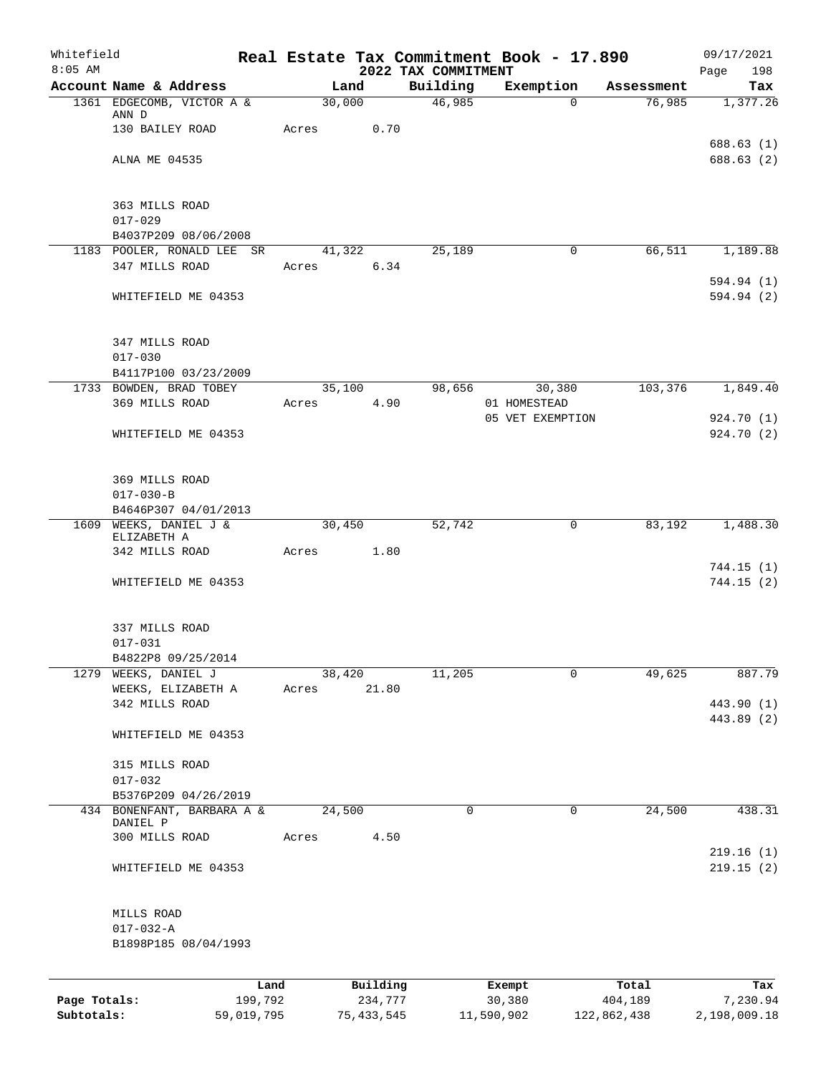| Whitefield<br>$8:05$ AM |                                            |        |          | 2022 TAX COMMITMENT | Real Estate Tax Commitment Book - 17.890 |            | 09/17/2021<br>198<br>Page |
|-------------------------|--------------------------------------------|--------|----------|---------------------|------------------------------------------|------------|---------------------------|
|                         | Account Name & Address                     |        | Land     | Building            | Exemption                                | Assessment | Tax                       |
|                         | 1361 EDGECOMB, VICTOR A &                  | 30,000 |          | 46,985              | 0                                        | 76,985     | 1,377.26                  |
|                         | ANN D<br>130 BAILEY ROAD                   |        | 0.70     |                     |                                          |            |                           |
|                         |                                            | Acres  |          |                     |                                          |            | 688.63(1)                 |
|                         | ALNA ME 04535                              |        |          |                     |                                          |            | 688.63 (2)                |
|                         |                                            |        |          |                     |                                          |            |                           |
|                         |                                            |        |          |                     |                                          |            |                           |
|                         | 363 MILLS ROAD                             |        |          |                     |                                          |            |                           |
|                         | $017 - 029$<br>B4037P209 08/06/2008        |        |          |                     |                                          |            |                           |
|                         | 1183 POOLER, RONALD LEE<br>SR.             |        | 41,322   | 25,189              | 0                                        | 66,511     | 1,189.88                  |
|                         | 347 MILLS ROAD                             | Acres  | 6.34     |                     |                                          |            |                           |
|                         |                                            |        |          |                     |                                          |            | 594.94 (1)                |
|                         | WHITEFIELD ME 04353                        |        |          |                     |                                          |            | 594.94 (2)                |
|                         |                                            |        |          |                     |                                          |            |                           |
|                         | 347 MILLS ROAD                             |        |          |                     |                                          |            |                           |
|                         | $017 - 030$                                |        |          |                     |                                          |            |                           |
|                         | B4117P100 03/23/2009                       |        |          |                     |                                          |            |                           |
|                         | 1733 BOWDEN, BRAD TOBEY                    | 35,100 |          | 98,656              | 30,380                                   | 103,376    | 1,849.40                  |
|                         | 369 MILLS ROAD                             | Acres  | 4.90     |                     | 01 HOMESTEAD                             |            |                           |
|                         |                                            |        |          |                     | 05 VET EXEMPTION                         |            | 924.70 (1)                |
|                         | WHITEFIELD ME 04353                        |        |          |                     |                                          |            | 924.70 (2)                |
|                         |                                            |        |          |                     |                                          |            |                           |
|                         | 369 MILLS ROAD                             |        |          |                     |                                          |            |                           |
|                         | $017 - 030 - B$                            |        |          |                     |                                          |            |                           |
|                         | B4646P307 04/01/2013                       |        |          |                     |                                          |            |                           |
| 1609                    | WEEKS, DANIEL J &                          | 30,450 |          | 52,742              | 0                                        | 83,192     | 1,488.30                  |
|                         | ELIZABETH A                                |        |          |                     |                                          |            |                           |
|                         | 342 MILLS ROAD                             | Acres  | 1.80     |                     |                                          |            | 744.15(1)                 |
|                         | WHITEFIELD ME 04353                        |        |          |                     |                                          |            | 744.15(2)                 |
|                         |                                            |        |          |                     |                                          |            |                           |
|                         |                                            |        |          |                     |                                          |            |                           |
|                         | 337 MILLS ROAD                             |        |          |                     |                                          |            |                           |
|                         | $017 - 031$                                |        |          |                     |                                          |            |                           |
|                         | B4822P8 09/25/2014<br>1279 WEEKS, DANIEL J | 38,420 |          | 11,205              | 0                                        | 49,625     | 887.79                    |
|                         | WEEKS, ELIZABETH A                         | Acres  | 21.80    |                     |                                          |            |                           |
|                         | 342 MILLS ROAD                             |        |          |                     |                                          |            | 443.90 (1)                |
|                         |                                            |        |          |                     |                                          |            | 443.89 (2)                |
|                         | WHITEFIELD ME 04353                        |        |          |                     |                                          |            |                           |
|                         |                                            |        |          |                     |                                          |            |                           |
|                         | 315 MILLS ROAD                             |        |          |                     |                                          |            |                           |
|                         | $017 - 032$<br>B5376P209 04/26/2019        |        |          |                     |                                          |            |                           |
|                         | 434 BONENFANT, BARBARA A &                 | 24,500 |          | $\mathbf 0$         | $\mathbf 0$                              | 24,500     | 438.31                    |
|                         | DANIEL P                                   |        |          |                     |                                          |            |                           |
|                         | 300 MILLS ROAD                             | Acres  | 4.50     |                     |                                          |            |                           |
|                         |                                            |        |          |                     |                                          |            | 219.16(1)                 |
|                         | WHITEFIELD ME 04353                        |        |          |                     |                                          |            | 219.15(2)                 |
|                         |                                            |        |          |                     |                                          |            |                           |
|                         | MILLS ROAD                                 |        |          |                     |                                          |            |                           |
|                         | $017 - 032 - A$                            |        |          |                     |                                          |            |                           |
|                         | B1898P185 08/04/1993                       |        |          |                     |                                          |            |                           |
|                         |                                            |        |          |                     |                                          |            |                           |
|                         |                                            | Land   | Building |                     | Exempt                                   | Total      | Tax                       |
| Page Totals:            | 199,792                                    |        | 234,777  |                     | 30,380                                   | 404,189    | 7,230.94                  |

**Subtotals:** 59,019,795 75,433,545 11,590,902 122,862,438 2,198,009.18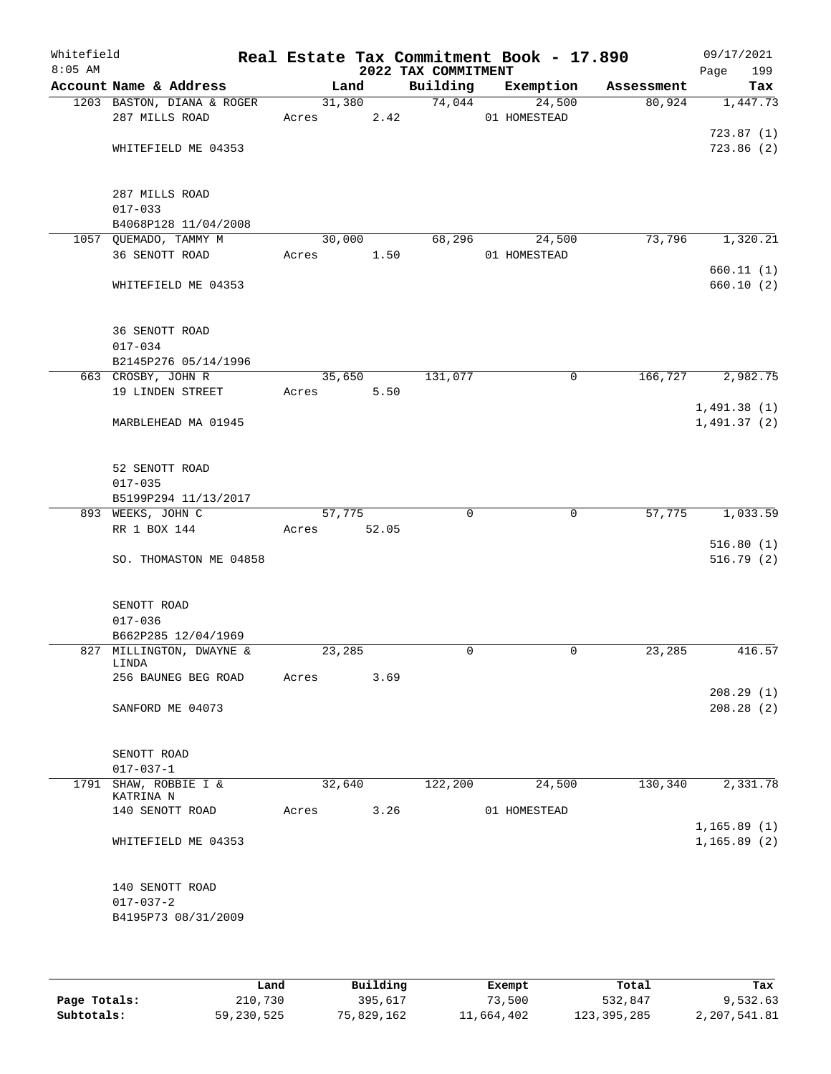| Whitefield<br>$8:05$ AM |                                                       |       |        |       | 2022 TAX COMMITMENT | Real Estate Tax Commitment Book - 17.890 |            | 09/17/2021<br>Page<br>199  |
|-------------------------|-------------------------------------------------------|-------|--------|-------|---------------------|------------------------------------------|------------|----------------------------|
|                         | Account Name & Address                                |       | Land   |       | Building            | Exemption                                | Assessment | Tax                        |
|                         | 1203 BASTON, DIANA & ROGER<br>287 MILLS ROAD          | Acres | 31,380 | 2.42  | 74,044              | 24,500<br>01 HOMESTEAD                   | 80,924     | 1,447.73                   |
|                         | WHITEFIELD ME 04353                                   |       |        |       |                     |                                          |            | 723.87(1)<br>723.86(2)     |
|                         | 287 MILLS ROAD<br>$017 - 033$<br>B4068P128 11/04/2008 |       |        |       |                     |                                          |            |                            |
|                         | 1057 QUEMADO, TAMMY M                                 |       | 30,000 |       | 68,296              | 24,500                                   | 73,796     | 1,320.21                   |
|                         | 36 SENOTT ROAD                                        | Acres |        | 1.50  |                     | 01 HOMESTEAD                             |            | 660.11(1)                  |
|                         | WHITEFIELD ME 04353                                   |       |        |       |                     |                                          |            | 660.10 (2)                 |
|                         | 36 SENOTT ROAD<br>$017 - 034$                         |       |        |       |                     |                                          |            |                            |
|                         | B2145P276 05/14/1996                                  |       |        |       |                     |                                          |            |                            |
|                         | 663 CROSBY, JOHN R                                    |       | 35,650 |       | 131,077             | $\mathbf 0$                              | 166,727    | 2,982.75                   |
|                         | 19 LINDEN STREET                                      | Acres |        | 5.50  |                     |                                          |            |                            |
|                         | MARBLEHEAD MA 01945                                   |       |        |       |                     |                                          |            | 1,491.38(1)<br>1,491.37(2) |
|                         | 52 SENOTT ROAD<br>$017 - 035$<br>B5199P294 11/13/2017 |       |        |       |                     |                                          |            |                            |
|                         | 893 WEEKS, JOHN C                                     |       | 57,775 |       | $\mathbf 0$         | $\mathbf 0$                              | 57,775     | 1,033.59                   |
|                         | RR 1 BOX 144                                          | Acres |        | 52.05 |                     |                                          |            |                            |
|                         |                                                       |       |        |       |                     |                                          |            | 516.80(1)                  |
|                         | SO. THOMASTON ME 04858                                |       |        |       |                     |                                          |            | 516.79(2)                  |
|                         | SENOTT ROAD<br>$017 - 036$                            |       |        |       |                     |                                          |            |                            |
|                         | B662P285 12/04/1969                                   |       |        |       |                     |                                          |            |                            |
|                         | 827 MILLINGTON, DWAYNE &<br>LINDA                     |       | 23,285 |       | $\Omega$            | $\mathbf 0$                              | 23,285     | 416.57                     |
|                         | 256 BAUNEG BEG ROAD                                   | Acres |        | 3.69  |                     |                                          |            |                            |
|                         |                                                       |       |        |       |                     |                                          |            | 208.29(1)                  |
|                         | SANFORD ME 04073                                      |       |        |       |                     |                                          |            | 208.28(2)                  |
|                         | SENOTT ROAD<br>$017 - 037 - 1$                        |       |        |       |                     |                                          |            |                            |
| 1791                    | SHAW, ROBBIE I &                                      |       | 32,640 |       | 122,200             | 24,500                                   | 130,340    | 2,331.78                   |
|                         | KATRINA N<br>140 SENOTT ROAD                          | Acres |        | 3.26  |                     | 01 HOMESTEAD                             |            |                            |
|                         |                                                       |       |        |       |                     |                                          |            | 1,165.89(1)                |
|                         | WHITEFIELD ME 04353                                   |       |        |       |                     |                                          |            | 1, 165.89(2)               |
|                         | 140 SENOTT ROAD<br>$017 - 037 - 2$                    |       |        |       |                     |                                          |            |                            |
|                         | B4195P73 08/31/2009                                   |       |        |       |                     |                                          |            |                            |
|                         |                                                       |       |        |       |                     |                                          |            |                            |

|              | Land       | Building   | Exempt     | Total         | Tax          |
|--------------|------------|------------|------------|---------------|--------------|
| Page Totals: | 210,730    | 395,617    | 73,500     | 532,847       | 9,532.63     |
| Subtotals:   | 59,230,525 | 75,829,162 | 11,664,402 | 123, 395, 285 | 2,207,541.81 |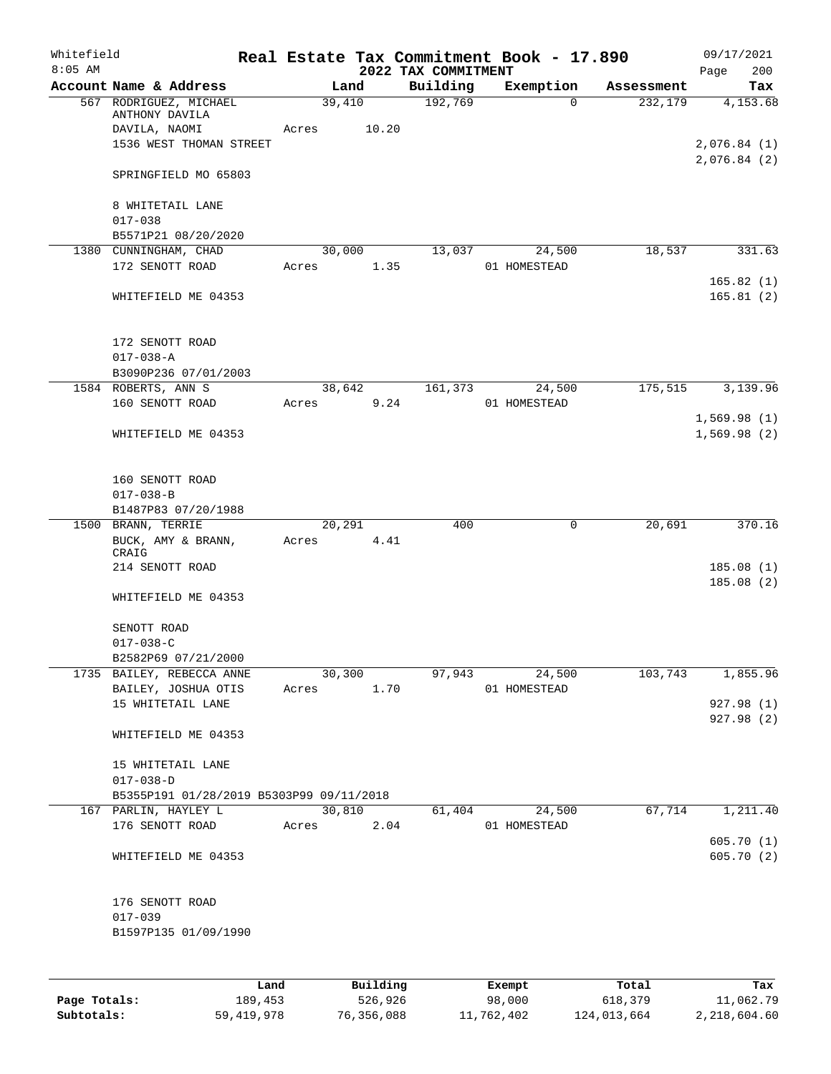| Whitefield<br>$8:05$ AM |                                          |      |       |        |            |                                 | Real Estate Tax Commitment Book - 17.890 |            | 09/17/2021                 |
|-------------------------|------------------------------------------|------|-------|--------|------------|---------------------------------|------------------------------------------|------------|----------------------------|
|                         | Account Name & Address                   |      |       | Land   |            | 2022 TAX COMMITMENT<br>Building | Exemption                                | Assessment | 200<br>Page<br>Tax         |
|                         | 567 RODRIGUEZ, MICHAEL<br>ANTHONY DAVILA |      |       | 39,410 |            | 192,769                         | $\Omega$                                 | 232,179    | 4,153.68                   |
|                         | DAVILA, NAOMI<br>1536 WEST THOMAN STREET |      | Acres |        | 10.20      |                                 |                                          |            | 2,076.84(1)<br>2,076.84(2) |
|                         | SPRINGFIELD MO 65803                     |      |       |        |            |                                 |                                          |            |                            |
|                         | 8 WHITETAIL LANE<br>$017 - 038$          |      |       |        |            |                                 |                                          |            |                            |
|                         | B5571P21 08/20/2020                      |      |       |        |            |                                 |                                          |            |                            |
|                         | 1380 CUNNINGHAM, CHAD                    |      |       | 30,000 |            | 13,037                          | 24,500                                   | 18,537     | 331.63                     |
|                         | 172 SENOTT ROAD                          |      | Acres |        | 1.35       |                                 | 01 HOMESTEAD                             |            | 165.82(1)                  |
|                         | WHITEFIELD ME 04353                      |      |       |        |            |                                 |                                          |            | 165.81(2)                  |
|                         | 172 SENOTT ROAD                          |      |       |        |            |                                 |                                          |            |                            |
|                         | $017 - 038 - A$                          |      |       |        |            |                                 |                                          |            |                            |
|                         | B3090P236 07/01/2003                     |      |       |        |            |                                 |                                          |            |                            |
|                         | 1584 ROBERTS, ANN S                      |      |       | 38,642 |            | 161,373                         | 24,500                                   | 175,515    | 3,139.96                   |
|                         | 160 SENOTT ROAD                          |      | Acres |        | 9.24       |                                 | 01 HOMESTEAD                             |            |                            |
|                         | WHITEFIELD ME 04353                      |      |       |        |            |                                 |                                          |            | 1,569.98(1)<br>1,569.98(2) |
|                         | 160 SENOTT ROAD                          |      |       |        |            |                                 |                                          |            |                            |
|                         | $017 - 038 - B$<br>B1487P83 07/20/1988   |      |       |        |            |                                 |                                          |            |                            |
|                         | 1500 BRANN, TERRIE                       |      |       | 20,291 |            | 400                             | 0                                        | 20,691     | 370.16                     |
|                         | BUCK, AMY & BRANN,<br>CRAIG              |      | Acres |        | 4.41       |                                 |                                          |            |                            |
|                         | 214 SENOTT ROAD                          |      |       |        |            |                                 |                                          |            | 185.08(1)                  |
|                         | WHITEFIELD ME 04353                      |      |       |        |            |                                 |                                          |            | 185.08(2)                  |
|                         | SENOTT ROAD<br>$017 - 038 - C$           |      |       |        |            |                                 |                                          |            |                            |
|                         | B2582P69 07/21/2000                      |      |       |        |            |                                 |                                          |            |                            |
|                         | 1735 BAILEY, REBECCA ANNE                |      |       | 30,300 |            | 97,943                          | 24,500                                   |            | 103,743 1,855.96           |
|                         | BAILEY, JOSHUA OTIS                      |      |       |        | Acres 1.70 |                                 | 01 HOMESTEAD                             |            |                            |
|                         | 15 WHITETAIL LANE                        |      |       |        |            |                                 |                                          |            | 927.98 (1)                 |
|                         | WHITEFIELD ME 04353                      |      |       |        |            |                                 |                                          |            | 927.98 (2)                 |
|                         | 15 WHITETAIL LANE<br>$017 - 038 - D$     |      |       |        |            |                                 |                                          |            |                            |
|                         | B5355P191 01/28/2019 B5303P99 09/11/2018 |      |       |        |            |                                 |                                          |            |                            |
|                         | 167 PARLIN, HAYLEY L                     |      |       |        | 30,810     |                                 | 61,404 24,500                            | 67,714     | 1,211.40                   |
|                         | 176 SENOTT ROAD                          |      |       |        | Acres 2.04 |                                 | 01 HOMESTEAD                             |            |                            |
|                         | WHITEFIELD ME 04353                      |      |       |        |            |                                 |                                          |            | 605.70(1)<br>605.70(2)     |
|                         |                                          |      |       |        |            |                                 |                                          |            |                            |
|                         | 176 SENOTT ROAD                          |      |       |        |            |                                 |                                          |            |                            |
|                         | $017 - 039$<br>B1597P135 01/09/1990      |      |       |        |            |                                 |                                          |            |                            |
|                         |                                          |      |       |        |            |                                 |                                          |            |                            |
|                         |                                          |      |       |        |            |                                 |                                          |            |                            |
|                         |                                          | Land |       |        | Building   |                                 | Exempt                                   | Total      | Tax                        |

|              | Land       | Building   | Exempt     | Total       | Tax          |
|--------------|------------|------------|------------|-------------|--------------|
| Page Totals: | 189,453    | 526,926    | 98,000     | 618,379     | 11,062.79    |
| Subtotals:   | 59,419,978 | 76,356,088 | 11,762,402 | 124,013,664 | 2,218,604.60 |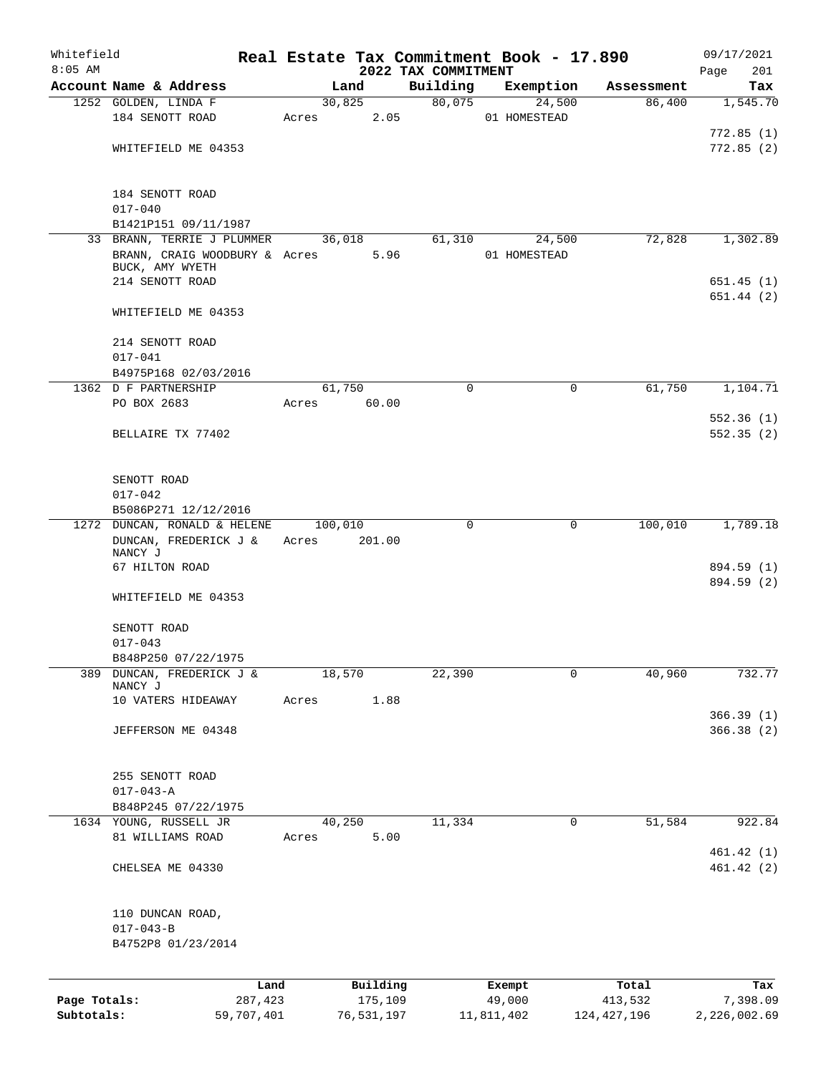| Whitefield<br>$8:05$ AM    |                                            |       |                       |                                 | Real Estate Tax Commitment Book - 17.890 |                          | 09/17/2021               |
|----------------------------|--------------------------------------------|-------|-----------------------|---------------------------------|------------------------------------------|--------------------------|--------------------------|
|                            | Account Name & Address                     |       | Land                  | 2022 TAX COMMITMENT<br>Building | Exemption                                | Assessment               | 201<br>Page<br>Tax       |
|                            | 1252 GOLDEN, LINDA F                       |       | 30,825                | 80,075                          | 24,500                                   | 86,400                   | 1,545.70                 |
|                            | 184 SENOTT ROAD                            | Acres | 2.05                  |                                 | 01 HOMESTEAD                             |                          |                          |
|                            |                                            |       |                       |                                 |                                          |                          | 772.85(1)                |
|                            | WHITEFIELD ME 04353                        |       |                       |                                 |                                          |                          | 772.85(2)                |
|                            |                                            |       |                       |                                 |                                          |                          |                          |
|                            | 184 SENOTT ROAD                            |       |                       |                                 |                                          |                          |                          |
|                            | $017 - 040$                                |       |                       |                                 |                                          |                          |                          |
|                            | B1421P151 09/11/1987                       |       |                       |                                 |                                          |                          |                          |
|                            | 33 BRANN, TERRIE J PLUMMER                 |       | 36,018                | 61,310                          | 24,500                                   | 72,828                   | 1,302.89                 |
|                            | BRANN, CRAIG WOODBURY & Acres              |       | 5.96                  |                                 | 01 HOMESTEAD                             |                          |                          |
|                            | BUCK, AMY WYETH                            |       |                       |                                 |                                          |                          |                          |
|                            | 214 SENOTT ROAD                            |       |                       |                                 |                                          |                          | 651.45 (1)               |
|                            | WHITEFIELD ME 04353                        |       |                       |                                 |                                          |                          | 651.44 (2)               |
|                            |                                            |       |                       |                                 |                                          |                          |                          |
|                            | 214 SENOTT ROAD                            |       |                       |                                 |                                          |                          |                          |
|                            | $017 - 041$                                |       |                       |                                 |                                          |                          |                          |
|                            | B4975P168 02/03/2016                       |       |                       |                                 |                                          |                          |                          |
|                            | 1362 D F PARTNERSHIP                       |       | 61,750                | $\mathbf 0$                     | $\mathbf 0$                              | 61,750                   | 1,104.71                 |
|                            | PO BOX 2683                                | Acres | 60.00                 |                                 |                                          |                          |                          |
|                            |                                            |       |                       |                                 |                                          |                          | 552.36(1)                |
|                            | BELLAIRE TX 77402                          |       |                       |                                 |                                          |                          | 552.35(2)                |
|                            |                                            |       |                       |                                 |                                          |                          |                          |
|                            |                                            |       |                       |                                 |                                          |                          |                          |
|                            | SENOTT ROAD                                |       |                       |                                 |                                          |                          |                          |
|                            | $017 - 042$                                |       |                       |                                 |                                          |                          |                          |
|                            | B5086P271 12/12/2016                       |       |                       |                                 |                                          |                          |                          |
|                            | 1272 DUNCAN, RONALD & HELENE               |       | 100,010               | 0                               | $\mathbf 0$                              | 100,010                  | 1,789.18                 |
|                            | DUNCAN, FREDERICK J &                      | Acres | 201.00                |                                 |                                          |                          |                          |
|                            | NANCY J                                    |       |                       |                                 |                                          |                          |                          |
|                            | 67 HILTON ROAD                             |       |                       |                                 |                                          |                          | 894.59 (1)<br>894.59 (2) |
|                            | WHITEFIELD ME 04353                        |       |                       |                                 |                                          |                          |                          |
|                            |                                            |       |                       |                                 |                                          |                          |                          |
|                            | SENOTT ROAD                                |       |                       |                                 |                                          |                          |                          |
|                            | $017 - 043$                                |       |                       |                                 |                                          |                          |                          |
|                            | B848P250 07/22/1975                        |       |                       |                                 |                                          |                          |                          |
| 389                        | DUNCAN, FREDERICK J &                      |       | 18,570                | 22,390                          | $\mathbf 0$                              | 40,960                   | 732.77                   |
|                            | NANCY J                                    |       |                       |                                 |                                          |                          |                          |
|                            | 10 VATERS HIDEAWAY                         | Acres | 1.88                  |                                 |                                          |                          |                          |
|                            |                                            |       |                       |                                 |                                          |                          | 366.39(1)                |
|                            | JEFFERSON ME 04348                         |       |                       |                                 |                                          |                          | 366.38 (2)               |
|                            |                                            |       |                       |                                 |                                          |                          |                          |
|                            |                                            |       |                       |                                 |                                          |                          |                          |
|                            | 255 SENOTT ROAD                            |       |                       |                                 |                                          |                          |                          |
|                            | $017 - 043 - A$                            |       |                       |                                 |                                          |                          |                          |
|                            | B848P245 07/22/1975                        |       |                       |                                 |                                          |                          |                          |
|                            | 1634 YOUNG, RUSSELL JR<br>81 WILLIAMS ROAD |       | 40,250<br>5.00        | 11,334                          | 0                                        | 51,584                   | 922.84                   |
|                            |                                            | Acres |                       |                                 |                                          |                          | 461.42(1)                |
|                            | CHELSEA ME 04330                           |       |                       |                                 |                                          |                          | 461.42(2)                |
|                            |                                            |       |                       |                                 |                                          |                          |                          |
|                            |                                            |       |                       |                                 |                                          |                          |                          |
|                            | 110 DUNCAN ROAD,                           |       |                       |                                 |                                          |                          |                          |
|                            | $017 - 043 - B$                            |       |                       |                                 |                                          |                          |                          |
|                            | B4752P8 01/23/2014                         |       |                       |                                 |                                          |                          |                          |
|                            |                                            |       |                       |                                 |                                          |                          |                          |
|                            | Land                                       |       | Building              |                                 | Exempt                                   | Total                    | Tax                      |
| Page Totals:<br>Subtotals: | 287,423<br>59,707,401                      |       | 175,109<br>76,531,197 |                                 | 49,000<br>11,811,402                     | 413,532<br>124, 427, 196 | 7,398.09<br>2,226,002.69 |
|                            |                                            |       |                       |                                 |                                          |                          |                          |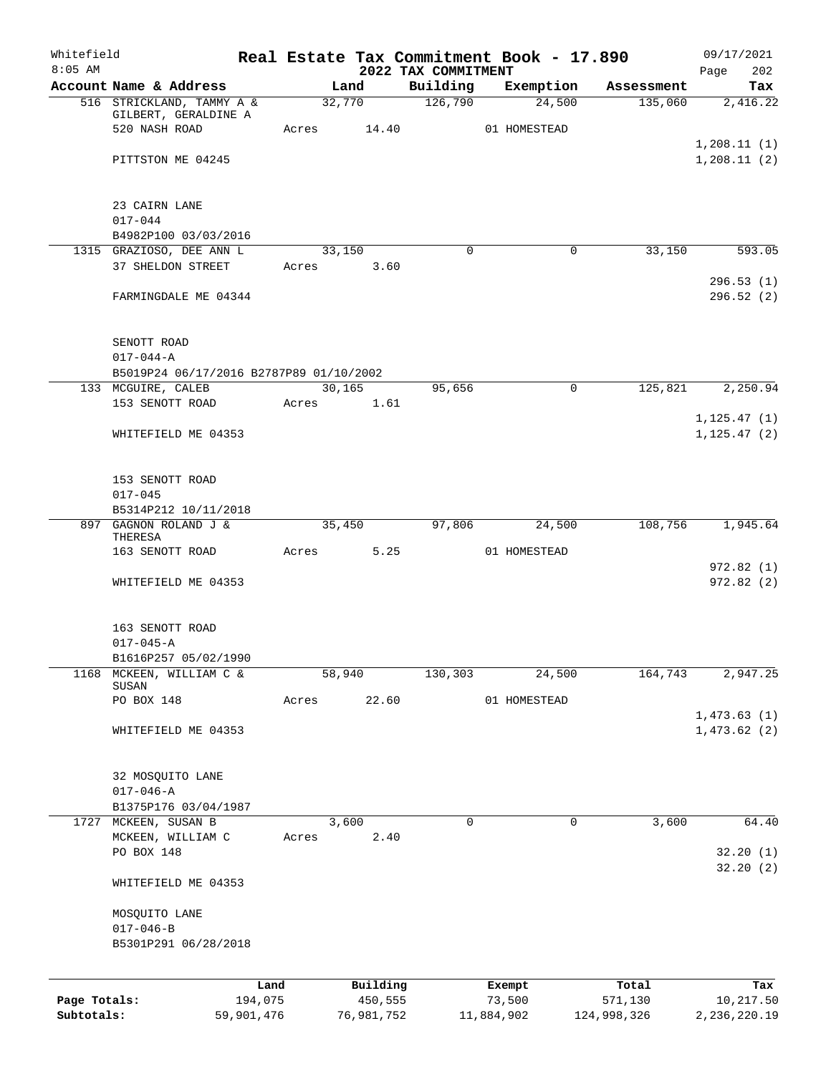| Whitefield<br>$8:05$ AM    |                                         |         |                       | 2022 TAX COMMITMENT | Real Estate Tax Commitment Book - 17.890 |                        | 09/17/2021<br>202<br>Page  |
|----------------------------|-----------------------------------------|---------|-----------------------|---------------------|------------------------------------------|------------------------|----------------------------|
|                            | Account Name & Address                  |         | Land                  | Building            | Exemption                                | Assessment             | Tax                        |
|                            | 516 STRICKLAND, TAMMY A &               |         | 32,770                | 126,790             | 24,500                                   | 135,060                | 2,416.22                   |
|                            | GILBERT, GERALDINE A                    |         |                       |                     |                                          |                        |                            |
|                            | 520 NASH ROAD                           | Acres   | 14.40                 |                     | 01 HOMESTEAD                             |                        |                            |
|                            |                                         |         |                       |                     |                                          |                        | 1, 208.11(1)               |
|                            | PITTSTON ME 04245                       |         |                       |                     |                                          |                        | 1,208.11(2)                |
|                            |                                         |         |                       |                     |                                          |                        |                            |
|                            | 23 CAIRN LANE<br>$017 - 044$            |         |                       |                     |                                          |                        |                            |
|                            | B4982P100 03/03/2016                    |         |                       |                     |                                          |                        |                            |
|                            | 1315 GRAZIOSO, DEE ANN L                |         | 33,150                | $\Omega$            | 0                                        | 33,150                 | 593.05                     |
|                            | 37 SHELDON STREET                       | Acres   | 3.60                  |                     |                                          |                        |                            |
|                            |                                         |         |                       |                     |                                          |                        | 296.53(1)                  |
|                            | FARMINGDALE ME 04344                    |         |                       |                     |                                          |                        | 296.52(2)                  |
|                            |                                         |         |                       |                     |                                          |                        |                            |
|                            | SENOTT ROAD                             |         |                       |                     |                                          |                        |                            |
|                            | $017 - 044 - A$                         |         |                       |                     |                                          |                        |                            |
|                            | B5019P24 06/17/2016 B2787P89 01/10/2002 |         |                       |                     |                                          |                        |                            |
|                            | 133 MCGUIRE, CALEB                      |         | 30, 165               | 95,656              | $\mathbf 0$                              | 125,821                | 2,250.94                   |
|                            | 153 SENOTT ROAD                         | Acres   | 1.61                  |                     |                                          |                        | 1, 125.47(1)               |
|                            | WHITEFIELD ME 04353                     |         |                       |                     |                                          |                        | 1, 125.47(2)               |
|                            |                                         |         |                       |                     |                                          |                        |                            |
|                            | 153 SENOTT ROAD                         |         |                       |                     |                                          |                        |                            |
|                            | $017 - 045$                             |         |                       |                     |                                          |                        |                            |
|                            | B5314P212 10/11/2018                    |         |                       |                     |                                          |                        |                            |
|                            | 897 GAGNON ROLAND J &                   |         | 35,450                | 97,806              | 24,500                                   | 108,756                | 1,945.64                   |
|                            | THERESA                                 |         |                       |                     |                                          |                        |                            |
|                            | 163 SENOTT ROAD                         | Acres   | 5.25                  |                     | 01 HOMESTEAD                             |                        |                            |
|                            | WHITEFIELD ME 04353                     |         |                       |                     |                                          |                        | 972.82(1)<br>972.82(2)     |
|                            |                                         |         |                       |                     |                                          |                        |                            |
|                            | 163 SENOTT ROAD                         |         |                       |                     |                                          |                        |                            |
|                            | $017 - 045 - A$                         |         |                       |                     |                                          |                        |                            |
|                            | B1616P257 05/02/1990                    |         |                       |                     |                                          |                        |                            |
| 1168                       | MCKEEN, WILLIAM C &                     |         | 58,940                | 130,303             | 24,500                                   | 164,743                | 2,947.25                   |
|                            | SUSAN                                   |         |                       |                     |                                          |                        |                            |
|                            | PO BOX 148                              | Acres   | 22.60                 |                     | 01 HOMESTEAD                             |                        |                            |
|                            | WHITEFIELD ME 04353                     |         |                       |                     |                                          |                        | 1,473.63(1)<br>1,473.62(2) |
|                            |                                         |         |                       |                     |                                          |                        |                            |
|                            | 32 MOSQUITO LANE                        |         |                       |                     |                                          |                        |                            |
|                            | $017 - 046 - A$                         |         |                       |                     |                                          |                        |                            |
|                            | B1375P176 03/04/1987                    |         |                       |                     |                                          |                        |                            |
|                            | 1727 MCKEEN, SUSAN B                    |         | 3,600                 | 0                   | 0                                        | 3,600                  | 64.40                      |
|                            | MCKEEN, WILLIAM C                       | Acres   | 2.40                  |                     |                                          |                        |                            |
|                            | PO BOX 148                              |         |                       |                     |                                          |                        | 32.20(1)                   |
|                            | WHITEFIELD ME 04353                     |         |                       |                     |                                          |                        | 32.20(2)                   |
|                            | MOSQUITO LANE                           |         |                       |                     |                                          |                        |                            |
|                            | $017 - 046 - B$                         |         |                       |                     |                                          |                        |                            |
|                            | B5301P291 06/28/2018                    |         |                       |                     |                                          |                        |                            |
|                            |                                         |         |                       |                     |                                          |                        |                            |
|                            |                                         | Land    | Building              |                     | Exempt                                   | Total                  | Tax                        |
| Page Totals:<br>Subtotals: | 59,901,476                              | 194,075 | 450,555<br>76,981,752 |                     | 73,500<br>11,884,902                     | 571,130<br>124,998,326 | 10,217.50<br>2,236,220.19  |
|                            |                                         |         |                       |                     |                                          |                        |                            |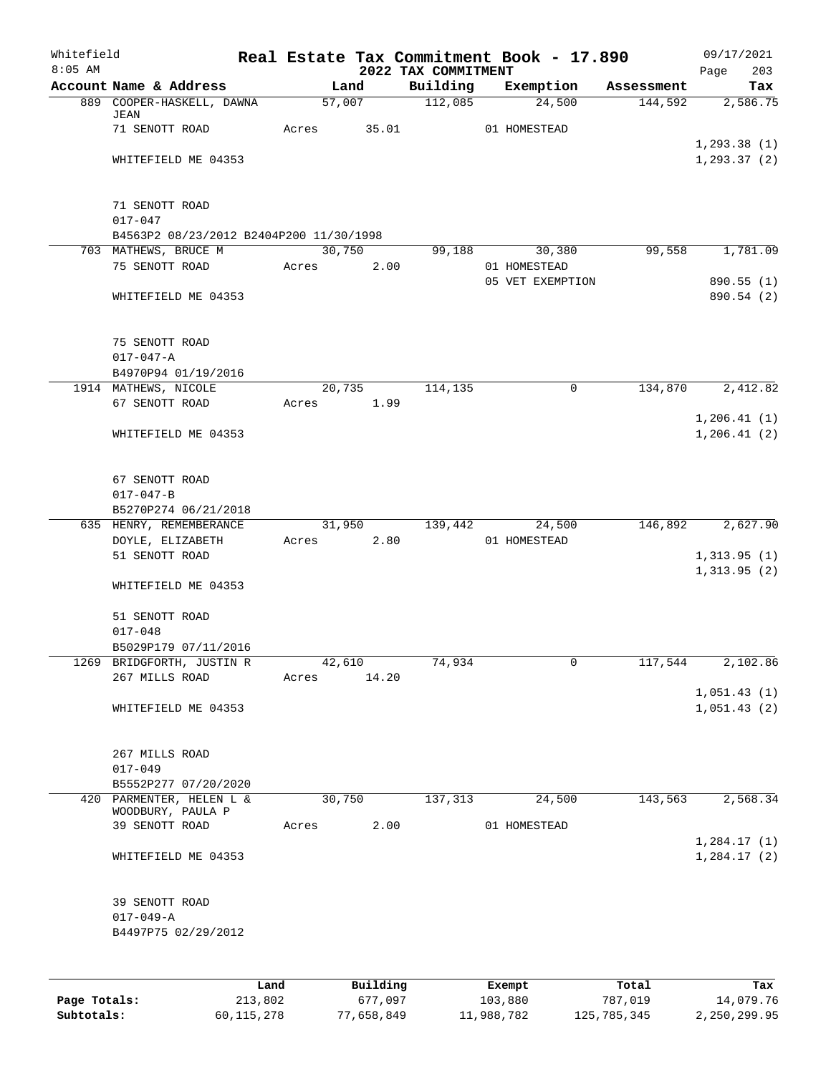| Whitefield |                                                                 |       |       |                |                     | Real Estate Tax Commitment Book - 17.890 |                       | 09/17/2021                  |
|------------|-----------------------------------------------------------------|-------|-------|----------------|---------------------|------------------------------------------|-----------------------|-----------------------------|
| $8:05$ AM  |                                                                 |       |       |                | 2022 TAX COMMITMENT |                                          |                       | 203<br>Page                 |
|            | Account Name & Address<br>889 COOPER-HASKELL, DAWNA             |       |       | Land<br>57,007 | Building<br>112,085 | Exemption<br>24,500                      | Assessment<br>144,592 | Tax<br>2,586.75             |
|            | JEAN                                                            |       |       |                |                     |                                          |                       |                             |
|            | 71 SENOTT ROAD                                                  |       | Acres | 35.01          |                     | 01 HOMESTEAD                             |                       |                             |
|            |                                                                 |       |       |                |                     |                                          |                       | 1, 293.38(1)                |
|            | WHITEFIELD ME 04353                                             |       |       |                |                     |                                          |                       | 1, 293.37(2)                |
|            |                                                                 |       |       |                |                     |                                          |                       |                             |
|            | 71 SENOTT ROAD                                                  |       |       |                |                     |                                          |                       |                             |
|            | $017 - 047$                                                     |       |       |                |                     |                                          |                       |                             |
|            | B4563P2 08/23/2012 B2404P200 11/30/1998<br>703 MATHEWS, BRUCE M |       |       | 30,750         | 99,188              | 30,380                                   | 99,558                | 1,781.09                    |
|            | 75 SENOTT ROAD                                                  |       | Acres | 2.00           |                     | 01 HOMESTEAD                             |                       |                             |
|            |                                                                 |       |       |                |                     | 05 VET EXEMPTION                         |                       | 890.55 (1)                  |
|            | WHITEFIELD ME 04353                                             |       |       |                |                     |                                          |                       | 890.54 (2)                  |
|            |                                                                 |       |       |                |                     |                                          |                       |                             |
|            | 75 SENOTT ROAD                                                  |       |       |                |                     |                                          |                       |                             |
|            | $017 - 047 - A$                                                 |       |       |                |                     |                                          |                       |                             |
|            | B4970P94 01/19/2016                                             |       |       |                |                     |                                          |                       |                             |
|            | 1914 MATHEWS, NICOLE                                            |       |       | 20,735         | 114,135             | $\mathsf{O}$                             | 134,870               | 2,412.82                    |
|            | 67 SENOTT ROAD                                                  |       | Acres | 1.99           |                     |                                          |                       | 1,206.41(1)                 |
|            | WHITEFIELD ME 04353                                             |       |       |                |                     |                                          |                       | 1, 206.41(2)                |
|            |                                                                 |       |       |                |                     |                                          |                       |                             |
|            | 67 SENOTT ROAD                                                  |       |       |                |                     |                                          |                       |                             |
|            | $017 - 047 - B$                                                 |       |       |                |                     |                                          |                       |                             |
|            | B5270P274 06/21/2018                                            |       |       |                |                     |                                          |                       |                             |
|            | 635 HENRY, REMEMBERANCE                                         |       |       | 31,950         | 139,442             | 24,500                                   | 146,892               | 2,627.90                    |
|            | DOYLE, ELIZABETH<br>51 SENOTT ROAD                              |       | Acres | 2.80           |                     | 01 HOMESTEAD                             |                       |                             |
|            |                                                                 |       |       |                |                     |                                          |                       | 1,313.95(1)<br>1,313.95(2)  |
|            | WHITEFIELD ME 04353                                             |       |       |                |                     |                                          |                       |                             |
|            |                                                                 |       |       |                |                     |                                          |                       |                             |
|            | 51 SENOTT ROAD                                                  |       |       |                |                     |                                          |                       |                             |
|            | $017 - 048$<br>B5029P179 07/11/2016                             |       |       |                |                     |                                          |                       |                             |
|            | 1269 BRIDGFORTH, JUSTIN R                                       |       |       | 42,610         | 74,934              | $\mathsf{O}$                             | 117,544               | 2,102.86                    |
|            | 267 MILLS ROAD                                                  |       | Acres | 14.20          |                     |                                          |                       |                             |
|            |                                                                 |       |       |                |                     |                                          |                       | 1,051.43(1)                 |
|            | WHITEFIELD ME 04353                                             |       |       |                |                     |                                          |                       | 1,051.43(2)                 |
|            |                                                                 |       |       |                |                     |                                          |                       |                             |
|            | 267 MILLS ROAD                                                  |       |       |                |                     |                                          |                       |                             |
|            | $017 - 049$                                                     |       |       |                |                     |                                          |                       |                             |
|            | B5552P277 07/20/2020<br>420 PARMENTER, HELEN L &                |       |       | 30,750         | 137,313             | 24,500                                   | 143,563               | 2,568.34                    |
|            | WOODBURY, PAULA P                                               |       |       |                |                     |                                          |                       |                             |
|            | 39 SENOTT ROAD                                                  |       | Acres | 2.00           |                     | 01 HOMESTEAD                             |                       |                             |
|            | WHITEFIELD ME 04353                                             |       |       |                |                     |                                          |                       | 1,284.17(1)<br>1, 284.17(2) |
|            |                                                                 |       |       |                |                     |                                          |                       |                             |
|            |                                                                 |       |       |                |                     |                                          |                       |                             |
|            | 39 SENOTT ROAD                                                  |       |       |                |                     |                                          |                       |                             |
|            | $017 - 049 - A$<br>B4497P75 02/29/2012                          |       |       |                |                     |                                          |                       |                             |
|            |                                                                 |       |       |                |                     |                                          |                       |                             |
|            |                                                                 |       |       |                |                     |                                          |                       |                             |
|            |                                                                 | Land. |       | Building       |                     | <b>Fromnt</b>                            | $T$ ctal              | Tov                         |

|              | Land       | Building   | Exempt     | Total       | Tax          |
|--------------|------------|------------|------------|-------------|--------------|
| Page Totals: | 213,802    | 677,097    | 103,880    | 787,019     | 14,079.76    |
| Subtotals:   | 60,115,278 | 77,658,849 | 11,988,782 | 125,785,345 | 2,250,299.95 |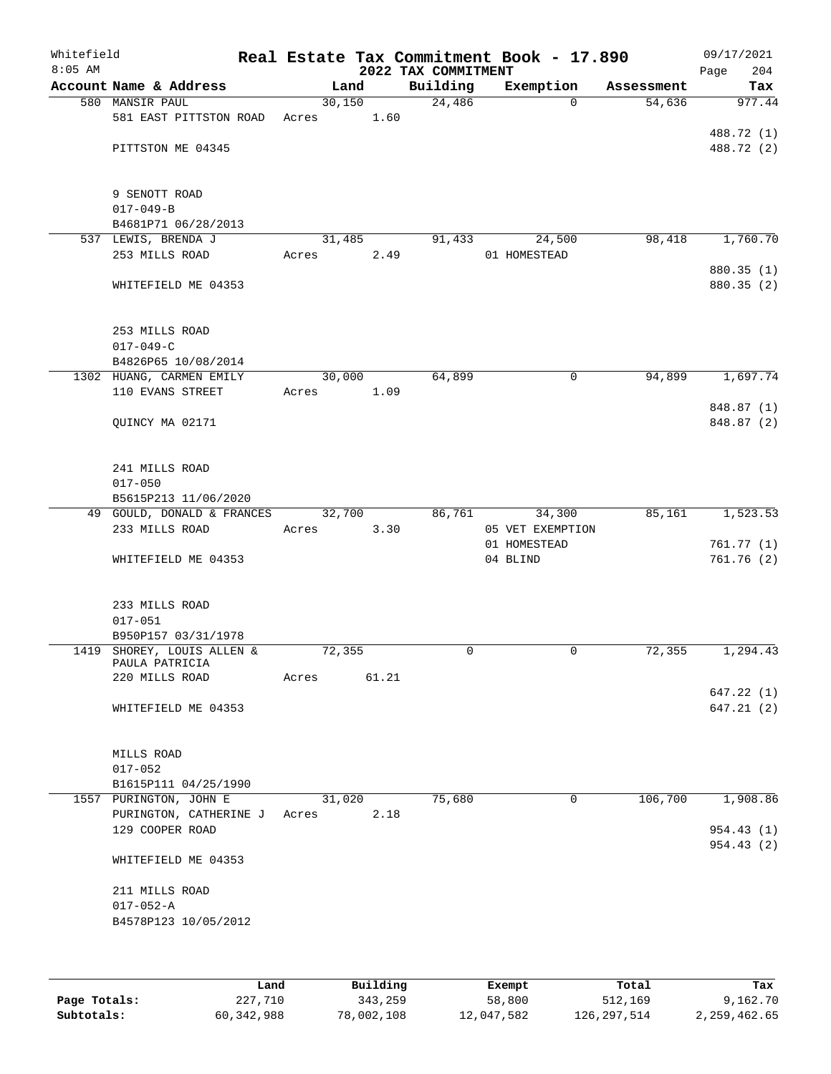| Whitefield<br>$8:05$ AM |                                              |        |       | 2022 TAX COMMITMENT | Real Estate Tax Commitment Book - 17.890 |            | 09/17/2021<br>Page<br>204 |
|-------------------------|----------------------------------------------|--------|-------|---------------------|------------------------------------------|------------|---------------------------|
|                         | Account Name & Address                       |        | Land  | Building            | Exemption                                | Assessment | Tax                       |
|                         | 580 MANSIR PAUL                              | 30,150 |       | 24,486              | $\Omega$                                 | 54,636     | 977.44                    |
|                         | 581 EAST PITTSTON ROAD                       | Acres  | 1.60  |                     |                                          |            |                           |
|                         |                                              |        |       |                     |                                          |            | 488.72 (1)                |
|                         | PITTSTON ME 04345                            |        |       |                     |                                          |            | 488.72 (2)                |
|                         | 9 SENOTT ROAD                                |        |       |                     |                                          |            |                           |
|                         | $017 - 049 - B$                              |        |       |                     |                                          |            |                           |
|                         | B4681P71 06/28/2013                          |        |       |                     |                                          |            |                           |
|                         | 537 LEWIS, BRENDA J                          | 31,485 |       | 91,433              | 24,500                                   | 98,418     | 1,760.70                  |
|                         | 253 MILLS ROAD                               | Acres  | 2.49  |                     | 01 HOMESTEAD                             |            |                           |
|                         |                                              |        |       |                     |                                          |            | 880.35 (1)                |
|                         | WHITEFIELD ME 04353                          |        |       |                     |                                          |            | 880.35 (2)                |
|                         | 253 MILLS ROAD                               |        |       |                     |                                          |            |                           |
|                         | $017 - 049 - C$                              |        |       |                     |                                          |            |                           |
|                         | B4826P65 10/08/2014                          |        |       |                     |                                          |            |                           |
|                         | 1302 HUANG, CARMEN EMILY                     | 30,000 |       | 64,899              | 0                                        | 94,899     | 1,697.74                  |
|                         | 110 EVANS STREET                             | Acres  | 1.09  |                     |                                          |            |                           |
|                         |                                              |        |       |                     |                                          |            | 848.87 (1)                |
|                         | QUINCY MA 02171                              |        |       |                     |                                          |            | 848.87 (2)                |
|                         |                                              |        |       |                     |                                          |            |                           |
|                         | 241 MILLS ROAD<br>$017 - 050$                |        |       |                     |                                          |            |                           |
|                         | B5615P213 11/06/2020                         |        |       |                     |                                          |            |                           |
|                         | 49 GOULD, DONALD & FRANCES                   | 32,700 |       | 86,761              | 34,300                                   | 85,161     | 1,523.53                  |
|                         | 233 MILLS ROAD                               | Acres  | 3.30  |                     | 05 VET EXEMPTION                         |            |                           |
|                         |                                              |        |       |                     | 01 HOMESTEAD                             |            | 761.77 (1)                |
|                         | WHITEFIELD ME 04353                          |        |       |                     | 04 BLIND                                 |            | 761.76(2)                 |
|                         | 233 MILLS ROAD                               |        |       |                     |                                          |            |                           |
|                         | $017 - 051$                                  |        |       |                     |                                          |            |                           |
|                         | B950P157 03/31/1978                          |        |       |                     |                                          |            |                           |
|                         | 1419 SHOREY, LOUIS ALLEN &<br>PAULA PATRICIA | 72,355 |       | 0                   | 0                                        | 72,355     | 1,294.43                  |
|                         | 220 MILLS ROAD                               | Acres  | 61.21 |                     |                                          |            |                           |
|                         |                                              |        |       |                     |                                          |            | 647.22(1)                 |
|                         | WHITEFIELD ME 04353                          |        |       |                     |                                          |            | 647.21(2)                 |
|                         | MILLS ROAD                                   |        |       |                     |                                          |            |                           |
|                         | $017 - 052$                                  |        |       |                     |                                          |            |                           |
|                         | B1615P111 04/25/1990                         |        |       |                     |                                          |            |                           |
|                         | 1557 PURINGTON, JOHN E                       | 31,020 |       | 75,680              | 0                                        | 106,700    | 1,908.86                  |
|                         | PURINGTON, CATHERINE J                       | Acres  | 2.18  |                     |                                          |            |                           |
|                         | 129 COOPER ROAD                              |        |       |                     |                                          |            | 954.43 (1)<br>954.43 (2)  |
|                         | WHITEFIELD ME 04353                          |        |       |                     |                                          |            |                           |
|                         | 211 MILLS ROAD                               |        |       |                     |                                          |            |                           |
|                         | $017 - 052 - A$                              |        |       |                     |                                          |            |                           |
|                         | B4578P123 10/05/2012                         |        |       |                     |                                          |            |                           |
|                         |                                              |        |       |                     |                                          |            |                           |
|                         |                                              |        |       |                     |                                          |            |                           |

|              | Land       | Building   | Exempt     | Total         | Tax          |
|--------------|------------|------------|------------|---------------|--------------|
| Page Totals: | 227,710    | 343,259    | 58,800     | 512,169       | 9,162.70     |
| Subtotals:   | 60,342,988 | 78,002,108 | 12,047,582 | 126, 297, 514 | 2,259,462.65 |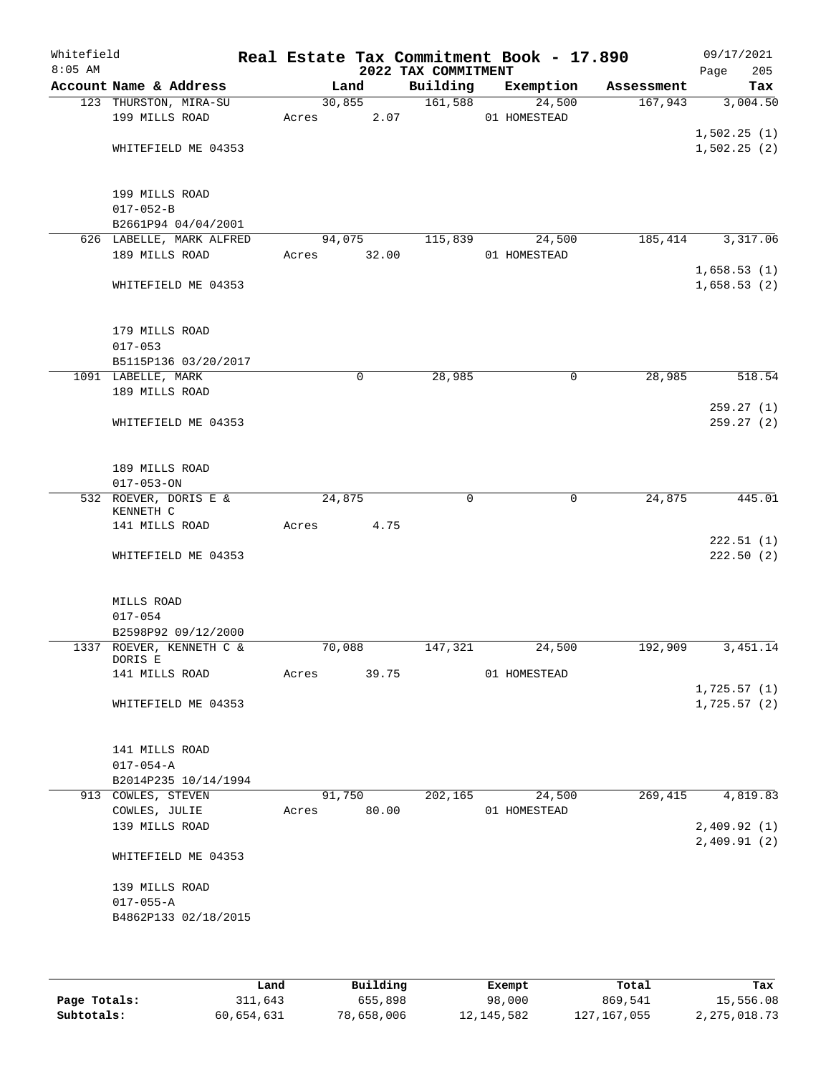| Whitefield<br>$8:05$ AM |                                                       |        |                | Real Estate Tax Commitment Book - 17.890<br>2022 TAX COMMITMENT |              |        |            | 09/17/2021<br>205<br>Page  |
|-------------------------|-------------------------------------------------------|--------|----------------|-----------------------------------------------------------------|--------------|--------|------------|----------------------------|
|                         | Account Name & Address                                |        | Land           | Building                                                        | Exemption    |        | Assessment | Tax                        |
|                         | 123 THURSTON, MIRA-SU<br>199 MILLS ROAD               | Acres  | 30,855<br>2.07 | 161,588                                                         | 01 HOMESTEAD | 24,500 | 167,943    | 3,004.50                   |
|                         | WHITEFIELD ME 04353                                   |        |                |                                                                 |              |        |            | 1,502.25(1)<br>1,502.25(2) |
|                         | 199 MILLS ROAD<br>$017 - 052 - B$                     |        |                |                                                                 |              |        |            |                            |
|                         | B2661P94 04/04/2001<br>626 LABELLE, MARK ALFRED       |        | 94,075         | 115,839                                                         |              | 24,500 | 185,414    | 3,317.06                   |
|                         | 189 MILLS ROAD                                        | Acres  | 32.00          |                                                                 | 01 HOMESTEAD |        |            | 1,658.53(1)                |
|                         | WHITEFIELD ME 04353                                   |        |                |                                                                 |              |        |            | 1,658.53(2)                |
|                         | 179 MILLS ROAD<br>$017 - 053$<br>B5115P136 03/20/2017 |        |                |                                                                 |              |        |            |                            |
|                         | 1091 LABELLE, MARK                                    |        | 0              | 28,985                                                          |              | 0      | 28,985     | 518.54                     |
|                         | 189 MILLS ROAD                                        |        |                |                                                                 |              |        |            | 259.27(1)                  |
|                         | WHITEFIELD ME 04353                                   |        |                |                                                                 |              |        |            | 259.27 (2)                 |
|                         | 189 MILLS ROAD<br>$017 - 053 - ON$                    |        |                |                                                                 |              |        |            |                            |
|                         | 532 ROEVER, DORIS E &<br>KENNETH C                    | 24,875 |                | 0                                                               |              | 0      | 24,875     | 445.01                     |
|                         | 141 MILLS ROAD                                        | Acres  | 4.75           |                                                                 |              |        |            | 222.51(1)                  |
|                         | WHITEFIELD ME 04353                                   |        |                |                                                                 |              |        |            | 222.50(2)                  |
|                         | MILLS ROAD<br>$017 - 054$                             |        |                |                                                                 |              |        |            |                            |
|                         | B2598P92 09/12/2000                                   |        |                |                                                                 |              |        |            |                            |
|                         | 1337 ROEVER, KENNETH C &<br>DORIS E                   | 70,088 |                | 147,321                                                         |              | 24,500 | 192,909    | 3,451.14                   |
|                         | 141 MILLS ROAD                                        | Acres  | 39.75          |                                                                 | 01 HOMESTEAD |        |            |                            |
|                         | WHITEFIELD ME 04353                                   |        |                |                                                                 |              |        |            | 1,725.57(1)<br>1,725.57(2) |
|                         | 141 MILLS ROAD<br>$017 - 054 - A$                     |        |                |                                                                 |              |        |            |                            |
|                         | B2014P235 10/14/1994                                  |        |                |                                                                 |              |        |            |                            |
|                         | 913 COWLES, STEVEN                                    |        | 91,750         | 202,165                                                         |              | 24,500 | 269, 415   | 4,819.83                   |
|                         | COWLES, JULIE                                         | Acres  | 80.00          |                                                                 | 01 HOMESTEAD |        |            |                            |
|                         | 139 MILLS ROAD                                        |        |                |                                                                 |              |        |            | 2,409.92(1)<br>2,409.91(2) |
|                         | WHITEFIELD ME 04353                                   |        |                |                                                                 |              |        |            |                            |
|                         | 139 MILLS ROAD                                        |        |                |                                                                 |              |        |            |                            |
|                         | $017 - 055 - A$<br>B4862P133 02/18/2015               |        |                |                                                                 |              |        |            |                            |
|                         |                                                       |        |                |                                                                 |              |        |            |                            |

|              | Land       | Building   | Exempt     | Total       | Tax          |
|--------------|------------|------------|------------|-------------|--------------|
| Page Totals: | 311,643    | 655,898    | 98,000     | 869,541     | 15,556.08    |
| Subtotals:   | 60,654,631 | 78,658,006 | 12,145,582 | 127,167,055 | 2,275,018.73 |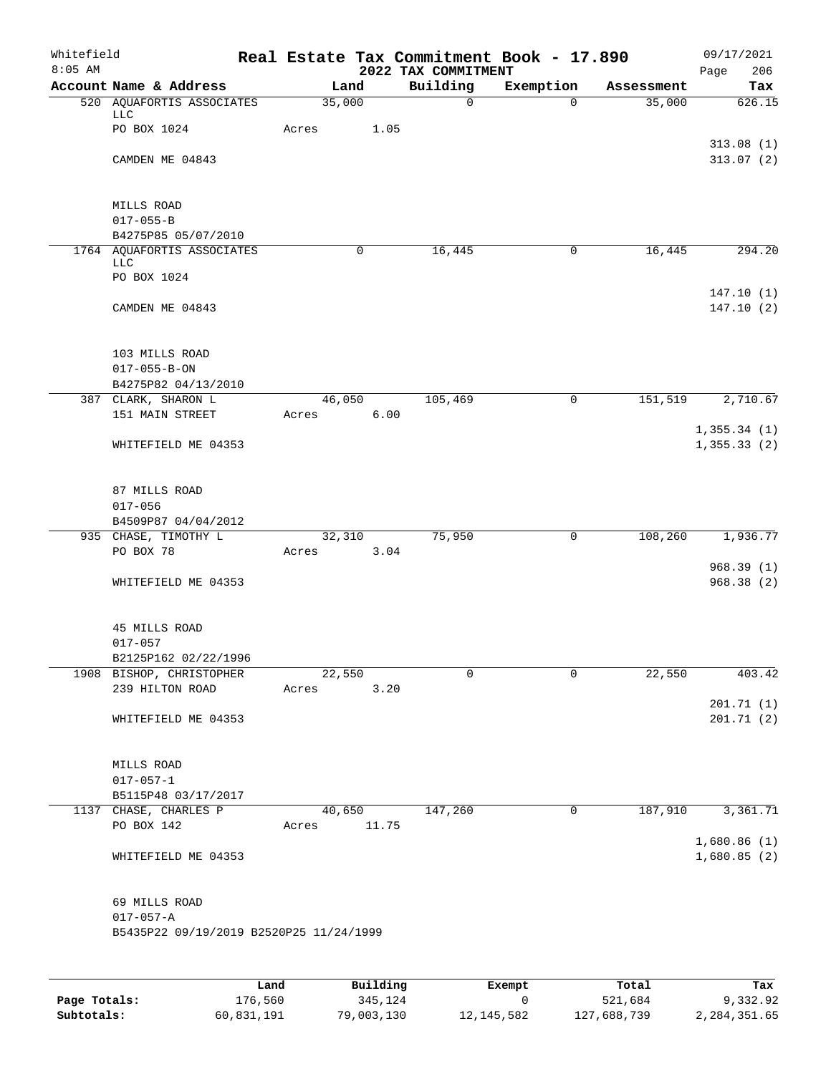| Whitefield<br>$8:05$ AM |                                                                             |                 |             | 2022 TAX COMMITMENT | Real Estate Tax Commitment Book - 17.890 |            | 09/17/2021<br>Page<br>206    |
|-------------------------|-----------------------------------------------------------------------------|-----------------|-------------|---------------------|------------------------------------------|------------|------------------------------|
|                         | Account Name & Address                                                      | Land            |             | Building            | Exemption                                | Assessment | Tax                          |
|                         | 520 AQUAFORTIS ASSOCIATES<br><b>LLC</b>                                     | 35,000          |             | $\mathsf{O}$        | $\Omega$                                 | 35,000     | 626.15                       |
|                         | PO BOX 1024                                                                 | Acres           | 1.05        |                     |                                          |            | 313.08(1)                    |
|                         | CAMDEN ME 04843                                                             |                 |             |                     |                                          |            | 313.07(2)                    |
|                         | MILLS ROAD<br>$017 - 055 - B$                                               |                 |             |                     |                                          |            |                              |
|                         | B4275P85 05/07/2010                                                         |                 |             |                     |                                          |            |                              |
|                         | 1764 AQUAFORTIS ASSOCIATES<br><b>LLC</b>                                    |                 | $\mathbf 0$ | 16,445              | $\mathbf 0$                              | 16,445     | 294.20                       |
|                         | PO BOX 1024                                                                 |                 |             |                     |                                          |            |                              |
|                         | CAMDEN ME 04843                                                             |                 |             |                     |                                          |            | 147.10(1)<br>147.10(2)       |
|                         | 103 MILLS ROAD                                                              |                 |             |                     |                                          |            |                              |
|                         | $017 - 055 - B - ON$                                                        |                 |             |                     |                                          |            |                              |
|                         | B4275P82 04/13/2010                                                         |                 |             |                     |                                          |            |                              |
|                         | 387 CLARK, SHARON L<br>151 MAIN STREET                                      | 46,050<br>Acres | 6.00        | 105,469             | 0                                        | 151,519    | 2,710.67                     |
|                         | WHITEFIELD ME 04353                                                         |                 |             |                     |                                          |            | 1, 355.34(1)<br>1, 355.33(2) |
|                         | 87 MILLS ROAD<br>$017 - 056$<br>B4509P87 04/04/2012                         |                 |             |                     |                                          |            |                              |
|                         | 935 CHASE, TIMOTHY L                                                        | 32,310          |             | 75,950              | 0                                        | 108,260    | 1,936.77                     |
|                         | PO BOX 78                                                                   | Acres           | 3.04        |                     |                                          |            |                              |
|                         | WHITEFIELD ME 04353                                                         |                 |             |                     |                                          |            | 968.39(1)<br>968.38(2)       |
|                         | 45 MILLS ROAD<br>$017 - 057$<br>B2125P162 02/22/1996                        |                 |             |                     |                                          |            |                              |
|                         | 1908 BISHOP, CHRISTOPHER                                                    | 22,550          |             | 0                   | $\mathbf 0$                              | 22,550     | 403.42                       |
|                         | 239 HILTON ROAD                                                             | Acres           | 3.20        |                     |                                          |            | 201.71(1)                    |
|                         | WHITEFIELD ME 04353                                                         |                 |             |                     |                                          |            | 201.71(2)                    |
|                         | MILLS ROAD                                                                  |                 |             |                     |                                          |            |                              |
|                         | $017 - 057 - 1$<br>B5115P48 03/17/2017                                      |                 |             |                     |                                          |            |                              |
|                         | 1137 CHASE, CHARLES P                                                       |                 | 40,650      | 147,260             | 0                                        | 187,910    | 3,361.71                     |
|                         | PO BOX 142                                                                  | Acres 11.75     |             |                     |                                          |            |                              |
|                         | WHITEFIELD ME 04353                                                         |                 |             |                     |                                          |            | 1,680.86(1)<br>1,680.85(2)   |
|                         | 69 MILLS ROAD<br>$017 - 057 - A$<br>B5435P22 09/19/2019 B2520P25 11/24/1999 |                 |             |                     |                                          |            |                              |
|                         |                                                                             |                 |             |                     |                                          |            |                              |

|              | Land       | Building   | Exempt     | Total       | Tax          |
|--------------|------------|------------|------------|-------------|--------------|
| Page Totals: | 176.560    | 345,124    |            | 521,684     | 9,332.92     |
| Subtotals:   | 60,831,191 | 79,003,130 | 12,145,582 | 127,688,739 | 2,284,351.65 |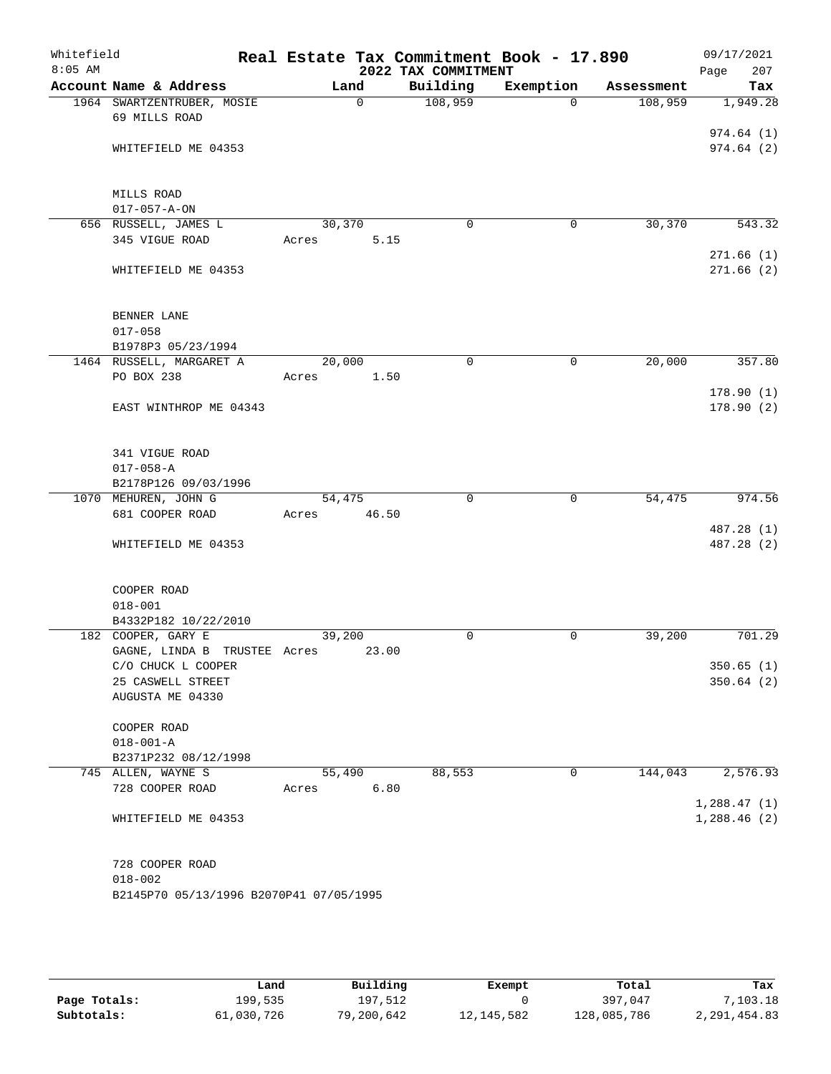| Whitefield<br>$8:05$ AM |                                                    | Real Estate Tax Commitment Book - 17.890 | 2022 TAX COMMITMENT |             |            | 09/17/2021<br>207      |
|-------------------------|----------------------------------------------------|------------------------------------------|---------------------|-------------|------------|------------------------|
|                         | Account Name & Address                             | Land                                     | Building            | Exemption   | Assessment | Page<br>Tax            |
|                         | 1964 SWARTZENTRUBER, MOSIE                         | $\Omega$                                 | 108,959             | $\Omega$    | 108,959    | 1,949.28               |
|                         | 69 MILLS ROAD                                      |                                          |                     |             |            |                        |
|                         |                                                    |                                          |                     |             |            | 974.64(1)              |
|                         | WHITEFIELD ME 04353                                |                                          |                     |             |            | 974.64(2)              |
|                         |                                                    |                                          |                     |             |            |                        |
|                         | MILLS ROAD                                         |                                          |                     |             |            |                        |
|                         | $017 - 057 - A - ON$                               |                                          |                     |             |            |                        |
|                         | 656 RUSSELL, JAMES L                               | 30,370                                   | $\mathbf 0$         | 0           | 30,370     | 543.32                 |
|                         | 345 VIGUE ROAD                                     | 5.15<br>Acres                            |                     |             |            |                        |
|                         | WHITEFIELD ME 04353                                |                                          |                     |             |            | 271.66(1)<br>271.66(2) |
|                         |                                                    |                                          |                     |             |            |                        |
|                         | BENNER LANE                                        |                                          |                     |             |            |                        |
|                         | $017 - 058$                                        |                                          |                     |             |            |                        |
|                         | B1978P3 05/23/1994                                 |                                          |                     |             |            |                        |
|                         | 1464 RUSSELL, MARGARET A                           | 20,000                                   | $\mathbf 0$         | $\mathbf 0$ | 20,000     | 357.80                 |
|                         | PO BOX 238                                         | 1.50<br>Acres                            |                     |             |            |                        |
|                         |                                                    |                                          |                     |             |            | 178.90(1)              |
|                         | EAST WINTHROP ME 04343                             |                                          |                     |             |            | 178.90(2)              |
|                         |                                                    |                                          |                     |             |            |                        |
|                         | 341 VIGUE ROAD<br>$017 - 058 - A$                  |                                          |                     |             |            |                        |
|                         | B2178P126 09/03/1996                               |                                          |                     |             |            |                        |
|                         | 1070 MEHUREN, JOHN G                               | 54,475                                   | $\mathbf 0$         | $\mathbf 0$ | 54,475     | 974.56                 |
|                         | 681 COOPER ROAD                                    | Acres<br>46.50                           |                     |             |            |                        |
|                         |                                                    |                                          |                     |             |            | 487.28 (1)             |
|                         | WHITEFIELD ME 04353                                |                                          |                     |             |            | 487.28 (2)             |
|                         |                                                    |                                          |                     |             |            |                        |
|                         | COOPER ROAD                                        |                                          |                     |             |            |                        |
|                         | $018 - 001$                                        |                                          |                     |             |            |                        |
|                         | B4332P182 10/22/2010                               |                                          |                     |             |            |                        |
|                         | 182 COOPER, GARY E<br>GAGNE, LINDA B TRUSTEE Acres | 39,200<br>23.00                          | $\mathbf 0$         | 0           | 39,200     | 701.29                 |
|                         | C/O CHUCK L COOPER                                 |                                          |                     |             |            | 350.65(1)              |
|                         | 25 CASWELL STREET                                  |                                          |                     |             |            | 350.64 (2)             |
|                         | AUGUSTA ME 04330                                   |                                          |                     |             |            |                        |
|                         | COOPER ROAD                                        |                                          |                     |             |            |                        |
|                         | $018 - 001 - A$                                    |                                          |                     |             |            |                        |
|                         | B2371P232 08/12/1998                               |                                          |                     |             |            |                        |
|                         | 745 ALLEN, WAYNE S                                 | 55,490                                   | 88,553              | 0           | 144,043    | 2,576.93               |
|                         | 728 COOPER ROAD                                    | 6.80<br>Acres                            |                     |             |            |                        |
|                         |                                                    |                                          |                     |             |            | 1,288.47(1)            |
|                         | WHITEFIELD ME 04353                                |                                          |                     |             |            | 1,288.46(2)            |
|                         | 728 COOPER ROAD                                    |                                          |                     |             |            |                        |
|                         | $018 - 002$                                        |                                          |                     |             |            |                        |
|                         | B2145P70 05/13/1996 B2070P41 07/05/1995            |                                          |                     |             |            |                        |
|                         |                                                    |                                          |                     |             |            |                        |
|                         |                                                    |                                          |                     |             |            |                        |

|              | Land       | Building   | Exempt       | Total       | Tax          |
|--------------|------------|------------|--------------|-------------|--------------|
| Page Totals: | 199,535    | 197.512    |              | 397,047     | 7,103.18     |
| Subtotals:   | 61,030,726 | 79,200,642 | 12, 145, 582 | 128,085,786 | 2,291,454.83 |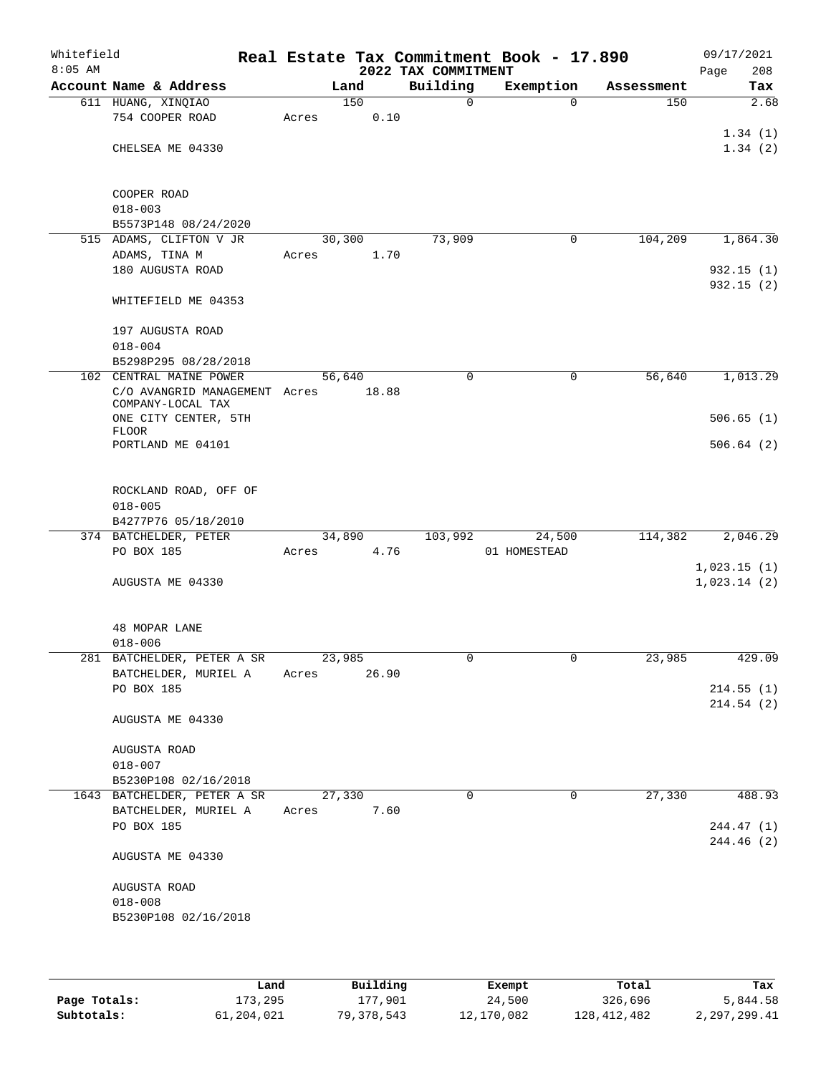| Whitefield<br>$8:05$ AM |                                                    |       |        |       | 2022 TAX COMMITMENT | Real Estate Tax Commitment Book - 17.890 |            | 09/17/2021<br>Page<br>208 |
|-------------------------|----------------------------------------------------|-------|--------|-------|---------------------|------------------------------------------|------------|---------------------------|
|                         | Account Name & Address                             |       | Land   |       | Building            | Exemption                                | Assessment | Tax                       |
|                         | 611 HUANG, XINQIAO                                 |       | 150    |       | $\mathsf{O}$        | $\Omega$                                 | 150        | 2.68                      |
|                         | 754 COOPER ROAD                                    | Acres |        | 0.10  |                     |                                          |            |                           |
|                         |                                                    |       |        |       |                     |                                          |            | 1.34(1)                   |
|                         | CHELSEA ME 04330                                   |       |        |       |                     |                                          |            | 1.34(2)                   |
|                         | COOPER ROAD                                        |       |        |       |                     |                                          |            |                           |
|                         | $018 - 003$                                        |       |        |       |                     |                                          |            |                           |
|                         | B5573P148 08/24/2020                               |       |        |       |                     |                                          |            |                           |
|                         | 515 ADAMS, CLIFTON V JR                            |       | 30,300 |       | 73,909              | $\mathbf 0$                              | 104,209    | 1,864.30                  |
|                         | ADAMS, TINA M                                      | Acres |        | 1.70  |                     |                                          |            |                           |
|                         | 180 AUGUSTA ROAD                                   |       |        |       |                     |                                          |            | 932.15(1)                 |
|                         | WHITEFIELD ME 04353                                |       |        |       |                     |                                          |            | 932.15 (2)                |
|                         | 197 AUGUSTA ROAD                                   |       |        |       |                     |                                          |            |                           |
|                         | $018 - 004$                                        |       |        |       |                     |                                          |            |                           |
|                         | B5298P295 08/28/2018                               |       |        |       |                     |                                          |            |                           |
|                         | 102 CENTRAL MAINE POWER                            |       | 56,640 |       | $\mathbf 0$         | 0                                        | 56,640     | 1,013.29                  |
|                         | C/O AVANGRID MANAGEMENT Acres<br>COMPANY-LOCAL TAX |       |        | 18.88 |                     |                                          |            |                           |
|                         | ONE CITY CENTER, 5TH                               |       |        |       |                     |                                          |            | 506.65(1)                 |
|                         | <b>FLOOR</b><br>PORTLAND ME 04101                  |       |        |       |                     |                                          |            | 506.64(2)                 |
|                         |                                                    |       |        |       |                     |                                          |            |                           |
|                         | ROCKLAND ROAD, OFF OF                              |       |        |       |                     |                                          |            |                           |
|                         | $018 - 005$                                        |       |        |       |                     |                                          |            |                           |
|                         | B4277P76 05/18/2010                                |       |        |       |                     |                                          |            |                           |
|                         | 374 BATCHELDER, PETER<br>PO BOX 185                | Acres | 34,890 | 4.76  | 103,992             | 24,500<br>01 HOMESTEAD                   | 114,382    | 2,046.29                  |
|                         |                                                    |       |        |       |                     |                                          |            | 1,023.15(1)               |
|                         | AUGUSTA ME 04330                                   |       |        |       |                     |                                          |            | 1,023.14(2)               |
|                         |                                                    |       |        |       |                     |                                          |            |                           |
|                         | 48 MOPAR LANE                                      |       |        |       |                     |                                          |            |                           |
|                         | $018 - 006$                                        |       |        |       |                     |                                          |            |                           |
|                         | 281 BATCHELDER, PETER A SR                         |       | 23,985 |       |                     |                                          | 23,985     | 429.09                    |
|                         | BATCHELDER, MURIEL A<br>PO BOX 185                 | Acres |        | 26.90 |                     |                                          |            | 214.55(1)                 |
|                         |                                                    |       |        |       |                     |                                          |            | 214.54(2)                 |
|                         | AUGUSTA ME 04330                                   |       |        |       |                     |                                          |            |                           |
|                         | AUGUSTA ROAD                                       |       |        |       |                     |                                          |            |                           |
|                         | $018 - 007$                                        |       |        |       |                     |                                          |            |                           |
|                         | B5230P108 02/16/2018                               |       |        |       |                     |                                          |            |                           |
|                         | 1643 BATCHELDER, PETER A SR                        |       | 27,330 |       | $\Omega$            | 0                                        | 27,330     | 488.93                    |
|                         | BATCHELDER, MURIEL A<br>PO BOX 185                 | Acres |        | 7.60  |                     |                                          |            | 244.47 (1)                |
|                         |                                                    |       |        |       |                     |                                          |            | 244.46(2)                 |
|                         | AUGUSTA ME 04330                                   |       |        |       |                     |                                          |            |                           |
|                         | AUGUSTA ROAD                                       |       |        |       |                     |                                          |            |                           |
|                         | $018 - 008$                                        |       |        |       |                     |                                          |            |                           |
|                         | B5230P108 02/16/2018                               |       |        |       |                     |                                          |            |                           |
|                         |                                                    |       |        |       |                     |                                          |            |                           |
|                         |                                                    |       |        |       |                     |                                          |            |                           |

|              | Land       | Building   | Exempt     | Total       | Tax          |
|--------------|------------|------------|------------|-------------|--------------|
| Page Totals: | 173,295    | 177,901    | 24,500     | 326,696     | 5,844.58     |
| Subtotals:   | 61,204,021 | 79,378,543 | 12,170,082 | 128,412,482 | 2,297,299.41 |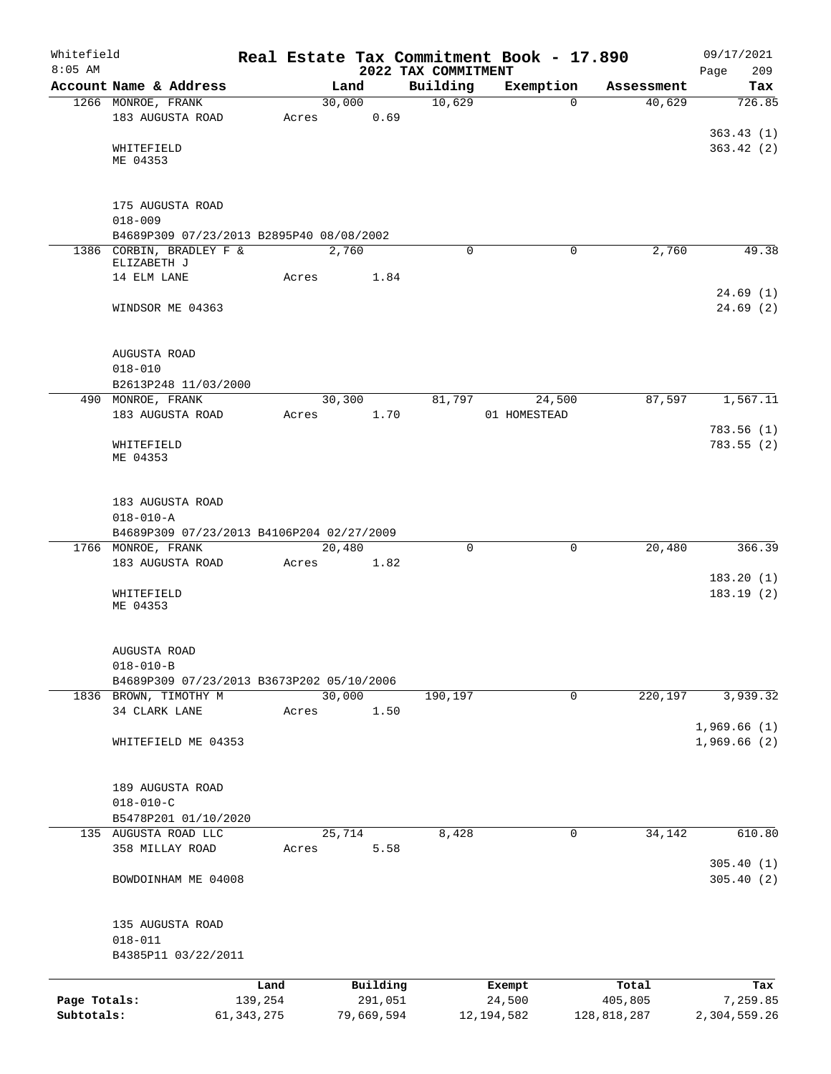| Whitefield<br>$8:05$ AM |                                              |              |       |        |            | 2022 TAX COMMITMENT | Real Estate Tax Commitment Book - 17.890 |             | 09/17/2021<br>Page<br>209 |
|-------------------------|----------------------------------------------|--------------|-------|--------|------------|---------------------|------------------------------------------|-------------|---------------------------|
|                         | Account Name & Address                       |              |       | Land   |            | Building            | Exemption                                | Assessment  | Tax                       |
|                         | 1266 MONROE, FRANK                           |              |       | 30,000 |            | 10,629              | $\Omega$                                 | 40,629      | 726.85                    |
|                         | 183 AUGUSTA ROAD                             |              | Acres |        | 0.69       |                     |                                          |             |                           |
|                         |                                              |              |       |        |            |                     |                                          |             | 363.43(1)                 |
|                         | WHITEFIELD                                   |              |       |        |            |                     |                                          |             | 363.42(2)                 |
|                         | ME 04353                                     |              |       |        |            |                     |                                          |             |                           |
|                         |                                              |              |       |        |            |                     |                                          |             |                           |
|                         | 175 AUGUSTA ROAD                             |              |       |        |            |                     |                                          |             |                           |
|                         | $018 - 009$                                  |              |       |        |            |                     |                                          |             |                           |
|                         | B4689P309 07/23/2013 B2895P40 08/08/2002     |              |       |        |            |                     |                                          |             |                           |
|                         | 1386 CORBIN, BRADLEY F &<br>ELIZABETH J      |              |       | 2,760  |            | $\Omega$            | $\Omega$                                 | 2,760       | 49.38                     |
|                         | 14 ELM LANE                                  |              | Acres |        | 1.84       |                     |                                          |             |                           |
|                         |                                              |              |       |        |            |                     |                                          |             | 24.69(1)                  |
|                         | WINDSOR ME 04363                             |              |       |        |            |                     |                                          |             | 24.69(2)                  |
|                         |                                              |              |       |        |            |                     |                                          |             |                           |
|                         |                                              |              |       |        |            |                     |                                          |             |                           |
|                         | AUGUSTA ROAD                                 |              |       |        |            |                     |                                          |             |                           |
|                         | $018 - 010$                                  |              |       |        |            |                     |                                          |             |                           |
|                         | B2613P248 11/03/2000<br>490 MONROE, FRANK    |              |       | 30,300 |            | 81,797              | 24,500                                   | 87,597      | 1,567.11                  |
|                         | 183 AUGUSTA ROAD                             |              | Acres |        | 1.70       |                     | 01 HOMESTEAD                             |             |                           |
|                         |                                              |              |       |        |            |                     |                                          |             | 783.56(1)                 |
|                         | WHITEFIELD                                   |              |       |        |            |                     |                                          |             | 783.55(2)                 |
|                         | ME 04353                                     |              |       |        |            |                     |                                          |             |                           |
|                         |                                              |              |       |        |            |                     |                                          |             |                           |
|                         | 183 AUGUSTA ROAD                             |              |       |        |            |                     |                                          |             |                           |
|                         | $018 - 010 - A$                              |              |       |        |            |                     |                                          |             |                           |
|                         | B4689P309 07/23/2013 B4106P204 02/27/2009    |              |       |        |            |                     |                                          |             |                           |
|                         | 1766 MONROE, FRANK                           |              |       | 20,480 |            | $\mathbf 0$         | 0                                        | 20,480      | 366.39                    |
|                         | 183 AUGUSTA ROAD                             |              | Acres |        | 1.82       |                     |                                          |             |                           |
|                         |                                              |              |       |        |            |                     |                                          |             | 183.20(1)                 |
|                         | WHITEFIELD<br>ME 04353                       |              |       |        |            |                     |                                          |             | 183.19 (2)                |
|                         |                                              |              |       |        |            |                     |                                          |             |                           |
|                         |                                              |              |       |        |            |                     |                                          |             |                           |
|                         | AUGUSTA ROAD                                 |              |       |        |            |                     |                                          |             |                           |
|                         | $018 - 010 - B$                              |              |       |        |            |                     |                                          |             |                           |
|                         | B4689P309 07/23/2013 B3673P202 05/10/2006    |              |       | 30,000 |            |                     | $\mathbf 0$                              | 220,197     | 3,939.32                  |
|                         | 1836 BROWN, TIMOTHY M<br>34 CLARK LANE       |              | Acres |        | 1.50       | 190,197             |                                          |             |                           |
|                         |                                              |              |       |        |            |                     |                                          |             | 1,969.66(1)               |
|                         | WHITEFIELD ME 04353                          |              |       |        |            |                     |                                          |             | 1,969.66(2)               |
|                         |                                              |              |       |        |            |                     |                                          |             |                           |
|                         |                                              |              |       |        |            |                     |                                          |             |                           |
|                         | 189 AUGUSTA ROAD                             |              |       |        |            |                     |                                          |             |                           |
|                         | $018 - 010 - C$                              |              |       |        |            |                     |                                          |             |                           |
|                         | B5478P201 01/10/2020<br>135 AUGUSTA ROAD LLC |              |       | 25,714 |            | 8,428               | 0                                        | 34,142      | 610.80                    |
|                         | 358 MILLAY ROAD                              |              | Acres |        | 5.58       |                     |                                          |             |                           |
|                         |                                              |              |       |        |            |                     |                                          |             | 305.40(1)                 |
|                         | BOWDOINHAM ME 04008                          |              |       |        |            |                     |                                          |             | 305.40(2)                 |
|                         |                                              |              |       |        |            |                     |                                          |             |                           |
|                         |                                              |              |       |        |            |                     |                                          |             |                           |
|                         | 135 AUGUSTA ROAD                             |              |       |        |            |                     |                                          |             |                           |
|                         | $018 - 011$                                  |              |       |        |            |                     |                                          |             |                           |
|                         | B4385P11 03/22/2011                          |              |       |        |            |                     |                                          |             |                           |
|                         |                                              | Land         |       |        | Building   |                     | Exempt                                   | Total       | Tax                       |
| Page Totals:            |                                              | 139,254      |       |        | 291,051    |                     | 24,500                                   | 405,805     | 7,259.85                  |
| Subtotals:              |                                              | 61, 343, 275 |       |        | 79,669,594 |                     | 12, 194, 582                             | 128,818,287 | 2,304,559.26              |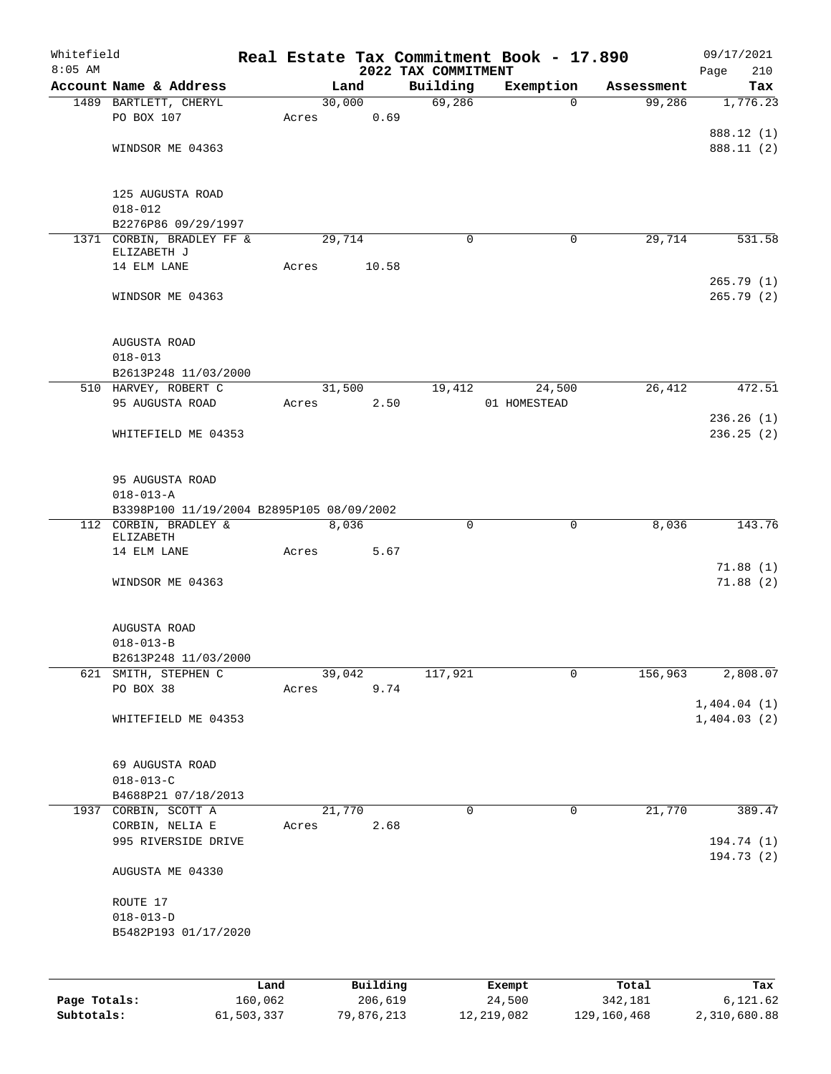| Whitefield<br>$8:05$ AM |                                           |         |       |          | 2022 TAX COMMITMENT | Real Estate Tax Commitment Book - 17.890 |            | 09/17/2021                 |
|-------------------------|-------------------------------------------|---------|-------|----------|---------------------|------------------------------------------|------------|----------------------------|
|                         | Account Name & Address                    |         |       | Land     | Building            | Exemption                                | Assessment | Page<br>210<br>Tax         |
|                         | 1489 BARTLETT, CHERYL                     |         |       | 30,000   | 69,286              | $\Omega$                                 | 99,286     | 1,776.23                   |
|                         | PO BOX 107                                |         | Acres | 0.69     |                     |                                          |            |                            |
|                         |                                           |         |       |          |                     |                                          |            | 888.12 (1)                 |
|                         | WINDSOR ME 04363                          |         |       |          |                     |                                          |            | 888.11 (2)                 |
|                         | 125 AUGUSTA ROAD                          |         |       |          |                     |                                          |            |                            |
|                         | $018 - 012$                               |         |       |          |                     |                                          |            |                            |
|                         | B2276P86 09/29/1997                       |         |       |          |                     |                                          |            |                            |
|                         | 1371 CORBIN, BRADLEY FF &                 |         |       | 29,714   | 0                   | 0                                        | 29,714     | 531.58                     |
|                         | ELIZABETH J                               |         |       |          |                     |                                          |            |                            |
|                         | 14 ELM LANE                               |         | Acres | 10.58    |                     |                                          |            |                            |
|                         | WINDSOR ME 04363                          |         |       |          |                     |                                          |            | 265.79(1)<br>265.79(2)     |
|                         |                                           |         |       |          |                     |                                          |            |                            |
|                         | AUGUSTA ROAD                              |         |       |          |                     |                                          |            |                            |
|                         | $018 - 013$                               |         |       |          |                     |                                          |            |                            |
|                         | B2613P248 11/03/2000                      |         |       |          |                     |                                          |            |                            |
|                         | 510 HARVEY, ROBERT C                      |         |       | 31,500   | 19,412              | 24,500                                   | 26,412     | 472.51                     |
|                         | 95 AUGUSTA ROAD                           |         | Acres | 2.50     |                     | 01 HOMESTEAD                             |            | 236.26(1)                  |
|                         | WHITEFIELD ME 04353                       |         |       |          |                     |                                          |            | 236.25(2)                  |
|                         |                                           |         |       |          |                     |                                          |            |                            |
|                         | 95 AUGUSTA ROAD                           |         |       |          |                     |                                          |            |                            |
|                         | $018 - 013 - A$                           |         |       |          |                     |                                          |            |                            |
|                         | B3398P100 11/19/2004 B2895P105 08/09/2002 |         |       |          |                     |                                          |            |                            |
|                         | 112 CORBIN, BRADLEY &                     |         |       | 8,036    | 0                   | $\mathbf 0$                              | 8,036      | 143.76                     |
|                         | ELIZABETH                                 |         |       |          |                     |                                          |            |                            |
|                         | 14 ELM LANE                               |         | Acres | 5.67     |                     |                                          |            |                            |
|                         | WINDSOR ME 04363                          |         |       |          |                     |                                          |            | 71.88(1)<br>71.88(2)       |
|                         |                                           |         |       |          |                     |                                          |            |                            |
|                         | AUGUSTA ROAD                              |         |       |          |                     |                                          |            |                            |
|                         | $018 - 013 - B$                           |         |       |          |                     |                                          |            |                            |
|                         | B2613P248 11/03/2000                      |         |       |          |                     |                                          |            |                            |
| 621                     | SMITH, STEPHEN C                          |         |       | 39,042   | 117,921             | $\mathbf 0$                              | 156,963    | 2,808.07                   |
|                         | PO BOX 38                                 |         | Acres | 9.74     |                     |                                          |            |                            |
|                         |                                           |         |       |          |                     |                                          |            | 1,404.04(1)<br>1,404.03(2) |
|                         | WHITEFIELD ME 04353                       |         |       |          |                     |                                          |            |                            |
|                         | 69 AUGUSTA ROAD                           |         |       |          |                     |                                          |            |                            |
|                         | $018 - 013 - C$                           |         |       |          |                     |                                          |            |                            |
|                         | B4688P21 07/18/2013                       |         |       |          |                     |                                          |            |                            |
|                         | 1937 CORBIN, SCOTT A                      |         |       | 21,770   | 0                   | $\mathbf 0$                              | 21,770     | 389.47                     |
|                         | CORBIN, NELIA E                           |         | Acres | 2.68     |                     |                                          |            |                            |
|                         | 995 RIVERSIDE DRIVE                       |         |       |          |                     |                                          |            | 194.74 (1)                 |
|                         | AUGUSTA ME 04330                          |         |       |          |                     |                                          |            | 194.73 (2)                 |
|                         |                                           |         |       |          |                     |                                          |            |                            |
|                         | ROUTE 17                                  |         |       |          |                     |                                          |            |                            |
|                         | $018 - 013 - D$                           |         |       |          |                     |                                          |            |                            |
|                         | B5482P193 01/17/2020                      |         |       |          |                     |                                          |            |                            |
|                         |                                           |         |       |          |                     |                                          |            |                            |
|                         |                                           | Land    |       | Building |                     | Exempt                                   | Total      | Tax                        |
| Page Totals:            |                                           | 160,062 |       | 206,619  |                     | 24,500                                   | 342,181    | 6,121.62                   |

**Subtotals:** 61,503,337 79,876,213 12,219,082 129,160,468 2,310,680.88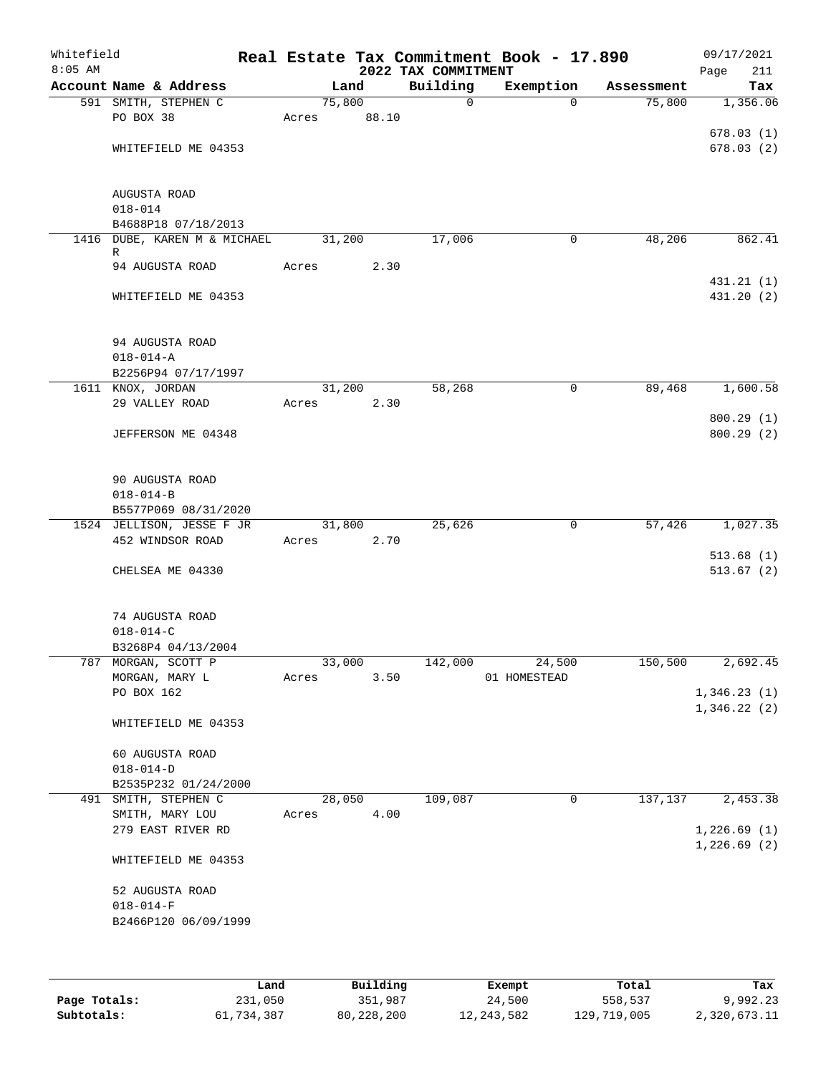| Whitefield<br>$8:05$ AM |                                               |       |                | 2022 TAX COMMITMENT | Real Estate Tax Commitment Book - 17.890 |            | 09/17/2021<br>211<br>Page |
|-------------------------|-----------------------------------------------|-------|----------------|---------------------|------------------------------------------|------------|---------------------------|
|                         | Account Name & Address                        |       | Land           | Building            | Exemption                                | Assessment | Tax                       |
|                         | 591 SMITH, STEPHEN C                          |       | 75,800         | $\mathbf 0$         | $\Omega$                                 | 75,800     | 1,356.06                  |
|                         | PO BOX 38                                     | Acres | 88.10          |                     |                                          |            |                           |
|                         |                                               |       |                |                     |                                          |            | 678.03(1)                 |
|                         | WHITEFIELD ME 04353                           |       |                |                     |                                          |            | 678.03(2)                 |
|                         |                                               |       |                |                     |                                          |            |                           |
|                         |                                               |       |                |                     |                                          |            |                           |
|                         | AUGUSTA ROAD                                  |       |                |                     |                                          |            |                           |
|                         | $018 - 014$                                   |       |                |                     |                                          |            |                           |
|                         | B4688P18 07/18/2013                           |       |                |                     |                                          |            |                           |
|                         | 1416 DUBE, KAREN M & MICHAEL<br>R             |       | 31,200         | 17,006              | 0                                        | 48,206     | 862.41                    |
|                         | 94 AUGUSTA ROAD                               | Acres | 2.30           |                     |                                          |            |                           |
|                         |                                               |       |                |                     |                                          |            | 431.21 (1)                |
|                         | WHITEFIELD ME 04353                           |       |                |                     |                                          |            | 431.20 (2)                |
|                         |                                               |       |                |                     |                                          |            |                           |
|                         |                                               |       |                |                     |                                          |            |                           |
|                         | 94 AUGUSTA ROAD                               |       |                |                     |                                          |            |                           |
|                         | $018 - 014 - A$                               |       |                |                     |                                          |            |                           |
|                         | B2256P94 07/17/1997                           |       |                |                     |                                          |            |                           |
|                         | 1611 KNOX, JORDAN                             |       | 31,200         | 58,268              | 0                                        | 89,468     | 1,600.58                  |
|                         | 29 VALLEY ROAD                                | Acres | 2.30           |                     |                                          |            |                           |
|                         |                                               |       |                |                     |                                          |            | 800.29(1)                 |
|                         | JEFFERSON ME 04348                            |       |                |                     |                                          |            | 800.29(2)                 |
|                         |                                               |       |                |                     |                                          |            |                           |
|                         |                                               |       |                |                     |                                          |            |                           |
|                         | 90 AUGUSTA ROAD                               |       |                |                     |                                          |            |                           |
|                         | $018 - 014 - B$                               |       |                |                     |                                          |            |                           |
|                         | B5577P069 08/31/2020                          |       |                |                     |                                          |            |                           |
|                         | 1524 JELLISON, JESSE F JR<br>452 WINDSOR ROAD |       | 31,800<br>2.70 | 25,626              | 0                                        | 57,426     | 1,027.35                  |
|                         |                                               | Acres |                |                     |                                          |            |                           |
|                         | CHELSEA ME 04330                              |       |                |                     |                                          |            | 513.68(1)<br>513.67(2)    |
|                         |                                               |       |                |                     |                                          |            |                           |
|                         |                                               |       |                |                     |                                          |            |                           |
|                         | 74 AUGUSTA ROAD                               |       |                |                     |                                          |            |                           |
|                         | $018 - 014 - C$                               |       |                |                     |                                          |            |                           |
|                         | B3268P4 04/13/2004                            |       |                |                     |                                          |            |                           |
|                         | 787 MORGAN, SCOTT P                           |       | 33,000         | 142,000             | 24,500                                   | 150,500    | 2,692.45                  |
|                         | MORGAN, MARY L                                | Acres | 3.50           |                     | 01 HOMESTEAD                             |            |                           |
|                         | PO BOX 162                                    |       |                |                     |                                          |            | 1,346.23(1)               |
|                         |                                               |       |                |                     |                                          |            | 1,346.22(2)               |
|                         | WHITEFIELD ME 04353                           |       |                |                     |                                          |            |                           |
|                         |                                               |       |                |                     |                                          |            |                           |
|                         | 60 AUGUSTA ROAD                               |       |                |                     |                                          |            |                           |
|                         | $018 - 014 - D$                               |       |                |                     |                                          |            |                           |
|                         | B2535P232 01/24/2000                          |       |                |                     |                                          |            |                           |
|                         | 491 SMITH, STEPHEN C                          |       | 28,050         | 109,087             | $\mathbf 0$                              | 137,137    | 2,453.38                  |
|                         | SMITH, MARY LOU                               | Acres | 4.00           |                     |                                          |            |                           |
|                         | 279 EAST RIVER RD                             |       |                |                     |                                          |            | 1,226.69(1)               |
|                         |                                               |       |                |                     |                                          |            | 1,226.69(2)               |
|                         | WHITEFIELD ME 04353                           |       |                |                     |                                          |            |                           |
|                         | 52 AUGUSTA ROAD                               |       |                |                     |                                          |            |                           |
|                         | $018 - 014 - F$                               |       |                |                     |                                          |            |                           |
|                         | B2466P120 06/09/1999                          |       |                |                     |                                          |            |                           |
|                         |                                               |       |                |                     |                                          |            |                           |
|                         |                                               |       |                |                     |                                          |            |                           |
|                         |                                               |       |                |                     |                                          |            |                           |

|              | Land       | Building   | Exempt     | Total       | Tax          |
|--------------|------------|------------|------------|-------------|--------------|
| Page Totals: | 231,050    | 351,987    | 24,500     | 558,537     | 9,992.23     |
| Subtotals:   | 61,734,387 | 80,228,200 | 12,243,582 | 129,719,005 | 2,320,673.11 |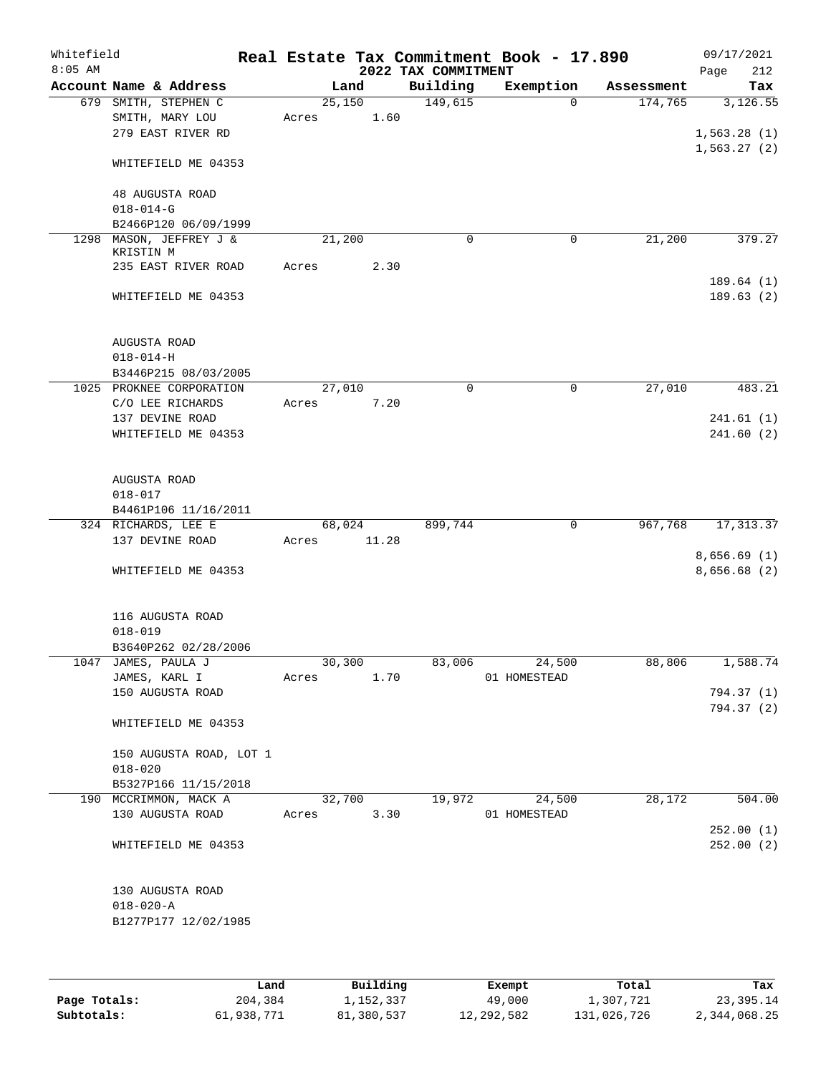| Whitefield<br>$8:05$ AM |                                             |       |        | 2022 TAX COMMITMENT | Real Estate Tax Commitment Book - 17.890 |            | 09/17/2021<br>212<br>Page |
|-------------------------|---------------------------------------------|-------|--------|---------------------|------------------------------------------|------------|---------------------------|
|                         | Account Name & Address                      |       | Land   | Building            | Exemption                                | Assessment | Tax                       |
|                         | 679 SMITH, STEPHEN C                        |       | 25,150 | 149,615             | $\Omega$                                 | 174,765    | 3,126.55                  |
|                         | SMITH, MARY LOU                             | Acres | 1.60   |                     |                                          |            |                           |
|                         | 279 EAST RIVER RD                           |       |        |                     |                                          |            | 1,563.28(1)               |
|                         | WHITEFIELD ME 04353                         |       |        |                     |                                          |            | 1,563.27(2)               |
|                         | 48 AUGUSTA ROAD<br>$018 - 014 - G$          |       |        |                     |                                          |            |                           |
|                         | B2466P120 06/09/1999                        |       |        |                     |                                          |            |                           |
|                         | 1298 MASON, JEFFREY J &                     |       | 21,200 | $\mathbf 0$         | 0                                        | 21,200     | 379.27                    |
|                         | KRISTIN M                                   |       |        |                     |                                          |            |                           |
|                         | 235 EAST RIVER ROAD                         | Acres | 2.30   |                     |                                          |            |                           |
|                         |                                             |       |        |                     |                                          |            | 189.64 (1)                |
|                         | WHITEFIELD ME 04353                         |       |        |                     |                                          |            | 189.63(2)                 |
|                         | AUGUSTA ROAD                                |       |        |                     |                                          |            |                           |
|                         | $018 - 014 - H$                             |       |        |                     |                                          |            |                           |
|                         | B3446P215 08/03/2005                        |       |        |                     |                                          |            |                           |
|                         | 1025 PROKNEE CORPORATION                    |       | 27,010 | 0                   | $\mathbf 0$                              | 27,010     | 483.21                    |
|                         | C/O LEE RICHARDS                            | Acres | 7.20   |                     |                                          |            |                           |
|                         | 137 DEVINE ROAD<br>WHITEFIELD ME 04353      |       |        |                     |                                          |            | 241.61(1)                 |
|                         |                                             |       |        |                     |                                          |            | 241.60(2)                 |
|                         | AUGUSTA ROAD                                |       |        |                     |                                          |            |                           |
|                         | $018 - 017$                                 |       |        |                     |                                          |            |                           |
|                         | B4461P106 11/16/2011<br>324 RICHARDS, LEE E |       | 68,024 | 899,744             | $\mathbf 0$                              | 967,768    | 17, 313.37                |
|                         | 137 DEVINE ROAD                             | Acres | 11.28  |                     |                                          |            |                           |
|                         |                                             |       |        |                     |                                          |            | 8,656.69(1)               |
|                         | WHITEFIELD ME 04353                         |       |        |                     |                                          |            | 8,656.68(2)               |
|                         | 116 AUGUSTA ROAD                            |       |        |                     |                                          |            |                           |
|                         | $018 - 019$                                 |       |        |                     |                                          |            |                           |
|                         | B3640P262 02/28/2006                        |       |        |                     |                                          |            |                           |
|                         | 1047 JAMES, PAULA J                         |       | 30,300 | 83,006              | 24,500                                   | 88,806     | 1,588.74                  |
|                         | JAMES, KARL I                               | Acres | 1.70   |                     | 01 HOMESTEAD                             |            |                           |
|                         | 150 AUGUSTA ROAD                            |       |        |                     |                                          |            | 794.37 (1)                |
|                         | WHITEFIELD ME 04353                         |       |        |                     |                                          |            | 794.37 (2)                |
|                         | 150 AUGUSTA ROAD, LOT 1                     |       |        |                     |                                          |            |                           |
|                         | $018 - 020$                                 |       |        |                     |                                          |            |                           |
|                         | B5327P166 11/15/2018                        |       |        |                     |                                          |            |                           |
|                         | 190 MCCRIMMON, MACK A                       |       | 32,700 | 19,972              | 24,500                                   | 28,172     | 504.00                    |
|                         | 130 AUGUSTA ROAD                            | Acres | 3.30   |                     | 01 HOMESTEAD                             |            |                           |
|                         | WHITEFIELD ME 04353                         |       |        |                     |                                          |            | 252.00(1)<br>252.00(2)    |
|                         |                                             |       |        |                     |                                          |            |                           |
|                         | 130 AUGUSTA ROAD                            |       |        |                     |                                          |            |                           |
|                         | $018 - 020 - A$                             |       |        |                     |                                          |            |                           |
|                         | B1277P177 12/02/1985                        |       |        |                     |                                          |            |                           |
|                         |                                             |       |        |                     |                                          |            |                           |
|                         |                                             |       |        |                     |                                          |            |                           |

|              | Land       | Building   | Exempt     | Total       | Tax          |
|--------------|------------|------------|------------|-------------|--------------|
| Page Totals: | 204,384    | 1,152,337  | 49,000     | 1,307,721   | 23,395.14    |
| Subtotals:   | 61,938,771 | 81,380,537 | 12,292,582 | 131,026,726 | 2,344,068.25 |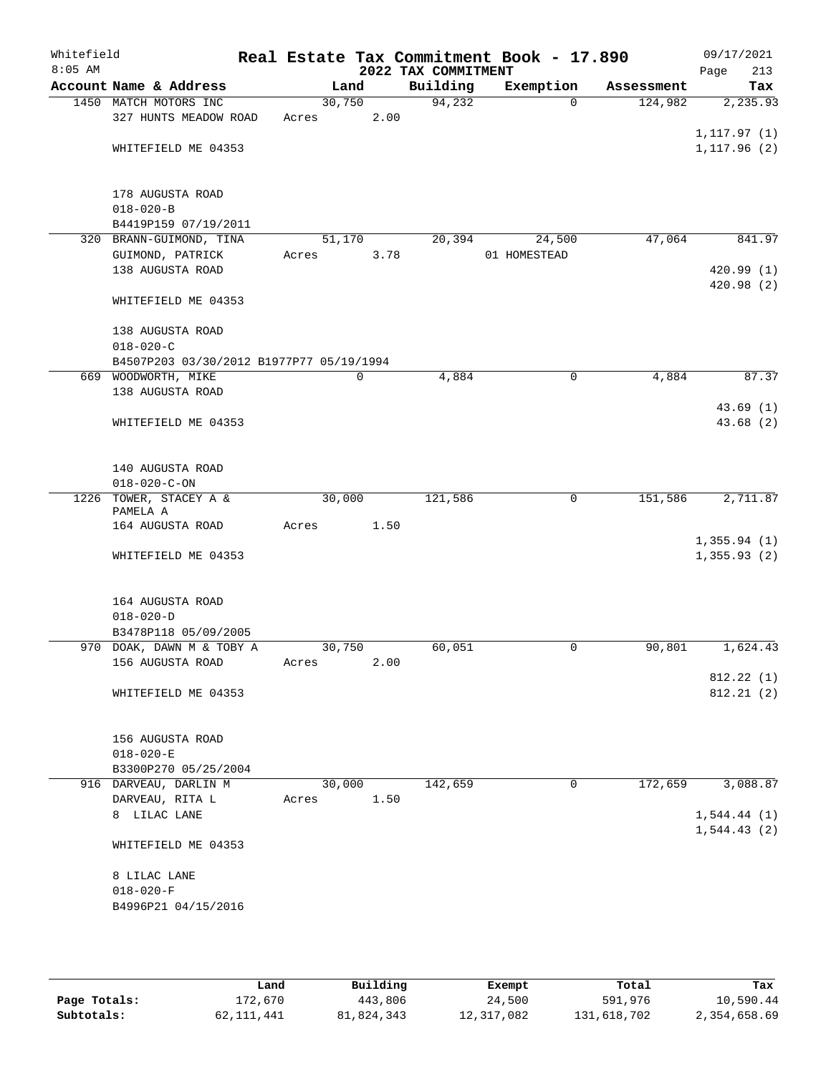| Whitefield<br>$8:05$ AM |                                          |       |        |      | 2022 TAX COMMITMENT | Real Estate Tax Commitment Book - 17.890 |            | 09/17/2021<br>213<br>Page |
|-------------------------|------------------------------------------|-------|--------|------|---------------------|------------------------------------------|------------|---------------------------|
|                         | Account Name & Address                   |       | Land   |      | Building            | Exemption                                | Assessment | Tax                       |
|                         | 1450 MATCH MOTORS INC                    |       | 30,750 |      | 94,232              | $\Omega$                                 | 124,982    | 2, 235.93                 |
|                         | 327 HUNTS MEADOW ROAD                    | Acres |        | 2.00 |                     |                                          |            |                           |
|                         |                                          |       |        |      |                     |                                          |            | 1, 117.97(1)              |
|                         | WHITEFIELD ME 04353                      |       |        |      |                     |                                          |            | 1, 117.96(2)              |
|                         | 178 AUGUSTA ROAD                         |       |        |      |                     |                                          |            |                           |
|                         | $018 - 020 - B$                          |       |        |      |                     |                                          |            |                           |
|                         | B4419P159 07/19/2011                     |       |        |      |                     |                                          |            |                           |
|                         | 320 BRANN-GUIMOND, TINA                  |       | 51,170 |      | 20,394              | 24,500                                   | 47,064     | 841.97                    |
|                         | GUIMOND, PATRICK                         | Acres |        | 3.78 |                     | 01 HOMESTEAD                             |            |                           |
|                         | 138 AUGUSTA ROAD                         |       |        |      |                     |                                          |            | 420.99(1)                 |
|                         | WHITEFIELD ME 04353                      |       |        |      |                     |                                          |            | 420.98 (2)                |
|                         | 138 AUGUSTA ROAD                         |       |        |      |                     |                                          |            |                           |
|                         | $018 - 020 - C$                          |       |        |      |                     |                                          |            |                           |
|                         | B4507P203 03/30/2012 B1977P77 05/19/1994 |       |        |      |                     |                                          |            |                           |
|                         | 669 WOODWORTH, MIKE                      |       | 0      |      | 4,884               | 0                                        | 4,884      | 87.37                     |
|                         | 138 AUGUSTA ROAD                         |       |        |      |                     |                                          |            |                           |
|                         |                                          |       |        |      |                     |                                          |            | 43.69(1)                  |
|                         | WHITEFIELD ME 04353                      |       |        |      |                     |                                          |            | 43.68(2)                  |
|                         |                                          |       |        |      |                     |                                          |            |                           |
|                         | 140 AUGUSTA ROAD                         |       |        |      |                     |                                          |            |                           |
|                         | $018 - 020 - C - ON$                     |       |        |      |                     |                                          |            |                           |
|                         | 1226 TOWER, STACEY A &<br>PAMELA A       |       | 30,000 |      | 121,586             | 0                                        | 151,586    | 2,711.87                  |
|                         | 164 AUGUSTA ROAD                         | Acres |        | 1.50 |                     |                                          |            |                           |
|                         |                                          |       |        |      |                     |                                          |            | 1,355.94(1)               |
|                         | WHITEFIELD ME 04353                      |       |        |      |                     |                                          |            | 1, 355.93(2)              |
|                         | 164 AUGUSTA ROAD                         |       |        |      |                     |                                          |            |                           |
|                         | $018 - 020 - D$                          |       |        |      |                     |                                          |            |                           |
|                         | B3478P118 05/09/2005                     |       |        |      |                     |                                          |            |                           |
|                         | 970 DOAK, DAWN M & TOBY A                |       | 30,750 |      | 60,051              | 0                                        | 90,801     | 1,624.43                  |
|                         | 156 AUGUSTA ROAD                         | Acres |        | 2.00 |                     |                                          |            |                           |
|                         |                                          |       |        |      |                     |                                          |            | 812.22(1)                 |
|                         | WHITEFIELD ME 04353                      |       |        |      |                     |                                          |            | 812.21(2)                 |
|                         | 156 AUGUSTA ROAD                         |       |        |      |                     |                                          |            |                           |
|                         | $018 - 020 - E$                          |       |        |      |                     |                                          |            |                           |
|                         | B3300P270 05/25/2004                     |       |        |      |                     |                                          |            |                           |
|                         | 916 DARVEAU, DARLIN M                    |       | 30,000 |      | 142,659             | $\mathbf 0$                              | 172,659    | 3,088.87                  |
|                         | DARVEAU, RITA L                          | Acres |        | 1.50 |                     |                                          |            |                           |
|                         | 8 LILAC LANE                             |       |        |      |                     |                                          |            | 1,544.44(1)               |
|                         | WHITEFIELD ME 04353                      |       |        |      |                     |                                          |            | 1, 544.43(2)              |
|                         |                                          |       |        |      |                     |                                          |            |                           |
|                         | 8 LILAC LANE                             |       |        |      |                     |                                          |            |                           |
|                         | $018 - 020 - F$                          |       |        |      |                     |                                          |            |                           |
|                         | B4996P21 04/15/2016                      |       |        |      |                     |                                          |            |                           |
|                         |                                          |       |        |      |                     |                                          |            |                           |
|                         |                                          |       |        |      |                     |                                          |            |                           |

|              | Land       | Building   | Exempt     | Total       | Tax          |
|--------------|------------|------------|------------|-------------|--------------|
| Page Totals: | 172,670    | 443,806    | 24,500     | 591,976     | 10,590.44    |
| Subtotals:   | 62,111,441 | 81,824,343 | 12,317,082 | 131,618,702 | 2,354,658.69 |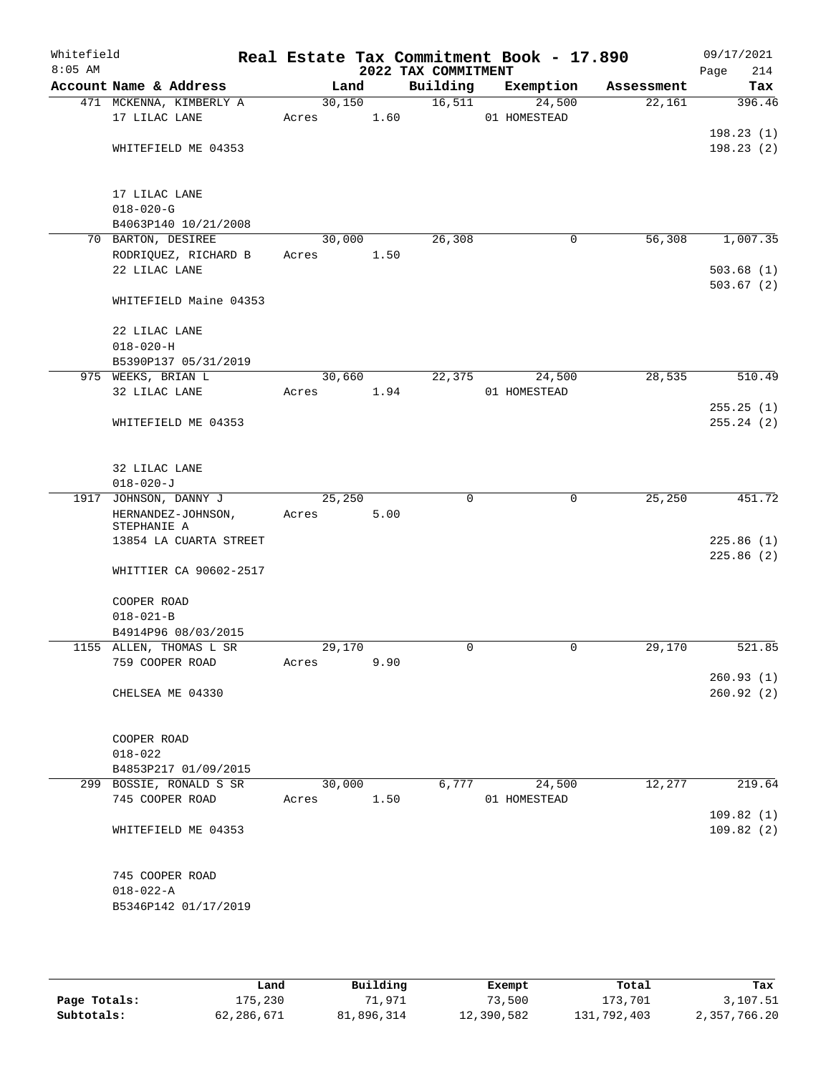| Whitefield<br>$8:05$ AM |                                                 |                 |      | 2022 TAX COMMITMENT | Real Estate Tax Commitment Book - 17.890 |            | 09/17/2021<br>Page<br>214 |
|-------------------------|-------------------------------------------------|-----------------|------|---------------------|------------------------------------------|------------|---------------------------|
|                         | Account Name & Address                          | Land            |      | Building            | Exemption                                | Assessment | Tax                       |
|                         | 471 MCKENNA, KIMBERLY A<br>17 LILAC LANE        | 30,150<br>Acres | 1.60 | 16,511              | 24,500<br>01 HOMESTEAD                   | 22,161     | 396.46                    |
|                         | WHITEFIELD ME 04353                             |                 |      |                     |                                          |            | 198.23(1)<br>198.23(2)    |
|                         | 17 LILAC LANE<br>$018 - 020 - G$                |                 |      |                     |                                          |            |                           |
|                         | B4063P140 10/21/2008                            |                 |      |                     |                                          |            |                           |
|                         | 70 BARTON, DESIREE                              | 30,000          |      | 26, 308             | $\mathbf 0$                              | 56,308     | 1,007.35                  |
|                         | RODRIQUEZ, RICHARD B<br>22 LILAC LANE           | Acres           | 1.50 |                     |                                          |            | 503.68(1)<br>503.67(2)    |
|                         | WHITEFIELD Maine 04353                          |                 |      |                     |                                          |            |                           |
|                         | 22 LILAC LANE<br>$018 - 020 - H$                |                 |      |                     |                                          |            |                           |
|                         | B5390P137 05/31/2019                            |                 |      |                     |                                          |            |                           |
|                         | 975 WEEKS, BRIAN L<br>32 LILAC LANE             | 30,660<br>Acres | 1.94 | 22,375              | 24,500<br>01 HOMESTEAD                   | 28,535     | 510.49                    |
|                         | WHITEFIELD ME 04353                             |                 |      |                     |                                          |            | 255.25(1)<br>255.24(2)    |
|                         | 32 LILAC LANE<br>$018 - 020 - J$                |                 |      |                     |                                          |            |                           |
|                         | 1917 JOHNSON, DANNY J<br>HERNANDEZ-JOHNSON,     | 25,250<br>Acres | 5.00 | $\Omega$            | $\mathbf 0$                              | 25, 250    | 451.72                    |
|                         | STEPHANIE A<br>13854 LA CUARTA STREET           |                 |      |                     |                                          |            | 225.86(1)                 |
|                         | WHITTIER CA 90602-2517                          |                 |      |                     |                                          |            | 225.86(2)                 |
|                         | COOPER ROAD<br>$018 - 021 - B$                  |                 |      |                     |                                          |            |                           |
|                         | B4914P96 08/03/2015                             |                 |      |                     |                                          |            |                           |
|                         | 1155 ALLEN, THOMAS L SR                         | 29,170          |      | $\mathbf 0$         | 0                                        | 29,170     | 521.85                    |
|                         | 759 COOPER ROAD                                 | Acres           | 9.90 |                     |                                          |            | 260.93(1)                 |
|                         | CHELSEA ME 04330                                |                 |      |                     |                                          |            | 260.92(2)                 |
|                         | COOPER ROAD                                     |                 |      |                     |                                          |            |                           |
|                         | $018 - 022$                                     |                 |      |                     |                                          |            |                           |
|                         | B4853P217 01/09/2015<br>299 BOSSIE, RONALD S SR | 30,000          |      | 6,777               | 24,500                                   | 12,277     | 219.64                    |
|                         | 745 COOPER ROAD                                 | Acres           | 1.50 |                     | 01 HOMESTEAD                             |            |                           |
|                         |                                                 |                 |      |                     |                                          |            | 109.82(1)                 |
|                         | WHITEFIELD ME 04353                             |                 |      |                     |                                          |            | 109.82(2)                 |
|                         | 745 COOPER ROAD                                 |                 |      |                     |                                          |            |                           |
|                         | $018 - 022 - A$<br>B5346P142 01/17/2019         |                 |      |                     |                                          |            |                           |
|                         |                                                 |                 |      |                     |                                          |            |                           |

|              | Land       | Building   | Exempt     | Total       | Tax          |
|--------------|------------|------------|------------|-------------|--------------|
| Page Totals: | 175,230    | 71,971     | 73,500     | 173,701     | 3,107.51     |
| Subtotals:   | 62,286,671 | 81,896,314 | 12,390,582 | 131,792,403 | 2,357,766.20 |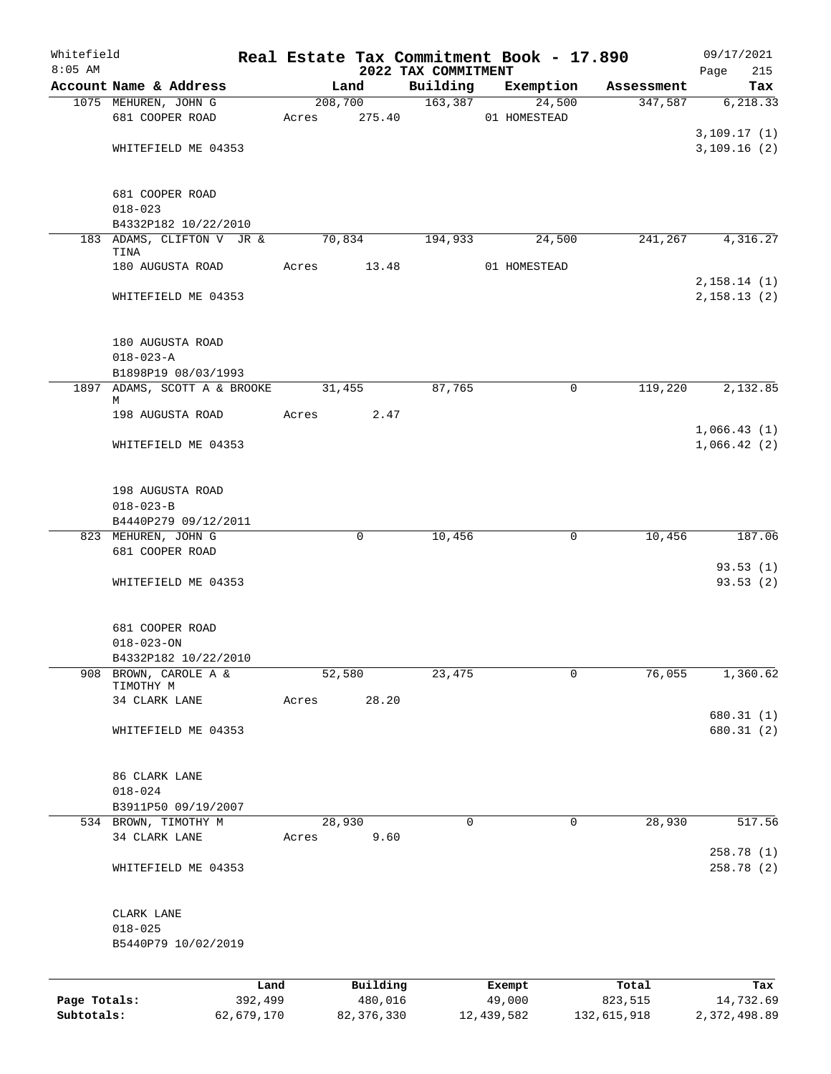| Whitefield<br>$8:05$ AM |                                    |       |          | 2022 TAX COMMITMENT | Real Estate Tax Commitment Book - 17.890 |            | 09/17/2021<br>Page<br>215 |
|-------------------------|------------------------------------|-------|----------|---------------------|------------------------------------------|------------|---------------------------|
|                         | Account Name & Address             |       | Land     | Building            | Exemption                                | Assessment | Tax                       |
|                         | 1075 MEHUREN, JOHN G               |       | 208,700  | 163,387             | 24,500                                   | 347,587    | 6, 218.33                 |
|                         | 681 COOPER ROAD                    | Acres | 275.40   |                     | 01 HOMESTEAD                             |            |                           |
|                         |                                    |       |          |                     |                                          |            | 3,109.17(1)               |
|                         | WHITEFIELD ME 04353                |       |          |                     |                                          |            | 3,109.16(2)               |
|                         |                                    |       |          |                     |                                          |            |                           |
|                         |                                    |       |          |                     |                                          |            |                           |
|                         | 681 COOPER ROAD                    |       |          |                     |                                          |            |                           |
|                         | $018 - 023$                        |       |          |                     |                                          |            |                           |
|                         | B4332P182 10/22/2010               |       |          |                     |                                          |            |                           |
|                         | 183 ADAMS, CLIFTON V JR &<br>TINA  |       | 70,834   | 194,933             | 24,500                                   | 241,267    | 4,316.27                  |
|                         | 180 AUGUSTA ROAD                   | Acres | 13.48    |                     | 01 HOMESTEAD                             |            |                           |
|                         |                                    |       |          |                     |                                          |            | 2,158.14(1)               |
|                         | WHITEFIELD ME 04353                |       |          |                     |                                          |            | 2,158.13(2)               |
|                         |                                    |       |          |                     |                                          |            |                           |
|                         |                                    |       |          |                     |                                          |            |                           |
|                         | 180 AUGUSTA ROAD                   |       |          |                     |                                          |            |                           |
|                         | $018 - 023 - A$                    |       |          |                     |                                          |            |                           |
|                         | B1898P19 08/03/1993                |       |          |                     |                                          |            |                           |
|                         | 1897 ADAMS, SCOTT A & BROOKE       |       | 31,455   | 87,765              | 0                                        | 119,220    | 2,132.85                  |
|                         | М                                  |       |          |                     |                                          |            |                           |
|                         | 198 AUGUSTA ROAD                   | Acres | 2.47     |                     |                                          |            |                           |
|                         |                                    |       |          |                     |                                          |            | 1,066.43(1)               |
|                         | WHITEFIELD ME 04353                |       |          |                     |                                          |            | 1,066.42(2)               |
|                         |                                    |       |          |                     |                                          |            |                           |
|                         | 198 AUGUSTA ROAD                   |       |          |                     |                                          |            |                           |
|                         | $018 - 023 - B$                    |       |          |                     |                                          |            |                           |
|                         | B4440P279 09/12/2011               |       |          |                     |                                          |            |                           |
|                         | 823 MEHUREN, JOHN G                |       | 0        | 10,456              | 0                                        | 10,456     | 187.06                    |
|                         | 681 COOPER ROAD                    |       |          |                     |                                          |            |                           |
|                         |                                    |       |          |                     |                                          |            | 93.53(1)                  |
|                         | WHITEFIELD ME 04353                |       |          |                     |                                          |            | 93.53(2)                  |
|                         |                                    |       |          |                     |                                          |            |                           |
|                         |                                    |       |          |                     |                                          |            |                           |
|                         | 681 COOPER ROAD                    |       |          |                     |                                          |            |                           |
|                         | $018 - 023 - ON$                   |       |          |                     |                                          |            |                           |
|                         | B4332P182 10/22/2010               |       |          |                     |                                          |            |                           |
| 908                     | BROWN, CAROLE A &<br>TIMOTHY M     |       | 52,580   | 23,475              | $\mathbf 0$                              | 76,055     | 1,360.62                  |
|                         | 34 CLARK LANE                      | Acres | 28.20    |                     |                                          |            |                           |
|                         |                                    |       |          |                     |                                          |            | 680.31 (1)                |
|                         | WHITEFIELD ME 04353                |       |          |                     |                                          |            | 680.31 (2)                |
|                         |                                    |       |          |                     |                                          |            |                           |
|                         |                                    |       |          |                     |                                          |            |                           |
|                         | 86 CLARK LANE                      |       |          |                     |                                          |            |                           |
|                         | $018 - 024$                        |       |          |                     |                                          |            |                           |
|                         | B3911P50 09/19/2007                |       |          |                     |                                          |            |                           |
|                         | 534 BROWN, TIMOTHY M               |       | 28,930   | 0                   | $\mathbf 0$                              | 28,930     | 517.56                    |
|                         | 34 CLARK LANE                      | Acres | 9.60     |                     |                                          |            |                           |
|                         |                                    |       |          |                     |                                          |            | 258.78 (1)                |
|                         | WHITEFIELD ME 04353                |       |          |                     |                                          |            | 258.78 (2)                |
|                         |                                    |       |          |                     |                                          |            |                           |
|                         |                                    |       |          |                     |                                          |            |                           |
|                         | CLARK LANE                         |       |          |                     |                                          |            |                           |
|                         | $018 - 025$<br>B5440P79 10/02/2019 |       |          |                     |                                          |            |                           |
|                         |                                    |       |          |                     |                                          |            |                           |
|                         |                                    |       |          |                     |                                          |            |                           |
|                         |                                    | Land  | Building |                     | Exempt                                   | Total      | Tax                       |
| Page Totals:            | 392,499                            |       | 480,016  |                     | 49,000                                   | 823,515    | 14,732.69                 |

**Subtotals:** 62,679,170 82,376,330 12,439,582 132,615,918 2,372,498.89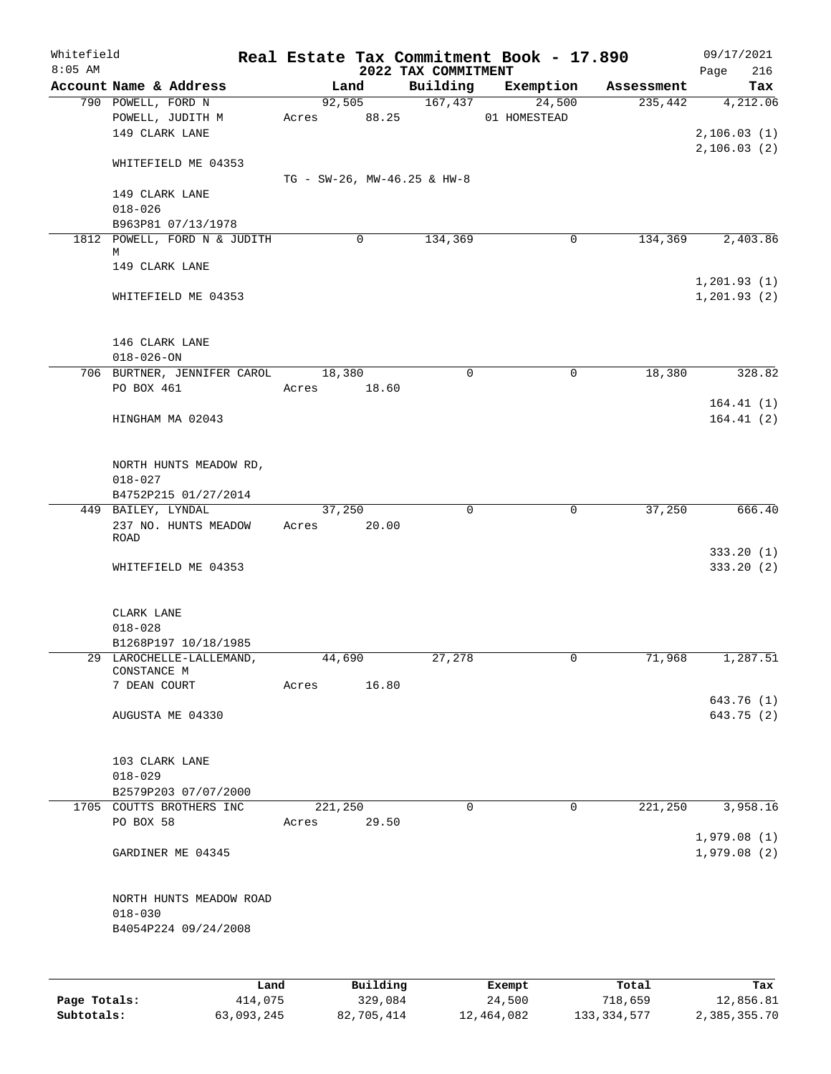| Whitefield   |                                                    |                  |          |                                 | Real Estate Tax Commitment Book - 17.890 |            | 09/17/2021                 |
|--------------|----------------------------------------------------|------------------|----------|---------------------------------|------------------------------------------|------------|----------------------------|
| $8:05$ AM    | Account Name & Address                             |                  | Land     | 2022 TAX COMMITMENT<br>Building | Exemption                                | Assessment | 216<br>Page<br>Tax         |
|              | 790 POWELL, FORD N                                 |                  | 92,505   | 167,437                         | 24,500                                   | 235,442    | 4,212.06                   |
|              | POWELL, JUDITH M<br>149 CLARK LANE                 | Acres 88.25      |          |                                 | 01 HOMESTEAD                             |            | 2,106.03(1)                |
|              | WHITEFIELD ME 04353                                |                  |          |                                 |                                          |            | 2, 106.03(2)               |
|              |                                                    |                  |          | TG - SW-26, MW-46.25 & HW-8     |                                          |            |                            |
|              | 149 CLARK LANE<br>$018 - 026$                      |                  |          |                                 |                                          |            |                            |
|              | B963P81 07/13/1978                                 |                  |          |                                 |                                          |            |                            |
|              | 1812 POWELL, FORD N & JUDITH<br>М                  |                  | 0        | 134,369                         | 0                                        | 134,369    | 2,403.86                   |
|              | 149 CLARK LANE                                     |                  |          |                                 |                                          |            | 1,201.93(1)                |
|              | WHITEFIELD ME 04353                                |                  |          |                                 |                                          |            | 1, 201.93(2)               |
|              | 146 CLARK LANE                                     |                  |          |                                 |                                          |            |                            |
|              | $018 - 026 - ON$<br>706 BURTNER, JENNIFER CAROL    | 18,380           |          | $\mathbf 0$                     | 0                                        | 18,380     | 328.82                     |
|              | PO BOX 461                                         | Acres            | 18.60    |                                 |                                          |            |                            |
|              | HINGHAM MA 02043                                   |                  |          |                                 |                                          |            | 164.41(1)<br>164.41(2)     |
|              | NORTH HUNTS MEADOW RD,                             |                  |          |                                 |                                          |            |                            |
|              | $018 - 027$<br>B4752P215 01/27/2014                |                  |          |                                 |                                          |            |                            |
|              | 449 BAILEY, LYNDAL<br>237 NO. HUNTS MEADOW<br>ROAD | 37,250<br>Acres  | 20.00    | $\mathbf 0$                     | $\mathbf 0$                              | 37,250     | 666.40                     |
|              | WHITEFIELD ME 04353                                |                  |          |                                 |                                          |            | 333.20(1)<br>333.20(2)     |
|              | CLARK LANE                                         |                  |          |                                 |                                          |            |                            |
|              | $018 - 028$                                        |                  |          |                                 |                                          |            |                            |
|              | B1268P197 10/18/1985                               |                  |          |                                 |                                          |            |                            |
|              | 29 LAROCHELLE-LALLEMAND,<br>CONSTANCE M            | 44,690           |          | 27,278                          |                                          | 71,968     | 1,287.51                   |
|              | 7 DEAN COURT                                       | Acres            | 16.80    |                                 |                                          |            |                            |
|              | AUGUSTA ME 04330                                   |                  |          |                                 |                                          |            | 643.76 (1)<br>643.75 (2)   |
|              |                                                    |                  |          |                                 |                                          |            |                            |
|              | 103 CLARK LANE                                     |                  |          |                                 |                                          |            |                            |
|              | $018 - 029$                                        |                  |          |                                 |                                          |            |                            |
|              | B2579P203 07/07/2000                               |                  |          | $\mathbf 0$                     | $\mathbf 0$                              | 221,250    |                            |
|              | 1705 COUTTS BROTHERS INC<br>PO BOX 58              | 221,250<br>Acres | 29.50    |                                 |                                          |            | 3,958.16                   |
|              | GARDINER ME 04345                                  |                  |          |                                 |                                          |            | 1,979.08(1)<br>1,979.08(2) |
|              | NORTH HUNTS MEADOW ROAD                            |                  |          |                                 |                                          |            |                            |
|              | $018 - 030$<br>B4054P224 09/24/2008                |                  |          |                                 |                                          |            |                            |
|              |                                                    |                  |          |                                 |                                          |            |                            |
|              | Land                                               |                  | Building |                                 | Exempt                                   | Total      | Tax                        |
| Page Totals: | 414,075                                            |                  | 329,084  |                                 | 24,500                                   | 718,659    | 12,856.81                  |

**Subtotals:** 63,093,245 82,705,414 12,464,082 133,334,577 2,385,355.70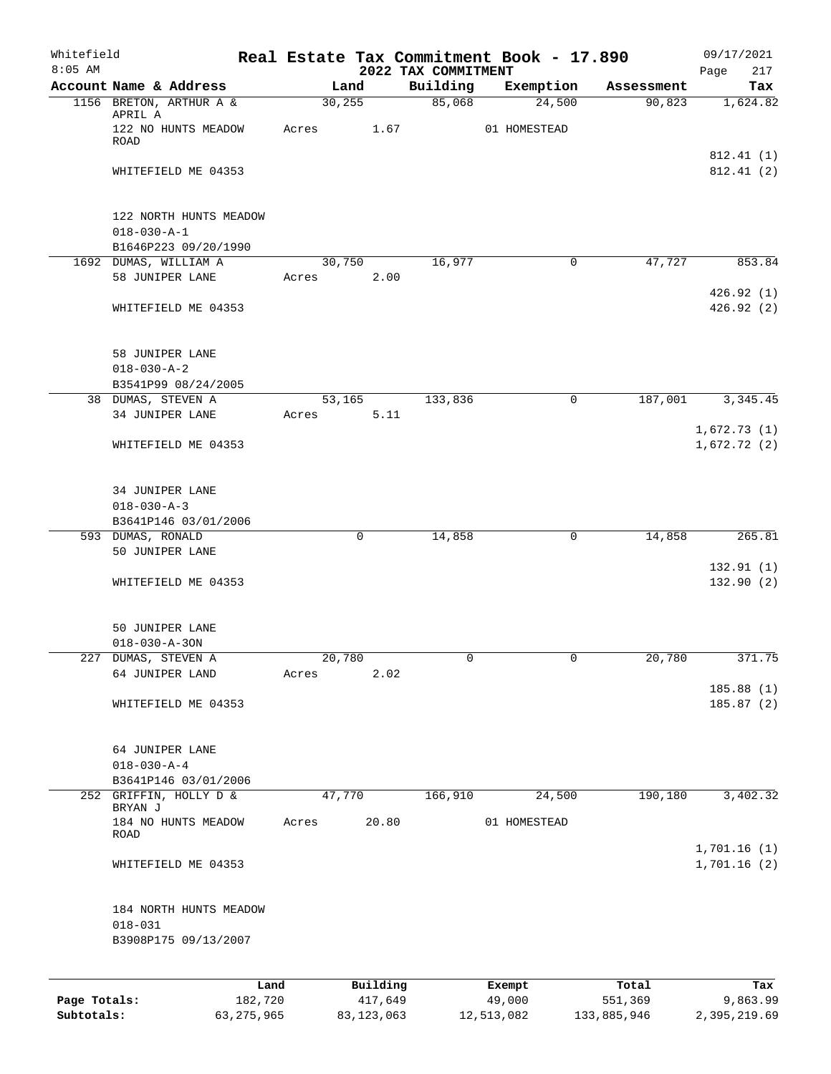| Whitefield<br>$8:05$ AM |                                               |       |             |          | 2022 TAX COMMITMENT | Real Estate Tax Commitment Book - 17.890 |            | 09/17/2021<br>Page<br>217   |
|-------------------------|-----------------------------------------------|-------|-------------|----------|---------------------|------------------------------------------|------------|-----------------------------|
|                         | Account Name & Address                        |       | Land        |          | Building            | Exemption                                | Assessment | Tax                         |
|                         | 1156 BRETON, ARTHUR A &                       |       | 30, 255     |          | 85,068              | 24,500                                   | 90,823     | 1,624.82                    |
|                         | APRIL A<br>122 NO HUNTS MEADOW<br>ROAD        | Acres |             | 1.67     |                     | 01 HOMESTEAD                             |            |                             |
|                         |                                               |       |             |          |                     |                                          |            | 812.41(1)                   |
|                         | WHITEFIELD ME 04353                           |       |             |          |                     |                                          |            | 812.41 (2)                  |
|                         | 122 NORTH HUNTS MEADOW<br>$018 - 030 - A - 1$ |       |             |          |                     |                                          |            |                             |
|                         | B1646P223 09/20/1990<br>1692 DUMAS, WILLIAM A |       | 30,750      |          | 16,977              | $\mathbf 0$                              | 47,727     | 853.84                      |
|                         | 58 JUNIPER LANE                               | Acres |             | 2.00     |                     |                                          |            |                             |
|                         |                                               |       |             |          |                     |                                          |            | 426.92 (1)                  |
|                         | WHITEFIELD ME 04353                           |       |             |          |                     |                                          |            | 426.92(2)                   |
|                         | 58 JUNIPER LANE<br>$018 - 030 - A - 2$        |       |             |          |                     |                                          |            |                             |
|                         | B3541P99 08/24/2005                           |       |             |          |                     |                                          |            |                             |
|                         | 38 DUMAS, STEVEN A<br>34 JUNIPER LANE         | Acres | 53,165      | 5.11     | 133,836             | 0                                        | 187,001    | 3,345.45                    |
|                         |                                               |       |             |          |                     |                                          |            | 1,672.73(1)                 |
|                         | WHITEFIELD ME 04353                           |       |             |          |                     |                                          |            | 1,672.72(2)                 |
|                         | 34 JUNIPER LANE<br>$018 - 030 - A - 3$        |       |             |          |                     |                                          |            |                             |
|                         | B3641P146 03/01/2006<br>593 DUMAS, RONALD     |       | $\mathbf 0$ |          | 14,858              | 0                                        | 14,858     | 265.81                      |
|                         | 50 JUNIPER LANE                               |       |             |          |                     |                                          |            | 132.91(1)                   |
|                         | WHITEFIELD ME 04353                           |       |             |          |                     |                                          |            | 132.90(2)                   |
|                         | 50 JUNIPER LANE<br>$018 - 030 - A - 30N$      |       |             |          |                     |                                          |            |                             |
|                         | 227 DUMAS, STEVEN A                           |       | 20,780      |          | 0                   | 0                                        | 20,780     | 371.75                      |
|                         | 64 JUNIPER LAND                               | Acres |             | 2.02     |                     |                                          |            |                             |
|                         |                                               |       |             |          |                     |                                          |            | 185.88(1)                   |
|                         | WHITEFIELD ME 04353                           |       |             |          |                     |                                          |            | 185.87 (2)                  |
|                         | 64 JUNIPER LANE                               |       |             |          |                     |                                          |            |                             |
|                         | $018 - 030 - A - 4$<br>B3641P146 03/01/2006   |       |             |          |                     |                                          |            |                             |
|                         | 252 GRIFFIN, HOLLY D &                        |       | 47,770      |          | 166,910             | 24,500                                   | 190,180    | 3,402.32                    |
|                         | BRYAN J                                       |       |             |          |                     |                                          |            |                             |
|                         | 184 NO HUNTS MEADOW<br>ROAD                   | Acres |             | 20.80    |                     | 01 HOMESTEAD                             |            |                             |
|                         | WHITEFIELD ME 04353                           |       |             |          |                     |                                          |            | 1,701.16 (1)<br>1,701.16(2) |
|                         | 184 NORTH HUNTS MEADOW<br>$018 - 031$         |       |             |          |                     |                                          |            |                             |
|                         | B3908P175 09/13/2007                          |       |             |          |                     |                                          |            |                             |
|                         |                                               | Land  |             | Building |                     | Exempt                                   | Total      | Tax                         |
| Page Totals:            | 182,720                                       |       |             | 417,649  |                     | 49,000                                   | 551,369    | 9,863.99                    |

**Subtotals:** 63,275,965 83,123,063 12,513,082 133,885,946 2,395,219.69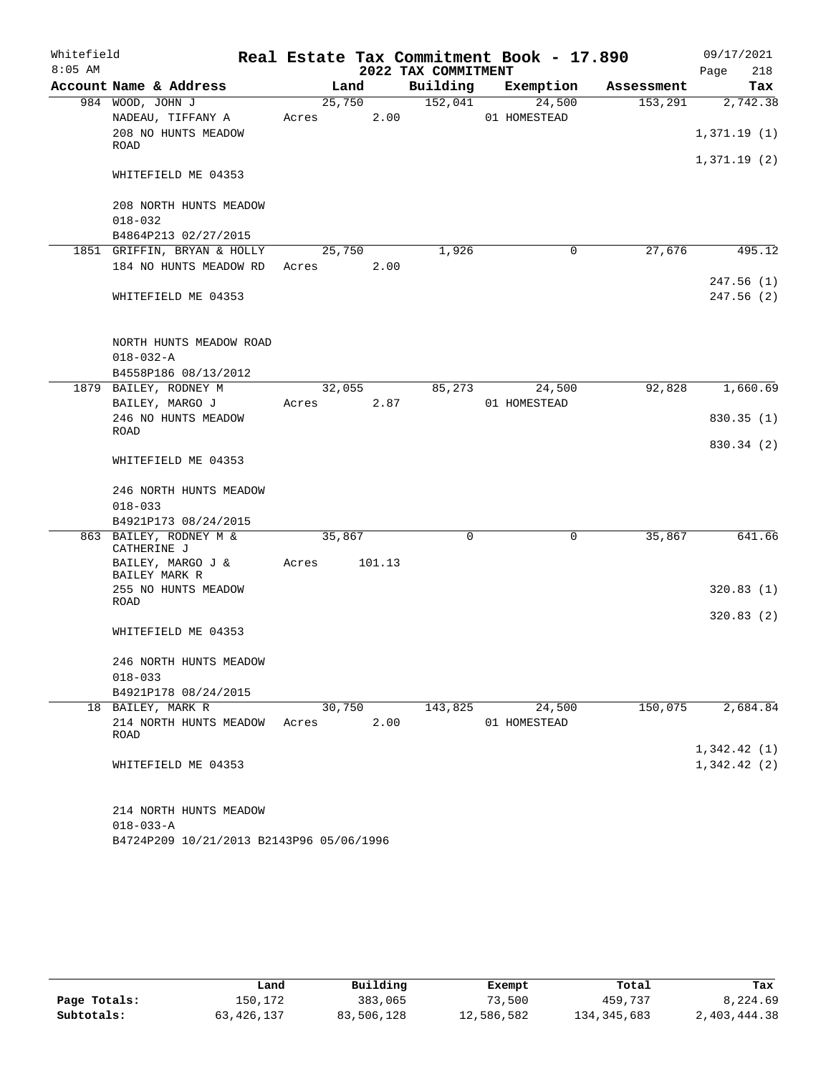| Whitefield |                                                     |        |        |                     | Real Estate Tax Commitment Book - 17.890 |            | 09/17/2021  |
|------------|-----------------------------------------------------|--------|--------|---------------------|------------------------------------------|------------|-------------|
| $8:05$ AM  |                                                     |        |        | 2022 TAX COMMITMENT |                                          |            | 218<br>Page |
|            | Account Name & Address                              |        | Land   | Building            | Exemption                                | Assessment | Tax         |
|            | 984 WOOD, JOHN J                                    | 25,750 |        | 152,041             | 24,500                                   | 153,291    | 2,742.38    |
|            | NADEAU, TIFFANY A                                   | Acres  | 2.00   |                     | 01 HOMESTEAD                             |            |             |
|            | 208 NO HUNTS MEADOW<br>ROAD                         |        |        |                     |                                          |            | 1,371.19(1) |
|            | WHITEFIELD ME 04353                                 |        |        |                     |                                          |            | 1,371.19(2) |
|            | 208 NORTH HUNTS MEADOW                              |        |        |                     |                                          |            |             |
|            | $018 - 032$                                         |        |        |                     |                                          |            |             |
|            | B4864P213 02/27/2015<br>1851 GRIFFIN, BRYAN & HOLLY |        | 25,750 | 1,926               | 0                                        | 27,676     | 495.12      |
|            | 184 NO HUNTS MEADOW RD                              | Acres  | 2.00   |                     |                                          |            |             |
|            |                                                     |        |        |                     |                                          |            | 247.56 (1)  |
|            | WHITEFIELD ME 04353                                 |        |        |                     |                                          |            | 247.56 (2)  |
|            | NORTH HUNTS MEADOW ROAD<br>$018 - 032 - A$          |        |        |                     |                                          |            |             |
|            | B4558P186 08/13/2012<br>1879 BAILEY, RODNEY M       |        | 32,055 | 85,273              | 24,500                                   | 92,828     | 1,660.69    |
|            | BAILEY, MARGO J                                     | Acres  | 2.87   |                     | 01 HOMESTEAD                             |            |             |
|            | 246 NO HUNTS MEADOW                                 |        |        |                     |                                          |            | 830.35(1)   |
|            | ROAD                                                |        |        |                     |                                          |            |             |
|            | WHITEFIELD ME 04353                                 |        |        |                     |                                          |            | 830.34 (2)  |
|            | 246 NORTH HUNTS MEADOW<br>$018 - 033$               |        |        |                     |                                          |            |             |
|            | B4921P173 08/24/2015                                |        |        |                     |                                          |            |             |
|            | 863 BAILEY, RODNEY M &<br>CATHERINE J               | 35,867 |        | 0                   | $\mathbf 0$                              | 35,867     | 641.66      |
|            | BAILEY, MARGO J &<br>BAILEY MARK R                  | Acres  | 101.13 |                     |                                          |            |             |
|            | 255 NO HUNTS MEADOW<br>ROAD                         |        |        |                     |                                          |            | 320.83(1)   |
|            |                                                     |        |        |                     |                                          |            | 320.83(2)   |
|            | WHITEFIELD ME 04353                                 |        |        |                     |                                          |            |             |
|            | 246 NORTH HUNTS MEADOW                              |        |        |                     |                                          |            |             |
|            | $018 - 033$                                         |        |        |                     |                                          |            |             |
|            | B4921P178 08/24/2015                                |        |        |                     |                                          |            |             |
|            | 18 BAILEY, MARK R                                   |        | 30,750 | 143,825             | 24,500                                   | 150,075    | 2,684.84    |
|            | 214 NORTH HUNTS MEADOW<br>ROAD                      | Acres  | 2.00   |                     | 01 HOMESTEAD                             |            |             |
|            |                                                     |        |        |                     |                                          |            | 1,342.42(1) |
|            | WHITEFIELD ME 04353                                 |        |        |                     |                                          |            | 1,342.42(2) |
|            | 214 NORTH HUNTS MEADOW                              |        |        |                     |                                          |            |             |
|            | $018 - 033 - A$                                     |        |        |                     |                                          |            |             |
|            | B4724P209 10/21/2013 B2143P96 05/06/1996            |        |        |                     |                                          |            |             |

|              | Land       | Building   | Exempt     | Total         | Tax          |
|--------------|------------|------------|------------|---------------|--------------|
| Page Totals: | 150.172    | 383,065    | 73,500     | 459,737       | 8,224.69     |
| Subtotals:   | 63,426,137 | 83,506,128 | 12,586,582 | 134, 345, 683 | 2,403,444.38 |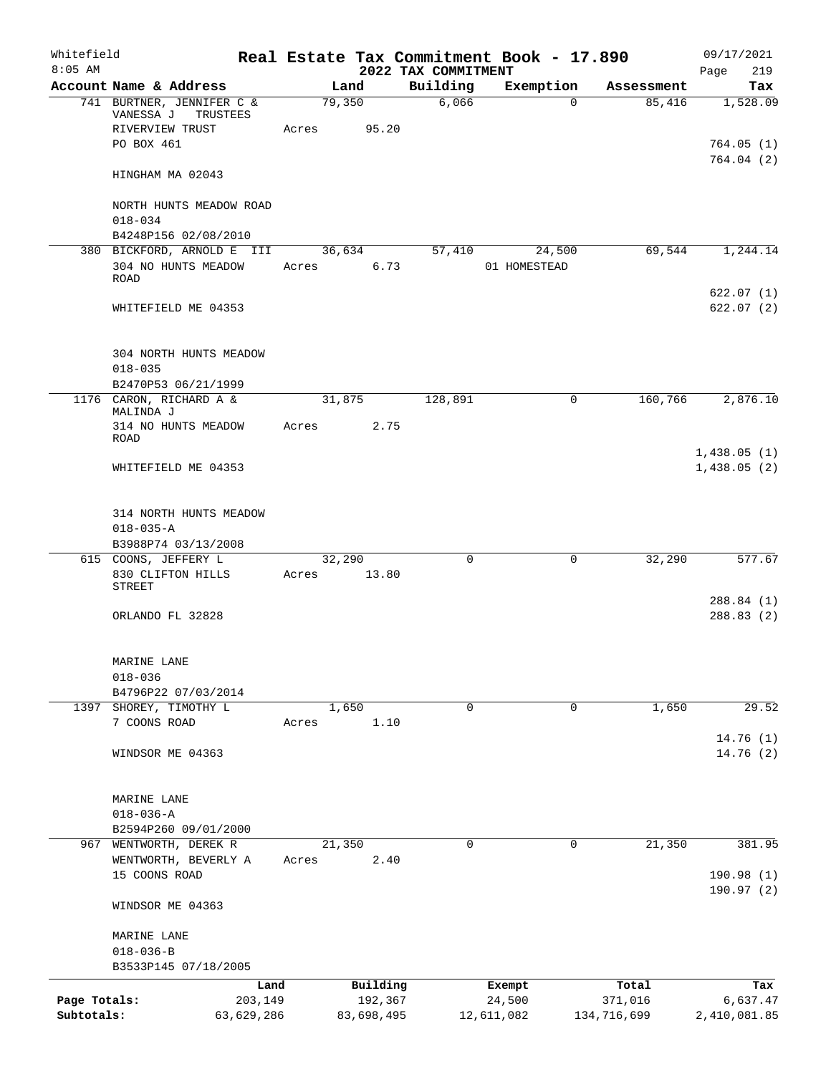| Whitefield<br>$8:05$ AM |                                                           | Real Estate Tax Commitment Book - 17.890 | 2022 TAX COMMITMENT |                        |             | 09/17/2021<br>Page<br>219  |
|-------------------------|-----------------------------------------------------------|------------------------------------------|---------------------|------------------------|-------------|----------------------------|
|                         | Account Name & Address                                    | Land                                     | Building            | Exemption              | Assessment  | Tax                        |
|                         | 741 BURTNER, JENNIFER C &<br>VANESSA J<br>TRUSTEES        | 79,350                                   | 6,066               | $\Omega$               | 85,416      | 1,528.09                   |
|                         | RIVERVIEW TRUST<br>PO BOX 461                             | 95.20<br>Acres                           |                     |                        |             | 764.05(1)<br>764.04(2)     |
|                         | HINGHAM MA 02043                                          |                                          |                     |                        |             |                            |
|                         | NORTH HUNTS MEADOW ROAD<br>$018 - 034$                    |                                          |                     |                        |             |                            |
|                         | B4248P156 02/08/2010                                      |                                          |                     |                        |             |                            |
|                         | 380 BICKFORD, ARNOLD E III<br>304 NO HUNTS MEADOW<br>ROAD | 36,634<br>6.73<br>Acres                  | 57,410              | 24,500<br>01 HOMESTEAD | 69,544      | 1,244.14                   |
|                         | WHITEFIELD ME 04353                                       |                                          |                     |                        |             | 622.07(1)<br>622.07(2)     |
|                         | 304 NORTH HUNTS MEADOW<br>$018 - 035$                     |                                          |                     |                        |             |                            |
|                         | B2470P53 06/21/1999                                       |                                          |                     |                        |             |                            |
|                         | 1176 CARON, RICHARD A &                                   | 31,875                                   | 128,891             | $\mathbf 0$            | 160,766     | 2,876.10                   |
|                         | MALINDA J<br>314 NO HUNTS MEADOW<br>ROAD                  | 2.75<br>Acres                            |                     |                        |             |                            |
|                         | WHITEFIELD ME 04353                                       |                                          |                     |                        |             | 1,438.05(1)<br>1,438.05(2) |
|                         | 314 NORTH HUNTS MEADOW<br>$018 - 035 - A$                 |                                          |                     |                        |             |                            |
|                         | B3988P74 03/13/2008                                       |                                          |                     |                        |             |                            |
|                         | 615 COONS, JEFFERY L<br>830 CLIFTON HILLS<br>STREET       | 32,290<br>13.80<br>Acres                 | $\Omega$            | $\Omega$               | 32,290      | 577.67                     |
|                         | ORLANDO FL 32828                                          |                                          |                     |                        |             | 288.84 (1)<br>288.83(2)    |
|                         | MARINE LANE<br>$018 - 036$                                |                                          |                     |                        |             |                            |
|                         | B4796P22 07/03/2014                                       |                                          |                     |                        |             |                            |
|                         | 1397 SHOREY, TIMOTHY L                                    | 1,650                                    | 0                   | 0                      | 1,650       | 29.52                      |
|                         | 7 COONS ROAD                                              | 1.10<br>Acres                            |                     |                        |             | 14.76(1)                   |
|                         | WINDSOR ME 04363                                          |                                          |                     |                        |             | 14.76 (2)                  |
|                         | MARINE LANE                                               |                                          |                     |                        |             |                            |
|                         | $018 - 036 - A$                                           |                                          |                     |                        |             |                            |
|                         | B2594P260 09/01/2000                                      |                                          | $\Omega$            | $\Omega$               | 21,350      | 381.95                     |
|                         | 967 WENTWORTH, DEREK R<br>WENTWORTH, BEVERLY A            | 21,350<br>2.40<br>Acres                  |                     |                        |             |                            |
|                         | 15 COONS ROAD                                             |                                          |                     |                        |             | 190.98 (1)<br>190.97(2)    |
|                         | WINDSOR ME 04363                                          |                                          |                     |                        |             |                            |
|                         | MARINE LANE                                               |                                          |                     |                        |             |                            |
|                         | $018 - 036 - B$<br>B3533P145 07/18/2005                   |                                          |                     |                        |             |                            |
|                         | Land                                                      | Building                                 |                     | Exempt                 | Total       | Tax                        |
| Page Totals:            | 203,149                                                   | 192,367                                  |                     | 24,500                 | 371,016     | 6,637.47                   |
| Subtotals:              | 63,629,286                                                | 83,698,495                               |                     | 12,611,082             | 134,716,699 | 2,410,081.85               |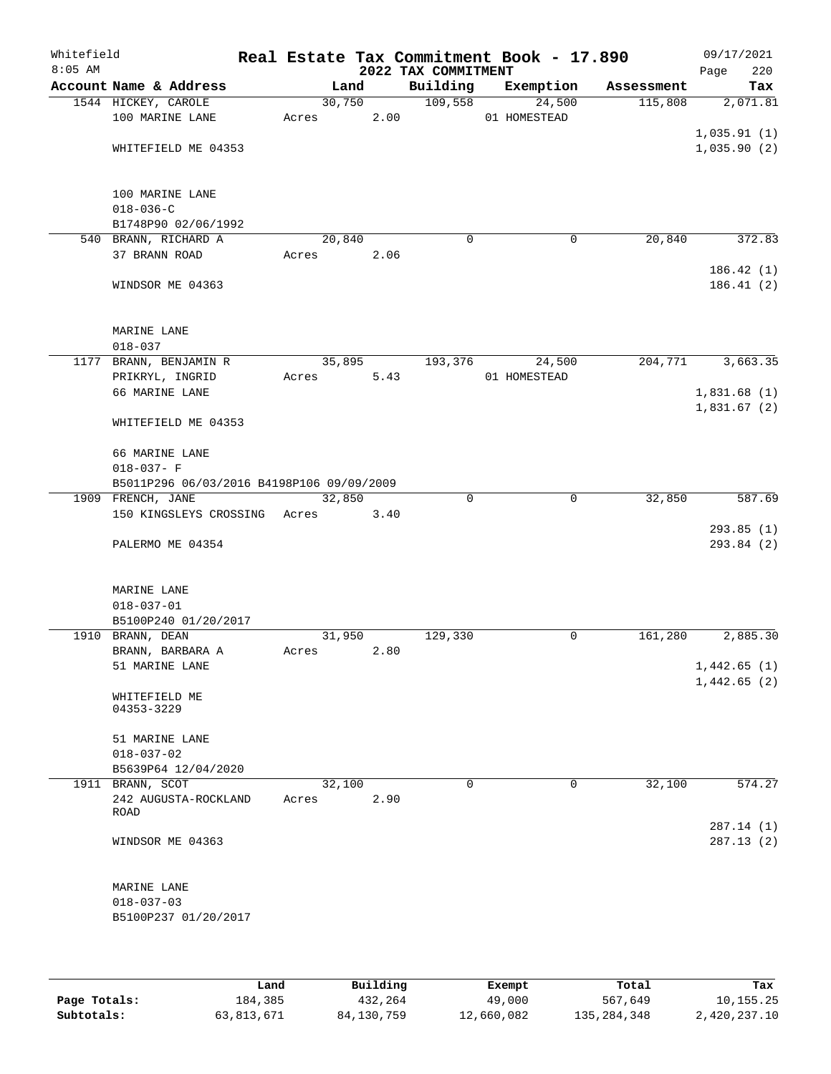| Whitefield<br>$8:05$ AM |                                           |        |      |      | 2022 TAX COMMITMENT | Real Estate Tax Commitment Book - 17.890 |            | 09/17/2021<br>220<br>Page  |
|-------------------------|-------------------------------------------|--------|------|------|---------------------|------------------------------------------|------------|----------------------------|
|                         | Account Name & Address                    | Land   |      |      | Building            | Exemption                                | Assessment | Tax                        |
|                         | 1544 HICKEY, CAROLE                       | 30,750 |      |      | 109,558             | 24,500                                   | 115,808    | 2,071.81                   |
|                         | 100 MARINE LANE                           | Acres  |      | 2.00 |                     | 01 HOMESTEAD                             |            |                            |
|                         |                                           |        |      |      |                     |                                          |            | 1,035.91(1)                |
|                         | WHITEFIELD ME 04353                       |        |      |      |                     |                                          |            | 1,035.90(2)                |
|                         |                                           |        |      |      |                     |                                          |            |                            |
|                         | 100 MARINE LANE                           |        |      |      |                     |                                          |            |                            |
|                         | $018 - 036 - C$                           |        |      |      |                     |                                          |            |                            |
|                         | B1748P90 02/06/1992                       |        |      |      |                     |                                          |            |                            |
|                         | 540 BRANN, RICHARD A                      | 20,840 |      |      | 0                   | 0                                        | 20,840     | 372.83                     |
|                         | 37 BRANN ROAD                             | Acres  | 2.06 |      |                     |                                          |            |                            |
|                         |                                           |        |      |      |                     |                                          |            | 186.42(1)                  |
|                         | WINDSOR ME 04363                          |        |      |      |                     |                                          |            | 186.41(2)                  |
|                         |                                           |        |      |      |                     |                                          |            |                            |
|                         | MARINE LANE<br>$018 - 037$                |        |      |      |                     |                                          |            |                            |
|                         | 1177 BRANN, BENJAMIN R                    | 35,895 |      |      | 193,376             | 24,500                                   | 204,771    | 3,663.35                   |
|                         | PRIKRYL, INGRID                           | Acres  |      | 5.43 |                     | 01 HOMESTEAD                             |            |                            |
|                         | 66 MARINE LANE                            |        |      |      |                     |                                          |            | 1,831.68(1)                |
|                         |                                           |        |      |      |                     |                                          |            | 1,831.67(2)                |
|                         | WHITEFIELD ME 04353                       |        |      |      |                     |                                          |            |                            |
|                         | 66 MARINE LANE                            |        |      |      |                     |                                          |            |                            |
|                         | $018 - 037 - F$                           |        |      |      |                     |                                          |            |                            |
|                         | B5011P296 06/03/2016 B4198P106 09/09/2009 |        |      |      |                     |                                          |            |                            |
|                         | 1909 FRENCH, JANE                         | 32,850 |      |      | $\Omega$            | $\mathbf 0$                              | 32,850     | 587.69                     |
|                         | 150 KINGSLEYS CROSSING Acres              |        | 3.40 |      |                     |                                          |            |                            |
|                         |                                           |        |      |      |                     |                                          |            | 293.85(1)                  |
|                         | PALERMO ME 04354                          |        |      |      |                     |                                          |            | 293.84 (2)                 |
|                         |                                           |        |      |      |                     |                                          |            |                            |
|                         | MARINE LANE                               |        |      |      |                     |                                          |            |                            |
|                         | $018 - 037 - 01$                          |        |      |      |                     |                                          |            |                            |
|                         | B5100P240 01/20/2017                      |        |      |      |                     |                                          |            |                            |
|                         | 1910 BRANN, DEAN                          | 31,950 |      |      | 129,330             | 0                                        | 161,280    | 2,885.30                   |
|                         | BRANN, BARBARA A                          | Acres  | 2.80 |      |                     |                                          |            |                            |
|                         | 51 MARINE LANE                            |        |      |      |                     |                                          |            | 1,442.65(1)<br>1,442.65(2) |
|                         | WHITEFIELD ME                             |        |      |      |                     |                                          |            |                            |
|                         | 04353-3229                                |        |      |      |                     |                                          |            |                            |
|                         | 51 MARINE LANE                            |        |      |      |                     |                                          |            |                            |
|                         | $018 - 037 - 02$                          |        |      |      |                     |                                          |            |                            |
|                         | B5639P64 12/04/2020                       |        |      |      |                     |                                          |            |                            |
|                         | 1911 BRANN, SCOT                          | 32,100 |      |      | 0                   | 0                                        | 32,100     | 574.27                     |
|                         | 242 AUGUSTA-ROCKLAND                      | Acres  | 2.90 |      |                     |                                          |            |                            |
|                         | ROAD                                      |        |      |      |                     |                                          |            |                            |
|                         |                                           |        |      |      |                     |                                          |            | 287.14 (1)                 |
|                         | WINDSOR ME 04363                          |        |      |      |                     |                                          |            | 287.13(2)                  |
|                         |                                           |        |      |      |                     |                                          |            |                            |
|                         | MARINE LANE                               |        |      |      |                     |                                          |            |                            |
|                         | $018 - 037 - 03$                          |        |      |      |                     |                                          |            |                            |
|                         | B5100P237 01/20/2017                      |        |      |      |                     |                                          |            |                            |
|                         |                                           |        |      |      |                     |                                          |            |                            |

|              | Land       | Building   | Exempt     | Total         | Tax          |
|--------------|------------|------------|------------|---------------|--------------|
| Page Totals: | 184,385    | 432,264    | 49,000     | 567,649       | 10,155.25    |
| Subtotals:   | 63,813,671 | 84,130,759 | 12,660,082 | 135, 284, 348 | 2,420,237.10 |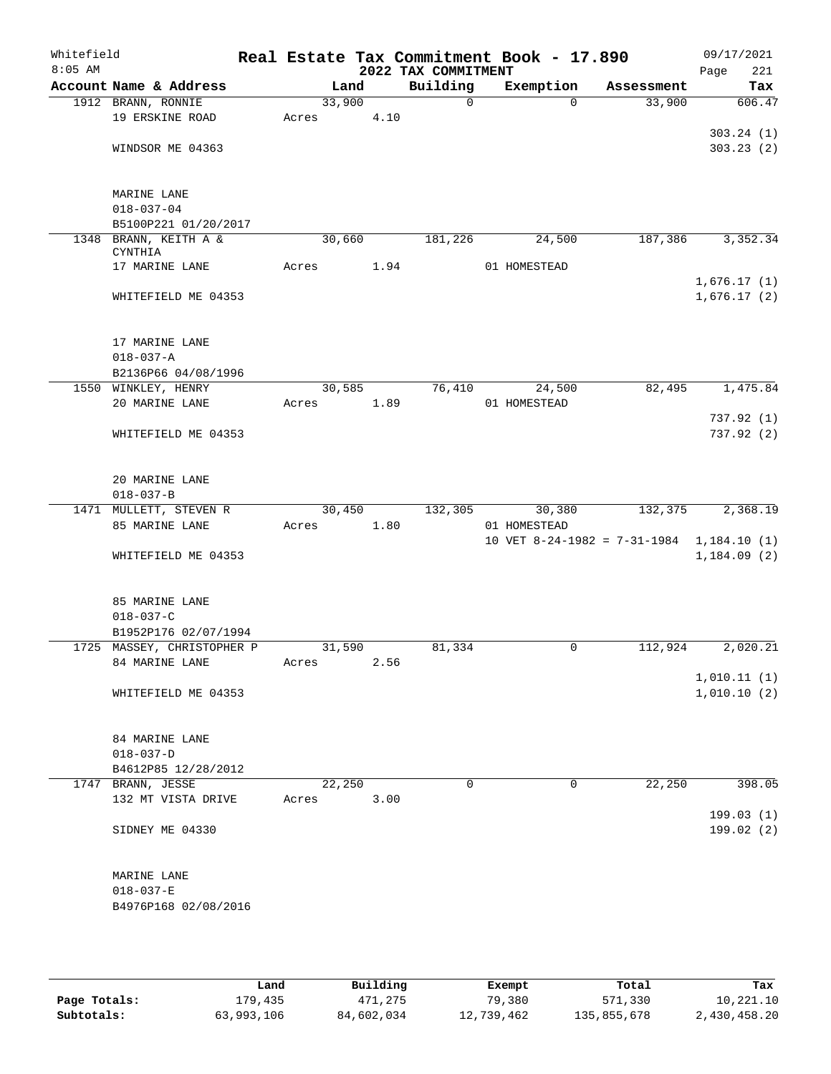| Whitefield<br>$8:05$ AM |                                          |        |      | 2022 TAX COMMITMENT | Real Estate Tax Commitment Book - 17.890 |            | 09/17/2021<br>Page<br>221 |
|-------------------------|------------------------------------------|--------|------|---------------------|------------------------------------------|------------|---------------------------|
|                         | Account Name & Address                   |        | Land | Building            | Exemption                                | Assessment | Tax                       |
|                         | 1912 BRANN, RONNIE                       | 33,900 |      | 0                   | $\Omega$                                 | 33,900     | 606.47                    |
|                         | 19 ERSKINE ROAD                          | Acres  | 4.10 |                     |                                          |            |                           |
|                         |                                          |        |      |                     |                                          |            | 303.24(1)                 |
|                         | WINDSOR ME 04363                         |        |      |                     |                                          |            | 303.23(2)                 |
|                         |                                          |        |      |                     |                                          |            |                           |
|                         |                                          |        |      |                     |                                          |            |                           |
|                         | MARINE LANE<br>$018 - 037 - 04$          |        |      |                     |                                          |            |                           |
|                         | B5100P221 01/20/2017                     |        |      |                     |                                          |            |                           |
|                         | 1348 BRANN, KEITH A &                    | 30,660 |      | 181,226             | 24,500                                   | 187,386    | 3,352.34                  |
|                         | <b>CYNTHIA</b>                           |        |      |                     |                                          |            |                           |
|                         | 17 MARINE LANE                           | Acres  | 1.94 |                     | 01 HOMESTEAD                             |            |                           |
|                         |                                          |        |      |                     |                                          |            | 1,676.17(1)               |
|                         | WHITEFIELD ME 04353                      |        |      |                     |                                          |            | 1,676.17(2)               |
|                         |                                          |        |      |                     |                                          |            |                           |
|                         |                                          |        |      |                     |                                          |            |                           |
|                         | 17 MARINE LANE                           |        |      |                     |                                          |            |                           |
|                         | $018 - 037 - A$                          |        |      |                     |                                          |            |                           |
|                         | B2136P66 04/08/1996                      |        |      |                     |                                          |            |                           |
|                         | 1550 WINKLEY, HENRY                      | 30,585 |      | 76,410              | 24,500                                   | 82,495     | 1,475.84                  |
|                         | 20 MARINE LANE                           | Acres  | 1.89 |                     | 01 HOMESTEAD                             |            |                           |
|                         |                                          |        |      |                     |                                          |            | 737.92(1)                 |
|                         | WHITEFIELD ME 04353                      |        |      |                     |                                          |            | 737.92(2)                 |
|                         |                                          |        |      |                     |                                          |            |                           |
|                         | 20 MARINE LANE                           |        |      |                     |                                          |            |                           |
|                         | $018 - 037 - B$                          |        |      |                     |                                          |            |                           |
|                         | 1471 MULLETT, STEVEN R                   | 30,450 |      | 132,305             | 30,380                                   | 132,375    | 2,368.19                  |
|                         | 85 MARINE LANE                           | Acres  | 1.80 |                     | 01 HOMESTEAD                             |            |                           |
|                         |                                          |        |      |                     | 10 VET 8-24-1982 = 7-31-1984             |            | 1,184.10(1)               |
|                         | WHITEFIELD ME 04353                      |        |      |                     |                                          |            | 1,184.09(2)               |
|                         |                                          |        |      |                     |                                          |            |                           |
|                         |                                          |        |      |                     |                                          |            |                           |
|                         | 85 MARINE LANE                           |        |      |                     |                                          |            |                           |
|                         | $018 - 037 - C$                          |        |      |                     |                                          |            |                           |
|                         | B1952P176 02/07/1994                     |        |      |                     |                                          |            |                           |
|                         | 1725 MASSEY, CHRISTOPHER P               | 31,590 |      | 81,334              | 0                                        | 112,924    | 2,020.21                  |
|                         | 84 MARINE LANE                           | Acres  | 2.56 |                     |                                          |            |                           |
|                         |                                          |        |      |                     |                                          |            | 1,010.11(1)               |
|                         | WHITEFIELD ME 04353                      |        |      |                     |                                          |            | 1,010.10(2)               |
|                         |                                          |        |      |                     |                                          |            |                           |
|                         |                                          |        |      |                     |                                          |            |                           |
|                         | 84 MARINE LANE                           |        |      |                     |                                          |            |                           |
|                         | $018 - 037 - D$                          |        |      |                     |                                          |            |                           |
|                         | B4612P85 12/28/2012<br>1747 BRANN, JESSE | 22,250 |      | $\Omega$            | 0                                        | 22,250     | 398.05                    |
|                         | 132 MT VISTA DRIVE                       | Acres  | 3.00 |                     |                                          |            |                           |
|                         |                                          |        |      |                     |                                          |            | 199.03(1)                 |
|                         | SIDNEY ME 04330                          |        |      |                     |                                          |            | 199.02(2)                 |
|                         |                                          |        |      |                     |                                          |            |                           |
|                         |                                          |        |      |                     |                                          |            |                           |
|                         | MARINE LANE                              |        |      |                     |                                          |            |                           |
|                         | $018 - 037 - E$                          |        |      |                     |                                          |            |                           |
|                         | B4976P168 02/08/2016                     |        |      |                     |                                          |            |                           |
|                         |                                          |        |      |                     |                                          |            |                           |

|              | Land       | Building   | Exempt     | Total       | Tax          |
|--------------|------------|------------|------------|-------------|--------------|
|              |            |            |            |             |              |
| Page Totals: | 179,435    | 471,275    | 79,380     | 571,330     | 10,221.10    |
| Subtotals:   | 63,993,106 | 84,602,034 | 12,739,462 | 135,855,678 | 2,430,458.20 |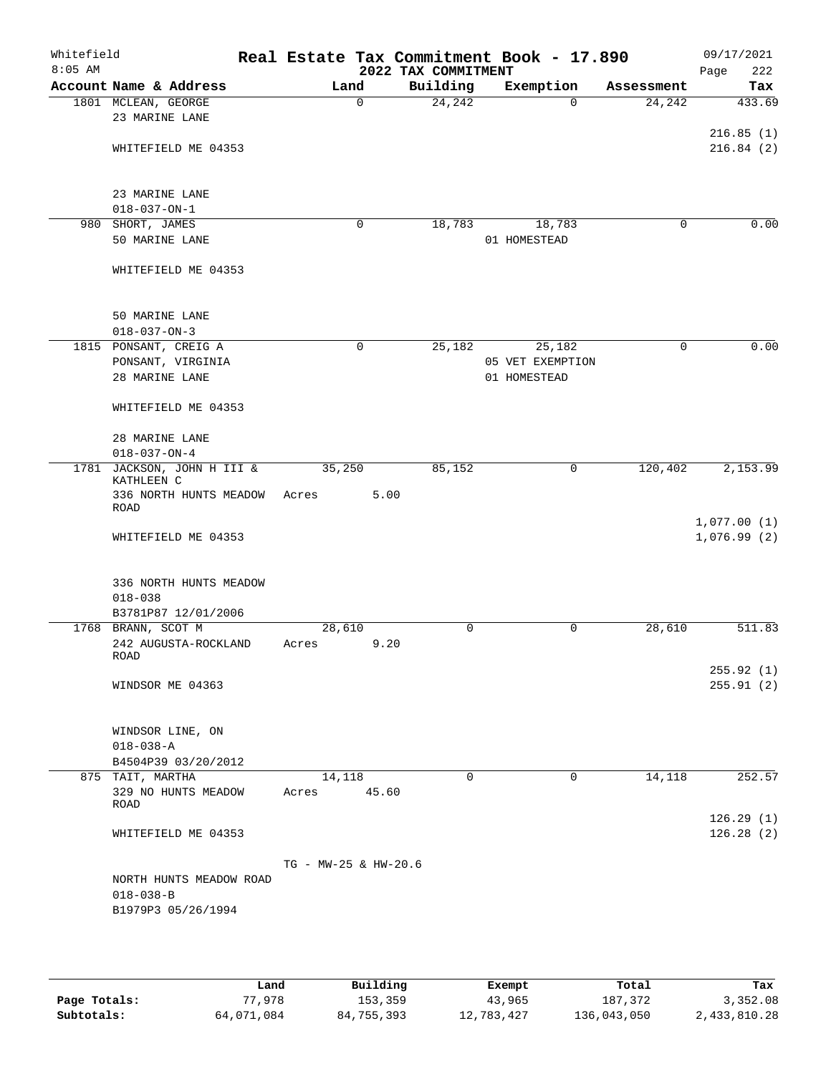| Whitefield<br>$8:05$ AM |                                       | Real Estate Tax Commitment Book - 17.890 | 2022 TAX COMMITMENT |                  |            | 09/17/2021<br>222 |
|-------------------------|---------------------------------------|------------------------------------------|---------------------|------------------|------------|-------------------|
|                         | Account Name & Address                | Land                                     | Building            | Exemption        | Assessment | Page<br>Tax       |
|                         | 1801 MCLEAN, GEORGE                   | $\mathbf 0$                              | 24,242              | $\Omega$         | 24,242     | 433.69            |
|                         | 23 MARINE LANE                        |                                          |                     |                  |            |                   |
|                         |                                       |                                          |                     |                  |            | 216.85(1)         |
|                         | WHITEFIELD ME 04353                   |                                          |                     |                  |            | 216.84(2)         |
|                         |                                       |                                          |                     |                  |            |                   |
|                         |                                       |                                          |                     |                  |            |                   |
|                         | 23 MARINE LANE                        |                                          |                     |                  |            |                   |
|                         | $018 - 037 - ON - 1$                  |                                          |                     |                  |            |                   |
|                         | 980 SHORT, JAMES                      | 0                                        | 18,783              | 18,783           | $\Omega$   | 0.00              |
|                         | 50 MARINE LANE                        |                                          |                     | 01 HOMESTEAD     |            |                   |
|                         |                                       |                                          |                     |                  |            |                   |
|                         | WHITEFIELD ME 04353                   |                                          |                     |                  |            |                   |
|                         |                                       |                                          |                     |                  |            |                   |
|                         | 50 MARINE LANE                        |                                          |                     |                  |            |                   |
|                         | $018 - 037 - ON - 3$                  |                                          |                     |                  |            |                   |
|                         | 1815 PONSANT, CREIG A                 | $\mathbf 0$                              | 25,182              | 25,182           | $\Omega$   | 0.00              |
|                         | PONSANT, VIRGINIA                     |                                          |                     | 05 VET EXEMPTION |            |                   |
|                         | 28 MARINE LANE                        |                                          |                     | 01 HOMESTEAD     |            |                   |
|                         |                                       |                                          |                     |                  |            |                   |
|                         | WHITEFIELD ME 04353                   |                                          |                     |                  |            |                   |
|                         |                                       |                                          |                     |                  |            |                   |
|                         | 28 MARINE LANE                        |                                          |                     |                  |            |                   |
|                         | $018 - 037 - ON - 4$                  |                                          |                     |                  |            |                   |
|                         | 1781 JACKSON, JOHN H III &            | 35,250                                   | 85,152              | 0                | 120,402    | 2,153.99          |
|                         | KATHLEEN C                            |                                          |                     |                  |            |                   |
|                         | 336 NORTH HUNTS MEADOW<br><b>ROAD</b> | 5.00<br>Acres                            |                     |                  |            |                   |
|                         |                                       |                                          |                     |                  |            | 1,077.00(1)       |
|                         | WHITEFIELD ME 04353                   |                                          |                     |                  |            | 1,076.99(2)       |
|                         |                                       |                                          |                     |                  |            |                   |
|                         |                                       |                                          |                     |                  |            |                   |
|                         | 336 NORTH HUNTS MEADOW                |                                          |                     |                  |            |                   |
|                         | $018 - 038$                           |                                          |                     |                  |            |                   |
|                         | B3781P87 12/01/2006                   |                                          |                     |                  |            |                   |
|                         | 1768 BRANN, SCOT M                    | 28,610                                   | $\mathbf 0$         | 0                | 28,610     | 511.83            |
|                         | 242 AUGUSTA-ROCKLAND                  | 9.20<br>Acres                            |                     |                  |            |                   |
|                         | ROAD                                  |                                          |                     |                  |            | 255.92(1)         |
|                         | WINDSOR ME 04363                      |                                          |                     |                  |            | 255.91(2)         |
|                         |                                       |                                          |                     |                  |            |                   |
|                         |                                       |                                          |                     |                  |            |                   |
|                         | WINDSOR LINE, ON                      |                                          |                     |                  |            |                   |
|                         | $018 - 038 - A$                       |                                          |                     |                  |            |                   |
|                         | B4504P39 03/20/2012                   |                                          |                     |                  |            |                   |
|                         | 875 TAIT, MARTHA                      | 14,118                                   | $\Omega$            | $\Omega$         | 14,118     | 252.57            |
|                         | 329 NO HUNTS MEADOW                   | Acres 45.60                              |                     |                  |            |                   |
|                         | ROAD                                  |                                          |                     |                  |            |                   |
|                         |                                       |                                          |                     |                  |            | 126.29(1)         |
|                         | WHITEFIELD ME 04353                   |                                          |                     |                  |            | 126.28(2)         |
|                         |                                       |                                          |                     |                  |            |                   |
|                         |                                       | TG - MW-25 & HW-20.6                     |                     |                  |            |                   |
|                         | NORTH HUNTS MEADOW ROAD               |                                          |                     |                  |            |                   |
|                         | $018 - 038 - B$                       |                                          |                     |                  |            |                   |
|                         | B1979P3 05/26/1994                    |                                          |                     |                  |            |                   |
|                         |                                       |                                          |                     |                  |            |                   |

|              | Land       | Building   | Exempt     | Total       | Tax          |
|--------------|------------|------------|------------|-------------|--------------|
| Page Totals: | 77,978     | 153,359    | 43,965     | 187.372     | 3,352.08     |
| Subtotals:   | 64,071,084 | 84,755,393 | 12,783,427 | 136,043,050 | 2,433,810.28 |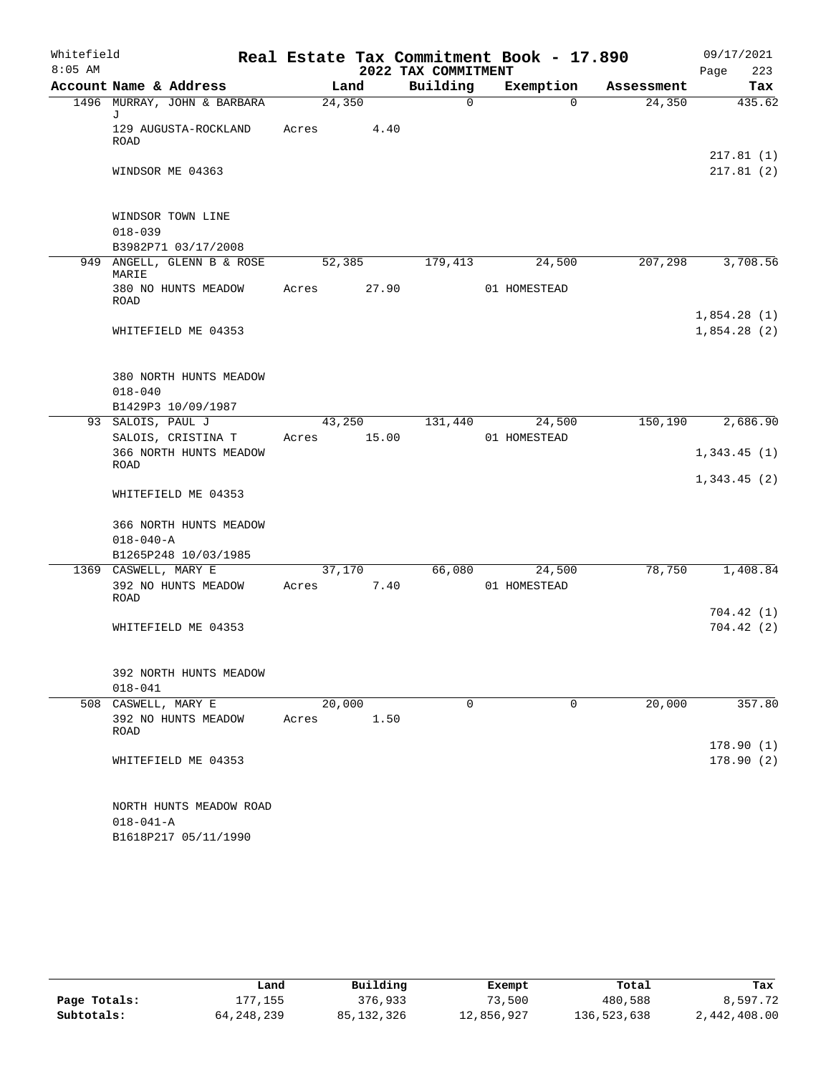| Whitefield |                                                      |       |        |                     | Real Estate Tax Commitment Book - 17.890 |            | 09/17/2021  |
|------------|------------------------------------------------------|-------|--------|---------------------|------------------------------------------|------------|-------------|
| $8:05$ AM  |                                                      |       |        | 2022 TAX COMMITMENT |                                          |            | 223<br>Page |
|            | Account Name & Address                               |       | Land   | Building            | Exemption                                | Assessment | Tax         |
|            | 1496 MURRAY, JOHN & BARBARA<br>J                     |       | 24,350 | 0                   | $\Omega$                                 | 24,350     | 435.62      |
|            | 129 AUGUSTA-ROCKLAND<br>ROAD                         | Acres | 4.40   |                     |                                          |            | 217.81(1)   |
|            | WINDSOR ME 04363                                     |       |        |                     |                                          |            | 217.81(2)   |
|            | WINDSOR TOWN LINE                                    |       |        |                     |                                          |            |             |
|            | $018 - 039$<br>B3982P71 03/17/2008                   |       |        |                     |                                          |            |             |
|            | 949 ANGELL, GLENN B & ROSE<br>MARIE                  |       | 52,385 | 179,413             | 24,500                                   | 207,298    | 3,708.56    |
|            | 380 NO HUNTS MEADOW<br><b>ROAD</b>                   | Acres | 27.90  |                     | 01 HOMESTEAD                             |            |             |
|            |                                                      |       |        |                     |                                          |            | 1,854.28(1) |
|            | WHITEFIELD ME 04353                                  |       |        |                     |                                          |            | 1,854.28(2) |
|            | 380 NORTH HUNTS MEADOW                               |       |        |                     |                                          |            |             |
|            | $018 - 040$                                          |       |        |                     |                                          |            |             |
|            | B1429P3 10/09/1987                                   |       |        |                     |                                          |            |             |
|            | 93 SALOIS, PAUL J                                    |       | 43,250 | 131,440             | 24,500                                   | 150,190    | 2,686.90    |
|            | SALOIS, CRISTINA T<br>366 NORTH HUNTS MEADOW<br>ROAD | Acres | 15.00  |                     | 01 HOMESTEAD                             |            | 1,343.45(1) |
|            | WHITEFIELD ME 04353                                  |       |        |                     |                                          |            | 1,343.45(2) |
|            | 366 NORTH HUNTS MEADOW                               |       |        |                     |                                          |            |             |
|            | $018 - 040 - A$                                      |       |        |                     |                                          |            |             |
|            | B1265P248 10/03/1985                                 |       |        |                     |                                          |            |             |
|            | 1369 CASWELL, MARY E                                 |       | 37,170 | 66,080              | 24,500                                   | 78,750     | 1,408.84    |
|            | 392 NO HUNTS MEADOW<br>ROAD                          | Acres | 7.40   |                     | 01 HOMESTEAD                             |            |             |
|            |                                                      |       |        |                     |                                          |            | 704.42(1)   |
|            | WHITEFIELD ME 04353                                  |       |        |                     |                                          |            | 704.42(2)   |
|            | 392 NORTH HUNTS MEADOW                               |       |        |                     |                                          |            |             |
|            | $018 - 041$                                          |       |        |                     |                                          |            |             |
|            | 508 CASWELL, MARY E                                  |       | 20,000 | 0                   | 0                                        | 20,000     | 357.80      |
|            | 392 NO HUNTS MEADOW<br><b>ROAD</b>                   | Acres | 1.50   |                     |                                          |            | 178.90(1)   |
|            | WHITEFIELD ME 04353                                  |       |        |                     |                                          |            | 178.90(2)   |
|            | NORTH HUNTS MEADOW ROAD                              |       |        |                     |                                          |            |             |
|            | $018 - 041 - A$                                      |       |        |                     |                                          |            |             |
|            | B1618P217 05/11/1990                                 |       |        |                     |                                          |            |             |

|              | Land         | Building     |            | Total       |              |
|--------------|--------------|--------------|------------|-------------|--------------|
|              |              |              | Exempt     |             | Tax          |
| Page Totals: | L77.155      | 376,933      | 73,500     | 480,588     | 8,597.72     |
| Subtotals:   | 64, 248, 239 | 85, 132, 326 | 12,856,927 | 136,523,638 | 2,442,408.00 |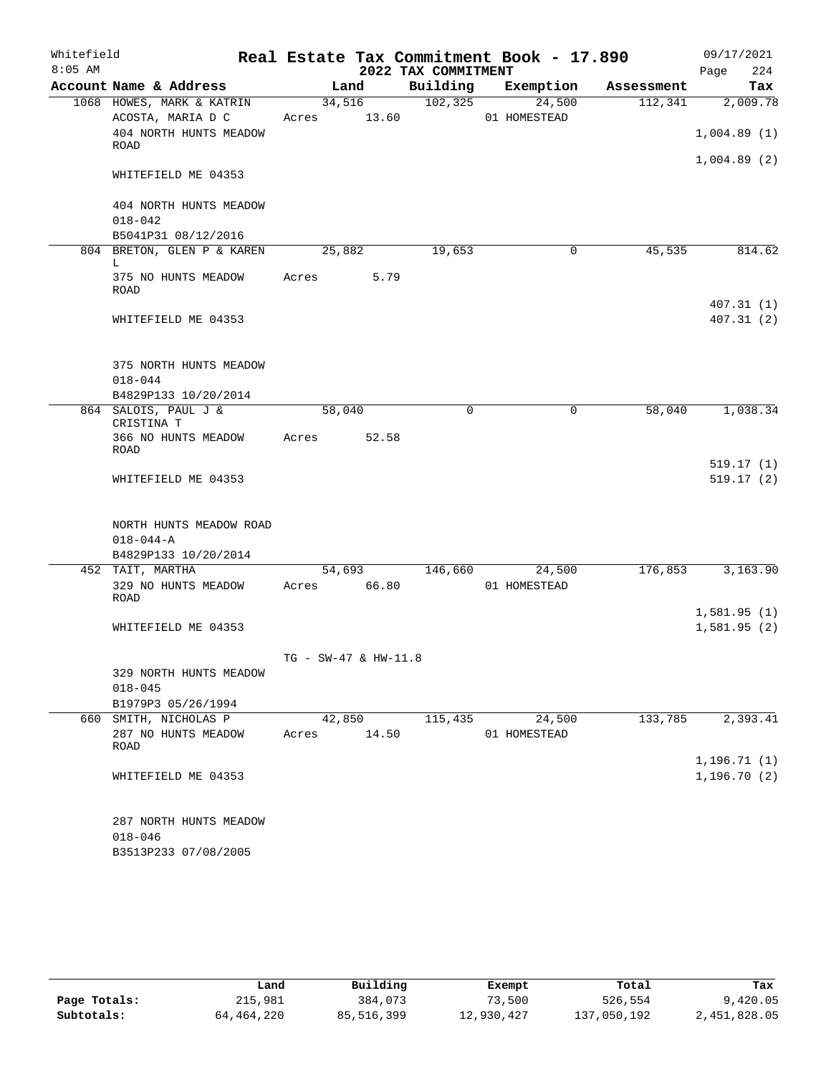| Whitefield |                                                                    |                      |        |                     | Real Estate Tax Commitment Book - 17.890 |            | 09/17/2021                   |
|------------|--------------------------------------------------------------------|----------------------|--------|---------------------|------------------------------------------|------------|------------------------------|
| $8:05$ AM  |                                                                    |                      |        | 2022 TAX COMMITMENT |                                          |            | 224<br>Page                  |
|            | Account Name & Address                                             |                      | Land   | Building            | Exemption                                | Assessment | Tax                          |
|            | 1068 HOWES, MARK & KATRIN                                          |                      | 34,516 | 102, 325            | 24,500                                   | 112,341    | 2,009.78                     |
|            | ACOSTA, MARIA D C<br>404 NORTH HUNTS MEADOW                        | Acres 13.60          |        |                     | 01 HOMESTEAD                             |            |                              |
|            | ROAD                                                               |                      |        |                     |                                          |            | 1,004.89(1)                  |
|            | WHITEFIELD ME 04353                                                |                      |        |                     |                                          |            | 1,004.89(2)                  |
|            | 404 NORTH HUNTS MEADOW<br>$018 - 042$                              |                      |        |                     |                                          |            |                              |
|            | B5041P31 08/12/2016                                                |                      |        |                     |                                          |            |                              |
|            | 804 BRETON, GLEN P & KAREN<br>L                                    | 25,882               |        | 19,653              | 0                                        | 45,535     | 814.62                       |
|            | 375 NO HUNTS MEADOW<br><b>ROAD</b>                                 | Acres                | 5.79   |                     |                                          |            |                              |
|            | WHITEFIELD ME 04353                                                |                      |        |                     |                                          |            | 407.31(1)<br>407.31(2)       |
|            | 375 NORTH HUNTS MEADOW<br>$018 - 044$                              |                      |        |                     |                                          |            |                              |
|            | B4829P133 10/20/2014                                               |                      |        |                     |                                          |            |                              |
|            | 864 SALOIS, PAUL J &                                               | 58,040               |        | $\mathbf 0$         | $\mathbf 0$                              | 58,040     | 1,038.34                     |
|            | CRISTINA T<br>366 NO HUNTS MEADOW<br>ROAD                          | Acres                | 52.58  |                     |                                          |            |                              |
|            | WHITEFIELD ME 04353                                                |                      |        |                     |                                          |            | 519.17(1)<br>519.17(2)       |
|            | NORTH HUNTS MEADOW ROAD<br>$018 - 044 - A$<br>B4829P133 10/20/2014 |                      |        |                     |                                          |            |                              |
|            | 452 TAIT, MARTHA                                                   |                      | 54,693 | 146,660             | 24,500                                   | 176,853    | 3,163.90                     |
|            | 329 NO HUNTS MEADOW<br>ROAD                                        | Acres 66.80          |        |                     | 01 HOMESTEAD                             |            |                              |
|            |                                                                    |                      |        |                     |                                          |            | 1,581.95(1)                  |
|            | WHITEFIELD ME 04353                                                |                      |        |                     |                                          |            | 1,581.95(2)                  |
|            |                                                                    | TG - SW-47 & HW-11.8 |        |                     |                                          |            |                              |
|            | 329 NORTH HUNTS MEADOW<br>$018 - 045$                              |                      |        |                     |                                          |            |                              |
|            | B1979P3 05/26/1994                                                 |                      |        |                     |                                          |            |                              |
|            | 660 SMITH, NICHOLAS P<br>287 NO HUNTS MEADOW<br>ROAD               | 42,850<br>Acres      | 14.50  | 115,435             | 24,500<br>01 HOMESTEAD                   | 133,785    | 2,393.41                     |
|            | WHITEFIELD ME 04353                                                |                      |        |                     |                                          |            | 1, 196.71(1)<br>1, 196.70(2) |
|            | 287 NORTH HUNTS MEADOW<br>$018 - 046$<br>B3513P233 07/08/2005      |                      |        |                     |                                          |            |                              |

|              | Land       | Building   | Exempt     | Total       | Tax          |
|--------------|------------|------------|------------|-------------|--------------|
| Page Totals: | 215,981    | 384,073    | 73,500     | 526,554     | 9,420.05     |
| Subtotals:   | 64,464,220 | 85,516,399 | 12,930,427 | 137,050,192 | 2,451,828.05 |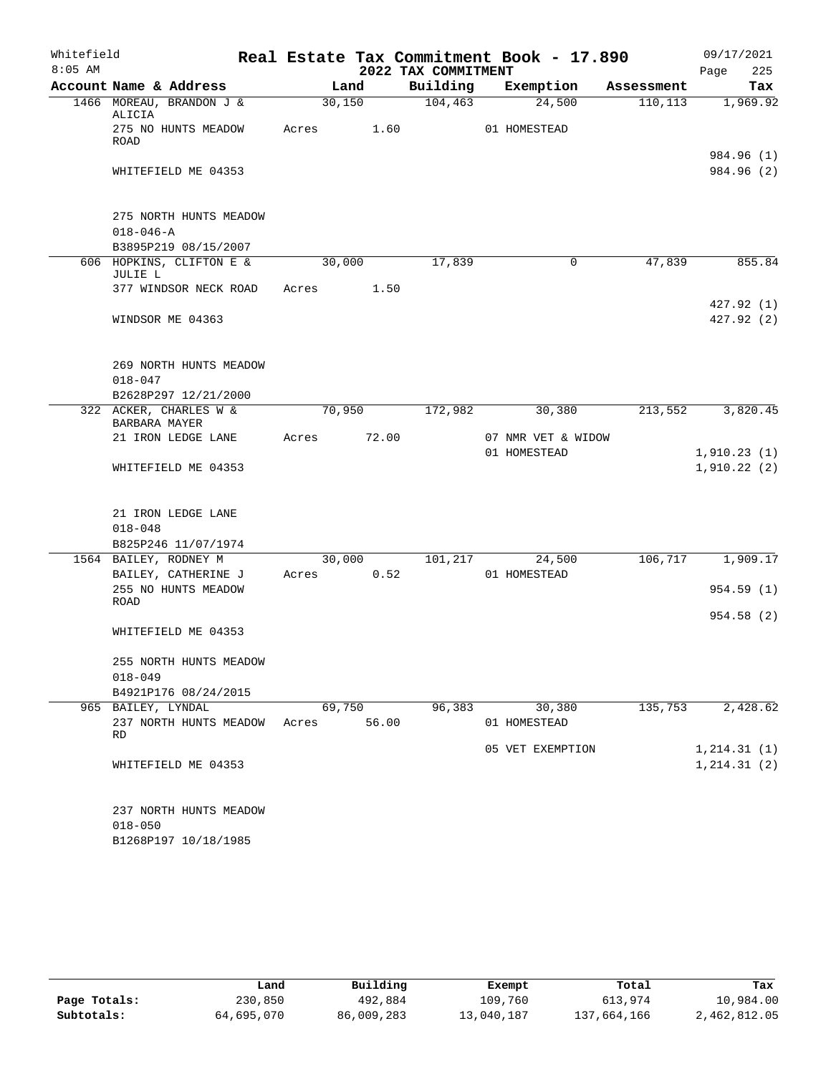| Whitefield |                                                               |       |        |                     | Real Estate Tax Commitment Book - 17.890 |            | 09/17/2021                   |
|------------|---------------------------------------------------------------|-------|--------|---------------------|------------------------------------------|------------|------------------------------|
| $8:05$ AM  |                                                               |       |        | 2022 TAX COMMITMENT |                                          |            | 225<br>Page                  |
|            | Account Name & Address                                        |       | Land   | Building            | Exemption                                | Assessment | Tax                          |
|            | 1466 MOREAU, BRANDON J &<br>ALICIA                            |       | 30,150 | 104, 463            | 24,500                                   | 110,113    | 1,969.92                     |
|            | 275 NO HUNTS MEADOW<br>ROAD                                   | Acres | 1.60   |                     | 01 HOMESTEAD                             |            | 984.96 (1)                   |
|            | WHITEFIELD ME 04353                                           |       |        |                     |                                          |            | 984.96 (2)                   |
|            | 275 NORTH HUNTS MEADOW<br>$018 - 046 - A$                     |       |        |                     |                                          |            |                              |
|            | B3895P219 08/15/2007                                          |       |        |                     |                                          |            |                              |
|            | 606 HOPKINS, CLIFTON E &<br>JULIE L                           |       | 30,000 | 17,839              | 0                                        | 47,839     | 855.84                       |
|            | 377 WINDSOR NECK ROAD                                         | Acres | 1.50   |                     |                                          |            |                              |
|            | WINDSOR ME 04363                                              |       |        |                     |                                          |            | 427.92 (1)<br>427.92 (2)     |
|            | 269 NORTH HUNTS MEADOW<br>$018 - 047$                         |       |        |                     |                                          |            |                              |
|            | B2628P297 12/21/2000<br>322 ACKER, CHARLES W &                |       | 70,950 | 172,982             | 30,380                                   | 213,552    | 3,820.45                     |
|            | BARBARA MAYER                                                 |       |        |                     |                                          |            |                              |
|            | 21 IRON LEDGE LANE                                            | Acres | 72.00  |                     | 07 NMR VET & WIDOW                       |            |                              |
|            | WHITEFIELD ME 04353                                           |       |        |                     | 01 HOMESTEAD                             |            | 1,910.23(1)<br>1,910.22(2)   |
|            | 21 IRON LEDGE LANE<br>$018 - 048$<br>B825P246 11/07/1974      |       |        |                     |                                          |            |                              |
|            | 1564 BAILEY, RODNEY M                                         |       | 30,000 | 101,217             | 24,500                                   | 106,717    | 1,909.17                     |
|            | BAILEY, CATHERINE J                                           | Acres | 0.52   |                     | 01 HOMESTEAD                             |            |                              |
|            | 255 NO HUNTS MEADOW<br>ROAD                                   |       |        |                     |                                          |            | 954.59(1)                    |
|            | WHITEFIELD ME 04353                                           |       |        |                     |                                          |            | 954.58(2)                    |
|            | 255 NORTH HUNTS MEADOW<br>$018 - 049$                         |       |        |                     |                                          |            |                              |
|            | B4921P176 08/24/2015<br>965 BAILEY, LYNDAL                    |       | 69,750 | 96,383              | 30,380                                   | 135,753    | 2,428.62                     |
|            | 237 NORTH HUNTS MEADOW<br>RD                                  | Acres | 56.00  |                     | 01 HOMESTEAD                             |            |                              |
|            | WHITEFIELD ME 04353                                           |       |        |                     | 05 VET EXEMPTION                         |            | 1, 214.31(1)<br>1, 214.31(2) |
|            | 237 NORTH HUNTS MEADOW<br>$018 - 050$<br>B1268P197 10/18/1985 |       |        |                     |                                          |            |                              |

|              | Land       | Building   | Exempt     | Total       | Tax          |
|--------------|------------|------------|------------|-------------|--------------|
| Page Totals: | 230,850    | 492,884    | 109,760    | 613,974     | 10,984.00    |
| Subtotals:   | 64,695,070 | 86,009,283 | 13,040,187 | 137,664,166 | 2,462,812.05 |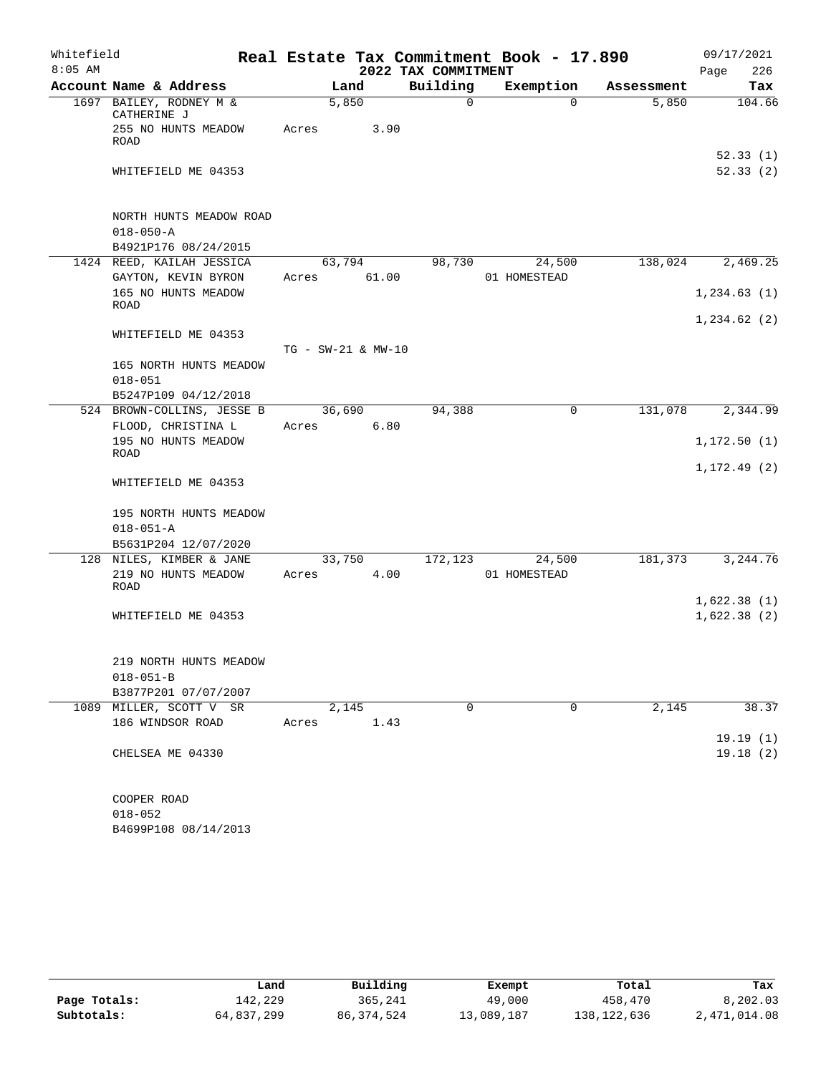| Whitefield |                                                 |                    |       |                     | Real Estate Tax Commitment Book - 17.890 |            | 09/17/2021           |
|------------|-------------------------------------------------|--------------------|-------|---------------------|------------------------------------------|------------|----------------------|
| $8:05$ AM  |                                                 |                    |       | 2022 TAX COMMITMENT |                                          |            | 226<br>Page          |
|            | Account Name & Address                          |                    | Land  | Building            | Exemption                                | Assessment | Tax                  |
|            | 1697 BAILEY, RODNEY M &<br>CATHERINE J          | 5,850              |       | $\mathsf{O}$        | $\Omega$                                 | 5,850      | 104.66               |
|            | 255 NO HUNTS MEADOW<br>ROAD                     | Acres              | 3.90  |                     |                                          |            |                      |
|            | WHITEFIELD ME 04353                             |                    |       |                     |                                          |            | 52.33(1)<br>52.33(2) |
|            | NORTH HUNTS MEADOW ROAD<br>$018 - 050 - A$      |                    |       |                     |                                          |            |                      |
|            | B4921P176 08/24/2015                            |                    |       |                     |                                          |            |                      |
|            | 1424 REED, KAILAH JESSICA                       | 63,794             |       | 98,730              | 24,500                                   | 138,024    | 2,469.25             |
|            | GAYTON, KEVIN BYRON<br>165 NO HUNTS MEADOW      | Acres              | 61.00 |                     | 01 HOMESTEAD                             |            | 1, 234.63(1)         |
|            | ROAD                                            |                    |       |                     |                                          |            |                      |
|            | WHITEFIELD ME 04353                             |                    |       |                     |                                          |            | 1,234.62(2)          |
|            |                                                 | TG - SW-21 & MW-10 |       |                     |                                          |            |                      |
|            | 165 NORTH HUNTS MEADOW                          |                    |       |                     |                                          |            |                      |
|            | $018 - 051$                                     |                    |       |                     |                                          |            |                      |
|            | B5247P109 04/12/2018                            |                    |       |                     |                                          |            |                      |
|            | 524 BROWN-COLLINS, JESSE B                      | 36,690             |       | 94,388              | $\mathbf 0$                              | 131,078    | 2,344.99             |
|            | FLOOD, CHRISTINA L<br>195 NO HUNTS MEADOW       | Acres              | 6.80  |                     |                                          |            | 1, 172.50(1)         |
|            | ROAD                                            |                    |       |                     |                                          |            | 1, 172.49(2)         |
|            | WHITEFIELD ME 04353                             |                    |       |                     |                                          |            |                      |
|            | 195 NORTH HUNTS MEADOW                          |                    |       |                     |                                          |            |                      |
|            | $018 - 051 - A$                                 |                    |       |                     |                                          |            |                      |
|            | B5631P204 12/07/2020                            |                    |       |                     |                                          |            |                      |
|            | 128 NILES, KIMBER & JANE<br>219 NO HUNTS MEADOW | 33,750<br>Acres    | 4.00  | 172,123             | 24,500<br>01 HOMESTEAD                   | 181,373    | 3,244.76             |
|            | ROAD                                            |                    |       |                     |                                          |            |                      |
|            |                                                 |                    |       |                     |                                          |            | 1,622.38(1)          |
|            | WHITEFIELD ME 04353                             |                    |       |                     |                                          |            | 1,622.38(2)          |
|            | 219 NORTH HUNTS MEADOW                          |                    |       |                     |                                          |            |                      |
|            | $018 - 051 - B$                                 |                    |       |                     |                                          |            |                      |
|            | B3877P201 07/07/2007                            |                    |       |                     |                                          |            |                      |
|            | 1089 MILLER, SCOTT V SR                         | 2,145              |       | 0                   | 0                                        | 2,145      | 38.37                |
|            | 186 WINDSOR ROAD                                | Acres              | 1.43  |                     |                                          |            |                      |
|            |                                                 |                    |       |                     |                                          |            | 19.19(1)             |
|            | CHELSEA ME 04330                                |                    |       |                     |                                          |            | 19.18(2)             |
|            |                                                 |                    |       |                     |                                          |            |                      |
|            | COOPER ROAD                                     |                    |       |                     |                                          |            |                      |
|            | $018 - 052$                                     |                    |       |                     |                                          |            |                      |

|              | Land       | Building   | Exempt     | Total       | Tax          |
|--------------|------------|------------|------------|-------------|--------------|
| Page Totals: | 142,229    | 365,241    | 49,000     | 458,470     | 8,202.03     |
| Subtotals:   | 64,837,299 | 86,374,524 | 13,089,187 | 138,122,636 | 2,471,014.08 |

B4699P108 08/14/2013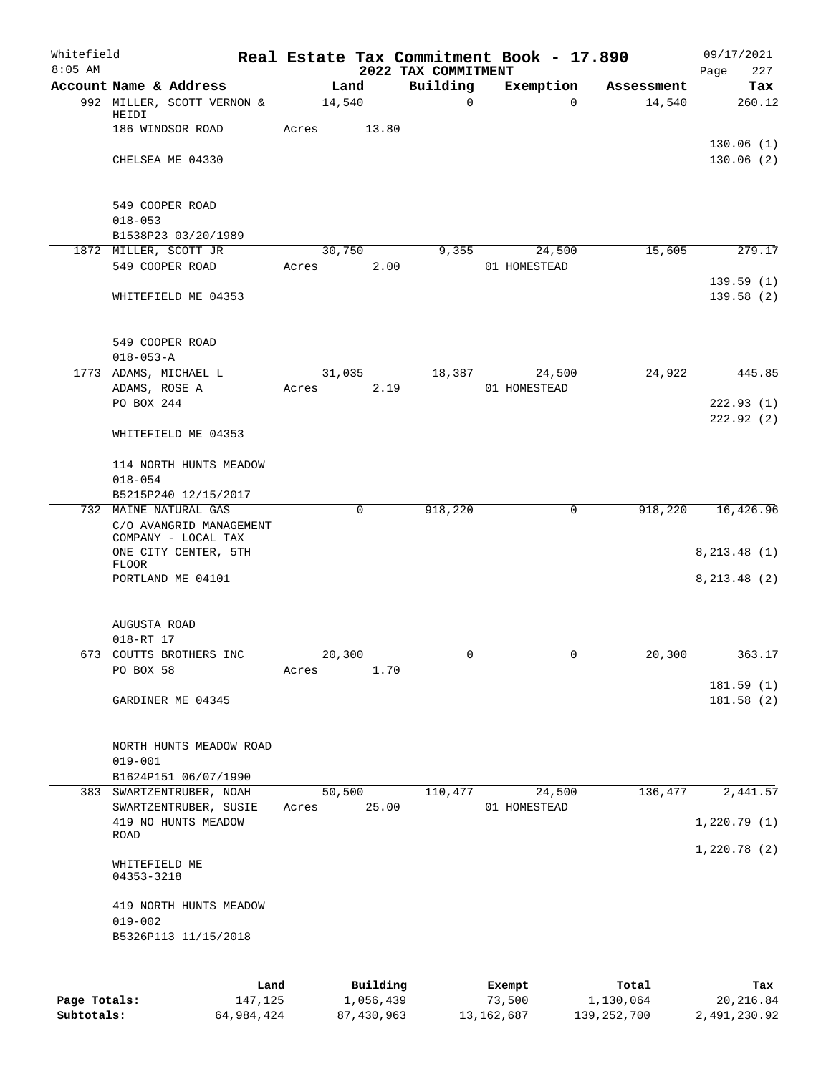| Whitefield<br>$8:05$ AM |                                                |       |             | 2022 TAX COMMITMENT | Real Estate Tax Commitment Book - 17.890 |                        | 09/17/2021<br>Page<br>227 |
|-------------------------|------------------------------------------------|-------|-------------|---------------------|------------------------------------------|------------------------|---------------------------|
|                         | Account Name & Address                         |       | Land        | Building            | Exemption                                | Assessment             | Tax                       |
|                         | 992 MILLER, SCOTT VERNON &                     |       | 14,540      | 0                   |                                          | 14,540<br>$\Omega$     | 260.12                    |
|                         | HEIDI<br>186 WINDSOR ROAD                      | Acres | 13.80       |                     |                                          |                        |                           |
|                         |                                                |       |             |                     |                                          |                        | 130.06(1)                 |
|                         | CHELSEA ME 04330                               |       |             |                     |                                          |                        | 130.06(2)                 |
|                         |                                                |       |             |                     |                                          |                        |                           |
|                         |                                                |       |             |                     |                                          |                        |                           |
|                         | 549 COOPER ROAD                                |       |             |                     |                                          |                        |                           |
|                         | $018 - 053$<br>B1538P23 03/20/1989             |       |             |                     |                                          |                        |                           |
|                         | 1872 MILLER, SCOTT JR                          |       | 30,750      | 9,355               | 24,500                                   | 15,605                 | 279.17                    |
|                         | 549 COOPER ROAD                                | Acres | 2.00        |                     | 01 HOMESTEAD                             |                        |                           |
|                         |                                                |       |             |                     |                                          |                        | 139.59(1)                 |
|                         | WHITEFIELD ME 04353                            |       |             |                     |                                          |                        | 139.58(2)                 |
|                         |                                                |       |             |                     |                                          |                        |                           |
|                         | 549 COOPER ROAD                                |       |             |                     |                                          |                        |                           |
|                         | $018 - 053 - A$                                |       |             |                     |                                          |                        |                           |
|                         | 1773 ADAMS, MICHAEL L                          |       | 31,035      | 18,387              | 24,500                                   | 24,922                 | 445.85                    |
|                         | ADAMS, ROSE A                                  | Acres | 2.19        |                     | 01 HOMESTEAD                             |                        |                           |
|                         | PO BOX 244                                     |       |             |                     |                                          |                        | 222.93(1)                 |
|                         |                                                |       |             |                     |                                          |                        | 222.92(2)                 |
|                         | WHITEFIELD ME 04353                            |       |             |                     |                                          |                        |                           |
|                         | 114 NORTH HUNTS MEADOW                         |       |             |                     |                                          |                        |                           |
|                         | $018 - 054$                                    |       |             |                     |                                          |                        |                           |
|                         | B5215P240 12/15/2017                           |       |             |                     |                                          |                        |                           |
|                         | 732 MAINE NATURAL GAS                          |       | $\mathbf 0$ | 918,220             |                                          | $\mathbf 0$<br>918,220 | 16,426.96                 |
|                         | C/O AVANGRID MANAGEMENT<br>COMPANY - LOCAL TAX |       |             |                     |                                          |                        |                           |
|                         | ONE CITY CENTER, 5TH                           |       |             |                     |                                          |                        | 8, 213.48(1)              |
|                         | <b>FLOOR</b>                                   |       |             |                     |                                          |                        |                           |
|                         | PORTLAND ME 04101                              |       |             |                     |                                          |                        | 8, 213.48(2)              |
|                         |                                                |       |             |                     |                                          |                        |                           |
|                         | AUGUSTA ROAD                                   |       |             |                     |                                          |                        |                           |
|                         | 018-RT 17                                      |       |             |                     |                                          |                        |                           |
| 673                     | COUTTS BROTHERS INC                            |       | 20,300      | 0                   |                                          | 20,300<br>0            | 363.17                    |
|                         | PO BOX 58                                      | Acres | 1.70        |                     |                                          |                        |                           |
|                         |                                                |       |             |                     |                                          |                        | 181.59(1)                 |
|                         | GARDINER ME 04345                              |       |             |                     |                                          |                        | 181.58 (2)                |
|                         |                                                |       |             |                     |                                          |                        |                           |
|                         | NORTH HUNTS MEADOW ROAD                        |       |             |                     |                                          |                        |                           |
|                         | $019 - 001$                                    |       |             |                     |                                          |                        |                           |
|                         | B1624P151 06/07/1990                           |       |             |                     |                                          |                        |                           |
| 383                     | SWARTZENTRUBER, NOAH                           |       | 50,500      | 110,477             | 24,500                                   | 136,477                | 2,441.57                  |
|                         | SWARTZENTRUBER, SUSIE<br>419 NO HUNTS MEADOW   | Acres | 25.00       |                     | 01 HOMESTEAD                             |                        | 1,220.79(1)               |
|                         | ROAD                                           |       |             |                     |                                          |                        |                           |
|                         |                                                |       |             |                     |                                          |                        | 1,220.78(2)               |
|                         | WHITEFIELD ME                                  |       |             |                     |                                          |                        |                           |
|                         | 04353-3218                                     |       |             |                     |                                          |                        |                           |
|                         | 419 NORTH HUNTS MEADOW                         |       |             |                     |                                          |                        |                           |
|                         | $019 - 002$                                    |       |             |                     |                                          |                        |                           |
|                         | B5326P113 11/15/2018                           |       |             |                     |                                          |                        |                           |
|                         |                                                |       |             |                     |                                          |                        |                           |
|                         |                                                | Land  | Building    |                     | Exempt                                   | Total                  | Tax                       |
| Page Totals:            | 147,125                                        |       | 1,056,439   |                     | 73,500                                   | 1,130,064              | 20, 216.84                |
|                         |                                                |       |             |                     |                                          |                        |                           |

**Subtotals:** 64,984,424 87,430,963 13,162,687 139,252,700 2,491,230.92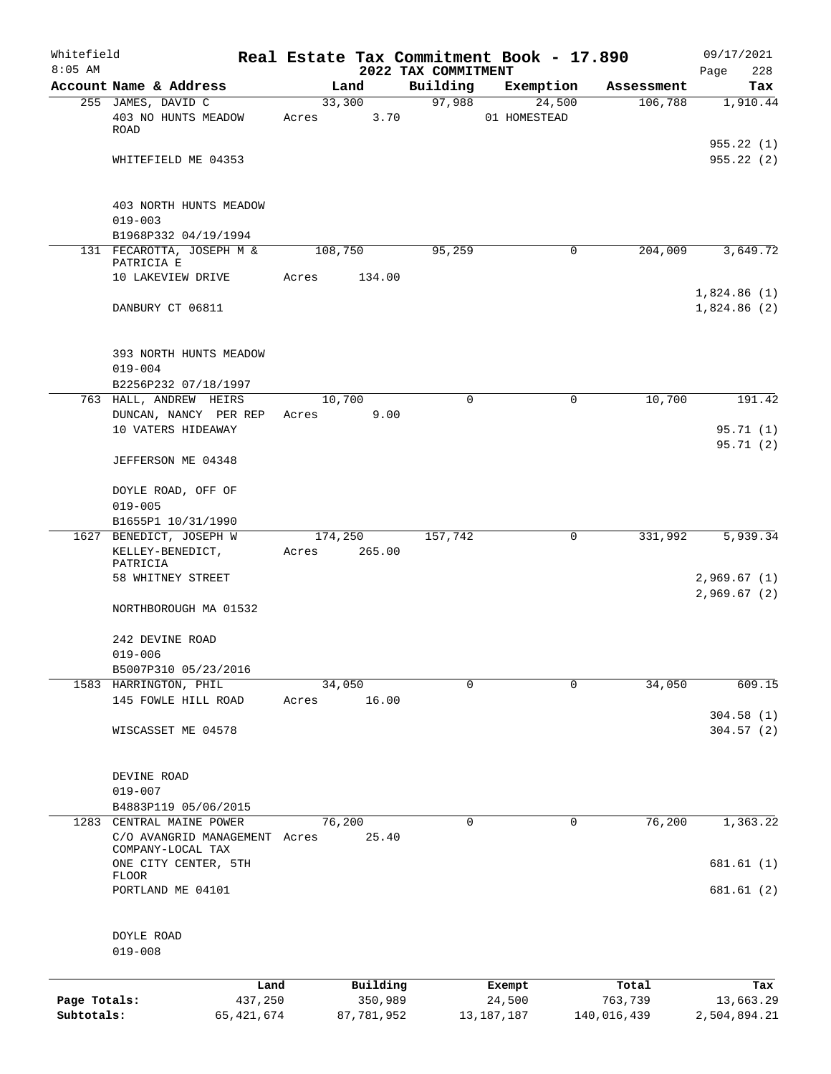| Whitefield<br>$8:05$ AM |                                                    |              |         |            |                                 | Real Estate Tax Commitment Book - 17.890 |             | 09/17/2021              |
|-------------------------|----------------------------------------------------|--------------|---------|------------|---------------------------------|------------------------------------------|-------------|-------------------------|
|                         | Account Name & Address                             |              |         | Land       | 2022 TAX COMMITMENT<br>Building | Exemption                                | Assessment  | 228<br>Page<br>Tax      |
|                         | 255 JAMES, DAVID C                                 |              | 33,300  |            | 97,988                          | 24,500                                   | 106,788     | 1,910.44                |
|                         | 403 NO HUNTS MEADOW<br><b>ROAD</b>                 |              | Acres   | 3.70       |                                 | 01 HOMESTEAD                             |             |                         |
|                         | WHITEFIELD ME 04353                                |              |         |            |                                 |                                          |             | 955.22(1)<br>955.22 (2) |
|                         | 403 NORTH HUNTS MEADOW<br>$019 - 003$              |              |         |            |                                 |                                          |             |                         |
|                         | B1968P332 04/19/1994                               |              |         |            |                                 |                                          |             |                         |
|                         | 131 FECAROTTA, JOSEPH M &<br>PATRICIA E            |              | 108,750 |            | 95,259                          | $\mathbf 0$                              | 204,009     | 3,649.72                |
|                         | 10 LAKEVIEW DRIVE                                  | Acres        |         | 134.00     |                                 |                                          |             | 1,824.86(1)             |
|                         | DANBURY CT 06811                                   |              |         |            |                                 |                                          |             | 1,824.86(2)             |
|                         | 393 NORTH HUNTS MEADOW                             |              |         |            |                                 |                                          |             |                         |
|                         | $019 - 004$<br>B2256P232 07/18/1997                |              |         |            |                                 |                                          |             |                         |
|                         | 763 HALL, ANDREW HEIRS                             |              | 10,700  |            | $\Omega$                        | $\mathbf 0$                              | 10,700      | 191.42                  |
|                         | DUNCAN, NANCY PER REP                              |              | Acres   | 9.00       |                                 |                                          |             |                         |
|                         | 10 VATERS HIDEAWAY                                 |              |         |            |                                 |                                          |             | 95.71 (1)               |
|                         | JEFFERSON ME 04348                                 |              |         |            |                                 |                                          |             | 95.71(2)                |
|                         | DOYLE ROAD, OFF OF<br>$019 - 005$                  |              |         |            |                                 |                                          |             |                         |
|                         | B1655P1 10/31/1990                                 |              |         |            |                                 |                                          |             |                         |
|                         | 1627 BENEDICT, JOSEPH W                            |              | 174,250 |            | 157,742                         | 0                                        | 331,992     | 5,939.34                |
|                         | KELLEY-BENEDICT,<br>PATRICIA                       |              | Acres   | 265.00     |                                 |                                          |             |                         |
|                         | 58 WHITNEY STREET                                  |              |         |            |                                 |                                          |             | 2,969.67(1)             |
|                         |                                                    |              |         |            |                                 |                                          |             | 2,969.67(2)             |
|                         | NORTHBOROUGH MA 01532                              |              |         |            |                                 |                                          |             |                         |
|                         | 242 DEVINE ROAD                                    |              |         |            |                                 |                                          |             |                         |
|                         | $019 - 006$<br>B5007P310 05/23/2016                |              |         |            |                                 |                                          |             |                         |
|                         | 1583 HARRINGTON, PHIL                              |              | 34,050  |            | $\Omega$                        | $\Omega$                                 | 34,050      | 609.15                  |
|                         | 145 FOWLE HILL ROAD                                |              | Acres   | 16.00      |                                 |                                          |             |                         |
|                         | WISCASSET ME 04578                                 |              |         |            |                                 |                                          |             | 304.58(1)<br>304.57(2)  |
|                         | DEVINE ROAD                                        |              |         |            |                                 |                                          |             |                         |
|                         | $019 - 007$                                        |              |         |            |                                 |                                          |             |                         |
|                         | B4883P119 05/06/2015                               |              |         |            |                                 |                                          |             |                         |
|                         | 1283 CENTRAL MAINE POWER                           |              | 76,200  |            | 0                               | 0                                        | 76,200      | 1,363.22                |
|                         | C/O AVANGRID MANAGEMENT Acres<br>COMPANY-LOCAL TAX |              |         | 25.40      |                                 |                                          |             |                         |
|                         | ONE CITY CENTER, 5TH<br><b>FLOOR</b>               |              |         |            |                                 |                                          |             | 681.61 (1)              |
|                         | PORTLAND ME 04101                                  |              |         |            |                                 |                                          |             | 681.61 (2)              |
|                         | DOYLE ROAD                                         |              |         |            |                                 |                                          |             |                         |
|                         | $019 - 008$                                        |              |         |            |                                 |                                          |             |                         |
|                         |                                                    | Land         |         | Building   |                                 | Exempt                                   | Total       | Tax                     |
| Page Totals:            |                                                    | 437,250      |         | 350,989    |                                 | 24,500                                   | 763,739     | 13,663.29               |
| Subtotals:              |                                                    | 65, 421, 674 |         | 87,781,952 |                                 | 13, 187, 187                             | 140,016,439 | 2,504,894.21            |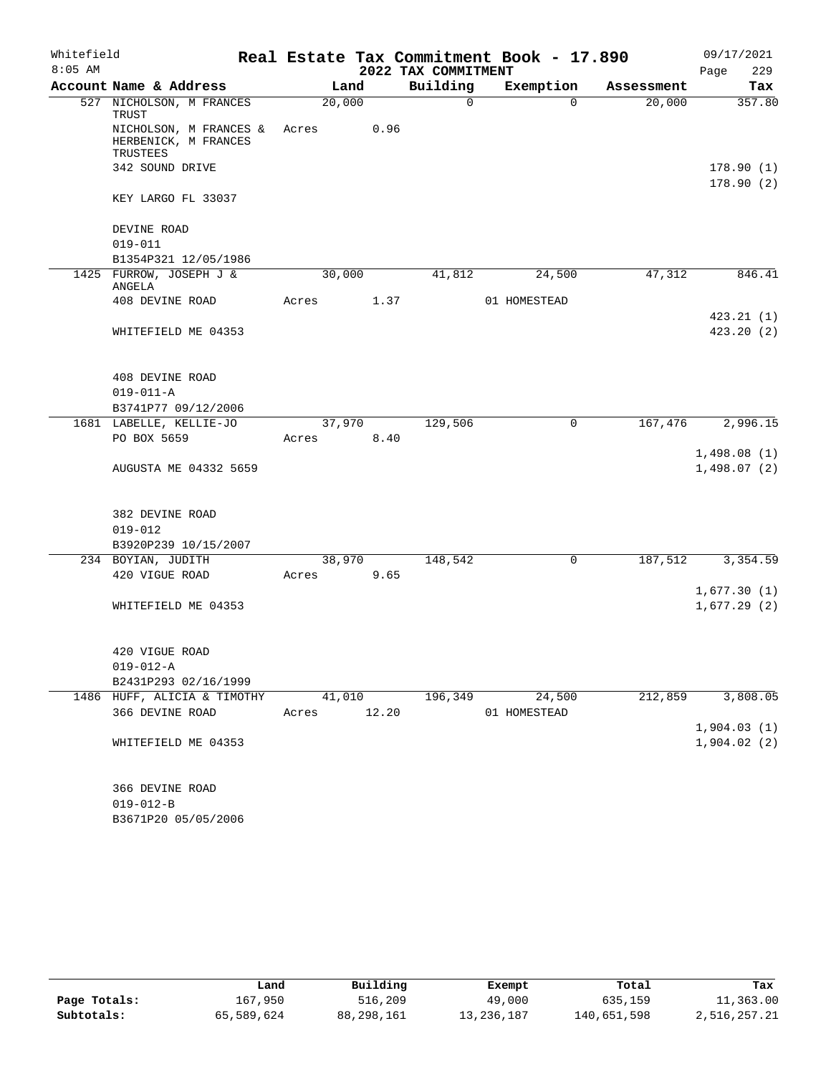| Whitefield |                                                            |       |        |       |                     | Real Estate Tax Commitment Book - 17.890 |            | 09/17/2021             |
|------------|------------------------------------------------------------|-------|--------|-------|---------------------|------------------------------------------|------------|------------------------|
| $8:05$ AM  |                                                            |       |        |       | 2022 TAX COMMITMENT |                                          |            | 229<br>Page            |
|            | Account Name & Address                                     |       | Land   |       | Building            | Exemption                                | Assessment | Tax                    |
|            | 527 NICHOLSON, M FRANCES<br>TRUST                          |       | 20,000 |       | $\mathbf 0$         | $\Omega$                                 | 20,000     | 357.80                 |
|            | NICHOLSON, M FRANCES &<br>HERBENICK, M FRANCES<br>TRUSTEES | Acres |        | 0.96  |                     |                                          |            |                        |
|            | 342 SOUND DRIVE                                            |       |        |       |                     |                                          |            | 178.90(1)              |
|            | KEY LARGO FL 33037                                         |       |        |       |                     |                                          |            | 178.90(2)              |
|            | DEVINE ROAD                                                |       |        |       |                     |                                          |            |                        |
|            | $019 - 011$                                                |       |        |       |                     |                                          |            |                        |
|            | B1354P321 12/05/1986                                       |       |        |       |                     |                                          |            |                        |
|            | 1425 FURROW, JOSEPH J &<br>ANGELA                          |       | 30,000 |       | 41,812              | 24,500                                   | 47,312     | 846.41                 |
|            | 408 DEVINE ROAD                                            | Acres |        | 1.37  |                     | 01 HOMESTEAD                             |            |                        |
|            | WHITEFIELD ME 04353                                        |       |        |       |                     |                                          |            | 423.21(1)<br>423.20(2) |
|            | 408 DEVINE ROAD                                            |       |        |       |                     |                                          |            |                        |
|            | $019 - 011 - A$                                            |       |        |       |                     |                                          |            |                        |
|            | B3741P77 09/12/2006                                        |       |        |       |                     |                                          |            |                        |
|            | 1681 LABELLE, KELLIE-JO<br>PO BOX 5659                     | Acres | 37,970 | 8.40  | 129,506             | 0                                        | 167,476    | 2,996.15               |
|            |                                                            |       |        |       |                     |                                          |            | 1,498.08(1)            |
|            | AUGUSTA ME 04332 5659                                      |       |        |       |                     |                                          |            | 1,498.07(2)            |
|            | 382 DEVINE ROAD                                            |       |        |       |                     |                                          |            |                        |
|            | $019 - 012$                                                |       |        |       |                     |                                          |            |                        |
|            | B3920P239 10/15/2007                                       |       |        |       |                     |                                          |            |                        |
|            | 234 BOYIAN, JUDITH                                         |       | 38,970 |       | 148,542             | 0                                        | 187,512    | 3,354.59               |
|            | 420 VIGUE ROAD                                             | Acres |        | 9.65  |                     |                                          |            | 1,677.30(1)            |
|            | WHITEFIELD ME 04353                                        |       |        |       |                     |                                          |            | 1,677.29(2)            |
|            | 420 VIGUE ROAD                                             |       |        |       |                     |                                          |            |                        |
|            | $019 - 012 - A$                                            |       |        |       |                     |                                          |            |                        |
|            | B2431P293 02/16/1999                                       |       |        |       |                     |                                          |            |                        |
|            | 1486 HUFF, ALICIA & TIMOTHY                                |       | 41,010 |       | 196,349             | 24,500                                   | 212,859    | 3,808.05               |
|            | 366 DEVINE ROAD                                            |       | Acres  | 12.20 |                     | 01 HOMESTEAD                             |            |                        |
|            |                                                            |       |        |       |                     |                                          |            | 1,904.03(1)            |
|            | WHITEFIELD ME 04353                                        |       |        |       |                     |                                          |            | 1,904.02(2)            |
|            | 366 DEVINE ROAD                                            |       |        |       |                     |                                          |            |                        |
|            | $019 - 012 - B$                                            |       |        |       |                     |                                          |            |                        |

B3671P20 05/05/2006

|              | Land       | Building   | Exempt     | Total       | Tax          |
|--------------|------------|------------|------------|-------------|--------------|
| Page Totals: | 167,950    | 516,209    | 49,000     | 635,159     | 11,363.00    |
| Subtotals:   | 65,589,624 | 88,298,161 | 13,236,187 | 140,651,598 | 2,516,257.21 |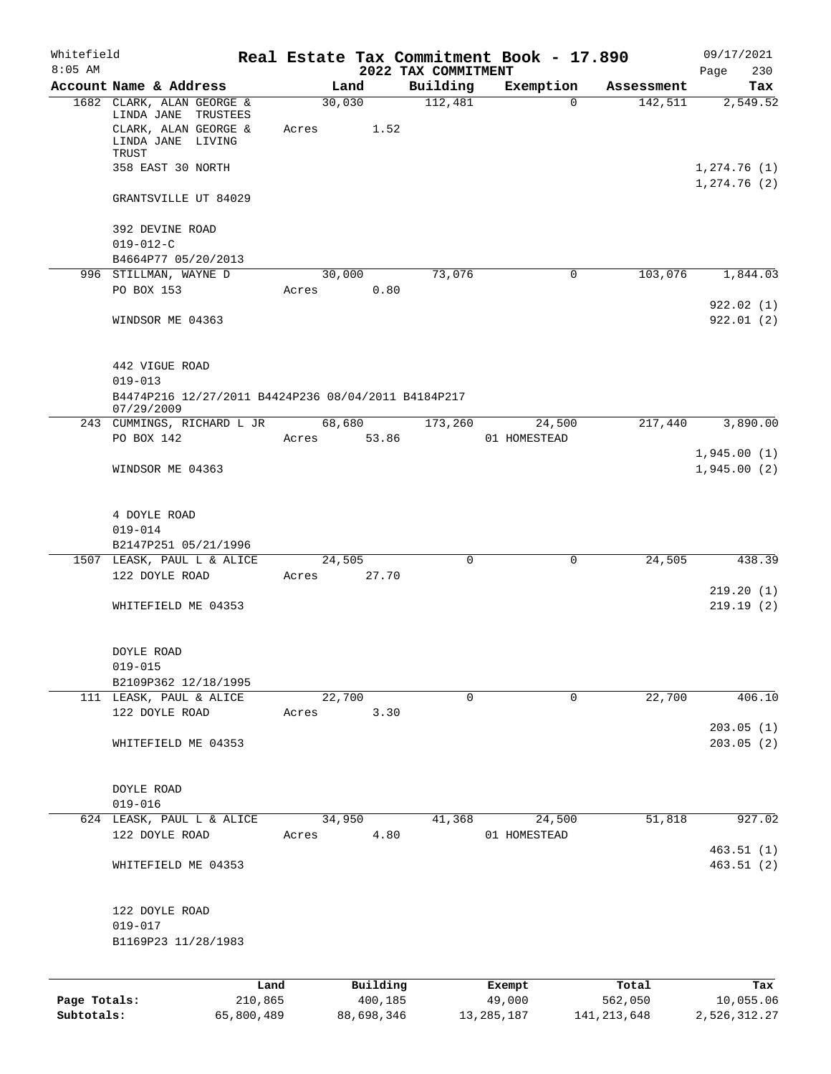| Whitefield   |                                                                                                    |       |                        |                     | Real Estate Tax Commitment Book - 17.890 |                       | 09/17/2021                 |
|--------------|----------------------------------------------------------------------------------------------------|-------|------------------------|---------------------|------------------------------------------|-----------------------|----------------------------|
| $8:05$ AM    |                                                                                                    |       |                        | 2022 TAX COMMITMENT |                                          |                       | 230<br>Page                |
|              | Account Name & Address<br>1682 CLARK, ALAN GEORGE &<br>LINDA JANE TRUSTEES<br>CLARK, ALAN GEORGE & | Acres | Land<br>30,030<br>1.52 | Building<br>112,481 | Exemption<br>$\Omega$                    | Assessment<br>142,511 | Tax<br>2,549.52            |
|              | LINDA JANE LIVING<br>TRUST<br>358 EAST 30 NORTH                                                    |       |                        |                     |                                          |                       | 1,274.76(1)<br>1,274.76(2) |
|              | GRANTSVILLE UT 84029                                                                               |       |                        |                     |                                          |                       |                            |
|              | 392 DEVINE ROAD<br>$019 - 012 - C$                                                                 |       |                        |                     |                                          |                       |                            |
|              | B4664P77 05/20/2013<br>996 STILLMAN, WAYNE D                                                       |       | 30,000                 | 73,076              | 0                                        | 103,076               | 1,844.03                   |
|              | PO BOX 153                                                                                         | Acres | 0.80                   |                     |                                          |                       |                            |
|              | WINDSOR ME 04363                                                                                   |       |                        |                     |                                          |                       | 922.02(1)<br>922.01(2)     |
|              | 442 VIGUE ROAD                                                                                     |       |                        |                     |                                          |                       |                            |
|              | $019 - 013$<br>B4474P216 12/27/2011 B4424P236 08/04/2011 B4184P217<br>07/29/2009                   |       |                        |                     |                                          |                       |                            |
|              | 243 CUMMINGS, RICHARD L JR<br>PO BOX 142                                                           | Acres | 68,680<br>53.86        | 173,260             | 24,500<br>01 HOMESTEAD                   | 217,440               | 3,890.00                   |
|              |                                                                                                    |       |                        |                     |                                          |                       | 1,945.00(1)                |
|              | WINDSOR ME 04363                                                                                   |       |                        |                     |                                          |                       | 1,945.00(2)                |
|              | 4 DOYLE ROAD                                                                                       |       |                        |                     |                                          |                       |                            |
|              | $019 - 014$<br>B2147P251 05/21/1996                                                                |       |                        |                     |                                          |                       |                            |
|              | 1507 LEASK, PAUL L & ALICE                                                                         |       | 24,505                 | $\Omega$            | 0                                        | 24,505                | 438.39                     |
|              | 122 DOYLE ROAD                                                                                     | Acres | 27.70                  |                     |                                          |                       |                            |
|              | WHITEFIELD ME 04353                                                                                |       |                        |                     |                                          |                       | 219.20(1)<br>219.19(2)     |
|              | DOYLE ROAD<br>$019 - 015$                                                                          |       |                        |                     |                                          |                       |                            |
|              | B2109P362 12/18/1995                                                                               |       |                        |                     |                                          |                       |                            |
|              | 111 LEASK, PAUL & ALICE                                                                            |       | 22,700                 | $\Omega$            | $\mathbf 0$                              | 22,700                | 406.10                     |
|              | 122 DOYLE ROAD                                                                                     | Acres | 3.30                   |                     |                                          |                       | 203.05(1)                  |
|              | WHITEFIELD ME 04353                                                                                |       |                        |                     |                                          |                       | 203.05(2)                  |
|              | DOYLE ROAD<br>$019 - 016$                                                                          |       |                        |                     |                                          |                       |                            |
|              | 624 LEASK, PAUL L & ALICE                                                                          |       | 34,950                 | 41,368              | 24,500                                   | 51,818                | 927.02                     |
|              | 122 DOYLE ROAD                                                                                     | Acres | 4.80                   |                     | 01 HOMESTEAD                             |                       |                            |
|              | WHITEFIELD ME 04353                                                                                |       |                        |                     |                                          |                       | 463.51(1)<br>463.51(2)     |
|              | 122 DOYLE ROAD<br>$019 - 017$                                                                      |       |                        |                     |                                          |                       |                            |
|              | B1169P23 11/28/1983                                                                                |       |                        |                     |                                          |                       |                            |
|              | Land                                                                                               |       | Building               |                     | Exempt                                   | Total                 | Tax                        |
| Page Totals: | 210,865                                                                                            |       | 400, 185               |                     | 49,000                                   | 562,050               | 10,055.06                  |

**Subtotals:** 65,800,489 88,698,346 13,285,187 141,213,648 2,526,312.27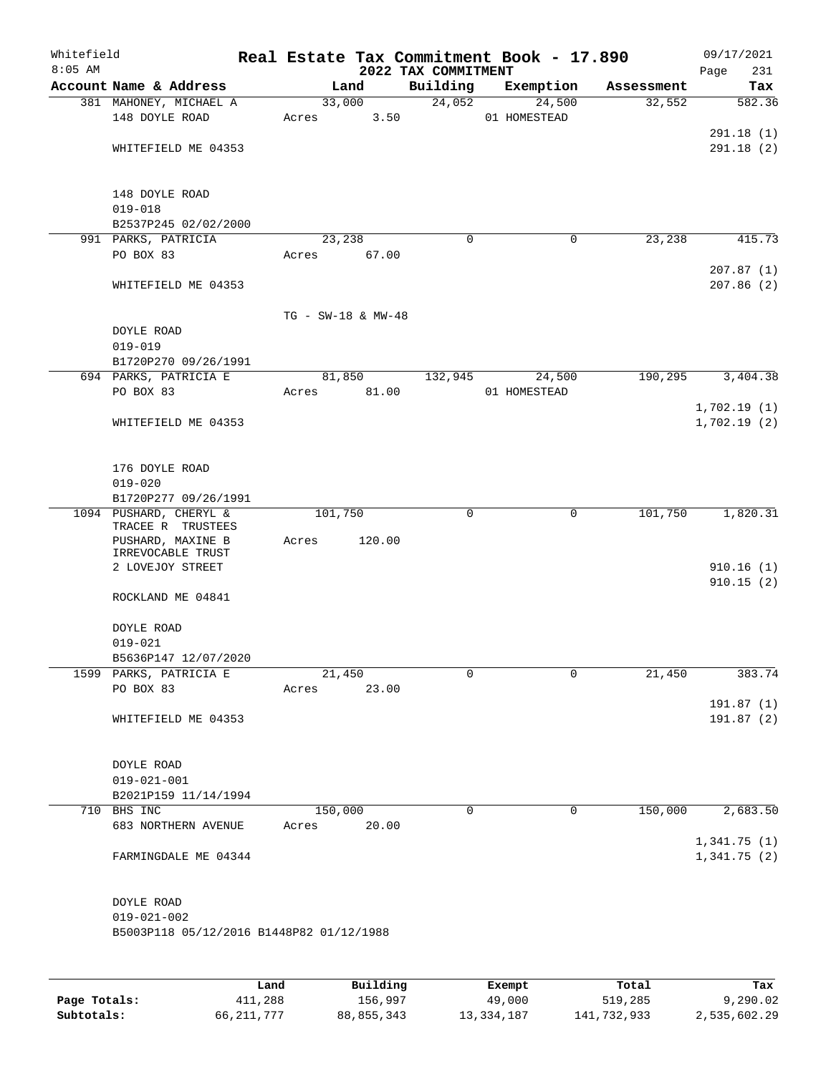| Whitefield<br>$8:05$ AM |                                                             |       |       |                    | 2022 TAX COMMITMENT | Real Estate Tax Commitment Book - 17.890 |            | 09/17/2021              |
|-------------------------|-------------------------------------------------------------|-------|-------|--------------------|---------------------|------------------------------------------|------------|-------------------------|
|                         | Account Name & Address                                      |       |       | Land               | Building            | Exemption                                | Assessment | 231<br>Page<br>Tax      |
|                         | 381 MAHONEY, MICHAEL A                                      |       |       | 33,000             | 24,052              | 24,500                                   | 32,552     | 582.36                  |
|                         | 148 DOYLE ROAD                                              |       | Acres | 3.50               |                     | 01 HOMESTEAD                             |            |                         |
|                         |                                                             |       |       |                    |                     |                                          |            | 291.18(1)               |
|                         | WHITEFIELD ME 04353                                         |       |       |                    |                     |                                          |            | 291.18(2)               |
|                         | 148 DOYLE ROAD                                              |       |       |                    |                     |                                          |            |                         |
|                         | $019 - 018$                                                 |       |       |                    |                     |                                          |            |                         |
|                         | B2537P245 02/02/2000                                        |       |       |                    |                     |                                          |            |                         |
|                         | 991 PARKS, PATRICIA                                         |       |       | 23,238             | $\Omega$            | 0                                        | 23,238     | 415.73                  |
|                         | PO BOX 83                                                   |       | Acres | 67.00              |                     |                                          |            |                         |
|                         | WHITEFIELD ME 04353                                         |       |       |                    |                     |                                          |            | 207.87(1)<br>207.86 (2) |
|                         |                                                             |       |       |                    |                     |                                          |            |                         |
|                         |                                                             |       |       | TG - SW-18 & MW-48 |                     |                                          |            |                         |
|                         | DOYLE ROAD<br>$019 - 019$                                   |       |       |                    |                     |                                          |            |                         |
|                         | B1720P270 09/26/1991                                        |       |       |                    |                     |                                          |            |                         |
|                         | 694 PARKS, PATRICIA E                                       |       |       | 81,850             | 132,945             | 24,500                                   | 190,295    | 3,404.38                |
|                         | PO BOX 83                                                   |       | Acres | 81.00              |                     | 01 HOMESTEAD                             |            |                         |
|                         |                                                             |       |       |                    |                     |                                          |            | 1,702.19(1)             |
|                         | WHITEFIELD ME 04353                                         |       |       |                    |                     |                                          |            | 1,702.19(2)             |
|                         | 176 DOYLE ROAD                                              |       |       |                    |                     |                                          |            |                         |
|                         | $019 - 020$                                                 |       |       |                    |                     |                                          |            |                         |
|                         | B1720P277 09/26/1991                                        |       |       |                    |                     |                                          |            |                         |
|                         | 1094 PUSHARD, CHERYL &                                      |       |       | 101,750            | $\Omega$            | 0                                        | 101,750    | 1,820.31                |
|                         | TRACEE R TRUSTEES<br>PUSHARD, MAXINE B<br>IRREVOCABLE TRUST |       | Acres | 120.00             |                     |                                          |            |                         |
|                         | 2 LOVEJOY STREET                                            |       |       |                    |                     |                                          |            | 910.16(1)<br>910.15(2)  |
|                         | ROCKLAND ME 04841                                           |       |       |                    |                     |                                          |            |                         |
|                         | DOYLE ROAD                                                  |       |       |                    |                     |                                          |            |                         |
|                         | $019 - 021$                                                 |       |       |                    |                     |                                          |            |                         |
|                         | B5636P147 12/07/2020                                        |       |       |                    |                     |                                          |            |                         |
|                         | 1599 PARKS, PATRICIA E                                      |       |       | 21,450             | 0                   | 0                                        | 21,450     | 383.74                  |
|                         | PO BOX 83                                                   |       | Acres | 23.00              |                     |                                          |            |                         |
|                         | WHITEFIELD ME 04353                                         |       |       |                    |                     |                                          |            | 191.87(1)<br>191.87(2)  |
|                         |                                                             |       |       |                    |                     |                                          |            |                         |
|                         | DOYLE ROAD                                                  |       |       |                    |                     |                                          |            |                         |
|                         | $019 - 021 - 001$<br>B2021P159 11/14/1994                   |       |       |                    |                     |                                          |            |                         |
|                         | 710 BHS INC                                                 |       |       | 150,000            | 0                   | 0                                        | 150,000    | 2,683.50                |
|                         | 683 NORTHERN AVENUE                                         |       | Acres | 20.00              |                     |                                          |            |                         |
|                         |                                                             |       |       |                    |                     |                                          |            | 1,341.75(1)             |
|                         | FARMINGDALE ME 04344                                        |       |       |                    |                     |                                          |            | 1,341.75(2)             |
|                         | DOYLE ROAD                                                  |       |       |                    |                     |                                          |            |                         |
|                         | $019 - 021 - 002$                                           |       |       |                    |                     |                                          |            |                         |
|                         | B5003P118 05/12/2016 B1448P82 01/12/1988                    |       |       |                    |                     |                                          |            |                         |
|                         |                                                             |       |       |                    |                     |                                          |            |                         |
|                         |                                                             | Land. |       | <b>Building</b>    |                     | <b>Fromnt</b>                            | $T0+21$    | Tox                     |

|              | Land       | Building   | Exempt     | Total       | Tax          |
|--------------|------------|------------|------------|-------------|--------------|
| Page Totals: | 411,288    | 156,997    | 49,000     | 519,285     | 9,290.02     |
| Subtotals:   | 66,211,777 | 88,855,343 | 13,334,187 | 141,732,933 | 2,535,602.29 |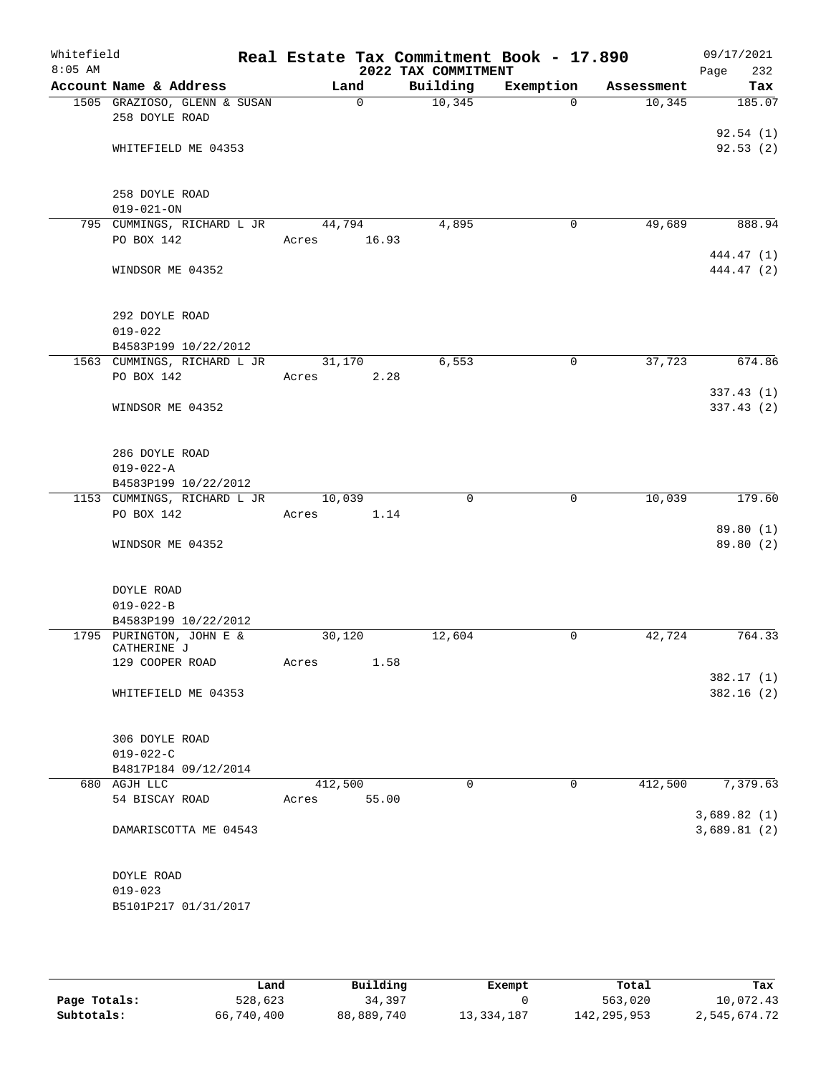| Whitefield<br>$8:05$ AM |                                                | Real Estate Tax Commitment Book - 17.890 | 2022 TAX COMMITMENT |             |            | 09/17/2021<br>232<br>Page |
|-------------------------|------------------------------------------------|------------------------------------------|---------------------|-------------|------------|---------------------------|
|                         | Account Name & Address                         | Land                                     | Building            | Exemption   | Assessment | Tax                       |
|                         | 1505 GRAZIOSO, GLENN & SUSAN<br>258 DOYLE ROAD | $\Omega$                                 | 10,345              | $\Omega$    | 10,345     | 185.07                    |
|                         |                                                |                                          |                     |             |            | 92.54(1)                  |
|                         | WHITEFIELD ME 04353                            |                                          |                     |             |            | 92.53(2)                  |
|                         | 258 DOYLE ROAD                                 |                                          |                     |             |            |                           |
|                         | $019 - 021 - ON$                               |                                          |                     |             |            |                           |
|                         | 795 CUMMINGS, RICHARD L JR                     | 44,794                                   | 4,895               | 0           | 49,689     | 888.94                    |
|                         | PO BOX 142                                     | 16.93<br>Acres                           |                     |             |            |                           |
|                         | WINDSOR ME 04352                               |                                          |                     |             |            | 444.47 (1)<br>444.47 (2)  |
|                         | 292 DOYLE ROAD<br>$019 - 022$                  |                                          |                     |             |            |                           |
|                         | B4583P199 10/22/2012                           |                                          |                     |             |            |                           |
|                         | 1563 CUMMINGS, RICHARD L JR                    | 31,170                                   | 6,553               | 0           | 37,723     | 674.86                    |
|                         | PO BOX 142                                     | 2.28<br>Acres                            |                     |             |            | 337.43(1)                 |
|                         | WINDSOR ME 04352                               |                                          |                     |             |            | 337.43(2)                 |
|                         | 286 DOYLE ROAD                                 |                                          |                     |             |            |                           |
|                         | $019 - 022 - A$                                |                                          |                     |             |            |                           |
|                         | B4583P199 10/22/2012                           |                                          |                     |             |            |                           |
|                         | 1153 CUMMINGS, RICHARD L JR                    | 10,039                                   | $\mathbf 0$         | $\mathbf 0$ | 10,039     | 179.60                    |
|                         | PO BOX 142                                     | Acres<br>1.14                            |                     |             |            | 89.80 (1)                 |
|                         | WINDSOR ME 04352                               |                                          |                     |             |            | 89.80 (2)                 |
|                         |                                                |                                          |                     |             |            |                           |
|                         | DOYLE ROAD                                     |                                          |                     |             |            |                           |
|                         | $019 - 022 - B$                                |                                          |                     |             |            |                           |
|                         | B4583P199 10/22/2012                           |                                          |                     |             |            |                           |
|                         | 1795 PURINGTON, JOHN E &<br>CATHERINE J        | 30,120                                   | 12,604              | 0           | 42,724     | 764.33                    |
|                         | 129 COOPER ROAD                                | 1.58<br>Acres                            |                     |             |            |                           |
|                         |                                                |                                          |                     |             |            | 382.17(1)                 |
|                         | WHITEFIELD ME 04353                            |                                          |                     |             |            | 382.16(2)                 |
|                         | 306 DOYLE ROAD                                 |                                          |                     |             |            |                           |
|                         | $019 - 022 - C$                                |                                          |                     |             |            |                           |
|                         | B4817P184 09/12/2014<br>680 AGJH LLC           | 412,500                                  | 0                   | 0           | 412,500    | 7,379.63                  |
|                         | 54 BISCAY ROAD                                 | 55.00<br>Acres                           |                     |             |            |                           |
|                         |                                                |                                          |                     |             |            | 3,689.82(1)               |
|                         | DAMARISCOTTA ME 04543                          |                                          |                     |             |            | 3,689.81(2)               |
|                         | DOYLE ROAD                                     |                                          |                     |             |            |                           |
|                         | $019 - 023$                                    |                                          |                     |             |            |                           |
|                         | B5101P217 01/31/2017                           |                                          |                     |             |            |                           |

|              | Land       | Building   | Exempt       | Total         | Tax          |
|--------------|------------|------------|--------------|---------------|--------------|
| Page Totals: | 528,623    | 34,397     |              | 563,020       | 10,072.43    |
| Subtotals:   | 66,740,400 | 88,889,740 | 13, 334, 187 | 142, 295, 953 | 2,545,674.72 |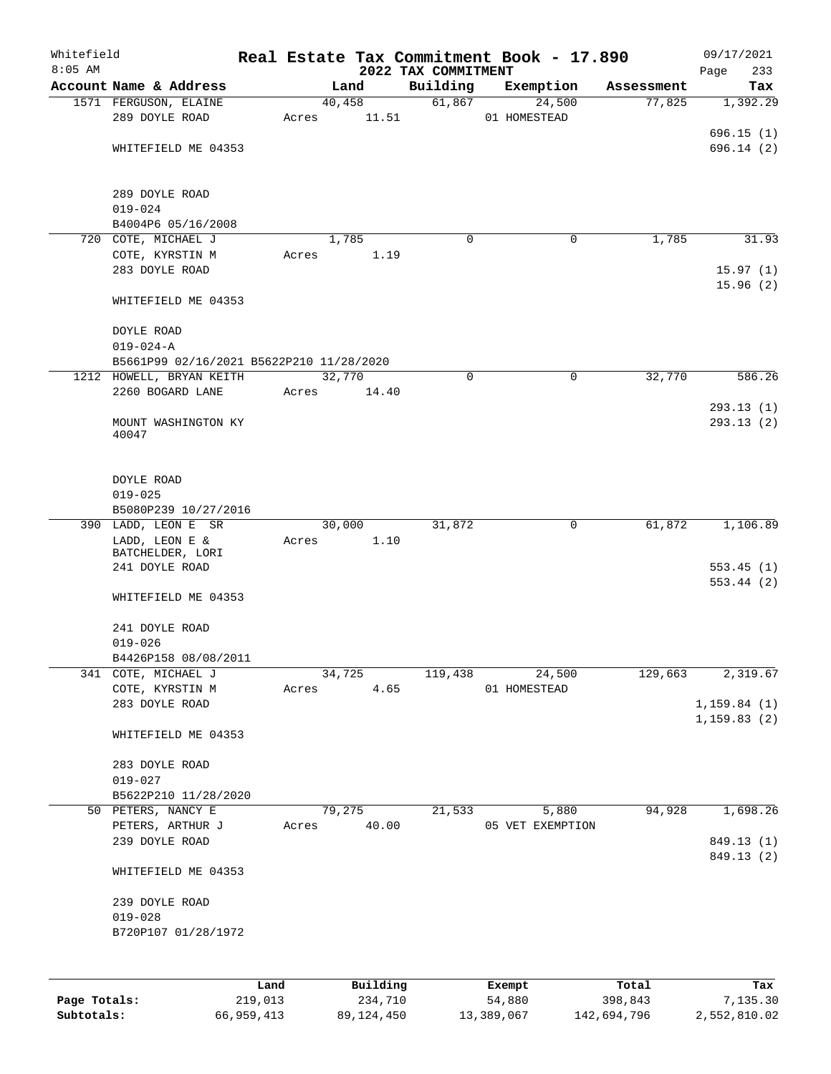| Whitefield<br>$8:05$ AM |                                                      |       |          | 2022 TAX COMMITMENT | Real Estate Tax Commitment Book - 17.890 |            | 09/17/2021<br>233      |
|-------------------------|------------------------------------------------------|-------|----------|---------------------|------------------------------------------|------------|------------------------|
|                         | Account Name & Address                               |       | Land     | Building            | Exemption                                | Assessment | Page<br>Tax            |
|                         | 1571 FERGUSON, ELAINE                                |       | 40,458   | 61,867              | 24,500                                   | 77,825     | 1,392.29               |
|                         | 289 DOYLE ROAD                                       | Acres | 11.51    |                     | 01 HOMESTEAD                             |            |                        |
|                         |                                                      |       |          |                     |                                          |            | 696.15(1)              |
|                         | WHITEFIELD ME 04353                                  |       |          |                     |                                          |            | 696.14(2)              |
|                         | 289 DOYLE ROAD                                       |       |          |                     |                                          |            |                        |
|                         | $019 - 024$                                          |       |          |                     |                                          |            |                        |
|                         | B4004P6 05/16/2008                                   |       |          |                     |                                          |            |                        |
|                         | 720 COTE, MICHAEL J                                  |       | 1,785    | 0                   | 0                                        | 1,785      | 31.93                  |
|                         | COTE, KYRSTIN M                                      | Acres | 1.19     |                     |                                          |            |                        |
|                         | 283 DOYLE ROAD                                       |       |          |                     |                                          |            | 15.97(1)<br>15.96(2)   |
|                         | WHITEFIELD ME 04353                                  |       |          |                     |                                          |            |                        |
|                         | DOYLE ROAD                                           |       |          |                     |                                          |            |                        |
|                         | $019 - 024 - A$                                      |       |          |                     |                                          |            |                        |
|                         | B5661P99 02/16/2021 B5622P210 11/28/2020             |       |          |                     |                                          |            |                        |
|                         | 1212 HOWELL, BRYAN KEITH                             |       | 32,770   | 0                   | $\mathbf 0$                              | 32,770     | 586.26                 |
|                         | 2260 BOGARD LANE                                     | Acres | 14.40    |                     |                                          |            |                        |
|                         | MOUNT WASHINGTON KY                                  |       |          |                     |                                          |            | 293.13(1)<br>293.13(2) |
|                         | 40047                                                |       |          |                     |                                          |            |                        |
|                         | DOYLE ROAD                                           |       |          |                     |                                          |            |                        |
|                         | $019 - 025$                                          |       |          |                     |                                          |            |                        |
|                         | B5080P239 10/27/2016                                 |       |          |                     |                                          |            |                        |
|                         | 390 LADD, LEON E SR                                  |       | 30,000   | 31,872              | 0                                        | 61,872     | 1,106.89               |
|                         | LADD, LEON E &<br>BATCHELDER, LORI<br>241 DOYLE ROAD | Acres | 1.10     |                     |                                          |            | 553.45(1)              |
|                         | WHITEFIELD ME 04353                                  |       |          |                     |                                          |            | 553.44(2)              |
|                         | 241 DOYLE ROAD                                       |       |          |                     |                                          |            |                        |
|                         | $019 - 026$                                          |       |          |                     |                                          |            |                        |
|                         | B4426P158 08/08/2011                                 |       |          |                     |                                          |            |                        |
|                         | 341 COTE, MICHAEL J                                  |       | 34,725   | 119,438             | 24,500                                   | 129,663    | 2,319.67               |
|                         | COTE, KYRSTIN M                                      | Acres | 4.65     |                     | 01 HOMESTEAD                             |            |                        |
|                         | 283 DOYLE ROAD                                       |       |          |                     |                                          |            | 1, 159.84(1)           |
|                         | WHITEFIELD ME 04353                                  |       |          |                     |                                          |            | 1, 159.83(2)           |
|                         | 283 DOYLE ROAD                                       |       |          |                     |                                          |            |                        |
|                         | $019 - 027$                                          |       |          |                     |                                          |            |                        |
|                         | B5622P210 11/28/2020                                 |       | 79,275   |                     |                                          |            |                        |
|                         | 50 PETERS, NANCY E<br>PETERS, ARTHUR J               | Acres | 40.00    | 21,533              | 5,880<br>05 VET EXEMPTION                | 94,928     | 1,698.26               |
|                         | 239 DOYLE ROAD                                       |       |          |                     |                                          |            | 849.13 (1)             |
|                         | WHITEFIELD ME 04353                                  |       |          |                     |                                          |            | 849.13 (2)             |
|                         | 239 DOYLE ROAD                                       |       |          |                     |                                          |            |                        |
|                         | $019 - 028$                                          |       |          |                     |                                          |            |                        |
|                         | B720P107 01/28/1972                                  |       |          |                     |                                          |            |                        |
|                         |                                                      |       |          |                     |                                          |            |                        |
|                         |                                                      | Land  | Building |                     | Exempt                                   | Total      | Tax                    |
| Page Totals:            | 219,013                                              |       | 234,710  |                     | 54,880                                   | 398,843    | 7,135.30               |

**Subtotals:** 66,959,413 89,124,450 13,389,067 142,694,796 2,552,810.02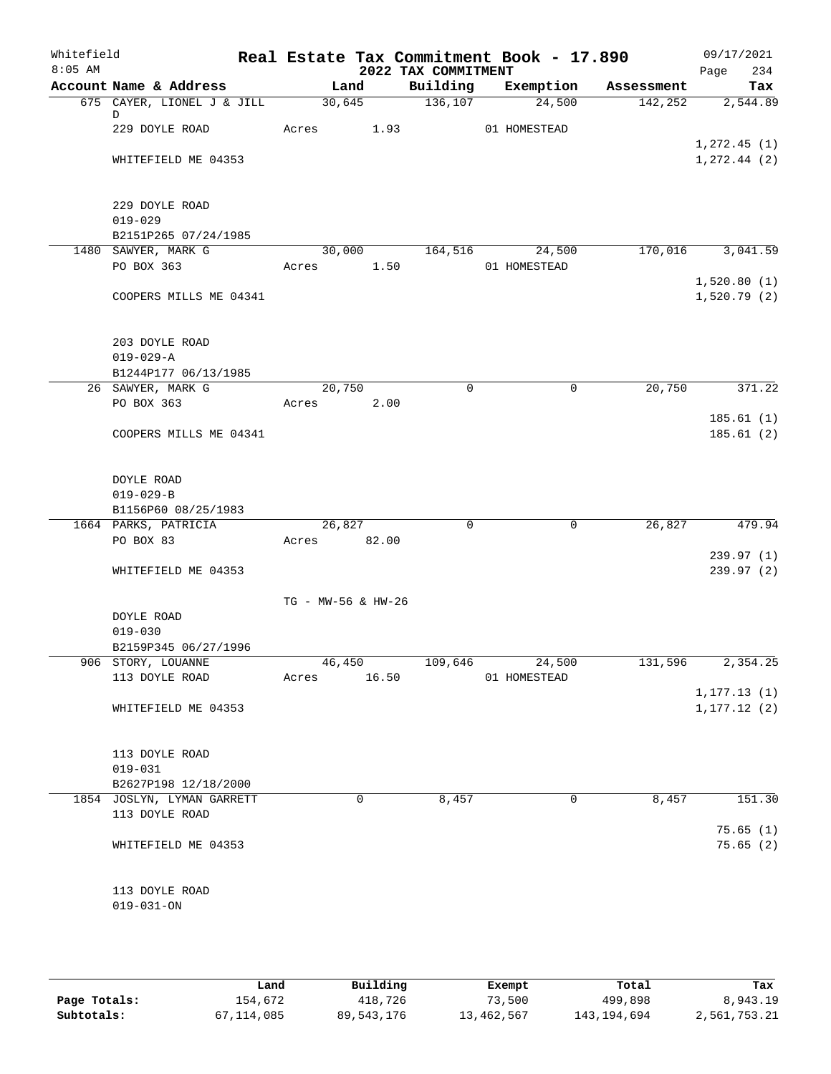| Whitefield<br>$8:05$ AM |                                        | Real Estate Tax Commitment Book - 17.890 | 2022 TAX COMMITMENT |              |            | 09/17/2021<br>234<br>Page |
|-------------------------|----------------------------------------|------------------------------------------|---------------------|--------------|------------|---------------------------|
|                         | Account Name & Address                 | Land                                     | Building            | Exemption    | Assessment | Tax                       |
|                         | 675 CAYER, LIONEL J & JILL             | 30,645                                   | 136,107             | 24,500       | 142,252    | 2,544.89                  |
|                         | D<br>229 DOYLE ROAD                    | Acres<br>1.93                            |                     | 01 HOMESTEAD |            |                           |
|                         |                                        |                                          |                     |              |            | 1,272.45(1)               |
|                         | WHITEFIELD ME 04353                    |                                          |                     |              |            | 1, 272.44 (2)             |
|                         | 229 DOYLE ROAD                         |                                          |                     |              |            |                           |
|                         | $019 - 029$                            |                                          |                     |              |            |                           |
|                         | B2151P265 07/24/1985                   |                                          |                     |              |            |                           |
|                         | 1480 SAWYER, MARK G                    | 30,000                                   | 164,516             | 24,500       | 170,016    | 3,041.59                  |
|                         | PO BOX 363                             | Acres 1.50                               |                     | 01 HOMESTEAD |            |                           |
|                         |                                        |                                          |                     |              |            | 1,520.80(1)               |
|                         | COOPERS MILLS ME 04341                 |                                          |                     |              |            | 1,520.79(2)               |
|                         | 203 DOYLE ROAD                         |                                          |                     |              |            |                           |
|                         | $019 - 029 - A$                        |                                          |                     |              |            |                           |
|                         | B1244P177 06/13/1985                   |                                          |                     |              |            |                           |
|                         | 26 SAWYER, MARK G                      | 20,750                                   | $\mathbf 0$         | $\mathbf 0$  | 20,750     | 371.22                    |
|                         | PO BOX 363                             | 2.00<br>Acres                            |                     |              |            |                           |
|                         |                                        |                                          |                     |              |            | 185.61(1)                 |
|                         | COOPERS MILLS ME 04341                 |                                          |                     |              |            | 185.61(2)                 |
|                         |                                        |                                          |                     |              |            |                           |
|                         | DOYLE ROAD                             |                                          |                     |              |            |                           |
|                         | $019 - 029 - B$<br>B1156P60 08/25/1983 |                                          |                     |              |            |                           |
|                         | 1664 PARKS, PATRICIA                   | 26,827                                   | $\Omega$            | $\mathbf 0$  | 26,827     | 479.94                    |
|                         | PO BOX 83                              | Acres 82.00                              |                     |              |            |                           |
|                         |                                        |                                          |                     |              |            | 239.97(1)                 |
|                         | WHITEFIELD ME 04353                    |                                          |                     |              |            | 239.97(2)                 |
|                         |                                        | TG - MW-56 & HW-26                       |                     |              |            |                           |
|                         | DOYLE ROAD                             |                                          |                     |              |            |                           |
|                         | $019 - 030$                            |                                          |                     |              |            |                           |
|                         | B2159P345 06/27/1996                   |                                          |                     |              |            |                           |
|                         | 906 STORY, LOUANNE                     | 46, 450                                  | 109,646             | 24,500       | 131,596    | 2,354.25                  |
|                         | 113 DOYLE ROAD                         | 16.50<br>Acres                           |                     | 01 HOMESTEAD |            |                           |
|                         |                                        |                                          |                     |              |            | 1, 177.13(1)              |
|                         | WHITEFIELD ME 04353                    |                                          |                     |              |            | 1, 177.12(2)              |
|                         | 113 DOYLE ROAD                         |                                          |                     |              |            |                           |
|                         | $019 - 031$                            |                                          |                     |              |            |                           |
|                         | B2627P198 12/18/2000                   |                                          |                     |              |            |                           |
|                         | 1854 JOSLYN, LYMAN GARRETT             | 0                                        | 8,457               | 0            | 8,457      | 151.30                    |
|                         | 113 DOYLE ROAD                         |                                          |                     |              |            |                           |
|                         |                                        |                                          |                     |              |            | 75.65(1)                  |
|                         | WHITEFIELD ME 04353                    |                                          |                     |              |            | 75.65(2)                  |
|                         | 113 DOYLE ROAD                         |                                          |                     |              |            |                           |
|                         | $019 - 031 - ON$                       |                                          |                     |              |            |                           |
|                         |                                        |                                          |                     |              |            |                           |
|                         |                                        |                                          |                     |              |            |                           |

|              | Land       | Building   | Exempt     | Total       | Tax          |
|--------------|------------|------------|------------|-------------|--------------|
| Page Totals: | 154,672    | 418,726    | 73,500     | 499,898     | 8,943.19     |
| Subtotals:   | 67,114,085 | 89,543,176 | 13,462,567 | 143,194,694 | 2,561,753.21 |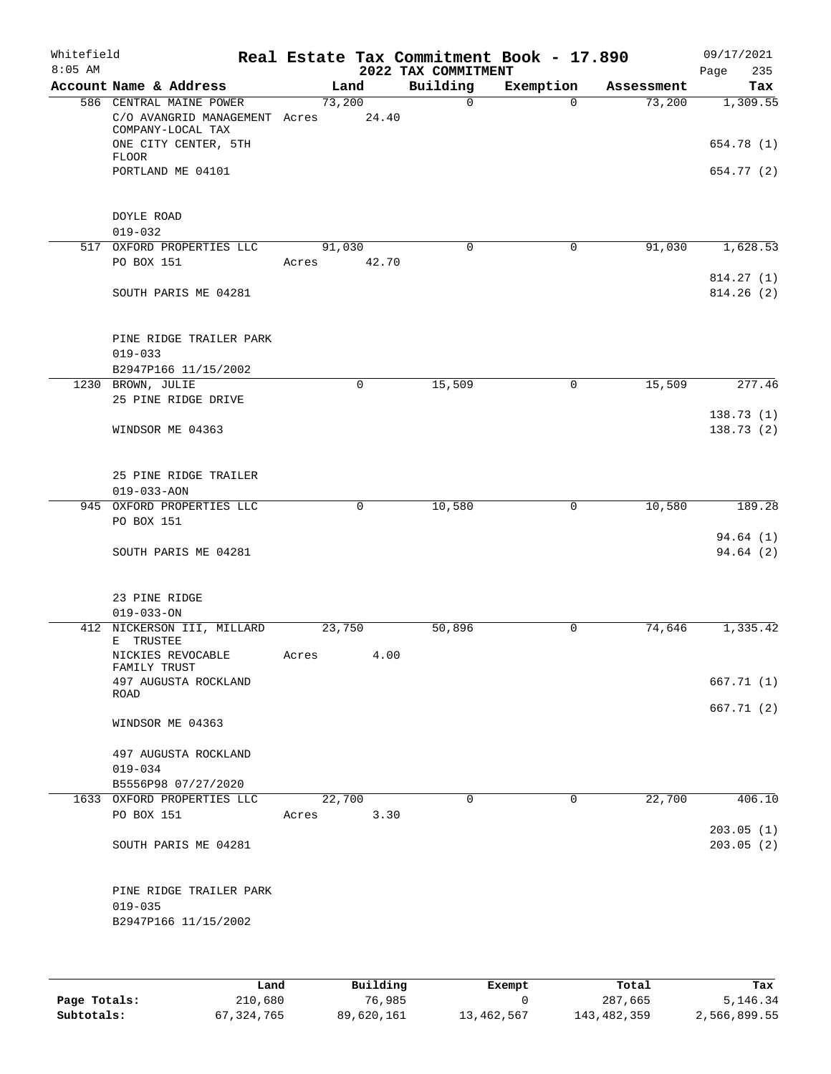| Whitefield<br>$8:05$ AM |                                                                                                                                     |            |                 | 2022 TAX COMMITMENT | Real Estate Tax Commitment Book - 17.890 |            | 09/17/2021<br>235<br>Page            |
|-------------------------|-------------------------------------------------------------------------------------------------------------------------------------|------------|-----------------|---------------------|------------------------------------------|------------|--------------------------------------|
|                         | Account Name & Address                                                                                                              |            | Land            | Building            | Exemption                                | Assessment | Tax                                  |
|                         | 586 CENTRAL MAINE POWER<br>C/O AVANGRID MANAGEMENT Acres<br>COMPANY-LOCAL TAX<br>ONE CITY CENTER, 5TH<br>FLOOR<br>PORTLAND ME 04101 |            | 73,200<br>24.40 | $\mathbf 0$         | $\Omega$                                 | 73,200     | 1,309.55<br>654.78 (1)<br>654.77 (2) |
|                         | DOYLE ROAD<br>$019 - 032$                                                                                                           |            |                 |                     |                                          |            |                                      |
|                         | 517 OXFORD PROPERTIES LLC<br>PO BOX 151                                                                                             | Acres      | 91,030<br>42.70 | $\mathbf 0$         | $\mathbf 0$                              | 91,030     | 1,628.53<br>814.27 (1)               |
|                         | SOUTH PARIS ME 04281                                                                                                                |            |                 |                     |                                          |            | 814.26(2)                            |
|                         | PINE RIDGE TRAILER PARK<br>$019 - 033$<br>B2947P166 11/15/2002                                                                      |            |                 |                     |                                          |            |                                      |
|                         | 1230 BROWN, JULIE                                                                                                                   |            | 0               | 15,509              | 0                                        | 15,509     | 277.46                               |
|                         | 25 PINE RIDGE DRIVE<br>WINDSOR ME 04363                                                                                             |            |                 |                     |                                          |            | 138.73(1)<br>138.73(2)               |
|                         | 25 PINE RIDGE TRAILER<br>$019 - 033 - AON$                                                                                          |            |                 |                     |                                          |            |                                      |
|                         | 945 OXFORD PROPERTIES LLC                                                                                                           |            | 0               | 10,580              | 0                                        | 10,580     | 189.28                               |
|                         | PO BOX 151<br>SOUTH PARIS ME 04281<br>23 PINE RIDGE                                                                                 |            |                 |                     |                                          |            | 94.64(1)<br>94.64(2)                 |
|                         | $019 - 033 - ON$                                                                                                                    |            |                 |                     |                                          |            |                                      |
|                         | 412 NICKERSON III, MILLARD<br>E TRUSTEE                                                                                             |            | 23,750          | 50,896              | 0                                        | 74,646     | 1,335.42                             |
|                         | NICKIES REVOCABLE<br>FAMILY TRUST<br>497 AUGUSTA ROCKLAND                                                                           | Acres 4.00 |                 |                     |                                          |            | 667.71(1)                            |
|                         | ROAD                                                                                                                                |            |                 |                     |                                          |            | 667.71 (2)                           |
|                         | WINDSOR ME 04363                                                                                                                    |            |                 |                     |                                          |            |                                      |
|                         | 497 AUGUSTA ROCKLAND<br>$019 - 034$<br>B5556P98 07/27/2020                                                                          |            |                 |                     |                                          |            |                                      |
|                         | 1633 OXFORD PROPERTIES LLC                                                                                                          |            | 22,700          | $\Omega$            | $\mathbf 0$                              | 22,700     | 406.10                               |
|                         | PO BOX 151                                                                                                                          | Acres      | 3.30            |                     |                                          |            | 203.05(1)                            |
|                         | SOUTH PARIS ME 04281                                                                                                                |            |                 |                     |                                          |            | 203.05(2)                            |
|                         | PINE RIDGE TRAILER PARK<br>$019 - 035$<br>B2947P166 11/15/2002                                                                      |            |                 |                     |                                          |            |                                      |
|                         |                                                                                                                                     |            |                 |                     |                                          |            |                                      |

|              | Land       | Building   | Exempt     | Total       | Tax          |
|--------------|------------|------------|------------|-------------|--------------|
| Page Totals: | 210,680    | 76,985     |            | 287,665     | 5,146.34     |
| Subtotals:   | 67,324,765 | 89,620,161 | 13,462,567 | 143,482,359 | 2,566,899.55 |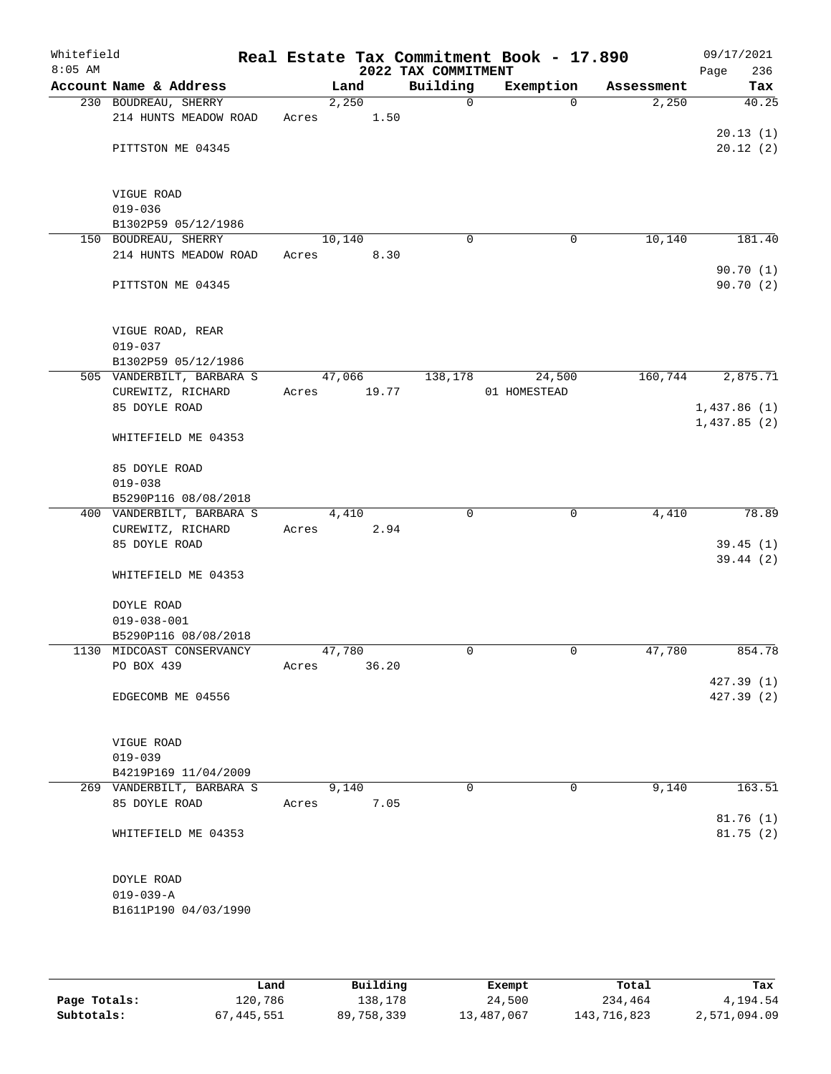| Whitefield<br>$8:05$ AM |                                                  |       |        |       | 2022 TAX COMMITMENT | Real Estate Tax Commitment Book - 17.890 |            | 09/17/2021<br>236<br>Page |
|-------------------------|--------------------------------------------------|-------|--------|-------|---------------------|------------------------------------------|------------|---------------------------|
|                         | Account Name & Address                           |       | Land   |       | Building            | Exemption                                | Assessment | Tax                       |
|                         | 230 BOUDREAU, SHERRY                             |       | 2,250  |       | $\mathsf{O}$        | $\Omega$                                 | 2,250      | 40.25                     |
|                         | 214 HUNTS MEADOW ROAD                            | Acres |        | 1.50  |                     |                                          |            |                           |
|                         |                                                  |       |        |       |                     |                                          |            | 20.13(1)                  |
|                         | PITTSTON ME 04345                                |       |        |       |                     |                                          |            | 20.12(2)                  |
|                         |                                                  |       |        |       |                     |                                          |            |                           |
|                         | VIGUE ROAD                                       |       |        |       |                     |                                          |            |                           |
|                         | $019 - 036$                                      |       |        |       |                     |                                          |            |                           |
|                         | B1302P59 05/12/1986                              |       |        |       |                     |                                          |            |                           |
|                         | 150 BOUDREAU, SHERRY                             |       | 10,140 |       | $\mathbf 0$         | $\mathbf 0$                              | 10,140     | 181.40                    |
|                         | 214 HUNTS MEADOW ROAD                            | Acres |        | 8.30  |                     |                                          |            |                           |
|                         |                                                  |       |        |       |                     |                                          |            | 90.70(1)                  |
|                         | PITTSTON ME 04345                                |       |        |       |                     |                                          |            | 90.70 (2)                 |
|                         |                                                  |       |        |       |                     |                                          |            |                           |
|                         |                                                  |       |        |       |                     |                                          |            |                           |
|                         | VIGUE ROAD, REAR                                 |       |        |       |                     |                                          |            |                           |
|                         | $019 - 037$                                      |       |        |       |                     |                                          |            |                           |
|                         | B1302P59 05/12/1986<br>505 VANDERBILT, BARBARA S |       | 47,066 |       | 138,178             | 24,500                                   | 160,744    | 2,875.71                  |
|                         | CUREWITZ, RICHARD                                | Acres |        | 19.77 |                     | 01 HOMESTEAD                             |            |                           |
|                         | 85 DOYLE ROAD                                    |       |        |       |                     |                                          |            | 1,437.86(1)               |
|                         |                                                  |       |        |       |                     |                                          |            | 1,437.85(2)               |
|                         | WHITEFIELD ME 04353                              |       |        |       |                     |                                          |            |                           |
|                         |                                                  |       |        |       |                     |                                          |            |                           |
|                         | 85 DOYLE ROAD                                    |       |        |       |                     |                                          |            |                           |
|                         | $019 - 038$                                      |       |        |       |                     |                                          |            |                           |
|                         | B5290P116 08/08/2018                             |       |        |       |                     |                                          |            |                           |
|                         | 400 VANDERBILT, BARBARA S                        |       | 4,410  |       | $\mathbf 0$         | $\mathbf 0$                              | 4,410      | 78.89                     |
|                         | CUREWITZ, RICHARD                                | Acres |        | 2.94  |                     |                                          |            |                           |
|                         | 85 DOYLE ROAD                                    |       |        |       |                     |                                          |            | 39.45(1)                  |
|                         | WHITEFIELD ME 04353                              |       |        |       |                     |                                          |            | 39.44(2)                  |
|                         |                                                  |       |        |       |                     |                                          |            |                           |
|                         | DOYLE ROAD                                       |       |        |       |                     |                                          |            |                           |
|                         | $019 - 038 - 001$                                |       |        |       |                     |                                          |            |                           |
|                         | B5290P116 08/08/2018                             |       |        |       |                     |                                          |            |                           |
|                         | 1130 MIDCOAST CONSERVANCY                        |       | 47,780 |       | 0                   | 0                                        | 47,780     | 854.78                    |
|                         | PO BOX 439                                       | Acres |        | 36.20 |                     |                                          |            |                           |
|                         |                                                  |       |        |       |                     |                                          |            | 427.39(1)                 |
|                         | EDGECOMB ME 04556                                |       |        |       |                     |                                          |            | 427.39 (2)                |
|                         |                                                  |       |        |       |                     |                                          |            |                           |
|                         |                                                  |       |        |       |                     |                                          |            |                           |
|                         | VIGUE ROAD<br>$019 - 039$                        |       |        |       |                     |                                          |            |                           |
|                         | B4219P169 11/04/2009                             |       |        |       |                     |                                          |            |                           |
|                         | 269 VANDERBILT, BARBARA S                        |       | 9,140  |       | $\Omega$            | $\mathbf 0$                              | 9,140      | 163.51                    |
|                         | 85 DOYLE ROAD                                    | Acres |        | 7.05  |                     |                                          |            |                           |
|                         |                                                  |       |        |       |                     |                                          |            | 81.76 (1)                 |
|                         | WHITEFIELD ME 04353                              |       |        |       |                     |                                          |            | 81.75(2)                  |
|                         |                                                  |       |        |       |                     |                                          |            |                           |
|                         |                                                  |       |        |       |                     |                                          |            |                           |
|                         | DOYLE ROAD                                       |       |        |       |                     |                                          |            |                           |
|                         | $019 - 039 - A$                                  |       |        |       |                     |                                          |            |                           |
|                         | B1611P190 04/03/1990                             |       |        |       |                     |                                          |            |                           |
|                         |                                                  |       |        |       |                     |                                          |            |                           |
|                         |                                                  |       |        |       |                     |                                          |            |                           |

|              | Land       | Building   | Exempt     | Total       | Tax          |
|--------------|------------|------------|------------|-------------|--------------|
| Page Totals: | 120,786    | 138.178    | 24,500     | 234,464     | 4,194.54     |
| Subtotals:   | 67,445,551 | 89,758,339 | 13,487,067 | 143,716,823 | 2,571,094.09 |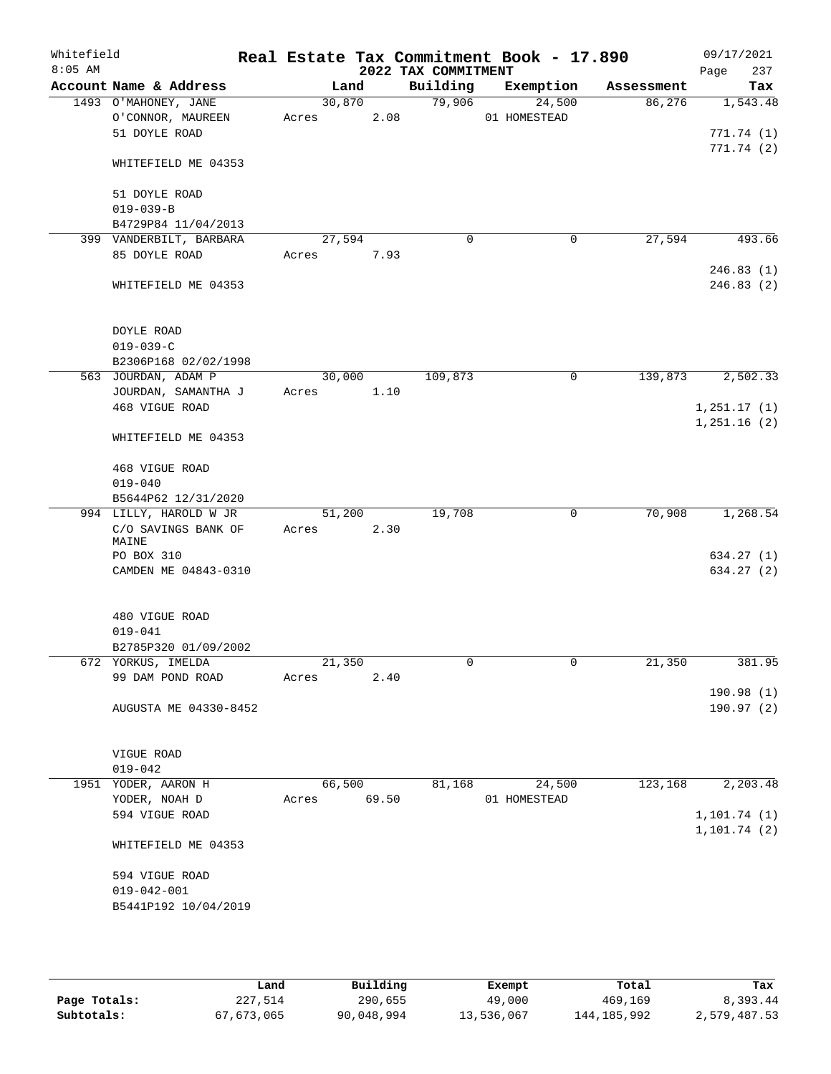| Whitefield<br>$8:05$ AM |                                    |        |       | 2022 TAX COMMITMENT | Real Estate Tax Commitment Book - 17.890 |            | 09/17/2021<br>237<br>Page |
|-------------------------|------------------------------------|--------|-------|---------------------|------------------------------------------|------------|---------------------------|
|                         | Account Name & Address             | Land   |       | Building            | Exemption                                | Assessment | Tax                       |
|                         | 1493 O'MAHONEY, JANE               | 30,870 |       | 79,906              | 24,500                                   | 86,276     | 1,543.48                  |
|                         | O'CONNOR, MAUREEN                  | Acres  | 2.08  |                     | 01 HOMESTEAD                             |            |                           |
|                         | 51 DOYLE ROAD                      |        |       |                     |                                          |            | 771.74(1)                 |
|                         | WHITEFIELD ME 04353                |        |       |                     |                                          |            | 771.74(2)                 |
|                         | 51 DOYLE ROAD                      |        |       |                     |                                          |            |                           |
|                         | $019 - 039 - B$                    |        |       |                     |                                          |            |                           |
|                         | B4729P84 11/04/2013                |        |       |                     |                                          |            |                           |
|                         | 399 VANDERBILT, BARBARA            | 27,594 |       | $\mathbf 0$         | 0                                        | 27,594     | 493.66                    |
|                         | 85 DOYLE ROAD                      | Acres  | 7.93  |                     |                                          |            |                           |
|                         | WHITEFIELD ME 04353                |        |       |                     |                                          |            | 246.83(1)<br>246.83 (2)   |
|                         | DOYLE ROAD                         |        |       |                     |                                          |            |                           |
|                         | $019 - 039 - C$                    |        |       |                     |                                          |            |                           |
|                         | B2306P168 02/02/1998               |        |       |                     |                                          |            |                           |
|                         | 563 JOURDAN, ADAM P                | 30,000 |       | 109,873             | 0                                        | 139,873    | 2,502.33                  |
|                         | JOURDAN, SAMANTHA J                | Acres  | 1.10  |                     |                                          |            |                           |
|                         | 468 VIGUE ROAD                     |        |       |                     |                                          |            | 1,251.17(1)               |
|                         | WHITEFIELD ME 04353                |        |       |                     |                                          |            | 1,251.16(2)               |
|                         |                                    |        |       |                     |                                          |            |                           |
|                         | 468 VIGUE ROAD                     |        |       |                     |                                          |            |                           |
|                         | $019 - 040$                        |        |       |                     |                                          |            |                           |
|                         | B5644P62 12/31/2020                |        |       |                     |                                          |            |                           |
|                         | 994 LILLY, HAROLD W JR             | 51,200 |       | 19,708              | $\mathbf 0$                              | 70,908     | 1,268.54                  |
|                         | C/O SAVINGS BANK OF                | Acres  | 2.30  |                     |                                          |            |                           |
|                         | MAINE                              |        |       |                     |                                          |            |                           |
|                         | PO BOX 310<br>CAMDEN ME 04843-0310 |        |       |                     |                                          |            | 634.27 (1)<br>634.27 (2)  |
|                         |                                    |        |       |                     |                                          |            |                           |
|                         | 480 VIGUE ROAD                     |        |       |                     |                                          |            |                           |
|                         | $019 - 041$                        |        |       |                     |                                          |            |                           |
|                         | B2785P320 01/09/2002               |        |       |                     |                                          |            |                           |
|                         | 672 YORKUS, IMELDA                 | 21,350 |       | 0                   | 0                                        | 21,350     | 381.95                    |
|                         | 99 DAM POND ROAD                   | Acres  | 2.40  |                     |                                          |            |                           |
|                         |                                    |        |       |                     |                                          |            | 190.98(1)                 |
|                         | AUGUSTA ME 04330-8452              |        |       |                     |                                          |            | 190.97(2)                 |
|                         |                                    |        |       |                     |                                          |            |                           |
|                         | VIGUE ROAD                         |        |       |                     |                                          |            |                           |
|                         | $019 - 042$                        |        |       |                     |                                          |            |                           |
|                         | 1951 YODER, AARON H                | 66,500 |       | 81,168              | 24,500                                   | 123,168    | 2,203.48                  |
|                         | YODER, NOAH D                      | Acres  | 69.50 |                     | 01 HOMESTEAD                             |            |                           |
|                         | 594 VIGUE ROAD                     |        |       |                     |                                          |            | 1, 101.74(1)              |
|                         | WHITEFIELD ME 04353                |        |       |                     |                                          |            | 1, 101.74(2)              |
|                         |                                    |        |       |                     |                                          |            |                           |
|                         | 594 VIGUE ROAD                     |        |       |                     |                                          |            |                           |
|                         | $019 - 042 - 001$                  |        |       |                     |                                          |            |                           |
|                         | B5441P192 10/04/2019               |        |       |                     |                                          |            |                           |
|                         |                                    |        |       |                     |                                          |            |                           |
|                         |                                    |        |       |                     |                                          |            |                           |

|              | Land       | Building   | Exempt     | Total       | Tax          |
|--------------|------------|------------|------------|-------------|--------------|
| Page Totals: | 227,514    | 290,655    | 49,000     | 469,169     | 8,393.44     |
| Subtotals:   | 67,673,065 | 90,048,994 | 13,536,067 | 144,185,992 | 2,579,487.53 |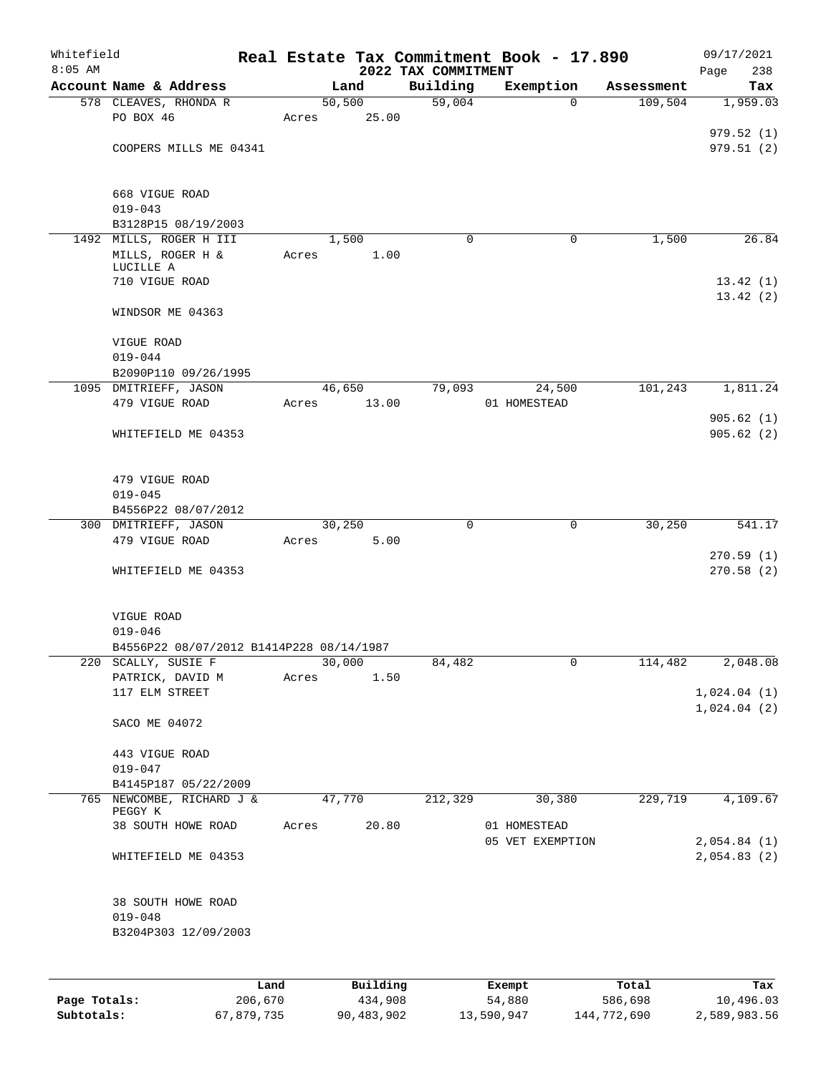| Whitefield<br>$8:05$ AM |                                          |        |          | 2022 TAX COMMITMENT | Real Estate Tax Commitment Book - 17.890 |            | 09/17/2021<br>Page<br>238 |
|-------------------------|------------------------------------------|--------|----------|---------------------|------------------------------------------|------------|---------------------------|
|                         | Account Name & Address                   |        | Land     | Building            | Exemption                                | Assessment | Tax                       |
|                         | 578 CLEAVES, RHONDA R                    |        | 50, 500  | 59,004              | $\Omega$                                 | 109,504    | 1,959.03                  |
|                         | PO BOX 46                                | Acres  | 25.00    |                     |                                          |            |                           |
|                         |                                          |        |          |                     |                                          |            | 979.52(1)                 |
|                         | COOPERS MILLS ME 04341                   |        |          |                     |                                          |            | 979.51 (2)                |
|                         | 668 VIGUE ROAD                           |        |          |                     |                                          |            |                           |
|                         | $019 - 043$                              |        |          |                     |                                          |            |                           |
|                         | B3128P15 08/19/2003                      |        |          |                     |                                          |            |                           |
|                         | 1492 MILLS, ROGER H III                  |        | 1,500    | 0                   | 0                                        | 1,500      | 26.84                     |
|                         | MILLS, ROGER H &<br>LUCILLE A            | Acres  | 1.00     |                     |                                          |            |                           |
|                         | 710 VIGUE ROAD                           |        |          |                     |                                          |            | 13.42(1)                  |
|                         |                                          |        |          |                     |                                          |            | 13.42(2)                  |
|                         | WINDSOR ME 04363                         |        |          |                     |                                          |            |                           |
|                         | VIGUE ROAD                               |        |          |                     |                                          |            |                           |
|                         | $019 - 044$                              |        |          |                     |                                          |            |                           |
|                         | B2090P110 09/26/1995                     |        |          |                     |                                          |            |                           |
|                         | 1095 DMITRIEFF, JASON                    |        | 46,650   | 79,093              | 24,500                                   | 101,243    | 1,811.24                  |
|                         | 479 VIGUE ROAD                           | Acres  | 13.00    |                     | 01 HOMESTEAD                             |            |                           |
|                         | WHITEFIELD ME 04353                      |        |          |                     |                                          |            | 905.62(1)<br>905.62(2)    |
|                         | 479 VIGUE ROAD                           |        |          |                     |                                          |            |                           |
|                         | $019 - 045$                              |        |          |                     |                                          |            |                           |
|                         | B4556P22 08/07/2012                      |        |          |                     |                                          |            |                           |
|                         | 300 DMITRIEFF, JASON                     | 30,250 |          | 0                   | $\mathbf 0$                              | 30,250     | 541.17                    |
|                         | 479 VIGUE ROAD                           | Acres  | 5.00     |                     |                                          |            |                           |
|                         | WHITEFIELD ME 04353                      |        |          |                     |                                          |            | 270.59(1)<br>270.58(2)    |
|                         |                                          |        |          |                     |                                          |            |                           |
|                         | VIGUE ROAD<br>$019 - 046$                |        |          |                     |                                          |            |                           |
|                         | B4556P22 08/07/2012 B1414P228 08/14/1987 |        |          |                     |                                          |            |                           |
| 220                     | SCALLY, SUSIE F                          | 30,000 |          | 84,482              | 0                                        | 114,482    | 2,048.08                  |
|                         | PATRICK, DAVID M                         | Acres  | 1.50     |                     |                                          |            |                           |
|                         | 117 ELM STREET                           |        |          |                     |                                          |            | 1,024.04(1)               |
|                         | SACO ME 04072                            |        |          |                     |                                          |            | 1,024.04(2)               |
|                         | 443 VIGUE ROAD                           |        |          |                     |                                          |            |                           |
|                         | $019 - 047$                              |        |          |                     |                                          |            |                           |
|                         | B4145P187 05/22/2009                     |        |          |                     |                                          |            |                           |
|                         | 765 NEWCOMBE, RICHARD J &<br>PEGGY K     | 47,770 |          | 212,329             | 30,380                                   | 229,719    | 4,109.67                  |
|                         | 38 SOUTH HOWE ROAD                       | Acres  | 20.80    |                     | 01 HOMESTEAD<br>05 VET EXEMPTION         |            | 2,054.84(1)               |
|                         | WHITEFIELD ME 04353                      |        |          |                     |                                          |            | 2,054.83(2)               |
|                         | 38 SOUTH HOWE ROAD                       |        |          |                     |                                          |            |                           |
|                         | $019 - 048$                              |        |          |                     |                                          |            |                           |
|                         | B3204P303 12/09/2003                     |        |          |                     |                                          |            |                           |
|                         |                                          |        |          |                     |                                          |            |                           |
|                         |                                          | Land   | Building |                     | Exempt                                   | Total      | Tax                       |

|              | Land       | Building   | Exempt     | тосат       | тах          |
|--------------|------------|------------|------------|-------------|--------------|
| Page Totals: | 206,670    | 434,908    | 54,880     | 586,698     | 10,496.03    |
| Subtotals:   | 67,879,735 | 90,483,902 | 13,590,947 | 144,772,690 | 2,589,983.56 |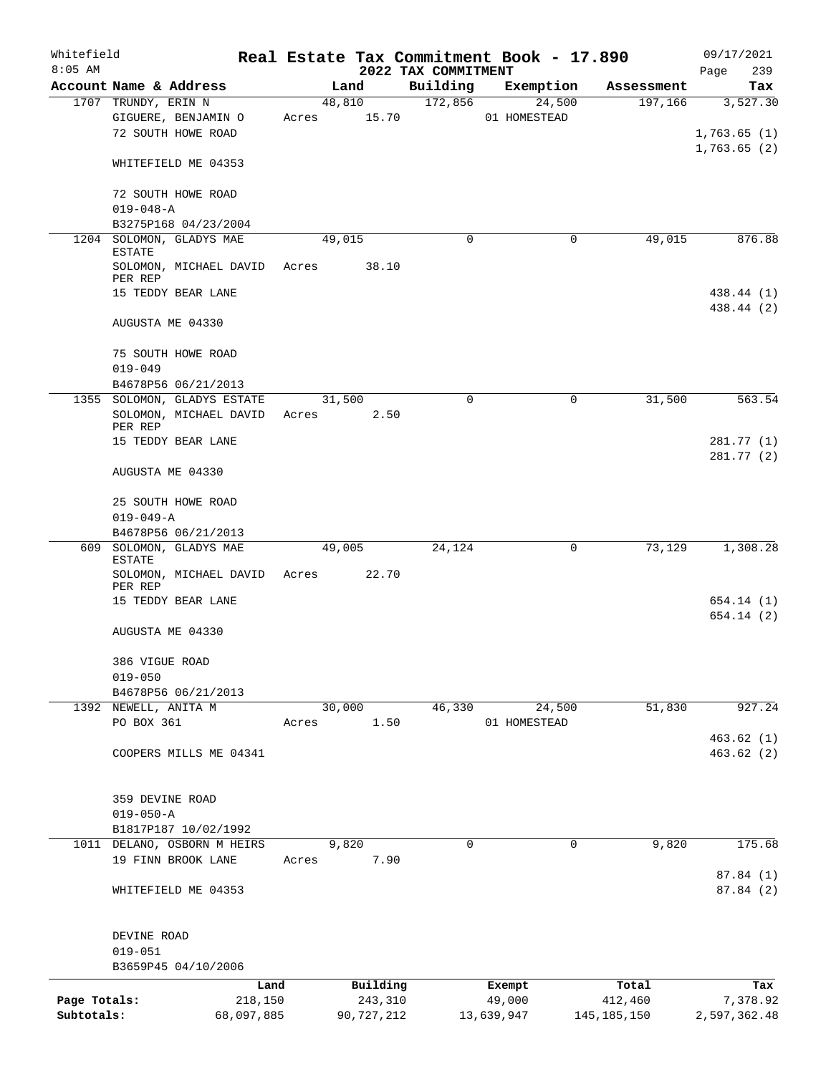| Whitefield<br>$8:05$ AM |                                           |            |       |            | 2022 TAX COMMITMENT | Real Estate Tax Commitment Book - 17.890 |               | 09/17/2021<br>239<br>Page  |
|-------------------------|-------------------------------------------|------------|-------|------------|---------------------|------------------------------------------|---------------|----------------------------|
|                         | Account Name & Address                    |            |       | Land       | Building            | Exemption                                | Assessment    | Tax                        |
|                         | 1707 TRUNDY, ERIN N                       |            |       | 48,810     | 172,856             | 24,500                                   | 197,166       | 3,527.30                   |
|                         | GIGUERE, BENJAMIN O<br>72 SOUTH HOWE ROAD |            | Acres | 15.70      |                     | 01 HOMESTEAD                             |               | 1,763.65(1)<br>1,763.65(2) |
|                         | WHITEFIELD ME 04353                       |            |       |            |                     |                                          |               |                            |
|                         | 72 SOUTH HOWE ROAD<br>$019 - 048 - A$     |            |       |            |                     |                                          |               |                            |
|                         | B3275P168 04/23/2004                      |            |       |            |                     |                                          |               |                            |
|                         | 1204 SOLOMON, GLADYS MAE<br><b>ESTATE</b> |            |       | 49,015     | $\Omega$            | 0                                        | 49,015        | 876.88                     |
|                         | SOLOMON, MICHAEL DAVID Acres<br>PER REP   |            |       | 38.10      |                     |                                          |               |                            |
|                         | 15 TEDDY BEAR LANE                        |            |       |            |                     |                                          |               | 438.44 (1)<br>438.44 (2)   |
|                         | AUGUSTA ME 04330                          |            |       |            |                     |                                          |               |                            |
|                         | 75 SOUTH HOWE ROAD<br>$019 - 049$         |            |       |            |                     |                                          |               |                            |
|                         | B4678P56 06/21/2013                       |            |       |            |                     |                                          |               |                            |
|                         | 1355 SOLOMON, GLADYS ESTATE               |            |       | 31,500     |                     | $\Omega$<br>0                            | 31,500        | 563.54                     |
|                         | SOLOMON, MICHAEL DAVID<br>PER REP         |            | Acres | 2.50       |                     |                                          |               |                            |
|                         | 15 TEDDY BEAR LANE                        |            |       |            |                     |                                          |               | 281.77 (1)<br>281.77 (2)   |
|                         | AUGUSTA ME 04330                          |            |       |            |                     |                                          |               |                            |
|                         | 25 SOUTH HOWE ROAD<br>$019 - 049 - A$     |            |       |            |                     |                                          |               |                            |
|                         | B4678P56 06/21/2013                       |            |       |            |                     |                                          |               |                            |
|                         | 609 SOLOMON, GLADYS MAE                   |            |       | 49,005     | 24,124              | $\mathbf 0$                              | 73,129        | 1,308.28                   |
|                         | <b>ESTATE</b><br>SOLOMON, MICHAEL DAVID   |            | Acres | 22.70      |                     |                                          |               |                            |
|                         | PER REP<br>15 TEDDY BEAR LANE             |            |       |            |                     |                                          |               | 654.14 (1)                 |
|                         | AUGUSTA ME 04330                          |            |       |            |                     |                                          |               | 654.14(2)                  |
|                         | 386 VIGUE ROAD                            |            |       |            |                     |                                          |               |                            |
|                         | $019 - 050$                               |            |       |            |                     |                                          |               |                            |
|                         | B4678P56 06/21/2013                       |            |       |            |                     |                                          |               |                            |
|                         | 1392 NEWELL, ANITA M                      |            |       | 30,000     | 46,330              | 24,500                                   | 51,830        | 927.24                     |
|                         | PO BOX 361                                |            | Acres |            | 1.50                | 01 HOMESTEAD                             |               |                            |
|                         | COOPERS MILLS ME 04341                    |            |       |            |                     |                                          |               | 463.62(1)<br>463.62(2)     |
|                         | 359 DEVINE ROAD                           |            |       |            |                     |                                          |               |                            |
|                         | $019 - 050 - A$                           |            |       |            |                     |                                          |               |                            |
|                         | B1817P187 10/02/1992                      |            |       |            |                     |                                          |               |                            |
|                         | 1011 DELANO, OSBORN M HEIRS               |            |       | 9,820      |                     | $\mathbf 0$<br>$\mathbf 0$               | 9,820         | 175.68                     |
|                         | 19 FINN BROOK LANE                        |            | Acres | 7.90       |                     |                                          |               | 87.84 (1)                  |
|                         | WHITEFIELD ME 04353                       |            |       |            |                     |                                          |               | 87.84 (2)                  |
|                         | DEVINE ROAD                               |            |       |            |                     |                                          |               |                            |
|                         | $019 - 051$                               |            |       |            |                     |                                          |               |                            |
|                         | B3659P45 04/10/2006                       |            |       |            |                     |                                          |               |                            |
|                         |                                           | Land       |       | Building   |                     | Exempt                                   | Total         | Tax                        |
| Page Totals:            |                                           | 218,150    |       | 243,310    |                     | 49,000                                   | 412,460       | 7,378.92                   |
| Subtotals:              |                                           | 68,097,885 |       | 90,727,212 |                     | 13,639,947                               | 145, 185, 150 | 2,597,362.48               |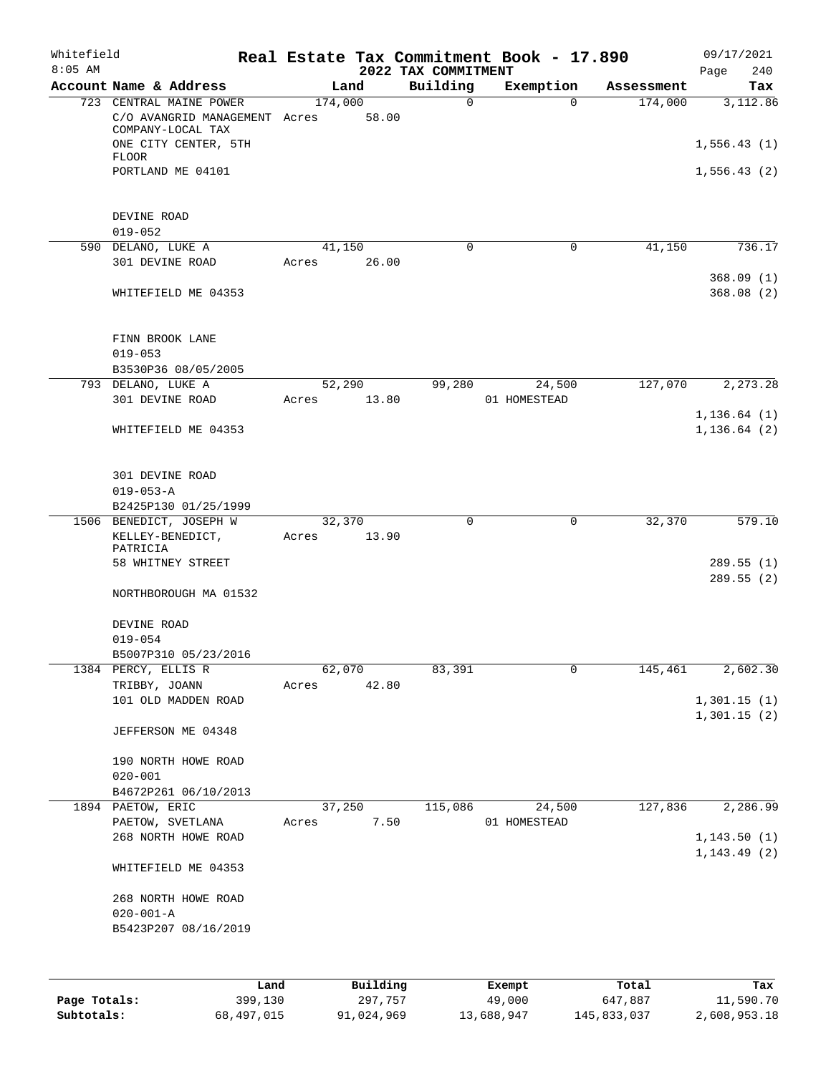| Whitefield<br>$8:05$ AM |                                                                                                       |         |                 | 2022 TAX COMMITMENT | Real Estate Tax Commitment Book - 17.890 |            | 09/17/2021<br>240<br>Page     |
|-------------------------|-------------------------------------------------------------------------------------------------------|---------|-----------------|---------------------|------------------------------------------|------------|-------------------------------|
|                         | Account Name & Address                                                                                |         | Land            | Building            | Exemption                                | Assessment | Tax                           |
|                         | 723 CENTRAL MAINE POWER<br>C/O AVANGRID MANAGEMENT Acres<br>COMPANY-LOCAL TAX<br>ONE CITY CENTER, 5TH | 174,000 | 58.00           | $\mathbf 0$         | $\Omega$                                 | 174,000    | 3,112.86<br>1,556.43(1)       |
|                         | <b>FLOOR</b><br>PORTLAND ME 04101<br>DEVINE ROAD                                                      |         |                 |                     |                                          |            | 1,556.43(2)                   |
|                         | $019 - 052$                                                                                           |         |                 |                     |                                          |            |                               |
|                         | 590 DELANO, LUKE A<br>301 DEVINE ROAD                                                                 | Acres   | 41,150<br>26.00 | 0                   | 0                                        | 41,150     | 736.17                        |
|                         | WHITEFIELD ME 04353                                                                                   |         |                 |                     |                                          |            | 368.09(1)<br>368.08(2)        |
|                         | FINN BROOK LANE<br>$019 - 053$<br>B3530P36 08/05/2005                                                 |         |                 |                     |                                          |            |                               |
|                         | 793 DELANO, LUKE A                                                                                    |         | 52,290          | 99,280              | 24,500                                   | 127,070    | 2,273.28                      |
|                         | 301 DEVINE ROAD                                                                                       | Acres   | 13.80           |                     | 01 HOMESTEAD                             |            |                               |
|                         | WHITEFIELD ME 04353                                                                                   |         |                 |                     |                                          |            | 1, 136.64(1)<br>1, 136.64 (2) |
|                         | 301 DEVINE ROAD<br>$019 - 053 - A$                                                                    |         |                 |                     |                                          |            |                               |
|                         | B2425P130 01/25/1999<br>1506 BENEDICT, JOSEPH W                                                       |         | 32,370          | 0                   | 0                                        | 32,370     | 579.10                        |
|                         | KELLEY-BENEDICT,<br>PATRICIA<br>58 WHITNEY STREET                                                     | Acres   | 13.90           |                     |                                          |            | 289.55(1)                     |
|                         | NORTHBOROUGH MA 01532                                                                                 |         |                 |                     |                                          |            | 289.55(2)                     |
|                         | DEVINE ROAD<br>$019 - 054$                                                                            |         |                 |                     |                                          |            |                               |
|                         | B5007P310 05/23/2016                                                                                  |         |                 |                     |                                          |            |                               |
|                         | 1384 PERCY, ELLIS R<br>TRIBBY, JOANN                                                                  | Acres   | 62,070<br>42.80 | 83,391              | 0                                        | 145,461    | 2,602.30                      |
|                         | 101 OLD MADDEN ROAD                                                                                   |         |                 |                     |                                          |            | 1,301.15(1)<br>1,301.15(2)    |
|                         | JEFFERSON ME 04348                                                                                    |         |                 |                     |                                          |            |                               |
|                         | 190 NORTH HOWE ROAD<br>$020 - 001$                                                                    |         |                 |                     |                                          |            |                               |
|                         | B4672P261 06/10/2013                                                                                  |         |                 |                     |                                          |            |                               |
|                         | 1894 PAETOW, ERIC<br>PAETOW, SVETLANA                                                                 | Acres   | 37,250<br>7.50  | 115,086             | 24,500<br>01 HOMESTEAD                   | 127,836    | 2,286.99                      |
|                         | 268 NORTH HOWE ROAD                                                                                   |         |                 |                     |                                          |            | 1, 143.50(1)<br>1, 143.49(2)  |
|                         | WHITEFIELD ME 04353                                                                                   |         |                 |                     |                                          |            |                               |
|                         | 268 NORTH HOWE ROAD<br>$020 - 001 - A$<br>B5423P207 08/16/2019                                        |         |                 |                     |                                          |            |                               |
|                         |                                                                                                       |         |                 |                     |                                          |            |                               |
|                         |                                                                                                       | Land    | Building        |                     | Exempt                                   | Total      | Tax                           |

|              | Lanu       | <b>BUILQING</b> | Lxempt     | TOLAT       | rax.         |
|--------------|------------|-----------------|------------|-------------|--------------|
| Page Totals: | 399,130    | 297.757         | 49,000     | 647,887     | 11,590.70    |
| Subtotals:   | 68,497,015 | 91,024,969      | 13,688,947 | 145,833,037 | 2,608,953.18 |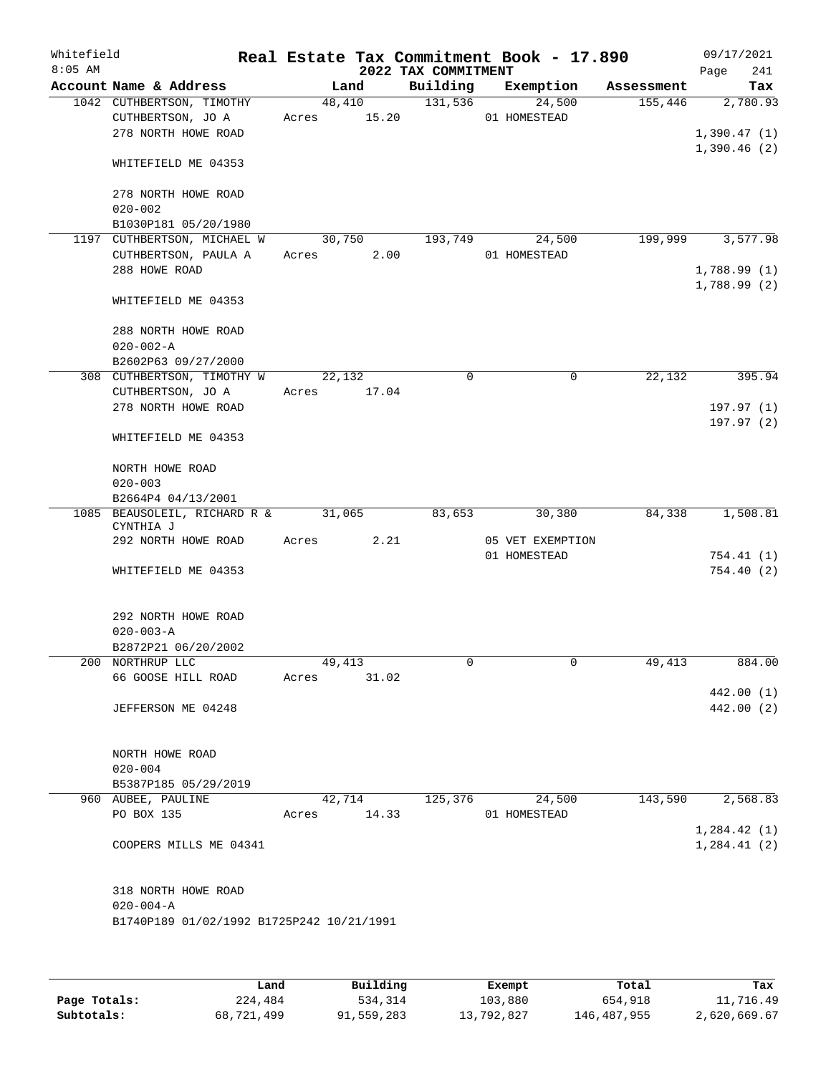| Whitefield<br>$8:05$ AM |                                                                             | Real Estate Tax Commitment Book - 17.890 | 2022 TAX COMMITMENT |                            |            | 09/17/2021<br>241<br>Page   |
|-------------------------|-----------------------------------------------------------------------------|------------------------------------------|---------------------|----------------------------|------------|-----------------------------|
|                         | Account Name & Address                                                      | Land                                     | Building            | Exemption                  | Assessment | Tax                         |
|                         | 1042 CUTHBERTSON, TIMOTHY<br>CUTHBERTSON, JO A<br>278 NORTH HOWE ROAD       | 48,410<br>15.20<br>Acres                 | 131,536             | 24,500<br>01 HOMESTEAD     | 155,446    | 2,780.93<br>1,390.47(1)     |
|                         | WHITEFIELD ME 04353                                                         |                                          |                     |                            |            | 1,390.46(2)                 |
|                         | 278 NORTH HOWE ROAD<br>$020 - 002$                                          |                                          |                     |                            |            |                             |
|                         | B1030P181 05/20/1980<br>1197 CUTHBERTSON, MICHAEL W<br>CUTHBERTSON, PAULA A | 30,750<br>2.00<br>Acres                  | 193,749             | 24,500<br>01 HOMESTEAD     | 199,999    | 3,577.98                    |
|                         | 288 HOWE ROAD                                                               |                                          |                     |                            |            | 1,788.99(1)<br>1,788.99(2)  |
|                         | WHITEFIELD ME 04353                                                         |                                          |                     |                            |            |                             |
|                         | 288 NORTH HOWE ROAD<br>$020 - 002 - A$<br>B2602P63 09/27/2000               |                                          |                     |                            |            |                             |
|                         | 308 CUTHBERTSON, TIMOTHY W                                                  | 22,132                                   | $\mathbf 0$         | $\mathbf 0$                | 22,132     | 395.94                      |
|                         | CUTHBERTSON, JO A<br>278 NORTH HOWE ROAD                                    | Acres<br>17.04                           |                     |                            |            | 197.97(1)                   |
|                         | WHITEFIELD ME 04353                                                         |                                          |                     |                            |            | 197.97(2)                   |
|                         | NORTH HOWE ROAD<br>$020 - 003$                                              |                                          |                     |                            |            |                             |
|                         | B2664P4 04/13/2001                                                          |                                          |                     |                            |            |                             |
|                         | 1085 BEAUSOLEIL, RICHARD R &<br>CYNTHIA J<br>292 NORTH HOWE ROAD            | 31,065<br>2.21<br>Acres                  | 83,653              | 30,380<br>05 VET EXEMPTION | 84,338     | 1,508.81                    |
|                         |                                                                             |                                          |                     | 01 HOMESTEAD               |            | 754.41(1)                   |
|                         | WHITEFIELD ME 04353                                                         |                                          |                     |                            |            | 754.40(2)                   |
|                         | 292 NORTH HOWE ROAD<br>$020 - 003 - A$                                      |                                          |                     |                            |            |                             |
|                         | B2872P21 06/20/2002                                                         |                                          |                     |                            |            |                             |
|                         | 200 NORTHRUP LLC<br>66 GOOSE HILL ROAD                                      | 49,413<br>Acres<br>31.02                 | 0                   | 0                          | 49,413     | 884.00<br>442.00 (1)        |
|                         | JEFFERSON ME 04248                                                          |                                          |                     |                            |            | 442.00 (2)                  |
|                         | NORTH HOWE ROAD<br>$020 - 004$                                              |                                          |                     |                            |            |                             |
|                         | B5387P185 05/29/2019                                                        |                                          |                     |                            |            |                             |
|                         | 960 AUBEE, PAULINE<br>PO BOX 135                                            | 42,714<br>14.33<br>Acres                 | 125,376             | 24,500<br>01 HOMESTEAD     | 143,590    | 2,568.83                    |
|                         | COOPERS MILLS ME 04341                                                      |                                          |                     |                            |            | 1,284.42(1)<br>1, 284.41(2) |
|                         | 318 NORTH HOWE ROAD<br>$020 - 004 - A$                                      |                                          |                     |                            |            |                             |
|                         | B1740P189 01/02/1992 B1725P242 10/21/1991                                   |                                          |                     |                            |            |                             |
|                         |                                                                             |                                          |                     |                            |            |                             |

|              | Land       | Building   | Exempt     | Total       | Tax          |
|--------------|------------|------------|------------|-------------|--------------|
| Page Totals: | 224,484    | 534,314    | 103,880    | 654,918     | 11,716.49    |
| Subtotals:   | 68,721,499 | 91,559,283 | 13,792,827 | 146,487,955 | 2,620,669.67 |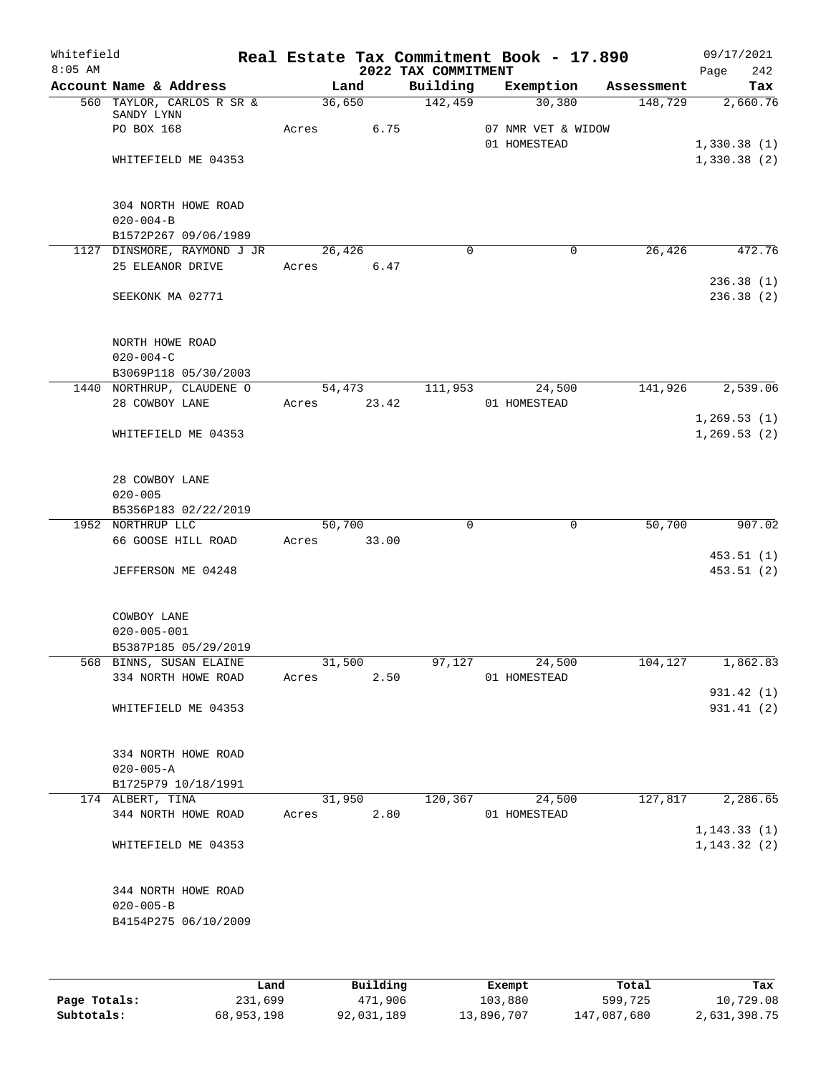| Whitefield<br>$8:05$ AM |                                         |       |        |             | 2022 TAX COMMITMENT | Real Estate Tax Commitment Book - 17.890 |            | 09/17/2021<br>242<br>Page |
|-------------------------|-----------------------------------------|-------|--------|-------------|---------------------|------------------------------------------|------------|---------------------------|
|                         | Account Name & Address                  |       | Land   |             | Building            | Exemption                                | Assessment | Tax                       |
|                         | 560 TAYLOR, CARLOS R SR &               |       | 36,650 |             | 142,459             | 30,380                                   | 148,729    | 2,660.76                  |
|                         | SANDY LYNN                              |       |        |             |                     |                                          |            |                           |
|                         | PO BOX 168                              | Acres |        | 6.75        |                     | 07 NMR VET & WIDOW                       |            |                           |
|                         |                                         |       |        |             |                     | 01 HOMESTEAD                             |            | 1,330.38(1)               |
|                         | WHITEFIELD ME 04353                     |       |        |             |                     |                                          |            | 1,330.38(2)               |
|                         |                                         |       |        |             |                     |                                          |            |                           |
|                         | 304 NORTH HOWE ROAD                     |       |        |             |                     |                                          |            |                           |
|                         | $020 - 004 - B$                         |       |        |             |                     |                                          |            |                           |
|                         | B1572P267 09/06/1989                    |       |        |             |                     |                                          |            |                           |
|                         | 1127 DINSMORE, RAYMOND J JR             |       | 26,426 |             | $\Omega$            | 0                                        | 26,426     | 472.76                    |
|                         | 25 ELEANOR DRIVE                        |       |        | Acres 6.47  |                     |                                          |            |                           |
|                         |                                         |       |        |             |                     |                                          |            | 236.38(1)                 |
|                         | SEEKONK MA 02771                        |       |        |             |                     |                                          |            | 236.38(2)                 |
|                         |                                         |       |        |             |                     |                                          |            |                           |
|                         |                                         |       |        |             |                     |                                          |            |                           |
|                         | NORTH HOWE ROAD                         |       |        |             |                     |                                          |            |                           |
|                         | $020 - 004 - C$<br>B3069P118 05/30/2003 |       |        |             |                     |                                          |            |                           |
|                         | 1440 NORTHRUP, CLAUDENE O               |       |        | 54,473      | 111,953             | 24,500                                   | 141,926    | 2,539.06                  |
|                         | 28 COWBOY LANE                          |       |        | Acres 23.42 |                     | 01 HOMESTEAD                             |            |                           |
|                         |                                         |       |        |             |                     |                                          |            | 1, 269.53(1)              |
|                         | WHITEFIELD ME 04353                     |       |        |             |                     |                                          |            | 1, 269.53(2)              |
|                         |                                         |       |        |             |                     |                                          |            |                           |
|                         |                                         |       |        |             |                     |                                          |            |                           |
|                         | 28 COWBOY LANE                          |       |        |             |                     |                                          |            |                           |
|                         | $020 - 005$                             |       |        |             |                     |                                          |            |                           |
|                         | B5356P183 02/22/2019                    |       |        |             |                     |                                          |            |                           |
|                         | 1952 NORTHRUP LLC<br>66 GOOSE HILL ROAD | Acres | 50,700 | 33.00       | $\Omega$            | 0                                        | 50,700     | 907.02                    |
|                         |                                         |       |        |             |                     |                                          |            | 453.51(1)                 |
|                         | JEFFERSON ME 04248                      |       |        |             |                     |                                          |            | 453.51(2)                 |
|                         |                                         |       |        |             |                     |                                          |            |                           |
|                         |                                         |       |        |             |                     |                                          |            |                           |
|                         | COWBOY LANE                             |       |        |             |                     |                                          |            |                           |
|                         | $020 - 005 - 001$                       |       |        |             |                     |                                          |            |                           |
|                         | B5387P185 05/29/2019                    |       |        |             |                     |                                          |            |                           |
|                         | 568 BINNS, SUSAN ELAINE                 |       | 31,500 |             | 97,127              | 24,500                                   | 104,127    | 1,862.83                  |
|                         | 334 NORTH HOWE ROAD                     | Acres |        | 2.50        |                     | 01 HOMESTEAD                             |            |                           |
|                         | WHITEFIELD ME 04353                     |       |        |             |                     |                                          |            | 931.42 (1)<br>931.41 (2)  |
|                         |                                         |       |        |             |                     |                                          |            |                           |
|                         |                                         |       |        |             |                     |                                          |            |                           |
|                         | 334 NORTH HOWE ROAD                     |       |        |             |                     |                                          |            |                           |
|                         | $020 - 005 - A$                         |       |        |             |                     |                                          |            |                           |
|                         | B1725P79 10/18/1991                     |       |        |             |                     |                                          |            |                           |
|                         | 174 ALBERT, TINA                        |       | 31,950 |             | 120,367             | 24,500                                   | 127,817    | 2,286.65                  |
|                         | 344 NORTH HOWE ROAD                     | Acres |        | 2.80        |                     | 01 HOMESTEAD                             |            |                           |
|                         |                                         |       |        |             |                     |                                          |            | 1, 143.33(1)              |
|                         | WHITEFIELD ME 04353                     |       |        |             |                     |                                          |            | 1, 143.32(2)              |
|                         |                                         |       |        |             |                     |                                          |            |                           |
|                         | 344 NORTH HOWE ROAD                     |       |        |             |                     |                                          |            |                           |
|                         | $020 - 005 - B$                         |       |        |             |                     |                                          |            |                           |
|                         | B4154P275 06/10/2009                    |       |        |             |                     |                                          |            |                           |
|                         |                                         |       |        |             |                     |                                          |            |                           |
|                         |                                         |       |        |             |                     |                                          |            |                           |
|                         |                                         |       |        |             |                     |                                          |            |                           |

|              | Land       | Building   | Exempt     | Total       | Tax          |
|--------------|------------|------------|------------|-------------|--------------|
| Page Totals: | 231,699    | 471,906    | 103,880    | 599,725     | 10,729.08    |
| Subtotals:   | 68,953,198 | 92,031,189 | 13,896,707 | 147,087,680 | 2,631,398.75 |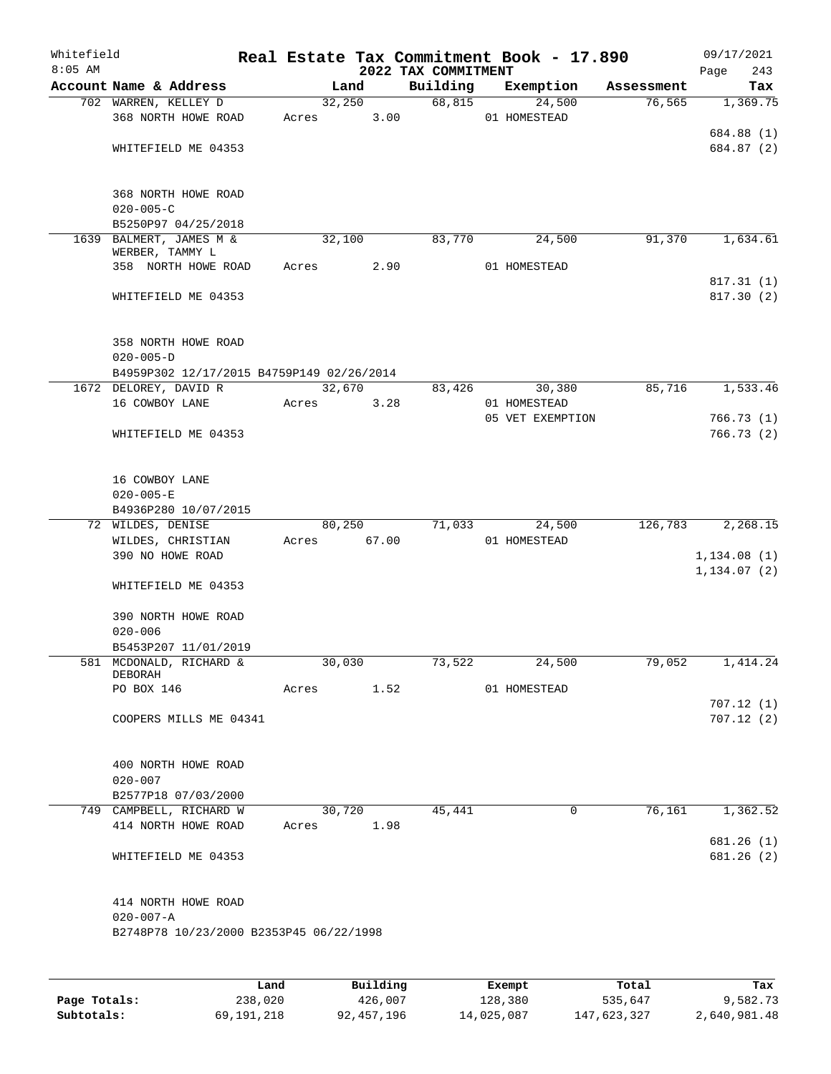| Whitefield<br>$8:05$ AM |                                           |       |        |       | 2022 TAX COMMITMENT | Real Estate Tax Commitment Book - 17.890 |            | 09/17/2021<br>243<br>Page   |
|-------------------------|-------------------------------------------|-------|--------|-------|---------------------|------------------------------------------|------------|-----------------------------|
|                         | Account Name & Address                    |       | Land   |       | Building            | Exemption                                | Assessment | Tax                         |
|                         | 702 WARREN, KELLEY D                      |       | 32,250 |       | 68,815              | 24,500                                   | 76, 565    | 1,369.75                    |
|                         | 368 NORTH HOWE ROAD                       | Acres |        | 3.00  |                     | 01 HOMESTEAD                             |            |                             |
|                         |                                           |       |        |       |                     |                                          |            | 684.88 (1)                  |
|                         | WHITEFIELD ME 04353                       |       |        |       |                     |                                          |            | 684.87 (2)                  |
|                         | 368 NORTH HOWE ROAD                       |       |        |       |                     |                                          |            |                             |
|                         | $020 - 005 - C$                           |       |        |       |                     |                                          |            |                             |
|                         | B5250P97 04/25/2018                       |       |        |       |                     |                                          |            |                             |
|                         | 1639 BALMERT, JAMES M &                   |       | 32,100 |       | 83,770              | 24,500                                   | 91,370     | 1,634.61                    |
|                         | WERBER, TAMMY L                           |       |        |       |                     |                                          |            |                             |
|                         | 358 NORTH HOWE ROAD                       | Acres |        | 2.90  |                     | 01 HOMESTEAD                             |            |                             |
|                         |                                           |       |        |       |                     |                                          |            | 817.31(1)<br>817.30 (2)     |
|                         | WHITEFIELD ME 04353                       |       |        |       |                     |                                          |            |                             |
|                         | 358 NORTH HOWE ROAD                       |       |        |       |                     |                                          |            |                             |
|                         | $020 - 005 - D$                           |       |        |       |                     |                                          |            |                             |
|                         | B4959P302 12/17/2015 B4759P149 02/26/2014 |       |        |       |                     |                                          |            |                             |
|                         | 1672 DELOREY, DAVID R                     |       | 32,670 |       | 83,426              | 30,380                                   | 85,716     | 1,533.46                    |
|                         | 16 COWBOY LANE                            | Acres |        | 3.28  |                     | 01 HOMESTEAD                             |            |                             |
|                         |                                           |       |        |       |                     | 05 VET EXEMPTION                         |            | 766.73(1)                   |
|                         | WHITEFIELD ME 04353                       |       |        |       |                     |                                          |            | 766.73(2)                   |
|                         |                                           |       |        |       |                     |                                          |            |                             |
|                         | 16 COWBOY LANE                            |       |        |       |                     |                                          |            |                             |
|                         | $020 - 005 - E$                           |       |        |       |                     |                                          |            |                             |
|                         | B4936P280 10/07/2015                      |       |        |       |                     |                                          |            |                             |
|                         | 72 WILDES, DENISE                         |       | 80,250 |       | 71,033              | 24,500                                   | 126,783    | 2,268.15                    |
|                         | WILDES, CHRISTIAN<br>390 NO HOWE ROAD     | Acres |        | 67.00 |                     | 01 HOMESTEAD                             |            |                             |
|                         |                                           |       |        |       |                     |                                          |            | 1,134.08(1)<br>1, 134.07(2) |
|                         | WHITEFIELD ME 04353                       |       |        |       |                     |                                          |            |                             |
|                         | 390 NORTH HOWE ROAD                       |       |        |       |                     |                                          |            |                             |
|                         | $020 - 006$                               |       |        |       |                     |                                          |            |                             |
|                         | B5453P207 11/01/2019                      |       |        |       |                     |                                          |            |                             |
|                         | 581 MCDONALD, RICHARD &                   |       | 30,030 |       | 73,522              | 24,500                                   | 79,052     | 1,414.24                    |
|                         | DEBORAH<br>PO BOX 146                     |       |        | 1.52  |                     | 01 HOMESTEAD                             |            |                             |
|                         |                                           | Acres |        |       |                     |                                          |            | 707.12(1)                   |
|                         | COOPERS MILLS ME 04341                    |       |        |       |                     |                                          |            | 707.12(2)                   |
|                         |                                           |       |        |       |                     |                                          |            |                             |
|                         | 400 NORTH HOWE ROAD                       |       |        |       |                     |                                          |            |                             |
|                         | $020 - 007$                               |       |        |       |                     |                                          |            |                             |
|                         | B2577P18 07/03/2000                       |       |        |       |                     |                                          |            |                             |
|                         | 749 CAMPBELL, RICHARD W                   |       | 30,720 |       | 45,441              | $\mathbf 0$                              | 76,161     | 1,362.52                    |
|                         | 414 NORTH HOWE ROAD                       | Acres |        | 1.98  |                     |                                          |            |                             |
|                         |                                           |       |        |       |                     |                                          |            | 681.26 (1)                  |
|                         | WHITEFIELD ME 04353                       |       |        |       |                     |                                          |            | 681.26 (2)                  |
|                         | 414 NORTH HOWE ROAD                       |       |        |       |                     |                                          |            |                             |
|                         | $020 - 007 - A$                           |       |        |       |                     |                                          |            |                             |
|                         | B2748P78 10/23/2000 B2353P45 06/22/1998   |       |        |       |                     |                                          |            |                             |
|                         |                                           |       |        |       |                     |                                          |            |                             |
|                         |                                           |       |        |       |                     |                                          |            |                             |
|                         |                                           |       |        |       |                     |                                          |            |                             |

|              | Land       | Building   | Exempt     | Total       | Tax          |
|--------------|------------|------------|------------|-------------|--------------|
| Page Totals: | 238,020    | 426,007    | 128,380    | 535,647     | 9,582.73     |
| Subtotals:   | 69,191,218 | 92,457,196 | 14,025,087 | 147,623,327 | 2,640,981.48 |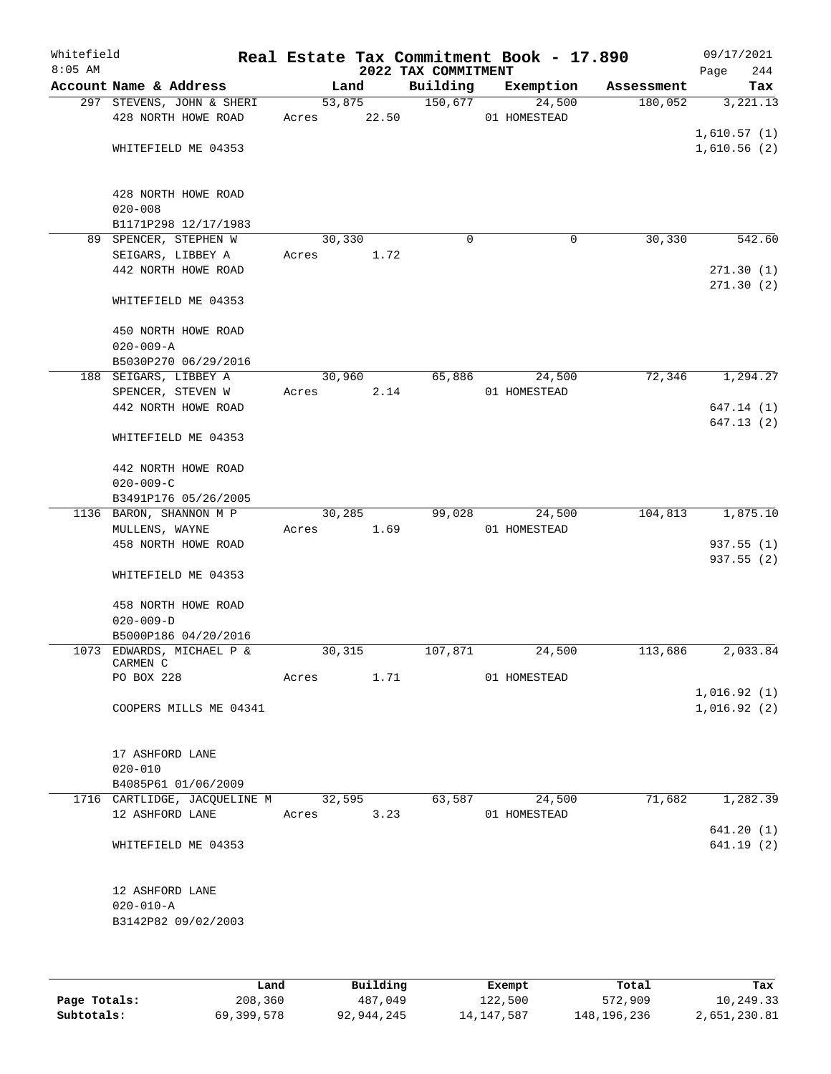| Whitefield<br>$8:05$ AM |                                                  |                 |        | 2022 TAX COMMITMENT | Real Estate Tax Commitment Book - 17.890 |             | 09/17/2021<br>244<br>Page  |
|-------------------------|--------------------------------------------------|-----------------|--------|---------------------|------------------------------------------|-------------|----------------------------|
|                         | Account Name & Address                           | Land            |        | Building            | Exemption                                | Assessment  | Tax                        |
|                         | 297 STEVENS, JOHN & SHERI<br>428 NORTH HOWE ROAD | Acres 22.50     | 53,875 | 150,677             | 24,500<br>01 HOMESTEAD                   | 180,052     | 3,221.13                   |
|                         | WHITEFIELD ME 04353                              |                 |        |                     |                                          |             | 1,610.57(1)<br>1,610.56(2) |
|                         | 428 NORTH HOWE ROAD<br>$020 - 008$               |                 |        |                     |                                          |             |                            |
|                         | B1171P298 12/17/1983                             |                 |        |                     |                                          |             |                            |
|                         | 89 SPENCER, STEPHEN W                            | 30,330          |        | $\Omega$            |                                          | 30,330<br>0 | 542.60                     |
|                         | SEIGARS, LIBBEY A                                | Acres           | 1.72   |                     |                                          |             |                            |
|                         | 442 NORTH HOWE ROAD                              |                 |        |                     |                                          |             | 271.30(1)<br>271.30(2)     |
|                         | WHITEFIELD ME 04353                              |                 |        |                     |                                          |             |                            |
|                         | 450 NORTH HOWE ROAD                              |                 |        |                     |                                          |             |                            |
|                         | $020 - 009 - A$                                  |                 |        |                     |                                          |             |                            |
|                         | B5030P270 06/29/2016                             |                 |        |                     |                                          |             |                            |
|                         | 188 SEIGARS, LIBBEY A                            |                 | 30,960 | 65,886              | 24,500                                   | 72,346      | 1,294.27                   |
|                         | SPENCER, STEVEN W                                | Acres           | 2.14   |                     | 01 HOMESTEAD                             |             |                            |
|                         | 442 NORTH HOWE ROAD                              |                 |        |                     |                                          |             | 647.14 (1)                 |
|                         | WHITEFIELD ME 04353                              |                 |        |                     |                                          |             | 647.13(2)                  |
|                         | 442 NORTH HOWE ROAD                              |                 |        |                     |                                          |             |                            |
|                         | $020 - 009 - C$                                  |                 |        |                     |                                          |             |                            |
|                         | B3491P176 05/26/2005                             |                 |        |                     |                                          |             |                            |
|                         | 1136 BARON, SHANNON M P                          |                 | 30,285 | 99,028              | 24,500                                   | 104,813     | 1,875.10                   |
|                         | MULLENS, WAYNE                                   | Acres           | 1.69   |                     | 01 HOMESTEAD                             |             |                            |
|                         | 458 NORTH HOWE ROAD                              |                 |        |                     |                                          |             | 937.55(1)                  |
|                         | WHITEFIELD ME 04353                              |                 |        |                     |                                          |             | 937.55(2)                  |
|                         | 458 NORTH HOWE ROAD                              |                 |        |                     |                                          |             |                            |
|                         | $020 - 009 - D$                                  |                 |        |                     |                                          |             |                            |
|                         | B5000P186 04/20/2016                             |                 |        |                     |                                          |             | 2,033.84                   |
|                         | 1073 EDWARDS, MICHAEL P &<br>CARMEN C            | 30,315          |        | 107,871             | 24,500                                   | 113,686     |                            |
|                         | PO BOX 228                                       | Acres           | 1.71   |                     | 01 HOMESTEAD                             |             |                            |
|                         |                                                  |                 |        |                     |                                          |             | 1,016.92(1)                |
|                         | COOPERS MILLS ME 04341                           |                 |        |                     |                                          |             | 1,016.92(2)                |
|                         |                                                  |                 |        |                     |                                          |             |                            |
|                         | 17 ASHFORD LANE                                  |                 |        |                     |                                          |             |                            |
|                         | $020 - 010$                                      |                 |        |                     |                                          |             |                            |
|                         | B4085P61 01/06/2009                              |                 |        |                     |                                          |             |                            |
|                         | 1716 CARTLIDGE, JACQUELINE M<br>12 ASHFORD LANE  | 32,595<br>Acres | 3.23   | 63,587              | 24,500<br>01 HOMESTEAD                   | 71,682      | 1,282.39                   |
|                         |                                                  |                 |        |                     |                                          |             | 641.20(1)                  |
|                         | WHITEFIELD ME 04353                              |                 |        |                     |                                          |             | 641.19(2)                  |
|                         | 12 ASHFORD LANE                                  |                 |        |                     |                                          |             |                            |
|                         | $020 - 010 - A$                                  |                 |        |                     |                                          |             |                            |
|                         | B3142P82 09/02/2003                              |                 |        |                     |                                          |             |                            |
|                         |                                                  |                 |        |                     |                                          |             |                            |
|                         |                                                  |                 |        |                     |                                          |             |                            |
|                         |                                                  |                 |        |                     |                                          |             |                            |

|              | Land       | Building   | Exempt       | Total       | Tax          |
|--------------|------------|------------|--------------|-------------|--------------|
| Page Totals: | 208,360    | 487,049    | 122,500      | 572,909     | 10,249.33    |
| Subtotals:   | 69,399,578 | 92,944,245 | 14, 147, 587 | 148,196,236 | 2,651,230.81 |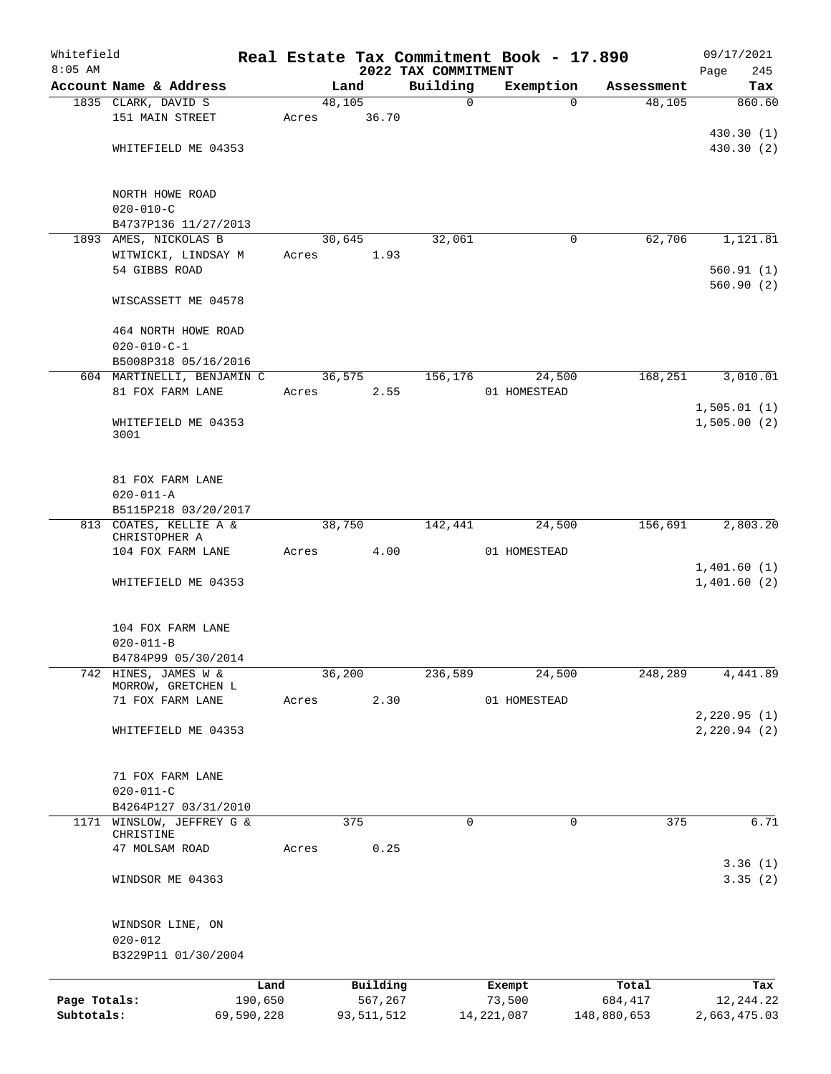| Whitefield<br>$8:05$ AM |                                                |            |       |            | 2022 TAX COMMITMENT | Real Estate Tax Commitment Book - 17.890 |             | 09/17/2021<br>Page<br>245 |
|-------------------------|------------------------------------------------|------------|-------|------------|---------------------|------------------------------------------|-------------|---------------------------|
|                         | Account Name & Address                         |            |       | Land       | Building            | Exemption                                | Assessment  | Tax                       |
|                         | 1835 CLARK, DAVID S                            |            |       | 48,105     | $\mathbf 0$         | $\Omega$                                 | 48,105      | 860.60                    |
|                         | 151 MAIN STREET                                |            | Acres | 36.70      |                     |                                          |             |                           |
|                         |                                                |            |       |            |                     |                                          |             | 430.30 (1)                |
|                         | WHITEFIELD ME 04353                            |            |       |            |                     |                                          |             | 430.30 (2)                |
|                         |                                                |            |       |            |                     |                                          |             |                           |
|                         |                                                |            |       |            |                     |                                          |             |                           |
|                         | NORTH HOWE ROAD                                |            |       |            |                     |                                          |             |                           |
|                         | $020 - 010 - C$                                |            |       |            |                     |                                          |             |                           |
|                         | B4737P136 11/27/2013                           |            |       |            |                     |                                          |             |                           |
|                         | 1893 AMES, NICKOLAS B                          |            |       | 30,645     | 32,061              | 0                                        | 62,706      | 1,121.81                  |
|                         | WITWICKI, LINDSAY M                            |            | Acres | 1.93       |                     |                                          |             |                           |
|                         | 54 GIBBS ROAD                                  |            |       |            |                     |                                          |             | 560.91(1)<br>560.90(2)    |
|                         | WISCASSETT ME 04578                            |            |       |            |                     |                                          |             |                           |
|                         |                                                |            |       |            |                     |                                          |             |                           |
|                         | 464 NORTH HOWE ROAD                            |            |       |            |                     |                                          |             |                           |
|                         | $020 - 010 - C - 1$                            |            |       |            |                     |                                          |             |                           |
|                         | B5008P318 05/16/2016                           |            |       |            | 156,176             | 24,500                                   | 168,251     | 3,010.01                  |
|                         | 604 MARTINELLI, BENJAMIN C<br>81 FOX FARM LANE |            |       | 36, 575    |                     | 01 HOMESTEAD                             |             |                           |
|                         |                                                |            | Acres | 2.55       |                     |                                          |             | 1,505.01(1)               |
|                         | WHITEFIELD ME 04353                            |            |       |            |                     |                                          |             | 1,505.00(2)               |
|                         | 3001                                           |            |       |            |                     |                                          |             |                           |
|                         |                                                |            |       |            |                     |                                          |             |                           |
|                         |                                                |            |       |            |                     |                                          |             |                           |
|                         | 81 FOX FARM LANE                               |            |       |            |                     |                                          |             |                           |
|                         | $020 - 011 - A$                                |            |       |            |                     |                                          |             |                           |
|                         | B5115P218 03/20/2017                           |            |       |            |                     |                                          |             |                           |
|                         | 813 COATES, KELLIE A &<br>CHRISTOPHER A        |            |       | 38,750     | 142,441             | 24,500                                   | 156,691     | 2,803.20                  |
|                         | 104 FOX FARM LANE                              |            | Acres | 4.00       |                     | 01 HOMESTEAD                             |             |                           |
|                         |                                                |            |       |            |                     |                                          |             | 1,401.60(1)               |
|                         | WHITEFIELD ME 04353                            |            |       |            |                     |                                          |             | 1,401.60(2)               |
|                         |                                                |            |       |            |                     |                                          |             |                           |
|                         |                                                |            |       |            |                     |                                          |             |                           |
|                         | 104 FOX FARM LANE                              |            |       |            |                     |                                          |             |                           |
|                         | $020 - 011 - B$                                |            |       |            |                     |                                          |             |                           |
|                         | B4784P99 05/30/2014                            |            |       |            |                     |                                          |             |                           |
| 742                     | HINES, JAMES W &<br>MORROW, GRETCHEN L         |            |       | 36,200     | 236,589             | 24,500                                   | 248,289     | 4,441.89                  |
|                         | 71 FOX FARM LANE                               |            | Acres | 2.30       |                     | 01 HOMESTEAD                             |             |                           |
|                         |                                                |            |       |            |                     |                                          |             | 2, 220.95(1)              |
|                         | WHITEFIELD ME 04353                            |            |       |            |                     |                                          |             | 2,220.94(2)               |
|                         |                                                |            |       |            |                     |                                          |             |                           |
|                         |                                                |            |       |            |                     |                                          |             |                           |
|                         | 71 FOX FARM LANE                               |            |       |            |                     |                                          |             |                           |
|                         | $020 - 011 - C$                                |            |       |            |                     |                                          |             |                           |
|                         | B4264P127 03/31/2010                           |            |       |            |                     |                                          |             |                           |
|                         | 1171 WINSLOW, JEFFREY G &<br>CHRISTINE         |            |       | 375        | $\mathbf 0$         | 0                                        | 375         | 6.71                      |
|                         | 47 MOLSAM ROAD                                 |            | Acres | 0.25       |                     |                                          |             |                           |
|                         |                                                |            |       |            |                     |                                          |             | 3.36(1)                   |
|                         | WINDSOR ME 04363                               |            |       |            |                     |                                          |             | 3.35(2)                   |
|                         |                                                |            |       |            |                     |                                          |             |                           |
|                         |                                                |            |       |            |                     |                                          |             |                           |
|                         | WINDSOR LINE, ON                               |            |       |            |                     |                                          |             |                           |
|                         | $020 - 012$                                    |            |       |            |                     |                                          |             |                           |
|                         | B3229P11 01/30/2004                            |            |       |            |                     |                                          |             |                           |
|                         |                                                | Land       |       | Building   |                     | Exempt                                   | Total       | Tax                       |
| Page Totals:            |                                                | 190,650    |       | 567,267    |                     | 73,500                                   | 684,417     | 12,244.22                 |
| Subtotals:              |                                                | 69,590,228 |       | 93,511,512 |                     | 14, 221, 087                             | 148,880,653 | 2,663,475.03              |
|                         |                                                |            |       |            |                     |                                          |             |                           |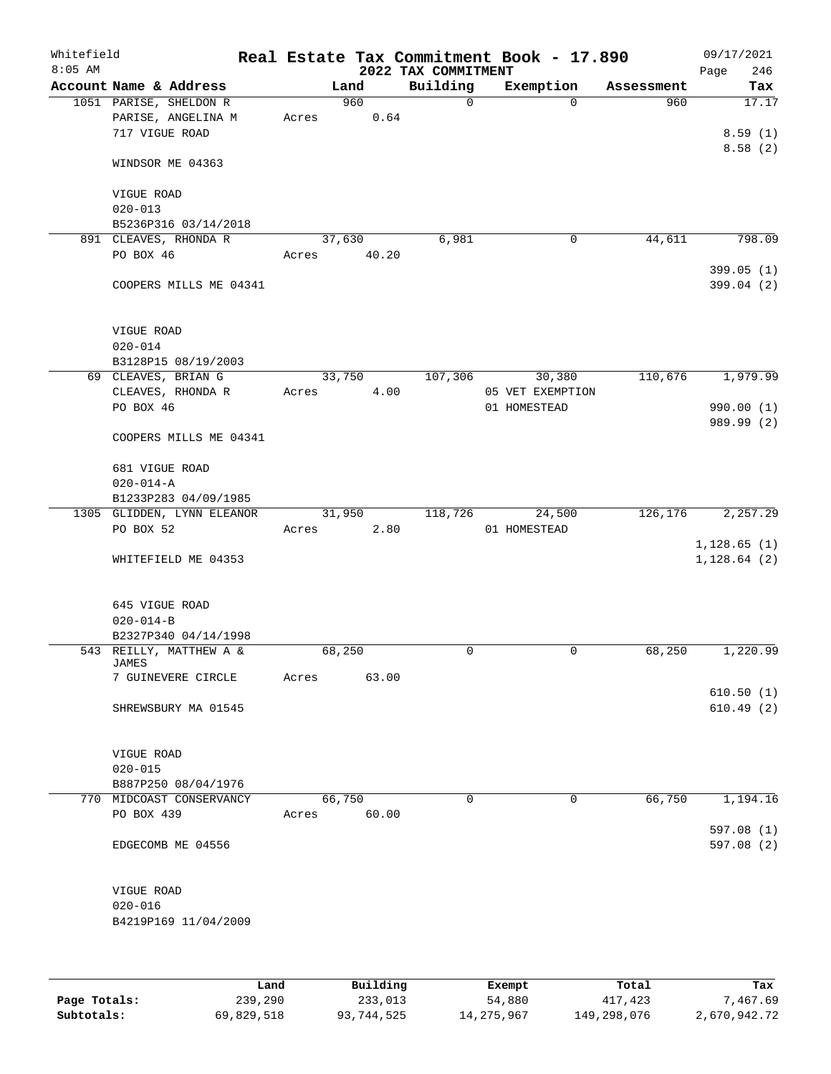| Whitefield<br>$8:05$ AM |                                                                |      |       |        |             | 2022 TAX COMMITMENT | Real Estate Tax Commitment Book - 17.890 |            | 09/17/2021<br>Page<br>246    |
|-------------------------|----------------------------------------------------------------|------|-------|--------|-------------|---------------------|------------------------------------------|------------|------------------------------|
|                         | Account Name & Address                                         |      |       | Land   |             | Building            | Exemption                                | Assessment | Tax                          |
|                         | 1051 PARISE, SHELDON R<br>PARISE, ANGELINA M<br>717 VIGUE ROAD |      | Acres |        | 960<br>0.64 | $\mathsf{O}$        | $\Omega$                                 | 960        | 17.17<br>8.59(1)             |
|                         | WINDSOR ME 04363                                               |      |       |        |             |                     |                                          |            | 8.58(2)                      |
|                         | VIGUE ROAD<br>$020 - 013$                                      |      |       |        |             |                     |                                          |            |                              |
|                         | B5236P316 03/14/2018                                           |      |       |        |             |                     |                                          |            |                              |
|                         | 891 CLEAVES, RHONDA R                                          |      |       | 37,630 |             | 6,981               | $\mathsf{O}$                             | 44,611     | 798.09                       |
|                         | PO BOX 46                                                      |      | Acres |        | 40.20       |                     |                                          |            |                              |
|                         | COOPERS MILLS ME 04341                                         |      |       |        |             |                     |                                          |            | 399.05(1)<br>399.04 (2)      |
|                         | VIGUE ROAD<br>$020 - 014$                                      |      |       |        |             |                     |                                          |            |                              |
|                         | B3128P15 08/19/2003                                            |      |       |        |             |                     |                                          |            |                              |
|                         | 69 CLEAVES, BRIAN G                                            |      |       | 33,750 |             | 107,306             | 30,380                                   | 110,676    | 1,979.99                     |
|                         | CLEAVES, RHONDA R                                              |      | Acres |        | 4.00        |                     | 05 VET EXEMPTION                         |            |                              |
|                         | PO BOX 46                                                      |      |       |        |             |                     | 01 HOMESTEAD                             |            | 990.00 (1)                   |
|                         | COOPERS MILLS ME 04341                                         |      |       |        |             |                     |                                          |            | 989.99 (2)                   |
|                         | 681 VIGUE ROAD                                                 |      |       |        |             |                     |                                          |            |                              |
|                         | $020 - 014 - A$                                                |      |       |        |             |                     |                                          |            |                              |
|                         | B1233P283 04/09/1985                                           |      |       |        |             |                     |                                          |            |                              |
|                         | 1305 GLIDDEN, LYNN ELEANOR                                     |      |       | 31,950 |             | 118,726             | 24,500                                   | 126, 176   | 2,257.29                     |
|                         | PO BOX 52                                                      |      | Acres |        | 2.80        |                     | 01 HOMESTEAD                             |            |                              |
|                         | WHITEFIELD ME 04353                                            |      |       |        |             |                     |                                          |            | 1, 128.65(1)<br>1, 128.64(2) |
|                         | 645 VIGUE ROAD                                                 |      |       |        |             |                     |                                          |            |                              |
|                         | $020 - 014 - B$                                                |      |       |        |             |                     |                                          |            |                              |
|                         | B2327P340 04/14/1998                                           |      |       |        |             |                     |                                          |            |                              |
|                         | 543 REILLY, MATTHEW A &<br>JAMES<br>7 GUINEVERE CIRCLE         |      | Acres | 68,250 | 63.00       | 0                   | $\mathsf{O}$                             | 68,250     | 1,220.99                     |
|                         | SHREWSBURY MA 01545                                            |      |       |        |             |                     |                                          |            | 610.50(1)<br>610.49(2)       |
|                         |                                                                |      |       |        |             |                     |                                          |            |                              |
|                         | VIGUE ROAD                                                     |      |       |        |             |                     |                                          |            |                              |
|                         | $020 - 015$                                                    |      |       |        |             |                     |                                          |            |                              |
|                         | B887P250 08/04/1976                                            |      |       |        |             |                     |                                          |            |                              |
|                         | 770 MIDCOAST CONSERVANCY                                       |      |       | 66,750 |             | $\Omega$            | $\Omega$                                 | 66,750     | 1,194.16                     |
|                         | PO BOX 439                                                     |      | Acres |        | 60.00       |                     |                                          |            | 597.08(1)                    |
|                         | EDGECOMB ME 04556                                              |      |       |        |             |                     |                                          |            | 597.08 (2)                   |
|                         | VIGUE ROAD                                                     |      |       |        |             |                     |                                          |            |                              |
|                         | $020 - 016$                                                    |      |       |        |             |                     |                                          |            |                              |
|                         | B4219P169 11/04/2009                                           |      |       |        |             |                     |                                          |            |                              |
|                         |                                                                |      |       |        |             |                     |                                          |            |                              |
|                         |                                                                | Land |       |        | Building    |                     | Exempt                                   | Total      | Tax                          |

|              | Land       | Building   | Exempt       | Total       | Tax          |
|--------------|------------|------------|--------------|-------------|--------------|
| Page Totals: | 239,290    | 233,013    | 54,880       | 417,423     | 7,467.69     |
| Subtotals:   | 69,829,518 | 93,744,525 | 14, 275, 967 | 149,298,076 | 2,670,942.72 |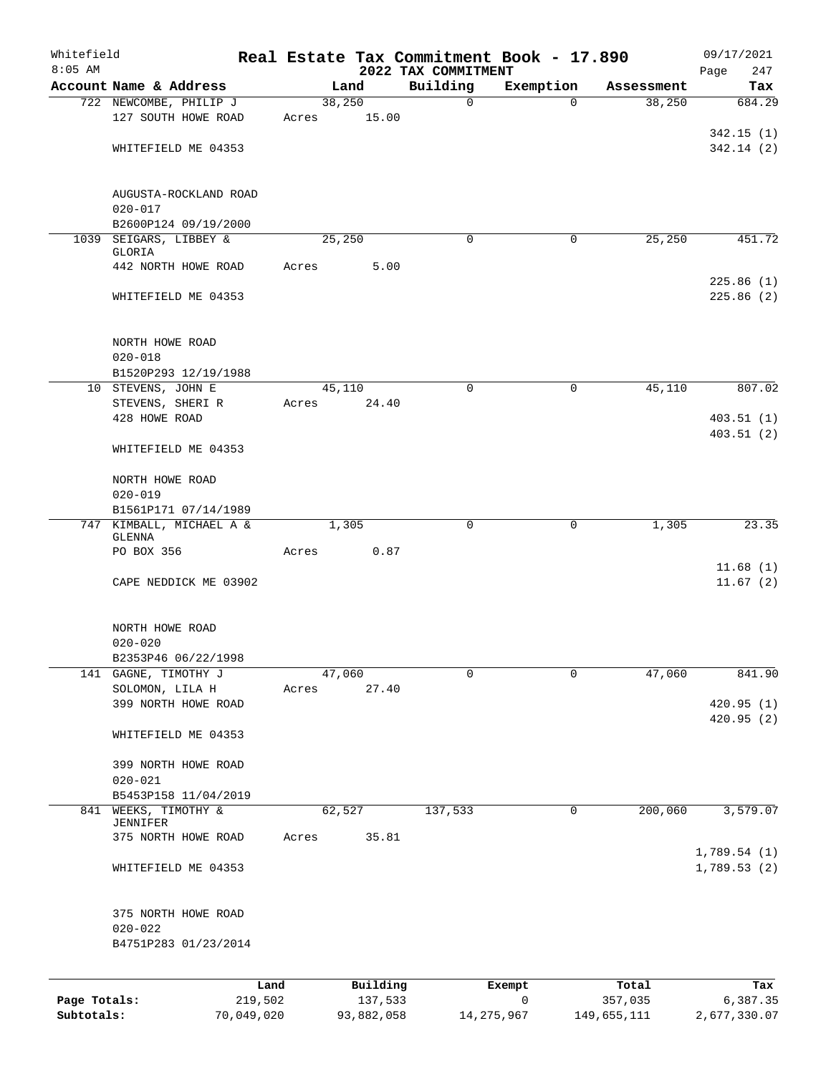| Whitefield   |                                        |            |       |            |                                 | Real Estate Tax Commitment Book - 17.890 |             | 09/17/2021             |
|--------------|----------------------------------------|------------|-------|------------|---------------------------------|------------------------------------------|-------------|------------------------|
| $8:05$ AM    | Account Name & Address                 |            |       | Land       | 2022 TAX COMMITMENT<br>Building | Exemption                                | Assessment  | 247<br>Page<br>Tax     |
|              | 722 NEWCOMBE, PHILIP J                 |            |       | 38,250     | $\mathbf 0$                     | $\Omega$                                 | 38,250      | 684.29                 |
|              | 127 SOUTH HOWE ROAD                    |            | Acres | 15.00      |                                 |                                          |             |                        |
|              |                                        |            |       |            |                                 |                                          |             | 342.15(1)              |
|              | WHITEFIELD ME 04353                    |            |       |            |                                 |                                          |             | 342.14(2)              |
|              | AUGUSTA-ROCKLAND ROAD                  |            |       |            |                                 |                                          |             |                        |
|              | $020 - 017$                            |            |       |            |                                 |                                          |             |                        |
|              | B2600P124 09/19/2000                   |            |       | 25,250     | $\Omega$                        | 0                                        | 25,250      | 451.72                 |
| 1039         | SEIGARS, LIBBEY &<br>GLORIA            |            |       |            |                                 |                                          |             |                        |
|              | 442 NORTH HOWE ROAD                    |            | Acres | 5.00       |                                 |                                          |             |                        |
|              | WHITEFIELD ME 04353                    |            |       |            |                                 |                                          |             | 225.86(1)<br>225.86(2) |
|              | NORTH HOWE ROAD                        |            |       |            |                                 |                                          |             |                        |
|              | $020 - 018$                            |            |       |            |                                 |                                          |             |                        |
|              | B1520P293 12/19/1988                   |            |       |            |                                 |                                          |             |                        |
|              | 10 STEVENS, JOHN E                     |            |       | 45,110     | $\mathbf 0$                     | 0                                        | 45,110      | 807.02                 |
|              | STEVENS, SHERI R<br>428 HOWE ROAD      |            | Acres | 24.40      |                                 |                                          |             | 403.51(1)              |
|              |                                        |            |       |            |                                 |                                          |             | 403.51 (2)             |
|              | WHITEFIELD ME 04353                    |            |       |            |                                 |                                          |             |                        |
|              | NORTH HOWE ROAD                        |            |       |            |                                 |                                          |             |                        |
|              | $020 - 019$<br>B1561P171 07/14/1989    |            |       |            |                                 |                                          |             |                        |
|              | 747 KIMBALL, MICHAEL A &               |            |       | 1,305      | 0                               | 0                                        | 1,305       | 23.35                  |
|              | GLENNA                                 |            |       |            |                                 |                                          |             |                        |
|              | PO BOX 356                             |            | Acres | 0.87       |                                 |                                          |             | 11.68(1)               |
|              | CAPE NEDDICK ME 03902                  |            |       |            |                                 |                                          |             | 11.67(2)               |
|              | NORTH HOWE ROAD                        |            |       |            |                                 |                                          |             |                        |
|              | $020 - 020$                            |            |       |            |                                 |                                          |             |                        |
|              | B2353P46 06/22/1998                    |            |       |            |                                 |                                          |             |                        |
| 141          | GAGNE, TIMOTHY J                       |            |       | 47,060     | 0                               | 0                                        | 47,060      | 841.90                 |
|              | SOLOMON, LILA H<br>399 NORTH HOWE ROAD |            | Acres | 27.40      |                                 |                                          |             | 420.95 (1)             |
|              |                                        |            |       |            |                                 |                                          |             | 420.95 (2)             |
|              | WHITEFIELD ME 04353                    |            |       |            |                                 |                                          |             |                        |
|              | 399 NORTH HOWE ROAD                    |            |       |            |                                 |                                          |             |                        |
|              | $020 - 021$                            |            |       |            |                                 |                                          |             |                        |
|              | B5453P158 11/04/2019                   |            |       |            |                                 |                                          |             |                        |
| 841          | WEEKS, TIMOTHY &<br>JENNIFER           |            |       | 62,527     | 137,533                         | 0                                        | 200,060     | 3,579.07               |
|              | 375 NORTH HOWE ROAD                    |            | Acres | 35.81      |                                 |                                          |             |                        |
|              |                                        |            |       |            |                                 |                                          |             | 1,789.54(1)            |
|              | WHITEFIELD ME 04353                    |            |       |            |                                 |                                          |             | 1,789.53(2)            |
|              | 375 NORTH HOWE ROAD                    |            |       |            |                                 |                                          |             |                        |
|              | $020 - 022$                            |            |       |            |                                 |                                          |             |                        |
|              | B4751P283 01/23/2014                   |            |       |            |                                 |                                          |             |                        |
|              |                                        | Land       |       | Building   |                                 | Exempt                                   | Total       | Tax                    |
| Page Totals: |                                        | 219,502    |       | 137,533    |                                 | 0                                        | 357,035     | 6,387.35               |
| Subtotals:   |                                        | 70,049,020 |       | 93,882,058 |                                 | 14, 275, 967                             | 149,655,111 | 2,677,330.07           |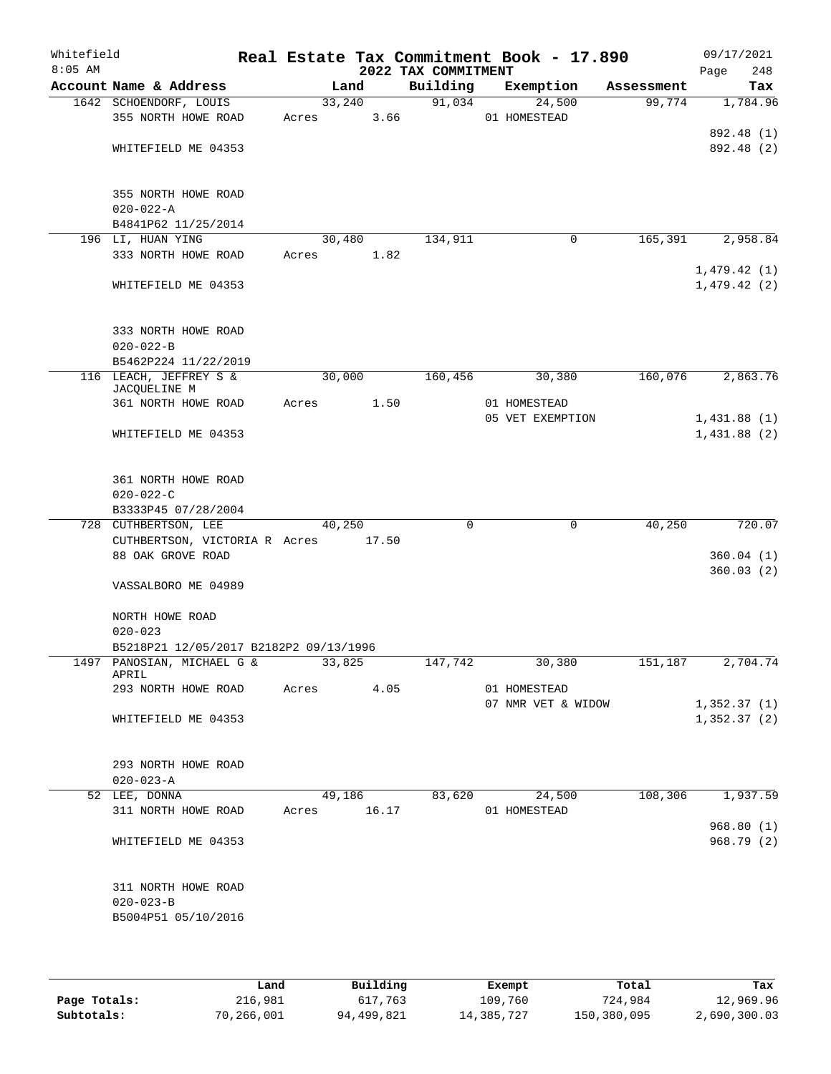| Whitefield<br>$8:05$ AM |                                                               |       |         | 2022 TAX COMMITMENT | Real Estate Tax Commitment Book - 17.890 |            | 09/17/2021<br>248<br>Page |
|-------------------------|---------------------------------------------------------------|-------|---------|---------------------|------------------------------------------|------------|---------------------------|
|                         | Account Name & Address                                        |       | Land    | Building            | Exemption                                | Assessment | Tax                       |
|                         | 1642 SCHOENDORF, LOUIS                                        |       | 33,240  | 91,034              | 24,500                                   | 99,774     | 1,784.96                  |
|                         | 355 NORTH HOWE ROAD                                           | Acres | 3.66    |                     | 01 HOMESTEAD                             |            |                           |
|                         |                                                               |       |         |                     |                                          |            | 892.48 (1)                |
|                         | WHITEFIELD ME 04353                                           |       |         |                     |                                          |            | 892.48 (2)                |
|                         | 355 NORTH HOWE ROAD                                           |       |         |                     |                                          |            |                           |
|                         | $020 - 022 - A$                                               |       |         |                     |                                          |            |                           |
|                         | B4841P62 11/25/2014                                           |       |         |                     |                                          |            |                           |
|                         | 196 LI, HUAN YING                                             |       | 30,480  | 134,911             | 0                                        | 165,391    | 2,958.84                  |
|                         | 333 NORTH HOWE ROAD                                           | Acres | 1.82    |                     |                                          |            | 1,479.42(1)               |
|                         | WHITEFIELD ME 04353                                           |       |         |                     |                                          |            | 1,479.42(2)               |
|                         | 333 NORTH HOWE ROAD                                           |       |         |                     |                                          |            |                           |
|                         | $020 - 022 - B$                                               |       |         |                     |                                          |            |                           |
|                         | B5462P224 11/22/2019                                          |       |         |                     |                                          |            |                           |
|                         | 116 LEACH, JEFFREY S &                                        |       | 30,000  | 160,456             | 30,380                                   | 160,076    | 2,863.76                  |
|                         | JACQUELINE M<br>361 NORTH HOWE ROAD                           |       | 1.50    |                     | 01 HOMESTEAD                             |            |                           |
|                         |                                                               | Acres |         |                     | 05 VET EXEMPTION                         |            | 1,431.88(1)               |
|                         | WHITEFIELD ME 04353                                           |       |         |                     |                                          |            | 1,431.88(2)               |
|                         | 361 NORTH HOWE ROAD<br>$020 - 022 - C$<br>B3333P45 07/28/2004 |       |         |                     |                                          |            |                           |
|                         | 728 CUTHBERTSON, LEE                                          |       | 40,250  | $\mathbf 0$         | $\mathbf 0$                              | 40,250     | 720.07                    |
|                         | CUTHBERTSON, VICTORIA R Acres 17.50                           |       |         |                     |                                          |            |                           |
|                         | 88 OAK GROVE ROAD                                             |       |         |                     |                                          |            | 360.04(1)<br>360.03(2)    |
|                         | VASSALBORO ME 04989                                           |       |         |                     |                                          |            |                           |
|                         | NORTH HOWE ROAD<br>$020 - 023$                                |       |         |                     |                                          |            |                           |
|                         | B5218P21 12/05/2017 B2182P2 09/13/1996                        |       |         |                     |                                          |            |                           |
|                         | 1497 PANOSIAN, MICHAEL G &<br>APRIL                           |       | 33, 825 | 147,742             | 30,380                                   | 151, 187   | 2,704.74                  |
|                         | 293 NORTH HOWE ROAD                                           | Acres | 4.05    |                     | 01 HOMESTEAD                             |            |                           |
|                         |                                                               |       |         |                     | 07 NMR VET & WIDOW                       |            | 1,352.37(1)               |
|                         | WHITEFIELD ME 04353                                           |       |         |                     |                                          |            | 1,352.37(2)               |
|                         | 293 NORTH HOWE ROAD                                           |       |         |                     |                                          |            |                           |
|                         | $020 - 023 - A$                                               |       |         |                     |                                          |            |                           |
|                         | 52 LEE, DONNA                                                 |       | 49,186  | 83,620              | 24,500                                   | 108,306    | 1,937.59                  |
|                         | 311 NORTH HOWE ROAD                                           | Acres | 16.17   |                     | 01 HOMESTEAD                             |            |                           |
|                         |                                                               |       |         |                     |                                          |            | 968.80(1)                 |
|                         | WHITEFIELD ME 04353                                           |       |         |                     |                                          |            | 968.79 (2)                |
|                         | 311 NORTH HOWE ROAD                                           |       |         |                     |                                          |            |                           |
|                         | $020 - 023 - B$                                               |       |         |                     |                                          |            |                           |
|                         | B5004P51 05/10/2016                                           |       |         |                     |                                          |            |                           |
|                         |                                                               |       |         |                     |                                          |            |                           |

|              | Land       | Building   | Exempt     | Total       | Tax          |
|--------------|------------|------------|------------|-------------|--------------|
| Page Totals: | 216,981    | 617,763    | 109,760    | 724,984     | 12,969.96    |
| Subtotals:   | 70,266,001 | 94,499,821 | 14,385,727 | 150,380,095 | 2,690,300.03 |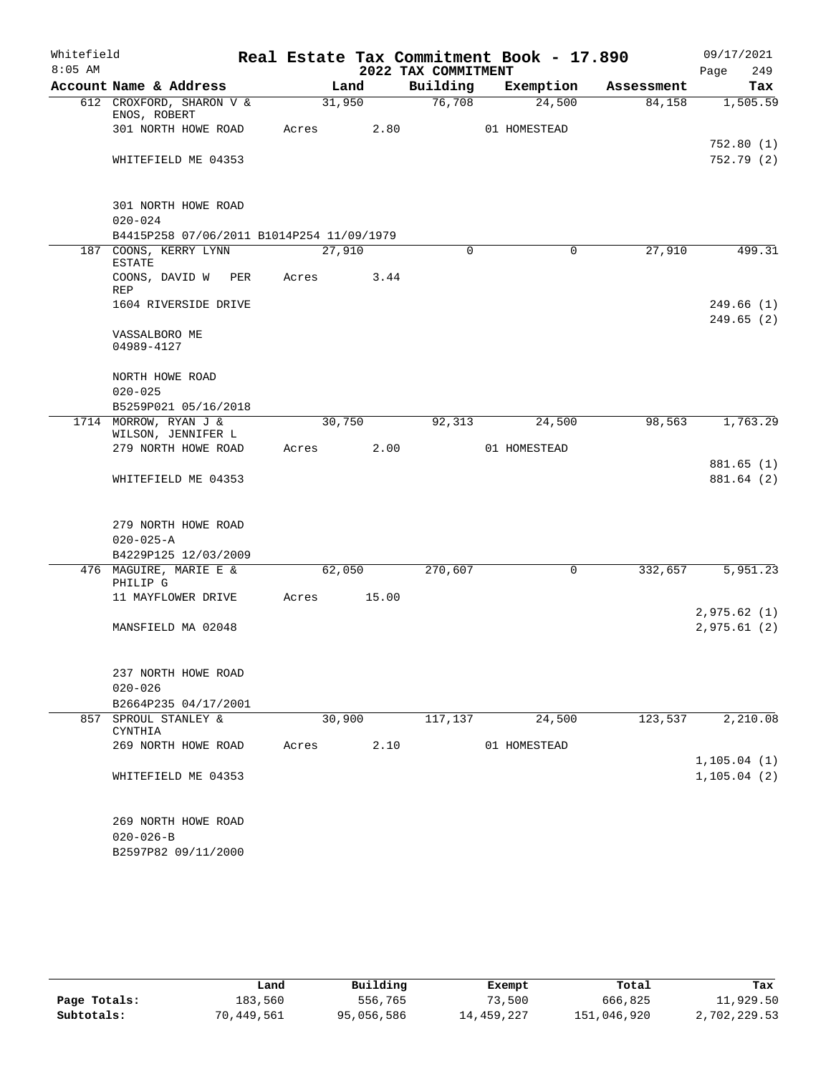| Whitefield |                                                                |       |        |                     | Real Estate Tax Commitment Book - 17.890 |            | 09/17/2021                   |
|------------|----------------------------------------------------------------|-------|--------|---------------------|------------------------------------------|------------|------------------------------|
| $8:05$ AM  |                                                                |       |        | 2022 TAX COMMITMENT |                                          |            | 249<br>Page                  |
|            | Account Name & Address                                         |       | Land   | Building            | Exemption                                | Assessment | Tax                          |
|            | 612 CROXFORD, SHARON V &<br>ENOS, ROBERT                       |       | 31,950 | 76,708              | 24,500                                   | 84,158     | 1,505.59                     |
|            | 301 NORTH HOWE ROAD                                            | Acres | 2.80   |                     | 01 HOMESTEAD                             |            |                              |
|            | WHITEFIELD ME 04353                                            |       |        |                     |                                          |            | 752.80(1)<br>752.79(2)       |
|            | 301 NORTH HOWE ROAD<br>$020 - 024$                             |       |        |                     |                                          |            |                              |
|            | B4415P258 07/06/2011 B1014P254 11/09/1979                      |       |        |                     |                                          |            |                              |
|            | 187 COONS, KERRY LYNN<br><b>ESTATE</b>                         |       | 27,910 | $\Omega$            | $\Omega$                                 | 27,910     | 499.31                       |
|            | COONS, DAVID W<br>PER<br>REP                                   | Acres | 3.44   |                     |                                          |            |                              |
|            | 1604 RIVERSIDE DRIVE                                           |       |        |                     |                                          |            | 249.66(1)                    |
|            | VASSALBORO ME<br>04989-4127                                    |       |        |                     |                                          |            | 249.65(2)                    |
|            | NORTH HOWE ROAD<br>$020 - 025$                                 |       |        |                     |                                          |            |                              |
|            | B5259P021 05/16/2018                                           |       |        |                     |                                          |            |                              |
|            | 1714 MORROW, RYAN J &<br>WILSON, JENNIFER L                    |       | 30,750 | 92,313              | 24,500                                   | 98,563     | 1,763.29                     |
|            | 279 NORTH HOWE ROAD                                            | Acres | 2.00   |                     | 01 HOMESTEAD                             |            |                              |
|            | WHITEFIELD ME 04353                                            |       |        |                     |                                          |            | 881.65(1)<br>881.64 (2)      |
|            | 279 NORTH HOWE ROAD<br>$020 - 025 - A$<br>B4229P125 12/03/2009 |       |        |                     |                                          |            |                              |
|            | 476 MAGUIRE, MARIE E &                                         |       | 62,050 | 270,607             | 0                                        | 332,657    | 5,951.23                     |
|            | PHILIP G<br>11 MAYFLOWER DRIVE                                 | Acres | 15.00  |                     |                                          |            |                              |
|            | MANSFIELD MA 02048                                             |       |        |                     |                                          |            | 2,975.62(1)<br>2,975.61(2)   |
|            | 237 NORTH HOWE ROAD<br>$020 - 026$                             |       |        |                     |                                          |            |                              |
|            | B2664P235 04/17/2001                                           |       |        |                     |                                          |            |                              |
|            | 857 SPROUL STANLEY &<br>CYNTHIA                                |       | 30,900 | 117,137             | 24,500                                   | 123,537    | 2,210.08                     |
|            | 269 NORTH HOWE ROAD                                            | Acres | 2.10   |                     | 01 HOMESTEAD                             |            |                              |
|            | WHITEFIELD ME 04353                                            |       |        |                     |                                          |            | 1, 105.04(1)<br>1, 105.04(2) |
|            | 269 NORTH HOWE ROAD<br>$020 - 026 - B$<br>B2597P82 09/11/2000  |       |        |                     |                                          |            |                              |

|              | Land       | Building   | Exempt     | Total       | Tax          |
|--------------|------------|------------|------------|-------------|--------------|
| Page Totals: | 183,560    | 556,765    | 73,500     | 666,825     | 11,929.50    |
| Subtotals:   | 70,449,561 | 95,056,586 | 14,459,227 | 151,046,920 | 2,702,229.53 |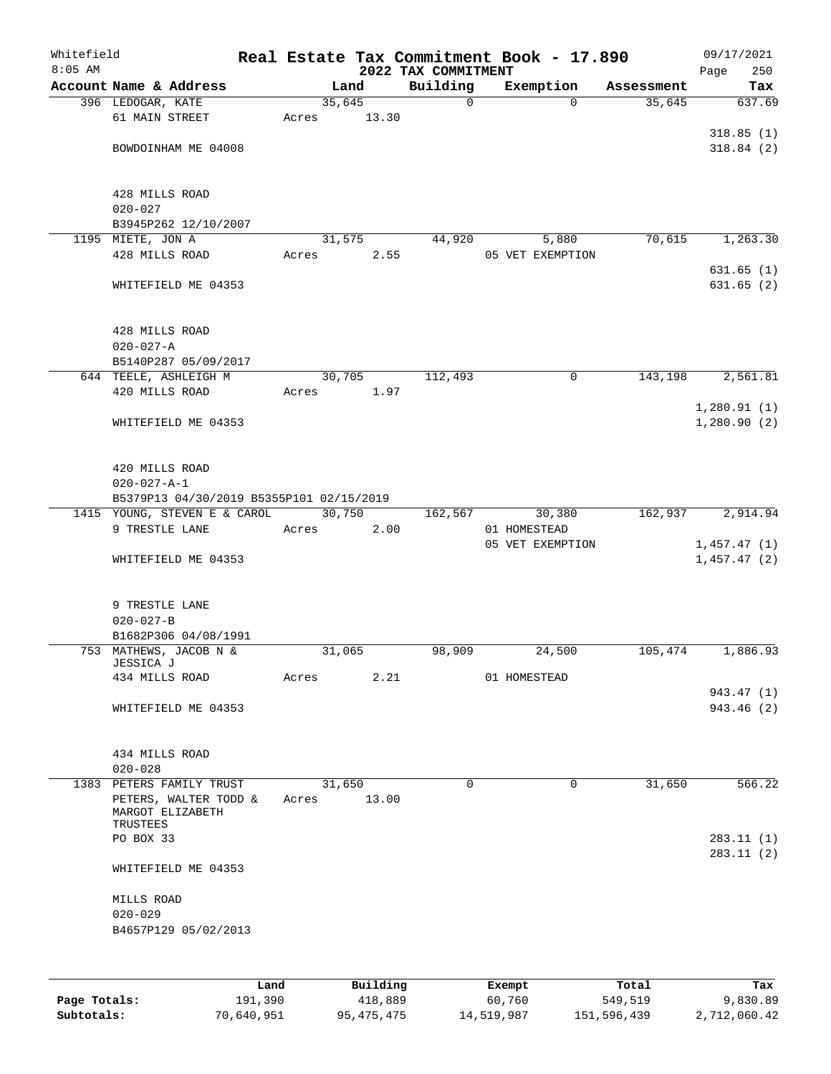| Whitefield<br>$8:05$ AM |                                           |        |       | 2022 TAX COMMITMENT | Real Estate Tax Commitment Book - 17.890 |            | 09/17/2021<br>Page<br>250 |
|-------------------------|-------------------------------------------|--------|-------|---------------------|------------------------------------------|------------|---------------------------|
|                         | Account Name & Address                    |        | Land  | Building            | Exemption                                | Assessment | Tax                       |
|                         | 396 LEDOGAR, KATE                         | 35,645 |       | $\mathsf{O}$        | $\Omega$                                 | 35,645     | 637.69                    |
|                         | 61 MAIN STREET                            | Acres  | 13.30 |                     |                                          |            |                           |
|                         |                                           |        |       |                     |                                          |            | 318.85(1)                 |
|                         | BOWDOINHAM ME 04008                       |        |       |                     |                                          |            | 318.84(2)                 |
|                         |                                           |        |       |                     |                                          |            |                           |
|                         |                                           |        |       |                     |                                          |            |                           |
|                         | 428 MILLS ROAD                            |        |       |                     |                                          |            |                           |
|                         | $020 - 027$                               |        |       |                     |                                          |            |                           |
|                         | B3945P262 12/10/2007<br>1195 MIETE, JON A |        |       |                     |                                          |            |                           |
|                         | 428 MILLS ROAD                            | 31,575 |       | 44,920              | 5,880                                    | 70,615     | 1,263.30                  |
|                         |                                           | Acres  | 2.55  |                     | 05 VET EXEMPTION                         |            | 631.65(1)                 |
|                         | WHITEFIELD ME 04353                       |        |       |                     |                                          |            | 631.65(2)                 |
|                         |                                           |        |       |                     |                                          |            |                           |
|                         |                                           |        |       |                     |                                          |            |                           |
|                         | 428 MILLS ROAD                            |        |       |                     |                                          |            |                           |
|                         | $020 - 027 - A$                           |        |       |                     |                                          |            |                           |
|                         | B5140P287 05/09/2017                      |        |       |                     |                                          |            |                           |
|                         | 644 TEELE, ASHLEIGH M                     | 30,705 |       | 112,493             | 0                                        | 143,198    | 2,561.81                  |
|                         | 420 MILLS ROAD                            | Acres  | 1.97  |                     |                                          |            |                           |
|                         |                                           |        |       |                     |                                          |            | 1,280.91(1)               |
|                         | WHITEFIELD ME 04353                       |        |       |                     |                                          |            | 1,280.90(2)               |
|                         |                                           |        |       |                     |                                          |            |                           |
|                         |                                           |        |       |                     |                                          |            |                           |
|                         | 420 MILLS ROAD                            |        |       |                     |                                          |            |                           |
|                         | $020 - 027 - A - 1$                       |        |       |                     |                                          |            |                           |
|                         | B5379P13 04/30/2019 B5355P101 02/15/2019  |        |       |                     |                                          |            |                           |
|                         | 1415 YOUNG, STEVEN E & CAROL              | 30,750 |       | 162,567             | 30,380                                   | 162,937    | 2,914.94                  |
|                         | 9 TRESTLE LANE                            | Acres  | 2.00  |                     | 01 HOMESTEAD                             |            |                           |
|                         |                                           |        |       |                     | 05 VET EXEMPTION                         |            | 1,457.47(1)               |
|                         | WHITEFIELD ME 04353                       |        |       |                     |                                          |            | 1,457.47(2)               |
|                         |                                           |        |       |                     |                                          |            |                           |
|                         | 9 TRESTLE LANE                            |        |       |                     |                                          |            |                           |
|                         | $020 - 027 - B$                           |        |       |                     |                                          |            |                           |
|                         | B1682P306 04/08/1991                      |        |       |                     |                                          |            |                           |
|                         | 753 MATHEWS, JACOB N &                    | 31,065 |       | 98,909              | 24,500                                   | 105,474    | 1,886.93                  |
|                         | JESSICA J                                 |        |       |                     |                                          |            |                           |
|                         | 434 MILLS ROAD                            | Acres  | 2.21  |                     | 01 HOMESTEAD                             |            |                           |
|                         |                                           |        |       |                     |                                          |            | 943.47 (1)                |
|                         | WHITEFIELD ME 04353                       |        |       |                     |                                          |            | 943.46 (2)                |
|                         |                                           |        |       |                     |                                          |            |                           |
|                         |                                           |        |       |                     |                                          |            |                           |
|                         | 434 MILLS ROAD                            |        |       |                     |                                          |            |                           |
|                         | $020 - 028$                               |        |       |                     |                                          |            |                           |
|                         | 1383 PETERS FAMILY TRUST                  | 31,650 |       | $\Omega$            | $\Omega$                                 | 31,650     | 566.22                    |
|                         | PETERS, WALTER TODD &<br>MARGOT ELIZABETH | Acres  | 13.00 |                     |                                          |            |                           |
|                         | TRUSTEES                                  |        |       |                     |                                          |            |                           |
|                         | PO BOX 33                                 |        |       |                     |                                          |            | 283.11(1)                 |
|                         |                                           |        |       |                     |                                          |            | 283.11 (2)                |
|                         | WHITEFIELD ME 04353                       |        |       |                     |                                          |            |                           |
|                         |                                           |        |       |                     |                                          |            |                           |
|                         | MILLS ROAD                                |        |       |                     |                                          |            |                           |
|                         | $020 - 029$                               |        |       |                     |                                          |            |                           |
|                         | B4657P129 05/02/2013                      |        |       |                     |                                          |            |                           |
|                         |                                           |        |       |                     |                                          |            |                           |
|                         |                                           |        |       |                     |                                          |            |                           |

|              | Land       | Building   | Exempt     | Total       | Tax          |
|--------------|------------|------------|------------|-------------|--------------|
| Page Totals: | 191,390    | 418,889    | 60,760     | 549,519     | 9,830.89     |
| Subtotals:   | 70,640,951 | 95,475,475 | 14,519,987 | 151,596,439 | 2,712,060.42 |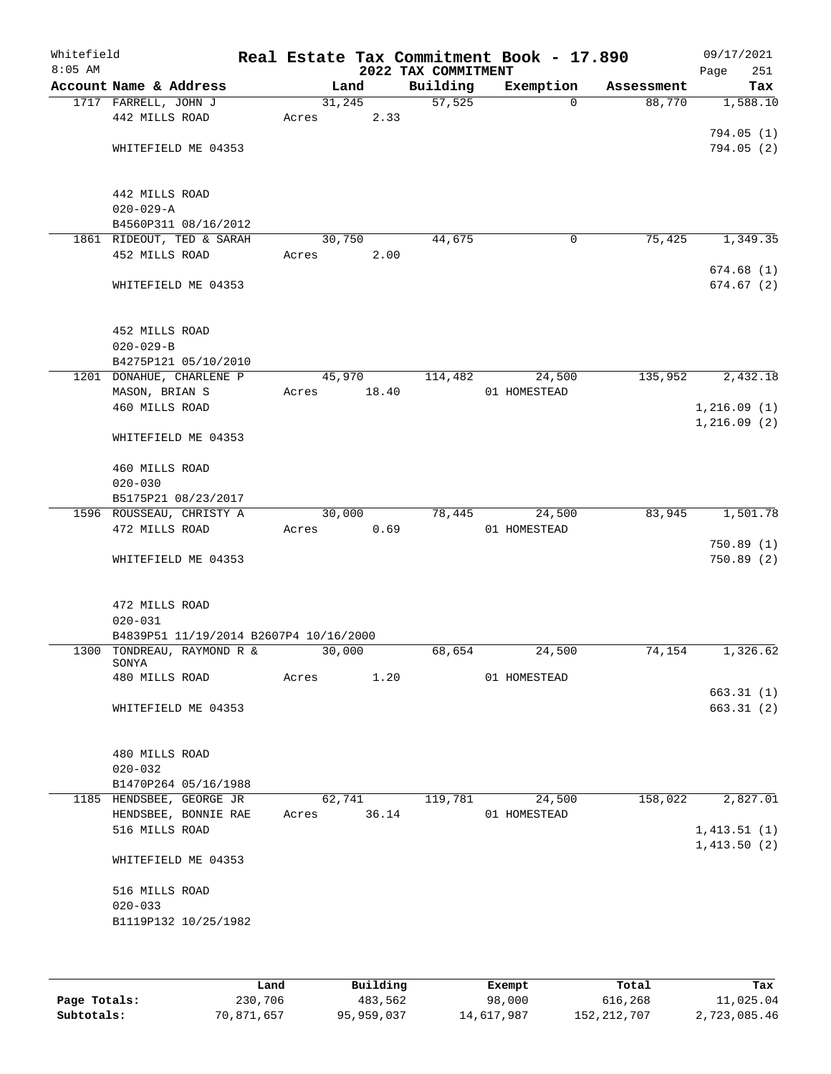| Whitefield<br>$8:05$ AM |                                                   | Real Estate Tax Commitment Book - 17.890 | 2022 TAX COMMITMENT |              |            | 09/17/2021<br>Page<br>251 |
|-------------------------|---------------------------------------------------|------------------------------------------|---------------------|--------------|------------|---------------------------|
|                         | Account Name & Address                            | Land                                     | Building            | Exemption    | Assessment | Tax                       |
|                         | 1717 FARRELL, JOHN J                              | 31,245                                   | 57,525              | $\Omega$     | 88,770     | 1,588.10                  |
|                         | 442 MILLS ROAD                                    | 2.33<br>Acres                            |                     |              |            |                           |
|                         |                                                   |                                          |                     |              |            | 794.05(1)                 |
|                         | WHITEFIELD ME 04353                               |                                          |                     |              |            | 794.05(2)                 |
|                         |                                                   |                                          |                     |              |            |                           |
|                         |                                                   |                                          |                     |              |            |                           |
|                         | 442 MILLS ROAD                                    |                                          |                     |              |            |                           |
|                         | $020 - 029 - A$                                   |                                          |                     |              |            |                           |
|                         | B4560P311 08/16/2012<br>1861 RIDEOUT, TED & SARAH | 30,750                                   | 44,675              | 0            | 75,425     | 1,349.35                  |
|                         | 452 MILLS ROAD                                    | 2.00<br>Acres                            |                     |              |            |                           |
|                         |                                                   |                                          |                     |              |            | 674.68(1)                 |
|                         | WHITEFIELD ME 04353                               |                                          |                     |              |            | 674.67(2)                 |
|                         |                                                   |                                          |                     |              |            |                           |
|                         |                                                   |                                          |                     |              |            |                           |
|                         | 452 MILLS ROAD                                    |                                          |                     |              |            |                           |
|                         | $020 - 029 - B$                                   |                                          |                     |              |            |                           |
|                         | B4275P121 05/10/2010                              |                                          |                     |              |            |                           |
|                         | 1201 DONAHUE, CHARLENE P                          | 45,970                                   | 114,482             | 24,500       | 135,952    | 2,432.18                  |
|                         | MASON, BRIAN S                                    | 18.40<br>Acres                           |                     | 01 HOMESTEAD |            |                           |
|                         | 460 MILLS ROAD                                    |                                          |                     |              |            | 1,216.09(1)               |
|                         |                                                   |                                          |                     |              |            | 1,216.09(2)               |
|                         | WHITEFIELD ME 04353                               |                                          |                     |              |            |                           |
|                         |                                                   |                                          |                     |              |            |                           |
|                         | 460 MILLS ROAD                                    |                                          |                     |              |            |                           |
|                         | $020 - 030$                                       |                                          |                     |              |            |                           |
|                         | B5175P21 08/23/2017                               |                                          |                     |              |            |                           |
|                         | 1596 ROUSSEAU, CHRISTY A                          | 30,000                                   | 78,445              | 24,500       | 83,945     | 1,501.78                  |
|                         | 472 MILLS ROAD                                    | 0.69<br>Acres                            |                     | 01 HOMESTEAD |            |                           |
|                         |                                                   |                                          |                     |              |            | 750.89(1)                 |
|                         | WHITEFIELD ME 04353                               |                                          |                     |              |            | 750.89(2)                 |
|                         |                                                   |                                          |                     |              |            |                           |
|                         | 472 MILLS ROAD                                    |                                          |                     |              |            |                           |
|                         | $020 - 031$                                       |                                          |                     |              |            |                           |
|                         | B4839P51 11/19/2014 B2607P4 10/16/2000            |                                          |                     |              |            |                           |
|                         | 1300 TONDREAU, RAYMOND R &                        | 30,000                                   | 68,654              | 24,500       | 74,154     | 1,326.62                  |
|                         | SONYA                                             |                                          |                     |              |            |                           |
|                         | 480 MILLS ROAD                                    | Acres<br>1.20                            |                     | 01 HOMESTEAD |            |                           |
|                         |                                                   |                                          |                     |              |            | 663.31(1)                 |
|                         | WHITEFIELD ME 04353                               |                                          |                     |              |            | 663.31(2)                 |
|                         |                                                   |                                          |                     |              |            |                           |
|                         |                                                   |                                          |                     |              |            |                           |
|                         | 480 MILLS ROAD                                    |                                          |                     |              |            |                           |
|                         | $020 - 032$                                       |                                          |                     |              |            |                           |
|                         | B1470P264 05/16/1988                              |                                          |                     |              |            |                           |
|                         | 1185 HENDSBEE, GEORGE JR                          | 62,741                                   | 119,781             | 24,500       | 158,022    | 2,827.01                  |
|                         | HENDSBEE, BONNIE RAE                              | 36.14<br>Acres                           |                     | 01 HOMESTEAD |            |                           |
|                         | 516 MILLS ROAD                                    |                                          |                     |              |            | 1,413.51(1)               |
|                         |                                                   |                                          |                     |              |            | 1,413.50(2)               |
|                         | WHITEFIELD ME 04353                               |                                          |                     |              |            |                           |
|                         |                                                   |                                          |                     |              |            |                           |
|                         | 516 MILLS ROAD<br>$020 - 033$                     |                                          |                     |              |            |                           |
|                         | B1119P132 10/25/1982                              |                                          |                     |              |            |                           |
|                         |                                                   |                                          |                     |              |            |                           |
|                         |                                                   |                                          |                     |              |            |                           |
|                         |                                                   |                                          |                     |              |            |                           |

|              | Land       | Building   | Exempt     | Total       | Tax          |
|--------------|------------|------------|------------|-------------|--------------|
| Page Totals: | 230,706    | 483,562    | 98,000     | 616,268     | 11,025.04    |
| Subtotals:   | 70,871,657 | 95,959,037 | 14,617,987 | 152,212,707 | 2,723,085.46 |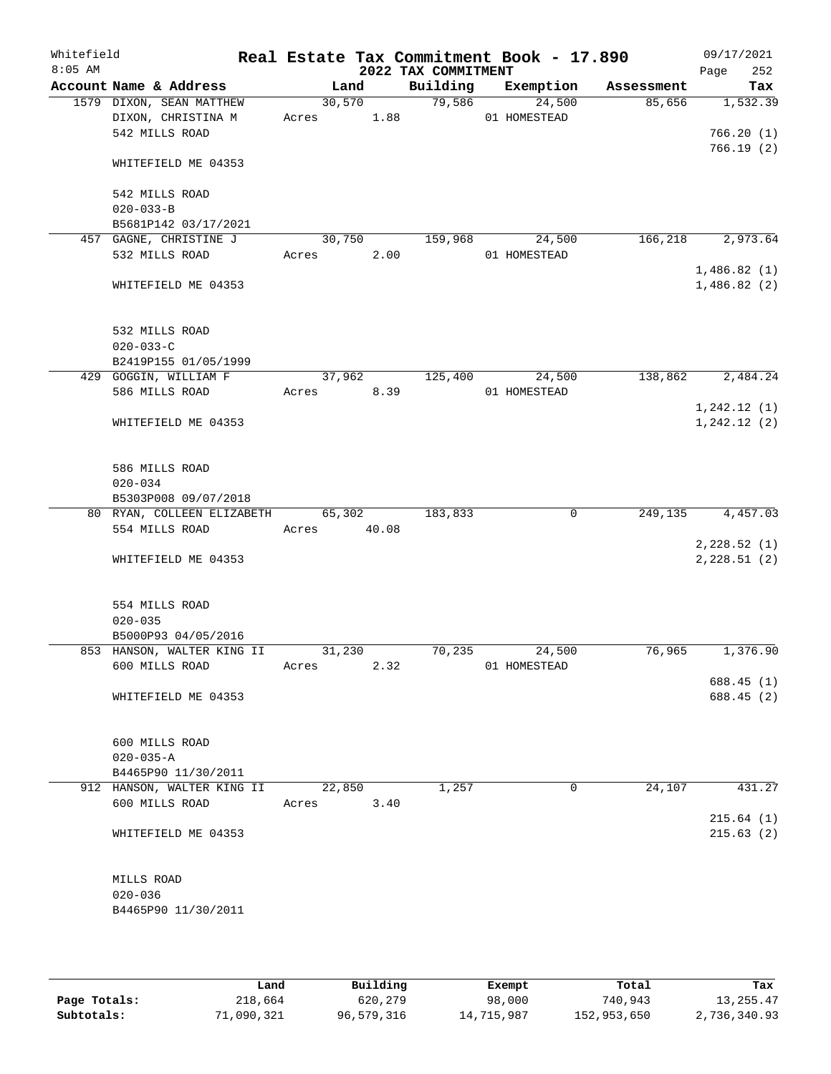| Whitefield<br>$8:05$ AM |                            |             |      | 2022 TAX COMMITMENT | Real Estate Tax Commitment Book - 17.890 |            | 09/17/2021<br>252<br>Page |
|-------------------------|----------------------------|-------------|------|---------------------|------------------------------------------|------------|---------------------------|
|                         | Account Name & Address     |             | Land | Building            | Exemption                                | Assessment | Tax                       |
|                         | 1579 DIXON, SEAN MATTHEW   | 30,570      |      | 79,586              | 24,500                                   | 85,656     | 1,532.39                  |
|                         | DIXON, CHRISTINA M         | Acres 1.88  |      |                     | 01 HOMESTEAD                             |            |                           |
|                         | 542 MILLS ROAD             |             |      |                     |                                          |            | 766.20(1)                 |
|                         | WHITEFIELD ME 04353        |             |      |                     |                                          |            | 766.19(2)                 |
|                         |                            |             |      |                     |                                          |            |                           |
|                         | 542 MILLS ROAD             |             |      |                     |                                          |            |                           |
|                         | $020 - 033 - B$            |             |      |                     |                                          |            |                           |
|                         | B5681P142 03/17/2021       |             |      |                     |                                          |            |                           |
|                         | 457 GAGNE, CHRISTINE J     | 30,750      |      | 159,968             | 24,500                                   | 166, 218   | 2,973.64                  |
|                         | 532 MILLS ROAD             | Acres       | 2.00 |                     | 01 HOMESTEAD                             |            |                           |
|                         |                            |             |      |                     |                                          |            | 1,486.82(1)               |
|                         | WHITEFIELD ME 04353        |             |      |                     |                                          |            | 1,486.82(2)               |
|                         | 532 MILLS ROAD             |             |      |                     |                                          |            |                           |
|                         | $020 - 033 - C$            |             |      |                     |                                          |            |                           |
|                         | B2419P155 01/05/1999       |             |      |                     |                                          |            |                           |
|                         | 429 GOGGIN, WILLIAM F      | 37,962      |      | 125,400             | 24,500                                   | 138,862    | 2,484.24                  |
|                         | 586 MILLS ROAD             | Acres 8.39  |      |                     | 01 HOMESTEAD                             |            |                           |
|                         |                            |             |      |                     |                                          |            | 1, 242.12(1)              |
|                         | WHITEFIELD ME 04353        |             |      |                     |                                          |            | 1, 242.12(2)              |
|                         | 586 MILLS ROAD             |             |      |                     |                                          |            |                           |
|                         | $020 - 034$                |             |      |                     |                                          |            |                           |
|                         | B5303P008 09/07/2018       |             |      |                     |                                          |            |                           |
|                         | 80 RYAN, COLLEEN ELIZABETH | 65,302      |      | 183,833             | 0                                        | 249, 135   | 4,457.03                  |
|                         | 554 MILLS ROAD             | Acres 40.08 |      |                     |                                          |            |                           |
|                         |                            |             |      |                     |                                          |            | 2,228.52(1)               |
|                         | WHITEFIELD ME 04353        |             |      |                     |                                          |            | 2,228.51(2)               |
|                         |                            |             |      |                     |                                          |            |                           |
|                         | 554 MILLS ROAD             |             |      |                     |                                          |            |                           |
|                         | $020 - 035$                |             |      |                     |                                          |            |                           |
|                         | B5000P93 04/05/2016        |             |      |                     |                                          |            |                           |
|                         | 853 HANSON, WALTER KING II | 31,230      |      | 70,235              | 24,500                                   | 76,965     | 1,376.90                  |
|                         | 600 MILLS ROAD             | Acres       | 2.32 |                     | 01 HOMESTEAD                             |            | 688.45(1)                 |
|                         | WHITEFIELD ME 04353        |             |      |                     |                                          |            | 688.45 (2)                |
|                         |                            |             |      |                     |                                          |            |                           |
|                         | 600 MILLS ROAD             |             |      |                     |                                          |            |                           |
|                         | $020 - 035 - A$            |             |      |                     |                                          |            |                           |
|                         | B4465P90 11/30/2011        |             |      |                     |                                          |            |                           |
|                         | 912 HANSON, WALTER KING II | 22,850      |      | 1,257               | 0                                        | 24,107     | 431.27                    |
|                         | 600 MILLS ROAD             | Acres       | 3.40 |                     |                                          |            |                           |
|                         |                            |             |      |                     |                                          |            | 215.64(1)                 |
|                         | WHITEFIELD ME 04353        |             |      |                     |                                          |            | 215.63(2)                 |
|                         | MILLS ROAD                 |             |      |                     |                                          |            |                           |
|                         | $020 - 036$                |             |      |                     |                                          |            |                           |
|                         | B4465P90 11/30/2011        |             |      |                     |                                          |            |                           |
|                         |                            |             |      |                     |                                          |            |                           |

|              | Land       | Building   | Exempt     | Total       | Tax          |
|--------------|------------|------------|------------|-------------|--------------|
| Page Totals: | 218,664    | 620,279    | 98,000     | 740,943     | 13, 255. 47  |
| Subtotals:   | 71,090,321 | 96,579,316 | 14,715,987 | 152,953,650 | 2,736,340.93 |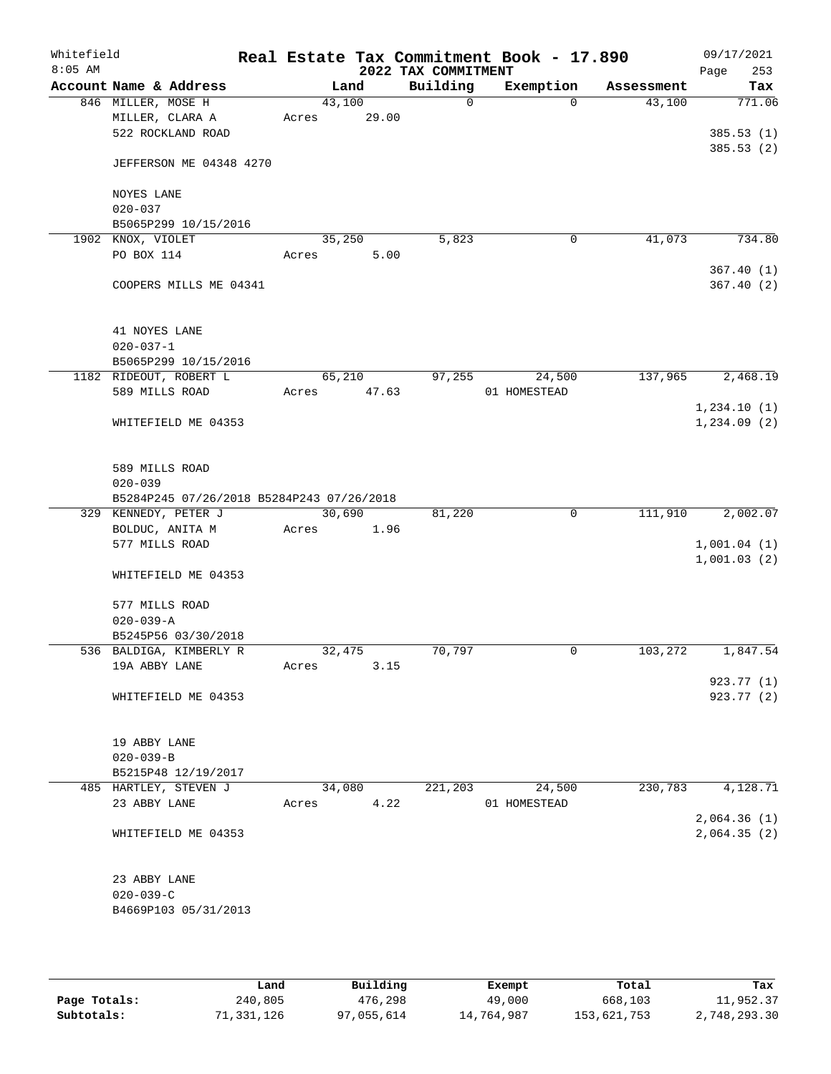| Whitefield<br>$8:05$ AM |                                   |                                           |       |                 | 2022 TAX COMMITMENT | Real Estate Tax Commitment Book - 17.890 |            | 09/17/2021<br>253<br>Page  |
|-------------------------|-----------------------------------|-------------------------------------------|-------|-----------------|---------------------|------------------------------------------|------------|----------------------------|
|                         |                                   | Account Name & Address                    |       | Land            | Building            | Exemption                                | Assessment | Tax                        |
|                         | 846 MILLER, MOSE H                |                                           |       | 43,100          | $\mathbf 0$         | $\Omega$                                 | 43,100     | 771.06                     |
|                         |                                   | MILLER, CLARA A                           | Acres | 29.00           |                     |                                          |            |                            |
|                         |                                   | 522 ROCKLAND ROAD                         |       |                 |                     |                                          |            | 385.53(1)                  |
|                         |                                   | JEFFERSON ME 04348 4270                   |       |                 |                     |                                          |            | 385.53(2)                  |
|                         | NOYES LANE<br>$020 - 037$         |                                           |       |                 |                     |                                          |            |                            |
|                         |                                   | B5065P299 10/15/2016                      |       |                 |                     |                                          |            |                            |
|                         | 1902 KNOX, VIOLET                 |                                           |       | 35,250          | 5,823               | 0                                        | 41,073     | 734.80                     |
|                         | PO BOX 114                        |                                           | Acres | 5.00            |                     |                                          |            |                            |
|                         |                                   | COOPERS MILLS ME 04341                    |       |                 |                     |                                          |            | 367.40(1)<br>367.40(2)     |
|                         | 41 NOYES LANE                     |                                           |       |                 |                     |                                          |            |                            |
|                         | $020 - 037 - 1$                   |                                           |       |                 |                     |                                          |            |                            |
|                         |                                   | B5065P299 10/15/2016                      |       |                 | 97,255              | 24,500                                   | 137,965    | 2,468.19                   |
|                         | 589 MILLS ROAD                    | 1182 RIDEOUT, ROBERT L                    | Acres | 65,210<br>47.63 |                     | 01 HOMESTEAD                             |            |                            |
|                         |                                   |                                           |       |                 |                     |                                          |            | 1,234.10(1)                |
|                         |                                   | WHITEFIELD ME 04353                       |       |                 |                     |                                          |            | 1, 234.09(2)               |
|                         | 589 MILLS ROAD<br>$020 - 039$     |                                           |       |                 |                     |                                          |            |                            |
|                         |                                   | B5284P245 07/26/2018 B5284P243 07/26/2018 |       |                 |                     |                                          |            |                            |
|                         |                                   | 329 KENNEDY, PETER J                      |       | 30,690          | 81,220              | $\mathbf 0$                              | 111,910    | 2,002.07                   |
|                         |                                   | BOLDUC, ANITA M                           | Acres | 1.96            |                     |                                          |            |                            |
|                         | 577 MILLS ROAD                    |                                           |       |                 |                     |                                          |            | 1,001.04(1)                |
|                         |                                   | WHITEFIELD ME 04353                       |       |                 |                     |                                          |            | 1,001.03(2)                |
|                         | 577 MILLS ROAD<br>$020 - 039 - A$ |                                           |       |                 |                     |                                          |            |                            |
|                         |                                   | B5245P56 03/30/2018                       |       |                 |                     |                                          |            |                            |
|                         |                                   | 536 BALDIGA, KIMBERLY R                   |       | 32,475          | 70,797              | 0                                        | 103,272    | 1,847.54                   |
|                         | 19A ABBY LANE                     |                                           | Acres | 3.15            |                     |                                          |            |                            |
|                         |                                   |                                           |       |                 |                     |                                          |            | 923.77 (1)                 |
|                         |                                   | WHITEFIELD ME 04353                       |       |                 |                     |                                          |            | 923.77 (2)                 |
|                         | 19 ABBY LANE                      |                                           |       |                 |                     |                                          |            |                            |
|                         | $020 - 039 - B$                   |                                           |       |                 |                     |                                          |            |                            |
|                         |                                   | B5215P48 12/19/2017                       |       |                 |                     |                                          |            |                            |
|                         |                                   | 485 HARTLEY, STEVEN J                     |       | 34,080          | 221,203             | 24,500                                   | 230,783    | 4,128.71                   |
|                         | 23 ABBY LANE                      |                                           | Acres | 4.22            |                     | 01 HOMESTEAD                             |            |                            |
|                         |                                   | WHITEFIELD ME 04353                       |       |                 |                     |                                          |            | 2,064.36(1)<br>2,064.35(2) |
|                         |                                   |                                           |       |                 |                     |                                          |            |                            |
|                         | 23 ABBY LANE                      |                                           |       |                 |                     |                                          |            |                            |
|                         | $020 - 039 - C$                   | B4669P103 05/31/2013                      |       |                 |                     |                                          |            |                            |
|                         |                                   |                                           |       |                 |                     |                                          |            |                            |

|              | Land       | Building   | Exempt     | Total       | Tax          |
|--------------|------------|------------|------------|-------------|--------------|
| Page Totals: | 240,805    | 476,298    | 49,000     | 668,103     | 11,952.37    |
| Subtotals:   | 71,331,126 | 97,055,614 | 14,764,987 | 153,621,753 | 2,748,293.30 |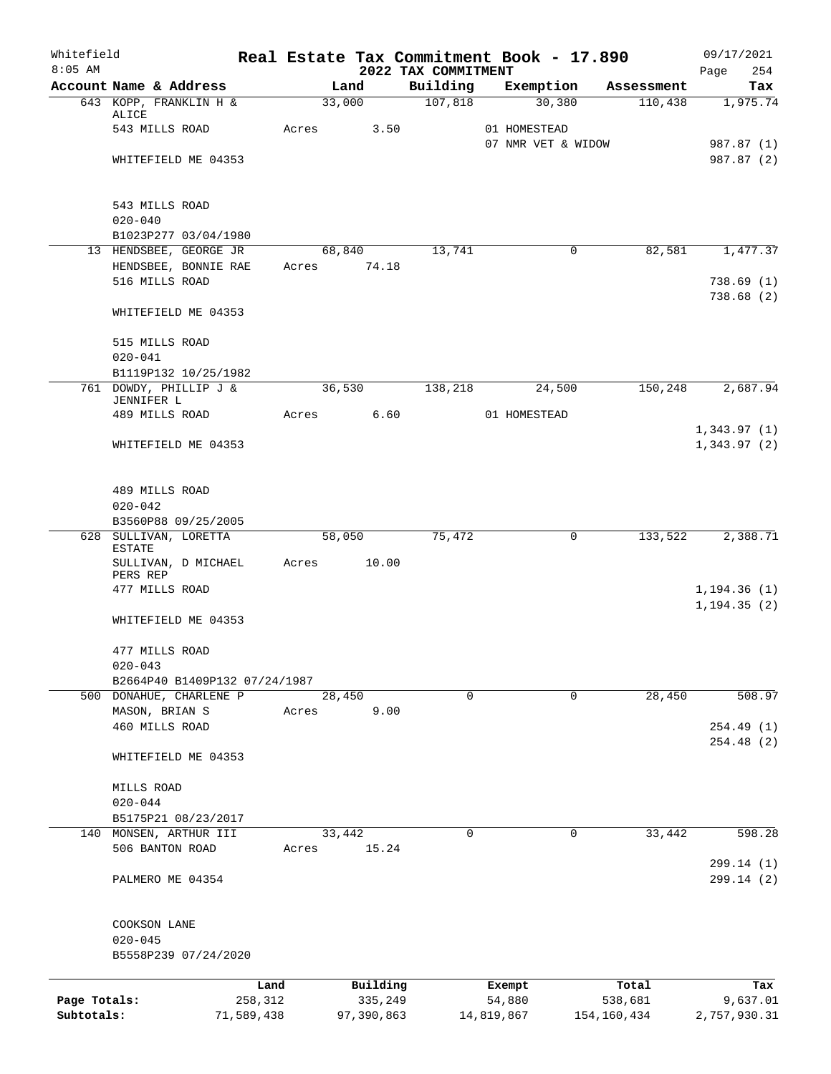| Whitefield<br>$8:05$ AM |                                              |            |       | Real Estate Tax Commitment Book - 17.890 |                                 |                    |             |             | 09/17/2021                   |
|-------------------------|----------------------------------------------|------------|-------|------------------------------------------|---------------------------------|--------------------|-------------|-------------|------------------------------|
|                         | Account Name & Address                       |            |       | Land                                     | 2022 TAX COMMITMENT<br>Building | Exemption          |             | Assessment  | 254<br>Page<br>Tax           |
|                         | 643 KOPP, FRANKLIN H &                       |            |       | 33,000                                   | 107,818                         |                    | 30,380      | 110,438     | 1,975.74                     |
|                         | ALICE                                        |            |       |                                          |                                 |                    |             |             |                              |
|                         | 543 MILLS ROAD                               |            | Acres | 3.50                                     |                                 | 01 HOMESTEAD       |             |             |                              |
|                         |                                              |            |       |                                          |                                 | 07 NMR VET & WIDOW |             |             | 987.87 (1)<br>987.87 (2)     |
|                         | WHITEFIELD ME 04353                          |            |       |                                          |                                 |                    |             |             |                              |
|                         | 543 MILLS ROAD                               |            |       |                                          |                                 |                    |             |             |                              |
|                         | $020 - 040$                                  |            |       |                                          |                                 |                    |             |             |                              |
|                         | B1023P277 03/04/1980                         |            |       |                                          |                                 |                    |             |             |                              |
|                         | 13 HENDSBEE, GEORGE JR                       |            |       | 68,840<br>74.18                          | 13,741                          |                    | $\mathbf 0$ | 82,581      | 1,477.37                     |
|                         | HENDSBEE, BONNIE RAE<br>516 MILLS ROAD       |            | Acres |                                          |                                 |                    |             |             | 738.69(1)                    |
|                         |                                              |            |       |                                          |                                 |                    |             |             | 738.68(2)                    |
|                         | WHITEFIELD ME 04353                          |            |       |                                          |                                 |                    |             |             |                              |
|                         | 515 MILLS ROAD                               |            |       |                                          |                                 |                    |             |             |                              |
|                         | $020 - 041$                                  |            |       |                                          |                                 |                    |             |             |                              |
|                         | B1119P132 10/25/1982                         |            |       |                                          |                                 |                    |             |             |                              |
|                         | 761 DOWDY, PHILLIP J &                       |            |       | 36,530                                   | 138,218                         |                    | 24,500      | 150,248     | 2,687.94                     |
|                         | JENNIFER L<br>489 MILLS ROAD                 |            | Acres | 6.60                                     |                                 | 01 HOMESTEAD       |             |             |                              |
|                         |                                              |            |       |                                          |                                 |                    |             |             | 1,343.97(1)                  |
|                         | WHITEFIELD ME 04353                          |            |       |                                          |                                 |                    |             |             | 1,343.97(2)                  |
|                         | 489 MILLS ROAD                               |            |       |                                          |                                 |                    |             |             |                              |
|                         | $020 - 042$                                  |            |       |                                          |                                 |                    |             |             |                              |
|                         | B3560P88 09/25/2005                          |            |       |                                          |                                 |                    |             |             |                              |
|                         | 628 SULLIVAN, LORETTA<br><b>ESTATE</b>       |            |       | 58,050                                   | 75,472                          |                    | 0           | 133,522     | 2,388.71                     |
|                         | SULLIVAN, D MICHAEL<br>PERS REP              |            | Acres | 10.00                                    |                                 |                    |             |             |                              |
|                         | 477 MILLS ROAD                               |            |       |                                          |                                 |                    |             |             | 1, 194.36(1)<br>1, 194.35(2) |
|                         | WHITEFIELD ME 04353                          |            |       |                                          |                                 |                    |             |             |                              |
|                         | 477 MILLS ROAD                               |            |       |                                          |                                 |                    |             |             |                              |
|                         | $020 - 043$<br>B2664P40 B1409P132 07/24/1987 |            |       |                                          |                                 |                    |             |             |                              |
|                         | 500 DONAHUE, CHARLENE P                      |            |       | 28,450                                   | $\mathbf 0$                     |                    | $\mathbf 0$ | 28,450      | 508.97                       |
|                         | MASON, BRIAN S                               |            | Acres | 9.00                                     |                                 |                    |             |             |                              |
|                         | 460 MILLS ROAD                               |            |       |                                          |                                 |                    |             |             | 254.49(1)                    |
|                         | WHITEFIELD ME 04353                          |            |       |                                          |                                 |                    |             |             | 254.48(2)                    |
|                         |                                              |            |       |                                          |                                 |                    |             |             |                              |
|                         | MILLS ROAD                                   |            |       |                                          |                                 |                    |             |             |                              |
|                         | $020 - 044$<br>B5175P21 08/23/2017           |            |       |                                          |                                 |                    |             |             |                              |
| 140                     | MONSEN, ARTHUR III                           |            |       | 33,442                                   | 0                               |                    | 0           | 33,442      | 598.28                       |
|                         | 506 BANTON ROAD                              |            | Acres | 15.24                                    |                                 |                    |             |             | 299.14 (1)                   |
|                         | PALMERO ME 04354                             |            |       |                                          |                                 |                    |             |             | 299.14 (2)                   |
|                         | COOKSON LANE                                 |            |       |                                          |                                 |                    |             |             |                              |
|                         | $020 - 045$                                  |            |       |                                          |                                 |                    |             |             |                              |
|                         | B5558P239 07/24/2020                         |            |       |                                          |                                 |                    |             |             |                              |
|                         |                                              | Land       |       | Building                                 |                                 | Exempt             |             | Total       | Tax                          |
| Page Totals:            |                                              | 258,312    |       | 335,249                                  |                                 | 54,880             |             | 538,681     | 9,637.01                     |
| Subtotals:              |                                              | 71,589,438 |       | 97,390,863                               |                                 | 14,819,867         |             | 154,160,434 | 2,757,930.31                 |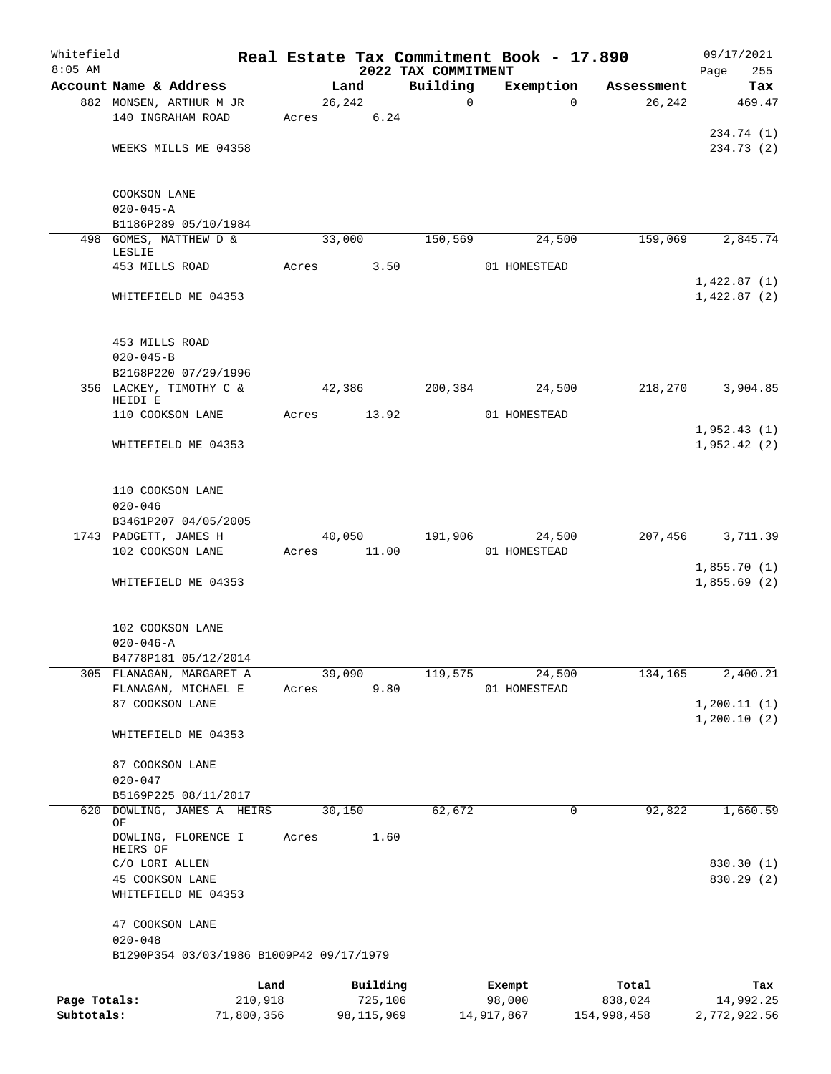| Whitefield<br>$8:05$ AM |                                          |         |              |                                 | Real Estate Tax Commitment Book - 17.890 |             | 09/17/2021                 |
|-------------------------|------------------------------------------|---------|--------------|---------------------------------|------------------------------------------|-------------|----------------------------|
|                         | Account Name & Address                   |         | Land         | 2022 TAX COMMITMENT<br>Building | Exemption                                | Assessment  | Page<br>255<br>Tax         |
|                         | 882 MONSEN, ARTHUR M JR                  |         | 26, 242      | $\mathbf 0$                     | $\Omega$                                 | 26, 242     | 469.47                     |
|                         | 140 INGRAHAM ROAD                        | Acres   | 6.24         |                                 |                                          |             |                            |
|                         |                                          |         |              |                                 |                                          |             | 234.74 (1)                 |
|                         | WEEKS MILLS ME 04358                     |         |              |                                 |                                          |             | 234.73 (2)                 |
|                         |                                          |         |              |                                 |                                          |             |                            |
|                         |                                          |         |              |                                 |                                          |             |                            |
|                         | COOKSON LANE<br>$020 - 045 - A$          |         |              |                                 |                                          |             |                            |
|                         | B1186P289 05/10/1984                     |         |              |                                 |                                          |             |                            |
|                         | 498 GOMES, MATTHEW D &                   |         | 33,000       | 150,569                         | 24,500                                   | 159,069     | 2,845.74                   |
|                         | LESLIE                                   |         |              |                                 |                                          |             |                            |
|                         | 453 MILLS ROAD                           | Acres   | 3.50         |                                 | 01 HOMESTEAD                             |             |                            |
|                         | WHITEFIELD ME 04353                      |         |              |                                 |                                          |             | 1,422.87(1)<br>1,422.87(2) |
|                         |                                          |         |              |                                 |                                          |             |                            |
|                         |                                          |         |              |                                 |                                          |             |                            |
|                         | 453 MILLS ROAD                           |         |              |                                 |                                          |             |                            |
|                         | $020 - 045 - B$                          |         |              |                                 |                                          |             |                            |
|                         | B2168P220 07/29/1996                     |         |              |                                 |                                          |             |                            |
|                         | 356 LACKEY, TIMOTHY C &<br>HEIDI E       |         | 42,386       | 200,384                         | 24,500                                   | 218,270     | 3,904.85                   |
|                         | 110 COOKSON LANE                         | Acres   | 13.92        |                                 | 01 HOMESTEAD                             |             |                            |
|                         |                                          |         |              |                                 |                                          |             | 1,952.43(1)                |
|                         | WHITEFIELD ME 04353                      |         |              |                                 |                                          |             | 1,952.42(2)                |
|                         |                                          |         |              |                                 |                                          |             |                            |
|                         |                                          |         |              |                                 |                                          |             |                            |
|                         | 110 COOKSON LANE                         |         |              |                                 |                                          |             |                            |
|                         | $020 - 046$<br>B3461P207 04/05/2005      |         |              |                                 |                                          |             |                            |
|                         | 1743 PADGETT, JAMES H                    |         | 40,050       | 191,906                         | 24,500                                   | 207,456     | 3,711.39                   |
|                         | 102 COOKSON LANE                         | Acres   | 11.00        |                                 | 01 HOMESTEAD                             |             |                            |
|                         |                                          |         |              |                                 |                                          |             | 1,855.70(1)                |
|                         | WHITEFIELD ME 04353                      |         |              |                                 |                                          |             | 1,855.69(2)                |
|                         |                                          |         |              |                                 |                                          |             |                            |
|                         |                                          |         |              |                                 |                                          |             |                            |
|                         | 102 COOKSON LANE<br>$020 - 046 - A$      |         |              |                                 |                                          |             |                            |
|                         | B4778P181 05/12/2014                     |         |              |                                 |                                          |             |                            |
|                         | 305 FLANAGAN, MARGARET A                 |         | 39,090       | 119,575                         | 24,500                                   | 134,165     | 2,400.21                   |
|                         | FLANAGAN, MICHAEL E                      | Acres   | 9.80         |                                 | 01 HOMESTEAD                             |             |                            |
|                         | 87 COOKSON LANE                          |         |              |                                 |                                          |             | 1, 200.11(1)               |
|                         |                                          |         |              |                                 |                                          |             | 1,200.10(2)                |
|                         | WHITEFIELD ME 04353                      |         |              |                                 |                                          |             |                            |
|                         | 87 COOKSON LANE                          |         |              |                                 |                                          |             |                            |
|                         | $020 - 047$                              |         |              |                                 |                                          |             |                            |
|                         | B5169P225 08/11/2017                     |         |              |                                 |                                          |             |                            |
| 620                     | DOWLING, JAMES A HEIRS                   |         | 30,150       | 62,672                          | 0                                        | 92,822      | 1,660.59                   |
|                         | ΟF                                       |         |              |                                 |                                          |             |                            |
|                         | DOWLING, FLORENCE I<br>HEIRS OF          | Acres   | 1.60         |                                 |                                          |             |                            |
|                         | C/O LORI ALLEN                           |         |              |                                 |                                          |             | 830.30 (1)                 |
|                         | 45 COOKSON LANE                          |         |              |                                 |                                          |             | 830.29 (2)                 |
|                         | WHITEFIELD ME 04353                      |         |              |                                 |                                          |             |                            |
|                         |                                          |         |              |                                 |                                          |             |                            |
|                         | 47 COOKSON LANE<br>$020 - 048$           |         |              |                                 |                                          |             |                            |
|                         | B1290P354 03/03/1986 B1009P42 09/17/1979 |         |              |                                 |                                          |             |                            |
|                         |                                          |         |              |                                 |                                          |             |                            |
|                         |                                          | Land    | Building     |                                 | Exempt                                   | Total       | Tax                        |
| Page Totals:            |                                          | 210,918 | 725,106      |                                 | 98,000                                   | 838,024     | 14,992.25                  |
| Subtotals:              | 71,800,356                               |         | 98, 115, 969 |                                 | 14,917,867                               | 154,998,458 | 2,772,922.56               |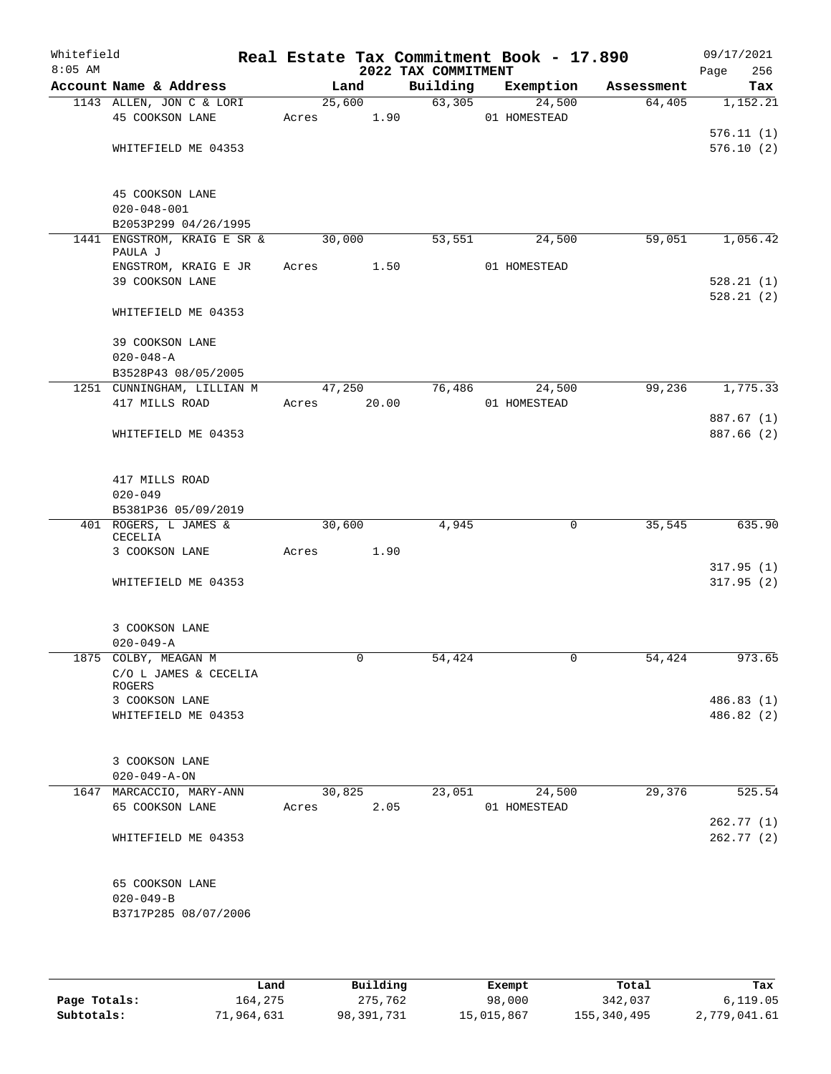| Whitefield<br>$8:05$ AM |                                        |             |        | 2022 TAX COMMITMENT | Real Estate Tax Commitment Book - 17.890 |            | 09/17/2021<br>Page<br>256 |
|-------------------------|----------------------------------------|-------------|--------|---------------------|------------------------------------------|------------|---------------------------|
|                         | Account Name & Address                 | Land        |        | Building            | Exemption                                | Assessment | Tax                       |
|                         | 1143 ALLEN, JON C & LORI               | 25,600      |        | 63,305              | 24,500                                   | 64,405     | 1,152.21                  |
|                         | 45 COOKSON LANE                        | Acres       | 1.90   |                     | 01 HOMESTEAD                             |            |                           |
|                         |                                        |             |        |                     |                                          |            | 576.11(1)                 |
|                         | WHITEFIELD ME 04353                    |             |        |                     |                                          |            | 576.10(2)                 |
|                         | 45 COOKSON LANE                        |             |        |                     |                                          |            |                           |
|                         | $020 - 048 - 001$                      |             |        |                     |                                          |            |                           |
|                         | B2053P299 04/26/1995                   |             |        |                     |                                          |            |                           |
|                         | 1441 ENGSTROM, KRAIG E SR &<br>PAULA J | 30,000      |        | 53,551              | 24,500                                   | 59,051     | 1,056.42                  |
|                         | ENGSTROM, KRAIG E JR                   | Acres       | 1.50   |                     | 01 HOMESTEAD                             |            |                           |
|                         | 39 COOKSON LANE                        |             |        |                     |                                          |            | 528.21(1)                 |
|                         | WHITEFIELD ME 04353                    |             |        |                     |                                          |            | 528.21(2)                 |
|                         | 39 COOKSON LANE                        |             |        |                     |                                          |            |                           |
|                         | $020 - 048 - A$                        |             |        |                     |                                          |            |                           |
|                         | B3528P43 08/05/2005                    |             |        |                     |                                          |            |                           |
|                         | 1251 CUNNINGHAM, LILLIAN M             |             | 47,250 | 76,486              | 24,500                                   | 99,236     | 1,775.33                  |
|                         | 417 MILLS ROAD                         | Acres 20.00 |        |                     | 01 HOMESTEAD                             |            |                           |
|                         |                                        |             |        |                     |                                          |            | 887.67 (1)                |
|                         | WHITEFIELD ME 04353                    |             |        |                     |                                          |            | 887.66 (2)                |
|                         | 417 MILLS ROAD                         |             |        |                     |                                          |            |                           |
|                         | $020 - 049$                            |             |        |                     |                                          |            |                           |
|                         | B5381P36 05/09/2019                    |             |        |                     |                                          |            |                           |
|                         | 401 ROGERS, L JAMES &<br>CECELIA       | 30,600      |        | 4,945               | 0                                        | 35,545     | 635.90                    |
|                         | 3 COOKSON LANE                         | Acres       | 1.90   |                     |                                          |            |                           |
|                         |                                        |             |        |                     |                                          |            | 317.95(1)                 |
|                         | WHITEFIELD ME 04353                    |             |        |                     |                                          |            | 317.95(2)                 |
|                         | 3 COOKSON LANE                         |             |        |                     |                                          |            |                           |
|                         | $020 - 049 - A$                        |             |        |                     |                                          |            |                           |
|                         | 1875 COLBY, MEAGAN M                   |             |        | 54,424              |                                          | 54,424     | 973.65                    |
|                         | C/O L JAMES & CECELIA<br>ROGERS        |             |        |                     |                                          |            |                           |
|                         | 3 COOKSON LANE                         |             |        |                     |                                          |            | 486.83 (1)                |
|                         | WHITEFIELD ME 04353                    |             |        |                     |                                          |            | 486.82 (2)                |
|                         | 3 COOKSON LANE                         |             |        |                     |                                          |            |                           |
|                         | $020 - 049 - A - ON$                   |             |        |                     |                                          |            |                           |
|                         | 1647 MARCACCIO, MARY-ANN               | 30,825      |        | 23,051              | 24,500                                   | 29,376     | 525.54                    |
|                         | 65 COOKSON LANE                        | Acres       | 2.05   |                     | 01 HOMESTEAD                             |            |                           |
|                         |                                        |             |        |                     |                                          |            | 262.77 (1)                |
|                         | WHITEFIELD ME 04353                    |             |        |                     |                                          |            | 262.77(2)                 |
|                         | 65 COOKSON LANE                        |             |        |                     |                                          |            |                           |
|                         | $020 - 049 - B$                        |             |        |                     |                                          |            |                           |
|                         | B3717P285 08/07/2006                   |             |        |                     |                                          |            |                           |
|                         |                                        |             |        |                     |                                          |            |                           |

|              | Land       | Building   | Exempt     | Total       | Tax          |
|--------------|------------|------------|------------|-------------|--------------|
| Page Totals: | 164,275    | 275,762    | 98,000     | 342,037     | 6, 119.05    |
| Subtotals:   | 71,964,631 | 98,391,731 | 15,015,867 | 155,340,495 | 2,779,041.61 |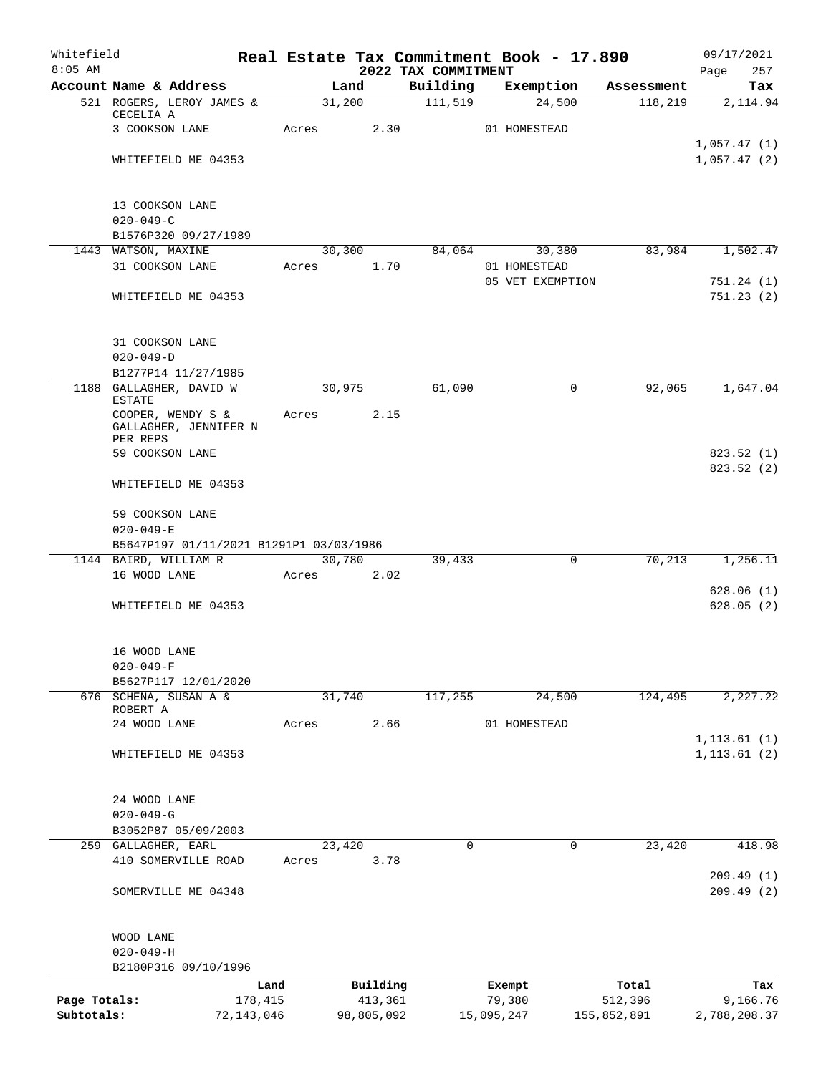| Whitefield<br>$8:05$ AM    |                                                               |         |        |                       | Real Estate Tax Commitment Book - 17.890<br>2022 TAX COMMITMENT |            |                  |             | 09/17/2021<br>257<br>Page |
|----------------------------|---------------------------------------------------------------|---------|--------|-----------------------|-----------------------------------------------------------------|------------|------------------|-------------|---------------------------|
|                            | Account Name & Address                                        |         | Land   |                       | Building                                                        |            | Exemption        | Assessment  | Tax                       |
|                            | 521 ROGERS, LEROY JAMES &<br>CECELIA A                        |         | 31,200 |                       | 111,519                                                         |            | 24,500           | 118,219     | 2,114.94                  |
|                            | 3 COOKSON LANE                                                | Acres   |        | 2.30                  |                                                                 |            | 01 HOMESTEAD     |             |                           |
|                            |                                                               |         |        |                       |                                                                 |            |                  |             | 1,057.47(1)               |
|                            | WHITEFIELD ME 04353                                           |         |        |                       |                                                                 |            |                  |             | 1,057.47(2)               |
|                            | 13 COOKSON LANE                                               |         |        |                       |                                                                 |            |                  |             |                           |
|                            | $020 - 049 - C$                                               |         |        |                       |                                                                 |            |                  |             |                           |
|                            | B1576P320 09/27/1989<br>1443 WATSON, MAXINE                   |         | 30,300 |                       | 84,064                                                          |            | 30,380           | 83,984      | 1,502.47                  |
|                            | 31 COOKSON LANE                                               | Acres   |        | 1.70                  |                                                                 |            | 01 HOMESTEAD     |             |                           |
|                            |                                                               |         |        |                       |                                                                 |            | 05 VET EXEMPTION |             | 751.24(1)                 |
|                            | WHITEFIELD ME 04353                                           |         |        |                       |                                                                 |            |                  |             | 751.23(2)                 |
|                            | 31 COOKSON LANE                                               |         |        |                       |                                                                 |            |                  |             |                           |
|                            | $020 - 049 - D$                                               |         |        |                       |                                                                 |            |                  |             |                           |
|                            | B1277P14 11/27/1985                                           |         |        |                       |                                                                 |            |                  |             |                           |
|                            | 1188 GALLAGHER, DAVID W<br><b>ESTATE</b><br>COOPER, WENDY S & | Acres   | 30,975 | 2.15                  | 61,090                                                          |            | $\mathbf 0$      | 92,065      | 1,647.04                  |
|                            | GALLAGHER, JENNIFER N<br>PER REPS                             |         |        |                       |                                                                 |            |                  |             |                           |
|                            | 59 COOKSON LANE                                               |         |        |                       |                                                                 |            |                  |             | 823.52(1)<br>823.52 (2)   |
|                            | WHITEFIELD ME 04353                                           |         |        |                       |                                                                 |            |                  |             |                           |
|                            | 59 COOKSON LANE                                               |         |        |                       |                                                                 |            |                  |             |                           |
|                            | $020 - 049 - E$                                               |         |        |                       |                                                                 |            |                  |             |                           |
|                            | B5647P197 01/11/2021 B1291P1 03/03/1986                       |         |        |                       |                                                                 |            |                  |             |                           |
|                            | 1144 BAIRD, WILLIAM R<br>16 WOOD LANE                         | Acres   | 30,780 | 2.02                  | 39,433                                                          |            | 0                | 70,213      | 1,256.11                  |
|                            |                                                               |         |        |                       |                                                                 |            |                  |             | 628.06(1)                 |
|                            | WHITEFIELD ME 04353                                           |         |        |                       |                                                                 |            |                  |             | 628.05(2)                 |
|                            | 16 WOOD LANE                                                  |         |        |                       |                                                                 |            |                  |             |                           |
|                            | $020 - 049 - F$                                               |         |        |                       |                                                                 |            |                  |             |                           |
|                            | B5627P117 12/01/2020                                          |         |        |                       |                                                                 |            |                  |             |                           |
|                            | 676 SCHENA, SUSAN A &<br>ROBERT A                             |         | 31,740 |                       | 117,255                                                         |            | 24,500           | 124,495     | 2,227.22                  |
|                            | 24 WOOD LANE                                                  | Acres   |        | 2.66                  |                                                                 |            | 01 HOMESTEAD     |             |                           |
|                            |                                                               |         |        |                       |                                                                 |            |                  |             | 1, 113.61(1)              |
|                            | WHITEFIELD ME 04353                                           |         |        |                       |                                                                 |            |                  |             | 1, 113.61(2)              |
|                            | 24 WOOD LANE                                                  |         |        |                       |                                                                 |            |                  |             |                           |
|                            | $020 - 049 - G$                                               |         |        |                       |                                                                 |            |                  |             |                           |
|                            | B3052P87 05/09/2003                                           |         |        |                       |                                                                 |            |                  |             |                           |
|                            | 259 GALLAGHER, EARL                                           |         | 23,420 |                       | $\Omega$                                                        |            | $\Omega$         | 23,420      | 418.98                    |
|                            | 410 SOMERVILLE ROAD                                           | Acres   |        | 3.78                  |                                                                 |            |                  |             | 209.49(1)                 |
|                            | SOMERVILLE ME 04348                                           |         |        |                       |                                                                 |            |                  |             | 209.49(2)                 |
|                            | WOOD LANE                                                     |         |        |                       |                                                                 |            |                  |             |                           |
|                            | $020 - 049 - H$                                               |         |        |                       |                                                                 |            |                  |             |                           |
|                            | B2180P316 09/10/1996                                          |         |        |                       |                                                                 |            |                  |             |                           |
|                            |                                                               | Land    |        | Building              |                                                                 | Exempt     |                  | Total       | Tax                       |
| Page Totals:<br>Subtotals: |                                                               | 178,415 |        | 413,361<br>98,805,092 |                                                                 | 79,380     |                  | 512,396     | 9,166.76                  |
|                            | 72,143,046                                                    |         |        |                       |                                                                 | 15,095,247 |                  | 155,852,891 | 2,788,208.37              |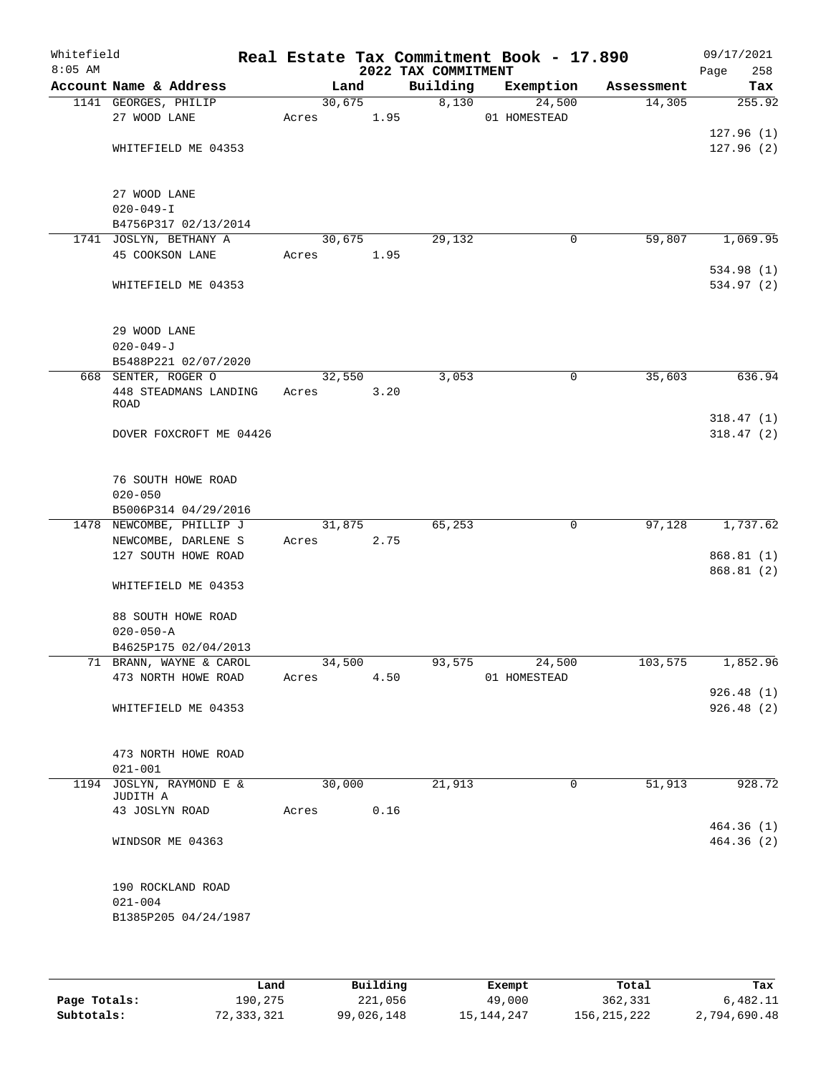| Whitefield<br>$8:05$ AM |                                                  |        |      | 2022 TAX COMMITMENT | Real Estate Tax Commitment Book - 17.890 |            | 09/17/2021<br>258<br>Page |
|-------------------------|--------------------------------------------------|--------|------|---------------------|------------------------------------------|------------|---------------------------|
|                         | Account Name & Address                           | Land   |      | Building            | Exemption                                | Assessment | Tax                       |
|                         | 1141 GEORGES, PHILIP                             | 30,675 |      | 8,130               | 24,500                                   | 14,305     | 255.92                    |
|                         | 27 WOOD LANE                                     | Acres  | 1.95 |                     | 01 HOMESTEAD                             |            |                           |
|                         |                                                  |        |      |                     |                                          |            | 127.96(1)                 |
|                         | WHITEFIELD ME 04353                              |        |      |                     |                                          |            | 127.96(2)                 |
|                         | 27 WOOD LANE                                     |        |      |                     |                                          |            |                           |
|                         | $020 - 049 - I$                                  |        |      |                     |                                          |            |                           |
|                         | B4756P317 02/13/2014                             |        |      |                     |                                          |            |                           |
|                         | 1741 JOSLYN, BETHANY A                           | 30,675 |      | 29,132              | 0                                        | 59,807     | 1,069.95                  |
|                         | 45 COOKSON LANE                                  | Acres  | 1.95 |                     |                                          |            | 534.98 (1)                |
|                         | WHITEFIELD ME 04353                              |        |      |                     |                                          |            | 534.97 (2)                |
|                         | 29 WOOD LANE                                     |        |      |                     |                                          |            |                           |
|                         | $020 - 049 - J$                                  |        |      |                     |                                          |            |                           |
|                         | B5488P221 02/07/2020                             |        |      |                     |                                          |            |                           |
|                         | 668 SENTER, ROGER O                              | 32,550 |      | 3,053               | 0                                        | 35,603     | 636.94                    |
|                         | 448 STEADMANS LANDING<br>ROAD                    | Acres  | 3.20 |                     |                                          |            |                           |
|                         |                                                  |        |      |                     |                                          |            | 318.47(1)                 |
|                         | DOVER FOXCROFT ME 04426                          |        |      |                     |                                          |            | 318.47(2)                 |
|                         | 76 SOUTH HOWE ROAD<br>$020 - 050$                |        |      |                     |                                          |            |                           |
|                         | B5006P314 04/29/2016<br>1478 NEWCOMBE, PHILLIP J | 31,875 |      | 65,253              | 0                                        | 97,128     | 1,737.62                  |
|                         | NEWCOMBE, DARLENE S                              | Acres  | 2.75 |                     |                                          |            |                           |
|                         | 127 SOUTH HOWE ROAD                              |        |      |                     |                                          |            | 868.81(1)                 |
|                         |                                                  |        |      |                     |                                          |            | 868.81(2)                 |
|                         | WHITEFIELD ME 04353                              |        |      |                     |                                          |            |                           |
|                         | 88 SOUTH HOWE ROAD                               |        |      |                     |                                          |            |                           |
|                         | $020 - 050 - A$                                  |        |      |                     |                                          |            |                           |
|                         | B4625P175 02/04/2013                             |        |      |                     |                                          |            |                           |
|                         | 71 BRANN, WAYNE & CAROL                          | 34,500 |      | 93,575              | 24,500                                   | 103,575    | 1,852.96                  |
|                         | 473 NORTH HOWE ROAD                              | Acres  | 4.50 |                     | 01 HOMESTEAD                             |            |                           |
|                         |                                                  |        |      |                     |                                          |            | 926.48(1)                 |
|                         | WHITEFIELD ME 04353                              |        |      |                     |                                          |            | 926.48(2)                 |
|                         | 473 NORTH HOWE ROAD                              |        |      |                     |                                          |            |                           |
|                         | $021 - 001$                                      |        |      |                     |                                          |            |                           |
| 1194                    | JOSLYN, RAYMOND E &<br>JUDITH A                  | 30,000 |      | 21,913              | 0                                        | 51,913     | 928.72                    |
|                         | 43 JOSLYN ROAD                                   | Acres  | 0.16 |                     |                                          |            |                           |
|                         |                                                  |        |      |                     |                                          |            | 464.36(1)                 |
|                         | WINDSOR ME 04363                                 |        |      |                     |                                          |            | 464.36(2)                 |
|                         | 190 ROCKLAND ROAD                                |        |      |                     |                                          |            |                           |
|                         | $021 - 004$                                      |        |      |                     |                                          |            |                           |
|                         | B1385P205 04/24/1987                             |        |      |                     |                                          |            |                           |
|                         |                                                  |        |      |                     |                                          |            |                           |

|              | Land       | Building   | Exempt       | Total       | Tax          |
|--------------|------------|------------|--------------|-------------|--------------|
| Page Totals: | 190,275    | 221,056    | 49,000       | 362,331     | 6,482.11     |
| Subtotals:   | 72,333,321 | 99,026,148 | 15, 144, 247 | 156,215,222 | 2,794,690.48 |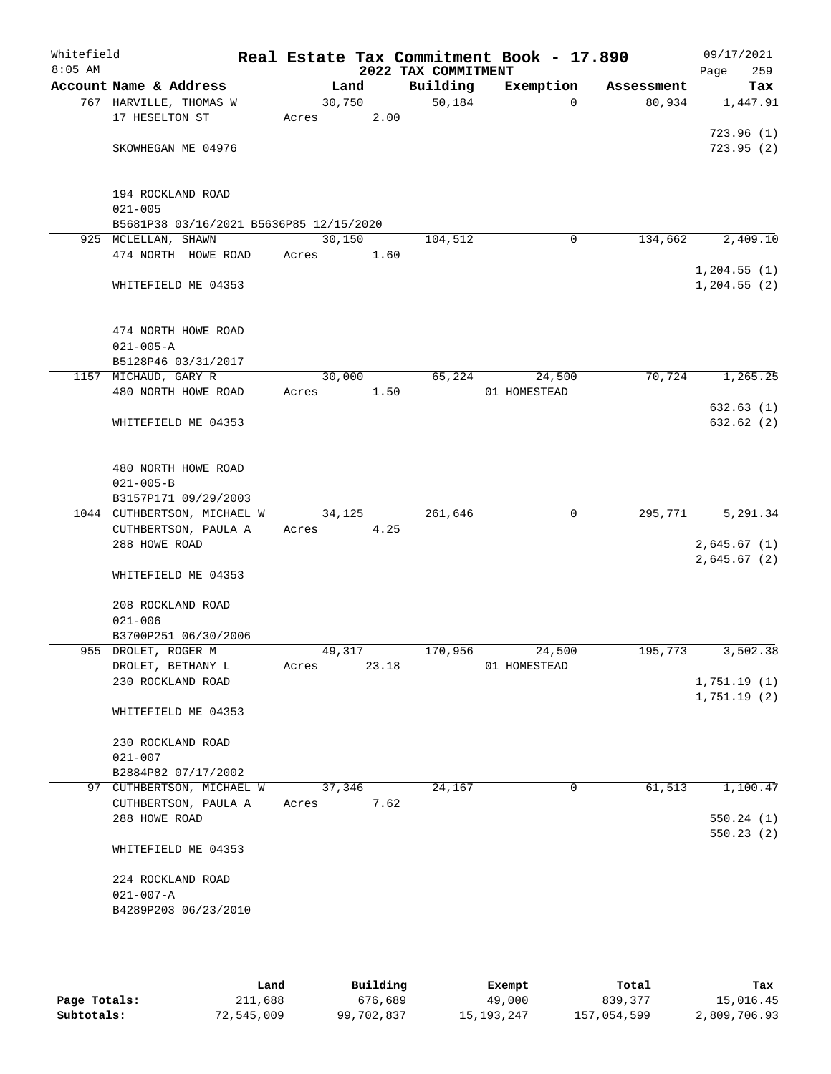| Whitefield<br>$8:05$ AM |                                                     |                 |       | 2022 TAX COMMITMENT | Real Estate Tax Commitment Book - 17.890 |            | 09/17/2021<br>Page<br>259  |
|-------------------------|-----------------------------------------------------|-----------------|-------|---------------------|------------------------------------------|------------|----------------------------|
|                         | Account Name & Address                              | Land            |       | Building            | Exemption                                | Assessment | Tax                        |
|                         | 767 HARVILLE, THOMAS W                              | 30,750          |       | 50,184              | $\Omega$                                 | 80,934     | 1,447.91                   |
|                         | 17 HESELTON ST                                      | Acres           | 2.00  |                     |                                          |            | 723.96(1)                  |
|                         | SKOWHEGAN ME 04976                                  |                 |       |                     |                                          |            | 723.95(2)                  |
|                         | 194 ROCKLAND ROAD<br>$021 - 005$                    |                 |       |                     |                                          |            |                            |
|                         | B5681P38 03/16/2021 B5636P85 12/15/2020             |                 |       |                     |                                          |            |                            |
|                         | 925 MCLELLAN, SHAWN                                 | 30,150          |       | 104,512             | 0                                        | 134,662    | 2,409.10                   |
|                         | 474 NORTH HOWE ROAD                                 | Acres           | 1.60  |                     |                                          |            | 1, 204.55(1)               |
|                         | WHITEFIELD ME 04353                                 |                 |       |                     |                                          |            | $1, 204.55$ (2)            |
|                         | 474 NORTH HOWE ROAD<br>$021 - 005 - A$              |                 |       |                     |                                          |            |                            |
|                         | B5128P46 03/31/2017                                 |                 |       |                     |                                          |            |                            |
|                         | 1157 MICHAUD, GARY R<br>480 NORTH HOWE ROAD         | 30,000<br>Acres | 1.50  | 65,224              | 24,500<br>01 HOMESTEAD                   | 70,724     | 1, 265.25                  |
|                         |                                                     |                 |       |                     |                                          |            | 632.63(1)                  |
|                         | WHITEFIELD ME 04353                                 |                 |       |                     |                                          |            | 632.62(2)                  |
|                         | 480 NORTH HOWE ROAD<br>$021 - 005 - B$              |                 |       |                     |                                          |            |                            |
|                         | B3157P171 09/29/2003                                |                 |       |                     |                                          |            |                            |
|                         | 1044 CUTHBERTSON, MICHAEL W<br>CUTHBERTSON, PAULA A | 34,125<br>Acres | 4.25  | 261,646             | $\mathbf 0$                              | 295,771    | 5,291.34                   |
|                         | 288 HOWE ROAD                                       |                 |       |                     |                                          |            | 2,645.67(1)<br>2,645.67(2) |
|                         | WHITEFIELD ME 04353                                 |                 |       |                     |                                          |            |                            |
|                         | 208 ROCKLAND ROAD<br>$021 - 006$                    |                 |       |                     |                                          |            |                            |
|                         | B3700P251 06/30/2006                                |                 |       |                     |                                          |            |                            |
|                         | 955 DROLET, ROGER M                                 | 49,317          |       | 170,956             | 24,500                                   | 195,773    | 3,502.38                   |
|                         | DROLET, BETHANY L                                   | Acres           | 23.18 |                     | 01 HOMESTEAD                             |            |                            |
|                         | 230 ROCKLAND ROAD                                   |                 |       |                     |                                          |            | 1,751.19(1)<br>1,751.19(2) |
|                         | WHITEFIELD ME 04353                                 |                 |       |                     |                                          |            |                            |
|                         | 230 ROCKLAND ROAD                                   |                 |       |                     |                                          |            |                            |
|                         | $021 - 007$<br>B2884P82 07/17/2002                  |                 |       |                     |                                          |            |                            |
|                         | 97 CUTHBERTSON, MICHAEL W                           | 37,346          |       | 24,167              | 0                                        | 61,513     | 1,100.47                   |
|                         | CUTHBERTSON, PAULA A                                | Acres           | 7.62  |                     |                                          |            |                            |
|                         | 288 HOWE ROAD                                       |                 |       |                     |                                          |            | 550.24(1)<br>550.23(2)     |
|                         | WHITEFIELD ME 04353                                 |                 |       |                     |                                          |            |                            |
|                         | 224 ROCKLAND ROAD                                   |                 |       |                     |                                          |            |                            |
|                         | $021 - 007 - A$                                     |                 |       |                     |                                          |            |                            |
|                         | B4289P203 06/23/2010                                |                 |       |                     |                                          |            |                            |
|                         |                                                     |                 |       |                     |                                          |            |                            |

|              | Land       | Building   | Exempt       | Total       | Tax          |
|--------------|------------|------------|--------------|-------------|--------------|
| Page Totals: | 211,688    | 676,689    | 49,000       | 839,377     | 15,016.45    |
| Subtotals:   | 72,545,009 | 99,702,837 | 15, 193, 247 | 157,054,599 | 2,809,706.93 |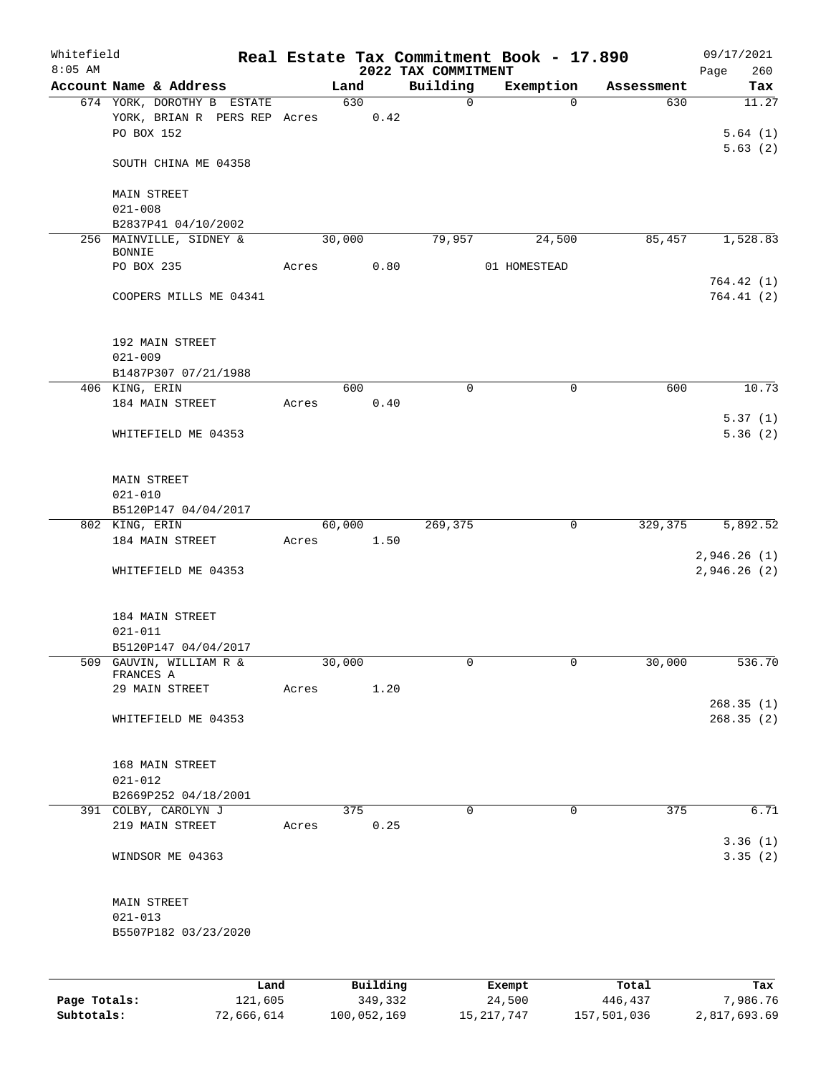| Whitefield<br>$8:05$ AM |                                                                          |      |       |        |          | 2022 TAX COMMITMENT | Real Estate Tax Commitment Book - 17.890 |            | 09/17/2021<br>260<br>Page |
|-------------------------|--------------------------------------------------------------------------|------|-------|--------|----------|---------------------|------------------------------------------|------------|---------------------------|
|                         | Account Name & Address                                                   |      |       | Land   |          | Building            | Exemption                                | Assessment | Tax                       |
|                         | 674 YORK, DOROTHY B ESTATE<br>YORK, BRIAN R PERS REP Acres<br>PO BOX 152 |      |       | 630    | 0.42     | $\mathbf 0$         | $\Omega$                                 | 630        | 11.27<br>5.64(1)          |
|                         | SOUTH CHINA ME 04358                                                     |      |       |        |          |                     |                                          |            | 5.63(2)                   |
|                         | <b>MAIN STREET</b><br>$021 - 008$                                        |      |       |        |          |                     |                                          |            |                           |
|                         | B2837P41 04/10/2002                                                      |      |       |        |          |                     |                                          |            |                           |
|                         | 256 MAINVILLE, SIDNEY &                                                  |      |       | 30,000 |          | 79,957              | 24,500                                   | 85,457     | 1,528.83                  |
|                         | <b>BONNIE</b><br>PO BOX 235                                              |      | Acres |        | 0.80     |                     | 01 HOMESTEAD                             |            | 764.42(1)                 |
|                         | COOPERS MILLS ME 04341                                                   |      |       |        |          |                     |                                          |            | 764.41(2)                 |
|                         | 192 MAIN STREET<br>$021 - 009$                                           |      |       |        |          |                     |                                          |            |                           |
|                         | B1487P307 07/21/1988                                                     |      |       |        |          |                     |                                          |            |                           |
|                         | 406 KING, ERIN                                                           |      |       | 600    |          | $\mathbf 0$         | $\mathsf{O}$                             | 600        | 10.73                     |
|                         | 184 MAIN STREET                                                          |      | Acres |        | 0.40     |                     |                                          |            |                           |
|                         | WHITEFIELD ME 04353                                                      |      |       |        |          |                     |                                          |            | 5.37(1)<br>5.36(2)        |
|                         | <b>MAIN STREET</b>                                                       |      |       |        |          |                     |                                          |            |                           |
|                         | $021 - 010$                                                              |      |       |        |          |                     |                                          |            |                           |
|                         | B5120P147 04/04/2017                                                     |      |       |        |          |                     |                                          |            |                           |
|                         | 802 KING, ERIN<br>184 MAIN STREET                                        |      |       | 60,000 | 1.50     | 269,375             | $\mathbf 0$                              | 329,375    | 5,892.52                  |
|                         |                                                                          |      | Acres |        |          |                     |                                          |            | 2,946.26(1)               |
|                         | WHITEFIELD ME 04353                                                      |      |       |        |          |                     |                                          |            | 2,946.26(2)               |
|                         | 184 MAIN STREET<br>$021 - 011$                                           |      |       |        |          |                     |                                          |            |                           |
|                         | B5120P147 04/04/2017                                                     |      |       |        |          |                     |                                          |            |                           |
|                         | 509 GAUVIN, WILLIAM R &<br>FRANCES A                                     |      |       | 30,000 |          | 0                   | 0                                        | 30,000     | 536.70                    |
|                         | 29 MAIN STREET                                                           |      | Acres |        | 1.20     |                     |                                          |            |                           |
|                         | WHITEFIELD ME 04353                                                      |      |       |        |          |                     |                                          |            | 268.35(1)<br>268.35(2)    |
|                         | 168 MAIN STREET<br>$021 - 012$                                           |      |       |        |          |                     |                                          |            |                           |
|                         | B2669P252 04/18/2001                                                     |      |       |        |          |                     |                                          |            |                           |
|                         | 391 COLBY, CAROLYN J                                                     |      |       | 375    |          | $\mathbf 0$         | $\mathbf 0$                              | 375        | 6.71                      |
|                         | 219 MAIN STREET                                                          |      | Acres |        | 0.25     |                     |                                          |            | 3.36(1)                   |
|                         | WINDSOR ME 04363                                                         |      |       |        |          |                     |                                          |            | 3.35(2)                   |
|                         | MAIN STREET                                                              |      |       |        |          |                     |                                          |            |                           |
|                         | $021 - 013$<br>B5507P182 03/23/2020                                      |      |       |        |          |                     |                                          |            |                           |
|                         |                                                                          |      |       |        |          |                     |                                          |            |                           |
|                         |                                                                          | Land |       |        | Building |                     | Exempt                                   | Total      | Tax                       |

**Page Totals:** 121,605 349,332 24,500 446,437 7,986.76 **Subtotals:** 72,666,614 100,052,169 15,217,747 157,501,036 2,817,693.69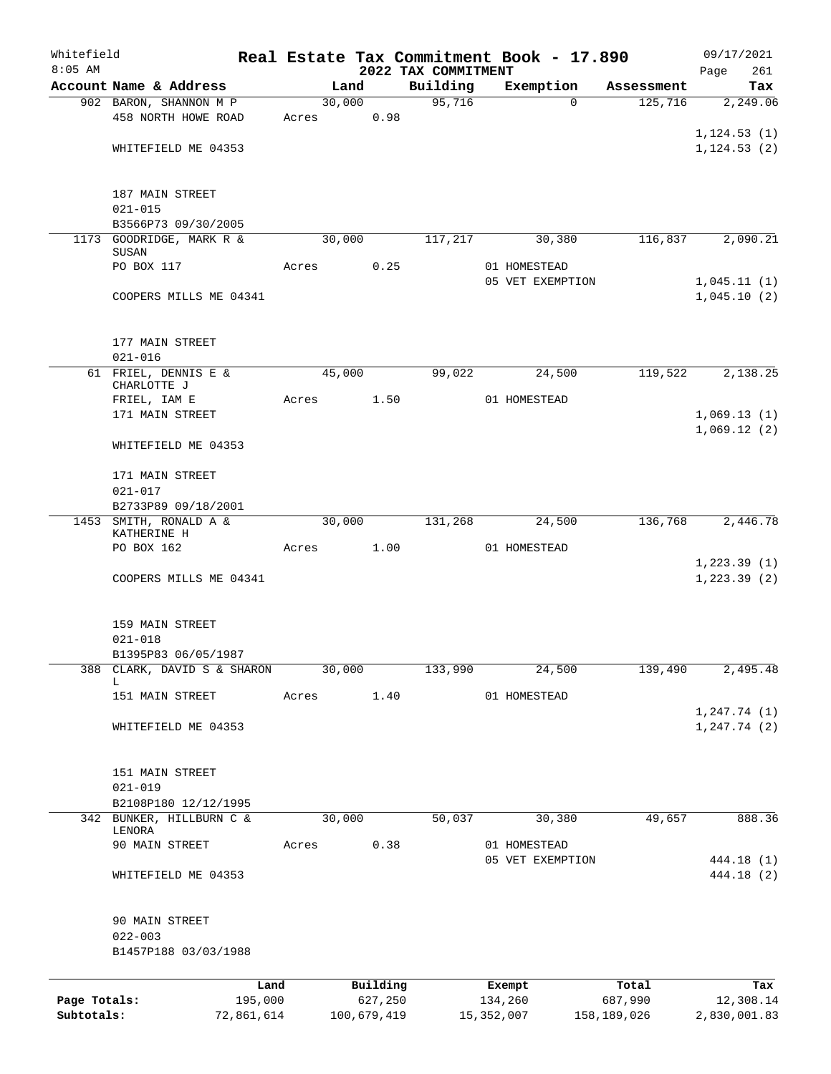| Whitefield   |                                       |       |        |             |                                 | Real Estate Tax Commitment Book - 17.890 |             | 09/17/2021         |
|--------------|---------------------------------------|-------|--------|-------------|---------------------------------|------------------------------------------|-------------|--------------------|
| $8:05$ AM    | Account Name & Address                |       | Land   |             | 2022 TAX COMMITMENT<br>Building | Exemption                                | Assessment  | 261<br>Page<br>Tax |
|              | 902 BARON, SHANNON M P                |       | 30,000 |             | 95,716                          | $\Omega$                                 | 125,716     | 2,249.06           |
|              | 458 NORTH HOWE ROAD                   | Acres |        | 0.98        |                                 |                                          |             |                    |
|              |                                       |       |        |             |                                 |                                          |             | 1, 124.53(1)       |
|              | WHITEFIELD ME 04353                   |       |        |             |                                 |                                          |             | 1, 124.53(2)       |
|              | 187 MAIN STREET                       |       |        |             |                                 |                                          |             |                    |
|              | $021 - 015$                           |       |        |             |                                 |                                          |             |                    |
|              | B3566P73 09/30/2005                   |       |        |             |                                 |                                          |             |                    |
| 1173         | GOODRIDGE, MARK R &<br>SUSAN          |       | 30,000 |             | 117,217                         | 30,380                                   | 116,837     | 2,090.21           |
|              | PO BOX 117                            | Acres |        | 0.25        |                                 | 01 HOMESTEAD                             |             |                    |
|              |                                       |       |        |             |                                 | 05 VET EXEMPTION                         |             | 1,045.11(1)        |
|              | COOPERS MILLS ME 04341                |       |        |             |                                 |                                          |             | 1,045.10(2)        |
|              | 177 MAIN STREET                       |       |        |             |                                 |                                          |             |                    |
|              | $021 - 016$                           |       |        |             |                                 |                                          |             |                    |
|              | 61 FRIEL, DENNIS E &                  |       | 45,000 |             | 99,022                          | 24,500                                   | 119,522     | 2,138.25           |
|              | CHARLOTTE J<br>FRIEL, IAM E           | Acres |        | 1.50        |                                 | 01 HOMESTEAD                             |             |                    |
|              | 171 MAIN STREET                       |       |        |             |                                 |                                          |             | 1,069.13(1)        |
|              |                                       |       |        |             |                                 |                                          |             | 1,069.12(2)        |
|              | WHITEFIELD ME 04353                   |       |        |             |                                 |                                          |             |                    |
|              | 171 MAIN STREET                       |       |        |             |                                 |                                          |             |                    |
|              | $021 - 017$                           |       |        |             |                                 |                                          |             |                    |
|              | B2733P89 09/18/2001                   |       |        |             |                                 |                                          |             |                    |
|              | 1453 SMITH, RONALD A &<br>KATHERINE H |       | 30,000 |             | 131,268                         | 24,500                                   | 136,768     | 2,446.78           |
|              | PO BOX 162                            | Acres |        | 1.00        |                                 | 01 HOMESTEAD                             |             |                    |
|              |                                       |       |        |             |                                 |                                          |             | 1,223.39(1)        |
|              | COOPERS MILLS ME 04341                |       |        |             |                                 |                                          |             | 1, 223.39(2)       |
|              | 159 MAIN STREET                       |       |        |             |                                 |                                          |             |                    |
|              | $021 - 018$                           |       |        |             |                                 |                                          |             |                    |
|              | B1395P83 06/05/1987                   |       |        |             |                                 |                                          |             |                    |
| 388          | CLARK, DAVID S & SHARON<br>L          |       | 30,000 |             | 133,990                         | 24,500                                   | 139,490     | 2,495.48           |
|              | 151 MAIN STREET                       | Acres |        | 1.40        |                                 | 01 HOMESTEAD                             |             |                    |
|              |                                       |       |        |             |                                 |                                          |             | 1, 247.74(1)       |
|              | WHITEFIELD ME 04353                   |       |        |             |                                 |                                          |             | 1, 247.74(2)       |
|              | 151 MAIN STREET                       |       |        |             |                                 |                                          |             |                    |
|              | $021 - 019$                           |       |        |             |                                 |                                          |             |                    |
|              | B2108P180 12/12/1995                  |       |        |             |                                 |                                          |             |                    |
| 342          | BUNKER, HILLBURN C &<br>LENORA        |       | 30,000 |             | 50,037                          | 30,380                                   | 49,657      | 888.36             |
|              | 90 MAIN STREET                        | Acres |        | 0.38        |                                 | 01 HOMESTEAD                             |             |                    |
|              |                                       |       |        |             |                                 | 05 VET EXEMPTION                         |             | 444.18 (1)         |
|              | WHITEFIELD ME 04353                   |       |        |             |                                 |                                          |             | 444.18 (2)         |
|              | 90 MAIN STREET                        |       |        |             |                                 |                                          |             |                    |
|              | $022 - 003$                           |       |        |             |                                 |                                          |             |                    |
|              | B1457P188 03/03/1988                  |       |        |             |                                 |                                          |             |                    |
|              |                                       | Land  |        | Building    |                                 | Exempt                                   | Total       | Tax                |
| Page Totals: | 195,000                               |       |        | 627,250     |                                 | 134,260                                  | 687,990     | 12,308.14          |
| Subtotals:   | 72,861,614                            |       |        | 100,679,419 |                                 | 15,352,007                               | 158,189,026 | 2,830,001.83       |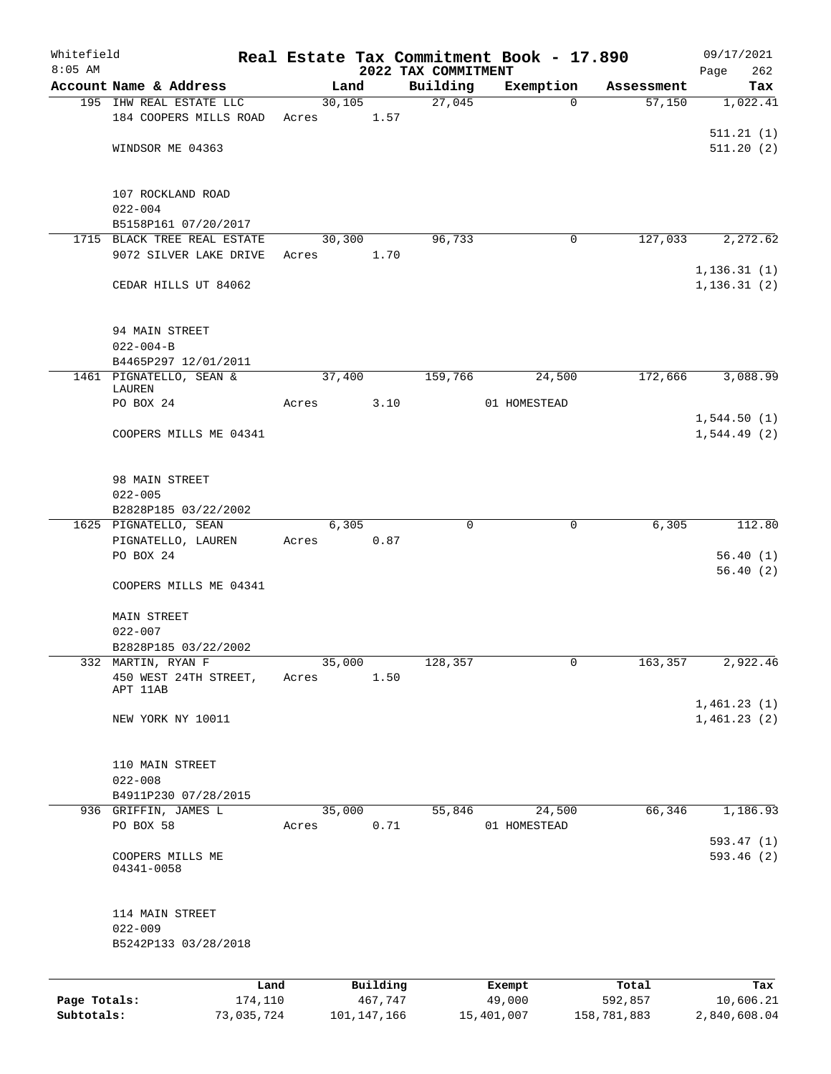| Whitefield   |                                   |                 |       |                |                     |                     | Real Estate Tax Commitment Book - 17.890 |                      | 09/17/2021       |
|--------------|-----------------------------------|-----------------|-------|----------------|---------------------|---------------------|------------------------------------------|----------------------|------------------|
| $8:05$ AM    | Account Name & Address            |                 |       |                |                     | 2022 TAX COMMITMENT |                                          |                      | 262<br>Page      |
|              | 195 IHW REAL ESTATE LLC           |                 |       | Land<br>30,105 |                     | Building<br>27,045  | Exemption<br>$\mathbf 0$                 | Assessment<br>57,150 | Tax<br>1,022.41  |
|              | 184 COOPERS MILLS ROAD            |                 | Acres |                | 1.57                |                     |                                          |                      |                  |
|              |                                   |                 |       |                |                     |                     |                                          |                      | 511.21(1)        |
|              | WINDSOR ME 04363                  |                 |       |                |                     |                     |                                          |                      | 511.20(2)        |
|              |                                   |                 |       |                |                     |                     |                                          |                      |                  |
|              |                                   |                 |       |                |                     |                     |                                          |                      |                  |
|              | 107 ROCKLAND ROAD<br>$022 - 004$  |                 |       |                |                     |                     |                                          |                      |                  |
|              | B5158P161 07/20/2017              |                 |       |                |                     |                     |                                          |                      |                  |
| 1715         | BLACK TREE REAL ESTATE            |                 |       | 30,300         |                     | 96,733              | 0                                        | 127,033              | 2,272.62         |
|              | 9072 SILVER LAKE DRIVE            |                 | Acres |                | 1.70                |                     |                                          |                      |                  |
|              |                                   |                 |       |                |                     |                     |                                          |                      | 1, 136.31(1)     |
|              | CEDAR HILLS UT 84062              |                 |       |                |                     |                     |                                          |                      | 1, 136.31(2)     |
|              |                                   |                 |       |                |                     |                     |                                          |                      |                  |
|              | 94 MAIN STREET                    |                 |       |                |                     |                     |                                          |                      |                  |
|              | $022 - 004 - B$                   |                 |       |                |                     |                     |                                          |                      |                  |
|              | B4465P297 12/01/2011              |                 |       |                |                     |                     |                                          |                      |                  |
|              | 1461 PIGNATELLO, SEAN &           |                 |       | 37,400         |                     | 159,766             | 24,500                                   | 172,666              | 3,088.99         |
|              | LAUREN<br>PO BOX 24               |                 | Acres |                | 3.10                |                     | 01 HOMESTEAD                             |                      |                  |
|              |                                   |                 |       |                |                     |                     |                                          |                      | 1,544.50(1)      |
|              | COOPERS MILLS ME 04341            |                 |       |                |                     |                     |                                          |                      | 1,544.49(2)      |
|              |                                   |                 |       |                |                     |                     |                                          |                      |                  |
|              | 98 MAIN STREET                    |                 |       |                |                     |                     |                                          |                      |                  |
|              | $022 - 005$                       |                 |       |                |                     |                     |                                          |                      |                  |
|              | B2828P185 03/22/2002              |                 |       |                |                     |                     |                                          |                      |                  |
|              | 1625 PIGNATELLO, SEAN             |                 |       | 6,305          |                     | 0                   | 0                                        | 6,305                | 112.80           |
|              | PIGNATELLO, LAUREN                |                 | Acres |                | 0.87                |                     |                                          |                      |                  |
|              | PO BOX 24                         |                 |       |                |                     |                     |                                          |                      | 56.40(1)         |
|              | COOPERS MILLS ME 04341            |                 |       |                |                     |                     |                                          |                      | 56.40(2)         |
|              |                                   |                 |       |                |                     |                     |                                          |                      |                  |
|              | <b>MAIN STREET</b>                |                 |       |                |                     |                     |                                          |                      |                  |
|              | $022 - 007$                       |                 |       |                |                     |                     |                                          |                      |                  |
|              | B2828P185 03/22/2002              |                 |       |                |                     |                     |                                          |                      |                  |
|              | 332 MARTIN, RYAN F                |                 |       | 35,000         |                     | 128,357             | 0                                        | 163,357              | 2,922.46         |
|              | 450 WEST 24TH STREET,<br>APT 11AB |                 | Acres |                | 1.50                |                     |                                          |                      |                  |
|              |                                   |                 |       |                |                     |                     |                                          |                      | 1,461.23(1)      |
|              | NEW YORK NY 10011                 |                 |       |                |                     |                     |                                          |                      | 1,461.23(2)      |
|              |                                   |                 |       |                |                     |                     |                                          |                      |                  |
|              | 110 MAIN STREET                   |                 |       |                |                     |                     |                                          |                      |                  |
|              | $022 - 008$                       |                 |       |                |                     |                     |                                          |                      |                  |
|              | B4911P230 07/28/2015              |                 |       |                |                     |                     |                                          |                      |                  |
|              | 936 GRIFFIN, JAMES L              |                 |       | 35,000         |                     | 55,846              | 24,500                                   | 66,346               | 1,186.93         |
|              | PO BOX 58                         |                 | Acres |                | 0.71                |                     | 01 HOMESTEAD                             |                      |                  |
|              |                                   |                 |       |                |                     |                     |                                          |                      | 593.47(1)        |
|              | COOPERS MILLS ME<br>04341-0058    |                 |       |                |                     |                     |                                          |                      | 593.46(2)        |
|              |                                   |                 |       |                |                     |                     |                                          |                      |                  |
|              |                                   |                 |       |                |                     |                     |                                          |                      |                  |
|              | 114 MAIN STREET<br>$022 - 009$    |                 |       |                |                     |                     |                                          |                      |                  |
|              | B5242P133 03/28/2018              |                 |       |                |                     |                     |                                          |                      |                  |
|              |                                   |                 |       |                |                     |                     |                                          |                      |                  |
|              |                                   |                 |       |                |                     |                     |                                          |                      |                  |
| Page Totals: |                                   | Land<br>174,110 |       |                | Building<br>467,747 |                     | Exempt<br>49,000                         | Total<br>592,857     | Tax<br>10,606.21 |
| Subtotals:   |                                   | 73,035,724      |       |                | 101, 147, 166       |                     | 15,401,007                               | 158,781,883          | 2,840,608.04     |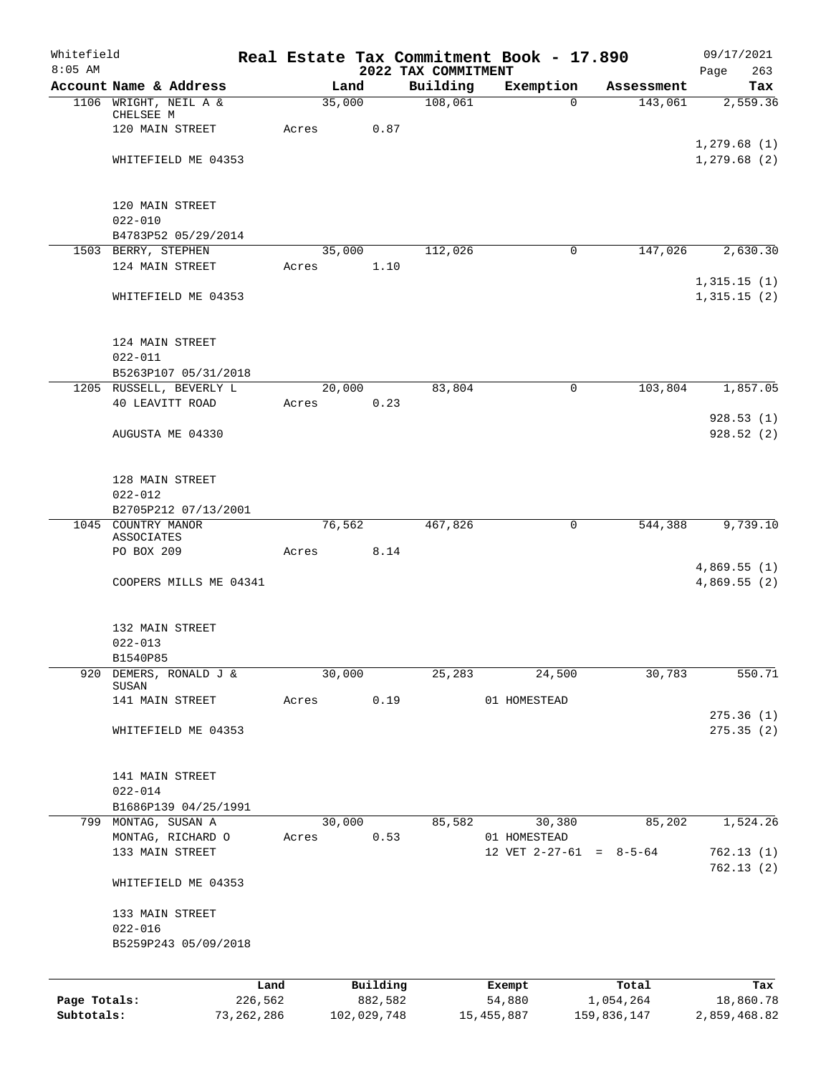| Whitefield   |                                            |         |        |             |                                 | Real Estate Tax Commitment Book - 17.890  |             | 09/17/2021                 |
|--------------|--------------------------------------------|---------|--------|-------------|---------------------------------|-------------------------------------------|-------------|----------------------------|
| $8:05$ AM    | Account Name & Address                     |         | Land   |             | 2022 TAX COMMITMENT<br>Building | Exemption                                 | Assessment  | 263<br>Page<br>Tax         |
|              | 1106 WRIGHT, NEIL A &                      |         | 35,000 |             | 108,061                         | $\mathbf 0$                               | 143,061     | 2,559.36                   |
|              | CHELSEE M                                  |         |        |             |                                 |                                           |             |                            |
|              | 120 MAIN STREET                            | Acres   |        | 0.87        |                                 |                                           |             |                            |
|              | WHITEFIELD ME 04353                        |         |        |             |                                 |                                           |             | 1,279.68(1)<br>1,279.68(2) |
|              |                                            |         |        |             |                                 |                                           |             |                            |
|              |                                            |         |        |             |                                 |                                           |             |                            |
|              | 120 MAIN STREET                            |         |        |             |                                 |                                           |             |                            |
|              | $022 - 010$<br>B4783P52 05/29/2014         |         |        |             |                                 |                                           |             |                            |
|              | 1503 BERRY, STEPHEN                        |         | 35,000 |             | 112,026                         | 0                                         | 147,026     | 2,630.30                   |
|              | 124 MAIN STREET                            | Acres   |        | 1.10        |                                 |                                           |             |                            |
|              |                                            |         |        |             |                                 |                                           |             | 1,315.15(1)                |
|              | WHITEFIELD ME 04353                        |         |        |             |                                 |                                           |             | 1,315.15(2)                |
|              |                                            |         |        |             |                                 |                                           |             |                            |
|              | 124 MAIN STREET                            |         |        |             |                                 |                                           |             |                            |
|              | $022 - 011$                                |         |        |             |                                 |                                           |             |                            |
|              | B5263P107 05/31/2018                       |         |        |             |                                 |                                           |             |                            |
|              | 1205 RUSSELL, BEVERLY L                    |         | 20,000 |             | 83,804                          | $\mathbf 0$                               | 103,804     | 1,857.05                   |
|              | 40 LEAVITT ROAD                            | Acres   |        | 0.23        |                                 |                                           |             | 928.53(1)                  |
|              | AUGUSTA ME 04330                           |         |        |             |                                 |                                           |             | 928.52(2)                  |
|              |                                            |         |        |             |                                 |                                           |             |                            |
|              |                                            |         |        |             |                                 |                                           |             |                            |
|              | 128 MAIN STREET                            |         |        |             |                                 |                                           |             |                            |
|              | $022 - 012$                                |         |        |             |                                 |                                           |             |                            |
|              | B2705P212 07/13/2001<br>1045 COUNTRY MANOR |         | 76,562 |             | 467,826                         | 0                                         | 544,388     | 9,739.10                   |
|              | ASSOCIATES                                 |         |        |             |                                 |                                           |             |                            |
|              | PO BOX 209                                 | Acres   |        | 8.14        |                                 |                                           |             |                            |
|              |                                            |         |        |             |                                 |                                           |             | 4,869.55(1)                |
|              | COOPERS MILLS ME 04341                     |         |        |             |                                 |                                           |             | 4,869.55(2)                |
|              |                                            |         |        |             |                                 |                                           |             |                            |
|              | 132 MAIN STREET                            |         |        |             |                                 |                                           |             |                            |
|              | $022 - 013$                                |         |        |             |                                 |                                           |             |                            |
|              | B1540P85                                   |         |        |             |                                 |                                           |             |                            |
| 920          | DEMERS, RONALD J &<br>SUSAN                |         | 30,000 |             | 25,283                          | 24,500                                    | 30,783      | 550.71                     |
|              | 141 MAIN STREET                            | Acres   |        | 0.19        |                                 | 01 HOMESTEAD                              |             |                            |
|              |                                            |         |        |             |                                 |                                           |             | 275.36(1)                  |
|              | WHITEFIELD ME 04353                        |         |        |             |                                 |                                           |             | 275.35(2)                  |
|              |                                            |         |        |             |                                 |                                           |             |                            |
|              | 141 MAIN STREET                            |         |        |             |                                 |                                           |             |                            |
|              | $022 - 014$                                |         |        |             |                                 |                                           |             |                            |
|              | B1686P139 04/25/1991                       |         |        |             |                                 |                                           |             |                            |
|              | 799 MONTAG, SUSAN A                        |         | 30,000 |             | 85,582                          | 30,380                                    | 85,202      | 1,524.26                   |
|              | MONTAG, RICHARD O<br>133 MAIN STREET       | Acres   |        | 0.53        |                                 | 01 HOMESTEAD<br>12 VET $2-27-61 = 8-5-64$ |             | 762.13(1)                  |
|              |                                            |         |        |             |                                 |                                           |             | 762.13(2)                  |
|              | WHITEFIELD ME 04353                        |         |        |             |                                 |                                           |             |                            |
|              |                                            |         |        |             |                                 |                                           |             |                            |
|              | 133 MAIN STREET<br>$022 - 016$             |         |        |             |                                 |                                           |             |                            |
|              | B5259P243 05/09/2018                       |         |        |             |                                 |                                           |             |                            |
|              |                                            |         |        |             |                                 |                                           |             |                            |
|              |                                            | Land    |        | Building    |                                 | Exempt                                    | Total       | Tax                        |
| Page Totals: |                                            | 226,562 |        | 882,582     |                                 | 54,880                                    | 1,054,264   | 18,860.78                  |
| Subtotals:   | 73, 262, 286                               |         |        | 102,029,748 |                                 | 15,455,887                                | 159,836,147 | 2,859,468.82               |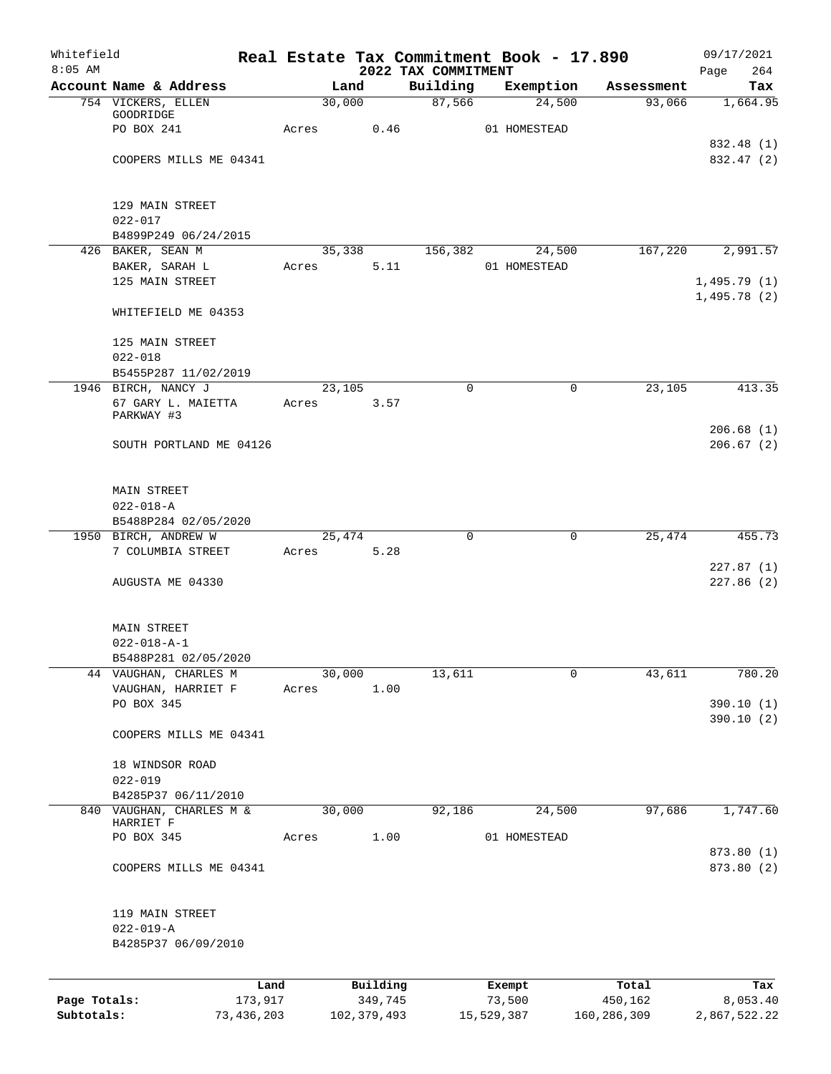| Whitefield<br>$8:05$ AM |                                               |                 |                     | 2022 TAX COMMITMENT | Real Estate Tax Commitment Book - 17.890 |                       | 09/17/2021<br>264<br>Page  |
|-------------------------|-----------------------------------------------|-----------------|---------------------|---------------------|------------------------------------------|-----------------------|----------------------------|
|                         | Account Name & Address                        | Land            |                     | Building            | Exemption                                | Assessment            | Tax                        |
|                         | 754 VICKERS, ELLEN                            | 30,000          |                     | 87,566              | 24,500                                   | 93,066                | 1,664.95                   |
|                         | GOODRIDGE                                     |                 |                     |                     |                                          |                       |                            |
|                         | PO BOX 241                                    | Acres           | 0.46                |                     | 01 HOMESTEAD                             |                       | 832.48 (1)                 |
|                         | COOPERS MILLS ME 04341                        |                 |                     |                     |                                          |                       | 832.47 (2)                 |
|                         |                                               |                 |                     |                     |                                          |                       |                            |
|                         | 129 MAIN STREET                               |                 |                     |                     |                                          |                       |                            |
|                         | $022 - 017$<br>B4899P249 06/24/2015           |                 |                     |                     |                                          |                       |                            |
|                         | 426 BAKER, SEAN M                             | 35,338          |                     | 156,382             | 24,500                                   | 167,220               | 2,991.57                   |
|                         | BAKER, SARAH L                                | Acres           | 5.11                |                     | 01 HOMESTEAD                             |                       |                            |
|                         | 125 MAIN STREET                               |                 |                     |                     |                                          |                       | 1,495.79(1)<br>1,495.78(2) |
|                         | WHITEFIELD ME 04353                           |                 |                     |                     |                                          |                       |                            |
|                         | 125 MAIN STREET                               |                 |                     |                     |                                          |                       |                            |
|                         | $022 - 018$                                   |                 |                     |                     |                                          |                       |                            |
|                         | B5455P287 11/02/2019                          |                 |                     |                     |                                          |                       |                            |
|                         | 1946 BIRCH, NANCY J<br>67 GARY L. MAIETTA     | 23,105<br>Acres | 3.57                | $\mathbf 0$         |                                          | 23,105<br>$\mathbf 0$ | 413.35                     |
|                         | PARKWAY #3                                    |                 |                     |                     |                                          |                       |                            |
|                         |                                               |                 |                     |                     |                                          |                       | 206.68(1)                  |
|                         | SOUTH PORTLAND ME 04126                       |                 |                     |                     |                                          |                       | 206.67(2)                  |
|                         | MAIN STREET                                   |                 |                     |                     |                                          |                       |                            |
|                         | $022 - 018 - A$                               |                 |                     |                     |                                          |                       |                            |
|                         | B5488P284 02/05/2020                          |                 |                     |                     |                                          |                       |                            |
|                         | 1950 BIRCH, ANDREW W                          | 25,474          |                     | $\mathbf 0$         |                                          | $\mathbf 0$<br>25,474 | 455.73                     |
|                         | 7 COLUMBIA STREET                             | Acres           | 5.28                |                     |                                          |                       |                            |
|                         | AUGUSTA ME 04330                              |                 |                     |                     |                                          |                       | 227.87(1)<br>227.86 (2)    |
|                         |                                               |                 |                     |                     |                                          |                       |                            |
|                         | MAIN STREET                                   |                 |                     |                     |                                          |                       |                            |
|                         | $022 - 018 - A - 1$                           |                 |                     |                     |                                          |                       |                            |
|                         | B5488P281 02/05/2020<br>44 VAUGHAN, CHARLES M | 30,000          |                     |                     |                                          | $\mathbf 0$<br>43,611 | 780.20                     |
|                         | VAUGHAN, HARRIET F                            | Acres           | 1.00                | 13,611              |                                          |                       |                            |
|                         | PO BOX 345                                    |                 |                     |                     |                                          |                       | 390.10(1)                  |
|                         |                                               |                 |                     |                     |                                          |                       | 390.10(2)                  |
|                         | COOPERS MILLS ME 04341                        |                 |                     |                     |                                          |                       |                            |
|                         | 18 WINDSOR ROAD                               |                 |                     |                     |                                          |                       |                            |
|                         | $022 - 019$                                   |                 |                     |                     |                                          |                       |                            |
|                         | B4285P37 06/11/2010                           |                 |                     |                     |                                          |                       |                            |
|                         | 840 VAUGHAN, CHARLES M &<br>HARRIET F         | 30,000          |                     | 92,186              | 24,500                                   | 97,686                | 1,747.60                   |
|                         | PO BOX 345                                    | Acres           | 1.00                |                     | 01 HOMESTEAD                             |                       |                            |
|                         | COOPERS MILLS ME 04341                        |                 |                     |                     |                                          |                       | 873.80 (1)<br>873.80 (2)   |
|                         |                                               |                 |                     |                     |                                          |                       |                            |
|                         | 119 MAIN STREET                               |                 |                     |                     |                                          |                       |                            |
|                         | $022 - 019 - A$                               |                 |                     |                     |                                          |                       |                            |
|                         | B4285P37 06/09/2010                           |                 |                     |                     |                                          |                       |                            |
|                         |                                               |                 |                     |                     |                                          |                       |                            |
| Page Totals:            | 173,917                                       | Land            | Building<br>349,745 |                     | Exempt<br>73,500                         | Total<br>450,162      | Tax<br>8,053.40            |
| Subtotals:              | 73,436,203                                    |                 | 102,379,493         |                     | 15,529,387                               | 160,286,309           | 2,867,522.22               |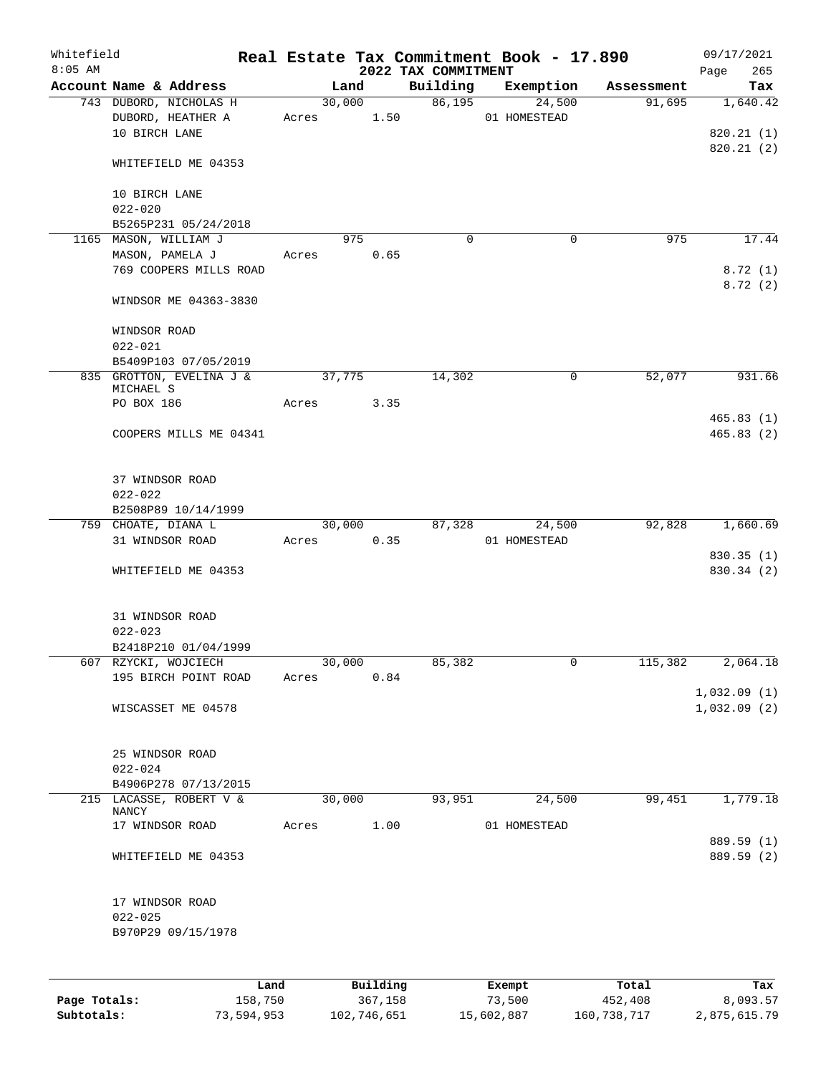| Whitefield<br>$8:05$ AM |                                             |       |                | 2022 TAX COMMITMENT | Real Estate Tax Commitment Book - 17.890 |            | 09/17/2021<br>265<br>Page  |
|-------------------------|---------------------------------------------|-------|----------------|---------------------|------------------------------------------|------------|----------------------------|
|                         | Account Name & Address                      |       | Land           | Building            | Exemption                                | Assessment | Tax                        |
|                         | 743 DUBORD, NICHOLAS H<br>DUBORD, HEATHER A | Acres | 30,000<br>1.50 | 86,195              | 24,500<br>01 HOMESTEAD                   | 91,695     | 1,640.42                   |
|                         | 10 BIRCH LANE                               |       |                |                     |                                          |            | 820.21 (1)<br>820.21 (2)   |
|                         | WHITEFIELD ME 04353                         |       |                |                     |                                          |            |                            |
|                         | 10 BIRCH LANE<br>$022 - 020$                |       |                |                     |                                          |            |                            |
|                         | B5265P231 05/24/2018                        |       |                |                     |                                          |            |                            |
|                         | 1165 MASON, WILLIAM J                       |       | 975            | $\mathbf 0$         | $\mathbf 0$                              | 975        | 17.44                      |
|                         | MASON, PAMELA J                             | Acres | 0.65           |                     |                                          |            |                            |
|                         | 769 COOPERS MILLS ROAD                      |       |                |                     |                                          |            | 8.72(1)<br>8.72(2)         |
|                         | WINDSOR ME 04363-3830                       |       |                |                     |                                          |            |                            |
|                         | WINDSOR ROAD<br>$022 - 021$                 |       |                |                     |                                          |            |                            |
|                         | B5409P103 07/05/2019                        |       |                |                     |                                          |            |                            |
|                         | 835 GROTTON, EVELINA J &                    |       | 37,775         | 14,302              | 0                                        | 52,077     | 931.66                     |
|                         | MICHAEL S<br>PO BOX 186                     | Acres | 3.35           |                     |                                          |            |                            |
|                         |                                             |       |                |                     |                                          |            | 465.83(1)                  |
|                         | COOPERS MILLS ME 04341                      |       |                |                     |                                          |            | 465.83(2)                  |
|                         | 37 WINDSOR ROAD                             |       |                |                     |                                          |            |                            |
|                         | $022 - 022$                                 |       |                |                     |                                          |            |                            |
|                         | B2508P89 10/14/1999                         |       |                |                     |                                          |            |                            |
|                         | 759 CHOATE, DIANA L                         |       | 30,000         | 87,328              | 24,500                                   | 92,828     | 1,660.69                   |
|                         | 31 WINDSOR ROAD                             | Acres | 0.35           |                     | 01 HOMESTEAD                             |            |                            |
|                         |                                             |       |                |                     |                                          |            | 830.35 (1)                 |
|                         | WHITEFIELD ME 04353                         |       |                |                     |                                          |            | 830.34 (2)                 |
|                         | 31 WINDSOR ROAD                             |       |                |                     |                                          |            |                            |
|                         | $022 - 023$                                 |       |                |                     |                                          |            |                            |
|                         | B2418P210 01/04/1999                        |       |                |                     |                                          |            |                            |
|                         | 607 RZYCKI, WOJCIECH                        |       | 30,000         | 85,382              | 0                                        | 115,382    | 2,064.18                   |
|                         | 195 BIRCH POINT ROAD                        | Acres | 0.84           |                     |                                          |            |                            |
|                         | WISCASSET ME 04578                          |       |                |                     |                                          |            | 1,032.09(1)<br>1,032.09(2) |
|                         | 25 WINDSOR ROAD                             |       |                |                     |                                          |            |                            |
|                         | $022 - 024$                                 |       |                |                     |                                          |            |                            |
|                         | B4906P278 07/13/2015                        |       |                |                     |                                          |            |                            |
|                         | 215 LACASSE, ROBERT V &                     |       | 30,000         | 93,951              | 24,500                                   | 99,451     | 1,779.18                   |
|                         | NANCY                                       |       |                |                     |                                          |            |                            |
|                         | 17 WINDSOR ROAD                             | Acres | 1.00           |                     | 01 HOMESTEAD                             |            |                            |
|                         | WHITEFIELD ME 04353                         |       |                |                     |                                          |            | 889.59 (1)<br>889.59 (2)   |
|                         |                                             |       |                |                     |                                          |            |                            |
|                         | 17 WINDSOR ROAD                             |       |                |                     |                                          |            |                            |
|                         | $022 - 025$                                 |       |                |                     |                                          |            |                            |
|                         | B970P29 09/15/1978                          |       |                |                     |                                          |            |                            |
|                         |                                             |       |                |                     |                                          |            |                            |
|                         | Land.                                       |       | $P1$ ilding    |                     | <b>Fromnt</b>                            | $T0+2T$    | ma-                        |

|              | Land       | Building    | Exempt     | Total       | Tax          |
|--------------|------------|-------------|------------|-------------|--------------|
| Page Totals: | 158,750    | 367,158     | 73,500     | 452,408     | 8,093.57     |
| Subtotals:   | 73,594,953 | 102,746,651 | 15,602,887 | 160,738,717 | 2,875,615.79 |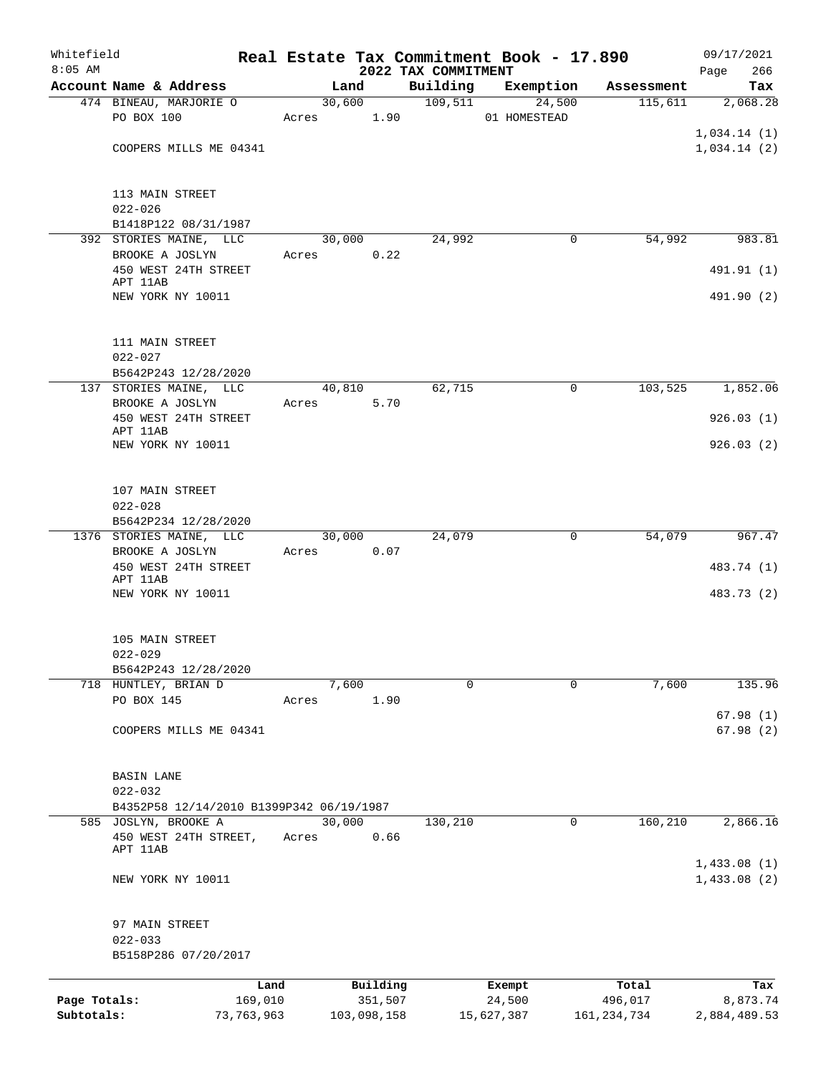| Whitefield   |                                          |            |       |                |             |                     | Real Estate Tax Commitment Book - 17.890 |                                    | 09/17/2021      |
|--------------|------------------------------------------|------------|-------|----------------|-------------|---------------------|------------------------------------------|------------------------------------|-----------------|
| $8:05$ AM    | Account Name & Address                   |            |       |                |             | 2022 TAX COMMITMENT |                                          |                                    | 266<br>Page     |
|              | 474 BINEAU, MARJORIE O                   |            |       | Land<br>30,600 |             | Building<br>109,511 | Exemption                                | Assessment<br>$\overline{115,611}$ | Tax<br>2,068.28 |
|              | PO BOX 100                               |            | Acres |                | 1.90        |                     | 24,500<br>01 HOMESTEAD                   |                                    |                 |
|              |                                          |            |       |                |             |                     |                                          |                                    | 1,034.14(1)     |
|              | COOPERS MILLS ME 04341                   |            |       |                |             |                     |                                          |                                    | 1,034.14(2)     |
|              |                                          |            |       |                |             |                     |                                          |                                    |                 |
|              | 113 MAIN STREET                          |            |       |                |             |                     |                                          |                                    |                 |
|              | $022 - 026$                              |            |       |                |             |                     |                                          |                                    |                 |
|              | B1418P122 08/31/1987                     |            |       |                |             |                     |                                          |                                    |                 |
|              | 392 STORIES MAINE, LLC                   |            |       | 30,000         |             | 24,992              |                                          | 54,992<br>0                        | 983.81          |
|              | BROOKE A JOSLYN                          |            | Acres |                | 0.22        |                     |                                          |                                    |                 |
|              | 450 WEST 24TH STREET                     |            |       |                |             |                     |                                          |                                    | 491.91 (1)      |
|              | APT 11AB<br>NEW YORK NY 10011            |            |       |                |             |                     |                                          |                                    | 491.90 (2)      |
|              |                                          |            |       |                |             |                     |                                          |                                    |                 |
|              | 111 MAIN STREET                          |            |       |                |             |                     |                                          |                                    |                 |
|              | $022 - 027$                              |            |       |                |             |                     |                                          |                                    |                 |
|              | B5642P243 12/28/2020                     |            |       |                |             |                     |                                          |                                    |                 |
|              | 137 STORIES MAINE, LLC                   |            |       | 40,810         |             | 62,715              |                                          | 0<br>103,525                       | 1,852.06        |
|              | BROOKE A JOSLYN                          |            | Acres |                | 5.70        |                     |                                          |                                    |                 |
|              | 450 WEST 24TH STREET<br>APT 11AB         |            |       |                |             |                     |                                          |                                    | 926.03(1)       |
|              | NEW YORK NY 10011                        |            |       |                |             |                     |                                          |                                    | 926.03(2)       |
|              |                                          |            |       |                |             |                     |                                          |                                    |                 |
|              | 107 MAIN STREET                          |            |       |                |             |                     |                                          |                                    |                 |
|              | $022 - 028$                              |            |       |                |             |                     |                                          |                                    |                 |
|              | B5642P234 12/28/2020                     |            |       |                |             |                     |                                          |                                    |                 |
|              | 1376 STORIES MAINE, LLC                  |            |       | 30,000         |             | 24,079              |                                          | 0<br>54,079                        | 967.47          |
|              | BROOKE A JOSLYN                          |            | Acres |                | 0.07        |                     |                                          |                                    |                 |
|              | 450 WEST 24TH STREET<br>APT 11AB         |            |       |                |             |                     |                                          |                                    | 483.74 (1)      |
|              | NEW YORK NY 10011                        |            |       |                |             |                     |                                          |                                    | 483.73 (2)      |
|              |                                          |            |       |                |             |                     |                                          |                                    |                 |
|              | 105 MAIN STREET                          |            |       |                |             |                     |                                          |                                    |                 |
|              | $022 - 029$                              |            |       |                |             |                     |                                          |                                    |                 |
|              | B5642P243 12/28/2020                     |            |       |                |             | $\Omega$            |                                          |                                    |                 |
|              | 718 HUNTLEY, BRIAN D<br>PO BOX 145       |            | Acres | 7,600          | 1.90        |                     |                                          | 0<br>7,600                         | 135.96          |
|              |                                          |            |       |                |             |                     |                                          |                                    | 67.98(1)        |
|              | COOPERS MILLS ME 04341                   |            |       |                |             |                     |                                          |                                    | 67.98(2)        |
|              | <b>BASIN LANE</b>                        |            |       |                |             |                     |                                          |                                    |                 |
|              | $022 - 032$                              |            |       |                |             |                     |                                          |                                    |                 |
|              | B4352P58 12/14/2010 B1399P342 06/19/1987 |            |       |                |             |                     |                                          |                                    |                 |
|              | 585 JOSLYN, BROOKE A                     |            |       | 30,000         |             | 130,210             |                                          | 160, 210<br>0                      | 2,866.16        |
|              | 450 WEST 24TH STREET,                    |            | Acres |                | 0.66        |                     |                                          |                                    |                 |
|              | APT 11AB                                 |            |       |                |             |                     |                                          |                                    | 1,433.08(1)     |
|              | NEW YORK NY 10011                        |            |       |                |             |                     |                                          |                                    | 1,433.08(2)     |
|              | 97 MAIN STREET                           |            |       |                |             |                     |                                          |                                    |                 |
|              | $022 - 033$                              |            |       |                |             |                     |                                          |                                    |                 |
|              | B5158P286 07/20/2017                     |            |       |                |             |                     |                                          |                                    |                 |
|              |                                          | Land       |       |                | Building    |                     | Exempt                                   | Total                              | Tax             |
| Page Totals: |                                          | 169,010    |       |                | 351,507     |                     | 24,500                                   | 496,017                            | 8,873.74        |
| Subtotals:   |                                          | 73,763,963 |       |                | 103,098,158 |                     | 15,627,387                               | 161, 234, 734                      | 2,884,489.53    |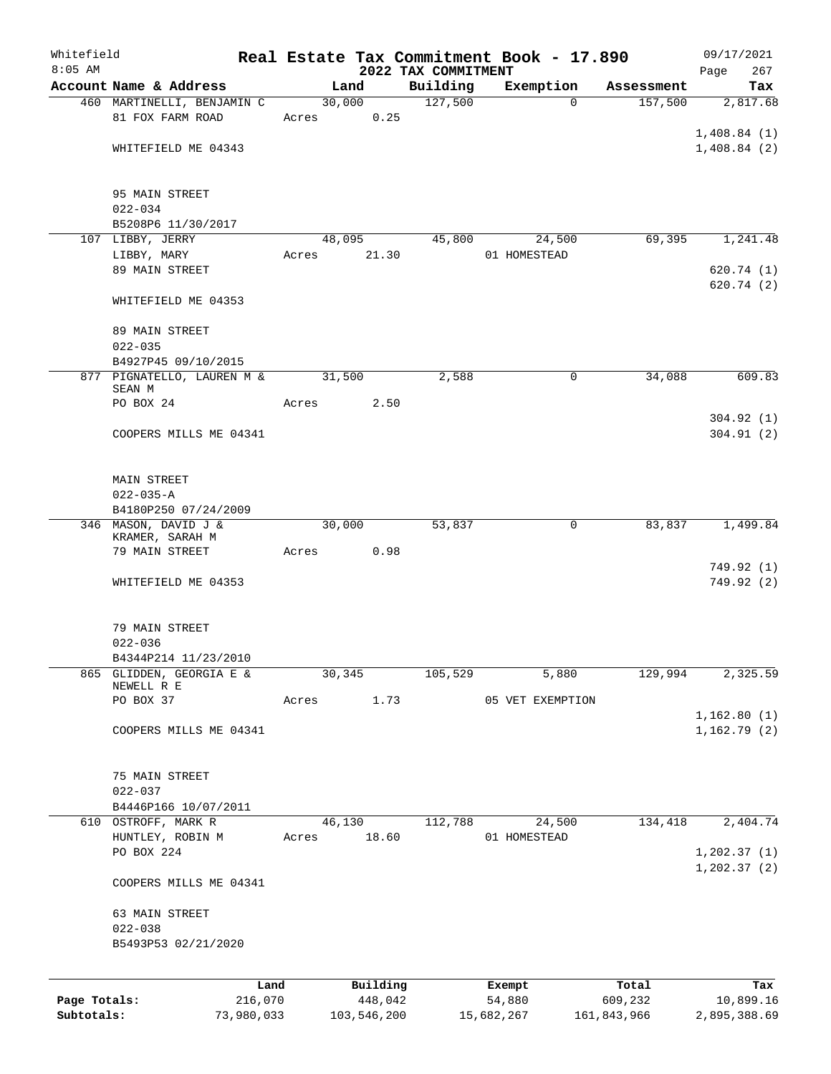| Whitefield<br>$8:05$ AM |                                      |       |                     |                                 | Real Estate Tax Commitment Book - 17.890 |                  | 09/17/2021         |
|-------------------------|--------------------------------------|-------|---------------------|---------------------------------|------------------------------------------|------------------|--------------------|
|                         | Account Name & Address               |       | Land                | 2022 TAX COMMITMENT<br>Building | Exemption                                | Assessment       | 267<br>Page<br>Tax |
|                         | 460 MARTINELLI, BENJAMIN C           |       | 30,000              | 127,500                         | $\Omega$                                 | 157,500          | 2,817.68           |
|                         | 81 FOX FARM ROAD                     | Acres | 0.25                |                                 |                                          |                  |                    |
|                         |                                      |       |                     |                                 |                                          |                  | 1,408.84(1)        |
|                         | WHITEFIELD ME 04343                  |       |                     |                                 |                                          |                  | 1,408.84(2)        |
|                         | 95 MAIN STREET                       |       |                     |                                 |                                          |                  |                    |
|                         | $022 - 034$                          |       |                     |                                 |                                          |                  |                    |
|                         | B5208P6 11/30/2017                   |       |                     |                                 |                                          |                  |                    |
|                         | 107 LIBBY, JERRY                     |       | 48,095              | 45,800                          | 24,500                                   | 69,395           | 1,241.48           |
|                         | LIBBY, MARY                          | Acres | 21.30               |                                 | 01 HOMESTEAD                             |                  |                    |
|                         | 89 MAIN STREET                       |       |                     |                                 |                                          |                  | 620.74(1)          |
|                         | WHITEFIELD ME 04353                  |       |                     |                                 |                                          |                  | 620.74(2)          |
|                         | 89 MAIN STREET                       |       |                     |                                 |                                          |                  |                    |
|                         | $022 - 035$                          |       |                     |                                 |                                          |                  |                    |
|                         | B4927P45 09/10/2015                  |       |                     |                                 |                                          |                  |                    |
|                         | 877 PIGNATELLO, LAUREN M &<br>SEAN M |       | 31,500              | 2,588                           | 0                                        | 34,088           | 609.83             |
|                         | PO BOX 24                            | Acres | 2.50                |                                 |                                          |                  |                    |
|                         |                                      |       |                     |                                 |                                          |                  | 304.92(1)          |
|                         | COOPERS MILLS ME 04341               |       |                     |                                 |                                          |                  | 304.91(2)          |
|                         | <b>MAIN STREET</b>                   |       |                     |                                 |                                          |                  |                    |
|                         | $022 - 035 - A$                      |       |                     |                                 |                                          |                  |                    |
|                         | B4180P250 07/24/2009                 |       |                     |                                 |                                          |                  |                    |
|                         | 346 MASON, DAVID J &                 |       | 30,000              | 53,837                          | 0                                        | 83,837           | 1,499.84           |
|                         | KRAMER, SARAH M<br>79 MAIN STREET    | Acres | 0.98                |                                 |                                          |                  |                    |
|                         |                                      |       |                     |                                 |                                          |                  | 749.92 (1)         |
|                         | WHITEFIELD ME 04353                  |       |                     |                                 |                                          |                  | 749.92 (2)         |
|                         | 79 MAIN STREET                       |       |                     |                                 |                                          |                  |                    |
|                         | $022 - 036$                          |       |                     |                                 |                                          |                  |                    |
|                         | B4344P214 11/23/2010                 |       |                     |                                 |                                          |                  |                    |
| 865                     | GLIDDEN, GEORGIA E &                 |       | 30,345              | 105,529                         | 5,880                                    | 129,994          | 2,325.59           |
|                         | NEWELL R E<br>PO BOX 37              | Acres | 1.73                |                                 | 05 VET EXEMPTION                         |                  |                    |
|                         |                                      |       |                     |                                 |                                          |                  | 1,162.80(1)        |
|                         | COOPERS MILLS ME 04341               |       |                     |                                 |                                          |                  | 1,162.79(2)        |
|                         | 75 MAIN STREET                       |       |                     |                                 |                                          |                  |                    |
|                         | $022 - 037$                          |       |                     |                                 |                                          |                  |                    |
|                         | B4446P166 10/07/2011                 |       |                     |                                 |                                          |                  |                    |
|                         | 610 OSTROFF, MARK R                  |       | 46,130              | 112,788                         | 24,500                                   | 134,418          | 2,404.74           |
|                         | HUNTLEY, ROBIN M                     | Acres | 18.60               |                                 | 01 HOMESTEAD                             |                  |                    |
|                         | PO BOX 224                           |       |                     |                                 |                                          |                  | 1, 202.37(1)       |
|                         | COOPERS MILLS ME 04341               |       |                     |                                 |                                          |                  | 1, 202.37(2)       |
|                         | 63 MAIN STREET                       |       |                     |                                 |                                          |                  |                    |
|                         | $022 - 038$                          |       |                     |                                 |                                          |                  |                    |
|                         | B5493P53 02/21/2020                  |       |                     |                                 |                                          |                  |                    |
|                         |                                      |       |                     |                                 |                                          |                  |                    |
| Page Totals:            | Land<br>216,070                      |       | Building<br>448,042 |                                 | Exempt<br>54,880                         | Total<br>609,232 | Tax<br>10,899.16   |
| Subtotals:              | 73,980,033                           |       | 103,546,200         |                                 | 15,682,267                               | 161,843,966      | 2,895,388.69       |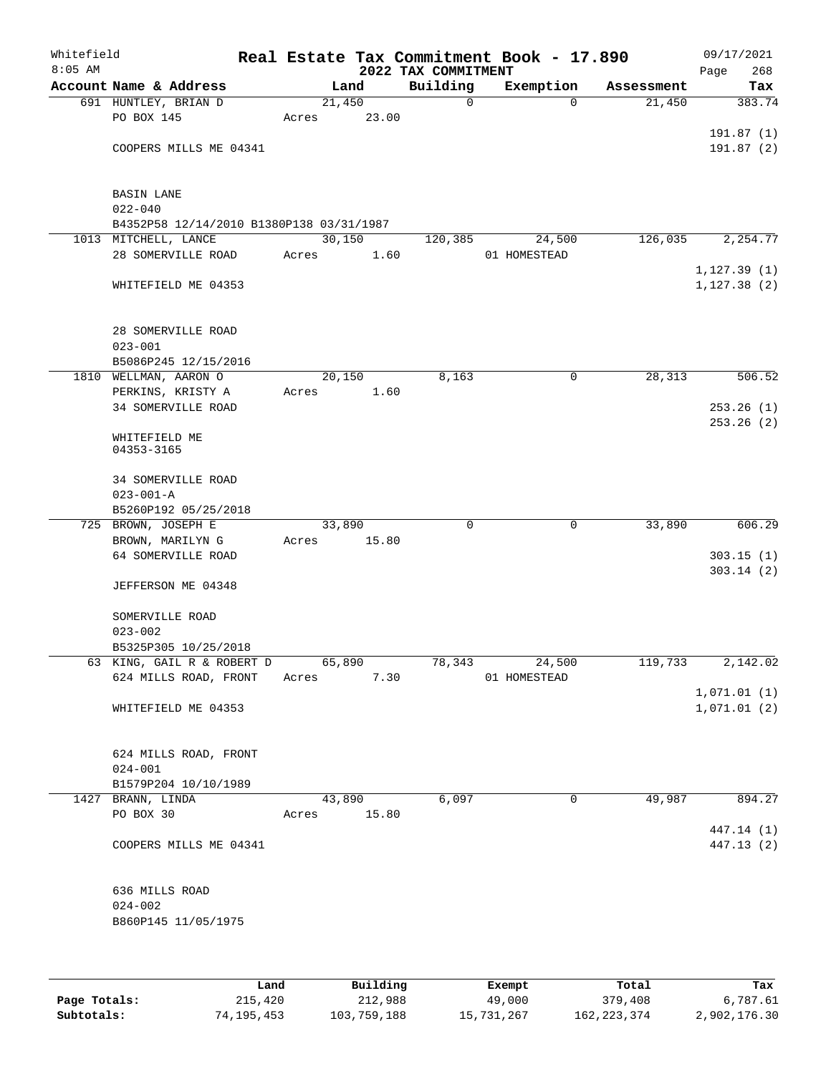| Whitefield<br>$8:05$ AM |                                          |        |       | 2022 TAX COMMITMENT | Real Estate Tax Commitment Book - 17.890 |            | 09/17/2021<br>268<br>Page |
|-------------------------|------------------------------------------|--------|-------|---------------------|------------------------------------------|------------|---------------------------|
|                         | Account Name & Address                   |        | Land  | Building            | Exemption                                | Assessment | Tax                       |
|                         | 691 HUNTLEY, BRIAN D                     | 21,450 |       | $\mathbf 0$         | $\Omega$                                 | 21,450     | 383.74                    |
|                         | PO BOX 145                               | Acres  | 23.00 |                     |                                          |            |                           |
|                         |                                          |        |       |                     |                                          |            | 191.87(1)                 |
|                         | COOPERS MILLS ME 04341                   |        |       |                     |                                          |            | 191.87(2)                 |
|                         |                                          |        |       |                     |                                          |            |                           |
|                         |                                          |        |       |                     |                                          |            |                           |
|                         | <b>BASIN LANE</b>                        |        |       |                     |                                          |            |                           |
|                         | $022 - 040$                              |        |       |                     |                                          |            |                           |
|                         | B4352P58 12/14/2010 B1380P138 03/31/1987 |        |       |                     |                                          |            |                           |
|                         | 1013 MITCHELL, LANCE                     | 30,150 |       | 120,385             | 24,500                                   | 126,035    | 2,254.77                  |
|                         | 28 SOMERVILLE ROAD                       | Acres  | 1.60  |                     | 01 HOMESTEAD                             |            |                           |
|                         |                                          |        |       |                     |                                          |            | 1, 127.39(1)              |
|                         | WHITEFIELD ME 04353                      |        |       |                     |                                          |            | 1, 127.38(2)              |
|                         |                                          |        |       |                     |                                          |            |                           |
|                         |                                          |        |       |                     |                                          |            |                           |
|                         | 28 SOMERVILLE ROAD                       |        |       |                     |                                          |            |                           |
|                         | $023 - 001$                              |        |       |                     |                                          |            |                           |
|                         | B5086P245 12/15/2016                     |        |       |                     |                                          |            |                           |
|                         | 1810 WELLMAN, AARON O                    | 20,150 |       | 8,163               | $\mathbf 0$                              | 28,313     | 506.52                    |
|                         | PERKINS, KRISTY A                        | Acres  | 1.60  |                     |                                          |            |                           |
|                         | <b>34 SOMERVILLE ROAD</b>                |        |       |                     |                                          |            | 253.26(1)                 |
|                         |                                          |        |       |                     |                                          |            | 253.26(2)                 |
|                         | WHITEFIELD ME                            |        |       |                     |                                          |            |                           |
|                         | 04353-3165                               |        |       |                     |                                          |            |                           |
|                         |                                          |        |       |                     |                                          |            |                           |
|                         | <b>34 SOMERVILLE ROAD</b>                |        |       |                     |                                          |            |                           |
|                         | $023 - 001 - A$                          |        |       |                     |                                          |            |                           |
|                         | B5260P192 05/25/2018                     |        |       |                     |                                          |            |                           |
|                         | 725 BROWN, JOSEPH E                      | 33,890 |       | $\mathbf 0$         | $\mathbf 0$                              | 33,890     | 606.29                    |
|                         | BROWN, MARILYN G                         | Acres  | 15.80 |                     |                                          |            |                           |
|                         | 64 SOMERVILLE ROAD                       |        |       |                     |                                          |            | 303.15(1)                 |
|                         |                                          |        |       |                     |                                          |            | 303.14(2)                 |
|                         | JEFFERSON ME 04348                       |        |       |                     |                                          |            |                           |
|                         |                                          |        |       |                     |                                          |            |                           |
|                         | SOMERVILLE ROAD                          |        |       |                     |                                          |            |                           |
|                         | $023 - 002$                              |        |       |                     |                                          |            |                           |
|                         | B5325P305 10/25/2018                     |        |       |                     |                                          |            |                           |
|                         | 63 KING, GAIL R & ROBERT D               | 65,890 |       | 78,343              | 24,500                                   | 119,733    | 2,142.02                  |
|                         | 624 MILLS ROAD, FRONT                    | Acres  | 7.30  |                     | 01 HOMESTEAD                             |            |                           |
|                         |                                          |        |       |                     |                                          |            | 1,071.01(1)               |
|                         | WHITEFIELD ME 04353                      |        |       |                     |                                          |            | 1,071.01(2)               |
|                         |                                          |        |       |                     |                                          |            |                           |
|                         |                                          |        |       |                     |                                          |            |                           |
|                         | 624 MILLS ROAD, FRONT                    |        |       |                     |                                          |            |                           |
|                         | $024 - 001$                              |        |       |                     |                                          |            |                           |
|                         | B1579P204 10/10/1989                     |        |       |                     |                                          |            |                           |
|                         | 1427 BRANN, LINDA                        | 43,890 |       | 6,097               | $\mathbf 0$                              | 49,987     | 894.27                    |
|                         | PO BOX 30                                | Acres  | 15.80 |                     |                                          |            |                           |
|                         |                                          |        |       |                     |                                          |            | 447.14 (1)                |
|                         | COOPERS MILLS ME 04341                   |        |       |                     |                                          |            | 447.13 (2)                |
|                         |                                          |        |       |                     |                                          |            |                           |
|                         |                                          |        |       |                     |                                          |            |                           |
|                         | 636 MILLS ROAD                           |        |       |                     |                                          |            |                           |
|                         | $024 - 002$                              |        |       |                     |                                          |            |                           |
|                         | B860P145 11/05/1975                      |        |       |                     |                                          |            |                           |
|                         |                                          |        |       |                     |                                          |            |                           |
|                         |                                          |        |       |                     |                                          |            |                           |
|                         |                                          |        |       |                     |                                          |            |                           |

|              | Land       | Building    | Exempt     | Total       | Tax          |
|--------------|------------|-------------|------------|-------------|--------------|
| Page Totals: | 215,420    | 212,988     | 49,000     | 379,408     | 6,787.61     |
| Subtotals:   | 74,195,453 | 103,759,188 | 15,731,267 | 162,223,374 | 2,902,176.30 |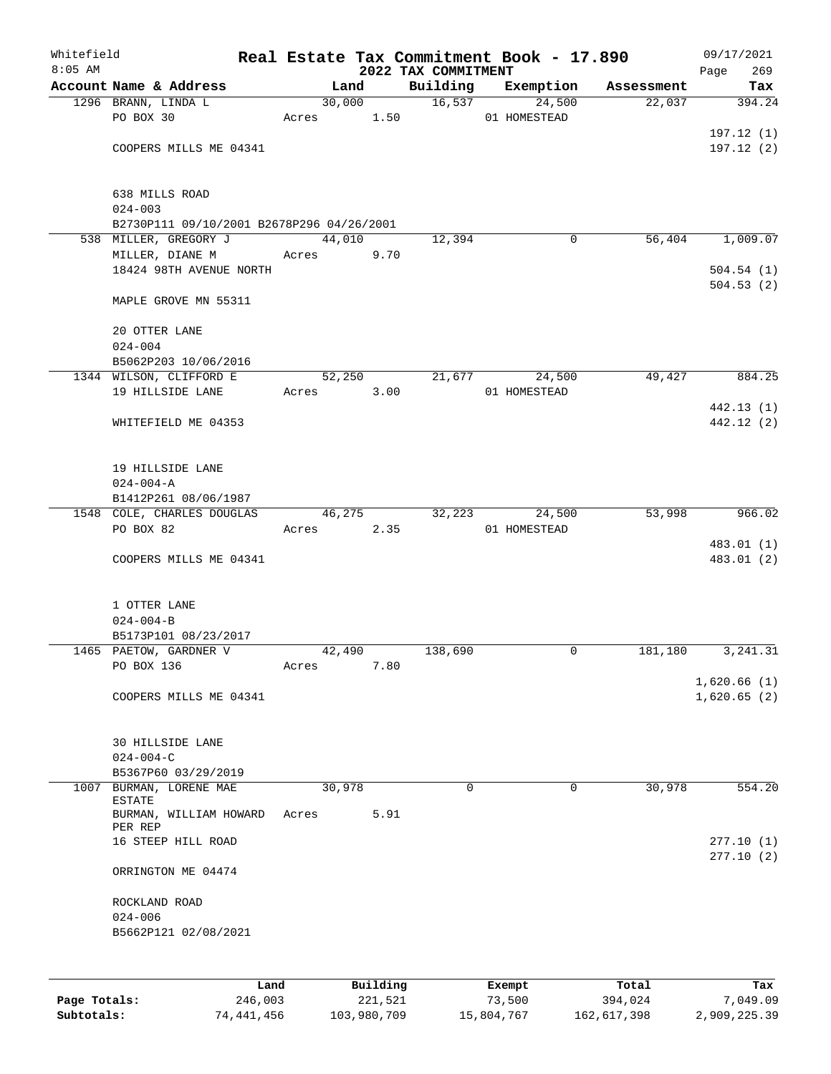| Whitefield |                                           |      |            |        |          |                     | Real Estate Tax Commitment Book - 17.890 |            | 09/17/2021             |
|------------|-------------------------------------------|------|------------|--------|----------|---------------------|------------------------------------------|------------|------------------------|
| $8:05$ AM  | Account Name & Address                    |      |            | Land   |          | 2022 TAX COMMITMENT |                                          |            | 269<br>Page            |
|            |                                           |      |            |        | 30,000   |                     | Building Exemption<br>16,537<br>24,500   | Assessment | Tax                    |
|            | 1296 BRANN, LINDA L                       |      |            |        |          |                     |                                          | 22,037     | 394.24                 |
|            | PO BOX 30                                 |      | Acres 1.50 |        |          |                     | 01 HOMESTEAD                             |            |                        |
|            |                                           |      |            |        |          |                     |                                          |            | 197.12(1)<br>197.12(2) |
|            | COOPERS MILLS ME 04341                    |      |            |        |          |                     |                                          |            |                        |
|            | 638 MILLS ROAD<br>$024 - 003$             |      |            |        |          |                     |                                          |            |                        |
|            | B2730P111 09/10/2001 B2678P296 04/26/2001 |      |            |        |          |                     |                                          |            |                        |
|            | 538 MILLER, GREGORY J                     |      |            | 44,010 |          | 12,394              | $\mathbf 0$                              | 56,404     | 1,009.07               |
|            | MILLER, DIANE M                           |      | Acres      |        | 9.70     |                     |                                          |            |                        |
|            | 18424 98TH AVENUE NORTH                   |      |            |        |          |                     |                                          |            | 504.54(1)              |
|            | MAPLE GROVE MN 55311                      |      |            |        |          |                     |                                          |            | 504.53(2)              |
|            | 20 OTTER LANE<br>$024 - 004$              |      |            |        |          |                     |                                          |            |                        |
|            | B5062P203 10/06/2016                      |      |            |        |          |                     |                                          |            |                        |
|            | 1344 WILSON, CLIFFORD E                   |      |            |        | 52,250   | 21,677              | 24,500                                   | 49,427     | 884.25                 |
|            | 19 HILLSIDE LANE                          |      | Acres 3.00 |        |          |                     | 01 HOMESTEAD                             |            |                        |
|            |                                           |      |            |        |          |                     |                                          |            | 442.13 (1)             |
|            | WHITEFIELD ME 04353                       |      |            |        |          |                     |                                          |            | 442.12 (2)             |
|            |                                           |      |            |        |          |                     |                                          |            |                        |
|            |                                           |      |            |        |          |                     |                                          |            |                        |
|            | 19 HILLSIDE LANE                          |      |            |        |          |                     |                                          |            |                        |
|            | $024 - 004 - A$<br>B1412P261 08/06/1987   |      |            |        |          |                     |                                          |            |                        |
|            | 1548 COLE, CHARLES DOUGLAS                |      |            |        | 46,275   | 32,223              | 24,500                                   | 53,998     | 966.02                 |
|            | PO BOX 82                                 |      | Acres      |        | 2.35     |                     | 01 HOMESTEAD                             |            |                        |
|            |                                           |      |            |        |          |                     |                                          |            | 483.01 (1)             |
|            | COOPERS MILLS ME 04341                    |      |            |        |          |                     |                                          |            | 483.01 (2)             |
|            |                                           |      |            |        |          |                     |                                          |            |                        |
|            | 1 OTTER LANE                              |      |            |        |          |                     |                                          |            |                        |
|            | $024 - 004 - B$                           |      |            |        |          |                     |                                          |            |                        |
|            | B5173P101 08/23/2017                      |      |            |        |          |                     |                                          |            |                        |
|            | 1465 PAETOW, GARDNER V                    |      |            | 42,490 |          | 138,690             | 0                                        | 181,180    | 3, 241.31              |
|            | PO BOX 136                                |      | Acres      |        | 7.80     |                     |                                          |            |                        |
|            |                                           |      |            |        |          |                     |                                          |            | 1,620.66(1)            |
|            | COOPERS MILLS ME 04341                    |      |            |        |          |                     |                                          |            | 1,620.65(2)            |
|            | 30 HILLSIDE LANE                          |      |            |        |          |                     |                                          |            |                        |
|            | $024 - 004 - C$                           |      |            |        |          |                     |                                          |            |                        |
|            | B5367P60 03/29/2019                       |      |            |        |          |                     |                                          |            |                        |
| 1007       | BURMAN, LORENE MAE                        |      |            | 30,978 |          | $\mathbf 0$         | 0                                        | 30,978     | 554.20                 |
|            | <b>ESTATE</b>                             |      |            |        |          |                     |                                          |            |                        |
|            | BURMAN, WILLIAM HOWARD<br>PER REP         |      | Acres      |        | 5.91     |                     |                                          |            |                        |
|            | 16 STEEP HILL ROAD                        |      |            |        |          |                     |                                          |            | 277.10(1)              |
|            | ORRINGTON ME 04474                        |      |            |        |          |                     |                                          |            | 277.10(2)              |
|            | ROCKLAND ROAD                             |      |            |        |          |                     |                                          |            |                        |
|            | $024 - 006$                               |      |            |        |          |                     |                                          |            |                        |
|            | B5662P121 02/08/2021                      |      |            |        |          |                     |                                          |            |                        |
|            |                                           |      |            |        |          |                     |                                          |            |                        |
|            |                                           |      |            |        |          |                     |                                          |            |                        |
|            |                                           | Land |            |        | Building |                     | Exempt                                   | Total      | Tax                    |

|              | ⊥and       | Building    | Exempt     | Total       | тах          |
|--------------|------------|-------------|------------|-------------|--------------|
| Page Totals: | 246,003    | 221,521     | 73,500     | 394,024     | 7,049.09     |
| Subtotals:   | 74,441,456 | 103,980,709 | 15,804,767 | 162,617,398 | 2,909,225.39 |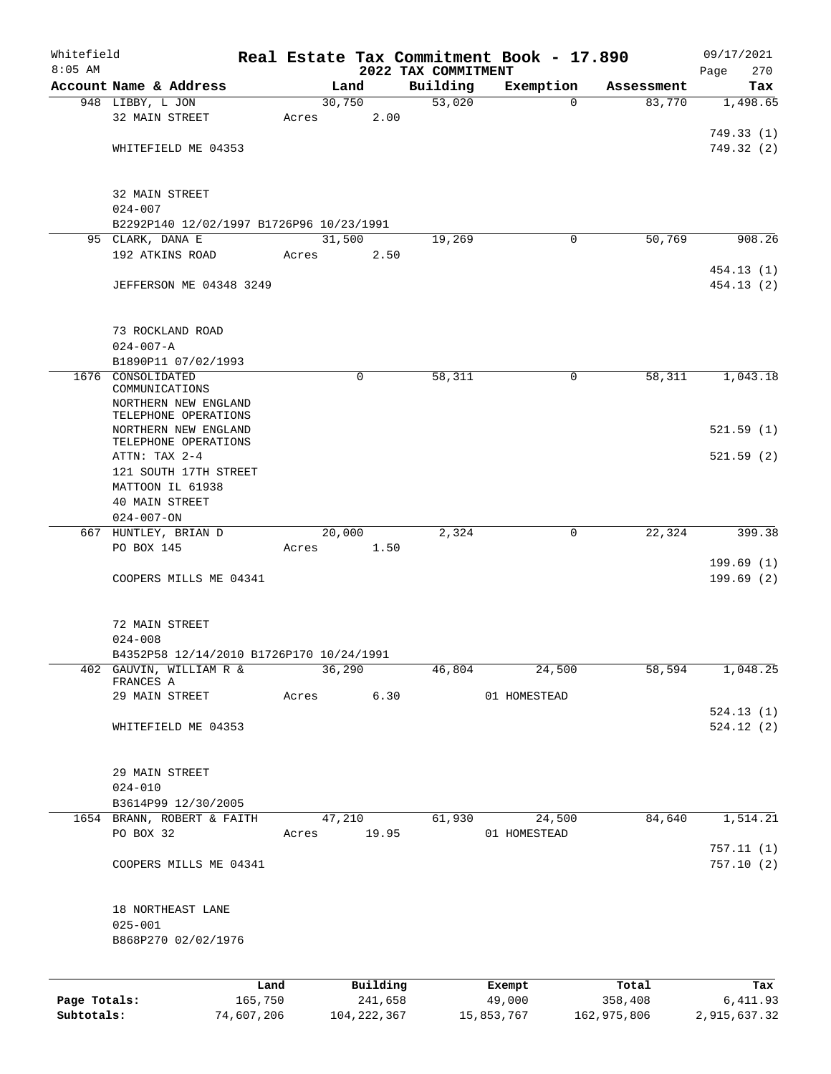| Whitefield   |                                              |                 |       |        |                     |                                 | Real Estate Tax Commitment Book - 17.890 |                      | 09/17/2021             |
|--------------|----------------------------------------------|-----------------|-------|--------|---------------------|---------------------------------|------------------------------------------|----------------------|------------------------|
| $8:05$ AM    | Account Name & Address                       |                 |       | Land   |                     | 2022 TAX COMMITMENT<br>Building | Exemption                                |                      | 270<br>Page<br>Tax     |
|              | 948 LIBBY, L JON                             |                 |       | 30,750 |                     | 53,020                          | $\Omega$                                 | Assessment<br>83,770 | 1,498.65               |
|              | 32 MAIN STREET                               |                 | Acres |        | 2.00                |                                 |                                          |                      |                        |
|              |                                              |                 |       |        |                     |                                 |                                          |                      | 749.33(1)              |
|              | WHITEFIELD ME 04353                          |                 |       |        |                     |                                 |                                          |                      | 749.32 (2)             |
|              |                                              |                 |       |        |                     |                                 |                                          |                      |                        |
|              | 32 MAIN STREET                               |                 |       |        |                     |                                 |                                          |                      |                        |
|              | $024 - 007$                                  |                 |       |        |                     |                                 |                                          |                      |                        |
|              | B2292P140 12/02/1997 B1726P96 10/23/1991     |                 |       |        |                     |                                 |                                          |                      |                        |
|              | 95 CLARK, DANA E                             |                 |       | 31,500 |                     | 19,269                          | 0                                        | 50,769               | 908.26                 |
|              | 192 ATKINS ROAD                              |                 | Acres |        | 2.50                |                                 |                                          |                      |                        |
|              |                                              |                 |       |        |                     |                                 |                                          |                      | 454.13 (1)             |
|              | JEFFERSON ME 04348 3249                      |                 |       |        |                     |                                 |                                          |                      | 454.13(2)              |
|              | 73 ROCKLAND ROAD                             |                 |       |        |                     |                                 |                                          |                      |                        |
|              | $024 - 007 - A$                              |                 |       |        |                     |                                 |                                          |                      |                        |
|              | B1890P11 07/02/1993                          |                 |       |        |                     |                                 |                                          |                      |                        |
|              | 1676 CONSOLIDATED                            |                 |       |        | $\mathbf 0$         | 58,311                          | 0                                        | 58,311               | 1,043.18               |
|              | COMMUNICATIONS                               |                 |       |        |                     |                                 |                                          |                      |                        |
|              | NORTHERN NEW ENGLAND<br>TELEPHONE OPERATIONS |                 |       |        |                     |                                 |                                          |                      |                        |
|              | NORTHERN NEW ENGLAND                         |                 |       |        |                     |                                 |                                          |                      | 521.59(1)              |
|              | TELEPHONE OPERATIONS                         |                 |       |        |                     |                                 |                                          |                      |                        |
|              | ATTN: TAX 2-4                                |                 |       |        |                     |                                 |                                          |                      | 521.59(2)              |
|              | 121 SOUTH 17TH STREET                        |                 |       |        |                     |                                 |                                          |                      |                        |
|              | MATTOON IL 61938                             |                 |       |        |                     |                                 |                                          |                      |                        |
|              | <b>40 MAIN STREET</b>                        |                 |       |        |                     |                                 |                                          |                      |                        |
|              | $024 - 007 - ON$                             |                 |       |        |                     |                                 |                                          |                      |                        |
|              | 667 HUNTLEY, BRIAN D                         |                 |       | 20,000 |                     | 2,324                           | 0                                        | 22, 324              | 399.38                 |
|              | PO BOX 145                                   |                 | Acres |        | 1.50                |                                 |                                          |                      |                        |
|              |                                              |                 |       |        |                     |                                 |                                          |                      | 199.69(1)<br>199.69(2) |
|              | COOPERS MILLS ME 04341                       |                 |       |        |                     |                                 |                                          |                      |                        |
|              | 72 MAIN STREET                               |                 |       |        |                     |                                 |                                          |                      |                        |
|              | $024 - 008$                                  |                 |       |        |                     |                                 |                                          |                      |                        |
|              | B4352P58 12/14/2010 B1726P170 10/24/1991     |                 |       |        |                     |                                 |                                          |                      |                        |
|              | 402 GAUVIN, WILLIAM R &<br>FRANCES A         |                 |       | 36,290 |                     | 46,804                          | 24,500                                   | 58,594               | 1,048.25               |
|              | 29 MAIN STREET                               |                 | Acres |        | 6.30                |                                 | 01 HOMESTEAD                             |                      |                        |
|              |                                              |                 |       |        |                     |                                 |                                          |                      | 524.13(1)              |
|              | WHITEFIELD ME 04353                          |                 |       |        |                     |                                 |                                          |                      | 524.12(2)              |
|              |                                              |                 |       |        |                     |                                 |                                          |                      |                        |
|              | 29 MAIN STREET                               |                 |       |        |                     |                                 |                                          |                      |                        |
|              | $024 - 010$                                  |                 |       |        |                     |                                 |                                          |                      |                        |
|              | B3614P99 12/30/2005                          |                 |       |        |                     |                                 |                                          |                      |                        |
|              | 1654 BRANN, ROBERT & FAITH                   |                 |       | 47,210 |                     | 61,930                          | 24,500                                   | 84,640               | 1,514.21               |
|              | PO BOX 32                                    |                 | Acres |        | 19.95               |                                 | 01 HOMESTEAD                             |                      |                        |
|              | COOPERS MILLS ME 04341                       |                 |       |        |                     |                                 |                                          |                      | 757.11(1)<br>757.10(2) |
|              |                                              |                 |       |        |                     |                                 |                                          |                      |                        |
|              | 18 NORTHEAST LANE                            |                 |       |        |                     |                                 |                                          |                      |                        |
|              | $025 - 001$                                  |                 |       |        |                     |                                 |                                          |                      |                        |
|              | B868P270 02/02/1976                          |                 |       |        |                     |                                 |                                          |                      |                        |
|              |                                              |                 |       |        |                     |                                 |                                          |                      |                        |
| Page Totals: |                                              | Land<br>165,750 |       |        | Building<br>241,658 |                                 | Exempt<br>49,000                         | Total<br>358,408     | Tax<br>6,411.93        |
|              |                                              |                 |       |        |                     |                                 |                                          |                      |                        |

**Subtotals:** 74,607,206 104,222,367 15,853,767 162,975,806 2,915,637.32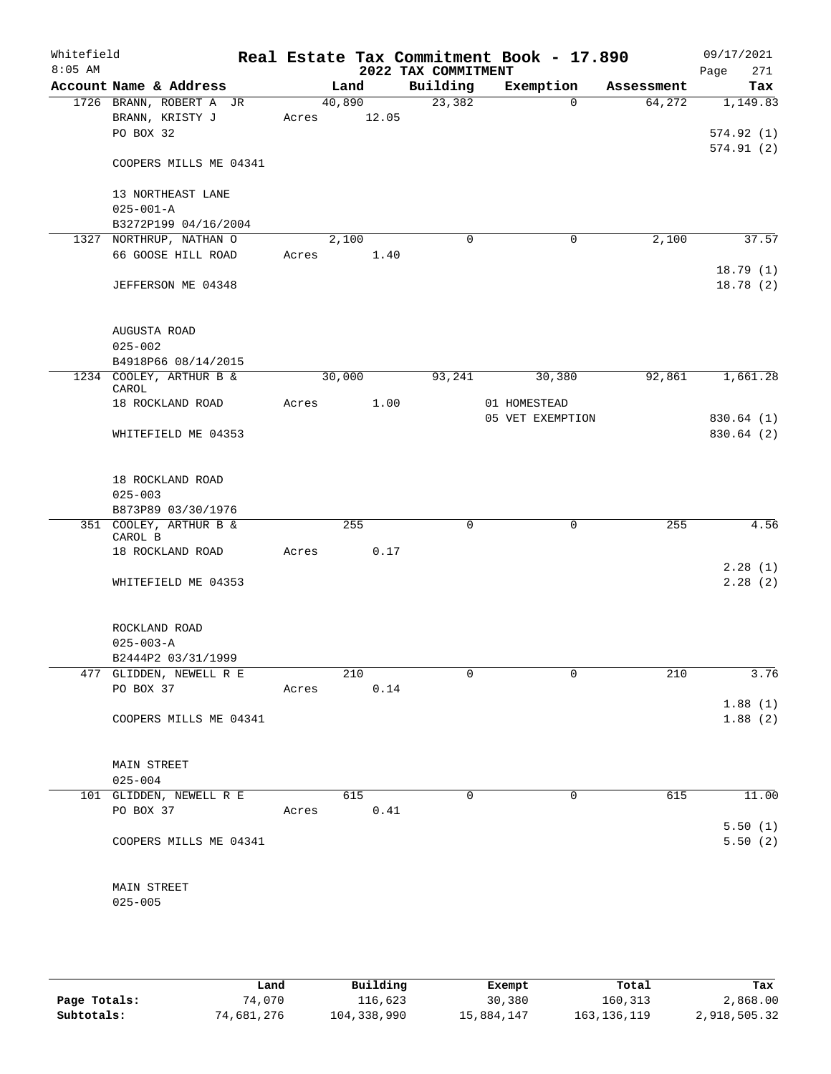| Whitefield<br>$8:05$ AM |                                                              |       |        |             | 2022 TAX COMMITMENT | Real Estate Tax Commitment Book - 17.890 |            | 09/17/2021<br>271<br>Page |
|-------------------------|--------------------------------------------------------------|-------|--------|-------------|---------------------|------------------------------------------|------------|---------------------------|
|                         | Account Name & Address                                       |       | Land   |             | Building            | Exemption                                | Assessment | Tax                       |
|                         | 1726 BRANN, ROBERT A JR<br>BRANN, KRISTY J<br>PO BOX 32      |       | 40,890 | Acres 12.05 | 23,382              | $\Omega$                                 | 64,272     | 1,149.83<br>574.92(1)     |
|                         | COOPERS MILLS ME 04341                                       |       |        |             |                     |                                          |            | 574.91(2)                 |
|                         | 13 NORTHEAST LANE<br>$025 - 001 - A$<br>B3272P199 04/16/2004 |       |        |             |                     |                                          |            |                           |
|                         | 1327 NORTHRUP, NATHAN O                                      |       | 2,100  |             | $\mathbf 0$         | $\mathbf 0$                              | 2,100      | 37.57                     |
|                         | 66 GOOSE HILL ROAD                                           |       |        | Acres 1.40  |                     |                                          |            |                           |
|                         | JEFFERSON ME 04348                                           |       |        |             |                     |                                          |            | 18.79(1)<br>18.78(2)      |
|                         | AUGUSTA ROAD<br>$025 - 002$                                  |       |        |             |                     |                                          |            |                           |
|                         | B4918P66 08/14/2015                                          |       |        |             |                     |                                          |            |                           |
|                         | 1234 COOLEY, ARTHUR B &<br>CAROL                             |       | 30,000 |             | 93,241              | 30,380                                   | 92,861     | 1,661.28                  |
|                         | 18 ROCKLAND ROAD                                             |       | Acres  | 1.00        |                     | 01 HOMESTEAD                             |            |                           |
|                         | WHITEFIELD ME 04353                                          |       |        |             |                     | 05 VET EXEMPTION                         |            | 830.64 (1)<br>830.64 (2)  |
|                         | 18 ROCKLAND ROAD<br>$025 - 003$                              |       |        |             |                     |                                          |            |                           |
|                         | B873P89 03/30/1976                                           |       |        |             | $\Omega$            |                                          |            |                           |
|                         | 351 COOLEY, ARTHUR B &<br>CAROL B                            |       |        | 255         |                     | $\mathbf 0$                              | 255        | 4.56                      |
|                         | 18 ROCKLAND ROAD                                             | Acres |        | 0.17        |                     |                                          |            |                           |
|                         |                                                              |       |        |             |                     |                                          |            | 2.28(1)                   |
|                         | WHITEFIELD ME 04353                                          |       |        |             |                     |                                          |            | 2.28(2)                   |
|                         | ROCKLAND ROAD<br>$025 - 003 - A$                             |       |        |             |                     |                                          |            |                           |
|                         | B2444P2 03/31/1999                                           |       |        |             |                     |                                          |            |                           |
|                         | 477 GLIDDEN, NEWELL R E<br>PO BOX 37                         |       |        | 210<br>0.14 | 0                   | $\Omega$                                 | 210        | 3.76                      |
|                         |                                                              | Acres |        |             |                     |                                          |            | 1.88(1)                   |
|                         | COOPERS MILLS ME 04341                                       |       |        |             |                     |                                          |            | 1.88(2)                   |
|                         | MAIN STREET                                                  |       |        |             |                     |                                          |            |                           |
|                         | $025 - 004$                                                  |       |        |             |                     |                                          |            |                           |
|                         | 101 GLIDDEN, NEWELL R E<br>PO BOX 37                         | Acres |        | 615<br>0.41 | $\Omega$            | $\mathbf 0$                              | 615        | 11.00                     |
|                         |                                                              |       |        |             |                     |                                          |            | 5.50(1)                   |
|                         | COOPERS MILLS ME 04341                                       |       |        |             |                     |                                          |            | 5.50(2)                   |
|                         | MAIN STREET<br>$025 - 005$                                   |       |        |             |                     |                                          |            |                           |
|                         |                                                              |       |        |             |                     |                                          |            |                           |

|              | Land       | Building    | Exempt     | Total       | Tax          |
|--------------|------------|-------------|------------|-------------|--------------|
| Page Totals: | 74,070     | 116,623     | 30,380     | 160,313     | 2,868.00     |
| Subtotals:   | 74,681,276 | 104,338,990 | 15,884,147 | 163,136,119 | 2,918,505.32 |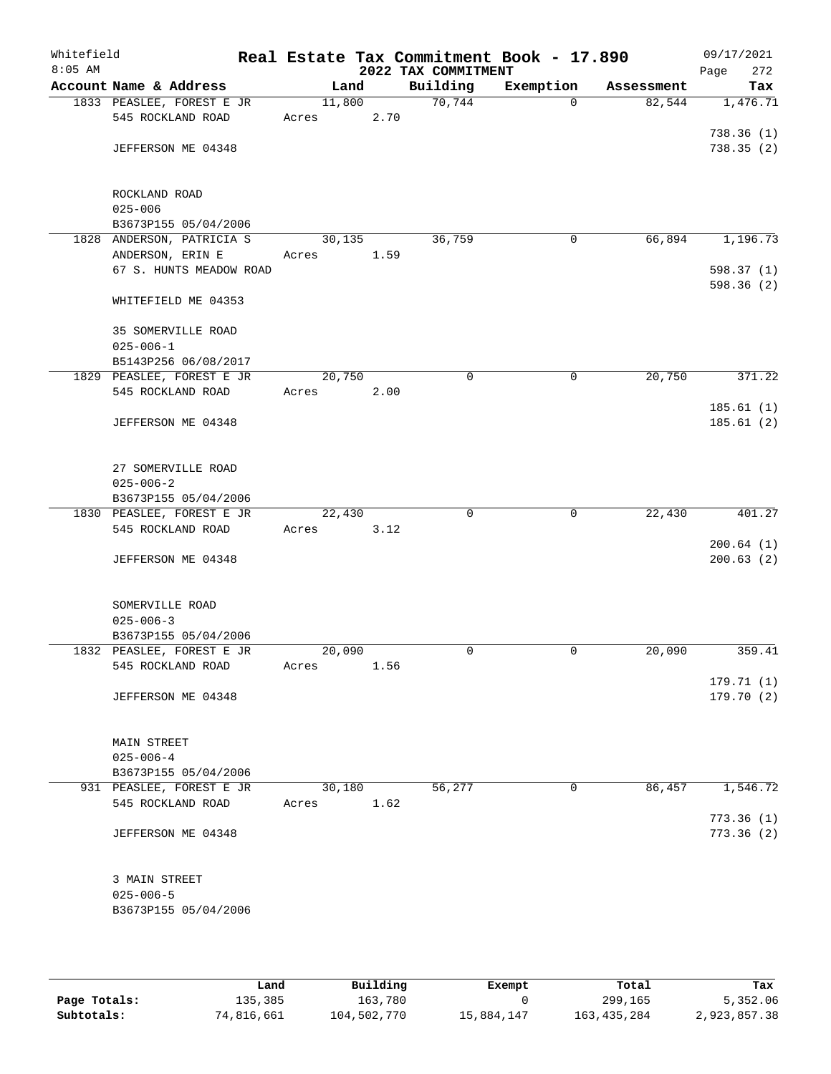| Whitefield<br>$8:05$ AM |                                                |        |      | 2022 TAX COMMITMENT | Real Estate Tax Commitment Book - 17.890 |            | 09/17/2021<br>272<br>Page |
|-------------------------|------------------------------------------------|--------|------|---------------------|------------------------------------------|------------|---------------------------|
|                         | Account Name & Address                         | Land   |      | Building            | Exemption                                | Assessment | Tax                       |
|                         | 1833 PEASLEE, FOREST E JR                      | 11,800 |      | 70,744              | $\Omega$                                 | 82,544     | 1,476.71                  |
|                         | 545 ROCKLAND ROAD                              | Acres  | 2.70 |                     |                                          |            |                           |
|                         | JEFFERSON ME 04348                             |        |      |                     |                                          |            | 738.36(1)<br>738.35(2)    |
|                         |                                                |        |      |                     |                                          |            |                           |
|                         | ROCKLAND ROAD                                  |        |      |                     |                                          |            |                           |
|                         | $025 - 006$                                    |        |      |                     |                                          |            |                           |
|                         | B3673P155 05/04/2006                           |        |      |                     |                                          |            |                           |
|                         | 1828 ANDERSON, PATRICIA S                      | 30,135 |      | 36,759              | 0                                        | 66,894     | 1,196.73                  |
|                         | ANDERSON, ERIN E                               | Acres  | 1.59 |                     |                                          |            |                           |
|                         | 67 S. HUNTS MEADOW ROAD                        |        |      |                     |                                          |            | 598.37 (1)                |
|                         | WHITEFIELD ME 04353                            |        |      |                     |                                          |            | 598.36 (2)                |
|                         | 35 SOMERVILLE ROAD                             |        |      |                     |                                          |            |                           |
|                         | $025 - 006 - 1$                                |        |      |                     |                                          |            |                           |
|                         | B5143P256 06/08/2017                           |        |      |                     |                                          |            |                           |
|                         | 1829 PEASLEE, FOREST E JR                      | 20,750 |      | 0                   | 0                                        | 20,750     | 371.22                    |
|                         | 545 ROCKLAND ROAD                              | Acres  | 2.00 |                     |                                          |            | 185.61(1)                 |
|                         | JEFFERSON ME 04348                             |        |      |                     |                                          |            | 185.61(2)                 |
|                         |                                                |        |      |                     |                                          |            |                           |
|                         | 27 SOMERVILLE ROAD                             |        |      |                     |                                          |            |                           |
|                         | $025 - 006 - 2$                                |        |      |                     |                                          |            |                           |
|                         | B3673P155 05/04/2006                           | 22,430 |      | $\Omega$            | $\mathbf 0$                              | 22,430     | 401.27                    |
|                         | 1830 PEASLEE, FOREST E JR<br>545 ROCKLAND ROAD | Acres  | 3.12 |                     |                                          |            |                           |
|                         |                                                |        |      |                     |                                          |            | 200.64(1)                 |
|                         | JEFFERSON ME 04348                             |        |      |                     |                                          |            | 200.63(2)                 |
|                         | SOMERVILLE ROAD                                |        |      |                     |                                          |            |                           |
|                         | $025 - 006 - 3$                                |        |      |                     |                                          |            |                           |
|                         | B3673P155 05/04/2006                           |        |      |                     |                                          |            |                           |
|                         | 1832 PEASLEE, FOREST E JR                      | 20,090 |      | $\mathbf 0$         | 0                                        | 20,090     | 359.41                    |
|                         | 545 ROCKLAND ROAD                              | Acres  | 1.56 |                     |                                          |            |                           |
|                         |                                                |        |      |                     |                                          |            | 179.71 (1)                |
|                         | JEFFERSON ME 04348                             |        |      |                     |                                          |            | 179.70(2)                 |
|                         | MAIN STREET                                    |        |      |                     |                                          |            |                           |
|                         | $025 - 006 - 4$                                |        |      |                     |                                          |            |                           |
|                         | B3673P155 05/04/2006                           |        |      |                     |                                          |            |                           |
|                         | 931 PEASLEE, FOREST E JR                       | 30,180 |      | 56,277              | 0                                        | 86,457     | 1,546.72                  |
|                         | 545 ROCKLAND ROAD                              | Acres  | 1.62 |                     |                                          |            |                           |
|                         | JEFFERSON ME 04348                             |        |      |                     |                                          |            | 773.36(1)<br>773.36(2)    |
|                         |                                                |        |      |                     |                                          |            |                           |
|                         | 3 MAIN STREET                                  |        |      |                     |                                          |            |                           |
|                         | $025 - 006 - 5$                                |        |      |                     |                                          |            |                           |
|                         | B3673P155 05/04/2006                           |        |      |                     |                                          |            |                           |
|                         |                                                |        |      |                     |                                          |            |                           |

|              | Land       | Building    | Exempt     | Total         | Tax          |
|--------------|------------|-------------|------------|---------------|--------------|
| Page Totals: | 135,385    | 163,780     |            | 299,165       | 5,352.06     |
| Subtotals:   | 74,816,661 | 104,502,770 | 15,884,147 | 163, 435, 284 | 2,923,857.38 |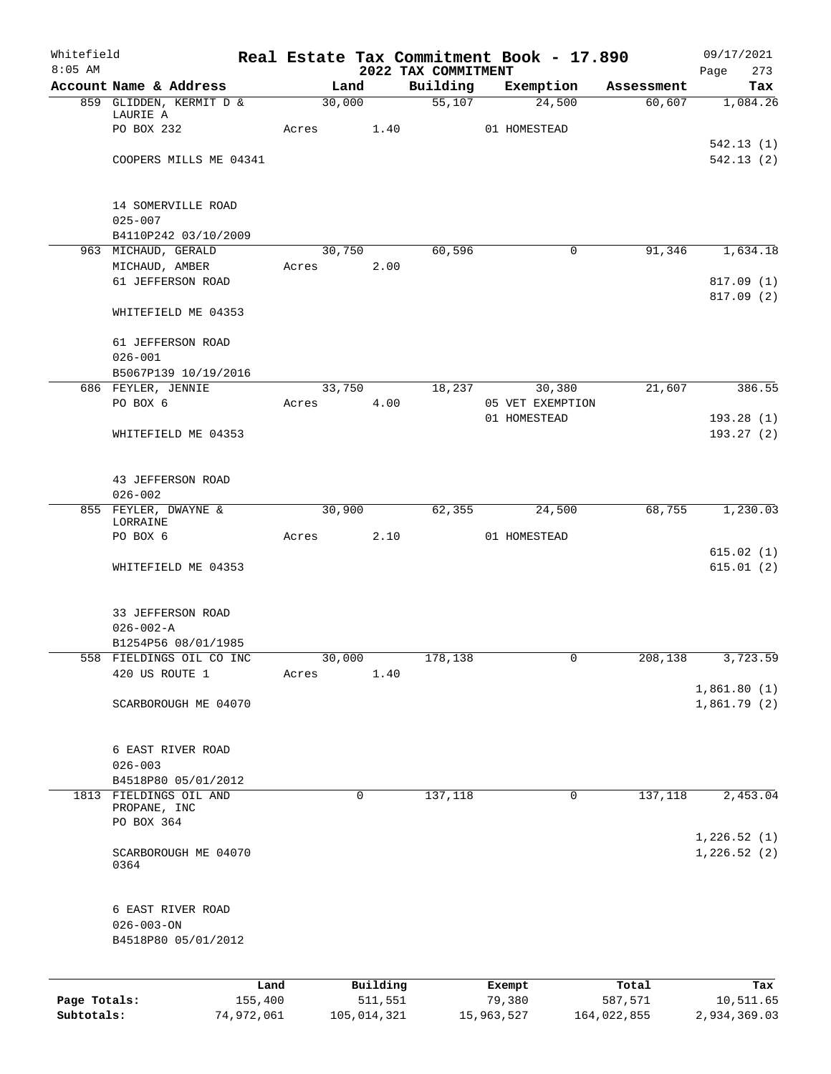| Whitefield   |                                       |            | Real Estate Tax Commitment Book - 17.890 |             |                                 |                  |             |             | 09/17/2021                 |
|--------------|---------------------------------------|------------|------------------------------------------|-------------|---------------------------------|------------------|-------------|-------------|----------------------------|
| $8:05$ AM    | Account Name & Address                |            | Land                                     |             | 2022 TAX COMMITMENT<br>Building | Exemption        |             | Assessment  | Page<br>273<br>Tax         |
|              | 859 GLIDDEN, KERMIT D &               |            | 30,000                                   |             |                                 | 55,107           | 24,500      | 60,607      | 1,084.26                   |
|              | LAURIE A                              |            |                                          |             |                                 |                  |             |             |                            |
|              | PO BOX 232                            |            | Acres                                    | 1.40        |                                 | 01 HOMESTEAD     |             |             |                            |
|              | COOPERS MILLS ME 04341                |            |                                          |             |                                 |                  |             |             | 542.13(1)<br>542.13(2)     |
|              |                                       |            |                                          |             |                                 |                  |             |             |                            |
|              | 14 SOMERVILLE ROAD                    |            |                                          |             |                                 |                  |             |             |                            |
|              | $025 - 007$                           |            |                                          |             |                                 |                  |             |             |                            |
|              | B4110P242 03/10/2009                  |            |                                          |             |                                 |                  |             |             |                            |
|              | 963 MICHAUD, GERALD<br>MICHAUD, AMBER |            | 30,750                                   | 2.00        | 60,596                          |                  | 0           | 91,346      | 1,634.18                   |
|              | 61 JEFFERSON ROAD                     |            | Acres                                    |             |                                 |                  |             |             | 817.09 (1)                 |
|              |                                       |            |                                          |             |                                 |                  |             |             | 817.09(2)                  |
|              | WHITEFIELD ME 04353                   |            |                                          |             |                                 |                  |             |             |                            |
|              | 61 JEFFERSON ROAD                     |            |                                          |             |                                 |                  |             |             |                            |
|              | $026 - 001$                           |            |                                          |             |                                 |                  |             |             |                            |
|              | B5067P139 10/19/2016                  |            |                                          |             |                                 |                  |             |             |                            |
|              | 686 FEYLER, JENNIE                    |            | 33,750                                   |             | 18,237                          |                  | 30,380      | 21,607      | 386.55                     |
|              | PO BOX 6                              |            | Acres                                    | 4.00        |                                 | 05 VET EXEMPTION |             |             | 193.28(1)                  |
|              | WHITEFIELD ME 04353                   |            |                                          |             |                                 | 01 HOMESTEAD     |             |             | 193.27(2)                  |
|              |                                       |            |                                          |             |                                 |                  |             |             |                            |
|              | 43 JEFFERSON ROAD                     |            |                                          |             |                                 |                  |             |             |                            |
|              | $026 - 002$                           |            |                                          |             |                                 |                  |             |             |                            |
|              | 855 FEYLER, DWAYNE &                  |            | 30,900                                   |             | 62,355                          |                  | 24,500      | 68,755      | 1,230.03                   |
|              | LORRAINE                              |            |                                          |             |                                 |                  |             |             |                            |
|              | PO BOX 6                              |            | Acres                                    | 2.10        |                                 | 01 HOMESTEAD     |             |             | 615.02(1)                  |
|              | WHITEFIELD ME 04353                   |            |                                          |             |                                 |                  |             |             | 615.01(2)                  |
|              | 33 JEFFERSON ROAD                     |            |                                          |             |                                 |                  |             |             |                            |
|              | $026 - 002 - A$                       |            |                                          |             |                                 |                  |             |             |                            |
|              | B1254P56 08/01/1985                   |            |                                          |             |                                 |                  |             |             |                            |
|              | 558 FIELDINGS OIL CO INC              |            | 30,000                                   |             | 178,138                         |                  |             | 208,138     | 3,723.59                   |
|              | 420 US ROUTE 1                        |            | Acres                                    | 1.40        |                                 |                  |             |             |                            |
|              |                                       |            |                                          |             |                                 |                  |             |             | 1,861.80(1)                |
|              | SCARBOROUGH ME 04070                  |            |                                          |             |                                 |                  |             |             | 1,861.79(2)                |
|              |                                       |            |                                          |             |                                 |                  |             |             |                            |
|              | 6 EAST RIVER ROAD<br>$026 - 003$      |            |                                          |             |                                 |                  |             |             |                            |
|              | B4518P80 05/01/2012                   |            |                                          |             |                                 |                  |             |             |                            |
|              | 1813 FIELDINGS OIL AND                |            | $\mathbf 0$                              |             | 137,118                         |                  | $\mathbf 0$ | 137,118     | 2,453.04                   |
|              | PROPANE, INC                          |            |                                          |             |                                 |                  |             |             |                            |
|              | PO BOX 364                            |            |                                          |             |                                 |                  |             |             |                            |
|              | SCARBOROUGH ME 04070                  |            |                                          |             |                                 |                  |             |             | 1,226.52(1)<br>1,226.52(2) |
|              | 0364                                  |            |                                          |             |                                 |                  |             |             |                            |
|              |                                       |            |                                          |             |                                 |                  |             |             |                            |
|              | 6 EAST RIVER ROAD<br>$026 - 003 - ON$ |            |                                          |             |                                 |                  |             |             |                            |
|              | B4518P80 05/01/2012                   |            |                                          |             |                                 |                  |             |             |                            |
|              |                                       |            |                                          |             |                                 |                  |             |             |                            |
|              |                                       | Land       |                                          | Building    |                                 | Exempt           |             | Total       | Tax                        |
| Page Totals: |                                       | 155,400    |                                          | 511,551     |                                 | 79,380           |             | 587,571     | 10,511.65                  |
| Subtotals:   |                                       | 74,972,061 |                                          | 105,014,321 |                                 | 15,963,527       |             | 164,022,855 | 2,934,369.03               |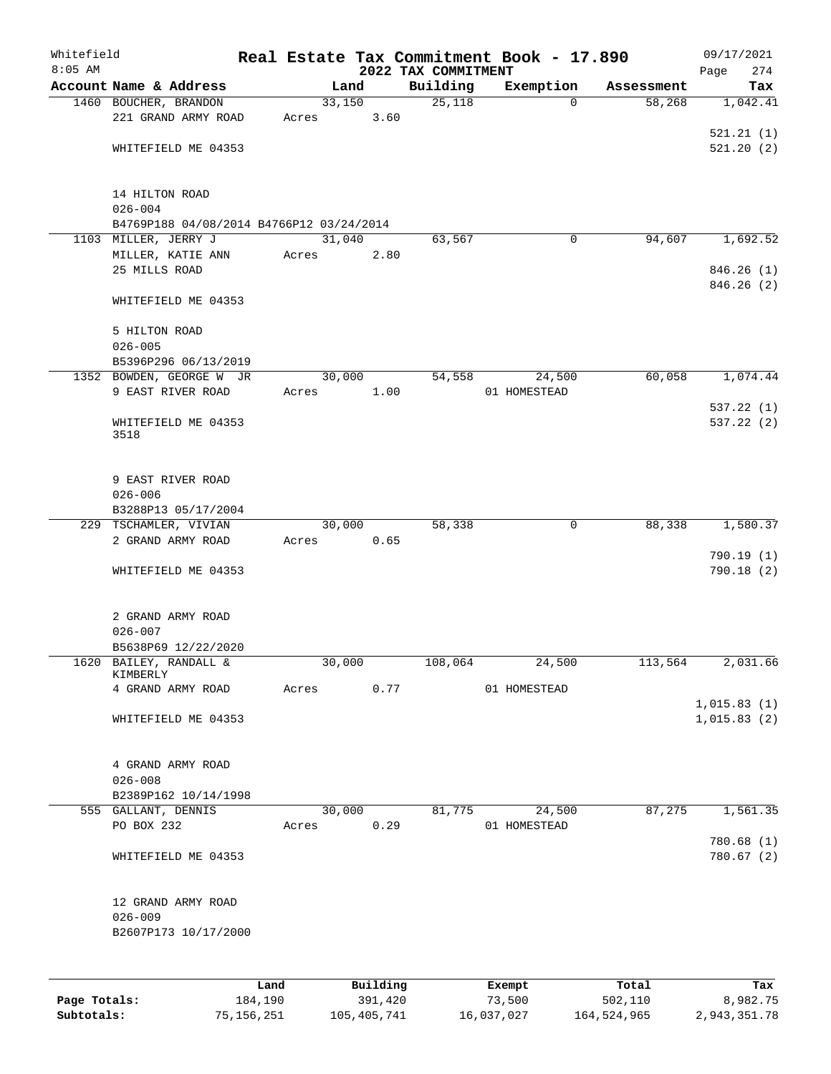| Whitefield<br>$8:05$ AM |                                          |      |       |          |      | 2022 TAX COMMITMENT | Real Estate Tax Commitment Book - 17.890 |            | 09/17/2021<br>274<br>Page |
|-------------------------|------------------------------------------|------|-------|----------|------|---------------------|------------------------------------------|------------|---------------------------|
|                         | Account Name & Address                   |      |       | Land     |      | Building            | Exemption                                | Assessment | Tax                       |
|                         | 1460 BOUCHER, BRANDON                    |      |       | 33,150   |      | 25,118              | $\Omega$                                 | 58,268     | 1,042.41                  |
|                         | 221 GRAND ARMY ROAD                      |      | Acres |          | 3.60 |                     |                                          |            |                           |
|                         |                                          |      |       |          |      |                     |                                          |            | 521.21(1)                 |
|                         | WHITEFIELD ME 04353                      |      |       |          |      |                     |                                          |            | 521.20(2)                 |
|                         |                                          |      |       |          |      |                     |                                          |            |                           |
|                         | 14 HILTON ROAD<br>$026 - 004$            |      |       |          |      |                     |                                          |            |                           |
|                         | B4769P188 04/08/2014 B4766P12 03/24/2014 |      |       |          |      |                     |                                          |            |                           |
|                         | 1103 MILLER, JERRY J                     |      |       | 31,040   |      | 63,567              | 0                                        | 94,607     | 1,692.52                  |
|                         | MILLER, KATIE ANN                        |      | Acres |          | 2.80 |                     |                                          |            |                           |
|                         | 25 MILLS ROAD                            |      |       |          |      |                     |                                          |            | 846.26(1)                 |
|                         |                                          |      |       |          |      |                     |                                          |            | 846.26(2)                 |
|                         | WHITEFIELD ME 04353                      |      |       |          |      |                     |                                          |            |                           |
|                         | 5 HILTON ROAD                            |      |       |          |      |                     |                                          |            |                           |
|                         | $026 - 005$                              |      |       |          |      |                     |                                          |            |                           |
|                         | B5396P296 06/13/2019                     |      |       |          |      |                     |                                          |            |                           |
|                         | 1352 BOWDEN, GEORGE W JR                 |      |       | 30,000   |      | 54,558              | 24,500                                   | 60,058     | 1,074.44                  |
|                         | 9 EAST RIVER ROAD                        |      | Acres |          | 1.00 |                     | 01 HOMESTEAD                             |            |                           |
|                         |                                          |      |       |          |      |                     |                                          |            | 537.22 (1)                |
|                         | WHITEFIELD ME 04353                      |      |       |          |      |                     |                                          |            | 537.22(2)                 |
|                         | 3518                                     |      |       |          |      |                     |                                          |            |                           |
|                         | 9 EAST RIVER ROAD                        |      |       |          |      |                     |                                          |            |                           |
|                         | $026 - 006$                              |      |       |          |      |                     |                                          |            |                           |
|                         | B3288P13 05/17/2004                      |      |       |          |      |                     |                                          |            |                           |
|                         | 229 TSCHAMLER, VIVIAN                    |      |       | 30,000   |      | 58,338              | 0                                        | 88,338     | 1,580.37                  |
|                         | 2 GRAND ARMY ROAD                        |      | Acres |          | 0.65 |                     |                                          |            |                           |
|                         |                                          |      |       |          |      |                     |                                          |            | 790.19 (1)                |
|                         | WHITEFIELD ME 04353                      |      |       |          |      |                     |                                          |            | 790.18(2)                 |
|                         |                                          |      |       |          |      |                     |                                          |            |                           |
|                         | 2 GRAND ARMY ROAD                        |      |       |          |      |                     |                                          |            |                           |
|                         | $026 - 007$                              |      |       |          |      |                     |                                          |            |                           |
|                         | B5638P69 12/22/2020                      |      |       |          |      |                     |                                          |            |                           |
|                         | 1620 BAILEY, RANDALL &<br>KIMBERLY       |      |       | 30,000   |      | 108,064             | 24,500                                   | 113,564    | 2,031.66                  |
|                         | 4 GRAND ARMY ROAD                        |      | Acres |          | 0.77 |                     | 01 HOMESTEAD                             |            |                           |
|                         |                                          |      |       |          |      |                     |                                          |            | 1,015.83(1)               |
|                         | WHITEFIELD ME 04353                      |      |       |          |      |                     |                                          |            | 1,015.83(2)               |
|                         |                                          |      |       |          |      |                     |                                          |            |                           |
|                         | 4 GRAND ARMY ROAD                        |      |       |          |      |                     |                                          |            |                           |
|                         | $026 - 008$                              |      |       |          |      |                     |                                          |            |                           |
|                         | B2389P162 10/14/1998                     |      |       |          |      |                     |                                          |            |                           |
|                         | 555 GALLANT, DENNIS                      |      |       | 30,000   |      | 81,775              | 24,500                                   | 87,275     | 1,561.35                  |
|                         | PO BOX 232                               |      | Acres |          | 0.29 |                     | 01 HOMESTEAD                             |            |                           |
|                         |                                          |      |       |          |      |                     |                                          |            | 780.68(1)                 |
|                         | WHITEFIELD ME 04353                      |      |       |          |      |                     |                                          |            | 780.67(2)                 |
|                         |                                          |      |       |          |      |                     |                                          |            |                           |
|                         | 12 GRAND ARMY ROAD                       |      |       |          |      |                     |                                          |            |                           |
|                         | $026 - 009$                              |      |       |          |      |                     |                                          |            |                           |
|                         | B2607P173 10/17/2000                     |      |       |          |      |                     |                                          |            |                           |
|                         |                                          |      |       |          |      |                     |                                          |            |                           |
|                         |                                          | Land |       | Building |      |                     | Exempt                                   | Total      | Tax                       |

|              | .          | <u>DULLULUM</u> | <b>BACINDO</b> | - 2001      | $-0.2$       |
|--------------|------------|-----------------|----------------|-------------|--------------|
| Page Totals: | 184,190    | 391,420         | 73,500         | 502,110     | 8,982.75     |
| Subtotals:   | 75,156,251 | 105,405,741     | 16,037,027     | 164,524,965 | 2,943,351.78 |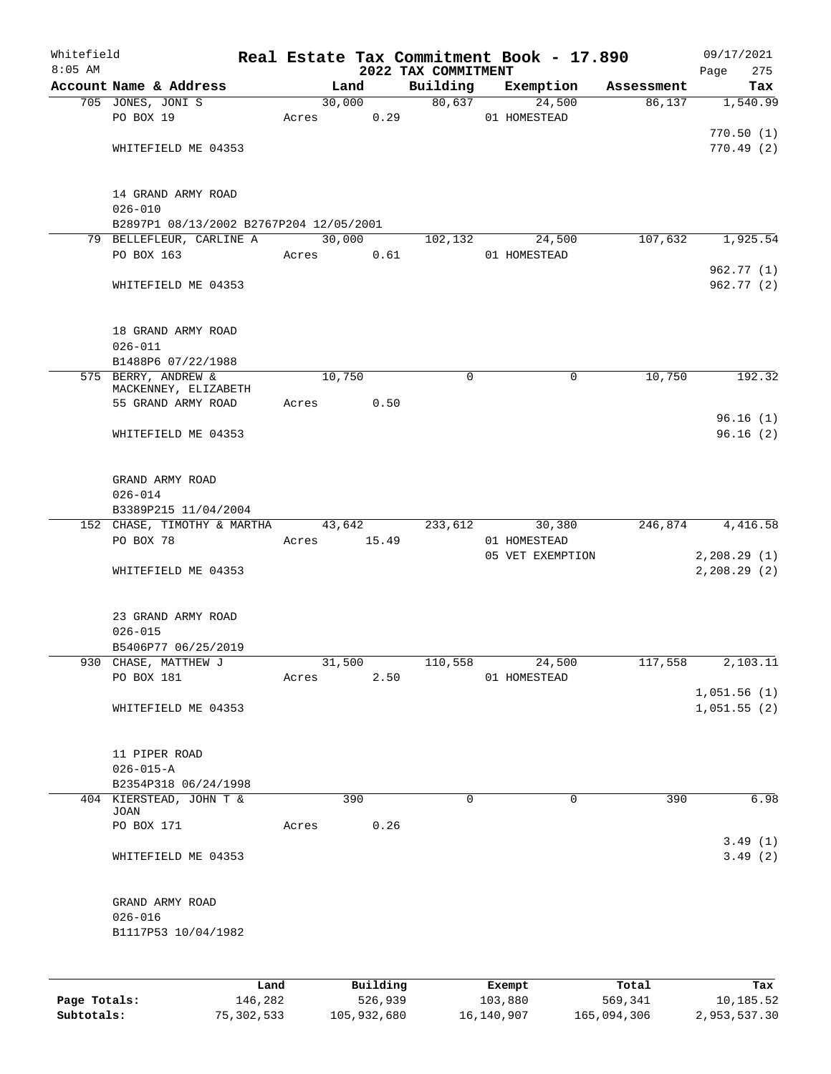| $8:05$ AM<br>2022 TAX COMMITMENT<br>Account Name & Address<br>Building<br>Exemption<br>Land<br>Assessment<br>30,000<br>80,637<br>705 JONES, JONI S<br>24,500<br>86,137<br>PO BOX 19<br>0.29<br>01 HOMESTEAD<br>Acres<br>WHITEFIELD ME 04353<br>14 GRAND ARMY ROAD<br>$026 - 010$<br>B2897P1 08/13/2002 B2767P204 12/05/2001<br>30,000<br>107,632<br>79 BELLEFLEUR, CARLINE A<br>102,132<br>24,500<br>PO BOX 163<br>0.61<br>01 HOMESTEAD<br>Acres<br>WHITEFIELD ME 04353 | 275<br>Page                |
|-------------------------------------------------------------------------------------------------------------------------------------------------------------------------------------------------------------------------------------------------------------------------------------------------------------------------------------------------------------------------------------------------------------------------------------------------------------------------|----------------------------|
|                                                                                                                                                                                                                                                                                                                                                                                                                                                                         | Tax                        |
|                                                                                                                                                                                                                                                                                                                                                                                                                                                                         | 1,540.99                   |
|                                                                                                                                                                                                                                                                                                                                                                                                                                                                         |                            |
|                                                                                                                                                                                                                                                                                                                                                                                                                                                                         | 770.50(1)                  |
|                                                                                                                                                                                                                                                                                                                                                                                                                                                                         | 770.49(2)                  |
|                                                                                                                                                                                                                                                                                                                                                                                                                                                                         |                            |
|                                                                                                                                                                                                                                                                                                                                                                                                                                                                         |                            |
|                                                                                                                                                                                                                                                                                                                                                                                                                                                                         |                            |
|                                                                                                                                                                                                                                                                                                                                                                                                                                                                         |                            |
|                                                                                                                                                                                                                                                                                                                                                                                                                                                                         | 1,925.54                   |
|                                                                                                                                                                                                                                                                                                                                                                                                                                                                         |                            |
|                                                                                                                                                                                                                                                                                                                                                                                                                                                                         | 962.77 (1)                 |
|                                                                                                                                                                                                                                                                                                                                                                                                                                                                         | 962.77 (2)                 |
|                                                                                                                                                                                                                                                                                                                                                                                                                                                                         |                            |
|                                                                                                                                                                                                                                                                                                                                                                                                                                                                         |                            |
| 18 GRAND ARMY ROAD<br>$026 - 011$                                                                                                                                                                                                                                                                                                                                                                                                                                       |                            |
| B1488P6 07/22/1988                                                                                                                                                                                                                                                                                                                                                                                                                                                      |                            |
| 10,750<br>10,750<br>575 BERRY, ANDREW &<br>0<br>0                                                                                                                                                                                                                                                                                                                                                                                                                       | 192.32                     |
| MACKENNEY, ELIZABETH                                                                                                                                                                                                                                                                                                                                                                                                                                                    |                            |
| 55 GRAND ARMY ROAD<br>0.50<br>Acres                                                                                                                                                                                                                                                                                                                                                                                                                                     |                            |
|                                                                                                                                                                                                                                                                                                                                                                                                                                                                         | 96.16(1)                   |
| WHITEFIELD ME 04353                                                                                                                                                                                                                                                                                                                                                                                                                                                     | 96.16(2)                   |
|                                                                                                                                                                                                                                                                                                                                                                                                                                                                         |                            |
| GRAND ARMY ROAD                                                                                                                                                                                                                                                                                                                                                                                                                                                         |                            |
| $026 - 014$                                                                                                                                                                                                                                                                                                                                                                                                                                                             |                            |
| B3389P215 11/04/2004                                                                                                                                                                                                                                                                                                                                                                                                                                                    |                            |
| 152 CHASE, TIMOTHY & MARTHA<br>233,612<br>246,874<br>43,642<br>30,380                                                                                                                                                                                                                                                                                                                                                                                                   | 4,416.58                   |
| PO BOX 78<br>15.49<br>01 HOMESTEAD<br>Acres                                                                                                                                                                                                                                                                                                                                                                                                                             |                            |
| 05 VET EXEMPTION                                                                                                                                                                                                                                                                                                                                                                                                                                                        | 2,208.29(1)                |
| WHITEFIELD ME 04353                                                                                                                                                                                                                                                                                                                                                                                                                                                     | 2,208.29(2)                |
|                                                                                                                                                                                                                                                                                                                                                                                                                                                                         |                            |
| 23 GRAND ARMY ROAD                                                                                                                                                                                                                                                                                                                                                                                                                                                      |                            |
| $026 - 015$                                                                                                                                                                                                                                                                                                                                                                                                                                                             |                            |
| B5406P77 06/25/2019                                                                                                                                                                                                                                                                                                                                                                                                                                                     |                            |
| 930 CHASE, MATTHEW J<br>31,500<br>110,558<br>24,500<br>117,558                                                                                                                                                                                                                                                                                                                                                                                                          | 2,103.11                   |
| PO BOX 181<br>2.50<br>Acres<br>01 HOMESTEAD                                                                                                                                                                                                                                                                                                                                                                                                                             |                            |
|                                                                                                                                                                                                                                                                                                                                                                                                                                                                         | 1,051.56(1)<br>1,051.55(2) |
| WHITEFIELD ME 04353                                                                                                                                                                                                                                                                                                                                                                                                                                                     |                            |
|                                                                                                                                                                                                                                                                                                                                                                                                                                                                         |                            |
| 11 PIPER ROAD                                                                                                                                                                                                                                                                                                                                                                                                                                                           |                            |
| $026 - 015 - A$                                                                                                                                                                                                                                                                                                                                                                                                                                                         |                            |
| B2354P318 06/24/1998                                                                                                                                                                                                                                                                                                                                                                                                                                                    |                            |
| 404 KIERSTEAD, JOHN T &<br>$\Omega$<br>$\mathbf 0$<br>390<br>390<br>JOAN                                                                                                                                                                                                                                                                                                                                                                                                | 6.98                       |
| PO BOX 171<br>0.26<br>Acres                                                                                                                                                                                                                                                                                                                                                                                                                                             |                            |
|                                                                                                                                                                                                                                                                                                                                                                                                                                                                         | 3.49(1)                    |
| WHITEFIELD ME 04353                                                                                                                                                                                                                                                                                                                                                                                                                                                     | 3.49(2)                    |
|                                                                                                                                                                                                                                                                                                                                                                                                                                                                         |                            |
| GRAND ARMY ROAD                                                                                                                                                                                                                                                                                                                                                                                                                                                         |                            |
| $026 - 016$                                                                                                                                                                                                                                                                                                                                                                                                                                                             |                            |
| B1117P53 10/04/1982                                                                                                                                                                                                                                                                                                                                                                                                                                                     |                            |
|                                                                                                                                                                                                                                                                                                                                                                                                                                                                         |                            |
| Building<br>Total<br>Land<br>Exempt                                                                                                                                                                                                                                                                                                                                                                                                                                     | Tax                        |

|              | ⊥ano       | Building    | Exempt     | тосат       | тах          |
|--------------|------------|-------------|------------|-------------|--------------|
| Page Totals: | 146,282    | 526,939     | 103,880    | 569,341     | 10,185.52    |
| Subtotals:   | 75,302,533 | 105,932,680 | 16,140,907 | 165,094,306 | 2,953,537.30 |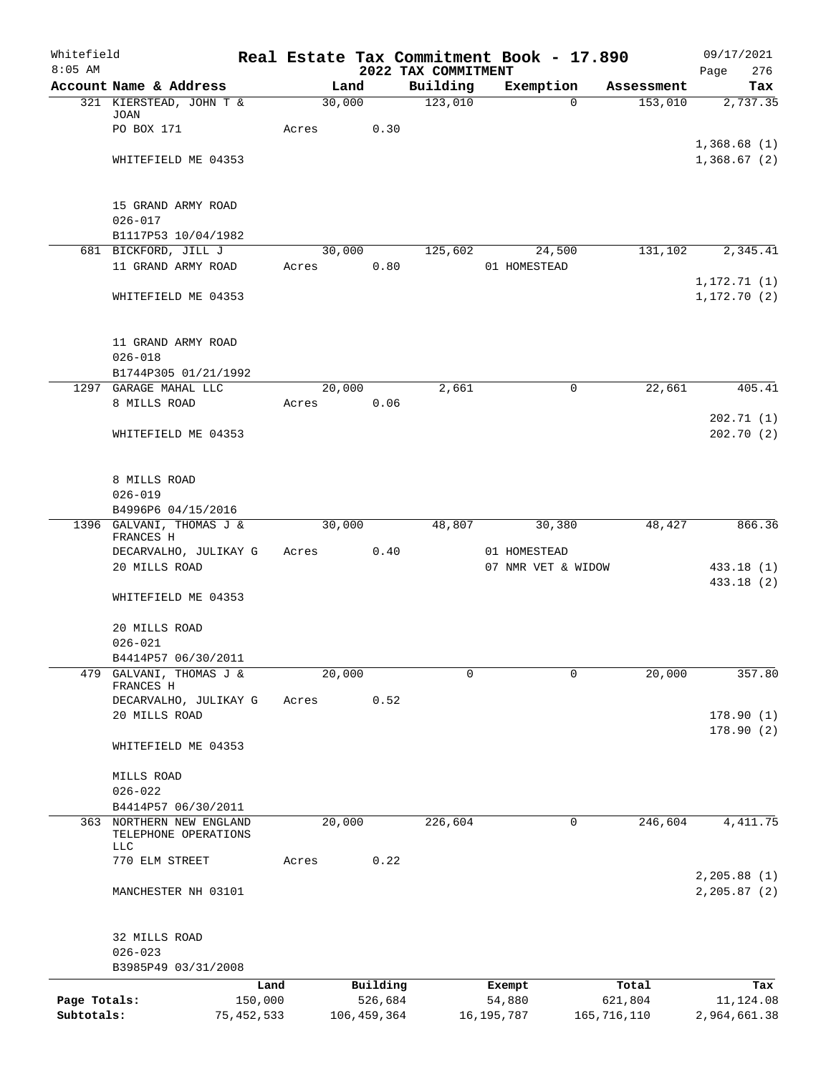| Whitefield<br>$8:05$ AM |                                              |       |               | 2022 TAX COMMITMENT | Real Estate Tax Commitment Book - 17.890 |             | 09/17/2021<br>276<br>Page      |
|-------------------------|----------------------------------------------|-------|---------------|---------------------|------------------------------------------|-------------|--------------------------------|
|                         | Account Name & Address                       |       | Land          | Building            | Exemption                                | Assessment  | Tax                            |
|                         | 321 KIERSTEAD, JOHN T &                      |       | 30,000        | 123,010             | $\Omega$                                 | 153,010     | 2,737.35                       |
|                         | <b>JOAN</b>                                  |       |               |                     |                                          |             |                                |
|                         | PO BOX 171                                   | Acres | 0.30          |                     |                                          |             |                                |
|                         |                                              |       |               |                     |                                          |             | 1,368.68(1)<br>1,368.67(2)     |
|                         | WHITEFIELD ME 04353                          |       |               |                     |                                          |             |                                |
|                         |                                              |       |               |                     |                                          |             |                                |
|                         | 15 GRAND ARMY ROAD<br>$026 - 017$            |       |               |                     |                                          |             |                                |
|                         | B1117P53 10/04/1982                          |       |               |                     |                                          |             |                                |
|                         | 681 BICKFORD, JILL J                         |       | 30,000        | 125,602             | 24,500                                   | 131,102     | 2,345.41                       |
|                         | 11 GRAND ARMY ROAD                           | Acres | 0.80          |                     | 01 HOMESTEAD                             |             |                                |
|                         |                                              |       |               |                     |                                          |             | 1, 172.71(1)                   |
|                         | WHITEFIELD ME 04353                          |       |               |                     |                                          |             | 1, 172.70(2)                   |
|                         |                                              |       |               |                     |                                          |             |                                |
|                         | 11 GRAND ARMY ROAD                           |       |               |                     |                                          |             |                                |
|                         | $026 - 018$<br>B1744P305 01/21/1992          |       |               |                     |                                          |             |                                |
|                         | 1297 GARAGE MAHAL LLC                        |       | 20,000        | 2,661               | 0                                        | 22,661      | 405.41                         |
|                         | 8 MILLS ROAD                                 | Acres | 0.06          |                     |                                          |             |                                |
|                         |                                              |       |               |                     |                                          |             | 202.71(1)                      |
|                         | WHITEFIELD ME 04353                          |       |               |                     |                                          |             | 202.70(2)                      |
|                         |                                              |       |               |                     |                                          |             |                                |
|                         | 8 MILLS ROAD                                 |       |               |                     |                                          |             |                                |
|                         | $026 - 019$                                  |       |               |                     |                                          |             |                                |
|                         | B4996P6 04/15/2016                           |       |               |                     |                                          |             |                                |
|                         | 1396 GALVANI, THOMAS J &                     |       | 30,000        | 48,807              | 30,380                                   | 48,427      | 866.36                         |
|                         | FRANCES H<br>DECARVALHO, JULIKAY G           | Acres | 0.40          |                     | 01 HOMESTEAD                             |             |                                |
|                         | 20 MILLS ROAD                                |       |               |                     | 07 NMR VET & WIDOW                       |             | 433.18 (1)                     |
|                         |                                              |       |               |                     |                                          |             | 433.18 (2)                     |
|                         | WHITEFIELD ME 04353                          |       |               |                     |                                          |             |                                |
|                         | 20 MILLS ROAD                                |       |               |                     |                                          |             |                                |
|                         | $026 - 021$                                  |       |               |                     |                                          |             |                                |
|                         | B4414P57 06/30/2011                          |       |               |                     |                                          |             |                                |
| 479                     | GALVANI, THOMAS J &                          |       | 20,000        | $\mathbf 0$         | 0                                        | 20,000      | 357.80                         |
|                         | FRANCES H                                    |       |               |                     |                                          |             |                                |
|                         | DECARVALHO, JULIKAY G                        | Acres | 0.52          |                     |                                          |             |                                |
|                         | 20 MILLS ROAD                                |       |               |                     |                                          |             | 178.90 (1)<br>178.90(2)        |
|                         | WHITEFIELD ME 04353                          |       |               |                     |                                          |             |                                |
|                         | MILLS ROAD                                   |       |               |                     |                                          |             |                                |
|                         | $026 - 022$                                  |       |               |                     |                                          |             |                                |
|                         | B4414P57 06/30/2011                          |       |               |                     |                                          |             |                                |
| 363                     | NORTHERN NEW ENGLAND<br>TELEPHONE OPERATIONS |       | 20,000        | 226,604             | 0                                        | 246,604     | 4, 411.75                      |
|                         | <b>LLC</b>                                   |       |               |                     |                                          |             |                                |
|                         | 770 ELM STREET                               | Acres | 0.22          |                     |                                          |             |                                |
|                         | MANCHESTER NH 03101                          |       |               |                     |                                          |             | 2, 205.88 (1)<br>2, 205.87 (2) |
|                         |                                              |       |               |                     |                                          |             |                                |
|                         | 32 MILLS ROAD                                |       |               |                     |                                          |             |                                |
|                         | $026 - 023$                                  |       |               |                     |                                          |             |                                |
|                         | B3985P49 03/31/2008                          |       |               |                     |                                          |             |                                |
|                         |                                              | Land  | Building      |                     | Exempt                                   | Total       | Tax                            |
| Page Totals:            | 150,000                                      |       | 526,684       |                     | 54,880                                   | 621,804     | 11,124.08                      |
| Subtotals:              | 75, 452, 533                                 |       | 106, 459, 364 |                     | 16,195,787                               | 165,716,110 | 2,964,661.38                   |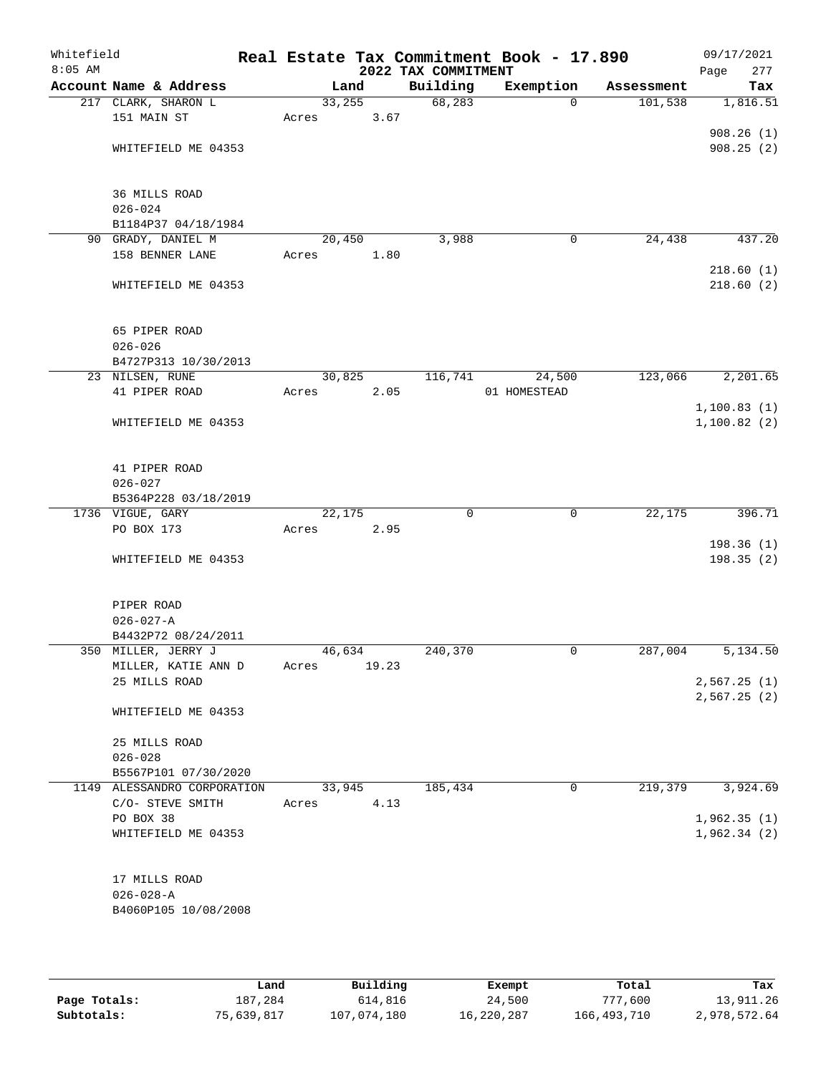| Whitefield<br>$8:05$ AM |                             |        |       | 2022 TAX COMMITMENT | Real Estate Tax Commitment Book - 17.890 |            | 09/17/2021<br>277<br>Page |
|-------------------------|-----------------------------|--------|-------|---------------------|------------------------------------------|------------|---------------------------|
|                         | Account Name & Address      | Land   |       | Building            | Exemption                                | Assessment | Tax                       |
|                         | 217 CLARK, SHARON L         | 33,255 |       | 68,283              | $\Omega$                                 | 101,538    | 1,816.51                  |
|                         | 151 MAIN ST                 | Acres  | 3.67  |                     |                                          |            |                           |
|                         |                             |        |       |                     |                                          |            | 908.26(1)                 |
|                         | WHITEFIELD ME 04353         |        |       |                     |                                          |            | 908.25(2)                 |
|                         | 36 MILLS ROAD               |        |       |                     |                                          |            |                           |
|                         | $026 - 024$                 |        |       |                     |                                          |            |                           |
|                         | B1184P37 04/18/1984         |        |       |                     |                                          |            |                           |
|                         | 90 GRADY, DANIEL M          | 20,450 |       | 3,988               | $\mathbf 0$                              | 24,438     | 437.20                    |
|                         | 158 BENNER LANE             | Acres  | 1.80  |                     |                                          |            |                           |
|                         |                             |        |       |                     |                                          |            | 218.60(1)                 |
|                         | WHITEFIELD ME 04353         |        |       |                     |                                          |            | 218.60(2)                 |
|                         | 65 PIPER ROAD               |        |       |                     |                                          |            |                           |
|                         | $026 - 026$                 |        |       |                     |                                          |            |                           |
|                         | B4727P313 10/30/2013        |        |       |                     |                                          |            |                           |
|                         | 23 NILSEN, RUNE             | 30,825 |       | 116,741             | 24,500                                   | 123,066    | 2,201.65                  |
|                         | 41 PIPER ROAD               | Acres  | 2.05  |                     | 01 HOMESTEAD                             |            |                           |
|                         |                             |        |       |                     |                                          |            | 1,100.83(1)               |
|                         | WHITEFIELD ME 04353         |        |       |                     |                                          |            | 1,100.82(2)               |
|                         | 41 PIPER ROAD               |        |       |                     |                                          |            |                           |
|                         | $026 - 027$                 |        |       |                     |                                          |            |                           |
|                         | B5364P228 03/18/2019        |        |       |                     |                                          |            |                           |
|                         | 1736 VIGUE, GARY            | 22,175 |       | $\mathbf 0$         | $\mathbf 0$                              | 22,175     | 396.71                    |
|                         | PO BOX 173                  | Acres  | 2.95  |                     |                                          |            |                           |
|                         |                             |        |       |                     |                                          |            | 198.36 (1)                |
|                         | WHITEFIELD ME 04353         |        |       |                     |                                          |            | 198.35(2)                 |
|                         | PIPER ROAD                  |        |       |                     |                                          |            |                           |
|                         | $026 - 027 - A$             |        |       |                     |                                          |            |                           |
|                         | B4432P72 08/24/2011         |        |       |                     |                                          |            |                           |
|                         | 350 MILLER, JERRY J         | 46,634 |       | 240,370             | 0                                        | 287,004    | 5,134.50                  |
|                         | MILLER, KATIE ANN D         | Acres  | 19.23 |                     |                                          |            |                           |
|                         | 25 MILLS ROAD               |        |       |                     |                                          |            | 2,567.25(1)               |
|                         |                             |        |       |                     |                                          |            | 2,567.25(2)               |
|                         | WHITEFIELD ME 04353         |        |       |                     |                                          |            |                           |
|                         | 25 MILLS ROAD               |        |       |                     |                                          |            |                           |
|                         | $026 - 028$                 |        |       |                     |                                          |            |                           |
|                         | B5567P101 07/30/2020        |        |       |                     |                                          |            |                           |
|                         | 1149 ALESSANDRO CORPORATION | 33,945 |       | 185,434             | 0                                        | 219,379    | 3,924.69                  |
|                         | C/O- STEVE SMITH            | Acres  | 4.13  |                     |                                          |            |                           |
|                         | PO BOX 38                   |        |       |                     |                                          |            | 1,962.35(1)               |
|                         | WHITEFIELD ME 04353         |        |       |                     |                                          |            | 1,962.34(2)               |
|                         | 17 MILLS ROAD               |        |       |                     |                                          |            |                           |
|                         | $026 - 028 - A$             |        |       |                     |                                          |            |                           |
|                         | B4060P105 10/08/2008        |        |       |                     |                                          |            |                           |
|                         |                             |        |       |                     |                                          |            |                           |
|                         |                             |        |       |                     |                                          |            |                           |

|              | Land       | Building    | Exempt     | Total       | Tax          |
|--------------|------------|-------------|------------|-------------|--------------|
| Page Totals: | 187,284    | 614,816     | 24,500     | 777,600     | 13,911.26    |
| Subtotals:   | 75,639,817 | 107,074,180 | 16,220,287 | 166,493,710 | 2,978,572.64 |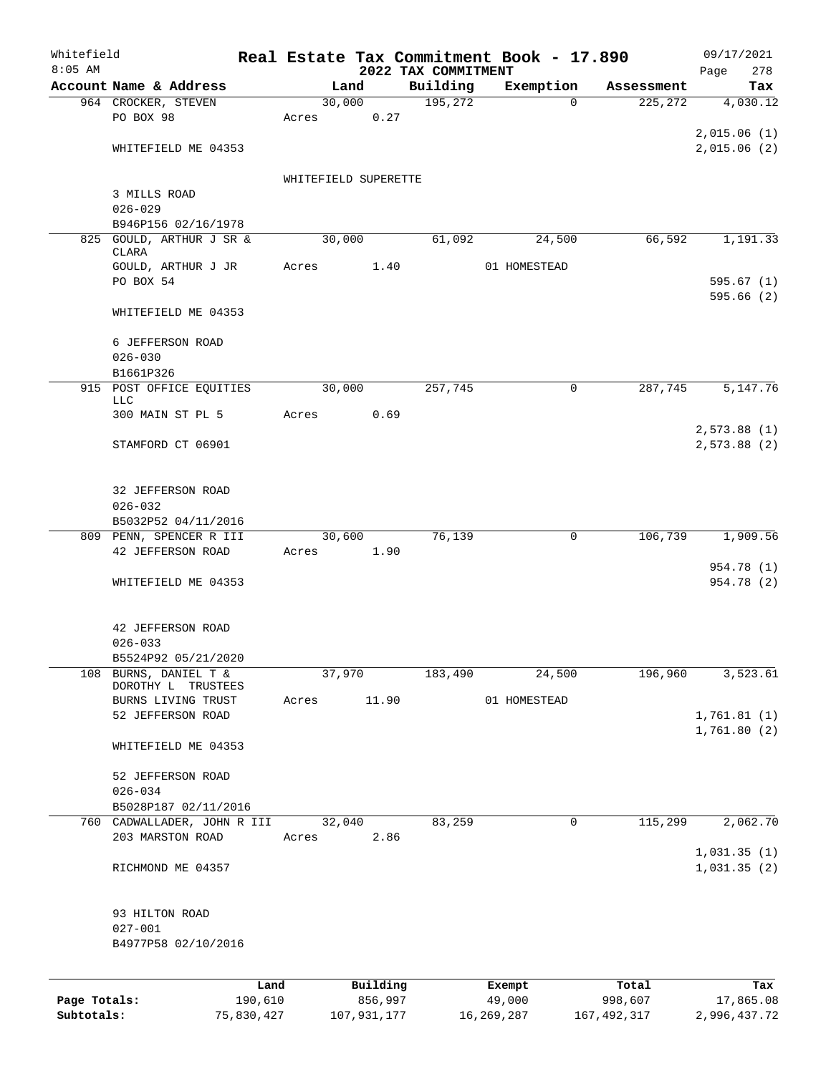| Whitefield   |                                         |            |                      |                |                                 | Real Estate Tax Commitment Book - 17.890 |               | 09/17/2021                 |
|--------------|-----------------------------------------|------------|----------------------|----------------|---------------------------------|------------------------------------------|---------------|----------------------------|
| $8:05$ AM    | Account Name & Address                  |            |                      | Land           | 2022 TAX COMMITMENT<br>Building | Exemption                                | Assessment    | 278<br>Page<br>Tax         |
|              | 964 CROCKER, STEVEN                     |            |                      | 30,000         | 195,272                         | $\Omega$                                 | 225, 272      | 4,030.12                   |
|              | PO BOX 98                               |            | Acres                | 0.27           |                                 |                                          |               |                            |
|              |                                         |            |                      |                |                                 |                                          |               | 2,015.06(1)                |
|              | WHITEFIELD ME 04353                     |            |                      |                |                                 |                                          |               | 2,015.06(2)                |
|              |                                         |            |                      |                |                                 |                                          |               |                            |
|              |                                         |            | WHITEFIELD SUPERETTE |                |                                 |                                          |               |                            |
|              | 3 MILLS ROAD<br>$026 - 029$             |            |                      |                |                                 |                                          |               |                            |
|              | B946P156 02/16/1978                     |            |                      |                |                                 |                                          |               |                            |
|              | 825 GOULD, ARTHUR J SR &                |            |                      | 30,000         | 61,092                          | 24,500                                   | 66,592        | 1,191.33                   |
|              | CLARA                                   |            |                      |                |                                 |                                          |               |                            |
|              | GOULD, ARTHUR J JR                      |            | Acres                | 1.40           |                                 | 01 HOMESTEAD                             |               |                            |
|              | PO BOX 54                               |            |                      |                |                                 |                                          |               | 595.67(1)<br>595.66(2)     |
|              | WHITEFIELD ME 04353                     |            |                      |                |                                 |                                          |               |                            |
|              |                                         |            |                      |                |                                 |                                          |               |                            |
|              | 6 JEFFERSON ROAD                        |            |                      |                |                                 |                                          |               |                            |
|              | $026 - 030$                             |            |                      |                |                                 |                                          |               |                            |
|              | B1661P326                               |            |                      |                |                                 |                                          |               |                            |
|              | 915 POST OFFICE EQUITIES<br>LLC         |            |                      | 30,000         | 257,745                         | $\mathsf{O}$                             | 287,745       | 5,147.76                   |
|              | 300 MAIN ST PL 5                        |            | Acres                | 0.69           |                                 |                                          |               |                            |
|              |                                         |            |                      |                |                                 |                                          |               | 2,573.88(1)                |
|              | STAMFORD CT 06901                       |            |                      |                |                                 |                                          |               | 2,573.88(2)                |
|              |                                         |            |                      |                |                                 |                                          |               |                            |
|              |                                         |            |                      |                |                                 |                                          |               |                            |
|              | 32 JEFFERSON ROAD                       |            |                      |                |                                 |                                          |               |                            |
|              | $026 - 032$<br>B5032P52 04/11/2016      |            |                      |                |                                 |                                          |               |                            |
|              | 809 PENN, SPENCER R III                 |            |                      | 30,600         | 76, 139                         | 0                                        | 106,739       | 1,909.56                   |
|              | 42 JEFFERSON ROAD                       |            | Acres                | 1.90           |                                 |                                          |               |                            |
|              |                                         |            |                      |                |                                 |                                          |               | 954.78 (1)                 |
|              | WHITEFIELD ME 04353                     |            |                      |                |                                 |                                          |               | 954.78 (2)                 |
|              |                                         |            |                      |                |                                 |                                          |               |                            |
|              | 42 JEFFERSON ROAD                       |            |                      |                |                                 |                                          |               |                            |
|              | $026 - 033$                             |            |                      |                |                                 |                                          |               |                            |
|              | B5524P92 05/21/2020                     |            |                      |                |                                 |                                          |               |                            |
| 108          | BURNS, DANIEL T &                       |            |                      | 37,970         | 183,490                         | 24,500                                   | 196,960       | 3,523.61                   |
|              | DOROTHY L<br>TRUSTEES                   |            |                      |                |                                 |                                          |               |                            |
|              | BURNS LIVING TRUST<br>52 JEFFERSON ROAD |            | Acres                | 11.90          |                                 | 01 HOMESTEAD                             |               |                            |
|              |                                         |            |                      |                |                                 |                                          |               | 1,761.81(1)<br>1,761.80(2) |
|              | WHITEFIELD ME 04353                     |            |                      |                |                                 |                                          |               |                            |
|              |                                         |            |                      |                |                                 |                                          |               |                            |
|              | 52 JEFFERSON ROAD                       |            |                      |                |                                 |                                          |               |                            |
|              | $026 - 034$                             |            |                      |                |                                 |                                          |               |                            |
|              | B5028P187 02/11/2016                    |            |                      |                |                                 |                                          |               |                            |
|              | 760 CADWALLADER, JOHN R III             |            |                      | 32,040<br>2.86 | 83,259                          | 0                                        | 115,299       | 2,062.70                   |
|              | 203 MARSTON ROAD                        |            | Acres                |                |                                 |                                          |               | 1,031.35(1)                |
|              | RICHMOND ME 04357                       |            |                      |                |                                 |                                          |               | 1,031.35(2)                |
|              |                                         |            |                      |                |                                 |                                          |               |                            |
|              |                                         |            |                      |                |                                 |                                          |               |                            |
|              | 93 HILTON ROAD                          |            |                      |                |                                 |                                          |               |                            |
|              | $027 - 001$                             |            |                      |                |                                 |                                          |               |                            |
|              | B4977P58 02/10/2016                     |            |                      |                |                                 |                                          |               |                            |
|              |                                         |            |                      |                |                                 |                                          |               |                            |
|              |                                         | Land       |                      | Building       |                                 | Exempt                                   | Total         | Tax                        |
| Page Totals: |                                         | 190,610    |                      | 856,997        |                                 | 49,000                                   | 998,607       | 17,865.08                  |
| Subtotals:   |                                         | 75,830,427 |                      | 107,931,177    |                                 | 16,269,287                               | 167, 492, 317 | 2,996,437.72               |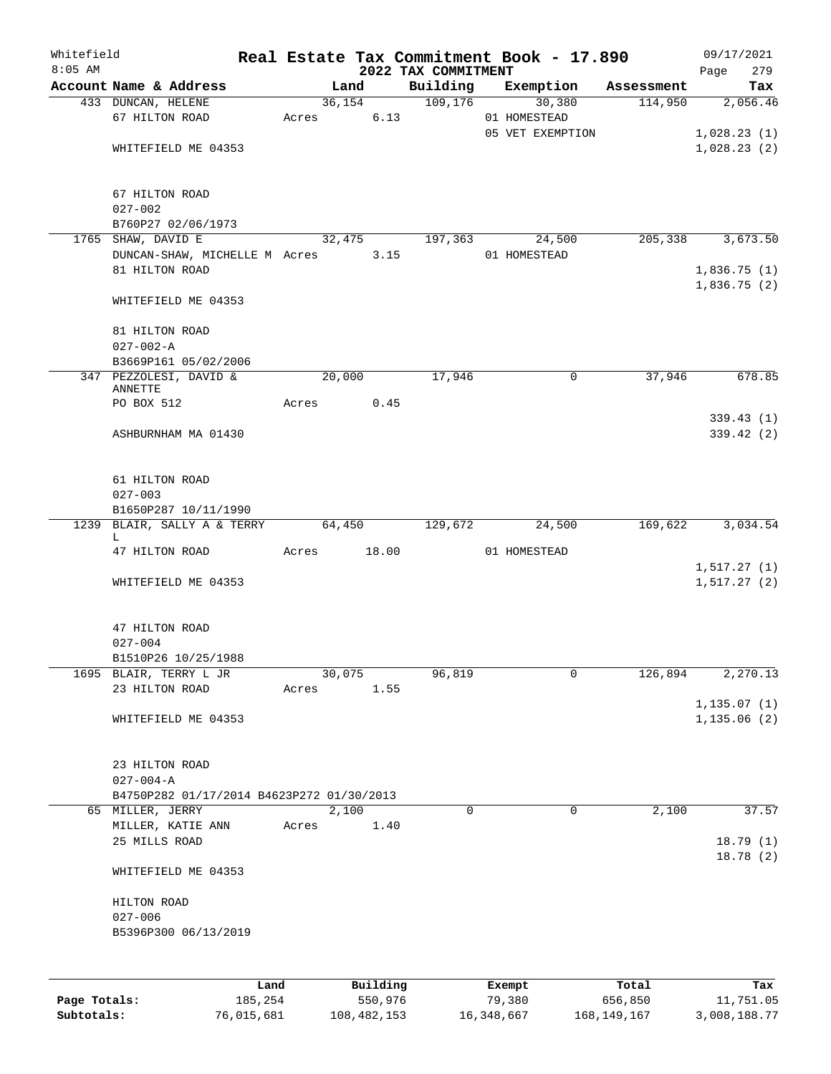| Whitefield<br>$8:05$ AM |                                           |       |             |          | 2022 TAX COMMITMENT |        | Real Estate Tax Commitment Book - 17.890 |            | 09/17/2021<br>279<br>Page |
|-------------------------|-------------------------------------------|-------|-------------|----------|---------------------|--------|------------------------------------------|------------|---------------------------|
|                         | Account Name & Address                    |       | Land        |          | Building            |        | Exemption                                | Assessment | Tax                       |
|                         | 433 DUNCAN, HELENE                        |       | 36,154      |          | 109, 176            |        | 30,380                                   | 114,950    | 2,056.46                  |
|                         | 67 HILTON ROAD                            | Acres |             | 6.13     |                     |        | 01 HOMESTEAD                             |            |                           |
|                         |                                           |       |             |          |                     |        | 05 VET EXEMPTION                         |            | 1,028.23(1)               |
|                         | WHITEFIELD ME 04353                       |       |             |          |                     |        |                                          |            | 1,028.23(2)               |
|                         |                                           |       |             |          |                     |        |                                          |            |                           |
|                         | 67 HILTON ROAD                            |       |             |          |                     |        |                                          |            |                           |
|                         | $027 - 002$                               |       |             |          |                     |        |                                          |            |                           |
|                         | B760P27 02/06/1973                        |       |             |          |                     |        |                                          |            |                           |
|                         | 1765 SHAW, DAVID E                        |       | 32,475      |          | 197,363             |        | 24,500                                   | 205,338    | 3,673.50                  |
|                         | DUNCAN-SHAW, MICHELLE M Acres             |       |             | 3.15     |                     |        | 01 HOMESTEAD                             |            |                           |
|                         | 81 HILTON ROAD                            |       |             |          |                     |        |                                          |            | 1,836.75(1)               |
|                         |                                           |       |             |          |                     |        |                                          |            | 1,836.75(2)               |
|                         | WHITEFIELD ME 04353                       |       |             |          |                     |        |                                          |            |                           |
|                         | 81 HILTON ROAD                            |       |             |          |                     |        |                                          |            |                           |
|                         | $027 - 002 - A$                           |       |             |          |                     |        |                                          |            |                           |
|                         | B3669P161 05/02/2006                      |       |             |          |                     |        |                                          |            |                           |
|                         | 347 PEZZOLESI, DAVID &                    |       | 20,000      |          | 17,946              |        | 0                                        | 37,946     | 678.85                    |
|                         | ANNETTE                                   |       |             |          |                     |        |                                          |            |                           |
|                         | PO BOX 512                                | Acres |             | 0.45     |                     |        |                                          |            |                           |
|                         |                                           |       |             |          |                     |        |                                          |            | 339.43(1)                 |
|                         | ASHBURNHAM MA 01430                       |       |             |          |                     |        |                                          |            | 339.42(2)                 |
|                         | 61 HILTON ROAD                            |       |             |          |                     |        |                                          |            |                           |
|                         | $027 - 003$                               |       |             |          |                     |        |                                          |            |                           |
|                         | B1650P287 10/11/1990                      |       |             |          |                     |        |                                          |            |                           |
|                         | 1239 BLAIR, SALLY A & TERRY               |       | 64,450      |          | 129,672             |        | 24,500                                   | 169,622    | 3,034.54                  |
|                         | L<br>47 HILTON ROAD                       |       | Acres 18.00 |          |                     |        | 01 HOMESTEAD                             |            |                           |
|                         |                                           |       |             |          |                     |        |                                          |            | 1, 517.27(1)              |
|                         | WHITEFIELD ME 04353                       |       |             |          |                     |        |                                          |            | 1, 517.27(2)              |
|                         |                                           |       |             |          |                     |        |                                          |            |                           |
|                         | 47 HILTON ROAD                            |       |             |          |                     |        |                                          |            |                           |
|                         | $027 - 004$                               |       |             |          |                     |        |                                          |            |                           |
|                         | B1510P26 10/25/1988                       |       |             |          |                     |        |                                          |            |                           |
|                         | 1695 BLAIR, TERRY L JR                    |       | 30,075      |          | 96,819              |        | 0                                        | 126,894    | 2,270.13                  |
|                         | 23 HILTON ROAD                            | Acres |             | 1.55     |                     |        |                                          |            |                           |
|                         |                                           |       |             |          |                     |        |                                          |            | 1, 135.07(1)              |
|                         | WHITEFIELD ME 04353                       |       |             |          |                     |        |                                          |            | 1, 135.06(2)              |
|                         |                                           |       |             |          |                     |        |                                          |            |                           |
|                         | 23 HILTON ROAD                            |       |             |          |                     |        |                                          |            |                           |
|                         | $027 - 004 - A$                           |       |             |          |                     |        |                                          |            |                           |
|                         | B4750P282 01/17/2014 B4623P272 01/30/2013 |       |             |          |                     |        |                                          |            |                           |
|                         | 65 MILLER, JERRY                          |       | 2,100       |          | 0                   |        | $\mathbf 0$                              | 2,100      | 37.57                     |
|                         | MILLER, KATIE ANN                         | Acres |             | 1.40     |                     |        |                                          |            |                           |
|                         | 25 MILLS ROAD                             |       |             |          |                     |        |                                          |            | 18.79(1)<br>18.78(2)      |
|                         | WHITEFIELD ME 04353                       |       |             |          |                     |        |                                          |            |                           |
|                         | HILTON ROAD                               |       |             |          |                     |        |                                          |            |                           |
|                         | $027 - 006$                               |       |             |          |                     |        |                                          |            |                           |
|                         | B5396P300 06/13/2019                      |       |             |          |                     |        |                                          |            |                           |
|                         |                                           |       |             |          |                     |        |                                          |            |                           |
|                         |                                           | Land  |             | Building |                     | Exempt |                                          | Total      | Tax                       |

|              | .          | <u>DULLULUM</u> | <b>BACINDO</b> | ----        | $-0.0$       |
|--------------|------------|-----------------|----------------|-------------|--------------|
| Page Totals: | 185,254    | 550,976         | 79,380         | 656,850     | 11,751.05    |
| Subtotals:   | 76,015,681 | 108,482,153     | 16,348,667     | 168,149,167 | 3,008,188.77 |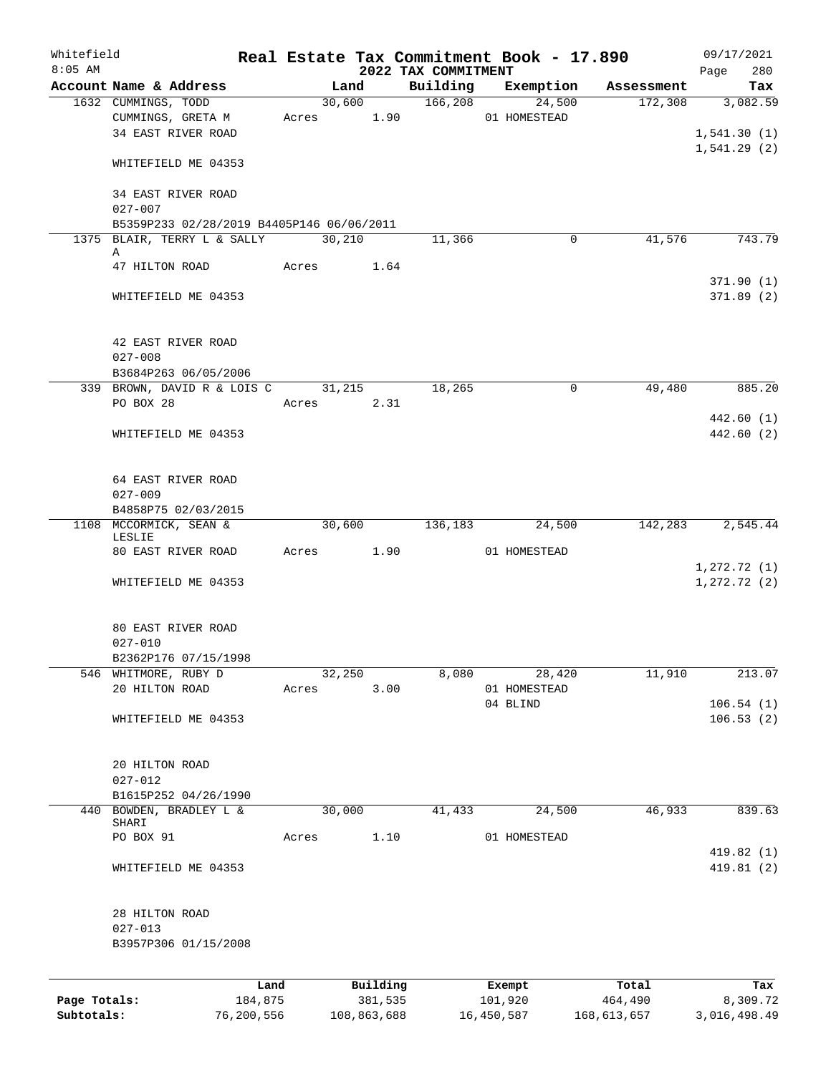| Whitefield<br>$8:05$ AM |                                                     |       |            |             |                                 | Real Estate Tax Commitment Book - 17.890 |             | 09/17/2021         |
|-------------------------|-----------------------------------------------------|-------|------------|-------------|---------------------------------|------------------------------------------|-------------|--------------------|
|                         | Account Name & Address                              |       | Land       |             | 2022 TAX COMMITMENT<br>Building | Exemption                                | Assessment  | 280<br>Page<br>Tax |
|                         | 1632 CUMMINGS, TODD                                 |       | 30,600     |             | 166,208                         | 24,500                                   | 172,308     | 3,082.59           |
|                         | CUMMINGS, GRETA M                                   |       | Acres 1.90 |             |                                 | 01 HOMESTEAD                             |             |                    |
|                         | 34 EAST RIVER ROAD                                  |       |            |             |                                 |                                          |             | 1,541.30(1)        |
|                         |                                                     |       |            |             |                                 |                                          |             | 1,541.29(2)        |
|                         | WHITEFIELD ME 04353                                 |       |            |             |                                 |                                          |             |                    |
|                         | 34 EAST RIVER ROAD                                  |       |            |             |                                 |                                          |             |                    |
|                         | $027 - 007$                                         |       |            |             |                                 |                                          |             |                    |
|                         | B5359P233 02/28/2019 B4405P146 06/06/2011           |       |            |             |                                 |                                          |             |                    |
|                         | 1375 BLAIR, TERRY L & SALLY                         |       | 30,210     |             | 11,366                          | 0                                        | 41,576      | 743.79             |
|                         | Α<br>47 HILTON ROAD                                 | Acres |            | 1.64        |                                 |                                          |             |                    |
|                         |                                                     |       |            |             |                                 |                                          |             | 371.90(1)          |
|                         | WHITEFIELD ME 04353                                 |       |            |             |                                 |                                          |             | 371.89(2)          |
|                         |                                                     |       |            |             |                                 |                                          |             |                    |
|                         |                                                     |       |            |             |                                 |                                          |             |                    |
|                         | 42 EAST RIVER ROAD                                  |       |            |             |                                 |                                          |             |                    |
|                         | $027 - 008$                                         |       |            |             |                                 |                                          |             |                    |
|                         | B3684P263 06/05/2006<br>339 BROWN, DAVID R & LOIS C |       | 31,215     |             | 18,265                          | 0                                        | 49,480      | 885.20             |
|                         | PO BOX 28                                           | Acres |            | 2.31        |                                 |                                          |             |                    |
|                         |                                                     |       |            |             |                                 |                                          |             | 442.60(1)          |
|                         | WHITEFIELD ME 04353                                 |       |            |             |                                 |                                          |             | 442.60 (2)         |
|                         |                                                     |       |            |             |                                 |                                          |             |                    |
|                         | 64 EAST RIVER ROAD                                  |       |            |             |                                 |                                          |             |                    |
|                         | $027 - 009$                                         |       |            |             |                                 |                                          |             |                    |
|                         | B4858P75 02/03/2015                                 |       |            |             |                                 |                                          |             |                    |
|                         | 1108 MCCORMICK, SEAN &                              |       | 30,600     |             | 136,183                         | 24,500                                   | 142,283     | 2,545.44           |
|                         | LESLIE                                              |       |            |             |                                 |                                          |             |                    |
|                         | 80 EAST RIVER ROAD                                  |       | Acres      | 1.90        |                                 | 01 HOMESTEAD                             |             |                    |
|                         |                                                     |       |            |             |                                 |                                          |             | 1,272.72(1)        |
|                         | WHITEFIELD ME 04353                                 |       |            |             |                                 |                                          |             | $1, 272.72$ (2)    |
|                         |                                                     |       |            |             |                                 |                                          |             |                    |
|                         | 80 EAST RIVER ROAD                                  |       |            |             |                                 |                                          |             |                    |
|                         | $027 - 010$                                         |       |            |             |                                 |                                          |             |                    |
|                         | B2362P176 07/15/1998                                |       |            |             |                                 |                                          |             |                    |
| 546                     | WHITMORE, RUBY D                                    |       | 32,250     |             | 8,080                           | 28,420                                   | 11,910      | 213.07             |
|                         | 20 HILTON ROAD                                      | Acres |            | 3.00        |                                 | 01 HOMESTEAD                             |             |                    |
|                         |                                                     |       |            |             |                                 | 04 BLIND                                 |             | 106.54(1)          |
|                         | WHITEFIELD ME 04353                                 |       |            |             |                                 |                                          |             | 106.53(2)          |
|                         | 20 HILTON ROAD                                      |       |            |             |                                 |                                          |             |                    |
|                         | $027 - 012$                                         |       |            |             |                                 |                                          |             |                    |
|                         | B1615P252 04/26/1990                                |       |            |             |                                 |                                          |             |                    |
| 440                     | BOWDEN, BRADLEY L &                                 |       | 30,000     |             | 41,433                          | 24,500                                   | 46,933      | 839.63             |
|                         | SHARI                                               |       |            |             |                                 |                                          |             |                    |
|                         | PO BOX 91                                           | Acres |            | 1.10        |                                 | 01 HOMESTEAD                             |             |                    |
|                         |                                                     |       |            |             |                                 |                                          |             | 419.82 (1)         |
|                         | WHITEFIELD ME 04353                                 |       |            |             |                                 |                                          |             | 419.81 (2)         |
|                         |                                                     |       |            |             |                                 |                                          |             |                    |
|                         | 28 HILTON ROAD                                      |       |            |             |                                 |                                          |             |                    |
|                         | $027 - 013$                                         |       |            |             |                                 |                                          |             |                    |
|                         | B3957P306 01/15/2008                                |       |            |             |                                 |                                          |             |                    |
|                         |                                                     | Land  |            | Building    |                                 | Exempt                                   | Total       | Tax                |
| Page Totals:            | 184,875                                             |       |            | 381,535     |                                 | 101,920                                  | 464,490     | 8,309.72           |
| Subtotals:              | 76,200,556                                          |       |            | 108,863,688 |                                 | 16,450,587                               | 168,613,657 | 3,016,498.49       |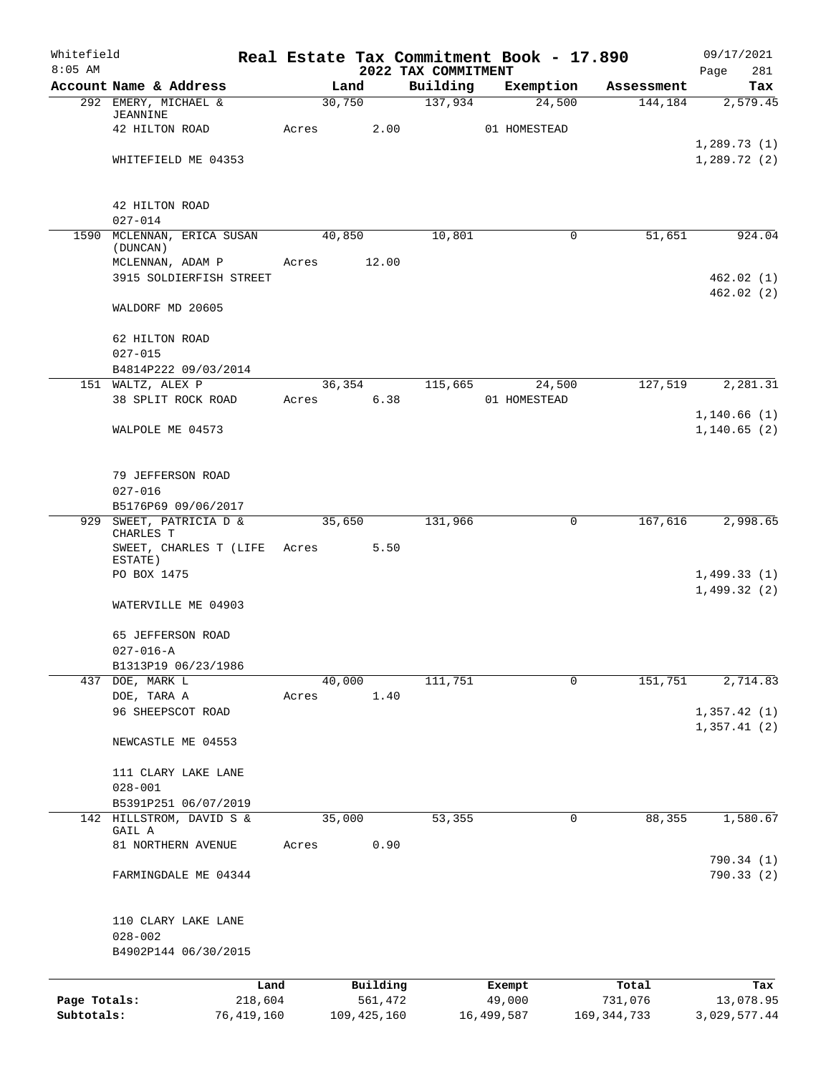| Whitefield   |                                              |       |                |                                 | Real Estate Tax Commitment Book - 17.890 |               | 09/17/2021             |
|--------------|----------------------------------------------|-------|----------------|---------------------------------|------------------------------------------|---------------|------------------------|
| $8:05$ AM    | Account Name & Address                       |       | Land           | 2022 TAX COMMITMENT<br>Building | Exemption                                | Assessment    | 281<br>Page<br>Tax     |
|              | 292 EMERY, MICHAEL &                         |       | 30,750         | 137,934                         | 24,500                                   | 144,184       | 2,579.45               |
|              | <b>JEANNINE</b>                              |       |                |                                 |                                          |               |                        |
|              | 42 HILTON ROAD                               | Acres | 2.00           |                                 | 01 HOMESTEAD                             |               | 1,289.73(1)            |
|              | WHITEFIELD ME 04353                          |       |                |                                 |                                          |               | 1,289.72(2)            |
|              | 42 HILTON ROAD                               |       |                |                                 |                                          |               |                        |
|              | $027 - 014$                                  |       |                |                                 |                                          |               |                        |
|              | 1590 MCLENNAN, ERICA SUSAN<br>(DUNCAN)       |       | 40,850         | 10,801                          | 0                                        | 51,651        | 924.04                 |
|              | MCLENNAN, ADAM P                             | Acres | 12.00          |                                 |                                          |               |                        |
|              | 3915 SOLDIERFISH STREET                      |       |                |                                 |                                          |               | 462.02(1)<br>462.02(2) |
|              | WALDORF MD 20605                             |       |                |                                 |                                          |               |                        |
|              | 62 HILTON ROAD                               |       |                |                                 |                                          |               |                        |
|              | $027 - 015$                                  |       |                |                                 |                                          |               |                        |
|              | B4814P222 09/03/2014                         |       |                |                                 |                                          |               |                        |
|              | 151 WALTZ, ALEX P                            |       | 36,354<br>6.38 | 115,665                         | 24,500<br>01 HOMESTEAD                   | 127,519       | 2, 281.31              |
|              | 38 SPLIT ROCK ROAD                           | Acres |                |                                 |                                          |               | 1,140.66(1)            |
|              | WALPOLE ME 04573                             |       |                |                                 |                                          |               | 1, 140.65(2)           |
|              |                                              |       |                |                                 |                                          |               |                        |
|              | 79 JEFFERSON ROAD                            |       |                |                                 |                                          |               |                        |
|              | $027 - 016$                                  |       |                |                                 |                                          |               |                        |
|              | B5176P69 09/06/2017                          |       |                |                                 |                                          |               |                        |
|              | 929 SWEET, PATRICIA D &<br>CHARLES T         |       | 35,650         | 131,966                         | 0                                        | 167,616       | 2,998.65               |
|              | SWEET, CHARLES T (LIFE                       | Acres | 5.50           |                                 |                                          |               |                        |
|              | ESTATE)<br>PO BOX 1475                       |       |                |                                 |                                          |               | 1,499.33(1)            |
|              |                                              |       |                |                                 |                                          |               | 1,499.32(2)            |
|              | WATERVILLE ME 04903                          |       |                |                                 |                                          |               |                        |
|              | 65 JEFFERSON ROAD                            |       |                |                                 |                                          |               |                        |
|              | $027 - 016 - A$                              |       |                |                                 |                                          |               |                        |
|              | B1313P19 06/23/1986                          |       |                |                                 |                                          |               |                        |
|              | 437 DOE, MARK L                              |       | 40,000         | 111,751                         | $\Omega$                                 | 151,751       | 2,714.83               |
|              | DOE, TARA A<br>96 SHEEPSCOT ROAD             | Acres | 1.40           |                                 |                                          |               | 1,357.42(1)            |
|              |                                              |       |                |                                 |                                          |               | 1,357.41(2)            |
|              | NEWCASTLE ME 04553                           |       |                |                                 |                                          |               |                        |
|              | 111 CLARY LAKE LANE                          |       |                |                                 |                                          |               |                        |
|              | $028 - 001$                                  |       |                |                                 |                                          |               |                        |
| 142          | B5391P251 06/07/2019<br>HILLSTROM, DAVID S & |       | 35,000         | 53,355                          | 0                                        | 88,355        | 1,580.67               |
|              | GAIL A                                       |       |                |                                 |                                          |               |                        |
|              | 81 NORTHERN AVENUE                           | Acres | 0.90           |                                 |                                          |               | 790.34 (1)             |
|              | FARMINGDALE ME 04344                         |       |                |                                 |                                          |               | 790.33(2)              |
|              | 110 CLARY LAKE LANE                          |       |                |                                 |                                          |               |                        |
|              | $028 - 002$                                  |       |                |                                 |                                          |               |                        |
|              | B4902P144 06/30/2015                         |       |                |                                 |                                          |               |                        |
|              |                                              | Land  | Building       |                                 | Exempt                                   | Total         | Tax                    |
| Page Totals: | 218,604                                      |       | 561,472        |                                 | 49,000                                   | 731,076       | 13,078.95              |
| Subtotals:   | 76,419,160                                   |       | 109, 425, 160  |                                 | 16,499,587                               | 169, 344, 733 | 3,029,577.44           |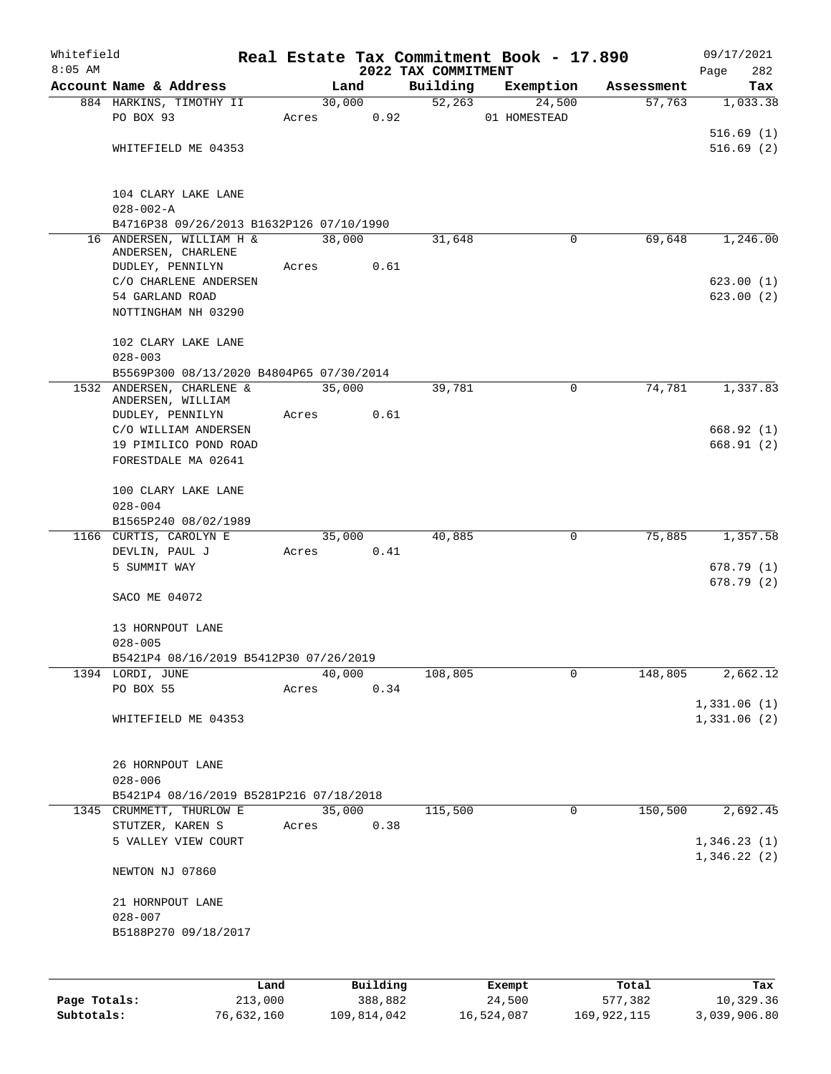| Whitefield   |                                                                       |       |        |          |                                 | Real Estate Tax Commitment Book - 17.890 |                      | 09/17/2021                 |
|--------------|-----------------------------------------------------------------------|-------|--------|----------|---------------------------------|------------------------------------------|----------------------|----------------------------|
| $8:05$ AM    | Account Name & Address                                                |       | Land   |          | 2022 TAX COMMITMENT<br>Building |                                          |                      | 282<br>Page                |
|              | 884 HARKINS, TIMOTHY II                                               |       | 30,000 |          | $\overline{52,263}$             | Exemption<br>24,500                      | Assessment<br>57,763 | Tax<br>1,033.38            |
|              | PO BOX 93                                                             |       | Acres  | 0.92     |                                 | 01 HOMESTEAD                             |                      |                            |
|              |                                                                       |       |        |          |                                 |                                          |                      | 516.69(1)                  |
|              | WHITEFIELD ME 04353                                                   |       |        |          |                                 |                                          |                      | 516.69(2)                  |
|              |                                                                       |       |        |          |                                 |                                          |                      |                            |
|              |                                                                       |       |        |          |                                 |                                          |                      |                            |
|              | 104 CLARY LAKE LANE                                                   |       |        |          |                                 |                                          |                      |                            |
|              | $028 - 002 - A$                                                       |       |        |          |                                 |                                          |                      |                            |
|              | B4716P38 09/26/2013 B1632P126 07/10/1990<br>16 ANDERSEN, WILLIAM H &  |       | 38,000 |          |                                 | 0                                        | 69,648               |                            |
|              | ANDERSEN, CHARLENE                                                    |       |        |          | 31,648                          |                                          |                      | 1,246.00                   |
|              | DUDLEY, PENNILYN                                                      |       | Acres  | 0.61     |                                 |                                          |                      |                            |
|              | C/O CHARLENE ANDERSEN                                                 |       |        |          |                                 |                                          |                      | 623.00(1)                  |
|              | 54 GARLAND ROAD                                                       |       |        |          |                                 |                                          |                      | 623.00(2)                  |
|              | NOTTINGHAM NH 03290                                                   |       |        |          |                                 |                                          |                      |                            |
|              |                                                                       |       |        |          |                                 |                                          |                      |                            |
|              | 102 CLARY LAKE LANE                                                   |       |        |          |                                 |                                          |                      |                            |
|              | $028 - 003$                                                           |       |        |          |                                 |                                          |                      |                            |
|              | B5569P300 08/13/2020 B4804P65 07/30/2014<br>1532 ANDERSEN, CHARLENE & |       | 35,000 |          | 39,781                          | 0                                        | 74,781               | 1,337.83                   |
|              | ANDERSEN, WILLIAM                                                     |       |        |          |                                 |                                          |                      |                            |
|              | DUDLEY, PENNILYN                                                      |       | Acres  | 0.61     |                                 |                                          |                      |                            |
|              | C/O WILLIAM ANDERSEN                                                  |       |        |          |                                 |                                          |                      | 668.92(1)                  |
|              | 19 PIMILICO POND ROAD                                                 |       |        |          |                                 |                                          |                      | 668.91(2)                  |
|              | FORESTDALE MA 02641                                                   |       |        |          |                                 |                                          |                      |                            |
|              | 100 CLARY LAKE LANE                                                   |       |        |          |                                 |                                          |                      |                            |
|              | $028 - 004$                                                           |       |        |          |                                 |                                          |                      |                            |
|              | B1565P240 08/02/1989                                                  |       |        |          |                                 |                                          |                      |                            |
|              | 1166 CURTIS, CAROLYN E                                                |       | 35,000 |          | 40,885                          | 0                                        | 75,885               | 1,357.58                   |
|              | DEVLIN, PAUL J                                                        | Acres |        | 0.41     |                                 |                                          |                      |                            |
|              | 5 SUMMIT WAY                                                          |       |        |          |                                 |                                          |                      | 678.79(1)                  |
|              |                                                                       |       |        |          |                                 |                                          |                      | 678.79 (2)                 |
|              | SACO ME 04072                                                         |       |        |          |                                 |                                          |                      |                            |
|              |                                                                       |       |        |          |                                 |                                          |                      |                            |
|              | 13 HORNPOUT LANE                                                      |       |        |          |                                 |                                          |                      |                            |
|              | $028 - 005$                                                           |       |        |          |                                 |                                          |                      |                            |
|              | B5421P4 08/16/2019 B5412P30 07/26/2019                                |       | 40,000 |          |                                 | 0                                        |                      | 2,662.12                   |
|              | 1394 LORDI, JUNE<br>PO BOX 55                                         | Acres |        | 0.34     | 108,805                         |                                          | 148,805              |                            |
|              |                                                                       |       |        |          |                                 |                                          |                      | 1,331.06(1)                |
|              | WHITEFIELD ME 04353                                                   |       |        |          |                                 |                                          |                      | 1,331.06 (2)               |
|              |                                                                       |       |        |          |                                 |                                          |                      |                            |
|              |                                                                       |       |        |          |                                 |                                          |                      |                            |
|              | 26 HORNPOUT LANE                                                      |       |        |          |                                 |                                          |                      |                            |
|              | $028 - 006$                                                           |       |        |          |                                 |                                          |                      |                            |
|              | B5421P4 08/16/2019 B5281P216 07/18/2018                               |       |        |          |                                 |                                          |                      |                            |
|              | 1345 CRUMMETT, THURLOW E                                              |       | 35,000 |          | 115,500                         | 0                                        | 150,500              | 2,692.45                   |
|              | STUTZER, KAREN S                                                      | Acres |        | 0.38     |                                 |                                          |                      |                            |
|              | 5 VALLEY VIEW COURT                                                   |       |        |          |                                 |                                          |                      | 1,346.23(1)<br>1,346.22(2) |
|              | NEWTON NJ 07860                                                       |       |        |          |                                 |                                          |                      |                            |
|              |                                                                       |       |        |          |                                 |                                          |                      |                            |
|              | 21 HORNPOUT LANE                                                      |       |        |          |                                 |                                          |                      |                            |
|              | $028 - 007$                                                           |       |        |          |                                 |                                          |                      |                            |
|              | B5188P270 09/18/2017                                                  |       |        |          |                                 |                                          |                      |                            |
|              |                                                                       |       |        |          |                                 |                                          |                      |                            |
|              |                                                                       |       |        |          |                                 |                                          |                      |                            |
|              |                                                                       | Land  |        | Building |                                 | Exempt                                   | Total                | Tax<br>10,329.36           |
| Page Totals: | 213,000                                                               |       |        | 388,882  |                                 | 24,500                                   | 577,382              |                            |

**Subtotals:** 76,632,160 109,814,042 16,524,087 169,922,115 3,039,906.80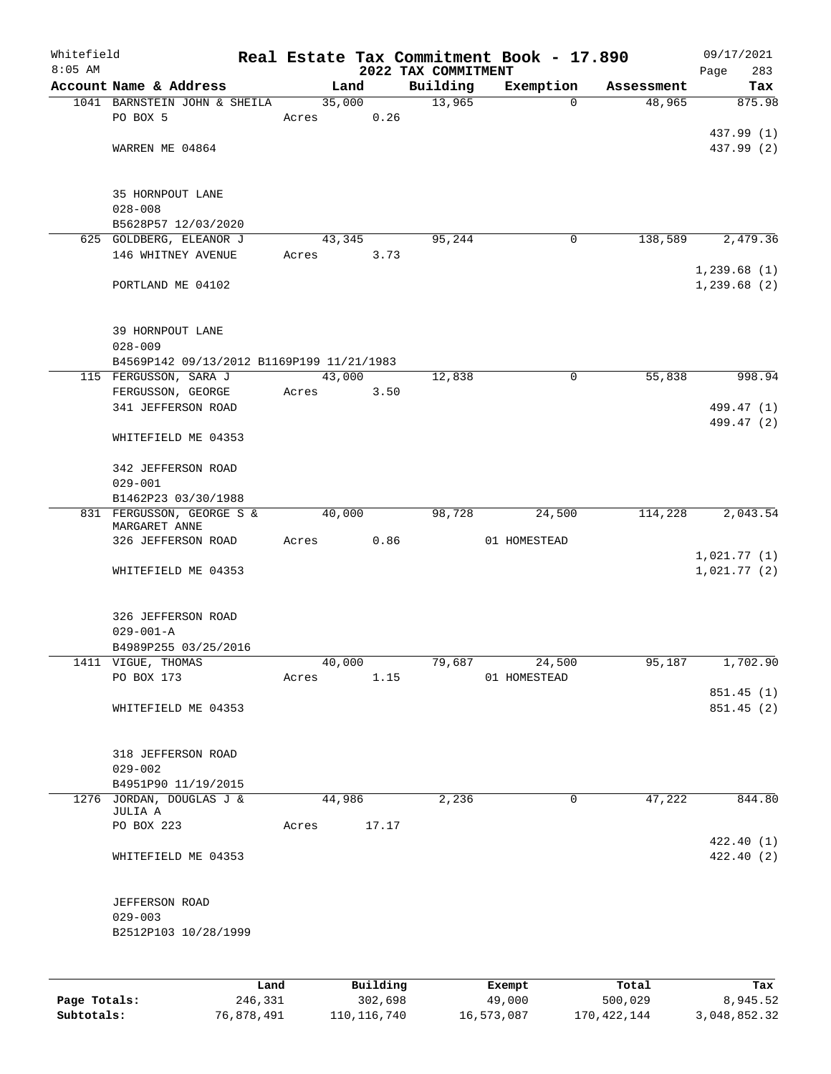| Whitefield |                                           |       |                |                     | Real Estate Tax Commitment Book - 17.890 |                      | 09/17/2021    |
|------------|-------------------------------------------|-------|----------------|---------------------|------------------------------------------|----------------------|---------------|
| $8:05$ AM  |                                           |       |                | 2022 TAX COMMITMENT |                                          |                      | 283<br>Page   |
|            | Account Name & Address                    |       | Land           | Building            | Exemption                                | Assessment<br>48,965 | Tax<br>875.98 |
|            | 1041 BARNSTEIN JOHN & SHEILA<br>PO BOX 5  | Acres | 35,000<br>0.26 | 13,965              | 0                                        |                      |               |
|            |                                           |       |                |                     |                                          |                      | 437.99 (1)    |
|            | WARREN ME 04864                           |       |                |                     |                                          |                      | 437.99 (2)    |
|            |                                           |       |                |                     |                                          |                      |               |
|            |                                           |       |                |                     |                                          |                      |               |
|            | 35 HORNPOUT LANE                          |       |                |                     |                                          |                      |               |
|            | $028 - 008$<br>B5628P57 12/03/2020        |       |                |                     |                                          |                      |               |
|            | 625 GOLDBERG, ELEANOR J                   |       | 43,345         | 95,244              | 0                                        | 138,589              | 2,479.36      |
|            | 146 WHITNEY AVENUE                        | Acres | 3.73           |                     |                                          |                      |               |
|            |                                           |       |                |                     |                                          |                      | 1,239.68(1)   |
|            | PORTLAND ME 04102                         |       |                |                     |                                          |                      | 1,239.68(2)   |
|            |                                           |       |                |                     |                                          |                      |               |
|            | 39 HORNPOUT LANE                          |       |                |                     |                                          |                      |               |
|            | $028 - 009$                               |       |                |                     |                                          |                      |               |
|            | B4569P142 09/13/2012 B1169P199 11/21/1983 |       |                |                     |                                          |                      |               |
|            | 115 FERGUSSON, SARA J                     |       | 43,000         | 12,838              | 0                                        | 55,838               | 998.94        |
|            | FERGUSSON, GEORGE                         | Acres | 3.50           |                     |                                          |                      |               |
|            | 341 JEFFERSON ROAD                        |       |                |                     |                                          |                      | 499.47 (1)    |
|            |                                           |       |                |                     |                                          |                      | 499.47 (2)    |
|            | WHITEFIELD ME 04353                       |       |                |                     |                                          |                      |               |
|            | 342 JEFFERSON ROAD                        |       |                |                     |                                          |                      |               |
|            | $029 - 001$                               |       |                |                     |                                          |                      |               |
|            | B1462P23 03/30/1988                       |       |                |                     |                                          |                      |               |
|            | 831 FERGUSSON, GEORGE S &                 |       | 40,000         | 98,728              | 24,500                                   | 114,228              | 2,043.54      |
|            | MARGARET ANNE<br>326 JEFFERSON ROAD       | Acres | 0.86           |                     | 01 HOMESTEAD                             |                      |               |
|            |                                           |       |                |                     |                                          |                      | 1,021.77(1)   |
|            | WHITEFIELD ME 04353                       |       |                |                     |                                          |                      | 1,021.77(2)   |
|            |                                           |       |                |                     |                                          |                      |               |
|            |                                           |       |                |                     |                                          |                      |               |
|            | 326 JEFFERSON ROAD                        |       |                |                     |                                          |                      |               |
|            | $029 - 001 - A$<br>B4989P255 03/25/2016   |       |                |                     |                                          |                      |               |
|            | 1411 VIGUE, THOMAS                        |       | 40,000         | 79,687              | 24,500                                   | 95,187               | 1,702.90      |
|            | PO BOX 173                                | Acres | 1.15           |                     | 01 HOMESTEAD                             |                      |               |
|            |                                           |       |                |                     |                                          |                      | 851.45 (1)    |
|            | WHITEFIELD ME 04353                       |       |                |                     |                                          |                      | 851.45 (2)    |
|            |                                           |       |                |                     |                                          |                      |               |
|            | 318 JEFFERSON ROAD                        |       |                |                     |                                          |                      |               |
|            | $029 - 002$                               |       |                |                     |                                          |                      |               |
|            | B4951P90 11/19/2015                       |       |                |                     |                                          |                      |               |
|            | 1276 JORDAN, DOUGLAS J &                  |       | 44,986         | 2,236               | 0                                        | 47,222               | 844.80        |
|            | JULIA A<br>PO BOX 223                     | Acres | 17.17          |                     |                                          |                      |               |
|            |                                           |       |                |                     |                                          |                      | 422.40(1)     |
|            | WHITEFIELD ME 04353                       |       |                |                     |                                          |                      | 422.40(2)     |
|            |                                           |       |                |                     |                                          |                      |               |
|            |                                           |       |                |                     |                                          |                      |               |
|            | JEFFERSON ROAD                            |       |                |                     |                                          |                      |               |
|            | $029 - 003$<br>B2512P103 10/28/1999       |       |                |                     |                                          |                      |               |
|            |                                           |       |                |                     |                                          |                      |               |
|            |                                           |       |                |                     |                                          |                      |               |
|            | Land                                      |       | Building       |                     | Exempt                                   | Total                | Tax           |

**Page Totals:** 246,331 302,698 49,000 500,029 8,945.52 **Subtotals:** 76,878,491 110,116,740 16,573,087 170,422,144 3,048,852.32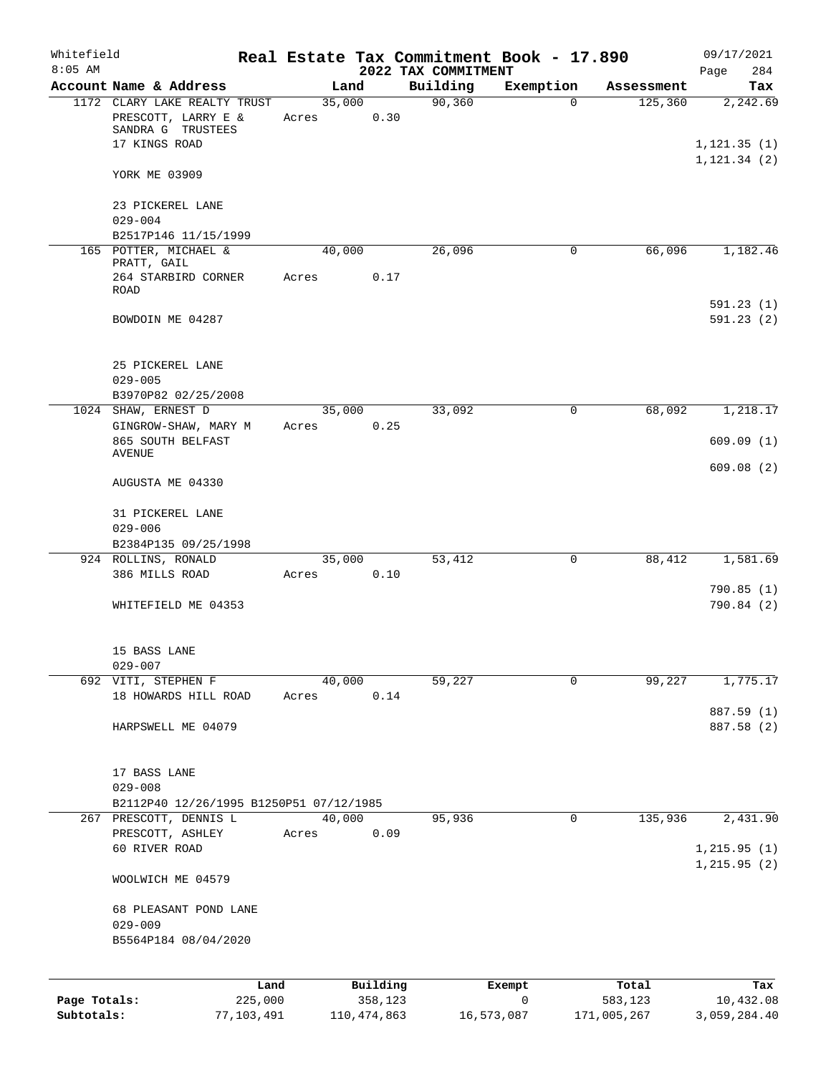| Whitefield   |                                                        |       |               |                                 | Real Estate Tax Commitment Book - 17.890 |             | 09/17/2021                    |
|--------------|--------------------------------------------------------|-------|---------------|---------------------------------|------------------------------------------|-------------|-------------------------------|
| $8:05$ AM    | Account Name & Address                                 |       | Land          | 2022 TAX COMMITMENT<br>Building | Exemption                                | Assessment  | 284<br>Page<br>Tax            |
|              | 1172 CLARY LAKE REALTY TRUST                           |       | 35,000        | 90, 360                         | $\mathbf 0$                              | 125,360     | 2,242.69                      |
|              | PRESCOTT, LARRY E &<br>SANDRA G TRUSTEES               | Acres | 0.30          |                                 |                                          |             |                               |
|              | 17 KINGS ROAD                                          |       |               |                                 |                                          |             | 1, 121.35(1)<br>1, 121.34 (2) |
|              | YORK ME 03909                                          |       |               |                                 |                                          |             |                               |
|              | 23 PICKEREL LANE                                       |       |               |                                 |                                          |             |                               |
|              | $029 - 004$<br>B2517P146 11/15/1999                    |       |               |                                 |                                          |             |                               |
|              | 165 POTTER, MICHAEL &                                  |       | 40,000        | 26,096                          | 0                                        | 66,096      | 1,182.46                      |
|              | PRATT, GAIL                                            |       |               |                                 |                                          |             |                               |
|              | 264 STARBIRD CORNER<br><b>ROAD</b>                     | Acres | 0.17          |                                 |                                          |             |                               |
|              |                                                        |       |               |                                 |                                          |             | 591.23(1)                     |
|              | BOWDOIN ME 04287                                       |       |               |                                 |                                          |             | 591.23(2)                     |
|              | 25 PICKEREL LANE                                       |       |               |                                 |                                          |             |                               |
|              | $029 - 005$                                            |       |               |                                 |                                          |             |                               |
|              | B3970P82 02/25/2008                                    |       |               |                                 |                                          |             |                               |
|              | 1024 SHAW, ERNEST D                                    |       | 35,000        | 33,092                          | 0                                        | 68,092      | 1,218.17                      |
|              | GINGROW-SHAW, MARY M                                   | Acres | 0.25          |                                 |                                          |             |                               |
|              | 865 SOUTH BELFAST<br>AVENUE                            |       |               |                                 |                                          |             | 609.09(1)                     |
|              |                                                        |       |               |                                 |                                          |             | 609.08(2)                     |
|              | AUGUSTA ME 04330                                       |       |               |                                 |                                          |             |                               |
|              | 31 PICKEREL LANE                                       |       |               |                                 |                                          |             |                               |
|              | $029 - 006$                                            |       |               |                                 |                                          |             |                               |
|              | B2384P135 09/25/1998                                   |       |               |                                 |                                          |             |                               |
|              | 924 ROLLINS, RONALD                                    |       | 35,000        | 53,412                          | $\mathbf 0$                              | 88,412      | 1,581.69                      |
|              | 386 MILLS ROAD                                         | Acres | 0.10          |                                 |                                          |             |                               |
|              | WHITEFIELD ME 04353                                    |       |               |                                 |                                          |             | 790.85(1)<br>790.84(2)        |
|              | 15 BASS LANE                                           |       |               |                                 |                                          |             |                               |
|              | $029 - 007$                                            |       |               |                                 |                                          |             |                               |
|              | 692 VITI, STEPHEN F                                    |       | 40,000        | 59,227                          | $\Omega$                                 | 99,227      | 1,775.17                      |
|              | 18 HOWARDS HILL ROAD                                   | Acres | 0.14          |                                 |                                          |             |                               |
|              | HARPSWELL ME 04079                                     |       |               |                                 |                                          |             | 887.59 (1)<br>887.58 (2)      |
|              |                                                        |       |               |                                 |                                          |             |                               |
|              | 17 BASS LANE                                           |       |               |                                 |                                          |             |                               |
|              | $029 - 008$<br>B2112P40 12/26/1995 B1250P51 07/12/1985 |       |               |                                 |                                          |             |                               |
|              | 267 PRESCOTT, DENNIS L                                 |       | 40,000        | 95,936                          | 0                                        | 135,936     | 2,431.90                      |
|              | PRESCOTT, ASHLEY                                       | Acres | 0.09          |                                 |                                          |             |                               |
|              | 60 RIVER ROAD                                          |       |               |                                 |                                          |             | 1, 215.95(1)                  |
|              | WOOLWICH ME 04579                                      |       |               |                                 |                                          |             | 1, 215.95(2)                  |
|              |                                                        |       |               |                                 |                                          |             |                               |
|              | 68 PLEASANT POND LANE<br>$029 - 009$                   |       |               |                                 |                                          |             |                               |
|              | B5564P184 08/04/2020                                   |       |               |                                 |                                          |             |                               |
|              |                                                        | Land  | Building      |                                 | Exempt                                   | Total       | Tax                           |
| Page Totals: | 225,000                                                |       | 358,123       |                                 | 0                                        | 583,123     | 10,432.08                     |
| Subtotals:   | 77,103,491                                             |       | 110, 474, 863 |                                 | 16,573,087                               | 171,005,267 | 3,059,284.40                  |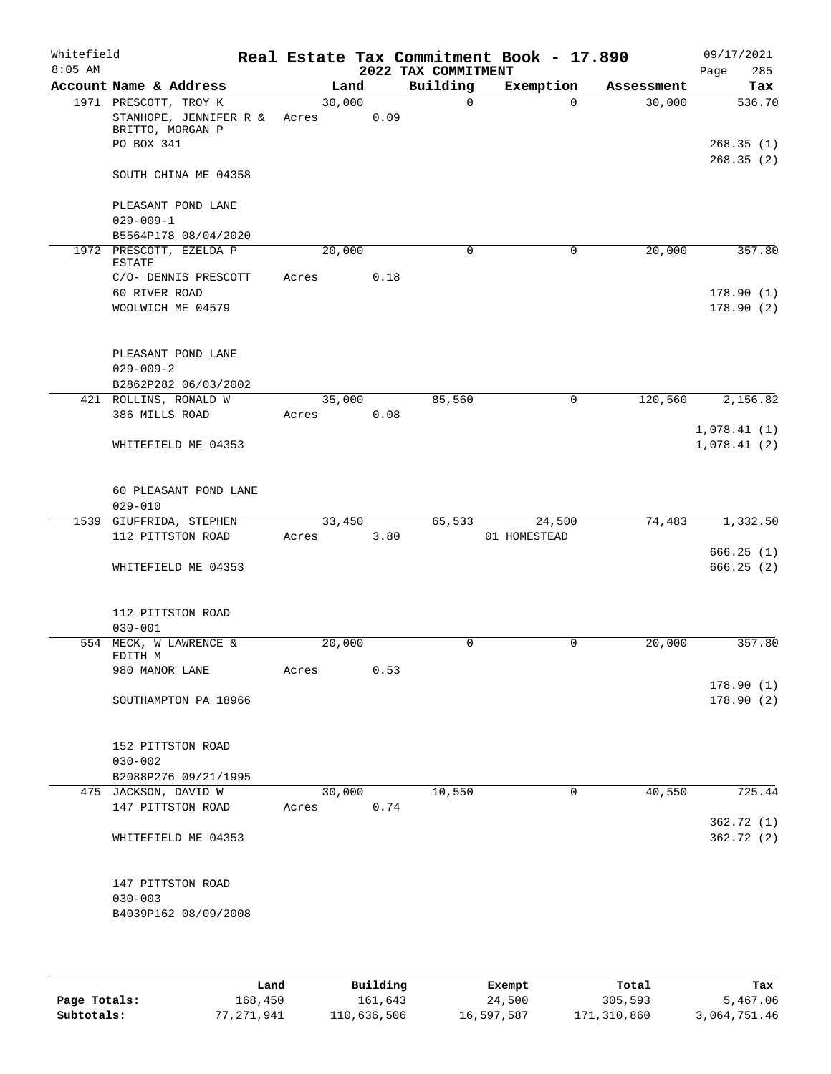| Whitefield<br>$8:05$ AM |                                                                                   |                 |      | 2022 TAX COMMITMENT | Real Estate Tax Commitment Book - 17.890 |            | 09/17/2021<br>Page<br>285        |
|-------------------------|-----------------------------------------------------------------------------------|-----------------|------|---------------------|------------------------------------------|------------|----------------------------------|
|                         | Account Name & Address                                                            | Land            |      | Building            | Exemption                                | Assessment | Tax                              |
|                         | 1971 PRESCOTT, TROY K<br>STANHOPE, JENNIFER R &<br>BRITTO, MORGAN P<br>PO BOX 341 | 30,000<br>Acres | 0.09 | 0                   | $\Omega$                                 | 30,000     | 536.70<br>268.35(1)<br>268.35(2) |
|                         | SOUTH CHINA ME 04358                                                              |                 |      |                     |                                          |            |                                  |
|                         | PLEASANT POND LANE<br>$029 - 009 - 1$<br>B5564P178 08/04/2020                     |                 |      |                     |                                          |            |                                  |
|                         | 1972 PRESCOTT, EZELDA P<br><b>ESTATE</b>                                          | 20,000          |      | $\Omega$            | $\mathbf 0$                              | 20,000     | 357.80                           |
|                         | C/O- DENNIS PRESCOTT<br>60 RIVER ROAD<br>WOOLWICH ME 04579                        | Acres           | 0.18 |                     |                                          |            | 178.90(1)<br>178.90(2)           |
|                         | PLEASANT POND LANE<br>$029 - 009 - 2$<br>B2862P282 06/03/2002                     |                 |      |                     |                                          |            |                                  |
|                         | 421 ROLLINS, RONALD W                                                             | 35,000          |      | 85,560              | $\mathbf 0$                              | 120,560    | 2,156.82                         |
|                         | 386 MILLS ROAD                                                                    | Acres           | 0.08 |                     |                                          |            | 1,078.41(1)                      |
|                         | WHITEFIELD ME 04353                                                               |                 |      |                     |                                          |            | 1,078.41(2)                      |
|                         | 60 PLEASANT POND LANE<br>$029 - 010$                                              |                 |      |                     |                                          |            |                                  |
|                         | 1539 GIUFFRIDA, STEPHEN                                                           | 33,450          |      | 65,533              | 24,500                                   | 74,483     | 1,332.50                         |
|                         | 112 PITTSTON ROAD                                                                 | Acres           | 3.80 |                     | 01 HOMESTEAD                             |            | 666.25(1)                        |
|                         | WHITEFIELD ME 04353                                                               |                 |      |                     |                                          |            | 666.25(2)                        |
|                         | 112 PITTSTON ROAD<br>$030 - 001$                                                  |                 |      |                     |                                          |            |                                  |
|                         | 554 MECK, W LAWRENCE &<br>EDITH M                                                 | 20,000          |      | 0                   | $\mathsf{O}$                             | 20,000     | 357.80                           |
|                         | 980 MANOR LANE                                                                    | Acres           | 0.53 |                     |                                          |            |                                  |
|                         | SOUTHAMPTON PA 18966                                                              |                 |      |                     |                                          |            | 178.90(1)<br>178.90(2)           |
|                         | 152 PITTSTON ROAD<br>$030 - 002$<br>B2088P276 09/21/1995                          |                 |      |                     |                                          |            |                                  |
|                         | 475 JACKSON, DAVID W                                                              | 30,000          |      | 10,550              | 0                                        | 40,550     | 725.44                           |
|                         | 147 PITTSTON ROAD                                                                 | Acres           | 0.74 |                     |                                          |            |                                  |
|                         | WHITEFIELD ME 04353                                                               |                 |      |                     |                                          |            | 362.72(1)<br>362.72(2)           |
|                         | 147 PITTSTON ROAD<br>$030 - 003$<br>B4039P162 08/09/2008                          |                 |      |                     |                                          |            |                                  |

|              | Land       | Building    | Exempt     | Total       | Tax          |
|--------------|------------|-------------|------------|-------------|--------------|
| Page Totals: | 168,450    | 161,643     | 24,500     | 305,593     | 5,467.06     |
| Subtotals:   | 77,271,941 | 110,636,506 | 16,597,587 | 171,310,860 | 3,064,751.46 |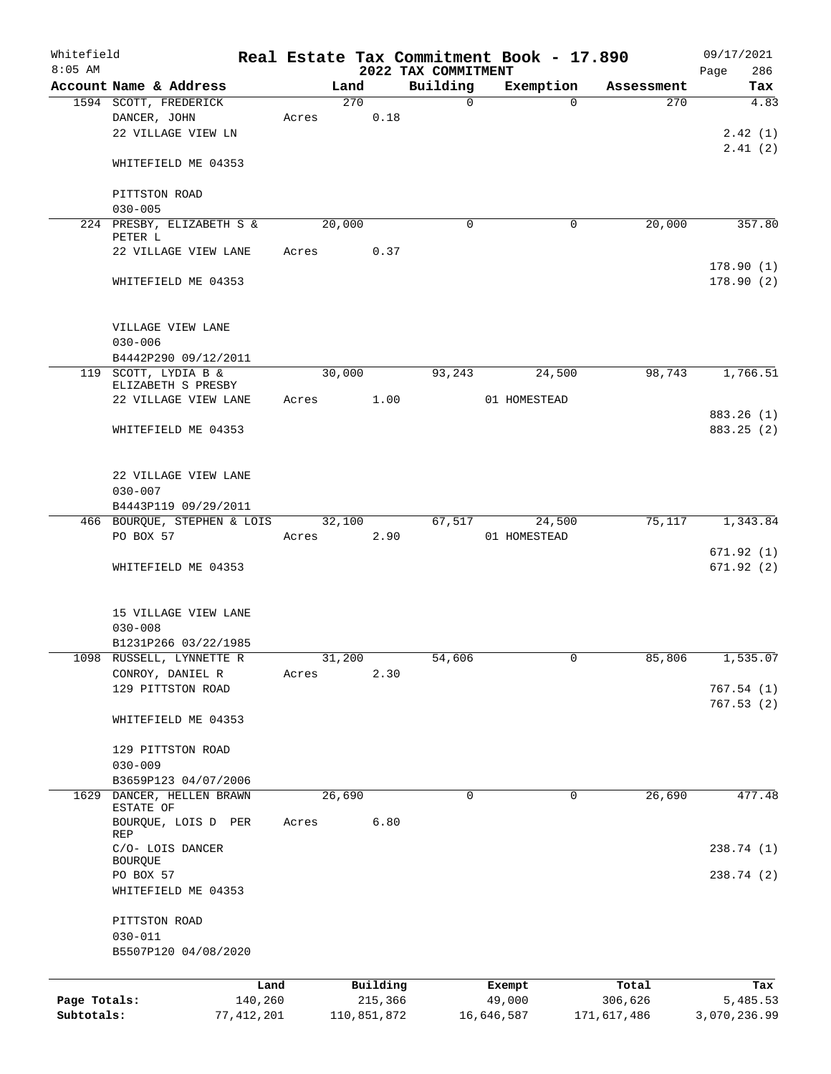| Whitefield                 |                                   |       |                        |      |                                 | Real Estate Tax Commitment Book - 17.890 |                        | 09/17/2021               |
|----------------------------|-----------------------------------|-------|------------------------|------|---------------------------------|------------------------------------------|------------------------|--------------------------|
| $8:05$ AM                  | Account Name & Address            |       | Land                   |      | 2022 TAX COMMITMENT<br>Building | Exemption                                | Assessment             | 286<br>Page<br>Tax       |
|                            | 1594 SCOTT, FREDERICK             |       | 270                    |      | $\mathbf 0$                     | $\Omega$                                 | 270                    | 4.83                     |
|                            | DANCER, JOHN                      | Acres |                        | 0.18 |                                 |                                          |                        |                          |
|                            | 22 VILLAGE VIEW LN                |       |                        |      |                                 |                                          |                        | 2.42(1)                  |
|                            |                                   |       |                        |      |                                 |                                          |                        | 2.41(2)                  |
|                            | WHITEFIELD ME 04353               |       |                        |      |                                 |                                          |                        |                          |
|                            | PITTSTON ROAD                     |       |                        |      |                                 |                                          |                        |                          |
|                            | $030 - 005$                       |       |                        |      |                                 |                                          |                        |                          |
|                            | 224 PRESBY, ELIZABETH S &         |       | 20,000                 |      | $\Omega$                        | 0                                        | 20,000                 | 357.80                   |
|                            | PETER L<br>22 VILLAGE VIEW LANE   | Acres |                        | 0.37 |                                 |                                          |                        |                          |
|                            |                                   |       |                        |      |                                 |                                          |                        | 178.90(1)                |
|                            | WHITEFIELD ME 04353               |       |                        |      |                                 |                                          |                        | 178.90(2)                |
|                            | VILLAGE VIEW LANE<br>$030 - 006$  |       |                        |      |                                 |                                          |                        |                          |
|                            | B4442P290 09/12/2011              |       |                        |      |                                 |                                          |                        |                          |
|                            | 119 SCOTT, LYDIA B &              |       | 30,000                 |      | 93,243                          | 24,500                                   | 98,743                 | 1,766.51                 |
|                            | ELIZABETH S PRESBY                |       |                        |      |                                 |                                          |                        |                          |
|                            | 22 VILLAGE VIEW LANE              | Acres |                        | 1.00 |                                 | 01 HOMESTEAD                             |                        |                          |
|                            | WHITEFIELD ME 04353               |       |                        |      |                                 |                                          |                        | 883.26 (1)<br>883.25 (2) |
|                            |                                   |       |                        |      |                                 |                                          |                        |                          |
|                            | 22 VILLAGE VIEW LANE              |       |                        |      |                                 |                                          |                        |                          |
|                            | $030 - 007$                       |       |                        |      |                                 |                                          |                        |                          |
|                            | B4443P119 09/29/2011              |       |                        |      |                                 |                                          |                        |                          |
|                            | 466 BOURQUE, STEPHEN & LOIS       |       | 32,100                 |      | 67,517                          | 24,500                                   | 75,117                 | 1,343.84                 |
|                            | PO BOX 57                         | Acres |                        | 2.90 |                                 | 01 HOMESTEAD                             |                        |                          |
|                            | WHITEFIELD ME 04353               |       |                        |      |                                 |                                          |                        | 671.92(1)<br>671.92(2)   |
|                            | 15 VILLAGE VIEW LANE              |       |                        |      |                                 |                                          |                        |                          |
|                            | $030 - 008$                       |       |                        |      |                                 |                                          |                        |                          |
|                            | B1231P266 03/22/1985              |       |                        |      |                                 |                                          |                        |                          |
|                            | 1098 RUSSELL, LYNNETTE R          |       | 31,200                 |      | 54,606                          |                                          | 85,806                 | 1,535.07                 |
|                            | CONROY, DANIEL R                  | Acres |                        | 2.30 |                                 |                                          |                        |                          |
|                            | 129 PITTSTON ROAD                 |       |                        |      |                                 |                                          |                        | 767.54(1)                |
|                            | WHITEFIELD ME 04353               |       |                        |      |                                 |                                          |                        | 767.53(2)                |
|                            |                                   |       |                        |      |                                 |                                          |                        |                          |
|                            | 129 PITTSTON ROAD                 |       |                        |      |                                 |                                          |                        |                          |
|                            | $030 - 009$                       |       |                        |      |                                 |                                          |                        |                          |
|                            | B3659P123 04/07/2006              |       |                        |      |                                 |                                          |                        |                          |
| 1629                       | DANCER, HELLEN BRAWN<br>ESTATE OF |       | 26,690                 |      | 0                               | $\Omega$                                 | 26,690                 | 477.48                   |
|                            | BOURQUE, LOIS D PER<br>REP        | Acres |                        | 6.80 |                                 |                                          |                        |                          |
|                            | C/O- LOIS DANCER                  |       |                        |      |                                 |                                          |                        | 238.74 (1)               |
|                            | <b>BOURQUE</b>                    |       |                        |      |                                 |                                          |                        |                          |
|                            | PO BOX 57                         |       |                        |      |                                 |                                          |                        | 238.74 (2)               |
|                            | WHITEFIELD ME 04353               |       |                        |      |                                 |                                          |                        |                          |
|                            | PITTSTON ROAD                     |       |                        |      |                                 |                                          |                        |                          |
|                            | $030 - 011$                       |       |                        |      |                                 |                                          |                        |                          |
|                            | B5507P120 04/08/2020              |       |                        |      |                                 |                                          |                        |                          |
|                            |                                   |       |                        |      |                                 |                                          |                        |                          |
|                            |                                   | Land  | Building               |      |                                 | Exempt                                   | Total                  | Tax                      |
| Page Totals:<br>Subtotals: | 140,260<br>77, 412, 201           |       | 215,366<br>110,851,872 |      |                                 | 49,000<br>16,646,587                     | 306,626<br>171,617,486 | 5,485.53<br>3,070,236.99 |
|                            |                                   |       |                        |      |                                 |                                          |                        |                          |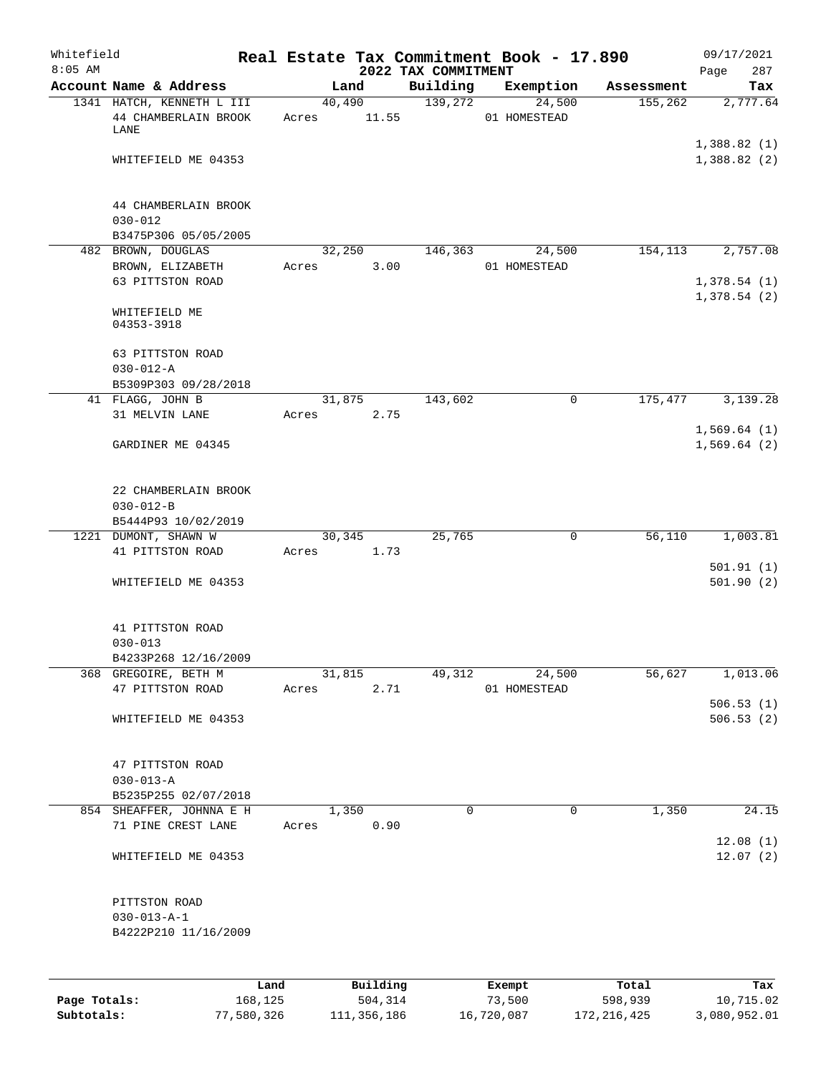| Whitefield<br>$8:05$ AM |                                                |       |               |                                 | Real Estate Tax Commitment Book - 17.890 |            | 09/17/2021                 |
|-------------------------|------------------------------------------------|-------|---------------|---------------------------------|------------------------------------------|------------|----------------------------|
|                         | Account Name & Address                         |       | Land          | 2022 TAX COMMITMENT<br>Building | Exemption                                | Assessment | 287<br>Page<br>Tax         |
|                         | 1341 HATCH, KENNETH L III                      |       | 40,490        | 139,272                         | 24,500                                   | 155,262    | 2,777.64                   |
|                         | 44 CHAMBERLAIN BROOK<br>LANE                   | Acres | 11.55         |                                 | 01 HOMESTEAD                             |            |                            |
|                         | WHITEFIELD ME 04353                            |       |               |                                 |                                          |            | 1,388.82(1)<br>1,388.82(2) |
|                         | 44 CHAMBERLAIN BROOK                           |       |               |                                 |                                          |            |                            |
|                         | $030 - 012$<br>B3475P306 05/05/2005            |       |               |                                 |                                          |            |                            |
|                         | 482 BROWN, DOUGLAS                             |       | 32,250        | 146,363                         | 24,500                                   | 154,113    | 2,757.08                   |
|                         | BROWN, ELIZABETH                               | Acres | 3.00          |                                 | 01 HOMESTEAD                             |            |                            |
|                         | 63 PITTSTON ROAD                               |       |               |                                 |                                          |            | 1,378.54(1)<br>1,378.54(2) |
|                         | WHITEFIELD ME<br>04353-3918                    |       |               |                                 |                                          |            |                            |
|                         | 63 PITTSTON ROAD<br>$030 - 012 - A$            |       |               |                                 |                                          |            |                            |
|                         | B5309P303 09/28/2018                           |       |               |                                 |                                          |            |                            |
|                         | 41 FLAGG, JOHN B                               |       | 31,875        | 143,602                         | $\mathbf 0$                              | 175,477    | 3,139.28                   |
|                         | 31 MELVIN LANE                                 | Acres | 2.75          |                                 |                                          |            |                            |
|                         | GARDINER ME 04345                              |       |               |                                 |                                          |            | 1,569.64(1)<br>1,569.64(2) |
|                         | 22 CHAMBERLAIN BROOK<br>$030 - 012 - B$        |       |               |                                 |                                          |            |                            |
|                         | B5444P93 10/02/2019                            |       |               |                                 |                                          |            |                            |
|                         | 1221 DUMONT, SHAWN W                           |       | 30,345        | 25,765                          | 0                                        | 56,110     | 1,003.81                   |
|                         | 41 PITTSTON ROAD                               | Acres | 1.73          |                                 |                                          |            | 501.91(1)                  |
|                         | WHITEFIELD ME 04353                            |       |               |                                 |                                          |            | 501.90(2)                  |
|                         | 41 PITTSTON ROAD                               |       |               |                                 |                                          |            |                            |
|                         | $030 - 013$                                    |       |               |                                 |                                          |            |                            |
|                         | B4233P268 12/16/2009<br>368 GREGOIRE, BETH M   |       | 31,815        | 49,312                          | 24,500                                   | 56,627     | 1,013.06                   |
|                         | 47 PITTSTON ROAD                               | Acres | 2.71          |                                 | 01 HOMESTEAD                             |            |                            |
|                         | WHITEFIELD ME 04353                            |       |               |                                 |                                          |            | 506.53(1)<br>506.53(2)     |
|                         |                                                |       |               |                                 |                                          |            |                            |
|                         | 47 PITTSTON ROAD                               |       |               |                                 |                                          |            |                            |
|                         | $030 - 013 - A$                                |       |               |                                 |                                          |            |                            |
|                         | B5235P255 02/07/2018                           |       |               | $\mathbf 0$                     | $\mathbf 0$                              |            |                            |
|                         | 854 SHEAFFER, JOHNNA E H<br>71 PINE CREST LANE | Acres | 1,350<br>0.90 |                                 |                                          | 1,350      | 24.15                      |
|                         | WHITEFIELD ME 04353                            |       |               |                                 |                                          |            | 12.08(1)<br>12.07(2)       |
|                         | PITTSTON ROAD                                  |       |               |                                 |                                          |            |                            |
|                         | $030 - 013 - A - 1$<br>B4222P210 11/16/2009    |       |               |                                 |                                          |            |                            |
|                         |                                                |       |               |                                 |                                          |            |                            |
|                         | Land                                           |       | Building      |                                 | Exempt                                   | Total      | Tax                        |
| Page Totals:            | 168,125                                        |       | 504,314       |                                 | 73,500                                   | 598,939    | 10,715.02                  |

**Subtotals:** 77,580,326 111,356,186 16,720,087 172,216,425 3,080,952.01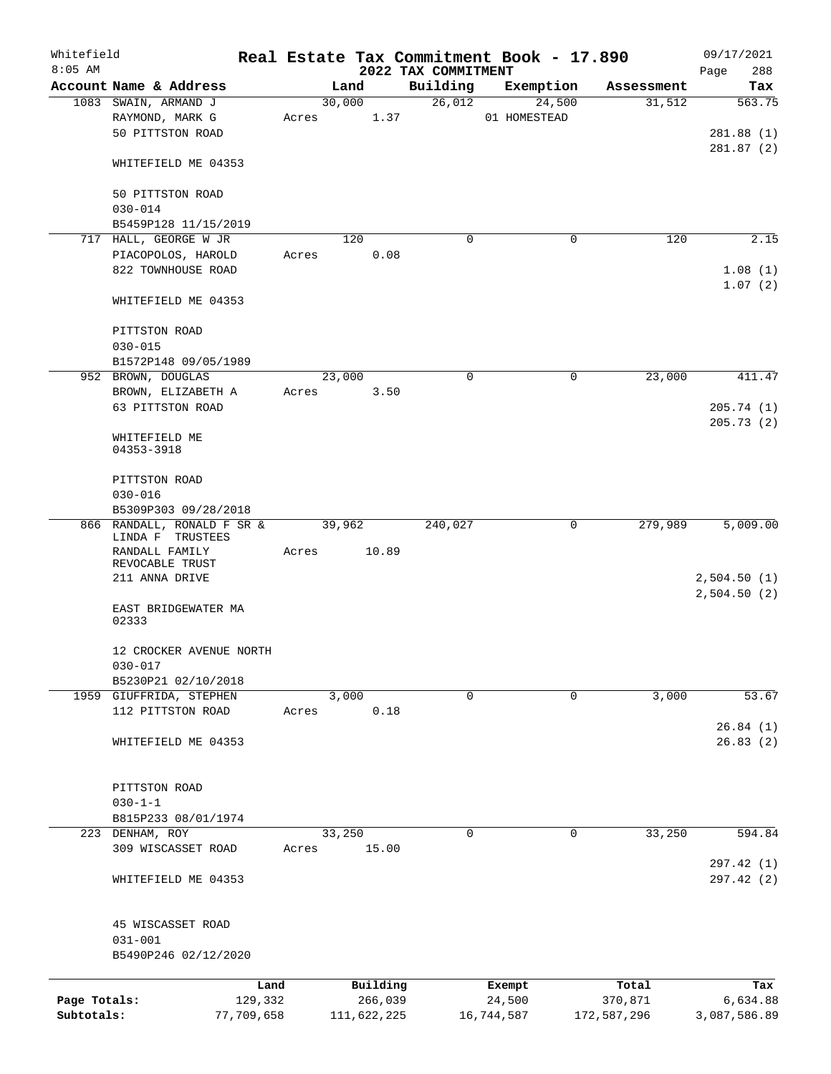| Whitefield<br>$8:05$ AM    |                                                |            |       |             |         |                                 | Real Estate Tax Commitment Book - 17.890 |   |             | 09/17/2021                 |
|----------------------------|------------------------------------------------|------------|-------|-------------|---------|---------------------------------|------------------------------------------|---|-------------|----------------------------|
|                            | Account Name & Address                         |            |       | Land        |         | 2022 TAX COMMITMENT<br>Building | Exemption                                |   | Assessment  | 288<br>Page<br>Tax         |
|                            | 1083 SWAIN, ARMAND J                           |            |       | 30,000      |         | 26,012                          | 24,500                                   |   | 31,512      | 563.75                     |
|                            | RAYMOND, MARK G<br>50 PITTSTON ROAD            |            | Acres |             | 1.37    |                                 | 01 HOMESTEAD                             |   |             | 281.88(1)                  |
|                            | WHITEFIELD ME 04353                            |            |       |             |         |                                 |                                          |   |             | 281.87(2)                  |
|                            | 50 PITTSTON ROAD                               |            |       |             |         |                                 |                                          |   |             |                            |
|                            | $030 - 014$<br>B5459P128 11/15/2019            |            |       |             |         |                                 |                                          |   |             |                            |
|                            | 717 HALL, GEORGE W JR                          |            |       | 120         |         | 0                               | 0                                        |   | 120         | 2.15                       |
|                            | PIACOPOLOS, HAROLD                             |            | Acres |             | 0.08    |                                 |                                          |   |             |                            |
|                            | 822 TOWNHOUSE ROAD                             |            |       |             |         |                                 |                                          |   |             | 1.08(1)<br>1.07(2)         |
|                            | WHITEFIELD ME 04353                            |            |       |             |         |                                 |                                          |   |             |                            |
|                            | PITTSTON ROAD<br>$030 - 015$                   |            |       |             |         |                                 |                                          |   |             |                            |
|                            | B1572P148 09/05/1989                           |            |       |             |         |                                 |                                          |   |             |                            |
|                            | 952 BROWN, DOUGLAS                             |            |       | 23,000      |         | 0                               |                                          | 0 | 23,000      | 411.47                     |
|                            | BROWN, ELIZABETH A                             |            | Acres |             | 3.50    |                                 |                                          |   |             |                            |
|                            | 63 PITTSTON ROAD                               |            |       |             |         |                                 |                                          |   |             | 205.74(1)                  |
|                            | WHITEFIELD ME<br>04353-3918                    |            |       |             |         |                                 |                                          |   |             | 205.73(2)                  |
|                            | PITTSTON ROAD<br>$030 - 016$                   |            |       |             |         |                                 |                                          |   |             |                            |
|                            | B5309P303 09/28/2018                           |            |       |             |         |                                 |                                          |   |             |                            |
|                            | 866 RANDALL, RONALD F SR &<br>LINDA F TRUSTEES |            |       | 39,962      |         | 240,027                         |                                          | 0 | 279,989     | 5,009.00                   |
|                            | RANDALL FAMILY<br>REVOCABLE TRUST              |            | Acres |             | 10.89   |                                 |                                          |   |             |                            |
|                            | 211 ANNA DRIVE                                 |            |       |             |         |                                 |                                          |   |             | 2,504.50(1)<br>2,504.50(2) |
|                            | EAST BRIDGEWATER MA<br>02333                   |            |       |             |         |                                 |                                          |   |             |                            |
|                            | 12 CROCKER AVENUE NORTH                        |            |       |             |         |                                 |                                          |   |             |                            |
|                            | $030 - 017$<br>B5230P21 02/10/2018             |            |       |             |         |                                 |                                          |   |             |                            |
|                            | 1959 GIUFFRIDA, STEPHEN                        |            |       | 3,000       |         | $\mathbf 0$                     | 0                                        |   | 3,000       | 53.67                      |
|                            | 112 PITTSTON ROAD                              |            | Acres |             | 0.18    |                                 |                                          |   |             |                            |
|                            |                                                |            |       |             |         |                                 |                                          |   |             | 26.84(1)                   |
|                            | WHITEFIELD ME 04353                            |            |       |             |         |                                 |                                          |   |             | 26.83(2)                   |
|                            | PITTSTON ROAD                                  |            |       |             |         |                                 |                                          |   |             |                            |
|                            | $030 - 1 - 1$                                  |            |       |             |         |                                 |                                          |   |             |                            |
|                            | B815P233 08/01/1974                            |            |       |             |         |                                 |                                          |   |             |                            |
|                            | 223 DENHAM, ROY                                |            |       | 33,250      |         | 0                               | 0                                        |   | 33,250      | 594.84                     |
|                            | 309 WISCASSET ROAD                             |            | Acres |             | 15.00   |                                 |                                          |   |             |                            |
|                            | WHITEFIELD ME 04353                            |            |       |             |         |                                 |                                          |   |             | 297.42 (1)<br>297.42 (2)   |
|                            | 45 WISCASSET ROAD                              |            |       |             |         |                                 |                                          |   |             |                            |
|                            | $031 - 001$<br>B5490P246 02/12/2020            |            |       |             |         |                                 |                                          |   |             |                            |
|                            |                                                | Land       |       | Building    |         |                                 | Exempt                                   |   | Total       | Tax                        |
| Page Totals:<br>Subtotals: |                                                | 129,332    |       |             | 266,039 |                                 | 24,500                                   |   | 370,871     | 6,634.88                   |
|                            |                                                | 77,709,658 |       | 111,622,225 |         |                                 | 16,744,587                               |   | 172,587,296 | 3,087,586.89               |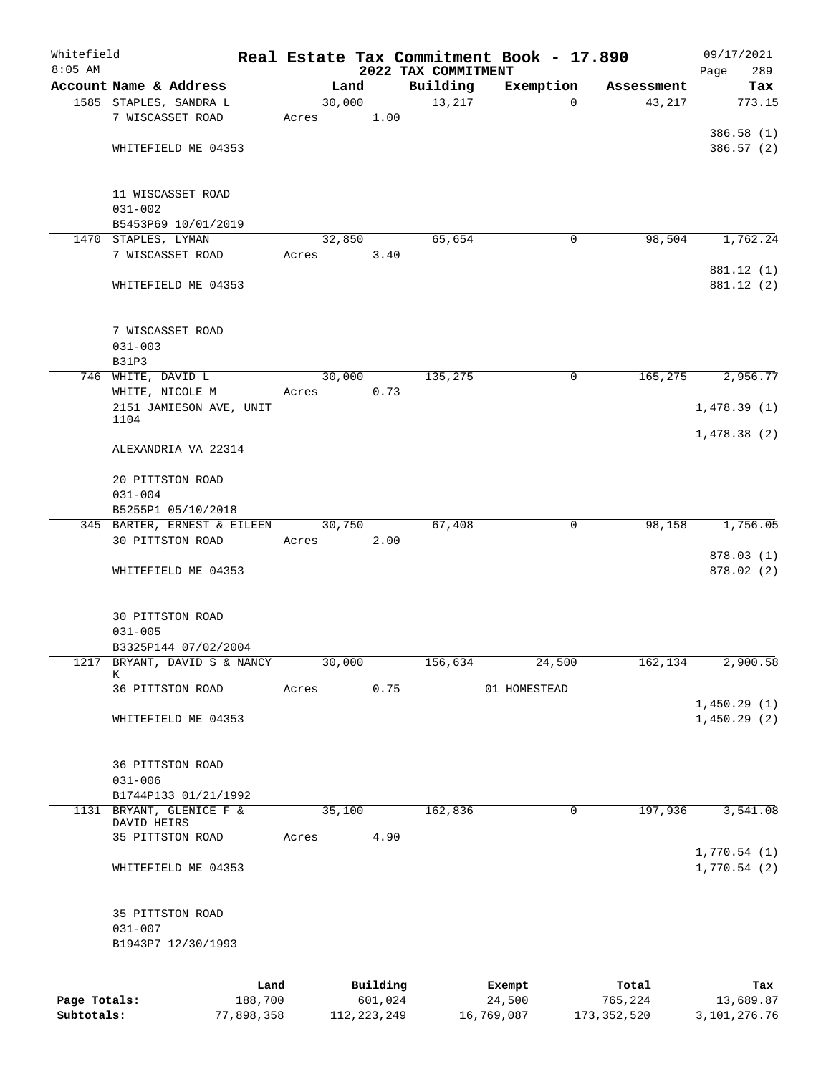| Whitefield   |                                                  |       |                |          |                     | Real Estate Tax Commitment Book - 17.890 |                      | 09/17/2021      |
|--------------|--------------------------------------------------|-------|----------------|----------|---------------------|------------------------------------------|----------------------|-----------------|
| $8:05$ AM    |                                                  |       |                |          | 2022 TAX COMMITMENT |                                          |                      | 289<br>Page     |
|              | Account Name & Address<br>1585 STAPLES, SANDRA L |       | Land<br>30,000 |          | Building<br>13,217  | Exemption<br>$\Omega$                    | Assessment<br>43,217 | Tax<br>773.15   |
|              | 7 WISCASSET ROAD                                 | Acres |                | 1.00     |                     |                                          |                      |                 |
|              |                                                  |       |                |          |                     |                                          |                      | 386.58 (1)      |
|              | WHITEFIELD ME 04353                              |       |                |          |                     |                                          |                      | 386.57(2)       |
|              |                                                  |       |                |          |                     |                                          |                      |                 |
|              | 11 WISCASSET ROAD                                |       |                |          |                     |                                          |                      |                 |
|              | $031 - 002$                                      |       |                |          |                     |                                          |                      |                 |
|              | B5453P69 10/01/2019                              |       |                |          |                     |                                          |                      |                 |
|              | 1470 STAPLES, LYMAN                              |       | 32,850         |          | 65,654              | $\mathbf 0$                              | 98,504               | 1,762.24        |
|              | 7 WISCASSET ROAD                                 | Acres |                | 3.40     |                     |                                          |                      | 881.12 (1)      |
|              | WHITEFIELD ME 04353                              |       |                |          |                     |                                          |                      | 881.12 (2)      |
|              | 7 WISCASSET ROAD                                 |       |                |          |                     |                                          |                      |                 |
|              | $031 - 003$                                      |       |                |          |                     |                                          |                      |                 |
|              | <b>B31P3</b>                                     |       |                |          |                     |                                          |                      |                 |
|              | 746 WHITE, DAVID L                               |       | 30,000         |          | 135,275             | 0                                        | 165,275              | 2,956.77        |
|              | WHITE, NICOLE M                                  | Acres |                | 0.73     |                     |                                          |                      |                 |
|              | 2151 JAMIESON AVE, UNIT<br>1104                  |       |                |          |                     |                                          |                      | 1,478.39(1)     |
|              | ALEXANDRIA VA 22314                              |       |                |          |                     |                                          |                      | 1,478.38(2)     |
|              | 20 PITTSTON ROAD                                 |       |                |          |                     |                                          |                      |                 |
|              | $031 - 004$                                      |       |                |          |                     |                                          |                      |                 |
|              | B5255P1 05/10/2018                               |       |                |          |                     |                                          |                      |                 |
|              | 345 BARTER, ERNEST & EILEEN<br>30 PITTSTON ROAD  | Acres | 30,750         | 2.00     | 67,408              | 0                                        | 98,158               | 1,756.05        |
|              |                                                  |       |                |          |                     |                                          |                      | 878.03 (1)      |
|              | WHITEFIELD ME 04353                              |       |                |          |                     |                                          |                      | 878.02(2)       |
|              | 30 PITTSTON ROAD                                 |       |                |          |                     |                                          |                      |                 |
|              | $031 - 005$                                      |       |                |          |                     |                                          |                      |                 |
|              | B3325P144 07/02/2004                             |       |                |          |                     |                                          |                      |                 |
|              | 1217 BRYANT, DAVID S & NANCY                     |       | 30,000         |          | 156,634             | 24,500                                   | 162,134              | 2,900.58        |
|              | К<br>36 PITTSTON ROAD                            | Acres |                | 0.75     |                     | 01 HOMESTEAD                             |                      |                 |
|              |                                                  |       |                |          |                     |                                          |                      | 1,450.29(1)     |
|              | WHITEFIELD ME 04353                              |       |                |          |                     |                                          |                      | 1,450.29(2)     |
|              | 36 PITTSTON ROAD                                 |       |                |          |                     |                                          |                      |                 |
|              | $031 - 006$                                      |       |                |          |                     |                                          |                      |                 |
|              | B1744P133 01/21/1992                             |       |                |          |                     |                                          |                      |                 |
|              | 1131 BRYANT, GLENICE F &<br>DAVID HEIRS          |       | 35,100         |          | 162,836             | $\mathsf{O}$                             | 197,936              | 3,541.08        |
|              | 35 PITTSTON ROAD                                 | Acres |                | 4.90     |                     |                                          |                      |                 |
|              |                                                  |       |                |          |                     |                                          |                      | 1,770.54(1)     |
|              | WHITEFIELD ME 04353                              |       |                |          |                     |                                          |                      | 1,770.54(2)     |
|              | 35 PITTSTON ROAD                                 |       |                |          |                     |                                          |                      |                 |
|              | $031 - 007$                                      |       |                |          |                     |                                          |                      |                 |
|              | B1943P7 12/30/1993                               |       |                |          |                     |                                          |                      |                 |
|              |                                                  | Land  |                | Building |                     | Exempt                                   | Total                | Tax             |
| Page Totals: | 188,700                                          |       |                | 601,024  |                     | 24,500                                   | 765,224              | 13,689.87       |
| Subtotals:   | 77,898,358                                       |       | 112, 223, 249  |          |                     | 16,769,087                               | 173,352,520          | 3, 101, 276. 76 |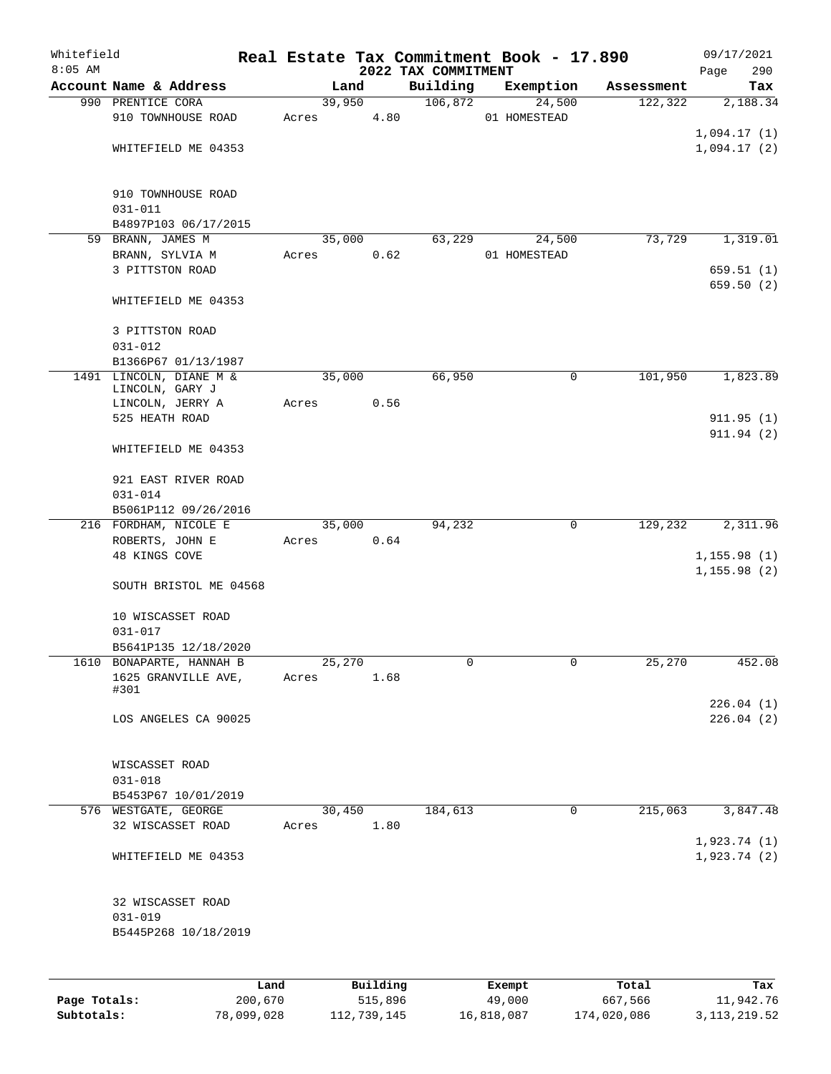| Whitefield<br>$8:05$ AM |                                     |       |        |          |                                 | Real Estate Tax Commitment Book - 17.890 |            | 09/17/2021         |
|-------------------------|-------------------------------------|-------|--------|----------|---------------------------------|------------------------------------------|------------|--------------------|
|                         | Account Name & Address              |       | Land   |          | 2022 TAX COMMITMENT<br>Building | Exemption                                | Assessment | 290<br>Page<br>Tax |
|                         | 990 PRENTICE CORA                   |       | 39,950 |          | 106,872                         | 24,500                                   | 122,322    | 2,188.34           |
|                         | 910 TOWNHOUSE ROAD                  | Acres |        | 4.80     |                                 | 01 HOMESTEAD                             |            |                    |
|                         |                                     |       |        |          |                                 |                                          |            | 1,094.17(1)        |
|                         | WHITEFIELD ME 04353                 |       |        |          |                                 |                                          |            | 1,094.17(2)        |
|                         |                                     |       |        |          |                                 |                                          |            |                    |
|                         |                                     |       |        |          |                                 |                                          |            |                    |
|                         | 910 TOWNHOUSE ROAD<br>$031 - 011$   |       |        |          |                                 |                                          |            |                    |
|                         | B4897P103 06/17/2015                |       |        |          |                                 |                                          |            |                    |
|                         | 59 BRANN, JAMES M                   |       | 35,000 |          | 63,229                          | 24,500                                   | 73,729     | 1,319.01           |
|                         | BRANN, SYLVIA M                     | Acres |        | 0.62     |                                 | 01 HOMESTEAD                             |            |                    |
|                         | 3 PITTSTON ROAD                     |       |        |          |                                 |                                          |            | 659.51(1)          |
|                         |                                     |       |        |          |                                 |                                          |            | 659.50 (2)         |
|                         | WHITEFIELD ME 04353                 |       |        |          |                                 |                                          |            |                    |
|                         | 3 PITTSTON ROAD                     |       |        |          |                                 |                                          |            |                    |
|                         | $031 - 012$                         |       |        |          |                                 |                                          |            |                    |
|                         | B1366P67 01/13/1987                 |       |        |          |                                 |                                          |            |                    |
|                         | 1491 LINCOLN, DIANE M &             |       | 35,000 |          | 66,950                          | $\mathsf{O}$                             | 101,950    | 1,823.89           |
|                         | LINCOLN, GARY J<br>LINCOLN, JERRY A |       |        | 0.56     |                                 |                                          |            |                    |
|                         | 525 HEATH ROAD                      | Acres |        |          |                                 |                                          |            | 911.95(1)          |
|                         |                                     |       |        |          |                                 |                                          |            | 911.94 (2)         |
|                         | WHITEFIELD ME 04353                 |       |        |          |                                 |                                          |            |                    |
|                         |                                     |       |        |          |                                 |                                          |            |                    |
|                         | 921 EAST RIVER ROAD                 |       |        |          |                                 |                                          |            |                    |
|                         | $031 - 014$<br>B5061P112 09/26/2016 |       |        |          |                                 |                                          |            |                    |
|                         | 216 FORDHAM, NICOLE E               |       | 35,000 |          | 94,232                          | 0                                        | 129,232    | 2,311.96           |
|                         | ROBERTS, JOHN E                     | Acres |        | 0.64     |                                 |                                          |            |                    |
|                         | 48 KINGS COVE                       |       |        |          |                                 |                                          |            | 1, 155.98(1)       |
|                         |                                     |       |        |          |                                 |                                          |            | 1, 155.98(2)       |
|                         | SOUTH BRISTOL ME 04568              |       |        |          |                                 |                                          |            |                    |
|                         | 10 WISCASSET ROAD                   |       |        |          |                                 |                                          |            |                    |
|                         | $031 - 017$                         |       |        |          |                                 |                                          |            |                    |
|                         | B5641P135 12/18/2020                |       |        |          |                                 |                                          |            |                    |
|                         | 1610 BONAPARTE, HANNAH B            |       | 25,270 |          | 0                               | 0                                        | 25,270     | 452.08             |
|                         | 1625 GRANVILLE AVE,                 | Acres |        | 1.68     |                                 |                                          |            |                    |
|                         | #301                                |       |        |          |                                 |                                          |            | 226.04(1)          |
|                         | LOS ANGELES CA 90025                |       |        |          |                                 |                                          |            | 226.04(2)          |
|                         |                                     |       |        |          |                                 |                                          |            |                    |
|                         |                                     |       |        |          |                                 |                                          |            |                    |
|                         | WISCASSET ROAD                      |       |        |          |                                 |                                          |            |                    |
|                         | $031 - 018$<br>B5453P67 10/01/2019  |       |        |          |                                 |                                          |            |                    |
|                         | 576 WESTGATE, GEORGE                |       | 30,450 |          | 184,613                         | 0                                        | 215,063    | 3,847.48           |
|                         | 32 WISCASSET ROAD                   | Acres |        | 1.80     |                                 |                                          |            |                    |
|                         |                                     |       |        |          |                                 |                                          |            | 1,923.74(1)        |
|                         | WHITEFIELD ME 04353                 |       |        |          |                                 |                                          |            | 1,923.74(2)        |
|                         |                                     |       |        |          |                                 |                                          |            |                    |
|                         | 32 WISCASSET ROAD                   |       |        |          |                                 |                                          |            |                    |
|                         | $031 - 019$                         |       |        |          |                                 |                                          |            |                    |
|                         | B5445P268 10/18/2019                |       |        |          |                                 |                                          |            |                    |
|                         |                                     |       |        |          |                                 |                                          |            |                    |
|                         |                                     |       |        |          |                                 |                                          |            |                    |
|                         |                                     | Land  |        | Building |                                 | Exempt                                   | Total      | Tax                |
| Page Totals:            | 200,670                             |       |        | 515,896  |                                 | 49,000                                   | 667,566    | 11,942.76          |

**Subtotals:** 78,099,028 112,739,145 16,818,087 174,020,086 3,113,219.52